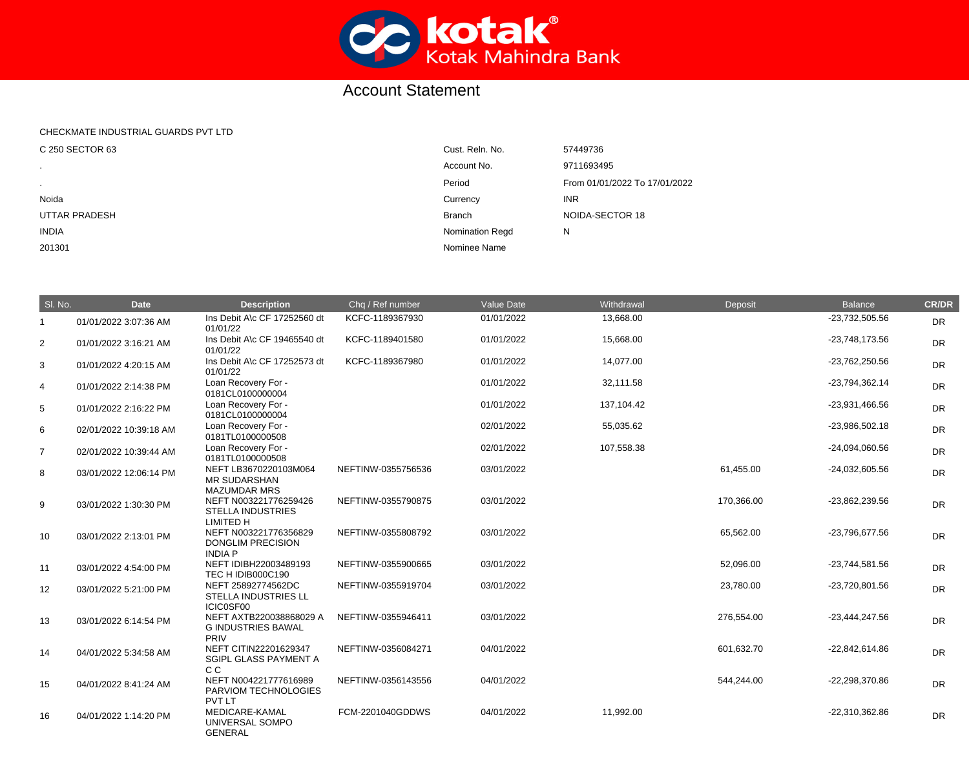

## Account Statement

## CHECKMATE INDUSTRIAL GUARDS PVT LTD

| C 250 SECTOR 63      | Cust. Reln. No.        | 57449736                      |
|----------------------|------------------------|-------------------------------|
| $\sim$               | Account No.            | 9711693495                    |
| $\mathbf{r}$         | Period                 | From 01/01/2022 To 17/01/2022 |
| Noida                | Currency               | <b>INR</b>                    |
| <b>UTTAR PRADESH</b> | <b>Branch</b>          | NOIDA-SECTOR 18               |
| <b>INDIA</b>         | <b>Nomination Regd</b> | N                             |
| 201301               | Nominee Name           |                               |

| SI. No.        | <b>Date</b>            | <b>Description</b>                                                                           | Chq / Ref number   | <b>Value Date</b> | Withdrawal | Deposit    | <b>Balance</b>   | <b>CR/DR</b> |
|----------------|------------------------|----------------------------------------------------------------------------------------------|--------------------|-------------------|------------|------------|------------------|--------------|
| $\overline{1}$ | 01/01/2022 3:07:36 AM  | Ins Debit A\c CF 17252560 dt<br>01/01/22                                                     | KCFC-1189367930    | 01/01/2022        | 13,668.00  |            | $-23,732,505.56$ | <b>DR</b>    |
| 2              | 01/01/2022 3:16:21 AM  | Ins Debit A\c CF 19465540 dt<br>01/01/22                                                     | KCFC-1189401580    | 01/01/2022        | 15,668.00  |            | $-23,748,173.56$ | <b>DR</b>    |
| 3              | 01/01/2022 4:20:15 AM  | Ins Debit A\c CF 17252573 dt<br>01/01/22                                                     | KCFC-1189367980    | 01/01/2022        | 14,077.00  |            | -23,762,250.56   | DR           |
| $\overline{4}$ | 01/01/2022 2:14:38 PM  | Loan Recovery For -<br>0181CL0100000004                                                      |                    | 01/01/2022        | 32,111.58  |            | -23,794,362.14   | <b>DR</b>    |
| $\sqrt{5}$     | 01/01/2022 2:16:22 PM  | Loan Recovery For -<br>0181CL0100000004                                                      |                    | 01/01/2022        | 137,104.42 |            | -23,931,466.56   | <b>DR</b>    |
| 6              | 02/01/2022 10:39:18 AM | Loan Recovery For -<br>0181TL0100000508                                                      |                    | 02/01/2022        | 55,035.62  |            | -23,986,502.18   | <b>DR</b>    |
| $\overline{7}$ | 02/01/2022 10:39:44 AM | Loan Recovery For -<br>0181TL0100000508                                                      |                    | 02/01/2022        | 107,558.38 |            | $-24,094,060.56$ | <b>DR</b>    |
| 8              | 03/01/2022 12:06:14 PM | NEFT LB3670220103M064<br><b>MR SUDARSHAN</b>                                                 | NEFTINW-0355756536 | 03/01/2022        |            | 61,455.00  | $-24,032,605.56$ | <b>DR</b>    |
| $9\,$          | 03/01/2022 1:30:30 PM  | <b>MAZUMDAR MRS</b><br>NEFT N003221776259426<br><b>STELLA INDUSTRIES</b><br><b>LIMITED H</b> | NEFTINW-0355790875 | 03/01/2022        |            | 170,366.00 | -23,862,239.56   | DR           |
| 10             | 03/01/2022 2:13:01 PM  | NEFT N003221776356829<br><b>DONGLIM PRECISION</b><br><b>INDIA P</b>                          | NEFTINW-0355808792 | 03/01/2022        |            | 65,562.00  | -23,796,677.56   | <b>DR</b>    |
| 11             | 03/01/2022 4:54:00 PM  | NEFT IDIBH22003489193<br>TEC H IDIB000C190                                                   | NEFTINW-0355900665 | 03/01/2022        |            | 52,096.00  | $-23,744,581.56$ | <b>DR</b>    |
| 12             | 03/01/2022 5:21:00 PM  | NEFT 25892774562DC<br>STELLA INDUSTRIES LL<br>ICIC0SF00                                      | NEFTINW-0355919704 | 03/01/2022        |            | 23,780.00  | -23,720,801.56   | <b>DR</b>    |
| 13             | 03/01/2022 6:14:54 PM  | NEFT AXTB220038868029 A<br><b>G INDUSTRIES BAWAL</b><br>PRIV                                 | NEFTINW-0355946411 | 03/01/2022        |            | 276,554.00 | $-23,444,247.56$ | <b>DR</b>    |
| 14             | 04/01/2022 5:34:58 AM  | NEFT CITIN22201629347<br><b>SGIPL GLASS PAYMENT A</b><br>C <sub>C</sub>                      | NEFTINW-0356084271 | 04/01/2022        |            | 601,632.70 | $-22,842,614.86$ | DR           |
| 15             | 04/01/2022 8:41:24 AM  | NEFT N004221777616989<br>PARVIOM TECHNOLOGIES                                                | NEFTINW-0356143556 | 04/01/2022        |            | 544,244.00 | -22,298,370.86   | DR           |
| 16             | 04/01/2022 1:14:20 PM  | <b>PVT LT</b><br>MEDICARE-KAMAL<br>UNIVERSAL SOMPO<br><b>GENERAL</b>                         | FCM-2201040GDDWS   | 04/01/2022        | 11,992.00  |            | -22,310,362.86   | <b>DR</b>    |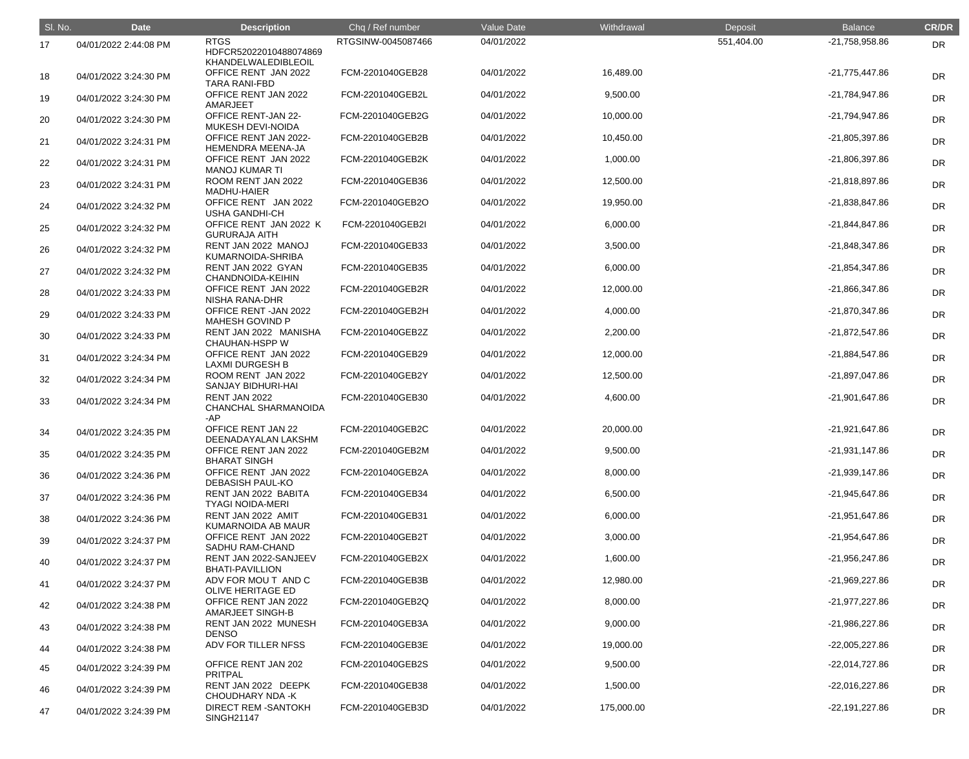| SI. No. | <b>Date</b>           | <b>Description</b>                                                  | Chq / Ref number   | Value Date | Withdrawal | Deposit    | Balance          | <b>CR/DR</b> |
|---------|-----------------------|---------------------------------------------------------------------|--------------------|------------|------------|------------|------------------|--------------|
| 17      | 04/01/2022 2:44:08 PM | <b>RTGS</b><br>HDFCR52022010488074869                               | RTGSINW-0045087466 | 04/01/2022 |            | 551,404.00 | -21,758,958.86   | <b>DR</b>    |
| 18      | 04/01/2022 3:24:30 PM | KHANDELWALEDIBLEOIL<br>OFFICE RENT JAN 2022<br><b>TARA RANI-FBD</b> | FCM-2201040GEB28   | 04/01/2022 | 16,489.00  |            | $-21,775,447.86$ | <b>DR</b>    |
| 19      | 04/01/2022 3:24:30 PM | OFFICE RENT JAN 2022<br>AMARJEET                                    | FCM-2201040GEB2L   | 04/01/2022 | 9,500.00   |            | -21,784,947.86   | <b>DR</b>    |
| 20      | 04/01/2022 3:24:30 PM | <b>OFFICE RENT-JAN 22-</b><br>MUKESH DEVI-NOIDA                     | FCM-2201040GEB2G   | 04/01/2022 | 10,000.00  |            | -21,794,947.86   | <b>DR</b>    |
| 21      | 04/01/2022 3:24:31 PM | OFFICE RENT JAN 2022-<br><b>HEMENDRA MEENA-JA</b>                   | FCM-2201040GEB2B   | 04/01/2022 | 10,450.00  |            | $-21,805,397.86$ | <b>DR</b>    |
| 22      | 04/01/2022 3:24:31 PM | OFFICE RENT JAN 2022<br><b>MANOJ KUMAR TI</b>                       | FCM-2201040GEB2K   | 04/01/2022 | 1,000.00   |            | -21,806,397.86   | <b>DR</b>    |
| 23      | 04/01/2022 3:24:31 PM | ROOM RENT JAN 2022<br>MADHU-HAIER                                   | FCM-2201040GEB36   | 04/01/2022 | 12,500.00  |            | -21,818,897.86   | <b>DR</b>    |
| 24      | 04/01/2022 3:24:32 PM | OFFICE RENT JAN 2022<br><b>USHA GANDHI-CH</b>                       | FCM-2201040GEB2O   | 04/01/2022 | 19,950.00  |            | -21,838,847.86   | <b>DR</b>    |
| 25      | 04/01/2022 3:24:32 PM | OFFICE RENT JAN 2022 K<br><b>GURURAJA AITH</b>                      | FCM-2201040GEB2I   | 04/01/2022 | 6,000.00   |            | -21,844,847.86   | <b>DR</b>    |
| 26      | 04/01/2022 3:24:32 PM | RENT JAN 2022 MANOJ<br>KUMARNOIDA-SHRIBA                            | FCM-2201040GEB33   | 04/01/2022 | 3,500.00   |            | -21,848,347.86   | <b>DR</b>    |
| 27      | 04/01/2022 3:24:32 PM | RENT JAN 2022 GYAN<br>CHANDNOIDA-KEIHIN                             | FCM-2201040GEB35   | 04/01/2022 | 6,000.00   |            | -21,854,347.86   | <b>DR</b>    |
| 28      | 04/01/2022 3:24:33 PM | OFFICE RENT JAN 2022<br>NISHA RANA-DHR                              | FCM-2201040GEB2R   | 04/01/2022 | 12,000.00  |            | -21,866,347.86   | <b>DR</b>    |
| 29      | 04/01/2022 3:24:33 PM | OFFICE RENT - JAN 2022<br><b>MAHESH GOVIND P</b>                    | FCM-2201040GEB2H   | 04/01/2022 | 4,000.00   |            | -21,870,347.86   | <b>DR</b>    |
| 30      | 04/01/2022 3:24:33 PM | RENT JAN 2022 MANISHA<br><b>CHAUHAN-HSPP W</b>                      | FCM-2201040GEB2Z   | 04/01/2022 | 2,200.00   |            | -21,872,547.86   | <b>DR</b>    |
| 31      | 04/01/2022 3:24:34 PM | OFFICE RENT JAN 2022<br><b>LAXMI DURGESH B</b>                      | FCM-2201040GEB29   | 04/01/2022 | 12,000.00  |            | -21,884,547.86   | <b>DR</b>    |
| 32      | 04/01/2022 3:24:34 PM | ROOM RENT JAN 2022<br><b>SANJAY BIDHURI-HAI</b>                     | FCM-2201040GEB2Y   | 04/01/2022 | 12,500.00  |            | -21,897,047.86   | <b>DR</b>    |
| 33      | 04/01/2022 3:24:34 PM | RENT JAN 2022<br>CHANCHAL SHARMANOIDA                               | FCM-2201040GEB30   | 04/01/2022 | 4,600.00   |            | -21,901,647.86   | DR           |
|         |                       | -AP                                                                 |                    |            |            |            |                  |              |
| 34      | 04/01/2022 3:24:35 PM | OFFICE RENT JAN 22<br>DEENADAYALAN LAKSHM                           | FCM-2201040GEB2C   | 04/01/2022 | 20,000.00  |            | $-21,921,647.86$ | DR           |
| 35      | 04/01/2022 3:24:35 PM | OFFICE RENT JAN 2022<br><b>BHARAT SINGH</b>                         | FCM-2201040GEB2M   | 04/01/2022 | 9,500.00   |            | $-21,931,147.86$ | DR           |
| 36      | 04/01/2022 3:24:36 PM | OFFICE RENT JAN 2022<br><b>DEBASISH PAUL-KO</b>                     | FCM-2201040GEB2A   | 04/01/2022 | 8,000.00   |            | $-21,939,147.86$ | <b>DR</b>    |
| 37      | 04/01/2022 3:24:36 PM | RENT JAN 2022 BABITA<br><b>TYAGI NOIDA-MERI</b>                     | FCM-2201040GEB34   | 04/01/2022 | 6,500.00   |            | $-21,945,647.86$ | DR           |
| 38      | 04/01/2022 3:24:36 PM | RENT JAN 2022 AMIT<br>KUMARNOIDA AB MAUR                            | FCM-2201040GEB31   | 04/01/2022 | 6,000.00   |            | $-21,951,647.86$ | <b>DR</b>    |
| 39      | 04/01/2022 3:24:37 PM | OFFICE RENT JAN 2022<br>SADHU RAM-CHAND                             | FCM-2201040GEB2T   | 04/01/2022 | 3,000.00   |            | $-21,954,647.86$ | DR           |
| 40      | 04/01/2022 3:24:37 PM | RENT JAN 2022-SANJEEV<br><b>BHATI-PAVILLION</b>                     | FCM-2201040GEB2X   | 04/01/2022 | 1,600.00   |            | $-21,956,247.86$ | <b>DR</b>    |
| 41      | 04/01/2022 3:24:37 PM | ADV FOR MOU T AND C<br><b>OLIVE HERITAGE ED</b>                     | FCM-2201040GEB3B   | 04/01/2022 | 12,980.00  |            | $-21,969,227.86$ | DR           |
| 42      | 04/01/2022 3:24:38 PM | OFFICE RENT JAN 2022<br>AMARJEET SINGH-B                            | FCM-2201040GEB2Q   | 04/01/2022 | 8,000.00   |            | $-21,977,227.86$ | <b>DR</b>    |
| 43      | 04/01/2022 3:24:38 PM | RENT JAN 2022 MUNESH<br><b>DENSO</b>                                | FCM-2201040GEB3A   | 04/01/2022 | 9,000.00   |            | $-21,986,227.86$ | <b>DR</b>    |
| 44      | 04/01/2022 3:24:38 PM | ADV FOR TILLER NFSS                                                 | FCM-2201040GEB3E   | 04/01/2022 | 19,000.00  |            | $-22,005,227.86$ | <b>DR</b>    |
| 45      | 04/01/2022 3:24:39 PM | OFFICE RENT JAN 202<br><b>PRITPAL</b>                               | FCM-2201040GEB2S   | 04/01/2022 | 9,500.00   |            | $-22,014,727.86$ | <b>DR</b>    |
| 46      | 04/01/2022 3:24:39 PM | RENT JAN 2022 DEEPK<br><b>CHOUDHARY NDA -K</b>                      | FCM-2201040GEB38   | 04/01/2022 | 1,500.00   |            | $-22,016,227.86$ | <b>DR</b>    |
| 47      | 04/01/2022 3:24:39 PM | <b>DIRECT REM-SANTOKH</b><br><b>SINGH21147</b>                      | FCM-2201040GEB3D   | 04/01/2022 | 175,000.00 |            | $-22,191,227.86$ | DR           |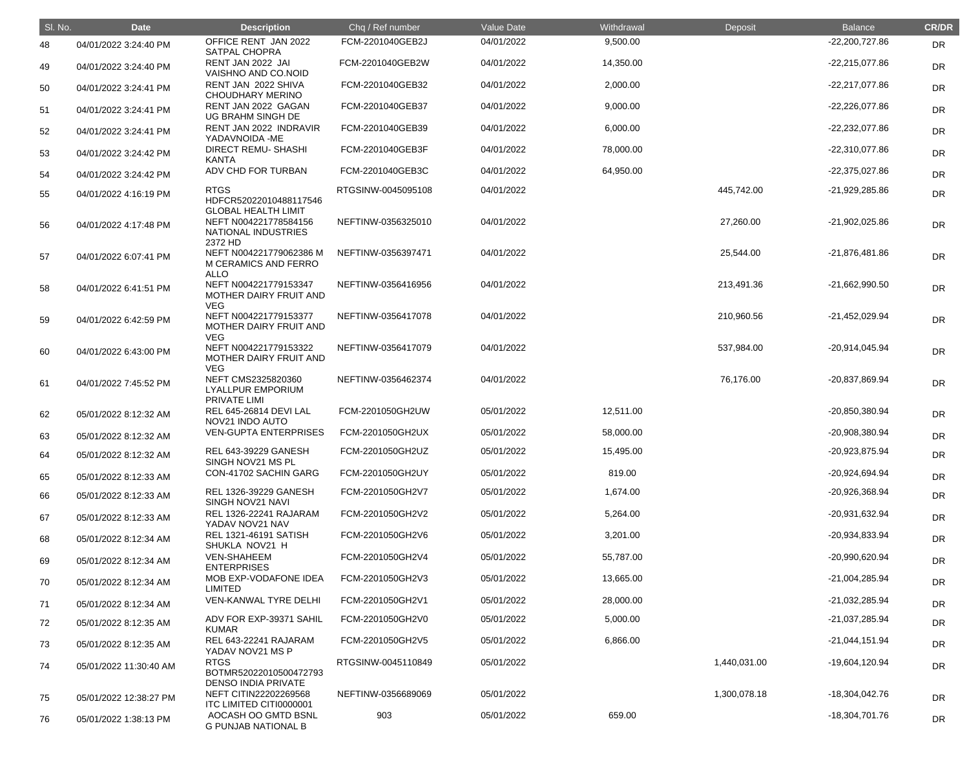| SI. No. | <b>Date</b>            | <b>Description</b>                                                                    | Chq / Ref number   | Value Date | Withdrawal | Deposit      | <b>Balance</b>   | <b>CR/DR</b> |
|---------|------------------------|---------------------------------------------------------------------------------------|--------------------|------------|------------|--------------|------------------|--------------|
| 48      | 04/01/2022 3:24:40 PM  | OFFICE RENT JAN 2022<br><b>SATPAL CHOPRA</b>                                          | FCM-2201040GEB2J   | 04/01/2022 | 9,500.00   |              | -22,200,727.86   | <b>DR</b>    |
| 49      | 04/01/2022 3:24:40 PM  | RENT JAN 2022 JAI<br>VAISHNO AND CO.NOID                                              | FCM-2201040GEB2W   | 04/01/2022 | 14,350.00  |              | $-22,215,077.86$ | <b>DR</b>    |
| 50      | 04/01/2022 3:24:41 PM  | RENT JAN 2022 SHIVA<br><b>CHOUDHARY MERINO</b>                                        | FCM-2201040GEB32   | 04/01/2022 | 2,000.00   |              | -22,217,077.86   | <b>DR</b>    |
| 51      | 04/01/2022 3:24:41 PM  | RENT JAN 2022 GAGAN<br>UG BRAHM SINGH DE                                              | FCM-2201040GEB37   | 04/01/2022 | 9,000.00   |              | $-22,226,077.86$ | <b>DR</b>    |
| 52      | 04/01/2022 3:24:41 PM  | RENT JAN 2022 INDRAVIR<br>YADAVNOIDA -ME                                              | FCM-2201040GEB39   | 04/01/2022 | 6,000.00   |              | $-22,232,077.86$ | <b>DR</b>    |
| 53      | 04/01/2022 3:24:42 PM  | DIRECT REMU- SHASHI<br><b>KANTA</b>                                                   | FCM-2201040GEB3F   | 04/01/2022 | 78,000.00  |              | -22,310,077.86   | <b>DR</b>    |
| 54      | 04/01/2022 3:24:42 PM  | ADV CHD FOR TURBAN                                                                    | FCM-2201040GEB3C   | 04/01/2022 | 64,950.00  |              | $-22,375,027.86$ | <b>DR</b>    |
| 55      | 04/01/2022 4:16:19 PM  | <b>RTGS</b><br>HDFCR52022010488117546                                                 | RTGSINW-0045095108 | 04/01/2022 |            | 445,742.00   | -21,929,285.86   | <b>DR</b>    |
| 56      | 04/01/2022 4:17:48 PM  | <b>GLOBAL HEALTH LIMIT</b><br>NEFT N004221778584156<br>NATIONAL INDUSTRIES<br>2372 HD | NEFTINW-0356325010 | 04/01/2022 |            | 27,260.00    | $-21,902,025.86$ | <b>DR</b>    |
| 57      | 04/01/2022 6:07:41 PM  | NEFT N004221779062386 M<br>M CERAMICS AND FERRO<br><b>ALLO</b>                        | NEFTINW-0356397471 | 04/01/2022 |            | 25,544.00    | $-21,876,481.86$ | <b>DR</b>    |
| 58      | 04/01/2022 6:41:51 PM  | NEFT N004221779153347<br>MOTHER DAIRY FRUIT AND<br><b>VEG</b>                         | NEFTINW-0356416956 | 04/01/2022 |            | 213,491.36   | $-21,662,990.50$ | <b>DR</b>    |
| 59      | 04/01/2022 6:42:59 PM  | NEFT N004221779153377<br>MOTHER DAIRY FRUIT AND<br><b>VEG</b>                         | NEFTINW-0356417078 | 04/01/2022 |            | 210,960.56   | -21,452,029.94   | <b>DR</b>    |
| 60      | 04/01/2022 6:43:00 PM  | NEFT N004221779153322<br>MOTHER DAIRY FRUIT AND<br><b>VEG</b>                         | NEFTINW-0356417079 | 04/01/2022 |            | 537,984.00   | -20,914,045.94   | <b>DR</b>    |
| 61      | 04/01/2022 7:45:52 PM  | NEFT CMS2325820360<br><b>LYALLPUR EMPORIUM</b><br>PRIVATE LIMI                        | NEFTINW-0356462374 | 04/01/2022 |            | 76,176.00    | -20,837,869.94   | <b>DR</b>    |
| 62      | 05/01/2022 8:12:32 AM  | REL 645-26814 DEVI LAL<br>NOV21 INDO AUTO                                             | FCM-2201050GH2UW   | 05/01/2022 | 12,511.00  |              | -20,850,380.94   | <b>DR</b>    |
| 63      | 05/01/2022 8:12:32 AM  | <b>VEN-GUPTA ENTERPRISES</b>                                                          | FCM-2201050GH2UX   | 05/01/2022 | 58,000.00  |              | -20,908,380.94   | <b>DR</b>    |
| 64      | 05/01/2022 8:12:32 AM  | <b>REL 643-39229 GANESH</b><br>SINGH NOV21 MS PL                                      | FCM-2201050GH2UZ   | 05/01/2022 | 15,495.00  |              | -20,923,875.94   | <b>DR</b>    |
| 65      | 05/01/2022 8:12:33 AM  | CON-41702 SACHIN GARG                                                                 | FCM-2201050GH2UY   | 05/01/2022 | 819.00     |              | -20,924,694.94   | <b>DR</b>    |
| 66      | 05/01/2022 8:12:33 AM  | <b>REL 1326-39229 GANESH</b><br>SINGH NOV21 NAVI                                      | FCM-2201050GH2V7   | 05/01/2022 | 1,674.00   |              | -20,926,368.94   | DR           |
| 67      | 05/01/2022 8:12:33 AM  | <b>REL 1326-22241 RAJARAM</b><br>YADAV NOV21 NAV                                      | FCM-2201050GH2V2   | 05/01/2022 | 5,264.00   |              | -20,931,632.94   | DR           |
| 68      | 05/01/2022 8:12:34 AM  | <b>REL 1321-46191 SATISH</b><br>SHUKLA NOV21 H                                        | FCM-2201050GH2V6   | 05/01/2022 | 3,201.00   |              | -20,934,833.94   | <b>DR</b>    |
| 69      | 05/01/2022 8:12:34 AM  | <b>VEN-SHAHEEM</b><br><b>ENTERPRISES</b>                                              | FCM-2201050GH2V4   | 05/01/2022 | 55,787.00  |              | -20,990,620.94   | <b>DR</b>    |
| 70      | 05/01/2022 8:12:34 AM  | MOB EXP-VODAFONE IDEA<br>LIMITED                                                      | FCM-2201050GH2V3   | 05/01/2022 | 13,665.00  |              | -21,004,285.94   | DR           |
| 71      | 05/01/2022 8:12:34 AM  | <b>VEN-KANWAL TYRE DELHI</b>                                                          | FCM-2201050GH2V1   | 05/01/2022 | 28,000.00  |              | -21,032,285.94   | <b>DR</b>    |
| 72      | 05/01/2022 8:12:35 AM  | ADV FOR EXP-39371 SAHIL<br><b>KUMAR</b>                                               | FCM-2201050GH2V0   | 05/01/2022 | 5,000.00   |              | -21,037,285.94   | <b>DR</b>    |
| 73      | 05/01/2022 8:12:35 AM  | REL 643-22241 RAJARAM<br>YADAV NOV21 MS P                                             | FCM-2201050GH2V5   | 05/01/2022 | 6,866.00   |              | $-21,044,151.94$ | <b>DR</b>    |
| 74      | 05/01/2022 11:30:40 AM | <b>RTGS</b><br>BOTMR52022010500472793<br><b>DENSO INDIA PRIVATE</b>                   | RTGSINW-0045110849 | 05/01/2022 |            | 1,440,031.00 | -19,604,120.94   | <b>DR</b>    |
| 75      | 05/01/2022 12:38:27 PM | NEFT CITIN22202269568<br>ITC LIMITED CITI0000001                                      | NEFTINW-0356689069 | 05/01/2022 |            | 1,300,078.18 | -18,304,042.76   | <b>DR</b>    |
| 76      | 05/01/2022 1:38:13 PM  | AOCASH OO GMTD BSNL<br><b>G PUNJAB NATIONAL B</b>                                     | 903                | 05/01/2022 | 659.00     |              | $-18,304,701.76$ | DR           |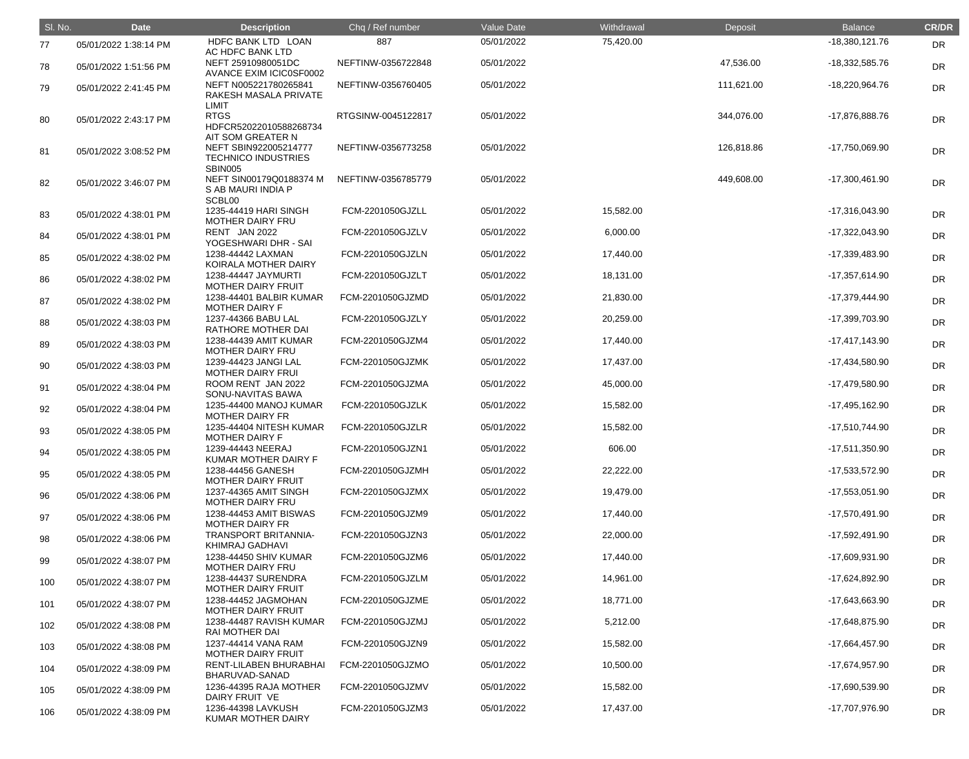| SI. No. | <b>Date</b>           | <b>Description</b>                                                    | Chq / Ref number   | Value Date | Withdrawal | Deposit    | <b>Balance</b>   | <b>CR/DR</b> |
|---------|-----------------------|-----------------------------------------------------------------------|--------------------|------------|------------|------------|------------------|--------------|
| 77      | 05/01/2022 1:38:14 PM | HDFC BANK LTD LOAN<br><b>AC HDFC BANK LTD</b>                         | 887                | 05/01/2022 | 75,420.00  |            | $-18,380,121.76$ | <b>DR</b>    |
| 78      | 05/01/2022 1:51:56 PM | NEFT 25910980051DC<br>AVANCE EXIM ICIC0SF0002                         | NEFTINW-0356722848 | 05/01/2022 |            | 47,536.00  | -18,332,585.76   | <b>DR</b>    |
| 79      | 05/01/2022 2:41:45 PM | NEFT N005221780265841<br>RAKESH MASALA PRIVATE<br>LIMIT               | NEFTINW-0356760405 | 05/01/2022 |            | 111,621.00 | -18,220,964.76   | <b>DR</b>    |
| 80      | 05/01/2022 2:43:17 PM | <b>RTGS</b><br>HDFCR52022010588268734<br>AIT SOM GREATER N            | RTGSINW-0045122817 | 05/01/2022 |            | 344,076.00 | -17,876,888.76   | <b>DR</b>    |
| 81      | 05/01/2022 3:08:52 PM | NEFT SBIN922005214777<br><b>TECHNICO INDUSTRIES</b><br><b>SBIN005</b> | NEFTINW-0356773258 | 05/01/2022 |            | 126,818.86 | -17,750,069.90   | <b>DR</b>    |
| 82      | 05/01/2022 3:46:07 PM | NEFT SIN00179Q0188374 M<br>S AB MAURI INDIA P<br>SCBL00               | NEFTINW-0356785779 | 05/01/2022 |            | 449,608.00 | $-17,300,461.90$ | <b>DR</b>    |
| 83      | 05/01/2022 4:38:01 PM | 1235-44419 HARI SINGH<br>MOTHER DAIRY FRU                             | FCM-2201050GJZLL   | 05/01/2022 | 15,582.00  |            | $-17,316,043.90$ | <b>DR</b>    |
| 84      | 05/01/2022 4:38:01 PM | RENT JAN 2022<br>YOGESHWARI DHR - SAI                                 | FCM-2201050GJZLV   | 05/01/2022 | 6,000.00   |            | -17,322,043.90   | <b>DR</b>    |
| 85      | 05/01/2022 4:38:02 PM | 1238-44442 LAXMAN<br>KOIRALA MOTHER DAIRY                             | FCM-2201050GJZLN   | 05/01/2022 | 17,440.00  |            | -17,339,483.90   | <b>DR</b>    |
| 86      | 05/01/2022 4:38:02 PM | 1238-44447 JAYMURTI<br><b>MOTHER DAIRY FRUIT</b>                      | FCM-2201050GJZLT   | 05/01/2022 | 18,131.00  |            | $-17,357,614.90$ | <b>DR</b>    |
| 87      | 05/01/2022 4:38:02 PM | 1238-44401 BALBIR KUMAR<br><b>MOTHER DAIRY F</b>                      | FCM-2201050GJZMD   | 05/01/2022 | 21,830.00  |            | -17,379,444.90   | <b>DR</b>    |
| 88      | 05/01/2022 4:38:03 PM | 1237-44366 BABU LAL<br>RATHORE MOTHER DAI                             | FCM-2201050GJZLY   | 05/01/2022 | 20,259.00  |            | -17,399,703.90   | <b>DR</b>    |
| 89      | 05/01/2022 4:38:03 PM | 1238-44439 AMIT KUMAR<br>MOTHER DAIRY FRU                             | FCM-2201050GJZM4   | 05/01/2022 | 17,440.00  |            | $-17,417,143.90$ | <b>DR</b>    |
| 90      | 05/01/2022 4:38:03 PM | 1239-44423 JANGI LAL<br><b>MOTHER DAIRY FRUI</b>                      | FCM-2201050GJZMK   | 05/01/2022 | 17,437.00  |            | -17,434,580.90   | <b>DR</b>    |
| 91      | 05/01/2022 4:38:04 PM | ROOM RENT JAN 2022<br>SONU-NAVITAS BAWA                               | FCM-2201050GJZMA   | 05/01/2022 | 45,000.00  |            | -17,479,580.90   | <b>DR</b>    |
| 92      | 05/01/2022 4:38:04 PM | 1235-44400 MANOJ KUMAR<br><b>MOTHER DAIRY FR</b>                      | FCM-2201050GJZLK   | 05/01/2022 | 15,582.00  |            | -17,495,162.90   | <b>DR</b>    |
| 93      | 05/01/2022 4:38:05 PM | 1235-44404 NITESH KUMAR<br><b>MOTHER DAIRY F</b>                      | FCM-2201050GJZLR   | 05/01/2022 | 15,582.00  |            | -17,510,744.90   | <b>DR</b>    |
| 94      | 05/01/2022 4:38:05 PM | 1239-44443 NEERAJ<br>KUMAR MOTHER DAIRY F                             | FCM-2201050GJZN1   | 05/01/2022 | 606.00     |            | $-17,511,350.90$ | DR           |
| 95      | 05/01/2022 4:38:05 PM | 1238-44456 GANESH<br><b>MOTHER DAIRY FRUIT</b>                        | FCM-2201050GJZMH   | 05/01/2022 | 22,222.00  |            | -17,533,572.90   | DR           |
| 96      | 05/01/2022 4:38:06 PM | 1237-44365 AMIT SINGH<br><b>MOTHER DAIRY FRU</b>                      | FCM-2201050GJZMX   | 05/01/2022 | 19,479.00  |            | $-17,553,051.90$ | <b>DR</b>    |
| 97      | 05/01/2022 4:38:06 PM | 1238-44453 AMIT BISWAS<br><b>MOTHER DAIRY FR</b>                      | FCM-2201050GJZM9   | 05/01/2022 | 17,440.00  |            | -17,570,491.90   | <b>DR</b>    |
| 98      | 05/01/2022 4:38:06 PM | TRANSPORT BRITANNIA-<br>KHIMRAJ GADHAVI                               | FCM-2201050GJZN3   | 05/01/2022 | 22,000.00  |            | -17,592,491.90   | <b>DR</b>    |
| 99      | 05/01/2022 4:38:07 PM | 1238-44450 SHIV KUMAR<br>MOTHER DAIRY FRU                             | FCM-2201050GJZM6   | 05/01/2022 | 17,440.00  |            | -17,609,931.90   | <b>DR</b>    |
| 100     | 05/01/2022 4:38:07 PM | 1238-44437 SURENDRA<br>MOTHER DAIRY FRUIT                             | FCM-2201050GJZLM   | 05/01/2022 | 14,961.00  |            | -17,624,892.90   | <b>DR</b>    |
| 101     | 05/01/2022 4:38:07 PM | 1238-44452 JAGMOHAN<br>MOTHER DAIRY FRUIT                             | FCM-2201050GJZME   | 05/01/2022 | 18,771.00  |            | -17,643,663.90   | <b>DR</b>    |
| 102     | 05/01/2022 4:38:08 PM | 1238-44487 RAVISH KUMAR<br><b>RAI MOTHER DAI</b>                      | FCM-2201050GJZMJ   | 05/01/2022 | 5,212.00   |            | -17,648,875.90   | <b>DR</b>    |
| 103     | 05/01/2022 4:38:08 PM | 1237-44414 VANA RAM<br><b>MOTHER DAIRY FRUIT</b>                      | FCM-2201050GJZN9   | 05/01/2022 | 15,582.00  |            | -17,664,457.90   | <b>DR</b>    |
| 104     | 05/01/2022 4:38:09 PM | RENT-LILABEN BHURABHAI<br>BHARUVAD-SANAD                              | FCM-2201050GJZMO   | 05/01/2022 | 10,500.00  |            | -17,674,957.90   | <b>DR</b>    |
| 105     | 05/01/2022 4:38:09 PM | 1236-44395 RAJA MOTHER<br>DAIRY FRUIT VE                              | FCM-2201050GJZMV   | 05/01/2022 | 15,582.00  |            | -17,690,539.90   | <b>DR</b>    |
| 106     | 05/01/2022 4:38:09 PM | 1236-44398 LAVKUSH<br>KUMAR MOTHER DAIRY                              | FCM-2201050GJZM3   | 05/01/2022 | 17,437.00  |            | -17,707,976.90   | <b>DR</b>    |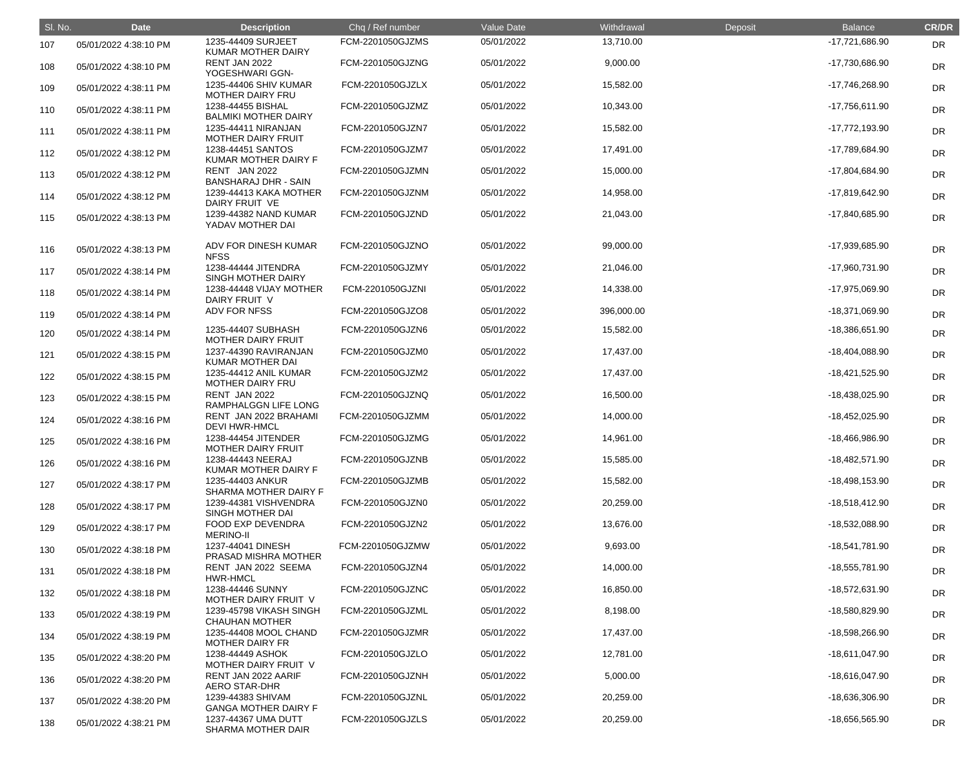| SI. No. | <b>Date</b>           | <b>Description</b>                               | Chq / Ref number | Value Date | Withdrawal | Deposit | <b>Balance</b>   | <b>CR/DR</b> |
|---------|-----------------------|--------------------------------------------------|------------------|------------|------------|---------|------------------|--------------|
| 107     | 05/01/2022 4:38:10 PM | 1235-44409 SURJEET<br><b>KUMAR MOTHER DAIRY</b>  | FCM-2201050GJZMS | 05/01/2022 | 13,710.00  |         | -17,721,686.90   | <b>DR</b>    |
| 108     | 05/01/2022 4:38:10 PM | RENT JAN 2022<br>YOGESHWARI GGN-                 | FCM-2201050GJZNG | 05/01/2022 | 9,000.00   |         | -17,730,686.90   | <b>DR</b>    |
| 109     | 05/01/2022 4:38:11 PM | 1235-44406 SHIV KUMAR<br><b>MOTHER DAIRY FRU</b> | FCM-2201050GJZLX | 05/01/2022 | 15,582.00  |         | -17,746,268.90   | <b>DR</b>    |
| 110     | 05/01/2022 4:38:11 PM | 1238-44455 BISHAL<br><b>BALMIKI MOTHER DAIRY</b> | FCM-2201050GJZMZ | 05/01/2022 | 10,343.00  |         | $-17,756,611.90$ | <b>DR</b>    |
| 111     | 05/01/2022 4:38:11 PM | 1235-44411 NIRANJAN<br><b>MOTHER DAIRY FRUIT</b> | FCM-2201050GJZN7 | 05/01/2022 | 15,582.00  |         | -17,772,193.90   | <b>DR</b>    |
| 112     | 05/01/2022 4:38:12 PM | 1238-44451 SANTOS<br>KUMAR MOTHER DAIRY F        | FCM-2201050GJZM7 | 05/01/2022 | 17,491.00  |         | -17,789,684.90   | <b>DR</b>    |
| 113     | 05/01/2022 4:38:12 PM | RENT JAN 2022<br><b>BANSHARAJ DHR - SAIN</b>     | FCM-2201050GJZMN | 05/01/2022 | 15,000.00  |         | -17,804,684.90   | <b>DR</b>    |
| 114     | 05/01/2022 4:38:12 PM | 1239-44413 KAKA MOTHER<br>DAIRY FRUIT VE         | FCM-2201050GJZNM | 05/01/2022 | 14,958.00  |         | -17,819,642.90   | <b>DR</b>    |
| 115     | 05/01/2022 4:38:13 PM | 1239-44382 NAND KUMAR<br>YADAV MOTHER DAI        | FCM-2201050GJZND | 05/01/2022 | 21,043.00  |         | -17,840,685.90   | DR           |
| 116     | 05/01/2022 4:38:13 PM | ADV FOR DINESH KUMAR<br><b>NFSS</b>              | FCM-2201050GJZNO | 05/01/2022 | 99,000.00  |         | -17,939,685.90   | <b>DR</b>    |
| 117     | 05/01/2022 4:38:14 PM | 1238-44444 JITENDRA<br>SINGH MOTHER DAIRY        | FCM-2201050GJZMY | 05/01/2022 | 21,046.00  |         | -17,960,731.90   | DR           |
| 118     | 05/01/2022 4:38:14 PM | 1238-44448 VIJAY MOTHER<br>DAIRY FRUIT V         | FCM-2201050GJZNI | 05/01/2022 | 14,338.00  |         | -17,975,069.90   | DR           |
| 119     | 05/01/2022 4:38:14 PM | ADV FOR NFSS                                     | FCM-2201050GJZO8 | 05/01/2022 | 396,000.00 |         | -18,371,069.90   | <b>DR</b>    |
| 120     | 05/01/2022 4:38:14 PM | 1235-44407 SUBHASH<br><b>MOTHER DAIRY FRUIT</b>  | FCM-2201050GJZN6 | 05/01/2022 | 15,582.00  |         | -18,386,651.90   | <b>DR</b>    |
| 121     | 05/01/2022 4:38:15 PM | 1237-44390 RAVIRANJAN<br>KUMAR MOTHER DAI        | FCM-2201050GJZM0 | 05/01/2022 | 17,437.00  |         | -18,404,088.90   | <b>DR</b>    |
| 122     | 05/01/2022 4:38:15 PM | 1235-44412 ANIL KUMAR<br><b>MOTHER DAIRY FRU</b> | FCM-2201050GJZM2 | 05/01/2022 | 17,437.00  |         | -18,421,525.90   | DR           |
| 123     | 05/01/2022 4:38:15 PM | RENT JAN 2022<br>RAMPHALGGN LIFE LONG            | FCM-2201050GJZNQ | 05/01/2022 | 16,500.00  |         | -18,438,025.90   | <b>DR</b>    |
| 124     | 05/01/2022 4:38:16 PM | RENT JAN 2022 BRAHAMI<br>DEVI HWR-HMCL           | FCM-2201050GJZMM | 05/01/2022 | 14,000.00  |         | -18,452,025.90   | <b>DR</b>    |
| 125     | 05/01/2022 4:38:16 PM | 1238-44454 JITENDER<br><b>MOTHER DAIRY FRUIT</b> | FCM-2201050GJZMG | 05/01/2022 | 14,961.00  |         | -18,466,986.90   | <b>DR</b>    |
| 126     | 05/01/2022 4:38:16 PM | 1238-44443 NEERAJ<br>KUMAR MOTHER DAIRY F        | FCM-2201050GJZNB | 05/01/2022 | 15,585.00  |         | -18,482,571.90   | DR           |
| 127     | 05/01/2022 4:38:17 PM | 1235-44403 ANKUR<br>SHARMA MOTHER DAIRY F        | FCM-2201050GJZMB | 05/01/2022 | 15,582.00  |         | -18,498,153.90   | <b>DR</b>    |
| 128     | 05/01/2022 4:38:17 PM | 1239-44381 VISHVENDRA<br>SINGH MOTHER DAI        | FCM-2201050GJZN0 | 05/01/2022 | 20,259.00  |         | $-18,518,412.90$ | DR           |
| 129     | 05/01/2022 4:38:17 PM | <b>FOOD EXP DEVENDRA</b><br><b>MERINO-II</b>     | FCM-2201050GJZN2 | 05/01/2022 | 13,676.00  |         | -18,532,088.90   | DR           |
| 130     | 05/01/2022 4:38:18 PM | 1237-44041 DINESH<br>PRASAD MISHRA MOTHER        | FCM-2201050GJZMW | 05/01/2022 | 9,693.00   |         | -18,541,781.90   | DR           |
| 131     | 05/01/2022 4:38:18 PM | RENT JAN 2022 SEEMA<br><b>HWR-HMCL</b>           | FCM-2201050GJZN4 | 05/01/2022 | 14,000.00  |         | -18,555,781.90   | DR           |
| 132     | 05/01/2022 4:38:18 PM | 1238-44446 SUNNY<br>MOTHER DAIRY FRUIT V         | FCM-2201050GJZNC | 05/01/2022 | 16,850.00  |         | -18,572,631.90   | DR           |
| 133     | 05/01/2022 4:38:19 PM | 1239-45798 VIKASH SINGH<br><b>CHAUHAN MOTHER</b> | FCM-2201050GJZML | 05/01/2022 | 8,198.00   |         | -18,580,829.90   | DR           |
| 134     | 05/01/2022 4:38:19 PM | 1235-44408 MOOL CHAND<br><b>MOTHER DAIRY FR</b>  | FCM-2201050GJZMR | 05/01/2022 | 17,437.00  |         | -18,598,266.90   | DR           |
| 135     | 05/01/2022 4:38:20 PM | 1238-44449 ASHOK<br>MOTHER DAIRY FRUIT V         | FCM-2201050GJZLO | 05/01/2022 | 12,781.00  |         | $-18,611,047.90$ | DR           |
| 136     | 05/01/2022 4:38:20 PM | RENT JAN 2022 AARIF<br><b>AERO STAR-DHR</b>      | FCM-2201050GJZNH | 05/01/2022 | 5,000.00   |         | -18,616,047.90   | <b>DR</b>    |
| 137     | 05/01/2022 4:38:20 PM | 1239-44383 SHIVAM<br><b>GANGA MOTHER DAIRY F</b> | FCM-2201050GJZNL | 05/01/2022 | 20,259.00  |         | -18,636,306.90   | DR           |
| 138     | 05/01/2022 4:38:21 PM | 1237-44367 UMA DUTT<br>SHARMA MOTHER DAIR        | FCM-2201050GJZLS | 05/01/2022 | 20,259.00  |         | -18,656,565.90   | <b>DR</b>    |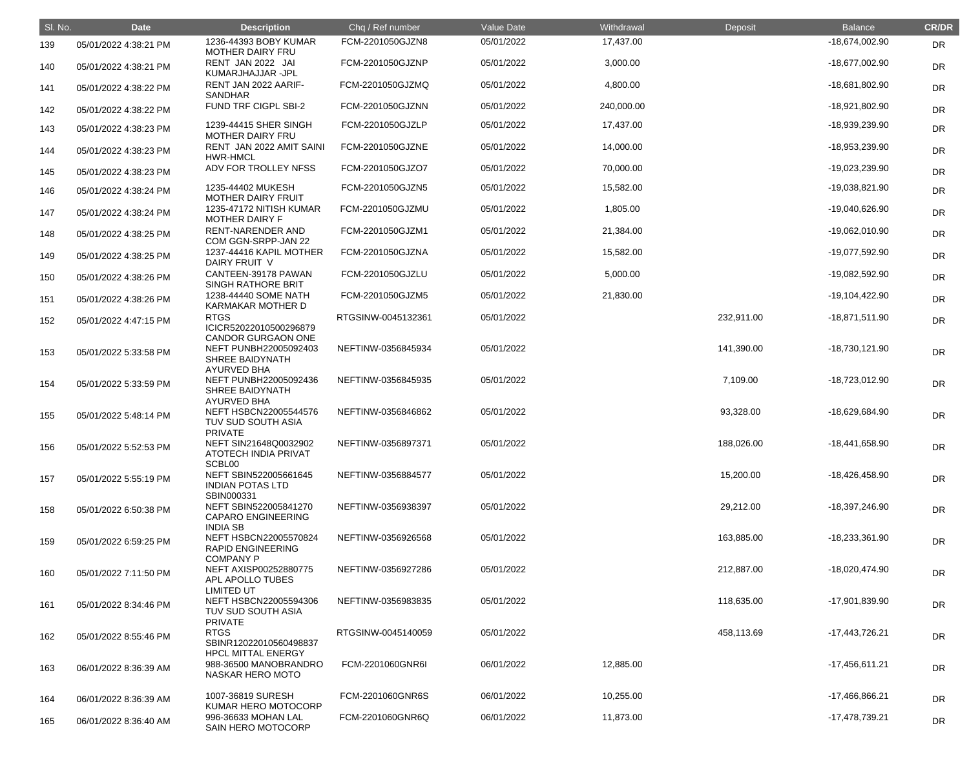| SI. No. | <b>Date</b>           | <b>Description</b>                                                                          | Chq / Ref number   | Value Date | Withdrawal | Deposit    | <b>Balance</b>   | <b>CR/DR</b> |
|---------|-----------------------|---------------------------------------------------------------------------------------------|--------------------|------------|------------|------------|------------------|--------------|
| 139     | 05/01/2022 4:38:21 PM | 1236-44393 BOBY KUMAR<br><b>MOTHER DAIRY FRU</b>                                            | FCM-2201050GJZN8   | 05/01/2022 | 17,437.00  |            | -18,674,002.90   | <b>DR</b>    |
| 140     | 05/01/2022 4:38:21 PM | RENT JAN 2022 JAI<br>KUMARJHAJJAR -JPL                                                      | FCM-2201050GJZNP   | 05/01/2022 | 3,000.00   |            | -18,677,002.90   | <b>DR</b>    |
| 141     | 05/01/2022 4:38:22 PM | RENT JAN 2022 AARIF-<br>SANDHAR                                                             | FCM-2201050GJZMQ   | 05/01/2022 | 4,800.00   |            | -18,681,802.90   | <b>DR</b>    |
| 142     | 05/01/2022 4:38:22 PM | FUND TRF CIGPL SBI-2                                                                        | FCM-2201050GJZNN   | 05/01/2022 | 240,000.00 |            | -18,921,802.90   | <b>DR</b>    |
| 143     | 05/01/2022 4:38:23 PM | 1239-44415 SHER SINGH<br><b>MOTHER DAIRY FRU</b>                                            | FCM-2201050GJZLP   | 05/01/2022 | 17,437.00  |            | -18,939,239.90   | <b>DR</b>    |
| 144     | 05/01/2022 4:38:23 PM | RENT JAN 2022 AMIT SAINI<br><b>HWR-HMCL</b>                                                 | FCM-2201050GJZNE   | 05/01/2022 | 14,000.00  |            | -18,953,239.90   | <b>DR</b>    |
| 145     | 05/01/2022 4:38:23 PM | ADV FOR TROLLEY NFSS                                                                        | FCM-2201050GJZO7   | 05/01/2022 | 70,000.00  |            | -19,023,239.90   | <b>DR</b>    |
| 146     | 05/01/2022 4:38:24 PM | 1235-44402 MUKESH<br><b>MOTHER DAIRY FRUIT</b>                                              | FCM-2201050GJZN5   | 05/01/2022 | 15,582.00  |            | -19,038,821.90   | <b>DR</b>    |
| 147     | 05/01/2022 4:38:24 PM | 1235-47172 NITISH KUMAR<br><b>MOTHER DAIRY F</b>                                            | FCM-2201050GJZMU   | 05/01/2022 | 1,805.00   |            | -19,040,626.90   | <b>DR</b>    |
| 148     | 05/01/2022 4:38:25 PM | <b>RENT-NARENDER AND</b><br>COM GGN-SRPP-JAN 22                                             | FCM-2201050GJZM1   | 05/01/2022 | 21,384.00  |            | -19,062,010.90   | <b>DR</b>    |
| 149     | 05/01/2022 4:38:25 PM | 1237-44416 KAPIL MOTHER<br>DAIRY FRUIT V                                                    | FCM-2201050GJZNA   | 05/01/2022 | 15,582.00  |            | -19,077,592.90   | DR           |
| 150     | 05/01/2022 4:38:26 PM | CANTEEN-39178 PAWAN<br>SINGH RATHORE BRIT                                                   | FCM-2201050GJZLU   | 05/01/2022 | 5,000.00   |            | -19,082,592.90   | <b>DR</b>    |
| 151     | 05/01/2022 4:38:26 PM | 1238-44440 SOME NATH<br>KARMAKAR MOTHER D                                                   | FCM-2201050GJZM5   | 05/01/2022 | 21,830.00  |            | -19,104,422.90   | <b>DR</b>    |
| 152     | 05/01/2022 4:47:15 PM | <b>RTGS</b><br>ICICR52022010500296879                                                       | RTGSINW-0045132361 | 05/01/2022 |            | 232,911.00 | $-18,871,511.90$ | DR           |
| 153     | 05/01/2022 5:33:58 PM | <b>CANDOR GURGAON ONE</b><br>NEFT PUNBH22005092403<br>SHREE BAIDYNATH<br><b>AYURVED BHA</b> | NEFTINW-0356845934 | 05/01/2022 |            | 141,390.00 | -18,730,121.90   | <b>DR</b>    |
| 154     | 05/01/2022 5:33:59 PM | NEFT PUNBH22005092436<br>SHREE BAIDYNATH                                                    | NEFTINW-0356845935 | 05/01/2022 |            | 7,109.00   | -18,723,012.90   | <b>DR</b>    |
| 155     | 05/01/2022 5:48:14 PM | <b>AYURVED BHA</b><br>NEFT HSBCN22005544576<br>TUV SUD SOUTH ASIA<br><b>PRIVATE</b>         | NEFTINW-0356846862 | 05/01/2022 |            | 93,328.00  | -18,629,684.90   | <b>DR</b>    |
| 156     | 05/01/2022 5:52:53 PM | NEFT SIN21648Q0032902<br><b>ATOTECH INDIA PRIVAT</b><br>SCBL00                              | NEFTINW-0356897371 | 05/01/2022 |            | 188,026.00 | -18,441,658.90   | <b>DR</b>    |
| 157     | 05/01/2022 5:55:19 PM | NEFT SBIN522005661645<br><b>INDIAN POTAS LTD</b><br>SBIN000331                              | NEFTINW-0356884577 | 05/01/2022 |            | 15,200.00  | -18,426,458.90   | <b>DR</b>    |
| 158     | 05/01/2022 6:50:38 PM | NEFT SBIN522005841270<br><b>CAPARO ENGINEERING</b><br><b>INDIA SB</b>                       | NEFTINW-0356938397 | 05/01/2022 |            | 29,212.00  | -18,397,246.90   | <b>DR</b>    |
| 159     | 05/01/2022 6:59:25 PM | NEFT HSBCN22005570824<br><b>RAPID ENGINEERING</b><br><b>COMPANY P</b>                       | NEFTINW-0356926568 | 05/01/2022 |            | 163,885.00 | -18,233,361.90   | DR           |
| 160     | 05/01/2022 7:11:50 PM | NEFT AXISP00252880775<br>APL APOLLO TUBES<br><b>LIMITED UT</b>                              | NEFTINW-0356927286 | 05/01/2022 |            | 212,887.00 | -18,020,474.90   | <b>DR</b>    |
| 161     | 05/01/2022 8:34:46 PM | NEFT HSBCN22005594306<br>TUV SUD SOUTH ASIA<br><b>PRIVATE</b>                               | NEFTINW-0356983835 | 05/01/2022 |            | 118,635.00 | -17,901,839.90   | <b>DR</b>    |
| 162     | 05/01/2022 8:55:46 PM | <b>RTGS</b><br>SBINR12022010560498837<br><b>HPCL MITTAL ENERGY</b>                          | RTGSINW-0045140059 | 05/01/2022 |            | 458,113.69 | -17,443,726.21   | <b>DR</b>    |
| 163     | 06/01/2022 8:36:39 AM | 988-36500 MANOBRANDRO<br>NASKAR HERO MOTO                                                   | FCM-2201060GNR6I   | 06/01/2022 | 12,885.00  |            | $-17,456,611.21$ | <b>DR</b>    |
| 164     | 06/01/2022 8:36:39 AM | 1007-36819 SURESH<br>KUMAR HERO MOTOCORP                                                    | FCM-2201060GNR6S   | 06/01/2022 | 10,255.00  |            | -17,466,866.21   | <b>DR</b>    |
| 165     | 06/01/2022 8:36:40 AM | 996-36633 MOHAN LAL<br>SAIN HERO MOTOCORP                                                   | FCM-2201060GNR6Q   | 06/01/2022 | 11,873.00  |            | -17,478,739.21   | <b>DR</b>    |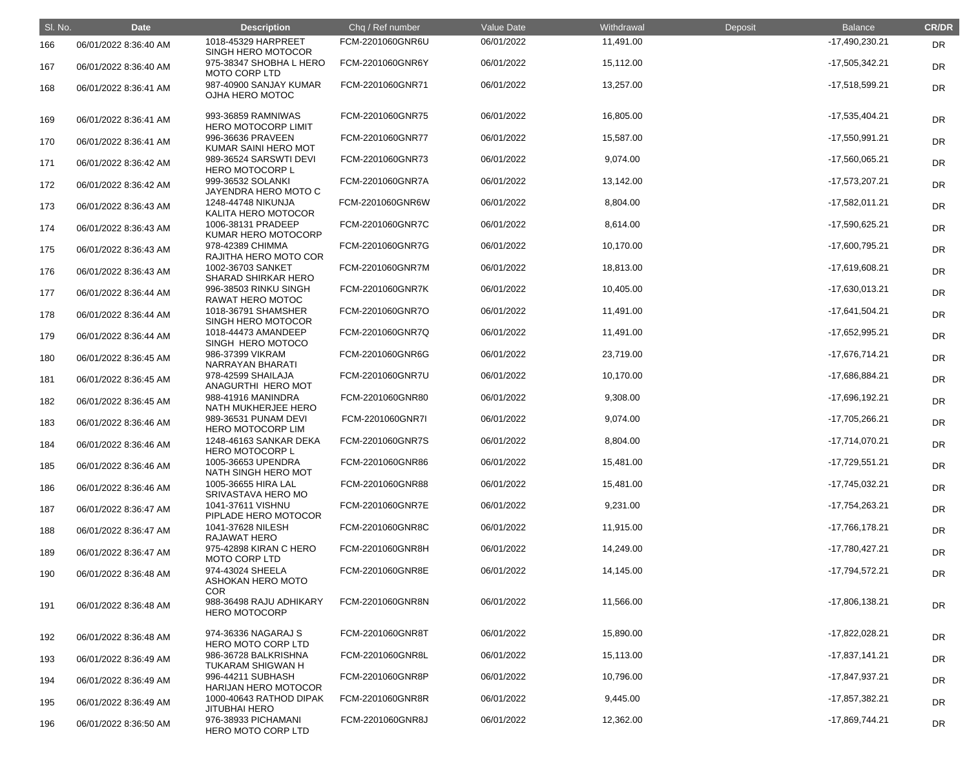| SI. No. | <b>Date</b>           | <b>Description</b>                                  | Chq / Ref number | <b>Value Date</b> | Withdrawal | Deposit | <b>Balance</b>   | <b>CR/DR</b> |
|---------|-----------------------|-----------------------------------------------------|------------------|-------------------|------------|---------|------------------|--------------|
| 166     | 06/01/2022 8:36:40 AM | 1018-45329 HARPREET<br>SINGH HERO MOTOCOR           | FCM-2201060GNR6U | 06/01/2022        | 11,491.00  |         | -17,490,230.21   | DR           |
| 167     | 06/01/2022 8:36:40 AM | 975-38347 SHOBHA L HERO<br><b>MOTO CORP LTD</b>     | FCM-2201060GNR6Y | 06/01/2022        | 15,112.00  |         | -17,505,342.21   | <b>DR</b>    |
| 168     | 06/01/2022 8:36:41 AM | 987-40900 SANJAY KUMAR<br>OJHA HERO MOTOC           | FCM-2201060GNR71 | 06/01/2022        | 13,257.00  |         | -17,518,599.21   | <b>DR</b>    |
| 169     | 06/01/2022 8:36:41 AM | 993-36859 RAMNIWAS<br><b>HERO MOTOCORP LIMIT</b>    | FCM-2201060GNR75 | 06/01/2022        | 16,805.00  |         | -17,535,404.21   | <b>DR</b>    |
| 170     | 06/01/2022 8:36:41 AM | 996-36636 PRAVEEN<br>KUMAR SAINI HERO MOT           | FCM-2201060GNR77 | 06/01/2022        | 15,587.00  |         | -17,550,991.21   | <b>DR</b>    |
| 171     | 06/01/2022 8:36:42 AM | 989-36524 SARSWTI DEVI<br><b>HERO MOTOCORP L</b>    | FCM-2201060GNR73 | 06/01/2022        | 9,074.00   |         | -17,560,065.21   | <b>DR</b>    |
| 172     | 06/01/2022 8:36:42 AM | 999-36532 SOLANKI<br>JAYENDRA HERO MOTO C           | FCM-2201060GNR7A | 06/01/2022        | 13,142.00  |         | -17,573,207.21   | DR           |
| 173     | 06/01/2022 8:36:43 AM | 1248-44748 NIKUNJA<br>KALITA HERO MOTOCOR           | FCM-2201060GNR6W | 06/01/2022        | 8,804.00   |         | -17,582,011.21   | DR           |
| 174     | 06/01/2022 8:36:43 AM | 1006-38131 PRADEEP<br>KUMAR HERO MOTOCORP           | FCM-2201060GNR7C | 06/01/2022        | 8,614.00   |         | -17,590,625.21   | <b>DR</b>    |
| 175     | 06/01/2022 8:36:43 AM | 978-42389 CHIMMA<br>RAJITHA HERO MOTO COR           | FCM-2201060GNR7G | 06/01/2022        | 10,170.00  |         | -17,600,795.21   | <b>DR</b>    |
| 176     | 06/01/2022 8:36:43 AM | 1002-36703 SANKET<br><b>SHARAD SHIRKAR HERO</b>     | FCM-2201060GNR7M | 06/01/2022        | 18,813.00  |         | -17,619,608.21   | DR           |
| 177     | 06/01/2022 8:36:44 AM | 996-38503 RINKU SINGH<br>RAWAT HERO MOTOC           | FCM-2201060GNR7K | 06/01/2022        | 10,405.00  |         | -17,630,013.21   | DR           |
| 178     | 06/01/2022 8:36:44 AM | 1018-36791 SHAMSHER<br>SINGH HERO MOTOCOR           | FCM-2201060GNR7O | 06/01/2022        | 11,491.00  |         | -17,641,504.21   | <b>DR</b>    |
| 179     | 06/01/2022 8:36:44 AM | 1018-44473 AMANDEEP<br>SINGH HERO MOTOCO            | FCM-2201060GNR7Q | 06/01/2022        | 11,491.00  |         | -17,652,995.21   | <b>DR</b>    |
| 180     | 06/01/2022 8:36:45 AM | 986-37399 VIKRAM<br>NARRAYAN BHARATI                | FCM-2201060GNR6G | 06/01/2022        | 23,719.00  |         | -17,676,714.21   | DR           |
| 181     | 06/01/2022 8:36:45 AM | 978-42599 SHAILAJA<br>ANAGURTHI HERO MOT            | FCM-2201060GNR7U | 06/01/2022        | 10,170.00  |         | -17,686,884.21   | DR           |
| 182     | 06/01/2022 8:36:45 AM | 988-41916 MANINDRA<br>NATH MUKHERJEE HERO           | FCM-2201060GNR80 | 06/01/2022        | 9,308.00   |         | -17,696,192.21   | <b>DR</b>    |
| 183     | 06/01/2022 8:36:46 AM | 989-36531 PUNAM DEVI<br><b>HERO MOTOCORP LIM</b>    | FCM-2201060GNR7I | 06/01/2022        | 9,074.00   |         | -17,705,266.21   | DR           |
| 184     | 06/01/2022 8:36:46 AM | 1248-46163 SANKAR DEKA<br><b>HERO MOTOCORP L</b>    | FCM-2201060GNR7S | 06/01/2022        | 8,804.00   |         | $-17,714,070.21$ | <b>DR</b>    |
| 185     | 06/01/2022 8:36:46 AM | 1005-36653 UPENDRA<br>NATH SINGH HERO MOT           | FCM-2201060GNR86 | 06/01/2022        | 15,481.00  |         | -17,729,551.21   | <b>DR</b>    |
| 186     | 06/01/2022 8:36:46 AM | 1005-36655 HIRA LAL<br>SRIVASTAVA HERO MO           | FCM-2201060GNR88 | 06/01/2022        | 15,481.00  |         | -17,745,032.21   | <b>DR</b>    |
| 187     | 06/01/2022 8:36:47 AM | 1041-37611 VISHNU<br>PIPLADE HERO MOTOCOR           | FCM-2201060GNR7E | 06/01/2022        | 9,231.00   |         | -17,754,263.21   | <b>DR</b>    |
| 188     | 06/01/2022 8:36:47 AM | 1041-37628 NILESH<br>RAJAWAT HERO                   | FCM-2201060GNR8C | 06/01/2022        | 11,915.00  |         | -17,766,178.21   | <b>DR</b>    |
| 189     | 06/01/2022 8:36:47 AM | 975-42898 KIRAN C HERO<br><b>MOTO CORP LTD</b>      | FCM-2201060GNR8H | 06/01/2022        | 14,249.00  |         | -17,780,427.21   | <b>DR</b>    |
| 190     | 06/01/2022 8:36:48 AM | 974-43024 SHEELA<br>ASHOKAN HERO MOTO<br><b>COR</b> | FCM-2201060GNR8E | 06/01/2022        | 14,145.00  |         | -17,794,572.21   | <b>DR</b>    |
| 191     | 06/01/2022 8:36:48 AM | 988-36498 RAJU ADHIKARY<br><b>HERO MOTOCORP</b>     | FCM-2201060GNR8N | 06/01/2022        | 11,566.00  |         | -17,806,138.21   | <b>DR</b>    |
| 192     | 06/01/2022 8:36:48 AM | 974-36336 NAGARAJ S<br>HERO MOTO CORP LTD           | FCM-2201060GNR8T | 06/01/2022        | 15,890.00  |         | -17,822,028.21   | DR           |
| 193     | 06/01/2022 8:36:49 AM | 986-36728 BALKRISHNA<br><b>TUKARAM SHIGWAN H</b>    | FCM-2201060GNR8L | 06/01/2022        | 15,113.00  |         | $-17,837,141.21$ | <b>DR</b>    |
| 194     | 06/01/2022 8:36:49 AM | 996-44211 SUBHASH<br><b>HARIJAN HERO MOTOCOR</b>    | FCM-2201060GNR8P | 06/01/2022        | 10,796.00  |         | -17,847,937.21   | <b>DR</b>    |
| 195     | 06/01/2022 8:36:49 AM | 1000-40643 RATHOD DIPAK<br><b>JITUBHAI HERO</b>     | FCM-2201060GNR8R | 06/01/2022        | 9,445.00   |         | -17,857,382.21   | <b>DR</b>    |
| 196     | 06/01/2022 8:36:50 AM | 976-38933 PICHAMANI<br>HERO MOTO CORP LTD           | FCM-2201060GNR8J | 06/01/2022        | 12,362.00  |         | -17,869,744.21   | DR           |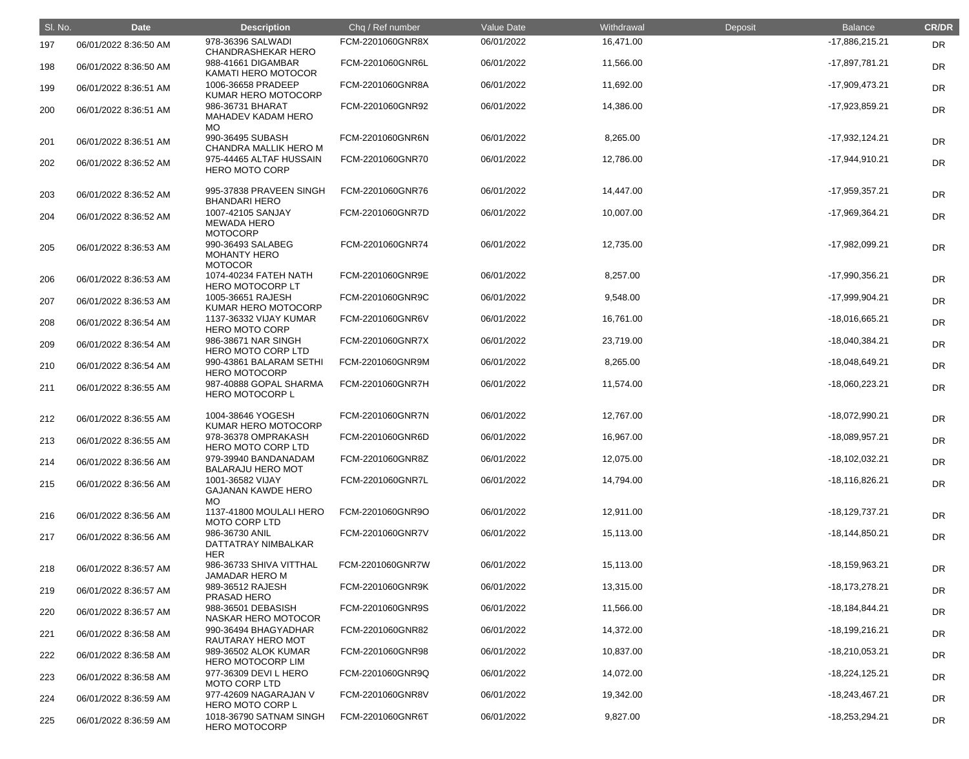| SI. No. | <b>Date</b>           | <b>Description</b>                                         | Chq / Ref number | <b>Value Date</b> | Withdrawal | Deposit | <b>Balance</b>     | <b>CR/DR</b> |
|---------|-----------------------|------------------------------------------------------------|------------------|-------------------|------------|---------|--------------------|--------------|
| 197     | 06/01/2022 8:36:50 AM | 978-36396 SALWADI<br><b>CHANDRASHEKAR HERO</b>             | FCM-2201060GNR8X | 06/01/2022        | 16,471.00  |         | -17,886,215.21     | <b>DR</b>    |
| 198     | 06/01/2022 8:36:50 AM | 988-41661 DIGAMBAR<br><b>KAMATI HERO MOTOCOR</b>           | FCM-2201060GNR6L | 06/01/2022        | 11,566.00  |         | -17,897,781.21     | <b>DR</b>    |
| 199     | 06/01/2022 8:36:51 AM | 1006-36658 PRADEEP<br>KUMAR HERO MOTOCORP                  | FCM-2201060GNR8A | 06/01/2022        | 11,692.00  |         | $-17,909,473.21$   | DR           |
| 200     | 06/01/2022 8:36:51 AM | 986-36731 BHARAT<br>MAHADEV KADAM HERO<br>MO.              | FCM-2201060GNR92 | 06/01/2022        | 14,386.00  |         | -17,923,859.21     | DR           |
| 201     | 06/01/2022 8:36:51 AM | 990-36495 SUBASH<br><b>CHANDRA MALLIK HERO M</b>           | FCM-2201060GNR6N | 06/01/2022        | 8,265.00   |         | $-17,932,124.21$   | <b>DR</b>    |
| 202     | 06/01/2022 8:36:52 AM | 975-44465 ALTAF HUSSAIN<br><b>HERO MOTO CORP</b>           | FCM-2201060GNR70 | 06/01/2022        | 12,786.00  |         | $-17,944,910.21$   | <b>DR</b>    |
| 203     | 06/01/2022 8:36:52 AM | 995-37838 PRAVEEN SINGH<br><b>BHANDARI HERO</b>            | FCM-2201060GNR76 | 06/01/2022        | 14,447.00  |         | -17,959,357.21     | DR           |
| 204     | 06/01/2022 8:36:52 AM | 1007-42105 SANJAY<br><b>MEWADA HERO</b><br><b>MOTOCORP</b> | FCM-2201060GNR7D | 06/01/2022        | 10,007.00  |         | -17,969,364.21     | <b>DR</b>    |
| 205     | 06/01/2022 8:36:53 AM | 990-36493 SALABEG<br><b>MOHANTY HERO</b><br><b>MOTOCOR</b> | FCM-2201060GNR74 | 06/01/2022        | 12,735.00  |         | -17,982,099.21     | <b>DR</b>    |
| 206     | 06/01/2022 8:36:53 AM | 1074-40234 FATEH NATH<br><b>HERO MOTOCORP LT</b>           | FCM-2201060GNR9E | 06/01/2022        | 8,257.00   |         | -17,990,356.21     | <b>DR</b>    |
| 207     | 06/01/2022 8:36:53 AM | 1005-36651 RAJESH<br>KUMAR HERO MOTOCORP                   | FCM-2201060GNR9C | 06/01/2022        | 9,548.00   |         | -17,999,904.21     | <b>DR</b>    |
| 208     | 06/01/2022 8:36:54 AM | 1137-36332 VIJAY KUMAR<br><b>HERO MOTO CORP</b>            | FCM-2201060GNR6V | 06/01/2022        | 16,761.00  |         | -18,016,665.21     | <b>DR</b>    |
| 209     | 06/01/2022 8:36:54 AM | 986-38671 NAR SINGH<br>HERO MOTO CORP LTD                  | FCM-2201060GNR7X | 06/01/2022        | 23,719.00  |         | -18,040,384.21     | <b>DR</b>    |
| 210     | 06/01/2022 8:36:54 AM | 990-43861 BALARAM SETHI<br><b>HERO MOTOCORP</b>            | FCM-2201060GNR9M | 06/01/2022        | 8,265.00   |         | -18,048,649.21     | <b>DR</b>    |
| 211     | 06/01/2022 8:36:55 AM | 987-40888 GOPAL SHARMA<br><b>HERO MOTOCORP L</b>           | FCM-2201060GNR7H | 06/01/2022        | 11,574.00  |         | $-18,060,223.21$   | <b>DR</b>    |
| 212     | 06/01/2022 8:36:55 AM | 1004-38646 YOGESH<br>KUMAR HERO MOTOCORP                   | FCM-2201060GNR7N | 06/01/2022        | 12,767.00  |         | -18,072,990.21     | <b>DR</b>    |
| 213     | 06/01/2022 8:36:55 AM | 978-36378 OMPRAKASH<br>HERO MOTO CORP LTD                  | FCM-2201060GNR6D | 06/01/2022        | 16,967.00  |         | -18,089,957.21     | <b>DR</b>    |
| 214     | 06/01/2022 8:36:56 AM | 979-39940 BANDANADAM<br><b>BALARAJU HERO MOT</b>           | FCM-2201060GNR8Z | 06/01/2022        | 12,075.00  |         | $-18,102,032.21$   | DR           |
| 215     | 06/01/2022 8:36:56 AM | 1001-36582 VIJAY<br><b>GAJANAN KAWDE HERO</b><br>MO.       | FCM-2201060GNR7L | 06/01/2022        | 14,794.00  |         | $-18,116,826.21$   | <b>DR</b>    |
| 216     | 06/01/2022 8:36:56 AM | 1137-41800 MOULALI HERO<br><b>MOTO CORP LTD</b>            | FCM-2201060GNR9O | 06/01/2022        | 12,911.00  |         | $-18,129,737.21$   | <b>DR</b>    |
| 217     | 06/01/2022 8:36:56 AM | 986-36730 ANIL<br>DATTATRAY NIMBALKAR<br><b>HER</b>        | FCM-2201060GNR7V | 06/01/2022        | 15,113.00  |         | $-18, 144, 850.21$ | <b>DR</b>    |
| 218     | 06/01/2022 8:36:57 AM | 986-36733 SHIVA VITTHAL<br><b>JAMADAR HERO M</b>           | FCM-2201060GNR7W | 06/01/2022        | 15,113.00  |         | -18,159,963.21     | <b>DR</b>    |
| 219     | 06/01/2022 8:36:57 AM | 989-36512 RAJESH<br>PRASAD HERO                            | FCM-2201060GNR9K | 06/01/2022        | 13,315.00  |         | $-18,173,278.21$   | DR           |
| 220     | 06/01/2022 8:36:57 AM | 988-36501 DEBASISH<br>NASKAR HERO MOTOCOR                  | FCM-2201060GNR9S | 06/01/2022        | 11,566.00  |         | $-18,184,844.21$   | <b>DR</b>    |
| 221     | 06/01/2022 8:36:58 AM | 990-36494 BHAGYADHAR<br>RAUTARAY HERO MOT                  | FCM-2201060GNR82 | 06/01/2022        | 14,372.00  |         | $-18,199,216.21$   | <b>DR</b>    |
| 222     | 06/01/2022 8:36:58 AM | 989-36502 ALOK KUMAR<br><b>HERO MOTOCORP LIM</b>           | FCM-2201060GNR98 | 06/01/2022        | 10,837.00  |         | $-18,210,053.21$   | DR           |
| 223     | 06/01/2022 8:36:58 AM | 977-36309 DEVI L HERO<br><b>MOTO CORP LTD</b>              | FCM-2201060GNR9Q | 06/01/2022        | 14,072.00  |         | $-18,224,125.21$   | <b>DR</b>    |
| 224     | 06/01/2022 8:36:59 AM | 977-42609 NAGARAJAN V<br><b>HERO MOTO CORP L</b>           | FCM-2201060GNR8V | 06/01/2022        | 19,342.00  |         | -18,243,467.21     | <b>DR</b>    |
| 225     | 06/01/2022 8:36:59 AM | 1018-36790 SATNAM SINGH<br><b>HERO MOTOCORP</b>            | FCM-2201060GNR6T | 06/01/2022        | 9,827.00   |         | -18,253,294.21     | DR           |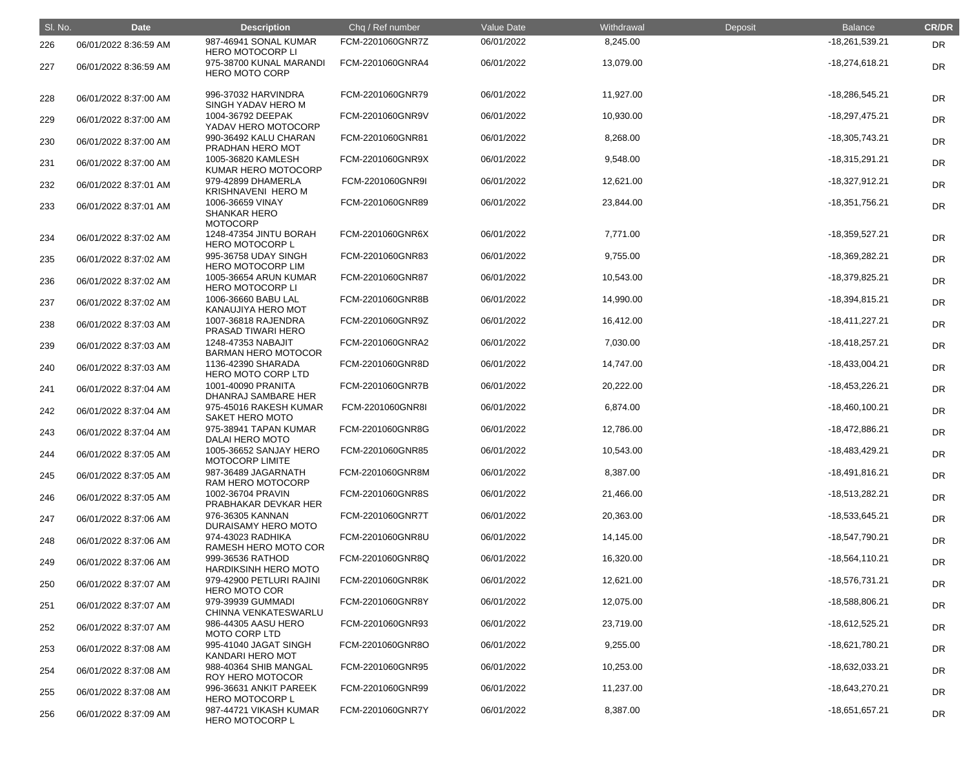| SI. No. | <b>Date</b>           | <b>Description</b>                                         | Chq / Ref number | Value Date | Withdrawal | Deposit | <b>Balance</b>   | <b>CR/DR</b> |
|---------|-----------------------|------------------------------------------------------------|------------------|------------|------------|---------|------------------|--------------|
| 226     | 06/01/2022 8:36:59 AM | 987-46941 SONAL KUMAR<br><b>HERO MOTOCORP LI</b>           | FCM-2201060GNR7Z | 06/01/2022 | 8,245.00   |         | -18,261,539.21   | <b>DR</b>    |
| 227     | 06/01/2022 8:36:59 AM | 975-38700 KUNAL MARANDI<br><b>HERO MOTO CORP</b>           | FCM-2201060GNRA4 | 06/01/2022 | 13,079.00  |         | $-18,274,618.21$ | <b>DR</b>    |
| 228     | 06/01/2022 8:37:00 AM | 996-37032 HARVINDRA<br>SINGH YADAV HERO M                  | FCM-2201060GNR79 | 06/01/2022 | 11,927.00  |         | -18,286,545.21   | <b>DR</b>    |
| 229     | 06/01/2022 8:37:00 AM | 1004-36792 DEEPAK<br>YADAV HERO MOTOCORP                   | FCM-2201060GNR9V | 06/01/2022 | 10,930.00  |         | $-18,297,475.21$ | DR           |
| 230     | 06/01/2022 8:37:00 AM | 990-36492 KALU CHARAN<br>PRADHAN HERO MOT                  | FCM-2201060GNR81 | 06/01/2022 | 8,268.00   |         | $-18,305,743.21$ | <b>DR</b>    |
| 231     | 06/01/2022 8:37:00 AM | 1005-36820 KAMLESH<br>KUMAR HERO MOTOCORP                  | FCM-2201060GNR9X | 06/01/2022 | 9,548.00   |         | $-18,315,291.21$ | <b>DR</b>    |
| 232     | 06/01/2022 8:37:01 AM | 979-42899 DHAMERLA<br><b>KRISHNAVENI HERO M</b>            | FCM-2201060GNR9I | 06/01/2022 | 12,621.00  |         | $-18,327,912.21$ | DR           |
| 233     | 06/01/2022 8:37:01 AM | 1006-36659 VINAY<br><b>SHANKAR HERO</b><br><b>MOTOCORP</b> | FCM-2201060GNR89 | 06/01/2022 | 23,844.00  |         | $-18,351,756.21$ | DR           |
| 234     | 06/01/2022 8:37:02 AM | 1248-47354 JINTU BORAH<br><b>HERO MOTOCORP L</b>           | FCM-2201060GNR6X | 06/01/2022 | 7,771.00   |         | $-18,359,527.21$ | <b>DR</b>    |
| 235     | 06/01/2022 8:37:02 AM | 995-36758 UDAY SINGH<br><b>HERO MOTOCORP LIM</b>           | FCM-2201060GNR83 | 06/01/2022 | 9,755.00   |         | -18,369,282.21   | <b>DR</b>    |
| 236     | 06/01/2022 8:37:02 AM | 1005-36654 ARUN KUMAR<br><b>HERO MOTOCORP LI</b>           | FCM-2201060GNR87 | 06/01/2022 | 10,543.00  |         | -18,379,825.21   | <b>DR</b>    |
| 237     | 06/01/2022 8:37:02 AM | 1006-36660 BABU LAL<br>KANAUJIYA HERO MOT                  | FCM-2201060GNR8B | 06/01/2022 | 14,990.00  |         | -18,394,815.21   | <b>DR</b>    |
| 238     | 06/01/2022 8:37:03 AM | 1007-36818 RAJENDRA<br>PRASAD TIWARI HERO                  | FCM-2201060GNR9Z | 06/01/2022 | 16,412.00  |         | $-18,411,227.21$ | <b>DR</b>    |
| 239     | 06/01/2022 8:37:03 AM | 1248-47353 NABAJIT<br><b>BARMAN HERO MOTOCOR</b>           | FCM-2201060GNRA2 | 06/01/2022 | 7,030.00   |         | $-18,418,257.21$ | <b>DR</b>    |
| 240     | 06/01/2022 8:37:03 AM | 1136-42390 SHARADA<br>HERO MOTO CORP LTD                   | FCM-2201060GNR8D | 06/01/2022 | 14,747.00  |         | $-18,433,004.21$ | <b>DR</b>    |
| 241     | 06/01/2022 8:37:04 AM | 1001-40090 PRANITA<br>DHANRAJ SAMBARE HER                  | FCM-2201060GNR7B | 06/01/2022 | 20,222.00  |         | -18,453,226.21   | <b>DR</b>    |
| 242     | 06/01/2022 8:37:04 AM | 975-45016 RAKESH KUMAR<br>SAKET HERO MOTO                  | FCM-2201060GNR8I | 06/01/2022 | 6,874.00   |         | $-18,460,100.21$ | <b>DR</b>    |
| 243     | 06/01/2022 8:37:04 AM | 975-38941 TAPAN KUMAR<br>DALAI HERO MOTO                   | FCM-2201060GNR8G | 06/01/2022 | 12,786.00  |         | -18,472,886.21   | <b>DR</b>    |
| 244     | 06/01/2022 8:37:05 AM | 1005-36652 SANJAY HERO<br>MOTOCORP LIMITE                  | FCM-2201060GNR85 | 06/01/2022 | 10,543.00  |         | $-18,483,429.21$ | <b>DR</b>    |
| 245     | 06/01/2022 8:37:05 AM | 987-36489 JAGARNATH<br>RAM HERO MOTOCORP                   | FCM-2201060GNR8M | 06/01/2022 | 8,387.00   |         | $-18,491,816.21$ | <b>DR</b>    |
| 246     | 06/01/2022 8:37:05 AM | 1002-36704 PRAVIN<br>PRABHAKAR DEVKAR HER                  | FCM-2201060GNR8S | 06/01/2022 | 21,466.00  |         | $-18,513,282.21$ | <b>DR</b>    |
| 247     | 06/01/2022 8:37:06 AM | 976-36305 KANNAN<br>DURAISAMY HERO MOTO                    | FCM-2201060GNR7T | 06/01/2022 | 20,363.00  |         | -18,533,645.21   | <b>DR</b>    |
| 248     | 06/01/2022 8:37:06 AM | 974-43023 RADHIKA<br>RAMESH HERO MOTO COR                  | FCM-2201060GNR8U | 06/01/2022 | 14,145.00  |         | -18,547,790.21   | <b>DR</b>    |
| 249     | 06/01/2022 8:37:06 AM | 999-36536 RATHOD<br>HARDIKSINH HERO MOTO                   | FCM-2201060GNR8Q | 06/01/2022 | 16,320.00  |         | $-18,564,110.21$ | <b>DR</b>    |
| 250     | 06/01/2022 8:37:07 AM | 979-42900 PETLURI RAJINI<br><b>HERO MOTO COR</b>           | FCM-2201060GNR8K | 06/01/2022 | 12,621.00  |         | -18,576,731.21   | <b>DR</b>    |
| 251     | 06/01/2022 8:37:07 AM | 979-39939 GUMMADI<br>CHINNA VENKATESWARLU                  | FCM-2201060GNR8Y | 06/01/2022 | 12,075.00  |         | -18,588,806.21   | <b>DR</b>    |
| 252     | 06/01/2022 8:37:07 AM | 986-44305 AASU HERO<br><b>MOTO CORP LTD</b>                | FCM-2201060GNR93 | 06/01/2022 | 23,719.00  |         | $-18,612,525.21$ | <b>DR</b>    |
| 253     | 06/01/2022 8:37:08 AM | 995-41040 JAGAT SINGH<br><b>KANDARI HERO MOT</b>           | FCM-2201060GNR8O | 06/01/2022 | 9,255.00   |         | -18,621,780.21   | <b>DR</b>    |
| 254     | 06/01/2022 8:37:08 AM | 988-40364 SHIB MANGAL<br>ROY HERO MOTOCOR                  | FCM-2201060GNR95 | 06/01/2022 | 10,253.00  |         | -18,632,033.21   | <b>DR</b>    |
| 255     | 06/01/2022 8:37:08 AM | 996-36631 ANKIT PAREEK<br><b>HERO MOTOCORP L</b>           | FCM-2201060GNR99 | 06/01/2022 | 11,237.00  |         | -18,643,270.21   | <b>DR</b>    |
| 256     | 06/01/2022 8:37:09 AM | 987-44721 VIKASH KUMAR<br><b>HERO MOTOCORP L</b>           | FCM-2201060GNR7Y | 06/01/2022 | 8,387.00   |         | $-18,651,657.21$ | <b>DR</b>    |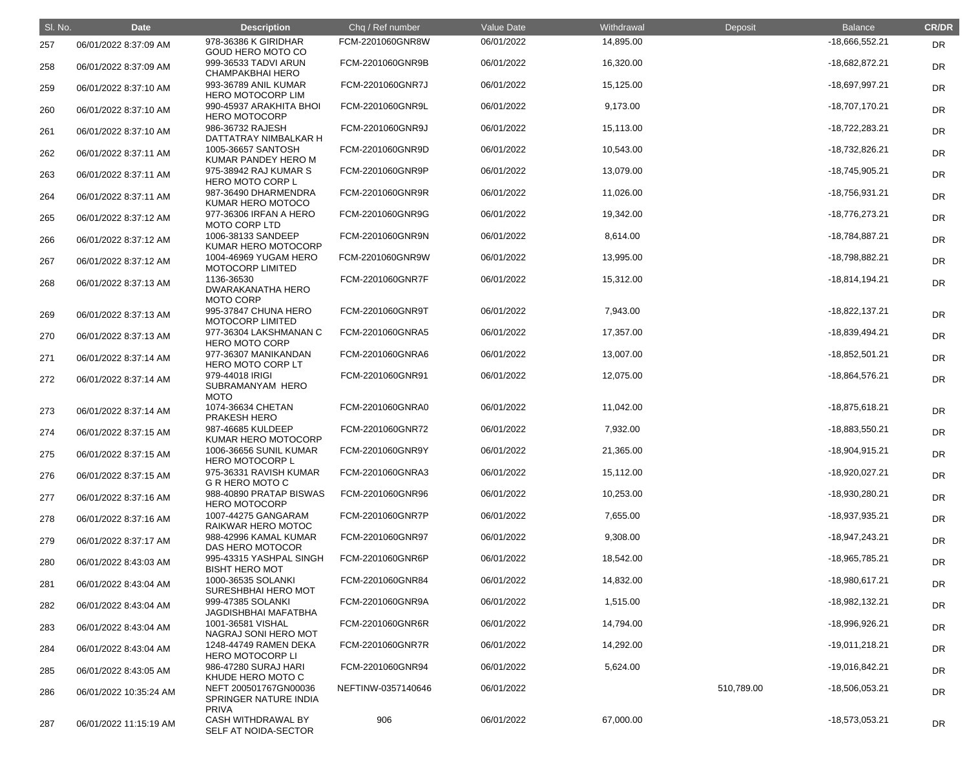| SI. No. | <b>Date</b>            | <b>Description</b>                                             | Chq / Ref number   | Value Date | Withdrawal | Deposit    | <b>Balance</b>   | <b>CR/DR</b> |
|---------|------------------------|----------------------------------------------------------------|--------------------|------------|------------|------------|------------------|--------------|
| 257     | 06/01/2022 8:37:09 AM  | 978-36386 K GIRIDHAR<br>GOUD HERO MOTO CO                      | FCM-2201060GNR8W   | 06/01/2022 | 14,895.00  |            | -18,666,552.21   | DR           |
| 258     | 06/01/2022 8:37:09 AM  | 999-36533 TADVI ARUN<br><b>CHAMPAKBHAI HERO</b>                | FCM-2201060GNR9B   | 06/01/2022 | 16,320.00  |            | -18,682,872.21   | <b>DR</b>    |
| 259     | 06/01/2022 8:37:10 AM  | 993-36789 ANIL KUMAR<br><b>HERO MOTOCORP LIM</b>               | FCM-2201060GNR7J   | 06/01/2022 | 15,125.00  |            | -18,697,997.21   | <b>DR</b>    |
| 260     | 06/01/2022 8:37:10 AM  | 990-45937 ARAKHITA BHOI<br><b>HERO MOTOCORP</b>                | FCM-2201060GNR9L   | 06/01/2022 | 9,173.00   |            | $-18,707,170.21$ | <b>DR</b>    |
| 261     | 06/01/2022 8:37:10 AM  | 986-36732 RAJESH<br>DATTATRAY NIMBALKAR H                      | FCM-2201060GNR9J   | 06/01/2022 | 15,113.00  |            | $-18,722,283.21$ | <b>DR</b>    |
| 262     | 06/01/2022 8:37:11 AM  | 1005-36657 SANTOSH<br>KUMAR PANDEY HERO M                      | FCM-2201060GNR9D   | 06/01/2022 | 10,543.00  |            | -18,732,826.21   | <b>DR</b>    |
| 263     | 06/01/2022 8:37:11 AM  | 975-38942 RAJ KUMAR S<br>HERO MOTO CORP L                      | FCM-2201060GNR9P   | 06/01/2022 | 13,079.00  |            | -18,745,905.21   | <b>DR</b>    |
| 264     | 06/01/2022 8:37:11 AM  | 987-36490 DHARMENDRA<br>KUMAR HERO MOTOCO                      | FCM-2201060GNR9R   | 06/01/2022 | 11,026.00  |            | -18,756,931.21   | <b>DR</b>    |
| 265     | 06/01/2022 8:37:12 AM  | 977-36306 IRFAN A HERO<br><b>MOTO CORP LTD</b>                 | FCM-2201060GNR9G   | 06/01/2022 | 19,342.00  |            | -18,776,273.21   | <b>DR</b>    |
| 266     | 06/01/2022 8:37:12 AM  | 1006-38133 SANDEEP<br>KUMAR HERO MOTOCORP                      | FCM-2201060GNR9N   | 06/01/2022 | 8,614.00   |            | -18,784,887.21   | <b>DR</b>    |
| 267     | 06/01/2022 8:37:12 AM  | 1004-46969 YUGAM HERO<br><b>MOTOCORP LIMITED</b>               | FCM-2201060GNR9W   | 06/01/2022 | 13,995.00  |            | -18,798,882.21   | <b>DR</b>    |
| 268     | 06/01/2022 8:37:13 AM  | 1136-36530<br><b>DWARAKANATHA HERO</b><br><b>MOTO CORP</b>     | FCM-2201060GNR7F   | 06/01/2022 | 15,312.00  |            | $-18,814,194.21$ | <b>DR</b>    |
| 269     | 06/01/2022 8:37:13 AM  | 995-37847 CHUNA HERO<br><b>MOTOCORP LIMITED</b>                | FCM-2201060GNR9T   | 06/01/2022 | 7,943.00   |            | $-18,822,137.21$ | <b>DR</b>    |
| 270     | 06/01/2022 8:37:13 AM  | 977-36304 LAKSHMANAN C<br><b>HERO MOTO CORP</b>                | FCM-2201060GNRA5   | 06/01/2022 | 17,357.00  |            | -18,839,494.21   | <b>DR</b>    |
| 271     | 06/01/2022 8:37:14 AM  | 977-36307 MANIKANDAN<br>HERO MOTO CORP LT                      | FCM-2201060GNRA6   | 06/01/2022 | 13,007.00  |            | $-18,852,501.21$ | <b>DR</b>    |
| 272     | 06/01/2022 8:37:14 AM  | 979-44018 IRIGI<br>SUBRAMANYAM HERO<br><b>MOTO</b>             | FCM-2201060GNR91   | 06/01/2022 | 12,075.00  |            | -18,864,576.21   | <b>DR</b>    |
| 273     | 06/01/2022 8:37:14 AM  | 1074-36634 CHETAN<br>PRAKESH HERO                              | FCM-2201060GNRA0   | 06/01/2022 | 11,042.00  |            | -18,875,618.21   | <b>DR</b>    |
| 274     | 06/01/2022 8:37:15 AM  | 987-46685 KULDEEP<br>KUMAR HERO MOTOCORP                       | FCM-2201060GNR72   | 06/01/2022 | 7,932.00   |            | -18,883,550.21   | <b>DR</b>    |
| 275     | 06/01/2022 8:37:15 AM  | 1006-36656 SUNIL KUMAR<br><b>HERO MOTOCORP L</b>               | FCM-2201060GNR9Y   | 06/01/2022 | 21,365.00  |            | $-18,904,915.21$ | <b>DR</b>    |
| 276     | 06/01/2022 8:37:15 AM  | 975-36331 RAVISH KUMAR<br>G R HERO MOTO C                      | FCM-2201060GNRA3   | 06/01/2022 | 15,112.00  |            | -18,920,027.21   | <b>DR</b>    |
| 277     | 06/01/2022 8:37:16 AM  | 988-40890 PRATAP BISWAS<br><b>HERO MOTOCORP</b>                | FCM-2201060GNR96   | 06/01/2022 | 10,253.00  |            | -18,930,280.21   | <b>DR</b>    |
| 278     | 06/01/2022 8:37:16 AM  | 1007-44275 GANGARAM<br>RAIKWAR HERO MOTOC                      | FCM-2201060GNR7P   | 06/01/2022 | 7,655.00   |            | -18,937,935.21   | <b>DR</b>    |
| 279     | 06/01/2022 8:37:17 AM  | 988-42996 KAMAL KUMAR<br>DAS HERO MOTOCOR                      | FCM-2201060GNR97   | 06/01/2022 | 9,308.00   |            | $-18,947,243.21$ | <b>DR</b>    |
| 280     | 06/01/2022 8:43:03 AM  | 995-43315 YASHPAL SINGH<br><b>BISHT HERO MOT</b>               | FCM-2201060GNR6P   | 06/01/2022 | 18,542.00  |            | -18,965,785.21   | <b>DR</b>    |
| 281     | 06/01/2022 8:43:04 AM  | 1000-36535 SOLANKI<br>SURESHBHAI HERO MOT                      | FCM-2201060GNR84   | 06/01/2022 | 14,832.00  |            | -18,980,617.21   | <b>DR</b>    |
| 282     | 06/01/2022 8:43:04 AM  | 999-47385 SOLANKI<br><b>JAGDISHBHAI MAFATBHA</b>               | FCM-2201060GNR9A   | 06/01/2022 | 1,515.00   |            | -18,982,132.21   | <b>DR</b>    |
| 283     | 06/01/2022 8:43:04 AM  | 1001-36581 VISHAL<br>NAGRAJ SONI HERO MOT                      | FCM-2201060GNR6R   | 06/01/2022 | 14,794.00  |            | -18,996,926.21   | <b>DR</b>    |
| 284     | 06/01/2022 8:43:04 AM  | 1248-44749 RAMEN DEKA<br><b>HERO MOTOCORP LI</b>               | FCM-2201060GNR7R   | 06/01/2022 | 14,292.00  |            | $-19,011,218.21$ | <b>DR</b>    |
| 285     | 06/01/2022 8:43:05 AM  | 986-47280 SURAJ HARI<br>KHUDE HERO MOTO C                      | FCM-2201060GNR94   | 06/01/2022 | 5,624.00   |            | $-19,016,842.21$ | <b>DR</b>    |
| 286     | 06/01/2022 10:35:24 AM | NEFT 200501767GN00036<br>SPRINGER NATURE INDIA<br><b>PRIVA</b> | NEFTINW-0357140646 | 06/01/2022 |            | 510,789.00 | -18,506,053.21   | <b>DR</b>    |
| 287     | 06/01/2022 11:15:19 AM | <b>CASH WITHDRAWAL BY</b><br>SELF AT NOIDA-SECTOR              | 906                | 06/01/2022 | 67,000.00  |            | $-18,573,053.21$ | DR           |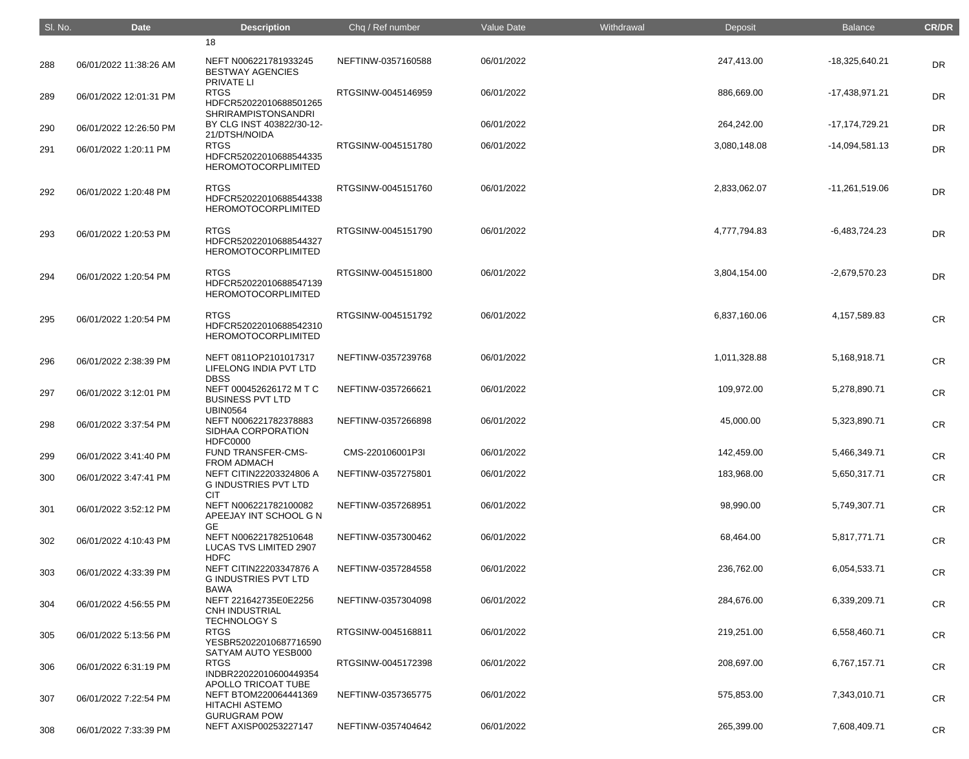| SI. No. | <b>Date</b>            | <b>Description</b>                                                                   | Chq / Ref number   | Value Date | Withdrawal | Deposit      | <b>Balance</b>   | <b>CR/DR</b> |
|---------|------------------------|--------------------------------------------------------------------------------------|--------------------|------------|------------|--------------|------------------|--------------|
|         |                        | 18                                                                                   |                    |            |            |              |                  |              |
| 288     | 06/01/2022 11:38:26 AM | NEFT N006221781933245<br><b>BESTWAY AGENCIES</b><br>PRIVATE LI                       | NEFTINW-0357160588 | 06/01/2022 |            | 247,413.00   | $-18,325,640.21$ | <b>DR</b>    |
| 289     | 06/01/2022 12:01:31 PM | <b>RTGS</b><br>HDFCR52022010688501265<br><b>SHRIRAMPISTONSANDRI</b>                  | RTGSINW-0045146959 | 06/01/2022 |            | 886,669.00   | $-17,438,971.21$ | <b>DR</b>    |
| 290     | 06/01/2022 12:26:50 PM | BY CLG INST 403822/30-12-<br>21/DTSH/NOIDA                                           |                    | 06/01/2022 |            | 264,242.00   | -17,174,729.21   | <b>DR</b>    |
| 291     | 06/01/2022 1:20:11 PM  | <b>RTGS</b><br>HDFCR52022010688544335<br><b>HEROMOTOCORPLIMITED</b>                  | RTGSINW-0045151780 | 06/01/2022 |            | 3,080,148.08 | $-14,094,581.13$ | <b>DR</b>    |
| 292     | 06/01/2022 1:20:48 PM  | <b>RTGS</b><br>HDFCR52022010688544338<br><b>HEROMOTOCORPLIMITED</b>                  | RTGSINW-0045151760 | 06/01/2022 |            | 2,833,062.07 | $-11,261,519.06$ | <b>DR</b>    |
| 293     | 06/01/2022 1:20:53 PM  | <b>RTGS</b><br>HDFCR52022010688544327<br><b>HEROMOTOCORPLIMITED</b>                  | RTGSINW-0045151790 | 06/01/2022 |            | 4,777,794.83 | $-6,483,724.23$  | <b>DR</b>    |
| 294     | 06/01/2022 1:20:54 PM  | <b>RTGS</b><br>HDFCR52022010688547139<br><b>HEROMOTOCORPLIMITED</b>                  | RTGSINW-0045151800 | 06/01/2022 |            | 3,804,154.00 | $-2,679,570.23$  | <b>DR</b>    |
| 295     | 06/01/2022 1:20:54 PM  | <b>RTGS</b><br>HDFCR52022010688542310<br><b>HEROMOTOCORPLIMITED</b>                  | RTGSINW-0045151792 | 06/01/2022 |            | 6,837,160.06 | 4,157,589.83     | <b>CR</b>    |
| 296     | 06/01/2022 2:38:39 PM  | NEFT 0811OP2101017317<br>LIFELONG INDIA PVT LTD<br><b>DBSS</b>                       | NEFTINW-0357239768 | 06/01/2022 |            | 1,011,328.88 | 5,168,918.71     | <b>CR</b>    |
| 297     | 06/01/2022 3:12:01 PM  | NEFT 000452626172 M T C<br><b>BUSINESS PVT LTD</b>                                   | NEFTINW-0357266621 | 06/01/2022 |            | 109,972.00   | 5,278,890.71     | <b>CR</b>    |
| 298     | 06/01/2022 3:37:54 PM  | <b>UBIN0564</b><br>NEFT N006221782378883<br>SIDHAA CORPORATION<br><b>HDFC0000</b>    | NEFTINW-0357266898 | 06/01/2022 |            | 45,000.00    | 5,323,890.71     | <b>CR</b>    |
| 299     | 06/01/2022 3:41:40 PM  | FUND TRANSFER-CMS-<br><b>FROM ADMACH</b>                                             | CMS-220106001P3I   | 06/01/2022 |            | 142,459.00   | 5,466,349.71     | <b>CR</b>    |
| 300     | 06/01/2022 3:47:41 PM  | NEFT CITIN22203324806 A<br><b>G INDUSTRIES PVT LTD</b><br><b>CIT</b>                 | NEFTINW-0357275801 | 06/01/2022 |            | 183,968.00   | 5,650,317.71     | <b>CR</b>    |
| 301     | 06/01/2022 3:52:12 PM  | NEFT N006221782100082<br>APEEJAY INT SCHOOL G N<br><b>GE</b>                         | NEFTINW-0357268951 | 06/01/2022 |            | 98,990.00    | 5,749,307.71     | <b>CR</b>    |
| 302     | 06/01/2022 4:10:43 PM  | NEFT N006221782510648<br>LUCAS TVS LIMITED 2907                                      | NEFTINW-0357300462 | 06/01/2022 |            | 68,464.00    | 5,817,771.71     | <b>CR</b>    |
| 303     | 06/01/2022 4:33:39 PM  | <b>HDFC</b><br>NEFT CITIN22203347876 A<br><b>G INDUSTRIES PVT LTD</b>                | NEFTINW-0357284558 | 06/01/2022 |            | 236,762.00   | 6,054,533.71     | <b>CR</b>    |
| 304     | 06/01/2022 4:56:55 PM  | <b>BAWA</b><br>NEFT 221642735E0E2256<br><b>CNH INDUSTRIAL</b><br><b>TECHNOLOGY S</b> | NEFTINW-0357304098 | 06/01/2022 |            | 284,676.00   | 6,339,209.71     | <b>CR</b>    |
| 305     | 06/01/2022 5:13:56 PM  | <b>RTGS</b><br>YESBR52022010687716590<br>SATYAM AUTO YESB000                         | RTGSINW-0045168811 | 06/01/2022 |            | 219,251.00   | 6,558,460.71     | <b>CR</b>    |
| 306     | 06/01/2022 6:31:19 PM  | <b>RTGS</b><br>INDBR22022010600449354<br>APOLLO TRICOAT TUBE                         | RTGSINW-0045172398 | 06/01/2022 |            | 208,697.00   | 6,767,157.71     | <b>CR</b>    |
| 307     | 06/01/2022 7:22:54 PM  | NEFT BTOM220064441369<br><b>HITACHI ASTEMO</b><br><b>GURUGRAM POW</b>                | NEFTINW-0357365775 | 06/01/2022 |            | 575,853.00   | 7,343,010.71     | <b>CR</b>    |
| 308     | 06/01/2022 7:33:39 PM  | NEFT AXISP00253227147                                                                | NEFTINW-0357404642 | 06/01/2022 |            | 265,399.00   | 7,608,409.71     | CR           |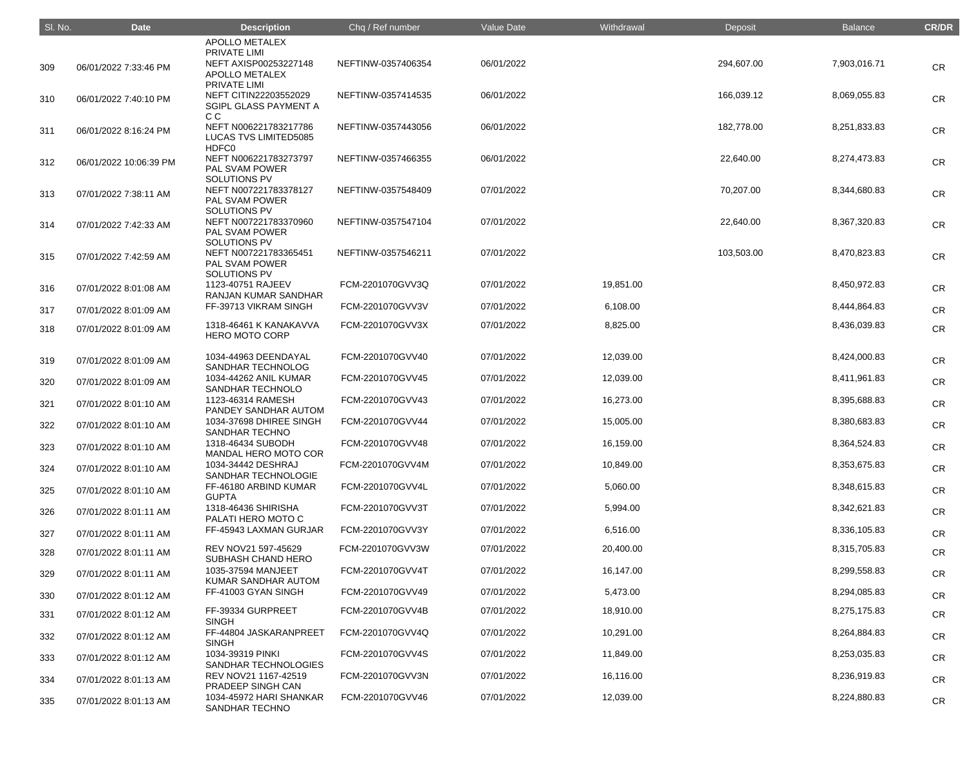| SI. No. | <b>Date</b>            | <b>Description</b>                                                                    | Chq / Ref number   | <b>Value Date</b> | Withdrawal | Deposit    | <b>Balance</b> | <b>CR/DR</b> |
|---------|------------------------|---------------------------------------------------------------------------------------|--------------------|-------------------|------------|------------|----------------|--------------|
|         |                        | <b>APOLLO METALEX</b>                                                                 |                    |                   |            |            |                |              |
| 309     | 06/01/2022 7:33:46 PM  | <b>PRIVATE LIMI</b><br>NEFT AXISP00253227148<br><b>APOLLO METALEX</b>                 | NEFTINW-0357406354 | 06/01/2022        |            | 294,607.00 | 7,903,016.71   | <b>CR</b>    |
| 310     | 06/01/2022 7:40:10 PM  | <b>PRIVATE LIMI</b><br>NEFT CITIN22203552029<br>SGIPL GLASS PAYMENT A                 | NEFTINW-0357414535 | 06/01/2022        |            | 166,039.12 | 8,069,055.83   | <b>CR</b>    |
| 311     | 06/01/2022 8:16:24 PM  | C C<br>NEFT N006221783217786<br><b>LUCAS TVS LIMITED5085</b>                          | NEFTINW-0357443056 | 06/01/2022        |            | 182,778.00 | 8,251,833.83   | <b>CR</b>    |
| 312     | 06/01/2022 10:06:39 PM | HDFC0<br>NEFT N006221783273797<br><b>PAL SVAM POWER</b>                               | NEFTINW-0357466355 | 06/01/2022        |            | 22,640.00  | 8,274,473.83   | <b>CR</b>    |
| 313     | 07/01/2022 7:38:11 AM  | <b>SOLUTIONS PV</b><br>NEFT N007221783378127<br><b>PAL SVAM POWER</b><br>SOLUTIONS PV | NEFTINW-0357548409 | 07/01/2022        |            | 70,207.00  | 8,344,680.83   | <b>CR</b>    |
| 314     | 07/01/2022 7:42:33 AM  | NEFT N007221783370960<br>PAL SVAM POWER<br>SOLUTIONS PV                               | NEFTINW-0357547104 | 07/01/2022        |            | 22,640.00  | 8,367,320.83   | <b>CR</b>    |
| 315     | 07/01/2022 7:42:59 AM  | NEFT N007221783365451<br>PAL SVAM POWER<br><b>SOLUTIONS PV</b>                        | NEFTINW-0357546211 | 07/01/2022        |            | 103,503.00 | 8,470,823.83   | <b>CR</b>    |
| 316     | 07/01/2022 8:01:08 AM  | 1123-40751 RAJEEV<br><b>RANJAN KUMAR SANDHAR</b>                                      | FCM-2201070GVV3Q   | 07/01/2022        | 19,851.00  |            | 8,450,972.83   | <b>CR</b>    |
| 317     | 07/01/2022 8:01:09 AM  | FF-39713 VIKRAM SINGH                                                                 | FCM-2201070GVV3V   | 07/01/2022        | 6,108.00   |            | 8,444,864.83   | <b>CR</b>    |
| 318     | 07/01/2022 8:01:09 AM  | 1318-46461 K KANAKAVVA<br><b>HERO MOTO CORP</b>                                       | FCM-2201070GVV3X   | 07/01/2022        | 8,825.00   |            | 8,436,039.83   | <b>CR</b>    |
| 319     | 07/01/2022 8:01:09 AM  | 1034-44963 DEENDAYAL<br>SANDHAR TECHNOLOG                                             | FCM-2201070GVV40   | 07/01/2022        | 12,039.00  |            | 8,424,000.83   | <b>CR</b>    |
| 320     | 07/01/2022 8:01:09 AM  | 1034-44262 ANIL KUMAR<br>SANDHAR TECHNOLO                                             | FCM-2201070GVV45   | 07/01/2022        | 12,039.00  |            | 8,411,961.83   | <b>CR</b>    |
| 321     | 07/01/2022 8:01:10 AM  | 1123-46314 RAMESH<br>PANDEY SANDHAR AUTOM                                             | FCM-2201070GVV43   | 07/01/2022        | 16,273.00  |            | 8,395,688.83   | <b>CR</b>    |
| 322     | 07/01/2022 8:01:10 AM  | 1034-37698 DHIREE SINGH<br><b>SANDHAR TECHNO</b>                                      | FCM-2201070GVV44   | 07/01/2022        | 15,005.00  |            | 8,380,683.83   | CR           |
| 323     | 07/01/2022 8:01:10 AM  | 1318-46434 SUBODH<br>MANDAL HERO MOTO COR                                             | FCM-2201070GVV48   | 07/01/2022        | 16,159.00  |            | 8,364,524.83   | <b>CR</b>    |
| 324     | 07/01/2022 8:01:10 AM  | 1034-34442 DESHRAJ<br>SANDHAR TECHNOLOGIE                                             | FCM-2201070GVV4M   | 07/01/2022        | 10,849.00  |            | 8,353,675.83   | <b>CR</b>    |
| 325     | 07/01/2022 8:01:10 AM  | FF-46180 ARBIND KUMAR<br><b>GUPTA</b>                                                 | FCM-2201070GVV4L   | 07/01/2022        | 5,060.00   |            | 8,348,615.83   | <b>CR</b>    |
| 326     | 07/01/2022 8:01:11 AM  | 1318-46436 SHIRISHA<br>PALATI HERO MOTO C                                             | FCM-2201070GVV3T   | 07/01/2022        | 5,994.00   |            | 8,342,621.83   | <b>CR</b>    |
| 327     | 07/01/2022 8:01:11 AM  | FF-45943 LAXMAN GURJAR                                                                | FCM-2201070GVV3Y   | 07/01/2022        | 6,516.00   |            | 8,336,105.83   | <b>CR</b>    |
| 328     | 07/01/2022 8:01:11 AM  | REV NOV21 597-45629<br>SUBHASH CHAND HERO                                             | FCM-2201070GVV3W   | 07/01/2022        | 20,400.00  |            | 8,315,705.83   | <b>CR</b>    |
| 329     | 07/01/2022 8:01:11 AM  | 1035-37594 MANJEET<br>KUMAR SANDHAR AUTOM                                             | FCM-2201070GVV4T   | 07/01/2022        | 16,147.00  |            | 8,299,558.83   | <b>CR</b>    |
| 330     | 07/01/2022 8:01:12 AM  | FF-41003 GYAN SINGH                                                                   | FCM-2201070GVV49   | 07/01/2022        | 5,473.00   |            | 8,294,085.83   | <b>CR</b>    |
| 331     | 07/01/2022 8:01:12 AM  | FF-39334 GURPREET<br><b>SINGH</b>                                                     | FCM-2201070GVV4B   | 07/01/2022        | 18,910.00  |            | 8,275,175.83   | <b>CR</b>    |
| 332     | 07/01/2022 8:01:12 AM  | FF-44804 JASKARANPREET<br><b>SINGH</b>                                                | FCM-2201070GVV4Q   | 07/01/2022        | 10,291.00  |            | 8,264,884.83   | <b>CR</b>    |
| 333     | 07/01/2022 8:01:12 AM  | 1034-39319 PINKI<br>SANDHAR TECHNOLOGIES                                              | FCM-2201070GVV4S   | 07/01/2022        | 11,849.00  |            | 8,253,035.83   | <b>CR</b>    |
| 334     | 07/01/2022 8:01:13 AM  | REV NOV21 1167-42519<br>PRADEEP SINGH CAN                                             | FCM-2201070GVV3N   | 07/01/2022        | 16,116.00  |            | 8,236,919.83   | <b>CR</b>    |
| 335     | 07/01/2022 8:01:13 AM  | 1034-45972 HARI SHANKAR<br>SANDHAR TECHNO                                             | FCM-2201070GVV46   | 07/01/2022        | 12,039.00  |            | 8,224,880.83   | CR           |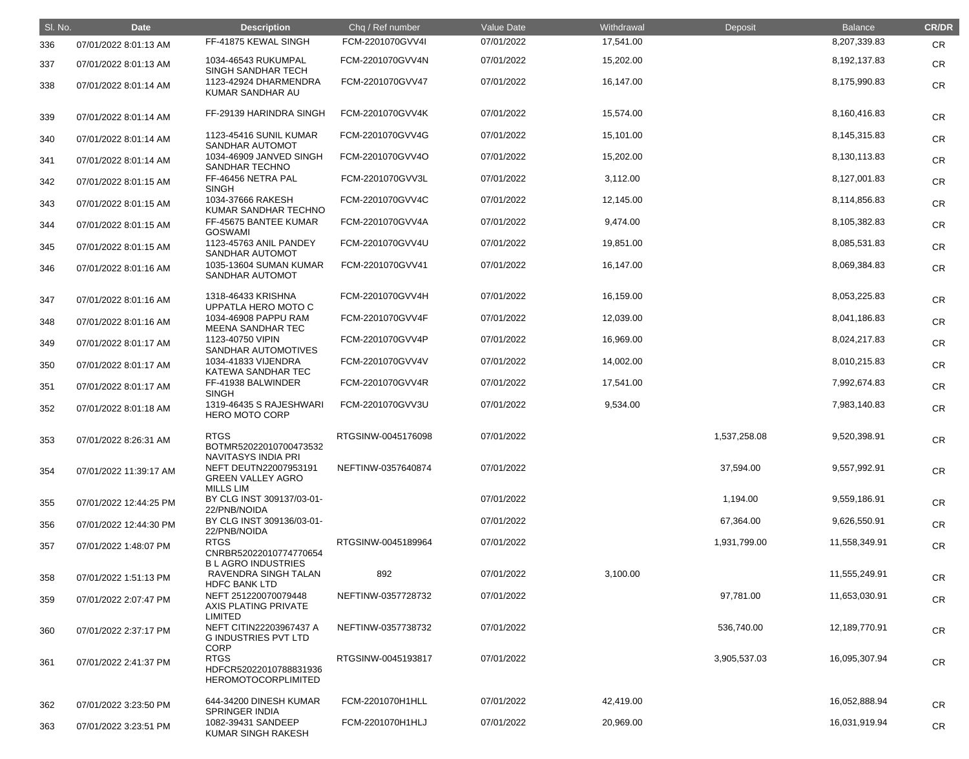| SI. No. | <b>Date</b>            | <b>Description</b>                                                    | Chq / Ref number   | Value Date | Withdrawal | Deposit      | <b>Balance</b> | <b>CR/DR</b> |
|---------|------------------------|-----------------------------------------------------------------------|--------------------|------------|------------|--------------|----------------|--------------|
| 336     | 07/01/2022 8:01:13 AM  | FF-41875 KEWAL SINGH                                                  | FCM-2201070GVV4I   | 07/01/2022 | 17,541.00  |              | 8,207,339.83   | <b>CR</b>    |
| 337     | 07/01/2022 8:01:13 AM  | 1034-46543 RUKUMPAL<br>SINGH SANDHAR TECH                             | FCM-2201070GVV4N   | 07/01/2022 | 15,202.00  |              | 8,192,137.83   | <b>CR</b>    |
| 338     | 07/01/2022 8:01:14 AM  | 1123-42924 DHARMENDRA<br>KUMAR SANDHAR AU                             | FCM-2201070GVV47   | 07/01/2022 | 16,147.00  |              | 8,175,990.83   | <b>CR</b>    |
| 339     | 07/01/2022 8:01:14 AM  | FF-29139 HARINDRA SINGH                                               | FCM-2201070GVV4K   | 07/01/2022 | 15,574.00  |              | 8,160,416.83   | <b>CR</b>    |
| 340     | 07/01/2022 8:01:14 AM  | 1123-45416 SUNIL KUMAR<br>SANDHAR AUTOMOT                             | FCM-2201070GVV4G   | 07/01/2022 | 15,101.00  |              | 8,145,315.83   | <b>CR</b>    |
| 341     | 07/01/2022 8:01:14 AM  | 1034-46909 JANVED SINGH<br>SANDHAR TECHNO                             | FCM-2201070GVV4O   | 07/01/2022 | 15,202.00  |              | 8,130,113.83   | <b>CR</b>    |
| 342     | 07/01/2022 8:01:15 AM  | FF-46456 NETRA PAL<br><b>SINGH</b>                                    | FCM-2201070GVV3L   | 07/01/2022 | 3,112.00   |              | 8,127,001.83   | CR           |
| 343     | 07/01/2022 8:01:15 AM  | 1034-37666 RAKESH<br>KUMAR SANDHAR TECHNO                             | FCM-2201070GVV4C   | 07/01/2022 | 12,145.00  |              | 8,114,856.83   | CR           |
| 344     | 07/01/2022 8:01:15 AM  | FF-45675 BANTEE KUMAR<br><b>GOSWAMI</b>                               | FCM-2201070GVV4A   | 07/01/2022 | 9,474.00   |              | 8,105,382.83   | <b>CR</b>    |
| 345     | 07/01/2022 8:01:15 AM  | 1123-45763 ANIL PANDEY<br><b>SANDHAR AUTOMOT</b>                      | FCM-2201070GVV4U   | 07/01/2022 | 19,851.00  |              | 8,085,531.83   | <b>CR</b>    |
| 346     | 07/01/2022 8:01:16 AM  | 1035-13604 SUMAN KUMAR<br>SANDHAR AUTOMOT                             | FCM-2201070GVV41   | 07/01/2022 | 16,147.00  |              | 8,069,384.83   | <b>CR</b>    |
| 347     | 07/01/2022 8:01:16 AM  | 1318-46433 KRISHNA<br>UPPATLA HERO MOTO C                             | FCM-2201070GVV4H   | 07/01/2022 | 16,159.00  |              | 8,053,225.83   | <b>CR</b>    |
| 348     | 07/01/2022 8:01:16 AM  | 1034-46908 PAPPU RAM<br>MEENA SANDHAR TEC                             | FCM-2201070GVV4F   | 07/01/2022 | 12,039.00  |              | 8,041,186.83   | <b>CR</b>    |
| 349     | 07/01/2022 8:01:17 AM  | 1123-40750 VIPIN<br>SANDHAR AUTOMOTIVES                               | FCM-2201070GVV4P   | 07/01/2022 | 16,969.00  |              | 8,024,217.83   | <b>CR</b>    |
| 350     | 07/01/2022 8:01:17 AM  | 1034-41833 VIJENDRA<br>KATEWA SANDHAR TEC                             | FCM-2201070GVV4V   | 07/01/2022 | 14,002.00  |              | 8,010,215.83   | <b>CR</b>    |
| 351     | 07/01/2022 8:01:17 AM  | FF-41938 BALWINDER<br><b>SINGH</b>                                    | FCM-2201070GVV4R   | 07/01/2022 | 17,541.00  |              | 7,992,674.83   | <b>CR</b>    |
| 352     | 07/01/2022 8:01:18 AM  | 1319-46435 S RAJESHWARI<br><b>HERO MOTO CORP</b>                      | FCM-2201070GVV3U   | 07/01/2022 | 9,534.00   |              | 7,983,140.83   | <b>CR</b>    |
| 353     | 07/01/2022 8:26:31 AM  | <b>RTGS</b><br>BOTMR52022010700473532<br>NAVITASYS INDIA PRI          | RTGSINW-0045176098 | 07/01/2022 |            | 1,537,258.08 | 9,520,398.91   | <b>CR</b>    |
| 354     | 07/01/2022 11:39:17 AM | NEFT DEUTN22007953191<br><b>GREEN VALLEY AGRO</b><br><b>MILLS LIM</b> | NEFTINW-0357640874 | 07/01/2022 |            | 37,594.00    | 9,557,992.91   | <b>CR</b>    |
| 355     | 07/01/2022 12:44:25 PM | BY CLG INST 309137/03-01-<br>22/PNB/NOIDA                             |                    | 07/01/2022 |            | 1,194.00     | 9,559,186.91   | <b>CR</b>    |
| 356     | 07/01/2022 12:44:30 PM | BY CLG INST 309136/03-01-<br>22/PNB/NOIDA                             |                    | 07/01/2022 |            | 67,364.00    | 9,626,550.91   | <b>CR</b>    |
| 357     | 07/01/2022 1:48:07 PM  | <b>RTGS</b><br>CNRBR52022010774770654<br><b>BLAGRO INDUSTRIES</b>     | RTGSINW-0045189964 | 07/01/2022 |            | 1,931,799.00 | 11,558,349.91  | <b>CR</b>    |
| 358     | 07/01/2022 1:51:13 PM  | RAVENDRA SINGH TALAN<br><b>HDFC BANK LTD</b>                          | 892                | 07/01/2022 | 3,100.00   |              | 11,555,249.91  | <b>CR</b>    |
| 359     | 07/01/2022 2:07:47 PM  | NEFT 251220070079448<br>AXIS PLATING PRIVATE<br><b>LIMITED</b>        | NEFTINW-0357728732 | 07/01/2022 |            | 97,781.00    | 11,653,030.91  | <b>CR</b>    |
| 360     | 07/01/2022 2:37:17 PM  | NEFT CITIN22203967437 A<br><b>G INDUSTRIES PVT LTD</b><br><b>CORP</b> | NEFTINW-0357738732 | 07/01/2022 |            | 536,740.00   | 12,189,770.91  | <b>CR</b>    |
| 361     | 07/01/2022 2:41:37 PM  | <b>RTGS</b><br>HDFCR52022010788831936<br><b>HEROMOTOCORPLIMITED</b>   | RTGSINW-0045193817 | 07/01/2022 |            | 3,905,537.03 | 16,095,307.94  | <b>CR</b>    |
| 362     | 07/01/2022 3:23:50 PM  | 644-34200 DINESH KUMAR<br>SPRINGER INDIA                              | FCM-2201070H1HLL   | 07/01/2022 | 42,419.00  |              | 16,052,888.94  | <b>CR</b>    |
| 363     | 07/01/2022 3:23:51 PM  | 1082-39431 SANDEEP<br>KUMAR SINGH RAKESH                              | FCM-2201070H1HLJ   | 07/01/2022 | 20,969.00  |              | 16,031,919.94  | <b>CR</b>    |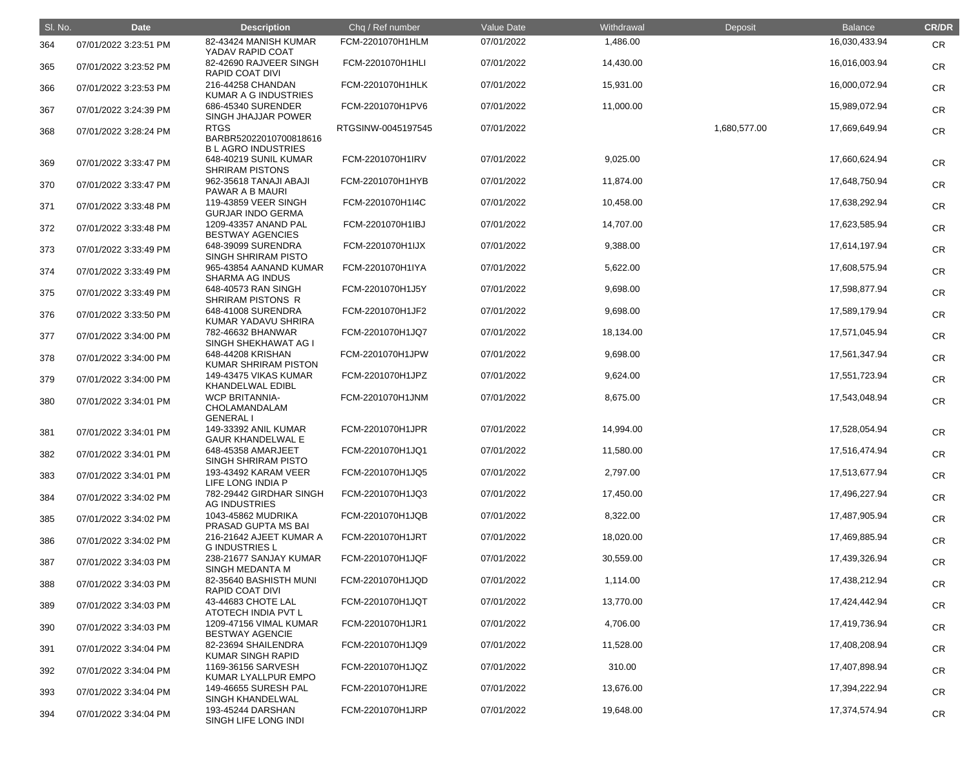| SI. No. | <b>Date</b>           | <b>Description</b>                                                | Chq / Ref number   | Value Date | Withdrawal | Deposit      | <b>Balance</b> | <b>CR/DR</b> |
|---------|-----------------------|-------------------------------------------------------------------|--------------------|------------|------------|--------------|----------------|--------------|
| 364     | 07/01/2022 3:23:51 PM | 82-43424 MANISH KUMAR<br>YADAV RAPID COAT                         | FCM-2201070H1HLM   | 07/01/2022 | 1,486.00   |              | 16,030,433.94  | CR           |
| 365     | 07/01/2022 3:23:52 PM | 82-42690 RAJVEER SINGH<br><b>RAPID COAT DIVI</b>                  | FCM-2201070H1HLI   | 07/01/2022 | 14,430.00  |              | 16,016,003.94  | <b>CR</b>    |
| 366     | 07/01/2022 3:23:53 PM | 216-44258 CHANDAN<br>KUMAR A G INDUSTRIES                         | FCM-2201070H1HLK   | 07/01/2022 | 15,931.00  |              | 16,000,072.94  | <b>CR</b>    |
| 367     | 07/01/2022 3:24:39 PM | 686-45340 SURENDER<br>SINGH JHAJJAR POWER                         | FCM-2201070H1PV6   | 07/01/2022 | 11,000.00  |              | 15,989,072.94  | <b>CR</b>    |
| 368     | 07/01/2022 3:28:24 PM | <b>RTGS</b><br>BARBR52022010700818616<br><b>BLAGRO INDUSTRIES</b> | RTGSINW-0045197545 | 07/01/2022 |            | 1,680,577.00 | 17,669,649.94  | <b>CR</b>    |
| 369     | 07/01/2022 3:33:47 PM | 648-40219 SUNIL KUMAR<br><b>SHRIRAM PISTONS</b>                   | FCM-2201070H1IRV   | 07/01/2022 | 9,025.00   |              | 17,660,624.94  | <b>CR</b>    |
| 370     | 07/01/2022 3:33:47 PM | 962-35618 TANAJI ABAJI<br>PAWAR A B MAURI                         | FCM-2201070H1HYB   | 07/01/2022 | 11,874.00  |              | 17,648,750.94  | <b>CR</b>    |
| 371     | 07/01/2022 3:33:48 PM | 119-43859 VEER SINGH<br><b>GURJAR INDO GERMA</b>                  | FCM-2201070H1I4C   | 07/01/2022 | 10,458.00  |              | 17,638,292.94  | <b>CR</b>    |
| 372     | 07/01/2022 3:33:48 PM | 1209-43357 ANAND PAL<br><b>BESTWAY AGENCIES</b>                   | FCM-2201070H1IBJ   | 07/01/2022 | 14,707.00  |              | 17,623,585.94  | <b>CR</b>    |
| 373     | 07/01/2022 3:33:49 PM | 648-39099 SURENDRA<br><b>SINGH SHRIRAM PISTO</b>                  | FCM-2201070H1IJX   | 07/01/2022 | 9,388.00   |              | 17,614,197.94  | <b>CR</b>    |
| 374     | 07/01/2022 3:33:49 PM | 965-43854 AANAND KUMAR<br><b>SHARMA AG INDUS</b>                  | FCM-2201070H1IYA   | 07/01/2022 | 5,622.00   |              | 17,608,575.94  | <b>CR</b>    |
| 375     | 07/01/2022 3:33:49 PM | 648-40573 RAN SINGH<br>SHRIRAM PISTONS R                          | FCM-2201070H1J5Y   | 07/01/2022 | 9,698.00   |              | 17,598,877.94  | <b>CR</b>    |
| 376     | 07/01/2022 3:33:50 PM | 648-41008 SURENDRA<br>KUMAR YADAVU SHRIRA                         | FCM-2201070H1JF2   | 07/01/2022 | 9,698.00   |              | 17,589,179.94  | <b>CR</b>    |
| 377     | 07/01/2022 3:34:00 PM | 782-46632 BHANWAR<br>SINGH SHEKHAWAT AG I                         | FCM-2201070H1JQ7   | 07/01/2022 | 18,134.00  |              | 17,571,045.94  | <b>CR</b>    |
| 378     | 07/01/2022 3:34:00 PM | 648-44208 KRISHAN<br>KUMAR SHRIRAM PISTON                         | FCM-2201070H1JPW   | 07/01/2022 | 9,698.00   |              | 17,561,347.94  | <b>CR</b>    |
| 379     | 07/01/2022 3:34:00 PM | 149-43475 VIKAS KUMAR<br>KHANDELWAL EDIBL                         | FCM-2201070H1JPZ   | 07/01/2022 | 9,624.00   |              | 17,551,723.94  | <b>CR</b>    |
| 380     | 07/01/2022 3:34:01 PM | <b>WCP BRITANNIA-</b><br>CHOLAMANDALAM<br><b>GENERAL I</b>        | FCM-2201070H1JNM   | 07/01/2022 | 8,675.00   |              | 17,543,048.94  | <b>CR</b>    |
| 381     | 07/01/2022 3:34:01 PM | 149-33392 ANIL KUMAR<br><b>GAUR KHANDELWAL E</b>                  | FCM-2201070H1JPR   | 07/01/2022 | 14,994.00  |              | 17,528,054.94  | CR           |
| 382     | 07/01/2022 3:34:01 PM | 648-45358 AMARJEET<br>SINGH SHRIRAM PISTO                         | FCM-2201070H1JQ1   | 07/01/2022 | 11,580.00  |              | 17,516,474.94  | <b>CR</b>    |
| 383     | 07/01/2022 3:34:01 PM | 193-43492 KARAM VEER<br>LIFE LONG INDIA P                         | FCM-2201070H1JQ5   | 07/01/2022 | 2,797.00   |              | 17,513,677.94  | <b>CR</b>    |
| 384     | 07/01/2022 3:34:02 PM | 782-29442 GIRDHAR SINGH<br><b>AG INDUSTRIES</b>                   | FCM-2201070H1JQ3   | 07/01/2022 | 17,450.00  |              | 17,496,227.94  | <b>CR</b>    |
| 385     | 07/01/2022 3:34:02 PM | 1043-45862 MUDRIKA<br>PRASAD GUPTA MS BAI                         | FCM-2201070H1JQB   | 07/01/2022 | 8,322.00   |              | 17,487,905.94  | <b>CR</b>    |
| 386     | 07/01/2022 3:34:02 PM | 216-21642 AJEET KUMAR A<br><b>G INDUSTRIES L</b>                  | FCM-2201070H1JRT   | 07/01/2022 | 18,020.00  |              | 17,469,885.94  | <b>CR</b>    |
| 387     | 07/01/2022 3:34:03 PM | 238-21677 SANJAY KUMAR<br>SINGH MEDANTA M                         | FCM-2201070H1JQF   | 07/01/2022 | 30,559.00  |              | 17,439,326.94  | <b>CR</b>    |
| 388     | 07/01/2022 3:34:03 PM | 82-35640 BASHISTH MUNI<br>RAPID COAT DIVI                         | FCM-2201070H1JQD   | 07/01/2022 | 1,114.00   |              | 17,438,212.94  | <b>CR</b>    |
| 389     | 07/01/2022 3:34:03 PM | 43-44683 CHOTE LAL<br>ATOTECH INDIA PVT L                         | FCM-2201070H1JQT   | 07/01/2022 | 13,770.00  |              | 17,424,442.94  | <b>CR</b>    |
| 390     | 07/01/2022 3:34:03 PM | 1209-47156 VIMAL KUMAR<br><b>BESTWAY AGENCIE</b>                  | FCM-2201070H1JR1   | 07/01/2022 | 4,706.00   |              | 17,419,736.94  | <b>CR</b>    |
| 391     | 07/01/2022 3:34:04 PM | 82-23694 SHAILENDRA<br><b>KUMAR SINGH RAPID</b>                   | FCM-2201070H1JQ9   | 07/01/2022 | 11,528.00  |              | 17,408,208.94  | <b>CR</b>    |
| 392     | 07/01/2022 3:34:04 PM | 1169-36156 SARVESH<br>KUMAR LYALLPUR EMPO                         | FCM-2201070H1JQZ   | 07/01/2022 | 310.00     |              | 17,407,898.94  | <b>CR</b>    |
| 393     | 07/01/2022 3:34:04 PM | 149-46655 SURESH PAL<br><b>SINGH KHANDELWAL</b>                   | FCM-2201070H1JRE   | 07/01/2022 | 13,676.00  |              | 17,394,222.94  | <b>CR</b>    |
| 394     | 07/01/2022 3:34:04 PM | 193-45244 DARSHAN<br>SINGH LIFE LONG INDI                         | FCM-2201070H1JRP   | 07/01/2022 | 19,648.00  |              | 17,374,574.94  | <b>CR</b>    |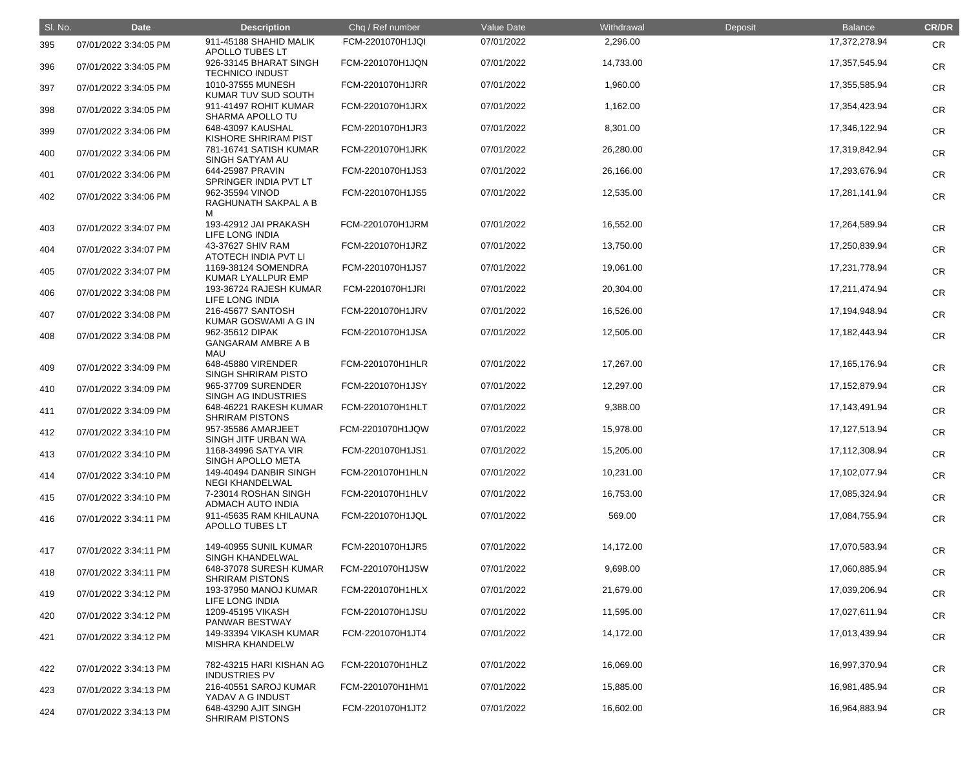| SI. No. | <b>Date</b>           | <b>Description</b>                                  | Chq / Ref number | Value Date | Withdrawal | Deposit | Balance          | <b>CR/DR</b> |
|---------|-----------------------|-----------------------------------------------------|------------------|------------|------------|---------|------------------|--------------|
| 395     | 07/01/2022 3:34:05 PM | 911-45188 SHAHID MALIK<br>APOLLO TUBES LT           | FCM-2201070H1JQI | 07/01/2022 | 2,296.00   |         | 17,372,278.94    | <b>CR</b>    |
| 396     | 07/01/2022 3:34:05 PM | 926-33145 BHARAT SINGH<br><b>TECHNICO INDUST</b>    | FCM-2201070H1JQN | 07/01/2022 | 14,733.00  |         | 17,357,545.94    | <b>CR</b>    |
| 397     | 07/01/2022 3:34:05 PM | 1010-37555 MUNESH<br>KUMAR TUV SUD SOUTH            | FCM-2201070H1JRR | 07/01/2022 | 1,960.00   |         | 17,355,585.94    | <b>CR</b>    |
| 398     | 07/01/2022 3:34:05 PM | 911-41497 ROHIT KUMAR<br><b>SHARMA APOLLO TU</b>    | FCM-2201070H1JRX | 07/01/2022 | 1,162.00   |         | 17,354,423.94    | <b>CR</b>    |
| 399     | 07/01/2022 3:34:06 PM | 648-43097 KAUSHAL<br>KISHORE SHRIRAM PIST           | FCM-2201070H1JR3 | 07/01/2022 | 8,301.00   |         | 17,346,122.94    | <b>CR</b>    |
| 400     | 07/01/2022 3:34:06 PM | 781-16741 SATISH KUMAR<br>SINGH SATYAM AU           | FCM-2201070H1JRK | 07/01/2022 | 26,280.00  |         | 17,319,842.94    | <b>CR</b>    |
| 401     | 07/01/2022 3:34:06 PM | 644-25987 PRAVIN<br>SPRINGER INDIA PVT LT           | FCM-2201070H1JS3 | 07/01/2022 | 26,166.00  |         | 17,293,676.94    | <b>CR</b>    |
| 402     | 07/01/2022 3:34:06 PM | 962-35594 VINOD<br>RAGHUNATH SAKPAL A B<br>м        | FCM-2201070H1JS5 | 07/01/2022 | 12,535.00  |         | 17,281,141.94    | <b>CR</b>    |
| 403     | 07/01/2022 3:34:07 PM | 193-42912 JAI PRAKASH<br><b>LIFE LONG INDIA</b>     | FCM-2201070H1JRM | 07/01/2022 | 16,552.00  |         | 17,264,589.94    | <b>CR</b>    |
| 404     | 07/01/2022 3:34:07 PM | 43-37627 SHIV RAM<br>ATOTECH INDIA PVT LI           | FCM-2201070H1JRZ | 07/01/2022 | 13,750.00  |         | 17,250,839.94    | <b>CR</b>    |
| 405     | 07/01/2022 3:34:07 PM | 1169-38124 SOMENDRA<br>KUMAR LYALLPUR EMP           | FCM-2201070H1JS7 | 07/01/2022 | 19,061.00  |         | 17,231,778.94    | <b>CR</b>    |
| 406     | 07/01/2022 3:34:08 PM | 193-36724 RAJESH KUMAR<br>LIFE LONG INDIA           | FCM-2201070H1JRI | 07/01/2022 | 20,304.00  |         | 17,211,474.94    | <b>CR</b>    |
| 407     | 07/01/2022 3:34:08 PM | 216-45677 SANTOSH<br>KUMAR GOSWAMI A G IN           | FCM-2201070H1JRV | 07/01/2022 | 16,526.00  |         | 17,194,948.94    | <b>CR</b>    |
| 408     | 07/01/2022 3:34:08 PM | 962-35612 DIPAK<br><b>GANGARAM AMBRE A B</b><br>MAU | FCM-2201070H1JSA | 07/01/2022 | 12,505.00  |         | 17,182,443.94    | <b>CR</b>    |
| 409     | 07/01/2022 3:34:09 PM | 648-45880 VIRENDER<br><b>SINGH SHRIRAM PISTO</b>    | FCM-2201070H1HLR | 07/01/2022 | 17,267.00  |         | 17, 165, 176. 94 | <b>CR</b>    |
| 410     | 07/01/2022 3:34:09 PM | 965-37709 SURENDER<br>SINGH AG INDUSTRIES           | FCM-2201070H1JSY | 07/01/2022 | 12,297.00  |         | 17, 152, 879. 94 | <b>CR</b>    |
| 411     | 07/01/2022 3:34:09 PM | 648-46221 RAKESH KUMAR<br><b>SHRIRAM PISTONS</b>    | FCM-2201070H1HLT | 07/01/2022 | 9,388.00   |         | 17,143,491.94    | <b>CR</b>    |
| 412     | 07/01/2022 3:34:10 PM | 957-35586 AMARJEET<br>SINGH JITF URBAN WA           | FCM-2201070H1JQW | 07/01/2022 | 15,978.00  |         | 17,127,513.94    | <b>CR</b>    |
| 413     | 07/01/2022 3:34:10 PM | 1168-34996 SATYA VIR<br>SINGH APOLLO META           | FCM-2201070H1JS1 | 07/01/2022 | 15,205.00  |         | 17,112,308.94    | <b>CR</b>    |
| 414     | 07/01/2022 3:34:10 PM | 149-40494 DANBIR SINGH<br><b>NEGI KHANDELWAL</b>    | FCM-2201070H1HLN | 07/01/2022 | 10,231.00  |         | 17,102,077.94    | <b>CR</b>    |
| 415     | 07/01/2022 3:34:10 PM | 7-23014 ROSHAN SINGH<br><b>ADMACH AUTO INDIA</b>    | FCM-2201070H1HLV | 07/01/2022 | 16,753.00  |         | 17,085,324.94    | <b>CR</b>    |
| 416     | 07/01/2022 3:34:11 PM | 911-45635 RAM KHILAUNA<br>APOLLO TUBES LT           | FCM-2201070H1JQL | 07/01/2022 | 569.00     |         | 17,084,755.94    | <b>CR</b>    |
| 417     | 07/01/2022 3:34:11 PM | 149-40955 SUNIL KUMAR<br><b>SINGH KHANDELWAL</b>    | FCM-2201070H1JR5 | 07/01/2022 | 14,172.00  |         | 17,070,583.94    | <b>CR</b>    |
| 418     | 07/01/2022 3:34:11 PM | 648-37078 SURESH KUMAR<br><b>SHRIRAM PISTONS</b>    | FCM-2201070H1JSW | 07/01/2022 | 9,698.00   |         | 17,060,885.94    | <b>CR</b>    |
| 419     | 07/01/2022 3:34:12 PM | 193-37950 MANOJ KUMAR<br>LIFE LONG INDIA            | FCM-2201070H1HLX | 07/01/2022 | 21,679.00  |         | 17,039,206.94    | <b>CR</b>    |
| 420     | 07/01/2022 3:34:12 PM | 1209-45195 VIKASH<br>PANWAR BESTWAY                 | FCM-2201070H1JSU | 07/01/2022 | 11,595.00  |         | 17,027,611.94    | <b>CR</b>    |
| 421     | 07/01/2022 3:34:12 PM | 149-33394 VIKASH KUMAR<br><b>MISHRA KHANDELW</b>    | FCM-2201070H1JT4 | 07/01/2022 | 14,172.00  |         | 17,013,439.94    | <b>CR</b>    |
| 422     | 07/01/2022 3:34:13 PM | 782-43215 HARI KISHAN AG<br><b>INDUSTRIES PV</b>    | FCM-2201070H1HLZ | 07/01/2022 | 16,069.00  |         | 16,997,370.94    | <b>CR</b>    |
| 423     | 07/01/2022 3:34:13 PM | 216-40551 SAROJ KUMAR<br>YADAV A G INDUST           | FCM-2201070H1HM1 | 07/01/2022 | 15,885.00  |         | 16,981,485.94    | <b>CR</b>    |
| 424     | 07/01/2022 3:34:13 PM | 648-43290 AJIT SINGH<br><b>SHRIRAM PISTONS</b>      | FCM-2201070H1JT2 | 07/01/2022 | 16,602.00  |         | 16,964,883.94    | <b>CR</b>    |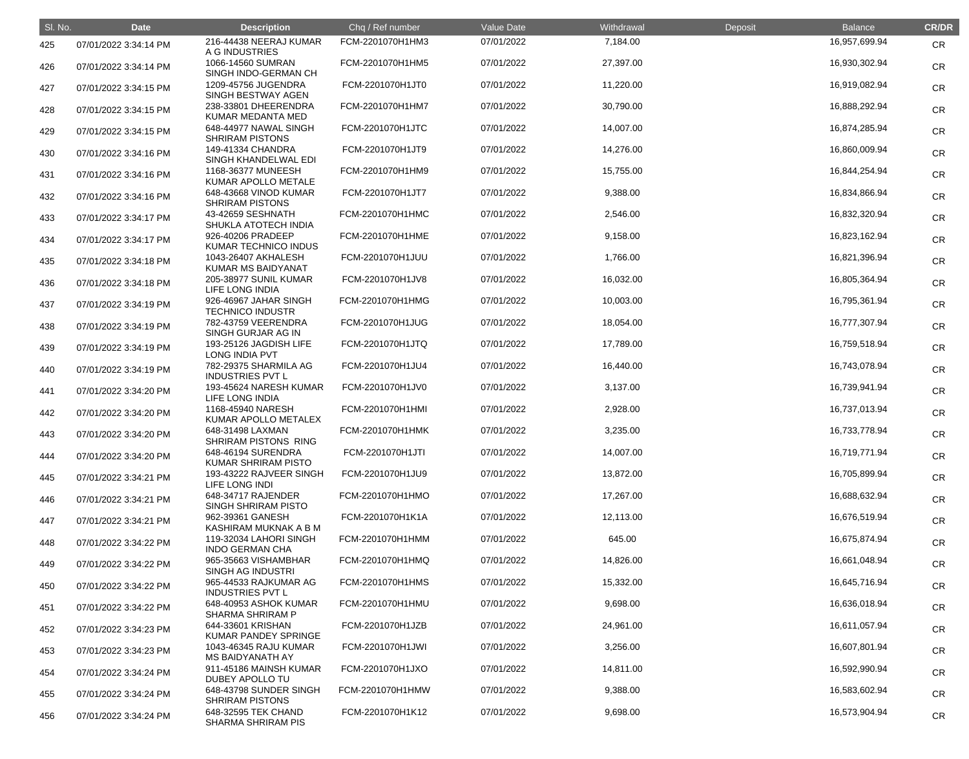| SI. No. | <b>Date</b>           | <b>Description</b>                               | Chq / Ref number | Value Date | Withdrawal | Deposit | <b>Balance</b> | <b>CR/DR</b> |
|---------|-----------------------|--------------------------------------------------|------------------|------------|------------|---------|----------------|--------------|
| 425     | 07/01/2022 3:34:14 PM | 216-44438 NEERAJ KUMAR<br>A G INDUSTRIES         | FCM-2201070H1HM3 | 07/01/2022 | 7,184.00   |         | 16,957,699.94  | <b>CR</b>    |
| 426     | 07/01/2022 3:34:14 PM | 1066-14560 SUMRAN<br>SINGH INDO-GERMAN CH        | FCM-2201070H1HM5 | 07/01/2022 | 27,397.00  |         | 16,930,302.94  | <b>CR</b>    |
| 427     | 07/01/2022 3:34:15 PM | 1209-45756 JUGENDRA<br>SINGH BESTWAY AGEN        | FCM-2201070H1JT0 | 07/01/2022 | 11,220.00  |         | 16,919,082.94  | <b>CR</b>    |
| 428     | 07/01/2022 3:34:15 PM | 238-33801 DHEERENDRA<br>KUMAR MEDANTA MED        | FCM-2201070H1HM7 | 07/01/2022 | 30,790.00  |         | 16,888,292.94  | <b>CR</b>    |
| 429     | 07/01/2022 3:34:15 PM | 648-44977 NAWAL SINGH<br><b>SHRIRAM PISTONS</b>  | FCM-2201070H1JTC | 07/01/2022 | 14,007.00  |         | 16,874,285.94  | <b>CR</b>    |
| 430     | 07/01/2022 3:34:16 PM | 149-41334 CHANDRA<br>SINGH KHANDELWAL EDI        | FCM-2201070H1JT9 | 07/01/2022 | 14,276.00  |         | 16,860,009.94  | <b>CR</b>    |
| 431     | 07/01/2022 3:34:16 PM | 1168-36377 MUNEESH<br>KUMAR APOLLO METALE        | FCM-2201070H1HM9 | 07/01/2022 | 15,755.00  |         | 16,844,254.94  | <b>CR</b>    |
| 432     | 07/01/2022 3:34:16 PM | 648-43668 VINOD KUMAR<br><b>SHRIRAM PISTONS</b>  | FCM-2201070H1JT7 | 07/01/2022 | 9,388.00   |         | 16,834,866.94  | <b>CR</b>    |
| 433     | 07/01/2022 3:34:17 PM | 43-42659 SESHNATH<br>SHUKLA ATOTECH INDIA        | FCM-2201070H1HMC | 07/01/2022 | 2,546.00   |         | 16,832,320.94  | <b>CR</b>    |
| 434     | 07/01/2022 3:34:17 PM | 926-40206 PRADEEP<br>KUMAR TECHNICO INDUS        | FCM-2201070H1HME | 07/01/2022 | 9,158.00   |         | 16,823,162.94  | <b>CR</b>    |
| 435     | 07/01/2022 3:34:18 PM | 1043-26407 AKHALESH<br><b>KUMAR MS BAIDYANAT</b> | FCM-2201070H1JUU | 07/01/2022 | 1,766.00   |         | 16,821,396.94  | <b>CR</b>    |
| 436     | 07/01/2022 3:34:18 PM | 205-38977 SUNIL KUMAR<br>LIFE LONG INDIA         | FCM-2201070H1JV8 | 07/01/2022 | 16,032.00  |         | 16,805,364.94  | <b>CR</b>    |
| 437     | 07/01/2022 3:34:19 PM | 926-46967 JAHAR SINGH<br><b>TECHNICO INDUSTR</b> | FCM-2201070H1HMG | 07/01/2022 | 10,003.00  |         | 16,795,361.94  | <b>CR</b>    |
| 438     | 07/01/2022 3:34:19 PM | 782-43759 VEERENDRA<br>SINGH GURJAR AG IN        | FCM-2201070H1JUG | 07/01/2022 | 18,054.00  |         | 16,777,307.94  | <b>CR</b>    |
| 439     | 07/01/2022 3:34:19 PM | 193-25126 JAGDISH LIFE<br>LONG INDIA PVT         | FCM-2201070H1JTQ | 07/01/2022 | 17,789.00  |         | 16,759,518.94  | <b>CR</b>    |
| 440     | 07/01/2022 3:34:19 PM | 782-29375 SHARMILA AG<br><b>INDUSTRIES PVT L</b> | FCM-2201070H1JU4 | 07/01/2022 | 16,440.00  |         | 16,743,078.94  | <b>CR</b>    |
| 441     | 07/01/2022 3:34:20 PM | 193-45624 NARESH KUMAR<br>LIFE LONG INDIA        | FCM-2201070H1JV0 | 07/01/2022 | 3,137.00   |         | 16,739,941.94  | <b>CR</b>    |
| 442     | 07/01/2022 3:34:20 PM | 1168-45940 NARESH<br>KUMAR APOLLO METALEX        | FCM-2201070H1HMI | 07/01/2022 | 2,928.00   |         | 16,737,013.94  | <b>CR</b>    |
| 443     | 07/01/2022 3:34:20 PM | 648-31498 LAXMAN<br>SHRIRAM PISTONS RING         | FCM-2201070H1HMK | 07/01/2022 | 3,235.00   |         | 16,733,778.94  | <b>CR</b>    |
| 444     | 07/01/2022 3:34:20 PM | 648-46194 SURENDRA<br>KUMAR SHRIRAM PISTO        | FCM-2201070H1JTI | 07/01/2022 | 14,007.00  |         | 16,719,771.94  | <b>CR</b>    |
| 445     | 07/01/2022 3:34:21 PM | 193-43222 RAJVEER SINGH<br>LIFE LONG INDI        | FCM-2201070H1JU9 | 07/01/2022 | 13,872.00  |         | 16,705,899.94  | <b>CR</b>    |
| 446     | 07/01/2022 3:34:21 PM | 648-34717 RAJENDER<br>SINGH SHRIRAM PISTO        | FCM-2201070H1HMO | 07/01/2022 | 17,267.00  |         | 16,688,632.94  | <b>CR</b>    |
| 447     | 07/01/2022 3:34:21 PM | 962-39361 GANESH<br>KASHIRAM MUKNAK A B M        | FCM-2201070H1K1A | 07/01/2022 | 12,113.00  |         | 16,676,519.94  | <b>CR</b>    |
| 448     | 07/01/2022 3:34:22 PM | 119-32034 LAHORI SINGH<br><b>INDO GERMAN CHA</b> | FCM-2201070H1HMM | 07/01/2022 | 645.00     |         | 16,675,874.94  | <b>CR</b>    |
| 449     | 07/01/2022 3:34:22 PM | 965-35663 VISHAMBHAR<br><b>SINGH AG INDUSTRI</b> | FCM-2201070H1HMQ | 07/01/2022 | 14,826.00  |         | 16,661,048.94  | <b>CR</b>    |
| 450     | 07/01/2022 3:34:22 PM | 965-44533 RAJKUMAR AG<br><b>INDUSTRIES PVT L</b> | FCM-2201070H1HMS | 07/01/2022 | 15,332.00  |         | 16,645,716.94  | <b>CR</b>    |
| 451     | 07/01/2022 3:34:22 PM | 648-40953 ASHOK KUMAR<br><b>SHARMA SHRIRAM P</b> | FCM-2201070H1HMU | 07/01/2022 | 9,698.00   |         | 16,636,018.94  | <b>CR</b>    |
| 452     | 07/01/2022 3:34:23 PM | 644-33601 KRISHAN<br><b>KUMAR PANDEY SPRINGE</b> | FCM-2201070H1JZB | 07/01/2022 | 24,961.00  |         | 16,611,057.94  | <b>CR</b>    |
| 453     | 07/01/2022 3:34:23 PM | 1043-46345 RAJU KUMAR<br><b>MS BAIDYANATH AY</b> | FCM-2201070H1JWI | 07/01/2022 | 3,256.00   |         | 16,607,801.94  | <b>CR</b>    |
| 454     | 07/01/2022 3:34:24 PM | 911-45186 MAINSH KUMAR<br>DUBEY APOLLO TU        | FCM-2201070H1JXO | 07/01/2022 | 14,811.00  |         | 16,592,990.94  | <b>CR</b>    |
| 455     | 07/01/2022 3:34:24 PM | 648-43798 SUNDER SINGH<br><b>SHRIRAM PISTONS</b> | FCM-2201070H1HMW | 07/01/2022 | 9,388.00   |         | 16,583,602.94  | <b>CR</b>    |
| 456     | 07/01/2022 3:34:24 PM | 648-32595 TEK CHAND<br>SHARMA SHRIRAM PIS        | FCM-2201070H1K12 | 07/01/2022 | 9,698.00   |         | 16,573,904.94  | <b>CR</b>    |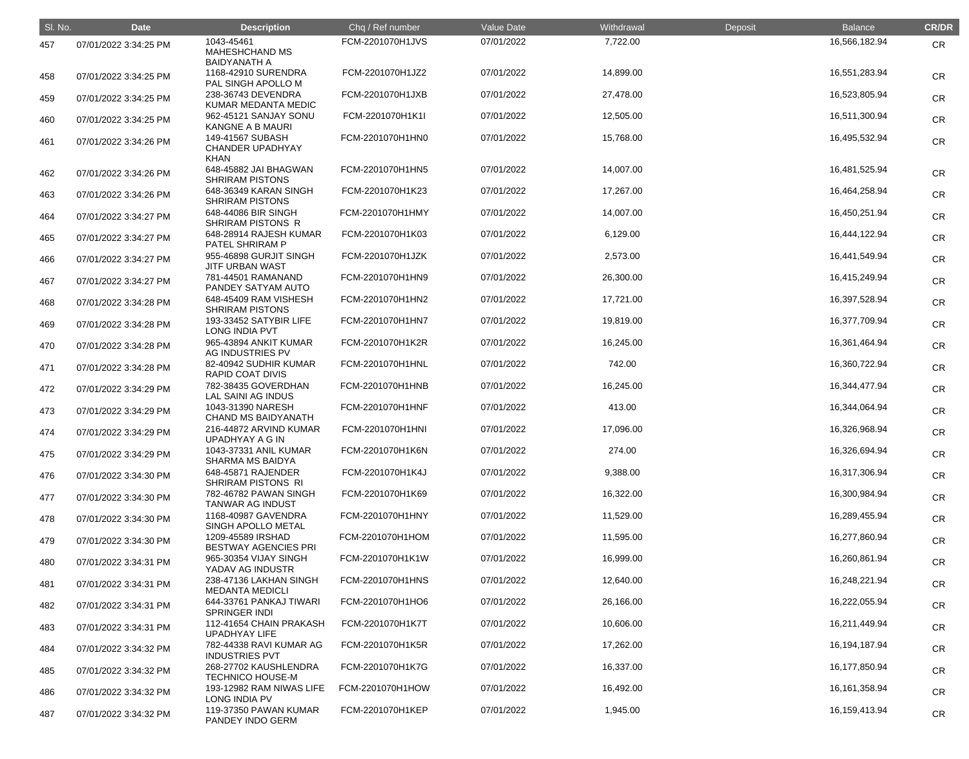| SI. No. | <b>Date</b>           | <b>Description</b>                                               | Chq / Ref number | Value Date | Withdrawal | Deposit | <b>Balance</b>   | <b>CR/DR</b> |
|---------|-----------------------|------------------------------------------------------------------|------------------|------------|------------|---------|------------------|--------------|
| 457     | 07/01/2022 3:34:25 PM | 1043-45461<br><b>MAHESHCHAND MS</b>                              | FCM-2201070H1JVS | 07/01/2022 | 7,722.00   |         | 16,566,182.94    | <b>CR</b>    |
| 458     | 07/01/2022 3:34:25 PM | <b>BAIDYANATH A</b><br>1168-42910 SURENDRA<br>PAL SINGH APOLLO M | FCM-2201070H1JZ2 | 07/01/2022 | 14,899.00  |         | 16,551,283.94    | <b>CR</b>    |
| 459     | 07/01/2022 3:34:25 PM | 238-36743 DEVENDRA<br>KUMAR MEDANTA MEDIC                        | FCM-2201070H1JXB | 07/01/2022 | 27,478.00  |         | 16,523,805.94    | <b>CR</b>    |
| 460     | 07/01/2022 3:34:25 PM | 962-45121 SANJAY SONU<br>KANGNE A B MAURI                        | FCM-2201070H1K1I | 07/01/2022 | 12,505.00  |         | 16,511,300.94    | <b>CR</b>    |
| 461     | 07/01/2022 3:34:26 PM | 149-41567 SUBASH<br><b>CHANDER UPADHYAY</b><br><b>KHAN</b>       | FCM-2201070H1HN0 | 07/01/2022 | 15,768.00  |         | 16,495,532.94    | <b>CR</b>    |
| 462     | 07/01/2022 3:34:26 PM | 648-45882 JAI BHAGWAN<br><b>SHRIRAM PISTONS</b>                  | FCM-2201070H1HN5 | 07/01/2022 | 14,007.00  |         | 16,481,525.94    | <b>CR</b>    |
| 463     | 07/01/2022 3:34:26 PM | 648-36349 KARAN SINGH<br><b>SHRIRAM PISTONS</b>                  | FCM-2201070H1K23 | 07/01/2022 | 17,267.00  |         | 16,464,258.94    | <b>CR</b>    |
| 464     | 07/01/2022 3:34:27 PM | 648-44086 BIR SINGH<br>SHRIRAM PISTONS R                         | FCM-2201070H1HMY | 07/01/2022 | 14,007.00  |         | 16,450,251.94    | <b>CR</b>    |
| 465     | 07/01/2022 3:34:27 PM | 648-28914 RAJESH KUMAR<br>PATEL SHRIRAM P                        | FCM-2201070H1K03 | 07/01/2022 | 6,129.00   |         | 16,444,122.94    | <b>CR</b>    |
| 466     | 07/01/2022 3:34:27 PM | 955-46898 GURJIT SINGH<br><b>JITF URBAN WAST</b>                 | FCM-2201070H1JZK | 07/01/2022 | 2,573.00   |         | 16,441,549.94    | CR           |
| 467     | 07/01/2022 3:34:27 PM | 781-44501 RAMANAND<br>PANDEY SATYAM AUTO                         | FCM-2201070H1HN9 | 07/01/2022 | 26,300.00  |         | 16,415,249.94    | <b>CR</b>    |
| 468     | 07/01/2022 3:34:28 PM | 648-45409 RAM VISHESH<br><b>SHRIRAM PISTONS</b>                  | FCM-2201070H1HN2 | 07/01/2022 | 17,721.00  |         | 16,397,528.94    | <b>CR</b>    |
| 469     | 07/01/2022 3:34:28 PM | 193-33452 SATYBIR LIFE<br>LONG INDIA PVT                         | FCM-2201070H1HN7 | 07/01/2022 | 19,819.00  |         | 16,377,709.94    | <b>CR</b>    |
| 470     | 07/01/2022 3:34:28 PM | 965-43894 ANKIT KUMAR<br>AG INDUSTRIES PV                        | FCM-2201070H1K2R | 07/01/2022 | 16,245.00  |         | 16,361,464.94    | <b>CR</b>    |
| 471     | 07/01/2022 3:34:28 PM | 82-40942 SUDHIR KUMAR<br><b>RAPID COAT DIVIS</b>                 | FCM-2201070H1HNL | 07/01/2022 | 742.00     |         | 16,360,722.94    | <b>CR</b>    |
| 472     | 07/01/2022 3:34:29 PM | 782-38435 GOVERDHAN<br>LAL SAINI AG INDUS                        | FCM-2201070H1HNB | 07/01/2022 | 16,245.00  |         | 16,344,477.94    | <b>CR</b>    |
| 473     | 07/01/2022 3:34:29 PM | 1043-31390 NARESH<br><b>CHAND MS BAIDYANATH</b>                  | FCM-2201070H1HNF | 07/01/2022 | 413.00     |         | 16,344,064.94    | <b>CR</b>    |
| 474     | 07/01/2022 3:34:29 PM | 216-44872 ARVIND KUMAR<br><b>UPADHYAY A G IN</b>                 | FCM-2201070H1HNI | 07/01/2022 | 17,096.00  |         | 16,326,968.94    | CR           |
| 475     | 07/01/2022 3:34:29 PM | 1043-37331 ANIL KUMAR<br><b>SHARMA MS BAIDYA</b>                 | FCM-2201070H1K6N | 07/01/2022 | 274.00     |         | 16,326,694.94    | <b>CR</b>    |
| 476     | 07/01/2022 3:34:30 PM | 648-45871 RAJENDER<br><b>SHRIRAM PISTONS RI</b>                  | FCM-2201070H1K4J | 07/01/2022 | 9,388.00   |         | 16,317,306.94    | <b>CR</b>    |
| 477     | 07/01/2022 3:34:30 PM | 782-46782 PAWAN SINGH<br><b>TANWAR AG INDUST</b>                 | FCM-2201070H1K69 | 07/01/2022 | 16,322.00  |         | 16,300,984.94    | <b>CR</b>    |
| 478     | 07/01/2022 3:34:30 PM | 1168-40987 GAVENDRA<br>SINGH APOLLO METAL                        | FCM-2201070H1HNY | 07/01/2022 | 11,529.00  |         | 16,289,455.94    | <b>CR</b>    |
| 479     | 07/01/2022 3:34:30 PM | 1209-45589 IRSHAD<br><b>BESTWAY AGENCIES PRI</b>                 | FCM-2201070H1HOM | 07/01/2022 | 11,595.00  |         | 16,277,860.94    | <b>CR</b>    |
| 480     | 07/01/2022 3:34:31 PM | 965-30354 VIJAY SINGH<br>YADAV AG INDUSTR                        | FCM-2201070H1K1W | 07/01/2022 | 16,999.00  |         | 16,260,861.94    | <b>CR</b>    |
| 481     | 07/01/2022 3:34:31 PM | 238-47136 LAKHAN SINGH<br><b>MEDANTA MEDICLI</b>                 | FCM-2201070H1HNS | 07/01/2022 | 12,640.00  |         | 16,248,221.94    | <b>CR</b>    |
| 482     | 07/01/2022 3:34:31 PM | 644-33761 PANKAJ TIWARI<br><b>SPRINGER INDI</b>                  | FCM-2201070H1HO6 | 07/01/2022 | 26,166.00  |         | 16,222,055.94    | <b>CR</b>    |
| 483     | 07/01/2022 3:34:31 PM | 112-41654 CHAIN PRAKASH<br><b>UPADHYAY LIFE</b>                  | FCM-2201070H1K7T | 07/01/2022 | 10,606.00  |         | 16,211,449.94    | <b>CR</b>    |
| 484     | 07/01/2022 3:34:32 PM | 782-44338 RAVI KUMAR AG<br><b>INDUSTRIES PVT</b>                 | FCM-2201070H1K5R | 07/01/2022 | 17,262.00  |         | 16,194,187.94    | <b>CR</b>    |
| 485     | 07/01/2022 3:34:32 PM | 268-27702 KAUSHLENDRA<br><b>TECHNICO HOUSE-M</b>                 | FCM-2201070H1K7G | 07/01/2022 | 16,337.00  |         | 16,177,850.94    | <b>CR</b>    |
| 486     | 07/01/2022 3:34:32 PM | 193-12982 RAM NIWAS LIFE<br>LONG INDIA PV                        | FCM-2201070H1HOW | 07/01/2022 | 16,492.00  |         | 16, 161, 358. 94 | <b>CR</b>    |
| 487     | 07/01/2022 3:34:32 PM | 119-37350 PAWAN KUMAR<br>PANDEY INDO GERM                        | FCM-2201070H1KEP | 07/01/2022 | 1,945.00   |         | 16,159,413.94    | <b>CR</b>    |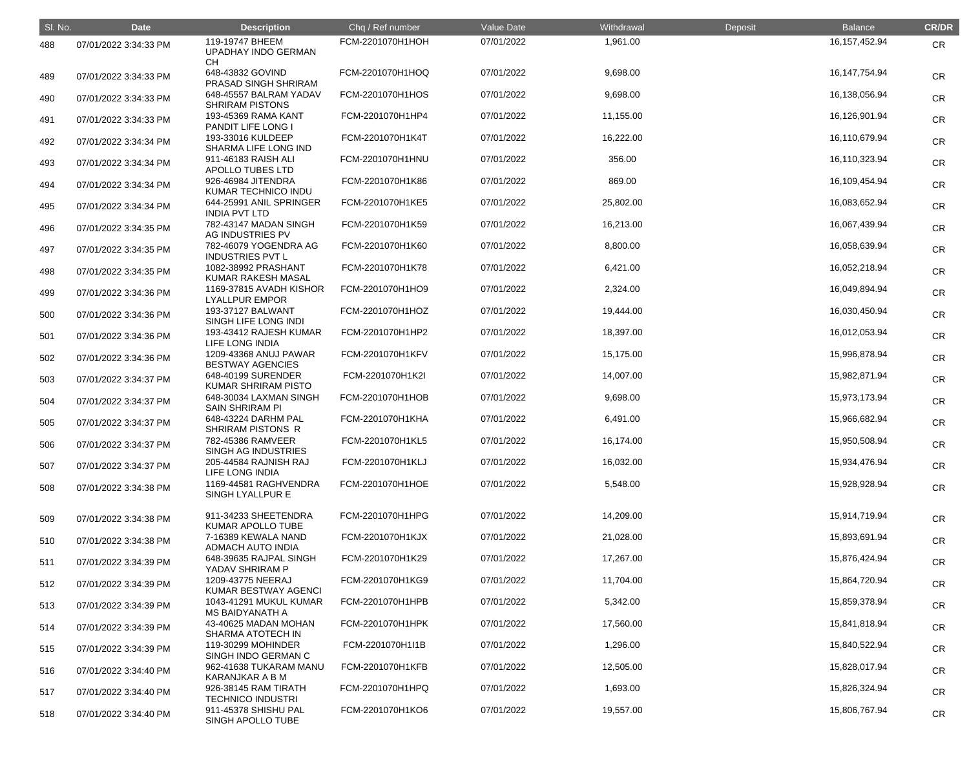| SI. No. | <b>Date</b>           | <b>Description</b>                                                     | Chq / Ref number                     | Value Date               | Withdrawal             | Deposit | <b>Balance</b>                 | <b>CR/DR</b> |
|---------|-----------------------|------------------------------------------------------------------------|--------------------------------------|--------------------------|------------------------|---------|--------------------------------|--------------|
| 488     | 07/01/2022 3:34:33 PM | 119-19747 BHEEM<br><b>UPADHAY INDO GERMAN</b>                          | FCM-2201070H1HOH                     | 07/01/2022               | 1,961.00               |         | 16, 157, 452. 94               | CR           |
| 489     | 07/01/2022 3:34:33 PM | <b>CH</b><br>648-43832 GOVIND<br>PRASAD SINGH SHRIRAM                  | FCM-2201070H1HOQ                     | 07/01/2022               | 9,698.00               |         | 16, 147, 754. 94               | <b>CR</b>    |
| 490     | 07/01/2022 3:34:33 PM | 648-45557 BALRAM YADAV<br><b>SHRIRAM PISTONS</b>                       | FCM-2201070H1HOS                     | 07/01/2022               | 9,698.00               |         | 16,138,056.94                  | <b>CR</b>    |
| 491     | 07/01/2022 3:34:33 PM | 193-45369 RAMA KANT<br>PANDIT LIFE LONG I                              | FCM-2201070H1HP4                     | 07/01/2022               | 11,155.00              |         | 16,126,901.94                  | <b>CR</b>    |
| 492     | 07/01/2022 3:34:34 PM | 193-33016 KULDEEP<br>SHARMA LIFE LONG IND                              | FCM-2201070H1K4T                     | 07/01/2022               | 16,222.00              |         | 16,110,679.94                  | <b>CR</b>    |
| 493     | 07/01/2022 3:34:34 PM | 911-46183 RAISH ALI<br>APOLLO TUBES LTD                                | FCM-2201070H1HNU                     | 07/01/2022               | 356.00                 |         | 16,110,323.94                  | <b>CR</b>    |
| 494     | 07/01/2022 3:34:34 PM | 926-46984 JITENDRA<br>KUMAR TECHNICO INDU                              | FCM-2201070H1K86                     | 07/01/2022               | 869.00                 |         | 16,109,454.94                  | <b>CR</b>    |
| 495     | 07/01/2022 3:34:34 PM | 644-25991 ANIL SPRINGER<br><b>INDIA PVT LTD</b>                        | FCM-2201070H1KE5                     | 07/01/2022               | 25,802.00              |         | 16,083,652.94                  | <b>CR</b>    |
| 496     | 07/01/2022 3:34:35 PM | 782-43147 MADAN SINGH<br>AG INDUSTRIES PV                              | FCM-2201070H1K59                     | 07/01/2022               | 16,213.00              |         | 16,067,439.94                  | <b>CR</b>    |
| 497     | 07/01/2022 3:34:35 PM | 782-46079 YOGENDRA AG<br><b>INDUSTRIES PVT L</b>                       | FCM-2201070H1K60                     | 07/01/2022               | 8,800.00               |         | 16,058,639.94                  | <b>CR</b>    |
| 498     | 07/01/2022 3:34:35 PM | 1082-38992 PRASHANT<br>KUMAR RAKESH MASAL                              | FCM-2201070H1K78                     | 07/01/2022               | 6,421.00               |         | 16,052,218.94                  | <b>CR</b>    |
| 499     | 07/01/2022 3:34:36 PM | 1169-37815 AVADH KISHOR<br><b>LYALLPUR EMPOR</b>                       | FCM-2201070H1HO9                     | 07/01/2022               | 2,324.00               |         | 16,049,894.94                  | <b>CR</b>    |
| 500     | 07/01/2022 3:34:36 PM | 193-37127 BALWANT<br>SINGH LIFE LONG INDI                              | FCM-2201070H1HOZ                     | 07/01/2022               | 19,444.00              |         | 16,030,450.94                  | <b>CR</b>    |
| 501     | 07/01/2022 3:34:36 PM | 193-43412 RAJESH KUMAR<br>LIFE LONG INDIA                              | FCM-2201070H1HP2<br>FCM-2201070H1KFV | 07/01/2022               | 18,397.00              |         | 16,012,053.94                  | <b>CR</b>    |
| 502     | 07/01/2022 3:34:36 PM | 1209-43368 ANUJ PAWAR<br><b>BESTWAY AGENCIES</b><br>648-40199 SURENDER | FCM-2201070H1K2I                     | 07/01/2022<br>07/01/2022 | 15,175.00<br>14,007.00 |         | 15,996,878.94<br>15,982,871.94 | <b>CR</b>    |
| 503     | 07/01/2022 3:34:37 PM | <b>KUMAR SHRIRAM PISTO</b><br>648-30034 LAXMAN SINGH                   | FCM-2201070H1HOB                     | 07/01/2022               | 9,698.00               |         | 15,973,173.94                  | <b>CR</b>    |
| 504     | 07/01/2022 3:34:37 PM | <b>SAIN SHRIRAM PI</b><br>648-43224 DARHM PAL                          | FCM-2201070H1KHA                     | 07/01/2022               | 6,491.00               |         | 15,966,682.94                  | <b>CR</b>    |
| 505     | 07/01/2022 3:34:37 PM | SHRIRAM PISTONS R<br>782-45386 RAMVEER                                 | FCM-2201070H1KL5                     | 07/01/2022               | 16,174.00              |         | 15,950,508.94                  | CR           |
| 506     | 07/01/2022 3:34:37 PM | SINGH AG INDUSTRIES<br>205-44584 RAJNISH RAJ                           | FCM-2201070H1KLJ                     | 07/01/2022               | 16,032.00              |         | 15,934,476.94                  | <b>CR</b>    |
| 507     | 07/01/2022 3:34:37 PM | LIFE LONG INDIA<br>1169-44581 RAGHVENDRA                               | FCM-2201070H1HOE                     | 07/01/2022               | 5,548.00               |         | 15,928,928.94                  | <b>CR</b>    |
| 508     | 07/01/2022 3:34:38 PM | SINGH LYALLPUR E                                                       |                                      |                          |                        |         |                                | <b>CR</b>    |
| 509     | 07/01/2022 3:34:38 PM | 911-34233 SHEETENDRA<br>KUMAR APOLLO TUBE                              | FCM-2201070H1HPG                     | 07/01/2022               | 14,209.00              |         | 15,914,719.94                  | <b>CR</b>    |
| 510     | 07/01/2022 3:34:38 PM | 7-16389 KEWALA NAND<br><b>ADMACH AUTO INDIA</b>                        | FCM-2201070H1KJX                     | 07/01/2022               | 21,028.00              |         | 15,893,691.94                  | <b>CR</b>    |
| 511     | 07/01/2022 3:34:39 PM | 648-39635 RAJPAL SINGH<br>YADAV SHRIRAM P                              | FCM-2201070H1K29                     | 07/01/2022               | 17,267.00              |         | 15,876,424.94                  | <b>CR</b>    |
| 512     | 07/01/2022 3:34:39 PM | 1209-43775 NEERAJ<br>KUMAR BESTWAY AGENCI                              | FCM-2201070H1KG9                     | 07/01/2022               | 11,704.00              |         | 15,864,720.94                  | <b>CR</b>    |
| 513     | 07/01/2022 3:34:39 PM | 1043-41291 MUKUL KUMAR<br><b>MS BAIDYANATH A</b>                       | FCM-2201070H1HPB                     | 07/01/2022               | 5,342.00               |         | 15,859,378.94                  | <b>CR</b>    |
| 514     | 07/01/2022 3:34:39 PM | 43-40625 MADAN MOHAN<br>SHARMA ATOTECH IN                              | FCM-2201070H1HPK                     | 07/01/2022               | 17,560.00              |         | 15,841,818.94                  | <b>CR</b>    |
| 515     | 07/01/2022 3:34:39 PM | 119-30299 MOHINDER<br>SINGH INDO GERMAN C                              | FCM-2201070H1I1B                     | 07/01/2022               | 1,296.00               |         | 15,840,522.94                  | <b>CR</b>    |
| 516     | 07/01/2022 3:34:40 PM | 962-41638 TUKARAM MANU<br><b>KARANJKAR A B M</b>                       | FCM-2201070H1KFB                     | 07/01/2022               | 12,505.00              |         | 15,828,017.94                  | <b>CR</b>    |
| 517     | 07/01/2022 3:34:40 PM | 926-38145 RAM TIRATH<br><b>TECHNICO INDUSTRI</b>                       | FCM-2201070H1HPQ                     | 07/01/2022               | 1,693.00               |         | 15,826,324.94                  | <b>CR</b>    |
| 518     | 07/01/2022 3:34:40 PM | 911-45378 SHISHU PAL<br>SINGH APOLLO TUBE                              | FCM-2201070H1KO6                     | 07/01/2022               | 19,557.00              |         | 15,806,767.94                  | <b>CR</b>    |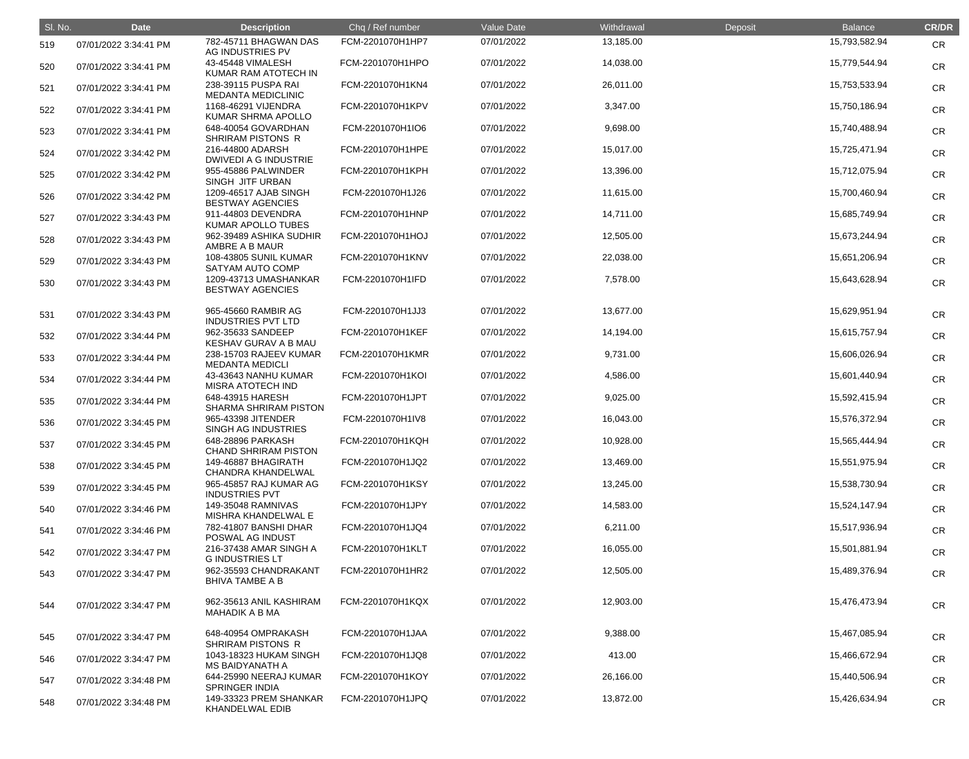| SI. No. | <b>Date</b>           | <b>Description</b>                               | Chq / Ref number | Value Date | Withdrawal | Deposit | <b>Balance</b> | <b>CR/DR</b> |
|---------|-----------------------|--------------------------------------------------|------------------|------------|------------|---------|----------------|--------------|
| 519     | 07/01/2022 3:34:41 PM | 782-45711 BHAGWAN DAS<br>AG INDUSTRIES PV        | FCM-2201070H1HP7 | 07/01/2022 | 13,185.00  |         | 15,793,582.94  | <b>CR</b>    |
| 520     | 07/01/2022 3:34:41 PM | 43-45448 VIMALESH<br>KUMAR RAM ATOTECH IN        | FCM-2201070H1HPO | 07/01/2022 | 14,038.00  |         | 15,779,544.94  | <b>CR</b>    |
| 521     | 07/01/2022 3:34:41 PM | 238-39115 PUSPA RAI<br><b>MEDANTA MEDICLINIC</b> | FCM-2201070H1KN4 | 07/01/2022 | 26,011.00  |         | 15,753,533.94  | <b>CR</b>    |
| 522     | 07/01/2022 3:34:41 PM | 1168-46291 VIJENDRA<br>KUMAR SHRMA APOLLO        | FCM-2201070H1KPV | 07/01/2022 | 3,347.00   |         | 15,750,186.94  | <b>CR</b>    |
| 523     | 07/01/2022 3:34:41 PM | 648-40054 GOVARDHAN<br>SHRIRAM PISTONS R         | FCM-2201070H1IO6 | 07/01/2022 | 9,698.00   |         | 15,740,488.94  | <b>CR</b>    |
| 524     | 07/01/2022 3:34:42 PM | 216-44800 ADARSH<br><b>DWIVEDI A G INDUSTRIE</b> | FCM-2201070H1HPE | 07/01/2022 | 15,017.00  |         | 15,725,471.94  | <b>CR</b>    |
| 525     | 07/01/2022 3:34:42 PM | 955-45886 PALWINDER<br>SINGH JITF URBAN          | FCM-2201070H1KPH | 07/01/2022 | 13,396.00  |         | 15,712,075.94  | <b>CR</b>    |
| 526     | 07/01/2022 3:34:42 PM | 1209-46517 AJAB SINGH<br><b>BESTWAY AGENCIES</b> | FCM-2201070H1J26 | 07/01/2022 | 11,615.00  |         | 15,700,460.94  | <b>CR</b>    |
| 527     | 07/01/2022 3:34:43 PM | 911-44803 DEVENDRA<br>KUMAR APOLLO TUBES         | FCM-2201070H1HNP | 07/01/2022 | 14,711.00  |         | 15,685,749.94  | <b>CR</b>    |
| 528     | 07/01/2022 3:34:43 PM | 962-39489 ASHIKA SUDHIR<br>AMBRE A B MAUR        | FCM-2201070H1HOJ | 07/01/2022 | 12,505.00  |         | 15,673,244.94  | <b>CR</b>    |
| 529     | 07/01/2022 3:34:43 PM | 108-43805 SUNIL KUMAR<br>SATYAM AUTO COMP        | FCM-2201070H1KNV | 07/01/2022 | 22,038.00  |         | 15,651,206.94  | <b>CR</b>    |
| 530     | 07/01/2022 3:34:43 PM | 1209-43713 UMASHANKAR<br><b>BESTWAY AGENCIES</b> | FCM-2201070H1IFD | 07/01/2022 | 7,578.00   |         | 15,643,628.94  | <b>CR</b>    |
| 531     | 07/01/2022 3:34:43 PM | 965-45660 RAMBIR AG<br><b>INDUSTRIES PVT LTD</b> | FCM-2201070H1JJ3 | 07/01/2022 | 13,677.00  |         | 15,629,951.94  | <b>CR</b>    |
| 532     | 07/01/2022 3:34:44 PM | 962-35633 SANDEEP<br>KESHAV GURAV A B MAU        | FCM-2201070H1KEF | 07/01/2022 | 14,194.00  |         | 15,615,757.94  | <b>CR</b>    |
| 533     | 07/01/2022 3:34:44 PM | 238-15703 RAJEEV KUMAR<br><b>MEDANTA MEDICLI</b> | FCM-2201070H1KMR | 07/01/2022 | 9,731.00   |         | 15,606,026.94  | <b>CR</b>    |
| 534     | 07/01/2022 3:34:44 PM | 43-43643 NANHU KUMAR<br><b>MISRA ATOTECH IND</b> | FCM-2201070H1KOI | 07/01/2022 | 4,586.00   |         | 15,601,440.94  | <b>CR</b>    |
| 535     | 07/01/2022 3:34:44 PM | 648-43915 HARESH<br><b>SHARMA SHRIRAM PISTON</b> | FCM-2201070H1JPT | 07/01/2022 | 9,025.00   |         | 15,592,415.94  | <b>CR</b>    |
| 536     | 07/01/2022 3:34:45 PM | 965-43398 JITENDER<br>SINGH AG INDUSTRIES        | FCM-2201070H1IV8 | 07/01/2022 | 16,043.00  |         | 15,576,372.94  | <b>CR</b>    |
| 537     | 07/01/2022 3:34:45 PM | 648-28896 PARKASH<br><b>CHAND SHRIRAM PISTON</b> | FCM-2201070H1KQH | 07/01/2022 | 10,928.00  |         | 15,565,444.94  | <b>CR</b>    |
| 538     | 07/01/2022 3:34:45 PM | 149-46887 BHAGIRATH<br><b>CHANDRA KHANDELWAL</b> | FCM-2201070H1JQ2 | 07/01/2022 | 13,469.00  |         | 15,551,975.94  | <b>CR</b>    |
| 539     | 07/01/2022 3:34:45 PM | 965-45857 RAJ KUMAR AG<br><b>INDUSTRIES PVT</b>  | FCM-2201070H1KSY | 07/01/2022 | 13,245.00  |         | 15,538,730.94  | <b>CR</b>    |
| 540     | 07/01/2022 3:34:46 PM | 149-35048 RAMNIVAS<br>MISHRA KHANDELWAL E        | FCM-2201070H1JPY | 07/01/2022 | 14,583.00  |         | 15,524,147.94  | <b>CR</b>    |
| 541     | 07/01/2022 3:34:46 PM | 782-41807 BANSHI DHAR<br>POSWAL AG INDUST        | FCM-2201070H1JQ4 | 07/01/2022 | 6,211.00   |         | 15,517,936.94  | <b>CR</b>    |
| 542     | 07/01/2022 3:34:47 PM | 216-37438 AMAR SINGH A<br><b>G INDUSTRIES LT</b> | FCM-2201070H1KLT | 07/01/2022 | 16,055.00  |         | 15,501,881.94  | <b>CR</b>    |
| 543     | 07/01/2022 3:34:47 PM | 962-35593 CHANDRAKANT<br><b>BHIVA TAMBE A B</b>  | FCM-2201070H1HR2 | 07/01/2022 | 12,505.00  |         | 15,489,376.94  | <b>CR</b>    |
| 544     | 07/01/2022 3:34:47 PM | 962-35613 ANIL KASHIRAM<br><b>MAHADIK A B MA</b> | FCM-2201070H1KQX | 07/01/2022 | 12,903.00  |         | 15,476,473.94  | <b>CR</b>    |
| 545     | 07/01/2022 3:34:47 PM | 648-40954 OMPRAKASH<br><b>SHRIRAM PISTONS R</b>  | FCM-2201070H1JAA | 07/01/2022 | 9,388.00   |         | 15,467,085.94  | <b>CR</b>    |
| 546     | 07/01/2022 3:34:47 PM | 1043-18323 HUKAM SINGH<br><b>MS BAIDYANATH A</b> | FCM-2201070H1JQ8 | 07/01/2022 | 413.00     |         | 15,466,672.94  | <b>CR</b>    |
| 547     | 07/01/2022 3:34:48 PM | 644-25990 NEERAJ KUMAR<br><b>SPRINGER INDIA</b>  | FCM-2201070H1KOY | 07/01/2022 | 26,166.00  |         | 15,440,506.94  | <b>CR</b>    |
| 548     | 07/01/2022 3:34:48 PM | 149-33323 PREM SHANKAR<br>KHANDELWAL EDIB        | FCM-2201070H1JPQ | 07/01/2022 | 13,872.00  |         | 15,426,634.94  | <b>CR</b>    |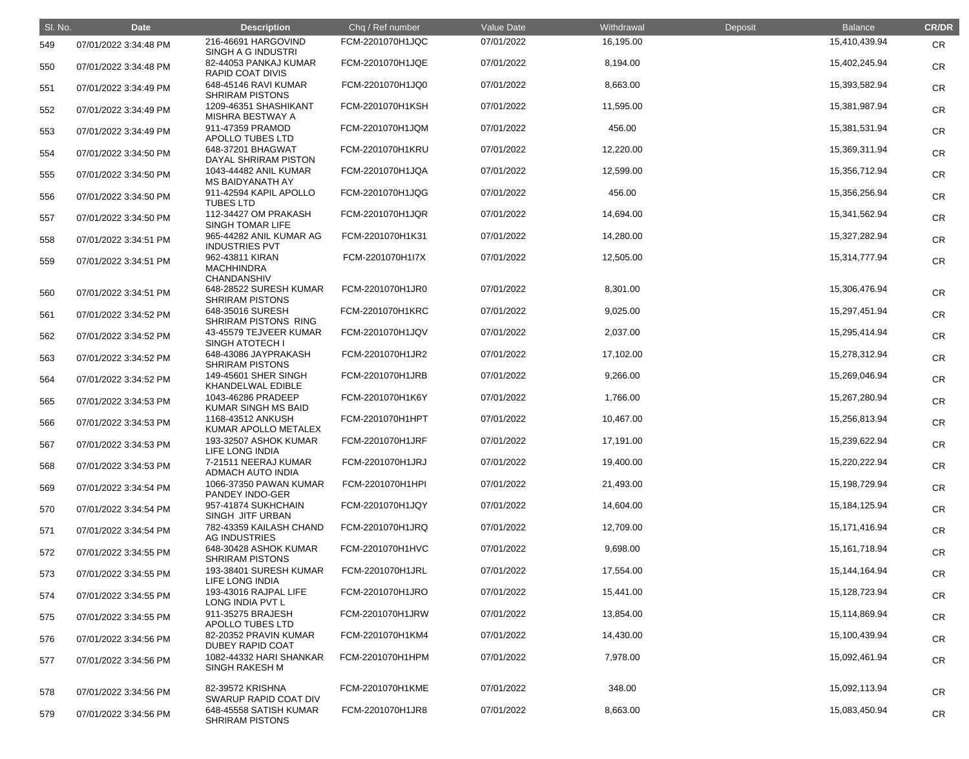| SI. No. | <b>Date</b>           | <b>Description</b>                                         | Chq / Ref number | Value Date | Withdrawal | Deposit | <b>Balance</b>   | <b>CR/DR</b> |
|---------|-----------------------|------------------------------------------------------------|------------------|------------|------------|---------|------------------|--------------|
| 549     | 07/01/2022 3:34:48 PM | 216-46691 HARGOVIND<br>SINGH A G INDUSTRI                  | FCM-2201070H1JQC | 07/01/2022 | 16,195.00  |         | 15,410,439.94    | <b>CR</b>    |
| 550     | 07/01/2022 3:34:48 PM | 82-44053 PANKAJ KUMAR<br><b>RAPID COAT DIVIS</b>           | FCM-2201070H1JQE | 07/01/2022 | 8,194.00   |         | 15,402,245.94    | <b>CR</b>    |
| 551     | 07/01/2022 3:34:49 PM | 648-45146 RAVI KUMAR<br><b>SHRIRAM PISTONS</b>             | FCM-2201070H1JQ0 | 07/01/2022 | 8,663.00   |         | 15,393,582.94    | <b>CR</b>    |
| 552     | 07/01/2022 3:34:49 PM | 1209-46351 SHASHIKANT<br>MISHRA BESTWAY A                  | FCM-2201070H1KSH | 07/01/2022 | 11,595.00  |         | 15,381,987.94    | <b>CR</b>    |
| 553     | 07/01/2022 3:34:49 PM | 911-47359 PRAMOD<br>APOLLO TUBES LTD                       | FCM-2201070H1JQM | 07/01/2022 | 456.00     |         | 15,381,531.94    | <b>CR</b>    |
| 554     | 07/01/2022 3:34:50 PM | 648-37201 BHAGWAT<br>DAYAL SHRIRAM PISTON                  | FCM-2201070H1KRU | 07/01/2022 | 12,220.00  |         | 15,369,311.94    | <b>CR</b>    |
| 555     | 07/01/2022 3:34:50 PM | 1043-44482 ANIL KUMAR<br><b>MS BAIDYANATH AY</b>           | FCM-2201070H1JQA | 07/01/2022 | 12,599.00  |         | 15,356,712.94    | <b>CR</b>    |
| 556     | 07/01/2022 3:34:50 PM | 911-42594 KAPIL APOLLO<br><b>TUBES LTD</b>                 | FCM-2201070H1JQG | 07/01/2022 | 456.00     |         | 15,356,256.94    | <b>CR</b>    |
| 557     | 07/01/2022 3:34:50 PM | 112-34427 OM PRAKASH<br>SINGH TOMAR LIFE                   | FCM-2201070H1JQR | 07/01/2022 | 14,694.00  |         | 15,341,562.94    | <b>CR</b>    |
| 558     | 07/01/2022 3:34:51 PM | 965-44282 ANIL KUMAR AG<br><b>INDUSTRIES PVT</b>           | FCM-2201070H1K31 | 07/01/2022 | 14,280.00  |         | 15,327,282.94    | <b>CR</b>    |
| 559     | 07/01/2022 3:34:51 PM | 962-43811 KIRAN<br><b>MACHHINDRA</b><br><b>CHANDANSHIV</b> | FCM-2201070H1I7X | 07/01/2022 | 12,505.00  |         | 15,314,777.94    | <b>CR</b>    |
| 560     | 07/01/2022 3:34:51 PM | 648-28522 SURESH KUMAR<br><b>SHRIRAM PISTONS</b>           | FCM-2201070H1JR0 | 07/01/2022 | 8,301.00   |         | 15,306,476.94    | <b>CR</b>    |
| 561     | 07/01/2022 3:34:52 PM | 648-35016 SURESH<br>SHRIRAM PISTONS RING                   | FCM-2201070H1KRC | 07/01/2022 | 9,025.00   |         | 15,297,451.94    | <b>CR</b>    |
| 562     | 07/01/2022 3:34:52 PM | 43-45579 TEJVEER KUMAR<br><b>SINGH ATOTECH I</b>           | FCM-2201070H1JQV | 07/01/2022 | 2,037.00   |         | 15,295,414.94    | <b>CR</b>    |
| 563     | 07/01/2022 3:34:52 PM | 648-43086 JAYPRAKASH<br><b>SHRIRAM PISTONS</b>             | FCM-2201070H1JR2 | 07/01/2022 | 17,102.00  |         | 15,278,312.94    | <b>CR</b>    |
| 564     | 07/01/2022 3:34:52 PM | 149-45601 SHER SINGH<br>KHANDELWAL EDIBLE                  | FCM-2201070H1JRB | 07/01/2022 | 9,266.00   |         | 15,269,046.94    | <b>CR</b>    |
| 565     | 07/01/2022 3:34:53 PM | 1043-46286 PRADEEP<br>KUMAR SINGH MS BAID                  | FCM-2201070H1K6Y | 07/01/2022 | 1,766.00   |         | 15,267,280.94    | <b>CR</b>    |
| 566     | 07/01/2022 3:34:53 PM | 1168-43512 ANKUSH<br>KUMAR APOLLO METALEX                  | FCM-2201070H1HPT | 07/01/2022 | 10,467.00  |         | 15,256,813.94    | <b>CR</b>    |
| 567     | 07/01/2022 3:34:53 PM | <b>193-32507 ASHOK KUMAR</b><br><b>LIFE LONG INDIA</b>     | FCM-2201070H1JRF | 07/01/2022 | 17,191.00  |         | 15,239,622.94    | <b>CR</b>    |
| 568     | 07/01/2022 3:34:53 PM | 7-21511 NEERAJ KUMAR<br><b>ADMACH AUTO INDIA</b>           | FCM-2201070H1JRJ | 07/01/2022 | 19,400.00  |         | 15,220,222.94    | <b>CR</b>    |
| 569     | 07/01/2022 3:34:54 PM | 1066-37350 PAWAN KUMAR<br>PANDEY INDO-GER                  | FCM-2201070H1HPI | 07/01/2022 | 21,493.00  |         | 15,198,729.94    | <b>CR</b>    |
| 570     | 07/01/2022 3:34:54 PM | 957-41874 SUKHCHAIN<br>SINGH JITF URBAN                    | FCM-2201070H1JQY | 07/01/2022 | 14,604.00  |         | 15, 184, 125. 94 | <b>CR</b>    |
| 571     | 07/01/2022 3:34:54 PM | 782-43359 KAILASH CHAND<br><b>AG INDUSTRIES</b>            | FCM-2201070H1JRQ | 07/01/2022 | 12,709.00  |         | 15,171,416.94    | <b>CR</b>    |
| 572     | 07/01/2022 3:34:55 PM | 648-30428 ASHOK KUMAR<br><b>SHRIRAM PISTONS</b>            | FCM-2201070H1HVC | 07/01/2022 | 9,698.00   |         | 15, 161, 718.94  | <b>CR</b>    |
| 573     | 07/01/2022 3:34:55 PM | 193-38401 SURESH KUMAR<br><b>LIFE LONG INDIA</b>           | FCM-2201070H1JRL | 07/01/2022 | 17,554.00  |         | 15, 144, 164. 94 | <b>CR</b>    |
| 574     | 07/01/2022 3:34:55 PM | 193-43016 RAJPAL LIFE<br>LONG INDIA PVT L                  | FCM-2201070H1JRO | 07/01/2022 | 15,441.00  |         | 15,128,723.94    | <b>CR</b>    |
| 575     | 07/01/2022 3:34:55 PM | 911-35275 BRAJESH<br>APOLLO TUBES LTD                      | FCM-2201070H1JRW | 07/01/2022 | 13,854.00  |         | 15,114,869.94    | <b>CR</b>    |
| 576     | 07/01/2022 3:34:56 PM | 82-20352 PRAVIN KUMAR<br><b>DUBEY RAPID COAT</b>           | FCM-2201070H1KM4 | 07/01/2022 | 14,430.00  |         | 15,100,439.94    | <b>CR</b>    |
| 577     | 07/01/2022 3:34:56 PM | 1082-44332 HARI SHANKAR<br><b>SINGH RAKESH M</b>           | FCM-2201070H1HPM | 07/01/2022 | 7,978.00   |         | 15,092,461.94    | <b>CR</b>    |
| 578     | 07/01/2022 3:34:56 PM | 82-39572 KRISHNA<br><b>SWARUP RAPID COAT DIV</b>           | FCM-2201070H1KME | 07/01/2022 | 348.00     |         | 15,092,113.94    | CR           |
| 579     | 07/01/2022 3:34:56 PM | 648-45558 SATISH KUMAR<br><b>SHRIRAM PISTONS</b>           | FCM-2201070H1JR8 | 07/01/2022 | 8,663.00   |         | 15,083,450.94    | <b>CR</b>    |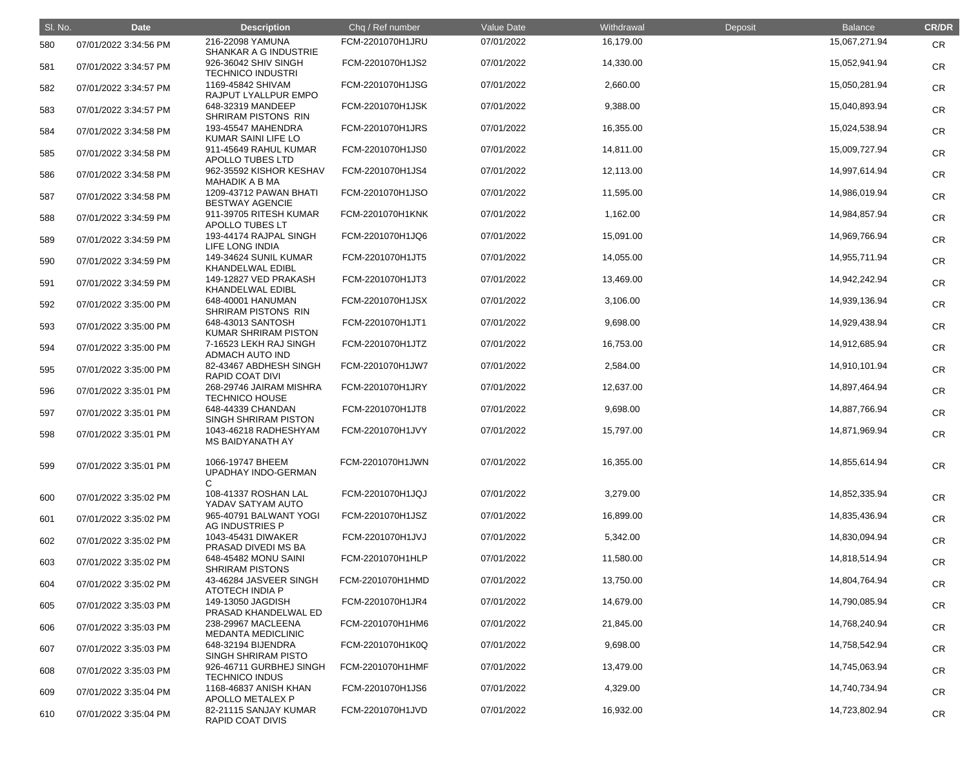| SI. No. | <b>Date</b>           | <b>Description</b>                               | Chq / Ref number | Value Date | Withdrawal | Deposit | <b>Balance</b> | <b>CR/DR</b> |
|---------|-----------------------|--------------------------------------------------|------------------|------------|------------|---------|----------------|--------------|
| 580     | 07/01/2022 3:34:56 PM | 216-22098 YAMUNA<br>SHANKAR A G INDUSTRIE        | FCM-2201070H1JRU | 07/01/2022 | 16,179.00  |         | 15,067,271.94  | <b>CR</b>    |
| 581     | 07/01/2022 3:34:57 PM | 926-36042 SHIV SINGH<br><b>TECHNICO INDUSTRI</b> | FCM-2201070H1JS2 | 07/01/2022 | 14,330.00  |         | 15,052,941.94  | <b>CR</b>    |
| 582     | 07/01/2022 3:34:57 PM | 1169-45842 SHIVAM<br>RAJPUT LYALLPUR EMPO        | FCM-2201070H1JSG | 07/01/2022 | 2,660.00   |         | 15,050,281.94  | <b>CR</b>    |
| 583     | 07/01/2022 3:34:57 PM | 648-32319 MANDEEP<br>SHRIRAM PISTONS RIN         | FCM-2201070H1JSK | 07/01/2022 | 9,388.00   |         | 15,040,893.94  | <b>CR</b>    |
| 584     | 07/01/2022 3:34:58 PM | 193-45547 MAHENDRA<br>KUMAR SAINI LIFE LO        | FCM-2201070H1JRS | 07/01/2022 | 16,355.00  |         | 15,024,538.94  | <b>CR</b>    |
| 585     | 07/01/2022 3:34:58 PM | 911-45649 RAHUL KUMAR<br>APOLLO TUBES LTD        | FCM-2201070H1JS0 | 07/01/2022 | 14,811.00  |         | 15,009,727.94  | <b>CR</b>    |
| 586     | 07/01/2022 3:34:58 PM | 962-35592 KISHOR KESHAV<br><b>MAHADIK A B MA</b> | FCM-2201070H1JS4 | 07/01/2022 | 12,113.00  |         | 14,997,614.94  | <b>CR</b>    |
| 587     | 07/01/2022 3:34:58 PM | 1209-43712 PAWAN BHATI<br><b>BESTWAY AGENCIE</b> | FCM-2201070H1JSO | 07/01/2022 | 11,595.00  |         | 14,986,019.94  | <b>CR</b>    |
| 588     | 07/01/2022 3:34:59 PM | 911-39705 RITESH KUMAR<br>APOLLO TUBES LT        | FCM-2201070H1KNK | 07/01/2022 | 1,162.00   |         | 14,984,857.94  | <b>CR</b>    |
| 589     | 07/01/2022 3:34:59 PM | 193-44174 RAJPAL SINGH<br>LIFE LONG INDIA        | FCM-2201070H1JQ6 | 07/01/2022 | 15,091.00  |         | 14,969,766.94  | <b>CR</b>    |
| 590     | 07/01/2022 3:34:59 PM | 149-34624 SUNIL KUMAR<br><b>KHANDELWAL EDIBL</b> | FCM-2201070H1JT5 | 07/01/2022 | 14,055.00  |         | 14,955,711.94  | <b>CR</b>    |
| 591     | 07/01/2022 3:34:59 PM | 149-12827 VED PRAKASH<br><b>KHANDELWAL EDIBL</b> | FCM-2201070H1JT3 | 07/01/2022 | 13,469.00  |         | 14,942,242.94  | <b>CR</b>    |
| 592     | 07/01/2022 3:35:00 PM | 648-40001 HANUMAN<br>SHRIRAM PISTONS RIN         | FCM-2201070H1JSX | 07/01/2022 | 3,106.00   |         | 14,939,136.94  | <b>CR</b>    |
| 593     | 07/01/2022 3:35:00 PM | 648-43013 SANTOSH<br>KUMAR SHRIRAM PISTON        | FCM-2201070H1JT1 | 07/01/2022 | 9,698.00   |         | 14,929,438.94  | <b>CR</b>    |
| 594     | 07/01/2022 3:35:00 PM | 7-16523 LEKH RAJ SINGH<br><b>ADMACH AUTO IND</b> | FCM-2201070H1JTZ | 07/01/2022 | 16,753.00  |         | 14,912,685.94  | <b>CR</b>    |
| 595     | 07/01/2022 3:35:00 PM | 82-43467 ABDHESH SINGH<br><b>RAPID COAT DIVI</b> | FCM-2201070H1JW7 | 07/01/2022 | 2,584.00   |         | 14,910,101.94  | <b>CR</b>    |
| 596     | 07/01/2022 3:35:01 PM | 268-29746 JAIRAM MISHRA<br><b>TECHNICO HOUSE</b> | FCM-2201070H1JRY | 07/01/2022 | 12,637.00  |         | 14,897,464.94  | <b>CR</b>    |
| 597     | 07/01/2022 3:35:01 PM | 648-44339 CHANDAN<br>SINGH SHRIRAM PISTON        | FCM-2201070H1JT8 | 07/01/2022 | 9,698.00   |         | 14,887,766.94  | <b>CR</b>    |
| 598     | 07/01/2022 3:35:01 PM | 1043-46218 RADHESHYAM<br><b>MS BAIDYANATH AY</b> | FCM-2201070H1JVY | 07/01/2022 | 15,797.00  |         | 14,871,969.94  | <b>CR</b>    |
| 599     | 07/01/2022 3:35:01 PM | 1066-19747 BHEEM<br>UPADHAY INDO-GERMAN<br>С     | FCM-2201070H1JWN | 07/01/2022 | 16,355.00  |         | 14,855,614.94  | <b>CR</b>    |
| 600     | 07/01/2022 3:35:02 PM | 108-41337 ROSHAN LAL<br>YADAV SATYAM AUTO        | FCM-2201070H1JQJ | 07/01/2022 | 3,279.00   |         | 14,852,335.94  | <b>CR</b>    |
| 601     | 07/01/2022 3:35:02 PM | 965-40791 BALWANT YOGI<br>AG INDUSTRIES P        | FCM-2201070H1JSZ | 07/01/2022 | 16,899.00  |         | 14,835,436.94  | <b>CR</b>    |
| 602     | 07/01/2022 3:35:02 PM | 1043-45431 DIWAKER<br>PRASAD DIVEDI MS BA        | FCM-2201070H1JVJ | 07/01/2022 | 5,342.00   |         | 14,830,094.94  | <b>CR</b>    |
| 603     | 07/01/2022 3:35:02 PM | 648-45482 MONU SAINI<br><b>SHRIRAM PISTONS</b>   | FCM-2201070H1HLP | 07/01/2022 | 11,580.00  |         | 14,818,514.94  | <b>CR</b>    |
| 604     | 07/01/2022 3:35:02 PM | 43-46284 JASVEER SINGH<br>ATOTECH INDIA P        | FCM-2201070H1HMD | 07/01/2022 | 13,750.00  |         | 14,804,764.94  | <b>CR</b>    |
| 605     | 07/01/2022 3:35:03 PM | 149-13050 JAGDISH<br>PRASAD KHANDELWAL ED        | FCM-2201070H1JR4 | 07/01/2022 | 14,679.00  |         | 14,790,085.94  | <b>CR</b>    |
| 606     | 07/01/2022 3:35:03 PM | 238-29967 MACLEENA<br><b>MEDANTA MEDICLINIC</b>  | FCM-2201070H1HM6 | 07/01/2022 | 21,845.00  |         | 14,768,240.94  | <b>CR</b>    |
| 607     | 07/01/2022 3:35:03 PM | 648-32194 BIJENDRA<br>SINGH SHRIRAM PISTO        | FCM-2201070H1K0Q | 07/01/2022 | 9,698.00   |         | 14,758,542.94  | <b>CR</b>    |
| 608     | 07/01/2022 3:35:03 PM | 926-46711 GURBHEJ SINGH<br><b>TECHNICO INDUS</b> | FCM-2201070H1HMF | 07/01/2022 | 13,479.00  |         | 14,745,063.94  | <b>CR</b>    |
| 609     | 07/01/2022 3:35:04 PM | 1168-46837 ANISH KHAN<br>APOLLO METALEX P        | FCM-2201070H1JS6 | 07/01/2022 | 4,329.00   |         | 14,740,734.94  | <b>CR</b>    |
| 610     | 07/01/2022 3:35:04 PM | 82-21115 SANJAY KUMAR<br>RAPID COAT DIVIS        | FCM-2201070H1JVD | 07/01/2022 | 16,932.00  |         | 14,723,802.94  | <b>CR</b>    |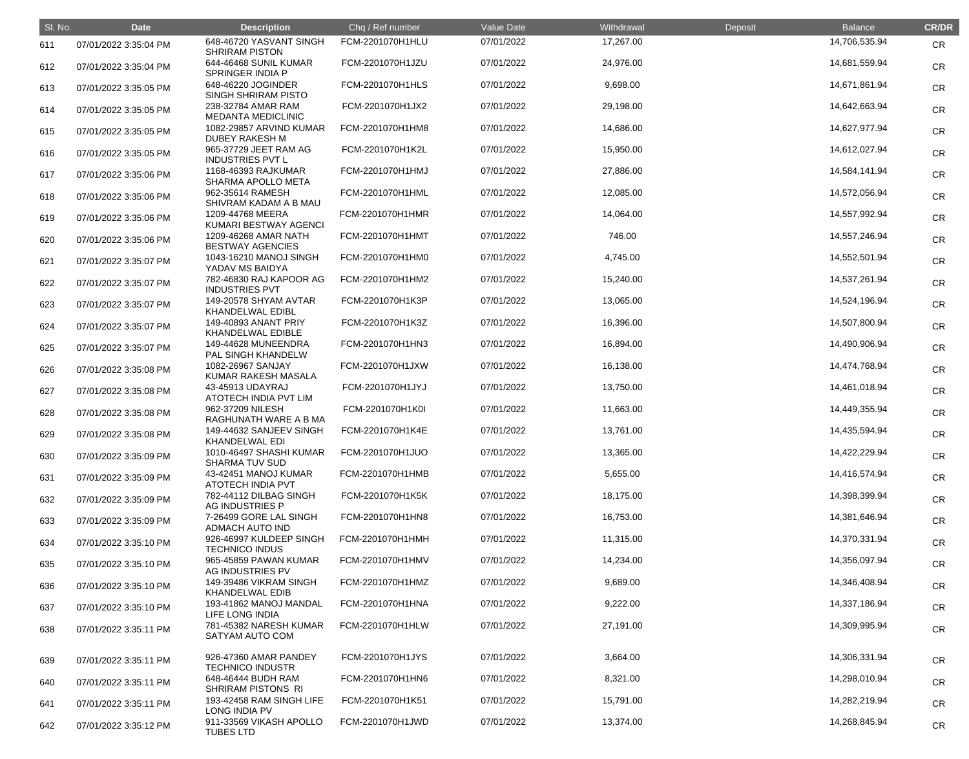| SI. No. | <b>Date</b>           | <b>Description</b>                               | Chq / Ref number | Value Date | Withdrawal | Deposit | <b>Balance</b> | <b>CR/DR</b> |
|---------|-----------------------|--------------------------------------------------|------------------|------------|------------|---------|----------------|--------------|
| 611     | 07/01/2022 3:35:04 PM | 648-46720 YASVANT SINGH<br><b>SHRIRAM PISTON</b> | FCM-2201070H1HLU | 07/01/2022 | 17,267.00  |         | 14,706,535.94  | <b>CR</b>    |
| 612     | 07/01/2022 3:35:04 PM | 644-46468 SUNIL KUMAR<br>SPRINGER INDIA P        | FCM-2201070H1JZU | 07/01/2022 | 24,976.00  |         | 14,681,559.94  | <b>CR</b>    |
| 613     | 07/01/2022 3:35:05 PM | 648-46220 JOGINDER<br>SINGH SHRIRAM PISTO        | FCM-2201070H1HLS | 07/01/2022 | 9,698.00   |         | 14,671,861.94  | <b>CR</b>    |
| 614     | 07/01/2022 3:35:05 PM | 238-32784 AMAR RAM<br><b>MEDANTA MEDICLINIC</b>  | FCM-2201070H1JX2 | 07/01/2022 | 29,198.00  |         | 14,642,663.94  | <b>CR</b>    |
| 615     | 07/01/2022 3:35:05 PM | 1082-29857 ARVIND KUMAR<br><b>DUBEY RAKESH M</b> | FCM-2201070H1HM8 | 07/01/2022 | 14,686.00  |         | 14,627,977.94  | <b>CR</b>    |
| 616     | 07/01/2022 3:35:05 PM | 965-37729 JEET RAM AG<br><b>INDUSTRIES PVT L</b> | FCM-2201070H1K2L | 07/01/2022 | 15,950.00  |         | 14,612,027.94  | <b>CR</b>    |
| 617     | 07/01/2022 3:35:06 PM | 1168-46393 RAJKUMAR<br>SHARMA APOLLO META        | FCM-2201070H1HMJ | 07/01/2022 | 27,886.00  |         | 14,584,141.94  | <b>CR</b>    |
| 618     | 07/01/2022 3:35:06 PM | 962-35614 RAMESH<br>SHIVRAM KADAM A B MAU        | FCM-2201070H1HML | 07/01/2022 | 12,085.00  |         | 14,572,056.94  | <b>CR</b>    |
| 619     | 07/01/2022 3:35:06 PM | 1209-44768 MEERA<br>KUMARI BESTWAY AGENCI        | FCM-2201070H1HMR | 07/01/2022 | 14,064.00  |         | 14,557,992.94  | <b>CR</b>    |
| 620     | 07/01/2022 3:35:06 PM | 1209-46268 AMAR NATH<br><b>BESTWAY AGENCIES</b>  | FCM-2201070H1HMT | 07/01/2022 | 746.00     |         | 14,557,246.94  | <b>CR</b>    |
| 621     | 07/01/2022 3:35:07 PM | 1043-16210 MANOJ SINGH<br>YADAV MS BAIDYA        | FCM-2201070H1HM0 | 07/01/2022 | 4,745.00   |         | 14,552,501.94  | <b>CR</b>    |
| 622     | 07/01/2022 3:35:07 PM | 782-46830 RAJ KAPOOR AG<br><b>INDUSTRIES PVT</b> | FCM-2201070H1HM2 | 07/01/2022 | 15,240.00  |         | 14,537,261.94  | <b>CR</b>    |
| 623     | 07/01/2022 3:35:07 PM | 149-20578 SHYAM AVTAR<br><b>KHANDELWAL EDIBL</b> | FCM-2201070H1K3P | 07/01/2022 | 13,065.00  |         | 14,524,196.94  | <b>CR</b>    |
| 624     | 07/01/2022 3:35:07 PM | 149-40893 ANANT PRIY<br>KHANDELWAL EDIBLE        | FCM-2201070H1K3Z | 07/01/2022 | 16,396.00  |         | 14,507,800.94  | <b>CR</b>    |
| 625     | 07/01/2022 3:35:07 PM | 149-44628 MUNEENDRA<br>PAL SINGH KHANDELW        | FCM-2201070H1HN3 | 07/01/2022 | 16,894.00  |         | 14,490,906.94  | <b>CR</b>    |
| 626     | 07/01/2022 3:35:08 PM | 1082-26967 SANJAY<br>KUMAR RAKESH MASALA         | FCM-2201070H1JXW | 07/01/2022 | 16,138.00  |         | 14,474,768.94  | <b>CR</b>    |
| 627     | 07/01/2022 3:35:08 PM | 43-45913 UDAYRAJ<br>ATOTECH INDIA PVT LIM        | FCM-2201070H1JYJ | 07/01/2022 | 13,750.00  |         | 14,461,018.94  | <b>CR</b>    |
| 628     | 07/01/2022 3:35:08 PM | 962-37209 NILESH<br>RAGHUNATH WARE A B MA        | FCM-2201070H1K0I | 07/01/2022 | 11,663.00  |         | 14,449,355.94  | <b>CR</b>    |
| 629     | 07/01/2022 3:35:08 PM | 149-44632 SANJEEV SINGH<br><b>KHANDELWAL EDI</b> | FCM-2201070H1K4E | 07/01/2022 | 13,761.00  |         | 14,435,594.94  | <b>CR</b>    |
| 630     | 07/01/2022 3:35:09 PM | 1010-46497 SHASHI KUMAR<br><b>SHARMA TUV SUD</b> | FCM-2201070H1JUO | 07/01/2022 | 13,365.00  |         | 14,422,229.94  | <b>CR</b>    |
| 631     | 07/01/2022 3:35:09 PM | 43-42451 MANOJ KUMAR<br><b>ATOTECH INDIA PVT</b> | FCM-2201070H1HMB | 07/01/2022 | 5,655.00   |         | 14,416,574.94  | <b>CR</b>    |
| 632     | 07/01/2022 3:35:09 PM | 782-44112 DILBAG SINGH<br>AG INDUSTRIES P        | FCM-2201070H1K5K | 07/01/2022 | 18,175.00  |         | 14,398,399.94  | <b>CR</b>    |
| 633     | 07/01/2022 3:35:09 PM | 7-26499 GORE LAL SINGH<br>ADMACH AUTO IND        | FCM-2201070H1HN8 | 07/01/2022 | 16,753.00  |         | 14,381,646.94  | <b>CR</b>    |
| 634     | 07/01/2022 3:35:10 PM | 926-46997 KULDEEP SINGH<br><b>TECHNICO INDUS</b> | FCM-2201070H1HMH | 07/01/2022 | 11,315.00  |         | 14,370,331.94  | <b>CR</b>    |
| 635     | 07/01/2022 3:35:10 PM | 965-45859 PAWAN KUMAR<br>AG INDUSTRIES PV        | FCM-2201070H1HMV | 07/01/2022 | 14,234.00  |         | 14,356,097.94  | <b>CR</b>    |
| 636     | 07/01/2022 3:35:10 PM | 149-39486 VIKRAM SINGH<br><b>KHANDELWAL EDIB</b> | FCM-2201070H1HMZ | 07/01/2022 | 9,689.00   |         | 14,346,408.94  | <b>CR</b>    |
| 637     | 07/01/2022 3:35:10 PM | 193-41862 MANOJ MANDAL<br>LIFE LONG INDIA        | FCM-2201070H1HNA | 07/01/2022 | 9,222.00   |         | 14,337,186.94  | <b>CR</b>    |
| 638     | 07/01/2022 3:35:11 PM | 781-45382 NARESH KUMAR<br>SATYAM AUTO COM        | FCM-2201070H1HLW | 07/01/2022 | 27,191.00  |         | 14,309,995.94  | <b>CR</b>    |
| 639     | 07/01/2022 3:35:11 PM | 926-47360 AMAR PANDEY<br><b>TECHNICO INDUSTR</b> | FCM-2201070H1JYS | 07/01/2022 | 3,664.00   |         | 14,306,331.94  | <b>CR</b>    |
| 640     | 07/01/2022 3:35:11 PM | 648-46444 BUDH RAM<br>SHRIRAM PISTONS RI         | FCM-2201070H1HN6 | 07/01/2022 | 8,321.00   |         | 14,298,010.94  | <b>CR</b>    |
| 641     | 07/01/2022 3:35:11 PM | 193-42458 RAM SINGH LIFE<br>LONG INDIA PV        | FCM-2201070H1K51 | 07/01/2022 | 15,791.00  |         | 14,282,219.94  | <b>CR</b>    |
| 642     | 07/01/2022 3:35:12 PM | 911-33569 VIKASH APOLLO<br><b>TUBES LTD</b>      | FCM-2201070H1JWD | 07/01/2022 | 13,374.00  |         | 14,268,845.94  | <b>CR</b>    |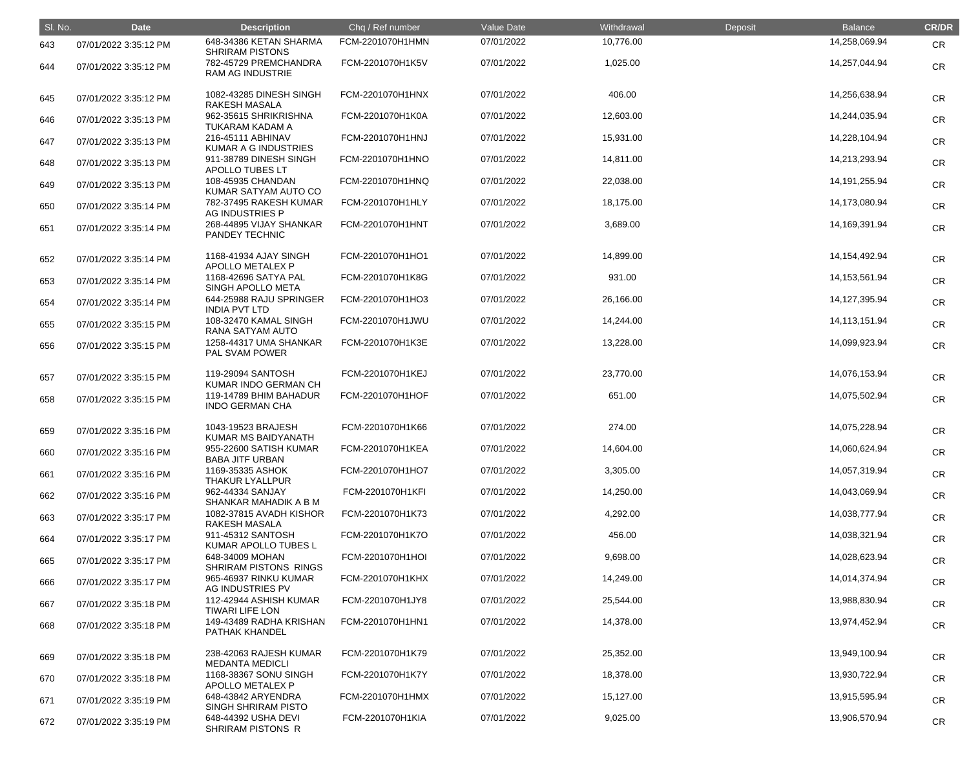| SI. No. | <b>Date</b>           | <b>Description</b>                               | Chq / Ref number | Value Date | Withdrawal | Deposit | <b>Balance</b>   | <b>CR/DR</b> |
|---------|-----------------------|--------------------------------------------------|------------------|------------|------------|---------|------------------|--------------|
| 643     | 07/01/2022 3:35:12 PM | 648-34386 KETAN SHARMA<br><b>SHRIRAM PISTONS</b> | FCM-2201070H1HMN | 07/01/2022 | 10,776.00  |         | 14,258,069.94    | <b>CR</b>    |
| 644     | 07/01/2022 3:35:12 PM | 782-45729 PREMCHANDRA<br><b>RAM AG INDUSTRIE</b> | FCM-2201070H1K5V | 07/01/2022 | 1,025.00   |         | 14,257,044.94    | CR           |
| 645     | 07/01/2022 3:35:12 PM | 1082-43285 DINESH SINGH<br><b>RAKESH MASALA</b>  | FCM-2201070H1HNX | 07/01/2022 | 406.00     |         | 14,256,638.94    | <b>CR</b>    |
| 646     | 07/01/2022 3:35:13 PM | 962-35615 SHRIKRISHNA<br>TUKARAM KADAM A         | FCM-2201070H1K0A | 07/01/2022 | 12,603.00  |         | 14,244,035.94    | <b>CR</b>    |
| 647     | 07/01/2022 3:35:13 PM | 216-45111 ABHINAV<br><b>KUMAR A G INDUSTRIES</b> | FCM-2201070H1HNJ | 07/01/2022 | 15,931.00  |         | 14,228,104.94    | <b>CR</b>    |
| 648     | 07/01/2022 3:35:13 PM | 911-38789 DINESH SINGH<br><b>APOLLO TUBES LT</b> | FCM-2201070H1HNO | 07/01/2022 | 14,811.00  |         | 14,213,293.94    | <b>CR</b>    |
| 649     | 07/01/2022 3:35:13 PM | 108-45935 CHANDAN<br>KUMAR SATYAM AUTO CO        | FCM-2201070H1HNQ | 07/01/2022 | 22,038.00  |         | 14, 191, 255. 94 | <b>CR</b>    |
| 650     | 07/01/2022 3:35:14 PM | 782-37495 RAKESH KUMAR<br>AG INDUSTRIES P        | FCM-2201070H1HLY | 07/01/2022 | 18,175.00  |         | 14,173,080.94    | <b>CR</b>    |
| 651     | 07/01/2022 3:35:14 PM | 268-44895 VIJAY SHANKAR<br>PANDEY TECHNIC        | FCM-2201070H1HNT | 07/01/2022 | 3,689.00   |         | 14,169,391.94    | <b>CR</b>    |
| 652     | 07/01/2022 3:35:14 PM | 1168-41934 AJAY SINGH<br>APOLLO METALEX P        | FCM-2201070H1HO1 | 07/01/2022 | 14,899.00  |         | 14, 154, 492. 94 | <b>CR</b>    |
| 653     | 07/01/2022 3:35:14 PM | 1168-42696 SATYA PAL<br>SINGH APOLLO META        | FCM-2201070H1K8G | 07/01/2022 | 931.00     |         | 14, 153, 561. 94 | <b>CR</b>    |
| 654     | 07/01/2022 3:35:14 PM | 644-25988 RAJU SPRINGER<br><b>INDIA PVT LTD</b>  | FCM-2201070H1HO3 | 07/01/2022 | 26,166.00  |         | 14,127,395.94    | <b>CR</b>    |
| 655     | 07/01/2022 3:35:15 PM | 108-32470 KAMAL SINGH<br>RANA SATYAM AUTO        | FCM-2201070H1JWU | 07/01/2022 | 14,244.00  |         | 14, 113, 151. 94 | <b>CR</b>    |
| 656     | 07/01/2022 3:35:15 PM | 1258-44317 UMA SHANKAR<br>PAL SVAM POWER         | FCM-2201070H1K3E | 07/01/2022 | 13,228.00  |         | 14,099,923.94    | <b>CR</b>    |
| 657     | 07/01/2022 3:35:15 PM | 119-29094 SANTOSH<br>KUMAR INDO GERMAN CH        | FCM-2201070H1KEJ | 07/01/2022 | 23,770.00  |         | 14,076,153.94    | <b>CR</b>    |
| 658     | 07/01/2022 3:35:15 PM | 119-14789 BHIM BAHADUR<br><b>INDO GERMAN CHA</b> | FCM-2201070H1HOF | 07/01/2022 | 651.00     |         | 14,075,502.94    | <b>CR</b>    |
| 659     | 07/01/2022 3:35:16 PM | 1043-19523 BRAJESH<br>KUMAR MS BAIDYANATH        | FCM-2201070H1K66 | 07/01/2022 | 274.00     |         | 14,075,228.94    | <b>CR</b>    |
| 660     | 07/01/2022 3:35:16 PM | 955-22600 SATISH KUMAR<br><b>BABA JITF URBAN</b> | FCM-2201070H1KEA | 07/01/2022 | 14,604.00  |         | 14,060,624.94    | CR           |
| 661     | 07/01/2022 3:35:16 PM | 1169-35335 ASHOK<br>THAKUR LYALLPUR              | FCM-2201070H1HO7 | 07/01/2022 | 3,305.00   |         | 14,057,319.94    | <b>CR</b>    |
| 662     | 07/01/2022 3:35:16 PM | 962-44334 SANJAY<br>SHANKAR MAHADIK A B M        | FCM-2201070H1KFI | 07/01/2022 | 14,250.00  |         | 14,043,069.94    | <b>CR</b>    |
| 663     | 07/01/2022 3:35:17 PM | 1082-37815 AVADH KISHOR<br><b>RAKESH MASALA</b>  | FCM-2201070H1K73 | 07/01/2022 | 4,292.00   |         | 14,038,777.94    | <b>CR</b>    |
| 664     | 07/01/2022 3:35:17 PM | 911-45312 SANTOSH<br>KUMAR APOLLO TUBES L        | FCM-2201070H1K7O | 07/01/2022 | 456.00     |         | 14,038,321.94    | <b>CR</b>    |
| 665     | 07/01/2022 3:35:17 PM | 648-34009 MOHAN<br>SHRIRAM PISTONS RINGS         | FCM-2201070H1HOI | 07/01/2022 | 9,698.00   |         | 14,028,623.94    | <b>CR</b>    |
| 666     | 07/01/2022 3:35:17 PM | 965-46937 RINKU KUMAR<br>AG INDUSTRIES PV        | FCM-2201070H1KHX | 07/01/2022 | 14,249.00  |         | 14,014,374.94    | <b>CR</b>    |
| 667     | 07/01/2022 3:35:18 PM | 112-42944 ASHISH KUMAR<br><b>TIWARI LIFE LON</b> | FCM-2201070H1JY8 | 07/01/2022 | 25,544.00  |         | 13,988,830.94    | <b>CR</b>    |
| 668     | 07/01/2022 3:35:18 PM | 149-43489 RADHA KRISHAN<br>PATHAK KHANDEL        | FCM-2201070H1HN1 | 07/01/2022 | 14,378.00  |         | 13,974,452.94    | <b>CR</b>    |
| 669     | 07/01/2022 3:35:18 PM | 238-42063 RAJESH KUMAR<br><b>MEDANTA MEDICLI</b> | FCM-2201070H1K79 | 07/01/2022 | 25,352.00  |         | 13,949,100.94    | <b>CR</b>    |
| 670     | 07/01/2022 3:35:18 PM | 1168-38367 SONU SINGH<br>APOLLO METALEX P        | FCM-2201070H1K7Y | 07/01/2022 | 18,378.00  |         | 13,930,722.94    | <b>CR</b>    |
| 671     | 07/01/2022 3:35:19 PM | 648-43842 ARYENDRA<br><b>SINGH SHRIRAM PISTO</b> | FCM-2201070H1HMX | 07/01/2022 | 15,127.00  |         | 13,915,595.94    | <b>CR</b>    |
| 672     | 07/01/2022 3:35:19 PM | 648-44392 USHA DEVI<br>SHRIRAM PISTONS R         | FCM-2201070H1KIA | 07/01/2022 | 9,025.00   |         | 13,906,570.94    | <b>CR</b>    |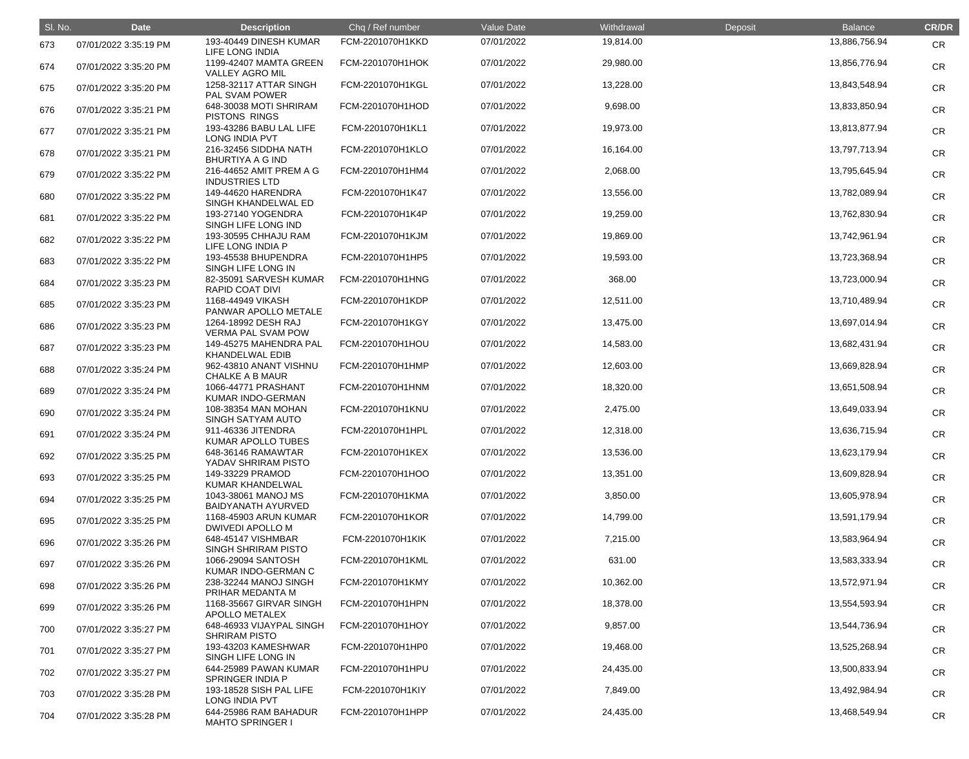| SI. No. | <b>Date</b>           | <b>Description</b>                               | Chq / Ref number | Value Date | Withdrawal | Deposit | <b>Balance</b> | <b>CR/DR</b> |
|---------|-----------------------|--------------------------------------------------|------------------|------------|------------|---------|----------------|--------------|
| 673     | 07/01/2022 3:35:19 PM | 193-40449 DINESH KUMAR<br>LIFE LONG INDIA        | FCM-2201070H1KKD | 07/01/2022 | 19,814.00  |         | 13,886,756.94  | <b>CR</b>    |
| 674     | 07/01/2022 3:35:20 PM | 1199-42407 MAMTA GREEN<br><b>VALLEY AGRO MIL</b> | FCM-2201070H1HOK | 07/01/2022 | 29,980.00  |         | 13,856,776.94  | <b>CR</b>    |
| 675     | 07/01/2022 3:35:20 PM | 1258-32117 ATTAR SINGH<br>PAL SVAM POWER         | FCM-2201070H1KGL | 07/01/2022 | 13,228.00  |         | 13,843,548.94  | <b>CR</b>    |
| 676     | 07/01/2022 3:35:21 PM | 648-30038 MOTI SHRIRAM<br>PISTONS RINGS          | FCM-2201070H1HOD | 07/01/2022 | 9,698.00   |         | 13,833,850.94  | <b>CR</b>    |
| 677     | 07/01/2022 3:35:21 PM | 193-43286 BABU LAL LIFE<br>LONG INDIA PVT        | FCM-2201070H1KL1 | 07/01/2022 | 19,973.00  |         | 13,813,877.94  | <b>CR</b>    |
| 678     | 07/01/2022 3:35:21 PM | 216-32456 SIDDHA NATH<br><b>BHURTIYA A G IND</b> | FCM-2201070H1KLO | 07/01/2022 | 16,164.00  |         | 13,797,713.94  | <b>CR</b>    |
| 679     | 07/01/2022 3:35:22 PM | 216-44652 AMIT PREM A G<br><b>INDUSTRIES LTD</b> | FCM-2201070H1HM4 | 07/01/2022 | 2,068.00   |         | 13,795,645.94  | <b>CR</b>    |
| 680     | 07/01/2022 3:35:22 PM | 149-44620 HARENDRA<br>SINGH KHANDELWAL ED        | FCM-2201070H1K47 | 07/01/2022 | 13,556.00  |         | 13,782,089.94  | <b>CR</b>    |
| 681     | 07/01/2022 3:35:22 PM | 193-27140 YOGENDRA<br>SINGH LIFE LONG IND        | FCM-2201070H1K4P | 07/01/2022 | 19,259.00  |         | 13,762,830.94  | <b>CR</b>    |
| 682     | 07/01/2022 3:35:22 PM | 193-30595 CHHAJU RAM<br>LIFE LONG INDIA P        | FCM-2201070H1KJM | 07/01/2022 | 19,869.00  |         | 13,742,961.94  | <b>CR</b>    |
| 683     | 07/01/2022 3:35:22 PM | 193-45538 BHUPENDRA<br>SINGH LIFE LONG IN        | FCM-2201070H1HP5 | 07/01/2022 | 19,593.00  |         | 13,723,368.94  | <b>CR</b>    |
| 684     | 07/01/2022 3:35:23 PM | 82-35091 SARVESH KUMAR<br><b>RAPID COAT DIVI</b> | FCM-2201070H1HNG | 07/01/2022 | 368.00     |         | 13,723,000.94  | <b>CR</b>    |
| 685     | 07/01/2022 3:35:23 PM | 1168-44949 VIKASH<br>PANWAR APOLLO METALE        | FCM-2201070H1KDP | 07/01/2022 | 12,511.00  |         | 13,710,489.94  | <b>CR</b>    |
| 686     | 07/01/2022 3:35:23 PM | 1264-18992 DESH RAJ<br><b>VERMA PAL SVAM POW</b> | FCM-2201070H1KGY | 07/01/2022 | 13,475.00  |         | 13,697,014.94  | <b>CR</b>    |
| 687     | 07/01/2022 3:35:23 PM | 149-45275 MAHENDRA PAL<br><b>KHANDELWAL EDIB</b> | FCM-2201070H1HOU | 07/01/2022 | 14,583.00  |         | 13,682,431.94  | <b>CR</b>    |
| 688     | 07/01/2022 3:35:24 PM | 962-43810 ANANT VISHNU<br><b>CHALKE A B MAUR</b> | FCM-2201070H1HMP | 07/01/2022 | 12,603.00  |         | 13,669,828.94  | <b>CR</b>    |
| 689     | 07/01/2022 3:35:24 PM | 1066-44771 PRASHANT<br>KUMAR INDO-GERMAN         | FCM-2201070H1HNM | 07/01/2022 | 18,320.00  |         | 13,651,508.94  | <b>CR</b>    |
| 690     | 07/01/2022 3:35:24 PM | 108-38354 MAN MOHAN<br>SINGH SATYAM AUTO         | FCM-2201070H1KNU | 07/01/2022 | 2,475.00   |         | 13,649,033.94  | <b>CR</b>    |
| 691     | 07/01/2022 3:35:24 PM | 911-46336 JITENDRA<br>KUMAR APOLLO TUBES         | FCM-2201070H1HPL | 07/01/2022 | 12,318.00  |         | 13,636,715.94  | <b>CR</b>    |
| 692     | 07/01/2022 3:35:25 PM | 648-36146 RAMAWTAR<br>YADAV SHRIRAM PISTO        | FCM-2201070H1KEX | 07/01/2022 | 13,536.00  |         | 13,623,179.94  | <b>CR</b>    |
| 693     | 07/01/2022 3:35:25 PM | 149-33229 PRAMOD<br>KUMAR KHANDELWAL             | FCM-2201070H1HOO | 07/01/2022 | 13,351.00  |         | 13,609,828.94  | <b>CR</b>    |
| 694     | 07/01/2022 3:35:25 PM | 1043-38061 MANOJ MS<br><b>BAIDYANATH AYURVED</b> | FCM-2201070H1KMA | 07/01/2022 | 3,850.00   |         | 13,605,978.94  | <b>CR</b>    |
| 695     | 07/01/2022 3:35:25 PM | 1168-45903 ARUN KUMAR<br><b>DWIVEDI APOLLO M</b> | FCM-2201070H1KOR | 07/01/2022 | 14,799.00  |         | 13,591,179.94  | <b>CR</b>    |
| 696     | 07/01/2022 3:35:26 PM | 648-45147 VISHMBAR<br>SINGH SHRIRAM PISTO        | FCM-2201070H1KIK | 07/01/2022 | 7,215.00   |         | 13,583,964.94  | <b>CR</b>    |
| 697     | 07/01/2022 3:35:26 PM | 1066-29094 SANTOSH<br>KUMAR INDO-GERMAN C        | FCM-2201070H1KML | 07/01/2022 | 631.00     |         | 13,583,333.94  | <b>CR</b>    |
| 698     | 07/01/2022 3:35:26 PM | 238-32244 MANOJ SINGH<br>PRIHAR MEDANTA M        | FCM-2201070H1KMY | 07/01/2022 | 10,362.00  |         | 13,572,971.94  | <b>CR</b>    |
| 699     | 07/01/2022 3:35:26 PM | 1168-35667 GIRVAR SINGH<br>APOLLO METALEX        | FCM-2201070H1HPN | 07/01/2022 | 18,378.00  |         | 13,554,593.94  | <b>CR</b>    |
| 700     | 07/01/2022 3:35:27 PM | 648-46933 VIJAYPAL SINGH<br><b>SHRIRAM PISTO</b> | FCM-2201070H1HOY | 07/01/2022 | 9,857.00   |         | 13,544,736.94  | <b>CR</b>    |
| 701     | 07/01/2022 3:35:27 PM | 193-43203 KAMESHWAR<br>SINGH LIFE LONG IN        | FCM-2201070H1HP0 | 07/01/2022 | 19,468.00  |         | 13,525,268.94  | <b>CR</b>    |
| 702     | 07/01/2022 3:35:27 PM | 644-25989 PAWAN KUMAR<br>SPRINGER INDIA P        | FCM-2201070H1HPU | 07/01/2022 | 24,435.00  |         | 13,500,833.94  | <b>CR</b>    |
| 703     | 07/01/2022 3:35:28 PM | 193-18528 SISH PAL LIFE<br>LONG INDIA PVT        | FCM-2201070H1KIY | 07/01/2022 | 7,849.00   |         | 13,492,984.94  | <b>CR</b>    |
| 704     | 07/01/2022 3:35:28 PM | 644-25986 RAM BAHADUR<br><b>MAHTO SPRINGER I</b> | FCM-2201070H1HPP | 07/01/2022 | 24,435.00  |         | 13,468,549.94  | <b>CR</b>    |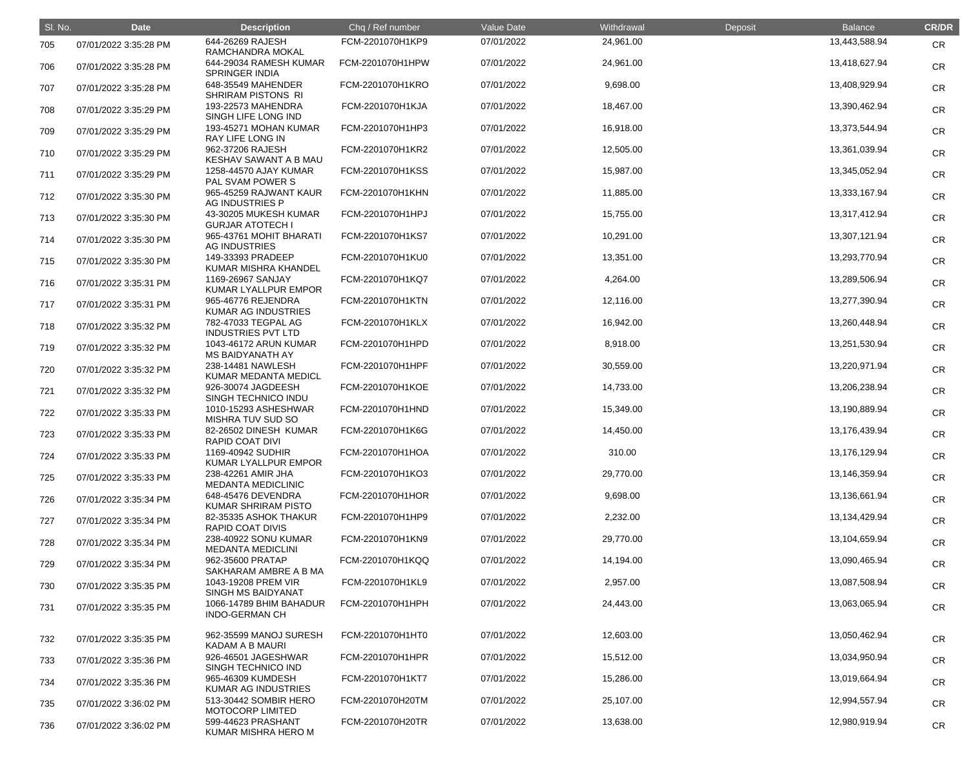| SI. No. | <b>Date</b>           | <b>Description</b>                               | Chq / Ref number | Value Date | Withdrawal | Deposit | <b>Balance</b> | <b>CR/DR</b> |
|---------|-----------------------|--------------------------------------------------|------------------|------------|------------|---------|----------------|--------------|
| 705     | 07/01/2022 3:35:28 PM | 644-26269 RAJESH<br>RAMCHANDRA MOKAL             | FCM-2201070H1KP9 | 07/01/2022 | 24,961.00  |         | 13,443,588.94  | <b>CR</b>    |
| 706     | 07/01/2022 3:35:28 PM | 644-29034 RAMESH KUMAR<br><b>SPRINGER INDIA</b>  | FCM-2201070H1HPW | 07/01/2022 | 24,961.00  |         | 13,418,627.94  | <b>CR</b>    |
| 707     | 07/01/2022 3:35:28 PM | 648-35549 MAHENDER<br>SHRIRAM PISTONS RI         | FCM-2201070H1KRO | 07/01/2022 | 9,698.00   |         | 13,408,929.94  | <b>CR</b>    |
| 708     | 07/01/2022 3:35:29 PM | 193-22573 MAHENDRA<br>SINGH LIFE LONG IND        | FCM-2201070H1KJA | 07/01/2022 | 18,467.00  |         | 13,390,462.94  | <b>CR</b>    |
| 709     | 07/01/2022 3:35:29 PM | 193-45271 MOHAN KUMAR<br>RAY LIFE LONG IN        | FCM-2201070H1HP3 | 07/01/2022 | 16,918.00  |         | 13,373,544.94  | <b>CR</b>    |
| 710     | 07/01/2022 3:35:29 PM | 962-37206 RAJESH<br>KESHAV SAWANT A B MAU        | FCM-2201070H1KR2 | 07/01/2022 | 12,505.00  |         | 13,361,039.94  | <b>CR</b>    |
| 711     | 07/01/2022 3:35:29 PM | 1258-44570 AJAY KUMAR<br>PAL SVAM POWER S        | FCM-2201070H1KSS | 07/01/2022 | 15,987.00  |         | 13,345,052.94  | <b>CR</b>    |
| 712     | 07/01/2022 3:35:30 PM | 965-45259 RAJWANT KAUR<br>AG INDUSTRIES P        | FCM-2201070H1KHN | 07/01/2022 | 11,885.00  |         | 13,333,167.94  | <b>CR</b>    |
| 713     | 07/01/2022 3:35:30 PM | 43-30205 MUKESH KUMAR<br><b>GURJAR ATOTECH I</b> | FCM-2201070H1HPJ | 07/01/2022 | 15,755.00  |         | 13,317,412.94  | <b>CR</b>    |
| 714     | 07/01/2022 3:35:30 PM | 965-43761 MOHIT BHARATI<br><b>AG INDUSTRIES</b>  | FCM-2201070H1KS7 | 07/01/2022 | 10,291.00  |         | 13,307,121.94  | <b>CR</b>    |
| 715     | 07/01/2022 3:35:30 PM | 149-33393 PRADEEP<br>KUMAR MISHRA KHANDEL        | FCM-2201070H1KU0 | 07/01/2022 | 13,351.00  |         | 13,293,770.94  | <b>CR</b>    |
| 716     | 07/01/2022 3:35:31 PM | 1169-26967 SANJAY<br>KUMAR LYALLPUR EMPOR        | FCM-2201070H1KQ7 | 07/01/2022 | 4,264.00   |         | 13,289,506.94  | <b>CR</b>    |
| 717     | 07/01/2022 3:35:31 PM | 965-46776 REJENDRA<br><b>KUMAR AG INDUSTRIES</b> | FCM-2201070H1KTN | 07/01/2022 | 12,116.00  |         | 13,277,390.94  | <b>CR</b>    |
| 718     | 07/01/2022 3:35:32 PM | 782-47033 TEGPAL AG<br><b>INDUSTRIES PVT LTD</b> | FCM-2201070H1KLX | 07/01/2022 | 16,942.00  |         | 13,260,448.94  | <b>CR</b>    |
| 719     | 07/01/2022 3:35:32 PM | 1043-46172 ARUN KUMAR<br><b>MS BAIDYANATH AY</b> | FCM-2201070H1HPD | 07/01/2022 | 8,918.00   |         | 13,251,530.94  | <b>CR</b>    |
| 720     | 07/01/2022 3:35:32 PM | 238-14481 NAWLESH<br>KUMAR MEDANTA MEDICL        | FCM-2201070H1HPF | 07/01/2022 | 30,559.00  |         | 13,220,971.94  | <b>CR</b>    |
| 721     | 07/01/2022 3:35:32 PM | 926-30074 JAGDEESH<br>SINGH TECHNICO INDU        | FCM-2201070H1KOE | 07/01/2022 | 14,733.00  |         | 13,206,238.94  | <b>CR</b>    |
| 722     | 07/01/2022 3:35:33 PM | 1010-15293 ASHESHWAR<br>MISHRA TUV SUD SO        | FCM-2201070H1HND | 07/01/2022 | 15,349.00  |         | 13,190,889.94  | <b>CR</b>    |
| 723     | 07/01/2022 3:35:33 PM | 82-26502 DINESH KUMAR<br><b>RAPID COAT DIVI</b>  | FCM-2201070H1K6G | 07/01/2022 | 14,450.00  |         | 13,176,439.94  | <b>CR</b>    |
| 724     | 07/01/2022 3:35:33 PM | 1169-40942 SUDHIR<br>KUMAR LYALLPUR EMPOR        | FCM-2201070H1HOA | 07/01/2022 | 310.00     |         | 13,176,129.94  | <b>CR</b>    |
| 725     | 07/01/2022 3:35:33 PM | 238-42261 AMIR JHA<br><b>MEDANTA MEDICLINIC</b>  | FCM-2201070H1KO3 | 07/01/2022 | 29,770.00  |         | 13,146,359.94  | <b>CR</b>    |
| 726     | 07/01/2022 3:35:34 PM | 648-45476 DEVENDRA<br>KUMAR SHRIRAM PISTO        | FCM-2201070H1HOR | 07/01/2022 | 9,698.00   |         | 13,136,661.94  | <b>CR</b>    |
| 727     | 07/01/2022 3:35:34 PM | 82-35335 ASHOK THAKUR<br><b>RAPID COAT DIVIS</b> | FCM-2201070H1HP9 | 07/01/2022 | 2,232.00   |         | 13,134,429.94  | <b>CR</b>    |
| 728     | 07/01/2022 3:35:34 PM | 238-40922 SONU KUMAR<br><b>MEDANTA MEDICLINI</b> | FCM-2201070H1KN9 | 07/01/2022 | 29,770.00  |         | 13,104,659.94  | <b>CR</b>    |
| 729     | 07/01/2022 3:35:34 PM | 962-35600 PRATAP<br>SAKHARAM AMBRE A B MA        | FCM-2201070H1KQQ | 07/01/2022 | 14,194.00  |         | 13,090,465.94  | <b>CR</b>    |
| 730     | 07/01/2022 3:35:35 PM | 1043-19208 PREM VIR<br><b>SINGH MS BAIDYANAT</b> | FCM-2201070H1KL9 | 07/01/2022 | 2,957.00   |         | 13,087,508.94  | <b>CR</b>    |
| 731     | 07/01/2022 3:35:35 PM | 1066-14789 BHIM BAHADUR<br><b>INDO-GERMAN CH</b> | FCM-2201070H1HPH | 07/01/2022 | 24,443.00  |         | 13,063,065.94  | <b>CR</b>    |
| 732     | 07/01/2022 3:35:35 PM | 962-35599 MANOJ SURESH<br><b>KADAM A B MAURI</b> | FCM-2201070H1HT0 | 07/01/2022 | 12,603.00  |         | 13,050,462.94  | <b>CR</b>    |
| 733     | 07/01/2022 3:35:36 PM | 926-46501 JAGESHWAR<br>SINGH TECHNICO IND        | FCM-2201070H1HPR | 07/01/2022 | 15,512.00  |         | 13,034,950.94  | <b>CR</b>    |
| 734     | 07/01/2022 3:35:36 PM | 965-46309 KUMDESH<br>KUMAR AG INDUSTRIES         | FCM-2201070H1KT7 | 07/01/2022 | 15,286.00  |         | 13,019,664.94  | <b>CR</b>    |
| 735     | 07/01/2022 3:36:02 PM | 513-30442 SOMBIR HERO<br><b>MOTOCORP LIMITED</b> | FCM-2201070H20TM | 07/01/2022 | 25,107.00  |         | 12,994,557.94  | <b>CR</b>    |
| 736     | 07/01/2022 3:36:02 PM | 599-44623 PRASHANT<br>KUMAR MISHRA HERO M        | FCM-2201070H20TR | 07/01/2022 | 13,638.00  |         | 12,980,919.94  | <b>CR</b>    |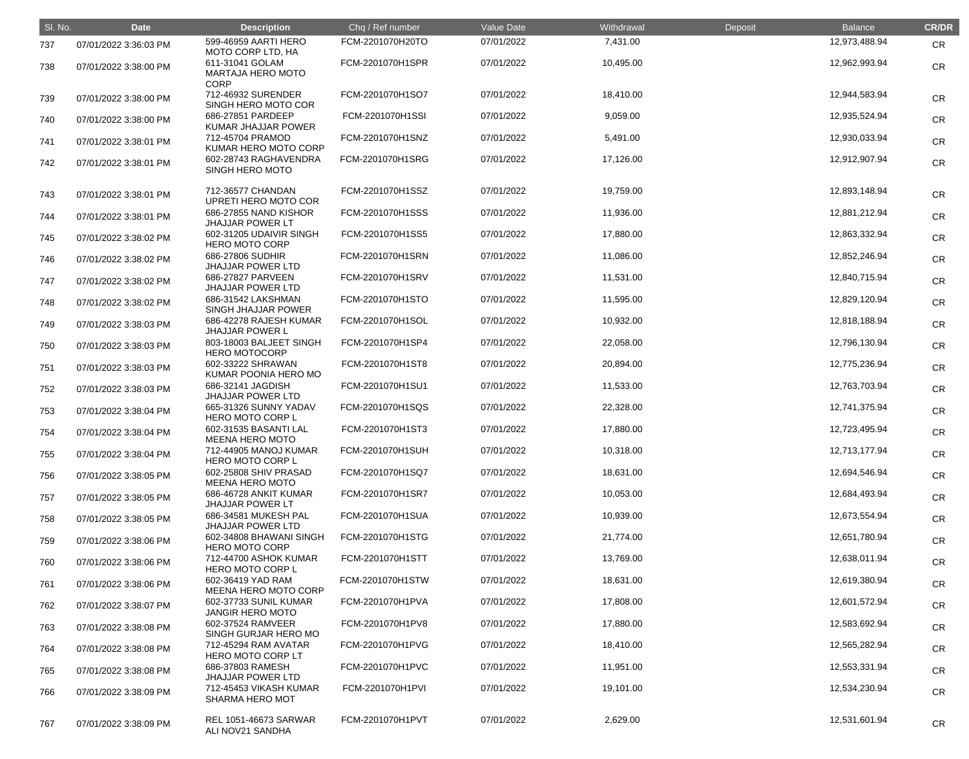| SI. No. | <b>Date</b>           | <b>Description</b>                                         | Chq / Ref number | Value Date | Withdrawal | Deposit | <b>Balance</b> | <b>CR/DR</b> |
|---------|-----------------------|------------------------------------------------------------|------------------|------------|------------|---------|----------------|--------------|
| 737     | 07/01/2022 3:36:03 PM | 599-46959 AARTI HERO<br>MOTO CORP LTD, HA                  | FCM-2201070H20TO | 07/01/2022 | 7,431.00   |         | 12,973,488.94  | <b>CR</b>    |
| 738     | 07/01/2022 3:38:00 PM | 611-31041 GOLAM<br><b>MARTAJA HERO MOTO</b><br><b>CORP</b> | FCM-2201070H1SPR | 07/01/2022 | 10,495.00  |         | 12,962,993.94  | <b>CR</b>    |
| 739     | 07/01/2022 3:38:00 PM | 712-46932 SURENDER<br>SINGH HERO MOTO COR                  | FCM-2201070H1SO7 | 07/01/2022 | 18,410.00  |         | 12,944,583.94  | <b>CR</b>    |
| 740     | 07/01/2022 3:38:00 PM | 686-27851 PARDEEP<br>KUMAR JHAJJAR POWER                   | FCM-2201070H1SSI | 07/01/2022 | 9,059.00   |         | 12,935,524.94  | <b>CR</b>    |
| 741     | 07/01/2022 3:38:01 PM | 712-45704 PRAMOD<br>KUMAR HERO MOTO CORP                   | FCM-2201070H1SNZ | 07/01/2022 | 5,491.00   |         | 12,930,033.94  | <b>CR</b>    |
| 742     | 07/01/2022 3:38:01 PM | 602-28743 RAGHAVENDRA<br><b>SINGH HERO MOTO</b>            | FCM-2201070H1SRG | 07/01/2022 | 17,126.00  |         | 12,912,907.94  | <b>CR</b>    |
| 743     | 07/01/2022 3:38:01 PM | 712-36577 CHANDAN<br>UPRETI HERO MOTO COR                  | FCM-2201070H1SSZ | 07/01/2022 | 19,759.00  |         | 12,893,148.94  | <b>CR</b>    |
| 744     | 07/01/2022 3:38:01 PM | 686-27855 NAND KISHOR<br><b>JHAJJAR POWER LT</b>           | FCM-2201070H1SSS | 07/01/2022 | 11,936.00  |         | 12,881,212.94  | <b>CR</b>    |
| 745     | 07/01/2022 3:38:02 PM | 602-31205 UDAIVIR SINGH<br><b>HERO MOTO CORP</b>           | FCM-2201070H1SS5 | 07/01/2022 | 17,880.00  |         | 12,863,332.94  | <b>CR</b>    |
| 746     | 07/01/2022 3:38:02 PM | 686-27806 SUDHIR<br><b>JHAJJAR POWER LTD</b>               | FCM-2201070H1SRN | 07/01/2022 | 11,086.00  |         | 12,852,246.94  | <b>CR</b>    |
| 747     | 07/01/2022 3:38:02 PM | 686-27827 PARVEEN<br><b>JHAJJAR POWER LTD</b>              | FCM-2201070H1SRV | 07/01/2022 | 11,531.00  |         | 12,840,715.94  | <b>CR</b>    |
| 748     | 07/01/2022 3:38:02 PM | 686-31542 LAKSHMAN<br>SINGH JHAJJAR POWER                  | FCM-2201070H1STO | 07/01/2022 | 11,595.00  |         | 12,829,120.94  | <b>CR</b>    |
| 749     | 07/01/2022 3:38:03 PM | 686-42278 RAJESH KUMAR<br><b>JHAJJAR POWER L</b>           | FCM-2201070H1SOL | 07/01/2022 | 10,932.00  |         | 12,818,188.94  | <b>CR</b>    |
| 750     | 07/01/2022 3:38:03 PM | 803-18003 BALJEET SINGH<br><b>HERO MOTOCORP</b>            | FCM-2201070H1SP4 | 07/01/2022 | 22,058.00  |         | 12,796,130.94  | <b>CR</b>    |
| 751     | 07/01/2022 3:38:03 PM | 602-33222 SHRAWAN<br>KUMAR POONIA HERO MO                  | FCM-2201070H1ST8 | 07/01/2022 | 20,894.00  |         | 12,775,236.94  | <b>CR</b>    |
| 752     | 07/01/2022 3:38:03 PM | 686-32141 JAGDISH<br><b>JHAJJAR POWER LTD</b>              | FCM-2201070H1SU1 | 07/01/2022 | 11,533.00  |         | 12,763,703.94  | <b>CR</b>    |
| 753     | 07/01/2022 3:38:04 PM | 665-31326 SUNNY YADAV<br><b>HERO MOTO CORP L</b>           | FCM-2201070H1SQS | 07/01/2022 | 22,328.00  |         | 12,741,375.94  | <b>CR</b>    |
| 754     | 07/01/2022 3:38:04 PM | 602-31535 BASANTI LAL<br><b>MEENA HERO MOTO</b>            | FCM-2201070H1ST3 | 07/01/2022 | 17,880.00  |         | 12,723,495.94  | <b>CR</b>    |
| 755     | 07/01/2022 3:38:04 PM | 712-44905 MANOJ KUMAR<br>HERO MOTO CORP L                  | FCM-2201070H1SUH | 07/01/2022 | 10,318.00  |         | 12,713,177.94  | CR           |
| 756     | 07/01/2022 3:38:05 PM | 602-25808 SHIV PRASAD<br><b>MEENA HERO MOTO</b>            | FCM-2201070H1SQ7 | 07/01/2022 | 18,631.00  |         | 12,694,546.94  | <b>CR</b>    |
| 757     | 07/01/2022 3:38:05 PM | 686-46728 ANKIT KUMAR<br><b>JHAJJAR POWER LT</b>           | FCM-2201070H1SR7 | 07/01/2022 | 10,053.00  |         | 12,684,493.94  | <b>CR</b>    |
| 758     | 07/01/2022 3:38:05 PM | 686-34581 MUKESH PAL<br><b>JHAJJAR POWER LTD</b>           | FCM-2201070H1SUA | 07/01/2022 | 10,939.00  |         | 12,673,554.94  | <b>CR</b>    |
| 759     | 07/01/2022 3:38:06 PM | 602-34808 BHAWANI SINGH<br><b>HERO MOTO CORP</b>           | FCM-2201070H1STG | 07/01/2022 | 21,774.00  |         | 12,651,780.94  | <b>CR</b>    |
| 760     | 07/01/2022 3:38:06 PM | 712-44700 ASHOK KUMAR<br>HERO MOTO CORP L                  | FCM-2201070H1STT | 07/01/2022 | 13,769.00  |         | 12,638,011.94  | CR           |
| 761     | 07/01/2022 3:38:06 PM | 602-36419 YAD RAM<br><b>MEENA HERO MOTO CORP</b>           | FCM-2201070H1STW | 07/01/2022 | 18,631.00  |         | 12,619,380.94  | <b>CR</b>    |
| 762     | 07/01/2022 3:38:07 PM | 602-37733 SUNIL KUMAR<br><b>JANGIR HERO MOTO</b>           | FCM-2201070H1PVA | 07/01/2022 | 17,808.00  |         | 12,601,572.94  | <b>CR</b>    |
| 763     | 07/01/2022 3:38:08 PM | 602-37524 RAMVEER<br>SINGH GURJAR HERO MO                  | FCM-2201070H1PV8 | 07/01/2022 | 17,880.00  |         | 12,583,692.94  | <b>CR</b>    |
| 764     | 07/01/2022 3:38:08 PM | 712-45294 RAM AVATAR<br>HERO MOTO CORP LT                  | FCM-2201070H1PVG | 07/01/2022 | 18,410.00  |         | 12,565,282.94  | <b>CR</b>    |
| 765     | 07/01/2022 3:38:08 PM | 686-37803 RAMESH<br><b>JHAJJAR POWER LTD</b>               | FCM-2201070H1PVC | 07/01/2022 | 11,951.00  |         | 12,553,331.94  | <b>CR</b>    |
| 766     | 07/01/2022 3:38:09 PM | 712-45453 VIKASH KUMAR<br><b>SHARMA HERO MOT</b>           | FCM-2201070H1PVI | 07/01/2022 | 19,101.00  |         | 12,534,230.94  | <b>CR</b>    |
| 767     | 07/01/2022 3:38:09 PM | <b>REL 1051-46673 SARWAR</b><br>ALI NOV21 SANDHA           | FCM-2201070H1PVT | 07/01/2022 | 2,629.00   |         | 12,531,601.94  | <b>CR</b>    |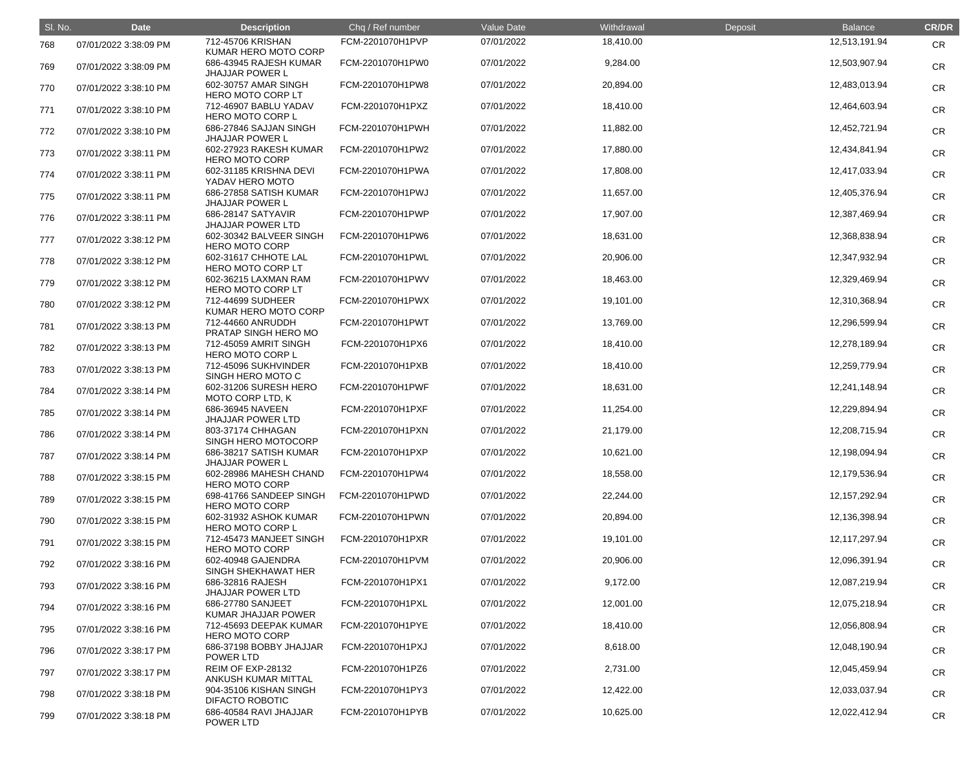| SI. No. | <b>Date</b>           | <b>Description</b>                                            | Chq / Ref number | Value Date | Withdrawal | Deposit | <b>Balance</b>   | <b>CR/DR</b> |
|---------|-----------------------|---------------------------------------------------------------|------------------|------------|------------|---------|------------------|--------------|
| 768     | 07/01/2022 3:38:09 PM | 712-45706 KRISHAN<br>KUMAR HERO MOTO CORP                     | FCM-2201070H1PVP | 07/01/2022 | 18,410.00  |         | 12,513,191.94    | <b>CR</b>    |
| 769     | 07/01/2022 3:38:09 PM | 686-43945 RAJESH KUMAR<br><b>JHAJJAR POWER L</b>              | FCM-2201070H1PW0 | 07/01/2022 | 9,284.00   |         | 12,503,907.94    | <b>CR</b>    |
| 770     | 07/01/2022 3:38:10 PM | 602-30757 AMAR SINGH<br>HERO MOTO CORP LT                     | FCM-2201070H1PW8 | 07/01/2022 | 20,894.00  |         | 12,483,013.94    | <b>CR</b>    |
| 771     | 07/01/2022 3:38:10 PM | 712-46907 BABLU YADAV<br>HERO MOTO CORP L                     | FCM-2201070H1PXZ | 07/01/2022 | 18,410.00  |         | 12,464,603.94    | <b>CR</b>    |
| 772     | 07/01/2022 3:38:10 PM | 686-27846 SAJJAN SINGH<br><b>JHAJJAR POWER L</b>              | FCM-2201070H1PWH | 07/01/2022 | 11,882.00  |         | 12,452,721.94    | <b>CR</b>    |
| 773     | 07/01/2022 3:38:11 PM | 602-27923 RAKESH KUMAR<br><b>HERO MOTO CORP</b>               | FCM-2201070H1PW2 | 07/01/2022 | 17,880.00  |         | 12,434,841.94    | <b>CR</b>    |
| 774     | 07/01/2022 3:38:11 PM | 602-31185 KRISHNA DEVI<br>YADAV HERO MOTO                     | FCM-2201070H1PWA | 07/01/2022 | 17,808.00  |         | 12,417,033.94    | <b>CR</b>    |
| 775     | 07/01/2022 3:38:11 PM | 686-27858 SATISH KUMAR<br><b>JHAJJAR POWER L</b>              | FCM-2201070H1PWJ | 07/01/2022 | 11,657.00  |         | 12,405,376.94    | <b>CR</b>    |
| 776     | 07/01/2022 3:38:11 PM | 686-28147 SATYAVIR<br><b>JHAJJAR POWER LTD</b>                | FCM-2201070H1PWP | 07/01/2022 | 17,907.00  |         | 12,387,469.94    | <b>CR</b>    |
| 777     | 07/01/2022 3:38:12 PM | 602-30342 BALVEER SINGH<br><b>HERO MOTO CORP</b>              | FCM-2201070H1PW6 | 07/01/2022 | 18,631.00  |         | 12,368,838.94    | <b>CR</b>    |
| 778     | 07/01/2022 3:38:12 PM | 602-31617 CHHOTE LAL<br>HERO MOTO CORP LT                     | FCM-2201070H1PWL | 07/01/2022 | 20,906.00  |         | 12,347,932.94    | <b>CR</b>    |
| 779     | 07/01/2022 3:38:12 PM | 602-36215 LAXMAN RAM<br>HERO MOTO CORP LT                     | FCM-2201070H1PWV | 07/01/2022 | 18,463.00  |         | 12,329,469.94    | <b>CR</b>    |
| 780     | 07/01/2022 3:38:12 PM | 712-44699 SUDHEER<br>KUMAR HERO MOTO CORP                     | FCM-2201070H1PWX | 07/01/2022 | 19,101.00  |         | 12,310,368.94    | <b>CR</b>    |
| 781     | 07/01/2022 3:38:13 PM | 712-44660 ANRUDDH<br>PRATAP SINGH HERO MO                     | FCM-2201070H1PWT | 07/01/2022 | 13,769.00  |         | 12,296,599.94    | <b>CR</b>    |
| 782     | 07/01/2022 3:38:13 PM | 712-45059 AMRIT SINGH<br><b>HERO MOTO CORP L</b>              | FCM-2201070H1PX6 | 07/01/2022 | 18,410.00  |         | 12,278,189.94    | <b>CR</b>    |
| 783     | 07/01/2022 3:38:13 PM | 712-45096 SUKHVINDER<br>SINGH HERO MOTO C                     | FCM-2201070H1PXB | 07/01/2022 | 18,410.00  |         | 12,259,779.94    | <b>CR</b>    |
| 784     | 07/01/2022 3:38:14 PM | 602-31206 SURESH HERO<br>MOTO CORP LTD, K                     | FCM-2201070H1PWF | 07/01/2022 | 18,631.00  |         | 12,241,148.94    | <b>CR</b>    |
| 785     | 07/01/2022 3:38:14 PM | 686-36945 NAVEEN<br><b>JHAJJAR POWER LTD</b>                  | FCM-2201070H1PXF | 07/01/2022 | 11,254.00  |         | 12,229,894.94    | <b>CR</b>    |
| 786     | 07/01/2022 3:38:14 PM | 803-37174 CHHAGAN<br>SINGH HERO MOTOCORP                      | FCM-2201070H1PXN | 07/01/2022 | 21,179.00  |         | 12,208,715.94    | <b>CR</b>    |
| 787     | 07/01/2022 3:38:14 PM | 686-38217 SATISH KUMAR<br><b>JHAJJAR POWER L</b>              | FCM-2201070H1PXP | 07/01/2022 | 10,621.00  |         | 12,198,094.94    | <b>CR</b>    |
| 788     | 07/01/2022 3:38:15 PM | 602-28986 MAHESH CHAND<br><b>HERO MOTO CORP</b>               | FCM-2201070H1PW4 | 07/01/2022 | 18,558.00  |         | 12,179,536.94    | <b>CR</b>    |
| 789     | 07/01/2022 3:38:15 PM | 698-41766 SANDEEP SINGH<br><b>HERO MOTO CORP</b>              | FCM-2201070H1PWD | 07/01/2022 | 22,244.00  |         | 12, 157, 292. 94 | <b>CR</b>    |
| 790     | 07/01/2022 3:38:15 PM | 602-31932 ASHOK KUMAR<br><b>HERO MOTO CORP L</b>              | FCM-2201070H1PWN | 07/01/2022 | 20,894.00  |         | 12,136,398.94    | <b>CR</b>    |
| 791     | 07/01/2022 3:38:15 PM | 712-45473 MANJEET SINGH<br><b>HERO MOTO CORP</b>              | FCM-2201070H1PXR | 07/01/2022 | 19,101.00  |         | 12,117,297.94    | <b>CR</b>    |
| 792     | 07/01/2022 3:38:16 PM | 602-40948 GAJENDRA<br>SINGH SHEKHAWAT HER                     | FCM-2201070H1PVM | 07/01/2022 | 20,906.00  |         | 12,096,391.94    | <b>CR</b>    |
| 793     | 07/01/2022 3:38:16 PM | 686-32816 RAJESH<br><b>JHAJJAR POWER LTD</b>                  | FCM-2201070H1PX1 | 07/01/2022 | 9,172.00   |         | 12,087,219.94    | <b>CR</b>    |
| 794     | 07/01/2022 3:38:16 PM | 686-27780 SANJEET<br>KUMAR JHAJJAR POWER                      | FCM-2201070H1PXL | 07/01/2022 | 12,001.00  |         | 12,075,218.94    | <b>CR</b>    |
| 795     | 07/01/2022 3:38:16 PM | 712-45693 DEEPAK KUMAR<br><b>HERO MOTO CORP</b>               | FCM-2201070H1PYE | 07/01/2022 | 18,410.00  |         | 12,056,808.94    | <b>CR</b>    |
| 796     | 07/01/2022 3:38:17 PM | 686-37198 BOBBY JHAJJAR                                       | FCM-2201070H1PXJ | 07/01/2022 | 8,618.00   |         | 12,048,190.94    | <b>CR</b>    |
| 797     | 07/01/2022 3:38:17 PM | POWER LTD<br>REIM OF EXP-28132                                | FCM-2201070H1PZ6 | 07/01/2022 | 2,731.00   |         | 12,045,459.94    | <b>CR</b>    |
| 798     | 07/01/2022 3:38:18 PM | ANKUSH KUMAR MITTAL<br>904-35106 KISHAN SINGH                 | FCM-2201070H1PY3 | 07/01/2022 | 12,422.00  |         | 12,033,037.94    | <b>CR</b>    |
| 799     | 07/01/2022 3:38:18 PM | <b>DIFACTO ROBOTIC</b><br>686-40584 RAVI JHAJJAR<br>POWER LTD | FCM-2201070H1PYB | 07/01/2022 | 10,625.00  |         | 12,022,412.94    | <b>CR</b>    |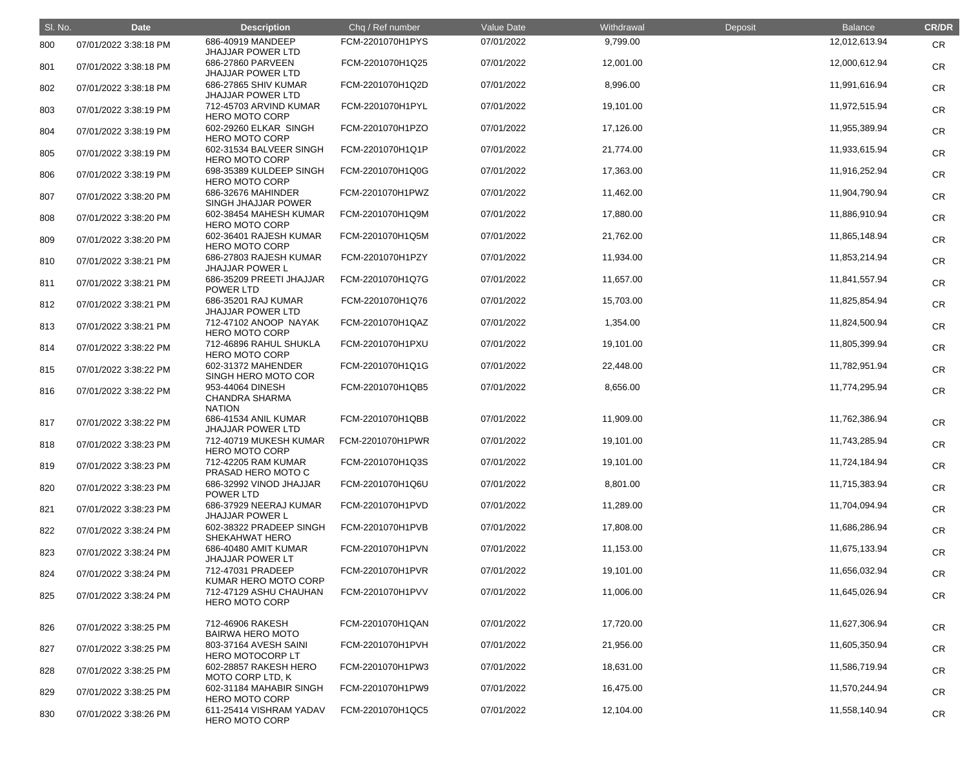| SI. No. | <b>Date</b>           | <b>Description</b>                                         | Chq / Ref number | <b>Value Date</b> | Withdrawal | Deposit | <b>Balance</b> | <b>CR/DR</b> |
|---------|-----------------------|------------------------------------------------------------|------------------|-------------------|------------|---------|----------------|--------------|
| 800     | 07/01/2022 3:38:18 PM | 686-40919 MANDEEP<br><b>JHAJJAR POWER LTD</b>              | FCM-2201070H1PYS | 07/01/2022        | 9,799.00   |         | 12,012,613.94  | <b>CR</b>    |
| 801     | 07/01/2022 3:38:18 PM | 686-27860 PARVEEN<br><b>JHAJJAR POWER LTD</b>              | FCM-2201070H1Q25 | 07/01/2022        | 12,001.00  |         | 12,000,612.94  | <b>CR</b>    |
| 802     | 07/01/2022 3:38:18 PM | 686-27865 SHIV KUMAR<br><b>JHAJJAR POWER LTD</b>           | FCM-2201070H1Q2D | 07/01/2022        | 8,996.00   |         | 11,991,616.94  | <b>CR</b>    |
| 803     | 07/01/2022 3:38:19 PM | 712-45703 ARVIND KUMAR<br><b>HERO MOTO CORP</b>            | FCM-2201070H1PYL | 07/01/2022        | 19,101.00  |         | 11,972,515.94  | <b>CR</b>    |
| 804     | 07/01/2022 3:38:19 PM | 602-29260 ELKAR SINGH<br><b>HERO MOTO CORP</b>             | FCM-2201070H1PZO | 07/01/2022        | 17,126.00  |         | 11,955,389.94  | <b>CR</b>    |
| 805     | 07/01/2022 3:38:19 PM | 602-31534 BALVEER SINGH<br><b>HERO MOTO CORP</b>           | FCM-2201070H1Q1P | 07/01/2022        | 21,774.00  |         | 11,933,615.94  | <b>CR</b>    |
| 806     | 07/01/2022 3:38:19 PM | 698-35389 KULDEEP SINGH<br><b>HERO MOTO CORP</b>           | FCM-2201070H1Q0G | 07/01/2022        | 17,363.00  |         | 11,916,252.94  | <b>CR</b>    |
| 807     | 07/01/2022 3:38:20 PM | 686-32676 MAHINDER<br>SINGH JHAJJAR POWER                  | FCM-2201070H1PWZ | 07/01/2022        | 11,462.00  |         | 11,904,790.94  | <b>CR</b>    |
| 808     | 07/01/2022 3:38:20 PM | 602-38454 MAHESH KUMAR<br><b>HERO MOTO CORP</b>            | FCM-2201070H1Q9M | 07/01/2022        | 17,880.00  |         | 11,886,910.94  | <b>CR</b>    |
| 809     | 07/01/2022 3:38:20 PM | 602-36401 RAJESH KUMAR<br><b>HERO MOTO CORP</b>            | FCM-2201070H1Q5M | 07/01/2022        | 21,762.00  |         | 11,865,148.94  | <b>CR</b>    |
| 810     | 07/01/2022 3:38:21 PM | 686-27803 RAJESH KUMAR<br><b>JHAJJAR POWER L</b>           | FCM-2201070H1PZY | 07/01/2022        | 11,934.00  |         | 11,853,214.94  | <b>CR</b>    |
| 811     | 07/01/2022 3:38:21 PM | 686-35209 PREETI JHAJJAR<br>POWER LTD                      | FCM-2201070H1Q7G | 07/01/2022        | 11,657.00  |         | 11,841,557.94  | <b>CR</b>    |
| 812     | 07/01/2022 3:38:21 PM | 686-35201 RAJ KUMAR<br><b>JHAJJAR POWER LTD</b>            | FCM-2201070H1Q76 | 07/01/2022        | 15,703.00  |         | 11,825,854.94  | <b>CR</b>    |
| 813     | 07/01/2022 3:38:21 PM | 712-47102 ANOOP NAYAK<br><b>HERO MOTO CORP</b>             | FCM-2201070H1QAZ | 07/01/2022        | 1,354.00   |         | 11,824,500.94  | <b>CR</b>    |
| 814     | 07/01/2022 3:38:22 PM | 712-46896 RAHUL SHUKLA<br><b>HERO MOTO CORP</b>            | FCM-2201070H1PXU | 07/01/2022        | 19,101.00  |         | 11,805,399.94  | <b>CR</b>    |
| 815     | 07/01/2022 3:38:22 PM | 602-31372 MAHENDER<br>SINGH HERO MOTO COR                  | FCM-2201070H1Q1G | 07/01/2022        | 22,448.00  |         | 11,782,951.94  | <b>CR</b>    |
| 816     | 07/01/2022 3:38:22 PM | 953-44064 DINESH<br><b>CHANDRA SHARMA</b><br><b>NATION</b> | FCM-2201070H1QB5 | 07/01/2022        | 8,656.00   |         | 11,774,295.94  | <b>CR</b>    |
| 817     | 07/01/2022 3:38:22 PM | 686-41534 ANIL KUMAR<br><b>JHAJJAR POWER LTD</b>           | FCM-2201070H1QBB | 07/01/2022        | 11,909.00  |         | 11,762,386.94  | <b>CR</b>    |
| 818     | 07/01/2022 3:38:23 PM | 712-40719 MUKESH KUMAR<br><b>HERO MOTO CORP</b>            | FCM-2201070H1PWR | 07/01/2022        | 19,101.00  |         | 11,743,285.94  | <b>CR</b>    |
| 819     | 07/01/2022 3:38:23 PM | 712-42205 RAM KUMAR<br>PRASAD HERO MOTO C                  | FCM-2201070H1Q3S | 07/01/2022        | 19,101.00  |         | 11,724,184.94  | <b>CR</b>    |
| 820     | 07/01/2022 3:38:23 PM | 686-32992 VINOD JHAJJAR<br>POWER LTD                       | FCM-2201070H1Q6U | 07/01/2022        | 8,801.00   |         | 11,715,383.94  | <b>CR</b>    |
| 821     | 07/01/2022 3:38:23 PM | 686-37929 NEERAJ KUMAR<br><b>JHAJJAR POWER L</b>           | FCM-2201070H1PVD | 07/01/2022        | 11,289.00  |         | 11,704,094.94  | <b>CR</b>    |
| 822     | 07/01/2022 3:38:24 PM | 602-38322 PRADEEP SINGH<br>SHEKAHWAT HERO                  | FCM-2201070H1PVB | 07/01/2022        | 17,808.00  |         | 11,686,286.94  | <b>CR</b>    |
| 823     | 07/01/2022 3:38:24 PM | 686-40480 AMIT KUMAR<br><b>JHAJJAR POWER LT</b>            | FCM-2201070H1PVN | 07/01/2022        | 11,153.00  |         | 11,675,133.94  | <b>CR</b>    |
| 824     | 07/01/2022 3:38:24 PM | 712-47031 PRADEEP<br>KUMAR HERO MOTO CORP                  | FCM-2201070H1PVR | 07/01/2022        | 19,101.00  |         | 11,656,032.94  | <b>CR</b>    |
| 825     | 07/01/2022 3:38:24 PM | 712-47129 ASHU CHAUHAN<br><b>HERO MOTO CORP</b>            | FCM-2201070H1PVV | 07/01/2022        | 11,006.00  |         | 11,645,026.94  | <b>CR</b>    |
| 826     | 07/01/2022 3:38:25 PM | 712-46906 RAKESH<br><b>BAIRWA HERO MOTO</b>                | FCM-2201070H1QAN | 07/01/2022        | 17,720.00  |         | 11,627,306.94  | <b>CR</b>    |
| 827     | 07/01/2022 3:38:25 PM | 803-37164 AVESH SAINI<br><b>HERO MOTOCORP LT</b>           | FCM-2201070H1PVH | 07/01/2022        | 21,956.00  |         | 11,605,350.94  | <b>CR</b>    |
| 828     | 07/01/2022 3:38:25 PM | 602-28857 RAKESH HERO<br>MOTO CORP LTD, K                  | FCM-2201070H1PW3 | 07/01/2022        | 18,631.00  |         | 11,586,719.94  | <b>CR</b>    |
| 829     | 07/01/2022 3:38:25 PM | 602-31184 MAHABIR SINGH<br><b>HERO MOTO CORP</b>           | FCM-2201070H1PW9 | 07/01/2022        | 16,475.00  |         | 11,570,244.94  | <b>CR</b>    |
| 830     | 07/01/2022 3:38:26 PM | 611-25414 VISHRAM YADAV<br><b>HERO MOTO CORP</b>           | FCM-2201070H1QC5 | 07/01/2022        | 12,104.00  |         | 11,558,140.94  | <b>CR</b>    |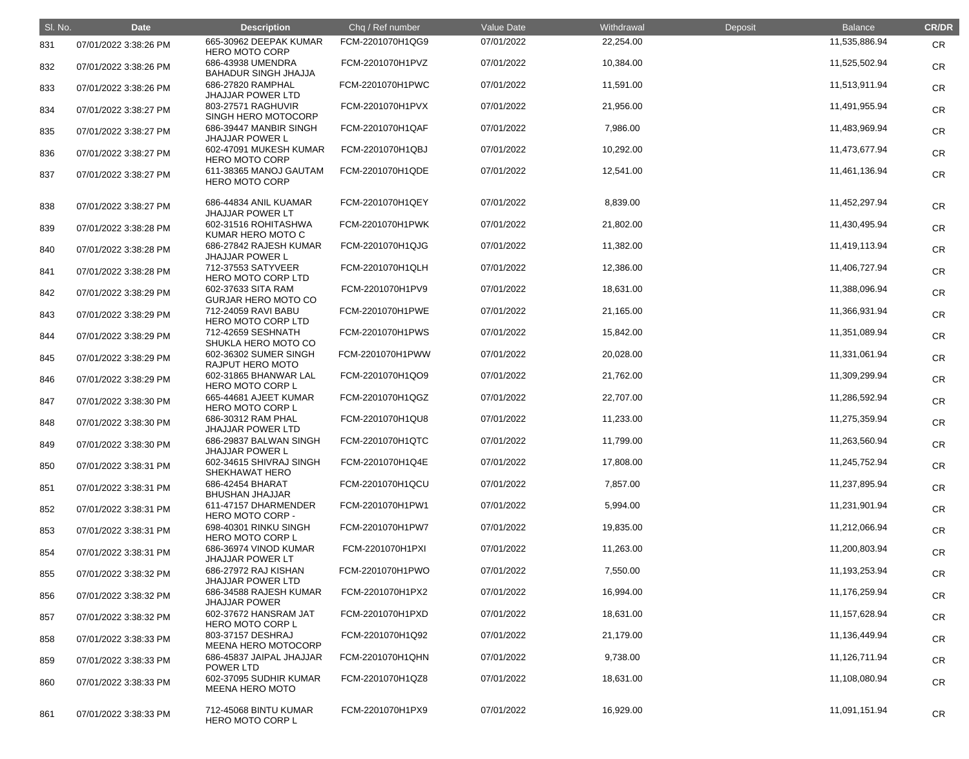| SI. No. | <b>Date</b>           | <b>Description</b>                               | Chq / Ref number | <b>Value Date</b> | Withdrawal | Deposit | <b>Balance</b> | <b>CR/DR</b> |
|---------|-----------------------|--------------------------------------------------|------------------|-------------------|------------|---------|----------------|--------------|
| 831     | 07/01/2022 3:38:26 PM | 665-30962 DEEPAK KUMAR<br><b>HERO MOTO CORP</b>  | FCM-2201070H1QG9 | 07/01/2022        | 22,254.00  |         | 11,535,886.94  | <b>CR</b>    |
| 832     | 07/01/2022 3:38:26 PM | 686-43938 UMENDRA<br><b>BAHADUR SINGH JHAJJA</b> | FCM-2201070H1PVZ | 07/01/2022        | 10,384.00  |         | 11,525,502.94  | <b>CR</b>    |
| 833     | 07/01/2022 3:38:26 PM | 686-27820 RAMPHAL<br><b>JHAJJAR POWER LTD</b>    | FCM-2201070H1PWC | 07/01/2022        | 11,591.00  |         | 11,513,911.94  | <b>CR</b>    |
| 834     | 07/01/2022 3:38:27 PM | 803-27571 RAGHUVIR<br>SINGH HERO MOTOCORP        | FCM-2201070H1PVX | 07/01/2022        | 21,956.00  |         | 11,491,955.94  | <b>CR</b>    |
| 835     | 07/01/2022 3:38:27 PM | 686-39447 MANBIR SINGH<br><b>JHAJJAR POWER L</b> | FCM-2201070H1QAF | 07/01/2022        | 7,986.00   |         | 11,483,969.94  | <b>CR</b>    |
| 836     | 07/01/2022 3:38:27 PM | 602-47091 MUKESH KUMAR<br><b>HERO MOTO CORP</b>  | FCM-2201070H1QBJ | 07/01/2022        | 10,292.00  |         | 11,473,677.94  | <b>CR</b>    |
| 837     | 07/01/2022 3:38:27 PM | 611-38365 MANOJ GAUTAM<br><b>HERO MOTO CORP</b>  | FCM-2201070H1QDE | 07/01/2022        | 12,541.00  |         | 11,461,136.94  | <b>CR</b>    |
| 838     | 07/01/2022 3:38:27 PM | 686-44834 ANIL KUAMAR<br><b>JHAJJAR POWER LT</b> | FCM-2201070H1QEY | 07/01/2022        | 8,839.00   |         | 11,452,297.94  | <b>CR</b>    |
| 839     | 07/01/2022 3:38:28 PM | 602-31516 ROHITASHWA<br>KUMAR HERO MOTO C        | FCM-2201070H1PWK | 07/01/2022        | 21,802.00  |         | 11,430,495.94  | <b>CR</b>    |
| 840     | 07/01/2022 3:38:28 PM | 686-27842 RAJESH KUMAR<br><b>JHAJJAR POWER L</b> | FCM-2201070H1QJG | 07/01/2022        | 11,382.00  |         | 11,419,113.94  | <b>CR</b>    |
| 841     | 07/01/2022 3:38:28 PM | 712-37553 SATYVEER<br><b>HERO MOTO CORP LTD</b>  | FCM-2201070H1QLH | 07/01/2022        | 12,386.00  |         | 11,406,727.94  | <b>CR</b>    |
| 842     | 07/01/2022 3:38:29 PM | 602-37633 SITA RAM<br><b>GURJAR HERO MOTO CO</b> | FCM-2201070H1PV9 | 07/01/2022        | 18,631.00  |         | 11,388,096.94  | <b>CR</b>    |
| 843     | 07/01/2022 3:38:29 PM | 712-24059 RAVI BABU<br>HERO MOTO CORP LTD        | FCM-2201070H1PWE | 07/01/2022        | 21,165.00  |         | 11,366,931.94  | <b>CR</b>    |
| 844     | 07/01/2022 3:38:29 PM | 712-42659 SESHNATH<br>SHUKLA HERO MOTO CO        | FCM-2201070H1PWS | 07/01/2022        | 15,842.00  |         | 11,351,089.94  | <b>CR</b>    |
| 845     | 07/01/2022 3:38:29 PM | 602-36302 SUMER SINGH<br><b>RAJPUT HERO MOTO</b> | FCM-2201070H1PWW | 07/01/2022        | 20,028.00  |         | 11,331,061.94  | <b>CR</b>    |
| 846     | 07/01/2022 3:38:29 PM | 602-31865 BHANWAR LAL<br><b>HERO MOTO CORP L</b> | FCM-2201070H1QO9 | 07/01/2022        | 21,762.00  |         | 11,309,299.94  | <b>CR</b>    |
| 847     | 07/01/2022 3:38:30 PM | 665-44681 AJEET KUMAR<br><b>HERO MOTO CORP L</b> | FCM-2201070H1QGZ | 07/01/2022        | 22,707.00  |         | 11,286,592.94  | <b>CR</b>    |
| 848     | 07/01/2022 3:38:30 PM | 686-30312 RAM PHAL<br><b>JHAJJAR POWER LTD</b>   | FCM-2201070H1QU8 | 07/01/2022        | 11,233.00  |         | 11,275,359.94  | <b>CR</b>    |
| 849     | 07/01/2022 3:38:30 PM | 686-29837 BALWAN SINGH<br><b>JHAJJAR POWER L</b> | FCM-2201070H1QTC | 07/01/2022        | 11,799.00  |         | 11,263,560.94  | <b>CR</b>    |
| 850     | 07/01/2022 3:38:31 PM | 602-34615 SHIVRAJ SINGH<br><b>SHEKHAWAT HERO</b> | FCM-2201070H1Q4E | 07/01/2022        | 17,808.00  |         | 11,245,752.94  | <b>CR</b>    |
| 851     | 07/01/2022 3:38:31 PM | 686-42454 BHARAT<br><b>BHUSHAN JHAJJAR</b>       | FCM-2201070H1QCU | 07/01/2022        | 7,857.00   |         | 11,237,895.94  | <b>CR</b>    |
| 852     | 07/01/2022 3:38:31 PM | 611-47157 DHARMENDER<br><b>HERO MOTO CORP -</b>  | FCM-2201070H1PW1 | 07/01/2022        | 5,994.00   |         | 11,231,901.94  | <b>CR</b>    |
| 853     | 07/01/2022 3:38:31 PM | 698-40301 RINKU SINGH<br>HERO MOTO CORP L        | FCM-2201070H1PW7 | 07/01/2022        | 19,835.00  |         | 11,212,066.94  | <b>CR</b>    |
| 854     | 07/01/2022 3:38:31 PM | 686-36974 VINOD KUMAR<br><b>JHAJJAR POWER LT</b> | FCM-2201070H1PXI | 07/01/2022        | 11,263.00  |         | 11,200,803.94  | <b>CR</b>    |
| 855     | 07/01/2022 3:38:32 PM | 686-27972 RAJ KISHAN<br><b>JHAJJAR POWER LTD</b> | FCM-2201070H1PWO | 07/01/2022        | 7,550.00   |         | 11,193,253.94  | <b>CR</b>    |
| 856     | 07/01/2022 3:38:32 PM | 686-34588 RAJESH KUMAR<br><b>JHAJJAR POWER</b>   | FCM-2201070H1PX2 | 07/01/2022        | 16,994.00  |         | 11,176,259.94  | <b>CR</b>    |
| 857     | 07/01/2022 3:38:32 PM | 602-37672 HANSRAM JAT<br>HERO MOTO CORP L        | FCM-2201070H1PXD | 07/01/2022        | 18,631.00  |         | 11,157,628.94  | <b>CR</b>    |
| 858     | 07/01/2022 3:38:33 PM | 803-37157 DESHRAJ<br><b>MEENA HERO MOTOCORP</b>  | FCM-2201070H1Q92 | 07/01/2022        | 21,179.00  |         | 11,136,449.94  | <b>CR</b>    |
| 859     | 07/01/2022 3:38:33 PM | 686-45837 JAIPAL JHAJJAR<br>POWER LTD            | FCM-2201070H1QHN | 07/01/2022        | 9,738.00   |         | 11,126,711.94  | <b>CR</b>    |
| 860     | 07/01/2022 3:38:33 PM | 602-37095 SUDHIR KUMAR<br><b>MEENA HERO MOTO</b> | FCM-2201070H1QZ8 | 07/01/2022        | 18,631.00  |         | 11,108,080.94  | <b>CR</b>    |
| 861     | 07/01/2022 3:38:33 PM | 712-45068 BINTU KUMAR<br>HERO MOTO CORP L        | FCM-2201070H1PX9 | 07/01/2022        | 16,929.00  |         | 11,091,151.94  | CR           |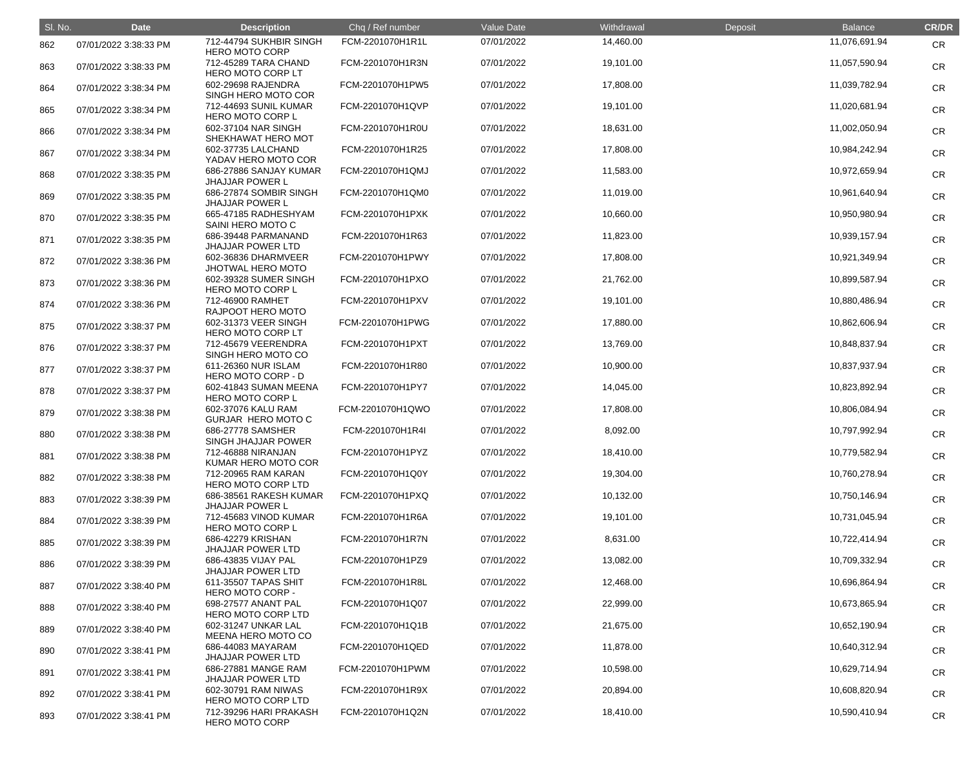| SI. No. | <b>Date</b>           | <b>Description</b>                               | Chq / Ref number | Value Date | Withdrawal | Deposit | <b>Balance</b> | <b>CR/DR</b> |
|---------|-----------------------|--------------------------------------------------|------------------|------------|------------|---------|----------------|--------------|
| 862     | 07/01/2022 3:38:33 PM | 712-44794 SUKHBIR SINGH<br><b>HERO MOTO CORP</b> | FCM-2201070H1R1L | 07/01/2022 | 14,460.00  |         | 11,076,691.94  | <b>CR</b>    |
| 863     | 07/01/2022 3:38:33 PM | 712-45289 TARA CHAND<br>HERO MOTO CORP LT        | FCM-2201070H1R3N | 07/01/2022 | 19,101.00  |         | 11,057,590.94  | <b>CR</b>    |
| 864     | 07/01/2022 3:38:34 PM | 602-29698 RAJENDRA<br>SINGH HERO MOTO COR        | FCM-2201070H1PW5 | 07/01/2022 | 17,808.00  |         | 11,039,782.94  | <b>CR</b>    |
| 865     | 07/01/2022 3:38:34 PM | 712-44693 SUNIL KUMAR<br><b>HERO MOTO CORP L</b> | FCM-2201070H1QVP | 07/01/2022 | 19,101.00  |         | 11,020,681.94  | <b>CR</b>    |
| 866     | 07/01/2022 3:38:34 PM | 602-37104 NAR SINGH<br>SHEKHAWAT HERO MOT        | FCM-2201070H1R0U | 07/01/2022 | 18,631.00  |         | 11,002,050.94  | <b>CR</b>    |
| 867     | 07/01/2022 3:38:34 PM | 602-37735 LALCHAND<br>YADAV HERO MOTO COR        | FCM-2201070H1R25 | 07/01/2022 | 17,808.00  |         | 10,984,242.94  | <b>CR</b>    |
| 868     | 07/01/2022 3:38:35 PM | 686-27886 SANJAY KUMAR<br><b>JHAJJAR POWER L</b> | FCM-2201070H1QMJ | 07/01/2022 | 11,583.00  |         | 10,972,659.94  | <b>CR</b>    |
| 869     | 07/01/2022 3:38:35 PM | 686-27874 SOMBIR SINGH<br><b>JHAJJAR POWER L</b> | FCM-2201070H1QM0 | 07/01/2022 | 11,019.00  |         | 10,961,640.94  | <b>CR</b>    |
| 870     | 07/01/2022 3:38:35 PM | 665-47185 RADHESHYAM<br>SAINI HERO MOTO C        | FCM-2201070H1PXK | 07/01/2022 | 10,660.00  |         | 10,950,980.94  | <b>CR</b>    |
| 871     | 07/01/2022 3:38:35 PM | 686-39448 PARMANAND<br><b>JHAJJAR POWER LTD</b>  | FCM-2201070H1R63 | 07/01/2022 | 11,823.00  |         | 10,939,157.94  | <b>CR</b>    |
| 872     | 07/01/2022 3:38:36 PM | 602-36836 DHARMVEER<br>JHOTWAL HERO MOTO         | FCM-2201070H1PWY | 07/01/2022 | 17,808.00  |         | 10,921,349.94  | <b>CR</b>    |
| 873     | 07/01/2022 3:38:36 PM | 602-39328 SUMER SINGH<br><b>HERO MOTO CORP L</b> | FCM-2201070H1PXO | 07/01/2022 | 21,762.00  |         | 10,899,587.94  | <b>CR</b>    |
| 874     | 07/01/2022 3:38:36 PM | 712-46900 RAMHET<br>RAJPOOT HERO MOTO            | FCM-2201070H1PXV | 07/01/2022 | 19,101.00  |         | 10,880,486.94  | <b>CR</b>    |
| 875     | 07/01/2022 3:38:37 PM | 602-31373 VEER SINGH<br>HERO MOTO CORP LT        | FCM-2201070H1PWG | 07/01/2022 | 17,880.00  |         | 10,862,606.94  | <b>CR</b>    |
| 876     | 07/01/2022 3:38:37 PM | 712-45679 VEERENDRA<br>SINGH HERO MOTO CO        | FCM-2201070H1PXT | 07/01/2022 | 13,769.00  |         | 10,848,837.94  | <b>CR</b>    |
| 877     | 07/01/2022 3:38:37 PM | 611-26360 NUR ISLAM<br>HERO MOTO CORP - D        | FCM-2201070H1R80 | 07/01/2022 | 10,900.00  |         | 10,837,937.94  | <b>CR</b>    |
| 878     | 07/01/2022 3:38:37 PM | 602-41843 SUMAN MEENA<br><b>HERO MOTO CORP L</b> | FCM-2201070H1PY7 | 07/01/2022 | 14,045.00  |         | 10,823,892.94  | <b>CR</b>    |
| 879     | 07/01/2022 3:38:38 PM | 602-37076 KALU RAM<br>GURJAR HERO MOTO C         | FCM-2201070H1QWO | 07/01/2022 | 17,808.00  |         | 10,806,084.94  | <b>CR</b>    |
| 880     | 07/01/2022 3:38:38 PM | 686-27778 SAMSHER<br>SINGH JHAJJAR POWER         | FCM-2201070H1R4I | 07/01/2022 | 8,092.00   |         | 10,797,992.94  | <b>CR</b>    |
| 881     | 07/01/2022 3:38:38 PM | 712-46888 NIRANJAN<br>KUMAR HERO MOTO COR        | FCM-2201070H1PYZ | 07/01/2022 | 18,410.00  |         | 10,779,582.94  | <b>CR</b>    |
| 882     | 07/01/2022 3:38:38 PM | 712-20965 RAM KARAN<br>HERO MOTO CORP LTD        | FCM-2201070H1Q0Y | 07/01/2022 | 19,304.00  |         | 10,760,278.94  | <b>CR</b>    |
| 883     | 07/01/2022 3:38:39 PM | 686-38561 RAKESH KUMAR<br><b>JHAJJAR POWER L</b> | FCM-2201070H1PXQ | 07/01/2022 | 10,132.00  |         | 10,750,146.94  | <b>CR</b>    |
| 884     | 07/01/2022 3:38:39 PM | 712-45683 VINOD KUMAR<br><b>HERO MOTO CORP L</b> | FCM-2201070H1R6A | 07/01/2022 | 19,101.00  |         | 10,731,045.94  | <b>CR</b>    |
| 885     | 07/01/2022 3:38:39 PM | 686-42279 KRISHAN<br><b>JHAJJAR POWER LTD</b>    | FCM-2201070H1R7N | 07/01/2022 | 8,631.00   |         | 10,722,414.94  | <b>CR</b>    |
| 886     | 07/01/2022 3:38:39 PM | 686-43835 VIJAY PAL<br><b>JHAJJAR POWER LTD</b>  | FCM-2201070H1PZ9 | 07/01/2022 | 13,082.00  |         | 10,709,332.94  | <b>CR</b>    |
| 887     | 07/01/2022 3:38:40 PM | 611-35507 TAPAS SHIT<br>HERO MOTO CORP -         | FCM-2201070H1R8L | 07/01/2022 | 12,468.00  |         | 10,696,864.94  | <b>CR</b>    |
| 888     | 07/01/2022 3:38:40 PM | 698-27577 ANANT PAL<br>HERO MOTO CORP LTD        | FCM-2201070H1Q07 | 07/01/2022 | 22,999.00  |         | 10,673,865.94  | <b>CR</b>    |
| 889     | 07/01/2022 3:38:40 PM | 602-31247 UNKAR LAL<br>MEENA HERO MOTO CO        | FCM-2201070H1Q1B | 07/01/2022 | 21,675.00  |         | 10,652,190.94  | <b>CR</b>    |
| 890     | 07/01/2022 3:38:41 PM | 686-44083 MAYARAM<br><b>JHAJJAR POWER LTD</b>    | FCM-2201070H1QED | 07/01/2022 | 11,878.00  |         | 10,640,312.94  | <b>CR</b>    |
| 891     | 07/01/2022 3:38:41 PM | 686-27881 MANGE RAM<br><b>JHAJJAR POWER LTD</b>  | FCM-2201070H1PWM | 07/01/2022 | 10,598.00  |         | 10,629,714.94  | <b>CR</b>    |
| 892     | 07/01/2022 3:38:41 PM | 602-30791 RAM NIWAS<br>HERO MOTO CORP LTD        | FCM-2201070H1R9X | 07/01/2022 | 20,894.00  |         | 10,608,820.94  | <b>CR</b>    |
| 893     | 07/01/2022 3:38:41 PM | 712-39296 HARI PRAKASH<br><b>HERO MOTO CORP</b>  | FCM-2201070H1Q2N | 07/01/2022 | 18,410.00  |         | 10,590,410.94  | <b>CR</b>    |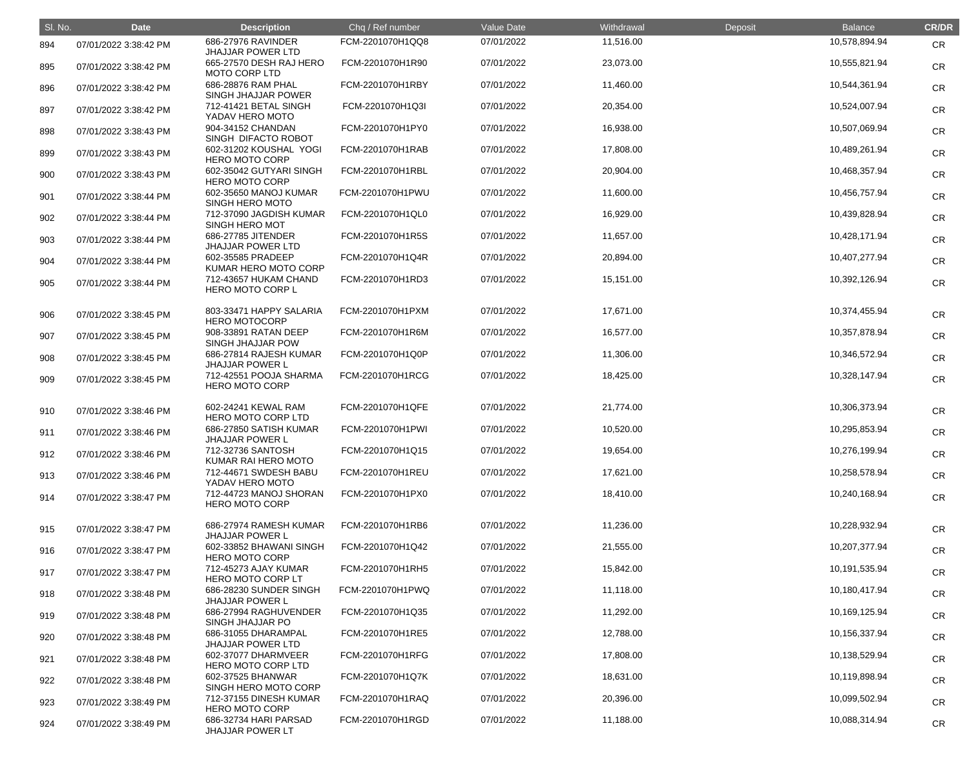| SI. No. | <b>Date</b>           | <b>Description</b>                               | Chq / Ref number | Value Date | Withdrawal | Deposit | <b>Balance</b> | <b>CR/DR</b> |
|---------|-----------------------|--------------------------------------------------|------------------|------------|------------|---------|----------------|--------------|
| 894     | 07/01/2022 3:38:42 PM | 686-27976 RAVINDER<br><b>JHAJJAR POWER LTD</b>   | FCM-2201070H1QQ8 | 07/01/2022 | 11,516.00  |         | 10,578,894.94  | <b>CR</b>    |
| 895     | 07/01/2022 3:38:42 PM | 665-27570 DESH RAJ HERO<br><b>MOTO CORP LTD</b>  | FCM-2201070H1R90 | 07/01/2022 | 23,073.00  |         | 10,555,821.94  | <b>CR</b>    |
| 896     | 07/01/2022 3:38:42 PM | 686-28876 RAM PHAL<br>SINGH JHAJJAR POWER        | FCM-2201070H1RBY | 07/01/2022 | 11,460.00  |         | 10,544,361.94  | <b>CR</b>    |
| 897     | 07/01/2022 3:38:42 PM | 712-41421 BETAL SINGH<br>YADAV HERO MOTO         | FCM-2201070H1Q3I | 07/01/2022 | 20,354.00  |         | 10,524,007.94  | <b>CR</b>    |
| 898     | 07/01/2022 3:38:43 PM | 904-34152 CHANDAN<br>SINGH DIFACTO ROBOT         | FCM-2201070H1PY0 | 07/01/2022 | 16,938.00  |         | 10,507,069.94  | <b>CR</b>    |
| 899     | 07/01/2022 3:38:43 PM | 602-31202 KOUSHAL YOGI<br><b>HERO MOTO CORP</b>  | FCM-2201070H1RAB | 07/01/2022 | 17,808.00  |         | 10,489,261.94  | <b>CR</b>    |
| 900     | 07/01/2022 3:38:43 PM | 602-35042 GUTYARI SINGH<br><b>HERO MOTO CORP</b> | FCM-2201070H1RBL | 07/01/2022 | 20,904.00  |         | 10,468,357.94  | <b>CR</b>    |
| 901     | 07/01/2022 3:38:44 PM | 602-35650 MANOJ KUMAR<br>SINGH HERO MOTO         | FCM-2201070H1PWU | 07/01/2022 | 11,600.00  |         | 10,456,757.94  | <b>CR</b>    |
| 902     | 07/01/2022 3:38:44 PM | 712-37090 JAGDISH KUMAR<br>SINGH HERO MOT        | FCM-2201070H1QL0 | 07/01/2022 | 16,929.00  |         | 10,439,828.94  | <b>CR</b>    |
| 903     | 07/01/2022 3:38:44 PM | 686-27785 JITENDER<br><b>JHAJJAR POWER LTD</b>   | FCM-2201070H1R5S | 07/01/2022 | 11,657.00  |         | 10,428,171.94  | <b>CR</b>    |
| 904     | 07/01/2022 3:38:44 PM | 602-35585 PRADEEP<br>KUMAR HERO MOTO CORP        | FCM-2201070H1Q4R | 07/01/2022 | 20,894.00  |         | 10,407,277.94  | <b>CR</b>    |
| 905     | 07/01/2022 3:38:44 PM | 712-43657 HUKAM CHAND<br>HERO MOTO CORP L        | FCM-2201070H1RD3 | 07/01/2022 | 15,151.00  |         | 10,392,126.94  | <b>CR</b>    |
| 906     | 07/01/2022 3:38:45 PM | 803-33471 HAPPY SALARIA<br><b>HERO MOTOCORP</b>  | FCM-2201070H1PXM | 07/01/2022 | 17,671.00  |         | 10,374,455.94  | <b>CR</b>    |
| 907     | 07/01/2022 3:38:45 PM | 908-33891 RATAN DEEP<br>SINGH JHAJJAR POW        | FCM-2201070H1R6M | 07/01/2022 | 16,577.00  |         | 10,357,878.94  | <b>CR</b>    |
| 908     | 07/01/2022 3:38:45 PM | 686-27814 RAJESH KUMAR<br><b>JHAJJAR POWER L</b> | FCM-2201070H1Q0P | 07/01/2022 | 11,306.00  |         | 10,346,572.94  | <b>CR</b>    |
| 909     | 07/01/2022 3:38:45 PM | 712-42551 POOJA SHARMA<br><b>HERO MOTO CORP</b>  | FCM-2201070H1RCG | 07/01/2022 | 18,425.00  |         | 10,328,147.94  | <b>CR</b>    |
| 910     | 07/01/2022 3:38:46 PM | 602-24241 KEWAL RAM<br>HERO MOTO CORP LTD        | FCM-2201070H1QFE | 07/01/2022 | 21,774.00  |         | 10,306,373.94  | <b>CR</b>    |
| 911     | 07/01/2022 3:38:46 PM | 686-27850 SATISH KUMAR<br><b>JHAJJAR POWER L</b> | FCM-2201070H1PWI | 07/01/2022 | 10,520.00  |         | 10,295,853.94  | <b>CR</b>    |
| 912     | 07/01/2022 3:38:46 PM | 712-32736 SANTOSH<br>KUMAR RAI HERO MOTO         | FCM-2201070H1Q15 | 07/01/2022 | 19,654.00  |         | 10,276,199.94  | <b>CR</b>    |
| 913     | 07/01/2022 3:38:46 PM | 712-44671 SWDESH BABU<br>YADAV HERO MOTO         | FCM-2201070H1REU | 07/01/2022 | 17,621.00  |         | 10,258,578.94  | <b>CR</b>    |
| 914     | 07/01/2022 3:38:47 PM | 712-44723 MANOJ SHORAN<br><b>HERO MOTO CORP</b>  | FCM-2201070H1PX0 | 07/01/2022 | 18,410.00  |         | 10,240,168.94  | <b>CR</b>    |
| 915     | 07/01/2022 3:38:47 PM | 686-27974 RAMESH KUMAR<br><b>JHAJJAR POWER L</b> | FCM-2201070H1RB6 | 07/01/2022 | 11,236.00  |         | 10,228,932.94  | <b>CR</b>    |
| 916     | 07/01/2022 3:38:47 PM | 602-33852 BHAWANI SINGH<br><b>HERO MOTO CORP</b> | FCM-2201070H1Q42 | 07/01/2022 | 21,555.00  |         | 10,207,377.94  | <b>CR</b>    |
| 917     | 07/01/2022 3:38:47 PM | 712-45273 AJAY KUMAR<br>HERO MOTO CORP LT        | FCM-2201070H1RH5 | 07/01/2022 | 15,842.00  |         | 10,191,535.94  | <b>CR</b>    |
| 918     | 07/01/2022 3:38:48 PM | 686-28230 SUNDER SINGH<br><b>JHAJJAR POWER L</b> | FCM-2201070H1PWQ | 07/01/2022 | 11,118.00  |         | 10,180,417.94  | <b>CR</b>    |
| 919     | 07/01/2022 3:38:48 PM | 686-27994 RAGHUVENDER<br>SINGH JHAJJAR PO        | FCM-2201070H1Q35 | 07/01/2022 | 11,292.00  |         | 10,169,125.94  | <b>CR</b>    |
| 920     | 07/01/2022 3:38:48 PM | 686-31055 DHARAMPAL<br><b>JHAJJAR POWER LTD</b>  | FCM-2201070H1RE5 | 07/01/2022 | 12,788.00  |         | 10,156,337.94  | <b>CR</b>    |
| 921     | 07/01/2022 3:38:48 PM | 602-37077 DHARMVEER<br>HERO MOTO CORP LTD        | FCM-2201070H1RFG | 07/01/2022 | 17,808.00  |         | 10,138,529.94  | <b>CR</b>    |
| 922     | 07/01/2022 3:38:48 PM | 602-37525 BHANWAR<br>SINGH HERO MOTO CORP        | FCM-2201070H1Q7K | 07/01/2022 | 18,631.00  |         | 10,119,898.94  | <b>CR</b>    |
| 923     | 07/01/2022 3:38:49 PM | 712-37155 DINESH KUMAR<br><b>HERO MOTO CORP</b>  | FCM-2201070H1RAQ | 07/01/2022 | 20,396.00  |         | 10,099,502.94  | <b>CR</b>    |
| 924     | 07/01/2022 3:38:49 PM | 686-32734 HARI PARSAD<br><b>JHAJJAR POWER LT</b> | FCM-2201070H1RGD | 07/01/2022 | 11,188.00  |         | 10,088,314.94  | <b>CR</b>    |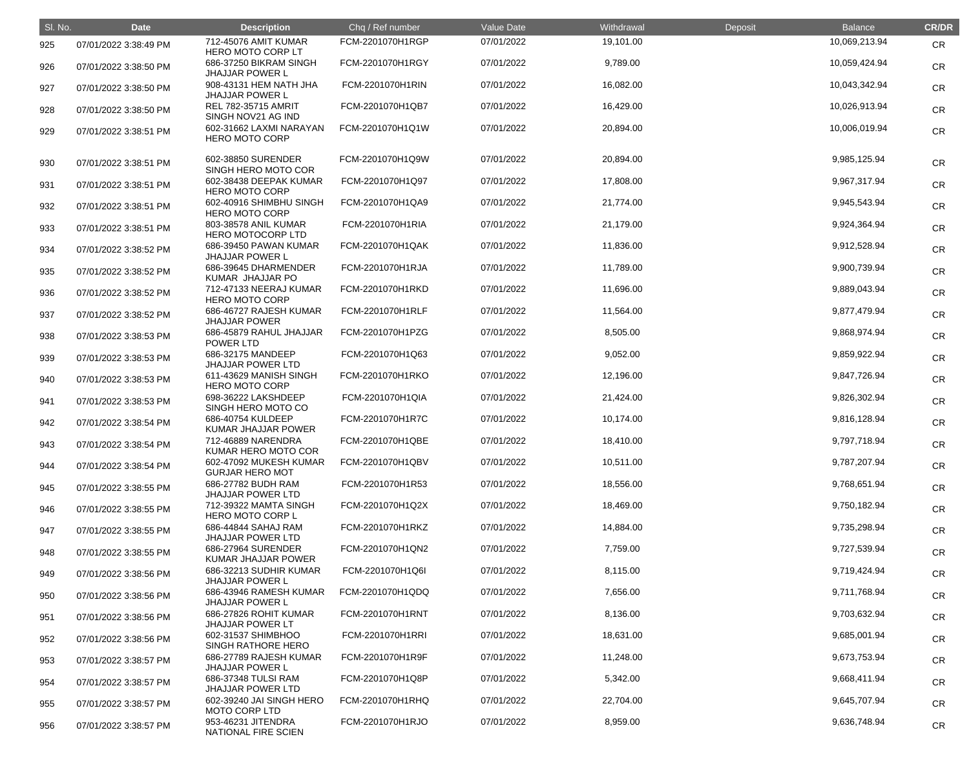| SI. No. | <b>Date</b>           | <b>Description</b>                               | Chq / Ref number | Value Date | Withdrawal | Deposit | <b>Balance</b> | <b>CR/DR</b> |
|---------|-----------------------|--------------------------------------------------|------------------|------------|------------|---------|----------------|--------------|
| 925     | 07/01/2022 3:38:49 PM | 712-45076 AMIT KUMAR<br>HERO MOTO CORP LT        | FCM-2201070H1RGP | 07/01/2022 | 19,101.00  |         | 10,069,213.94  | <b>CR</b>    |
| 926     | 07/01/2022 3:38:50 PM | 686-37250 BIKRAM SINGH<br><b>JHAJJAR POWER L</b> | FCM-2201070H1RGY | 07/01/2022 | 9,789.00   |         | 10,059,424.94  | <b>CR</b>    |
| 927     | 07/01/2022 3:38:50 PM | 908-43131 HEM NATH JHA<br><b>JHAJJAR POWER L</b> | FCM-2201070H1RIN | 07/01/2022 | 16,082.00  |         | 10,043,342.94  | <b>CR</b>    |
| 928     | 07/01/2022 3:38:50 PM | <b>REL 782-35715 AMRIT</b><br>SINGH NOV21 AG IND | FCM-2201070H1QB7 | 07/01/2022 | 16,429.00  |         | 10,026,913.94  | <b>CR</b>    |
| 929     | 07/01/2022 3:38:51 PM | 602-31662 LAXMI NARAYAN<br><b>HERO MOTO CORP</b> | FCM-2201070H1Q1W | 07/01/2022 | 20,894.00  |         | 10,006,019.94  | <b>CR</b>    |
| 930     | 07/01/2022 3:38:51 PM | 602-38850 SURENDER<br>SINGH HERO MOTO COR        | FCM-2201070H1Q9W | 07/01/2022 | 20,894.00  |         | 9,985,125.94   | <b>CR</b>    |
| 931     | 07/01/2022 3:38:51 PM | 602-38438 DEEPAK KUMAR<br><b>HERO MOTO CORP</b>  | FCM-2201070H1Q97 | 07/01/2022 | 17,808.00  |         | 9,967,317.94   | <b>CR</b>    |
| 932     | 07/01/2022 3:38:51 PM | 602-40916 SHIMBHU SINGH<br><b>HERO MOTO CORP</b> | FCM-2201070H1QA9 | 07/01/2022 | 21,774.00  |         | 9,945,543.94   | <b>CR</b>    |
| 933     | 07/01/2022 3:38:51 PM | 803-38578 ANIL KUMAR<br><b>HERO MOTOCORP LTD</b> | FCM-2201070H1RIA | 07/01/2022 | 21,179.00  |         | 9,924,364.94   | <b>CR</b>    |
| 934     | 07/01/2022 3:38:52 PM | 686-39450 PAWAN KUMAR<br><b>JHAJJAR POWER L</b>  | FCM-2201070H1QAK | 07/01/2022 | 11,836.00  |         | 9,912,528.94   | <b>CR</b>    |
| 935     | 07/01/2022 3:38:52 PM | 686-39645 DHARMENDER<br>KUMAR JHAJJAR PO         | FCM-2201070H1RJA | 07/01/2022 | 11,789.00  |         | 9,900,739.94   | <b>CR</b>    |
| 936     | 07/01/2022 3:38:52 PM | 712-47133 NEERAJ KUMAR<br><b>HERO MOTO CORP</b>  | FCM-2201070H1RKD | 07/01/2022 | 11,696.00  |         | 9,889,043.94   | <b>CR</b>    |
| 937     | 07/01/2022 3:38:52 PM | 686-46727 RAJESH KUMAR<br><b>JHAJJAR POWER</b>   | FCM-2201070H1RLF | 07/01/2022 | 11,564.00  |         | 9,877,479.94   | <b>CR</b>    |
| 938     | 07/01/2022 3:38:53 PM | 686-45879 RAHUL JHAJJAR<br>POWER LTD             | FCM-2201070H1PZG | 07/01/2022 | 8,505.00   |         | 9,868,974.94   | <b>CR</b>    |
| 939     | 07/01/2022 3:38:53 PM | 686-32175 MANDEEP<br><b>JHAJJAR POWER LTD</b>    | FCM-2201070H1Q63 | 07/01/2022 | 9,052.00   |         | 9,859,922.94   | <b>CR</b>    |
| 940     | 07/01/2022 3:38:53 PM | 611-43629 MANISH SINGH<br><b>HERO MOTO CORP</b>  | FCM-2201070H1RKO | 07/01/2022 | 12,196.00  |         | 9,847,726.94   | <b>CR</b>    |
| 941     | 07/01/2022 3:38:53 PM | 698-36222 LAKSHDEEP<br>SINGH HERO MOTO CO        | FCM-2201070H1QIA | 07/01/2022 | 21,424.00  |         | 9,826,302.94   | <b>CR</b>    |
| 942     | 07/01/2022 3:38:54 PM | 686-40754 KULDEEP<br>KUMAR JHAJJAR POWER         | FCM-2201070H1R7C | 07/01/2022 | 10,174.00  |         | 9,816,128.94   | CR           |
| 943     | 07/01/2022 3:38:54 PM | 712-46889 NARENDRA<br>KUMAR HERO MOTO COR        | FCM-2201070H1QBE | 07/01/2022 | 18,410.00  |         | 9,797,718.94   | <b>CR</b>    |
| 944     | 07/01/2022 3:38:54 PM | 602-47092 MUKESH KUMAR<br><b>GURJAR HERO MOT</b> | FCM-2201070H1QBV | 07/01/2022 | 10,511.00  |         | 9,787,207.94   | <b>CR</b>    |
| 945     | 07/01/2022 3:38:55 PM | 686-27782 BUDH RAM<br><b>JHAJJAR POWER LTD</b>   | FCM-2201070H1R53 | 07/01/2022 | 18,556.00  |         | 9,768,651.94   | <b>CR</b>    |
| 946     | 07/01/2022 3:38:55 PM | 712-39322 MAMTA SINGH<br>HERO MOTO CORP L        | FCM-2201070H1Q2X | 07/01/2022 | 18,469.00  |         | 9,750,182.94   | <b>CR</b>    |
| 947     | 07/01/2022 3:38:55 PM | 686-44844 SAHAJ RAM<br><b>JHAJJAR POWER LTD</b>  | FCM-2201070H1RKZ | 07/01/2022 | 14,884.00  |         | 9,735,298.94   | <b>CR</b>    |
| 948     | 07/01/2022 3:38:55 PM | 686-27964 SURENDER<br>KUMAR JHAJJAR POWER        | FCM-2201070H1QN2 | 07/01/2022 | 7,759.00   |         | 9,727,539.94   | <b>CR</b>    |
| 949     | 07/01/2022 3:38:56 PM | 686-32213 SUDHIR KUMAR<br><b>JHAJJAR POWER L</b> | FCM-2201070H1Q6I | 07/01/2022 | 8,115.00   |         | 9,719,424.94   | <b>CR</b>    |
| 950     | 07/01/2022 3:38:56 PM | 686-43946 RAMESH KUMAR<br><b>JHAJJAR POWER L</b> | FCM-2201070H1QDQ | 07/01/2022 | 7,656.00   |         | 9,711,768.94   | <b>CR</b>    |
| 951     | 07/01/2022 3:38:56 PM | 686-27826 ROHIT KUMAR<br><b>JHAJJAR POWER LT</b> | FCM-2201070H1RNT | 07/01/2022 | 8,136.00   |         | 9,703,632.94   | <b>CR</b>    |
| 952     | 07/01/2022 3:38:56 PM | 602-31537 SHIMBHOO<br>SINGH RATHORE HERO         | FCM-2201070H1RRI | 07/01/2022 | 18,631.00  |         | 9,685,001.94   | <b>CR</b>    |
| 953     | 07/01/2022 3:38:57 PM | 686-27789 RAJESH KUMAR<br><b>JHAJJAR POWER L</b> | FCM-2201070H1R9F | 07/01/2022 | 11,248.00  |         | 9,673,753.94   | <b>CR</b>    |
| 954     | 07/01/2022 3:38:57 PM | 686-37348 TULSI RAM<br><b>JHAJJAR POWER LTD</b>  | FCM-2201070H1Q8P | 07/01/2022 | 5,342.00   |         | 9,668,411.94   | <b>CR</b>    |
| 955     | 07/01/2022 3:38:57 PM | 602-39240 JAI SINGH HERO<br><b>MOTO CORP LTD</b> | FCM-2201070H1RHQ | 07/01/2022 | 22,704.00  |         | 9,645,707.94   | <b>CR</b>    |
| 956     | 07/01/2022 3:38:57 PM | 953-46231 JITENDRA<br>NATIONAL FIRE SCIEN        | FCM-2201070H1RJO | 07/01/2022 | 8,959.00   |         | 9,636,748.94   | <b>CR</b>    |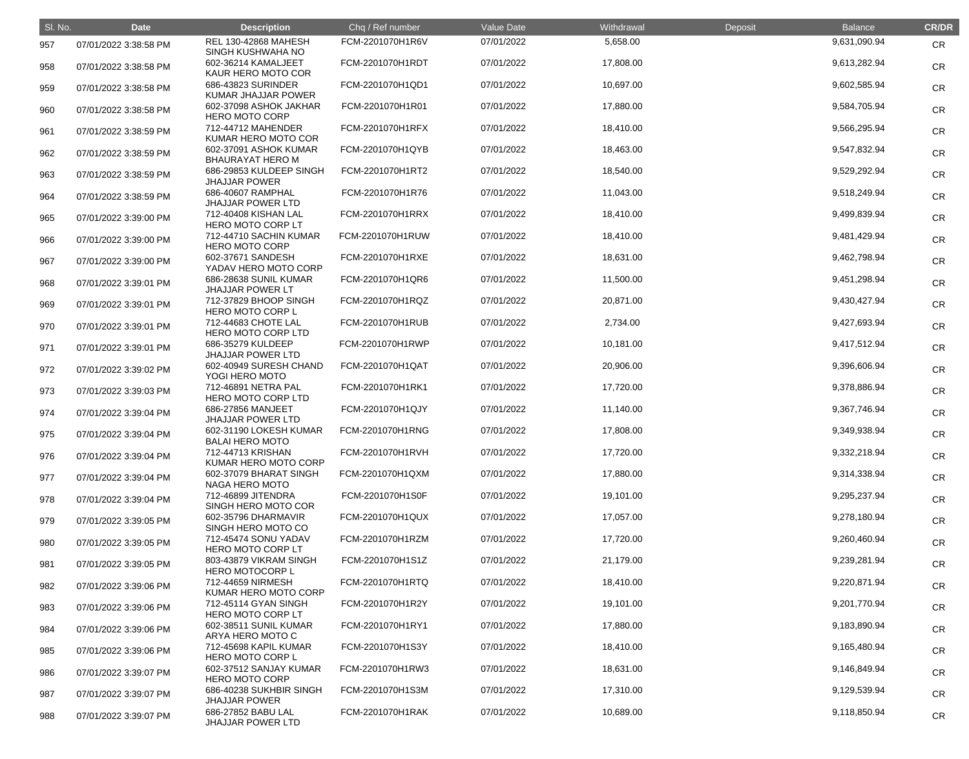| SI. No. | <b>Date</b>           | <b>Description</b>                                                     | Chq / Ref number | Value Date | Withdrawal | Deposit | <b>Balance</b> | <b>CR/DR</b> |
|---------|-----------------------|------------------------------------------------------------------------|------------------|------------|------------|---------|----------------|--------------|
| 957     | 07/01/2022 3:38:58 PM | <b>REL 130-42868 MAHESH</b><br>SINGH KUSHWAHA NO                       | FCM-2201070H1R6V | 07/01/2022 | 5,658.00   |         | 9,631,090.94   | <b>CR</b>    |
| 958     | 07/01/2022 3:38:58 PM | 602-36214 KAMALJEET<br>KAUR HERO MOTO COR                              | FCM-2201070H1RDT | 07/01/2022 | 17,808.00  |         | 9,613,282.94   | <b>CR</b>    |
| 959     | 07/01/2022 3:38:58 PM | 686-43823 SURINDER<br>KUMAR JHAJJAR POWER                              | FCM-2201070H1QD1 | 07/01/2022 | 10,697.00  |         | 9,602,585.94   | <b>CR</b>    |
| 960     | 07/01/2022 3:38:58 PM | 602-37098 ASHOK JAKHAR<br><b>HERO MOTO CORP</b>                        | FCM-2201070H1R01 | 07/01/2022 | 17,880.00  |         | 9,584,705.94   | <b>CR</b>    |
| 961     | 07/01/2022 3:38:59 PM | 712-44712 MAHENDER<br>KUMAR HERO MOTO COR                              | FCM-2201070H1RFX | 07/01/2022 | 18,410.00  |         | 9,566,295.94   | <b>CR</b>    |
| 962     | 07/01/2022 3:38:59 PM | 602-37091 ASHOK KUMAR<br><b>BHAURAYAT HERO M</b>                       | FCM-2201070H1QYB | 07/01/2022 | 18,463.00  |         | 9,547,832.94   | <b>CR</b>    |
| 963     | 07/01/2022 3:38:59 PM | 686-29853 KULDEEP SINGH<br><b>JHAJJAR POWER</b>                        | FCM-2201070H1RT2 | 07/01/2022 | 18,540.00  |         | 9,529,292.94   | <b>CR</b>    |
| 964     | 07/01/2022 3:38:59 PM | 686-40607 RAMPHAL<br><b>JHAJJAR POWER LTD</b>                          | FCM-2201070H1R76 | 07/01/2022 | 11,043.00  |         | 9,518,249.94   | <b>CR</b>    |
| 965     | 07/01/2022 3:39:00 PM | 712-40408 KISHAN LAL<br><b>HERO MOTO CORP LT</b>                       | FCM-2201070H1RRX | 07/01/2022 | 18,410.00  |         | 9,499,839.94   | <b>CR</b>    |
| 966     | 07/01/2022 3:39:00 PM | 712-44710 SACHIN KUMAR<br><b>HERO MOTO CORP</b>                        | FCM-2201070H1RUW | 07/01/2022 | 18,410.00  |         | 9,481,429.94   | <b>CR</b>    |
| 967     | 07/01/2022 3:39:00 PM | 602-37671 SANDESH<br>YADAV HERO MOTO CORP                              | FCM-2201070H1RXE | 07/01/2022 | 18,631.00  |         | 9,462,798.94   | <b>CR</b>    |
| 968     | 07/01/2022 3:39:01 PM | 686-28638 SUNIL KUMAR<br><b>JHAJJAR POWER LT</b>                       | FCM-2201070H1QR6 | 07/01/2022 | 11,500.00  |         | 9,451,298.94   | <b>CR</b>    |
| 969     | 07/01/2022 3:39:01 PM | 712-37829 BHOOP SINGH<br><b>HERO MOTO CORP L</b>                       | FCM-2201070H1RQZ | 07/01/2022 | 20,871.00  |         | 9,430,427.94   | <b>CR</b>    |
| 970     | 07/01/2022 3:39:01 PM | 712-44683 CHOTE LAL<br>HERO MOTO CORP LTD                              | FCM-2201070H1RUB | 07/01/2022 | 2,734.00   |         | 9,427,693.94   | <b>CR</b>    |
| 971     | 07/01/2022 3:39:01 PM | 686-35279 KULDEEP<br><b>JHAJJAR POWER LTD</b>                          | FCM-2201070H1RWP | 07/01/2022 | 10,181.00  |         | 9,417,512.94   | <b>CR</b>    |
| 972     | 07/01/2022 3:39:02 PM | 602-40949 SURESH CHAND<br>YOGI HERO MOTO                               | FCM-2201070H1QAT | 07/01/2022 | 20,906.00  |         | 9,396,606.94   | <b>CR</b>    |
| 973     | 07/01/2022 3:39:03 PM | 712-46891 NETRA PAL<br><b>HERO MOTO CORP LTD</b>                       | FCM-2201070H1RK1 | 07/01/2022 | 17,720.00  |         | 9,378,886.94   | <b>CR</b>    |
| 974     | 07/01/2022 3:39:04 PM | 686-27856 MANJEET<br><b>JHAJJAR POWER LTD</b>                          | FCM-2201070H1QJY | 07/01/2022 | 11,140.00  |         | 9,367,746.94   | <b>CR</b>    |
| 975     | 07/01/2022 3:39:04 PM | 602-31190 LOKESH KUMAR<br><b>BALAI HERO MOTO</b>                       | FCM-2201070H1RNG | 07/01/2022 | 17,808.00  |         | 9,349,938.94   | <b>CR</b>    |
| 976     | 07/01/2022 3:39:04 PM | 712-44713 KRISHAN<br>KUMAR HERO MOTO CORP                              | FCM-2201070H1RVH | 07/01/2022 | 17,720.00  |         | 9,332,218.94   | <b>CR</b>    |
| 977     | 07/01/2022 3:39:04 PM | 602-37079 BHARAT SINGH<br>NAGA HERO MOTO                               | FCM-2201070H1QXM | 07/01/2022 | 17,880.00  |         | 9,314,338.94   | <b>CR</b>    |
| 978     | 07/01/2022 3:39:04 PM | 712-46899 JITENDRA<br>SINGH HERO MOTO COR                              | FCM-2201070H1S0F | 07/01/2022 | 19,101.00  |         | 9,295,237.94   | <b>CR</b>    |
| 979     | 07/01/2022 3:39:05 PM | 602-35796 DHARMAVIR<br>SINGH HERO MOTO CO                              | FCM-2201070H1QUX | 07/01/2022 | 17,057.00  |         | 9,278,180.94   | <b>CR</b>    |
| 980     | 07/01/2022 3:39:05 PM | 712-45474 SONU YADAV<br>HERO MOTO CORP LT                              | FCM-2201070H1RZM | 07/01/2022 | 17,720.00  |         | 9,260,460.94   | <b>CR</b>    |
| 981     | 07/01/2022 3:39:05 PM | 803-43879 VIKRAM SINGH<br><b>HERO MOTOCORP L</b>                       | FCM-2201070H1S1Z | 07/01/2022 | 21,179.00  |         | 9,239,281.94   | <b>CR</b>    |
| 982     | 07/01/2022 3:39:06 PM | 712-44659 NIRMESH<br>KUMAR HERO MOTO CORP                              | FCM-2201070H1RTQ | 07/01/2022 | 18,410.00  |         | 9,220,871.94   | <b>CR</b>    |
| 983     | 07/01/2022 3:39:06 PM | 712-45114 GYAN SINGH<br>HERO MOTO CORP LT                              | FCM-2201070H1R2Y | 07/01/2022 | 19,101.00  |         | 9,201,770.94   | <b>CR</b>    |
| 984     | 07/01/2022 3:39:06 PM | 602-38511 SUNIL KUMAR<br>ARYA HERO MOTO C                              | FCM-2201070H1RY1 | 07/01/2022 | 17,880.00  |         | 9,183,890.94   | <b>CR</b>    |
| 985     | 07/01/2022 3:39:06 PM | 712-45698 KAPIL KUMAR                                                  | FCM-2201070H1S3Y | 07/01/2022 | 18,410.00  |         | 9,165,480.94   | <b>CR</b>    |
| 986     | 07/01/2022 3:39:07 PM | <b>HERO MOTO CORP L</b><br>602-37512 SANJAY KUMAR                      | FCM-2201070H1RW3 | 07/01/2022 | 18,631.00  |         | 9,146,849.94   | <b>CR</b>    |
| 987     | 07/01/2022 3:39:07 PM | <b>HERO MOTO CORP</b><br>686-40238 SUKHBIR SINGH                       | FCM-2201070H1S3M | 07/01/2022 | 17,310.00  |         | 9,129,539.94   | <b>CR</b>    |
| 988     | 07/01/2022 3:39:07 PM | <b>JHAJJAR POWER</b><br>686-27852 BABU LAL<br><b>JHAJJAR POWER LTD</b> | FCM-2201070H1RAK | 07/01/2022 | 10,689.00  |         | 9,118,850.94   | <b>CR</b>    |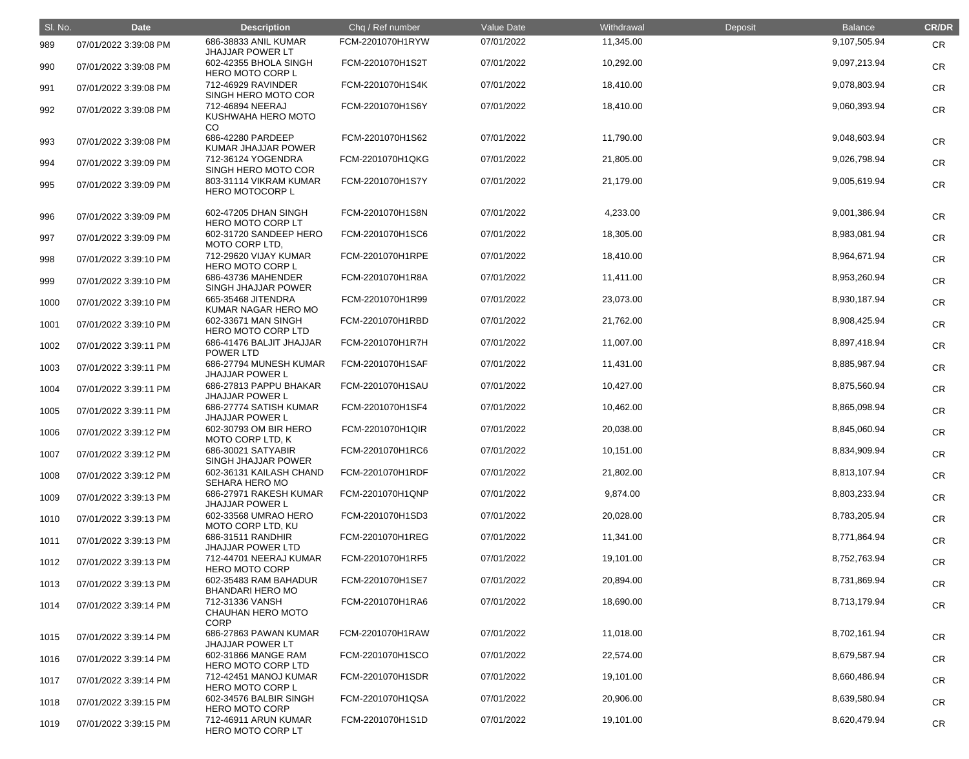| SI. No. | <b>Date</b>           | <b>Description</b>                                  | Chq / Ref number | Value Date | Withdrawal | Deposit | <b>Balance</b> | <b>CR/DR</b> |
|---------|-----------------------|-----------------------------------------------------|------------------|------------|------------|---------|----------------|--------------|
| 989     | 07/01/2022 3:39:08 PM | 686-38833 ANIL KUMAR<br><b>JHAJJAR POWER LT</b>     | FCM-2201070H1RYW | 07/01/2022 | 11,345.00  |         | 9,107,505.94   | <b>CR</b>    |
| 990     | 07/01/2022 3:39:08 PM | 602-42355 BHOLA SINGH<br>HERO MOTO CORP L           | FCM-2201070H1S2T | 07/01/2022 | 10,292.00  |         | 9,097,213.94   | <b>CR</b>    |
| 991     | 07/01/2022 3:39:08 PM | 712-46929 RAVINDER<br>SINGH HERO MOTO COR           | FCM-2201070H1S4K | 07/01/2022 | 18,410.00  |         | 9,078,803.94   | <b>CR</b>    |
| 992     | 07/01/2022 3:39:08 PM | 712-46894 NEERAJ<br>KUSHWAHA HERO MOTO              | FCM-2201070H1S6Y | 07/01/2022 | 18,410.00  |         | 9,060,393.94   | <b>CR</b>    |
| 993     | 07/01/2022 3:39:08 PM | CO<br>686-42280 PARDEEP<br>KUMAR JHAJJAR POWER      | FCM-2201070H1S62 | 07/01/2022 | 11,790.00  |         | 9,048,603.94   | <b>CR</b>    |
| 994     | 07/01/2022 3:39:09 PM | 712-36124 YOGENDRA<br>SINGH HERO MOTO COR           | FCM-2201070H1QKG | 07/01/2022 | 21,805.00  |         | 9,026,798.94   | <b>CR</b>    |
| 995     | 07/01/2022 3:39:09 PM | 803-31114 VIKRAM KUMAR<br>HERO MOTOCORP L           | FCM-2201070H1S7Y | 07/01/2022 | 21,179.00  |         | 9,005,619.94   | <b>CR</b>    |
| 996     | 07/01/2022 3:39:09 PM | 602-47205 DHAN SINGH<br>HERO MOTO CORP LT           | FCM-2201070H1S8N | 07/01/2022 | 4,233.00   |         | 9,001,386.94   | <b>CR</b>    |
| 997     | 07/01/2022 3:39:09 PM | 602-31720 SANDEEP HERO<br>MOTO CORP LTD,            | FCM-2201070H1SC6 | 07/01/2022 | 18,305.00  |         | 8,983,081.94   | <b>CR</b>    |
| 998     | 07/01/2022 3:39:10 PM | 712-29620 VIJAY KUMAR<br><b>HERO MOTO CORP L</b>    | FCM-2201070H1RPE | 07/01/2022 | 18,410.00  |         | 8,964,671.94   | <b>CR</b>    |
| 999     | 07/01/2022 3:39:10 PM | 686-43736 MAHENDER<br>SINGH JHAJJAR POWER           | FCM-2201070H1R8A | 07/01/2022 | 11,411.00  |         | 8,953,260.94   | <b>CR</b>    |
| 1000    | 07/01/2022 3:39:10 PM | 665-35468 JITENDRA<br>KUMAR NAGAR HERO MO           | FCM-2201070H1R99 | 07/01/2022 | 23,073.00  |         | 8,930,187.94   | <b>CR</b>    |
| 1001    | 07/01/2022 3:39:10 PM | 602-33671 MAN SINGH<br>HERO MOTO CORP LTD           | FCM-2201070H1RBD | 07/01/2022 | 21,762.00  |         | 8,908,425.94   | <b>CR</b>    |
| 1002    | 07/01/2022 3:39:11 PM | 686-41476 BALJIT JHAJJAR<br>POWER LTD               | FCM-2201070H1R7H | 07/01/2022 | 11,007.00  |         | 8,897,418.94   | <b>CR</b>    |
| 1003    | 07/01/2022 3:39:11 PM | 686-27794 MUNESH KUMAR<br><b>JHAJJAR POWER L</b>    | FCM-2201070H1SAF | 07/01/2022 | 11,431.00  |         | 8,885,987.94   | <b>CR</b>    |
| 1004    | 07/01/2022 3:39:11 PM | 686-27813 PAPPU BHAKAR<br><b>JHAJJAR POWER L</b>    | FCM-2201070H1SAU | 07/01/2022 | 10,427.00  |         | 8,875,560.94   | <b>CR</b>    |
| 1005    | 07/01/2022 3:39:11 PM | 686-27774 SATISH KUMAR<br><b>JHAJJAR POWER L</b>    | FCM-2201070H1SF4 | 07/01/2022 | 10,462.00  |         | 8,865,098.94   | <b>CR</b>    |
| 1006    | 07/01/2022 3:39:12 PM | 602-30793 OM BIR HERO<br>MOTO CORP LTD, K           | FCM-2201070H1QIR | 07/01/2022 | 20,038.00  |         | 8,845,060.94   | <b>CR</b>    |
| 1007    | 07/01/2022 3:39:12 PM | 686-30021 SATYABIR<br>SINGH JHAJJAR POWER           | FCM-2201070H1RC6 | 07/01/2022 | 10,151.00  |         | 8,834,909.94   | <b>CR</b>    |
| 1008    | 07/01/2022 3:39:12 PM | 602-36131 KAILASH CHAND<br>SEHARA HERO MO           | FCM-2201070H1RDF | 07/01/2022 | 21,802.00  |         | 8,813,107.94   | <b>CR</b>    |
| 1009    | 07/01/2022 3:39:13 PM | 686-27971 RAKESH KUMAR<br><b>JHAJJAR POWER L</b>    | FCM-2201070H1QNP | 07/01/2022 | 9,874.00   |         | 8,803,233.94   | <b>CR</b>    |
| 1010    | 07/01/2022 3:39:13 PM | 602-33568 UMRAO HERO<br>MOTO CORP LTD, KU           | FCM-2201070H1SD3 | 07/01/2022 | 20,028.00  |         | 8,783,205.94   | <b>CR</b>    |
| 1011    | 07/01/2022 3:39:13 PM | 686-31511 RANDHIR<br><b>JHAJJAR POWER LTD</b>       | FCM-2201070H1REG | 07/01/2022 | 11,341.00  |         | 8,771,864.94   | <b>CR</b>    |
| 1012    | 07/01/2022 3:39:13 PM | 712-44701 NEERAJ KUMAR<br><b>HERO MOTO CORP</b>     | FCM-2201070H1RF5 | 07/01/2022 | 19,101.00  |         | 8,752,763.94   | <b>CR</b>    |
| 1013    | 07/01/2022 3:39:13 PM | 602-35483 RAM BAHADUR<br><b>BHANDARI HERO MO</b>    | FCM-2201070H1SE7 | 07/01/2022 | 20,894.00  |         | 8,731,869.94   | <b>CR</b>    |
| 1014    | 07/01/2022 3:39:14 PM | 712-31336 VANSH<br>CHAUHAN HERO MOTO<br><b>CORP</b> | FCM-2201070H1RA6 | 07/01/2022 | 18,690.00  |         | 8,713,179.94   | <b>CR</b>    |
| 1015    | 07/01/2022 3:39:14 PM | 686-27863 PAWAN KUMAR<br><b>JHAJJAR POWER LT</b>    | FCM-2201070H1RAW | 07/01/2022 | 11,018.00  |         | 8,702,161.94   | <b>CR</b>    |
| 1016    | 07/01/2022 3:39:14 PM | 602-31866 MANGE RAM<br>HERO MOTO CORP LTD           | FCM-2201070H1SCO | 07/01/2022 | 22,574.00  |         | 8,679,587.94   | <b>CR</b>    |
| 1017    | 07/01/2022 3:39:14 PM | 712-42451 MANOJ KUMAR<br>HERO MOTO CORP L           | FCM-2201070H1SDR | 07/01/2022 | 19,101.00  |         | 8,660,486.94   | <b>CR</b>    |
| 1018    | 07/01/2022 3:39:15 PM | 602-34576 BALBIR SINGH<br><b>HERO MOTO CORP</b>     | FCM-2201070H1QSA | 07/01/2022 | 20,906.00  |         | 8,639,580.94   | <b>CR</b>    |
| 1019    | 07/01/2022 3:39:15 PM | 712-46911 ARUN KUMAR<br>HERO MOTO CORP LT           | FCM-2201070H1S1D | 07/01/2022 | 19,101.00  |         | 8,620,479.94   | <b>CR</b>    |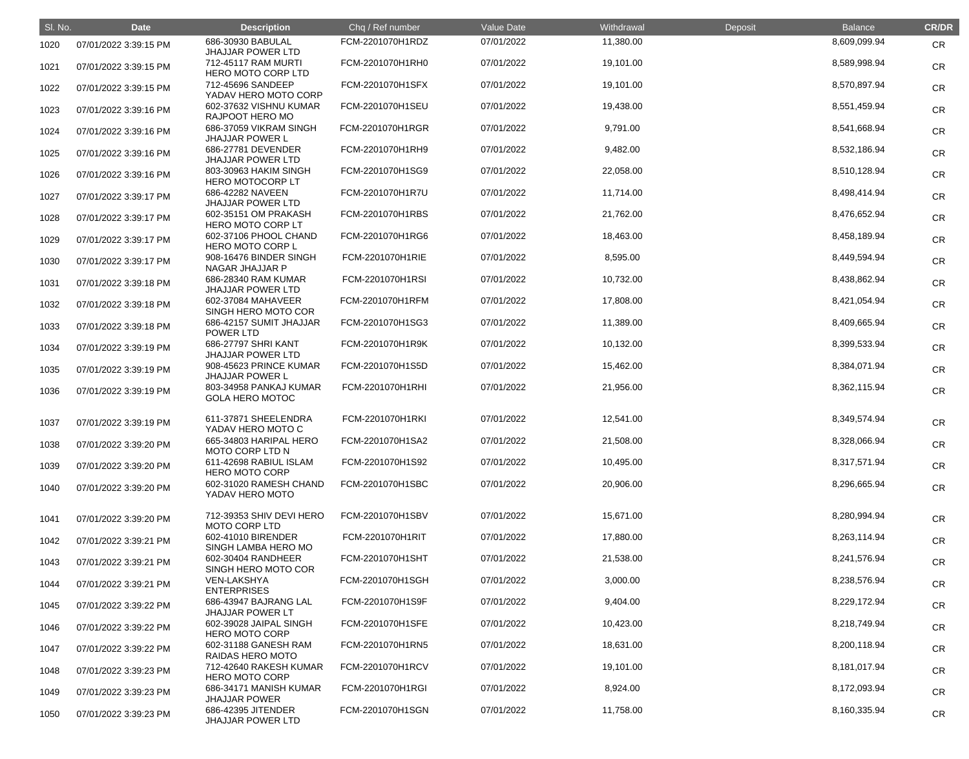| SI. No. | <b>Date</b>           | <b>Description</b>                                                    | Chq / Ref number | Value Date | Withdrawal | Deposit | <b>Balance</b> | <b>CR/DR</b> |
|---------|-----------------------|-----------------------------------------------------------------------|------------------|------------|------------|---------|----------------|--------------|
| 1020    | 07/01/2022 3:39:15 PM | 686-30930 BABULAL                                                     | FCM-2201070H1RDZ | 07/01/2022 | 11,380.00  |         | 8,609,099.94   | <b>CR</b>    |
| 1021    | 07/01/2022 3:39:15 PM | <b>JHAJJAR POWER LTD</b><br>712-45117 RAM MURTI<br>HERO MOTO CORP LTD | FCM-2201070H1RH0 | 07/01/2022 | 19,101.00  |         | 8,589,998.94   | <b>CR</b>    |
| 1022    | 07/01/2022 3:39:15 PM | 712-45696 SANDEEP<br>YADAV HERO MOTO CORP                             | FCM-2201070H1SFX | 07/01/2022 | 19,101.00  |         | 8,570,897.94   | <b>CR</b>    |
| 1023    | 07/01/2022 3:39:16 PM | 602-37632 VISHNU KUMAR<br>RAJPOOT HERO MO                             | FCM-2201070H1SEU | 07/01/2022 | 19,438.00  |         | 8,551,459.94   | <b>CR</b>    |
| 1024    | 07/01/2022 3:39:16 PM | 686-37059 VIKRAM SINGH<br><b>JHAJJAR POWER L</b>                      | FCM-2201070H1RGR | 07/01/2022 | 9,791.00   |         | 8,541,668.94   | <b>CR</b>    |
| 1025    | 07/01/2022 3:39:16 PM | 686-27781 DEVENDER<br><b>JHAJJAR POWER LTD</b>                        | FCM-2201070H1RH9 | 07/01/2022 | 9,482.00   |         | 8,532,186.94   | <b>CR</b>    |
| 1026    | 07/01/2022 3:39:16 PM | 803-30963 HAKIM SINGH<br><b>HERO MOTOCORP LT</b>                      | FCM-2201070H1SG9 | 07/01/2022 | 22,058.00  |         | 8,510,128.94   | <b>CR</b>    |
| 1027    | 07/01/2022 3:39:17 PM | 686-42282 NAVEEN<br><b>JHAJJAR POWER LTD</b>                          | FCM-2201070H1R7U | 07/01/2022 | 11,714.00  |         | 8,498,414.94   | <b>CR</b>    |
| 1028    | 07/01/2022 3:39:17 PM | 602-35151 OM PRAKASH<br><b>HERO MOTO CORP LT</b>                      | FCM-2201070H1RBS | 07/01/2022 | 21,762.00  |         | 8,476,652.94   | <b>CR</b>    |
| 1029    | 07/01/2022 3:39:17 PM | 602-37106 PHOOL CHAND<br><b>HERO MOTO CORP L</b>                      | FCM-2201070H1RG6 | 07/01/2022 | 18,463.00  |         | 8,458,189.94   | <b>CR</b>    |
| 1030    | 07/01/2022 3:39:17 PM | 908-16476 BINDER SINGH<br>NAGAR JHAJJAR P                             | FCM-2201070H1RIE | 07/01/2022 | 8,595.00   |         | 8,449,594.94   | <b>CR</b>    |
| 1031    | 07/01/2022 3:39:18 PM | 686-28340 RAM KUMAR<br><b>JHAJJAR POWER LTD</b>                       | FCM-2201070H1RSI | 07/01/2022 | 10,732.00  |         | 8,438,862.94   | <b>CR</b>    |
| 1032    | 07/01/2022 3:39:18 PM | 602-37084 MAHAVEER<br>SINGH HERO MOTO COR                             | FCM-2201070H1RFM | 07/01/2022 | 17,808.00  |         | 8,421,054.94   | <b>CR</b>    |
| 1033    | 07/01/2022 3:39:18 PM | 686-42157 SUMIT JHAJJAR<br>POWER LTD                                  | FCM-2201070H1SG3 | 07/01/2022 | 11,389.00  |         | 8,409,665.94   | <b>CR</b>    |
| 1034    | 07/01/2022 3:39:19 PM | 686-27797 SHRI KANT<br><b>JHAJJAR POWER LTD</b>                       | FCM-2201070H1R9K | 07/01/2022 | 10,132.00  |         | 8,399,533.94   | <b>CR</b>    |
| 1035    | 07/01/2022 3:39:19 PM | 908-45623 PRINCE KUMAR<br><b>JHAJJAR POWER L</b>                      | FCM-2201070H1S5D | 07/01/2022 | 15,462.00  |         | 8,384,071.94   | <b>CR</b>    |
| 1036    | 07/01/2022 3:39:19 PM | 803-34958 PANKAJ KUMAR<br><b>GOLA HERO MOTOC</b>                      | FCM-2201070H1RHI | 07/01/2022 | 21,956.00  |         | 8,362,115.94   | <b>CR</b>    |
| 1037    | 07/01/2022 3:39:19 PM | 611-37871 SHEELENDRA<br>YADAV HERO MOTO C                             | FCM-2201070H1RKI | 07/01/2022 | 12,541.00  |         | 8,349,574.94   | <b>CR</b>    |
| 1038    | 07/01/2022 3:39:20 PM | 665-34803 HARIPAL HERO<br><b>MOTO CORP LTD N</b>                      | FCM-2201070H1SA2 | 07/01/2022 | 21,508.00  |         | 8,328,066.94   | <b>CR</b>    |
| 1039    | 07/01/2022 3:39:20 PM | 611-42698 RABIUL ISLAM<br><b>HERO MOTO CORP</b>                       | FCM-2201070H1S92 | 07/01/2022 | 10,495.00  |         | 8,317,571.94   | <b>CR</b>    |
| 1040    | 07/01/2022 3:39:20 PM | 602-31020 RAMESH CHAND<br>YADAV HERO MOTO                             | FCM-2201070H1SBC | 07/01/2022 | 20,906.00  |         | 8,296,665.94   | <b>CR</b>    |
| 1041    | 07/01/2022 3:39:20 PM | 712-39353 SHIV DEVI HERO<br><b>MOTO CORP LTD</b>                      | FCM-2201070H1SBV | 07/01/2022 | 15,671.00  |         | 8,280,994.94   | <b>CR</b>    |
| 1042    | 07/01/2022 3:39:21 PM | 602-41010 BIRENDER<br>SINGH LAMBA HERO MO                             | FCM-2201070H1RIT | 07/01/2022 | 17,880.00  |         | 8,263,114.94   | <b>CR</b>    |
| 1043    | 07/01/2022 3:39:21 PM | 602-30404 RANDHEER<br>SINGH HERO MOTO COR                             | FCM-2201070H1SHT | 07/01/2022 | 21,538.00  |         | 8,241,576.94   | <b>CR</b>    |
| 1044    | 07/01/2022 3:39:21 PM | <b>VEN-LAKSHYA</b><br><b>ENTERPRISES</b>                              | FCM-2201070H1SGH | 07/01/2022 | 3,000.00   |         | 8,238,576.94   | <b>CR</b>    |
| 1045    | 07/01/2022 3:39:22 PM | 686-43947 BAJRANG LAL<br><b>JHAJJAR POWER LT</b>                      | FCM-2201070H1S9F | 07/01/2022 | 9,404.00   |         | 8,229,172.94   | <b>CR</b>    |
| 1046    | 07/01/2022 3:39:22 PM | 602-39028 JAIPAL SINGH<br><b>HERO MOTO CORP</b>                       | FCM-2201070H1SFE | 07/01/2022 | 10,423.00  |         | 8,218,749.94   | <b>CR</b>    |
| 1047    | 07/01/2022 3:39:22 PM | 602-31188 GANESH RAM<br>RAIDAS HERO MOTO                              | FCM-2201070H1RN5 | 07/01/2022 | 18,631.00  |         | 8,200,118.94   | <b>CR</b>    |
| 1048    | 07/01/2022 3:39:23 PM | 712-42640 RAKESH KUMAR<br><b>HERO MOTO CORP</b>                       | FCM-2201070H1RCV | 07/01/2022 | 19,101.00  |         | 8,181,017.94   | <b>CR</b>    |
| 1049    | 07/01/2022 3:39:23 PM | 686-34171 MANISH KUMAR<br><b>JHAJJAR POWER</b>                        | FCM-2201070H1RGI | 07/01/2022 | 8,924.00   |         | 8,172,093.94   | <b>CR</b>    |
| 1050    | 07/01/2022 3:39:23 PM | 686-42395 JITENDER<br><b>JHAJJAR POWER LTD</b>                        | FCM-2201070H1SGN | 07/01/2022 | 11,758.00  |         | 8,160,335.94   | <b>CR</b>    |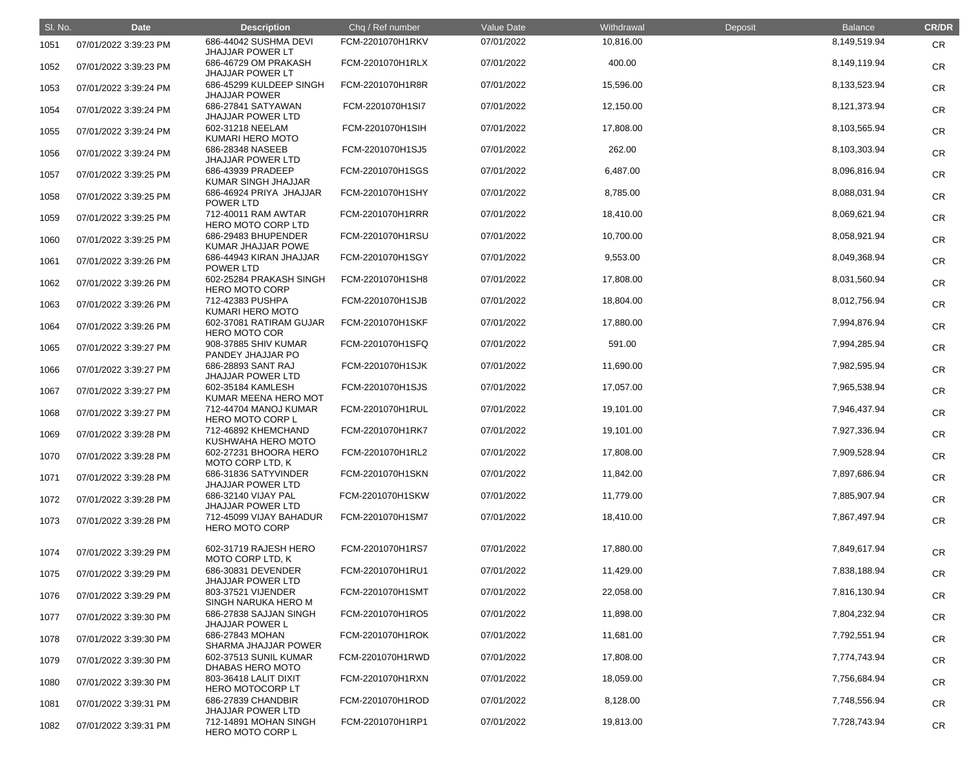| SI. No. | <b>Date</b>           | <b>Description</b>                               | Chq / Ref number | <b>Value Date</b> | Withdrawal | Deposit | <b>Balance</b> | <b>CR/DR</b> |
|---------|-----------------------|--------------------------------------------------|------------------|-------------------|------------|---------|----------------|--------------|
| 1051    | 07/01/2022 3:39:23 PM | 686-44042 SUSHMA DEVI<br><b>JHAJJAR POWER LT</b> | FCM-2201070H1RKV | 07/01/2022        | 10,816.00  |         | 8,149,519.94   | <b>CR</b>    |
| 1052    | 07/01/2022 3:39:23 PM | 686-46729 OM PRAKASH<br><b>JHAJJAR POWER LT</b>  | FCM-2201070H1RLX | 07/01/2022        | 400.00     |         | 8,149,119.94   | <b>CR</b>    |
| 1053    | 07/01/2022 3:39:24 PM | 686-45299 KULDEEP SINGH<br><b>JHAJJAR POWER</b>  | FCM-2201070H1R8R | 07/01/2022        | 15,596.00  |         | 8,133,523.94   | <b>CR</b>    |
| 1054    | 07/01/2022 3:39:24 PM | 686-27841 SATYAWAN<br><b>JHAJJAR POWER LTD</b>   | FCM-2201070H1SI7 | 07/01/2022        | 12,150.00  |         | 8,121,373.94   | <b>CR</b>    |
| 1055    | 07/01/2022 3:39:24 PM | 602-31218 NEELAM<br>KUMARI HERO MOTO             | FCM-2201070H1SIH | 07/01/2022        | 17,808.00  |         | 8,103,565.94   | <b>CR</b>    |
| 1056    | 07/01/2022 3:39:24 PM | 686-28348 NASEEB<br><b>JHAJJAR POWER LTD</b>     | FCM-2201070H1SJ5 | 07/01/2022        | 262.00     |         | 8,103,303.94   | <b>CR</b>    |
| 1057    | 07/01/2022 3:39:25 PM | 686-43939 PRADEEP<br>KUMAR SINGH JHAJJAR         | FCM-2201070H1SGS | 07/01/2022        | 6,487.00   |         | 8,096,816.94   | <b>CR</b>    |
| 1058    | 07/01/2022 3:39:25 PM | 686-46924 PRIYA JHAJJAR<br>POWER LTD             | FCM-2201070H1SHY | 07/01/2022        | 8,785.00   |         | 8,088,031.94   | <b>CR</b>    |
| 1059    | 07/01/2022 3:39:25 PM | 712-40011 RAM AWTAR<br>HERO MOTO CORP LTD        | FCM-2201070H1RRR | 07/01/2022        | 18,410.00  |         | 8,069,621.94   | <b>CR</b>    |
| 1060    | 07/01/2022 3:39:25 PM | 686-29483 BHUPENDER<br>KUMAR JHAJJAR POWE        | FCM-2201070H1RSU | 07/01/2022        | 10,700.00  |         | 8,058,921.94   | <b>CR</b>    |
| 1061    | 07/01/2022 3:39:26 PM | 686-44943 KIRAN JHAJJAR<br><b>POWER LTD</b>      | FCM-2201070H1SGY | 07/01/2022        | 9,553.00   |         | 8,049,368.94   | <b>CR</b>    |
| 1062    | 07/01/2022 3:39:26 PM | 602-25284 PRAKASH SINGH<br><b>HERO MOTO CORP</b> | FCM-2201070H1SH8 | 07/01/2022        | 17,808.00  |         | 8,031,560.94   | <b>CR</b>    |
| 1063    | 07/01/2022 3:39:26 PM | 712-42383 PUSHPA<br>KUMARI HERO MOTO             | FCM-2201070H1SJB | 07/01/2022        | 18,804.00  |         | 8,012,756.94   | <b>CR</b>    |
| 1064    | 07/01/2022 3:39:26 PM | 602-37081 RATIRAM GUJAR<br><b>HERO MOTO COR</b>  | FCM-2201070H1SKF | 07/01/2022        | 17,880.00  |         | 7,994,876.94   | <b>CR</b>    |
| 1065    | 07/01/2022 3:39:27 PM | 908-37885 SHIV KUMAR<br>PANDEY JHAJJAR PO        | FCM-2201070H1SFQ | 07/01/2022        | 591.00     |         | 7,994,285.94   | <b>CR</b>    |
| 1066    | 07/01/2022 3:39:27 PM | 686-28893 SANT RAJ<br><b>JHAJJAR POWER LTD</b>   | FCM-2201070H1SJK | 07/01/2022        | 11,690.00  |         | 7,982,595.94   | <b>CR</b>    |
| 1067    | 07/01/2022 3:39:27 PM | 602-35184 KAMLESH<br>KUMAR MEENA HERO MOT        | FCM-2201070H1SJS | 07/01/2022        | 17,057.00  |         | 7,965,538.94   | <b>CR</b>    |
| 1068    | 07/01/2022 3:39:27 PM | 712-44704 MANOJ KUMAR<br>HERO MOTO CORP L        | FCM-2201070H1RUL | 07/01/2022        | 19,101.00  |         | 7,946,437.94   | <b>CR</b>    |
| 1069    | 07/01/2022 3:39:28 PM | 712-46892 KHEMCHAND<br>KUSHWAHA HERO MOTO        | FCM-2201070H1RK7 | 07/01/2022        | 19,101.00  |         | 7,927,336.94   | <b>CR</b>    |
| 1070    | 07/01/2022 3:39:28 PM | 602-27231 BHOORA HERO<br>MOTO CORP LTD, K        | FCM-2201070H1RL2 | 07/01/2022        | 17,808.00  |         | 7,909,528.94   | CR           |
| 1071    | 07/01/2022 3:39:28 PM | 686-31836 SATYVINDER<br>JHAJJAR POWER LTD        | FCM-2201070H1SKN | 07/01/2022        | 11,842.00  |         | 7,897,686.94   | CR           |
| 1072    | 07/01/2022 3:39:28 PM | 686-32140 VIJAY PAL<br><b>JHAJJAR POWER LTD</b>  | FCM-2201070H1SKW | 07/01/2022        | 11,779.00  |         | 7,885,907.94   | <b>CR</b>    |
| 1073    | 07/01/2022 3:39:28 PM | 712-45099 VIJAY BAHADUR<br><b>HERO MOTO CORP</b> | FCM-2201070H1SM7 | 07/01/2022        | 18,410.00  |         | 7,867,497.94   | <b>CR</b>    |
| 1074    | 07/01/2022 3:39:29 PM | 602-31719 RAJESH HERO<br>MOTO CORP LTD, K        | FCM-2201070H1RS7 | 07/01/2022        | 17,880.00  |         | 7,849,617.94   | <b>CR</b>    |
| 1075    | 07/01/2022 3:39:29 PM | 686-30831 DEVENDER<br><b>JHAJJAR POWER LTD</b>   | FCM-2201070H1RU1 | 07/01/2022        | 11,429.00  |         | 7,838,188.94   | <b>CR</b>    |
| 1076    | 07/01/2022 3:39:29 PM | 803-37521 VIJENDER<br>SINGH NARUKA HERO M        | FCM-2201070H1SMT | 07/01/2022        | 22,058.00  |         | 7,816,130.94   | <b>CR</b>    |
| 1077    | 07/01/2022 3:39:30 PM | 686-27838 SAJJAN SINGH<br><b>JHAJJAR POWER L</b> | FCM-2201070H1RO5 | 07/01/2022        | 11,898.00  |         | 7,804,232.94   | <b>CR</b>    |
| 1078    | 07/01/2022 3:39:30 PM | 686-27843 MOHAN<br>SHARMA JHAJJAR POWER          | FCM-2201070H1ROK | 07/01/2022        | 11,681.00  |         | 7,792,551.94   | <b>CR</b>    |
| 1079    | 07/01/2022 3:39:30 PM | 602-37513 SUNIL KUMAR<br>DHABAS HERO MOTO        | FCM-2201070H1RWD | 07/01/2022        | 17,808.00  |         | 7,774,743.94   | <b>CR</b>    |
| 1080    | 07/01/2022 3:39:30 PM | 803-36418 LALIT DIXIT<br><b>HERO MOTOCORP LT</b> | FCM-2201070H1RXN | 07/01/2022        | 18,059.00  |         | 7,756,684.94   | <b>CR</b>    |
| 1081    | 07/01/2022 3:39:31 PM | 686-27839 CHANDBIR<br><b>JHAJJAR POWER LTD</b>   | FCM-2201070H1ROD | 07/01/2022        | 8,128.00   |         | 7,748,556.94   | <b>CR</b>    |
| 1082    | 07/01/2022 3:39:31 PM | 712-14891 MOHAN SINGH<br>HERO MOTO CORP L        | FCM-2201070H1RP1 | 07/01/2022        | 19,813.00  |         | 7,728,743.94   | <b>CR</b>    |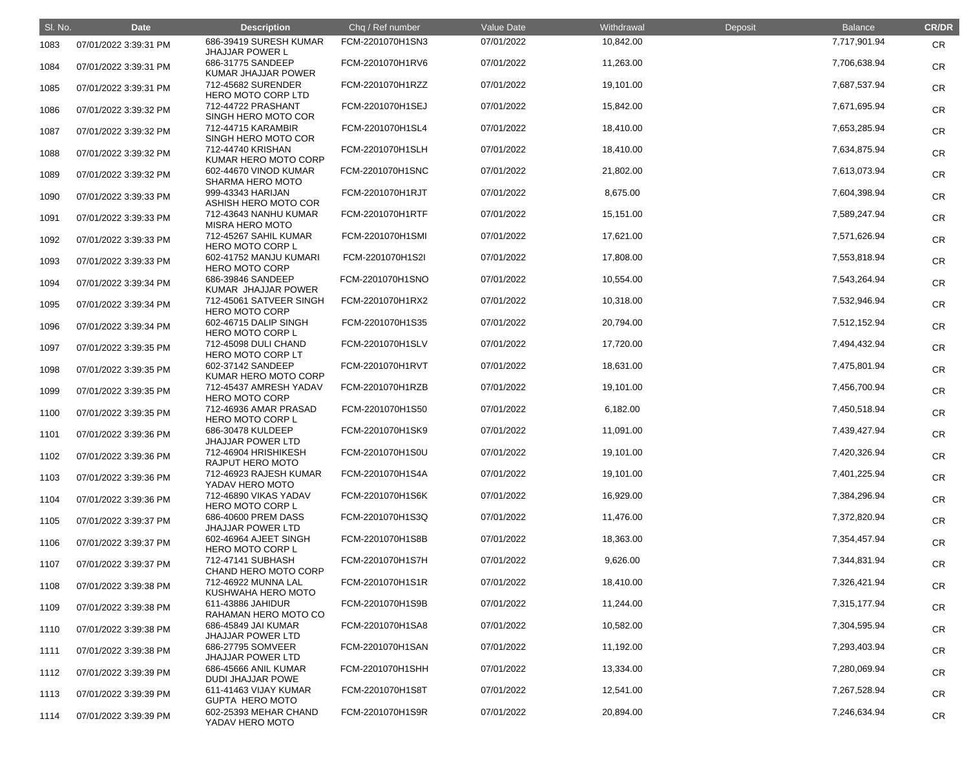| SI. No. | <b>Date</b>           | <b>Description</b>                               | Chq / Ref number | Value Date | Withdrawal | Deposit | <b>Balance</b> | <b>CR/DR</b> |
|---------|-----------------------|--------------------------------------------------|------------------|------------|------------|---------|----------------|--------------|
| 1083    | 07/01/2022 3:39:31 PM | 686-39419 SURESH KUMAR<br><b>JHAJJAR POWER L</b> | FCM-2201070H1SN3 | 07/01/2022 | 10,842.00  |         | 7,717,901.94   | <b>CR</b>    |
| 1084    | 07/01/2022 3:39:31 PM | 686-31775 SANDEEP<br><b>KUMAR JHAJJAR POWER</b>  | FCM-2201070H1RV6 | 07/01/2022 | 11,263.00  |         | 7,706,638.94   | <b>CR</b>    |
| 1085    | 07/01/2022 3:39:31 PM | 712-45682 SURENDER<br>HERO MOTO CORP LTD         | FCM-2201070H1RZZ | 07/01/2022 | 19,101.00  |         | 7,687,537.94   | <b>CR</b>    |
| 1086    | 07/01/2022 3:39:32 PM | 712-44722 PRASHANT<br>SINGH HERO MOTO COR        | FCM-2201070H1SEJ | 07/01/2022 | 15,842.00  |         | 7,671,695.94   | <b>CR</b>    |
| 1087    | 07/01/2022 3:39:32 PM | 712-44715 KARAMBIR<br>SINGH HERO MOTO COR        | FCM-2201070H1SL4 | 07/01/2022 | 18,410.00  |         | 7,653,285.94   | <b>CR</b>    |
| 1088    | 07/01/2022 3:39:32 PM | 712-44740 KRISHAN<br>KUMAR HERO MOTO CORP        | FCM-2201070H1SLH | 07/01/2022 | 18,410.00  |         | 7,634,875.94   | <b>CR</b>    |
| 1089    | 07/01/2022 3:39:32 PM | 602-44670 VINOD KUMAR<br><b>SHARMA HERO MOTO</b> | FCM-2201070H1SNC | 07/01/2022 | 21,802.00  |         | 7,613,073.94   | <b>CR</b>    |
| 1090    | 07/01/2022 3:39:33 PM | 999-43343 HARIJAN<br>ASHISH HERO MOTO COR        | FCM-2201070H1RJT | 07/01/2022 | 8,675.00   |         | 7,604,398.94   | <b>CR</b>    |
| 1091    | 07/01/2022 3:39:33 PM | 712-43643 NANHU KUMAR<br><b>MISRA HERO MOTO</b>  | FCM-2201070H1RTF | 07/01/2022 | 15,151.00  |         | 7,589,247.94   | <b>CR</b>    |
| 1092    | 07/01/2022 3:39:33 PM | 712-45267 SAHIL KUMAR<br><b>HERO MOTO CORP L</b> | FCM-2201070H1SMI | 07/01/2022 | 17,621.00  |         | 7,571,626.94   | <b>CR</b>    |
| 1093    | 07/01/2022 3:39:33 PM | 602-41752 MANJU KUMARI<br><b>HERO MOTO CORP</b>  | FCM-2201070H1S2I | 07/01/2022 | 17,808.00  |         | 7,553,818.94   | <b>CR</b>    |
| 1094    | 07/01/2022 3:39:34 PM | 686-39846 SANDEEP<br>KUMAR JHAJJAR POWER         | FCM-2201070H1SNO | 07/01/2022 | 10,554.00  |         | 7,543,264.94   | <b>CR</b>    |
| 1095    | 07/01/2022 3:39:34 PM | 712-45061 SATVEER SINGH<br><b>HERO MOTO CORP</b> | FCM-2201070H1RX2 | 07/01/2022 | 10,318.00  |         | 7,532,946.94   | <b>CR</b>    |
| 1096    | 07/01/2022 3:39:34 PM | 602-46715 DALIP SINGH<br>HERO MOTO CORP L        | FCM-2201070H1S35 | 07/01/2022 | 20,794.00  |         | 7,512,152.94   | <b>CR</b>    |
| 1097    | 07/01/2022 3:39:35 PM | 712-45098 DULI CHAND<br><b>HERO MOTO CORP LT</b> | FCM-2201070H1SLV | 07/01/2022 | 17,720.00  |         | 7,494,432.94   | <b>CR</b>    |
| 1098    | 07/01/2022 3:39:35 PM | 602-37142 SANDEEP<br>KUMAR HERO MOTO CORP        | FCM-2201070H1RVT | 07/01/2022 | 18,631.00  |         | 7,475,801.94   | <b>CR</b>    |
| 1099    | 07/01/2022 3:39:35 PM | 712-45437 AMRESH YADAV<br><b>HERO MOTO CORP</b>  | FCM-2201070H1RZB | 07/01/2022 | 19,101.00  |         | 7,456,700.94   | <b>CR</b>    |
| 1100    | 07/01/2022 3:39:35 PM | 712-46936 AMAR PRASAD<br><b>HERO MOTO CORP L</b> | FCM-2201070H1S50 | 07/01/2022 | 6,182.00   |         | 7,450,518.94   | <b>CR</b>    |
| 1101    | 07/01/2022 3:39:36 PM | 686-30478 KULDEEP<br><b>JHAJJAR POWER LTD</b>    | FCM-2201070H1SK9 | 07/01/2022 | 11,091.00  |         | 7,439,427.94   | <b>CR</b>    |
| 1102    | 07/01/2022 3:39:36 PM | 712-46904 HRISHIKESH<br>RAJPUT HERO MOTO         | FCM-2201070H1S0U | 07/01/2022 | 19,101.00  |         | 7,420,326.94   | <b>CR</b>    |
| 1103    | 07/01/2022 3:39:36 PM | 712-46923 RAJESH KUMAR<br>YADAV HERO MOTO        | FCM-2201070H1S4A | 07/01/2022 | 19,101.00  |         | 7,401,225.94   | <b>CR</b>    |
| 1104    | 07/01/2022 3:39:36 PM | 712-46890 VIKAS YADAV<br>HERO MOTO CORP L        | FCM-2201070H1S6K | 07/01/2022 | 16,929.00  |         | 7,384,296.94   | <b>CR</b>    |
| 1105    | 07/01/2022 3:39:37 PM | 686-40600 PREM DASS<br><b>JHAJJAR POWER LTD</b>  | FCM-2201070H1S3Q | 07/01/2022 | 11,476.00  |         | 7,372,820.94   | <b>CR</b>    |
| 1106    | 07/01/2022 3:39:37 PM | 602-46964 AJEET SINGH<br><b>HERO MOTO CORP L</b> | FCM-2201070H1S8B | 07/01/2022 | 18,363.00  |         | 7,354,457.94   | <b>CR</b>    |
| 1107    | 07/01/2022 3:39:37 PM | 712-47141 SUBHASH<br>CHAND HERO MOTO CORP        | FCM-2201070H1S7H | 07/01/2022 | 9,626.00   |         | 7,344,831.94   | <b>CR</b>    |
| 1108    | 07/01/2022 3:39:38 PM | 712-46922 MUNNA LAL<br>KUSHWAHA HERO MOTO        | FCM-2201070H1S1R | 07/01/2022 | 18,410.00  |         | 7,326,421.94   | <b>CR</b>    |
| 1109    | 07/01/2022 3:39:38 PM | 611-43886 JAHIDUR<br>RAHAMAN HERO MOTO CO        | FCM-2201070H1S9B | 07/01/2022 | 11,244.00  |         | 7,315,177.94   | <b>CR</b>    |
| 1110    | 07/01/2022 3:39:38 PM | 686-45849 JAI KUMAR<br><b>JHAJJAR POWER LTD</b>  | FCM-2201070H1SA8 | 07/01/2022 | 10,582.00  |         | 7,304,595.94   | <b>CR</b>    |
| 1111    | 07/01/2022 3:39:38 PM | 686-27795 SOMVEER<br><b>JHAJJAR POWER LTD</b>    | FCM-2201070H1SAN | 07/01/2022 | 11,192.00  |         | 7,293,403.94   | <b>CR</b>    |
| 1112    | 07/01/2022 3:39:39 PM | 686-45666 ANIL KUMAR<br><b>DUDI JHAJJAR POWE</b> | FCM-2201070H1SHH | 07/01/2022 | 13,334.00  |         | 7,280,069.94   | <b>CR</b>    |
| 1113    | 07/01/2022 3:39:39 PM | 611-41463 VIJAY KUMAR<br><b>GUPTA HERO MOTO</b>  | FCM-2201070H1S8T | 07/01/2022 | 12,541.00  |         | 7,267,528.94   | <b>CR</b>    |
| 1114    | 07/01/2022 3:39:39 PM | 602-25393 MEHAR CHAND<br>YADAV HERO MOTO         | FCM-2201070H1S9R | 07/01/2022 | 20,894.00  |         | 7,246,634.94   | <b>CR</b>    |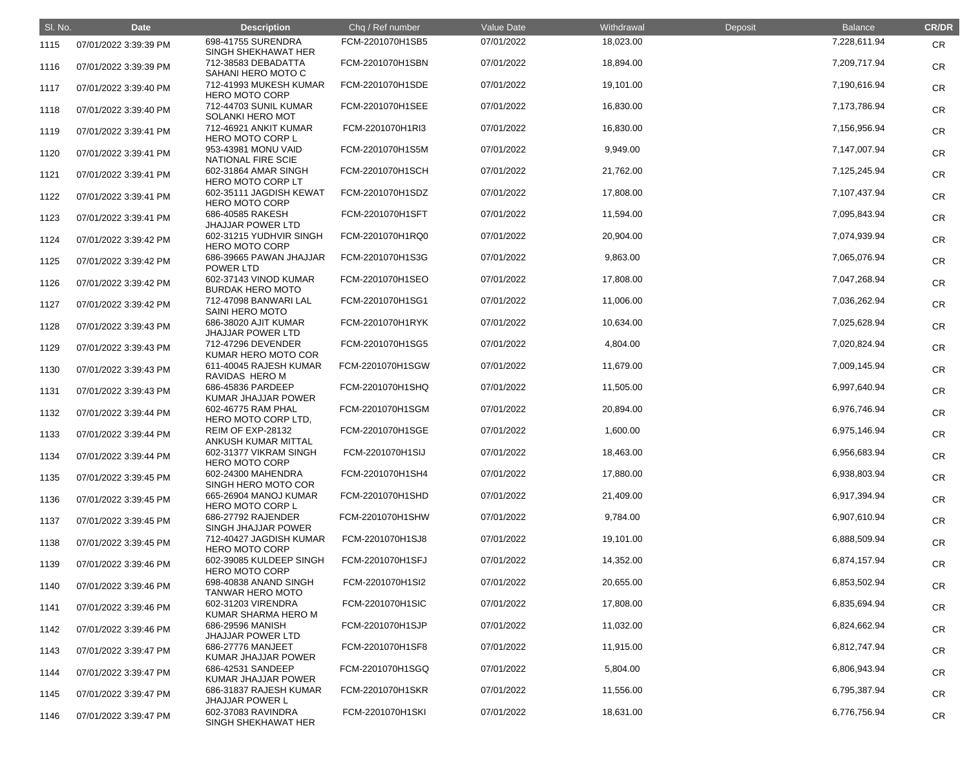| SI. No. | <b>Date</b>           | <b>Description</b>                               | Chq / Ref number | Value Date | Withdrawal | Deposit | <b>Balance</b> | <b>CR/DR</b> |
|---------|-----------------------|--------------------------------------------------|------------------|------------|------------|---------|----------------|--------------|
| 1115    | 07/01/2022 3:39:39 PM | 698-41755 SURENDRA<br>SINGH SHEKHAWAT HER        | FCM-2201070H1SB5 | 07/01/2022 | 18,023.00  |         | 7,228,611.94   | <b>CR</b>    |
| 1116    | 07/01/2022 3:39:39 PM | 712-38583 DEBADATTA<br>SAHANI HERO MOTO C        | FCM-2201070H1SBN | 07/01/2022 | 18,894.00  |         | 7,209,717.94   | <b>CR</b>    |
| 1117    | 07/01/2022 3:39:40 PM | 712-41993 MUKESH KUMAR<br><b>HERO MOTO CORP</b>  | FCM-2201070H1SDE | 07/01/2022 | 19,101.00  |         | 7,190,616.94   | <b>CR</b>    |
| 1118    | 07/01/2022 3:39:40 PM | 712-44703 SUNIL KUMAR<br><b>SOLANKI HERO MOT</b> | FCM-2201070H1SEE | 07/01/2022 | 16,830.00  |         | 7,173,786.94   | <b>CR</b>    |
| 1119    | 07/01/2022 3:39:41 PM | 712-46921 ANKIT KUMAR<br><b>HERO MOTO CORP L</b> | FCM-2201070H1RI3 | 07/01/2022 | 16,830.00  |         | 7,156,956.94   | <b>CR</b>    |
| 1120    | 07/01/2022 3:39:41 PM | 953-43981 MONU VAID<br>NATIONAL FIRE SCIE        | FCM-2201070H1S5M | 07/01/2022 | 9,949.00   |         | 7,147,007.94   | <b>CR</b>    |
| 1121    | 07/01/2022 3:39:41 PM | 602-31864 AMAR SINGH<br>HERO MOTO CORP LT        | FCM-2201070H1SCH | 07/01/2022 | 21,762.00  |         | 7,125,245.94   | <b>CR</b>    |
| 1122    | 07/01/2022 3:39:41 PM | 602-35111 JAGDISH KEWAT<br><b>HERO MOTO CORP</b> | FCM-2201070H1SDZ | 07/01/2022 | 17,808.00  |         | 7,107,437.94   | <b>CR</b>    |
| 1123    | 07/01/2022 3:39:41 PM | 686-40585 RAKESH<br><b>JHAJJAR POWER LTD</b>     | FCM-2201070H1SFT | 07/01/2022 | 11,594.00  |         | 7,095,843.94   | <b>CR</b>    |
| 1124    | 07/01/2022 3:39:42 PM | 602-31215 YUDHVIR SINGH<br><b>HERO MOTO CORP</b> | FCM-2201070H1RQ0 | 07/01/2022 | 20,904.00  |         | 7,074,939.94   | <b>CR</b>    |
| 1125    | 07/01/2022 3:39:42 PM | 686-39665 PAWAN JHAJJAR<br>POWER LTD             | FCM-2201070H1S3G | 07/01/2022 | 9,863.00   |         | 7,065,076.94   | <b>CR</b>    |
| 1126    | 07/01/2022 3:39:42 PM | 602-37143 VINOD KUMAR<br><b>BURDAK HERO MOTO</b> | FCM-2201070H1SEO | 07/01/2022 | 17,808.00  |         | 7,047,268.94   | <b>CR</b>    |
| 1127    | 07/01/2022 3:39:42 PM | 712-47098 BANWARI LAL<br>SAINI HERO MOTO         | FCM-2201070H1SG1 | 07/01/2022 | 11,006.00  |         | 7,036,262.94   | <b>CR</b>    |
| 1128    | 07/01/2022 3:39:43 PM | 686-38020 AJIT KUMAR<br><b>JHAJJAR POWER LTD</b> | FCM-2201070H1RYK | 07/01/2022 | 10,634.00  |         | 7,025,628.94   | <b>CR</b>    |
| 1129    | 07/01/2022 3:39:43 PM | 712-47296 DEVENDER<br>KUMAR HERO MOTO COR        | FCM-2201070H1SG5 | 07/01/2022 | 4,804.00   |         | 7,020,824.94   | <b>CR</b>    |
| 1130    | 07/01/2022 3:39:43 PM | 611-40045 RAJESH KUMAR<br>RAVIDAS HERO M         | FCM-2201070H1SGW | 07/01/2022 | 11,679.00  |         | 7,009,145.94   | <b>CR</b>    |
| 1131    | 07/01/2022 3:39:43 PM | 686-45836 PARDEEP<br>KUMAR JHAJJAR POWER         | FCM-2201070H1SHQ | 07/01/2022 | 11,505.00  |         | 6,997,640.94   | <b>CR</b>    |
| 1132    | 07/01/2022 3:39:44 PM | 602-46775 RAM PHAL<br>HERO MOTO CORP LTD,        | FCM-2201070H1SGM | 07/01/2022 | 20,894.00  |         | 6,976,746.94   | <b>CR</b>    |
| 1133    | 07/01/2022 3:39:44 PM | REIM OF EXP-28132<br>ANKUSH KUMAR MITTAL         | FCM-2201070H1SGE | 07/01/2022 | 1,600.00   |         | 6,975,146.94   | <b>CR</b>    |
| 1134    | 07/01/2022 3:39:44 PM | 602-31377 VIKRAM SINGH<br><b>HERO MOTO CORP</b>  | FCM-2201070H1SIJ | 07/01/2022 | 18,463.00  |         | 6,956,683.94   | <b>CR</b>    |
| 1135    | 07/01/2022 3:39:45 PM | 602-24300 MAHENDRA<br>SINGH HERO MOTO COR        | FCM-2201070H1SH4 | 07/01/2022 | 17,880.00  |         | 6,938,803.94   | <b>CR</b>    |
| 1136    | 07/01/2022 3:39:45 PM | 665-26904 MANOJ KUMAR<br><b>HERO MOTO CORP L</b> | FCM-2201070H1SHD | 07/01/2022 | 21,409.00  |         | 6,917,394.94   | <b>CR</b>    |
| 1137    | 07/01/2022 3:39:45 PM | 686-27792 RAJENDER<br>SINGH JHAJJAR POWER        | FCM-2201070H1SHW | 07/01/2022 | 9,784.00   |         | 6,907,610.94   | <b>CR</b>    |
| 1138    | 07/01/2022 3:39:45 PM | 712-40427 JAGDISH KUMAR<br><b>HERO MOTO CORP</b> | FCM-2201070H1SJ8 | 07/01/2022 | 19,101.00  |         | 6,888,509.94   | <b>CR</b>    |
| 1139    | 07/01/2022 3:39:46 PM | 602-39085 KULDEEP SINGH<br><b>HERO MOTO CORP</b> | FCM-2201070H1SFJ | 07/01/2022 | 14,352.00  |         | 6,874,157.94   | <b>CR</b>    |
| 1140    | 07/01/2022 3:39:46 PM | 698-40838 ANAND SINGH<br><b>TANWAR HERO MOTO</b> | FCM-2201070H1SI2 | 07/01/2022 | 20,655.00  |         | 6,853,502.94   | <b>CR</b>    |
| 1141    | 07/01/2022 3:39:46 PM | 602-31203 VIRENDRA<br>KUMAR SHARMA HERO M        | FCM-2201070H1SIC | 07/01/2022 | 17,808.00  |         | 6,835,694.94   | <b>CR</b>    |
| 1142    | 07/01/2022 3:39:46 PM | 686-29596 MANISH<br><b>JHAJJAR POWER LTD</b>     | FCM-2201070H1SJP | 07/01/2022 | 11,032.00  |         | 6,824,662.94   | <b>CR</b>    |
| 1143    | 07/01/2022 3:39:47 PM | 686-27776 MANJEET<br>KUMAR JHAJJAR POWER         | FCM-2201070H1SF8 | 07/01/2022 | 11,915.00  |         | 6,812,747.94   | <b>CR</b>    |
| 1144    | 07/01/2022 3:39:47 PM | 686-42531 SANDEEP<br>KUMAR JHAJJAR POWER         | FCM-2201070H1SGQ | 07/01/2022 | 5,804.00   |         | 6,806,943.94   | <b>CR</b>    |
| 1145    | 07/01/2022 3:39:47 PM | 686-31837 RAJESH KUMAR<br><b>JHAJJAR POWER L</b> | FCM-2201070H1SKR | 07/01/2022 | 11,556.00  |         | 6,795,387.94   | <b>CR</b>    |
| 1146    | 07/01/2022 3:39:47 PM | 602-37083 RAVINDRA<br>SINGH SHEKHAWAT HER        | FCM-2201070H1SKI | 07/01/2022 | 18,631.00  |         | 6,776,756.94   | <b>CR</b>    |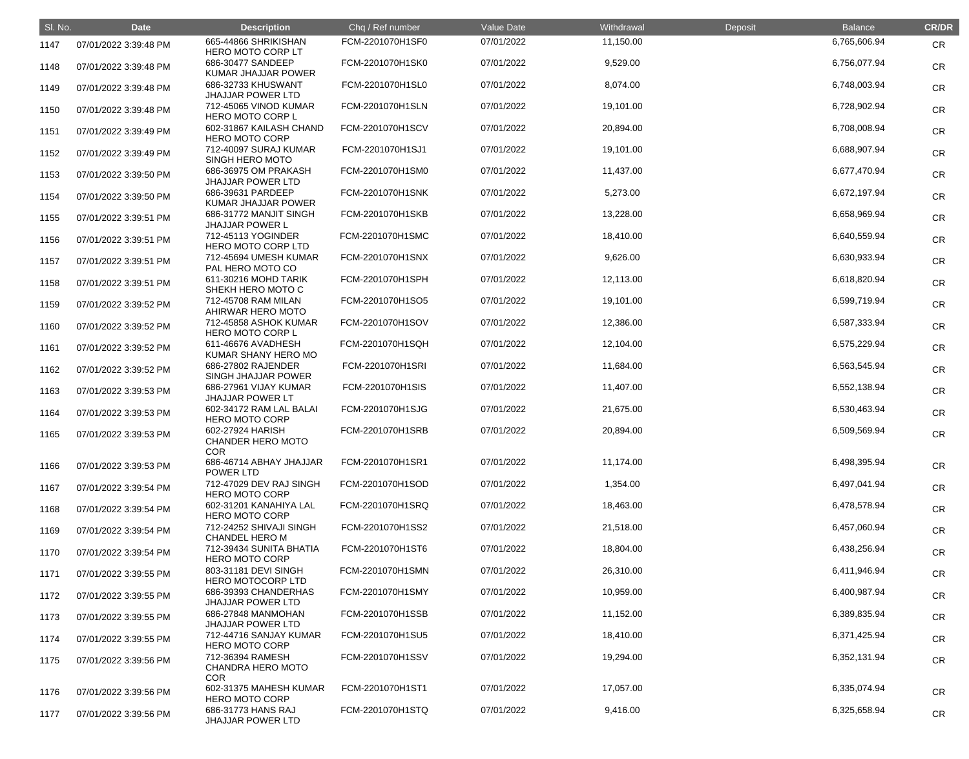| SI. No. | <b>Date</b>           | <b>Description</b>                                         | Chq / Ref number | Value Date | Withdrawal | Deposit | <b>Balance</b> | <b>CR/DR</b> |
|---------|-----------------------|------------------------------------------------------------|------------------|------------|------------|---------|----------------|--------------|
| 1147    | 07/01/2022 3:39:48 PM | 665-44866 SHRIKISHAN<br>HERO MOTO CORP LT                  | FCM-2201070H1SF0 | 07/01/2022 | 11,150.00  |         | 6,765,606.94   | <b>CR</b>    |
| 1148    | 07/01/2022 3:39:48 PM | 686-30477 SANDEEP<br>KUMAR JHAJJAR POWER                   | FCM-2201070H1SK0 | 07/01/2022 | 9,529.00   |         | 6,756,077.94   | <b>CR</b>    |
| 1149    | 07/01/2022 3:39:48 PM | 686-32733 KHUSWANT<br><b>JHAJJAR POWER LTD</b>             | FCM-2201070H1SL0 | 07/01/2022 | 8,074.00   |         | 6,748,003.94   | <b>CR</b>    |
| 1150    | 07/01/2022 3:39:48 PM | 712-45065 VINOD KUMAR<br><b>HERO MOTO CORP L</b>           | FCM-2201070H1SLN | 07/01/2022 | 19,101.00  |         | 6,728,902.94   | <b>CR</b>    |
| 1151    | 07/01/2022 3:39:49 PM | 602-31867 KAILASH CHAND<br><b>HERO MOTO CORP</b>           | FCM-2201070H1SCV | 07/01/2022 | 20,894.00  |         | 6,708,008.94   | <b>CR</b>    |
| 1152    | 07/01/2022 3:39:49 PM | 712-40097 SURAJ KUMAR<br><b>SINGH HERO MOTO</b>            | FCM-2201070H1SJ1 | 07/01/2022 | 19,101.00  |         | 6,688,907.94   | <b>CR</b>    |
| 1153    | 07/01/2022 3:39:50 PM | 686-36975 OM PRAKASH<br><b>JHAJJAR POWER LTD</b>           | FCM-2201070H1SM0 | 07/01/2022 | 11,437.00  |         | 6,677,470.94   | <b>CR</b>    |
| 1154    | 07/01/2022 3:39:50 PM | 686-39631 PARDEEP<br>KUMAR JHAJJAR POWER                   | FCM-2201070H1SNK | 07/01/2022 | 5,273.00   |         | 6,672,197.94   | <b>CR</b>    |
| 1155    | 07/01/2022 3:39:51 PM | 686-31772 MANJIT SINGH<br><b>JHAJJAR POWER L</b>           | FCM-2201070H1SKB | 07/01/2022 | 13,228.00  |         | 6,658,969.94   | <b>CR</b>    |
| 1156    | 07/01/2022 3:39:51 PM | 712-45113 YOGINDER<br>HERO MOTO CORP LTD                   | FCM-2201070H1SMC | 07/01/2022 | 18,410.00  |         | 6,640,559.94   | <b>CR</b>    |
| 1157    | 07/01/2022 3:39:51 PM | 712-45694 UMESH KUMAR<br>PAL HERO MOTO CO                  | FCM-2201070H1SNX | 07/01/2022 | 9,626.00   |         | 6,630,933.94   | <b>CR</b>    |
| 1158    | 07/01/2022 3:39:51 PM | 611-30216 MOHD TARIK<br>SHEKH HERO MOTO C                  | FCM-2201070H1SPH | 07/01/2022 | 12,113.00  |         | 6,618,820.94   | <b>CR</b>    |
| 1159    | 07/01/2022 3:39:52 PM | 712-45708 RAM MILAN<br>AHIRWAR HERO MOTO                   | FCM-2201070H1SO5 | 07/01/2022 | 19,101.00  |         | 6,599,719.94   | <b>CR</b>    |
| 1160    | 07/01/2022 3:39:52 PM | 712-45858 ASHOK KUMAR<br><b>HERO MOTO CORP L</b>           | FCM-2201070H1SOV | 07/01/2022 | 12,386.00  |         | 6,587,333.94   | <b>CR</b>    |
| 1161    | 07/01/2022 3:39:52 PM | 611-46676 AVADHESH<br>KUMAR SHANY HERO MO                  | FCM-2201070H1SQH | 07/01/2022 | 12,104.00  |         | 6,575,229.94   | <b>CR</b>    |
| 1162    | 07/01/2022 3:39:52 PM | 686-27802 RAJENDER<br>SINGH JHAJJAR POWER                  | FCM-2201070H1SRI | 07/01/2022 | 11,684.00  |         | 6,563,545.94   | <b>CR</b>    |
| 1163    | 07/01/2022 3:39:53 PM | 686-27961 VIJAY KUMAR<br><b>JHAJJAR POWER LT</b>           | FCM-2201070H1SIS | 07/01/2022 | 11,407.00  |         | 6,552,138.94   | <b>CR</b>    |
| 1164    | 07/01/2022 3:39:53 PM | 602-34172 RAM LAL BALAI<br><b>HERO MOTO CORP</b>           | FCM-2201070H1SJG | 07/01/2022 | 21,675.00  |         | 6,530,463.94   | <b>CR</b>    |
| 1165    | 07/01/2022 3:39:53 PM | 602-27924 HARISH<br><b>CHANDER HERO MOTO</b><br><b>COR</b> | FCM-2201070H1SRB | 07/01/2022 | 20,894.00  |         | 6,509,569.94   | <b>CR</b>    |
| 1166    | 07/01/2022 3:39:53 PM | 686-46714 ABHAY JHAJJAR<br>POWER LTD                       | FCM-2201070H1SR1 | 07/01/2022 | 11,174.00  |         | 6,498,395.94   | <b>CR</b>    |
| 1167    | 07/01/2022 3:39:54 PM | 712-47029 DEV RAJ SINGH<br><b>HERO MOTO CORP</b>           | FCM-2201070H1SOD | 07/01/2022 | 1,354.00   |         | 6,497,041.94   | <b>CR</b>    |
| 1168    | 07/01/2022 3:39:54 PM | 602-31201 KANAHIYA LAL<br><b>HERO MOTO CORP</b>            | FCM-2201070H1SRQ | 07/01/2022 | 18,463.00  |         | 6,478,578.94   | <b>CR</b>    |
| 1169    | 07/01/2022 3:39:54 PM | 712-24252 SHIVAJI SINGH<br><b>CHANDEL HERO M</b>           | FCM-2201070H1SS2 | 07/01/2022 | 21,518.00  |         | 6,457,060.94   | <b>CR</b>    |
| 1170    | 07/01/2022 3:39:54 PM | 712-39434 SUNITA BHATIA<br><b>HERO MOTO CORP</b>           | FCM-2201070H1ST6 | 07/01/2022 | 18,804.00  |         | 6,438,256.94   | <b>CR</b>    |
| 1171    | 07/01/2022 3:39:55 PM | 803-31181 DEVI SINGH<br><b>HERO MOTOCORP LTD</b>           | FCM-2201070H1SMN | 07/01/2022 | 26,310.00  |         | 6,411,946.94   | <b>CR</b>    |
| 1172    | 07/01/2022 3:39:55 PM | 686-39393 CHANDERHAS<br><b>JHAJJAR POWER LTD</b>           | FCM-2201070H1SMY | 07/01/2022 | 10,959.00  |         | 6,400,987.94   | <b>CR</b>    |
| 1173    | 07/01/2022 3:39:55 PM | 686-27848 MANMOHAN<br><b>JHAJJAR POWER LTD</b>             | FCM-2201070H1SSB | 07/01/2022 | 11,152.00  |         | 6,389,835.94   | <b>CR</b>    |
| 1174    | 07/01/2022 3:39:55 PM | 712-44716 SANJAY KUMAR<br><b>HERO MOTO CORP</b>            | FCM-2201070H1SU5 | 07/01/2022 | 18,410.00  |         | 6,371,425.94   | <b>CR</b>    |
| 1175    | 07/01/2022 3:39:56 PM | 712-36394 RAMESH<br>CHANDRA HERO MOTO<br><b>COR</b>        | FCM-2201070H1SSV | 07/01/2022 | 19,294.00  |         | 6,352,131.94   | <b>CR</b>    |
| 1176    | 07/01/2022 3:39:56 PM | 602-31375 MAHESH KUMAR<br><b>HERO MOTO CORP</b>            | FCM-2201070H1ST1 | 07/01/2022 | 17,057.00  |         | 6,335,074.94   | <b>CR</b>    |
| 1177    | 07/01/2022 3:39:56 PM | 686-31773 HANS RAJ<br><b>JHAJJAR POWER LTD</b>             | FCM-2201070H1STQ | 07/01/2022 | 9,416.00   |         | 6,325,658.94   | <b>CR</b>    |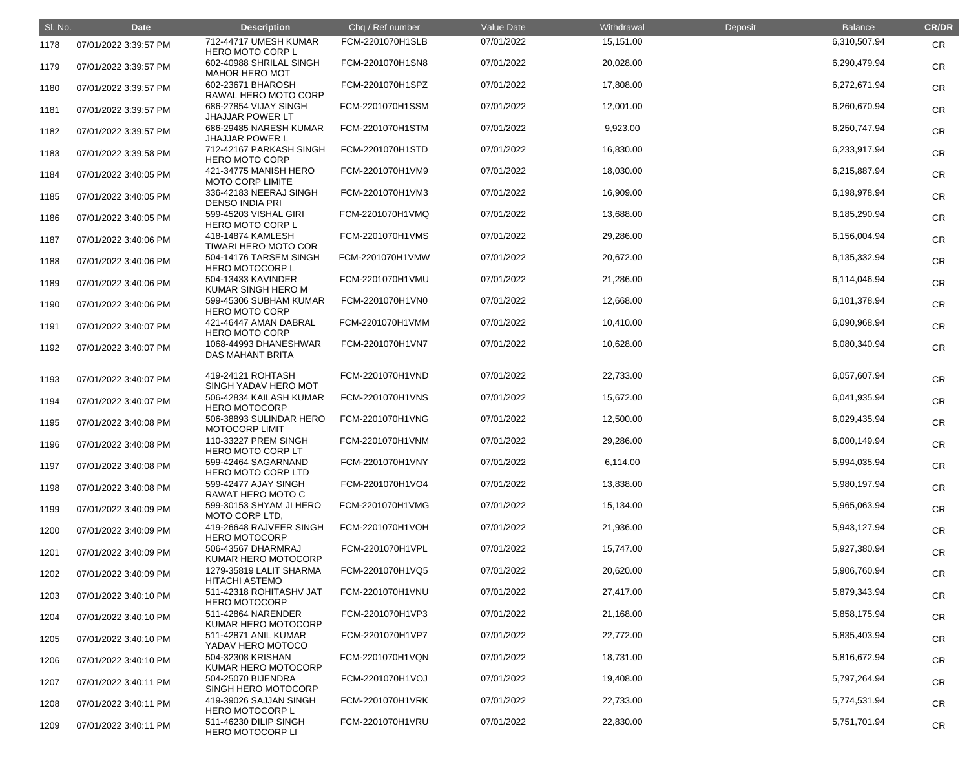| SI. No. | <b>Date</b>           | <b>Description</b>                                                  | Chq / Ref number | <b>Value Date</b> | Withdrawal | Deposit | <b>Balance</b> | <b>CR/DR</b> |
|---------|-----------------------|---------------------------------------------------------------------|------------------|-------------------|------------|---------|----------------|--------------|
| 1178    | 07/01/2022 3:39:57 PM | 712-44717 UMESH KUMAR<br><b>HERO MOTO CORP L</b>                    | FCM-2201070H1SLB | 07/01/2022        | 15,151.00  |         | 6,310,507.94   | <b>CR</b>    |
| 1179    | 07/01/2022 3:39:57 PM | 602-40988 SHRILAL SINGH<br><b>MAHOR HERO MOT</b>                    | FCM-2201070H1SN8 | 07/01/2022        | 20,028.00  |         | 6,290,479.94   | <b>CR</b>    |
| 1180    | 07/01/2022 3:39:57 PM | 602-23671 BHAROSH<br>RAWAL HERO MOTO CORP                           | FCM-2201070H1SPZ | 07/01/2022        | 17,808.00  |         | 6,272,671.94   | <b>CR</b>    |
| 1181    | 07/01/2022 3:39:57 PM | 686-27854 VIJAY SINGH<br><b>JHAJJAR POWER LT</b>                    | FCM-2201070H1SSM | 07/01/2022        | 12,001.00  |         | 6,260,670.94   | <b>CR</b>    |
| 1182    | 07/01/2022 3:39:57 PM | 686-29485 NARESH KUMAR<br><b>JHAJJAR POWER L</b>                    | FCM-2201070H1STM | 07/01/2022        | 9,923.00   |         | 6,250,747.94   | <b>CR</b>    |
| 1183    | 07/01/2022 3:39:58 PM | 712-42167 PARKASH SINGH<br><b>HERO MOTO CORP</b>                    | FCM-2201070H1STD | 07/01/2022        | 16,830.00  |         | 6,233,917.94   | <b>CR</b>    |
| 1184    | 07/01/2022 3:40:05 PM | 421-34775 MANISH HERO<br><b>MOTO CORP LIMITE</b>                    | FCM-2201070H1VM9 | 07/01/2022        | 18,030.00  |         | 6,215,887.94   | <b>CR</b>    |
| 1185    | 07/01/2022 3:40:05 PM | 336-42183 NEERAJ SINGH<br><b>DENSO INDIA PRI</b>                    | FCM-2201070H1VM3 | 07/01/2022        | 16,909.00  |         | 6,198,978.94   | <b>CR</b>    |
| 1186    | 07/01/2022 3:40:05 PM | 599-45203 VISHAL GIRI<br><b>HERO MOTO CORP L</b>                    | FCM-2201070H1VMQ | 07/01/2022        | 13,688.00  |         | 6,185,290.94   | <b>CR</b>    |
| 1187    | 07/01/2022 3:40:06 PM | 418-14874 KAMLESH<br><b>TIWARI HERO MOTO COR</b>                    | FCM-2201070H1VMS | 07/01/2022        | 29,286.00  |         | 6,156,004.94   | <b>CR</b>    |
| 1188    | 07/01/2022 3:40:06 PM | 504-14176 TARSEM SINGH<br><b>HERO MOTOCORP L</b>                    | FCM-2201070H1VMW | 07/01/2022        | 20,672.00  |         | 6,135,332.94   | <b>CR</b>    |
| 1189    | 07/01/2022 3:40:06 PM | 504-13433 KAVINDER<br>KUMAR SINGH HERO M                            | FCM-2201070H1VMU | 07/01/2022        | 21,286.00  |         | 6,114,046.94   | <b>CR</b>    |
| 1190    | 07/01/2022 3:40:06 PM | 599-45306 SUBHAM KUMAR<br><b>HERO MOTO CORP</b>                     | FCM-2201070H1VN0 | 07/01/2022        | 12,668.00  |         | 6,101,378.94   | <b>CR</b>    |
| 1191    | 07/01/2022 3:40:07 PM | 421-46447 AMAN DABRAL<br><b>HERO MOTO CORP</b>                      | FCM-2201070H1VMM | 07/01/2022        | 10,410.00  |         | 6,090,968.94   | <b>CR</b>    |
| 1192    | 07/01/2022 3:40:07 PM | 1068-44993 DHANESHWAR<br><b>DAS MAHANT BRITA</b>                    | FCM-2201070H1VN7 | 07/01/2022        | 10,628.00  |         | 6,080,340.94   | <b>CR</b>    |
| 1193    | 07/01/2022 3:40:07 PM | 419-24121 ROHTASH<br>SINGH YADAV HERO MOT                           | FCM-2201070H1VND | 07/01/2022        | 22,733.00  |         | 6,057,607.94   | <b>CR</b>    |
| 1194    | 07/01/2022 3:40:07 PM | 506-42834 KAILASH KUMAR<br><b>HERO MOTOCORP</b>                     | FCM-2201070H1VNS | 07/01/2022        | 15,672.00  |         | 6,041,935.94   | <b>CR</b>    |
| 1195    | 07/01/2022 3:40:08 PM | 506-38893 SULINDAR HERO<br><b>MOTOCORP LIMIT</b>                    | FCM-2201070H1VNG | 07/01/2022        | 12,500.00  |         | 6,029,435.94   | <b>CR</b>    |
| 1196    | 07/01/2022 3:40:08 PM | 110-33227 PREM SINGH<br>HERO MOTO CORP LT                           | FCM-2201070H1VNM | 07/01/2022        | 29,286.00  |         | 6,000,149.94   | <b>CR</b>    |
| 1197    | 07/01/2022 3:40:08 PM | 599-42464 SAGARNAND<br>HERO MOTO CORP LTD                           | FCM-2201070H1VNY | 07/01/2022        | 6,114.00   |         | 5,994,035.94   | <b>CR</b>    |
| 1198    | 07/01/2022 3:40:08 PM | 599-42477 AJAY SINGH<br>RAWAT HERO MOTO C                           | FCM-2201070H1VO4 | 07/01/2022        | 13,838.00  |         | 5,980,197.94   | <b>CR</b>    |
| 1199    | 07/01/2022 3:40:09 PM | 599-30153 SHYAM JI HERO<br>MOTO CORP LTD,                           | FCM-2201070H1VMG | 07/01/2022        | 15,134.00  |         | 5,965,063.94   | <b>CR</b>    |
| 1200    | 07/01/2022 3:40:09 PM | 419-26648 RAJVEER SINGH<br><b>HERO MOTOCORP</b>                     | FCM-2201070H1VOH | 07/01/2022        | 21,936.00  |         | 5,943,127.94   | <b>CR</b>    |
| 1201    | 07/01/2022 3:40:09 PM | 506-43567 DHARMRAJ<br>KUMAR HERO MOTOCORP                           | FCM-2201070H1VPL | 07/01/2022        | 15,747.00  |         | 5,927,380.94   | <b>CR</b>    |
| 1202    | 07/01/2022 3:40:09 PM | 1279-35819 LALIT SHARMA<br><b>HITACHI ASTEMO</b>                    | FCM-2201070H1VQ5 | 07/01/2022        | 20,620.00  |         | 5,906,760.94   | <b>CR</b>    |
| 1203    | 07/01/2022 3:40:10 PM | 511-42318 ROHITASHV JAT<br><b>HERO MOTOCORP</b>                     | FCM-2201070H1VNU | 07/01/2022        | 27,417.00  |         | 5,879,343.94   | <b>CR</b>    |
| 1204    | 07/01/2022 3:40:10 PM | 511-42864 NARENDER<br>KUMAR HERO MOTOCORP                           | FCM-2201070H1VP3 | 07/01/2022        | 21,168.00  |         | 5,858,175.94   | <b>CR</b>    |
| 1205    | 07/01/2022 3:40:10 PM | 511-42871 ANIL KUMAR<br>YADAV HERO MOTOCO                           | FCM-2201070H1VP7 | 07/01/2022        | 22,772.00  |         | 5,835,403.94   | <b>CR</b>    |
| 1206    | 07/01/2022 3:40:10 PM | 504-32308 KRISHAN                                                   | FCM-2201070H1VQN | 07/01/2022        | 18,731.00  |         | 5,816,672.94   | <b>CR</b>    |
| 1207    | 07/01/2022 3:40:11 PM | KUMAR HERO MOTOCORP<br>504-25070 BIJENDRA                           | FCM-2201070H1VOJ | 07/01/2022        | 19,408.00  |         | 5,797,264.94   | <b>CR</b>    |
| 1208    | 07/01/2022 3:40:11 PM | SINGH HERO MOTOCORP<br>419-39026 SAJJAN SINGH                       | FCM-2201070H1VRK | 07/01/2022        | 22,733.00  |         | 5,774,531.94   | <b>CR</b>    |
| 1209    | 07/01/2022 3:40:11 PM | <b>HERO MOTOCORP L</b><br>511-46230 DILIP SINGH<br>HERO MOTOCORP LI | FCM-2201070H1VRU | 07/01/2022        | 22,830.00  |         | 5,751,701.94   | <b>CR</b>    |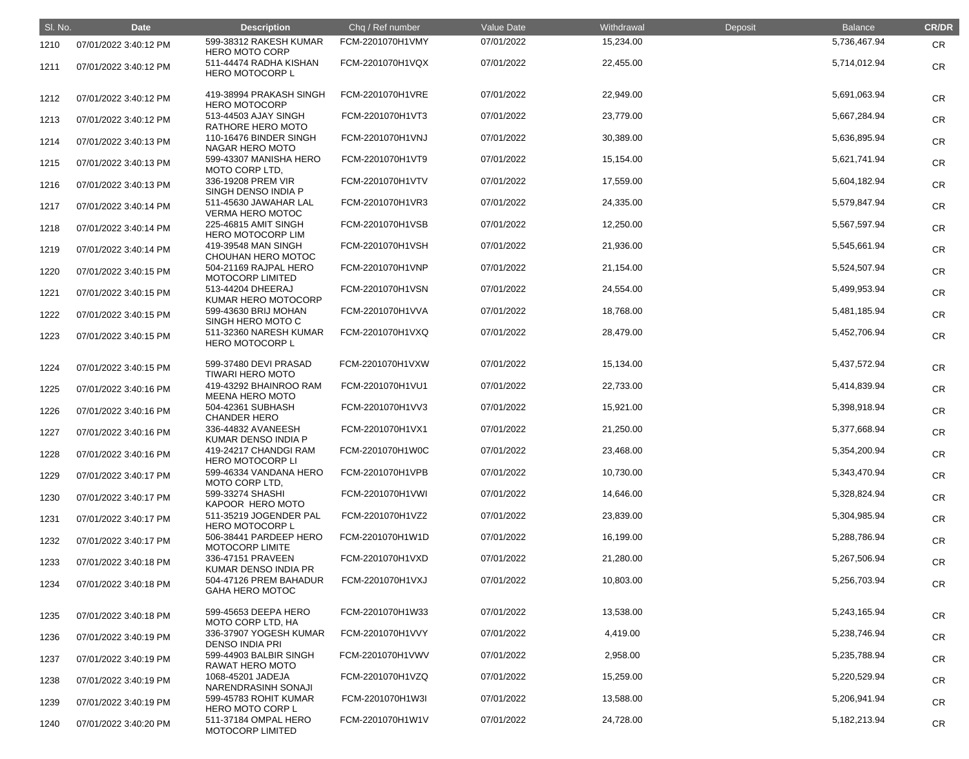| SI. No. | <b>Date</b>           | <b>Description</b>                               | Chq / Ref number | Value Date | Withdrawal | Deposit | <b>Balance</b> | <b>CR/DR</b> |
|---------|-----------------------|--------------------------------------------------|------------------|------------|------------|---------|----------------|--------------|
| 1210    | 07/01/2022 3:40:12 PM | 599-38312 RAKESH KUMAR<br><b>HERO MOTO CORP</b>  | FCM-2201070H1VMY | 07/01/2022 | 15,234.00  |         | 5,736,467.94   | <b>CR</b>    |
| 1211    | 07/01/2022 3:40:12 PM | 511-44474 RADHA KISHAN<br><b>HERO MOTOCORP L</b> | FCM-2201070H1VQX | 07/01/2022 | 22,455.00  |         | 5,714,012.94   | <b>CR</b>    |
| 1212    | 07/01/2022 3:40:12 PM | 419-38994 PRAKASH SINGH<br><b>HERO MOTOCORP</b>  | FCM-2201070H1VRE | 07/01/2022 | 22,949.00  |         | 5,691,063.94   | <b>CR</b>    |
| 1213    | 07/01/2022 3:40:12 PM | 513-44503 AJAY SINGH<br>RATHORE HERO MOTO        | FCM-2201070H1VT3 | 07/01/2022 | 23,779.00  |         | 5,667,284.94   | <b>CR</b>    |
| 1214    | 07/01/2022 3:40:13 PM | 110-16476 BINDER SINGH<br><b>NAGAR HERO MOTO</b> | FCM-2201070H1VNJ | 07/01/2022 | 30,389.00  |         | 5,636,895.94   | <b>CR</b>    |
| 1215    | 07/01/2022 3:40:13 PM | 599-43307 MANISHA HERO<br>MOTO CORP LTD,         | FCM-2201070H1VT9 | 07/01/2022 | 15,154.00  |         | 5,621,741.94   | <b>CR</b>    |
| 1216    | 07/01/2022 3:40:13 PM | 336-19208 PREM VIR<br>SINGH DENSO INDIA P        | FCM-2201070H1VTV | 07/01/2022 | 17,559.00  |         | 5,604,182.94   | <b>CR</b>    |
| 1217    | 07/01/2022 3:40:14 PM | 511-45630 JAWAHAR LAL<br><b>VERMA HERO MOTOC</b> | FCM-2201070H1VR3 | 07/01/2022 | 24,335.00  |         | 5,579,847.94   | <b>CR</b>    |
| 1218    | 07/01/2022 3:40:14 PM | 225-46815 AMIT SINGH<br><b>HERO MOTOCORP LIM</b> | FCM-2201070H1VSB | 07/01/2022 | 12,250.00  |         | 5,567,597.94   | <b>CR</b>    |
| 1219    | 07/01/2022 3:40:14 PM | 419-39548 MAN SINGH<br>CHOUHAN HERO MOTOC        | FCM-2201070H1VSH | 07/01/2022 | 21,936.00  |         | 5,545,661.94   | <b>CR</b>    |
| 1220    | 07/01/2022 3:40:15 PM | 504-21169 RAJPAL HERO<br><b>MOTOCORP LIMITED</b> | FCM-2201070H1VNP | 07/01/2022 | 21,154.00  |         | 5,524,507.94   | <b>CR</b>    |
| 1221    | 07/01/2022 3:40:15 PM | 513-44204 DHEERAJ<br>KUMAR HERO MOTOCORP         | FCM-2201070H1VSN | 07/01/2022 | 24,554.00  |         | 5,499,953.94   | <b>CR</b>    |
| 1222    | 07/01/2022 3:40:15 PM | 599-43630 BRIJ MOHAN<br>SINGH HERO MOTO C        | FCM-2201070H1VVA | 07/01/2022 | 18,768.00  |         | 5,481,185.94   | <b>CR</b>    |
| 1223    | 07/01/2022 3:40:15 PM | 511-32360 NARESH KUMAR<br><b>HERO MOTOCORP L</b> | FCM-2201070H1VXQ | 07/01/2022 | 28,479.00  |         | 5,452,706.94   | <b>CR</b>    |
| 1224    | 07/01/2022 3:40:15 PM | 599-37480 DEVI PRASAD<br><b>TIWARI HERO MOTO</b> | FCM-2201070H1VXW | 07/01/2022 | 15,134.00  |         | 5,437,572.94   | <b>CR</b>    |
| 1225    | 07/01/2022 3:40:16 PM | 419-43292 BHAINROO RAM<br><b>MEENA HERO MOTO</b> | FCM-2201070H1VU1 | 07/01/2022 | 22,733.00  |         | 5,414,839.94   | <b>CR</b>    |
| 1226    | 07/01/2022 3:40:16 PM | 504-42361 SUBHASH<br><b>CHANDER HERO</b>         | FCM-2201070H1VV3 | 07/01/2022 | 15,921.00  |         | 5,398,918.94   | <b>CR</b>    |
| 1227    | 07/01/2022 3:40:16 PM | 336-44832 AVANEESH<br>KUMAR DENSO INDIA P        | FCM-2201070H1VX1 | 07/01/2022 | 21,250.00  |         | 5,377,668.94   | <b>CR</b>    |
| 1228    | 07/01/2022 3:40:16 PM | 419-24217 CHANDGI RAM<br><b>HERO MOTOCORP LI</b> | FCM-2201070H1W0C | 07/01/2022 | 23,468.00  |         | 5,354,200.94   | <b>CR</b>    |
| 1229    | 07/01/2022 3:40:17 PM | 599-46334 VANDANA HERO<br>MOTO CORP LTD,         | FCM-2201070H1VPB | 07/01/2022 | 10,730.00  |         | 5,343,470.94   | <b>CR</b>    |
| 1230    | 07/01/2022 3:40:17 PM | 599-33274 SHASHI<br>KAPOOR HERO MOTO             | FCM-2201070H1VWI | 07/01/2022 | 14,646.00  |         | 5,328,824.94   | <b>CR</b>    |
| 1231    | 07/01/2022 3:40:17 PM | 511-35219 JOGENDER PAL<br><b>HERO MOTOCORP L</b> | FCM-2201070H1VZ2 | 07/01/2022 | 23,839.00  |         | 5,304,985.94   | <b>CR</b>    |
| 1232    | 07/01/2022 3:40:17 PM | 506-38441 PARDEEP HERO<br>MOTOCORP LIMITE        | FCM-2201070H1W1D | 07/01/2022 | 16,199.00  |         | 5,288,786.94   | <b>CR</b>    |
| 1233    | 07/01/2022 3:40:18 PM | 336-47151 PRAVEEN<br>KUMAR DENSO INDIA PR        | FCM-2201070H1VXD | 07/01/2022 | 21,280.00  |         | 5,267,506.94   | <b>CR</b>    |
| 1234    | 07/01/2022 3:40:18 PM | 504-47126 PREM BAHADUR<br><b>GAHA HERO MOTOC</b> | FCM-2201070H1VXJ | 07/01/2022 | 10,803.00  |         | 5,256,703.94   | <b>CR</b>    |
| 1235    | 07/01/2022 3:40:18 PM | 599-45653 DEEPA HERO<br>MOTO CORP LTD, HA        | FCM-2201070H1W33 | 07/01/2022 | 13,538.00  |         | 5,243,165.94   | <b>CR</b>    |
| 1236    | 07/01/2022 3:40:19 PM | 336-37907 YOGESH KUMAR<br>DENSO INDIA PRI        | FCM-2201070H1VVY | 07/01/2022 | 4,419.00   |         | 5,238,746.94   | <b>CR</b>    |
| 1237    | 07/01/2022 3:40:19 PM | 599-44903 BALBIR SINGH<br><b>RAWAT HERO MOTO</b> | FCM-2201070H1VWV | 07/01/2022 | 2,958.00   |         | 5,235,788.94   | <b>CR</b>    |
| 1238    | 07/01/2022 3:40:19 PM | 1068-45201 JADEJA<br>NARENDRASINH SONAJI         | FCM-2201070H1VZQ | 07/01/2022 | 15,259.00  |         | 5,220,529.94   | <b>CR</b>    |
| 1239    | 07/01/2022 3:40:19 PM | 599-45783 ROHIT KUMAR<br><b>HERO MOTO CORP L</b> | FCM-2201070H1W3I | 07/01/2022 | 13,588.00  |         | 5,206,941.94   | <b>CR</b>    |
| 1240    | 07/01/2022 3:40:20 PM | 511-37184 OMPAL HERO<br><b>MOTOCORP LIMITED</b>  | FCM-2201070H1W1V | 07/01/2022 | 24,728.00  |         | 5,182,213.94   | <b>CR</b>    |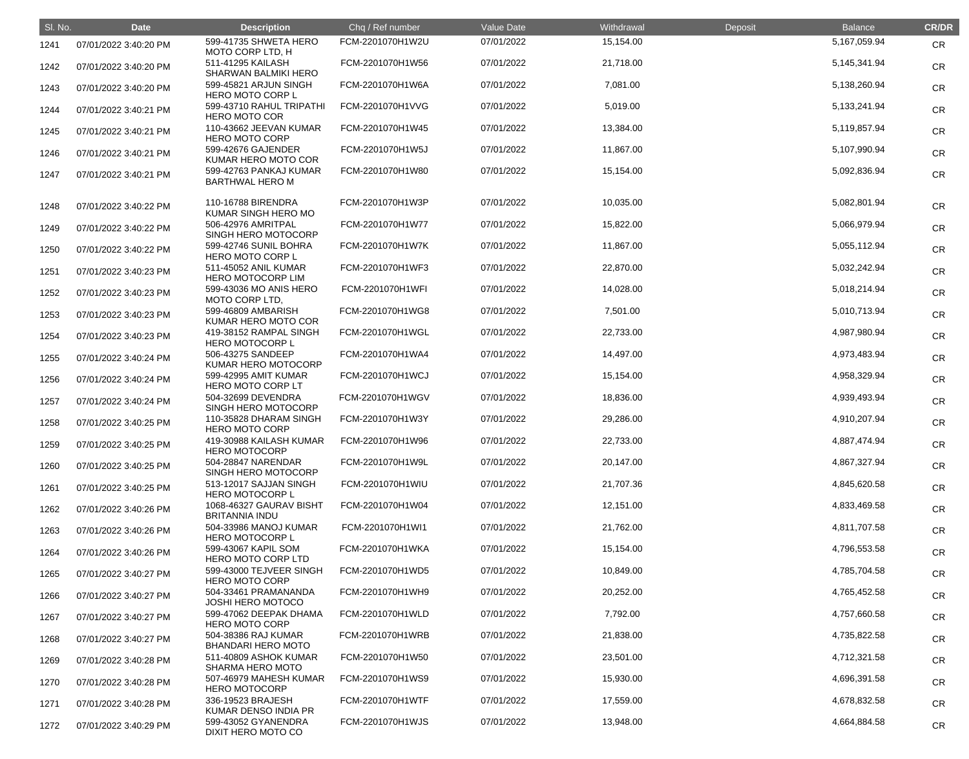| SI. No. | <b>Date</b>           | <b>Description</b>                               | Chq / Ref number | Value Date | Withdrawal | Deposit | <b>Balance</b>  | <b>CR/DR</b> |
|---------|-----------------------|--------------------------------------------------|------------------|------------|------------|---------|-----------------|--------------|
| 1241    | 07/01/2022 3:40:20 PM | 599-41735 SHWETA HERO<br>MOTO CORP LTD, H        | FCM-2201070H1W2U | 07/01/2022 | 15,154.00  |         | 5,167,059.94    | <b>CR</b>    |
| 1242    | 07/01/2022 3:40:20 PM | 511-41295 KAILASH<br><b>SHARWAN BALMIKI HERO</b> | FCM-2201070H1W56 | 07/01/2022 | 21,718.00  |         | 5,145,341.94    | <b>CR</b>    |
| 1243    | 07/01/2022 3:40:20 PM | 599-45821 ARJUN SINGH<br><b>HERO MOTO CORP L</b> | FCM-2201070H1W6A | 07/01/2022 | 7,081.00   |         | 5,138,260.94    | <b>CR</b>    |
| 1244    | 07/01/2022 3:40:21 PM | 599-43710 RAHUL TRIPATHI<br><b>HERO MOTO COR</b> | FCM-2201070H1VVG | 07/01/2022 | 5,019.00   |         | 5, 133, 241. 94 | <b>CR</b>    |
| 1245    | 07/01/2022 3:40:21 PM | 110-43662 JEEVAN KUMAR<br><b>HERO MOTO CORP</b>  | FCM-2201070H1W45 | 07/01/2022 | 13,384.00  |         | 5,119,857.94    | <b>CR</b>    |
| 1246    | 07/01/2022 3:40:21 PM | 599-42676 GAJENDER<br>KUMAR HERO MOTO COR        | FCM-2201070H1W5J | 07/01/2022 | 11,867.00  |         | 5,107,990.94    | <b>CR</b>    |
| 1247    | 07/01/2022 3:40:21 PM | 599-42763 PANKAJ KUMAR<br><b>BARTHWAL HERO M</b> | FCM-2201070H1W80 | 07/01/2022 | 15,154.00  |         | 5,092,836.94    | <b>CR</b>    |
| 1248    | 07/01/2022 3:40:22 PM | 110-16788 BIRENDRA<br>KUMAR SINGH HERO MO        | FCM-2201070H1W3P | 07/01/2022 | 10,035.00  |         | 5,082,801.94    | <b>CR</b>    |
| 1249    | 07/01/2022 3:40:22 PM | 506-42976 AMRITPAL<br>SINGH HERO MOTOCORP        | FCM-2201070H1W77 | 07/01/2022 | 15,822.00  |         | 5,066,979.94    | <b>CR</b>    |
| 1250    | 07/01/2022 3:40:22 PM | 599-42746 SUNIL BOHRA<br><b>HERO MOTO CORP L</b> | FCM-2201070H1W7K | 07/01/2022 | 11,867.00  |         | 5,055,112.94    | <b>CR</b>    |
| 1251    | 07/01/2022 3:40:23 PM | 511-45052 ANIL KUMAR<br><b>HERO MOTOCORP LIM</b> | FCM-2201070H1WF3 | 07/01/2022 | 22,870.00  |         | 5,032,242.94    | <b>CR</b>    |
| 1252    | 07/01/2022 3:40:23 PM | 599-43036 MO ANIS HERO<br>MOTO CORP LTD,         | FCM-2201070H1WFI | 07/01/2022 | 14,028.00  |         | 5,018,214.94    | <b>CR</b>    |
| 1253    | 07/01/2022 3:40:23 PM | 599-46809 AMBARISH<br>KUMAR HERO MOTO COR        | FCM-2201070H1WG8 | 07/01/2022 | 7,501.00   |         | 5,010,713.94    | <b>CR</b>    |
| 1254    | 07/01/2022 3:40:23 PM | 419-38152 RAMPAL SINGH<br><b>HERO MOTOCORP L</b> | FCM-2201070H1WGL | 07/01/2022 | 22,733.00  |         | 4,987,980.94    | <b>CR</b>    |
| 1255    | 07/01/2022 3:40:24 PM | 506-43275 SANDEEP<br>KUMAR HERO MOTOCORP         | FCM-2201070H1WA4 | 07/01/2022 | 14,497.00  |         | 4,973,483.94    | <b>CR</b>    |
| 1256    | 07/01/2022 3:40:24 PM | 599-42995 AMIT KUMAR<br>HERO MOTO CORP LT        | FCM-2201070H1WCJ | 07/01/2022 | 15,154.00  |         | 4,958,329.94    | <b>CR</b>    |
| 1257    | 07/01/2022 3:40:24 PM | 504-32699 DEVENDRA<br>SINGH HERO MOTOCORP        | FCM-2201070H1WGV | 07/01/2022 | 18,836.00  |         | 4,939,493.94    | <b>CR</b>    |
| 1258    | 07/01/2022 3:40:25 PM | 110-35828 DHARAM SINGH<br><b>HERO MOTO CORP</b>  | FCM-2201070H1W3Y | 07/01/2022 | 29,286.00  |         | 4,910,207.94    | <b>CR</b>    |
| 1259    | 07/01/2022 3:40:25 PM | 419-30988 KAILASH KUMAR<br><b>HERO MOTOCORP</b>  | FCM-2201070H1W96 | 07/01/2022 | 22,733.00  |         | 4,887,474.94    | <b>CR</b>    |
| 1260    | 07/01/2022 3:40:25 PM | 504-28847 NARENDAR<br>SINGH HERO MOTOCORP        | FCM-2201070H1W9L | 07/01/2022 | 20,147.00  |         | 4,867,327.94    | <b>CR</b>    |
| 1261    | 07/01/2022 3:40:25 PM | 513-12017 SAJJAN SINGH<br><b>HERO MOTOCORP L</b> | FCM-2201070H1WIU | 07/01/2022 | 21,707.36  |         | 4,845,620.58    | <b>CR</b>    |
| 1262    | 07/01/2022 3:40:26 PM | 1068-46327 GAURAV BISHT<br><b>BRITANNIA INDU</b> | FCM-2201070H1W04 | 07/01/2022 | 12,151.00  |         | 4,833,469.58    | <b>CR</b>    |
| 1263    | 07/01/2022 3:40:26 PM | 504-33986 MANOJ KUMAR<br><b>HERO MOTOCORP L</b>  | FCM-2201070H1WI1 | 07/01/2022 | 21,762.00  |         | 4,811,707.58    | <b>CR</b>    |
| 1264    | 07/01/2022 3:40:26 PM | 599-43067 KAPIL SOM<br><b>HERO MOTO CORP LTD</b> | FCM-2201070H1WKA | 07/01/2022 | 15,154.00  |         | 4,796,553.58    | <b>CR</b>    |
| 1265    | 07/01/2022 3:40:27 PM | 599-43000 TEJVEER SINGH<br><b>HERO MOTO CORP</b> | FCM-2201070H1WD5 | 07/01/2022 | 10,849.00  |         | 4,785,704.58    | <b>CR</b>    |
| 1266    | 07/01/2022 3:40:27 PM | 504-33461 PRAMANANDA<br><b>JOSHI HERO MOTOCO</b> | FCM-2201070H1WH9 | 07/01/2022 | 20,252.00  |         | 4,765,452.58    | <b>CR</b>    |
| 1267    | 07/01/2022 3:40:27 PM | 599-47062 DEEPAK DHAMA<br><b>HERO MOTO CORP</b>  | FCM-2201070H1WLD | 07/01/2022 | 7,792.00   |         | 4,757,660.58    | <b>CR</b>    |
| 1268    | 07/01/2022 3:40:27 PM | 504-38386 RAJ KUMAR<br><b>BHANDARI HERO MOTO</b> | FCM-2201070H1WRB | 07/01/2022 | 21,838.00  |         | 4,735,822.58    | <b>CR</b>    |
| 1269    | 07/01/2022 3:40:28 PM | 511-40809 ASHOK KUMAR<br>SHARMA HERO MOTO        | FCM-2201070H1W50 | 07/01/2022 | 23,501.00  |         | 4,712,321.58    | <b>CR</b>    |
| 1270    | 07/01/2022 3:40:28 PM | 507-46979 MAHESH KUMAR<br><b>HERO MOTOCORP</b>   | FCM-2201070H1WS9 | 07/01/2022 | 15,930.00  |         | 4,696,391.58    | <b>CR</b>    |
| 1271    | 07/01/2022 3:40:28 PM | 336-19523 BRAJESH<br>KUMAR DENSO INDIA PR        | FCM-2201070H1WTF | 07/01/2022 | 17,559.00  |         | 4,678,832.58    | <b>CR</b>    |
| 1272    | 07/01/2022 3:40:29 PM | 599-43052 GYANENDRA<br>DIXIT HERO MOTO CO        | FCM-2201070H1WJS | 07/01/2022 | 13,948.00  |         | 4,664,884.58    | <b>CR</b>    |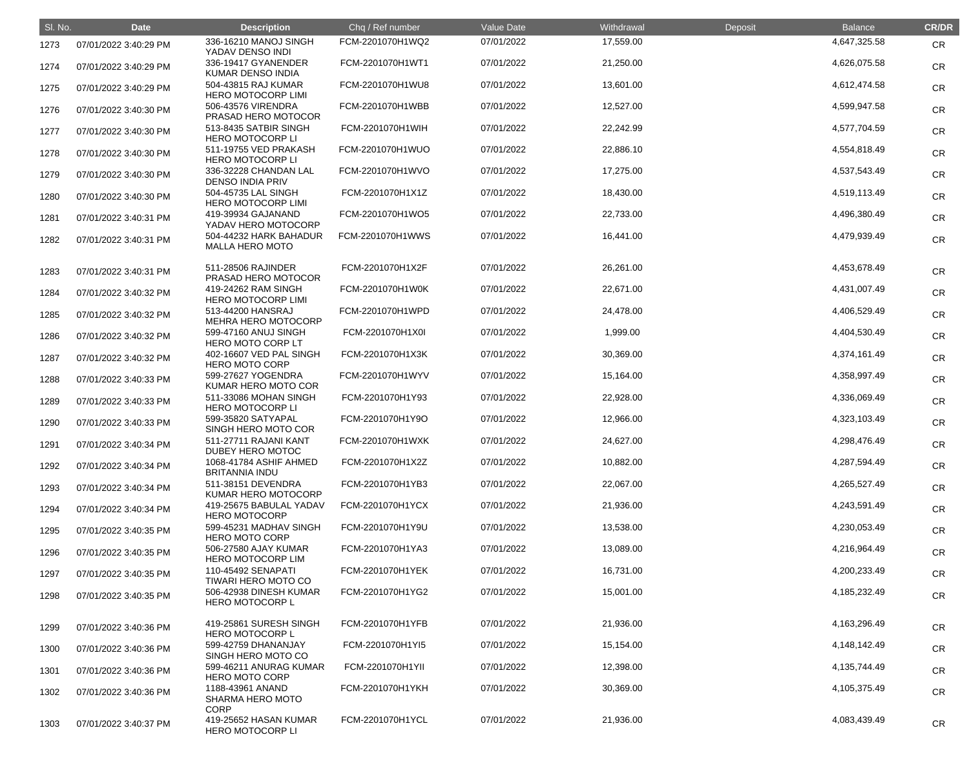| SI. No. | <b>Date</b>           | <b>Description</b>                                         | Chq / Ref number | <b>Value Date</b> | Withdrawal | Deposit | <b>Balance</b>  | <b>CR/DR</b> |
|---------|-----------------------|------------------------------------------------------------|------------------|-------------------|------------|---------|-----------------|--------------|
| 1273    | 07/01/2022 3:40:29 PM | 336-16210 MANOJ SINGH<br>YADAV DENSO INDI                  | FCM-2201070H1WQ2 | 07/01/2022        | 17,559.00  |         | 4,647,325.58    | <b>CR</b>    |
| 1274    | 07/01/2022 3:40:29 PM | 336-19417 GYANENDER<br><b>KUMAR DENSO INDIA</b>            | FCM-2201070H1WT1 | 07/01/2022        | 21,250.00  |         | 4,626,075.58    | <b>CR</b>    |
| 1275    | 07/01/2022 3:40:29 PM | 504-43815 RAJ KUMAR<br><b>HERO MOTOCORP LIMI</b>           | FCM-2201070H1WU8 | 07/01/2022        | 13,601.00  |         | 4,612,474.58    | <b>CR</b>    |
| 1276    | 07/01/2022 3:40:30 PM | 506-43576 VIRENDRA<br>PRASAD HERO MOTOCOR                  | FCM-2201070H1WBB | 07/01/2022        | 12,527.00  |         | 4,599,947.58    | <b>CR</b>    |
| 1277    | 07/01/2022 3:40:30 PM | 513-8435 SATBIR SINGH<br><b>HERO MOTOCORP LI</b>           | FCM-2201070H1WIH | 07/01/2022        | 22,242.99  |         | 4,577,704.59    | <b>CR</b>    |
| 1278    | 07/01/2022 3:40:30 PM | 511-19755 VED PRAKASH<br><b>HERO MOTOCORP LI</b>           | FCM-2201070H1WUO | 07/01/2022        | 22,886.10  |         | 4,554,818.49    | <b>CR</b>    |
| 1279    | 07/01/2022 3:40:30 PM | 336-32228 CHANDAN LAL<br><b>DENSO INDIA PRIV</b>           | FCM-2201070H1WVO | 07/01/2022        | 17,275.00  |         | 4,537,543.49    | <b>CR</b>    |
| 1280    | 07/01/2022 3:40:30 PM | 504-45735 LAL SINGH<br><b>HERO MOTOCORP LIMI</b>           | FCM-2201070H1X1Z | 07/01/2022        | 18,430.00  |         | 4,519,113.49    | <b>CR</b>    |
| 1281    | 07/01/2022 3:40:31 PM | 419-39934 GAJANAND<br>YADAV HERO MOTOCORP                  | FCM-2201070H1WO5 | 07/01/2022        | 22,733.00  |         | 4,496,380.49    | <b>CR</b>    |
| 1282    | 07/01/2022 3:40:31 PM | 504-44232 HARK BAHADUR<br><b>MALLA HERO MOTO</b>           | FCM-2201070H1WWS | 07/01/2022        | 16,441.00  |         | 4,479,939.49    | <b>CR</b>    |
| 1283    | 07/01/2022 3:40:31 PM | 511-28506 RAJINDER<br>PRASAD HERO MOTOCOR                  | FCM-2201070H1X2F | 07/01/2022        | 26,261.00  |         | 4,453,678.49    | <b>CR</b>    |
| 1284    | 07/01/2022 3:40:32 PM | 419-24262 RAM SINGH<br><b>HERO MOTOCORP LIMI</b>           | FCM-2201070H1W0K | 07/01/2022        | 22,671.00  |         | 4,431,007.49    | <b>CR</b>    |
| 1285    | 07/01/2022 3:40:32 PM | 513-44200 HANSRAJ<br><b>MEHRA HERO MOTOCORP</b>            | FCM-2201070H1WPD | 07/01/2022        | 24,478.00  |         | 4,406,529.49    | <b>CR</b>    |
| 1286    | 07/01/2022 3:40:32 PM | 599-47160 ANUJ SINGH<br><b>HERO MOTO CORP LT</b>           | FCM-2201070H1X0I | 07/01/2022        | 1,999.00   |         | 4,404,530.49    | <b>CR</b>    |
| 1287    | 07/01/2022 3:40:32 PM | 402-16607 VED PAL SINGH<br><b>HERO MOTO CORP</b>           | FCM-2201070H1X3K | 07/01/2022        | 30,369.00  |         | 4,374,161.49    | <b>CR</b>    |
| 1288    | 07/01/2022 3:40:33 PM | 599-27627 YOGENDRA<br>KUMAR HERO MOTO COR                  | FCM-2201070H1WYV | 07/01/2022        | 15,164.00  |         | 4,358,997.49    | <b>CR</b>    |
| 1289    | 07/01/2022 3:40:33 PM | 511-33086 MOHAN SINGH<br><b>HERO MOTOCORP LI</b>           | FCM-2201070H1Y93 | 07/01/2022        | 22,928.00  |         | 4,336,069.49    | <b>CR</b>    |
| 1290    | 07/01/2022 3:40:33 PM | 599-35820 SATYAPAL<br>SINGH HERO MOTO COR                  | FCM-2201070H1Y9O | 07/01/2022        | 12,966.00  |         | 4,323,103.49    | <b>CR</b>    |
| 1291    | 07/01/2022 3:40:34 PM | 511-27711 RAJANI KANT<br>DUBEY HERO MOTOC                  | FCM-2201070H1WXK | 07/01/2022        | 24,627.00  |         | 4,298,476.49    | <b>CR</b>    |
| 1292    | 07/01/2022 3:40:34 PM | 1068-41784 ASHIF AHMED<br><b>BRITANNIA INDU</b>            | FCM-2201070H1X2Z | 07/01/2022        | 10,882.00  |         | 4,287,594.49    | <b>CR</b>    |
| 1293    | 07/01/2022 3:40:34 PM | 511-38151 DEVENDRA<br>KUMAR HERO MOTOCORP                  | FCM-2201070H1YB3 | 07/01/2022        | 22,067.00  |         | 4,265,527.49    | <b>CR</b>    |
| 1294    | 07/01/2022 3:40:34 PM | 419-25675 BABULAL YADAV<br><b>HERO MOTOCORP</b>            | FCM-2201070H1YCX | 07/01/2022        | 21,936.00  |         | 4,243,591.49    | <b>CR</b>    |
| 1295    | 07/01/2022 3:40:35 PM | 599-45231 MADHAV SINGH<br><b>HERO MOTO CORP</b>            | FCM-2201070H1Y9U | 07/01/2022        | 13,538.00  |         | 4,230,053.49    | <b>CR</b>    |
| 1296    | 07/01/2022 3:40:35 PM | 506-27580 AJAY KUMAR<br><b>HERO MOTOCORP LIM</b>           | FCM-2201070H1YA3 | 07/01/2022        | 13,089.00  |         | 4,216,964.49    | <b>CR</b>    |
| 1297    | 07/01/2022 3:40:35 PM | 110-45492 SENAPATI<br><b>TIWARI HERO MOTO CO</b>           | FCM-2201070H1YEK | 07/01/2022        | 16,731.00  |         | 4,200,233.49    | <b>CR</b>    |
| 1298    | 07/01/2022 3:40:35 PM | 506-42938 DINESH KUMAR<br><b>HERO MOTOCORP L</b>           | FCM-2201070H1YG2 | 07/01/2022        | 15,001.00  |         | 4, 185, 232. 49 | <b>CR</b>    |
| 1299    | 07/01/2022 3:40:36 PM | 419-25861 SURESH SINGH<br><b>HERO MOTOCORP L</b>           | FCM-2201070H1YFB | 07/01/2022        | 21,936.00  |         | 4, 163, 296. 49 | <b>CR</b>    |
| 1300    | 07/01/2022 3:40:36 PM | 599-42759 DHANANJAY<br>SINGH HERO MOTO CO                  | FCM-2201070H1YI5 | 07/01/2022        | 15,154.00  |         | 4,148,142.49    | <b>CR</b>    |
| 1301    | 07/01/2022 3:40:36 PM | 599-46211 ANURAG KUMAR<br><b>HERO MOTO CORP</b>            | FCM-2201070H1YII | 07/01/2022        | 12,398.00  |         | 4, 135, 744. 49 | <b>CR</b>    |
| 1302    | 07/01/2022 3:40:36 PM | 1188-43961 ANAND<br><b>SHARMA HERO MOTO</b><br><b>CORP</b> | FCM-2201070H1YKH | 07/01/2022        | 30,369.00  |         | 4,105,375.49    | <b>CR</b>    |
| 1303    | 07/01/2022 3:40:37 PM | 419-25652 HASAN KUMAR<br><b>HERO MOTOCORP LI</b>           | FCM-2201070H1YCL | 07/01/2022        | 21,936.00  |         | 4,083,439.49    | CR           |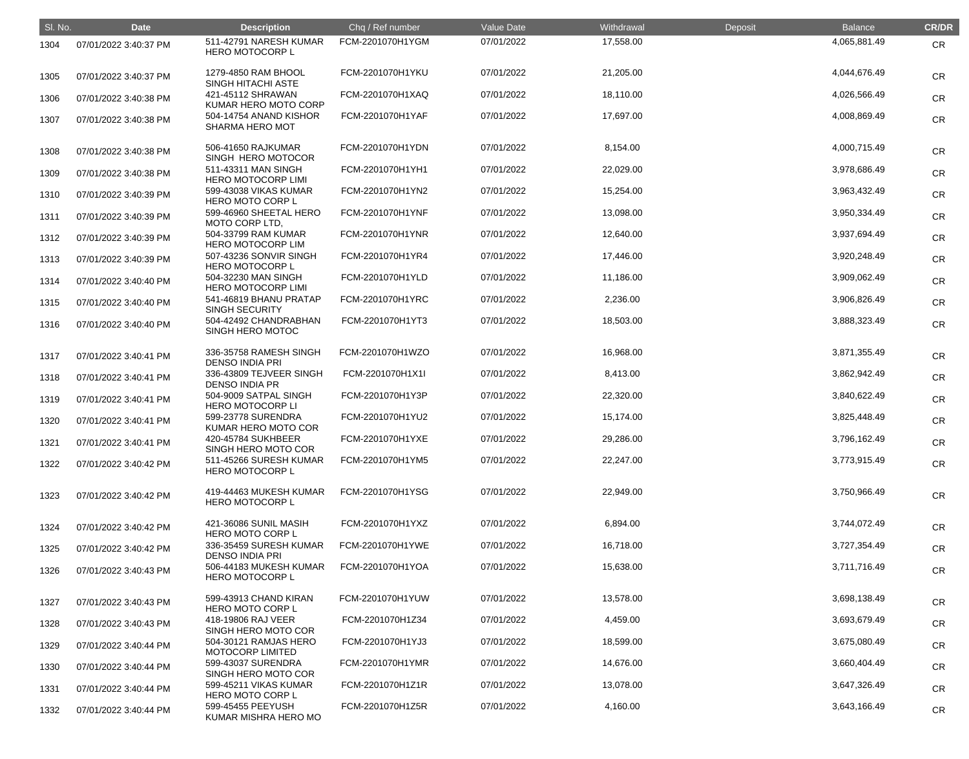| SI. No. | <b>Date</b>           | <b>Description</b>                               | Chq / Ref number | Value Date | Withdrawal | Deposit | <b>Balance</b> | <b>CR/DR</b> |
|---------|-----------------------|--------------------------------------------------|------------------|------------|------------|---------|----------------|--------------|
| 1304    | 07/01/2022 3:40:37 PM | 511-42791 NARESH KUMAR<br><b>HERO MOTOCORP L</b> | FCM-2201070H1YGM | 07/01/2022 | 17,558.00  |         | 4,065,881.49   | <b>CR</b>    |
| 1305    | 07/01/2022 3:40:37 PM | 1279-4850 RAM BHOOL<br>SINGH HITACHI ASTE        | FCM-2201070H1YKU | 07/01/2022 | 21,205.00  |         | 4,044,676.49   | <b>CR</b>    |
| 1306    | 07/01/2022 3:40:38 PM | 421-45112 SHRAWAN<br>KUMAR HERO MOTO CORP        | FCM-2201070H1XAQ | 07/01/2022 | 18,110.00  |         | 4,026,566.49   | <b>CR</b>    |
| 1307    | 07/01/2022 3:40:38 PM | 504-14754 ANAND KISHOR<br><b>SHARMA HERO MOT</b> | FCM-2201070H1YAF | 07/01/2022 | 17,697.00  |         | 4,008,869.49   | <b>CR</b>    |
| 1308    | 07/01/2022 3:40:38 PM | 506-41650 RAJKUMAR<br>SINGH HERO MOTOCOR         | FCM-2201070H1YDN | 07/01/2022 | 8,154.00   |         | 4,000,715.49   | <b>CR</b>    |
| 1309    | 07/01/2022 3:40:38 PM | 511-43311 MAN SINGH<br><b>HERO MOTOCORP LIMI</b> | FCM-2201070H1YH1 | 07/01/2022 | 22,029.00  |         | 3,978,686.49   | <b>CR</b>    |
| 1310    | 07/01/2022 3:40:39 PM | 599-43038 VIKAS KUMAR<br><b>HERO MOTO CORP L</b> | FCM-2201070H1YN2 | 07/01/2022 | 15,254.00  |         | 3,963,432.49   | <b>CR</b>    |
| 1311    | 07/01/2022 3:40:39 PM | 599-46960 SHEETAL HERO<br>MOTO CORP LTD,         | FCM-2201070H1YNF | 07/01/2022 | 13,098.00  |         | 3,950,334.49   | <b>CR</b>    |
| 1312    | 07/01/2022 3:40:39 PM | 504-33799 RAM KUMAR<br><b>HERO MOTOCORP LIM</b>  | FCM-2201070H1YNR | 07/01/2022 | 12,640.00  |         | 3,937,694.49   | <b>CR</b>    |
| 1313    | 07/01/2022 3:40:39 PM | 507-43236 SONVIR SINGH<br><b>HERO MOTOCORP L</b> | FCM-2201070H1YR4 | 07/01/2022 | 17,446.00  |         | 3,920,248.49   | <b>CR</b>    |
| 1314    | 07/01/2022 3:40:40 PM | 504-32230 MAN SINGH<br><b>HERO MOTOCORP LIMI</b> | FCM-2201070H1YLD | 07/01/2022 | 11,186.00  |         | 3,909,062.49   | <b>CR</b>    |
| 1315    | 07/01/2022 3:40:40 PM | 541-46819 BHANU PRATAP<br><b>SINGH SECURITY</b>  | FCM-2201070H1YRC | 07/01/2022 | 2,236.00   |         | 3,906,826.49   | <b>CR</b>    |
| 1316    | 07/01/2022 3:40:40 PM | 504-42492 CHANDRABHAN<br><b>SINGH HERO MOTOC</b> | FCM-2201070H1YT3 | 07/01/2022 | 18,503.00  |         | 3,888,323.49   | <b>CR</b>    |
| 1317    | 07/01/2022 3:40:41 PM | 336-35758 RAMESH SINGH<br><b>DENSO INDIA PRI</b> | FCM-2201070H1WZO | 07/01/2022 | 16,968.00  |         | 3,871,355.49   | <b>CR</b>    |
| 1318    | 07/01/2022 3:40:41 PM | 336-43809 TEJVEER SINGH<br><b>DENSO INDIA PR</b> | FCM-2201070H1X1I | 07/01/2022 | 8,413.00   |         | 3,862,942.49   | <b>CR</b>    |
| 1319    | 07/01/2022 3:40:41 PM | 504-9009 SATPAL SINGH<br><b>HERO MOTOCORP LI</b> | FCM-2201070H1Y3P | 07/01/2022 | 22,320.00  |         | 3,840,622.49   | <b>CR</b>    |
| 1320    | 07/01/2022 3:40:41 PM | 599-23778 SURENDRA<br>KUMAR HERO MOTO COR        | FCM-2201070H1YU2 | 07/01/2022 | 15,174.00  |         | 3,825,448.49   | <b>CR</b>    |
| 1321    | 07/01/2022 3:40:41 PM | 420-45784 SUKHBEER<br>SINGH HERO MOTO COR        | FCM-2201070H1YXE | 07/01/2022 | 29,286.00  |         | 3,796,162.49   | <b>CR</b>    |
| 1322    | 07/01/2022 3:40:42 PM | 511-45266 SURESH KUMAR<br><b>HERO MOTOCORP L</b> | FCM-2201070H1YM5 | 07/01/2022 | 22,247.00  |         | 3,773,915.49   | <b>CR</b>    |
| 1323    | 07/01/2022 3:40:42 PM | 419-44463 MUKESH KUMAR<br><b>HERO MOTOCORP L</b> | FCM-2201070H1YSG | 07/01/2022 | 22,949.00  |         | 3,750,966.49   | <b>CR</b>    |
| 1324    | 07/01/2022 3:40:42 PM | 421-36086 SUNIL MASIH<br><b>HERO MOTO CORP L</b> | FCM-2201070H1YXZ | 07/01/2022 | 6,894.00   |         | 3,744,072.49   | <b>CR</b>    |
| 1325    | 07/01/2022 3:40:42 PM | 336-35459 SURESH KUMAR<br><b>DENSO INDIA PRI</b> | FCM-2201070H1YWE | 07/01/2022 | 16,718.00  |         | 3,727,354.49   | <b>CR</b>    |
| 1326    | 07/01/2022 3:40:43 PM | 506-44183 MUKESH KUMAR<br>HERO MOTOCORP L        | FCM-2201070H1YOA | 07/01/2022 | 15,638.00  |         | 3,711,716.49   | <b>CR</b>    |
| 1327    | 07/01/2022 3:40:43 PM | 599-43913 CHAND KIRAN<br><b>HERO MOTO CORP L</b> | FCM-2201070H1YUW | 07/01/2022 | 13,578.00  |         | 3,698,138.49   | <b>CR</b>    |
| 1328    | 07/01/2022 3:40:43 PM | 418-19806 RAJ VEER<br>SINGH HERO MOTO COR        | FCM-2201070H1Z34 | 07/01/2022 | 4,459.00   |         | 3,693,679.49   | <b>CR</b>    |
| 1329    | 07/01/2022 3:40:44 PM | 504-30121 RAMJAS HERO<br><b>MOTOCORP LIMITED</b> | FCM-2201070H1YJ3 | 07/01/2022 | 18,599.00  |         | 3,675,080.49   | <b>CR</b>    |
| 1330    | 07/01/2022 3:40:44 PM | 599-43037 SURENDRA<br>SINGH HERO MOTO COR        | FCM-2201070H1YMR | 07/01/2022 | 14,676.00  |         | 3,660,404.49   | <b>CR</b>    |
| 1331    | 07/01/2022 3:40:44 PM | 599-45211 VIKAS KUMAR<br><b>HERO MOTO CORP L</b> | FCM-2201070H1Z1R | 07/01/2022 | 13,078.00  |         | 3,647,326.49   | <b>CR</b>    |
| 1332    | 07/01/2022 3:40:44 PM | 599-45455 PEEYUSH<br>KUMAR MISHRA HERO MO        | FCM-2201070H1Z5R | 07/01/2022 | 4,160.00   |         | 3,643,166.49   | <b>CR</b>    |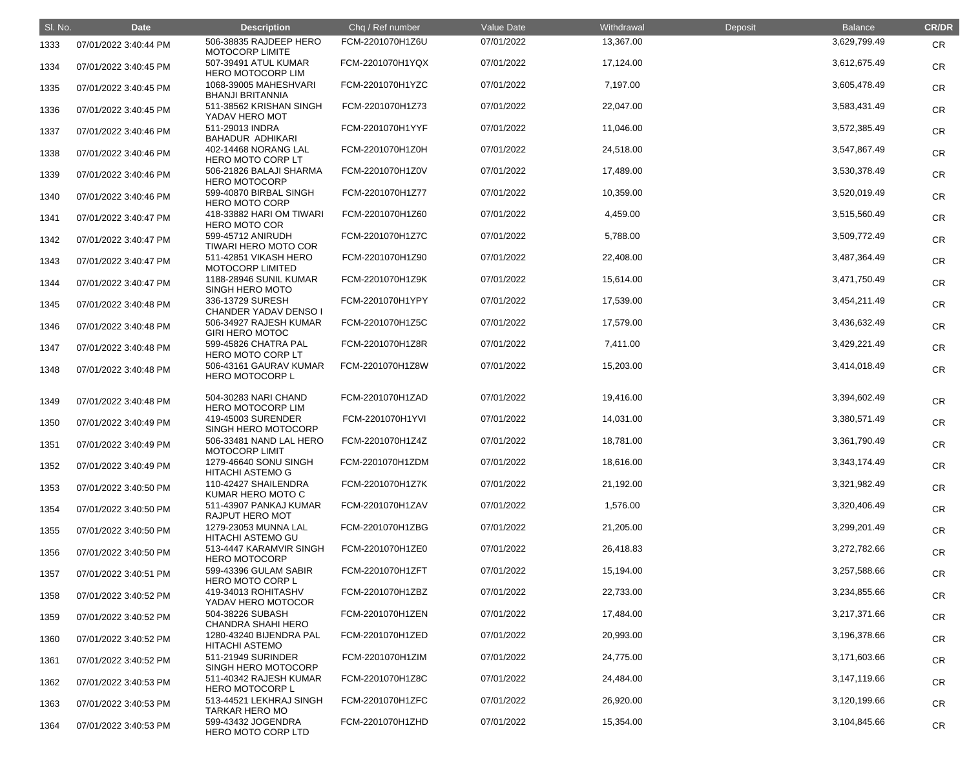| SI. No. | <b>Date</b>           | <b>Description</b>                               | Chq / Ref number | Value Date | Withdrawal | Deposit | <b>Balance</b> | <b>CR/DR</b> |
|---------|-----------------------|--------------------------------------------------|------------------|------------|------------|---------|----------------|--------------|
| 1333    | 07/01/2022 3:40:44 PM | 506-38835 RAJDEEP HERO<br><b>MOTOCORP LIMITE</b> | FCM-2201070H1Z6U | 07/01/2022 | 13,367.00  |         | 3,629,799.49   | <b>CR</b>    |
| 1334    | 07/01/2022 3:40:45 PM | 507-39491 ATUL KUMAR<br><b>HERO MOTOCORP LIM</b> | FCM-2201070H1YQX | 07/01/2022 | 17,124.00  |         | 3,612,675.49   | <b>CR</b>    |
| 1335    | 07/01/2022 3:40:45 PM | 1068-39005 MAHESHVARI<br><b>BHANJI BRITANNIA</b> | FCM-2201070H1YZC | 07/01/2022 | 7,197.00   |         | 3,605,478.49   | <b>CR</b>    |
| 1336    | 07/01/2022 3:40:45 PM | 511-38562 KRISHAN SINGH<br>YADAV HERO MOT        | FCM-2201070H1Z73 | 07/01/2022 | 22,047.00  |         | 3,583,431.49   | <b>CR</b>    |
| 1337    | 07/01/2022 3:40:46 PM | 511-29013 INDRA<br><b>BAHADUR ADHIKARI</b>       | FCM-2201070H1YYF | 07/01/2022 | 11,046.00  |         | 3,572,385.49   | <b>CR</b>    |
| 1338    | 07/01/2022 3:40:46 PM | 402-14468 NORANG LAL<br>HERO MOTO CORP LT        | FCM-2201070H1Z0H | 07/01/2022 | 24,518.00  |         | 3,547,867.49   | <b>CR</b>    |
| 1339    | 07/01/2022 3:40:46 PM | 506-21826 BALAJI SHARMA<br><b>HERO MOTOCORP</b>  | FCM-2201070H1Z0V | 07/01/2022 | 17,489.00  |         | 3,530,378.49   | <b>CR</b>    |
| 1340    | 07/01/2022 3:40:46 PM | 599-40870 BIRBAL SINGH<br><b>HERO MOTO CORP</b>  | FCM-2201070H1Z77 | 07/01/2022 | 10,359.00  |         | 3,520,019.49   | <b>CR</b>    |
| 1341    | 07/01/2022 3:40:47 PM | 418-33882 HARI OM TIWARI<br><b>HERO MOTO COR</b> | FCM-2201070H1Z60 | 07/01/2022 | 4,459.00   |         | 3,515,560.49   | <b>CR</b>    |
| 1342    | 07/01/2022 3:40:47 PM | 599-45712 ANIRUDH<br><b>TIWARI HERO MOTO COR</b> | FCM-2201070H1Z7C | 07/01/2022 | 5,788.00   |         | 3,509,772.49   | <b>CR</b>    |
| 1343    | 07/01/2022 3:40:47 PM | 511-42851 VIKASH HERO<br><b>MOTOCORP LIMITED</b> | FCM-2201070H1Z90 | 07/01/2022 | 22,408.00  |         | 3,487,364.49   | <b>CR</b>    |
| 1344    | 07/01/2022 3:40:47 PM | 1188-28946 SUNIL KUMAR<br><b>SINGH HERO MOTO</b> | FCM-2201070H1Z9K | 07/01/2022 | 15,614.00  |         | 3,471,750.49   | <b>CR</b>    |
| 1345    | 07/01/2022 3:40:48 PM | 336-13729 SURESH<br>CHANDER YADAV DENSO I        | FCM-2201070H1YPY | 07/01/2022 | 17,539.00  |         | 3,454,211.49   | <b>CR</b>    |
| 1346    | 07/01/2022 3:40:48 PM | 506-34927 RAJESH KUMAR<br><b>GIRI HERO MOTOC</b> | FCM-2201070H1Z5C | 07/01/2022 | 17,579.00  |         | 3,436,632.49   | <b>CR</b>    |
| 1347    | 07/01/2022 3:40:48 PM | 599-45826 CHATRA PAL<br><b>HERO MOTO CORP LT</b> | FCM-2201070H1Z8R | 07/01/2022 | 7,411.00   |         | 3,429,221.49   | <b>CR</b>    |
| 1348    | 07/01/2022 3:40:48 PM | 506-43161 GAURAV KUMAR<br>HERO MOTOCORP L        | FCM-2201070H1Z8W | 07/01/2022 | 15,203.00  |         | 3,414,018.49   | <b>CR</b>    |
| 1349    | 07/01/2022 3:40:48 PM | 504-30283 NARI CHAND<br><b>HERO MOTOCORP LIM</b> | FCM-2201070H1ZAD | 07/01/2022 | 19,416.00  |         | 3,394,602.49   | <b>CR</b>    |
| 1350    | 07/01/2022 3:40:49 PM | 419-45003 SURENDER<br>SINGH HERO MOTOCORP        | FCM-2201070H1YVI | 07/01/2022 | 14,031.00  |         | 3,380,571.49   | CR           |
| 1351    | 07/01/2022 3:40:49 PM | 506-33481 NAND LAL HERO<br><b>MOTOCORP LIMIT</b> | FCM-2201070H1Z4Z | 07/01/2022 | 18,781.00  |         | 3,361,790.49   | <b>CR</b>    |
| 1352    | 07/01/2022 3:40:49 PM | 1279-46640 SONU SINGH<br><b>HITACHI ASTEMO G</b> | FCM-2201070H1ZDM | 07/01/2022 | 18,616.00  |         | 3,343,174.49   | <b>CR</b>    |
| 1353    | 07/01/2022 3:40:50 PM | 110-42427 SHAILENDRA<br>KUMAR HERO MOTO C        | FCM-2201070H1Z7K | 07/01/2022 | 21,192.00  |         | 3,321,982.49   | CR           |
| 1354    | 07/01/2022 3:40:50 PM | 511-43907 PANKAJ KUMAR<br>RAJPUT HERO MOT        | FCM-2201070H1ZAV | 07/01/2022 | 1,576.00   |         | 3,320,406.49   | <b>CR</b>    |
| 1355    | 07/01/2022 3:40:50 PM | 1279-23053 MUNNA LAL<br><b>HITACHI ASTEMO GU</b> | FCM-2201070H1ZBG | 07/01/2022 | 21,205.00  |         | 3,299,201.49   | <b>CR</b>    |
| 1356    | 07/01/2022 3:40:50 PM | 513-4447 KARAMVIR SINGH<br><b>HERO MOTOCORP</b>  | FCM-2201070H1ZE0 | 07/01/2022 | 26,418.83  |         | 3,272,782.66   | <b>CR</b>    |
| 1357    | 07/01/2022 3:40:51 PM | 599-43396 GULAM SABIR<br><b>HERO MOTO CORP L</b> | FCM-2201070H1ZFT | 07/01/2022 | 15,194.00  |         | 3,257,588.66   | <b>CR</b>    |
| 1358    | 07/01/2022 3:40:52 PM | 419-34013 ROHITASHV<br>YADAV HERO MOTOCOR        | FCM-2201070H1ZBZ | 07/01/2022 | 22,733.00  |         | 3,234,855.66   | <b>CR</b>    |
| 1359    | 07/01/2022 3:40:52 PM | 504-38226 SUBASH<br><b>CHANDRA SHAHI HERO</b>    | FCM-2201070H1ZEN | 07/01/2022 | 17,484.00  |         | 3,217,371.66   | <b>CR</b>    |
| 1360    | 07/01/2022 3:40:52 PM | 1280-43240 BIJENDRA PAL<br><b>HITACHI ASTEMO</b> | FCM-2201070H1ZED | 07/01/2022 | 20,993.00  |         | 3,196,378.66   | <b>CR</b>    |
| 1361    | 07/01/2022 3:40:52 PM | 511-21949 SURINDER<br>SINGH HERO MOTOCORP        | FCM-2201070H1ZIM | 07/01/2022 | 24,775.00  |         | 3,171,603.66   | <b>CR</b>    |
| 1362    | 07/01/2022 3:40:53 PM | 511-40342 RAJESH KUMAR<br><b>HERO MOTOCORP L</b> | FCM-2201070H1Z8C | 07/01/2022 | 24,484.00  |         | 3,147,119.66   | <b>CR</b>    |
| 1363    | 07/01/2022 3:40:53 PM | 513-44521 LEKHRAJ SINGH<br><b>TARKAR HERO MO</b> | FCM-2201070H1ZFC | 07/01/2022 | 26,920.00  |         | 3,120,199.66   | <b>CR</b>    |
| 1364    | 07/01/2022 3:40:53 PM | 599-43432 JOGENDRA<br>HERO MOTO CORP LTD         | FCM-2201070H1ZHD | 07/01/2022 | 15,354.00  |         | 3,104,845.66   | <b>CR</b>    |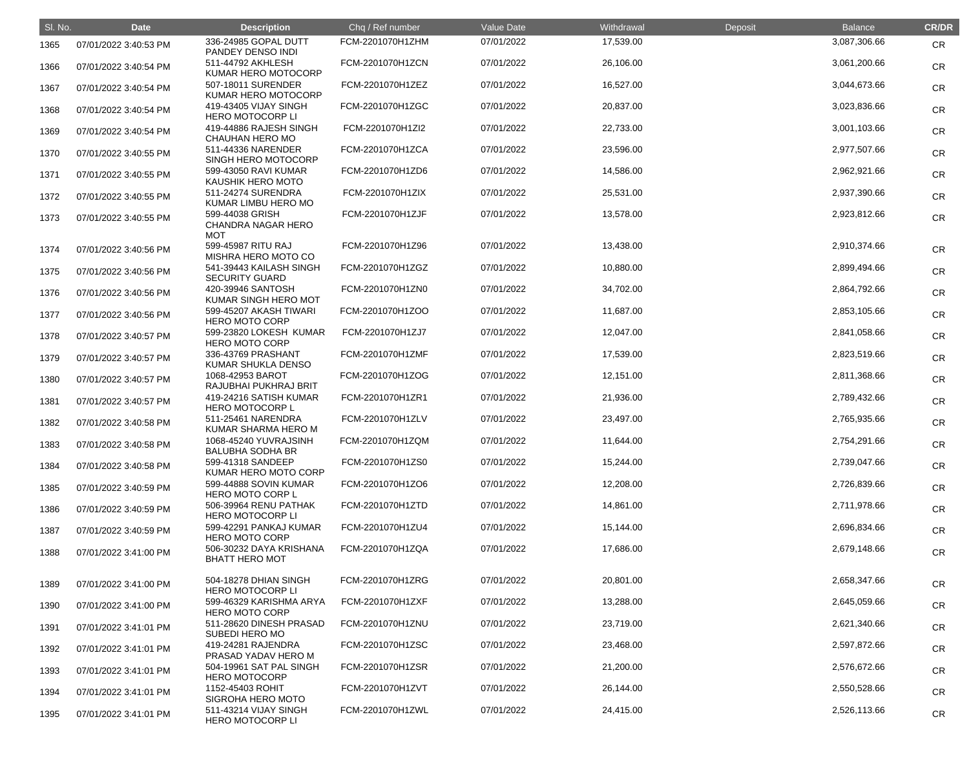| SI. No. | <b>Date</b>           | <b>Description</b>                                         | Chq / Ref number | <b>Value Date</b> | Withdrawal | Deposit | <b>Balance</b> | <b>CR/DR</b> |
|---------|-----------------------|------------------------------------------------------------|------------------|-------------------|------------|---------|----------------|--------------|
| 1365    | 07/01/2022 3:40:53 PM | 336-24985 GOPAL DUTT<br>PANDEY DENSO INDI                  | FCM-2201070H1ZHM | 07/01/2022        | 17,539.00  |         | 3,087,306.66   | <b>CR</b>    |
| 1366    | 07/01/2022 3:40:54 PM | 511-44792 AKHLESH<br>KUMAR HERO MOTOCORP                   | FCM-2201070H1ZCN | 07/01/2022        | 26,106.00  |         | 3,061,200.66   | <b>CR</b>    |
| 1367    | 07/01/2022 3:40:54 PM | 507-18011 SURENDER<br>KUMAR HERO MOTOCORP                  | FCM-2201070H1ZEZ | 07/01/2022        | 16,527.00  |         | 3,044,673.66   | <b>CR</b>    |
| 1368    | 07/01/2022 3:40:54 PM | 419-43405 VIJAY SINGH<br><b>HERO MOTOCORP LI</b>           | FCM-2201070H1ZGC | 07/01/2022        | 20,837.00  |         | 3,023,836.66   | <b>CR</b>    |
| 1369    | 07/01/2022 3:40:54 PM | 419-44886 RAJESH SINGH<br><b>CHAUHAN HERO MO</b>           | FCM-2201070H1Zl2 | 07/01/2022        | 22,733.00  |         | 3,001,103.66   | <b>CR</b>    |
| 1370    | 07/01/2022 3:40:55 PM | 511-44336 NARENDER<br>SINGH HERO MOTOCORP                  | FCM-2201070H1ZCA | 07/01/2022        | 23,596.00  |         | 2,977,507.66   | <b>CR</b>    |
| 1371    | 07/01/2022 3:40:55 PM | 599-43050 RAVI KUMAR<br>KAUSHIK HERO MOTO                  | FCM-2201070H1ZD6 | 07/01/2022        | 14,586.00  |         | 2,962,921.66   | <b>CR</b>    |
| 1372    | 07/01/2022 3:40:55 PM | 511-24274 SURENDRA<br>KUMAR LIMBU HERO MO                  | FCM-2201070H1ZIX | 07/01/2022        | 25,531.00  |         | 2,937,390.66   | <b>CR</b>    |
| 1373    | 07/01/2022 3:40:55 PM | 599-44038 GRISH<br><b>CHANDRA NAGAR HERO</b><br><b>MOT</b> | FCM-2201070H1ZJF | 07/01/2022        | 13,578.00  |         | 2,923,812.66   | <b>CR</b>    |
| 1374    | 07/01/2022 3:40:56 PM | 599-45987 RITU RAJ<br>MISHRA HERO MOTO CO                  | FCM-2201070H1Z96 | 07/01/2022        | 13,438.00  |         | 2,910,374.66   | <b>CR</b>    |
| 1375    | 07/01/2022 3:40:56 PM | 541-39443 KAILASH SINGH<br><b>SECURITY GUARD</b>           | FCM-2201070H1ZGZ | 07/01/2022        | 10,880.00  |         | 2,899,494.66   | <b>CR</b>    |
| 1376    | 07/01/2022 3:40:56 PM | 420-39946 SANTOSH<br>KUMAR SINGH HERO MOT                  | FCM-2201070H1ZN0 | 07/01/2022        | 34,702.00  |         | 2,864,792.66   | <b>CR</b>    |
| 1377    | 07/01/2022 3:40:56 PM | 599-45207 AKASH TIWARI<br><b>HERO MOTO CORP</b>            | FCM-2201070H1ZOO | 07/01/2022        | 11,687.00  |         | 2,853,105.66   | <b>CR</b>    |
| 1378    | 07/01/2022 3:40:57 PM | 599-23820 LOKESH KUMAR<br><b>HERO MOTO CORP</b>            | FCM-2201070H1ZJ7 | 07/01/2022        | 12,047.00  |         | 2,841,058.66   | <b>CR</b>    |
| 1379    | 07/01/2022 3:40:57 PM | 336-43769 PRASHANT<br>KUMAR SHUKLA DENSO                   | FCM-2201070H1ZMF | 07/01/2022        | 17,539.00  |         | 2,823,519.66   | <b>CR</b>    |
| 1380    | 07/01/2022 3:40:57 PM | 1068-42953 BAROT<br>RAJUBHAI PUKHRAJ BRIT                  | FCM-2201070H1ZOG | 07/01/2022        | 12,151.00  |         | 2,811,368.66   | <b>CR</b>    |
| 1381    | 07/01/2022 3:40:57 PM | 419-24216 SATISH KUMAR<br><b>HERO MOTOCORP L</b>           | FCM-2201070H1ZR1 | 07/01/2022        | 21,936.00  |         | 2,789,432.66   | <b>CR</b>    |
| 1382    | 07/01/2022 3:40:58 PM | 511-25461 NARENDRA<br>KUMAR SHARMA HERO M                  | FCM-2201070H1ZLV | 07/01/2022        | 23,497.00  |         | 2,765,935.66   | <b>CR</b>    |
| 1383    | 07/01/2022 3:40:58 PM | 1068-45240 YUVRAJSINH<br><b>BALUBHA SODHA BR</b>           | FCM-2201070H1ZQM | 07/01/2022        | 11,644.00  |         | 2,754,291.66   | <b>CR</b>    |
| 1384    | 07/01/2022 3:40:58 PM | 599-41318 SANDEEP<br>KUMAR HERO MOTO CORP                  | FCM-2201070H1ZS0 | 07/01/2022        | 15,244.00  |         | 2,739,047.66   | <b>CR</b>    |
| 1385    | 07/01/2022 3:40:59 PM | 599-44888 SOVIN KUMAR<br><b>HERO MOTO CORP L</b>           | FCM-2201070H1ZO6 | 07/01/2022        | 12,208.00  |         | 2,726,839.66   | <b>CR</b>    |
| 1386    | 07/01/2022 3:40:59 PM | 506-39964 RENU PATHAK<br><b>HERO MOTOCORP LI</b>           | FCM-2201070H1ZTD | 07/01/2022        | 14,861.00  |         | 2,711,978.66   | <b>CR</b>    |
| 1387    | 07/01/2022 3:40:59 PM | 599-42291 PANKAJ KUMAR<br><b>HERO MOTO CORP</b>            | FCM-2201070H1ZU4 | 07/01/2022        | 15,144.00  |         | 2,696,834.66   | <b>CR</b>    |
| 1388    | 07/01/2022 3:41:00 PM | 506-30232 DAYA KRISHANA<br><b>BHATT HERO MOT</b>           | FCM-2201070H1ZQA | 07/01/2022        | 17,686.00  |         | 2,679,148.66   | <b>CR</b>    |
| 1389    | 07/01/2022 3:41:00 PM | 504-18278 DHIAN SINGH<br><b>HERO MOTOCORP LI</b>           | FCM-2201070H1ZRG | 07/01/2022        | 20,801.00  |         | 2,658,347.66   | <b>CR</b>    |
| 1390    | 07/01/2022 3:41:00 PM | 599-46329 KARISHMA ARYA<br><b>HERO MOTO CORP</b>           | FCM-2201070H1ZXF | 07/01/2022        | 13,288.00  |         | 2,645,059.66   | <b>CR</b>    |
| 1391    | 07/01/2022 3:41:01 PM | 511-28620 DINESH PRASAD<br>SUBEDI HERO MO                  | FCM-2201070H1ZNU | 07/01/2022        | 23,719.00  |         | 2,621,340.66   | <b>CR</b>    |
| 1392    | 07/01/2022 3:41:01 PM | 419-24281 RAJENDRA<br>PRASAD YADAV HERO M                  | FCM-2201070H1ZSC | 07/01/2022        | 23,468.00  |         | 2,597,872.66   | <b>CR</b>    |
| 1393    | 07/01/2022 3:41:01 PM | 504-19961 SAT PAL SINGH<br><b>HERO MOTOCORP</b>            | FCM-2201070H1ZSR | 07/01/2022        | 21,200.00  |         | 2,576,672.66   | <b>CR</b>    |
| 1394    | 07/01/2022 3:41:01 PM | 1152-45403 ROHIT<br><b>SIGROHA HERO MOTO</b>               | FCM-2201070H1ZVT | 07/01/2022        | 26,144.00  |         | 2,550,528.66   | <b>CR</b>    |
| 1395    | 07/01/2022 3:41:01 PM | 511-43214 VIJAY SINGH<br><b>HERO MOTOCORP LI</b>           | FCM-2201070H1ZWL | 07/01/2022        | 24,415.00  |         | 2,526,113.66   | <b>CR</b>    |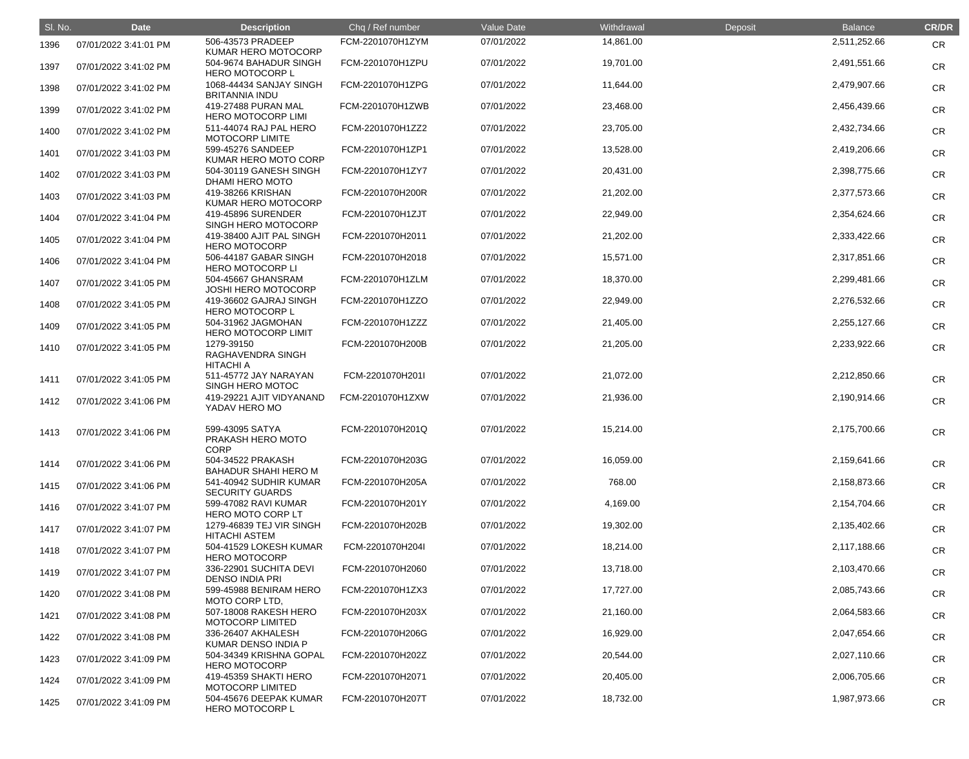| SI. No. | <b>Date</b>           | <b>Description</b>                                  | Chq / Ref number | Value Date | Withdrawal | Deposit | <b>Balance</b> | <b>CR/DR</b> |
|---------|-----------------------|-----------------------------------------------------|------------------|------------|------------|---------|----------------|--------------|
| 1396    | 07/01/2022 3:41:01 PM | 506-43573 PRADEEP<br>KUMAR HERO MOTOCORP            | FCM-2201070H1ZYM | 07/01/2022 | 14,861.00  |         | 2,511,252.66   | <b>CR</b>    |
| 1397    | 07/01/2022 3:41:02 PM | 504-9674 BAHADUR SINGH<br><b>HERO MOTOCORP L</b>    | FCM-2201070H1ZPU | 07/01/2022 | 19,701.00  |         | 2,491,551.66   | <b>CR</b>    |
| 1398    | 07/01/2022 3:41:02 PM | 1068-44434 SANJAY SINGH<br><b>BRITANNIA INDU</b>    | FCM-2201070H1ZPG | 07/01/2022 | 11,644.00  |         | 2,479,907.66   | <b>CR</b>    |
| 1399    | 07/01/2022 3:41:02 PM | 419-27488 PURAN MAL<br><b>HERO MOTOCORP LIMI</b>    | FCM-2201070H1ZWB | 07/01/2022 | 23,468.00  |         | 2,456,439.66   | <b>CR</b>    |
| 1400    | 07/01/2022 3:41:02 PM | 511-44074 RAJ PAL HERO<br><b>MOTOCORP LIMITE</b>    | FCM-2201070H1ZZ2 | 07/01/2022 | 23,705.00  |         | 2,432,734.66   | <b>CR</b>    |
| 1401    | 07/01/2022 3:41:03 PM | 599-45276 SANDEEP<br>KUMAR HERO MOTO CORP           | FCM-2201070H1ZP1 | 07/01/2022 | 13,528.00  |         | 2,419,206.66   | <b>CR</b>    |
| 1402    | 07/01/2022 3:41:03 PM | 504-30119 GANESH SINGH<br>DHAMI HERO MOTO           | FCM-2201070H1ZY7 | 07/01/2022 | 20,431.00  |         | 2,398,775.66   | <b>CR</b>    |
| 1403    | 07/01/2022 3:41:03 PM | 419-38266 KRISHAN<br>KUMAR HERO MOTOCORP            | FCM-2201070H200R | 07/01/2022 | 21,202.00  |         | 2,377,573.66   | <b>CR</b>    |
| 1404    | 07/01/2022 3:41:04 PM | 419-45896 SURENDER<br>SINGH HERO MOTOCORP           | FCM-2201070H1ZJT | 07/01/2022 | 22,949.00  |         | 2,354,624.66   | <b>CR</b>    |
| 1405    | 07/01/2022 3:41:04 PM | 419-38400 AJIT PAL SINGH<br><b>HERO MOTOCORP</b>    | FCM-2201070H2011 | 07/01/2022 | 21,202.00  |         | 2,333,422.66   | <b>CR</b>    |
| 1406    | 07/01/2022 3:41:04 PM | 506-44187 GABAR SINGH<br><b>HERO MOTOCORP LI</b>    | FCM-2201070H2018 | 07/01/2022 | 15,571.00  |         | 2,317,851.66   | <b>CR</b>    |
| 1407    | 07/01/2022 3:41:05 PM | 504-45667 GHANSRAM<br><b>JOSHI HERO MOTOCORP</b>    | FCM-2201070H1ZLM | 07/01/2022 | 18,370.00  |         | 2,299,481.66   | <b>CR</b>    |
| 1408    | 07/01/2022 3:41:05 PM | 419-36602 GAJRAJ SINGH<br><b>HERO MOTOCORP L</b>    | FCM-2201070H1ZZO | 07/01/2022 | 22,949.00  |         | 2,276,532.66   | <b>CR</b>    |
| 1409    | 07/01/2022 3:41:05 PM | 504-31962 JAGMOHAN<br><b>HERO MOTOCORP LIMIT</b>    | FCM-2201070H1ZZZ | 07/01/2022 | 21,405.00  |         | 2,255,127.66   | <b>CR</b>    |
| 1410    | 07/01/2022 3:41:05 PM | 1279-39150<br>RAGHAVENDRA SINGH<br><b>HITACHI A</b> | FCM-2201070H200B | 07/01/2022 | 21,205.00  |         | 2,233,922.66   | <b>CR</b>    |
| 1411    | 07/01/2022 3:41:05 PM | 511-45772 JAY NARAYAN<br>SINGH HERO MOTOC           | FCM-2201070H201I | 07/01/2022 | 21,072.00  |         | 2,212,850.66   | <b>CR</b>    |
| 1412    | 07/01/2022 3:41:06 PM | 419-29221 AJIT VIDYANAND<br>YADAV HERO MO           | FCM-2201070H1ZXW | 07/01/2022 | 21,936.00  |         | 2,190,914.66   | <b>CR</b>    |
| 1413    | 07/01/2022 3:41:06 PM | 599-43095 SATYA<br>PRAKASH HERO MOTO<br><b>CORP</b> | FCM-2201070H201Q | 07/01/2022 | 15,214.00  |         | 2,175,700.66   | <b>CR</b>    |
| 1414    | 07/01/2022 3:41:06 PM | 504-34522 PRAKASH<br>BAHADUR SHAHI HERO M           | FCM-2201070H203G | 07/01/2022 | 16,059.00  |         | 2,159,641.66   | <b>CR</b>    |
| 1415    | 07/01/2022 3:41:06 PM | 541-40942 SUDHIR KUMAR<br><b>SECURITY GUARDS</b>    | FCM-2201070H205A | 07/01/2022 | 768.00     |         | 2,158,873.66   | <b>CR</b>    |
| 1416    | 07/01/2022 3:41:07 PM | 599-47082 RAVI KUMAR<br>HERO MOTO CORP LT           | FCM-2201070H201Y | 07/01/2022 | 4,169.00   |         | 2,154,704.66   | <b>CR</b>    |
| 1417    | 07/01/2022 3:41:07 PM | 1279-46839 TEJ VIR SINGH<br><b>HITACHI ASTEM</b>    | FCM-2201070H202B | 07/01/2022 | 19,302.00  |         | 2,135,402.66   | <b>CR</b>    |
| 1418    | 07/01/2022 3:41:07 PM | 504-41529 LOKESH KUMAR<br><b>HERO MOTOCORP</b>      | FCM-2201070H204I | 07/01/2022 | 18,214.00  |         | 2,117,188.66   | <b>CR</b>    |
| 1419    | 07/01/2022 3:41:07 PM | 336-22901 SUCHITA DEVI<br><b>DENSO INDIA PRI</b>    | FCM-2201070H2060 | 07/01/2022 | 13,718.00  |         | 2,103,470.66   | <b>CR</b>    |
| 1420    | 07/01/2022 3:41:08 PM | 599-45988 BENIRAM HERO<br>MOTO CORP LTD,            | FCM-2201070H1ZX3 | 07/01/2022 | 17,727.00  |         | 2,085,743.66   | <b>CR</b>    |
| 1421    | 07/01/2022 3:41:08 PM | 507-18008 RAKESH HERO<br><b>MOTOCORP LIMITED</b>    | FCM-2201070H203X | 07/01/2022 | 21,160.00  |         | 2,064,583.66   | <b>CR</b>    |
| 1422    | 07/01/2022 3:41:08 PM | 336-26407 AKHALESH<br>KUMAR DENSO INDIA P           | FCM-2201070H206G | 07/01/2022 | 16,929.00  |         | 2,047,654.66   | <b>CR</b>    |
| 1423    | 07/01/2022 3:41:09 PM | 504-34349 KRISHNA GOPAL<br><b>HERO MOTOCORP</b>     | FCM-2201070H202Z | 07/01/2022 | 20,544.00  |         | 2,027,110.66   | <b>CR</b>    |
| 1424    | 07/01/2022 3:41:09 PM | 419-45359 SHAKTI HERO<br><b>MOTOCORP LIMITED</b>    | FCM-2201070H2071 | 07/01/2022 | 20,405.00  |         | 2,006,705.66   | <b>CR</b>    |
| 1425    | 07/01/2022 3:41:09 PM | 504-45676 DEEPAK KUMAR<br><b>HERO MOTOCORP L</b>    | FCM-2201070H207T | 07/01/2022 | 18,732.00  |         | 1,987,973.66   | <b>CR</b>    |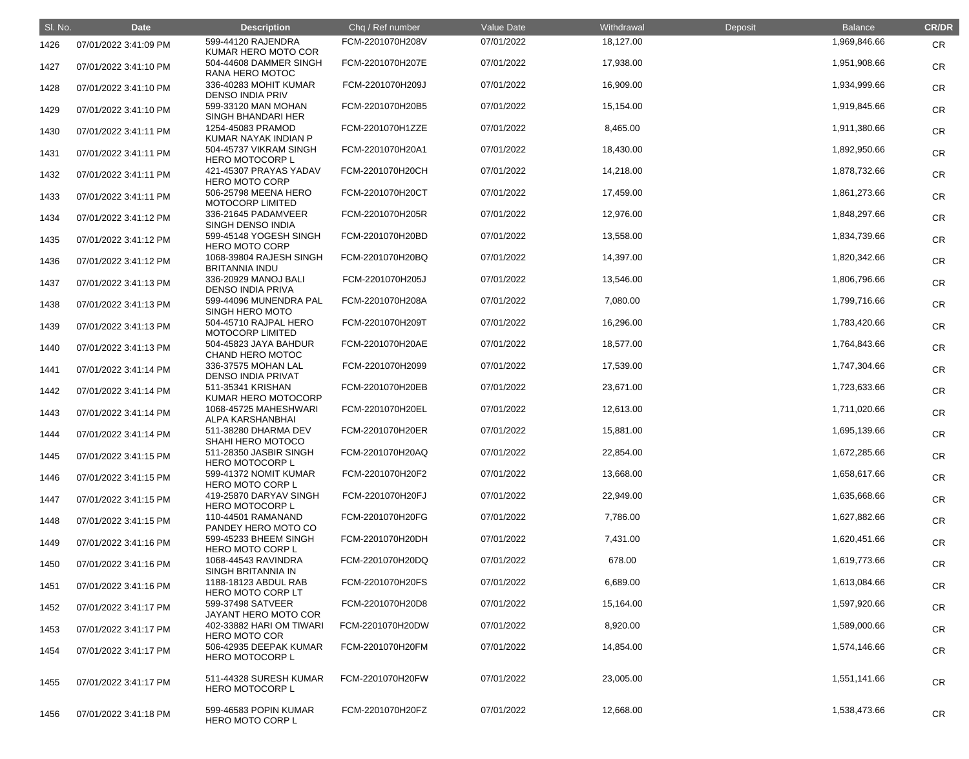| SI. No. | <b>Date</b>           | <b>Description</b>                               | Chq / Ref number | Value Date | Withdrawal | Deposit | <b>Balance</b> | <b>CR/DR</b> |
|---------|-----------------------|--------------------------------------------------|------------------|------------|------------|---------|----------------|--------------|
| 1426    | 07/01/2022 3:41:09 PM | 599-44120 RAJENDRA<br>KUMAR HERO MOTO COR        | FCM-2201070H208V | 07/01/2022 | 18,127.00  |         | 1,969,846.66   | <b>CR</b>    |
| 1427    | 07/01/2022 3:41:10 PM | 504-44608 DAMMER SINGH<br>RANA HERO MOTOC        | FCM-2201070H207E | 07/01/2022 | 17,938.00  |         | 1,951,908.66   | <b>CR</b>    |
| 1428    | 07/01/2022 3:41:10 PM | 336-40283 MOHIT KUMAR<br><b>DENSO INDIA PRIV</b> | FCM-2201070H209J | 07/01/2022 | 16,909.00  |         | 1,934,999.66   | <b>CR</b>    |
| 1429    | 07/01/2022 3:41:10 PM | 599-33120 MAN MOHAN<br><b>SINGH BHANDARI HER</b> | FCM-2201070H20B5 | 07/01/2022 | 15,154.00  |         | 1,919,845.66   | <b>CR</b>    |
| 1430    | 07/01/2022 3:41:11 PM | 1254-45083 PRAMOD<br>KUMAR NAYAK INDIAN P        | FCM-2201070H1ZZE | 07/01/2022 | 8,465.00   |         | 1,911,380.66   | <b>CR</b>    |
| 1431    | 07/01/2022 3:41:11 PM | 504-45737 VIKRAM SINGH<br><b>HERO MOTOCORP L</b> | FCM-2201070H20A1 | 07/01/2022 | 18,430.00  |         | 1,892,950.66   | <b>CR</b>    |
| 1432    | 07/01/2022 3:41:11 PM | 421-45307 PRAYAS YADAV<br><b>HERO MOTO CORP</b>  | FCM-2201070H20CH | 07/01/2022 | 14,218.00  |         | 1,878,732.66   | <b>CR</b>    |
| 1433    | 07/01/2022 3:41:11 PM | 506-25798 MEENA HERO<br><b>MOTOCORP LIMITED</b>  | FCM-2201070H20CT | 07/01/2022 | 17,459.00  |         | 1,861,273.66   | <b>CR</b>    |
| 1434    | 07/01/2022 3:41:12 PM | 336-21645 PADAMVEER<br>SINGH DENSO INDIA         | FCM-2201070H205R | 07/01/2022 | 12,976.00  |         | 1,848,297.66   | <b>CR</b>    |
| 1435    | 07/01/2022 3:41:12 PM | 599-45148 YOGESH SINGH<br><b>HERO MOTO CORP</b>  | FCM-2201070H20BD | 07/01/2022 | 13,558.00  |         | 1,834,739.66   | <b>CR</b>    |
| 1436    | 07/01/2022 3:41:12 PM | 1068-39804 RAJESH SINGH<br><b>BRITANNIA INDU</b> | FCM-2201070H20BQ | 07/01/2022 | 14,397.00  |         | 1,820,342.66   | <b>CR</b>    |
| 1437    | 07/01/2022 3:41:13 PM | 336-20929 MANOJ BALI<br><b>DENSO INDIA PRIVA</b> | FCM-2201070H205J | 07/01/2022 | 13,546.00  |         | 1,806,796.66   | <b>CR</b>    |
| 1438    | 07/01/2022 3:41:13 PM | 599-44096 MUNENDRA PAL<br>SINGH HERO MOTO        | FCM-2201070H208A | 07/01/2022 | 7,080.00   |         | 1,799,716.66   | <b>CR</b>    |
| 1439    | 07/01/2022 3:41:13 PM | 504-45710 RAJPAL HERO<br><b>MOTOCORP LIMITED</b> | FCM-2201070H209T | 07/01/2022 | 16,296.00  |         | 1,783,420.66   | <b>CR</b>    |
| 1440    | 07/01/2022 3:41:13 PM | 504-45823 JAYA BAHDUR<br>CHAND HERO MOTOC        | FCM-2201070H20AE | 07/01/2022 | 18,577.00  |         | 1,764,843.66   | <b>CR</b>    |
| 1441    | 07/01/2022 3:41:14 PM | 336-37575 MOHAN LAL<br><b>DENSO INDIA PRIVAT</b> | FCM-2201070H2099 | 07/01/2022 | 17,539.00  |         | 1,747,304.66   | <b>CR</b>    |
| 1442    | 07/01/2022 3:41:14 PM | 511-35341 KRISHAN<br><b>KUMAR HERO MOTOCORP</b>  | FCM-2201070H20EB | 07/01/2022 | 23,671.00  |         | 1,723,633.66   | <b>CR</b>    |
| 1443    | 07/01/2022 3:41:14 PM | 1068-45725 MAHESHWARI<br>ALPA KARSHANBHAI        | FCM-2201070H20EL | 07/01/2022 | 12,613.00  |         | 1,711,020.66   | <b>CR</b>    |
| 1444    | 07/01/2022 3:41:14 PM | 511-38280 DHARMA DEV<br>SHAHI HERO MOTOCO        | FCM-2201070H20ER | 07/01/2022 | 15,881.00  |         | 1,695,139.66   | <b>CR</b>    |
| 1445    | 07/01/2022 3:41:15 PM | 511-28350 JASBIR SINGH<br><b>HERO MOTOCORP L</b> | FCM-2201070H20AQ | 07/01/2022 | 22,854.00  |         | 1,672,285.66   | <b>CR</b>    |
| 1446    | 07/01/2022 3:41:15 PM | 599-41372 NOMIT KUMAR<br><b>HERO MOTO CORP L</b> | FCM-2201070H20F2 | 07/01/2022 | 13,668.00  |         | 1,658,617.66   | <b>CR</b>    |
| 1447    | 07/01/2022 3:41:15 PM | 419-25870 DARYAV SINGH<br><b>HERO MOTOCORP L</b> | FCM-2201070H20FJ | 07/01/2022 | 22,949.00  |         | 1,635,668.66   | <b>CR</b>    |
| 1448    | 07/01/2022 3:41:15 PM | 110-44501 RAMANAND<br>PANDEY HERO MOTO CO        | FCM-2201070H20FG | 07/01/2022 | 7,786.00   |         | 1,627,882.66   | <b>CR</b>    |
| 1449    | 07/01/2022 3:41:16 PM | 599-45233 BHEEM SINGH<br>HERO MOTO CORP L        | FCM-2201070H20DH | 07/01/2022 | 7,431.00   |         | 1,620,451.66   | <b>CR</b>    |
| 1450    | 07/01/2022 3:41:16 PM | 1068-44543 RAVINDRA<br>SINGH BRITANNIA IN        | FCM-2201070H20DQ | 07/01/2022 | 678.00     |         | 1,619,773.66   | <b>CR</b>    |
| 1451    | 07/01/2022 3:41:16 PM | 1188-18123 ABDUL RAB<br>HERO MOTO CORP LT        | FCM-2201070H20FS | 07/01/2022 | 6,689.00   |         | 1,613,084.66   | <b>CR</b>    |
| 1452    | 07/01/2022 3:41:17 PM | 599-37498 SATVEER<br>JAYANT HERO MOTO COR        | FCM-2201070H20D8 | 07/01/2022 | 15,164.00  |         | 1,597,920.66   | <b>CR</b>    |
| 1453    | 07/01/2022 3:41:17 PM | 402-33882 HARI OM TIWARI<br><b>HERO MOTO COR</b> | FCM-2201070H20DW | 07/01/2022 | 8,920.00   |         | 1,589,000.66   | <b>CR</b>    |
| 1454    | 07/01/2022 3:41:17 PM | 506-42935 DEEPAK KUMAR<br><b>HERO MOTOCORP L</b> | FCM-2201070H20FM | 07/01/2022 | 14,854.00  |         | 1,574,146.66   | <b>CR</b>    |
| 1455    | 07/01/2022 3:41:17 PM | 511-44328 SURESH KUMAR<br><b>HERO MOTOCORP L</b> | FCM-2201070H20FW | 07/01/2022 | 23,005.00  |         | 1,551,141.66   | <b>CR</b>    |
| 1456    | 07/01/2022 3:41:18 PM | 599-46583 POPIN KUMAR<br>HERO MOTO CORP L        | FCM-2201070H20FZ | 07/01/2022 | 12,668.00  |         | 1,538,473.66   | <b>CR</b>    |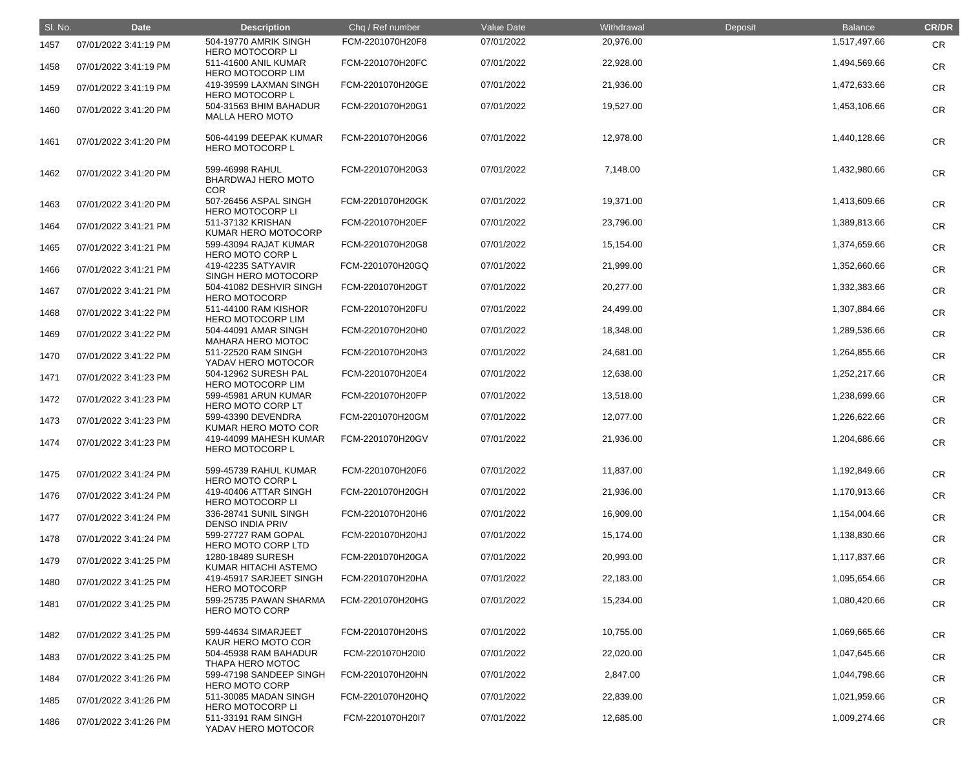| SI. No. | <b>Date</b>           | <b>Description</b>                                         | Chq / Ref number | Value Date | Withdrawal | Deposit | <b>Balance</b> | <b>CR/DR</b> |
|---------|-----------------------|------------------------------------------------------------|------------------|------------|------------|---------|----------------|--------------|
| 1457    | 07/01/2022 3:41:19 PM | 504-19770 AMRIK SINGH<br><b>HERO MOTOCORP LI</b>           | FCM-2201070H20F8 | 07/01/2022 | 20,976.00  |         | 1,517,497.66   | <b>CR</b>    |
| 1458    | 07/01/2022 3:41:19 PM | 511-41600 ANIL KUMAR<br><b>HERO MOTOCORP LIM</b>           | FCM-2201070H20FC | 07/01/2022 | 22,928.00  |         | 1,494,569.66   | <b>CR</b>    |
| 1459    | 07/01/2022 3:41:19 PM | 419-39599 LAXMAN SINGH<br><b>HERO MOTOCORP L</b>           | FCM-2201070H20GE | 07/01/2022 | 21,936.00  |         | 1,472,633.66   | <b>CR</b>    |
| 1460    | 07/01/2022 3:41:20 PM | 504-31563 BHIM BAHADUR<br><b>MALLA HERO MOTO</b>           | FCM-2201070H20G1 | 07/01/2022 | 19,527.00  |         | 1,453,106.66   | <b>CR</b>    |
| 1461    | 07/01/2022 3:41:20 PM | 506-44199 DEEPAK KUMAR<br><b>HERO MOTOCORP L</b>           | FCM-2201070H20G6 | 07/01/2022 | 12,978.00  |         | 1,440,128.66   | <b>CR</b>    |
| 1462    | 07/01/2022 3:41:20 PM | 599-46998 RAHUL<br><b>BHARDWAJ HERO MOTO</b><br><b>COR</b> | FCM-2201070H20G3 | 07/01/2022 | 7,148.00   |         | 1,432,980.66   | <b>CR</b>    |
| 1463    | 07/01/2022 3:41:20 PM | 507-26456 ASPAL SINGH<br><b>HERO MOTOCORP LI</b>           | FCM-2201070H20GK | 07/01/2022 | 19,371.00  |         | 1,413,609.66   | <b>CR</b>    |
| 1464    | 07/01/2022 3:41:21 PM | 511-37132 KRISHAN<br>KUMAR HERO MOTOCORP                   | FCM-2201070H20EF | 07/01/2022 | 23,796.00  |         | 1,389,813.66   | <b>CR</b>    |
| 1465    | 07/01/2022 3:41:21 PM | 599-43094 RAJAT KUMAR<br><b>HERO MOTO CORP L</b>           | FCM-2201070H20G8 | 07/01/2022 | 15,154.00  |         | 1,374,659.66   | <b>CR</b>    |
| 1466    | 07/01/2022 3:41:21 PM | 419-42235 SATYAVIR<br>SINGH HERO MOTOCORP                  | FCM-2201070H20GQ | 07/01/2022 | 21,999.00  |         | 1,352,660.66   | <b>CR</b>    |
| 1467    | 07/01/2022 3:41:21 PM | 504-41082 DESHVIR SINGH<br><b>HERO MOTOCORP</b>            | FCM-2201070H20GT | 07/01/2022 | 20,277.00  |         | 1,332,383.66   | <b>CR</b>    |
| 1468    | 07/01/2022 3:41:22 PM | 511-44100 RAM KISHOR<br><b>HERO MOTOCORP LIM</b>           | FCM-2201070H20FU | 07/01/2022 | 24,499.00  |         | 1,307,884.66   | <b>CR</b>    |
| 1469    | 07/01/2022 3:41:22 PM | 504-44091 AMAR SINGH<br><b>MAHARA HERO MOTOC</b>           | FCM-2201070H20H0 | 07/01/2022 | 18,348.00  |         | 1,289,536.66   | <b>CR</b>    |
| 1470    | 07/01/2022 3:41:22 PM | 511-22520 RAM SINGH<br>YADAV HERO MOTOCOR                  | FCM-2201070H20H3 | 07/01/2022 | 24,681.00  |         | 1,264,855.66   | <b>CR</b>    |
| 1471    | 07/01/2022 3:41:23 PM | 504-12962 SURESH PAL<br><b>HERO MOTOCORP LIM</b>           | FCM-2201070H20E4 | 07/01/2022 | 12,638.00  |         | 1,252,217.66   | <b>CR</b>    |
| 1472    | 07/01/2022 3:41:23 PM | 599-45981 ARUN KUMAR<br>HERO MOTO CORP LT                  | FCM-2201070H20FP | 07/01/2022 | 13,518.00  |         | 1,238,699.66   | <b>CR</b>    |
| 1473    | 07/01/2022 3:41:23 PM | 599-43390 DEVENDRA<br>KUMAR HERO MOTO COR                  | FCM-2201070H20GM | 07/01/2022 | 12,077.00  |         | 1,226,622.66   | CR           |
| 1474    | 07/01/2022 3:41:23 PM | 419-44099 MAHESH KUMAR<br><b>HERO MOTOCORP L</b>           | FCM-2201070H20GV | 07/01/2022 | 21,936.00  |         | 1,204,686.66   | <b>CR</b>    |
| 1475    | 07/01/2022 3:41:24 PM | 599-45739 RAHUL KUMAR<br><b>HERO MOTO CORP L</b>           | FCM-2201070H20F6 | 07/01/2022 | 11,837.00  |         | 1,192,849.66   | <b>CR</b>    |
| 1476    | 07/01/2022 3:41:24 PM | 419-40406 ATTAR SINGH<br><b>HERO MOTOCORP LI</b>           | FCM-2201070H20GH | 07/01/2022 | 21,936.00  |         | 1,170,913.66   | <b>CR</b>    |
| 1477    | 07/01/2022 3:41:24 PM | 336-28741 SUNIL SINGH<br><b>DENSO INDIA PRIV</b>           | FCM-2201070H20H6 | 07/01/2022 | 16,909.00  |         | 1,154,004.66   | <b>CR</b>    |
| 1478    | 07/01/2022 3:41:24 PM | 599-27727 RAM GOPAL<br>HERO MOTO CORP LTD                  | FCM-2201070H20HJ | 07/01/2022 | 15,174.00  |         | 1,138,830.66   | <b>CR</b>    |
| 1479    | 07/01/2022 3:41:25 PM | 1280-18489 SURESH<br>KUMAR HITACHI ASTEMO                  | FCM-2201070H20GA | 07/01/2022 | 20,993.00  |         | 1,117,837.66   | <b>CR</b>    |
| 1480    | 07/01/2022 3:41:25 PM | 419-45917 SARJEET SINGH<br><b>HERO MOTOCORP</b>            | FCM-2201070H20HA | 07/01/2022 | 22,183.00  |         | 1,095,654.66   | <b>CR</b>    |
| 1481    | 07/01/2022 3:41:25 PM | 599-25735 PAWAN SHARMA<br><b>HERO MOTO CORP</b>            | FCM-2201070H20HG | 07/01/2022 | 15,234.00  |         | 1,080,420.66   | <b>CR</b>    |
| 1482    | 07/01/2022 3:41:25 PM | 599-44634 SIMARJEET<br>KAUR HERO MOTO COR                  | FCM-2201070H20HS | 07/01/2022 | 10,755.00  |         | 1,069,665.66   | <b>CR</b>    |
| 1483    | 07/01/2022 3:41:25 PM | 504-45938 RAM BAHADUR<br>THAPA HERO MOTOC                  | FCM-2201070H20I0 | 07/01/2022 | 22,020.00  |         | 1,047,645.66   | <b>CR</b>    |
| 1484    | 07/01/2022 3:41:26 PM | 599-47198 SANDEEP SINGH<br><b>HERO MOTO CORP</b>           | FCM-2201070H20HN | 07/01/2022 | 2,847.00   |         | 1,044,798.66   | <b>CR</b>    |
| 1485    | 07/01/2022 3:41:26 PM | 511-30085 MADAN SINGH<br><b>HERO MOTOCORP LI</b>           | FCM-2201070H20HQ | 07/01/2022 | 22,839.00  |         | 1,021,959.66   | <b>CR</b>    |
| 1486    | 07/01/2022 3:41:26 PM | 511-33191 RAM SINGH<br>YADAV HERO MOTOCOR                  | FCM-2201070H20I7 | 07/01/2022 | 12,685.00  |         | 1,009,274.66   | <b>CR</b>    |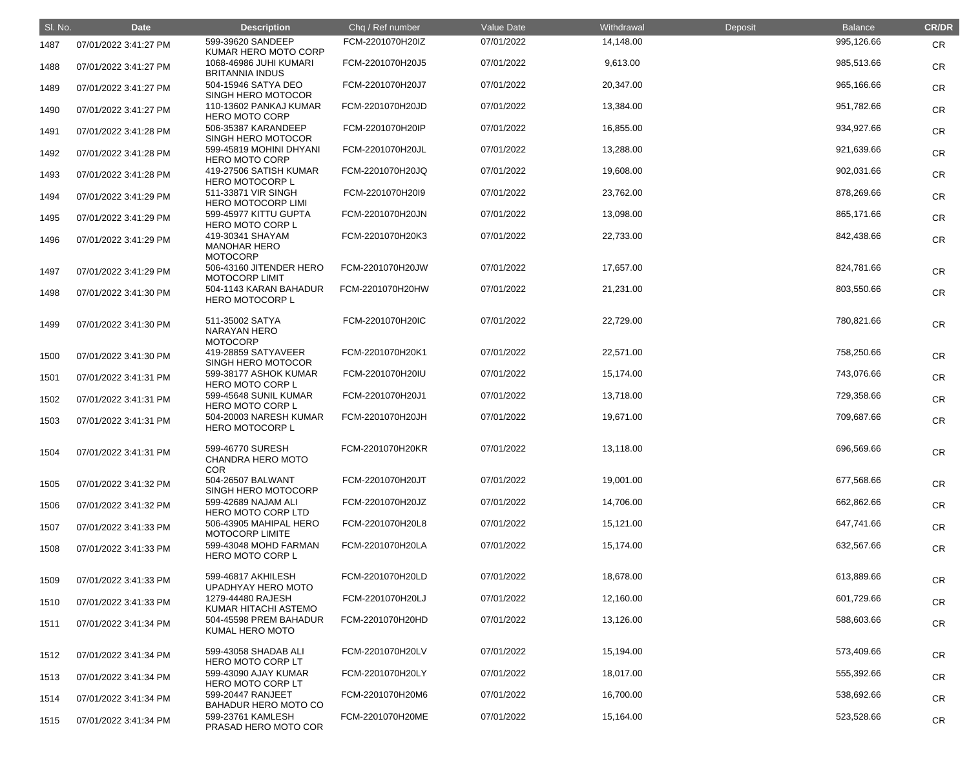| SI. No. | <b>Date</b>           | <b>Description</b>                                         | Chq / Ref number | Value Date | Withdrawal | Deposit | <b>Balance</b> | <b>CR/DR</b> |
|---------|-----------------------|------------------------------------------------------------|------------------|------------|------------|---------|----------------|--------------|
| 1487    | 07/01/2022 3:41:27 PM | 599-39620 SANDEEP<br>KUMAR HERO MOTO CORP                  | FCM-2201070H20IZ | 07/01/2022 | 14,148.00  |         | 995,126.66     | <b>CR</b>    |
| 1488    | 07/01/2022 3:41:27 PM | 1068-46986 JUHI KUMARI<br><b>BRITANNIA INDUS</b>           | FCM-2201070H20J5 | 07/01/2022 | 9,613.00   |         | 985,513.66     | <b>CR</b>    |
| 1489    | 07/01/2022 3:41:27 PM | 504-15946 SATYA DEO<br>SINGH HERO MOTOCOR                  | FCM-2201070H20J7 | 07/01/2022 | 20,347.00  |         | 965,166.66     | <b>CR</b>    |
| 1490    | 07/01/2022 3:41:27 PM | 110-13602 PANKAJ KUMAR<br><b>HERO MOTO CORP</b>            | FCM-2201070H20JD | 07/01/2022 | 13,384.00  |         | 951,782.66     | <b>CR</b>    |
| 1491    | 07/01/2022 3:41:28 PM | 506-35387 KARANDEEP<br>SINGH HERO MOTOCOR                  | FCM-2201070H20IP | 07/01/2022 | 16,855.00  |         | 934,927.66     | <b>CR</b>    |
| 1492    | 07/01/2022 3:41:28 PM | 599-45819 MOHINI DHYANI<br><b>HERO MOTO CORP</b>           | FCM-2201070H20JL | 07/01/2022 | 13,288.00  |         | 921,639.66     | <b>CR</b>    |
| 1493    | 07/01/2022 3:41:28 PM | 419-27506 SATISH KUMAR<br><b>HERO MOTOCORP L</b>           | FCM-2201070H20JQ | 07/01/2022 | 19,608.00  |         | 902,031.66     | <b>CR</b>    |
| 1494    | 07/01/2022 3:41:29 PM | 511-33871 VIR SINGH<br><b>HERO MOTOCORP LIMI</b>           | FCM-2201070H20I9 | 07/01/2022 | 23,762.00  |         | 878,269.66     | <b>CR</b>    |
| 1495    | 07/01/2022 3:41:29 PM | 599-45977 KITTU GUPTA<br><b>HERO MOTO CORP L</b>           | FCM-2201070H20JN | 07/01/2022 | 13,098.00  |         | 865,171.66     | <b>CR</b>    |
| 1496    | 07/01/2022 3:41:29 PM | 419-30341 SHAYAM<br><b>MANOHAR HERO</b><br><b>MOTOCORP</b> | FCM-2201070H20K3 | 07/01/2022 | 22,733.00  |         | 842,438.66     | <b>CR</b>    |
| 1497    | 07/01/2022 3:41:29 PM | 506-43160 JITENDER HERO<br><b>MOTOCORP LIMIT</b>           | FCM-2201070H20JW | 07/01/2022 | 17,657.00  |         | 824,781.66     | <b>CR</b>    |
| 1498    | 07/01/2022 3:41:30 PM | 504-1143 KARAN BAHADUR<br><b>HERO MOTOCORP L</b>           | FCM-2201070H20HW | 07/01/2022 | 21,231.00  |         | 803,550.66     | <b>CR</b>    |
| 1499    | 07/01/2022 3:41:30 PM | 511-35002 SATYA<br><b>NARAYAN HERO</b><br><b>MOTOCORP</b>  | FCM-2201070H20IC | 07/01/2022 | 22,729.00  |         | 780,821.66     | <b>CR</b>    |
| 1500    | 07/01/2022 3:41:30 PM | 419-28859 SATYAVEER<br>SINGH HERO MOTOCOR                  | FCM-2201070H20K1 | 07/01/2022 | 22,571.00  |         | 758,250.66     | <b>CR</b>    |
| 1501    | 07/01/2022 3:41:31 PM | 599-38177 ASHOK KUMAR<br><b>HERO MOTO CORP L</b>           | FCM-2201070H20IU | 07/01/2022 | 15,174.00  |         | 743,076.66     | <b>CR</b>    |
| 1502    | 07/01/2022 3:41:31 PM | 599-45648 SUNIL KUMAR<br><b>HERO MOTO CORP L</b>           | FCM-2201070H20J1 | 07/01/2022 | 13,718.00  |         | 729,358.66     | <b>CR</b>    |
| 1503    | 07/01/2022 3:41:31 PM | 504-20003 NARESH KUMAR<br><b>HERO MOTOCORP L</b>           | FCM-2201070H20JH | 07/01/2022 | 19,671.00  |         | 709,687.66     | <b>CR</b>    |
| 1504    | 07/01/2022 3:41:31 PM | 599-46770 SURESH<br>CHANDRA HERO MOTO<br><b>COR</b>        | FCM-2201070H20KR | 07/01/2022 | 13,118.00  |         | 696,569.66     | <b>CR</b>    |
| 1505    | 07/01/2022 3:41:32 PM | 504-26507 BALWANT<br>SINGH HERO MOTOCORP                   | FCM-2201070H20JT | 07/01/2022 | 19,001.00  |         | 677,568.66     | <b>CR</b>    |
| 1506    | 07/01/2022 3:41:32 PM | 599-42689 NAJAM ALI<br>HERO MOTO CORP LTD                  | FCM-2201070H20JZ | 07/01/2022 | 14,706.00  |         | 662,862.66     | <b>CR</b>    |
| 1507    | 07/01/2022 3:41:33 PM | 506-43905 MAHIPAL HERO<br><b>MOTOCORP LIMITE</b>           | FCM-2201070H20L8 | 07/01/2022 | 15,121.00  |         | 647,741.66     | <b>CR</b>    |
| 1508    | 07/01/2022 3:41:33 PM | 599-43048 MOHD FARMAN<br><b>HERO MOTO CORP L</b>           | FCM-2201070H20LA | 07/01/2022 | 15,174.00  |         | 632,567.66     | CR           |
| 1509    | 07/01/2022 3:41:33 PM | 599-46817 AKHILESH<br>UPADHYAY HERO MOTO                   | FCM-2201070H20LD | 07/01/2022 | 18,678.00  |         | 613,889.66     | <b>CR</b>    |
| 1510    | 07/01/2022 3:41:33 PM | 1279-44480 RAJESH<br>KUMAR HITACHI ASTEMO                  | FCM-2201070H20LJ | 07/01/2022 | 12,160.00  |         | 601,729.66     | <b>CR</b>    |
| 1511    | 07/01/2022 3:41:34 PM | 504-45598 PREM BAHADUR<br>KUMAL HERO MOTO                  | FCM-2201070H20HD | 07/01/2022 | 13,126.00  |         | 588,603.66     | <b>CR</b>    |
| 1512    | 07/01/2022 3:41:34 PM | 599-43058 SHADAB ALI<br><b>HERO MOTO CORP LT</b>           | FCM-2201070H20LV | 07/01/2022 | 15,194.00  |         | 573,409.66     | <b>CR</b>    |
| 1513    | 07/01/2022 3:41:34 PM | 599-43090 AJAY KUMAR<br>HERO MOTO CORP LT                  | FCM-2201070H20LY | 07/01/2022 | 18,017.00  |         | 555,392.66     | <b>CR</b>    |
| 1514    | 07/01/2022 3:41:34 PM | 599-20447 RANJEET<br><b>BAHADUR HERO MOTO CO</b>           | FCM-2201070H20M6 | 07/01/2022 | 16,700.00  |         | 538,692.66     | <b>CR</b>    |
| 1515    | 07/01/2022 3:41:34 PM | 599-23761 KAMLESH<br>PRASAD HERO MOTO COR                  | FCM-2201070H20ME | 07/01/2022 | 15,164.00  |         | 523,528.66     | <b>CR</b>    |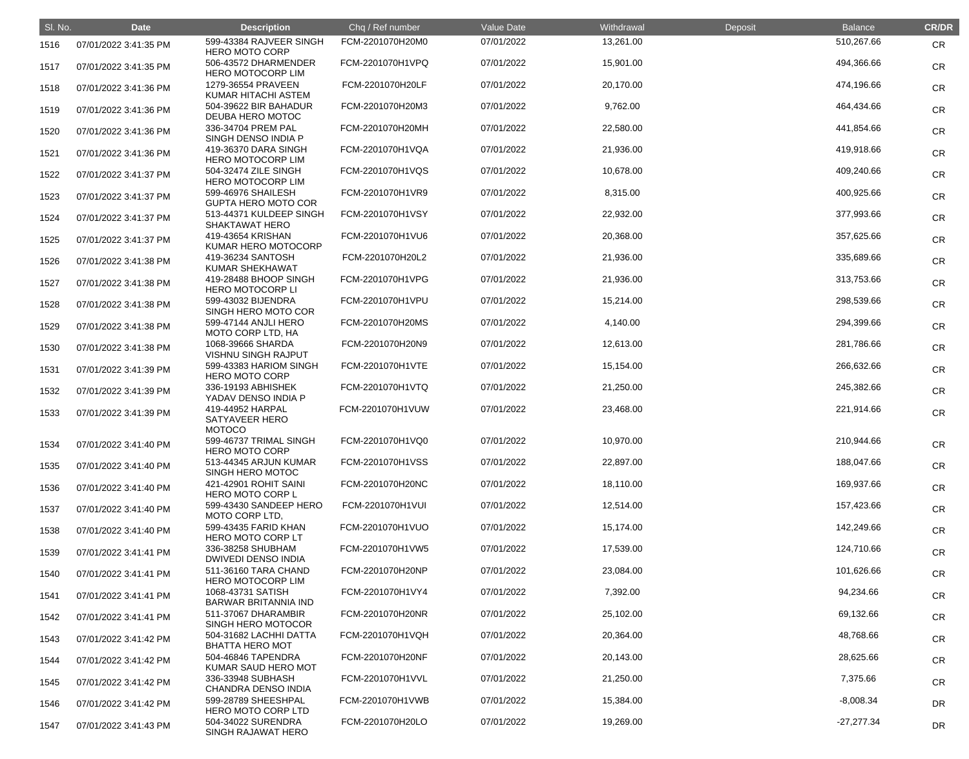| SI. No. | <b>Date</b>           | <b>Description</b>                                  | Chq / Ref number | Value Date | Withdrawal | Deposit | <b>Balance</b> | <b>CR/DR</b> |
|---------|-----------------------|-----------------------------------------------------|------------------|------------|------------|---------|----------------|--------------|
| 1516    | 07/01/2022 3:41:35 PM | 599-43384 RAJVEER SINGH<br><b>HERO MOTO CORP</b>    | FCM-2201070H20M0 | 07/01/2022 | 13,261.00  |         | 510,267.66     | <b>CR</b>    |
| 1517    | 07/01/2022 3:41:35 PM | 506-43572 DHARMENDER<br><b>HERO MOTOCORP LIM</b>    | FCM-2201070H1VPQ | 07/01/2022 | 15,901.00  |         | 494,366.66     | <b>CR</b>    |
| 1518    | 07/01/2022 3:41:36 PM | 1279-36554 PRAVEEN<br>KUMAR HITACHI ASTEM           | FCM-2201070H20LF | 07/01/2022 | 20,170.00  |         | 474,196.66     | <b>CR</b>    |
| 1519    | 07/01/2022 3:41:36 PM | 504-39622 BIR BAHADUR<br>DEUBA HERO MOTOC           | FCM-2201070H20M3 | 07/01/2022 | 9,762.00   |         | 464,434.66     | <b>CR</b>    |
| 1520    | 07/01/2022 3:41:36 PM | 336-34704 PREM PAL<br>SINGH DENSO INDIA P           | FCM-2201070H20MH | 07/01/2022 | 22,580.00  |         | 441,854.66     | <b>CR</b>    |
| 1521    | 07/01/2022 3:41:36 PM | 419-36370 DARA SINGH<br><b>HERO MOTOCORP LIM</b>    | FCM-2201070H1VQA | 07/01/2022 | 21,936.00  |         | 419,918.66     | <b>CR</b>    |
| 1522    | 07/01/2022 3:41:37 PM | 504-32474 ZILE SINGH<br><b>HERO MOTOCORP LIM</b>    | FCM-2201070H1VQS | 07/01/2022 | 10,678.00  |         | 409,240.66     | <b>CR</b>    |
| 1523    | 07/01/2022 3:41:37 PM | 599-46976 SHAILESH<br><b>GUPTA HERO MOTO COR</b>    | FCM-2201070H1VR9 | 07/01/2022 | 8,315.00   |         | 400,925.66     | <b>CR</b>    |
| 1524    | 07/01/2022 3:41:37 PM | 513-44371 KULDEEP SINGH<br>SHAKTAWAT HERO           | FCM-2201070H1VSY | 07/01/2022 | 22,932.00  |         | 377,993.66     | <b>CR</b>    |
| 1525    | 07/01/2022 3:41:37 PM | 419-43654 KRISHAN<br>KUMAR HERO MOTOCORP            | FCM-2201070H1VU6 | 07/01/2022 | 20,368.00  |         | 357,625.66     | <b>CR</b>    |
| 1526    | 07/01/2022 3:41:38 PM | 419-36234 SANTOSH<br><b>KUMAR SHEKHAWAT</b>         | FCM-2201070H20L2 | 07/01/2022 | 21,936.00  |         | 335,689.66     | <b>CR</b>    |
| 1527    | 07/01/2022 3:41:38 PM | 419-28488 BHOOP SINGH<br><b>HERO MOTOCORP LI</b>    | FCM-2201070H1VPG | 07/01/2022 | 21,936.00  |         | 313,753.66     | <b>CR</b>    |
| 1528    | 07/01/2022 3:41:38 PM | 599-43032 BIJENDRA<br>SINGH HERO MOTO COR           | FCM-2201070H1VPU | 07/01/2022 | 15,214.00  |         | 298,539.66     | <b>CR</b>    |
| 1529    | 07/01/2022 3:41:38 PM | 599-47144 ANJLI HERO<br>MOTO CORP LTD, HA           | FCM-2201070H20MS | 07/01/2022 | 4,140.00   |         | 294,399.66     | <b>CR</b>    |
| 1530    | 07/01/2022 3:41:38 PM | 1068-39666 SHARDA<br><b>VISHNU SINGH RAJPUT</b>     | FCM-2201070H20N9 | 07/01/2022 | 12,613.00  |         | 281,786.66     | <b>CR</b>    |
| 1531    | 07/01/2022 3:41:39 PM | 599-43383 HARIOM SINGH<br><b>HERO MOTO CORP</b>     | FCM-2201070H1VTE | 07/01/2022 | 15,154.00  |         | 266,632.66     | <b>CR</b>    |
| 1532    | 07/01/2022 3:41:39 PM | 336-19193 ABHISHEK<br>YADAV DENSO INDIA P           | FCM-2201070H1VTQ | 07/01/2022 | 21,250.00  |         | 245,382.66     | <b>CR</b>    |
| 1533    | 07/01/2022 3:41:39 PM | 419-44952 HARPAL<br>SATYAVEER HERO<br><b>MOTOCO</b> | FCM-2201070H1VUW | 07/01/2022 | 23,468.00  |         | 221,914.66     | <b>CR</b>    |
| 1534    | 07/01/2022 3:41:40 PM | 599-46737 TRIMAL SINGH<br><b>HERO MOTO CORP</b>     | FCM-2201070H1VQ0 | 07/01/2022 | 10,970.00  |         | 210,944.66     | CR           |
| 1535    | 07/01/2022 3:41:40 PM | 513-44345 ARJUN KUMAR<br>SINGH HERO MOTOC           | FCM-2201070H1VSS | 07/01/2022 | 22,897.00  |         | 188,047.66     | <b>CR</b>    |
| 1536    | 07/01/2022 3:41:40 PM | 421-42901 ROHIT SAINI<br><b>HERO MOTO CORP L</b>    | FCM-2201070H20NC | 07/01/2022 | 18,110.00  |         | 169,937.66     | <b>CR</b>    |
| 1537    | 07/01/2022 3:41:40 PM | 599-43430 SANDEEP HERO<br>MOTO CORP LTD,            | FCM-2201070H1VUI | 07/01/2022 | 12,514.00  |         | 157,423.66     | <b>CR</b>    |
| 1538    | 07/01/2022 3:41:40 PM | 599-43435 FARID KHAN<br>HERO MOTO CORP LT           | FCM-2201070H1VUO | 07/01/2022 | 15,174.00  |         | 142,249.66     | <b>CR</b>    |
| 1539    | 07/01/2022 3:41:41 PM | 336-38258 SHUBHAM<br><b>DWIVEDI DENSO INDIA</b>     | FCM-2201070H1VW5 | 07/01/2022 | 17,539.00  |         | 124,710.66     | <b>CR</b>    |
| 1540    | 07/01/2022 3:41:41 PM | 511-36160 TARA CHAND<br><b>HERO MOTOCORP LIM</b>    | FCM-2201070H20NP | 07/01/2022 | 23,084.00  |         | 101,626.66     | <b>CR</b>    |
| 1541    | 07/01/2022 3:41:41 PM | 1068-43731 SATISH<br><b>BARWAR BRITANNIA IND</b>    | FCM-2201070H1VY4 | 07/01/2022 | 7,392.00   |         | 94,234.66      | <b>CR</b>    |
| 1542    | 07/01/2022 3:41:41 PM | 511-37067 DHARAMBIR<br>SINGH HERO MOTOCOR           | FCM-2201070H20NR | 07/01/2022 | 25,102.00  |         | 69,132.66      | <b>CR</b>    |
| 1543    | 07/01/2022 3:41:42 PM | 504-31682 LACHHI DATTA<br><b>BHATTA HERO MOT</b>    | FCM-2201070H1VQH | 07/01/2022 | 20,364.00  |         | 48,768.66      | <b>CR</b>    |
| 1544    | 07/01/2022 3:41:42 PM | 504-46846 TAPENDRA<br>KUMAR SAUD HERO MOT           | FCM-2201070H20NF | 07/01/2022 | 20,143.00  |         | 28,625.66      | <b>CR</b>    |
| 1545    | 07/01/2022 3:41:42 PM | 336-33948 SUBHASH<br>CHANDRA DENSO INDIA            | FCM-2201070H1VVL | 07/01/2022 | 21,250.00  |         | 7,375.66       | <b>CR</b>    |
| 1546    | 07/01/2022 3:41:42 PM | 599-28789 SHEESHPAL<br><b>HERO MOTO CORP LTD</b>    | FCM-2201070H1VWB | 07/01/2022 | 15,384.00  |         | $-8,008.34$    | <b>DR</b>    |
| 1547    | 07/01/2022 3:41:43 PM | 504-34022 SURENDRA<br>SINGH RAJAWAT HERO            | FCM-2201070H20LO | 07/01/2022 | 19,269.00  |         | $-27,277.34$   | <b>DR</b>    |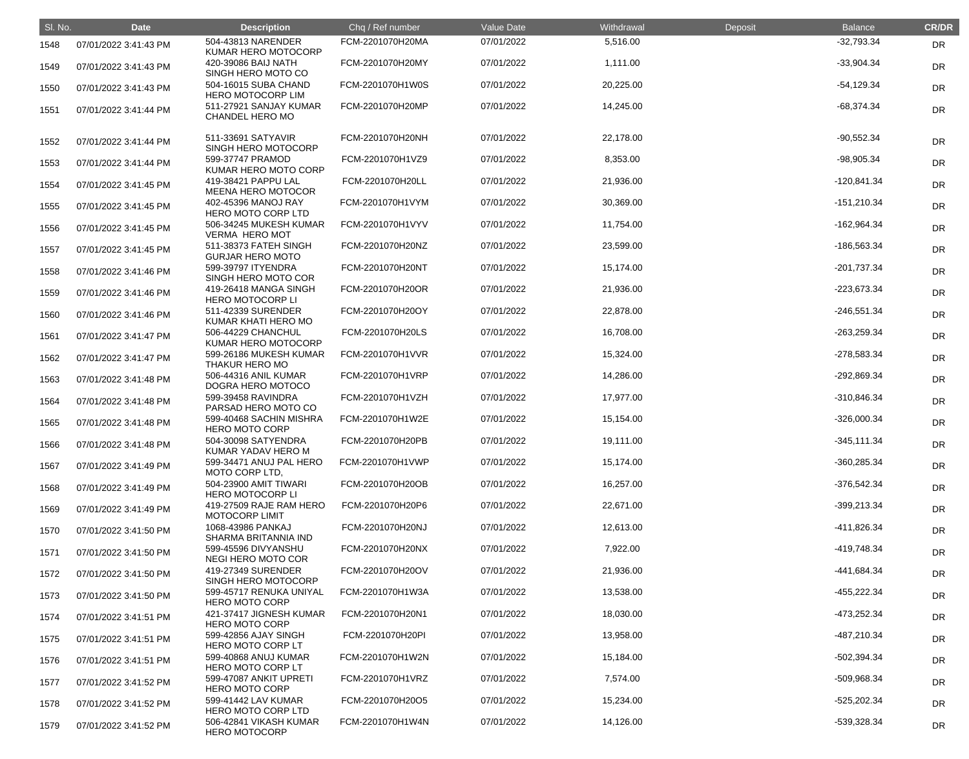| SI. No. | <b>Date</b>           | <b>Description</b>                               | Chq / Ref number | <b>Value Date</b> | Withdrawal | Deposit | <b>Balance</b> | <b>CR/DR</b> |
|---------|-----------------------|--------------------------------------------------|------------------|-------------------|------------|---------|----------------|--------------|
| 1548    | 07/01/2022 3:41:43 PM | 504-43813 NARENDER<br>KUMAR HERO MOTOCORP        | FCM-2201070H20MA | 07/01/2022        | 5,516.00   |         | $-32,793.34$   | <b>DR</b>    |
| 1549    | 07/01/2022 3:41:43 PM | 420-39086 BAIJ NATH<br>SINGH HERO MOTO CO        | FCM-2201070H20MY | 07/01/2022        | 1,111.00   |         | $-33,904.34$   | DR           |
| 1550    | 07/01/2022 3:41:43 PM | 504-16015 SUBA CHAND<br><b>HERO MOTOCORP LIM</b> | FCM-2201070H1W0S | 07/01/2022        | 20,225.00  |         | $-54,129.34$   | DR           |
| 1551    | 07/01/2022 3:41:44 PM | 511-27921 SANJAY KUMAR<br>CHANDEL HERO MO        | FCM-2201070H20MP | 07/01/2022        | 14,245.00  |         | $-68,374.34$   | DR           |
| 1552    | 07/01/2022 3:41:44 PM | 511-33691 SATYAVIR<br>SINGH HERO MOTOCORP        | FCM-2201070H20NH | 07/01/2022        | 22,178.00  |         | $-90,552.34$   | DR           |
| 1553    | 07/01/2022 3:41:44 PM | 599-37747 PRAMOD<br>KUMAR HERO MOTO CORP         | FCM-2201070H1VZ9 | 07/01/2022        | 8,353.00   |         | $-98,905.34$   | DR           |
| 1554    | 07/01/2022 3:41:45 PM | 419-38421 PAPPU LAL<br><b>MEENA HERO MOTOCOR</b> | FCM-2201070H20LL | 07/01/2022        | 21,936.00  |         | $-120,841.34$  | DR           |
| 1555    | 07/01/2022 3:41:45 PM | 402-45396 MANOJ RAY<br>HERO MOTO CORP LTD        | FCM-2201070H1VYM | 07/01/2022        | 30,369.00  |         | $-151,210.34$  | DR           |
| 1556    | 07/01/2022 3:41:45 PM | 506-34245 MUKESH KUMAR<br><b>VERMA HERO MOT</b>  | FCM-2201070H1VYV | 07/01/2022        | 11,754.00  |         | $-162,964.34$  | DR           |
| 1557    | 07/01/2022 3:41:45 PM | 511-38373 FATEH SINGH<br><b>GURJAR HERO MOTO</b> | FCM-2201070H20NZ | 07/01/2022        | 23,599.00  |         | -186,563.34    | DR           |
| 1558    | 07/01/2022 3:41:46 PM | 599-39797 ITYENDRA<br>SINGH HERO MOTO COR        | FCM-2201070H20NT | 07/01/2022        | 15,174.00  |         | $-201,737.34$  | DR           |
| 1559    | 07/01/2022 3:41:46 PM | 419-26418 MANGA SINGH<br><b>HERO MOTOCORP LI</b> | FCM-2201070H20OR | 07/01/2022        | 21,936.00  |         | $-223,673.34$  | DR           |
| 1560    | 07/01/2022 3:41:46 PM | 511-42339 SURENDER<br>KUMAR KHATI HERO MO        | FCM-2201070H20OY | 07/01/2022        | 22,878.00  |         | $-246,551.34$  | DR           |
| 1561    | 07/01/2022 3:41:47 PM | 506-44229 CHANCHUL<br>KUMAR HERO MOTOCORP        | FCM-2201070H20LS | 07/01/2022        | 16,708.00  |         | $-263,259.34$  | DR           |
| 1562    | 07/01/2022 3:41:47 PM | 599-26186 MUKESH KUMAR<br>THAKUR HERO MO         | FCM-2201070H1VVR | 07/01/2022        | 15,324.00  |         | -278,583.34    | DR           |
| 1563    | 07/01/2022 3:41:48 PM | 506-44316 ANIL KUMAR<br>DOGRA HERO MOTOCO        | FCM-2201070H1VRP | 07/01/2022        | 14,286.00  |         | -292,869.34    | DR           |
| 1564    | 07/01/2022 3:41:48 PM | 599-39458 RAVINDRA<br>PARSAD HERO MOTO CO        | FCM-2201070H1VZH | 07/01/2022        | 17,977.00  |         | $-310,846.34$  | DR           |
| 1565    | 07/01/2022 3:41:48 PM | 599-40468 SACHIN MISHRA<br><b>HERO MOTO CORP</b> | FCM-2201070H1W2E | 07/01/2022        | 15,154.00  |         | $-326,000.34$  | DR           |
| 1566    | 07/01/2022 3:41:48 PM | 504-30098 SATYENDRA<br>KUMAR YADAV HERO M        | FCM-2201070H20PB | 07/01/2022        | 19,111.00  |         | $-345,111.34$  | <b>DR</b>    |
| 1567    | 07/01/2022 3:41:49 PM | 599-34471 ANUJ PAL HERO<br>MOTO CORP LTD,        | FCM-2201070H1VWP | 07/01/2022        | 15,174.00  |         | $-360,285.34$  | <b>DR</b>    |
| 1568    | 07/01/2022 3:41:49 PM | 504-23900 AMIT TIWARI<br><b>HERO MOTOCORP LI</b> | FCM-2201070H20OB | 07/01/2022        | 16,257.00  |         | $-376,542.34$  | DR           |
| 1569    | 07/01/2022 3:41:49 PM | 419-27509 RAJE RAM HERO<br><b>MOTOCORP LIMIT</b> | FCM-2201070H20P6 | 07/01/2022        | 22,671.00  |         | $-399,213.34$  | <b>DR</b>    |
| 1570    | 07/01/2022 3:41:50 PM | 1068-43986 PANKAJ<br>SHARMA BRITANNIA IND        | FCM-2201070H20NJ | 07/01/2022        | 12,613.00  |         | -411,826.34    | <b>DR</b>    |
| 1571    | 07/01/2022 3:41:50 PM | 599-45596 DIVYANSHU<br>NEGI HERO MOTO COR        | FCM-2201070H20NX | 07/01/2022        | 7,922.00   |         | -419,748.34    | <b>DR</b>    |
| 1572    | 07/01/2022 3:41:50 PM | 419-27349 SURENDER<br>SINGH HERO MOTOCORP        | FCM-2201070H20OV | 07/01/2022        | 21,936.00  |         | -441,684.34    | DR           |
| 1573    | 07/01/2022 3:41:50 PM | 599-45717 RENUKA UNIYAL<br><b>HERO MOTO CORP</b> | FCM-2201070H1W3A | 07/01/2022        | 13,538.00  |         | $-455,222.34$  | <b>DR</b>    |
| 1574    | 07/01/2022 3:41:51 PM | 421-37417 JIGNESH KUMAR<br><b>HERO MOTO CORP</b> | FCM-2201070H20N1 | 07/01/2022        | 18,030.00  |         | -473,252.34    | <b>DR</b>    |
| 1575    | 07/01/2022 3:41:51 PM | 599-42856 AJAY SINGH<br>HERO MOTO CORP LT        | FCM-2201070H20PI | 07/01/2022        | 13,958.00  |         | -487,210.34    | <b>DR</b>    |
| 1576    | 07/01/2022 3:41:51 PM | 599-40868 ANUJ KUMAR<br>HERO MOTO CORP LT        | FCM-2201070H1W2N | 07/01/2022        | 15,184.00  |         | $-502,394.34$  | DR           |
| 1577    | 07/01/2022 3:41:52 PM | 599-47087 ANKIT UPRETI<br><b>HERO MOTO CORP</b>  | FCM-2201070H1VRZ | 07/01/2022        | 7,574.00   |         | -509,968.34    | <b>DR</b>    |
| 1578    | 07/01/2022 3:41:52 PM | 599-41442 LAV KUMAR<br>HERO MOTO CORP LTD        | FCM-2201070H20O5 | 07/01/2022        | 15,234.00  |         | $-525,202.34$  | DR           |
| 1579    | 07/01/2022 3:41:52 PM | 506-42841 VIKASH KUMAR<br><b>HERO MOTOCORP</b>   | FCM-2201070H1W4N | 07/01/2022        | 14,126.00  |         | -539,328.34    | DR           |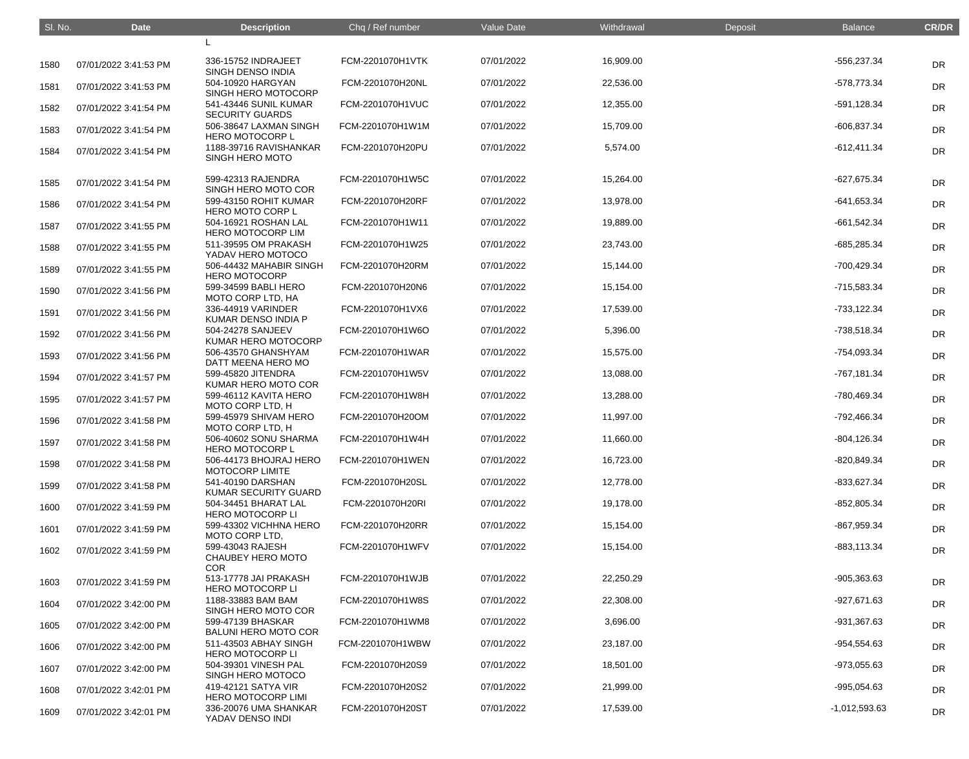| SI. No. | <b>Date</b>           | <b>Description</b>                                  | Chq / Ref number | <b>Value Date</b> | Withdrawal | Deposit | <b>Balance</b>  | <b>CR/DR</b> |
|---------|-----------------------|-----------------------------------------------------|------------------|-------------------|------------|---------|-----------------|--------------|
|         |                       |                                                     |                  |                   |            |         |                 |              |
| 1580    | 07/01/2022 3:41:53 PM | 336-15752 INDRAJEET<br>SINGH DENSO INDIA            | FCM-2201070H1VTK | 07/01/2022        | 16,909.00  |         | -556,237.34     | <b>DR</b>    |
| 1581    | 07/01/2022 3:41:53 PM | 504-10920 HARGYAN<br>SINGH HERO MOTOCORP            | FCM-2201070H20NL | 07/01/2022        | 22,536.00  |         | -578,773.34     | <b>DR</b>    |
| 1582    | 07/01/2022 3:41:54 PM | 541-43446 SUNIL KUMAR<br><b>SECURITY GUARDS</b>     | FCM-2201070H1VUC | 07/01/2022        | 12,355.00  |         | -591,128.34     | <b>DR</b>    |
| 1583    | 07/01/2022 3:41:54 PM | 506-38647 LAXMAN SINGH<br><b>HERO MOTOCORP L</b>    | FCM-2201070H1W1M | 07/01/2022        | 15,709.00  |         | $-606,837.34$   | <b>DR</b>    |
| 1584    | 07/01/2022 3:41:54 PM | 1188-39716 RAVISHANKAR<br>SINGH HERO MOTO           | FCM-2201070H20PU | 07/01/2022        | 5,574.00   |         | $-612,411.34$   | <b>DR</b>    |
| 1585    | 07/01/2022 3:41:54 PM | 599-42313 RAJENDRA<br>SINGH HERO MOTO COR           | FCM-2201070H1W5C | 07/01/2022        | 15,264.00  |         | $-627,675.34$   | <b>DR</b>    |
| 1586    | 07/01/2022 3:41:54 PM | 599-43150 ROHIT KUMAR<br><b>HERO MOTO CORP L</b>    | FCM-2201070H20RF | 07/01/2022        | 13,978.00  |         | $-641,653.34$   | DR           |
| 1587    | 07/01/2022 3:41:55 PM | 504-16921 ROSHAN LAL<br><b>HERO MOTOCORP LIM</b>    | FCM-2201070H1W11 | 07/01/2022        | 19,889.00  |         | $-661,542.34$   | <b>DR</b>    |
| 1588    | 07/01/2022 3:41:55 PM | 511-39595 OM PRAKASH<br>YADAV HERO MOTOCO           | FCM-2201070H1W25 | 07/01/2022        | 23,743.00  |         | -685,285.34     | <b>DR</b>    |
| 1589    | 07/01/2022 3:41:55 PM | 506-44432 MAHABIR SINGH<br><b>HERO MOTOCORP</b>     | FCM-2201070H20RM | 07/01/2022        | 15,144.00  |         | -700,429.34     | DR           |
| 1590    | 07/01/2022 3:41:56 PM | 599-34599 BABLI HERO<br>MOTO CORP LTD, HA           | FCM-2201070H20N6 | 07/01/2022        | 15,154.00  |         | -715,583.34     | <b>DR</b>    |
| 1591    | 07/01/2022 3:41:56 PM | 336-44919 VARINDER<br>KUMAR DENSO INDIA P           | FCM-2201070H1VX6 | 07/01/2022        | 17,539.00  |         | -733,122.34     | <b>DR</b>    |
| 1592    | 07/01/2022 3:41:56 PM | 504-24278 SANJEEV<br>KUMAR HERO MOTOCORP            | FCM-2201070H1W6O | 07/01/2022        | 5,396.00   |         | -738,518.34     | DR           |
| 1593    | 07/01/2022 3:41:56 PM | 506-43570 GHANSHYAM<br>DATT MEENA HERO MO           | FCM-2201070H1WAR | 07/01/2022        | 15,575.00  |         | -754,093.34     | <b>DR</b>    |
| 1594    | 07/01/2022 3:41:57 PM | 599-45820 JITENDRA<br>KUMAR HERO MOTO COR           | FCM-2201070H1W5V | 07/01/2022        | 13,088.00  |         | -767,181.34     | <b>DR</b>    |
| 1595    | 07/01/2022 3:41:57 PM | 599-46112 KAVITA HERO<br>MOTO CORP LTD, H           | FCM-2201070H1W8H | 07/01/2022        | 13,288.00  |         | -780,469.34     | <b>DR</b>    |
| 1596    | 07/01/2022 3:41:58 PM | 599-45979 SHIVAM HERO<br>MOTO CORP LTD, H           | FCM-2201070H20OM | 07/01/2022        | 11,997.00  |         | -792,466.34     | <b>DR</b>    |
| 1597    | 07/01/2022 3:41:58 PM | 506-40602 SONU SHARMA<br><b>HERO MOTOCORP L</b>     | FCM-2201070H1W4H | 07/01/2022        | 11,660.00  |         | $-804, 126.34$  | DR           |
| 1598    | 07/01/2022 3:41:58 PM | 506-44173 BHOJRAJ HERO<br>MOTOCORP LIMITE           | FCM-2201070H1WEN | 07/01/2022        | 16,723.00  |         | $-820,849.34$   | DR           |
| 1599    | 07/01/2022 3:41:58 PM | 541-40190 DARSHAN<br>KUMAR SECURITY GUARD           | FCM-2201070H20SL | 07/01/2022        | 12,778.00  |         | $-833,627.34$   | DR           |
| 1600    | 07/01/2022 3:41:59 PM | 504-34451 BHARAT LAL<br><b>HERO MOTOCORP LI</b>     | FCM-2201070H20RI | 07/01/2022        | 19,178.00  |         | $-852,805.34$   | DR           |
| 1601    | 07/01/2022 3:41:59 PM | 599-43302 VICHHNA HERO<br>MOTO CORP LTD,            | FCM-2201070H20RR | 07/01/2022        | 15,154.00  |         | -867,959.34     | DR           |
| 1602    | 07/01/2022 3:41:59 PM | 599-43043 RAJESH<br>CHAUBEY HERO MOTO<br><b>COR</b> | FCM-2201070H1WFV | 07/01/2022        | 15,154.00  |         | $-883, 113.34$  | DR           |
| 1603    | 07/01/2022 3:41:59 PM | 513-17778 JAI PRAKASH<br><b>HERO MOTOCORP LI</b>    | FCM-2201070H1WJB | 07/01/2022        | 22,250.29  |         | $-905,363.63$   | DR           |
| 1604    | 07/01/2022 3:42:00 PM | 1188-33883 BAM BAM<br>SINGH HERO MOTO COR           | FCM-2201070H1W8S | 07/01/2022        | 22,308.00  |         | $-927,671.63$   | DR           |
| 1605    | 07/01/2022 3:42:00 PM | 599-47139 BHASKAR<br><b>BALUNI HERO MOTO COR</b>    | FCM-2201070H1WM8 | 07/01/2022        | 3,696.00   |         | -931,367.63     | DR           |
| 1606    | 07/01/2022 3:42:00 PM | 511-43503 ABHAY SINGH<br><b>HERO MOTOCORP LI</b>    | FCM-2201070H1WBW | 07/01/2022        | 23,187.00  |         | $-954,554.63$   | DR           |
| 1607    | 07/01/2022 3:42:00 PM | 504-39301 VINESH PAL<br>SINGH HERO MOTOCO           | FCM-2201070H20S9 | 07/01/2022        | 18,501.00  |         | $-973,055.63$   | DR           |
| 1608    | 07/01/2022 3:42:01 PM | 419-42121 SATYA VIR<br><b>HERO MOTOCORP LIMI</b>    | FCM-2201070H20S2 | 07/01/2022        | 21,999.00  |         | -995,054.63     | DR           |
| 1609    | 07/01/2022 3:42:01 PM | 336-20076 UMA SHANKAR<br>YADAV DENSO INDI           | FCM-2201070H20ST | 07/01/2022        | 17,539.00  |         | $-1,012,593.63$ | DR           |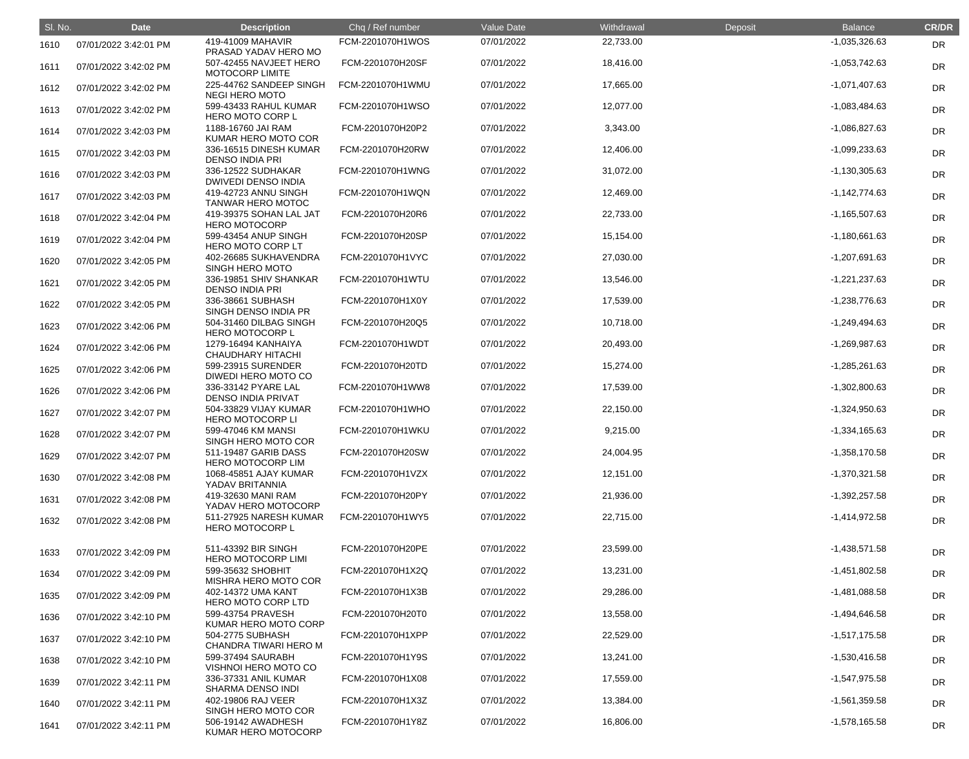| SI. No. | <b>Date</b>           | <b>Description</b>                               | Chq / Ref number | Value Date | Withdrawal | Deposit | <b>Balance</b>  | <b>CR/DR</b> |
|---------|-----------------------|--------------------------------------------------|------------------|------------|------------|---------|-----------------|--------------|
| 1610    | 07/01/2022 3:42:01 PM | 419-41009 MAHAVIR<br>PRASAD YADAV HERO MO        | FCM-2201070H1WOS | 07/01/2022 | 22,733.00  |         | $-1,035,326.63$ | DR           |
| 1611    | 07/01/2022 3:42:02 PM | 507-42455 NAVJEET HERO<br>MOTOCORP LIMITE        | FCM-2201070H20SF | 07/01/2022 | 18,416.00  |         | $-1,053,742.63$ | <b>DR</b>    |
| 1612    | 07/01/2022 3:42:02 PM | 225-44762 SANDEEP SINGH<br><b>NEGI HERO MOTO</b> | FCM-2201070H1WMU | 07/01/2022 | 17,665.00  |         | $-1,071,407.63$ | <b>DR</b>    |
| 1613    | 07/01/2022 3:42:02 PM | 599-43433 RAHUL KUMAR<br><b>HERO MOTO CORP L</b> | FCM-2201070H1WSO | 07/01/2022 | 12,077.00  |         | $-1,083,484.63$ | <b>DR</b>    |
| 1614    | 07/01/2022 3:42:03 PM | 1188-16760 JAI RAM<br>KUMAR HERO MOTO COR        | FCM-2201070H20P2 | 07/01/2022 | 3,343.00   |         | -1,086,827.63   | <b>DR</b>    |
| 1615    | 07/01/2022 3:42:03 PM | 336-16515 DINESH KUMAR<br><b>DENSO INDIA PRI</b> | FCM-2201070H20RW | 07/01/2022 | 12,406.00  |         | $-1,099,233.63$ | <b>DR</b>    |
| 1616    | 07/01/2022 3:42:03 PM | 336-12522 SUDHAKAR<br><b>DWIVEDI DENSO INDIA</b> | FCM-2201070H1WNG | 07/01/2022 | 31,072.00  |         | $-1,130,305.63$ | <b>DR</b>    |
| 1617    | 07/01/2022 3:42:03 PM | 419-42723 ANNU SINGH<br>TANWAR HERO MOTOC        | FCM-2201070H1WQN | 07/01/2022 | 12,469.00  |         | $-1,142,774.63$ | <b>DR</b>    |
| 1618    | 07/01/2022 3:42:04 PM | 419-39375 SOHAN LAL JAT<br><b>HERO MOTOCORP</b>  | FCM-2201070H20R6 | 07/01/2022 | 22,733.00  |         | $-1,165,507.63$ | DR           |
| 1619    | 07/01/2022 3:42:04 PM | 599-43454 ANUP SINGH<br>HERO MOTO CORP LT        | FCM-2201070H20SP | 07/01/2022 | 15,154.00  |         | $-1,180,661.63$ | <b>DR</b>    |
| 1620    | 07/01/2022 3:42:05 PM | 402-26685 SUKHAVENDRA<br><b>SINGH HERO MOTO</b>  | FCM-2201070H1VYC | 07/01/2022 | 27,030.00  |         | -1,207,691.63   | <b>DR</b>    |
| 1621    | 07/01/2022 3:42:05 PM | 336-19851 SHIV SHANKAR<br><b>DENSO INDIA PRI</b> | FCM-2201070H1WTU | 07/01/2022 | 13,546.00  |         | $-1,221,237.63$ | <b>DR</b>    |
| 1622    | 07/01/2022 3:42:05 PM | 336-38661 SUBHASH<br>SINGH DENSO INDIA PR        | FCM-2201070H1X0Y | 07/01/2022 | 17,539.00  |         | -1,238,776.63   | DR           |
| 1623    | 07/01/2022 3:42:06 PM | 504-31460 DILBAG SINGH<br><b>HERO MOTOCORP L</b> | FCM-2201070H20Q5 | 07/01/2022 | 10,718.00  |         | $-1,249,494.63$ | <b>DR</b>    |
| 1624    | 07/01/2022 3:42:06 PM | 1279-16494 KANHAIYA<br><b>CHAUDHARY HITACHI</b>  | FCM-2201070H1WDT | 07/01/2022 | 20,493.00  |         | -1,269,987.63   | <b>DR</b>    |
| 1625    | 07/01/2022 3:42:06 PM | 599-23915 SURENDER<br>DIWEDI HERO MOTO CO        | FCM-2201070H20TD | 07/01/2022 | 15,274.00  |         | $-1,285,261.63$ | <b>DR</b>    |
| 1626    | 07/01/2022 3:42:06 PM | 336-33142 PYARE LAL<br><b>DENSO INDIA PRIVAT</b> | FCM-2201070H1WW8 | 07/01/2022 | 17,539.00  |         | $-1,302,800.63$ | <b>DR</b>    |
| 1627    | 07/01/2022 3:42:07 PM | 504-33829 VIJAY KUMAR<br><b>HERO MOTOCORP LI</b> | FCM-2201070H1WHO | 07/01/2022 | 22,150.00  |         | $-1,324,950.63$ | DR           |
| 1628    | 07/01/2022 3:42:07 PM | 599-47046 KM MANSI<br>SINGH HERO MOTO COR        | FCM-2201070H1WKU | 07/01/2022 | 9,215.00   |         | $-1,334,165.63$ | <b>DR</b>    |
| 1629    | 07/01/2022 3:42:07 PM | 511-19487 GARIB DASS<br><b>HERO MOTOCORP LIM</b> | FCM-2201070H20SW | 07/01/2022 | 24,004.95  |         | $-1,358,170.58$ | <b>DR</b>    |
| 1630    | 07/01/2022 3:42:08 PM | 1068-45851 AJAY KUMAR<br>YADAV BRITANNIA         | FCM-2201070H1VZX | 07/01/2022 | 12,151.00  |         | $-1,370,321.58$ | <b>DR</b>    |
| 1631    | 07/01/2022 3:42:08 PM | 419-32630 MANI RAM<br>YADAV HERO MOTOCORP        | FCM-2201070H20PY | 07/01/2022 | 21,936.00  |         | $-1,392,257.58$ | <b>DR</b>    |
| 1632    | 07/01/2022 3:42:08 PM | 511-27925 NARESH KUMAR<br><b>HERO MOTOCORP L</b> | FCM-2201070H1WY5 | 07/01/2022 | 22,715.00  |         | $-1,414,972.58$ | <b>DR</b>    |
| 1633    | 07/01/2022 3:42:09 PM | 511-43392 BIR SINGH<br><b>HERO MOTOCORP LIMI</b> | FCM-2201070H20PE | 07/01/2022 | 23,599.00  |         | $-1,438,571.58$ | DR           |
| 1634    | 07/01/2022 3:42:09 PM | 599-35632 SHOBHIT<br><b>MISHRA HERO MOTO COR</b> | FCM-2201070H1X2Q | 07/01/2022 | 13,231.00  |         | $-1,451,802.58$ | <b>DR</b>    |
| 1635    | 07/01/2022 3:42:09 PM | 402-14372 UMA KANT<br>HERO MOTO CORP LTD         | FCM-2201070H1X3B | 07/01/2022 | 29,286.00  |         | $-1,481,088.58$ | <b>DR</b>    |
| 1636    | 07/01/2022 3:42:10 PM | 599-43754 PRAVESH<br>KUMAR HERO MOTO CORP        | FCM-2201070H20T0 | 07/01/2022 | 13,558.00  |         | $-1,494,646.58$ | <b>DR</b>    |
| 1637    | 07/01/2022 3:42:10 PM | 504-2775 SUBHASH<br><b>CHANDRA TIWARI HERO M</b> | FCM-2201070H1XPP | 07/01/2022 | 22,529.00  |         | $-1,517,175.58$ | <b>DR</b>    |
| 1638    | 07/01/2022 3:42:10 PM | 599-37494 SAURABH<br>VISHNOI HERO MOTO CO        | FCM-2201070H1Y9S | 07/01/2022 | 13,241.00  |         | $-1,530,416.58$ | <b>DR</b>    |
| 1639    | 07/01/2022 3:42:11 PM | 336-37331 ANIL KUMAR<br><b>SHARMA DENSO INDI</b> | FCM-2201070H1X08 | 07/01/2022 | 17,559.00  |         | $-1,547,975.58$ | DR           |
| 1640    | 07/01/2022 3:42:11 PM | 402-19806 RAJ VEER<br>SINGH HERO MOTO COR        | FCM-2201070H1X3Z | 07/01/2022 | 13,384.00  |         | $-1,561,359.58$ | <b>DR</b>    |
| 1641    | 07/01/2022 3:42:11 PM | 506-19142 AWADHESH<br>KUMAR HERO MOTOCORP        | FCM-2201070H1Y8Z | 07/01/2022 | 16,806.00  |         | $-1,578,165.58$ | <b>DR</b>    |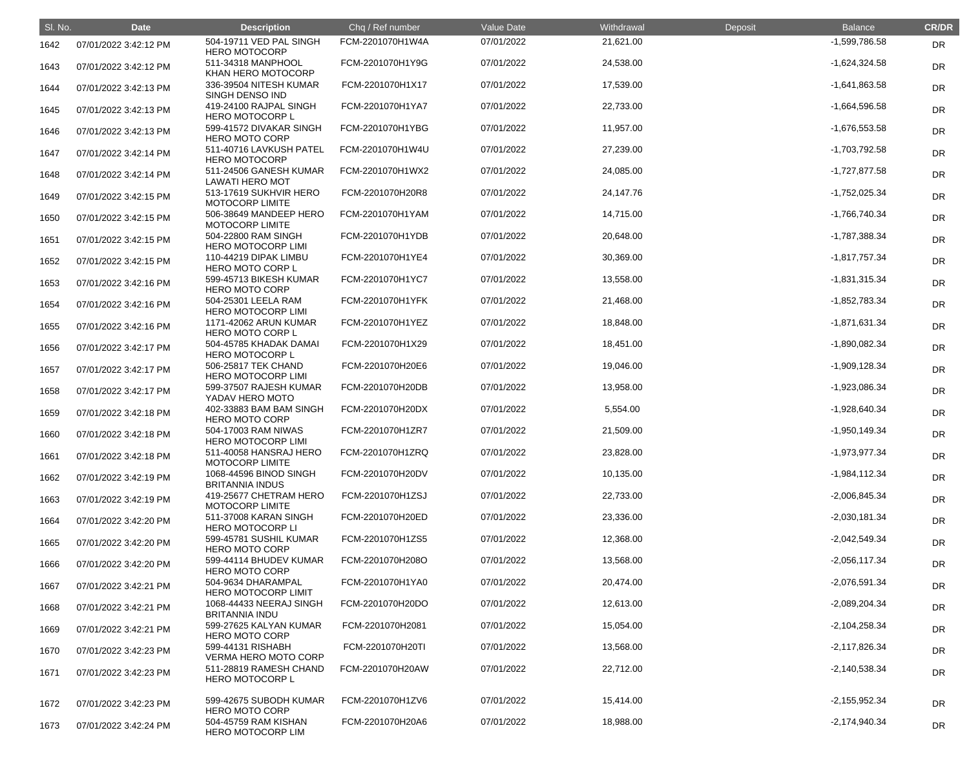| SI. No. | <b>Date</b>           | <b>Description</b>                               | Chq / Ref number | Value Date | Withdrawal | Deposit | <b>Balance</b>  | <b>CR/DR</b> |
|---------|-----------------------|--------------------------------------------------|------------------|------------|------------|---------|-----------------|--------------|
| 1642    | 07/01/2022 3:42:12 PM | 504-19711 VED PAL SINGH<br><b>HERO MOTOCORP</b>  | FCM-2201070H1W4A | 07/01/2022 | 21,621.00  |         | -1,599,786.58   | DR           |
| 1643    | 07/01/2022 3:42:12 PM | 511-34318 MANPHOOL<br>KHAN HERO MOTOCORP         | FCM-2201070H1Y9G | 07/01/2022 | 24,538.00  |         | $-1,624,324.58$ | <b>DR</b>    |
| 1644    | 07/01/2022 3:42:13 PM | 336-39504 NITESH KUMAR<br>SINGH DENSO IND        | FCM-2201070H1X17 | 07/01/2022 | 17,539.00  |         | $-1,641,863.58$ | <b>DR</b>    |
| 1645    | 07/01/2022 3:42:13 PM | 419-24100 RAJPAL SINGH<br><b>HERO MOTOCORP L</b> | FCM-2201070H1YA7 | 07/01/2022 | 22,733.00  |         | $-1,664,596.58$ | <b>DR</b>    |
| 1646    | 07/01/2022 3:42:13 PM | 599-41572 DIVAKAR SINGH<br><b>HERO MOTO CORP</b> | FCM-2201070H1YBG | 07/01/2022 | 11,957.00  |         | $-1,676,553.58$ | <b>DR</b>    |
| 1647    | 07/01/2022 3:42:14 PM | 511-40716 LAVKUSH PATEL<br><b>HERO MOTOCORP</b>  | FCM-2201070H1W4U | 07/01/2022 | 27,239.00  |         | -1,703,792.58   | <b>DR</b>    |
| 1648    | 07/01/2022 3:42:14 PM | 511-24506 GANESH KUMAR<br><b>LAWATI HERO MOT</b> | FCM-2201070H1WX2 | 07/01/2022 | 24,085.00  |         | $-1,727,877.58$ | <b>DR</b>    |
| 1649    | 07/01/2022 3:42:15 PM | 513-17619 SUKHVIR HERO<br><b>MOTOCORP LIMITE</b> | FCM-2201070H20R8 | 07/01/2022 | 24,147.76  |         | $-1,752,025.34$ | <b>DR</b>    |
| 1650    | 07/01/2022 3:42:15 PM | 506-38649 MANDEEP HERO<br><b>MOTOCORP LIMITE</b> | FCM-2201070H1YAM | 07/01/2022 | 14,715.00  |         | -1,766,740.34   | <b>DR</b>    |
| 1651    | 07/01/2022 3:42:15 PM | 504-22800 RAM SINGH<br><b>HERO MOTOCORP LIMI</b> | FCM-2201070H1YDB | 07/01/2022 | 20,648.00  |         | -1,787,388.34   | <b>DR</b>    |
| 1652    | 07/01/2022 3:42:15 PM | 110-44219 DIPAK LIMBU<br><b>HERO MOTO CORP L</b> | FCM-2201070H1YE4 | 07/01/2022 | 30,369.00  |         | $-1,817,757.34$ | DR           |
| 1653    | 07/01/2022 3:42:16 PM | 599-45713 BIKESH KUMAR<br><b>HERO MOTO CORP</b>  | FCM-2201070H1YC7 | 07/01/2022 | 13,558.00  |         | $-1,831,315.34$ | <b>DR</b>    |
| 1654    | 07/01/2022 3:42:16 PM | 504-25301 LEELA RAM<br><b>HERO MOTOCORP LIMI</b> | FCM-2201070H1YFK | 07/01/2022 | 21,468.00  |         | -1,852,783.34   | <b>DR</b>    |
| 1655    | 07/01/2022 3:42:16 PM | 1171-42062 ARUN KUMAR<br><b>HERO MOTO CORP L</b> | FCM-2201070H1YEZ | 07/01/2022 | 18,848.00  |         | $-1,871,631.34$ | <b>DR</b>    |
| 1656    | 07/01/2022 3:42:17 PM | 504-45785 KHADAK DAMAI<br><b>HERO MOTOCORP L</b> | FCM-2201070H1X29 | 07/01/2022 | 18,451.00  |         | -1,890,082.34   | <b>DR</b>    |
| 1657    | 07/01/2022 3:42:17 PM | 506-25817 TEK CHAND<br><b>HERO MOTOCORP LIMI</b> | FCM-2201070H20E6 | 07/01/2022 | 19,046.00  |         | $-1,909,128.34$ | <b>DR</b>    |
| 1658    | 07/01/2022 3:42:17 PM | 599-37507 RAJESH KUMAR<br>YADAV HERO MOTO        | FCM-2201070H20DB | 07/01/2022 | 13,958.00  |         | -1,923,086.34   | <b>DR</b>    |
| 1659    | 07/01/2022 3:42:18 PM | 402-33883 BAM BAM SINGH<br><b>HERO MOTO CORP</b> | FCM-2201070H20DX | 07/01/2022 | 5,554.00   |         | -1,928,640.34   | DR           |
| 1660    | 07/01/2022 3:42:18 PM | 504-17003 RAM NIWAS<br><b>HERO MOTOCORP LIMI</b> | FCM-2201070H1ZR7 | 07/01/2022 | 21,509.00  |         | $-1,950,149.34$ | <b>DR</b>    |
| 1661    | 07/01/2022 3:42:18 PM | 511-40058 HANSRAJ HERO<br><b>MOTOCORP LIMITE</b> | FCM-2201070H1ZRQ | 07/01/2022 | 23,828.00  |         | -1,973,977.34   | <b>DR</b>    |
| 1662    | 07/01/2022 3:42:19 PM | 1068-44596 BINOD SINGH<br><b>BRITANNIA INDUS</b> | FCM-2201070H20DV | 07/01/2022 | 10,135.00  |         | -1,984,112.34   | <b>DR</b>    |
| 1663    | 07/01/2022 3:42:19 PM | 419-25677 CHETRAM HERO<br>MOTOCORP LIMITE        | FCM-2201070H1ZSJ | 07/01/2022 | 22,733.00  |         | $-2,006,845.34$ | <b>DR</b>    |
| 1664    | 07/01/2022 3:42:20 PM | 511-37008 KARAN SINGH<br><b>HERO MOTOCORP LI</b> | FCM-2201070H20ED | 07/01/2022 | 23,336.00  |         | $-2,030,181.34$ | <b>DR</b>    |
| 1665    | 07/01/2022 3:42:20 PM | 599-45781 SUSHIL KUMAR<br><b>HERO MOTO CORP</b>  | FCM-2201070H1ZS5 | 07/01/2022 | 12,368.00  |         | $-2,042,549.34$ | <b>DR</b>    |
| 1666    | 07/01/2022 3:42:20 PM | 599-44114 BHUDEV KUMAR<br><b>HERO MOTO CORP</b>  | FCM-2201070H208O | 07/01/2022 | 13,568.00  |         | $-2,056,117.34$ | <b>DR</b>    |
| 1667    | 07/01/2022 3:42:21 PM | 504-9634 DHARAMPAL<br><b>HERO MOTOCORP LIMIT</b> | FCM-2201070H1YA0 | 07/01/2022 | 20,474.00  |         | $-2,076,591.34$ | <b>DR</b>    |
| 1668    | 07/01/2022 3:42:21 PM | 1068-44433 NEERAJ SINGH<br><b>BRITANNIA INDU</b> | FCM-2201070H20DO | 07/01/2022 | 12,613.00  |         | $-2,089,204.34$ | <b>DR</b>    |
| 1669    | 07/01/2022 3:42:21 PM | 599-27625 KALYAN KUMAR<br><b>HERO MOTO CORP</b>  | FCM-2201070H2081 | 07/01/2022 | 15,054.00  |         | $-2,104,258.34$ | <b>DR</b>    |
| 1670    | 07/01/2022 3:42:23 PM | 599-44131 RISHABH<br><b>VERMA HERO MOTO CORP</b> | FCM-2201070H20TI | 07/01/2022 | 13,568.00  |         | $-2,117,826.34$ | <b>DR</b>    |
| 1671    | 07/01/2022 3:42:23 PM | 511-28819 RAMESH CHAND<br><b>HERO MOTOCORP L</b> | FCM-2201070H20AW | 07/01/2022 | 22,712.00  |         | $-2,140,538.34$ | <b>DR</b>    |
| 1672    | 07/01/2022 3:42:23 PM | 599-42675 SUBODH KUMAR<br><b>HERO MOTO CORP</b>  | FCM-2201070H1ZV6 | 07/01/2022 | 15,414.00  |         | $-2,155,952.34$ | <b>DR</b>    |
| 1673    | 07/01/2022 3:42:24 PM | 504-45759 RAM KISHAN<br>HERO MOTOCORP LIM        | FCM-2201070H20A6 | 07/01/2022 | 18,988.00  |         | $-2,174,940.34$ | <b>DR</b>    |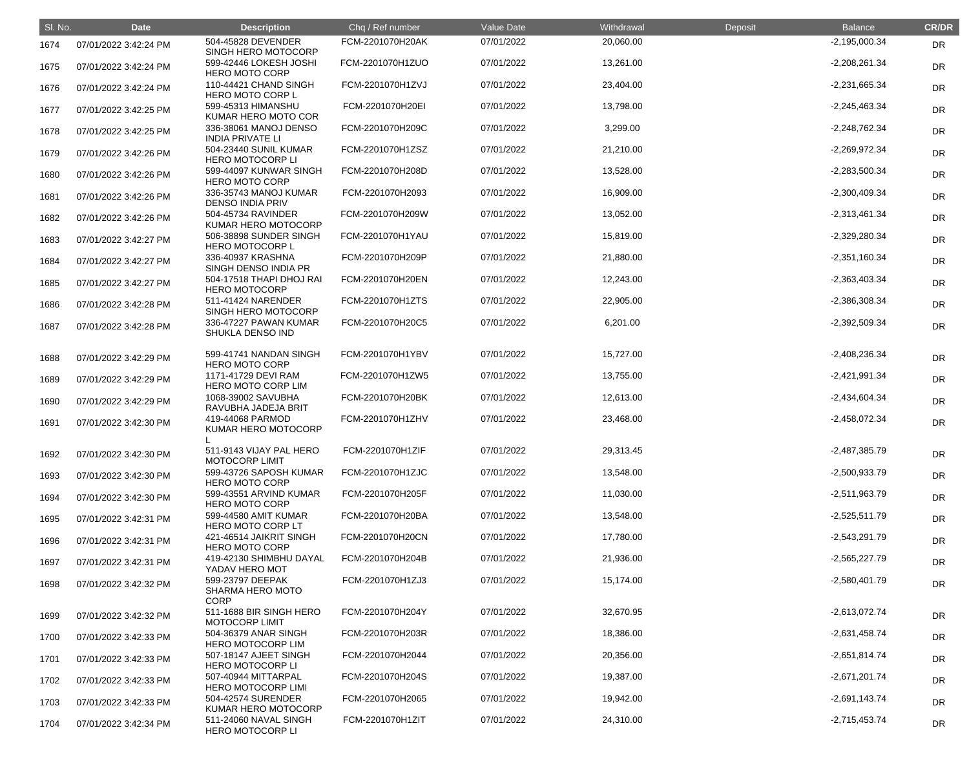| SI. No. | <b>Date</b>           | <b>Description</b>                                         | Chq / Ref number | <b>Value Date</b> | Withdrawal | Deposit | <b>Balance</b>  | <b>CR/DR</b> |
|---------|-----------------------|------------------------------------------------------------|------------------|-------------------|------------|---------|-----------------|--------------|
| 1674    | 07/01/2022 3:42:24 PM | 504-45828 DEVENDER<br>SINGH HERO MOTOCORP                  | FCM-2201070H20AK | 07/01/2022        | 20,060.00  |         | $-2,195,000.34$ | <b>DR</b>    |
| 1675    | 07/01/2022 3:42:24 PM | 599-42446 LOKESH JOSHI<br><b>HERO MOTO CORP</b>            | FCM-2201070H1ZUO | 07/01/2022        | 13,261.00  |         | $-2,208,261.34$ | DR           |
| 1676    | 07/01/2022 3:42:24 PM | 110-44421 CHAND SINGH<br><b>HERO MOTO CORP L</b>           | FCM-2201070H1ZVJ | 07/01/2022        | 23,404.00  |         | $-2,231,665.34$ | DR           |
| 1677    | 07/01/2022 3:42:25 PM | 599-45313 HIMANSHU<br>KUMAR HERO MOTO COR                  | FCM-2201070H20EI | 07/01/2022        | 13,798.00  |         | $-2,245,463.34$ | DR           |
| 1678    | 07/01/2022 3:42:25 PM | 336-38061 MANOJ DENSO<br><b>INDIA PRIVATE LI</b>           | FCM-2201070H209C | 07/01/2022        | 3,299.00   |         | $-2,248,762.34$ | DR           |
| 1679    | 07/01/2022 3:42:26 PM | 504-23440 SUNIL KUMAR<br><b>HERO MOTOCORP LI</b>           | FCM-2201070H1ZSZ | 07/01/2022        | 21,210.00  |         | $-2,269,972.34$ | DR           |
| 1680    | 07/01/2022 3:42:26 PM | 599-44097 KUNWAR SINGH<br><b>HERO MOTO CORP</b>            | FCM-2201070H208D | 07/01/2022        | 13,528.00  |         | $-2,283,500.34$ | DR           |
| 1681    | 07/01/2022 3:42:26 PM | 336-35743 MANOJ KUMAR<br><b>DENSO INDIA PRIV</b>           | FCM-2201070H2093 | 07/01/2022        | 16,909.00  |         | $-2,300,409.34$ | DR           |
| 1682    | 07/01/2022 3:42:26 PM | 504-45734 RAVINDER<br>KUMAR HERO MOTOCORP                  | FCM-2201070H209W | 07/01/2022        | 13,052.00  |         | $-2,313,461.34$ | DR           |
| 1683    | 07/01/2022 3:42:27 PM | 506-38898 SUNDER SINGH<br><b>HERO MOTOCORP L</b>           | FCM-2201070H1YAU | 07/01/2022        | 15,819.00  |         | $-2,329,280.34$ | DR           |
| 1684    | 07/01/2022 3:42:27 PM | 336-40937 KRASHNA<br>SINGH DENSO INDIA PR                  | FCM-2201070H209P | 07/01/2022        | 21,880.00  |         | $-2,351,160.34$ | DR           |
| 1685    | 07/01/2022 3:42:27 PM | 504-17518 THAPI DHOJ RAI<br><b>HERO MOTOCORP</b>           | FCM-2201070H20EN | 07/01/2022        | 12,243.00  |         | $-2,363,403.34$ | DR           |
| 1686    | 07/01/2022 3:42:28 PM | 511-41424 NARENDER<br>SINGH HERO MOTOCORP                  | FCM-2201070H1ZTS | 07/01/2022        | 22,905.00  |         | $-2,386,308.34$ | DR           |
| 1687    | 07/01/2022 3:42:28 PM | 336-47227 PAWAN KUMAR<br>SHUKLA DENSO IND                  | FCM-2201070H20C5 | 07/01/2022        | 6,201.00   |         | $-2,392,509.34$ | DR           |
| 1688    | 07/01/2022 3:42:29 PM | 599-41741 NANDAN SINGH<br><b>HERO MOTO CORP</b>            | FCM-2201070H1YBV | 07/01/2022        | 15,727.00  |         | $-2,408,236.34$ | DR           |
| 1689    | 07/01/2022 3:42:29 PM | 1171-41729 DEVI RAM<br>HERO MOTO CORP LIM                  | FCM-2201070H1ZW5 | 07/01/2022        | 13,755.00  |         | $-2,421,991.34$ | DR           |
| 1690    | 07/01/2022 3:42:29 PM | 1068-39002 SAVUBHA<br>RAVUBHA JADEJA BRIT                  | FCM-2201070H20BK | 07/01/2022        | 12,613.00  |         | $-2,434,604.34$ | DR           |
| 1691    | 07/01/2022 3:42:30 PM | 419-44068 PARMOD<br>KUMAR HERO MOTOCORP                    | FCM-2201070H1ZHV | 07/01/2022        | 23,468.00  |         | $-2,458,072.34$ | DR           |
| 1692    | 07/01/2022 3:42:30 PM | 511-9143 VIJAY PAL HERO<br><b>MOTOCORP LIMIT</b>           | FCM-2201070H1ZIF | 07/01/2022        | 29,313.45  |         | $-2,487,385.79$ | <b>DR</b>    |
| 1693    | 07/01/2022 3:42:30 PM | 599-43726 SAPOSH KUMAR<br><b>HERO MOTO CORP</b>            | FCM-2201070H1ZJC | 07/01/2022        | 13,548.00  |         | $-2,500,933.79$ | <b>DR</b>    |
| 1694    | 07/01/2022 3:42:30 PM | 599-43551 ARVIND KUMAR<br><b>HERO MOTO CORP</b>            | FCM-2201070H205F | 07/01/2022        | 11,030.00  |         | $-2,511,963.79$ | <b>DR</b>    |
| 1695    | 07/01/2022 3:42:31 PM | 599-44580 AMIT KUMAR<br>HERO MOTO CORP LT                  | FCM-2201070H20BA | 07/01/2022        | 13,548.00  |         | $-2,525,511.79$ | <b>DR</b>    |
| 1696    | 07/01/2022 3:42:31 PM | 421-46514 JAIKRIT SINGH<br><b>HERO MOTO CORP</b>           | FCM-2201070H20CN | 07/01/2022        | 17,780.00  |         | $-2,543,291.79$ | <b>DR</b>    |
| 1697    | 07/01/2022 3:42:31 PM | 419-42130 SHIMBHU DAYAL<br>YADAV HERO MOT                  | FCM-2201070H204B | 07/01/2022        | 21,936.00  |         | $-2,565,227.79$ | <b>DR</b>    |
| 1698    | 07/01/2022 3:42:32 PM | 599-23797 DEEPAK<br><b>SHARMA HERO MOTO</b><br><b>CORP</b> | FCM-2201070H1ZJ3 | 07/01/2022        | 15,174.00  |         | $-2,580,401.79$ | <b>DR</b>    |
| 1699    | 07/01/2022 3:42:32 PM | 511-1688 BIR SINGH HERO<br><b>MOTOCORP LIMIT</b>           | FCM-2201070H204Y | 07/01/2022        | 32,670.95  |         | $-2,613,072.74$ | <b>DR</b>    |
| 1700    | 07/01/2022 3:42:33 PM | 504-36379 ANAR SINGH<br><b>HERO MOTOCORP LIM</b>           | FCM-2201070H203R | 07/01/2022        | 18,386.00  |         | $-2,631,458.74$ | <b>DR</b>    |
| 1701    | 07/01/2022 3:42:33 PM | 507-18147 AJEET SINGH<br><b>HERO MOTOCORP LI</b>           | FCM-2201070H2044 | 07/01/2022        | 20,356.00  |         | $-2,651,814.74$ | <b>DR</b>    |
| 1702    | 07/01/2022 3:42:33 PM | 507-40944 MITTARPAL<br><b>HERO MOTOCORP LIMI</b>           | FCM-2201070H204S | 07/01/2022        | 19,387.00  |         | $-2,671,201.74$ | <b>DR</b>    |
| 1703    | 07/01/2022 3:42:33 PM | 504-42574 SURENDER<br>KUMAR HERO MOTOCORP                  | FCM-2201070H2065 | 07/01/2022        | 19,942.00  |         | $-2,691,143.74$ | <b>DR</b>    |
| 1704    | 07/01/2022 3:42:34 PM | 511-24060 NAVAL SINGH<br><b>HERO MOTOCORP LI</b>           | FCM-2201070H1ZIT | 07/01/2022        | 24,310.00  |         | $-2,715,453.74$ | <b>DR</b>    |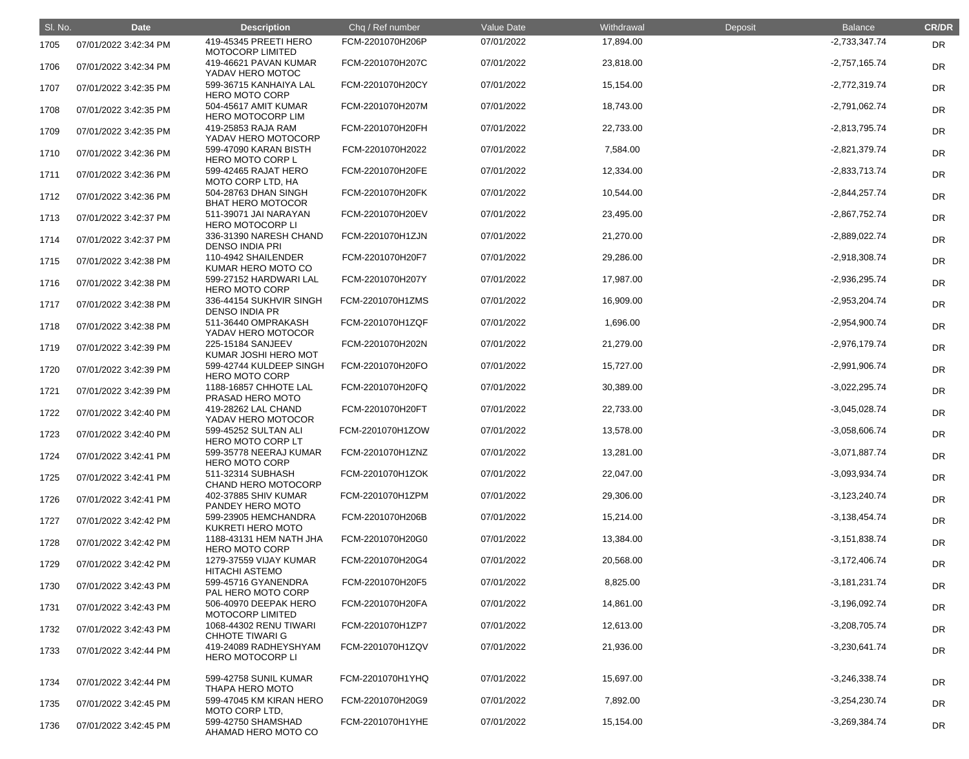| SI. No. | <b>Date</b>           | <b>Description</b>                               | Chq / Ref number | Value Date | Withdrawal | Deposit | <b>Balance</b>  | <b>CR/DR</b> |
|---------|-----------------------|--------------------------------------------------|------------------|------------|------------|---------|-----------------|--------------|
| 1705    | 07/01/2022 3:42:34 PM | 419-45345 PREETI HERO<br><b>MOTOCORP LIMITED</b> | FCM-2201070H206P | 07/01/2022 | 17,894.00  |         | $-2,733,347.74$ | DR           |
| 1706    | 07/01/2022 3:42:34 PM | 419-46621 PAVAN KUMAR<br>YADAV HERO MOTOC        | FCM-2201070H207C | 07/01/2022 | 23,818.00  |         | $-2,757,165.74$ | <b>DR</b>    |
| 1707    | 07/01/2022 3:42:35 PM | 599-36715 KANHAIYA LAL<br><b>HERO MOTO CORP</b>  | FCM-2201070H20CY | 07/01/2022 | 15,154.00  |         | $-2,772,319.74$ | <b>DR</b>    |
| 1708    | 07/01/2022 3:42:35 PM | 504-45617 AMIT KUMAR<br><b>HERO MOTOCORP LIM</b> | FCM-2201070H207M | 07/01/2022 | 18,743.00  |         | $-2,791,062.74$ | <b>DR</b>    |
| 1709    | 07/01/2022 3:42:35 PM | 419-25853 RAJA RAM<br>YADAV HERO MOTOCORP        | FCM-2201070H20FH | 07/01/2022 | 22,733.00  |         | $-2,813,795.74$ | <b>DR</b>    |
| 1710    | 07/01/2022 3:42:36 PM | 599-47090 KARAN BISTH<br><b>HERO MOTO CORP L</b> | FCM-2201070H2022 | 07/01/2022 | 7,584.00   |         | $-2,821,379.74$ | <b>DR</b>    |
| 1711    | 07/01/2022 3:42:36 PM | 599-42465 RAJAT HERO<br>MOTO CORP LTD, HA        | FCM-2201070H20FE | 07/01/2022 | 12,334.00  |         | $-2,833,713.74$ | <b>DR</b>    |
| 1712    | 07/01/2022 3:42:36 PM | 504-28763 DHAN SINGH<br><b>BHAT HERO MOTOCOR</b> | FCM-2201070H20FK | 07/01/2022 | 10,544.00  |         | $-2,844,257.74$ | <b>DR</b>    |
| 1713    | 07/01/2022 3:42:37 PM | 511-39071 JAI NARAYAN<br><b>HERO MOTOCORP LI</b> | FCM-2201070H20EV | 07/01/2022 | 23,495.00  |         | $-2,867,752.74$ | <b>DR</b>    |
| 1714    | 07/01/2022 3:42:37 PM | 336-31390 NARESH CHAND<br><b>DENSO INDIA PRI</b> | FCM-2201070H1ZJN | 07/01/2022 | 21,270.00  |         | $-2,889,022.74$ | <b>DR</b>    |
| 1715    | 07/01/2022 3:42:38 PM | 110-4942 SHAILENDER<br>KUMAR HERO MOTO CO        | FCM-2201070H20F7 | 07/01/2022 | 29,286.00  |         | $-2,918,308.74$ | <b>DR</b>    |
| 1716    | 07/01/2022 3:42:38 PM | 599-27152 HARDWARI LAL<br><b>HERO MOTO CORP</b>  | FCM-2201070H207Y | 07/01/2022 | 17,987.00  |         | $-2,936,295.74$ | <b>DR</b>    |
| 1717    | 07/01/2022 3:42:38 PM | 336-44154 SUKHVIR SINGH<br>DENSO INDIA PR        | FCM-2201070H1ZMS | 07/01/2022 | 16,909.00  |         | $-2,953,204.74$ | <b>DR</b>    |
| 1718    | 07/01/2022 3:42:38 PM | 511-36440 OMPRAKASH<br>YADAV HERO MOTOCOR        | FCM-2201070H1ZQF | 07/01/2022 | 1,696.00   |         | $-2,954,900.74$ | <b>DR</b>    |
| 1719    | 07/01/2022 3:42:39 PM | 225-15184 SANJEEV<br>KUMAR JOSHI HERO MOT        | FCM-2201070H202N | 07/01/2022 | 21,279.00  |         | $-2,976,179.74$ | <b>DR</b>    |
| 1720    | 07/01/2022 3:42:39 PM | 599-42744 KULDEEP SINGH<br><b>HERO MOTO CORP</b> | FCM-2201070H20FO | 07/01/2022 | 15,727.00  |         | $-2,991,906.74$ | <b>DR</b>    |
| 1721    | 07/01/2022 3:42:39 PM | 1188-16857 CHHOTE LAL<br>PRASAD HERO MOTO        | FCM-2201070H20FQ | 07/01/2022 | 30,389.00  |         | $-3,022,295.74$ | <b>DR</b>    |
| 1722    | 07/01/2022 3:42:40 PM | 419-28262 LAL CHAND<br>YADAV HERO MOTOCOR        | FCM-2201070H20FT | 07/01/2022 | 22,733.00  |         | $-3,045,028.74$ | <b>DR</b>    |
| 1723    | 07/01/2022 3:42:40 PM | 599-45252 SULTAN ALI<br>HERO MOTO CORP LT        | FCM-2201070H1ZOW | 07/01/2022 | 13,578.00  |         | $-3,058,606.74$ | <b>DR</b>    |
| 1724    | 07/01/2022 3:42:41 PM | 599-35778 NEERAJ KUMAR<br><b>HERO MOTO CORP</b>  | FCM-2201070H1ZNZ | 07/01/2022 | 13,281.00  |         | $-3,071,887.74$ | <b>DR</b>    |
| 1725    | 07/01/2022 3:42:41 PM | 511-32314 SUBHASH<br>CHAND HERO MOTOCORP         | FCM-2201070H1ZOK | 07/01/2022 | 22,047.00  |         | $-3,093,934.74$ | <b>DR</b>    |
| 1726    | 07/01/2022 3:42:41 PM | 402-37885 SHIV KUMAR<br>PANDEY HERO MOTO         | FCM-2201070H1ZPM | 07/01/2022 | 29,306.00  |         | $-3,123,240.74$ | <b>DR</b>    |
| 1727    | 07/01/2022 3:42:42 PM | 599-23905 HEMCHANDRA<br>KUKRETI HERO MOTO        | FCM-2201070H206B | 07/01/2022 | 15,214.00  |         | $-3,138,454.74$ | <b>DR</b>    |
| 1728    | 07/01/2022 3:42:42 PM | 1188-43131 HEM NATH JHA<br><b>HERO MOTO CORP</b> | FCM-2201070H20G0 | 07/01/2022 | 13,384.00  |         | $-3,151,838.74$ | <b>DR</b>    |
| 1729    | 07/01/2022 3:42:42 PM | 1279-37559 VIJAY KUMAR<br><b>HITACHI ASTEMO</b>  | FCM-2201070H20G4 | 07/01/2022 | 20,568.00  |         | $-3,172,406.74$ | <b>DR</b>    |
| 1730    | 07/01/2022 3:42:43 PM | 599-45716 GYANENDRA<br>PAL HERO MOTO CORP        | FCM-2201070H20F5 | 07/01/2022 | 8,825.00   |         | $-3,181,231.74$ | <b>DR</b>    |
| 1731    | 07/01/2022 3:42:43 PM | 506-40970 DEEPAK HERO<br><b>MOTOCORP LIMITED</b> | FCM-2201070H20FA | 07/01/2022 | 14,861.00  |         | $-3,196,092.74$ | <b>DR</b>    |
| 1732    | 07/01/2022 3:42:43 PM | 1068-44302 RENU TIWARI<br><b>CHHOTE TIWARI G</b> | FCM-2201070H1ZP7 | 07/01/2022 | 12,613.00  |         | $-3,208,705.74$ | <b>DR</b>    |
| 1733    | 07/01/2022 3:42:44 PM | 419-24089 RADHEYSHYAM<br>HERO MOTOCORP LI        | FCM-2201070H1ZQV | 07/01/2022 | 21,936.00  |         | $-3,230,641.74$ | <b>DR</b>    |
| 1734    | 07/01/2022 3:42:44 PM | 599-42758 SUNIL KUMAR<br>THAPA HERO MOTO         | FCM-2201070H1YHQ | 07/01/2022 | 15,697.00  |         | $-3,246,338.74$ | <b>DR</b>    |
| 1735    | 07/01/2022 3:42:45 PM | 599-47045 KM KIRAN HERO<br>MOTO CORP LTD,        | FCM-2201070H20G9 | 07/01/2022 | 7,892.00   |         | $-3,254,230.74$ | <b>DR</b>    |
| 1736    | 07/01/2022 3:42:45 PM | 599-42750 SHAMSHAD<br>AHAMAD HERO MOTO CO        | FCM-2201070H1YHE | 07/01/2022 | 15,154.00  |         | $-3,269,384.74$ | DR           |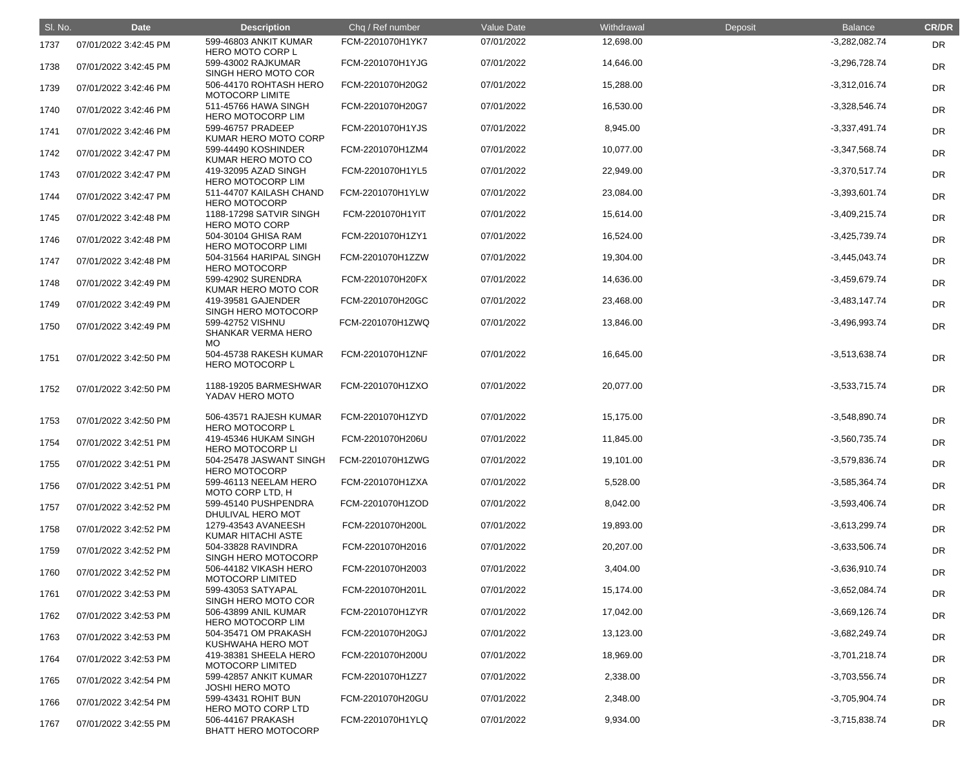| SI. No. | <b>Date</b>           | <b>Description</b>                                            | Chq / Ref number | Value Date | Withdrawal | Deposit | <b>Balance</b>  | <b>CR/DR</b> |
|---------|-----------------------|---------------------------------------------------------------|------------------|------------|------------|---------|-----------------|--------------|
| 1737    | 07/01/2022 3:42:45 PM | 599-46803 ANKIT KUMAR<br><b>HERO MOTO CORP L</b>              | FCM-2201070H1YK7 | 07/01/2022 | 12,698.00  |         | $-3,282,082.74$ | DR           |
| 1738    | 07/01/2022 3:42:45 PM | 599-43002 RAJKUMAR<br>SINGH HERO MOTO COR                     | FCM-2201070H1YJG | 07/01/2022 | 14,646.00  |         | $-3,296,728.74$ | <b>DR</b>    |
| 1739    | 07/01/2022 3:42:46 PM | 506-44170 ROHTASH HERO<br>MOTOCORP LIMITE                     | FCM-2201070H20G2 | 07/01/2022 | 15,288.00  |         | $-3,312,016.74$ | <b>DR</b>    |
| 1740    | 07/01/2022 3:42:46 PM | 511-45766 HAWA SINGH<br><b>HERO MOTOCORP LIM</b>              | FCM-2201070H20G7 | 07/01/2022 | 16,530.00  |         | $-3,328,546.74$ | <b>DR</b>    |
| 1741    | 07/01/2022 3:42:46 PM | 599-46757 PRADEEP<br>KUMAR HERO MOTO CORP                     | FCM-2201070H1YJS | 07/01/2022 | 8,945.00   |         | $-3,337,491.74$ | DR           |
| 1742    | 07/01/2022 3:42:47 PM | 599-44490 KOSHINDER<br>KUMAR HERO MOTO CO                     | FCM-2201070H1ZM4 | 07/01/2022 | 10,077.00  |         | $-3,347,568.74$ | <b>DR</b>    |
| 1743    | 07/01/2022 3:42:47 PM | 419-32095 AZAD SINGH<br><b>HERO MOTOCORP LIM</b>              | FCM-2201070H1YL5 | 07/01/2022 | 22,949.00  |         | $-3,370,517.74$ | <b>DR</b>    |
| 1744    | 07/01/2022 3:42:47 PM | 511-44707 KAILASH CHAND<br><b>HERO MOTOCORP</b>               | FCM-2201070H1YLW | 07/01/2022 | 23,084.00  |         | $-3,393,601.74$ | <b>DR</b>    |
| 1745    | 07/01/2022 3:42:48 PM | 1188-17298 SATVIR SINGH<br><b>HERO MOTO CORP</b>              | FCM-2201070H1YIT | 07/01/2022 | 15,614.00  |         | $-3,409,215.74$ | DR           |
| 1746    | 07/01/2022 3:42:48 PM | 504-30104 GHISA RAM<br><b>HERO MOTOCORP LIMI</b>              | FCM-2201070H1ZY1 | 07/01/2022 | 16,524.00  |         | $-3,425,739.74$ | <b>DR</b>    |
| 1747    | 07/01/2022 3:42:48 PM | 504-31564 HARIPAL SINGH<br><b>HERO MOTOCORP</b>               | FCM-2201070H1ZZW | 07/01/2022 | 19,304.00  |         | $-3,445,043.74$ | <b>DR</b>    |
| 1748    | 07/01/2022 3:42:49 PM | 599-42902 SURENDRA<br>KUMAR HERO MOTO COR                     | FCM-2201070H20FX | 07/01/2022 | 14,636.00  |         | $-3,459,679.74$ | <b>DR</b>    |
| 1749    | 07/01/2022 3:42:49 PM | 419-39581 GAJENDER<br>SINGH HERO MOTOCORP                     | FCM-2201070H20GC | 07/01/2022 | 23,468.00  |         | $-3,483,147.74$ | <b>DR</b>    |
| 1750    | 07/01/2022 3:42:49 PM | 599-42752 VISHNU<br><b>SHANKAR VERMA HERO</b>                 | FCM-2201070H1ZWQ | 07/01/2022 | 13,846.00  |         | $-3,496,993.74$ | <b>DR</b>    |
| 1751    | 07/01/2022 3:42:50 PM | <b>MO</b><br>504-45738 RAKESH KUMAR<br><b>HERO MOTOCORP L</b> | FCM-2201070H1ZNF | 07/01/2022 | 16,645.00  |         | $-3,513,638.74$ | DR           |
| 1752    | 07/01/2022 3:42:50 PM | 1188-19205 BARMESHWAR<br>YADAV HERO MOTO                      | FCM-2201070H1ZXO | 07/01/2022 | 20,077.00  |         | $-3,533,715.74$ | <b>DR</b>    |
| 1753    | 07/01/2022 3:42:50 PM | 506-43571 RAJESH KUMAR<br><b>HERO MOTOCORP L</b>              | FCM-2201070H1ZYD | 07/01/2022 | 15,175.00  |         | $-3,548,890.74$ | DR           |
| 1754    | 07/01/2022 3:42:51 PM | 419-45346 HUKAM SINGH<br><b>HERO MOTOCORP LI</b>              | FCM-2201070H206U | 07/01/2022 | 11,845.00  |         | $-3,560,735.74$ | <b>DR</b>    |
| 1755    | 07/01/2022 3:42:51 PM | 504-25478 JASWANT SINGH<br><b>HERO MOTOCORP</b>               | FCM-2201070H1ZWG | 07/01/2022 | 19,101.00  |         | $-3,579,836.74$ | <b>DR</b>    |
| 1756    | 07/01/2022 3:42:51 PM | 599-46113 NEELAM HERO<br>MOTO CORP LTD, H                     | FCM-2201070H1ZXA | 07/01/2022 | 5,528.00   |         | $-3,585,364.74$ | <b>DR</b>    |
| 1757    | 07/01/2022 3:42:52 PM | 599-45140 PUSHPENDRA<br>DHULIVAL HERO MOT                     | FCM-2201070H1ZOD | 07/01/2022 | 8,042.00   |         | $-3,593,406.74$ | <b>DR</b>    |
| 1758    | 07/01/2022 3:42:52 PM | 1279-43543 AVANEESH<br>KUMAR HITACHI ASTE                     | FCM-2201070H200L | 07/01/2022 | 19,893.00  |         | $-3,613,299.74$ | <b>DR</b>    |
| 1759    | 07/01/2022 3:42:52 PM | 504-33828 RAVINDRA<br>SINGH HERO MOTOCORP                     | FCM-2201070H2016 | 07/01/2022 | 20,207.00  |         | $-3,633,506.74$ | <b>DR</b>    |
| 1760    | 07/01/2022 3:42:52 PM | 506-44182 VIKASH HERO<br><b>MOTOCORP LIMITED</b>              | FCM-2201070H2003 | 07/01/2022 | 3,404.00   |         | $-3,636,910.74$ | <b>DR</b>    |
| 1761    | 07/01/2022 3:42:53 PM | 599-43053 SATYAPAL<br>SINGH HERO MOTO COR                     | FCM-2201070H201L | 07/01/2022 | 15,174.00  |         | $-3,652,084.74$ | <b>DR</b>    |
| 1762    | 07/01/2022 3:42:53 PM | 506-43899 ANIL KUMAR<br><b>HERO MOTOCORP LIM</b>              | FCM-2201070H1ZYR | 07/01/2022 | 17,042.00  |         | $-3,669,126.74$ | <b>DR</b>    |
| 1763    | 07/01/2022 3:42:53 PM | 504-35471 OM PRAKASH<br>KUSHWAHA HERO MOT                     | FCM-2201070H20GJ | 07/01/2022 | 13,123.00  |         | $-3,682,249.74$ | <b>DR</b>    |
| 1764    | 07/01/2022 3:42:53 PM | 419-38381 SHEELA HERO<br><b>MOTOCORP LIMITED</b>              | FCM-2201070H200U | 07/01/2022 | 18,969.00  |         | $-3,701,218.74$ | <b>DR</b>    |
| 1765    | 07/01/2022 3:42:54 PM | 599-42857 ANKIT KUMAR<br><b>JOSHI HERO MOTO</b>               | FCM-2201070H1ZZ7 | 07/01/2022 | 2,338.00   |         | $-3,703,556.74$ | <b>DR</b>    |
| 1766    | 07/01/2022 3:42:54 PM | 599-43431 ROHIT BUN<br>HERO MOTO CORP LTD                     | FCM-2201070H20GU | 07/01/2022 | 2,348.00   |         | $-3,705,904.74$ | <b>DR</b>    |
| 1767    | 07/01/2022 3:42:55 PM | 506-44167 PRAKASH<br><b>BHATT HERO MOTOCORP</b>               | FCM-2201070H1YLQ | 07/01/2022 | 9,934.00   |         | $-3,715,838.74$ | <b>DR</b>    |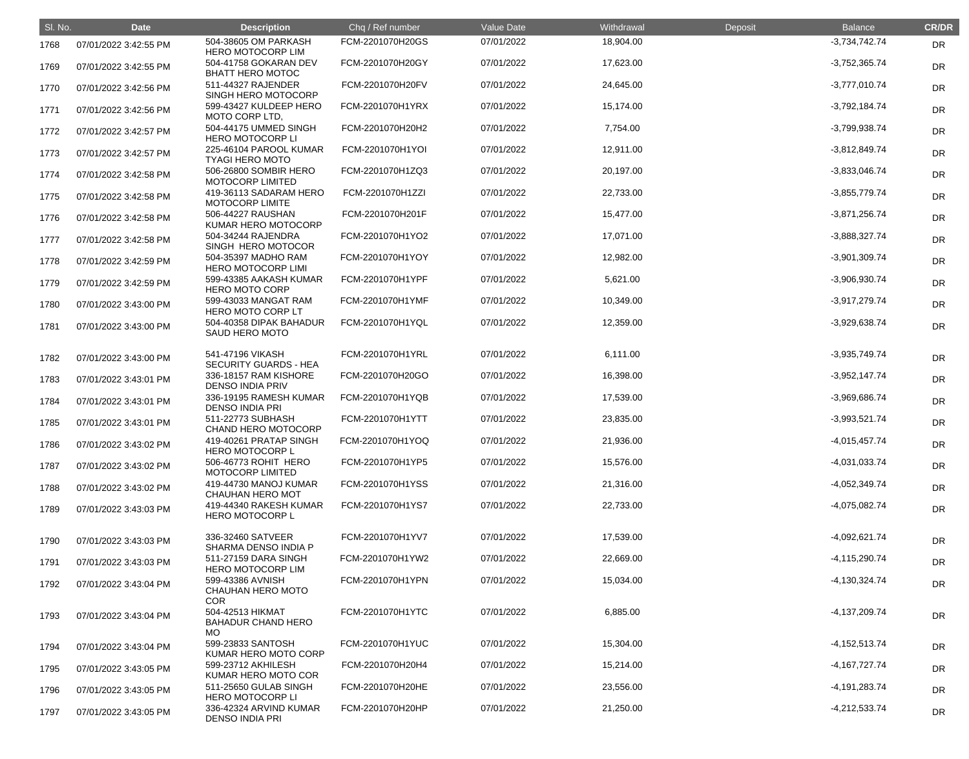| SI. No. | <b>Date</b>           | <b>Description</b>                                   | Chq / Ref number | Value Date | Withdrawal | Deposit | <b>Balance</b>  | <b>CR/DR</b> |
|---------|-----------------------|------------------------------------------------------|------------------|------------|------------|---------|-----------------|--------------|
| 1768    | 07/01/2022 3:42:55 PM | 504-38605 OM PARKASH<br><b>HERO MOTOCORP LIM</b>     | FCM-2201070H20GS | 07/01/2022 | 18,904.00  |         | $-3,734,742.74$ | <b>DR</b>    |
| 1769    | 07/01/2022 3:42:55 PM | 504-41758 GOKARAN DEV<br><b>BHATT HERO MOTOC</b>     | FCM-2201070H20GY | 07/01/2022 | 17,623.00  |         | $-3,752,365.74$ | DR           |
| 1770    | 07/01/2022 3:42:56 PM | 511-44327 RAJENDER<br>SINGH HERO MOTOCORP            | FCM-2201070H20FV | 07/01/2022 | 24,645.00  |         | $-3,777,010.74$ | DR           |
| 1771    | 07/01/2022 3:42:56 PM | 599-43427 KULDEEP HERO<br>MOTO CORP LTD,             | FCM-2201070H1YRX | 07/01/2022 | 15,174.00  |         | $-3,792,184.74$ | DR           |
| 1772    | 07/01/2022 3:42:57 PM | 504-44175 UMMED SINGH<br><b>HERO MOTOCORP LI</b>     | FCM-2201070H20H2 | 07/01/2022 | 7,754.00   |         | -3,799,938.74   | <b>DR</b>    |
| 1773    | 07/01/2022 3:42:57 PM | 225-46104 PAROOL KUMAR<br><b>TYAGI HERO MOTO</b>     | FCM-2201070H1YOI | 07/01/2022 | 12,911.00  |         | $-3,812,849.74$ | DR           |
| 1774    | 07/01/2022 3:42:58 PM | 506-26800 SOMBIR HERO<br><b>MOTOCORP LIMITED</b>     | FCM-2201070H1ZQ3 | 07/01/2022 | 20,197.00  |         | $-3,833,046.74$ | DR           |
| 1775    | 07/01/2022 3:42:58 PM | 419-36113 SADARAM HERO<br>MOTOCORP LIMITE            | FCM-2201070H1ZZI | 07/01/2022 | 22,733.00  |         | $-3,855,779.74$ | <b>DR</b>    |
| 1776    | 07/01/2022 3:42:58 PM | 506-44227 RAUSHAN<br>KUMAR HERO MOTOCORP             | FCM-2201070H201F | 07/01/2022 | 15,477.00  |         | $-3,871,256.74$ | <b>DR</b>    |
| 1777    | 07/01/2022 3:42:58 PM | 504-34244 RAJENDRA<br>SINGH HERO MOTOCOR             | FCM-2201070H1YO2 | 07/01/2022 | 17,071.00  |         | $-3,888,327.74$ | DR           |
| 1778    | 07/01/2022 3:42:59 PM | 504-35397 MADHO RAM<br><b>HERO MOTOCORP LIMI</b>     | FCM-2201070H1YOY | 07/01/2022 | 12,982.00  |         | $-3,901,309.74$ | DR           |
| 1779    | 07/01/2022 3:42:59 PM | 599-43385 AAKASH KUMAR<br><b>HERO MOTO CORP</b>      | FCM-2201070H1YPF | 07/01/2022 | 5,621.00   |         | -3,906,930.74   | DR           |
| 1780    | 07/01/2022 3:43:00 PM | 599-43033 MANGAT RAM<br><b>HERO MOTO CORP LT</b>     | FCM-2201070H1YMF | 07/01/2022 | 10,349.00  |         | $-3,917,279.74$ | DR           |
| 1781    | 07/01/2022 3:43:00 PM | 504-40358 DIPAK BAHADUR<br><b>SAUD HERO MOTO</b>     | FCM-2201070H1YQL | 07/01/2022 | 12,359.00  |         | -3,929,638.74   | DR           |
| 1782    | 07/01/2022 3:43:00 PM | 541-47196 VIKASH<br><b>SECURITY GUARDS - HEA</b>     | FCM-2201070H1YRL | 07/01/2022 | 6,111.00   |         | $-3,935,749.74$ | DR           |
| 1783    | 07/01/2022 3:43:01 PM | 336-18157 RAM KISHORE<br><b>DENSO INDIA PRIV</b>     | FCM-2201070H20GO | 07/01/2022 | 16,398.00  |         | $-3,952,147.74$ | DR           |
| 1784    | 07/01/2022 3:43:01 PM | 336-19195 RAMESH KUMAR<br><b>DENSO INDIA PRI</b>     | FCM-2201070H1YQB | 07/01/2022 | 17,539.00  |         | -3,969,686.74   | DR           |
| 1785    | 07/01/2022 3:43:01 PM | 511-22773 SUBHASH<br><b>CHAND HERO MOTOCORP</b>      | FCM-2201070H1YTT | 07/01/2022 | 23,835.00  |         | $-3,993,521.74$ | DR           |
| 1786    | 07/01/2022 3:43:02 PM | 419-40261 PRATAP SINGH<br><b>HERO MOTOCORP L</b>     | FCM-2201070H1YOQ | 07/01/2022 | 21,936.00  |         | $-4,015,457.74$ | <b>DR</b>    |
| 1787    | 07/01/2022 3:43:02 PM | 506-46773 ROHIT HERO<br><b>MOTOCORP LIMITED</b>      | FCM-2201070H1YP5 | 07/01/2022 | 15,576.00  |         | -4,031,033.74   | <b>DR</b>    |
| 1788    | 07/01/2022 3:43:02 PM | 419-44730 MANOJ KUMAR<br><b>CHAUHAN HERO MOT</b>     | FCM-2201070H1YSS | 07/01/2022 | 21,316.00  |         | $-4,052,349.74$ | DR           |
| 1789    | 07/01/2022 3:43:03 PM | 419-44340 RAKESH KUMAR<br><b>HERO MOTOCORP L</b>     | FCM-2201070H1YS7 | 07/01/2022 | 22,733.00  |         | $-4,075,082.74$ | <b>DR</b>    |
| 1790    | 07/01/2022 3:43:03 PM | 336-32460 SATVEER<br>SHARMA DENSO INDIA P            | FCM-2201070H1YV7 | 07/01/2022 | 17,539.00  |         | -4,092,621.74   | <b>DR</b>    |
| 1791    | 07/01/2022 3:43:03 PM | 511-27159 DARA SINGH<br><b>HERO MOTOCORP LIM</b>     | FCM-2201070H1YW2 | 07/01/2022 | 22,669.00  |         | $-4,115,290.74$ | <b>DR</b>    |
| 1792    | 07/01/2022 3:43:04 PM | 599-43386 AVNISH<br>CHAUHAN HERO MOTO<br><b>COR</b>  | FCM-2201070H1YPN | 07/01/2022 | 15,034.00  |         | $-4,130,324.74$ | <b>DR</b>    |
| 1793    | 07/01/2022 3:43:04 PM | 504-42513 HIKMAT<br><b>BAHADUR CHAND HERO</b><br>MO. | FCM-2201070H1YTC | 07/01/2022 | 6,885.00   |         | $-4,137,209.74$ | <b>DR</b>    |
| 1794    | 07/01/2022 3:43:04 PM | 599-23833 SANTOSH<br>KUMAR HERO MOTO CORP            | FCM-2201070H1YUC | 07/01/2022 | 15,304.00  |         | $-4,152,513.74$ | <b>DR</b>    |
| 1795    | 07/01/2022 3:43:05 PM | 599-23712 AKHILESH<br>KUMAR HERO MOTO COR            | FCM-2201070H20H4 | 07/01/2022 | 15,214.00  |         | $-4,167,727.74$ | DR           |
| 1796    | 07/01/2022 3:43:05 PM | 511-25650 GULAB SINGH<br><b>HERO MOTOCORP LI</b>     | FCM-2201070H20HE | 07/01/2022 | 23,556.00  |         | -4,191,283.74   | DR           |
| 1797    | 07/01/2022 3:43:05 PM | 336-42324 ARVIND KUMAR<br><b>DENSO INDIA PRI</b>     | FCM-2201070H20HP | 07/01/2022 | 21,250.00  |         | $-4,212,533.74$ | <b>DR</b>    |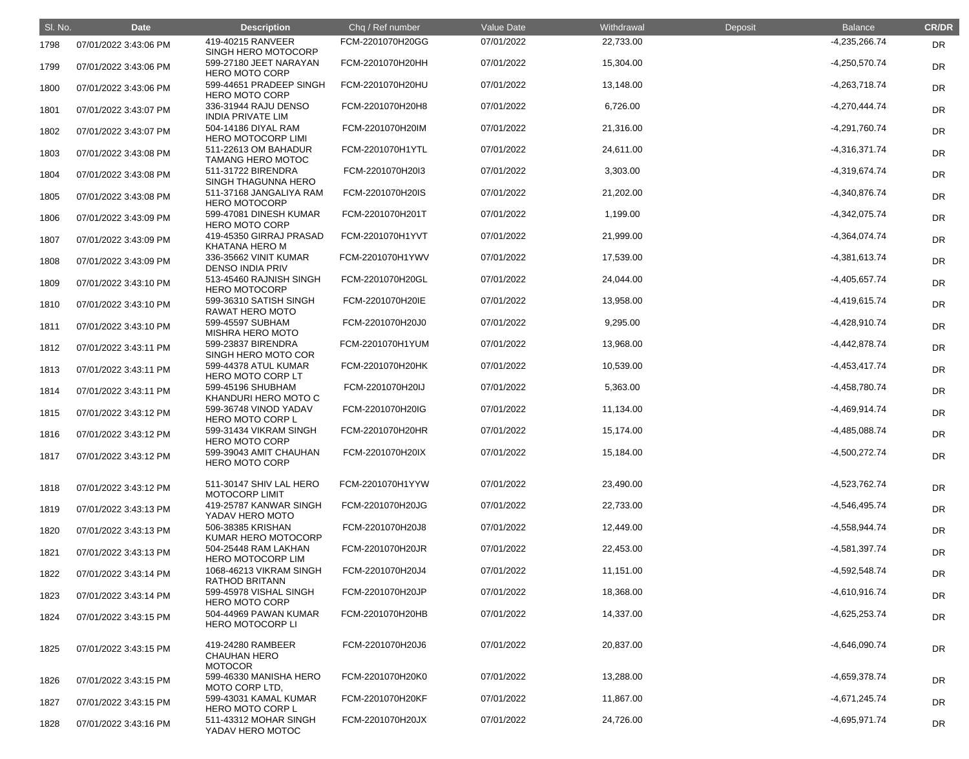| SI. No. | <b>Date</b>           | <b>Description</b>                                         | Chq / Ref number | Value Date | Withdrawal | Deposit | <b>Balance</b>  | <b>CR/DR</b> |
|---------|-----------------------|------------------------------------------------------------|------------------|------------|------------|---------|-----------------|--------------|
| 1798    | 07/01/2022 3:43:06 PM | 419-40215 RANVEER<br>SINGH HERO MOTOCORP                   | FCM-2201070H20GG | 07/01/2022 | 22,733.00  |         | $-4,235,266.74$ | DR           |
| 1799    | 07/01/2022 3:43:06 PM | 599-27180 JEET NARAYAN<br><b>HERO MOTO CORP</b>            | FCM-2201070H20HH | 07/01/2022 | 15,304.00  |         | $-4,250,570.74$ | <b>DR</b>    |
| 1800    | 07/01/2022 3:43:06 PM | 599-44651 PRADEEP SINGH<br><b>HERO MOTO CORP</b>           | FCM-2201070H20HU | 07/01/2022 | 13,148.00  |         | $-4,263,718.74$ | DR           |
| 1801    | 07/01/2022 3:43:07 PM | 336-31944 RAJU DENSO<br><b>INDIA PRIVATE LIM</b>           | FCM-2201070H20H8 | 07/01/2022 | 6,726.00   |         | $-4,270,444.74$ | DR           |
| 1802    | 07/01/2022 3:43:07 PM | 504-14186 DIYAL RAM<br><b>HERO MOTOCORP LIMI</b>           | FCM-2201070H20IM | 07/01/2022 | 21,316.00  |         | $-4,291,760.74$ | <b>DR</b>    |
| 1803    | 07/01/2022 3:43:08 PM | 511-22613 OM BAHADUR<br><b>TAMANG HERO MOTOC</b>           | FCM-2201070H1YTL | 07/01/2022 | 24,611.00  |         | $-4,316,371.74$ | DR           |
| 1804    | 07/01/2022 3:43:08 PM | 511-31722 BIRENDRA<br>SINGH THAGUNNA HERO                  | FCM-2201070H20I3 | 07/01/2022 | 3,303.00   |         | $-4,319,674.74$ | DR           |
| 1805    | 07/01/2022 3:43:08 PM | 511-37168 JANGALIYA RAM<br><b>HERO MOTOCORP</b>            | FCM-2201070H20IS | 07/01/2022 | 21,202.00  |         | $-4,340,876.74$ | DR           |
| 1806    | 07/01/2022 3:43:09 PM | 599-47081 DINESH KUMAR<br><b>HERO MOTO CORP</b>            | FCM-2201070H201T | 07/01/2022 | 1,199.00   |         | $-4,342,075.74$ | <b>DR</b>    |
| 1807    | 07/01/2022 3:43:09 PM | 419-45350 GIRRAJ PRASAD<br><b>KHATANA HERO M</b>           | FCM-2201070H1YVT | 07/01/2022 | 21,999.00  |         | $-4,364,074.74$ | DR           |
| 1808    | 07/01/2022 3:43:09 PM | 336-35662 VINIT KUMAR<br><b>DENSO INDIA PRIV</b>           | FCM-2201070H1YWV | 07/01/2022 | 17,539.00  |         | $-4,381,613.74$ | DR           |
| 1809    | 07/01/2022 3:43:10 PM | 513-45460 RAJNISH SINGH<br><b>HERO MOTOCORP</b>            | FCM-2201070H20GL | 07/01/2022 | 24,044.00  |         | $-4,405,657.74$ | <b>DR</b>    |
| 1810    | 07/01/2022 3:43:10 PM | 599-36310 SATISH SINGH<br>RAWAT HERO MOTO                  | FCM-2201070H20IE | 07/01/2022 | 13,958.00  |         | $-4,419,615.74$ | <b>DR</b>    |
| 1811    | 07/01/2022 3:43:10 PM | 599-45597 SUBHAM<br><b>MISHRA HERO MOTO</b>                | FCM-2201070H20J0 | 07/01/2022 | 9,295.00   |         | $-4,428,910.74$ | <b>DR</b>    |
| 1812    | 07/01/2022 3:43:11 PM | 599-23837 BIRENDRA<br>SINGH HERO MOTO COR                  | FCM-2201070H1YUM | 07/01/2022 | 13,968.00  |         | $-4,442,878.74$ | DR           |
| 1813    | 07/01/2022 3:43:11 PM | 599-44378 ATUL KUMAR<br>HERO MOTO CORP LT                  | FCM-2201070H20HK | 07/01/2022 | 10,539.00  |         | $-4,453,417.74$ | <b>DR</b>    |
| 1814    | 07/01/2022 3:43:11 PM | 599-45196 SHUBHAM<br>KHANDURI HERO MOTO C                  | FCM-2201070H20IJ | 07/01/2022 | 5,363.00   |         | -4,458,780.74   | <b>DR</b>    |
| 1815    | 07/01/2022 3:43:12 PM | 599-36748 VINOD YADAV<br>HERO MOTO CORP L                  | FCM-2201070H20IG | 07/01/2022 | 11,134.00  |         | $-4,469,914.74$ | DR           |
| 1816    | 07/01/2022 3:43:12 PM | 599-31434 VIKRAM SINGH<br><b>HERO MOTO CORP</b>            | FCM-2201070H20HR | 07/01/2022 | 15,174.00  |         | $-4,485,088.74$ | <b>DR</b>    |
| 1817    | 07/01/2022 3:43:12 PM | 599-39043 AMIT CHAUHAN<br><b>HERO MOTO CORP</b>            | FCM-2201070H20IX | 07/01/2022 | 15,184.00  |         | $-4,500,272.74$ | <b>DR</b>    |
| 1818    | 07/01/2022 3:43:12 PM | 511-30147 SHIV LAL HERO<br><b>MOTOCORP LIMIT</b>           | FCM-2201070H1YYW | 07/01/2022 | 23,490.00  |         | -4,523,762.74   | DR           |
| 1819    | 07/01/2022 3:43:13 PM | 419-25787 KANWAR SINGH<br>YADAV HERO MOTO                  | FCM-2201070H20JG | 07/01/2022 | 22,733.00  |         | $-4,546,495.74$ | <b>DR</b>    |
| 1820    | 07/01/2022 3:43:13 PM | 506-38385 KRISHAN<br>KUMAR HERO MOTOCORP                   | FCM-2201070H20J8 | 07/01/2022 | 12,449.00  |         | $-4,558,944.74$ | <b>DR</b>    |
| 1821    | 07/01/2022 3:43:13 PM | 504-25448 RAM LAKHAN<br><b>HERO MOTOCORP LIM</b>           | FCM-2201070H20JR | 07/01/2022 | 22,453.00  |         | -4,581,397.74   | <b>DR</b>    |
| 1822    | 07/01/2022 3:43:14 PM | 1068-46213 VIKRAM SINGH<br><b>RATHOD BRITANN</b>           | FCM-2201070H20J4 | 07/01/2022 | 11,151.00  |         | $-4,592,548.74$ | <b>DR</b>    |
| 1823    | 07/01/2022 3:43:14 PM | 599-45978 VISHAL SINGH<br><b>HERO MOTO CORP</b>            | FCM-2201070H20JP | 07/01/2022 | 18,368.00  |         | $-4,610,916.74$ | <b>DR</b>    |
| 1824    | 07/01/2022 3:43:15 PM | 504-44969 PAWAN KUMAR<br><b>HERO MOTOCORP LI</b>           | FCM-2201070H20HB | 07/01/2022 | 14,337.00  |         | $-4,625,253.74$ | <b>DR</b>    |
| 1825    | 07/01/2022 3:43:15 PM | 419-24280 RAMBEER<br><b>CHAUHAN HERO</b><br><b>MOTOCOR</b> | FCM-2201070H20J6 | 07/01/2022 | 20,837.00  |         | $-4,646,090.74$ | <b>DR</b>    |
| 1826    | 07/01/2022 3:43:15 PM | 599-46330 MANISHA HERO<br>MOTO CORP LTD,                   | FCM-2201070H20K0 | 07/01/2022 | 13,288.00  |         | -4,659,378.74   | DR           |
| 1827    | 07/01/2022 3:43:15 PM | 599-43031 KAMAL KUMAR<br><b>HERO MOTO CORP L</b>           | FCM-2201070H20KF | 07/01/2022 | 11,867.00  |         | $-4,671,245.74$ | <b>DR</b>    |
| 1828    | 07/01/2022 3:43:16 PM | 511-43312 MOHAR SINGH<br>YADAV HERO MOTOC                  | FCM-2201070H20JX | 07/01/2022 | 24,726.00  |         | $-4,695,971.74$ | <b>DR</b>    |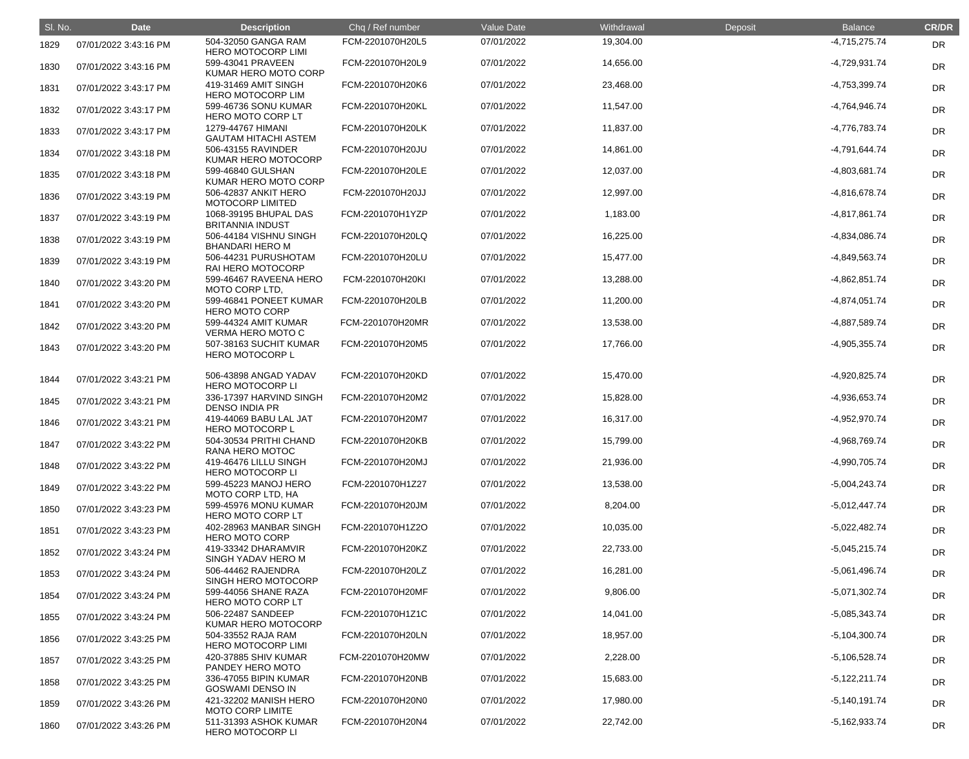| SI. No. | <b>Date</b>           | <b>Description</b>                               | Chq / Ref number | Value Date | Withdrawal | Deposit | <b>Balance</b>  | <b>CR/DR</b> |
|---------|-----------------------|--------------------------------------------------|------------------|------------|------------|---------|-----------------|--------------|
| 1829    | 07/01/2022 3:43:16 PM | 504-32050 GANGA RAM<br><b>HERO MOTOCORP LIMI</b> | FCM-2201070H20L5 | 07/01/2022 | 19,304.00  |         | $-4,715,275.74$ | DR           |
| 1830    | 07/01/2022 3:43:16 PM | 599-43041 PRAVEEN<br>KUMAR HERO MOTO CORP        | FCM-2201070H20L9 | 07/01/2022 | 14,656.00  |         | $-4,729,931.74$ | <b>DR</b>    |
| 1831    | 07/01/2022 3:43:17 PM | 419-31469 AMIT SINGH<br><b>HERO MOTOCORP LIM</b> | FCM-2201070H20K6 | 07/01/2022 | 23,468.00  |         | -4,753,399.74   | <b>DR</b>    |
| 1832    | 07/01/2022 3:43:17 PM | 599-46736 SONU KUMAR<br>HERO MOTO CORP LT        | FCM-2201070H20KL | 07/01/2022 | 11,547.00  |         | -4,764,946.74   | <b>DR</b>    |
| 1833    | 07/01/2022 3:43:17 PM | 1279-44767 HIMANI<br><b>GAUTAM HITACHI ASTEM</b> | FCM-2201070H20LK | 07/01/2022 | 11,837.00  |         | -4,776,783.74   | <b>DR</b>    |
| 1834    | 07/01/2022 3:43:18 PM | 506-43155 RAVINDER<br>KUMAR HERO MOTOCORP        | FCM-2201070H20JU | 07/01/2022 | 14,861.00  |         | -4,791,644.74   | <b>DR</b>    |
| 1835    | 07/01/2022 3:43:18 PM | 599-46840 GULSHAN<br>KUMAR HERO MOTO CORP        | FCM-2201070H20LE | 07/01/2022 | 12,037.00  |         | -4,803,681.74   | <b>DR</b>    |
| 1836    | 07/01/2022 3:43:19 PM | 506-42837 ANKIT HERO<br><b>MOTOCORP LIMITED</b>  | FCM-2201070H20JJ | 07/01/2022 | 12,997.00  |         | -4,816,678.74   | <b>DR</b>    |
| 1837    | 07/01/2022 3:43:19 PM | 1068-39195 BHUPAL DAS<br><b>BRITANNIA INDUST</b> | FCM-2201070H1YZP | 07/01/2022 | 1,183.00   |         | $-4,817,861.74$ | <b>DR</b>    |
| 1838    | 07/01/2022 3:43:19 PM | 506-44184 VISHNU SINGH<br><b>BHANDARI HERO M</b> | FCM-2201070H20LQ | 07/01/2022 | 16,225.00  |         | -4,834,086.74   | <b>DR</b>    |
| 1839    | 07/01/2022 3:43:19 PM | 506-44231 PURUSHOTAM<br><b>RAI HERO MOTOCORP</b> | FCM-2201070H20LU | 07/01/2022 | 15,477.00  |         | -4,849,563.74   | <b>DR</b>    |
| 1840    | 07/01/2022 3:43:20 PM | 599-46467 RAVEENA HERO<br>MOTO CORP LTD,         | FCM-2201070H20KI | 07/01/2022 | 13,288.00  |         | $-4,862,851.74$ | <b>DR</b>    |
| 1841    | 07/01/2022 3:43:20 PM | 599-46841 PONEET KUMAR<br><b>HERO MOTO CORP</b>  | FCM-2201070H20LB | 07/01/2022 | 11,200.00  |         | $-4,874,051.74$ | <b>DR</b>    |
| 1842    | 07/01/2022 3:43:20 PM | 599-44324 AMIT KUMAR<br>VERMA HERO MOTO C        | FCM-2201070H20MR | 07/01/2022 | 13,538.00  |         | -4,887,589.74   | <b>DR</b>    |
| 1843    | 07/01/2022 3:43:20 PM | 507-38163 SUCHIT KUMAR<br><b>HERO MOTOCORP L</b> | FCM-2201070H20M5 | 07/01/2022 | 17,766.00  |         | $-4,905,355.74$ | <b>DR</b>    |
| 1844    | 07/01/2022 3:43:21 PM | 506-43898 ANGAD YADAV<br><b>HERO MOTOCORP LI</b> | FCM-2201070H20KD | 07/01/2022 | 15,470.00  |         | -4,920,825.74   | DR           |
| 1845    | 07/01/2022 3:43:21 PM | 336-17397 HARVIND SINGH<br><b>DENSO INDIA PR</b> | FCM-2201070H20M2 | 07/01/2022 | 15,828.00  |         | -4,936,653.74   | DR           |
| 1846    | 07/01/2022 3:43:21 PM | 419-44069 BABU LAL JAT<br><b>HERO MOTOCORP L</b> | FCM-2201070H20M7 | 07/01/2022 | 16,317.00  |         | -4,952,970.74   | DR           |
| 1847    | 07/01/2022 3:43:22 PM | 504-30534 PRITHI CHAND<br>RANA HERO MOTOC        | FCM-2201070H20KB | 07/01/2022 | 15,799.00  |         | -4,968,769.74   | <b>DR</b>    |
| 1848    | 07/01/2022 3:43:22 PM | 419-46476 LILLU SINGH<br><b>HERO MOTOCORP LI</b> | FCM-2201070H20MJ | 07/01/2022 | 21,936.00  |         | -4,990,705.74   | <b>DR</b>    |
| 1849    | 07/01/2022 3:43:22 PM | 599-45223 MANOJ HERO<br>MOTO CORP LTD, HA        | FCM-2201070H1Z27 | 07/01/2022 | 13,538.00  |         | $-5,004,243.74$ | <b>DR</b>    |
| 1850    | 07/01/2022 3:43:23 PM | 599-45976 MONU KUMAR<br>HERO MOTO CORP LT        | FCM-2201070H20JM | 07/01/2022 | 8,204.00   |         | $-5,012,447.74$ | <b>DR</b>    |
| 1851    | 07/01/2022 3:43:23 PM | 402-28963 MANBAR SINGH<br><b>HERO MOTO CORP</b>  | FCM-2201070H1Z2O | 07/01/2022 | 10,035.00  |         | $-5,022,482.74$ | <b>DR</b>    |
| 1852    | 07/01/2022 3:43:24 PM | 419-33342 DHARAMVIR<br>SINGH YADAV HERO M        | FCM-2201070H20KZ | 07/01/2022 | 22,733.00  |         | $-5,045,215.74$ | <b>DR</b>    |
| 1853    | 07/01/2022 3:43:24 PM | 506-44462 RAJENDRA<br>SINGH HERO MOTOCORP        | FCM-2201070H20LZ | 07/01/2022 | 16,281.00  |         | $-5,061,496.74$ | <b>DR</b>    |
| 1854    | 07/01/2022 3:43:24 PM | 599-44056 SHANE RAZA<br>HERO MOTO CORP LT        | FCM-2201070H20MF | 07/01/2022 | 9,806.00   |         | $-5,071,302.74$ | <b>DR</b>    |
| 1855    | 07/01/2022 3:43:24 PM | 506-22487 SANDEEP<br>KUMAR HERO MOTOCORP         | FCM-2201070H1Z1C | 07/01/2022 | 14,041.00  |         | $-5,085,343.74$ | <b>DR</b>    |
| 1856    | 07/01/2022 3:43:25 PM | 504-33552 RAJA RAM<br><b>HERO MOTOCORP LIMI</b>  | FCM-2201070H20LN | 07/01/2022 | 18,957.00  |         | $-5,104,300.74$ | <b>DR</b>    |
| 1857    | 07/01/2022 3:43:25 PM | 420-37885 SHIV KUMAR<br>PANDEY HERO MOTO         | FCM-2201070H20MW | 07/01/2022 | 2,228.00   |         | $-5,106,528.74$ | <b>DR</b>    |
| 1858    | 07/01/2022 3:43:25 PM | 336-47055 BIPIN KUMAR<br><b>GOSWAMI DENSO IN</b> | FCM-2201070H20NB | 07/01/2022 | 15,683.00  |         | $-5,122,211.74$ | <b>DR</b>    |
| 1859    | 07/01/2022 3:43:26 PM | 421-32202 MANISH HERO<br><b>MOTO CORP LIMITE</b> | FCM-2201070H20N0 | 07/01/2022 | 17,980.00  |         | $-5,140,191.74$ | <b>DR</b>    |
| 1860    | 07/01/2022 3:43:26 PM | 511-31393 ASHOK KUMAR<br>HERO MOTOCORP LI        | FCM-2201070H20N4 | 07/01/2022 | 22,742.00  |         | $-5,162,933.74$ | <b>DR</b>    |
|         |                       |                                                  |                  |            |            |         |                 |              |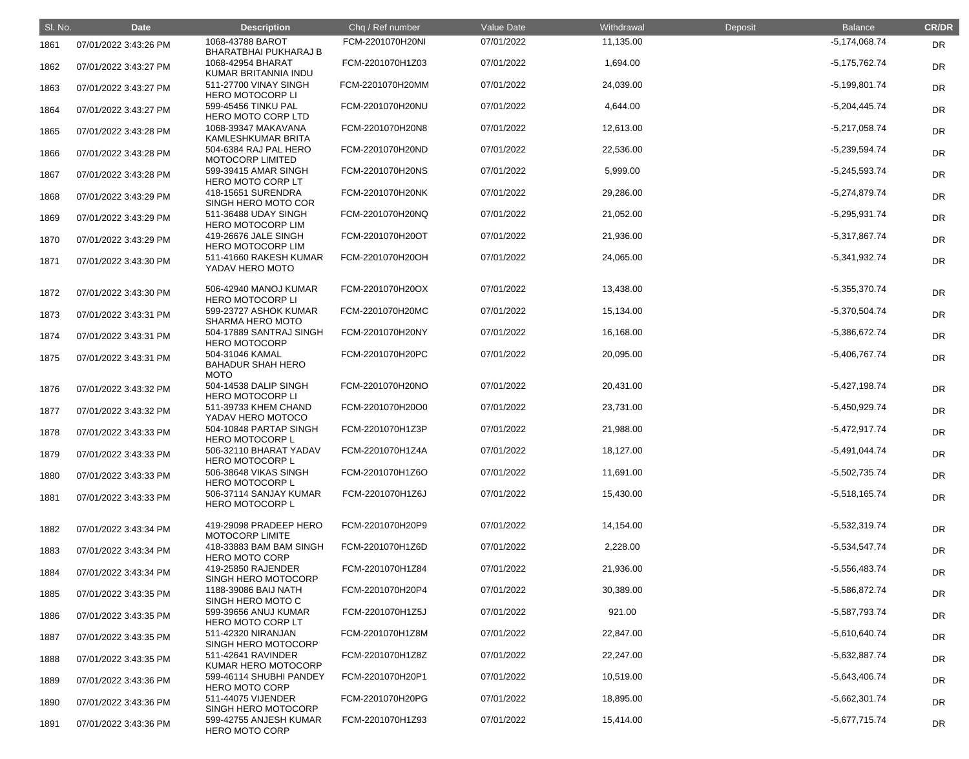| SI. No. | <b>Date</b>           | <b>Description</b>                                         | Chq / Ref number | Value Date | Withdrawal | Deposit | <b>Balance</b>  | <b>CR/DR</b> |
|---------|-----------------------|------------------------------------------------------------|------------------|------------|------------|---------|-----------------|--------------|
| 1861    | 07/01/2022 3:43:26 PM | 1068-43788 BAROT<br><b>BHARATBHAI PUKHARAJ B</b>           | FCM-2201070H20NI | 07/01/2022 | 11,135.00  |         | $-5,174,068.74$ | <b>DR</b>    |
| 1862    | 07/01/2022 3:43:27 PM | 1068-42954 BHARAT<br>KUMAR BRITANNIA INDU                  | FCM-2201070H1Z03 | 07/01/2022 | 1,694.00   |         | $-5,175,762.74$ | DR           |
| 1863    | 07/01/2022 3:43:27 PM | 511-27700 VINAY SINGH<br><b>HERO MOTOCORP LI</b>           | FCM-2201070H20MM | 07/01/2022 | 24,039.00  |         | $-5,199,801.74$ | DR           |
| 1864    | 07/01/2022 3:43:27 PM | 599-45456 TINKU PAL<br>HERO MOTO CORP LTD                  | FCM-2201070H20NU | 07/01/2022 | 4,644.00   |         | $-5,204,445.74$ | DR           |
| 1865    | 07/01/2022 3:43:28 PM | 1068-39347 MAKAVANA<br>KAMLESHKUMAR BRITA                  | FCM-2201070H20N8 | 07/01/2022 | 12,613.00  |         | $-5,217,058.74$ | DR           |
| 1866    | 07/01/2022 3:43:28 PM | 504-6384 RAJ PAL HERO<br><b>MOTOCORP LIMITED</b>           | FCM-2201070H20ND | 07/01/2022 | 22,536.00  |         | $-5,239,594.74$ | DR           |
| 1867    | 07/01/2022 3:43:28 PM | 599-39415 AMAR SINGH<br>HERO MOTO CORP LT                  | FCM-2201070H20NS | 07/01/2022 | 5,999.00   |         | $-5,245,593.74$ | DR           |
| 1868    | 07/01/2022 3:43:29 PM | 418-15651 SURENDRA<br>SINGH HERO MOTO COR                  | FCM-2201070H20NK | 07/01/2022 | 29,286.00  |         | $-5,274,879.74$ | DR           |
| 1869    | 07/01/2022 3:43:29 PM | 511-36488 UDAY SINGH<br><b>HERO MOTOCORP LIM</b>           | FCM-2201070H20NQ | 07/01/2022 | 21,052.00  |         | $-5,295,931.74$ | DR           |
| 1870    | 07/01/2022 3:43:29 PM | 419-26676 JALE SINGH<br><b>HERO MOTOCORP LIM</b>           | FCM-2201070H20OT | 07/01/2022 | 21,936.00  |         | $-5,317,867.74$ | DR           |
| 1871    | 07/01/2022 3:43:30 PM | 511-41660 RAKESH KUMAR<br>YADAV HERO MOTO                  | FCM-2201070H20OH | 07/01/2022 | 24,065.00  |         | $-5,341,932.74$ | DR           |
| 1872    | 07/01/2022 3:43:30 PM | 506-42940 MANOJ KUMAR<br><b>HERO MOTOCORP LI</b>           | FCM-2201070H20OX | 07/01/2022 | 13,438.00  |         | $-5,355,370.74$ | <b>DR</b>    |
| 1873    | 07/01/2022 3:43:31 PM | 599-23727 ASHOK KUMAR<br><b>SHARMA HERO MOTO</b>           | FCM-2201070H20MC | 07/01/2022 | 15,134.00  |         | $-5,370,504.74$ | DR           |
| 1874    | 07/01/2022 3:43:31 PM | 504-17889 SANTRAJ SINGH<br><b>HERO MOTOCORP</b>            | FCM-2201070H20NY | 07/01/2022 | 16,168.00  |         | -5,386,672.74   | DR           |
| 1875    | 07/01/2022 3:43:31 PM | 504-31046 KAMAL<br><b>BAHADUR SHAH HERO</b><br><b>MOTO</b> | FCM-2201070H20PC | 07/01/2022 | 20,095.00  |         | $-5,406,767.74$ | <b>DR</b>    |
| 1876    | 07/01/2022 3:43:32 PM | 504-14538 DALIP SINGH<br><b>HERO MOTOCORP LI</b>           | FCM-2201070H20NO | 07/01/2022 | 20,431.00  |         | $-5,427,198.74$ | <b>DR</b>    |
| 1877    | 07/01/2022 3:43:32 PM | 511-39733 KHEM CHAND<br>YADAV HERO MOTOCO                  | FCM-2201070H20O0 | 07/01/2022 | 23,731.00  |         | $-5,450,929.74$ | DR           |
| 1878    | 07/01/2022 3:43:33 PM | 504-10848 PARTAP SINGH<br><b>HERO MOTOCORP L</b>           | FCM-2201070H1Z3P | 07/01/2022 | 21,988.00  |         | $-5,472,917.74$ | DR           |
| 1879    | 07/01/2022 3:43:33 PM | 506-32110 BHARAT YADAV<br><b>HERO MOTOCORP L</b>           | FCM-2201070H1Z4A | 07/01/2022 | 18,127.00  |         | $-5,491,044.74$ | <b>DR</b>    |
| 1880    | 07/01/2022 3:43:33 PM | 506-38648 VIKAS SINGH<br><b>HERO MOTOCORP L</b>            | FCM-2201070H1Z6O | 07/01/2022 | 11,691.00  |         | $-5,502,735.74$ | DR           |
| 1881    | 07/01/2022 3:43:33 PM | 506-37114 SANJAY KUMAR<br><b>HERO MOTOCORP L</b>           | FCM-2201070H1Z6J | 07/01/2022 | 15,430.00  |         | $-5,518,165.74$ | DR           |
| 1882    | 07/01/2022 3:43:34 PM | 419-29098 PRADEEP HERO<br><b>MOTOCORP LIMITE</b>           | FCM-2201070H20P9 | 07/01/2022 | 14,154.00  |         | $-5,532,319.74$ | <b>DR</b>    |
| 1883    | 07/01/2022 3:43:34 PM | 418-33883 BAM BAM SINGH<br><b>HERO MOTO CORP</b>           | FCM-2201070H1Z6D | 07/01/2022 | 2,228.00   |         | $-5,534,547.74$ | DR           |
| 1884    | 07/01/2022 3:43:34 PM | 419-25850 RAJENDER<br>SINGH HERO MOTOCORP                  | FCM-2201070H1Z84 | 07/01/2022 | 21,936.00  |         | $-5,556,483.74$ | <b>DR</b>    |
| 1885    | 07/01/2022 3:43:35 PM | 1188-39086 BAIJ NATH<br>SINGH HERO MOTO C                  | FCM-2201070H20P4 | 07/01/2022 | 30,389.00  |         | -5,586,872.74   | <b>DR</b>    |
| 1886    | 07/01/2022 3:43:35 PM | 599-39656 ANUJ KUMAR<br>HERO MOTO CORP LT                  | FCM-2201070H1Z5J | 07/01/2022 | 921.00     |         | -5,587,793.74   | DR           |
| 1887    | 07/01/2022 3:43:35 PM | 511-42320 NIRANJAN<br>SINGH HERO MOTOCORP                  | FCM-2201070H1Z8M | 07/01/2022 | 22,847.00  |         | $-5,610,640.74$ | DR           |
| 1888    | 07/01/2022 3:43:35 PM | 511-42641 RAVINDER<br>KUMAR HERO MOTOCORP                  | FCM-2201070H1Z8Z | 07/01/2022 | 22,247.00  |         | $-5,632,887.74$ | <b>DR</b>    |
| 1889    | 07/01/2022 3:43:36 PM | 599-46114 SHUBHI PANDEY<br><b>HERO MOTO CORP</b>           | FCM-2201070H20P1 | 07/01/2022 | 10,519.00  |         | $-5,643,406.74$ | <b>DR</b>    |
| 1890    | 07/01/2022 3:43:36 PM | 511-44075 VIJENDER<br>SINGH HERO MOTOCORP                  | FCM-2201070H20PG | 07/01/2022 | 18,895.00  |         | $-5,662,301.74$ | <b>DR</b>    |
| 1891    | 07/01/2022 3:43:36 PM | 599-42755 ANJESH KUMAR<br><b>HERO MOTO CORP</b>            | FCM-2201070H1Z93 | 07/01/2022 | 15,414.00  |         | $-5,677,715.74$ | <b>DR</b>    |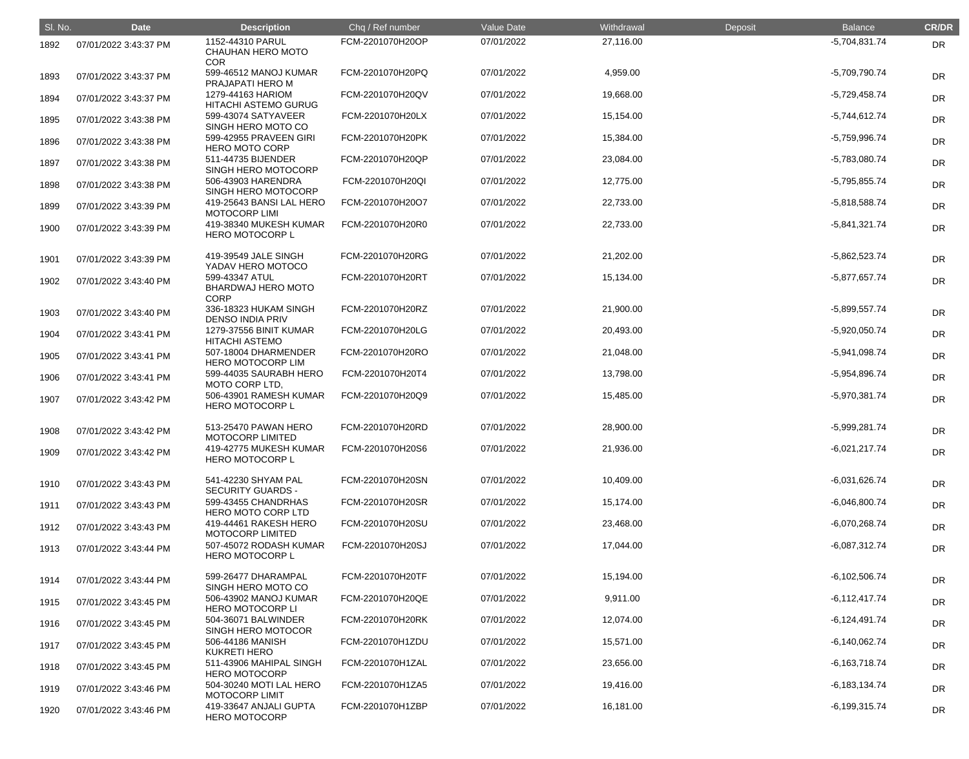| SI. No. | <b>Date</b>           | <b>Description</b>                                  | Chq / Ref number | Value Date | Withdrawal | Deposit | <b>Balance</b>  | <b>CR/DR</b> |
|---------|-----------------------|-----------------------------------------------------|------------------|------------|------------|---------|-----------------|--------------|
| 1892    | 07/01/2022 3:43:37 PM | 1152-44310 PARUL<br>CHAUHAN HERO MOTO<br><b>COR</b> | FCM-2201070H20OP | 07/01/2022 | 27,116.00  |         | $-5,704,831.74$ | <b>DR</b>    |
| 1893    | 07/01/2022 3:43:37 PM | 599-46512 MANOJ KUMAR<br>PRAJAPATI HERO M           | FCM-2201070H20PQ | 07/01/2022 | 4,959.00   |         | -5,709,790.74   | <b>DR</b>    |
| 1894    | 07/01/2022 3:43:37 PM | 1279-44163 HARIOM<br><b>HITACHI ASTEMO GURUG</b>    | FCM-2201070H20QV | 07/01/2022 | 19,668.00  |         | $-5,729,458.74$ | <b>DR</b>    |
| 1895    | 07/01/2022 3:43:38 PM | 599-43074 SATYAVEER<br>SINGH HERO MOTO CO           | FCM-2201070H20LX | 07/01/2022 | 15,154.00  |         | $-5,744,612.74$ | <b>DR</b>    |
| 1896    | 07/01/2022 3:43:38 PM | 599-42955 PRAVEEN GIRI<br><b>HERO MOTO CORP</b>     | FCM-2201070H20PK | 07/01/2022 | 15,384.00  |         | -5,759,996.74   | <b>DR</b>    |
| 1897    | 07/01/2022 3:43:38 PM | 511-44735 BIJENDER<br>SINGH HERO MOTOCORP           | FCM-2201070H20QP | 07/01/2022 | 23,084.00  |         | -5,783,080.74   | <b>DR</b>    |
| 1898    | 07/01/2022 3:43:38 PM | 506-43903 HARENDRA<br>SINGH HERO MOTOCORP           | FCM-2201070H20QI | 07/01/2022 | 12,775.00  |         | $-5,795,855.74$ | <b>DR</b>    |
| 1899    | 07/01/2022 3:43:39 PM | 419-25643 BANSI LAL HERO<br><b>MOTOCORP LIMI</b>    | FCM-2201070H20O7 | 07/01/2022 | 22,733.00  |         | $-5,818,588.74$ | <b>DR</b>    |
| 1900    | 07/01/2022 3:43:39 PM | 419-38340 MUKESH KUMAR<br>HERO MOTOCORP L           | FCM-2201070H20R0 | 07/01/2022 | 22,733.00  |         | $-5,841,321.74$ | <b>DR</b>    |
| 1901    | 07/01/2022 3:43:39 PM | 419-39549 JALE SINGH<br>YADAV HERO MOTOCO           | FCM-2201070H20RG | 07/01/2022 | 21,202.00  |         | $-5,862,523.74$ | <b>DR</b>    |
| 1902    | 07/01/2022 3:43:40 PM | 599-43347 ATUL<br>BHARDWAJ HERO MOTO<br><b>CORP</b> | FCM-2201070H20RT | 07/01/2022 | 15,134.00  |         | $-5,877,657.74$ | <b>DR</b>    |
| 1903    | 07/01/2022 3:43:40 PM | 336-18323 HUKAM SINGH<br><b>DENSO INDIA PRIV</b>    | FCM-2201070H20RZ | 07/01/2022 | 21,900.00  |         | $-5,899,557.74$ | <b>DR</b>    |
| 1904    | 07/01/2022 3:43:41 PM | 1279-37556 BINIT KUMAR<br><b>HITACHI ASTEMO</b>     | FCM-2201070H20LG | 07/01/2022 | 20,493.00  |         | $-5,920,050.74$ | <b>DR</b>    |
| 1905    | 07/01/2022 3:43:41 PM | 507-18004 DHARMENDER<br><b>HERO MOTOCORP LIM</b>    | FCM-2201070H20RO | 07/01/2022 | 21,048.00  |         | $-5,941,098.74$ | <b>DR</b>    |
| 1906    | 07/01/2022 3:43:41 PM | 599-44035 SAURABH HERO<br>MOTO CORP LTD,            | FCM-2201070H20T4 | 07/01/2022 | 13,798.00  |         | -5,954,896.74   | <b>DR</b>    |
| 1907    | 07/01/2022 3:43:42 PM | 506-43901 RAMESH KUMAR<br><b>HERO MOTOCORP L</b>    | FCM-2201070H20Q9 | 07/01/2022 | 15,485.00  |         | -5,970,381.74   | DR           |
| 1908    | 07/01/2022 3:43:42 PM | 513-25470 PAWAN HERO<br><b>MOTOCORP LIMITED</b>     | FCM-2201070H20RD | 07/01/2022 | 28,900.00  |         | $-5,999,281.74$ | DR           |
| 1909    | 07/01/2022 3:43:42 PM | 419-42775 MUKESH KUMAR<br><b>HERO MOTOCORP L</b>    | FCM-2201070H20S6 | 07/01/2022 | 21,936.00  |         | $-6,021,217.74$ | <b>DR</b>    |
| 1910    | 07/01/2022 3:43:43 PM | 541-42230 SHYAM PAL<br><b>SECURITY GUARDS -</b>     | FCM-2201070H20SN | 07/01/2022 | 10,409.00  |         | $-6,031,626.74$ | DR           |
| 1911    | 07/01/2022 3:43:43 PM | 599-43455 CHANDRHAS<br>HERO MOTO CORP LTD           | FCM-2201070H20SR | 07/01/2022 | 15,174.00  |         | $-6,046,800.74$ | DR           |
| 1912    | 07/01/2022 3:43:43 PM | 419-44461 RAKESH HERO<br><b>MOTOCORP LIMITED</b>    | FCM-2201070H20SU | 07/01/2022 | 23,468.00  |         | $-6,070,268.74$ | DR           |
| 1913    | 07/01/2022 3:43:44 PM | 507-45072 RODASH KUMAR<br><b>HERO MOTOCORP L</b>    | FCM-2201070H20SJ | 07/01/2022 | 17,044.00  |         | $-6,087,312.74$ | <b>DR</b>    |
| 1914    | 07/01/2022 3:43:44 PM | 599-26477 DHARAMPAL<br>SINGH HERO MOTO CO           | FCM-2201070H20TF | 07/01/2022 | 15,194.00  |         | $-6,102,506.74$ | DR           |
| 1915    | 07/01/2022 3:43:45 PM | 506-43902 MANOJ KUMAR<br><b>HERO MOTOCORP LI</b>    | FCM-2201070H20QE | 07/01/2022 | 9,911.00   |         | $-6,112,417.74$ | DR           |
| 1916    | 07/01/2022 3:43:45 PM | 504-36071 BALWINDER<br>SINGH HERO MOTOCOR           | FCM-2201070H20RK | 07/01/2022 | 12,074.00  |         | $-6,124,491.74$ | <b>DR</b>    |
| 1917    | 07/01/2022 3:43:45 PM | 506-44186 MANISH<br><b>KUKRETI HERO</b>             | FCM-2201070H1ZDU | 07/01/2022 | 15,571.00  |         | $-6,140,062.74$ | <b>DR</b>    |
| 1918    | 07/01/2022 3:43:45 PM | 511-43906 MAHIPAL SINGH<br><b>HERO MOTOCORP</b>     | FCM-2201070H1ZAL | 07/01/2022 | 23,656.00  |         | $-6,163,718.74$ | DR           |
| 1919    | 07/01/2022 3:43:46 PM | 504-30240 MOTI LAL HERO<br><b>MOTOCORP LIMIT</b>    | FCM-2201070H1ZA5 | 07/01/2022 | 19,416.00  |         | $-6,183,134.74$ | <b>DR</b>    |
| 1920    | 07/01/2022 3:43:46 PM | 419-33647 ANJALI GUPTA<br><b>HERO MOTOCORP</b>      | FCM-2201070H1ZBP | 07/01/2022 | 16,181.00  |         | $-6,199,315.74$ | <b>DR</b>    |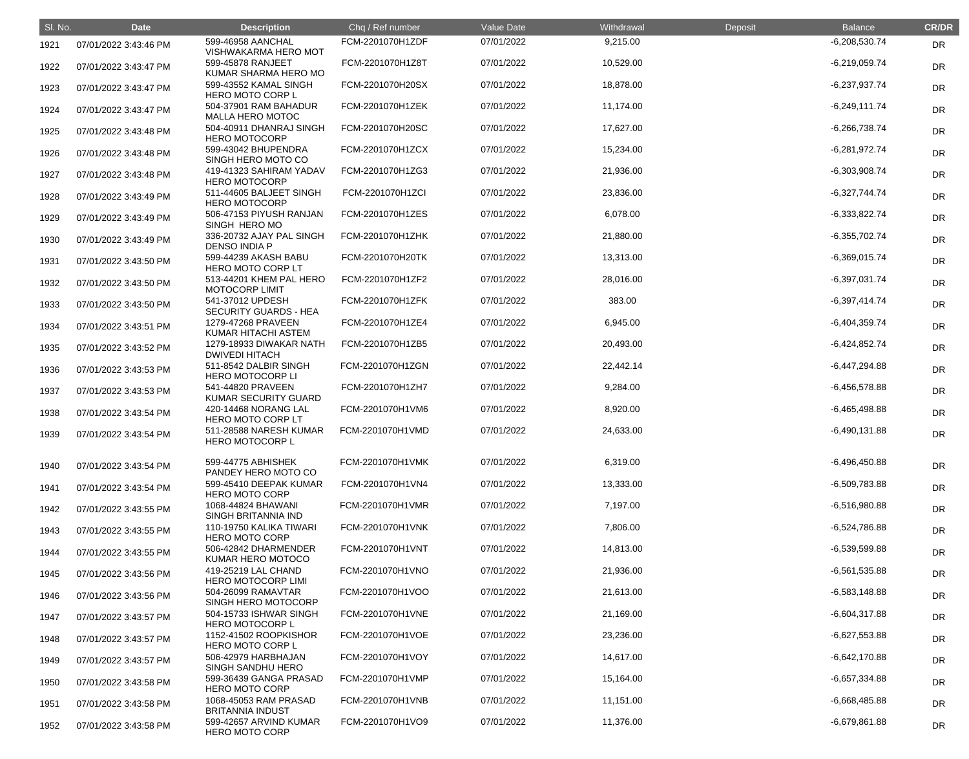| SI. No. | <b>Date</b>           | <b>Description</b>                                                         | Chq / Ref number | Value Date | Withdrawal | Deposit | <b>Balance</b>  | <b>CR/DR</b> |
|---------|-----------------------|----------------------------------------------------------------------------|------------------|------------|------------|---------|-----------------|--------------|
| 1921    | 07/01/2022 3:43:46 PM | 599-46958 AANCHAL<br>VISHWAKARMA HERO MOT                                  | FCM-2201070H1ZDF | 07/01/2022 | 9,215.00   |         | $-6,208,530.74$ | DR           |
| 1922    | 07/01/2022 3:43:47 PM | 599-45878 RANJEET<br>KUMAR SHARMA HERO MO                                  | FCM-2201070H1Z8T | 07/01/2022 | 10,529.00  |         | $-6,219,059.74$ | DR           |
| 1923    | 07/01/2022 3:43:47 PM | 599-43552 KAMAL SINGH<br><b>HERO MOTO CORP L</b>                           | FCM-2201070H20SX | 07/01/2022 | 18,878.00  |         | $-6,237,937.74$ | <b>DR</b>    |
| 1924    | 07/01/2022 3:43:47 PM | 504-37901 RAM BAHADUR<br><b>MALLA HERO MOTOC</b>                           | FCM-2201070H1ZEK | 07/01/2022 | 11,174.00  |         | $-6,249,111.74$ | <b>DR</b>    |
| 1925    | 07/01/2022 3:43:48 PM | 504-40911 DHANRAJ SINGH<br><b>HERO MOTOCORP</b>                            | FCM-2201070H20SC | 07/01/2022 | 17,627.00  |         | $-6,266,738.74$ | DR           |
| 1926    | 07/01/2022 3:43:48 PM | 599-43042 BHUPENDRA<br>SINGH HERO MOTO CO                                  | FCM-2201070H1ZCX | 07/01/2022 | 15,234.00  |         | $-6,281,972.74$ | DR           |
| 1927    | 07/01/2022 3:43:48 PM | 419-41323 SAHIRAM YADAV<br><b>HERO MOTOCORP</b>                            | FCM-2201070H1ZG3 | 07/01/2022 | 21,936.00  |         | $-6,303,908.74$ | <b>DR</b>    |
| 1928    | 07/01/2022 3:43:49 PM | 511-44605 BALJEET SINGH<br><b>HERO MOTOCORP</b>                            | FCM-2201070H1ZCI | 07/01/2022 | 23,836.00  |         | $-6,327,744.74$ | <b>DR</b>    |
| 1929    | 07/01/2022 3:43:49 PM | 506-47153 PIYUSH RANJAN<br>SINGH HERO MO                                   | FCM-2201070H1ZES | 07/01/2022 | 6,078.00   |         | $-6,333,822.74$ | DR           |
| 1930    | 07/01/2022 3:43:49 PM | 336-20732 AJAY PAL SINGH<br>DENSO INDIA P                                  | FCM-2201070H1ZHK | 07/01/2022 | 21,880.00  |         | $-6,355,702.74$ | <b>DR</b>    |
| 1931    | 07/01/2022 3:43:50 PM | 599-44239 AKASH BABU<br><b>HERO MOTO CORP LT</b>                           | FCM-2201070H20TK | 07/01/2022 | 13,313.00  |         | $-6,369,015.74$ | <b>DR</b>    |
| 1932    | 07/01/2022 3:43:50 PM | 513-44201 KHEM PAL HERO<br><b>MOTOCORP LIMIT</b>                           | FCM-2201070H1ZF2 | 07/01/2022 | 28,016.00  |         | $-6,397,031.74$ | DR           |
| 1933    | 07/01/2022 3:43:50 PM | 541-37012 UPDESH<br><b>SECURITY GUARDS - HEA</b>                           | FCM-2201070H1ZFK | 07/01/2022 | 383.00     |         | $-6,397,414.74$ | DR           |
| 1934    | 07/01/2022 3:43:51 PM | 1279-47268 PRAVEEN<br>KUMAR HITACHI ASTEM                                  | FCM-2201070H1ZE4 | 07/01/2022 | 6,945.00   |         | $-6,404,359.74$ | <b>DR</b>    |
| 1935    | 07/01/2022 3:43:52 PM | 1279-18933 DIWAKAR NATH<br><b>DWIVEDI HITACH</b>                           | FCM-2201070H1ZB5 | 07/01/2022 | 20,493.00  |         | $-6,424,852.74$ | <b>DR</b>    |
| 1936    | 07/01/2022 3:43:53 PM | 511-8542 DALBIR SINGH<br><b>HERO MOTOCORP LI</b>                           | FCM-2201070H1ZGN | 07/01/2022 | 22,442.14  |         | $-6,447,294.88$ | DR           |
| 1937    | 07/01/2022 3:43:53 PM | 541-44820 PRAVEEN<br>KUMAR SECURITY GUARD                                  | FCM-2201070H1ZH7 | 07/01/2022 | 9,284.00   |         | $-6,456,578.88$ | DR           |
| 1938    | 07/01/2022 3:43:54 PM | 420-14468 NORANG LAL<br>HERO MOTO CORP LT                                  | FCM-2201070H1VM6 | 07/01/2022 | 8,920.00   |         | $-6,465,498.88$ | DR           |
| 1939    | 07/01/2022 3:43:54 PM | 511-28588 NARESH KUMAR<br><b>HERO MOTOCORP L</b>                           | FCM-2201070H1VMD | 07/01/2022 | 24,633.00  |         | $-6,490,131.88$ | <b>DR</b>    |
| 1940    | 07/01/2022 3:43:54 PM | 599-44775 ABHISHEK                                                         | FCM-2201070H1VMK | 07/01/2022 | 6,319.00   |         | $-6,496,450.88$ | <b>DR</b>    |
| 1941    | 07/01/2022 3:43:54 PM | PANDEY HERO MOTO CO<br>599-45410 DEEPAK KUMAR<br><b>HERO MOTO CORP</b>     | FCM-2201070H1VN4 | 07/01/2022 | 13,333.00  |         | $-6,509,783.88$ | <b>DR</b>    |
| 1942    | 07/01/2022 3:43:55 PM | 1068-44824 BHAWANI                                                         | FCM-2201070H1VMR | 07/01/2022 | 7,197.00   |         | $-6,516,980.88$ | <b>DR</b>    |
| 1943    | 07/01/2022 3:43:55 PM | SINGH BRITANNIA IND<br>110-19750 KALIKA TIWARI                             | FCM-2201070H1VNK | 07/01/2022 | 7,806.00   |         | $-6,524,786.88$ | <b>DR</b>    |
| 1944    | 07/01/2022 3:43:55 PM | <b>HERO MOTO CORP</b><br>506-42842 DHARMENDER                              | FCM-2201070H1VNT | 07/01/2022 | 14,813.00  |         | $-6,539,599.88$ | <b>DR</b>    |
| 1945    | 07/01/2022 3:43:56 PM | KUMAR HERO MOTOCO<br>419-25219 LAL CHAND                                   | FCM-2201070H1VNO | 07/01/2022 | 21,936.00  |         | $-6,561,535.88$ | <b>DR</b>    |
| 1946    | 07/01/2022 3:43:56 PM | <b>HERO MOTOCORP LIMI</b><br>504-26099 RAMAVTAR                            | FCM-2201070H1VOO | 07/01/2022 | 21,613.00  |         | $-6,583,148.88$ | <b>DR</b>    |
| 1947    | 07/01/2022 3:43:57 PM | SINGH HERO MOTOCORP<br>504-15733 ISHWAR SINGH                              | FCM-2201070H1VNE | 07/01/2022 | 21,169.00  |         | $-6,604,317.88$ | <b>DR</b>    |
| 1948    | 07/01/2022 3:43:57 PM | <b>HERO MOTOCORP L</b><br>1152-41502 ROOPKISHOR                            | FCM-2201070H1VOE | 07/01/2022 | 23,236.00  |         | $-6,627,553.88$ | <b>DR</b>    |
| 1949    | 07/01/2022 3:43:57 PM | <b>HERO MOTO CORP L</b><br>506-42979 HARBHAJAN                             | FCM-2201070H1VOY | 07/01/2022 | 14,617.00  |         | $-6,642,170.88$ | <b>DR</b>    |
| 1950    | 07/01/2022 3:43:58 PM | <b>SINGH SANDHU HERO</b><br>599-36439 GANGA PRASAD                         | FCM-2201070H1VMP | 07/01/2022 | 15,164.00  |         | $-6,657,334.88$ | <b>DR</b>    |
| 1951    | 07/01/2022 3:43:58 PM | <b>HERO MOTO CORP</b><br>1068-45053 RAM PRASAD                             | FCM-2201070H1VNB | 07/01/2022 | 11,151.00  |         | $-6,668,485.88$ | <b>DR</b>    |
| 1952    | 07/01/2022 3:43:58 PM | <b>BRITANNIA INDUST</b><br>599-42657 ARVIND KUMAR<br><b>HERO MOTO CORP</b> | FCM-2201070H1VO9 | 07/01/2022 | 11,376.00  |         | $-6,679,861.88$ | <b>DR</b>    |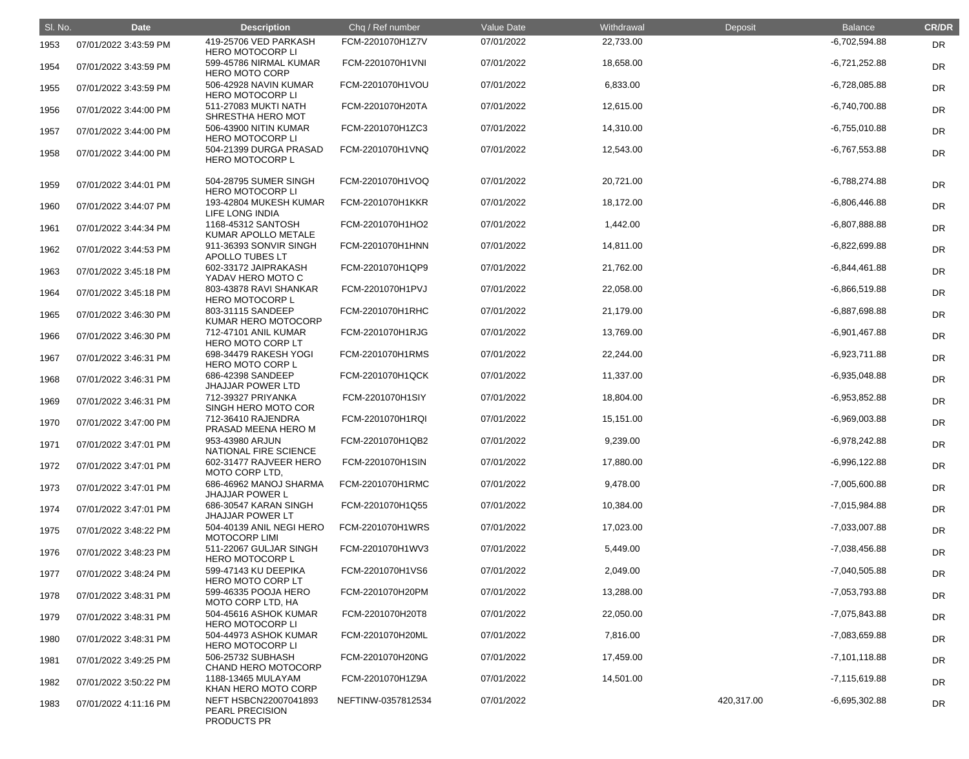| SI. No. | <b>Date</b>           | <b>Description</b>                                             | Chq / Ref number   | Value Date | Withdrawal | Deposit    | <b>Balance</b>  | <b>CR/DR</b> |
|---------|-----------------------|----------------------------------------------------------------|--------------------|------------|------------|------------|-----------------|--------------|
| 1953    | 07/01/2022 3:43:59 PM | 419-25706 VED PARKASH<br><b>HERO MOTOCORP LI</b>               | FCM-2201070H1Z7V   | 07/01/2022 | 22,733.00  |            | $-6,702,594.88$ | <b>DR</b>    |
| 1954    | 07/01/2022 3:43:59 PM | 599-45786 NIRMAL KUMAR<br><b>HERO MOTO CORP</b>                | FCM-2201070H1VNI   | 07/01/2022 | 18,658.00  |            | $-6,721,252.88$ | DR           |
| 1955    | 07/01/2022 3:43:59 PM | 506-42928 NAVIN KUMAR<br><b>HERO MOTOCORP LI</b>               | FCM-2201070H1VOU   | 07/01/2022 | 6,833.00   |            | $-6,728,085.88$ | DR           |
| 1956    | 07/01/2022 3:44:00 PM | 511-27083 MUKTI NATH<br>SHRESTHA HERO MOT                      | FCM-2201070H20TA   | 07/01/2022 | 12,615.00  |            | $-6,740,700.88$ | <b>DR</b>    |
| 1957    | 07/01/2022 3:44:00 PM | 506-43900 NITIN KUMAR<br><b>HERO MOTOCORP LI</b>               | FCM-2201070H1ZC3   | 07/01/2022 | 14,310.00  |            | $-6,755,010.88$ | DR           |
| 1958    | 07/01/2022 3:44:00 PM | 504-21399 DURGA PRASAD<br><b>HERO MOTOCORP L</b>               | FCM-2201070H1VNQ   | 07/01/2022 | 12,543.00  |            | $-6,767,553.88$ | DR           |
| 1959    | 07/01/2022 3:44:01 PM | 504-28795 SUMER SINGH<br><b>HERO MOTOCORP LI</b>               | FCM-2201070H1VOQ   | 07/01/2022 | 20,721.00  |            | $-6,788,274.88$ | DR           |
| 1960    | 07/01/2022 3:44:07 PM | 193-42804 MUKESH KUMAR<br>LIFE LONG INDIA                      | FCM-2201070H1KKR   | 07/01/2022 | 18,172.00  |            | $-6,806,446.88$ | DR           |
| 1961    | 07/01/2022 3:44:34 PM | 1168-45312 SANTOSH<br>KUMAR APOLLO METALE                      | FCM-2201070H1HO2   | 07/01/2022 | 1,442.00   |            | $-6,807,888.88$ | <b>DR</b>    |
| 1962    | 07/01/2022 3:44:53 PM | 911-36393 SONVIR SINGH<br>APOLLO TUBES LT                      | FCM-2201070H1HNN   | 07/01/2022 | 14,811.00  |            | $-6,822,699.88$ | DR           |
| 1963    | 07/01/2022 3:45:18 PM | 602-33172 JAIPRAKASH<br>YADAV HERO MOTO C                      | FCM-2201070H1QP9   | 07/01/2022 | 21,762.00  |            | $-6,844,461.88$ | DR           |
| 1964    | 07/01/2022 3:45:18 PM | 803-43878 RAVI SHANKAR<br><b>HERO MOTOCORP L</b>               | FCM-2201070H1PVJ   | 07/01/2022 | 22,058.00  |            | $-6,866,519.88$ | DR           |
| 1965    | 07/01/2022 3:46:30 PM | 803-31115 SANDEEP<br>KUMAR HERO MOTOCORP                       | FCM-2201070H1RHC   | 07/01/2022 | 21,179.00  |            | $-6,887,698.88$ | DR           |
| 1966    | 07/01/2022 3:46:30 PM | 712-47101 ANIL KUMAR<br>HERO MOTO CORP LT                      | FCM-2201070H1RJG   | 07/01/2022 | 13,769.00  |            | $-6,901,467.88$ | DR           |
| 1967    | 07/01/2022 3:46:31 PM | 698-34479 RAKESH YOGI<br><b>HERO MOTO CORP L</b>               | FCM-2201070H1RMS   | 07/01/2022 | 22,244.00  |            | $-6,923,711.88$ | <b>DR</b>    |
| 1968    | 07/01/2022 3:46:31 PM | 686-42398 SANDEEP<br><b>JHAJJAR POWER LTD</b>                  | FCM-2201070H1QCK   | 07/01/2022 | 11,337.00  |            | $-6,935,048.88$ | DR           |
| 1969    | 07/01/2022 3:46:31 PM | 712-39327 PRIYANKA<br>SINGH HERO MOTO COR                      | FCM-2201070H1SIY   | 07/01/2022 | 18,804.00  |            | $-6,953,852.88$ | DR           |
| 1970    | 07/01/2022 3:47:00 PM | 712-36410 RAJENDRA<br>PRASAD MEENA HERO M                      | FCM-2201070H1RQI   | 07/01/2022 | 15,151.00  |            | $-6,969,003.88$ | DR           |
| 1971    | 07/01/2022 3:47:01 PM | 953-43980 ARJUN<br>NATIONAL FIRE SCIENCE                       | FCM-2201070H1QB2   | 07/01/2022 | 9,239.00   |            | $-6,978,242.88$ | <b>DR</b>    |
| 1972    | 07/01/2022 3:47:01 PM | 602-31477 RAJVEER HERO<br>MOTO CORP LTD,                       | FCM-2201070H1SIN   | 07/01/2022 | 17,880.00  |            | $-6,996,122.88$ | DR           |
| 1973    | 07/01/2022 3:47:01 PM | 686-46962 MANOJ SHARMA<br><b>JHAJJAR POWER L</b>               | FCM-2201070H1RMC   | 07/01/2022 | 9,478.00   |            | $-7,005,600.88$ | <b>DR</b>    |
| 1974    | 07/01/2022 3:47:01 PM | 686-30547 KARAN SINGH<br><b>JHAJJAR POWER LT</b>               | FCM-2201070H1Q55   | 07/01/2022 | 10,384.00  |            | $-7,015,984.88$ | <b>DR</b>    |
| 1975    | 07/01/2022 3:48:22 PM | 504-40139 ANIL NEGI HERO<br><b>MOTOCORP LIMI</b>               | FCM-2201070H1WRS   | 07/01/2022 | 17,023.00  |            | $-7,033,007.88$ | DR           |
| 1976    | 07/01/2022 3:48:23 PM | 511-22067 GULJAR SINGH<br><b>HERO MOTOCORP L</b>               | FCM-2201070H1WV3   | 07/01/2022 | 5,449.00   |            | $-7,038,456.88$ | <b>DR</b>    |
| 1977    | 07/01/2022 3:48:24 PM | 599-47143 KU DEEPIKA<br>HERO MOTO CORP LT                      | FCM-2201070H1VS6   | 07/01/2022 | 2,049.00   |            | $-7,040,505.88$ | <b>DR</b>    |
| 1978    | 07/01/2022 3:48:31 PM | 599-46335 POOJA HERO<br>MOTO CORP LTD, HA                      | FCM-2201070H20PM   | 07/01/2022 | 13,288.00  |            | -7,053,793.88   | DR           |
| 1979    | 07/01/2022 3:48:31 PM | 504-45616 ASHOK KUMAR<br><b>HERO MOTOCORP LI</b>               | FCM-2201070H20T8   | 07/01/2022 | 22,050.00  |            | -7,075,843.88   | <b>DR</b>    |
| 1980    | 07/01/2022 3:48:31 PM | 504-44973 ASHOK KUMAR<br><b>HERO MOTOCORP LI</b>               | FCM-2201070H20ML   | 07/01/2022 | 7,816.00   |            | -7,083,659.88   | <b>DR</b>    |
| 1981    | 07/01/2022 3:49:25 PM | 506-25732 SUBHASH<br>CHAND HERO MOTOCORP                       | FCM-2201070H20NG   | 07/01/2022 | 17,459.00  |            | $-7,101,118.88$ | <b>DR</b>    |
| 1982    | 07/01/2022 3:50:22 PM | 1188-13465 MULAYAM<br>KHAN HERO MOTO CORP                      | FCM-2201070H1Z9A   | 07/01/2022 | 14,501.00  |            | $-7,115,619.88$ | <b>DR</b>    |
| 1983    | 07/01/2022 4:11:16 PM | NEFT HSBCN22007041893<br><b>PEARL PRECISION</b><br>PRODUCTS PR | NEFTINW-0357812534 | 07/01/2022 |            | 420,317.00 | $-6,695,302.88$ | <b>DR</b>    |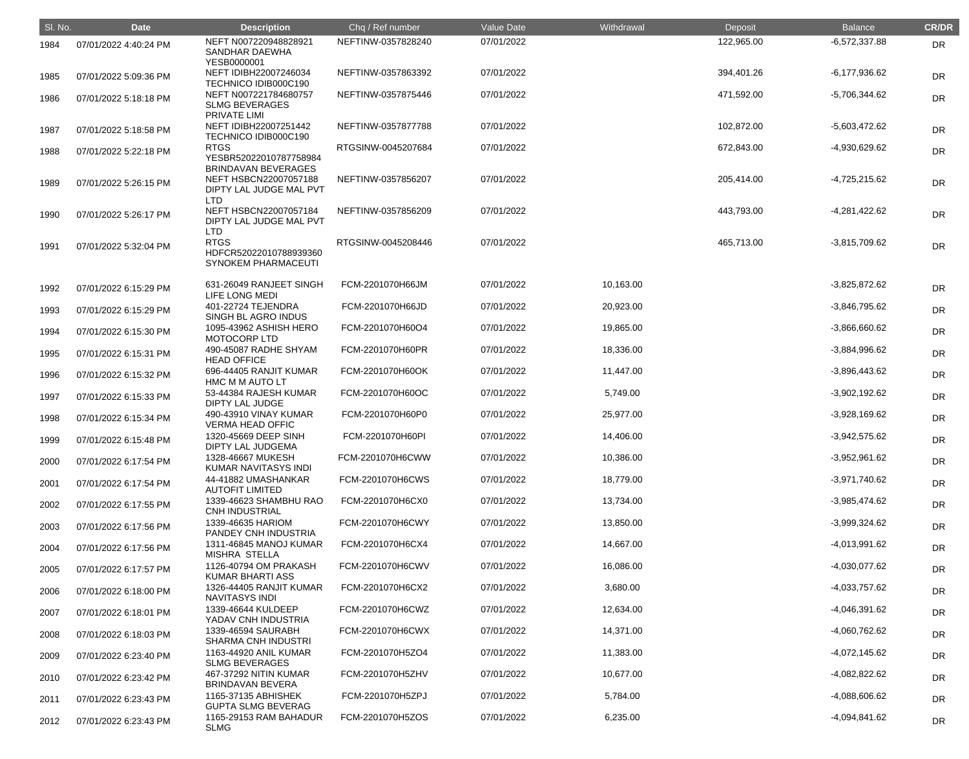| SI. No. | <b>Date</b>           | <b>Description</b>                                                      | Chq / Ref number                     | <b>Value Date</b>        | Withdrawal             | Deposit    | <b>Balance</b>                     | <b>CR/DR</b> |
|---------|-----------------------|-------------------------------------------------------------------------|--------------------------------------|--------------------------|------------------------|------------|------------------------------------|--------------|
| 1984    | 07/01/2022 4:40:24 PM | NEFT N007220948828921<br><b>SANDHAR DAEWHA</b>                          | NEFTINW-0357828240                   | 07/01/2022               |                        | 122,965.00 | $-6,572,337.88$                    | <b>DR</b>    |
| 1985    | 07/01/2022 5:09:36 PM | YESB0000001<br>NEFT IDIBH22007246034<br>TECHNICO IDIB000C190            | NEFTINW-0357863392                   | 07/01/2022               |                        | 394,401.26 | $-6,177,936.62$                    | <b>DR</b>    |
| 1986    | 07/01/2022 5:18:18 PM | NEFT N007221784680757<br><b>SLMG BEVERAGES</b><br><b>PRIVATE LIMI</b>   | NEFTINW-0357875446                   | 07/01/2022               |                        | 471,592.00 | -5,706,344.62                      | <b>DR</b>    |
| 1987    | 07/01/2022 5:18:58 PM | NEFT IDIBH22007251442<br>TECHNICO IDIB000C190                           | NEFTINW-0357877788                   | 07/01/2022               |                        | 102,872.00 | -5,603,472.62                      | <b>DR</b>    |
| 1988    | 07/01/2022 5:22:18 PM | <b>RTGS</b><br>YESBR52022010787758984<br><b>BRINDAVAN BEVERAGES</b>     | RTGSINW-0045207684                   | 07/01/2022               |                        | 672,843.00 | -4,930,629.62                      | <b>DR</b>    |
| 1989    | 07/01/2022 5:26:15 PM | NEFT HSBCN22007057188<br>DIPTY LAL JUDGE MAL PVT<br><b>LTD</b>          | NEFTINW-0357856207                   | 07/01/2022               |                        | 205,414.00 | -4,725,215.62                      | <b>DR</b>    |
| 1990    | 07/01/2022 5:26:17 PM | NEFT HSBCN22007057184<br>DIPTY LAL JUDGE MAL PVT<br><b>LTD</b>          | NEFTINW-0357856209                   | 07/01/2022               |                        | 443,793.00 | -4,281,422.62                      | <b>DR</b>    |
| 1991    | 07/01/2022 5:32:04 PM | <b>RTGS</b><br>HDFCR52022010788939360<br><b>SYNOKEM PHARMACEUTI</b>     | RTGSINW-0045208446                   | 07/01/2022               |                        | 465,713.00 | $-3,815,709.62$                    | <b>DR</b>    |
| 1992    | 07/01/2022 6:15:29 PM | 631-26049 RANJEET SINGH<br>LIFE LONG MEDI                               | FCM-2201070H66JM                     | 07/01/2022               | 10,163.00              |            | $-3,825,872.62$                    | <b>DR</b>    |
| 1993    | 07/01/2022 6:15:29 PM | 401-22724 TEJENDRA<br>SINGH BL AGRO INDUS                               | FCM-2201070H66JD                     | 07/01/2022               | 20,923.00              |            | $-3,846,795.62$                    | <b>DR</b>    |
| 1994    | 07/01/2022 6:15:30 PM | 1095-43962 ASHISH HERO<br><b>MOTOCORP LTD</b>                           | FCM-2201070H60O4                     | 07/01/2022               | 19,865.00              |            | $-3,866,660.62$                    | <b>DR</b>    |
| 1995    | 07/01/2022 6:15:31 PM | 490-45087 RADHE SHYAM<br><b>HEAD OFFICE</b>                             | FCM-2201070H60PR                     | 07/01/2022               | 18,336.00              |            | $-3,884,996.62$                    | <b>DR</b>    |
| 1996    | 07/01/2022 6:15:32 PM | 696-44405 RANJIT KUMAR<br>HMC M M AUTO LT                               | FCM-2201070H60OK                     | 07/01/2022               | 11,447.00              |            | $-3,896,443.62$                    | <b>DR</b>    |
| 1997    | 07/01/2022 6:15:33 PM | 53-44384 RAJESH KUMAR<br><b>DIPTY LAL JUDGE</b>                         | FCM-2201070H60OC                     | 07/01/2022               | 5,749.00               |            | $-3,902,192.62$                    | <b>DR</b>    |
| 1998    | 07/01/2022 6:15:34 PM | 490-43910 VINAY KUMAR<br><b>VERMA HEAD OFFIC</b>                        | FCM-2201070H60P0                     | 07/01/2022               | 25,977.00              |            | $-3,928,169.62$                    | <b>DR</b>    |
| 1999    | 07/01/2022 6:15:48 PM | 1320-45669 DEEP SINH<br><b>DIPTY LAL JUDGEMA</b>                        | FCM-2201070H60PI                     | 07/01/2022               | 14,406.00              |            | $-3,942,575.62$                    | DR           |
| 2000    | 07/01/2022 6:17:54 PM | 1328-46667 MUKESH<br>KUMAR NAVITASYS INDI                               | FCM-2201070H6CWW                     | 07/01/2022               | 10,386.00              |            | $-3,952,961.62$                    | <b>DR</b>    |
| 2001    | 07/01/2022 6:17:54 PM | 44-41882 UMASHANKAR<br><b>AUTOFIT LIMITED</b><br>1339-46623 SHAMBHU RAO | FCM-2201070H6CWS<br>FCM-2201070H6CX0 | 07/01/2022<br>07/01/2022 | 18,779.00<br>13,734.00 |            | $-3,971,740.62$                    | <b>DR</b>    |
| 2002    | 07/01/2022 6:17:55 PM | <b>CNH INDUSTRIAL</b><br>1339-46635 HARIOM                              | FCM-2201070H6CWY                     | 07/01/2022               | 13,850.00              |            | $-3,985,474.62$<br>$-3,999,324.62$ | <b>DR</b>    |
| 2003    | 07/01/2022 6:17:56 PM | PANDEY CNH INDUSTRIA<br>1311-46845 MANOJ KUMAR                          | FCM-2201070H6CX4                     | 07/01/2022               | 14,667.00              |            | $-4,013,991.62$                    | <b>DR</b>    |
| 2004    | 07/01/2022 6:17:56 PM | <b>MISHRA STELLA</b><br>1126-40794 OM PRAKASH                           | FCM-2201070H6CWV                     | 07/01/2022               | 16,086.00              |            | -4,030,077.62                      | <b>DR</b>    |
| 2005    | 07/01/2022 6:17:57 PM | <b>KUMAR BHARTI ASS</b><br>1326-44405 RANJIT KUMAR                      | FCM-2201070H6CX2                     | 07/01/2022               | 3,680.00               |            | $-4,033,757.62$                    | <b>DR</b>    |
| 2006    | 07/01/2022 6:18:00 PM | NAVITASYS INDI<br>1339-46644 KULDEEP                                    | FCM-2201070H6CWZ                     | 07/01/2022               | 12,634.00              |            | -4,046,391.62                      | DR           |
| 2007    | 07/01/2022 6:18:01 PM | YADAV CNH INDUSTRIA<br>1339-46594 SAURABH                               | FCM-2201070H6CWX                     | 07/01/2022               | 14,371.00              |            | -4,060,762.62                      | <b>DR</b>    |
| 2008    | 07/01/2022 6:18:03 PM | <b>SHARMA CNH INDUSTRI</b><br>1163-44920 ANIL KUMAR                     | FCM-2201070H5ZO4                     | 07/01/2022               | 11,383.00              |            | $-4,072,145.62$                    | <b>DR</b>    |
| 2009    | 07/01/2022 6:23:40 PM | <b>SLMG BEVERAGES</b><br>467-37292 NITIN KUMAR                          | FCM-2201070H5ZHV                     | 07/01/2022               | 10,677.00              |            | -4,082,822.62                      | DR           |
| 2010    | 07/01/2022 6:23:42 PM | <b>BRINDAVAN BEVERA</b><br>1165-37135 ABHISHEK                          | FCM-2201070H5ZPJ                     | 07/01/2022               | 5,784.00               |            | -4,088,606.62                      | <b>DR</b>    |
| 2011    | 07/01/2022 6:23:43 PM | <b>GUPTA SLMG BEVERAG</b><br>1165-29153 RAM BAHADUR                     | FCM-2201070H5ZOS                     | 07/01/2022               | 6,235.00               |            | -4,094,841.62                      | <b>DR</b>    |
| 2012    | 07/01/2022 6:23:43 PM | <b>SLMG</b>                                                             |                                      |                          |                        |            |                                    | DR           |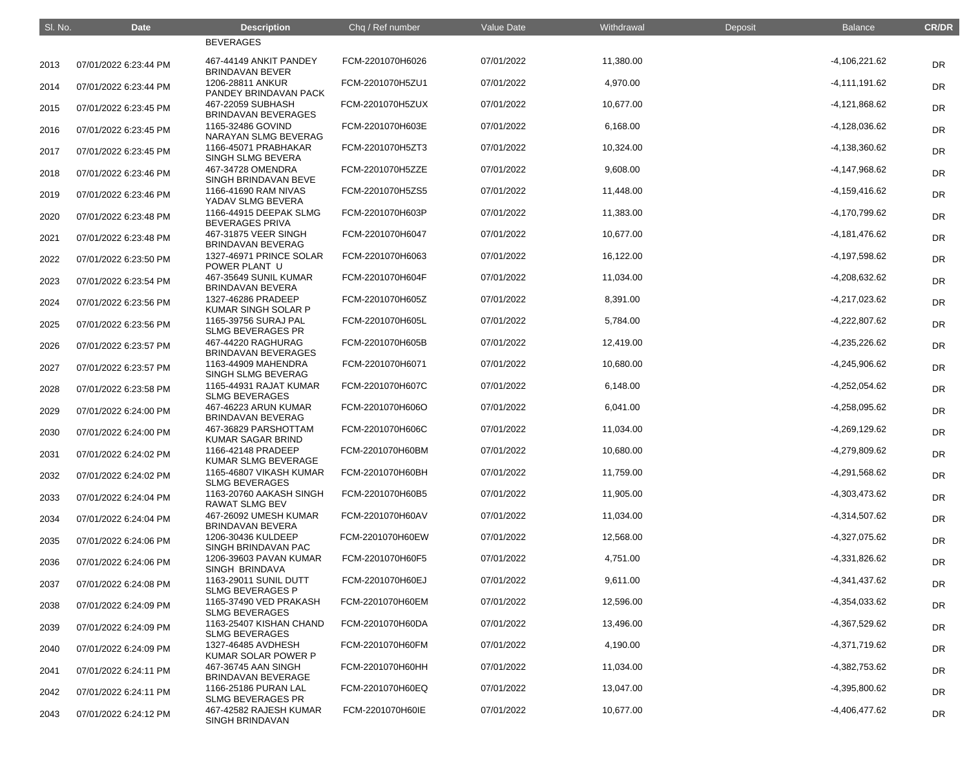| SI. No. | <b>Date</b>           | <b>Description</b>                               | Chq / Ref number | Value Date | Withdrawal | Deposit | <b>Balance</b>  | <b>CR/DR</b> |
|---------|-----------------------|--------------------------------------------------|------------------|------------|------------|---------|-----------------|--------------|
|         |                       | <b>BEVERAGES</b>                                 |                  |            |            |         |                 |              |
| 2013    | 07/01/2022 6:23:44 PM | 467-44149 ANKIT PANDEY<br><b>BRINDAVAN BEVER</b> | FCM-2201070H6026 | 07/01/2022 | 11,380.00  |         | $-4,106,221.62$ | <b>DR</b>    |
| 2014    | 07/01/2022 6:23:44 PM | 1206-28811 ANKUR<br>PANDEY BRINDAVAN PACK        | FCM-2201070H5ZU1 | 07/01/2022 | 4,970.00   |         | $-4,111,191.62$ | <b>DR</b>    |
| 2015    | 07/01/2022 6:23:45 PM | 467-22059 SUBHASH<br><b>BRINDAVAN BEVERAGES</b>  | FCM-2201070H5ZUX | 07/01/2022 | 10,677.00  |         | -4,121,868.62   | <b>DR</b>    |
| 2016    | 07/01/2022 6:23:45 PM | 1165-32486 GOVIND<br>NARAYAN SLMG BEVERAG        | FCM-2201070H603E | 07/01/2022 | 6,168.00   |         | -4,128,036.62   | <b>DR</b>    |
| 2017    | 07/01/2022 6:23:45 PM | 1166-45071 PRABHAKAR<br>SINGH SLMG BEVERA        | FCM-2201070H5ZT3 | 07/01/2022 | 10,324.00  |         | $-4,138,360.62$ | <b>DR</b>    |
| 2018    | 07/01/2022 6:23:46 PM | 467-34728 OMENDRA<br>SINGH BRINDAVAN BEVE        | FCM-2201070H5ZZE | 07/01/2022 | 9,608.00   |         | -4,147,968.62   | <b>DR</b>    |
| 2019    | 07/01/2022 6:23:46 PM | 1166-41690 RAM NIVAS<br>YADAV SLMG BEVERA        | FCM-2201070H5ZS5 | 07/01/2022 | 11,448.00  |         | -4,159,416.62   | <b>DR</b>    |
| 2020    | 07/01/2022 6:23:48 PM | 1166-44915 DEEPAK SLMG<br><b>BEVERAGES PRIVA</b> | FCM-2201070H603P | 07/01/2022 | 11,383.00  |         | -4,170,799.62   | <b>DR</b>    |
| 2021    | 07/01/2022 6:23:48 PM | 467-31875 VEER SINGH<br><b>BRINDAVAN BEVERAG</b> | FCM-2201070H6047 | 07/01/2022 | 10,677.00  |         | $-4,181,476.62$ | <b>DR</b>    |
| 2022    | 07/01/2022 6:23:50 PM | 1327-46971 PRINCE SOLAR<br>POWER PLANT U         | FCM-2201070H6063 | 07/01/2022 | 16,122.00  |         | -4,197,598.62   | <b>DR</b>    |
| 2023    | 07/01/2022 6:23:54 PM | 467-35649 SUNIL KUMAR<br><b>BRINDAVAN BEVERA</b> | FCM-2201070H604F | 07/01/2022 | 11,034.00  |         | -4,208,632.62   | <b>DR</b>    |
| 2024    | 07/01/2022 6:23:56 PM | 1327-46286 PRADEEP<br>KUMAR SINGH SOLAR P        | FCM-2201070H605Z | 07/01/2022 | 8,391.00   |         | -4,217,023.62   | <b>DR</b>    |
| 2025    | 07/01/2022 6:23:56 PM | 1165-39756 SURAJ PAL<br><b>SLMG BEVERAGES PR</b> | FCM-2201070H605L | 07/01/2022 | 5,784.00   |         | $-4,222,807.62$ | <b>DR</b>    |
| 2026    | 07/01/2022 6:23:57 PM | 467-44220 RAGHURAG<br><b>BRINDAVAN BEVERAGES</b> | FCM-2201070H605B | 07/01/2022 | 12,419.00  |         | $-4,235,226.62$ | <b>DR</b>    |
| 2027    | 07/01/2022 6:23:57 PM | 1163-44909 MAHENDRA<br>SINGH SLMG BEVERAG        | FCM-2201070H6071 | 07/01/2022 | 10,680.00  |         | $-4,245,906.62$ | <b>DR</b>    |
| 2028    | 07/01/2022 6:23:58 PM | 1165-44931 RAJAT KUMAR<br><b>SLMG BEVERAGES</b>  | FCM-2201070H607C | 07/01/2022 | 6,148.00   |         | $-4,252,054.62$ | <b>DR</b>    |
| 2029    | 07/01/2022 6:24:00 PM | 467-46223 ARUN KUMAR<br><b>BRINDAVAN BEVERAG</b> | FCM-2201070H606O | 07/01/2022 | 6,041.00   |         | -4,258,095.62   | <b>DR</b>    |
| 2030    | 07/01/2022 6:24:00 PM | 467-36829 PARSHOTTAM<br>KUMAR SAGAR BRIND        | FCM-2201070H606C | 07/01/2022 | 11,034.00  |         | $-4,269,129.62$ | <b>DR</b>    |
| 2031    | 07/01/2022 6:24:02 PM | 1166-42148 PRADEEP<br>KUMAR SLMG BEVERAGE        | FCM-2201070H60BM | 07/01/2022 | 10,680.00  |         | -4,279,809.62   | DR           |
| 2032    | 07/01/2022 6:24:02 PM | 1165-46807 VIKASH KUMAR<br><b>SLMG BEVERAGES</b> | FCM-2201070H60BH | 07/01/2022 | 11,759.00  |         | -4,291,568.62   | <b>DR</b>    |
| 2033    | 07/01/2022 6:24:04 PM | 1163-20760 AAKASH SINGH<br><b>RAWAT SLMG BEV</b> | FCM-2201070H60B5 | 07/01/2022 | 11,905.00  |         | -4,303,473.62   | <b>DR</b>    |
| 2034    | 07/01/2022 6:24:04 PM | 467-26092 UMESH KUMAR<br><b>BRINDAVAN BEVERA</b> | FCM-2201070H60AV | 07/01/2022 | 11,034.00  |         | $-4,314,507.62$ | DR           |
| 2035    | 07/01/2022 6:24:06 PM | 1206-30436 KULDEEP<br>SINGH BRINDAVAN PAC        | FCM-2201070H60EW | 07/01/2022 | 12,568.00  |         | -4,327,075.62   | DR           |
| 2036    | 07/01/2022 6:24:06 PM | 1206-39603 PAVAN KUMAR<br>SINGH BRINDAVA         | FCM-2201070H60F5 | 07/01/2022 | 4,751.00   |         | -4,331,826.62   | <b>DR</b>    |
| 2037    | 07/01/2022 6:24:08 PM | 1163-29011 SUNIL DUTT<br><b>SLMG BEVERAGES P</b> | FCM-2201070H60EJ | 07/01/2022 | 9,611.00   |         | $-4,341,437.62$ | <b>DR</b>    |
| 2038    | 07/01/2022 6:24:09 PM | 1165-37490 VED PRAKASH<br><b>SLMG BEVERAGES</b>  | FCM-2201070H60EM | 07/01/2022 | 12,596.00  |         | -4,354,033.62   | DR           |
| 2039    | 07/01/2022 6:24:09 PM | 1163-25407 KISHAN CHAND<br><b>SLMG BEVERAGES</b> | FCM-2201070H60DA | 07/01/2022 | 13,496.00  |         | -4,367,529.62   | DR           |
| 2040    | 07/01/2022 6:24:09 PM | 1327-46485 AVDHESH<br>KUMAR SOLAR POWER P        | FCM-2201070H60FM | 07/01/2022 | 4,190.00   |         | -4,371,719.62   | <b>DR</b>    |
| 2041    | 07/01/2022 6:24:11 PM | 467-36745 AAN SINGH<br>BRINDAVAN BEVERAGE        | FCM-2201070H60HH | 07/01/2022 | 11,034.00  |         | -4,382,753.62   | DR           |
| 2042    | 07/01/2022 6:24:11 PM | 1166-25186 PURAN LAL<br><b>SLMG BEVERAGES PR</b> | FCM-2201070H60EQ | 07/01/2022 | 13,047.00  |         | -4,395,800.62   | DR           |
| 2043    | 07/01/2022 6:24:12 PM | 467-42582 RAJESH KUMAR<br>SINGH BRINDAVAN        | FCM-2201070H60IE | 07/01/2022 | 10,677.00  |         | -4,406,477.62   | <b>DR</b>    |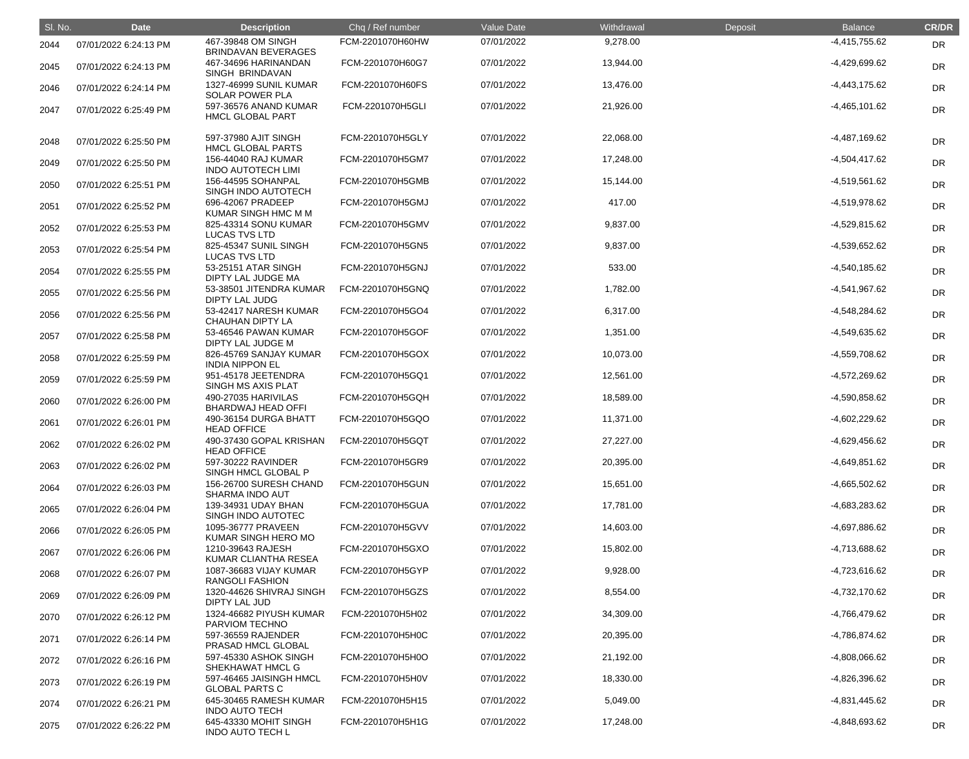| SI. No. | <b>Date</b>           | <b>Description</b>                               | Chq / Ref number | <b>Value Date</b> | Withdrawal | Deposit | <b>Balance</b>  | <b>CR/DR</b> |
|---------|-----------------------|--------------------------------------------------|------------------|-------------------|------------|---------|-----------------|--------------|
| 2044    | 07/01/2022 6:24:13 PM | 467-39848 OM SINGH<br><b>BRINDAVAN BEVERAGES</b> | FCM-2201070H60HW | 07/01/2022        | 9,278.00   |         | $-4,415,755.62$ | <b>DR</b>    |
| 2045    | 07/01/2022 6:24:13 PM | 467-34696 HARINANDAN<br>SINGH BRINDAVAN          | FCM-2201070H60G7 | 07/01/2022        | 13,944.00  |         | -4,429,699.62   | DR           |
| 2046    | 07/01/2022 6:24:14 PM | 1327-46999 SUNIL KUMAR<br><b>SOLAR POWER PLA</b> | FCM-2201070H60FS | 07/01/2022        | 13,476.00  |         | $-4,443,175.62$ | <b>DR</b>    |
| 2047    | 07/01/2022 6:25:49 PM | 597-36576 ANAND KUMAR<br><b>HMCL GLOBAL PART</b> | FCM-2201070H5GLI | 07/01/2022        | 21,926.00  |         | $-4,465,101.62$ | <b>DR</b>    |
| 2048    | 07/01/2022 6:25:50 PM | 597-37980 AJIT SINGH<br><b>HMCL GLOBAL PARTS</b> | FCM-2201070H5GLY | 07/01/2022        | 22,068.00  |         | $-4,487,169.62$ | <b>DR</b>    |
| 2049    | 07/01/2022 6:25:50 PM | 156-44040 RAJ KUMAR<br><b>INDO AUTOTECH LIMI</b> | FCM-2201070H5GM7 | 07/01/2022        | 17,248.00  |         | $-4,504,417.62$ | DR           |
| 2050    | 07/01/2022 6:25:51 PM | 156-44595 SOHANPAL<br>SINGH INDO AUTOTECH        | FCM-2201070H5GMB | 07/01/2022        | 15,144.00  |         | $-4,519,561.62$ | <b>DR</b>    |
| 2051    | 07/01/2022 6:25:52 PM | 696-42067 PRADEEP<br>KUMAR SINGH HMC M M         | FCM-2201070H5GMJ | 07/01/2022        | 417.00     |         | -4,519,978.62   | <b>DR</b>    |
| 2052    | 07/01/2022 6:25:53 PM | 825-43314 SONU KUMAR<br><b>LUCAS TVS LTD</b>     | FCM-2201070H5GMV | 07/01/2022        | 9,837.00   |         | -4,529,815.62   | <b>DR</b>    |
| 2053    | 07/01/2022 6:25:54 PM | 825-45347 SUNIL SINGH<br><b>LUCAS TVS LTD</b>    | FCM-2201070H5GN5 | 07/01/2022        | 9,837.00   |         | -4,539,652.62   | DR           |
| 2054    | 07/01/2022 6:25:55 PM | 53-25151 ATAR SINGH<br>DIPTY LAL JUDGE MA        | FCM-2201070H5GNJ | 07/01/2022        | 533.00     |         | $-4,540,185.62$ | DR           |
| 2055    | 07/01/2022 6:25:56 PM | 53-38501 JITENDRA KUMAR<br><b>DIPTY LAL JUDG</b> | FCM-2201070H5GNQ | 07/01/2022        | 1,782.00   |         | -4,541,967.62   | <b>DR</b>    |
| 2056    | 07/01/2022 6:25:56 PM | 53-42417 NARESH KUMAR<br><b>CHAUHAN DIPTY LA</b> | FCM-2201070H5GO4 | 07/01/2022        | 6,317.00   |         | -4,548,284.62   | <b>DR</b>    |
| 2057    | 07/01/2022 6:25:58 PM | 53-46546 PAWAN KUMAR<br>DIPTY LAL JUDGE M        | FCM-2201070H5GOF | 07/01/2022        | 1,351.00   |         | -4,549,635.62   | <b>DR</b>    |
| 2058    | 07/01/2022 6:25:59 PM | 826-45769 SANJAY KUMAR<br><b>INDIA NIPPON EL</b> | FCM-2201070H5GOX | 07/01/2022        | 10,073.00  |         | -4,559,708.62   | DR           |
| 2059    | 07/01/2022 6:25:59 PM | 951-45178 JEETENDRA<br>SINGH MS AXIS PLAT        | FCM-2201070H5GQ1 | 07/01/2022        | 12,561.00  |         | -4,572,269.62   | <b>DR</b>    |
| 2060    | 07/01/2022 6:26:00 PM | 490-27035 HARIVILAS<br><b>BHARDWAJ HEAD OFFI</b> | FCM-2201070H5GQH | 07/01/2022        | 18,589.00  |         | -4,590,858.62   | <b>DR</b>    |
| 2061    | 07/01/2022 6:26:01 PM | 490-36154 DURGA BHATT<br><b>HEAD OFFICE</b>      | FCM-2201070H5GQO | 07/01/2022        | 11,371.00  |         | $-4,602,229.62$ | DR           |
| 2062    | 07/01/2022 6:26:02 PM | 490-37430 GOPAL KRISHAN<br><b>HEAD OFFICE</b>    | FCM-2201070H5GQT | 07/01/2022        | 27,227.00  |         | $-4,629,456.62$ | <b>DR</b>    |
| 2063    | 07/01/2022 6:26:02 PM | 597-30222 RAVINDER<br>SINGH HMCL GLOBAL P        | FCM-2201070H5GR9 | 07/01/2022        | 20,395.00  |         | $-4,649,851.62$ | <b>DR</b>    |
| 2064    | 07/01/2022 6:26:03 PM | 156-26700 SURESH CHAND<br>SHARMA INDO AUT        | FCM-2201070H5GUN | 07/01/2022        | 15,651.00  |         | $-4,665,502.62$ | <b>DR</b>    |
| 2065    | 07/01/2022 6:26:04 PM | 139-34931 UDAY BHAN<br>SINGH INDO AUTOTEC        | FCM-2201070H5GUA | 07/01/2022        | 17,781.00  |         | -4,683,283.62   | <b>DR</b>    |
| 2066    | 07/01/2022 6:26:05 PM | 1095-36777 PRAVEEN<br>KUMAR SINGH HERO MO        | FCM-2201070H5GVV | 07/01/2022        | 14,603.00  |         | -4,697,886.62   | <b>DR</b>    |
| 2067    | 07/01/2022 6:26:06 PM | 1210-39643 RAJESH<br>KUMAR CLIANTHA RESEA        | FCM-2201070H5GXO | 07/01/2022        | 15,802.00  |         | -4,713,688.62   | <b>DR</b>    |
| 2068    | 07/01/2022 6:26:07 PM | 1087-36683 VIJAY KUMAR<br><b>RANGOLI FASHION</b> | FCM-2201070H5GYP | 07/01/2022        | 9,928.00   |         | $-4,723,616.62$ | <b>DR</b>    |
| 2069    | 07/01/2022 6:26:09 PM | 1320-44626 SHIVRAJ SINGH<br><b>DIPTY LAL JUD</b> | FCM-2201070H5GZS | 07/01/2022        | 8,554.00   |         | $-4,732,170.62$ | <b>DR</b>    |
| 2070    | 07/01/2022 6:26:12 PM | 1324-46682 PIYUSH KUMAR<br>PARVIOM TECHNO        | FCM-2201070H5H02 | 07/01/2022        | 34,309.00  |         | -4,766,479.62   | <b>DR</b>    |
| 2071    | 07/01/2022 6:26:14 PM | 597-36559 RAJENDER<br>PRASAD HMCL GLOBAL         | FCM-2201070H5H0C | 07/01/2022        | 20,395.00  |         | -4,786,874.62   | <b>DR</b>    |
| 2072    | 07/01/2022 6:26:16 PM | 597-45330 ASHOK SINGH<br>SHEKHAWAT HMCL G        | FCM-2201070H5H0O | 07/01/2022        | 21,192.00  |         | -4,808,066.62   | <b>DR</b>    |
| 2073    | 07/01/2022 6:26:19 PM | 597-46465 JAISINGH HMCL<br><b>GLOBAL PARTS C</b> | FCM-2201070H5H0V | 07/01/2022        | 18,330.00  |         | $-4,826,396.62$ | <b>DR</b>    |
| 2074    | 07/01/2022 6:26:21 PM | 645-30465 RAMESH KUMAR<br><b>INDO AUTO TECH</b>  | FCM-2201070H5H15 | 07/01/2022        | 5,049.00   |         | -4,831,445.62   | <b>DR</b>    |
| 2075    | 07/01/2022 6:26:22 PM | 645-43330 MOHIT SINGH<br><b>INDO AUTO TECH L</b> | FCM-2201070H5H1G | 07/01/2022        | 17,248.00  |         | -4,848,693.62   | <b>DR</b>    |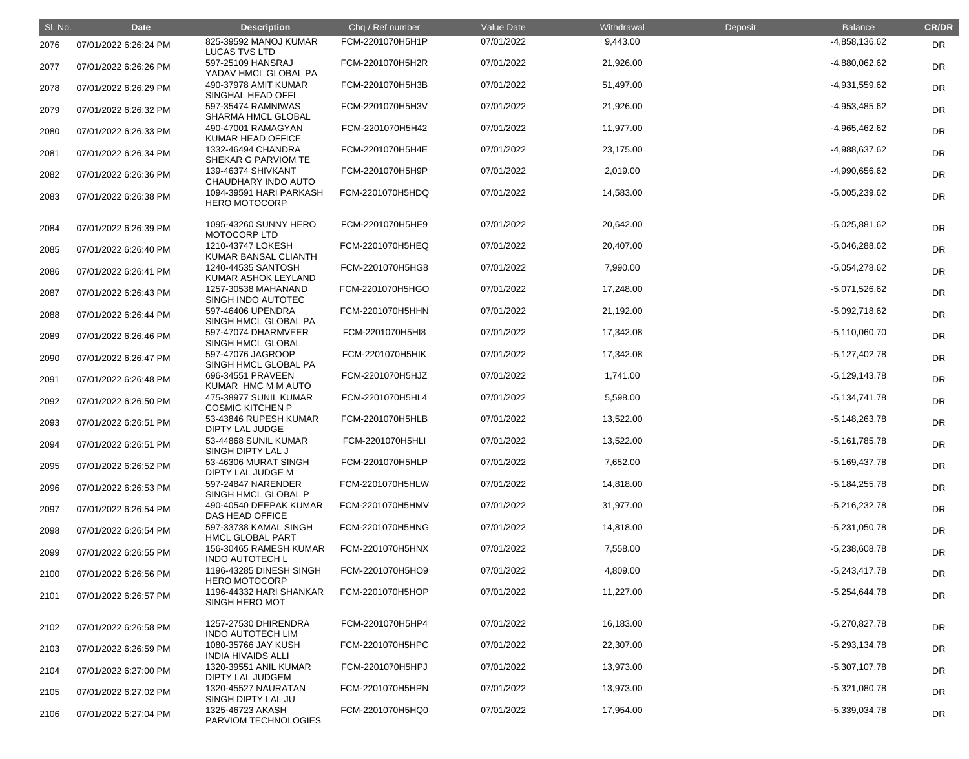| SI. No. | <b>Date</b>           | <b>Description</b>                               | Chq / Ref number | <b>Value Date</b> | Withdrawal | Deposit | <b>Balance</b>  | <b>CR/DR</b> |
|---------|-----------------------|--------------------------------------------------|------------------|-------------------|------------|---------|-----------------|--------------|
| 2076    | 07/01/2022 6:26:24 PM | 825-39592 MANOJ KUMAR<br><b>LUCAS TVS LTD</b>    | FCM-2201070H5H1P | 07/01/2022        | 9,443.00   |         | -4,858,136.62   | <b>DR</b>    |
| 2077    | 07/01/2022 6:26:26 PM | 597-25109 HANSRAJ<br>YADAV HMCL GLOBAL PA        | FCM-2201070H5H2R | 07/01/2022        | 21,926.00  |         | -4,880,062.62   | DR           |
| 2078    | 07/01/2022 6:26:29 PM | 490-37978 AMIT KUMAR<br>SINGHAL HEAD OFFI        | FCM-2201070H5H3B | 07/01/2022        | 51,497.00  |         | -4,931,559.62   | <b>DR</b>    |
| 2079    | 07/01/2022 6:26:32 PM | 597-35474 RAMNIWAS<br>SHARMA HMCL GLOBAL         | FCM-2201070H5H3V | 07/01/2022        | 21,926.00  |         | -4,953,485.62   | <b>DR</b>    |
| 2080    | 07/01/2022 6:26:33 PM | 490-47001 RAMAGYAN<br>KUMAR HEAD OFFICE          | FCM-2201070H5H42 | 07/01/2022        | 11,977.00  |         | -4,965,462.62   | <b>DR</b>    |
| 2081    | 07/01/2022 6:26:34 PM | 1332-46494 CHANDRA<br>SHEKAR G PARVIOM TE        | FCM-2201070H5H4E | 07/01/2022        | 23,175.00  |         | -4,988,637.62   | <b>DR</b>    |
| 2082    | 07/01/2022 6:26:36 PM | 139-46374 SHIVKANT<br>CHAUDHARY INDO AUTO        | FCM-2201070H5H9P | 07/01/2022        | 2,019.00   |         | -4,990,656.62   | DR           |
| 2083    | 07/01/2022 6:26:38 PM | 1094-39591 HARI PARKASH<br><b>HERO MOTOCORP</b>  | FCM-2201070H5HDQ | 07/01/2022        | 14,583.00  |         | -5,005,239.62   | <b>DR</b>    |
| 2084    | 07/01/2022 6:26:39 PM | 1095-43260 SUNNY HERO<br><b>MOTOCORP LTD</b>     | FCM-2201070H5HE9 | 07/01/2022        | 20,642.00  |         | $-5,025,881.62$ | <b>DR</b>    |
| 2085    | 07/01/2022 6:26:40 PM | 1210-43747 LOKESH<br>KUMAR BANSAL CLIANTH        | FCM-2201070H5HEQ | 07/01/2022        | 20,407.00  |         | $-5,046,288.62$ | DR           |
| 2086    | 07/01/2022 6:26:41 PM | 1240-44535 SANTOSH<br>KUMAR ASHOK LEYLAND        | FCM-2201070H5HG8 | 07/01/2022        | 7,990.00   |         | $-5,054,278.62$ | DR           |
| 2087    | 07/01/2022 6:26:43 PM | 1257-30538 MAHANAND<br>SINGH INDO AUTOTEC        | FCM-2201070H5HGO | 07/01/2022        | 17,248.00  |         | $-5,071,526.62$ | <b>DR</b>    |
| 2088    | 07/01/2022 6:26:44 PM | 597-46406 UPENDRA<br>SINGH HMCL GLOBAL PA        | FCM-2201070H5HHN | 07/01/2022        | 21,192.00  |         | $-5,092,718.62$ | <b>DR</b>    |
| 2089    | 07/01/2022 6:26:46 PM | 597-47074 DHARMVEER<br><b>SINGH HMCL GLOBAL</b>  | FCM-2201070H5HI8 | 07/01/2022        | 17,342.08  |         | $-5,110,060.70$ | <b>DR</b>    |
| 2090    | 07/01/2022 6:26:47 PM | 597-47076 JAGROOP<br>SINGH HMCL GLOBAL PA        | FCM-2201070H5HIK | 07/01/2022        | 17,342.08  |         | $-5,127,402.78$ | DR           |
| 2091    | 07/01/2022 6:26:48 PM | 696-34551 PRAVEEN<br>KUMAR HMC M M AUTO          | FCM-2201070H5HJZ | 07/01/2022        | 1,741.00   |         | $-5,129,143.78$ | <b>DR</b>    |
| 2092    | 07/01/2022 6:26:50 PM | 475-38977 SUNIL KUMAR<br><b>COSMIC KITCHEN P</b> | FCM-2201070H5HL4 | 07/01/2022        | 5,598.00   |         | $-5,134,741.78$ | <b>DR</b>    |
| 2093    | 07/01/2022 6:26:51 PM | 53-43846 RUPESH KUMAR<br><b>DIPTY LAL JUDGE</b>  | FCM-2201070H5HLB | 07/01/2022        | 13,522.00  |         | $-5,148,263.78$ | DR           |
| 2094    | 07/01/2022 6:26:51 PM | 53-44868 SUNIL KUMAR<br>SINGH DIPTY LAL J        | FCM-2201070H5HLI | 07/01/2022        | 13,522.00  |         | $-5,161,785.78$ | <b>DR</b>    |
| 2095    | 07/01/2022 6:26:52 PM | 53-46306 MURAT SINGH<br>DIPTY LAL JUDGE M        | FCM-2201070H5HLP | 07/01/2022        | 7,652.00   |         | $-5,169,437.78$ | <b>DR</b>    |
| 2096    | 07/01/2022 6:26:53 PM | 597-24847 NARENDER<br>SINGH HMCL GLOBAL P        | FCM-2201070H5HLW | 07/01/2022        | 14,818.00  |         | $-5,184,255.78$ | <b>DR</b>    |
| 2097    | 07/01/2022 6:26:54 PM | 490-40540 DEEPAK KUMAR<br><b>DAS HEAD OFFICE</b> | FCM-2201070H5HMV | 07/01/2022        | 31,977.00  |         | $-5,216,232.78$ | <b>DR</b>    |
| 2098    | 07/01/2022 6:26:54 PM | 597-33738 KAMAL SINGH<br><b>HMCL GLOBAL PART</b> | FCM-2201070H5HNG | 07/01/2022        | 14,818.00  |         | $-5,231,050.78$ | <b>DR</b>    |
| 2099    | 07/01/2022 6:26:55 PM | 156-30465 RAMESH KUMAR<br><b>INDO AUTOTECH L</b> | FCM-2201070H5HNX | 07/01/2022        | 7,558.00   |         | $-5,238,608.78$ | <b>DR</b>    |
| 2100    | 07/01/2022 6:26:56 PM | 1196-43285 DINESH SINGH<br><b>HERO MOTOCORP</b>  | FCM-2201070H5HO9 | 07/01/2022        | 4,809.00   |         | $-5,243,417.78$ | <b>DR</b>    |
| 2101    | 07/01/2022 6:26:57 PM | 1196-44332 HARI SHANKAR<br><b>SINGH HERO MOT</b> | FCM-2201070H5HOP | 07/01/2022        | 11,227.00  |         | $-5,254,644.78$ | <b>DR</b>    |
| 2102    | 07/01/2022 6:26:58 PM | 1257-27530 DHIRENDRA<br><b>INDO AUTOTECH LIM</b> | FCM-2201070H5HP4 | 07/01/2022        | 16,183.00  |         | $-5,270,827.78$ | <b>DR</b>    |
| 2103    | 07/01/2022 6:26:59 PM | 1080-35766 JAY KUSH<br><b>INDIA HIVAIDS ALLI</b> | FCM-2201070H5HPC | 07/01/2022        | 22,307.00  |         | $-5,293,134.78$ | <b>DR</b>    |
| 2104    | 07/01/2022 6:27:00 PM | 1320-39551 ANIL KUMAR<br><b>DIPTY LAL JUDGEM</b> | FCM-2201070H5HPJ | 07/01/2022        | 13,973.00  |         | $-5,307,107.78$ | <b>DR</b>    |
| 2105    | 07/01/2022 6:27:02 PM | 1320-45527 NAURATAN<br>SINGH DIPTY LAL JU        | FCM-2201070H5HPN | 07/01/2022        | 13,973.00  |         | $-5,321,080.78$ | <b>DR</b>    |
| 2106    | 07/01/2022 6:27:04 PM | 1325-46723 AKASH<br>PARVIOM TECHNOLOGIES         | FCM-2201070H5HQ0 | 07/01/2022        | 17,954.00  |         | $-5,339,034.78$ | <b>DR</b>    |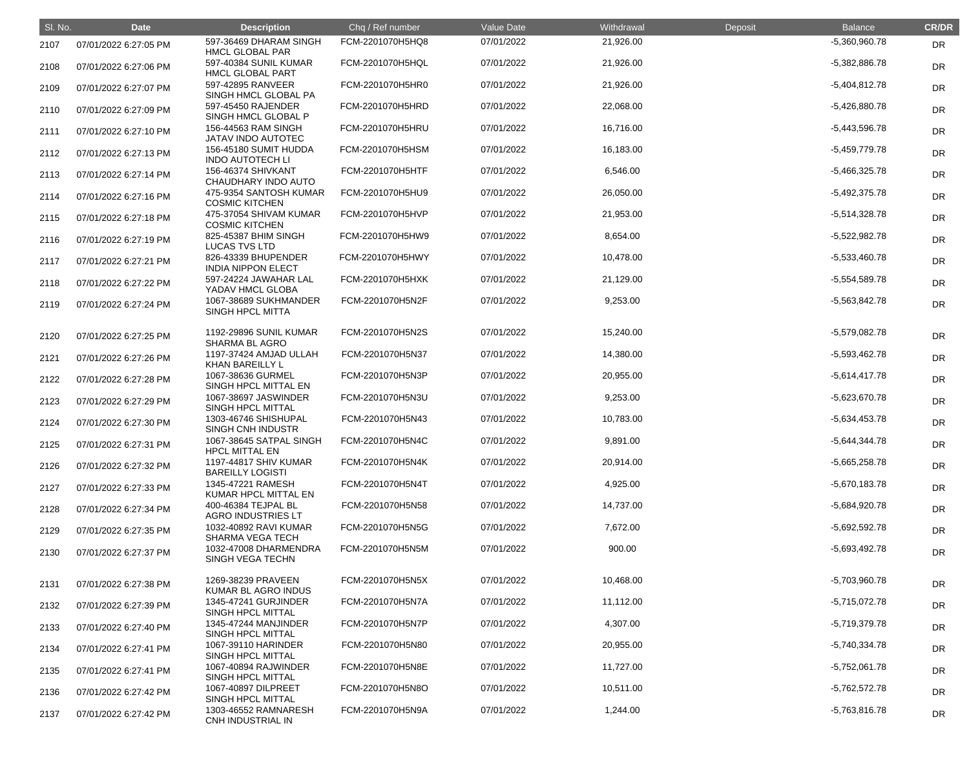| SI. No. | <b>Date</b>           | <b>Description</b>                               | Chq / Ref number | Value Date | Withdrawal | Deposit | <b>Balance</b>  | <b>CR/DR</b> |
|---------|-----------------------|--------------------------------------------------|------------------|------------|------------|---------|-----------------|--------------|
| 2107    | 07/01/2022 6:27:05 PM | 597-36469 DHARAM SINGH<br><b>HMCL GLOBAL PAR</b> | FCM-2201070H5HQ8 | 07/01/2022 | 21,926.00  |         | $-5,360,960.78$ | <b>DR</b>    |
| 2108    | 07/01/2022 6:27:06 PM | 597-40384 SUNIL KUMAR<br><b>HMCL GLOBAL PART</b> | FCM-2201070H5HQL | 07/01/2022 | 21,926.00  |         | $-5,382,886.78$ | DR           |
| 2109    | 07/01/2022 6:27:07 PM | 597-42895 RANVEER<br>SINGH HMCL GLOBAL PA        | FCM-2201070H5HR0 | 07/01/2022 | 21,926.00  |         | $-5,404,812.78$ | <b>DR</b>    |
| 2110    | 07/01/2022 6:27:09 PM | 597-45450 RAJENDER<br>SINGH HMCL GLOBAL P        | FCM-2201070H5HRD | 07/01/2022 | 22,068.00  |         | $-5,426,880.78$ | <b>DR</b>    |
| 2111    | 07/01/2022 6:27:10 PM | 156-44563 RAM SINGH<br><b>JATAV INDO AUTOTEC</b> | FCM-2201070H5HRU | 07/01/2022 | 16,716.00  |         | $-5,443,596.78$ | <b>DR</b>    |
| 2112    | 07/01/2022 6:27:13 PM | 156-45180 SUMIT HUDDA<br><b>INDO AUTOTECH LI</b> | FCM-2201070H5HSM | 07/01/2022 | 16,183.00  |         | $-5,459,779.78$ | DR           |
| 2113    | 07/01/2022 6:27:14 PM | 156-46374 SHIVKANT<br>CHAUDHARY INDO AUTO        | FCM-2201070H5HTF | 07/01/2022 | 6,546.00   |         | $-5,466,325.78$ | DR           |
| 2114    | 07/01/2022 6:27:16 PM | 475-9354 SANTOSH KUMAR<br><b>COSMIC KITCHEN</b>  | FCM-2201070H5HU9 | 07/01/2022 | 26,050.00  |         | $-5,492,375.78$ | <b>DR</b>    |
| 2115    | 07/01/2022 6:27:18 PM | 475-37054 SHIVAM KUMAR<br><b>COSMIC KITCHEN</b>  | FCM-2201070H5HVP | 07/01/2022 | 21,953.00  |         | $-5,514,328.78$ | <b>DR</b>    |
| 2116    | 07/01/2022 6:27:19 PM | 825-45387 BHIM SINGH<br><b>LUCAS TVS LTD</b>     | FCM-2201070H5HW9 | 07/01/2022 | 8,654.00   |         | $-5,522,982.78$ | <b>DR</b>    |
| 2117    | 07/01/2022 6:27:21 PM | 826-43339 BHUPENDER<br><b>INDIA NIPPON ELECT</b> | FCM-2201070H5HWY | 07/01/2022 | 10,478.00  |         | $-5,533,460.78$ | DR           |
| 2118    | 07/01/2022 6:27:22 PM | 597-24224 JAWAHAR LAL<br>YADAV HMCL GLOBA        | FCM-2201070H5HXK | 07/01/2022 | 21,129.00  |         | $-5,554,589.78$ | DR           |
| 2119    | 07/01/2022 6:27:24 PM | 1067-38689 SUKHMANDER<br><b>SINGH HPCL MITTA</b> | FCM-2201070H5N2F | 07/01/2022 | 9,253.00   |         | $-5,563,842.78$ | <b>DR</b>    |
| 2120    | 07/01/2022 6:27:25 PM | 1192-29896 SUNIL KUMAR<br><b>SHARMA BL AGRO</b>  | FCM-2201070H5N2S | 07/01/2022 | 15,240.00  |         | -5,579,082.78   | DR           |
| 2121    | 07/01/2022 6:27:26 PM | 1197-37424 AMJAD ULLAH<br><b>KHAN BAREILLY L</b> | FCM-2201070H5N37 | 07/01/2022 | 14,380.00  |         | $-5,593,462.78$ | DR           |
| 2122    | 07/01/2022 6:27:28 PM | 1067-38636 GURMEL<br>SINGH HPCL MITTAL EN        | FCM-2201070H5N3P | 07/01/2022 | 20,955.00  |         | $-5,614,417.78$ | DR           |
| 2123    | 07/01/2022 6:27:29 PM | 1067-38697 JASWINDER<br>SINGH HPCL MITTAL        | FCM-2201070H5N3U | 07/01/2022 | 9,253.00   |         | $-5,623,670.78$ | <b>DR</b>    |
| 2124    | 07/01/2022 6:27:30 PM | 1303-46746 SHISHUPAL<br>SINGH CNH INDUSTR        | FCM-2201070H5N43 | 07/01/2022 | 10,783.00  |         | $-5,634,453.78$ | <b>DR</b>    |
| 2125    | 07/01/2022 6:27:31 PM | 1067-38645 SATPAL SINGH<br><b>HPCL MITTAL EN</b> | FCM-2201070H5N4C | 07/01/2022 | 9,891.00   |         | $-5,644,344.78$ | <b>DR</b>    |
| 2126    | 07/01/2022 6:27:32 PM | 1197-44817 SHIV KUMAR<br><b>BAREILLY LOGISTI</b> | FCM-2201070H5N4K | 07/01/2022 | 20,914.00  |         | $-5,665,258.78$ | <b>DR</b>    |
| 2127    | 07/01/2022 6:27:33 PM | 1345-47221 RAMESH<br>KUMAR HPCL MITTAL EN        | FCM-2201070H5N4T | 07/01/2022 | 4,925.00   |         | $-5,670,183.78$ | <b>DR</b>    |
| 2128    | 07/01/2022 6:27:34 PM | 400-46384 TEJPAL BL<br><b>AGRO INDUSTRIES LT</b> | FCM-2201070H5N58 | 07/01/2022 | 14,737.00  |         | -5,684,920.78   | <b>DR</b>    |
| 2129    | 07/01/2022 6:27:35 PM | 1032-40892 RAVI KUMAR<br><b>SHARMA VEGA TECH</b> | FCM-2201070H5N5G | 07/01/2022 | 7,672.00   |         | $-5,692,592.78$ | <b>DR</b>    |
| 2130    | 07/01/2022 6:27:37 PM | 1032-47008 DHARMENDRA<br>SINGH VEGA TECHN        | FCM-2201070H5N5M | 07/01/2022 | 900.00     |         | $-5,693,492.78$ | <b>DR</b>    |
| 2131    | 07/01/2022 6:27:38 PM | 1269-38239 PRAVEEN<br>KUMAR BL AGRO INDUS        | FCM-2201070H5N5X | 07/01/2022 | 10,468.00  |         | -5,703,960.78   | DR           |
| 2132    | 07/01/2022 6:27:39 PM | 1345-47241 GURJINDER<br>SINGH HPCL MITTAL        | FCM-2201070H5N7A | 07/01/2022 | 11,112.00  |         | $-5,715,072.78$ | <b>DR</b>    |
| 2133    | 07/01/2022 6:27:40 PM | 1345-47244 MANJINDER<br>SINGH HPCL MITTAL        | FCM-2201070H5N7P | 07/01/2022 | 4,307.00   |         | -5,719,379.78   | <b>DR</b>    |
| 2134    | 07/01/2022 6:27:41 PM | 1067-39110 HARINDER<br><b>SINGH HPCL MITTAL</b>  | FCM-2201070H5N80 | 07/01/2022 | 20,955.00  |         | $-5,740,334.78$ | <b>DR</b>    |
| 2135    | 07/01/2022 6:27:41 PM | 1067-40894 RAJWINDER<br>SINGH HPCL MITTAL        | FCM-2201070H5N8E | 07/01/2022 | 11,727.00  |         | $-5,752,061.78$ | <b>DR</b>    |
| 2136    | 07/01/2022 6:27:42 PM | 1067-40897 DILPREET<br>SINGH HPCL MITTAL         | FCM-2201070H5N8O | 07/01/2022 | 10,511.00  |         | $-5,762,572.78$ | <b>DR</b>    |
| 2137    | 07/01/2022 6:27:42 PM | 1303-46552 RAMNARESH<br>CNH INDUSTRIAL IN        | FCM-2201070H5N9A | 07/01/2022 | 1,244.00   |         | $-5,763,816.78$ | <b>DR</b>    |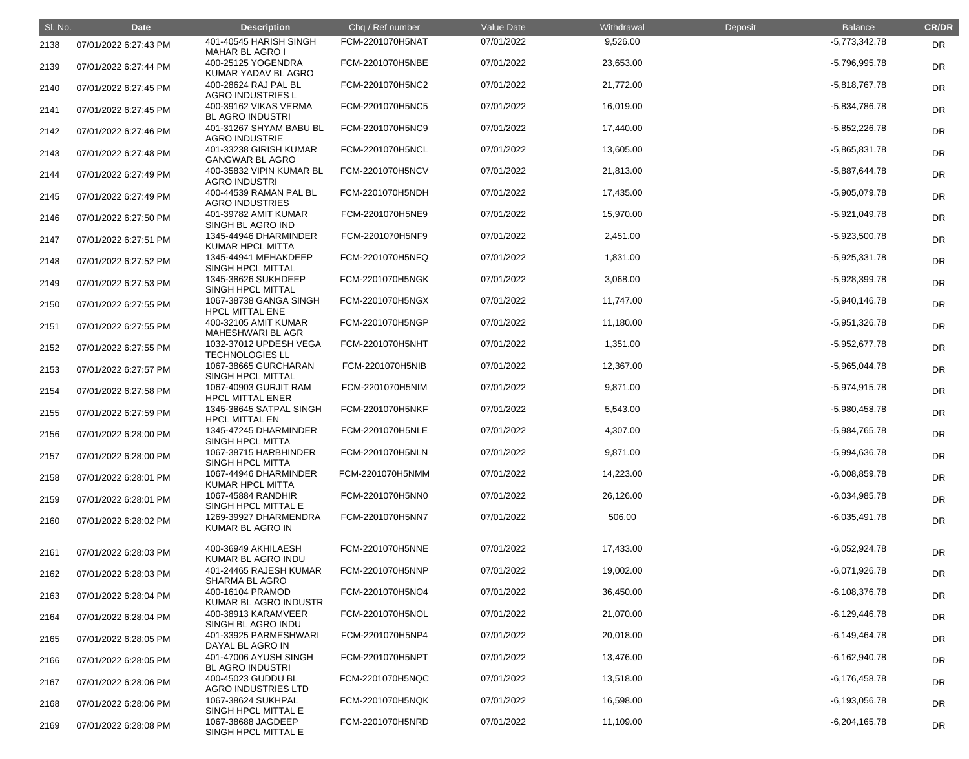| SI. No. | <b>Date</b>           | <b>Description</b>                               | Chq / Ref number | Value Date | Withdrawal | Deposit | <b>Balance</b>  | <b>CR/DR</b> |
|---------|-----------------------|--------------------------------------------------|------------------|------------|------------|---------|-----------------|--------------|
| 2138    | 07/01/2022 6:27:43 PM | 401-40545 HARISH SINGH<br><b>MAHAR BL AGRO I</b> | FCM-2201070H5NAT | 07/01/2022 | 9,526.00   |         | $-5,773,342.78$ | DR           |
| 2139    | 07/01/2022 6:27:44 PM | 400-25125 YOGENDRA<br>KUMAR YADAV BL AGRO        | FCM-2201070H5NBE | 07/01/2022 | 23,653.00  |         | -5,796,995.78   | DR           |
| 2140    | 07/01/2022 6:27:45 PM | 400-28624 RAJ PAL BL<br><b>AGRO INDUSTRIES L</b> | FCM-2201070H5NC2 | 07/01/2022 | 21,772.00  |         | $-5,818,767.78$ | DR           |
| 2141    | 07/01/2022 6:27:45 PM | 400-39162 VIKAS VERMA<br><b>BL AGRO INDUSTRI</b> | FCM-2201070H5NC5 | 07/01/2022 | 16,019.00  |         | -5,834,786.78   | DR           |
| 2142    | 07/01/2022 6:27:46 PM | 401-31267 SHYAM BABU BL<br><b>AGRO INDUSTRIE</b> | FCM-2201070H5NC9 | 07/01/2022 | 17,440.00  |         | $-5,852,226.78$ | DR           |
| 2143    | 07/01/2022 6:27:48 PM | 401-33238 GIRISH KUMAR<br><b>GANGWAR BL AGRO</b> | FCM-2201070H5NCL | 07/01/2022 | 13,605.00  |         | $-5,865,831.78$ | DR           |
| 2144    | 07/01/2022 6:27:49 PM | 400-35832 VIPIN KUMAR BL<br><b>AGRO INDUSTRI</b> | FCM-2201070H5NCV | 07/01/2022 | 21,813.00  |         | -5,887,644.78   | DR           |
| 2145    | 07/01/2022 6:27:49 PM | 400-44539 RAMAN PAL BL<br><b>AGRO INDUSTRIES</b> | FCM-2201070H5NDH | 07/01/2022 | 17,435.00  |         | -5,905,079.78   | DR           |
| 2146    | 07/01/2022 6:27:50 PM | 401-39782 AMIT KUMAR<br>SINGH BL AGRO IND        | FCM-2201070H5NE9 | 07/01/2022 | 15,970.00  |         | $-5,921,049.78$ | DR           |
| 2147    | 07/01/2022 6:27:51 PM | 1345-44946 DHARMINDER<br><b>KUMAR HPCL MITTA</b> | FCM-2201070H5NF9 | 07/01/2022 | 2,451.00   |         | $-5,923,500.78$ | DR           |
| 2148    | 07/01/2022 6:27:52 PM | 1345-44941 MEHAKDEEP<br>SINGH HPCL MITTAL        | FCM-2201070H5NFQ | 07/01/2022 | 1,831.00   |         | $-5,925,331.78$ | DR           |
| 2149    | 07/01/2022 6:27:53 PM | 1345-38626 SUKHDEEP<br>SINGH HPCL MITTAL         | FCM-2201070H5NGK | 07/01/2022 | 3,068.00   |         | -5,928,399.78   | DR           |
| 2150    | 07/01/2022 6:27:55 PM | 1067-38738 GANGA SINGH<br><b>HPCL MITTAL ENE</b> | FCM-2201070H5NGX | 07/01/2022 | 11,747.00  |         | $-5,940,146.78$ | DR           |
| 2151    | 07/01/2022 6:27:55 PM | 400-32105 AMIT KUMAR<br><b>MAHESHWARI BL AGR</b> | FCM-2201070H5NGP | 07/01/2022 | 11,180.00  |         | $-5,951,326.78$ | DR           |
| 2152    | 07/01/2022 6:27:55 PM | 1032-37012 UPDESH VEGA<br><b>TECHNOLOGIES LL</b> | FCM-2201070H5NHT | 07/01/2022 | 1,351.00   |         | $-5,952,677.78$ | DR           |
| 2153    | 07/01/2022 6:27:57 PM | 1067-38665 GURCHARAN<br>SINGH HPCL MITTAL        | FCM-2201070H5NIB | 07/01/2022 | 12,367.00  |         | $-5,965,044.78$ | DR           |
| 2154    | 07/01/2022 6:27:58 PM | 1067-40903 GURJIT RAM<br><b>HPCL MITTAL ENER</b> | FCM-2201070H5NIM | 07/01/2022 | 9,871.00   |         | $-5,974,915.78$ | DR           |
| 2155    | 07/01/2022 6:27:59 PM | 1345-38645 SATPAL SINGH<br><b>HPCL MITTAL EN</b> | FCM-2201070H5NKF | 07/01/2022 | 5,543.00   |         | -5,980,458.78   | <b>DR</b>    |
| 2156    | 07/01/2022 6:28:00 PM | 1345-47245 DHARMINDER<br><b>SINGH HPCL MITTA</b> | FCM-2201070H5NLE | 07/01/2022 | 4,307.00   |         | -5,984,765.78   | <b>DR</b>    |
| 2157    | 07/01/2022 6:28:00 PM | 1067-38715 HARBHINDER<br>SINGH HPCL MITTA        | FCM-2201070H5NLN | 07/01/2022 | 9,871.00   |         | -5,994,636.78   | <b>DR</b>    |
| 2158    | 07/01/2022 6:28:01 PM | 1067-44946 DHARMINDER<br><b>KUMAR HPCL MITTA</b> | FCM-2201070H5NMM | 07/01/2022 | 14,223.00  |         | $-6,008,859.78$ | <b>DR</b>    |
| 2159    | 07/01/2022 6:28:01 PM | 1067-45884 RANDHIR<br>SINGH HPCL MITTAL E        | FCM-2201070H5NN0 | 07/01/2022 | 26,126.00  |         | $-6,034,985.78$ | <b>DR</b>    |
| 2160    | 07/01/2022 6:28:02 PM | 1269-39927 DHARMENDRA<br>KUMAR BL AGRO IN        | FCM-2201070H5NN7 | 07/01/2022 | 506.00     |         | $-6,035,491.78$ | <b>DR</b>    |
| 2161    | 07/01/2022 6:28:03 PM | 400-36949 AKHILAESH<br>KUMAR BL AGRO INDU        | FCM-2201070H5NNE | 07/01/2022 | 17,433.00  |         | $-6,052,924.78$ | <b>DR</b>    |
| 2162    | 07/01/2022 6:28:03 PM | 401-24465 RAJESH KUMAR<br><b>SHARMA BL AGRO</b>  | FCM-2201070H5NNP | 07/01/2022 | 19,002.00  |         | $-6,071,926.78$ | <b>DR</b>    |
| 2163    | 07/01/2022 6:28:04 PM | 400-16104 PRAMOD<br>KUMAR BL AGRO INDUSTR        | FCM-2201070H5NO4 | 07/01/2022 | 36,450.00  |         | $-6,108,376.78$ | <b>DR</b>    |
| 2164    | 07/01/2022 6:28:04 PM | 400-38913 KARAMVEER<br>SINGH BL AGRO INDU        | FCM-2201070H5NOL | 07/01/2022 | 21,070.00  |         | $-6,129,446.78$ | <b>DR</b>    |
| 2165    | 07/01/2022 6:28:05 PM | 401-33925 PARMESHWARI<br>DAYAL BL AGRO IN        | FCM-2201070H5NP4 | 07/01/2022 | 20,018.00  |         | $-6,149,464.78$ | <b>DR</b>    |
| 2166    | 07/01/2022 6:28:05 PM | 401-47006 AYUSH SINGH<br><b>BL AGRO INDUSTRI</b> | FCM-2201070H5NPT | 07/01/2022 | 13,476.00  |         | $-6,162,940.78$ | <b>DR</b>    |
| 2167    | 07/01/2022 6:28:06 PM | 400-45023 GUDDU BL<br><b>AGRO INDUSTRIES LTD</b> | FCM-2201070H5NQC | 07/01/2022 | 13,518.00  |         | $-6,176,458.78$ | <b>DR</b>    |
| 2168    | 07/01/2022 6:28:06 PM | 1067-38624 SUKHPAL<br>SINGH HPCL MITTAL E        | FCM-2201070H5NQK | 07/01/2022 | 16,598.00  |         | $-6,193,056.78$ | <b>DR</b>    |
| 2169    | 07/01/2022 6:28:08 PM | 1067-38688 JAGDEEP<br>SINGH HPCL MITTAL E        | FCM-2201070H5NRD | 07/01/2022 | 11,109.00  |         | $-6,204,165.78$ | <b>DR</b>    |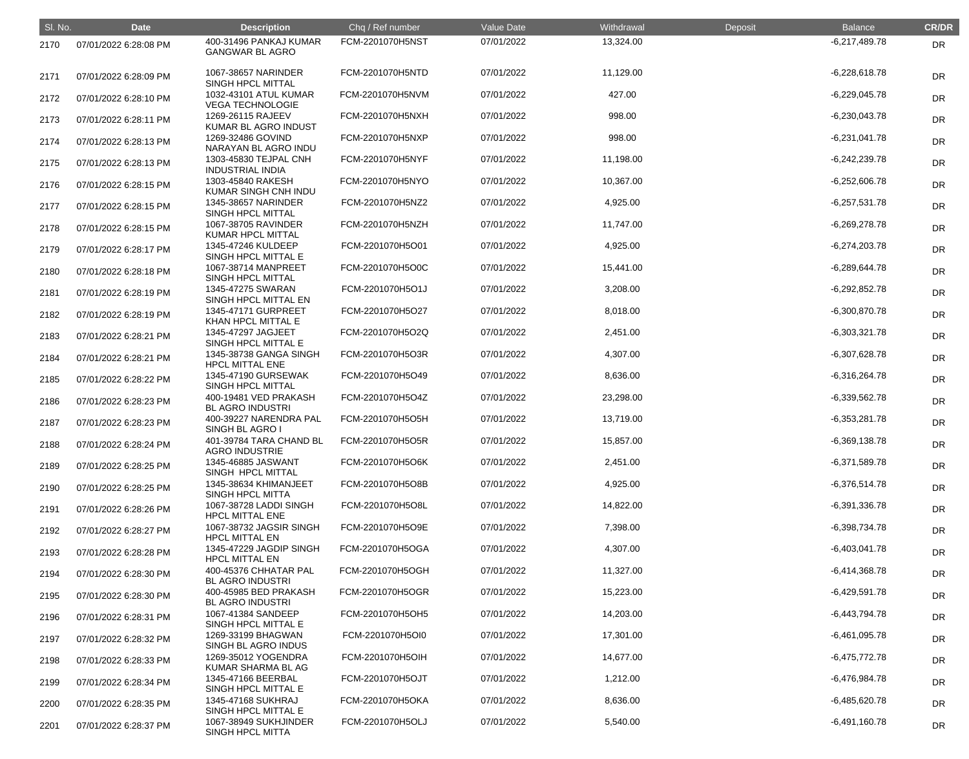| SI. No. | <b>Date</b>           | <b>Description</b>                               | Chq / Ref number | Value Date | Withdrawal | Deposit | <b>Balance</b>  | <b>CR/DR</b> |
|---------|-----------------------|--------------------------------------------------|------------------|------------|------------|---------|-----------------|--------------|
| 2170    | 07/01/2022 6:28:08 PM | 400-31496 PANKAJ KUMAR<br><b>GANGWAR BL AGRO</b> | FCM-2201070H5NST | 07/01/2022 | 13,324.00  |         | $-6,217,489.78$ | <b>DR</b>    |
| 2171    | 07/01/2022 6:28:09 PM | 1067-38657 NARINDER<br>SINGH HPCL MITTAL         | FCM-2201070H5NTD | 07/01/2022 | 11,129.00  |         | $-6,228,618.78$ | <b>DR</b>    |
| 2172    | 07/01/2022 6:28:10 PM | 1032-43101 ATUL KUMAR<br><b>VEGA TECHNOLOGIE</b> | FCM-2201070H5NVM | 07/01/2022 | 427.00     |         | $-6,229,045.78$ | <b>DR</b>    |
| 2173    | 07/01/2022 6:28:11 PM | 1269-26115 RAJEEV<br>KUMAR BL AGRO INDUST        | FCM-2201070H5NXH | 07/01/2022 | 998.00     |         | $-6,230,043.78$ | <b>DR</b>    |
| 2174    | 07/01/2022 6:28:13 PM | 1269-32486 GOVIND<br>NARAYAN BL AGRO INDU        | FCM-2201070H5NXP | 07/01/2022 | 998.00     |         | $-6,231,041.78$ | <b>DR</b>    |
| 2175    | 07/01/2022 6:28:13 PM | 1303-45830 TEJPAL CNH<br><b>INDUSTRIAL INDIA</b> | FCM-2201070H5NYF | 07/01/2022 | 11,198.00  |         | $-6,242,239.78$ | DR           |
| 2176    | 07/01/2022 6:28:15 PM | 1303-45840 RAKESH<br>KUMAR SINGH CNH INDU        | FCM-2201070H5NYO | 07/01/2022 | 10,367.00  |         | $-6,252,606.78$ | <b>DR</b>    |
| 2177    | 07/01/2022 6:28:15 PM | 1345-38657 NARINDER<br>SINGH HPCL MITTAL         | FCM-2201070H5NZ2 | 07/01/2022 | 4,925.00   |         | $-6,257,531.78$ | <b>DR</b>    |
| 2178    | 07/01/2022 6:28:15 PM | 1067-38705 RAVINDER<br><b>KUMAR HPCL MITTAL</b>  | FCM-2201070H5NZH | 07/01/2022 | 11,747.00  |         | $-6,269,278.78$ | <b>DR</b>    |
| 2179    | 07/01/2022 6:28:17 PM | 1345-47246 KULDEEP<br>SINGH HPCL MITTAL E        | FCM-2201070H5O01 | 07/01/2022 | 4,925.00   |         | $-6,274,203.78$ | DR           |
| 2180    | 07/01/2022 6:28:18 PM | 1067-38714 MANPREET<br>SINGH HPCL MITTAL         | FCM-2201070H5O0C | 07/01/2022 | 15,441.00  |         | $-6,289,644.78$ | DR           |
| 2181    | 07/01/2022 6:28:19 PM | 1345-47275 SWARAN<br>SINGH HPCL MITTAL EN        | FCM-2201070H5O1J | 07/01/2022 | 3,208.00   |         | $-6,292,852.78$ | <b>DR</b>    |
| 2182    | 07/01/2022 6:28:19 PM | 1345-47171 GURPREET<br>KHAN HPCL MITTAL E        | FCM-2201070H5O27 | 07/01/2022 | 8,018.00   |         | $-6,300,870.78$ | <b>DR</b>    |
| 2183    | 07/01/2022 6:28:21 PM | 1345-47297 JAGJEET<br>SINGH HPCL MITTAL E        | FCM-2201070H5O2Q | 07/01/2022 | 2,451.00   |         | $-6,303,321.78$ | <b>DR</b>    |
| 2184    | 07/01/2022 6:28:21 PM | 1345-38738 GANGA SINGH<br><b>HPCL MITTAL ENE</b> | FCM-2201070H5O3R | 07/01/2022 | 4,307.00   |         | $-6,307,628.78$ | DR           |
| 2185    | 07/01/2022 6:28:22 PM | 1345-47190 GURSEWAK<br>SINGH HPCL MITTAL         | FCM-2201070H5O49 | 07/01/2022 | 8,636.00   |         | $-6,316,264.78$ | <b>DR</b>    |
| 2186    | 07/01/2022 6:28:23 PM | 400-19481 VED PRAKASH<br><b>BL AGRO INDUSTRI</b> | FCM-2201070H5O4Z | 07/01/2022 | 23,298.00  |         | $-6,339,562.78$ | <b>DR</b>    |
| 2187    | 07/01/2022 6:28:23 PM | 400-39227 NARENDRA PAL<br>SINGH BL AGRO I        | FCM-2201070H5O5H | 07/01/2022 | 13,719.00  |         | $-6,353,281.78$ | DR           |
| 2188    | 07/01/2022 6:28:24 PM | 401-39784 TARA CHAND BL<br><b>AGRO INDUSTRIE</b> | FCM-2201070H5O5R | 07/01/2022 | 15,857.00  |         | $-6,369,138.78$ | DR           |
| 2189    | 07/01/2022 6:28:25 PM | 1345-46885 JASWANT<br>SINGH HPCL MITTAL          | FCM-2201070H5O6K | 07/01/2022 | 2,451.00   |         | $-6,371,589.78$ | <b>DR</b>    |
| 2190    | 07/01/2022 6:28:25 PM | 1345-38634 KHIMANJEET<br><b>SINGH HPCL MITTA</b> | FCM-2201070H5O8B | 07/01/2022 | 4,925.00   |         | $-6,376,514.78$ | <b>DR</b>    |
| 2191    | 07/01/2022 6:28:26 PM | 1067-38728 LADDI SINGH<br><b>HPCL MITTAL ENE</b> | FCM-2201070H5O8L | 07/01/2022 | 14,822.00  |         | $-6,391,336.78$ | <b>DR</b>    |
| 2192    | 07/01/2022 6:28:27 PM | 1067-38732 JAGSIR SINGH<br><b>HPCL MITTAL EN</b> | FCM-2201070H5O9E | 07/01/2022 | 7,398.00   |         | $-6,398,734.78$ | <b>DR</b>    |
| 2193    | 07/01/2022 6:28:28 PM | 1345-47229 JAGDIP SINGH<br><b>HPCL MITTAL EN</b> | FCM-2201070H5OGA | 07/01/2022 | 4,307.00   |         | $-6,403,041.78$ | <b>DR</b>    |
| 2194    | 07/01/2022 6:28:30 PM | 400-45376 CHHATAR PAL<br><b>BL AGRO INDUSTRI</b> | FCM-2201070H5OGH | 07/01/2022 | 11,327.00  |         | $-6,414,368.78$ | <b>DR</b>    |
| 2195    | 07/01/2022 6:28:30 PM | 400-45985 BED PRAKASH<br><b>BL AGRO INDUSTRI</b> | FCM-2201070H5OGR | 07/01/2022 | 15,223.00  |         | $-6,429,591.78$ | <b>DR</b>    |
| 2196    | 07/01/2022 6:28:31 PM | 1067-41384 SANDEEP<br>SINGH HPCL MITTAL E        | FCM-2201070H5OH5 | 07/01/2022 | 14,203.00  |         | $-6,443,794.78$ | <b>DR</b>    |
| 2197    | 07/01/2022 6:28:32 PM | 1269-33199 BHAGWAN<br>SINGH BL AGRO INDUS        | FCM-2201070H5OI0 | 07/01/2022 | 17,301.00  |         | $-6,461,095.78$ | <b>DR</b>    |
| 2198    | 07/01/2022 6:28:33 PM | 1269-35012 YOGENDRA<br>KUMAR SHARMA BL AG        | FCM-2201070H5OIH | 07/01/2022 | 14,677.00  |         | $-6,475,772.78$ | <b>DR</b>    |
| 2199    | 07/01/2022 6:28:34 PM | 1345-47166 BEERBAL<br>SINGH HPCL MITTAL E        | FCM-2201070H5OJT | 07/01/2022 | 1,212.00   |         | $-6,476,984.78$ | <b>DR</b>    |
| 2200    | 07/01/2022 6:28:35 PM | 1345-47168 SUKHRAJ<br>SINGH HPCL MITTAL E        | FCM-2201070H5OKA | 07/01/2022 | 8,636.00   |         | $-6,485,620.78$ | <b>DR</b>    |
| 2201    | 07/01/2022 6:28:37 PM | 1067-38949 SUKHJINDER<br>SINGH HPCL MITTA        | FCM-2201070H5OLJ | 07/01/2022 | 5,540.00   |         | $-6,491,160.78$ | <b>DR</b>    |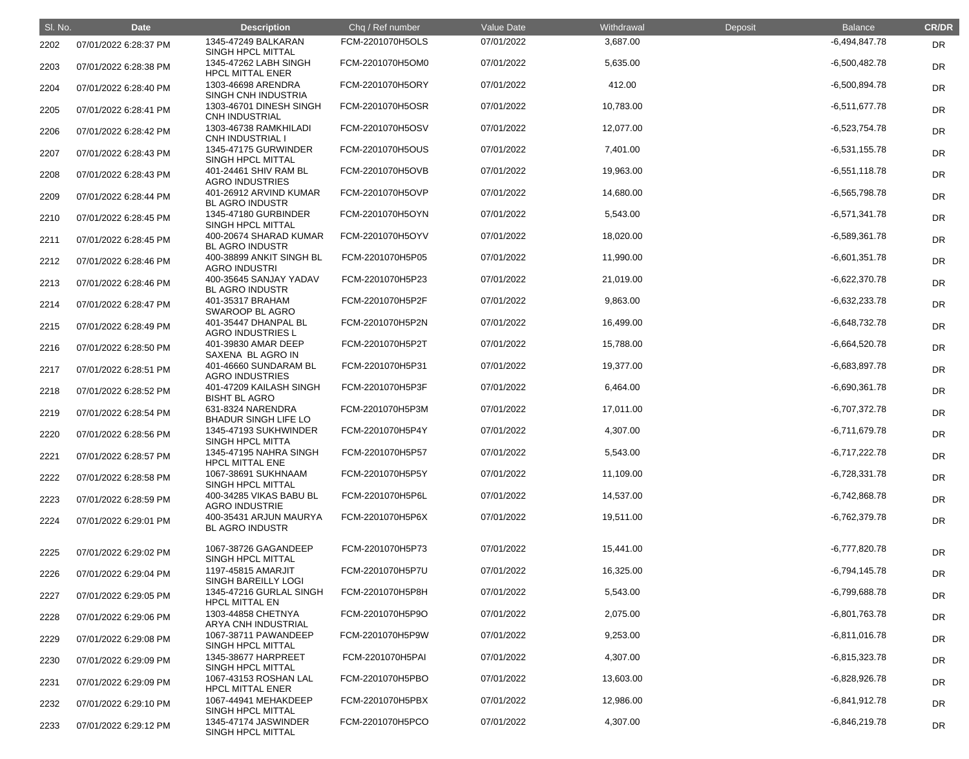| SI. No. | <b>Date</b>           | <b>Description</b>                               | Chq / Ref number | Value Date | Withdrawal | Deposit | <b>Balance</b>  | <b>CR/DR</b> |
|---------|-----------------------|--------------------------------------------------|------------------|------------|------------|---------|-----------------|--------------|
| 2202    | 07/01/2022 6:28:37 PM | 1345-47249 BALKARAN<br><b>SINGH HPCL MITTAL</b>  | FCM-2201070H5OLS | 07/01/2022 | 3,687.00   |         | $-6,494,847.78$ | DR           |
| 2203    | 07/01/2022 6:28:38 PM | 1345-47262 LABH SINGH<br><b>HPCL MITTAL ENER</b> | FCM-2201070H5OM0 | 07/01/2022 | 5,635.00   |         | $-6,500,482.78$ | DR           |
| 2204    | 07/01/2022 6:28:40 PM | 1303-46698 ARENDRA<br>SINGH CNH INDUSTRIA        | FCM-2201070H5ORY | 07/01/2022 | 412.00     |         | $-6,500,894.78$ | <b>DR</b>    |
| 2205    | 07/01/2022 6:28:41 PM | 1303-46701 DINESH SINGH<br><b>CNH INDUSTRIAL</b> | FCM-2201070H5OSR | 07/01/2022 | 10,783.00  |         | $-6,511,677.78$ | <b>DR</b>    |
| 2206    | 07/01/2022 6:28:42 PM | 1303-46738 RAMKHILADI<br><b>CNH INDUSTRIAL I</b> | FCM-2201070H5OSV | 07/01/2022 | 12,077.00  |         | $-6,523,754.78$ | <b>DR</b>    |
| 2207    | 07/01/2022 6:28:43 PM | 1345-47175 GURWINDER<br>SINGH HPCL MITTAL        | FCM-2201070H5OUS | 07/01/2022 | 7,401.00   |         | $-6,531,155.78$ | <b>DR</b>    |
| 2208    | 07/01/2022 6:28:43 PM | 401-24461 SHIV RAM BL<br><b>AGRO INDUSTRIES</b>  | FCM-2201070H5OVB | 07/01/2022 | 19,963.00  |         | $-6,551,118.78$ | DR           |
| 2209    | 07/01/2022 6:28:44 PM | 401-26912 ARVIND KUMAR<br><b>BL AGRO INDUSTR</b> | FCM-2201070H5OVP | 07/01/2022 | 14,680.00  |         | $-6,565,798.78$ | <b>DR</b>    |
| 2210    | 07/01/2022 6:28:45 PM | 1345-47180 GURBINDER<br>SINGH HPCL MITTAL        | FCM-2201070H5OYN | 07/01/2022 | 5,543.00   |         | $-6,571,341.78$ | <b>DR</b>    |
| 2211    | 07/01/2022 6:28:45 PM | 400-20674 SHARAD KUMAR<br><b>BL AGRO INDUSTR</b> | FCM-2201070H5OYV | 07/01/2022 | 18,020.00  |         | $-6,589,361.78$ | <b>DR</b>    |
| 2212    | 07/01/2022 6:28:46 PM | 400-38899 ANKIT SINGH BL<br><b>AGRO INDUSTRI</b> | FCM-2201070H5P05 | 07/01/2022 | 11,990.00  |         | $-6,601,351.78$ | DR           |
| 2213    | 07/01/2022 6:28:46 PM | 400-35645 SANJAY YADAV<br><b>BL AGRO INDUSTR</b> | FCM-2201070H5P23 | 07/01/2022 | 21,019.00  |         | $-6,622,370.78$ | DR           |
| 2214    | 07/01/2022 6:28:47 PM | 401-35317 BRAHAM<br><b>SWAROOP BL AGRO</b>       | FCM-2201070H5P2F | 07/01/2022 | 9,863.00   |         | $-6,632,233.78$ | <b>DR</b>    |
| 2215    | 07/01/2022 6:28:49 PM | 401-35447 DHANPAL BL<br><b>AGRO INDUSTRIES L</b> | FCM-2201070H5P2N | 07/01/2022 | 16,499.00  |         | $-6,648,732.78$ | <b>DR</b>    |
| 2216    | 07/01/2022 6:28:50 PM | 401-39830 AMAR DEEP<br>SAXENA BL AGRO IN         | FCM-2201070H5P2T | 07/01/2022 | 15,788.00  |         | $-6,664,520.78$ | <b>DR</b>    |
| 2217    | 07/01/2022 6:28:51 PM | 401-46660 SUNDARAM BL<br><b>AGRO INDUSTRIES</b>  | FCM-2201070H5P31 | 07/01/2022 | 19,377.00  |         | $-6,683,897.78$ | DR           |
| 2218    | 07/01/2022 6:28:52 PM | 401-47209 KAILASH SINGH<br><b>BISHT BL AGRO</b>  | FCM-2201070H5P3F | 07/01/2022 | 6,464.00   |         | $-6,690,361.78$ | <b>DR</b>    |
| 2219    | 07/01/2022 6:28:54 PM | 631-8324 NARENDRA<br><b>BHADUR SINGH LIFE LO</b> | FCM-2201070H5P3M | 07/01/2022 | 17,011.00  |         | $-6,707,372.78$ | DR           |
| 2220    | 07/01/2022 6:28:56 PM | 1345-47193 SUKHWINDER<br><b>SINGH HPCL MITTA</b> | FCM-2201070H5P4Y | 07/01/2022 | 4,307.00   |         | $-6,711,679.78$ | <b>DR</b>    |
| 2221    | 07/01/2022 6:28:57 PM | 1345-47195 NAHRA SINGH<br><b>HPCL MITTAL ENE</b> | FCM-2201070H5P57 | 07/01/2022 | 5,543.00   |         | $-6,717,222.78$ | <b>DR</b>    |
| 2222    | 07/01/2022 6:28:58 PM | 1067-38691 SUKHNAAM<br>SINGH HPCL MITTAL         | FCM-2201070H5P5Y | 07/01/2022 | 11,109.00  |         | $-6,728,331.78$ | <b>DR</b>    |
| 2223    | 07/01/2022 6:28:59 PM | 400-34285 VIKAS BABU BL<br><b>AGRO INDUSTRIE</b> | FCM-2201070H5P6L | 07/01/2022 | 14,537.00  |         | $-6,742,868.78$ | <b>DR</b>    |
| 2224    | 07/01/2022 6:29:01 PM | 400-35431 ARJUN MAURYA<br><b>BL AGRO INDUSTR</b> | FCM-2201070H5P6X | 07/01/2022 | 19,511.00  |         | $-6,762,379.78$ | <b>DR</b>    |
|         |                       |                                                  |                  |            |            |         |                 |              |
| 2225    | 07/01/2022 6:29:02 PM | 1067-38726 GAGANDEEP<br><b>SINGH HPCL MITTAL</b> | FCM-2201070H5P73 | 07/01/2022 | 15,441.00  |         | $-6,777,820.78$ | DR           |
| 2226    | 07/01/2022 6:29:04 PM | 1197-45815 AMARJIT<br>SINGH BAREILLY LOGI        | FCM-2201070H5P7U | 07/01/2022 | 16,325.00  |         | $-6,794,145.78$ | <b>DR</b>    |
| 2227    | 07/01/2022 6:29:05 PM | 1345-47216 GURLAL SINGH<br><b>HPCL MITTAL EN</b> | FCM-2201070H5P8H | 07/01/2022 | 5,543.00   |         | $-6,799,688.78$ | <b>DR</b>    |
| 2228    | 07/01/2022 6:29:06 PM | 1303-44858 CHETNYA<br>ARYA CNH INDUSTRIAL        | FCM-2201070H5P9O | 07/01/2022 | 2,075.00   |         | $-6,801,763.78$ | <b>DR</b>    |
| 2229    | 07/01/2022 6:29:08 PM | 1067-38711 PAWANDEEP<br>SINGH HPCL MITTAL        | FCM-2201070H5P9W | 07/01/2022 | 9,253.00   |         | $-6,811,016.78$ | <b>DR</b>    |
| 2230    | 07/01/2022 6:29:09 PM | 1345-38677 HARPREET<br>SINGH HPCL MITTAL         | FCM-2201070H5PAI | 07/01/2022 | 4,307.00   |         | $-6,815,323.78$ | <b>DR</b>    |
| 2231    | 07/01/2022 6:29:09 PM | 1067-43153 ROSHAN LAL<br><b>HPCL MITTAL ENER</b> | FCM-2201070H5PBO | 07/01/2022 | 13,603.00  |         | $-6,828,926.78$ | <b>DR</b>    |
| 2232    | 07/01/2022 6:29:10 PM | 1067-44941 MEHAKDEEP<br>SINGH HPCL MITTAL        | FCM-2201070H5PBX | 07/01/2022 | 12,986.00  |         | $-6,841,912.78$ | <b>DR</b>    |
| 2233    | 07/01/2022 6:29:12 PM | 1345-47174 JASWINDER<br>SINGH HPCL MITTAL        | FCM-2201070H5PCO | 07/01/2022 | 4,307.00   |         | $-6,846,219.78$ | <b>DR</b>    |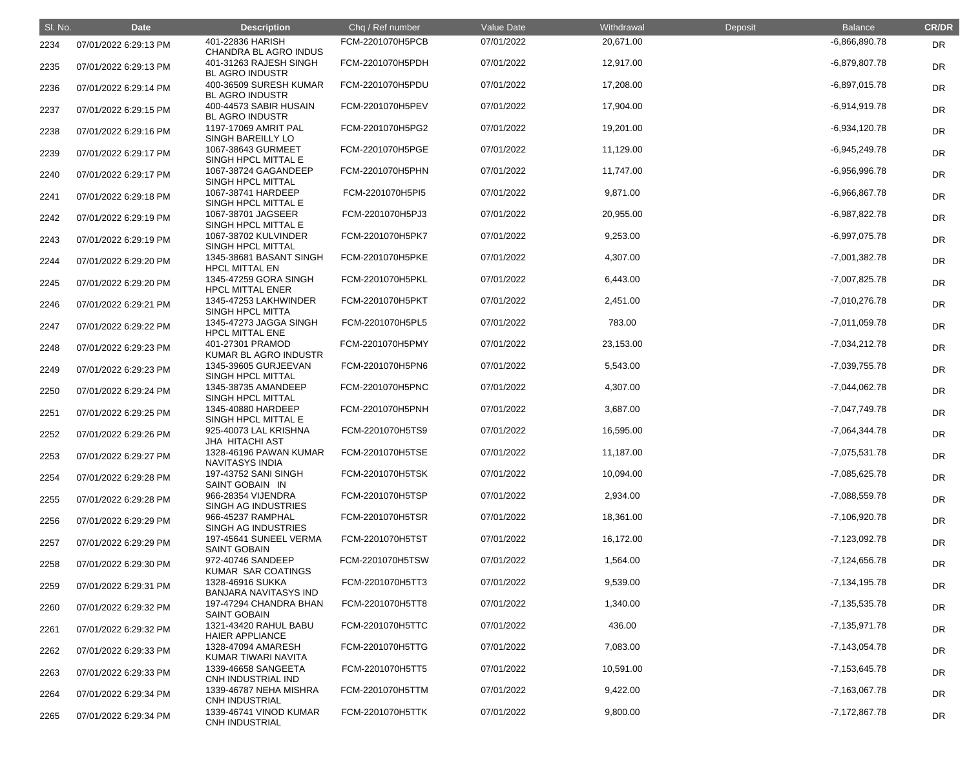| SI. No. | <b>Date</b>           | <b>Description</b>                               | Chq / Ref number | Value Date | Withdrawal | Deposit | <b>Balance</b>    | <b>CR/DR</b> |
|---------|-----------------------|--------------------------------------------------|------------------|------------|------------|---------|-------------------|--------------|
| 2234    | 07/01/2022 6:29:13 PM | 401-22836 HARISH<br>CHANDRA BL AGRO INDUS        | FCM-2201070H5PCB | 07/01/2022 | 20,671.00  |         | $-6,866,890.78$   | DR           |
| 2235    | 07/01/2022 6:29:13 PM | 401-31263 RAJESH SINGH<br><b>BL AGRO INDUSTR</b> | FCM-2201070H5PDH | 07/01/2022 | 12,917.00  |         | $-6,879,807.78$   | <b>DR</b>    |
| 2236    | 07/01/2022 6:29:14 PM | 400-36509 SURESH KUMAR<br><b>BL AGRO INDUSTR</b> | FCM-2201070H5PDU | 07/01/2022 | 17,208.00  |         | $-6,897,015.78$   | <b>DR</b>    |
| 2237    | 07/01/2022 6:29:15 PM | 400-44573 SABIR HUSAIN<br><b>BL AGRO INDUSTR</b> | FCM-2201070H5PEV | 07/01/2022 | 17,904.00  |         | $-6,914,919.78$   | <b>DR</b>    |
| 2238    | 07/01/2022 6:29:16 PM | 1197-17069 AMRIT PAL<br>SINGH BAREILLY LO        | FCM-2201070H5PG2 | 07/01/2022 | 19,201.00  |         | $-6,934,120.78$   | <b>DR</b>    |
| 2239    | 07/01/2022 6:29:17 PM | 1067-38643 GURMEET<br>SINGH HPCL MITTAL E        | FCM-2201070H5PGE | 07/01/2022 | 11,129.00  |         | $-6,945,249.78$   | <b>DR</b>    |
| 2240    | 07/01/2022 6:29:17 PM | 1067-38724 GAGANDEEP<br>SINGH HPCL MITTAL        | FCM-2201070H5PHN | 07/01/2022 | 11,747.00  |         | $-6,956,996.78$   | <b>DR</b>    |
| 2241    | 07/01/2022 6:29:18 PM | 1067-38741 HARDEEP<br>SINGH HPCL MITTAL E        | FCM-2201070H5PI5 | 07/01/2022 | 9,871.00   |         | $-6,966,867.78$   | <b>DR</b>    |
| 2242    | 07/01/2022 6:29:19 PM | 1067-38701 JAGSEER<br>SINGH HPCL MITTAL E        | FCM-2201070H5PJ3 | 07/01/2022 | 20,955.00  |         | $-6,987,822.78$   | <b>DR</b>    |
| 2243    | 07/01/2022 6:29:19 PM | 1067-38702 KULVINDER<br>SINGH HPCL MITTAL        | FCM-2201070H5PK7 | 07/01/2022 | 9,253.00   |         | $-6,997,075.78$   | <b>DR</b>    |
| 2244    | 07/01/2022 6:29:20 PM | 1345-38681 BASANT SINGH<br><b>HPCL MITTAL EN</b> | FCM-2201070H5PKE | 07/01/2022 | 4,307.00   |         | $-7,001,382.78$   | <b>DR</b>    |
| 2245    | 07/01/2022 6:29:20 PM | 1345-47259 GORA SINGH<br><b>HPCL MITTAL ENER</b> | FCM-2201070H5PKL | 07/01/2022 | 6,443.00   |         | -7,007,825.78     | <b>DR</b>    |
| 2246    | 07/01/2022 6:29:21 PM | 1345-47253 LAKHWINDER<br>SINGH HPCL MITTA        | FCM-2201070H5PKT | 07/01/2022 | 2,451.00   |         | $-7,010,276.78$   | <b>DR</b>    |
| 2247    | 07/01/2022 6:29:22 PM | 1345-47273 JAGGA SINGH<br><b>HPCL MITTAL ENE</b> | FCM-2201070H5PL5 | 07/01/2022 | 783.00     |         | $-7,011,059.78$   | <b>DR</b>    |
| 2248    | 07/01/2022 6:29:23 PM | 401-27301 PRAMOD<br>KUMAR BL AGRO INDUSTR        | FCM-2201070H5PMY | 07/01/2022 | 23,153.00  |         | $-7,034,212.78$   | DR           |
| 2249    | 07/01/2022 6:29:23 PM | 1345-39605 GURJEEVAN<br>SINGH HPCL MITTAL        | FCM-2201070H5PN6 | 07/01/2022 | 5,543.00   |         | -7,039,755.78     | <b>DR</b>    |
| 2250    | 07/01/2022 6:29:24 PM | 1345-38735 AMANDEEP<br>SINGH HPCL MITTAL         | FCM-2201070H5PNC | 07/01/2022 | 4,307.00   |         | $-7,044,062.78$   | <b>DR</b>    |
| 2251    | 07/01/2022 6:29:25 PM | 1345-40880 HARDEEP<br>SINGH HPCL MITTAL E        | FCM-2201070H5PNH | 07/01/2022 | 3,687.00   |         | -7,047,749.78     | <b>DR</b>    |
| 2252    | 07/01/2022 6:29:26 PM | 925-40073 LAL KRISHNA<br><b>JHA HITACHI AST</b>  | FCM-2201070H5TS9 | 07/01/2022 | 16,595.00  |         | $-7,064,344.78$   | <b>DR</b>    |
| 2253    | 07/01/2022 6:29:27 PM | 1328-46196 PAWAN KUMAR<br><b>NAVITASYS INDIA</b> | FCM-2201070H5TSE | 07/01/2022 | 11,187.00  |         | $-7,075,531.78$   | <b>DR</b>    |
| 2254    | 07/01/2022 6:29:28 PM | 197-43752 SANI SINGH<br>SAINT GOBAIN IN          | FCM-2201070H5TSK | 07/01/2022 | 10,094.00  |         | $-7,085,625.78$   | <b>DR</b>    |
| 2255    | 07/01/2022 6:29:28 PM | 966-28354 VIJENDRA<br>SINGH AG INDUSTRIES        | FCM-2201070H5TSP | 07/01/2022 | 2,934.00   |         | -7,088,559.78     | <b>DR</b>    |
| 2256    | 07/01/2022 6:29:29 PM | 966-45237 RAMPHAL<br><b>SINGH AG INDUSTRIES</b>  | FCM-2201070H5TSR | 07/01/2022 | 18,361.00  |         | -7,106,920.78     | <b>DR</b>    |
| 2257    | 07/01/2022 6:29:29 PM | 197-45641 SUNEEL VERMA<br><b>SAINT GOBAIN</b>    | FCM-2201070H5TST | 07/01/2022 | 16,172.00  |         | $-7,123,092.78$   | <b>DR</b>    |
| 2258    | 07/01/2022 6:29:30 PM | 972-40746 SANDEEP<br>KUMAR SAR COATINGS          | FCM-2201070H5TSW | 07/01/2022 | 1,564.00   |         | $-7,124,656.78$   | <b>DR</b>    |
| 2259    | 07/01/2022 6:29:31 PM | 1328-46916 SUKKA<br><b>BANJARA NAVITASYS IND</b> | FCM-2201070H5TT3 | 07/01/2022 | 9,539.00   |         | $-7,134,195.78$   | <b>DR</b>    |
| 2260    | 07/01/2022 6:29:32 PM | 197-47294 CHANDRA BHAN<br><b>SAINT GOBAIN</b>    | FCM-2201070H5TT8 | 07/01/2022 | 1,340.00   |         | $-7, 135, 535.78$ | <b>DR</b>    |
| 2261    | 07/01/2022 6:29:32 PM | 1321-43420 RAHUL BABU<br><b>HAIER APPLIANCE</b>  | FCM-2201070H5TTC | 07/01/2022 | 436.00     |         | $-7,135,971.78$   | <b>DR</b>    |
| 2262    | 07/01/2022 6:29:33 PM | 1328-47094 AMARESH<br>KUMAR TIWARI NAVITA        | FCM-2201070H5TTG | 07/01/2022 | 7,083.00   |         | $-7,143,054.78$   | <b>DR</b>    |
| 2263    | 07/01/2022 6:29:33 PM | 1339-46658 SANGEETA<br>CNH INDUSTRIAL IND        | FCM-2201070H5TT5 | 07/01/2022 | 10,591.00  |         | $-7,153,645.78$   | <b>DR</b>    |
| 2264    | 07/01/2022 6:29:34 PM | 1339-46787 NEHA MISHRA<br><b>CNH INDUSTRIAL</b>  | FCM-2201070H5TTM | 07/01/2022 | 9,422.00   |         | $-7,163,067.78$   | <b>DR</b>    |
| 2265    | 07/01/2022 6:29:34 PM | 1339-46741 VINOD KUMAR<br><b>CNH INDUSTRIAL</b>  | FCM-2201070H5TTK | 07/01/2022 | 9,800.00   |         | $-7,172,867.78$   | DR           |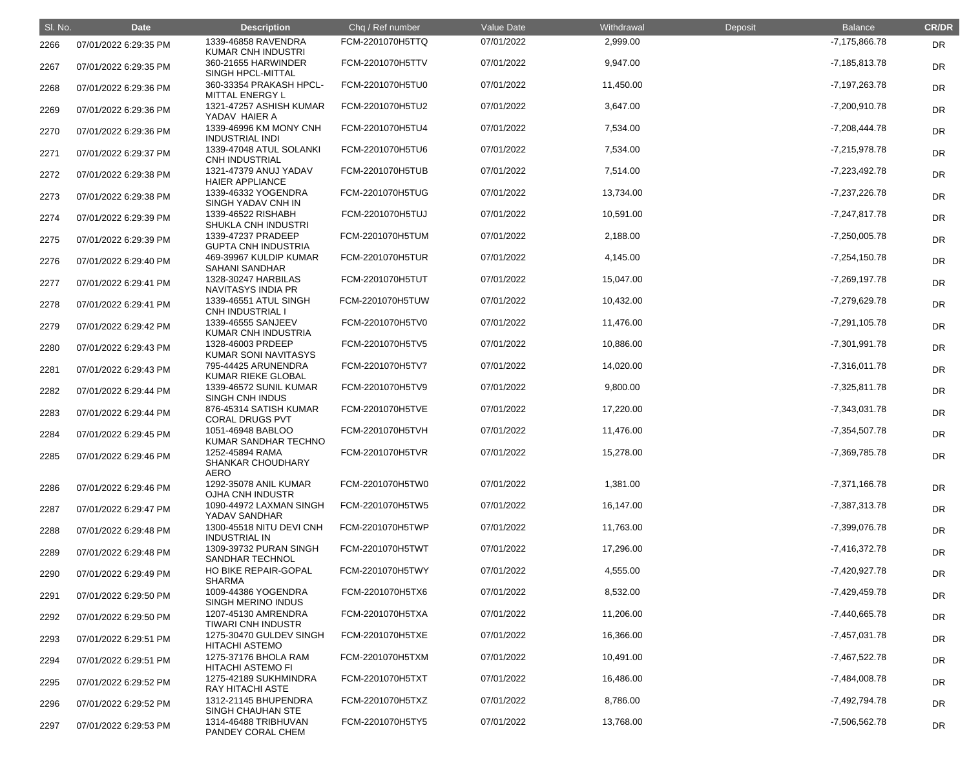| SI. No. | <b>Date</b>           | <b>Description</b>                                         | Chq / Ref number | Value Date | Withdrawal | Deposit | <b>Balance</b>  | <b>CR/DR</b> |
|---------|-----------------------|------------------------------------------------------------|------------------|------------|------------|---------|-----------------|--------------|
| 2266    | 07/01/2022 6:29:35 PM | 1339-46858 RAVENDRA<br><b>KUMAR CNH INDUSTRI</b>           | FCM-2201070H5TTQ | 07/01/2022 | 2,999.00   |         | -7,175,866.78   | DR           |
| 2267    | 07/01/2022 6:29:35 PM | 360-21655 HARWINDER<br>SINGH HPCL-MITTAL                   | FCM-2201070H5TTV | 07/01/2022 | 9,947.00   |         | $-7,185,813.78$ | <b>DR</b>    |
| 2268    | 07/01/2022 6:29:36 PM | 360-33354 PRAKASH HPCL-<br>MITTAL ENERGY L                 | FCM-2201070H5TU0 | 07/01/2022 | 11,450.00  |         | -7,197,263.78   | <b>DR</b>    |
| 2269    | 07/01/2022 6:29:36 PM | 1321-47257 ASHISH KUMAR<br>YADAV HAIER A                   | FCM-2201070H5TU2 | 07/01/2022 | 3,647.00   |         | -7,200,910.78   | <b>DR</b>    |
| 2270    | 07/01/2022 6:29:36 PM | 1339-46996 KM MONY CNH<br><b>INDUSTRIAL INDI</b>           | FCM-2201070H5TU4 | 07/01/2022 | 7,534.00   |         | $-7,208,444.78$ | <b>DR</b>    |
| 2271    | 07/01/2022 6:29:37 PM | 1339-47048 ATUL SOLANKI<br><b>CNH INDUSTRIAL</b>           | FCM-2201070H5TU6 | 07/01/2022 | 7,534.00   |         | $-7,215,978.78$ | <b>DR</b>    |
| 2272    | 07/01/2022 6:29:38 PM | 1321-47379 ANUJ YADAV<br><b>HAIER APPLIANCE</b>            | FCM-2201070H5TUB | 07/01/2022 | 7,514.00   |         | $-7,223,492.78$ | <b>DR</b>    |
| 2273    | 07/01/2022 6:29:38 PM | 1339-46332 YOGENDRA<br>SINGH YADAV CNH IN                  | FCM-2201070H5TUG | 07/01/2022 | 13,734.00  |         | -7,237,226.78   | <b>DR</b>    |
| 2274    | 07/01/2022 6:29:39 PM | 1339-46522 RISHABH<br><b>SHUKLA CNH INDUSTRI</b>           | FCM-2201070H5TUJ | 07/01/2022 | 10,591.00  |         | $-7,247,817.78$ | <b>DR</b>    |
| 2275    | 07/01/2022 6:29:39 PM | 1339-47237 PRADEEP<br><b>GUPTA CNH INDUSTRIA</b>           | FCM-2201070H5TUM | 07/01/2022 | 2,188.00   |         | $-7,250,005.78$ | <b>DR</b>    |
| 2276    | 07/01/2022 6:29:40 PM | 469-39967 KULDIP KUMAR<br><b>SAHANI SANDHAR</b>            | FCM-2201070H5TUR | 07/01/2022 | 4,145.00   |         | $-7,254,150.78$ | <b>DR</b>    |
| 2277    | 07/01/2022 6:29:41 PM | 1328-30247 HARBILAS<br><b>NAVITASYS INDIA PR</b>           | FCM-2201070H5TUT | 07/01/2022 | 15,047.00  |         | $-7,269,197.78$ | <b>DR</b>    |
| 2278    | 07/01/2022 6:29:41 PM | 1339-46551 ATUL SINGH<br><b>CNH INDUSTRIAL I</b>           | FCM-2201070H5TUW | 07/01/2022 | 10,432.00  |         | -7,279,629.78   | <b>DR</b>    |
| 2279    | 07/01/2022 6:29:42 PM | 1339-46555 SANJEEV<br>KUMAR CNH INDUSTRIA                  | FCM-2201070H5TV0 | 07/01/2022 | 11,476.00  |         | $-7,291,105.78$ | <b>DR</b>    |
| 2280    | 07/01/2022 6:29:43 PM | 1328-46003 PRDEEP<br><b>KUMAR SONI NAVITASYS</b>           | FCM-2201070H5TV5 | 07/01/2022 | 10,886.00  |         | $-7,301,991.78$ | <b>DR</b>    |
| 2281    | 07/01/2022 6:29:43 PM | 795-44425 ARUNENDRA<br><b>KUMAR RIEKE GLOBAL</b>           | FCM-2201070H5TV7 | 07/01/2022 | 14,020.00  |         | $-7,316,011.78$ | <b>DR</b>    |
| 2282    | 07/01/2022 6:29:44 PM | 1339-46572 SUNIL KUMAR<br><b>SINGH CNH INDUS</b>           | FCM-2201070H5TV9 | 07/01/2022 | 9,800.00   |         | $-7,325,811.78$ | <b>DR</b>    |
| 2283    | 07/01/2022 6:29:44 PM | 876-45314 SATISH KUMAR<br><b>CORAL DRUGS PVT</b>           | FCM-2201070H5TVE | 07/01/2022 | 17,220.00  |         | $-7,343,031.78$ | <b>DR</b>    |
| 2284    | 07/01/2022 6:29:45 PM | 1051-46948 BABLOO<br>KUMAR SANDHAR TECHNO                  | FCM-2201070H5TVH | 07/01/2022 | 11,476.00  |         | $-7,354,507.78$ | <b>DR</b>    |
| 2285    | 07/01/2022 6:29:46 PM | 1252-45894 RAMA<br><b>SHANKAR CHOUDHARY</b><br><b>AERO</b> | FCM-2201070H5TVR | 07/01/2022 | 15,278.00  |         | -7,369,785.78   | <b>DR</b>    |
| 2286    | 07/01/2022 6:29:46 PM | 1292-35078 ANIL KUMAR<br>OJHA CNH INDUSTR                  | FCM-2201070H5TW0 | 07/01/2022 | 1,381.00   |         | $-7,371,166.78$ | DR           |
| 2287    | 07/01/2022 6:29:47 PM | 1090-44972 LAXMAN SINGH<br>YADAV SANDHAR                   | FCM-2201070H5TW5 | 07/01/2022 | 16,147.00  |         | -7,387,313.78   | <b>DR</b>    |
| 2288    | 07/01/2022 6:29:48 PM | 1300-45518 NITU DEVI CNH<br><b>INDUSTRIAL IN</b>           | FCM-2201070H5TWP | 07/01/2022 | 11,763.00  |         | -7,399,076.78   | <b>DR</b>    |
| 2289    | 07/01/2022 6:29:48 PM | 1309-39732 PURAN SINGH<br><b>SANDHAR TECHNOL</b>           | FCM-2201070H5TWT | 07/01/2022 | 17,296.00  |         | $-7,416,372.78$ | <b>DR</b>    |
| 2290    | 07/01/2022 6:29:49 PM | HO BIKE REPAIR-GOPAL<br><b>SHARMA</b>                      | FCM-2201070H5TWY | 07/01/2022 | 4,555.00   |         | -7,420,927.78   | <b>DR</b>    |
| 2291    | 07/01/2022 6:29:50 PM | 1009-44386 YOGENDRA<br>SINGH MERINO INDUS                  | FCM-2201070H5TX6 | 07/01/2022 | 8,532.00   |         | $-7,429,459.78$ | <b>DR</b>    |
| 2292    | 07/01/2022 6:29:50 PM | 1207-45130 AMRENDRA<br><b>TIWARI CNH INDUSTR</b>           | FCM-2201070H5TXA | 07/01/2022 | 11,206.00  |         | -7,440,665.78   | <b>DR</b>    |
| 2293    | 07/01/2022 6:29:51 PM | 1275-30470 GULDEV SINGH<br><b>HITACHI ASTEMO</b>           | FCM-2201070H5TXE | 07/01/2022 | 16,366.00  |         | $-7,457,031.78$ | <b>DR</b>    |
| 2294    | 07/01/2022 6:29:51 PM | 1275-37176 BHOLA RAM<br><b>HITACHI ASTEMO FI</b>           | FCM-2201070H5TXM | 07/01/2022 | 10,491.00  |         | $-7,467,522.78$ | <b>DR</b>    |
| 2295    | 07/01/2022 6:29:52 PM | 1275-42189 SUKHMINDRA<br>RAY HITACHI ASTE                  | FCM-2201070H5TXT | 07/01/2022 | 16,486.00  |         | $-7,484,008.78$ | <b>DR</b>    |
| 2296    | 07/01/2022 6:29:52 PM | 1312-21145 BHUPENDRA<br>SINGH CHAUHAN STE                  | FCM-2201070H5TXZ | 07/01/2022 | 8,786.00   |         | -7,492,794.78   | <b>DR</b>    |
| 2297    | 07/01/2022 6:29:53 PM | 1314-46488 TRIBHUVAN<br>PANDEY CORAL CHEM                  | FCM-2201070H5TY5 | 07/01/2022 | 13,768.00  |         | -7,506,562.78   | <b>DR</b>    |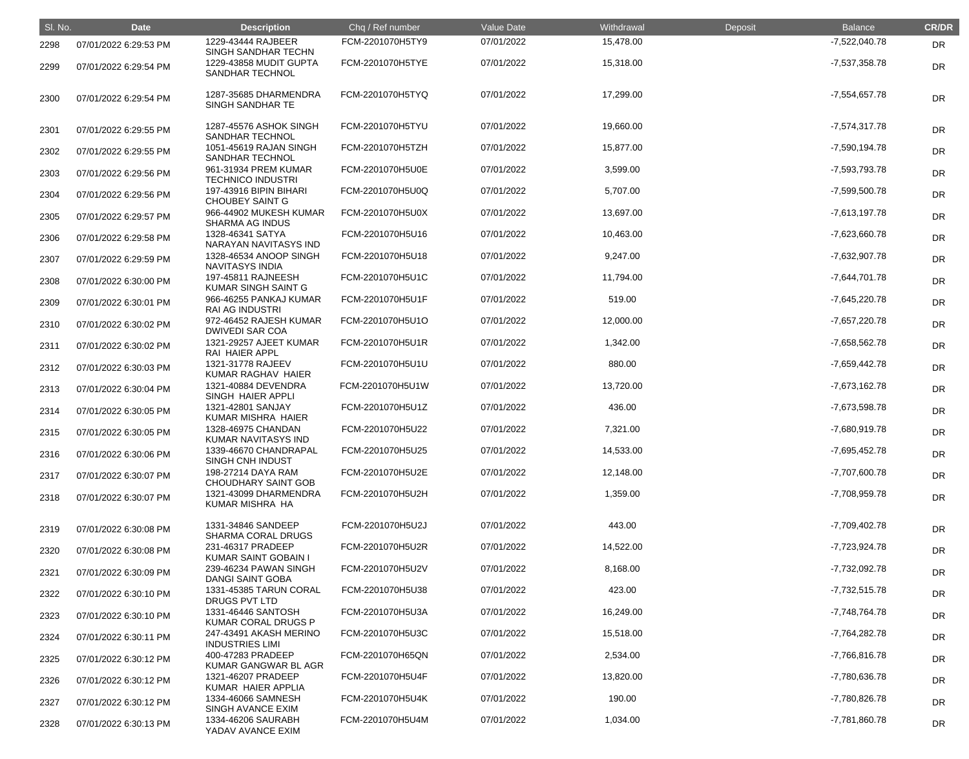| SI. No. | <b>Date</b>           | <b>Description</b>                                                         | Chq / Ref number | Value Date | Withdrawal | Deposit | <b>Balance</b>  | <b>CR/DR</b> |
|---------|-----------------------|----------------------------------------------------------------------------|------------------|------------|------------|---------|-----------------|--------------|
| 2298    | 07/01/2022 6:29:53 PM | 1229-43444 RAJBEER                                                         | FCM-2201070H5TY9 | 07/01/2022 | 15,478.00  |         | -7,522,040.78   | DR           |
| 2299    | 07/01/2022 6:29:54 PM | SINGH SANDHAR TECHN<br>1229-43858 MUDIT GUPTA<br><b>SANDHAR TECHNOL</b>    | FCM-2201070H5TYE | 07/01/2022 | 15,318.00  |         | -7,537,358.78   | <b>DR</b>    |
| 2300    | 07/01/2022 6:29:54 PM | 1287-35685 DHARMENDRA<br>SINGH SANDHAR TE                                  | FCM-2201070H5TYQ | 07/01/2022 | 17,299.00  |         | $-7,554,657.78$ | <b>DR</b>    |
| 2301    | 07/01/2022 6:29:55 PM | 1287-45576 ASHOK SINGH<br><b>SANDHAR TECHNOL</b>                           | FCM-2201070H5TYU | 07/01/2022 | 19,660.00  |         | $-7,574,317.78$ | <b>DR</b>    |
| 2302    | 07/01/2022 6:29:55 PM | 1051-45619 RAJAN SINGH<br><b>SANDHAR TECHNOL</b>                           | FCM-2201070H5TZH | 07/01/2022 | 15,877.00  |         | -7,590,194.78   | <b>DR</b>    |
| 2303    | 07/01/2022 6:29:56 PM | 961-31934 PREM KUMAR<br><b>TECHNICO INDUSTRI</b>                           | FCM-2201070H5U0E | 07/01/2022 | 3,599.00   |         | -7,593,793.78   | <b>DR</b>    |
| 2304    | 07/01/2022 6:29:56 PM | 197-43916 BIPIN BIHARI                                                     | FCM-2201070H5U0Q | 07/01/2022 | 5,707.00   |         | -7,599,500.78   | <b>DR</b>    |
| 2305    | 07/01/2022 6:29:57 PM | <b>CHOUBEY SAINT G</b><br>966-44902 MUKESH KUMAR<br><b>SHARMA AG INDUS</b> | FCM-2201070H5U0X | 07/01/2022 | 13,697.00  |         | $-7,613,197.78$ | <b>DR</b>    |
| 2306    | 07/01/2022 6:29:58 PM | 1328-46341 SATYA<br>NARAYAN NAVITASYS IND                                  | FCM-2201070H5U16 | 07/01/2022 | 10,463.00  |         | $-7,623,660.78$ | <b>DR</b>    |
| 2307    | 07/01/2022 6:29:59 PM | 1328-46534 ANOOP SINGH<br><b>NAVITASYS INDIA</b>                           | FCM-2201070H5U18 | 07/01/2022 | 9,247.00   |         | -7,632,907.78   | <b>DR</b>    |
| 2308    | 07/01/2022 6:30:00 PM | 197-45811 RAJNEESH<br><b>KUMAR SINGH SAINT G</b>                           | FCM-2201070H5U1C | 07/01/2022 | 11,794.00  |         | $-7,644,701.78$ | <b>DR</b>    |
| 2309    | 07/01/2022 6:30:01 PM | 966-46255 PANKAJ KUMAR<br><b>RAI AG INDUSTRI</b>                           | FCM-2201070H5U1F | 07/01/2022 | 519.00     |         | $-7,645,220.78$ | <b>DR</b>    |
| 2310    | 07/01/2022 6:30:02 PM | 972-46452 RAJESH KUMAR<br><b>DWIVEDI SAR COA</b>                           | FCM-2201070H5U1O | 07/01/2022 | 12,000.00  |         | -7,657,220.78   | <b>DR</b>    |
| 2311    | 07/01/2022 6:30:02 PM | 1321-29257 AJEET KUMAR<br>RAI HAIER APPL                                   | FCM-2201070H5U1R | 07/01/2022 | 1,342.00   |         | -7,658,562.78   | <b>DR</b>    |
| 2312    | 07/01/2022 6:30:03 PM | 1321-31778 RAJEEV<br>KUMAR RAGHAV HAIER                                    | FCM-2201070H5U1U | 07/01/2022 | 880.00     |         | $-7,659,442.78$ | <b>DR</b>    |
| 2313    | 07/01/2022 6:30:04 PM | 1321-40884 DEVENDRA<br>SINGH HAIER APPLI                                   | FCM-2201070H5U1W | 07/01/2022 | 13,720.00  |         | -7,673,162.78   | <b>DR</b>    |
| 2314    | 07/01/2022 6:30:05 PM | 1321-42801 SANJAY<br>KUMAR MISHRA HAIER                                    | FCM-2201070H5U1Z | 07/01/2022 | 436.00     |         | -7,673,598.78   | DR           |
| 2315    | 07/01/2022 6:30:05 PM | 1328-46975 CHANDAN<br><b>KUMAR NAVITASYS IND</b>                           | FCM-2201070H5U22 | 07/01/2022 | 7,321.00   |         | -7,680,919.78   | DR           |
| 2316    | 07/01/2022 6:30:06 PM | 1339-46670 CHANDRAPAL<br>SINGH CNH INDUST                                  | FCM-2201070H5U25 | 07/01/2022 | 14,533.00  |         | $-7,695,452.78$ | DR           |
| 2317    | 07/01/2022 6:30:07 PM | 198-27214 DAYA RAM<br><b>CHOUDHARY SAINT GOB</b>                           | FCM-2201070H5U2E | 07/01/2022 | 12,148.00  |         | -7,707,600.78   | <b>DR</b>    |
| 2318    | 07/01/2022 6:30:07 PM | 1321-43099 DHARMENDRA<br>KUMAR MISHRA HA                                   | FCM-2201070H5U2H | 07/01/2022 | 1,359.00   |         | -7,708,959.78   | <b>DR</b>    |
| 2319    | 07/01/2022 6:30:08 PM | 1331-34846 SANDEEP<br><b>SHARMA CORAL DRUGS</b>                            | FCM-2201070H5U2J | 07/01/2022 | 443.00     |         | -7,709,402.78   | <b>DR</b>    |
| 2320    | 07/01/2022 6:30:08 PM | 231-46317 PRADEEP<br>KUMAR SAINT GOBAIN I                                  | FCM-2201070H5U2R | 07/01/2022 | 14,522.00  |         | $-7,723,924.78$ | <b>DR</b>    |
| 2321    | 07/01/2022 6:30:09 PM | 239-46234 PAWAN SINGH<br>DANGI SAINT GOBA                                  | FCM-2201070H5U2V | 07/01/2022 | 8,168.00   |         | -7,732,092.78   | <b>DR</b>    |
| 2322    | 07/01/2022 6:30:10 PM | 1331-45385 TARUN CORAL<br>DRUGS PVT LTD                                    | FCM-2201070H5U38 | 07/01/2022 | 423.00     |         | $-7,732,515.78$ | DR           |
| 2323    | 07/01/2022 6:30:10 PM | 1331-46446 SANTOSH<br>KUMAR CORAL DRUGS P                                  | FCM-2201070H5U3A | 07/01/2022 | 16,249.00  |         | -7,748,764.78   | <b>DR</b>    |
| 2324    | 07/01/2022 6:30:11 PM | 247-43491 AKASH MERINO<br><b>INDUSTRIES LIMI</b>                           | FCM-2201070H5U3C | 07/01/2022 | 15,518.00  |         | -7,764,282.78   | <b>DR</b>    |
| 2325    | 07/01/2022 6:30:12 PM | 400-47283 PRADEEP<br>KUMAR GANGWAR BL AGR                                  | FCM-2201070H65QN | 07/01/2022 | 2,534.00   |         | -7,766,816.78   | <b>DR</b>    |
| 2326    | 07/01/2022 6:30:12 PM | 1321-46207 PRADEEP<br>KUMAR HAIER APPLIA                                   | FCM-2201070H5U4F | 07/01/2022 | 13,820.00  |         | -7,780,636.78   | <b>DR</b>    |
| 2327    | 07/01/2022 6:30:12 PM | 1334-46066 SAMNESH<br>SINGH AVANCE EXIM                                    | FCM-2201070H5U4K | 07/01/2022 | 190.00     |         | -7,780,826.78   | <b>DR</b>    |
| 2328    | 07/01/2022 6:30:13 PM | 1334-46206 SAURABH<br>YADAV AVANCE EXIM                                    | FCM-2201070H5U4M | 07/01/2022 | 1,034.00   |         | -7,781,860.78   | <b>DR</b>    |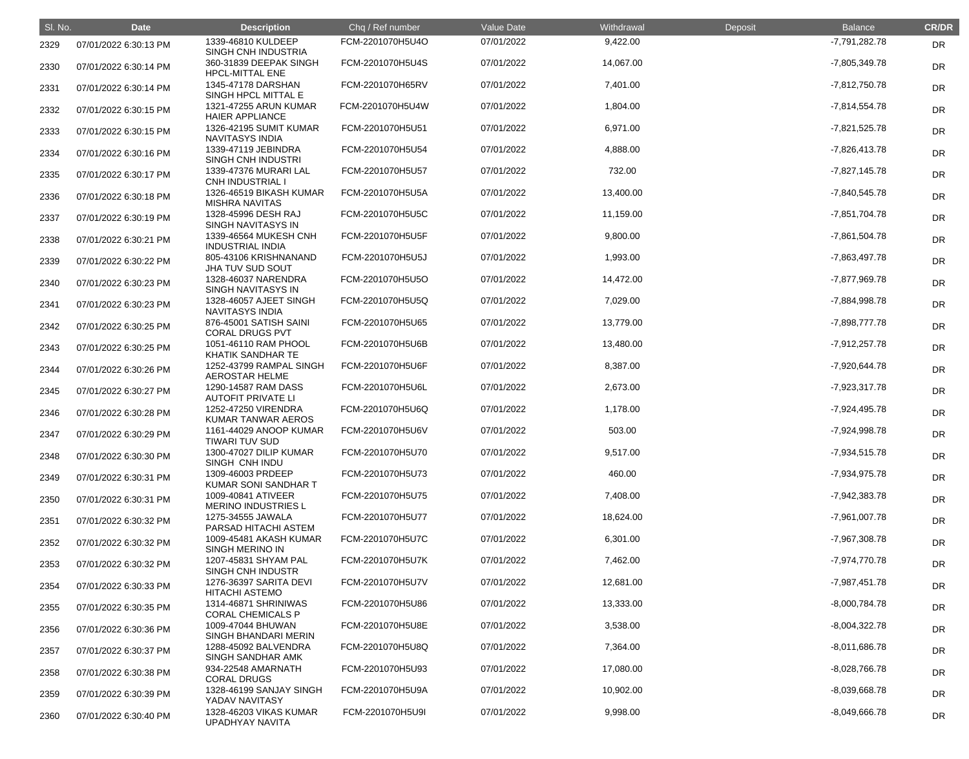| SI. No. | <b>Date</b>           | <b>Description</b>                               | Chq / Ref number | Value Date | Withdrawal | Deposit | <b>Balance</b>  | <b>CR/DR</b> |
|---------|-----------------------|--------------------------------------------------|------------------|------------|------------|---------|-----------------|--------------|
| 2329    | 07/01/2022 6:30:13 PM | 1339-46810 KULDEEP<br>SINGH CNH INDUSTRIA        | FCM-2201070H5U4O | 07/01/2022 | 9,422.00   |         | -7,791,282.78   | <b>DR</b>    |
| 2330    | 07/01/2022 6:30:14 PM | 360-31839 DEEPAK SINGH<br><b>HPCL-MITTAL ENE</b> | FCM-2201070H5U4S | 07/01/2022 | 14,067.00  |         | -7,805,349.78   | <b>DR</b>    |
| 2331    | 07/01/2022 6:30:14 PM | 1345-47178 DARSHAN<br>SINGH HPCL MITTAL E        | FCM-2201070H65RV | 07/01/2022 | 7,401.00   |         | $-7,812,750.78$ | <b>DR</b>    |
| 2332    | 07/01/2022 6:30:15 PM | 1321-47255 ARUN KUMAR<br><b>HAIER APPLIANCE</b>  | FCM-2201070H5U4W | 07/01/2022 | 1,804.00   |         | $-7,814,554.78$ | DR           |
| 2333    | 07/01/2022 6:30:15 PM | 1326-42195 SUMIT KUMAR<br><b>NAVITASYS INDIA</b> | FCM-2201070H5U51 | 07/01/2022 | 6,971.00   |         | $-7,821,525.78$ | <b>DR</b>    |
| 2334    | 07/01/2022 6:30:16 PM | 1339-47119 JEBINDRA<br><b>SINGH CNH INDUSTRI</b> | FCM-2201070H5U54 | 07/01/2022 | 4,888.00   |         | $-7,826,413.78$ | <b>DR</b>    |
| 2335    | 07/01/2022 6:30:17 PM | 1339-47376 MURARI LAL<br><b>CNH INDUSTRIAL I</b> | FCM-2201070H5U57 | 07/01/2022 | 732.00     |         | $-7,827,145.78$ | <b>DR</b>    |
| 2336    | 07/01/2022 6:30:18 PM | 1326-46519 BIKASH KUMAR<br><b>MISHRA NAVITAS</b> | FCM-2201070H5U5A | 07/01/2022 | 13,400.00  |         | $-7,840,545.78$ | <b>DR</b>    |
| 2337    | 07/01/2022 6:30:19 PM | 1328-45996 DESH RAJ<br>SINGH NAVITASYS IN        | FCM-2201070H5U5C | 07/01/2022 | 11,159.00  |         | -7,851,704.78   | <b>DR</b>    |
| 2338    | 07/01/2022 6:30:21 PM | 1339-46564 MUKESH CNH<br><b>INDUSTRIAL INDIA</b> | FCM-2201070H5U5F | 07/01/2022 | 9,800.00   |         | $-7,861,504.78$ | <b>DR</b>    |
| 2339    | 07/01/2022 6:30:22 PM | 805-43106 KRISHNANAND<br><b>JHA TUV SUD SOUT</b> | FCM-2201070H5U5J | 07/01/2022 | 1,993.00   |         | -7,863,497.78   | <b>DR</b>    |
| 2340    | 07/01/2022 6:30:23 PM | 1328-46037 NARENDRA<br>SINGH NAVITASYS IN        | FCM-2201070H5U5O | 07/01/2022 | 14,472.00  |         | -7,877,969.78   | <b>DR</b>    |
| 2341    | 07/01/2022 6:30:23 PM | 1328-46057 AJEET SINGH<br><b>NAVITASYS INDIA</b> | FCM-2201070H5U5Q | 07/01/2022 | 7,029.00   |         | -7,884,998.78   | <b>DR</b>    |
| 2342    | 07/01/2022 6:30:25 PM | 876-45001 SATISH SAINI<br><b>CORAL DRUGS PVT</b> | FCM-2201070H5U65 | 07/01/2022 | 13,779.00  |         | -7,898,777.78   | <b>DR</b>    |
| 2343    | 07/01/2022 6:30:25 PM | 1051-46110 RAM PHOOL<br><b>KHATIK SANDHAR TE</b> | FCM-2201070H5U6B | 07/01/2022 | 13,480.00  |         | $-7,912,257.78$ | <b>DR</b>    |
| 2344    | 07/01/2022 6:30:26 PM | 1252-43799 RAMPAL SINGH<br><b>AEROSTAR HELME</b> | FCM-2201070H5U6F | 07/01/2022 | 8,387.00   |         | -7,920,644.78   | <b>DR</b>    |
| 2345    | 07/01/2022 6:30:27 PM | 1290-14587 RAM DASS<br><b>AUTOFIT PRIVATE LI</b> | FCM-2201070H5U6L | 07/01/2022 | 2,673.00   |         | -7,923,317.78   | <b>DR</b>    |
| 2346    | 07/01/2022 6:30:28 PM | 1252-47250 VIRENDRA<br>KUMAR TANWAR AEROS        | FCM-2201070H5U6Q | 07/01/2022 | 1,178.00   |         | -7,924,495.78   | <b>DR</b>    |
| 2347    | 07/01/2022 6:30:29 PM | 1161-44029 ANOOP KUMAR<br><b>TIWARI TUV SUD</b>  | FCM-2201070H5U6V | 07/01/2022 | 503.00     |         | -7,924,998.78   | <b>DR</b>    |
| 2348    | 07/01/2022 6:30:30 PM | 1300-47027 DILIP KUMAR<br>SINGH CNH INDU         | FCM-2201070H5U70 | 07/01/2022 | 9,517.00   |         | $-7,934,515.78$ | <b>DR</b>    |
| 2349    | 07/01/2022 6:30:31 PM | 1309-46003 PRDEEP<br>KUMAR SONI SANDHAR T        | FCM-2201070H5U73 | 07/01/2022 | 460.00     |         | -7,934,975.78   | DR           |
| 2350    | 07/01/2022 6:30:31 PM | 1009-40841 ATIVEER<br><b>MERINO INDUSTRIES L</b> | FCM-2201070H5U75 | 07/01/2022 | 7,408.00   |         | -7,942,383.78   | <b>DR</b>    |
| 2351    | 07/01/2022 6:30:32 PM | 1275-34555 JAWALA<br>PARSAD HITACHI ASTEM        | FCM-2201070H5U77 | 07/01/2022 | 18,624.00  |         | $-7,961,007.78$ | <b>DR</b>    |
| 2352    | 07/01/2022 6:30:32 PM | 1009-45481 AKASH KUMAR<br><b>SINGH MERINO IN</b> | FCM-2201070H5U7C | 07/01/2022 | 6,301.00   |         | -7,967,308.78   | <b>DR</b>    |
| 2353    | 07/01/2022 6:30:32 PM | 1207-45831 SHYAM PAL<br>SINGH CNH INDUSTR        | FCM-2201070H5U7K | 07/01/2022 | 7,462.00   |         | -7,974,770.78   | <b>DR</b>    |
| 2354    | 07/01/2022 6:30:33 PM | 1276-36397 SARITA DEVI<br><b>HITACHI ASTEMO</b>  | FCM-2201070H5U7V | 07/01/2022 | 12,681.00  |         | $-7,987,451.78$ | <b>DR</b>    |
| 2355    | 07/01/2022 6:30:35 PM | 1314-46871 SHRINIWAS<br><b>CORAL CHEMICALS P</b> | FCM-2201070H5U86 | 07/01/2022 | 13,333.00  |         | $-8,000,784.78$ | <b>DR</b>    |
| 2356    | 07/01/2022 6:30:36 PM | 1009-47044 BHUWAN<br>SINGH BHANDARI MERIN        | FCM-2201070H5U8E | 07/01/2022 | 3,538.00   |         | $-8,004,322.78$ | <b>DR</b>    |
| 2357    | 07/01/2022 6:30:37 PM | 1288-45092 BALVENDRA<br>SINGH SANDHAR AMK        | FCM-2201070H5U8Q | 07/01/2022 | 7,364.00   |         | $-8,011,686.78$ | <b>DR</b>    |
| 2358    | 07/01/2022 6:30:38 PM | 934-22548 AMARNATH<br><b>CORAL DRUGS</b>         | FCM-2201070H5U93 | 07/01/2022 | 17,080.00  |         | $-8,028,766.78$ | <b>DR</b>    |
| 2359    | 07/01/2022 6:30:39 PM | 1328-46199 SANJAY SINGH<br>YADAV NAVITASY        | FCM-2201070H5U9A | 07/01/2022 | 10,902.00  |         | $-8,039,668.78$ | <b>DR</b>    |
| 2360    | 07/01/2022 6:30:40 PM | 1328-46203 VIKAS KUMAR<br>UPADHYAY NAVITA        | FCM-2201070H5U9I | 07/01/2022 | 9,998.00   |         | $-8,049,666.78$ | <b>DR</b>    |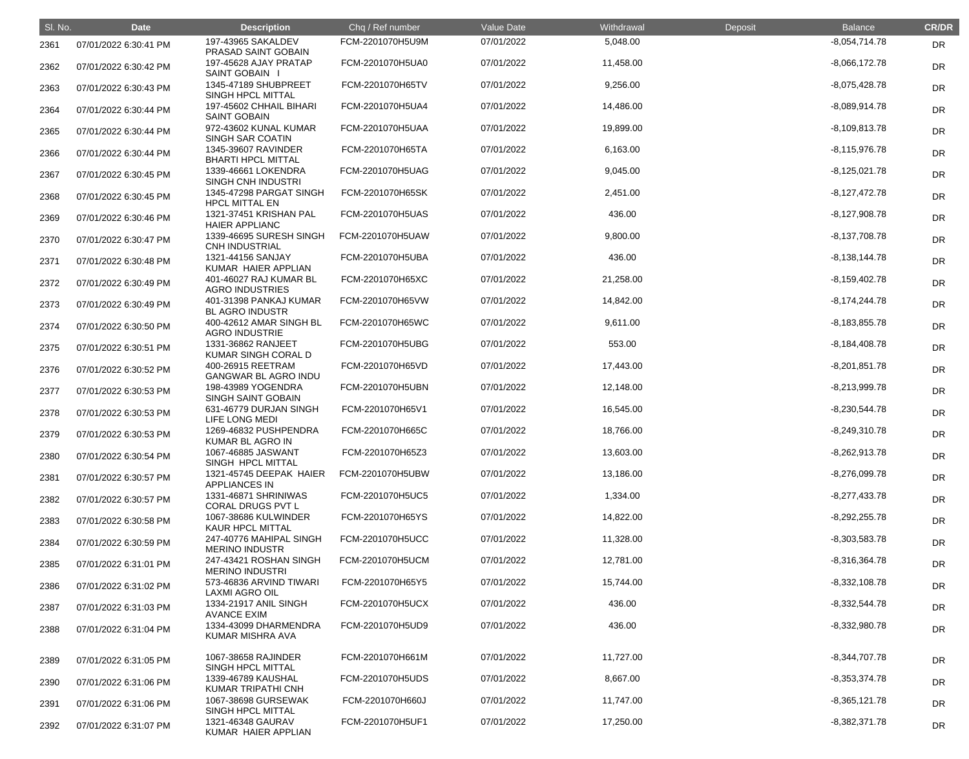| SI. No. | <b>Date</b>           | <b>Description</b>                               | Chq / Ref number | Value Date | Withdrawal | Deposit | <b>Balance</b>  | <b>CR/DR</b> |
|---------|-----------------------|--------------------------------------------------|------------------|------------|------------|---------|-----------------|--------------|
| 2361    | 07/01/2022 6:30:41 PM | 197-43965 SAKALDEV<br>PRASAD SAINT GOBAIN        | FCM-2201070H5U9M | 07/01/2022 | 5,048.00   |         | $-8,054,714.78$ | <b>DR</b>    |
| 2362    | 07/01/2022 6:30:42 PM | 197-45628 AJAY PRATAP<br>SAINT GOBAIN I          | FCM-2201070H5UA0 | 07/01/2022 | 11,458.00  |         | $-8,066,172.78$ | <b>DR</b>    |
| 2363    | 07/01/2022 6:30:43 PM | 1345-47189 SHUBPREET<br>SINGH HPCL MITTAL        | FCM-2201070H65TV | 07/01/2022 | 9,256.00   |         | $-8,075,428.78$ | DR           |
| 2364    | 07/01/2022 6:30:44 PM | 197-45602 CHHAIL BIHARI<br><b>SAINT GOBAIN</b>   | FCM-2201070H5UA4 | 07/01/2022 | 14,486.00  |         | $-8,089,914.78$ | DR           |
| 2365    | 07/01/2022 6:30:44 PM | 972-43602 KUNAL KUMAR<br><b>SINGH SAR COATIN</b> | FCM-2201070H5UAA | 07/01/2022 | 19,899.00  |         | $-8,109,813.78$ | DR           |
| 2366    | 07/01/2022 6:30:44 PM | 1345-39607 RAVINDER<br><b>BHARTI HPCL MITTAL</b> | FCM-2201070H65TA | 07/01/2022 | 6,163.00   |         | $-8,115,976.78$ | <b>DR</b>    |
| 2367    | 07/01/2022 6:30:45 PM | 1339-46661 LOKENDRA<br>SINGH CNH INDUSTRI        | FCM-2201070H5UAG | 07/01/2022 | 9,045.00   |         | $-8,125,021.78$ | <b>DR</b>    |
| 2368    | 07/01/2022 6:30:45 PM | 1345-47298 PARGAT SINGH<br><b>HPCL MITTAL EN</b> | FCM-2201070H65SK | 07/01/2022 | 2,451.00   |         | $-8,127,472.78$ | DR           |
| 2369    | 07/01/2022 6:30:46 PM | 1321-37451 KRISHAN PAL<br><b>HAIER APPLIANC</b>  | FCM-2201070H5UAS | 07/01/2022 | 436.00     |         | $-8,127,908.78$ | DR           |
| 2370    | 07/01/2022 6:30:47 PM | 1339-46695 SURESH SINGH<br><b>CNH INDUSTRIAL</b> | FCM-2201070H5UAW | 07/01/2022 | 9,800.00   |         | $-8,137,708.78$ | DR           |
| 2371    | 07/01/2022 6:30:48 PM | 1321-44156 SANJAY<br>KUMAR HAIER APPLIAN         | FCM-2201070H5UBA | 07/01/2022 | 436.00     |         | $-8,138,144.78$ | <b>DR</b>    |
| 2372    | 07/01/2022 6:30:49 PM | 401-46027 RAJ KUMAR BL<br><b>AGRO INDUSTRIES</b> | FCM-2201070H65XC | 07/01/2022 | 21,258.00  |         | $-8,159,402.78$ | <b>DR</b>    |
| 2373    | 07/01/2022 6:30:49 PM | 401-31398 PANKAJ KUMAR<br><b>BL AGRO INDUSTR</b> | FCM-2201070H65VW | 07/01/2022 | 14,842.00  |         | $-8,174,244.78$ | DR           |
| 2374    | 07/01/2022 6:30:50 PM | 400-42612 AMAR SINGH BL<br><b>AGRO INDUSTRIE</b> | FCM-2201070H65WC | 07/01/2022 | 9,611.00   |         | $-8,183,855.78$ | <b>DR</b>    |
| 2375    | 07/01/2022 6:30:51 PM | 1331-36862 RANJEET<br>KUMAR SINGH CORAL D        | FCM-2201070H5UBG | 07/01/2022 | 553.00     |         | $-8,184,408.78$ | <b>DR</b>    |
| 2376    | 07/01/2022 6:30:52 PM | 400-26915 REETRAM<br><b>GANGWAR BL AGRO INDU</b> | FCM-2201070H65VD | 07/01/2022 | 17,443.00  |         | $-8,201,851.78$ | <b>DR</b>    |
| 2377    | 07/01/2022 6:30:53 PM | 198-43989 YOGENDRA<br><b>SINGH SAINT GOBAIN</b>  | FCM-2201070H5UBN | 07/01/2022 | 12,148.00  |         | $-8,213,999.78$ | <b>DR</b>    |
| 2378    | 07/01/2022 6:30:53 PM | 631-46779 DURJAN SINGH<br>LIFE LONG MEDI         | FCM-2201070H65V1 | 07/01/2022 | 16,545.00  |         | $-8,230,544.78$ | DR           |
| 2379    | 07/01/2022 6:30:53 PM | 1269-46832 PUSHPENDRA<br>KUMAR BL AGRO IN        | FCM-2201070H665C | 07/01/2022 | 18,766.00  |         | $-8,249,310.78$ | <b>DR</b>    |
| 2380    | 07/01/2022 6:30:54 PM | 1067-46885 JASWANT<br>SINGH HPCL MITTAL          | FCM-2201070H65Z3 | 07/01/2022 | 13,603.00  |         | $-8,262,913.78$ | <b>DR</b>    |
| 2381    | 07/01/2022 6:30:57 PM | 1321-45745 DEEPAK HAIER<br><b>APPLIANCES IN</b>  | FCM-2201070H5UBW | 07/01/2022 | 13,186.00  |         | $-8,276,099.78$ | <b>DR</b>    |
| 2382    | 07/01/2022 6:30:57 PM | 1331-46871 SHRINIWAS<br>CORAL DRUGS PVT L        | FCM-2201070H5UC5 | 07/01/2022 | 1,334.00   |         | $-8,277,433.78$ | <b>DR</b>    |
| 2383    | 07/01/2022 6:30:58 PM | 1067-38686 KULWINDER<br>KAUR HPCL MITTAL         | FCM-2201070H65YS | 07/01/2022 | 14,822.00  |         | $-8,292,255.78$ | <b>DR</b>    |
| 2384    | 07/01/2022 6:30:59 PM | 247-40776 MAHIPAL SINGH<br><b>MERINO INDUSTR</b> | FCM-2201070H5UCC | 07/01/2022 | 11,328.00  |         | $-8,303,583.78$ | <b>DR</b>    |
| 2385    | 07/01/2022 6:31:01 PM | 247-43421 ROSHAN SINGH<br><b>MERINO INDUSTRI</b> | FCM-2201070H5UCM | 07/01/2022 | 12,781.00  |         | $-8,316,364.78$ | <b>DR</b>    |
| 2386    | 07/01/2022 6:31:02 PM | 573-46836 ARVIND TIWARI<br><b>LAXMI AGRO OIL</b> | FCM-2201070H65Y5 | 07/01/2022 | 15,744.00  |         | $-8,332,108.78$ | <b>DR</b>    |
| 2387    | 07/01/2022 6:31:03 PM | 1334-21917 ANIL SINGH<br><b>AVANCE EXIM</b>      | FCM-2201070H5UCX | 07/01/2022 | 436.00     |         | $-8,332,544.78$ | <b>DR</b>    |
| 2388    | 07/01/2022 6:31:04 PM | 1334-43099 DHARMENDRA<br>KUMAR MISHRA AVA        | FCM-2201070H5UD9 | 07/01/2022 | 436.00     |         | $-8,332,980.78$ | <b>DR</b>    |
| 2389    | 07/01/2022 6:31:05 PM | 1067-38658 RAJINDER<br>SINGH HPCL MITTAL         | FCM-2201070H661M | 07/01/2022 | 11,727.00  |         | $-8,344,707.78$ | <b>DR</b>    |
| 2390    | 07/01/2022 6:31:06 PM | 1339-46789 KAUSHAL<br>KUMAR TRIPATHI CNH         | FCM-2201070H5UDS | 07/01/2022 | 8,667.00   |         | $-8,353,374.78$ | <b>DR</b>    |
| 2391    | 07/01/2022 6:31:06 PM | 1067-38698 GURSEWAK<br>SINGH HPCL MITTAL         | FCM-2201070H660J | 07/01/2022 | 11,747.00  |         | $-8,365,121.78$ | <b>DR</b>    |
| 2392    | 07/01/2022 6:31:07 PM | 1321-46348 GAURAV<br>KUMAR HAIER APPLIAN         | FCM-2201070H5UF1 | 07/01/2022 | 17,250.00  |         | $-8,382,371.78$ | <b>DR</b>    |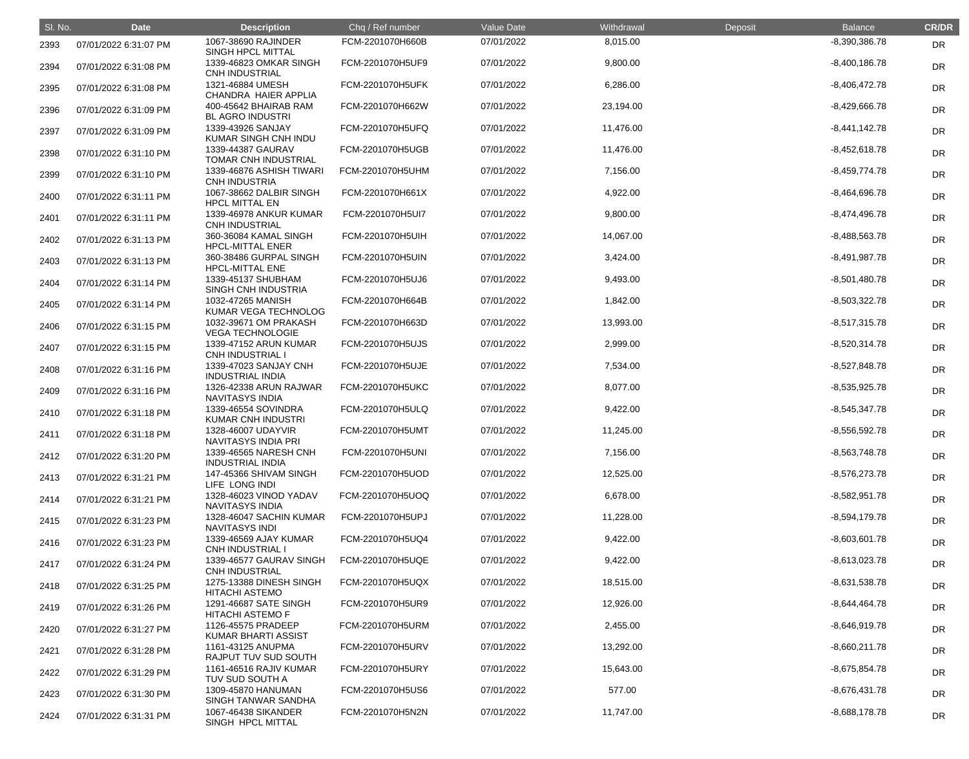| SI. No. | <b>Date</b>           | <b>Description</b>                                                | Chq / Ref number | Value Date | Withdrawal | Deposit | <b>Balance</b>  | <b>CR/DR</b> |
|---------|-----------------------|-------------------------------------------------------------------|------------------|------------|------------|---------|-----------------|--------------|
| 2393    | 07/01/2022 6:31:07 PM | 1067-38690 RAJINDER<br>SINGH HPCL MITTAL                          | FCM-2201070H660B | 07/01/2022 | 8,015.00   |         | $-8,390,386.78$ | <b>DR</b>    |
| 2394    | 07/01/2022 6:31:08 PM | 1339-46823 OMKAR SINGH<br><b>CNH INDUSTRIAL</b>                   | FCM-2201070H5UF9 | 07/01/2022 | 9,800.00   |         | $-8,400,186.78$ | <b>DR</b>    |
| 2395    | 07/01/2022 6:31:08 PM | 1321-46884 UMESH<br>CHANDRA HAIER APPLIA                          | FCM-2201070H5UFK | 07/01/2022 | 6,286.00   |         | $-8,406,472.78$ | DR           |
| 2396    | 07/01/2022 6:31:09 PM | 400-45642 BHAIRAB RAM<br><b>BL AGRO INDUSTRI</b>                  | FCM-2201070H662W | 07/01/2022 | 23,194.00  |         | $-8,429,666.78$ | DR           |
| 2397    | 07/01/2022 6:31:09 PM | 1339-43926 SANJAY<br>KUMAR SINGH CNH INDU                         | FCM-2201070H5UFQ | 07/01/2022 | 11,476.00  |         | $-8,441,142.78$ | <b>DR</b>    |
| 2398    | 07/01/2022 6:31:10 PM | 1339-44387 GAURAV<br>TOMAR CNH INDUSTRIAL                         | FCM-2201070H5UGB | 07/01/2022 | 11,476.00  |         | $-8,452,618.78$ | <b>DR</b>    |
| 2399    | 07/01/2022 6:31:10 PM | 1339-46876 ASHISH TIWARI<br><b>CNH INDUSTRIA</b>                  | FCM-2201070H5UHM | 07/01/2022 | 7,156.00   |         | $-8,459,774.78$ | <b>DR</b>    |
| 2400    | 07/01/2022 6:31:11 PM | 1067-38662 DALBIR SINGH<br><b>HPCL MITTAL EN</b>                  | FCM-2201070H661X | 07/01/2022 | 4,922.00   |         | $-8,464,696.78$ | DR           |
| 2401    | 07/01/2022 6:31:11 PM | 1339-46978 ANKUR KUMAR<br><b>CNH INDUSTRIAL</b>                   | FCM-2201070H5UI7 | 07/01/2022 | 9,800.00   |         | $-8,474,496.78$ | DR           |
| 2402    | 07/01/2022 6:31:13 PM | 360-36084 KAMAL SINGH<br><b>HPCL-MITTAL ENER</b>                  | FCM-2201070H5UIH | 07/01/2022 | 14,067.00  |         | $-8,488,563.78$ | <b>DR</b>    |
| 2403    | 07/01/2022 6:31:13 PM | 360-38486 GURPAL SINGH<br><b>HPCL-MITTAL ENE</b>                  | FCM-2201070H5UIN | 07/01/2022 | 3,424.00   |         | $-8,491,987.78$ | <b>DR</b>    |
| 2404    | 07/01/2022 6:31:14 PM | 1339-45137 SHUBHAM<br>SINGH CNH INDUSTRIA                         | FCM-2201070H5UJ6 | 07/01/2022 | 9,493.00   |         | $-8,501,480.78$ | DR           |
| 2405    | 07/01/2022 6:31:14 PM | 1032-47265 MANISH<br>KUMAR VEGA TECHNOLOG                         | FCM-2201070H664B | 07/01/2022 | 1,842.00   |         | $-8,503,322.78$ | DR           |
| 2406    | 07/01/2022 6:31:15 PM | 1032-39671 OM PRAKASH<br><b>VEGA TECHNOLOGIE</b>                  | FCM-2201070H663D | 07/01/2022 | 13,993.00  |         | $-8,517,315.78$ | <b>DR</b>    |
| 2407    | 07/01/2022 6:31:15 PM | 1339-47152 ARUN KUMAR<br><b>CNH INDUSTRIAL I</b>                  | FCM-2201070H5UJS | 07/01/2022 | 2,999.00   |         | $-8,520,314.78$ | <b>DR</b>    |
| 2408    | 07/01/2022 6:31:16 PM | 1339-47023 SANJAY CNH<br><b>INDUSTRIAL INDIA</b>                  | FCM-2201070H5UJE | 07/01/2022 | 7,534.00   |         | $-8,527,848.78$ | <b>DR</b>    |
| 2409    | 07/01/2022 6:31:16 PM | 1326-42338 ARUN RAJWAR<br><b>NAVITASYS INDIA</b>                  | FCM-2201070H5UKC | 07/01/2022 | 8,077.00   |         | $-8,535,925.78$ | DR           |
| 2410    | 07/01/2022 6:31:18 PM | 1339-46554 SOVINDRA<br><b>KUMAR CNH INDUSTRI</b>                  | FCM-2201070H5ULQ | 07/01/2022 | 9,422.00   |         | $-8,545,347.78$ | <b>DR</b>    |
| 2411    | 07/01/2022 6:31:18 PM | 1328-46007 UDAYVIR<br>NAVITASYS INDIA PRI                         | FCM-2201070H5UMT | 07/01/2022 | 11,245.00  |         | $-8,556,592.78$ | <b>DR</b>    |
| 2412    | 07/01/2022 6:31:20 PM | 1339-46565 NARESH CNH<br><b>INDUSTRIAL INDIA</b>                  | FCM-2201070H5UNI | 07/01/2022 | 7,156.00   |         | $-8,563,748.78$ | <b>DR</b>    |
| 2413    | 07/01/2022 6:31:21 PM | 147-45366 SHIVAM SINGH<br>LIFE LONG INDI                          | FCM-2201070H5UOD | 07/01/2022 | 12,525.00  |         | $-8,576,273.78$ | <b>DR</b>    |
| 2414    | 07/01/2022 6:31:21 PM | 1328-46023 VINOD YADAV<br><b>NAVITASYS INDIA</b>                  | FCM-2201070H5UOQ | 07/01/2022 | 6,678.00   |         | $-8,582,951.78$ | <b>DR</b>    |
| 2415    | 07/01/2022 6:31:23 PM | 1328-46047 SACHIN KUMAR<br><b>NAVITASYS INDI</b>                  | FCM-2201070H5UPJ | 07/01/2022 | 11,228.00  |         | $-8,594,179.78$ | <b>DR</b>    |
| 2416    | 07/01/2022 6:31:23 PM | 1339-46569 AJAY KUMAR<br><b>CNH INDUSTRIAL I</b>                  | FCM-2201070H5UQ4 | 07/01/2022 | 9,422.00   |         | $-8,603,601.78$ | <b>DR</b>    |
| 2417    | 07/01/2022 6:31:24 PM | 1339-46577 GAURAV SINGH<br><b>CNH INDUSTRIAL</b>                  | FCM-2201070H5UQE | 07/01/2022 | 9,422.00   |         | $-8,613,023.78$ | <b>DR</b>    |
| 2418    | 07/01/2022 6:31:25 PM | 1275-13388 DINESH SINGH<br><b>HITACHI ASTEMO</b>                  | FCM-2201070H5UQX | 07/01/2022 | 18,515.00  |         | $-8,631,538.78$ | <b>DR</b>    |
| 2419    | 07/01/2022 6:31:26 PM | 1291-46687 SATE SINGH<br><b>HITACHI ASTEMO F</b>                  | FCM-2201070H5UR9 | 07/01/2022 | 12,926.00  |         | $-8,644,464.78$ | <b>DR</b>    |
| 2420    | 07/01/2022 6:31:27 PM | 1126-45575 PRADEEP<br>KUMAR BHARTI ASSIST                         | FCM-2201070H5URM | 07/01/2022 | 2,455.00   |         | $-8,646,919.78$ | <b>DR</b>    |
| 2421    | 07/01/2022 6:31:28 PM | 1161-43125 ANUPMA                                                 | FCM-2201070H5URV | 07/01/2022 | 13,292.00  |         | $-8,660,211.78$ | <b>DR</b>    |
| 2422    | 07/01/2022 6:31:29 PM | RAJPUT TUV SUD SOUTH<br>1161-46516 RAJIV KUMAR<br>TUV SUD SOUTH A | FCM-2201070H5URY | 07/01/2022 | 15,643.00  |         | $-8,675,854.78$ | <b>DR</b>    |
| 2423    | 07/01/2022 6:31:30 PM | 1309-45870 HANUMAN                                                | FCM-2201070H5US6 | 07/01/2022 | 577.00     |         | $-8,676,431.78$ | <b>DR</b>    |
| 2424    | 07/01/2022 6:31:31 PM | SINGH TANWAR SANDHA<br>1067-46438 SIKANDER<br>SINGH HPCL MITTAL   | FCM-2201070H5N2N | 07/01/2022 | 11,747.00  |         | $-8,688,178.78$ | <b>DR</b>    |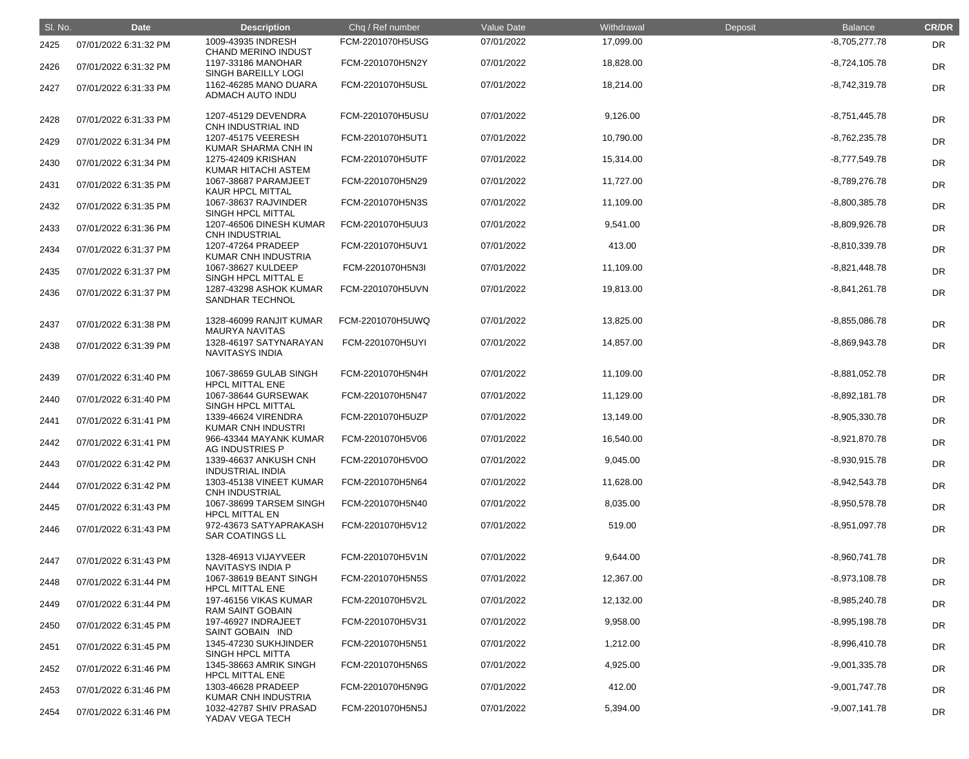| SI. No. | <b>Date</b>           | <b>Description</b>                               | Chq / Ref number | Value Date | Withdrawal | Deposit | <b>Balance</b>  | <b>CR/DR</b> |
|---------|-----------------------|--------------------------------------------------|------------------|------------|------------|---------|-----------------|--------------|
| 2425    | 07/01/2022 6:31:32 PM | 1009-43935 INDRESH<br><b>CHAND MERINO INDUST</b> | FCM-2201070H5USG | 07/01/2022 | 17,099.00  |         | $-8,705,277.78$ | <b>DR</b>    |
| 2426    | 07/01/2022 6:31:32 PM | 1197-33186 MANOHAR<br><b>SINGH BAREILLY LOGI</b> | FCM-2201070H5N2Y | 07/01/2022 | 18,828.00  |         | $-8,724,105.78$ | <b>DR</b>    |
| 2427    | 07/01/2022 6:31:33 PM | 1162-46285 MANO DUARA<br>ADMACH AUTO INDU        | FCM-2201070H5USL | 07/01/2022 | 18,214.00  |         | $-8,742,319.78$ | <b>DR</b>    |
| 2428    | 07/01/2022 6:31:33 PM | 1207-45129 DEVENDRA<br>CNH INDUSTRIAL IND        | FCM-2201070H5USU | 07/01/2022 | 9,126.00   |         | $-8,751,445.78$ | <b>DR</b>    |
| 2429    | 07/01/2022 6:31:34 PM | 1207-45175 VEERESH<br>KUMAR SHARMA CNH IN        | FCM-2201070H5UT1 | 07/01/2022 | 10,790.00  |         | $-8,762,235.78$ | <b>DR</b>    |
| 2430    | 07/01/2022 6:31:34 PM | 1275-42409 KRISHAN<br>KUMAR HITACHI ASTEM        | FCM-2201070H5UTF | 07/01/2022 | 15,314.00  |         | $-8,777,549.78$ | DR           |
| 2431    | 07/01/2022 6:31:35 PM | 1067-38687 PARAMJEET<br><b>KAUR HPCL MITTAL</b>  | FCM-2201070H5N29 | 07/01/2022 | 11,727.00  |         | $-8,789,276.78$ | <b>DR</b>    |
| 2432    | 07/01/2022 6:31:35 PM | 1067-38637 RAJVINDER<br><b>SINGH HPCL MITTAL</b> | FCM-2201070H5N3S | 07/01/2022 | 11,109.00  |         | $-8,800,385.78$ | <b>DR</b>    |
| 2433    | 07/01/2022 6:31:36 PM | 1207-46506 DINESH KUMAR<br><b>CNH INDUSTRIAL</b> | FCM-2201070H5UU3 | 07/01/2022 | 9,541.00   |         | $-8,809,926.78$ | DR           |
| 2434    | 07/01/2022 6:31:37 PM | 1207-47264 PRADEEP<br>KUMAR CNH INDUSTRIA        | FCM-2201070H5UV1 | 07/01/2022 | 413.00     |         | $-8,810,339.78$ | <b>DR</b>    |
| 2435    | 07/01/2022 6:31:37 PM | 1067-38627 KULDEEP<br>SINGH HPCL MITTAL E        | FCM-2201070H5N3I | 07/01/2022 | 11,109.00  |         | $-8,821,448.78$ | <b>DR</b>    |
| 2436    | 07/01/2022 6:31:37 PM | 1287-43298 ASHOK KUMAR<br>SANDHAR TECHNOL        | FCM-2201070H5UVN | 07/01/2022 | 19,813.00  |         | $-8,841,261.78$ | <b>DR</b>    |
| 2437    | 07/01/2022 6:31:38 PM | 1328-46099 RANJIT KUMAR<br><b>MAURYA NAVITAS</b> | FCM-2201070H5UWQ | 07/01/2022 | 13,825.00  |         | $-8,855,086.78$ | <b>DR</b>    |
| 2438    | 07/01/2022 6:31:39 PM | 1328-46197 SATYNARAYAN<br>NAVITASYS INDIA        | FCM-2201070H5UYI | 07/01/2022 | 14,857.00  |         | $-8,869,943.78$ | DR           |
| 2439    | 07/01/2022 6:31:40 PM | 1067-38659 GULAB SINGH<br><b>HPCL MITTAL ENE</b> | FCM-2201070H5N4H | 07/01/2022 | 11,109.00  |         | $-8,881,052.78$ | <b>DR</b>    |
| 2440    | 07/01/2022 6:31:40 PM | 1067-38644 GURSEWAK<br>SINGH HPCL MITTAL         | FCM-2201070H5N47 | 07/01/2022 | 11,129.00  |         | $-8,892,181.78$ | <b>DR</b>    |
| 2441    | 07/01/2022 6:31:41 PM | 1339-46624 VIRENDRA<br><b>KUMAR CNH INDUSTRI</b> | FCM-2201070H5UZP | 07/01/2022 | 13,149.00  |         | $-8,905,330.78$ | DR           |
| 2442    | 07/01/2022 6:31:41 PM | 966-43344 MAYANK KUMAR<br>AG INDUSTRIES P        | FCM-2201070H5V06 | 07/01/2022 | 16,540.00  |         | $-8,921,870.78$ | DR           |
| 2443    | 07/01/2022 6:31:42 PM | 1339-46637 ANKUSH CNH<br><b>INDUSTRIAL INDIA</b> | FCM-2201070H5V0O | 07/01/2022 | 9,045.00   |         | $-8,930,915.78$ | DR           |
| 2444    | 07/01/2022 6:31:42 PM | 1303-45138 VINEET KUMAR<br><b>CNH INDUSTRIAL</b> | FCM-2201070H5N64 | 07/01/2022 | 11,628.00  |         | $-8,942,543.78$ | DR           |
| 2445    | 07/01/2022 6:31:43 PM | 1067-38699 TARSEM SINGH<br><b>HPCL MITTAL EN</b> | FCM-2201070H5N40 | 07/01/2022 | 8,035.00   |         | $-8,950,578.78$ | DR           |
| 2446    | 07/01/2022 6:31:43 PM | 972-43673 SATYAPRAKASH<br><b>SAR COATINGS LL</b> | FCM-2201070H5V12 | 07/01/2022 | 519.00     |         | $-8,951,097.78$ | DR           |
| 2447    | 07/01/2022 6:31:43 PM | 1328-46913 VIJAYVEER<br>NAVITASYS INDIA P        | FCM-2201070H5V1N | 07/01/2022 | 9,644.00   |         | $-8,960,741.78$ | DR           |
| 2448    | 07/01/2022 6:31:44 PM | 1067-38619 BEANT SINGH<br><b>HPCL MITTAL ENE</b> | FCM-2201070H5N5S | 07/01/2022 | 12,367.00  |         | $-8,973,108.78$ | DR           |
| 2449    | 07/01/2022 6:31:44 PM | 197-46156 VIKAS KUMAR<br><b>RAM SAINT GOBAIN</b> | FCM-2201070H5V2L | 07/01/2022 | 12,132.00  |         | $-8,985,240.78$ | DR           |
| 2450    | 07/01/2022 6:31:45 PM | 197-46927 INDRAJEET<br>SAINT GOBAIN IND          | FCM-2201070H5V31 | 07/01/2022 | 9,958.00   |         | $-8,995,198.78$ | DR           |
| 2451    | 07/01/2022 6:31:45 PM | 1345-47230 SUKHJINDER<br><b>SINGH HPCL MITTA</b> | FCM-2201070H5N51 | 07/01/2022 | 1,212.00   |         | $-8,996,410.78$ | DR           |
| 2452    | 07/01/2022 6:31:46 PM | 1345-38663 AMRIK SINGH<br><b>HPCL MITTAL ENE</b> | FCM-2201070H5N6S | 07/01/2022 | 4,925.00   |         | $-9,001,335.78$ | DR           |
| 2453    | 07/01/2022 6:31:46 PM | 1303-46628 PRADEEP<br>KUMAR CNH INDUSTRIA        | FCM-2201070H5N9G | 07/01/2022 | 412.00     |         | $-9,001,747.78$ | DR           |
| 2454    | 07/01/2022 6:31:46 PM | 1032-42787 SHIV PRASAD<br>YADAV VEGA TECH        | FCM-2201070H5N5J | 07/01/2022 | 5,394.00   |         | $-9,007,141.78$ | <b>DR</b>    |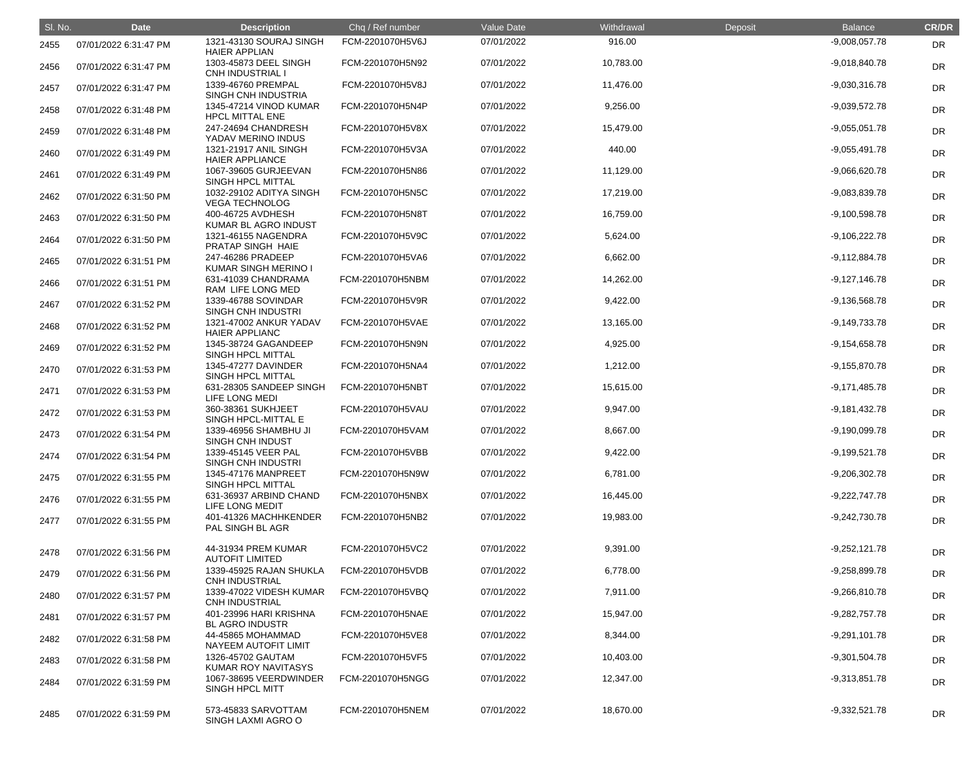| SI. No. | <b>Date</b>           | <b>Description</b>                               | Chq / Ref number | Value Date | Withdrawal | Deposit | <b>Balance</b>  | <b>CR/DR</b> |
|---------|-----------------------|--------------------------------------------------|------------------|------------|------------|---------|-----------------|--------------|
| 2455    | 07/01/2022 6:31:47 PM | 1321-43130 SOURAJ SINGH<br><b>HAIER APPLIAN</b>  | FCM-2201070H5V6J | 07/01/2022 | 916.00     |         | $-9,008,057.78$ | DR           |
| 2456    | 07/01/2022 6:31:47 PM | 1303-45873 DEEL SINGH<br><b>CNH INDUSTRIAL I</b> | FCM-2201070H5N92 | 07/01/2022 | 10,783.00  |         | $-9,018,840.78$ | DR           |
| 2457    | 07/01/2022 6:31:47 PM | 1339-46760 PREMPAL<br>SINGH CNH INDUSTRIA        | FCM-2201070H5V8J | 07/01/2022 | 11,476.00  |         | $-9,030,316.78$ | DR           |
| 2458    | 07/01/2022 6:31:48 PM | 1345-47214 VINOD KUMAR<br><b>HPCL MITTAL ENE</b> | FCM-2201070H5N4P | 07/01/2022 | 9,256.00   |         | $-9,039,572.78$ | DR           |
| 2459    | 07/01/2022 6:31:48 PM | 247-24694 CHANDRESH<br>YADAV MERINO INDUS        | FCM-2201070H5V8X | 07/01/2022 | 15,479.00  |         | $-9,055,051.78$ | DR           |
| 2460    | 07/01/2022 6:31:49 PM | 1321-21917 ANIL SINGH<br><b>HAIER APPLIANCE</b>  | FCM-2201070H5V3A | 07/01/2022 | 440.00     |         | $-9,055,491.78$ | DR           |
| 2461    | 07/01/2022 6:31:49 PM | 1067-39605 GURJEEVAN<br>SINGH HPCL MITTAL        | FCM-2201070H5N86 | 07/01/2022 | 11,129.00  |         | $-9,066,620.78$ | DR           |
| 2462    | 07/01/2022 6:31:50 PM | 1032-29102 ADITYA SINGH<br><b>VEGA TECHNOLOG</b> | FCM-2201070H5N5C | 07/01/2022 | 17,219.00  |         | $-9,083,839.78$ | DR           |
| 2463    | 07/01/2022 6:31:50 PM | 400-46725 AVDHESH<br>KUMAR BL AGRO INDUST        | FCM-2201070H5N8T | 07/01/2022 | 16,759.00  |         | $-9,100,598.78$ | DR           |
| 2464    | 07/01/2022 6:31:50 PM | 1321-46155 NAGENDRA<br>PRATAP SINGH HAIE         | FCM-2201070H5V9C | 07/01/2022 | 5,624.00   |         | $-9,106,222.78$ | DR           |
| 2465    | 07/01/2022 6:31:51 PM | 247-46286 PRADEEP<br>KUMAR SINGH MERINO I        | FCM-2201070H5VA6 | 07/01/2022 | 6,662.00   |         | $-9,112,884.78$ | DR           |
| 2466    | 07/01/2022 6:31:51 PM | 631-41039 CHANDRAMA<br>RAM LIFE LONG MED         | FCM-2201070H5NBM | 07/01/2022 | 14,262.00  |         | $-9,127,146.78$ | DR           |
| 2467    | 07/01/2022 6:31:52 PM | 1339-46788 SOVINDAR<br>SINGH CNH INDUSTRI        | FCM-2201070H5V9R | 07/01/2022 | 9,422.00   |         | $-9,136,568.78$ | DR           |
| 2468    | 07/01/2022 6:31:52 PM | 1321-47002 ANKUR YADAV<br><b>HAIER APPLIANC</b>  | FCM-2201070H5VAE | 07/01/2022 | 13,165.00  |         | $-9,149,733.78$ | DR           |
| 2469    | 07/01/2022 6:31:52 PM | 1345-38724 GAGANDEEP<br>SINGH HPCL MITTAL        | FCM-2201070H5N9N | 07/01/2022 | 4,925.00   |         | $-9,154,658.78$ | DR           |
| 2470    | 07/01/2022 6:31:53 PM | 1345-47277 DAVINDER<br><b>SINGH HPCL MITTAL</b>  | FCM-2201070H5NA4 | 07/01/2022 | 1,212.00   |         | $-9,155,870.78$ | DR           |
| 2471    | 07/01/2022 6:31:53 PM | 631-28305 SANDEEP SINGH<br>LIFE LONG MEDI        | FCM-2201070H5NBT | 07/01/2022 | 15,615.00  |         | $-9,171,485.78$ | DR           |
| 2472    | 07/01/2022 6:31:53 PM | 360-38361 SUKHJEET<br>SINGH HPCL-MITTAL E        | FCM-2201070H5VAU | 07/01/2022 | 9,947.00   |         | $-9,181,432.78$ | DR           |
| 2473    | 07/01/2022 6:31:54 PM | 1339-46956 SHAMBHU JI<br>SINGH CNH INDUST        | FCM-2201070H5VAM | 07/01/2022 | 8,667.00   |         | $-9,190,099.78$ | <b>DR</b>    |
| 2474    | 07/01/2022 6:31:54 PM | 1339-45145 VEER PAL<br>SINGH CNH INDUSTRI        | FCM-2201070H5VBB | 07/01/2022 | 9,422.00   |         | $-9,199,521.78$ | <b>DR</b>    |
| 2475    | 07/01/2022 6:31:55 PM | 1345-47176 MANPREET<br>SINGH HPCL MITTAL         | FCM-2201070H5N9W | 07/01/2022 | 6,781.00   |         | $-9,206,302.78$ | <b>DR</b>    |
| 2476    | 07/01/2022 6:31:55 PM | 631-36937 ARBIND CHAND<br>LIFE LONG MEDIT        | FCM-2201070H5NBX | 07/01/2022 | 16,445.00  |         | $-9,222,747.78$ | <b>DR</b>    |
| 2477    | 07/01/2022 6:31:55 PM | 401-41326 MACHHKENDER<br>PAL SINGH BL AGR        | FCM-2201070H5NB2 | 07/01/2022 | 19,983.00  |         | $-9,242,730.78$ | <b>DR</b>    |
| 2478    | 07/01/2022 6:31:56 PM | 44-31934 PREM KUMAR<br><b>AUTOFIT LIMITED</b>    | FCM-2201070H5VC2 | 07/01/2022 | 9,391.00   |         | $-9,252,121.78$ | <b>DR</b>    |
| 2479    | 07/01/2022 6:31:56 PM | 1339-45925 RAJAN SHUKLA<br><b>CNH INDUSTRIAL</b> | FCM-2201070H5VDB | 07/01/2022 | 6,778.00   |         | $-9,258,899.78$ | <b>DR</b>    |
| 2480    | 07/01/2022 6:31:57 PM | 1339-47022 VIDESH KUMAR<br><b>CNH INDUSTRIAL</b> | FCM-2201070H5VBQ | 07/01/2022 | 7,911.00   |         | $-9,266,810.78$ | <b>DR</b>    |
| 2481    | 07/01/2022 6:31:57 PM | 401-23996 HARI KRISHNA<br><b>BL AGRO INDUSTR</b> | FCM-2201070H5NAE | 07/01/2022 | 15,947.00  |         | $-9,282,757.78$ | <b>DR</b>    |
| 2482    | 07/01/2022 6:31:58 PM | 44-45865 MOHAMMAD<br>NAYEEM AUTOFIT LIMIT        | FCM-2201070H5VE8 | 07/01/2022 | 8,344.00   |         | $-9,291,101.78$ | <b>DR</b>    |
| 2483    | 07/01/2022 6:31:58 PM | 1326-45702 GAUTAM<br><b>KUMAR ROY NAVITASYS</b>  | FCM-2201070H5VF5 | 07/01/2022 | 10,403.00  |         | $-9,301,504.78$ | <b>DR</b>    |
| 2484    | 07/01/2022 6:31:59 PM | 1067-38695 VEERDWINDER<br><b>SINGH HPCL MITT</b> | FCM-2201070H5NGG | 07/01/2022 | 12,347.00  |         | $-9,313,851.78$ | <b>DR</b>    |
| 2485    | 07/01/2022 6:31:59 PM | 573-45833 SARVOTTAM<br>SINGH LAXMI AGRO O        | FCM-2201070H5NEM | 07/01/2022 | 18,670.00  |         | $-9,332,521.78$ | DR           |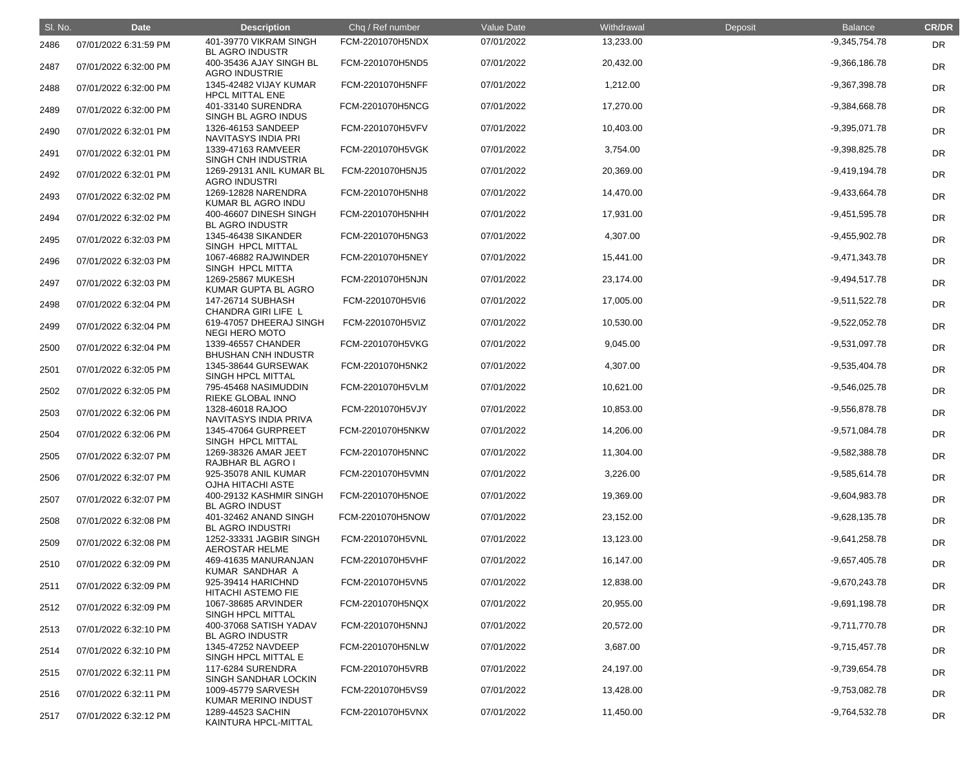| SI. No. | <b>Date</b>           | <b>Description</b>                               | Chq / Ref number | Value Date | Withdrawal | Deposit | <b>Balance</b>  | <b>CR/DR</b> |
|---------|-----------------------|--------------------------------------------------|------------------|------------|------------|---------|-----------------|--------------|
| 2486    | 07/01/2022 6:31:59 PM | 401-39770 VIKRAM SINGH<br><b>BL AGRO INDUSTR</b> | FCM-2201070H5NDX | 07/01/2022 | 13,233.00  |         | $-9,345,754.78$ | DR           |
| 2487    | 07/01/2022 6:32:00 PM | 400-35436 AJAY SINGH BL<br><b>AGRO INDUSTRIE</b> | FCM-2201070H5ND5 | 07/01/2022 | 20,432.00  |         | $-9,366,186.78$ | <b>DR</b>    |
| 2488    | 07/01/2022 6:32:00 PM | 1345-42482 VIJAY KUMAR<br><b>HPCL MITTAL ENE</b> | FCM-2201070H5NFF | 07/01/2022 | 1,212.00   |         | $-9,367,398.78$ | <b>DR</b>    |
| 2489    | 07/01/2022 6:32:00 PM | 401-33140 SURENDRA<br>SINGH BL AGRO INDUS        | FCM-2201070H5NCG | 07/01/2022 | 17,270.00  |         | $-9,384,668.78$ | <b>DR</b>    |
| 2490    | 07/01/2022 6:32:01 PM | 1326-46153 SANDEEP<br>NAVITASYS INDIA PRI        | FCM-2201070H5VFV | 07/01/2022 | 10,403.00  |         | $-9,395,071.78$ | <b>DR</b>    |
| 2491    | 07/01/2022 6:32:01 PM | 1339-47163 RAMVEER<br>SINGH CNH INDUSTRIA        | FCM-2201070H5VGK | 07/01/2022 | 3,754.00   |         | $-9,398,825.78$ | DR           |
| 2492    | 07/01/2022 6:32:01 PM | 1269-29131 ANIL KUMAR BL<br><b>AGRO INDUSTRI</b> | FCM-2201070H5NJ5 | 07/01/2022 | 20,369.00  |         | $-9,419,194.78$ | <b>DR</b>    |
| 2493    | 07/01/2022 6:32:02 PM | 1269-12828 NARENDRA<br>KUMAR BL AGRO INDU        | FCM-2201070H5NH8 | 07/01/2022 | 14,470.00  |         | $-9,433,664.78$ | <b>DR</b>    |
| 2494    | 07/01/2022 6:32:02 PM | 400-46607 DINESH SINGH<br><b>BL AGRO INDUSTR</b> | FCM-2201070H5NHH | 07/01/2022 | 17,931.00  |         | $-9,451,595.78$ | <b>DR</b>    |
| 2495    | 07/01/2022 6:32:03 PM | 1345-46438 SIKANDER<br>SINGH HPCL MITTAL         | FCM-2201070H5NG3 | 07/01/2022 | 4,307.00   |         | $-9,455,902.78$ | <b>DR</b>    |
| 2496    | 07/01/2022 6:32:03 PM | 1067-46882 RAJWINDER<br>SINGH HPCL MITTA         | FCM-2201070H5NEY | 07/01/2022 | 15,441.00  |         | $-9,471,343.78$ | DR           |
| 2497    | 07/01/2022 6:32:03 PM | 1269-25867 MUKESH<br>KUMAR GUPTA BL AGRO         | FCM-2201070H5NJN | 07/01/2022 | 23,174.00  |         | $-9,494,517.78$ | <b>DR</b>    |
| 2498    | 07/01/2022 6:32:04 PM | 147-26714 SUBHASH<br>CHANDRA GIRI LIFE L         | FCM-2201070H5VI6 | 07/01/2022 | 17,005.00  |         | $-9,511,522.78$ | <b>DR</b>    |
| 2499    | 07/01/2022 6:32:04 PM | 619-47057 DHEERAJ SINGH<br><b>NEGI HERO MOTO</b> | FCM-2201070H5VIZ | 07/01/2022 | 10,530.00  |         | $-9,522,052.78$ | DR           |
| 2500    | 07/01/2022 6:32:04 PM | 1339-46557 CHANDER<br><b>BHUSHAN CNH INDUSTR</b> | FCM-2201070H5VKG | 07/01/2022 | 9,045.00   |         | -9,531,097.78   | <b>DR</b>    |
| 2501    | 07/01/2022 6:32:05 PM | 1345-38644 GURSEWAK<br>SINGH HPCL MITTAL         | FCM-2201070H5NK2 | 07/01/2022 | 4,307.00   |         | $-9,535,404.78$ | DR           |
| 2502    | 07/01/2022 6:32:05 PM | 795-45468 NASIMUDDIN<br>RIEKE GLOBAL INNO        | FCM-2201070H5VLM | 07/01/2022 | 10,621.00  |         | $-9,546,025.78$ | <b>DR</b>    |
| 2503    | 07/01/2022 6:32:06 PM | 1328-46018 RAJOO<br>NAVITASYS INDIA PRIVA        | FCM-2201070H5VJY | 07/01/2022 | 10,853.00  |         | -9,556,878.78   | DR           |
| 2504    | 07/01/2022 6:32:06 PM | 1345-47064 GURPREET<br>SINGH HPCL MITTAL         | FCM-2201070H5NKW | 07/01/2022 | 14,206.00  |         | $-9,571,084.78$ | <b>DR</b>    |
| 2505    | 07/01/2022 6:32:07 PM | 1269-38326 AMAR JEET<br>RAJBHAR BL AGRO I        | FCM-2201070H5NNC | 07/01/2022 | 11,304.00  |         | $-9,582,388.78$ | <b>DR</b>    |
| 2506    | 07/01/2022 6:32:07 PM | 925-35078 ANIL KUMAR<br><b>OJHA HITACHI ASTE</b> | FCM-2201070H5VMN | 07/01/2022 | 3,226.00   |         | $-9,585,614.78$ | <b>DR</b>    |
| 2507    | 07/01/2022 6:32:07 PM | 400-29132 KASHMIR SINGH<br><b>BL AGRO INDUST</b> | FCM-2201070H5NOE | 07/01/2022 | 19,369.00  |         | $-9,604,983.78$ | <b>DR</b>    |
| 2508    | 07/01/2022 6:32:08 PM | 401-32462 ANAND SINGH<br><b>BL AGRO INDUSTRI</b> | FCM-2201070H5NOW | 07/01/2022 | 23,152.00  |         | $-9,628,135.78$ | <b>DR</b>    |
| 2509    | 07/01/2022 6:32:08 PM | 1252-33331 JAGBIR SINGH<br><b>AEROSTAR HELME</b> | FCM-2201070H5VNL | 07/01/2022 | 13,123.00  |         | $-9,641,258.78$ | <b>DR</b>    |
| 2510    | 07/01/2022 6:32:09 PM | 469-41635 MANURANJAN<br>KUMAR SANDHAR A          | FCM-2201070H5VHF | 07/01/2022 | 16,147.00  |         | $-9,657,405.78$ | <b>DR</b>    |
| 2511    | 07/01/2022 6:32:09 PM | 925-39414 HARICHND<br><b>HITACHI ASTEMO FIE</b>  | FCM-2201070H5VN5 | 07/01/2022 | 12,838.00  |         | $-9,670,243.78$ | <b>DR</b>    |
| 2512    | 07/01/2022 6:32:09 PM | 1067-38685 ARVINDER<br>SINGH HPCL MITTAL         | FCM-2201070H5NQX | 07/01/2022 | 20,955.00  |         | $-9,691,198.78$ | <b>DR</b>    |
| 2513    | 07/01/2022 6:32:10 PM | 400-37068 SATISH YADAV<br><b>BL AGRO INDUSTR</b> | FCM-2201070H5NNJ | 07/01/2022 | 20,572.00  |         | $-9,711,770.78$ | <b>DR</b>    |
| 2514    | 07/01/2022 6:32:10 PM | 1345-47252 NAVDEEP<br>SINGH HPCL MITTAL E        | FCM-2201070H5NLW | 07/01/2022 | 3,687.00   |         | $-9,715,457.78$ | <b>DR</b>    |
| 2515    | 07/01/2022 6:32:11 PM | 117-6284 SURENDRA<br>SINGH SANDHAR LOCKIN        | FCM-2201070H5VRB | 07/01/2022 | 24,197.00  |         | $-9,739,654.78$ | <b>DR</b>    |
| 2516    | 07/01/2022 6:32:11 PM | 1009-45779 SARVESH<br>KUMAR MERINO INDUST        | FCM-2201070H5VS9 | 07/01/2022 | 13,428.00  |         | $-9,753,082.78$ | <b>DR</b>    |
| 2517    | 07/01/2022 6:32:12 PM | 1289-44523 SACHIN<br>KAINTURA HPCL-MITTAL        | FCM-2201070H5VNX | 07/01/2022 | 11,450.00  |         | $-9,764,532.78$ | DR           |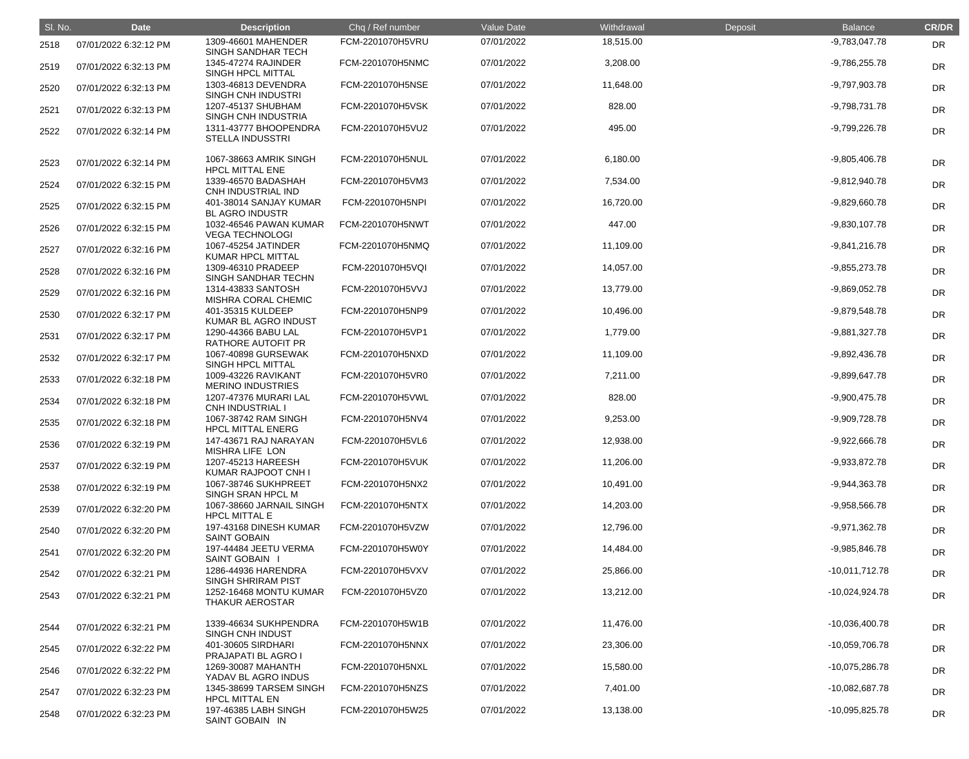| SI. No. | <b>Date</b>           | <b>Description</b>                                                    | Chq / Ref number | Value Date | Withdrawal | Deposit | <b>Balance</b>   | <b>CR/DR</b> |
|---------|-----------------------|-----------------------------------------------------------------------|------------------|------------|------------|---------|------------------|--------------|
| 2518    | 07/01/2022 6:32:12 PM | 1309-46601 MAHENDER                                                   | FCM-2201070H5VRU | 07/01/2022 | 18,515.00  |         | $-9,783,047.78$  | <b>DR</b>    |
| 2519    | 07/01/2022 6:32:13 PM | <b>SINGH SANDHAR TECH</b><br>1345-47274 RAJINDER<br>SINGH HPCL MITTAL | FCM-2201070H5NMC | 07/01/2022 | 3,208.00   |         | $-9,786,255.78$  | <b>DR</b>    |
| 2520    | 07/01/2022 6:32:13 PM | 1303-46813 DEVENDRA<br>SINGH CNH INDUSTRI                             | FCM-2201070H5NSE | 07/01/2022 | 11,648.00  |         | $-9,797,903.78$  | <b>DR</b>    |
| 2521    | 07/01/2022 6:32:13 PM | 1207-45137 SHUBHAM<br>SINGH CNH INDUSTRIA                             | FCM-2201070H5VSK | 07/01/2022 | 828.00     |         | $-9,798,731.78$  | DR           |
| 2522    | 07/01/2022 6:32:14 PM | 1311-43777 BHOOPENDRA<br><b>STELLA INDUSSTRI</b>                      | FCM-2201070H5VU2 | 07/01/2022 | 495.00     |         | $-9,799,226.78$  | DR           |
| 2523    | 07/01/2022 6:32:14 PM | 1067-38663 AMRIK SINGH<br><b>HPCL MITTAL ENE</b>                      | FCM-2201070H5NUL | 07/01/2022 | 6,180.00   |         | $-9,805,406.78$  | <b>DR</b>    |
| 2524    | 07/01/2022 6:32:15 PM | 1339-46570 BADASHAH<br>CNH INDUSTRIAL IND                             | FCM-2201070H5VM3 | 07/01/2022 | 7,534.00   |         | $-9,812,940.78$  | <b>DR</b>    |
| 2525    | 07/01/2022 6:32:15 PM | 401-38014 SANJAY KUMAR<br><b>BL AGRO INDUSTR</b>                      | FCM-2201070H5NPI | 07/01/2022 | 16,720.00  |         | $-9,829,660.78$  | <b>DR</b>    |
| 2526    | 07/01/2022 6:32:15 PM | 1032-46546 PAWAN KUMAR<br><b>VEGA TECHNOLOGI</b>                      | FCM-2201070H5NWT | 07/01/2022 | 447.00     |         | $-9,830,107.78$  | <b>DR</b>    |
| 2527    | 07/01/2022 6:32:16 PM | 1067-45254 JATINDER<br><b>KUMAR HPCL MITTAL</b>                       | FCM-2201070H5NMQ | 07/01/2022 | 11,109.00  |         | $-9,841,216.78$  | <b>DR</b>    |
| 2528    | 07/01/2022 6:32:16 PM | 1309-46310 PRADEEP<br>SINGH SANDHAR TECHN                             | FCM-2201070H5VQI | 07/01/2022 | 14,057.00  |         | $-9,855,273.78$  | <b>DR</b>    |
| 2529    | 07/01/2022 6:32:16 PM | 1314-43833 SANTOSH<br>MISHRA CORAL CHEMIC                             | FCM-2201070H5VVJ | 07/01/2022 | 13,779.00  |         | $-9,869,052.78$  | <b>DR</b>    |
| 2530    | 07/01/2022 6:32:17 PM | 401-35315 KULDEEP<br>KUMAR BL AGRO INDUST                             | FCM-2201070H5NP9 | 07/01/2022 | 10,496.00  |         | $-9,879,548.78$  | <b>DR</b>    |
| 2531    | 07/01/2022 6:32:17 PM | 1290-44366 BABU LAL<br>RATHORE AUTOFIT PR                             | FCM-2201070H5VP1 | 07/01/2022 | 1,779.00   |         | $-9,881,327.78$  | <b>DR</b>    |
| 2532    | 07/01/2022 6:32:17 PM | 1067-40898 GURSEWAK<br>SINGH HPCL MITTAL                              | FCM-2201070H5NXD | 07/01/2022 | 11,109.00  |         | -9,892,436.78    | <b>DR</b>    |
| 2533    | 07/01/2022 6:32:18 PM | 1009-43226 RAVIKANT<br><b>MERINO INDUSTRIES</b>                       | FCM-2201070H5VR0 | 07/01/2022 | 7,211.00   |         | -9,899,647.78    | <b>DR</b>    |
| 2534    | 07/01/2022 6:32:18 PM | 1207-47376 MURARI LAL<br><b>CNH INDUSTRIAL</b>                        | FCM-2201070H5VWL | 07/01/2022 | 828.00     |         | $-9,900,475.78$  | DR           |
| 2535    | 07/01/2022 6:32:18 PM | 1067-38742 RAM SINGH<br><b>HPCL MITTAL ENERG</b>                      | FCM-2201070H5NV4 | 07/01/2022 | 9,253.00   |         | $-9,909,728.78$  | DR           |
| 2536    | 07/01/2022 6:32:19 PM | 147-43671 RAJ NARAYAN<br><b>MISHRA LIFE LON</b>                       | FCM-2201070H5VL6 | 07/01/2022 | 12,938.00  |         | $-9,922,666.78$  | <b>DR</b>    |
| 2537    | 07/01/2022 6:32:19 PM | 1207-45213 HAREESH<br>KUMAR RAJPOOT CNH I                             | FCM-2201070H5VUK | 07/01/2022 | 11,206.00  |         | $-9,933,872.78$  | <b>DR</b>    |
| 2538    | 07/01/2022 6:32:19 PM | 1067-38746 SUKHPREET<br>SINGH SRAN HPCL M                             | FCM-2201070H5NX2 | 07/01/2022 | 10,491.00  |         | $-9,944,363.78$  | <b>DR</b>    |
| 2539    | 07/01/2022 6:32:20 PM | 1067-38660 JARNAIL SINGH<br><b>HPCL MITTAL E</b>                      | FCM-2201070H5NTX | 07/01/2022 | 14,203.00  |         | $-9,958,566.78$  | <b>DR</b>    |
| 2540    | 07/01/2022 6:32:20 PM | 197-43168 DINESH KUMAR<br><b>SAINT GOBAIN</b>                         | FCM-2201070H5VZW | 07/01/2022 | 12,796.00  |         | $-9,971,362.78$  | <b>DR</b>    |
| 2541    | 07/01/2022 6:32:20 PM | 197-44484 JEETU VERMA<br><b>SAINT GOBAIN I</b>                        | FCM-2201070H5W0Y | 07/01/2022 | 14,484.00  |         | $-9,985,846.78$  | <b>DR</b>    |
| 2542    | 07/01/2022 6:32:21 PM | 1286-44936 HARENDRA<br><b>SINGH SHRIRAM PIST</b>                      | FCM-2201070H5VXV | 07/01/2022 | 25,866.00  |         | $-10,011,712.78$ | <b>DR</b>    |
| 2543    | 07/01/2022 6:32:21 PM | 1252-16468 MONTU KUMAR<br><b>THAKUR AEROSTAR</b>                      | FCM-2201070H5VZ0 | 07/01/2022 | 13,212.00  |         | -10,024,924.78   | <b>DR</b>    |
| 2544    | 07/01/2022 6:32:21 PM | 1339-46634 SUKHPENDRA<br>SINGH CNH INDUST                             | FCM-2201070H5W1B | 07/01/2022 | 11,476.00  |         | $-10,036,400.78$ | DR           |
| 2545    | 07/01/2022 6:32:22 PM | 401-30605 SIRDHARI<br>PRAJAPATI BL AGRO I                             | FCM-2201070H5NNX | 07/01/2022 | 23,306.00  |         | $-10,059,706.78$ | <b>DR</b>    |
| 2546    | 07/01/2022 6:32:22 PM | 1269-30087 MAHANTH<br>YADAV BL AGRO INDUS                             | FCM-2201070H5NXL | 07/01/2022 | 15,580.00  |         | $-10,075,286.78$ | <b>DR</b>    |
| 2547    | 07/01/2022 6:32:23 PM | 1345-38699 TARSEM SINGH<br><b>HPCL MITTAL EN</b>                      | FCM-2201070H5NZS | 07/01/2022 | 7,401.00   |         | $-10,082,687.78$ | <b>DR</b>    |
| 2548    | 07/01/2022 6:32:23 PM | 197-46385 LABH SINGH<br>SAINT GOBAIN IN                               | FCM-2201070H5W25 | 07/01/2022 | 13,138.00  |         | $-10,095,825.78$ | <b>DR</b>    |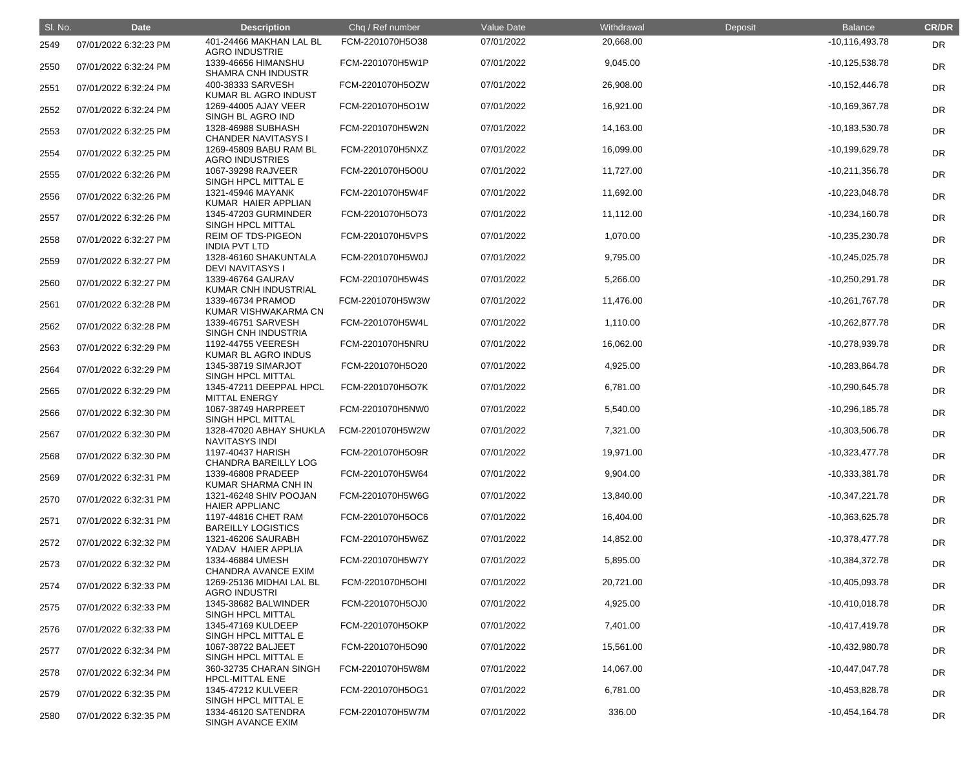| SI. No. | <b>Date</b>           | <b>Description</b>                                | Chq / Ref number | Value Date | Withdrawal | Deposit | <b>Balance</b>     | <b>CR/DR</b> |
|---------|-----------------------|---------------------------------------------------|------------------|------------|------------|---------|--------------------|--------------|
| 2549    | 07/01/2022 6:32:23 PM | 401-24466 MAKHAN LAL BL<br><b>AGRO INDUSTRIE</b>  | FCM-2201070H5O38 | 07/01/2022 | 20,668.00  |         | $-10, 116, 493.78$ | <b>DR</b>    |
| 2550    | 07/01/2022 6:32:24 PM | 1339-46656 HIMANSHU<br><b>SHAMRA CNH INDUSTR</b>  | FCM-2201070H5W1P | 07/01/2022 | 9,045.00   |         | $-10, 125, 538.78$ | <b>DR</b>    |
| 2551    | 07/01/2022 6:32:24 PM | 400-38333 SARVESH<br>KUMAR BL AGRO INDUST         | FCM-2201070H5OZW | 07/01/2022 | 26,908.00  |         | $-10, 152, 446.78$ | <b>DR</b>    |
| 2552    | 07/01/2022 6:32:24 PM | 1269-44005 AJAY VEER<br>SINGH BL AGRO IND         | FCM-2201070H5O1W | 07/01/2022 | 16,921.00  |         | $-10,169,367.78$   | <b>DR</b>    |
| 2553    | 07/01/2022 6:32:25 PM | 1328-46988 SUBHASH<br><b>CHANDER NAVITASYS I</b>  | FCM-2201070H5W2N | 07/01/2022 | 14,163.00  |         | $-10,183,530.78$   | <b>DR</b>    |
| 2554    | 07/01/2022 6:32:25 PM | 1269-45809 BABU RAM BL<br><b>AGRO INDUSTRIES</b>  | FCM-2201070H5NXZ | 07/01/2022 | 16,099.00  |         | $-10,199,629.78$   | <b>DR</b>    |
| 2555    | 07/01/2022 6:32:26 PM | 1067-39298 RAJVEER<br>SINGH HPCL MITTAL E         | FCM-2201070H5O0U | 07/01/2022 | 11,727.00  |         | $-10,211,356.78$   | <b>DR</b>    |
| 2556    | 07/01/2022 6:32:26 PM | 1321-45946 MAYANK<br>KUMAR HAIER APPLIAN          | FCM-2201070H5W4F | 07/01/2022 | 11,692.00  |         | $-10,223,048.78$   | <b>DR</b>    |
| 2557    | 07/01/2022 6:32:26 PM | 1345-47203 GURMINDER<br>SINGH HPCL MITTAL         | FCM-2201070H5O73 | 07/01/2022 | 11,112.00  |         | $-10,234,160.78$   | <b>DR</b>    |
| 2558    | 07/01/2022 6:32:27 PM | <b>REIM OF TDS-PIGEON</b><br><b>INDIA PVT LTD</b> | FCM-2201070H5VPS | 07/01/2022 | 1,070.00   |         | $-10,235,230.78$   | DR           |
| 2559    | 07/01/2022 6:32:27 PM | 1328-46160 SHAKUNTALA<br><b>DEVI NAVITASYS I</b>  | FCM-2201070H5W0J | 07/01/2022 | 9,795.00   |         | $-10,245,025.78$   | <b>DR</b>    |
| 2560    | 07/01/2022 6:32:27 PM | 1339-46764 GAURAV<br>KUMAR CNH INDUSTRIAL         | FCM-2201070H5W4S | 07/01/2022 | 5,266.00   |         | $-10,250,291.78$   | <b>DR</b>    |
| 2561    | 07/01/2022 6:32:28 PM | 1339-46734 PRAMOD<br>KUMAR VISHWAKARMA CN         | FCM-2201070H5W3W | 07/01/2022 | 11,476.00  |         | $-10,261,767.78$   | <b>DR</b>    |
| 2562    | 07/01/2022 6:32:28 PM | 1339-46751 SARVESH<br>SINGH CNH INDUSTRIA         | FCM-2201070H5W4L | 07/01/2022 | 1,110.00   |         | $-10,262,877.78$   | DR           |
| 2563    | 07/01/2022 6:32:29 PM | 1192-44755 VEERESH<br>KUMAR BL AGRO INDUS         | FCM-2201070H5NRU | 07/01/2022 | 16,062.00  |         | -10,278,939.78     | <b>DR</b>    |
| 2564    | 07/01/2022 6:32:29 PM | 1345-38719 SIMARJOT<br>SINGH HPCL MITTAL          | FCM-2201070H5O20 | 07/01/2022 | 4,925.00   |         | $-10,283,864.78$   | <b>DR</b>    |
| 2565    | 07/01/2022 6:32:29 PM | 1345-47211 DEEPPAL HPCL<br><b>MITTAL ENERGY</b>   | FCM-2201070H5O7K | 07/01/2022 | 6,781.00   |         | $-10,290,645.78$   | <b>DR</b>    |
| 2566    | 07/01/2022 6:32:30 PM | 1067-38749 HARPREET<br>SINGH HPCL MITTAL          | FCM-2201070H5NW0 | 07/01/2022 | 5,540.00   |         | -10,296,185.78     | <b>DR</b>    |
| 2567    | 07/01/2022 6:32:30 PM | 1328-47020 ABHAY SHUKLA<br><b>NAVITASYS INDI</b>  | FCM-2201070H5W2W | 07/01/2022 | 7,321.00   |         | $-10,303,506.78$   | <b>DR</b>    |
| 2568    | 07/01/2022 6:32:30 PM | 1197-40437 HARISH<br><b>CHANDRA BAREILLY LOG</b>  | FCM-2201070H5O9R | 07/01/2022 | 19,971.00  |         | $-10,323,477.78$   | <b>DR</b>    |
| 2569    | 07/01/2022 6:32:31 PM | 1339-46808 PRADEEP<br>KUMAR SHARMA CNH IN         | FCM-2201070H5W64 | 07/01/2022 | 9,904.00   |         | $-10,333,381.78$   | <b>DR</b>    |
| 2570    | 07/01/2022 6:32:31 PM | 1321-46248 SHIV POOJAN<br><b>HAIER APPLIANC</b>   | FCM-2201070H5W6G | 07/01/2022 | 13,840.00  |         | $-10,347,221.78$   | <b>DR</b>    |
| 2571    | 07/01/2022 6:32:31 PM | 1197-44816 CHET RAM<br><b>BAREILLY LOGISTICS</b>  | FCM-2201070H5OC6 | 07/01/2022 | 16,404.00  |         | $-10,363,625.78$   | <b>DR</b>    |
| 2572    | 07/01/2022 6:32:32 PM | 1321-46206 SAURABH<br>YADAV HAIER APPLIA          | FCM-2201070H5W6Z | 07/01/2022 | 14,852.00  |         | $-10,378,477.78$   | <b>DR</b>    |
| 2573    | 07/01/2022 6:32:32 PM | 1334-46884 UMESH<br>CHANDRA AVANCE EXIM           | FCM-2201070H5W7Y | 07/01/2022 | 5,895.00   |         | $-10,384,372.78$   | <b>DR</b>    |
| 2574    | 07/01/2022 6:32:33 PM | 1269-25136 MIDHAI LAL BL<br><b>AGRO INDUSTRI</b>  | FCM-2201070H5OHI | 07/01/2022 | 20,721.00  |         | $-10,405,093.78$   | <b>DR</b>    |
| 2575    | 07/01/2022 6:32:33 PM | 1345-38682 BALWINDER<br>SINGH HPCL MITTAL         | FCM-2201070H5OJ0 | 07/01/2022 | 4,925.00   |         | $-10,410,018.78$   | <b>DR</b>    |
| 2576    | 07/01/2022 6:32:33 PM | 1345-47169 KULDEEP<br>SINGH HPCL MITTAL E         | FCM-2201070H5OKP | 07/01/2022 | 7,401.00   |         | $-10,417,419.78$   | <b>DR</b>    |
| 2577    | 07/01/2022 6:32:34 PM | 1067-38722 BALJEET<br>SINGH HPCL MITTAL E         | FCM-2201070H5O90 | 07/01/2022 | 15,561.00  |         | $-10,432,980.78$   | <b>DR</b>    |
| 2578    | 07/01/2022 6:32:34 PM | 360-32735 CHARAN SINGH<br><b>HPCL-MITTAL ENE</b>  | FCM-2201070H5W8M | 07/01/2022 | 14,067.00  |         | $-10,447,047.78$   | <b>DR</b>    |
| 2579    | 07/01/2022 6:32:35 PM | 1345-47212 KULVEER<br>SINGH HPCL MITTAL E         | FCM-2201070H5OG1 | 07/01/2022 | 6,781.00   |         | $-10,453,828.78$   | <b>DR</b>    |
| 2580    | 07/01/2022 6:32:35 PM | 1334-46120 SATENDRA<br>SINGH AVANCE EXIM          | FCM-2201070H5W7M | 07/01/2022 | 336.00     |         | $-10,454,164.78$   | <b>DR</b>    |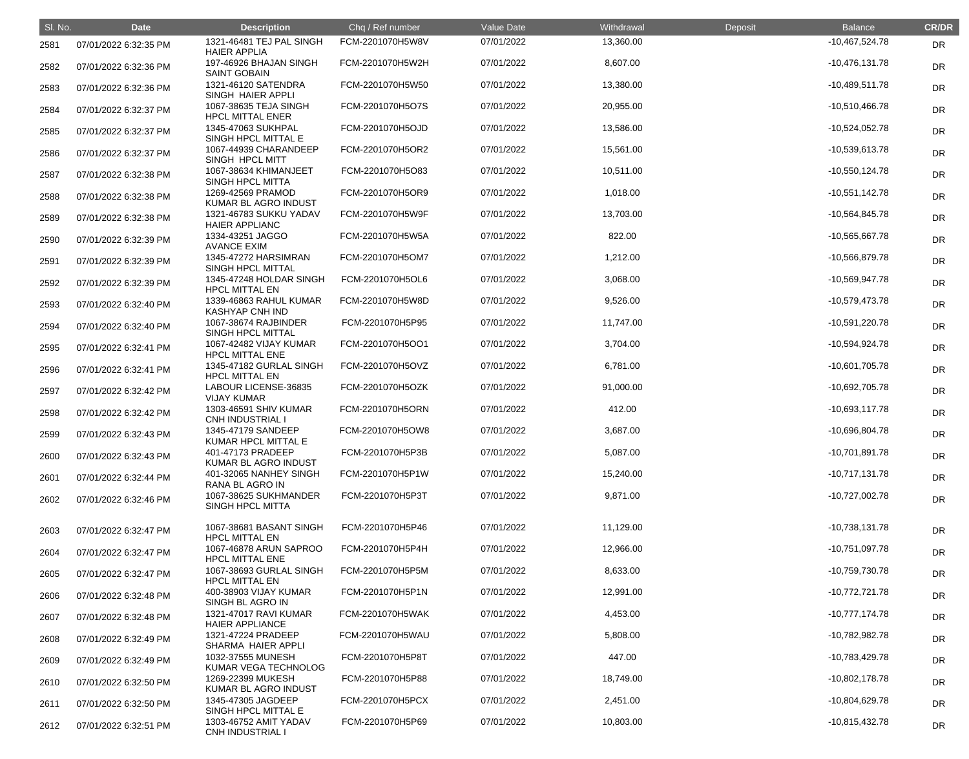| SI. No. | <b>Date</b>           | <b>Description</b>                               | Chq / Ref number | Value Date | Withdrawal | Deposit | <b>Balance</b>   | <b>CR/DR</b> |
|---------|-----------------------|--------------------------------------------------|------------------|------------|------------|---------|------------------|--------------|
| 2581    | 07/01/2022 6:32:35 PM | 1321-46481 TEJ PAL SINGH<br><b>HAIER APPLIA</b>  | FCM-2201070H5W8V | 07/01/2022 | 13,360.00  |         | $-10,467,524.78$ | <b>DR</b>    |
| 2582    | 07/01/2022 6:32:36 PM | 197-46926 BHAJAN SINGH<br><b>SAINT GOBAIN</b>    | FCM-2201070H5W2H | 07/01/2022 | 8,607.00   |         | $-10,476,131.78$ | <b>DR</b>    |
| 2583    | 07/01/2022 6:32:36 PM | 1321-46120 SATENDRA<br>SINGH HAIER APPLI         | FCM-2201070H5W50 | 07/01/2022 | 13,380.00  |         | $-10,489,511.78$ | DR           |
| 2584    | 07/01/2022 6:32:37 PM | 1067-38635 TEJA SINGH<br><b>HPCL MITTAL ENER</b> | FCM-2201070H5O7S | 07/01/2022 | 20,955.00  |         | $-10,510,466.78$ | DR           |
| 2585    | 07/01/2022 6:32:37 PM | 1345-47063 SUKHPAL<br>SINGH HPCL MITTAL E        | FCM-2201070H5OJD | 07/01/2022 | 13,586.00  |         | $-10,524,052.78$ | <b>DR</b>    |
| 2586    | 07/01/2022 6:32:37 PM | 1067-44939 CHARANDEEP<br>SINGH HPCL MITT         | FCM-2201070H5OR2 | 07/01/2022 | 15,561.00  |         | $-10,539,613.78$ | <b>DR</b>    |
| 2587    | 07/01/2022 6:32:38 PM | 1067-38634 KHIMANJEET<br>SINGH HPCL MITTA        | FCM-2201070H5O83 | 07/01/2022 | 10,511.00  |         | $-10,550,124.78$ | DR           |
| 2588    | 07/01/2022 6:32:38 PM | 1269-42569 PRAMOD<br>KUMAR BL AGRO INDUST        | FCM-2201070H5OR9 | 07/01/2022 | 1,018.00   |         | $-10,551,142.78$ | DR           |
| 2589    | 07/01/2022 6:32:38 PM | 1321-46783 SUKKU YADAV<br><b>HAIER APPLIANC</b>  | FCM-2201070H5W9F | 07/01/2022 | 13,703.00  |         | $-10,564,845.78$ | <b>DR</b>    |
| 2590    | 07/01/2022 6:32:39 PM | 1334-43251 JAGGO<br><b>AVANCE EXIM</b>           | FCM-2201070H5W5A | 07/01/2022 | 822.00     |         | -10,565,667.78   | DR           |
| 2591    | 07/01/2022 6:32:39 PM | 1345-47272 HARSIMRAN<br>SINGH HPCL MITTAL        | FCM-2201070H5OM7 | 07/01/2022 | 1,212.00   |         | -10,566,879.78   | DR           |
| 2592    | 07/01/2022 6:32:39 PM | 1345-47248 HOLDAR SINGH<br><b>HPCL MITTAL EN</b> | FCM-2201070H5OL6 | 07/01/2022 | 3,068.00   |         | $-10,569,947.78$ | DR           |
| 2593    | 07/01/2022 6:32:40 PM | 1339-46863 RAHUL KUMAR<br><b>KASHYAP CNH IND</b> | FCM-2201070H5W8D | 07/01/2022 | 9,526.00   |         | -10,579,473.78   | <b>DR</b>    |
| 2594    | 07/01/2022 6:32:40 PM | 1067-38674 RAJBINDER<br>SINGH HPCL MITTAL        | FCM-2201070H5P95 | 07/01/2022 | 11,747.00  |         | -10,591,220.78   | DR           |
| 2595    | 07/01/2022 6:32:41 PM | 1067-42482 VIJAY KUMAR<br><b>HPCL MITTAL ENE</b> | FCM-2201070H5OO1 | 07/01/2022 | 3,704.00   |         | $-10,594,924.78$ | DR           |
| 2596    | 07/01/2022 6:32:41 PM | 1345-47182 GURLAL SINGH<br><b>HPCL MITTAL EN</b> | FCM-2201070H5OVZ | 07/01/2022 | 6,781.00   |         | -10,601,705.78   | <b>DR</b>    |
| 2597    | 07/01/2022 6:32:42 PM | LABOUR LICENSE-36835<br><b>VIJAY KUMAR</b>       | FCM-2201070H5OZK | 07/01/2022 | 91,000.00  |         | $-10,692,705.78$ | <b>DR</b>    |
| 2598    | 07/01/2022 6:32:42 PM | 1303-46591 SHIV KUMAR<br><b>CNH INDUSTRIAL I</b> | FCM-2201070H5ORN | 07/01/2022 | 412.00     |         | $-10,693,117.78$ | <b>DR</b>    |
| 2599    | 07/01/2022 6:32:43 PM | 1345-47179 SANDEEP<br>KUMAR HPCL MITTAL E        | FCM-2201070H5OW8 | 07/01/2022 | 3,687.00   |         | -10,696,804.78   | <b>DR</b>    |
| 2600    | 07/01/2022 6:32:43 PM | 401-47173 PRADEEP<br>KUMAR BL AGRO INDUST        | FCM-2201070H5P3B | 07/01/2022 | 5,087.00   |         | $-10,701,891.78$ | <b>DR</b>    |
| 2601    | 07/01/2022 6:32:44 PM | 401-32065 NANHEY SINGH<br>RANA BL AGRO IN        | FCM-2201070H5P1W | 07/01/2022 | 15,240.00  |         | $-10,717,131.78$ | <b>DR</b>    |
| 2602    | 07/01/2022 6:32:46 PM | 1067-38625 SUKHMANDER<br>SINGH HPCL MITTA        | FCM-2201070H5P3T | 07/01/2022 | 9,871.00   |         | $-10,727,002.78$ | <b>DR</b>    |
| 2603    | 07/01/2022 6:32:47 PM | 1067-38681 BASANT SINGH<br><b>HPCL MITTAL EN</b> | FCM-2201070H5P46 | 07/01/2022 | 11,129.00  |         | $-10,738,131.78$ | <b>DR</b>    |
| 2604    | 07/01/2022 6:32:47 PM | 1067-46878 ARUN SAPROO<br><b>HPCL MITTAL ENE</b> | FCM-2201070H5P4H | 07/01/2022 | 12,966.00  |         | -10,751,097.78   | <b>DR</b>    |
| 2605    | 07/01/2022 6:32:47 PM | 1067-38693 GURLAL SINGH<br><b>HPCL MITTAL EN</b> | FCM-2201070H5P5M | 07/01/2022 | 8,633.00   |         | -10,759,730.78   | <b>DR</b>    |
| 2606    | 07/01/2022 6:32:48 PM | 400-38903 VIJAY KUMAR<br>SINGH BL AGRO IN        | FCM-2201070H5P1N | 07/01/2022 | 12,991.00  |         | $-10,772,721.78$ | <b>DR</b>    |
| 2607    | 07/01/2022 6:32:48 PM | 1321-47017 RAVI KUMAR<br><b>HAIER APPLIANCE</b>  | FCM-2201070H5WAK | 07/01/2022 | 4,453.00   |         | $-10,777,174.78$ | <b>DR</b>    |
| 2608    | 07/01/2022 6:32:49 PM | 1321-47224 PRADEEP<br>SHARMA HAIER APPLI         | FCM-2201070H5WAU | 07/01/2022 | 5,808.00   |         | -10,782,982.78   | <b>DR</b>    |
| 2609    | 07/01/2022 6:32:49 PM | 1032-37555 MUNESH<br>KUMAR VEGA TECHNOLOG        | FCM-2201070H5P8T | 07/01/2022 | 447.00     |         | -10,783,429.78   | <b>DR</b>    |
| 2610    | 07/01/2022 6:32:50 PM | 1269-22399 MUKESH<br>KUMAR BL AGRO INDUST        | FCM-2201070H5P88 | 07/01/2022 | 18,749.00  |         | $-10,802,178.78$ | <b>DR</b>    |
| 2611    | 07/01/2022 6:32:50 PM | 1345-47305 JAGDEEP<br>SINGH HPCL MITTAL E        | FCM-2201070H5PCX | 07/01/2022 | 2,451.00   |         | $-10,804,629.78$ | <b>DR</b>    |
| 2612    | 07/01/2022 6:32:51 PM | 1303-46752 AMIT YADAV<br><b>CNH INDUSTRIAL I</b> | FCM-2201070H5P69 | 07/01/2022 | 10,803.00  |         | $-10,815,432.78$ | <b>DR</b>    |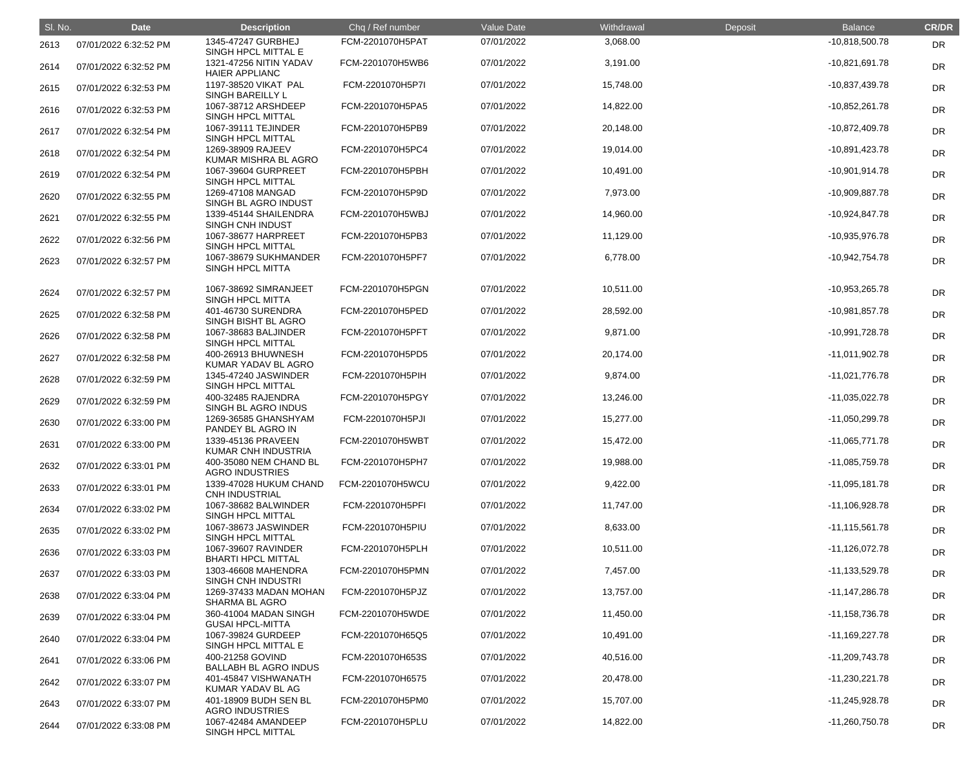| SI. No. | <b>Date</b>           | <b>Description</b>                               | Chq / Ref number | Value Date | Withdrawal | Deposit | <b>Balance</b>     | <b>CR/DR</b> |
|---------|-----------------------|--------------------------------------------------|------------------|------------|------------|---------|--------------------|--------------|
| 2613    | 07/01/2022 6:32:52 PM | 1345-47247 GURBHEJ<br>SINGH HPCL MITTAL E        | FCM-2201070H5PAT | 07/01/2022 | 3,068.00   |         | $-10,818,500.78$   | <b>DR</b>    |
| 2614    | 07/01/2022 6:32:52 PM | 1321-47256 NITIN YADAV<br><b>HAIER APPLIANC</b>  | FCM-2201070H5WB6 | 07/01/2022 | 3,191.00   |         | $-10,821,691.78$   | <b>DR</b>    |
| 2615    | 07/01/2022 6:32:53 PM | 1197-38520 VIKAT PAL<br><b>SINGH BAREILLY L</b>  | FCM-2201070H5P7I | 07/01/2022 | 15,748.00  |         | -10,837,439.78     | <b>DR</b>    |
| 2616    | 07/01/2022 6:32:53 PM | 1067-38712 ARSHDEEP<br>SINGH HPCL MITTAL         | FCM-2201070H5PA5 | 07/01/2022 | 14,822.00  |         | $-10,852,261.78$   | <b>DR</b>    |
| 2617    | 07/01/2022 6:32:54 PM | 1067-39111 TEJINDER<br>SINGH HPCL MITTAL         | FCM-2201070H5PB9 | 07/01/2022 | 20,148.00  |         | $-10,872,409.78$   | DR           |
| 2618    | 07/01/2022 6:32:54 PM | 1269-38909 RAJEEV<br>KUMAR MISHRA BL AGRO        | FCM-2201070H5PC4 | 07/01/2022 | 19,014.00  |         | -10,891,423.78     | DR           |
| 2619    | 07/01/2022 6:32:54 PM | 1067-39604 GURPREET<br>SINGH HPCL MITTAL         | FCM-2201070H5PBH | 07/01/2022 | 10,491.00  |         | $-10,901,914.78$   | DR           |
| 2620    | 07/01/2022 6:32:55 PM | 1269-47108 MANGAD<br>SINGH BL AGRO INDUST        | FCM-2201070H5P9D | 07/01/2022 | 7,973.00   |         | -10,909,887.78     | <b>DR</b>    |
| 2621    | 07/01/2022 6:32:55 PM | 1339-45144 SHAILENDRA<br><b>SINGH CNH INDUST</b> | FCM-2201070H5WBJ | 07/01/2022 | 14,960.00  |         | $-10,924,847.78$   | <b>DR</b>    |
| 2622    | 07/01/2022 6:32:56 PM | 1067-38677 HARPREET<br><b>SINGH HPCL MITTAL</b>  | FCM-2201070H5PB3 | 07/01/2022 | 11,129.00  |         | -10,935,976.78     | DR           |
| 2623    | 07/01/2022 6:32:57 PM | 1067-38679 SUKHMANDER<br><b>SINGH HPCL MITTA</b> | FCM-2201070H5PF7 | 07/01/2022 | 6,778.00   |         | -10,942,754.78     | DR           |
| 2624    | 07/01/2022 6:32:57 PM | 1067-38692 SIMRANJEET<br>SINGH HPCL MITTA        | FCM-2201070H5PGN | 07/01/2022 | 10,511.00  |         | $-10,953,265.78$   | DR           |
| 2625    | 07/01/2022 6:32:58 PM | 401-46730 SURENDRA<br>SINGH BISHT BL AGRO        | FCM-2201070H5PED | 07/01/2022 | 28,592.00  |         | $-10,981,857.78$   | DR           |
| 2626    | 07/01/2022 6:32:58 PM | 1067-38683 BALJINDER<br>SINGH HPCL MITTAL        | FCM-2201070H5PFT | 07/01/2022 | 9,871.00   |         | -10,991,728.78     | DR           |
| 2627    | 07/01/2022 6:32:58 PM | 400-26913 BHUWNESH<br>KUMAR YADAV BL AGRO        | FCM-2201070H5PD5 | 07/01/2022 | 20,174.00  |         | $-11,011,902.78$   | DR           |
| 2628    | 07/01/2022 6:32:59 PM | 1345-47240 JASWINDER<br>SINGH HPCL MITTAL        | FCM-2201070H5PIH | 07/01/2022 | 9,874.00   |         | $-11,021,776.78$   | <b>DR</b>    |
| 2629    | 07/01/2022 6:32:59 PM | 400-32485 RAJENDRA<br>SINGH BL AGRO INDUS        | FCM-2201070H5PGY | 07/01/2022 | 13,246.00  |         | $-11,035,022.78$   | <b>DR</b>    |
| 2630    | 07/01/2022 6:33:00 PM | 1269-36585 GHANSHYAM<br>PANDEY BL AGRO IN        | FCM-2201070H5PJI | 07/01/2022 | 15,277.00  |         | $-11,050,299.78$   | DR           |
| 2631    | 07/01/2022 6:33:00 PM | 1339-45136 PRAVEEN<br>KUMAR CNH INDUSTRIA        | FCM-2201070H5WBT | 07/01/2022 | 15,472.00  |         | $-11,065,771.78$   | DR           |
| 2632    | 07/01/2022 6:33:01 PM | 400-35080 NEM CHAND BL<br><b>AGRO INDUSTRIES</b> | FCM-2201070H5PH7 | 07/01/2022 | 19,988.00  |         | $-11,085,759.78$   | <b>DR</b>    |
| 2633    | 07/01/2022 6:33:01 PM | 1339-47028 HUKUM CHAND<br><b>CNH INDUSTRIAL</b>  | FCM-2201070H5WCU | 07/01/2022 | 9,422.00   |         | $-11,095,181.78$   | <b>DR</b>    |
| 2634    | 07/01/2022 6:33:02 PM | 1067-38682 BALWINDER<br>SINGH HPCL MITTAL        | FCM-2201070H5PFI | 07/01/2022 | 11,747.00  |         | $-11,106,928.78$   | <b>DR</b>    |
| 2635    | 07/01/2022 6:33:02 PM | 1067-38673 JASWINDER<br>SINGH HPCL MITTAL        | FCM-2201070H5PIU | 07/01/2022 | 8,633.00   |         | $-11, 115, 561.78$ | <b>DR</b>    |
| 2636    | 07/01/2022 6:33:03 PM | 1067-39607 RAVINDER<br><b>BHARTI HPCL MITTAL</b> | FCM-2201070H5PLH | 07/01/2022 | 10,511.00  |         | $-11,126,072.78$   | <b>DR</b>    |
| 2637    | 07/01/2022 6:33:03 PM | 1303-46608 MAHENDRA<br>SINGH CNH INDUSTRI        | FCM-2201070H5PMN | 07/01/2022 | 7,457.00   |         | $-11,133,529.78$   | <b>DR</b>    |
| 2638    | 07/01/2022 6:33:04 PM | 1269-37433 MADAN MOHAN<br><b>SHARMA BL AGRO</b>  | FCM-2201070H5PJZ | 07/01/2022 | 13,757.00  |         | $-11,147,286.78$   | <b>DR</b>    |
| 2639    | 07/01/2022 6:33:04 PM | 360-41004 MADAN SINGH<br><b>GUSAI HPCL-MITTA</b> | FCM-2201070H5WDE | 07/01/2022 | 11,450.00  |         | $-11,158,736.78$   | <b>DR</b>    |
| 2640    | 07/01/2022 6:33:04 PM | 1067-39824 GURDEEP<br>SINGH HPCL MITTAL E        | FCM-2201070H65Q5 | 07/01/2022 | 10,491.00  |         | $-11,169,227.78$   | <b>DR</b>    |
| 2641    | 07/01/2022 6:33:06 PM | 400-21258 GOVIND<br><b>BALLABH BL AGRO INDUS</b> | FCM-2201070H653S | 07/01/2022 | 40,516.00  |         | $-11,209,743.78$   | <b>DR</b>    |
| 2642    | 07/01/2022 6:33:07 PM | 401-45847 VISHWANATH<br>KUMAR YADAV BL AG        | FCM-2201070H6575 | 07/01/2022 | 20,478.00  |         | $-11,230,221.78$   | <b>DR</b>    |
| 2643    | 07/01/2022 6:33:07 PM | 401-18909 BUDH SEN BL<br><b>AGRO INDUSTRIES</b>  | FCM-2201070H5PM0 | 07/01/2022 | 15,707.00  |         | $-11,245,928.78$   | <b>DR</b>    |
| 2644    | 07/01/2022 6:33:08 PM | 1067-42484 AMANDEEP<br>SINGH HPCL MITTAL         | FCM-2201070H5PLU | 07/01/2022 | 14,822.00  |         | $-11,260,750.78$   | <b>DR</b>    |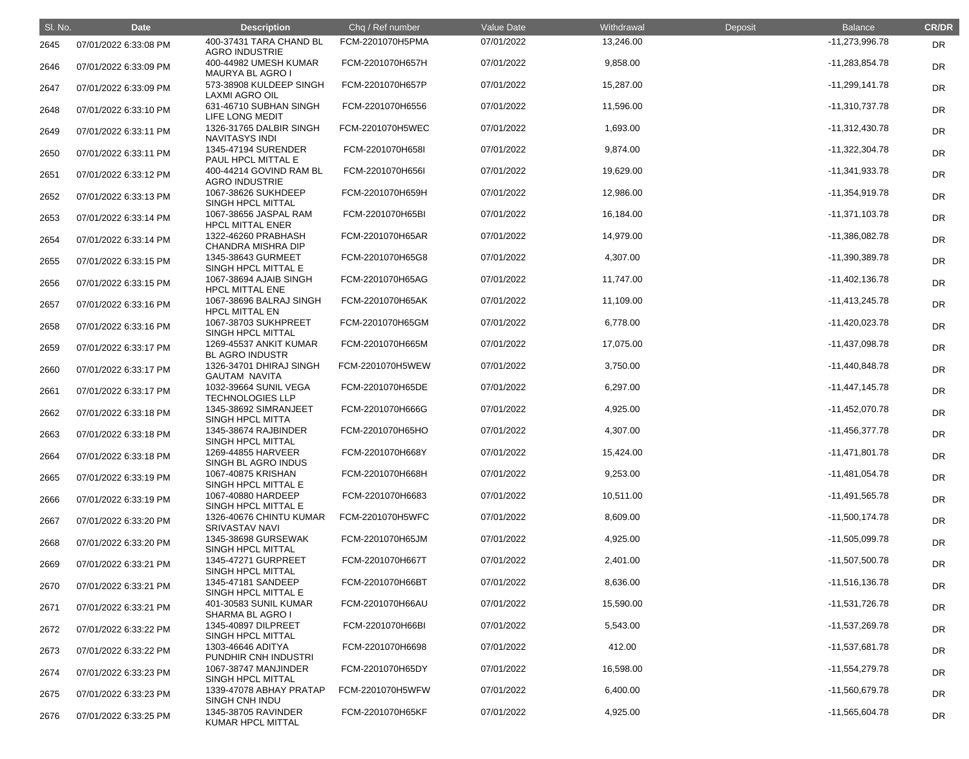| SI. No. | <b>Date</b>           | <b>Description</b>                               | Chq / Ref number | Value Date | Withdrawal | Deposit | <b>Balance</b>   | <b>CR/DR</b> |
|---------|-----------------------|--------------------------------------------------|------------------|------------|------------|---------|------------------|--------------|
| 2645    | 07/01/2022 6:33:08 PM | 400-37431 TARA CHAND BL<br><b>AGRO INDUSTRIE</b> | FCM-2201070H5PMA | 07/01/2022 | 13,246.00  |         | $-11,273,996.78$ | <b>DR</b>    |
| 2646    | 07/01/2022 6:33:09 PM | 400-44982 UMESH KUMAR<br><b>MAURYA BL AGRO I</b> | FCM-2201070H657H | 07/01/2022 | 9,858.00   |         | $-11,283,854.78$ | <b>DR</b>    |
| 2647    | 07/01/2022 6:33:09 PM | 573-38908 KULDEEP SINGH<br>LAXMI AGRO OIL        | FCM-2201070H657P | 07/01/2022 | 15,287.00  |         | $-11,299,141.78$ | <b>DR</b>    |
| 2648    | 07/01/2022 6:33:10 PM | 631-46710 SUBHAN SINGH<br>LIFE LONG MEDIT        | FCM-2201070H6556 | 07/01/2022 | 11,596.00  |         | $-11,310,737.78$ | DR           |
| 2649    | 07/01/2022 6:33:11 PM | 1326-31765 DALBIR SINGH<br><b>NAVITASYS INDI</b> | FCM-2201070H5WEC | 07/01/2022 | 1,693.00   |         | $-11,312,430.78$ | <b>DR</b>    |
| 2650    | 07/01/2022 6:33:11 PM | 1345-47194 SURENDER<br>PAUL HPCL MITTAL E        | FCM-2201070H658I | 07/01/2022 | 9,874.00   |         | $-11,322,304.78$ | <b>DR</b>    |
| 2651    | 07/01/2022 6:33:12 PM | 400-44214 GOVIND RAM BL<br><b>AGRO INDUSTRIE</b> | FCM-2201070H656I | 07/01/2022 | 19,629.00  |         | $-11,341,933.78$ | <b>DR</b>    |
| 2652    | 07/01/2022 6:33:13 PM | 1067-38626 SUKHDEEP<br>SINGH HPCL MITTAL         | FCM-2201070H659H | 07/01/2022 | 12,986.00  |         | $-11,354,919.78$ | DR           |
| 2653    | 07/01/2022 6:33:14 PM | 1067-38656 JASPAL RAM<br><b>HPCL MITTAL ENER</b> | FCM-2201070H65BI | 07/01/2022 | 16,184.00  |         | $-11,371,103.78$ | <b>DR</b>    |
| 2654    | 07/01/2022 6:33:14 PM | 1322-46260 PRABHASH<br><b>CHANDRA MISHRA DIP</b> | FCM-2201070H65AR | 07/01/2022 | 14,979.00  |         | $-11,386,082.78$ | <b>DR</b>    |
| 2655    | 07/01/2022 6:33:15 PM | 1345-38643 GURMEET<br>SINGH HPCL MITTAL E        | FCM-2201070H65G8 | 07/01/2022 | 4,307.00   |         | -11,390,389.78   | <b>DR</b>    |
| 2656    | 07/01/2022 6:33:15 PM | 1067-38694 AJAIB SINGH<br><b>HPCL MITTAL ENE</b> | FCM-2201070H65AG | 07/01/2022 | 11,747.00  |         | $-11,402,136.78$ | DR           |
| 2657    | 07/01/2022 6:33:16 PM | 1067-38696 BALRAJ SINGH<br><b>HPCL MITTAL EN</b> | FCM-2201070H65AK | 07/01/2022 | 11,109.00  |         | $-11,413,245.78$ | DR           |
| 2658    | 07/01/2022 6:33:16 PM | 1067-38703 SUKHPREET<br>SINGH HPCL MITTAL        | FCM-2201070H65GM | 07/01/2022 | 6,778.00   |         | $-11,420,023.78$ | <b>DR</b>    |
| 2659    | 07/01/2022 6:33:17 PM | 1269-45537 ANKIT KUMAR<br><b>BL AGRO INDUSTR</b> | FCM-2201070H665M | 07/01/2022 | 17,075.00  |         | $-11,437,098.78$ | <b>DR</b>    |
| 2660    | 07/01/2022 6:33:17 PM | 1326-34701 DHIRAJ SINGH<br><b>GAUTAM NAVITA</b>  | FCM-2201070H5WEW | 07/01/2022 | 3,750.00   |         | $-11,440,848.78$ | <b>DR</b>    |
| 2661    | 07/01/2022 6:33:17 PM | 1032-39664 SUNIL VEGA<br><b>TECHNOLOGIES LLP</b> | FCM-2201070H65DE | 07/01/2022 | 6,297.00   |         | $-11,447,145.78$ | DR           |
| 2662    | 07/01/2022 6:33:18 PM | 1345-38692 SIMRANJEET<br><b>SINGH HPCL MITTA</b> | FCM-2201070H666G | 07/01/2022 | 4,925.00   |         | $-11,452,070.78$ | <b>DR</b>    |
| 2663    | 07/01/2022 6:33:18 PM | 1345-38674 RAJBINDER<br>SINGH HPCL MITTAL        | FCM-2201070H65HO | 07/01/2022 | 4,307.00   |         | $-11,456,377.78$ | <b>DR</b>    |
| 2664    | 07/01/2022 6:33:18 PM | 1269-44855 HARVEER<br>SINGH BL AGRO INDUS        | FCM-2201070H668Y | 07/01/2022 | 15,424.00  |         | $-11,471,801.78$ | <b>DR</b>    |
| 2665    | 07/01/2022 6:33:19 PM | 1067-40875 KRISHAN<br>SINGH HPCL MITTAL E        | FCM-2201070H668H | 07/01/2022 | 9,253.00   |         | $-11,481,054.78$ | <b>DR</b>    |
| 2666    | 07/01/2022 6:33:19 PM | 1067-40880 HARDEEP<br>SINGH HPCL MITTAL E        | FCM-2201070H6683 | 07/01/2022 | 10,511.00  |         | $-11,491,565.78$ | <b>DR</b>    |
| 2667    | 07/01/2022 6:33:20 PM | 1326-40676 CHINTU KUMAR<br><b>SRIVASTAV NAVI</b> | FCM-2201070H5WFC | 07/01/2022 | 8,609.00   |         | $-11,500,174.78$ | <b>DR</b>    |
| 2668    | 07/01/2022 6:33:20 PM | 1345-38698 GURSEWAK<br>SINGH HPCL MITTAL         | FCM-2201070H65JM | 07/01/2022 | 4,925.00   |         | $-11,505,099.78$ | <b>DR</b>    |
| 2669    | 07/01/2022 6:33:21 PM | 1345-47271 GURPREET<br>SINGH HPCL MITTAL         | FCM-2201070H667T | 07/01/2022 | 2,401.00   |         | $-11,507,500.78$ | <b>DR</b>    |
| 2670    | 07/01/2022 6:33:21 PM | 1345-47181 SANDEEP<br>SINGH HPCL MITTAL E        | FCM-2201070H66BT | 07/01/2022 | 8,636.00   |         | $-11,516,136.78$ | <b>DR</b>    |
| 2671    | 07/01/2022 6:33:21 PM | 401-30583 SUNIL KUMAR<br><b>SHARMA BL AGRO I</b> | FCM-2201070H66AU | 07/01/2022 | 15,590.00  |         | $-11,531,726.78$ | <b>DR</b>    |
| 2672    | 07/01/2022 6:33:22 PM | 1345-40897 DILPREET<br>SINGH HPCL MITTAL         | FCM-2201070H66BI | 07/01/2022 | 5,543.00   |         | -11,537,269.78   | <b>DR</b>    |
| 2673    | 07/01/2022 6:33:22 PM | 1303-46646 ADITYA<br>PUNDHIR CNH INDUSTRI        | FCM-2201070H6698 | 07/01/2022 | 412.00     |         | $-11,537,681.78$ | <b>DR</b>    |
| 2674    | 07/01/2022 6:33:23 PM | 1067-38747 MANJINDER<br>SINGH HPCL MITTAL        | FCM-2201070H65DY | 07/01/2022 | 16,598.00  |         | $-11,554,279.78$ | <b>DR</b>    |
| 2675    | 07/01/2022 6:33:23 PM | 1339-47078 ABHAY PRATAP<br>SINGH CNH INDU        | FCM-2201070H5WFW | 07/01/2022 | 6,400.00   |         | $-11,560,679.78$ | <b>DR</b>    |
| 2676    | 07/01/2022 6:33:25 PM | 1345-38705 RAVINDER<br>KUMAR HPCL MITTAL         | FCM-2201070H65KF | 07/01/2022 | 4,925.00   |         | $-11,565,604.78$ | <b>DR</b>    |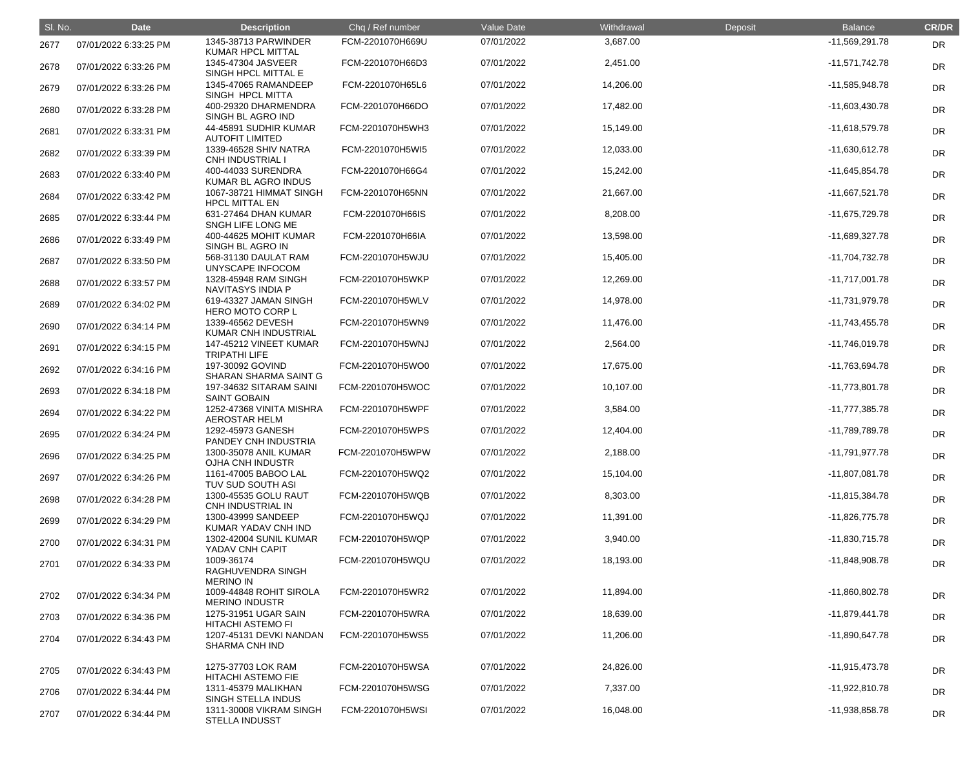| SI. No. | <b>Date</b>           | <b>Description</b>                                  | Chq / Ref number | Value Date | Withdrawal | Deposit | <b>Balance</b>   | <b>CR/DR</b> |
|---------|-----------------------|-----------------------------------------------------|------------------|------------|------------|---------|------------------|--------------|
| 2677    | 07/01/2022 6:33:25 PM | 1345-38713 PARWINDER<br><b>KUMAR HPCL MITTAL</b>    | FCM-2201070H669U | 07/01/2022 | 3,687.00   |         | $-11,569,291.78$ | <b>DR</b>    |
| 2678    | 07/01/2022 6:33:26 PM | 1345-47304 JASVEER<br>SINGH HPCL MITTAL E           | FCM-2201070H66D3 | 07/01/2022 | 2,451.00   |         | $-11,571,742.78$ | <b>DR</b>    |
| 2679    | 07/01/2022 6:33:26 PM | 1345-47065 RAMANDEEP<br>SINGH HPCL MITTA            | FCM-2201070H65L6 | 07/01/2022 | 14,206.00  |         | $-11,585,948.78$ | <b>DR</b>    |
| 2680    | 07/01/2022 6:33:28 PM | 400-29320 DHARMENDRA<br>SINGH BL AGRO IND           | FCM-2201070H66DO | 07/01/2022 | 17,482.00  |         | $-11,603,430.78$ | DR           |
| 2681    | 07/01/2022 6:33:31 PM | 44-45891 SUDHIR KUMAR<br><b>AUTOFIT LIMITED</b>     | FCM-2201070H5WH3 | 07/01/2022 | 15,149.00  |         | $-11,618,579.78$ | <b>DR</b>    |
| 2682    | 07/01/2022 6:33:39 PM | 1339-46528 SHIV NATRA<br><b>CNH INDUSTRIAL I</b>    | FCM-2201070H5WI5 | 07/01/2022 | 12,033.00  |         | $-11,630,612.78$ | <b>DR</b>    |
| 2683    | 07/01/2022 6:33:40 PM | 400-44033 SURENDRA<br>KUMAR BL AGRO INDUS           | FCM-2201070H66G4 | 07/01/2022 | 15,242.00  |         | $-11,645,854.78$ | <b>DR</b>    |
| 2684    | 07/01/2022 6:33:42 PM | 1067-38721 HIMMAT SINGH<br><b>HPCL MITTAL EN</b>    | FCM-2201070H65NN | 07/01/2022 | 21,667.00  |         | $-11,667,521.78$ | <b>DR</b>    |
| 2685    | 07/01/2022 6:33:44 PM | 631-27464 DHAN KUMAR<br>SNGH LIFE LONG ME           | FCM-2201070H66IS | 07/01/2022 | 8,208.00   |         | -11,675,729.78   | DR           |
| 2686    | 07/01/2022 6:33:49 PM | 400-44625 MOHIT KUMAR<br>SINGH BL AGRO IN           | FCM-2201070H66IA | 07/01/2022 | 13,598.00  |         | -11,689,327.78   | <b>DR</b>    |
| 2687    | 07/01/2022 6:33:50 PM | 568-31130 DAULAT RAM<br><b>UNYSCAPE INFOCOM</b>     | FCM-2201070H5WJU | 07/01/2022 | 15,405.00  |         | $-11,704,732.78$ | <b>DR</b>    |
| 2688    | 07/01/2022 6:33:57 PM | 1328-45948 RAM SINGH<br>NAVITASYS INDIA P           | FCM-2201070H5WKP | 07/01/2022 | 12,269.00  |         | $-11,717,001.78$ | <b>DR</b>    |
| 2689    | 07/01/2022 6:34:02 PM | 619-43327 JAMAN SINGH<br><b>HERO MOTO CORP L</b>    | FCM-2201070H5WLV | 07/01/2022 | 14,978.00  |         | -11,731,979.78   | <b>DR</b>    |
| 2690    | 07/01/2022 6:34:14 PM | 1339-46562 DEVESH<br>KUMAR CNH INDUSTRIAL           | FCM-2201070H5WN9 | 07/01/2022 | 11,476.00  |         | $-11,743,455.78$ | <b>DR</b>    |
| 2691    | 07/01/2022 6:34:15 PM | 147-45212 VINEET KUMAR<br><b>TRIPATHI LIFE</b>      | FCM-2201070H5WNJ | 07/01/2022 | 2,564.00   |         | $-11,746,019.78$ | <b>DR</b>    |
| 2692    | 07/01/2022 6:34:16 PM | 197-30092 GOVIND<br>SHARAN SHARMA SAINT G           | FCM-2201070H5WO0 | 07/01/2022 | 17,675.00  |         | -11,763,694.78   | <b>DR</b>    |
| 2693    | 07/01/2022 6:34:18 PM | 197-34632 SITARAM SAINI<br><b>SAINT GOBAIN</b>      | FCM-2201070H5WOC | 07/01/2022 | 10,107.00  |         | $-11,773,801.78$ | <b>DR</b>    |
| 2694    | 07/01/2022 6:34:22 PM | 1252-47368 VINITA MISHRA<br><b>AEROSTAR HELM</b>    | FCM-2201070H5WPF | 07/01/2022 | 3,584.00   |         | -11,777,385.78   | <b>DR</b>    |
| 2695    | 07/01/2022 6:34:24 PM | 1292-45973 GANESH<br>PANDEY CNH INDUSTRIA           | FCM-2201070H5WPS | 07/01/2022 | 12,404.00  |         | -11,789,789.78   | <b>DR</b>    |
| 2696    | 07/01/2022 6:34:25 PM | 1300-35078 ANIL KUMAR<br>OJHA CNH INDUSTR           | FCM-2201070H5WPW | 07/01/2022 | 2,188.00   |         | $-11,791,977.78$ | <b>DR</b>    |
| 2697    | 07/01/2022 6:34:26 PM | 1161-47005 BABOO LAL<br>TUV SUD SOUTH ASI           | FCM-2201070H5WQ2 | 07/01/2022 | 15,104.00  |         | $-11,807,081.78$ | DR           |
| 2698    | 07/01/2022 6:34:28 PM | 1300-45535 GOLU RAUT<br>CNH INDUSTRIAL IN           | FCM-2201070H5WQB | 07/01/2022 | 8,303.00   |         | $-11,815,384.78$ | <b>DR</b>    |
| 2699    | 07/01/2022 6:34:29 PM | 1300-43999 SANDEEP<br>KUMAR YADAV CNH IND           | FCM-2201070H5WQJ | 07/01/2022 | 11,391.00  |         | $-11,826,775.78$ | <b>DR</b>    |
| 2700    | 07/01/2022 6:34:31 PM | 1302-42004 SUNIL KUMAR<br>YADAV CNH CAPIT           | FCM-2201070H5WQP | 07/01/2022 | 3,940.00   |         | $-11,830,715.78$ | <b>DR</b>    |
| 2701    | 07/01/2022 6:34:33 PM | 1009-36174<br>RAGHUVENDRA SINGH<br><b>MERINO IN</b> | FCM-2201070H5WQU | 07/01/2022 | 18,193.00  |         | $-11,848,908.78$ | <b>DR</b>    |
| 2702    | 07/01/2022 6:34:34 PM | 1009-44848 ROHIT SIROLA<br><b>MERINO INDUSTR</b>    | FCM-2201070H5WR2 | 07/01/2022 | 11,894.00  |         | $-11,860,802.78$ | DR           |
| 2703    | 07/01/2022 6:34:36 PM | 1275-31951 UGAR SAIN<br><b>HITACHI ASTEMO FI</b>    | FCM-2201070H5WRA | 07/01/2022 | 18,639.00  |         | $-11,879,441.78$ | <b>DR</b>    |
| 2704    | 07/01/2022 6:34:43 PM | 1207-45131 DEVKI NANDAN<br><b>SHARMA CNH IND</b>    | FCM-2201070H5WS5 | 07/01/2022 | 11,206.00  |         | $-11,890,647.78$ | <b>DR</b>    |
| 2705    | 07/01/2022 6:34:43 PM | 1275-37703 LOK RAM<br><b>HITACHI ASTEMO FIE</b>     | FCM-2201070H5WSA | 07/01/2022 | 24,826.00  |         | $-11,915,473.78$ | <b>DR</b>    |
| 2706    | 07/01/2022 6:34:44 PM | 1311-45379 MALIKHAN<br><b>SINGH STELLA INDUS</b>    | FCM-2201070H5WSG | 07/01/2022 | 7,337.00   |         | $-11,922,810.78$ | <b>DR</b>    |
| 2707    | 07/01/2022 6:34:44 PM | 1311-30008 VIKRAM SINGH<br><b>STELLA INDUSST</b>    | FCM-2201070H5WSI | 07/01/2022 | 16,048.00  |         | -11,938,858.78   | <b>DR</b>    |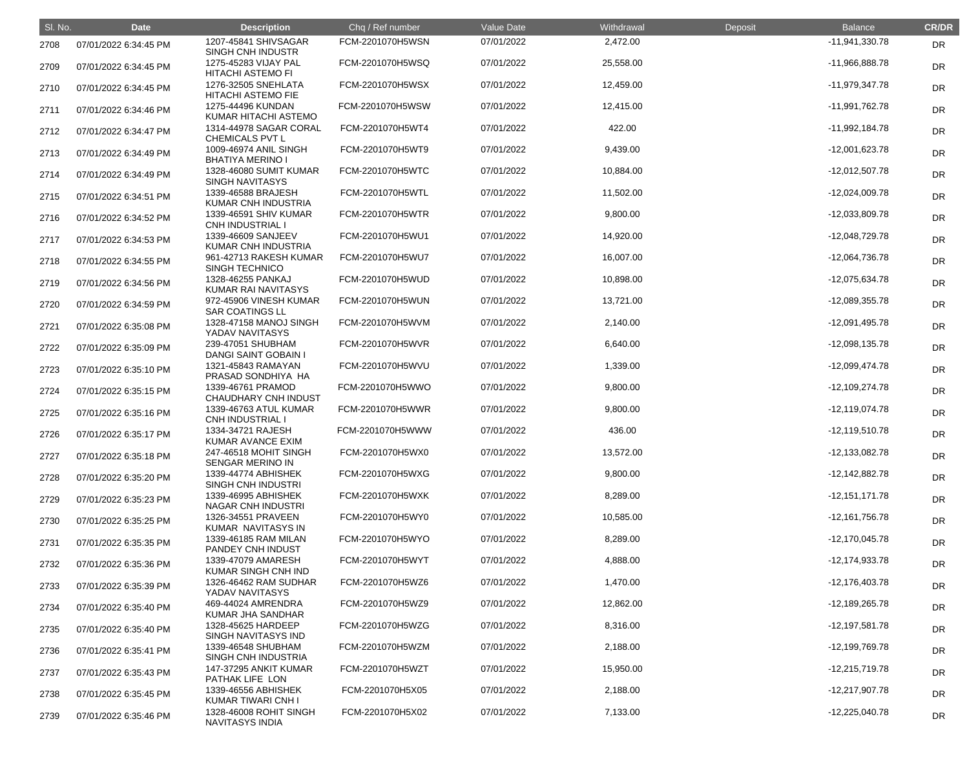| SI. No. | <b>Date</b>           | <b>Description</b>                               | Chq / Ref number | Value Date | Withdrawal | Deposit | <b>Balance</b>   | <b>CR/DR</b> |
|---------|-----------------------|--------------------------------------------------|------------------|------------|------------|---------|------------------|--------------|
| 2708    | 07/01/2022 6:34:45 PM | 1207-45841 SHIVSAGAR<br>SINGH CNH INDUSTR        | FCM-2201070H5WSN | 07/01/2022 | 2,472.00   |         | $-11,941,330.78$ | <b>DR</b>    |
| 2709    | 07/01/2022 6:34:45 PM | 1275-45283 VIJAY PAL<br><b>HITACHI ASTEMO FI</b> | FCM-2201070H5WSQ | 07/01/2022 | 25,558.00  |         | -11,966,888.78   | <b>DR</b>    |
| 2710    | 07/01/2022 6:34:45 PM | 1276-32505 SNEHLATA<br><b>HITACHI ASTEMO FIE</b> | FCM-2201070H5WSX | 07/01/2022 | 12,459.00  |         | $-11,979,347.78$ | <b>DR</b>    |
| 2711    | 07/01/2022 6:34:46 PM | 1275-44496 KUNDAN<br>KUMAR HITACHI ASTEMO        | FCM-2201070H5WSW | 07/01/2022 | 12,415.00  |         | -11,991,762.78   | <b>DR</b>    |
| 2712    | 07/01/2022 6:34:47 PM | 1314-44978 SAGAR CORAL<br>CHEMICALS PVT L        | FCM-2201070H5WT4 | 07/01/2022 | 422.00     |         | $-11,992,184.78$ | <b>DR</b>    |
| 2713    | 07/01/2022 6:34:49 PM | 1009-46974 ANIL SINGH<br><b>BHATIYA MERINO I</b> | FCM-2201070H5WT9 | 07/01/2022 | 9,439.00   |         | $-12,001,623.78$ | <b>DR</b>    |
| 2714    | 07/01/2022 6:34:49 PM | 1328-46080 SUMIT KUMAR<br>SINGH NAVITASYS        | FCM-2201070H5WTC | 07/01/2022 | 10,884.00  |         | $-12,012,507.78$ | <b>DR</b>    |
| 2715    | 07/01/2022 6:34:51 PM | 1339-46588 BRAJESH<br>KUMAR CNH INDUSTRIA        | FCM-2201070H5WTL | 07/01/2022 | 11,502.00  |         | $-12,024,009.78$ | <b>DR</b>    |
| 2716    | 07/01/2022 6:34:52 PM | 1339-46591 SHIV KUMAR<br><b>CNH INDUSTRIAL I</b> | FCM-2201070H5WTR | 07/01/2022 | 9,800.00   |         | $-12,033,809.78$ | <b>DR</b>    |
| 2717    | 07/01/2022 6:34:53 PM | 1339-46609 SANJEEV<br>KUMAR CNH INDUSTRIA        | FCM-2201070H5WU1 | 07/01/2022 | 14,920.00  |         | -12,048,729.78   | DR           |
| 2718    | 07/01/2022 6:34:55 PM | 961-42713 RAKESH KUMAR<br><b>SINGH TECHNICO</b>  | FCM-2201070H5WU7 | 07/01/2022 | 16,007.00  |         | -12,064,736.78   | <b>DR</b>    |
| 2719    | 07/01/2022 6:34:56 PM | 1328-46255 PANKAJ<br>KUMAR RAI NAVITASYS         | FCM-2201070H5WUD | 07/01/2022 | 10,898.00  |         | -12,075,634.78   | <b>DR</b>    |
| 2720    | 07/01/2022 6:34:59 PM | 972-45906 VINESH KUMAR<br><b>SAR COATINGS LL</b> | FCM-2201070H5WUN | 07/01/2022 | 13,721.00  |         | $-12,089,355.78$ | <b>DR</b>    |
| 2721    | 07/01/2022 6:35:08 PM | 1328-47158 MANOJ SINGH<br>YADAV NAVITASYS        | FCM-2201070H5WVM | 07/01/2022 | 2,140.00   |         | $-12,091,495.78$ | DR           |
| 2722    | 07/01/2022 6:35:09 PM | 239-47051 SHUBHAM<br><b>DANGI SAINT GOBAIN I</b> | FCM-2201070H5WVR | 07/01/2022 | 6,640.00   |         | $-12,098,135.78$ | <b>DR</b>    |
| 2723    | 07/01/2022 6:35:10 PM | 1321-45843 RAMAYAN<br>PRASAD SONDHIYA HA         | FCM-2201070H5WVU | 07/01/2022 | 1,339.00   |         | -12,099,474.78   | <b>DR</b>    |
| 2724    | 07/01/2022 6:35:15 PM | 1339-46761 PRAMOD<br><b>CHAUDHARY CNH INDUST</b> | FCM-2201070H5WWO | 07/01/2022 | 9,800.00   |         | $-12,109,274.78$ | <b>DR</b>    |
| 2725    | 07/01/2022 6:35:16 PM | 1339-46763 ATUL KUMAR<br><b>CNH INDUSTRIAL I</b> | FCM-2201070H5WWR | 07/01/2022 | 9,800.00   |         | $-12,119,074.78$ | <b>DR</b>    |
| 2726    | 07/01/2022 6:35:17 PM | 1334-34721 RAJESH<br>KUMAR AVANCE EXIM           | FCM-2201070H5WWW | 07/01/2022 | 436.00     |         | $-12,119,510.78$ | <b>DR</b>    |
| 2727    | 07/01/2022 6:35:18 PM | 247-46518 MOHIT SINGH<br><b>SENGAR MERINO IN</b> | FCM-2201070H5WX0 | 07/01/2022 | 13,572.00  |         | $-12,133,082.78$ | <b>DR</b>    |
| 2728    | 07/01/2022 6:35:20 PM | 1339-44774 ABHISHEK<br>SINGH CNH INDUSTRI        | FCM-2201070H5WXG | 07/01/2022 | 9,800.00   |         | $-12,142,882.78$ | <b>DR</b>    |
| 2729    | 07/01/2022 6:35:23 PM | 1339-46995 ABHISHEK<br><b>NAGAR CNH INDUSTRI</b> | FCM-2201070H5WXK | 07/01/2022 | 8,289.00   |         | $-12,151,171.78$ | <b>DR</b>    |
| 2730    | 07/01/2022 6:35:25 PM | 1326-34551 PRAVEEN<br>KUMAR NAVITASYS IN         | FCM-2201070H5WY0 | 07/01/2022 | 10,585.00  |         | $-12,161,756.78$ | <b>DR</b>    |
| 2731    | 07/01/2022 6:35:35 PM | 1339-46185 RAM MILAN<br><b>PANDEY CNH INDUST</b> | FCM-2201070H5WYO | 07/01/2022 | 8,289.00   |         | $-12,170,045.78$ | <b>DR</b>    |
| 2732    | 07/01/2022 6:35:36 PM | 1339-47079 AMARESH<br>KUMAR SINGH CNH IND        | FCM-2201070H5WYT | 07/01/2022 | 4,888.00   |         | $-12,174,933.78$ | <b>DR</b>    |
| 2733    | 07/01/2022 6:35:39 PM | 1326-46462 RAM SUDHAR<br>YADAV NAVITASYS         | FCM-2201070H5WZ6 | 07/01/2022 | 1,470.00   |         | $-12,176,403.78$ | <b>DR</b>    |
| 2734    | 07/01/2022 6:35:40 PM | 469-44024 AMRENDRA<br><b>KUMAR JHA SANDHAR</b>   | FCM-2201070H5WZ9 | 07/01/2022 | 12,862.00  |         | $-12,189,265.78$ | <b>DR</b>    |
| 2735    | 07/01/2022 6:35:40 PM | 1328-45625 HARDEEP<br>SINGH NAVITASYS IND        | FCM-2201070H5WZG | 07/01/2022 | 8,316.00   |         | $-12,197,581.78$ | <b>DR</b>    |
| 2736    | 07/01/2022 6:35:41 PM | 1339-46548 SHUBHAM<br>SINGH CNH INDUSTRIA        | FCM-2201070H5WZM | 07/01/2022 | 2,188.00   |         | -12,199,769.78   | <b>DR</b>    |
| 2737    | 07/01/2022 6:35:43 PM | 147-37295 ANKIT KUMAR<br>PATHAK LIFE LON         | FCM-2201070H5WZT | 07/01/2022 | 15,950.00  |         | $-12,215,719.78$ | <b>DR</b>    |
| 2738    | 07/01/2022 6:35:45 PM | 1339-46556 ABHISHEK<br><b>KUMAR TIWARI CNH I</b> | FCM-2201070H5X05 | 07/01/2022 | 2,188.00   |         | $-12,217,907.78$ | <b>DR</b>    |
| 2739    | 07/01/2022 6:35:46 PM | 1328-46008 ROHIT SINGH<br>NAVITASYS INDIA        | FCM-2201070H5X02 | 07/01/2022 | 7,133.00   |         | $-12,225,040.78$ | <b>DR</b>    |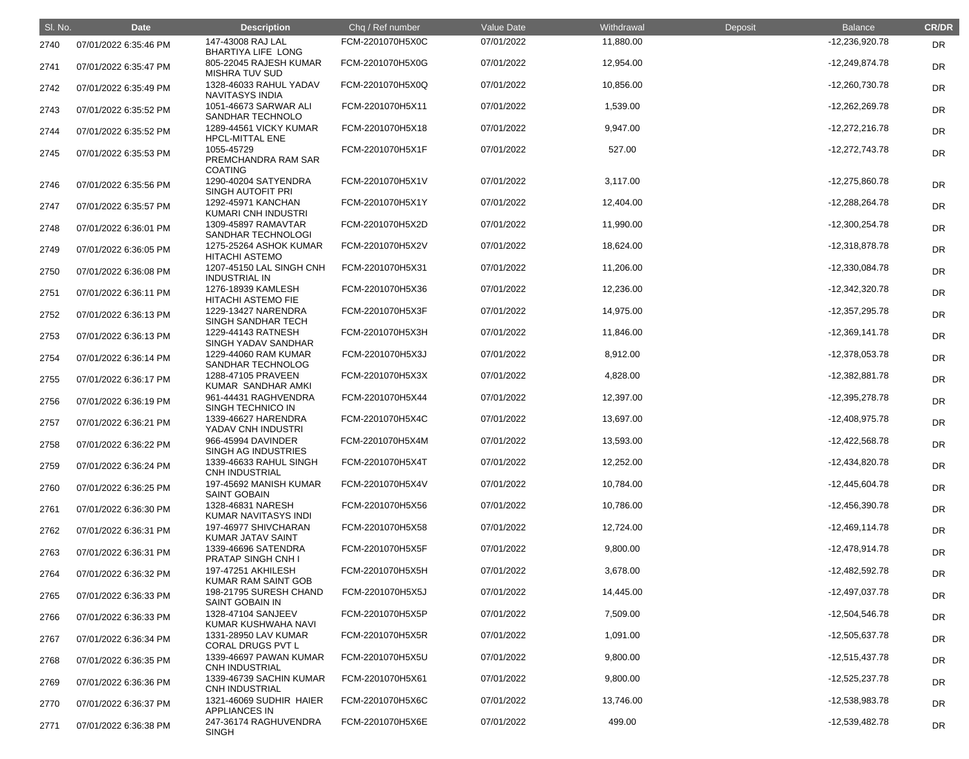| SI. No. | <b>Date</b>           | <b>Description</b>                                  | Chq / Ref number | Value Date | Withdrawal | Deposit | <b>Balance</b>   | <b>CR/DR</b> |
|---------|-----------------------|-----------------------------------------------------|------------------|------------|------------|---------|------------------|--------------|
| 2740    | 07/01/2022 6:35:46 PM | 147-43008 RAJ LAL<br><b>BHARTIYA LIFE LONG</b>      | FCM-2201070H5X0C | 07/01/2022 | 11,880.00  |         | -12,236,920.78   | <b>DR</b>    |
| 2741    | 07/01/2022 6:35:47 PM | 805-22045 RAJESH KUMAR<br><b>MISHRA TUV SUD</b>     | FCM-2201070H5X0G | 07/01/2022 | 12,954.00  |         | $-12,249,874.78$ | <b>DR</b>    |
| 2742    | 07/01/2022 6:35:49 PM | 1328-46033 RAHUL YADAV<br><b>NAVITASYS INDIA</b>    | FCM-2201070H5X0Q | 07/01/2022 | 10,856.00  |         | $-12,260,730.78$ | <b>DR</b>    |
| 2743    | 07/01/2022 6:35:52 PM | 1051-46673 SARWAR ALI<br>SANDHAR TECHNOLO           | FCM-2201070H5X11 | 07/01/2022 | 1,539.00   |         | $-12,262,269.78$ | <b>DR</b>    |
| 2744    | 07/01/2022 6:35:52 PM | 1289-44561 VICKY KUMAR<br><b>HPCL-MITTAL ENE</b>    | FCM-2201070H5X18 | 07/01/2022 | 9,947.00   |         | $-12,272,216.78$ | <b>DR</b>    |
| 2745    | 07/01/2022 6:35:53 PM | 1055-45729<br>PREMCHANDRA RAM SAR<br><b>COATING</b> | FCM-2201070H5X1F | 07/01/2022 | 527.00     |         | $-12,272,743.78$ | <b>DR</b>    |
| 2746    | 07/01/2022 6:35:56 PM | 1290-40204 SATYENDRA<br><b>SINGH AUTOFIT PRI</b>    | FCM-2201070H5X1V | 07/01/2022 | 3,117.00   |         | -12,275,860.78   | DR           |
| 2747    | 07/01/2022 6:35:57 PM | 1292-45971 KANCHAN<br>KUMARI CNH INDUSTRI           | FCM-2201070H5X1Y | 07/01/2022 | 12,404.00  |         | $-12,288,264.78$ | DR           |
| 2748    | 07/01/2022 6:36:01 PM | 1309-45897 RAMAVTAR<br>SANDHAR TECHNOLOGI           | FCM-2201070H5X2D | 07/01/2022 | 11,990.00  |         | $-12,300,254.78$ | <b>DR</b>    |
| 2749    | 07/01/2022 6:36:05 PM | 1275-25264 ASHOK KUMAR<br><b>HITACHI ASTEMO</b>     | FCM-2201070H5X2V | 07/01/2022 | 18,624.00  |         | $-12,318,878.78$ | <b>DR</b>    |
| 2750    | 07/01/2022 6:36:08 PM | 1207-45150 LAL SINGH CNH<br><b>INDUSTRIAL IN</b>    | FCM-2201070H5X31 | 07/01/2022 | 11,206.00  |         | $-12,330,084.78$ | <b>DR</b>    |
| 2751    | 07/01/2022 6:36:11 PM | 1276-18939 KAMLESH<br><b>HITACHI ASTEMO FIE</b>     | FCM-2201070H5X36 | 07/01/2022 | 12,236.00  |         | $-12,342,320.78$ | DR           |
| 2752    | 07/01/2022 6:36:13 PM | 1229-13427 NARENDRA<br>SINGH SANDHAR TECH           | FCM-2201070H5X3F | 07/01/2022 | 14,975.00  |         | $-12,357,295.78$ | DR           |
| 2753    | 07/01/2022 6:36:13 PM | 1229-44143 RATNESH<br>SINGH YADAV SANDHAR           | FCM-2201070H5X3H | 07/01/2022 | 11,846.00  |         | $-12,369,141.78$ | <b>DR</b>    |
| 2754    | 07/01/2022 6:36:14 PM | 1229-44060 RAM KUMAR<br>SANDHAR TECHNOLOG           | FCM-2201070H5X3J | 07/01/2022 | 8,912.00   |         | $-12,378,053.78$ | <b>DR</b>    |
| 2755    | 07/01/2022 6:36:17 PM | 1288-47105 PRAVEEN<br>KUMAR SANDHAR AMKI            | FCM-2201070H5X3X | 07/01/2022 | 4,828.00   |         | $-12,382,881.78$ | <b>DR</b>    |
| 2756    | 07/01/2022 6:36:19 PM | 961-44431 RAGHVENDRA<br>SINGH TECHNICO IN           | FCM-2201070H5X44 | 07/01/2022 | 12,397.00  |         | -12,395,278.78   | DR           |
| 2757    | 07/01/2022 6:36:21 PM | 1339-46627 HARENDRA<br>YADAV CNH INDUSTRI           | FCM-2201070H5X4C | 07/01/2022 | 13,697.00  |         | $-12,408,975.78$ | DR           |
| 2758    | 07/01/2022 6:36:22 PM | 966-45994 DAVINDER<br>SINGH AG INDUSTRIES           | FCM-2201070H5X4M | 07/01/2022 | 13,593.00  |         | $-12,422,568.78$ | <b>DR</b>    |
| 2759    | 07/01/2022 6:36:24 PM | 1339-46633 RAHUL SINGH<br><b>CNH INDUSTRIAL</b>     | FCM-2201070H5X4T | 07/01/2022 | 12,252.00  |         | $-12,434,820.78$ | <b>DR</b>    |
| 2760    | 07/01/2022 6:36:25 PM | 197-45692 MANISH KUMAR<br><b>SAINT GOBAIN</b>       | FCM-2201070H5X4V | 07/01/2022 | 10,784.00  |         | $-12,445,604.78$ | <b>DR</b>    |
| 2761    | 07/01/2022 6:36:30 PM | 1328-46831 NARESH<br>KUMAR NAVITASYS INDI           | FCM-2201070H5X56 | 07/01/2022 | 10,786.00  |         | $-12,456,390.78$ | <b>DR</b>    |
| 2762    | 07/01/2022 6:36:31 PM | 197-46977 SHIVCHARAN<br><b>KUMAR JATAV SAINT</b>    | FCM-2201070H5X58 | 07/01/2022 | 12,724.00  |         | $-12,469,114.78$ | <b>DR</b>    |
| 2763    | 07/01/2022 6:36:31 PM | 1339-46696 SATENDRA<br><b>PRATAP SINGH CNH I</b>    | FCM-2201070H5X5F | 07/01/2022 | 9,800.00   |         | $-12,478,914.78$ | <b>DR</b>    |
| 2764    | 07/01/2022 6:36:32 PM | 197-47251 AKHILESH<br>KUMAR RAM SAINT GOB           | FCM-2201070H5X5H | 07/01/2022 | 3,678.00   |         | $-12,482,592.78$ | <b>DR</b>    |
| 2765    | 07/01/2022 6:36:33 PM | 198-21795 SURESH CHAND<br><b>SAINT GOBAIN IN</b>    | FCM-2201070H5X5J | 07/01/2022 | 14,445.00  |         | $-12,497,037.78$ | <b>DR</b>    |
| 2766    | 07/01/2022 6:36:33 PM | 1328-47104 SANJEEV<br>KUMAR KUSHWAHA NAVI           | FCM-2201070H5X5P | 07/01/2022 | 7,509.00   |         | $-12,504,546.78$ | <b>DR</b>    |
| 2767    | 07/01/2022 6:36:34 PM | 1331-28950 LAV KUMAR<br>CORAL DRUGS PVT L           | FCM-2201070H5X5R | 07/01/2022 | 1,091.00   |         | $-12,505,637.78$ | <b>DR</b>    |
| 2768    | 07/01/2022 6:36:35 PM | 1339-46697 PAWAN KUMAR<br><b>CNH INDUSTRIAL</b>     | FCM-2201070H5X5U | 07/01/2022 | 9,800.00   |         | -12,515,437.78   | <b>DR</b>    |
| 2769    | 07/01/2022 6:36:36 PM | 1339-46739 SACHIN KUMAR<br><b>CNH INDUSTRIAL</b>    | FCM-2201070H5X61 | 07/01/2022 | 9,800.00   |         | $-12,525,237.78$ | <b>DR</b>    |
| 2770    | 07/01/2022 6:36:37 PM | 1321-46069 SUDHIR HAIER<br><b>APPLIANCES IN</b>     | FCM-2201070H5X6C | 07/01/2022 | 13,746.00  |         | -12,538,983.78   | <b>DR</b>    |
| 2771    | 07/01/2022 6:36:38 PM | 247-36174 RAGHUVENDRA<br><b>SINGH</b>               | FCM-2201070H5X6E | 07/01/2022 | 499.00     |         | $-12,539,482.78$ | <b>DR</b>    |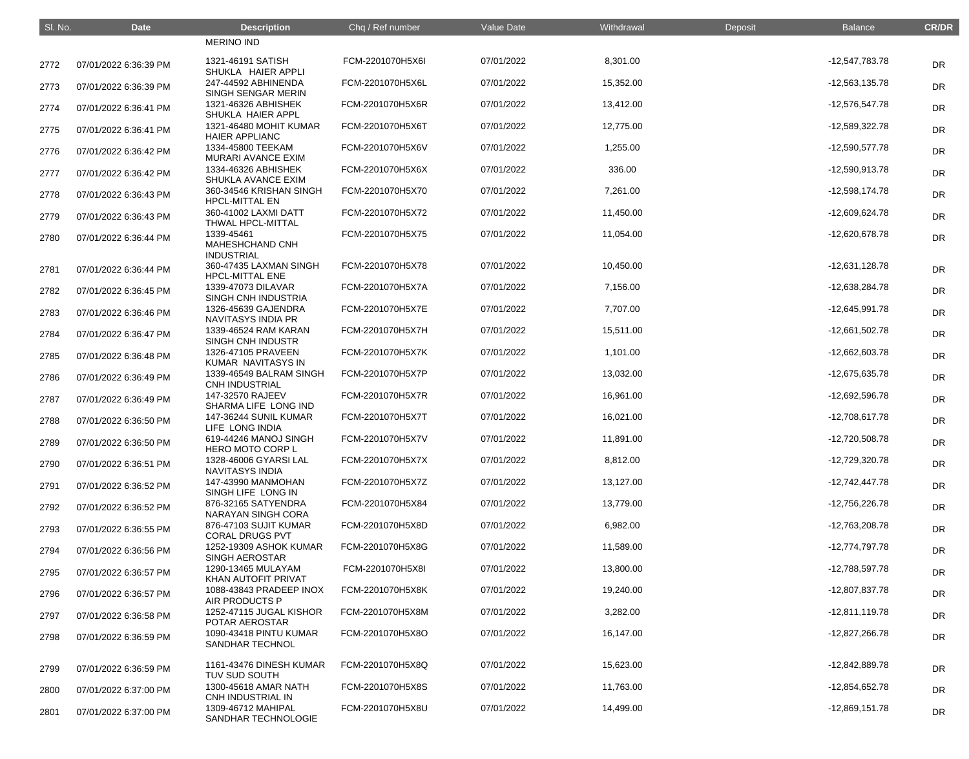| SI. No. | <b>Date</b>           | <b>Description</b>                                        | Chq / Ref number | Value Date | Withdrawal | Deposit | <b>Balance</b>   | <b>CR/DR</b> |
|---------|-----------------------|-----------------------------------------------------------|------------------|------------|------------|---------|------------------|--------------|
|         |                       | <b>MERINO IND</b>                                         |                  |            |            |         |                  |              |
| 2772    | 07/01/2022 6:36:39 PM | 1321-46191 SATISH<br>SHUKLA HAIER APPLI                   | FCM-2201070H5X6I | 07/01/2022 | 8,301.00   |         | -12,547,783.78   | <b>DR</b>    |
| 2773    | 07/01/2022 6:36:39 PM | 247-44592 ABHINENDA<br>SINGH SENGAR MERIN                 | FCM-2201070H5X6L | 07/01/2022 | 15,352.00  |         | $-12,563,135.78$ | <b>DR</b>    |
| 2774    | 07/01/2022 6:36:41 PM | 1321-46326 ABHISHEK<br>SHUKLA HAIER APPL                  | FCM-2201070H5X6R | 07/01/2022 | 13,412.00  |         | -12,576,547.78   | <b>DR</b>    |
| 2775    | 07/01/2022 6:36:41 PM | 1321-46480 MOHIT KUMAR<br><b>HAIER APPLIANC</b>           | FCM-2201070H5X6T | 07/01/2022 | 12,775.00  |         | $-12,589,322.78$ | <b>DR</b>    |
| 2776    | 07/01/2022 6:36:42 PM | 1334-45800 TEEKAM<br><b>MURARI AVANCE EXIM</b>            | FCM-2201070H5X6V | 07/01/2022 | 1,255.00   |         | $-12,590,577.78$ | <b>DR</b>    |
| 2777    | 07/01/2022 6:36:42 PM | 1334-46326 ABHISHEK<br>SHUKLA AVANCE EXIM                 | FCM-2201070H5X6X | 07/01/2022 | 336.00     |         | -12,590,913.78   | <b>DR</b>    |
| 2778    | 07/01/2022 6:36:43 PM | 360-34546 KRISHAN SINGH<br><b>HPCL-MITTAL EN</b>          | FCM-2201070H5X70 | 07/01/2022 | 7,261.00   |         | $-12,598,174.78$ | <b>DR</b>    |
| 2779    | 07/01/2022 6:36:43 PM | 360-41002 LAXMI DATT<br><b>THWAL HPCL-MITTAL</b>          | FCM-2201070H5X72 | 07/01/2022 | 11,450.00  |         | -12,609,624.78   | <b>DR</b>    |
| 2780    | 07/01/2022 6:36:44 PM | 1339-45461<br><b>MAHESHCHAND CNH</b><br><b>INDUSTRIAL</b> | FCM-2201070H5X75 | 07/01/2022 | 11,054.00  |         | -12,620,678.78   | <b>DR</b>    |
| 2781    | 07/01/2022 6:36:44 PM | 360-47435 LAXMAN SINGH<br><b>HPCL-MITTAL ENE</b>          | FCM-2201070H5X78 | 07/01/2022 | 10,450.00  |         | $-12,631,128.78$ | <b>DR</b>    |
| 2782    | 07/01/2022 6:36:45 PM | 1339-47073 DILAVAR<br>SINGH CNH INDUSTRIA                 | FCM-2201070H5X7A | 07/01/2022 | 7,156.00   |         | $-12,638,284.78$ | <b>DR</b>    |
| 2783    | 07/01/2022 6:36:46 PM | 1326-45639 GAJENDRA<br><b>NAVITASYS INDIA PR</b>          | FCM-2201070H5X7E | 07/01/2022 | 7,707.00   |         | -12,645,991.78   | <b>DR</b>    |
| 2784    | 07/01/2022 6:36:47 PM | 1339-46524 RAM KARAN<br>SINGH CNH INDUSTR                 | FCM-2201070H5X7H | 07/01/2022 | 15,511.00  |         | $-12,661,502.78$ | <b>DR</b>    |
| 2785    | 07/01/2022 6:36:48 PM | 1326-47105 PRAVEEN<br>KUMAR NAVITASYS IN                  | FCM-2201070H5X7K | 07/01/2022 | 1,101.00   |         | $-12,662,603.78$ | <b>DR</b>    |
| 2786    | 07/01/2022 6:36:49 PM | 1339-46549 BALRAM SINGH<br><b>CNH INDUSTRIAL</b>          | FCM-2201070H5X7P | 07/01/2022 | 13,032.00  |         | -12,675,635.78   | <b>DR</b>    |
| 2787    | 07/01/2022 6:36:49 PM | 147-32570 RAJEEV<br>SHARMA LIFE LONG IND                  | FCM-2201070H5X7R | 07/01/2022 | 16,961.00  |         | -12,692,596.78   | <b>DR</b>    |
| 2788    | 07/01/2022 6:36:50 PM | 147-36244 SUNIL KUMAR<br>LIFE LONG INDIA                  | FCM-2201070H5X7T | 07/01/2022 | 16,021.00  |         | $-12,708,617.78$ | <b>DR</b>    |
| 2789    | 07/01/2022 6:36:50 PM | 619-44246 MANOJ SINGH<br><b>HERO MOTO CORP L</b>          | FCM-2201070H5X7V | 07/01/2022 | 11,891.00  |         | $-12,720,508.78$ | <b>DR</b>    |
| 2790    | 07/01/2022 6:36:51 PM | 1328-46006 GYARSI LAL<br><b>NAVITASYS INDIA</b>           | FCM-2201070H5X7X | 07/01/2022 | 8,812.00   |         | -12,729,320.78   | DR           |
| 2791    | 07/01/2022 6:36:52 PM | 147-43990 MANMOHAN<br>SINGH LIFE LONG IN                  | FCM-2201070H5X7Z | 07/01/2022 | 13,127.00  |         | $-12,742,447.78$ | DR           |
| 2792    | 07/01/2022 6:36:52 PM | 876-32165 SATYENDRA<br>NARAYAN SINGH CORA                 | FCM-2201070H5X84 | 07/01/2022 | 13,779.00  |         | -12,756,226.78   | DR           |
| 2793    | 07/01/2022 6:36:55 PM | 876-47103 SUJIT KUMAR<br><b>CORAL DRUGS PVT</b>           | FCM-2201070H5X8D | 07/01/2022 | 6,982.00   |         | -12,763,208.78   | DR           |
| 2794    | 07/01/2022 6:36:56 PM | 1252-19309 ASHOK KUMAR<br><b>SINGH AEROSTAR</b>           | FCM-2201070H5X8G | 07/01/2022 | 11,589.00  |         | -12,774,797.78   | DR           |
| 2795    | 07/01/2022 6:36:57 PM | 1290-13465 MULAYAM<br>KHAN AUTOFIT PRIVAT                 | FCM-2201070H5X8I | 07/01/2022 | 13,800.00  |         | -12,788,597.78   | DR           |
| 2796    | 07/01/2022 6:36:57 PM | 1088-43843 PRADEEP INOX<br>AIR PRODUCTS P                 | FCM-2201070H5X8K | 07/01/2022 | 19,240.00  |         | -12,807,837.78   | DR           |
| 2797    | 07/01/2022 6:36:58 PM | 1252-47115 JUGAL KISHOR<br>POTAR AEROSTAR                 | FCM-2201070H5X8M | 07/01/2022 | 3,282.00   |         | $-12,811,119.78$ | DR           |
| 2798    | 07/01/2022 6:36:59 PM | 1090-43418 PINTU KUMAR<br><b>SANDHAR TECHNOL</b>          | FCM-2201070H5X8O | 07/01/2022 | 16,147.00  |         | $-12,827,266.78$ | DR           |
| 2799    | 07/01/2022 6:36:59 PM | 1161-43476 DINESH KUMAR<br>TUV SUD SOUTH                  | FCM-2201070H5X8Q | 07/01/2022 | 15,623.00  |         | -12,842,889.78   | DR           |
| 2800    | 07/01/2022 6:37:00 PM | 1300-45618 AMAR NATH<br>CNH INDUSTRIAL IN                 | FCM-2201070H5X8S | 07/01/2022 | 11,763.00  |         | -12,854,652.78   | DR           |
| 2801    | 07/01/2022 6:37:00 PM | 1309-46712 MAHIPAL<br>SANDHAR TECHNOLOGIE                 | FCM-2201070H5X8U | 07/01/2022 | 14,499.00  |         | $-12,869,151.78$ | <b>DR</b>    |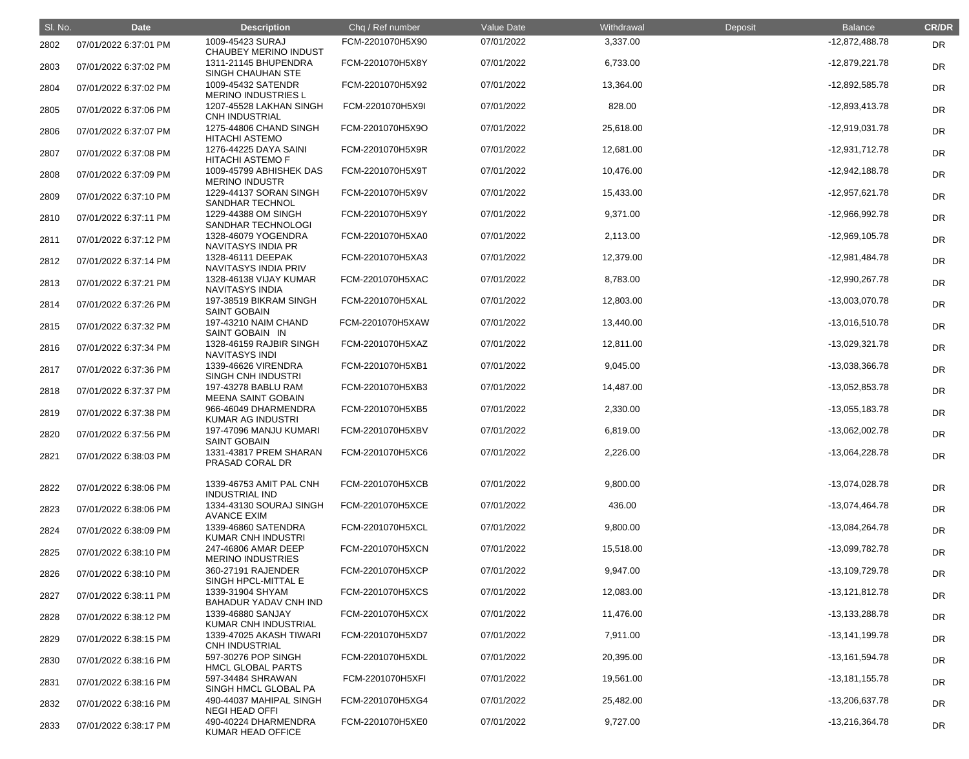| SI. No. | <b>Date</b>           | <b>Description</b>                               | Chq / Ref number | Value Date | Withdrawal | Deposit | <b>Balance</b>   | <b>CR/DR</b> |
|---------|-----------------------|--------------------------------------------------|------------------|------------|------------|---------|------------------|--------------|
| 2802    | 07/01/2022 6:37:01 PM | 1009-45423 SURAJ<br><b>CHAUBEY MERINO INDUST</b> | FCM-2201070H5X90 | 07/01/2022 | 3,337.00   |         | $-12,872,488.78$ | <b>DR</b>    |
| 2803    | 07/01/2022 6:37:02 PM | 1311-21145 BHUPENDRA<br>SINGH CHAUHAN STE        | FCM-2201070H5X8Y | 07/01/2022 | 6,733.00   |         | $-12,879,221.78$ | <b>DR</b>    |
| 2804    | 07/01/2022 6:37:02 PM | 1009-45432 SATENDR<br><b>MERINO INDUSTRIES L</b> | FCM-2201070H5X92 | 07/01/2022 | 13,364.00  |         | -12,892,585.78   | <b>DR</b>    |
| 2805    | 07/01/2022 6:37:06 PM | 1207-45528 LAKHAN SINGH<br><b>CNH INDUSTRIAL</b> | FCM-2201070H5X9I | 07/01/2022 | 828.00     |         | -12,893,413.78   | <b>DR</b>    |
| 2806    | 07/01/2022 6:37:07 PM | 1275-44806 CHAND SINGH<br><b>HITACHI ASTEMO</b>  | FCM-2201070H5X9O | 07/01/2022 | 25,618.00  |         | $-12,919,031.78$ | <b>DR</b>    |
| 2807    | 07/01/2022 6:37:08 PM | 1276-44225 DAYA SAINI<br><b>HITACHI ASTEMO F</b> | FCM-2201070H5X9R | 07/01/2022 | 12,681.00  |         | $-12,931,712.78$ | <b>DR</b>    |
| 2808    | 07/01/2022 6:37:09 PM | 1009-45799 ABHISHEK DAS<br><b>MERINO INDUSTR</b> | FCM-2201070H5X9T | 07/01/2022 | 10,476.00  |         | $-12,942,188.78$ | <b>DR</b>    |
| 2809    | 07/01/2022 6:37:10 PM | 1229-44137 SORAN SINGH<br><b>SANDHAR TECHNOL</b> | FCM-2201070H5X9V | 07/01/2022 | 15,433.00  |         | $-12,957,621.78$ | <b>DR</b>    |
| 2810    | 07/01/2022 6:37:11 PM | 1229-44388 OM SINGH<br>SANDHAR TECHNOLOGI        | FCM-2201070H5X9Y | 07/01/2022 | 9,371.00   |         | -12,966,992.78   | <b>DR</b>    |
| 2811    | 07/01/2022 6:37:12 PM | 1328-46079 YOGENDRA<br><b>NAVITASYS INDIA PR</b> | FCM-2201070H5XA0 | 07/01/2022 | 2,113.00   |         | $-12,969,105.78$ | <b>DR</b>    |
| 2812    | 07/01/2022 6:37:14 PM | 1328-46111 DEEPAK<br>NAVITASYS INDIA PRIV        | FCM-2201070H5XA3 | 07/01/2022 | 12,379.00  |         | -12,981,484.78   | <b>DR</b>    |
| 2813    | 07/01/2022 6:37:21 PM | 1328-46138 VIJAY KUMAR<br><b>NAVITASYS INDIA</b> | FCM-2201070H5XAC | 07/01/2022 | 8,783.00   |         | -12,990,267.78   | <b>DR</b>    |
| 2814    | 07/01/2022 6:37:26 PM | 197-38519 BIKRAM SINGH<br><b>SAINT GOBAIN</b>    | FCM-2201070H5XAL | 07/01/2022 | 12,803.00  |         | -13,003,070.78   | <b>DR</b>    |
| 2815    | 07/01/2022 6:37:32 PM | 197-43210 NAIM CHAND<br>SAINT GOBAIN IN          | FCM-2201070H5XAW | 07/01/2022 | 13,440.00  |         | $-13,016,510.78$ | <b>DR</b>    |
| 2816    | 07/01/2022 6:37:34 PM | 1328-46159 RAJBIR SINGH<br><b>NAVITASYS INDI</b> | FCM-2201070H5XAZ | 07/01/2022 | 12,811.00  |         | -13,029,321.78   | <b>DR</b>    |
| 2817    | 07/01/2022 6:37:36 PM | 1339-46626 VIRENDRA<br>SINGH CNH INDUSTRI        | FCM-2201070H5XB1 | 07/01/2022 | 9,045.00   |         | -13,038,366.78   | <b>DR</b>    |
| 2818    | 07/01/2022 6:37:37 PM | 197-43278 BABLU RAM<br><b>MEENA SAINT GOBAIN</b> | FCM-2201070H5XB3 | 07/01/2022 | 14,487.00  |         | $-13,052,853.78$ | <b>DR</b>    |
| 2819    | 07/01/2022 6:37:38 PM | 966-46049 DHARMENDRA<br><b>KUMAR AG INDUSTRI</b> | FCM-2201070H5XB5 | 07/01/2022 | 2,330.00   |         | $-13,055,183.78$ | <b>DR</b>    |
| 2820    | 07/01/2022 6:37:56 PM | 197-47096 MANJU KUMARI<br><b>SAINT GOBAIN</b>    | FCM-2201070H5XBV | 07/01/2022 | 6,819.00   |         | $-13,062,002.78$ | <b>DR</b>    |
| 2821    | 07/01/2022 6:38:03 PM | 1331-43817 PREM SHARAN<br>PRASAD CORAL DR        | FCM-2201070H5XC6 | 07/01/2022 | 2,226.00   |         | -13,064,228.78   | <b>DR</b>    |
| 2822    | 07/01/2022 6:38:06 PM | 1339-46753 AMIT PAL CNH<br><b>INDUSTRIAL IND</b> | FCM-2201070H5XCB | 07/01/2022 | 9,800.00   |         | $-13,074,028.78$ | <b>DR</b>    |
| 2823    | 07/01/2022 6:38:06 PM | 1334-43130 SOURAJ SINGH<br><b>AVANCE EXIM</b>    | FCM-2201070H5XCE | 07/01/2022 | 436.00     |         | $-13,074,464.78$ | <b>DR</b>    |
| 2824    | 07/01/2022 6:38:09 PM | 1339-46860 SATENDRA<br><b>KUMAR CNH INDUSTRI</b> | FCM-2201070H5XCL | 07/01/2022 | 9,800.00   |         | -13,084,264.78   | <b>DR</b>    |
| 2825    | 07/01/2022 6:38:10 PM | 247-46806 AMAR DEEP<br><b>MERINO INDUSTRIES</b>  | FCM-2201070H5XCN | 07/01/2022 | 15,518.00  |         | -13,099,782.78   | <b>DR</b>    |
| 2826    | 07/01/2022 6:38:10 PM | 360-27191 RAJENDER<br>SINGH HPCL-MITTAL E        | FCM-2201070H5XCP | 07/01/2022 | 9,947.00   |         | -13,109,729.78   | <b>DR</b>    |
| 2827    | 07/01/2022 6:38:11 PM | 1339-31904 SHYAM<br>BAHADUR YADAV CNH IND        | FCM-2201070H5XCS | 07/01/2022 | 12,083.00  |         | $-13,121,812.78$ | <b>DR</b>    |
| 2828    | 07/01/2022 6:38:12 PM | 1339-46880 SANJAY<br>KUMAR CNH INDUSTRIAL        | FCM-2201070H5XCX | 07/01/2022 | 11,476.00  |         | $-13,133,288.78$ | <b>DR</b>    |
| 2829    | 07/01/2022 6:38:15 PM | 1339-47025 AKASH TIWARI<br><b>CNH INDUSTRIAL</b> | FCM-2201070H5XD7 | 07/01/2022 | 7,911.00   |         | -13,141,199.78   | <b>DR</b>    |
| 2830    | 07/01/2022 6:38:16 PM | 597-30276 POP SINGH<br><b>HMCL GLOBAL PARTS</b>  | FCM-2201070H5XDL | 07/01/2022 | 20,395.00  |         | $-13,161,594.78$ | <b>DR</b>    |
| 2831    | 07/01/2022 6:38:16 PM | 597-34484 SHRAWAN<br>SINGH HMCL GLOBAL PA        | FCM-2201070H5XFI | 07/01/2022 | 19,561.00  |         | $-13,181,155.78$ | <b>DR</b>    |
| 2832    | 07/01/2022 6:38:16 PM | 490-44037 MAHIPAL SINGH<br><b>NEGI HEAD OFFI</b> | FCM-2201070H5XG4 | 07/01/2022 | 25,482.00  |         | -13,206,637.78   | <b>DR</b>    |
| 2833    | 07/01/2022 6:38:17 PM | 490-40224 DHARMENDRA<br>KUMAR HEAD OFFICE        | FCM-2201070H5XE0 | 07/01/2022 | 9,727.00   |         | $-13,216,364.78$ | <b>DR</b>    |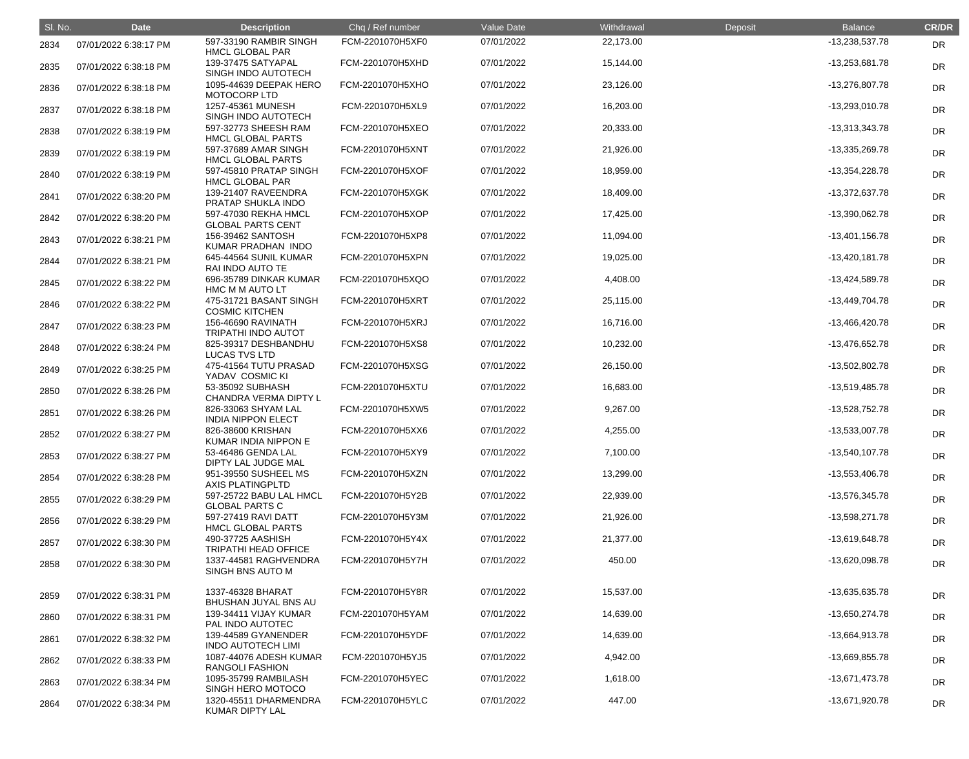| SI. No. | <b>Date</b>           | <b>Description</b>                               | Chq / Ref number | Value Date | Withdrawal | Deposit | <b>Balance</b>   | <b>CR/DR</b> |
|---------|-----------------------|--------------------------------------------------|------------------|------------|------------|---------|------------------|--------------|
| 2834    | 07/01/2022 6:38:17 PM | 597-33190 RAMBIR SINGH<br><b>HMCL GLOBAL PAR</b> | FCM-2201070H5XF0 | 07/01/2022 | 22,173.00  |         | -13,238,537.78   | <b>DR</b>    |
| 2835    | 07/01/2022 6:38:18 PM | 139-37475 SATYAPAL<br>SINGH INDO AUTOTECH        | FCM-2201070H5XHD | 07/01/2022 | 15,144.00  |         | -13,253,681.78   | <b>DR</b>    |
| 2836    | 07/01/2022 6:38:18 PM | 1095-44639 DEEPAK HERO<br>MOTOCORP LTD           | FCM-2201070H5XHO | 07/01/2022 | 23,126.00  |         | -13,276,807.78   | DR           |
| 2837    | 07/01/2022 6:38:18 PM | 1257-45361 MUNESH<br>SINGH INDO AUTOTECH         | FCM-2201070H5XL9 | 07/01/2022 | 16,203.00  |         | -13,293,010.78   | <b>DR</b>    |
| 2838    | 07/01/2022 6:38:19 PM | 597-32773 SHEESH RAM<br><b>HMCL GLOBAL PARTS</b> | FCM-2201070H5XEO | 07/01/2022 | 20,333.00  |         | $-13,313,343.78$ | <b>DR</b>    |
| 2839    | 07/01/2022 6:38:19 PM | 597-37689 AMAR SINGH<br><b>HMCL GLOBAL PARTS</b> | FCM-2201070H5XNT | 07/01/2022 | 21,926.00  |         | -13,335,269.78   | <b>DR</b>    |
| 2840    | 07/01/2022 6:38:19 PM | 597-45810 PRATAP SINGH<br><b>HMCL GLOBAL PAR</b> | FCM-2201070H5XOF | 07/01/2022 | 18,959.00  |         | $-13,354,228.78$ | <b>DR</b>    |
| 2841    | 07/01/2022 6:38:20 PM | 139-21407 RAVEENDRA<br>PRATAP SHUKLA INDO        | FCM-2201070H5XGK | 07/01/2022 | 18,409.00  |         | -13,372,637.78   | <b>DR</b>    |
| 2842    | 07/01/2022 6:38:20 PM | 597-47030 REKHA HMCL<br><b>GLOBAL PARTS CENT</b> | FCM-2201070H5XOP | 07/01/2022 | 17,425.00  |         | -13,390,062.78   | <b>DR</b>    |
| 2843    | 07/01/2022 6:38:21 PM | 156-39462 SANTOSH<br>KUMAR PRADHAN INDO          | FCM-2201070H5XP8 | 07/01/2022 | 11,094.00  |         | $-13,401,156.78$ | DR           |
| 2844    | 07/01/2022 6:38:21 PM | 645-44564 SUNIL KUMAR<br>RAI INDO AUTO TE        | FCM-2201070H5XPN | 07/01/2022 | 19,025.00  |         | $-13,420,181.78$ | <b>DR</b>    |
| 2845    | 07/01/2022 6:38:22 PM | 696-35789 DINKAR KUMAR<br>HMC M M AUTO LT        | FCM-2201070H5XQO | 07/01/2022 | 4,408.00   |         | -13,424,589.78   | <b>DR</b>    |
| 2846    | 07/01/2022 6:38:22 PM | 475-31721 BASANT SINGH<br><b>COSMIC KITCHEN</b>  | FCM-2201070H5XRT | 07/01/2022 | 25,115.00  |         | -13,449,704.78   | <b>DR</b>    |
| 2847    | 07/01/2022 6:38:23 PM | 156-46690 RAVINATH<br><b>TRIPATHI INDO AUTOT</b> | FCM-2201070H5XRJ | 07/01/2022 | 16,716.00  |         | -13,466,420.78   | DR           |
| 2848    | 07/01/2022 6:38:24 PM | 825-39317 DESHBANDHU<br><b>LUCAS TVS LTD</b>     | FCM-2201070H5XS8 | 07/01/2022 | 10,232.00  |         | -13,476,652.78   | <b>DR</b>    |
| 2849    | 07/01/2022 6:38:25 PM | 475-41564 TUTU PRASAD<br>YADAV COSMIC KI         | FCM-2201070H5XSG | 07/01/2022 | 26,150.00  |         | -13,502,802.78   | <b>DR</b>    |
| 2850    | 07/01/2022 6:38:26 PM | 53-35092 SUBHASH<br>CHANDRA VERMA DIPTY L        | FCM-2201070H5XTU | 07/01/2022 | 16,683.00  |         | -13,519,485.78   | <b>DR</b>    |
| 2851    | 07/01/2022 6:38:26 PM | 826-33063 SHYAM LAL<br><b>INDIA NIPPON ELECT</b> | FCM-2201070H5XW5 | 07/01/2022 | 9,267.00   |         | -13,528,752.78   | <b>DR</b>    |
| 2852    | 07/01/2022 6:38:27 PM | 826-38600 KRISHAN<br>KUMAR INDIA NIPPON E        | FCM-2201070H5XX6 | 07/01/2022 | 4,255.00   |         | $-13,533,007.78$ | <b>DR</b>    |
| 2853    | 07/01/2022 6:38:27 PM | 53-46486 GENDA LAL<br>DIPTY LAL JUDGE MAL        | FCM-2201070H5XY9 | 07/01/2022 | 7,100.00   |         | $-13,540,107.78$ | <b>DR</b>    |
| 2854    | 07/01/2022 6:38:28 PM | 951-39550 SUSHEEL MS<br><b>AXIS PLATINGPLTD</b>  | FCM-2201070H5XZN | 07/01/2022 | 13,299.00  |         | -13,553,406.78   | <b>DR</b>    |
| 2855    | 07/01/2022 6:38:29 PM | 597-25722 BABU LAL HMCL<br><b>GLOBAL PARTS C</b> | FCM-2201070H5Y2B | 07/01/2022 | 22,939.00  |         | -13,576,345.78   | <b>DR</b>    |
| 2856    | 07/01/2022 6:38:29 PM | 597-27419 RAVI DATT<br><b>HMCL GLOBAL PARTS</b>  | FCM-2201070H5Y3M | 07/01/2022 | 21,926.00  |         | $-13,598,271.78$ | <b>DR</b>    |
| 2857    | 07/01/2022 6:38:30 PM | 490-37725 AASHISH<br><b>TRIPATHI HEAD OFFICE</b> | FCM-2201070H5Y4X | 07/01/2022 | 21,377.00  |         | $-13,619,648.78$ | <b>DR</b>    |
| 2858    | 07/01/2022 6:38:30 PM | 1337-44581 RAGHVENDRA<br>SINGH BNS AUTO M        | FCM-2201070H5Y7H | 07/01/2022 | 450.00     |         | -13,620,098.78   | <b>DR</b>    |
| 2859    | 07/01/2022 6:38:31 PM | 1337-46328 BHARAT<br>BHUSHAN JUYAL BNS AU        | FCM-2201070H5Y8R | 07/01/2022 | 15,537.00  |         | -13,635,635.78   | <b>DR</b>    |
| 2860    | 07/01/2022 6:38:31 PM | 139-34411 VIJAY KUMAR<br>PAL INDO AUTOTEC        | FCM-2201070H5YAM | 07/01/2022 | 14,639.00  |         | $-13,650,274.78$ | <b>DR</b>    |
| 2861    | 07/01/2022 6:38:32 PM | 139-44589 GYANENDER<br><b>INDO AUTOTECH LIMI</b> | FCM-2201070H5YDF | 07/01/2022 | 14,639.00  |         | $-13,664,913.78$ | DR           |
| 2862    | 07/01/2022 6:38:33 PM | 1087-44076 ADESH KUMAR<br><b>RANGOLI FASHION</b> | FCM-2201070H5YJ5 | 07/01/2022 | 4,942.00   |         | -13,669,855.78   | <b>DR</b>    |
| 2863    | 07/01/2022 6:38:34 PM | 1095-35799 RAMBILASH<br>SINGH HERO MOTOCO        | FCM-2201070H5YEC | 07/01/2022 | 1,618.00   |         | -13,671,473.78   | <b>DR</b>    |
| 2864    | 07/01/2022 6:38:34 PM | 1320-45511 DHARMENDRA<br><b>KUMAR DIPTY LAL</b>  | FCM-2201070H5YLC | 07/01/2022 | 447.00     |         | -13,671,920.78   | <b>DR</b>    |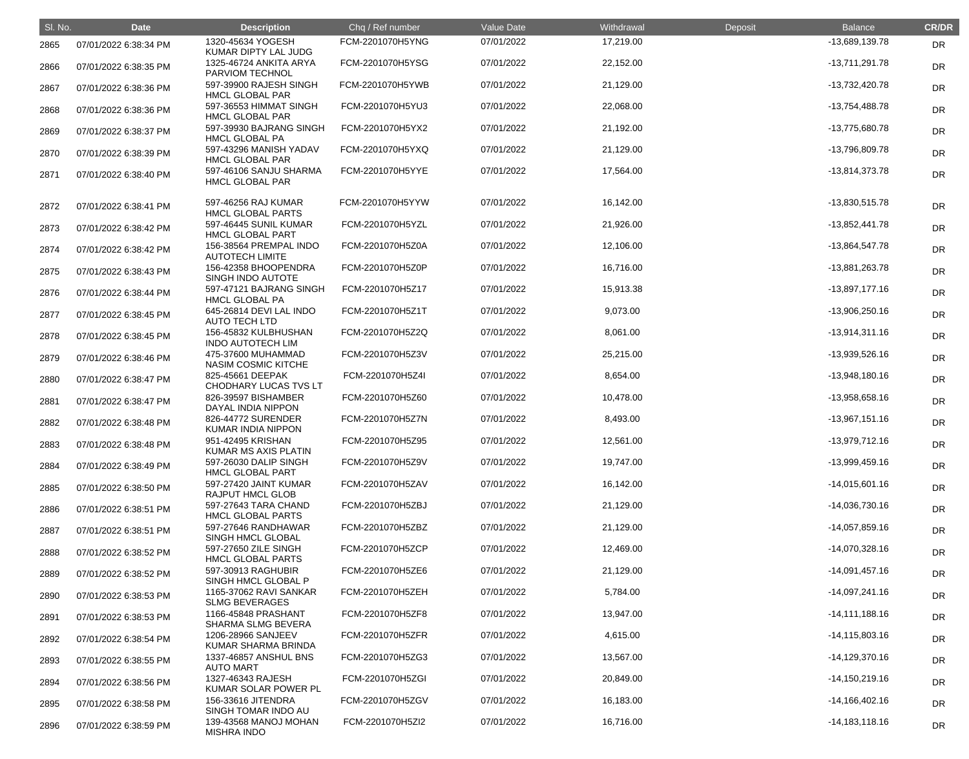| SI. No. | <b>Date</b>           | <b>Description</b>                               | Chq / Ref number | Value Date | Withdrawal | Deposit | <b>Balance</b>     | <b>CR/DR</b> |
|---------|-----------------------|--------------------------------------------------|------------------|------------|------------|---------|--------------------|--------------|
| 2865    | 07/01/2022 6:38:34 PM | 1320-45634 YOGESH<br>KUMAR DIPTY LAL JUDG        | FCM-2201070H5YNG | 07/01/2022 | 17,219.00  |         | -13,689,139.78     | <b>DR</b>    |
| 2866    | 07/01/2022 6:38:35 PM | 1325-46724 ANKITA ARYA<br>PARVIOM TECHNOL        | FCM-2201070H5YSG | 07/01/2022 | 22,152.00  |         | $-13,711,291.78$   | <b>DR</b>    |
| 2867    | 07/01/2022 6:38:36 PM | 597-39900 RAJESH SINGH<br><b>HMCL GLOBAL PAR</b> | FCM-2201070H5YWB | 07/01/2022 | 21,129.00  |         | -13,732,420.78     | <b>DR</b>    |
| 2868    | 07/01/2022 6:38:36 PM | 597-36553 HIMMAT SINGH<br><b>HMCL GLOBAL PAR</b> | FCM-2201070H5YU3 | 07/01/2022 | 22,068.00  |         | -13,754,488.78     | <b>DR</b>    |
| 2869    | 07/01/2022 6:38:37 PM | 597-39930 BAJRANG SINGH<br><b>HMCL GLOBAL PA</b> | FCM-2201070H5YX2 | 07/01/2022 | 21,192.00  |         | -13,775,680.78     | <b>DR</b>    |
| 2870    | 07/01/2022 6:38:39 PM | 597-43296 MANISH YADAV<br><b>HMCL GLOBAL PAR</b> | FCM-2201070H5YXQ | 07/01/2022 | 21,129.00  |         | -13,796,809.78     | <b>DR</b>    |
| 2871    | 07/01/2022 6:38:40 PM | 597-46106 SANJU SHARMA<br><b>HMCL GLOBAL PAR</b> | FCM-2201070H5YYE | 07/01/2022 | 17,564.00  |         | -13,814,373.78     | <b>DR</b>    |
| 2872    | 07/01/2022 6:38:41 PM | 597-46256 RAJ KUMAR<br><b>HMCL GLOBAL PARTS</b>  | FCM-2201070H5YYW | 07/01/2022 | 16,142.00  |         | -13,830,515.78     | DR           |
| 2873    | 07/01/2022 6:38:42 PM | 597-46445 SUNIL KUMAR<br><b>HMCL GLOBAL PART</b> | FCM-2201070H5YZL | 07/01/2022 | 21,926.00  |         | $-13,852,441.78$   | DR           |
| 2874    | 07/01/2022 6:38:42 PM | 156-38564 PREMPAL INDO<br><b>AUTOTECH LIMITE</b> | FCM-2201070H5Z0A | 07/01/2022 | 12,106.00  |         | -13,864,547.78     | <b>DR</b>    |
| 2875    | 07/01/2022 6:38:43 PM | 156-42358 BHOOPENDRA<br>SINGH INDO AUTOTE        | FCM-2201070H5Z0P | 07/01/2022 | 16,716.00  |         | -13,881,263.78     | DR           |
| 2876    | 07/01/2022 6:38:44 PM | 597-47121 BAJRANG SINGH<br><b>HMCL GLOBAL PA</b> | FCM-2201070H5Z17 | 07/01/2022 | 15,913.38  |         | $-13,897,177.16$   | DR           |
| 2877    | 07/01/2022 6:38:45 PM | 645-26814 DEVI LAL INDO<br><b>AUTO TECH LTD</b>  | FCM-2201070H5Z1T | 07/01/2022 | 9,073.00   |         | $-13,906,250.16$   | DR           |
| 2878    | 07/01/2022 6:38:45 PM | 156-45832 KULBHUSHAN<br><b>INDO AUTOTECH LIM</b> | FCM-2201070H5Z2Q | 07/01/2022 | 8,061.00   |         | $-13,914,311.16$   | DR           |
| 2879    | 07/01/2022 6:38:46 PM | 475-37600 MUHAMMAD<br>NASIM COSMIC KITCHE        | FCM-2201070H5Z3V | 07/01/2022 | 25,215.00  |         | -13,939,526.16     | <b>DR</b>    |
| 2880    | 07/01/2022 6:38:47 PM | 825-45661 DEEPAK<br>CHODHARY LUCAS TVS LT        | FCM-2201070H5Z4I | 07/01/2022 | 8,654.00   |         | $-13,948,180.16$   | DR           |
| 2881    | 07/01/2022 6:38:47 PM | 826-39597 BISHAMBER<br>DAYAL INDIA NIPPON        | FCM-2201070H5Z60 | 07/01/2022 | 10,478.00  |         | -13,958,658.16     | DR           |
| 2882    | 07/01/2022 6:38:48 PM | 826-44772 SURENDER<br>KUMAR INDIA NIPPON         | FCM-2201070H5Z7N | 07/01/2022 | 8,493.00   |         | $-13,967,151.16$   | DR           |
| 2883    | 07/01/2022 6:38:48 PM | 951-42495 KRISHAN<br>KUMAR MS AXIS PLATIN        | FCM-2201070H5Z95 | 07/01/2022 | 12,561.00  |         | $-13,979,712.16$   | <b>DR</b>    |
| 2884    | 07/01/2022 6:38:49 PM | 597-26030 DALIP SINGH<br><b>HMCL GLOBAL PART</b> | FCM-2201070H5Z9V | 07/01/2022 | 19,747.00  |         | -13,999,459.16     | <b>DR</b>    |
| 2885    | 07/01/2022 6:38:50 PM | 597-27420 JAINT KUMAR<br><b>RAJPUT HMCL GLOB</b> | FCM-2201070H5ZAV | 07/01/2022 | 16,142.00  |         | $-14,015,601.16$   | <b>DR</b>    |
| 2886    | 07/01/2022 6:38:51 PM | 597-27643 TARA CHAND<br><b>HMCL GLOBAL PARTS</b> | FCM-2201070H5ZBJ | 07/01/2022 | 21,129.00  |         | $-14,036,730.16$   | <b>DR</b>    |
| 2887    | 07/01/2022 6:38:51 PM | 597-27646 RANDHAWAR<br>SINGH HMCL GLOBAL         | FCM-2201070H5ZBZ | 07/01/2022 | 21,129.00  |         | $-14,057,859.16$   | <b>DR</b>    |
| 2888    | 07/01/2022 6:38:52 PM | 597-27650 ZILE SINGH<br><b>HMCL GLOBAL PARTS</b> | FCM-2201070H5ZCP | 07/01/2022 | 12,469.00  |         | $-14,070,328.16$   | <b>DR</b>    |
| 2889    | 07/01/2022 6:38:52 PM | 597-30913 RAGHUBIR<br>SINGH HMCL GLOBAL P        | FCM-2201070H5ZE6 | 07/01/2022 | 21,129.00  |         | $-14,091,457.16$   | <b>DR</b>    |
| 2890    | 07/01/2022 6:38:53 PM | 1165-37062 RAVI SANKAR<br><b>SLMG BEVERAGES</b>  | FCM-2201070H5ZEH | 07/01/2022 | 5,784.00   |         | $-14,097,241.16$   | <b>DR</b>    |
| 2891    | 07/01/2022 6:38:53 PM | 1166-45848 PRASHANT<br><b>SHARMA SLMG BEVERA</b> | FCM-2201070H5ZF8 | 07/01/2022 | 13,947.00  |         | $-14,111,188.16$   | <b>DR</b>    |
| 2892    | 07/01/2022 6:38:54 PM | 1206-28966 SANJEEV<br>KUMAR SHARMA BRINDA        | FCM-2201070H5ZFR | 07/01/2022 | 4,615.00   |         | $-14, 115, 803.16$ | <b>DR</b>    |
| 2893    | 07/01/2022 6:38:55 PM | 1337-46857 ANSHUL BNS<br><b>AUTO MART</b>        | FCM-2201070H5ZG3 | 07/01/2022 | 13,567.00  |         | $-14,129,370.16$   | <b>DR</b>    |
| 2894    | 07/01/2022 6:38:56 PM | 1327-46343 RAJESH<br>KUMAR SOLAR POWER PL        | FCM-2201070H5ZGI | 07/01/2022 | 20,849.00  |         | $-14,150,219.16$   | <b>DR</b>    |
| 2895    | 07/01/2022 6:38:58 PM | 156-33616 JITENDRA<br>SINGH TOMAR INDO AU        | FCM-2201070H5ZGV | 07/01/2022 | 16,183.00  |         | $-14,166,402.16$   | <b>DR</b>    |
| 2896    | 07/01/2022 6:38:59 PM | 139-43568 MANOJ MOHAN<br><b>MISHRA INDO</b>      | FCM-2201070H5ZI2 | 07/01/2022 | 16,716.00  |         | $-14,183,118.16$   | <b>DR</b>    |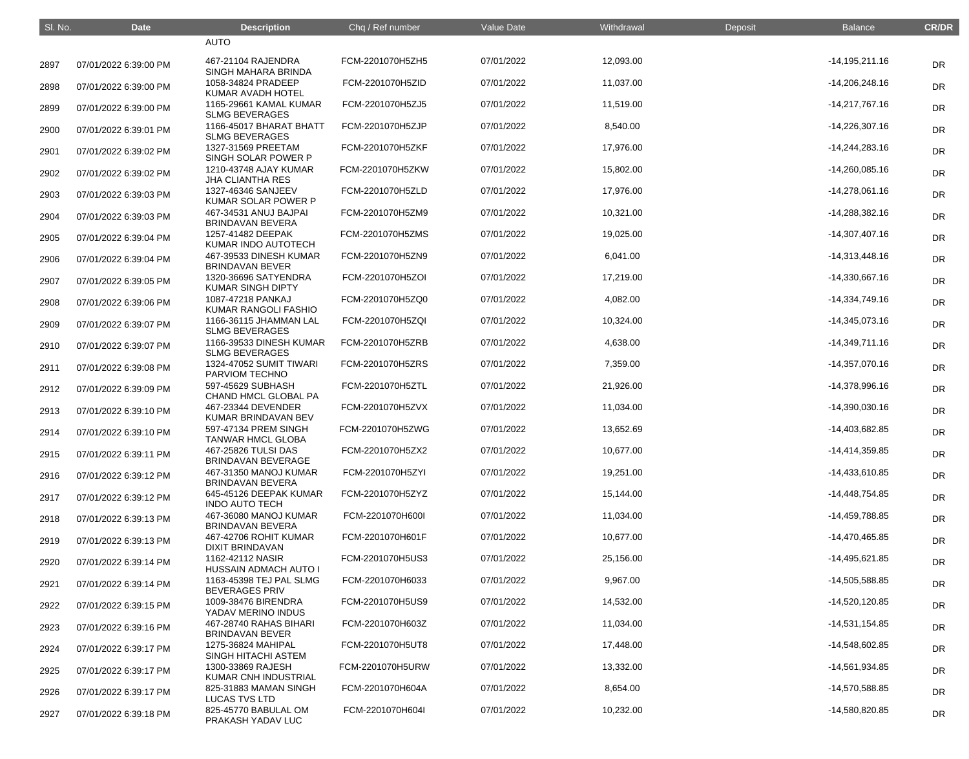| SI. No. | <b>Date</b>           | <b>Description</b>                               | Chq / Ref number | <b>Value Date</b> | Withdrawal | Deposit | <b>Balance</b>     | <b>CR/DR</b> |
|---------|-----------------------|--------------------------------------------------|------------------|-------------------|------------|---------|--------------------|--------------|
|         |                       | <b>AUTO</b>                                      |                  |                   |            |         |                    |              |
| 2897    | 07/01/2022 6:39:00 PM | 467-21104 RAJENDRA<br>SINGH MAHARA BRINDA        | FCM-2201070H5ZH5 | 07/01/2022        | 12,093.00  |         | $-14, 195, 211.16$ | <b>DR</b>    |
| 2898    | 07/01/2022 6:39:00 PM | 1058-34824 PRADEEP<br>KUMAR AVADH HOTEL          | FCM-2201070H5ZID | 07/01/2022        | 11,037.00  |         | $-14,206,248.16$   | <b>DR</b>    |
| 2899    | 07/01/2022 6:39:00 PM | 1165-29661 KAMAL KUMAR<br><b>SLMG BEVERAGES</b>  | FCM-2201070H5ZJ5 | 07/01/2022        | 11,519.00  |         | $-14,217,767.16$   | <b>DR</b>    |
| 2900    | 07/01/2022 6:39:01 PM | 1166-45017 BHARAT BHATT<br><b>SLMG BEVERAGES</b> | FCM-2201070H5ZJP | 07/01/2022        | 8,540.00   |         | $-14,226,307.16$   | <b>DR</b>    |
| 2901    | 07/01/2022 6:39:02 PM | 1327-31569 PREETAM<br>SINGH SOLAR POWER P        | FCM-2201070H5ZKF | 07/01/2022        | 17,976.00  |         | $-14,244,283.16$   | <b>DR</b>    |
| 2902    | 07/01/2022 6:39:02 PM | 1210-43748 AJAY KUMAR<br><b>JHA CLIANTHA RES</b> | FCM-2201070H5ZKW | 07/01/2022        | 15,802.00  |         | $-14,260,085.16$   | <b>DR</b>    |
| 2903    | 07/01/2022 6:39:03 PM | 1327-46346 SANJEEV<br>KUMAR SOLAR POWER P        | FCM-2201070H5ZLD | 07/01/2022        | 17,976.00  |         | $-14,278,061.16$   | <b>DR</b>    |
| 2904    | 07/01/2022 6:39:03 PM | 467-34531 ANUJ BAJPAI<br><b>BRINDAVAN BEVERA</b> | FCM-2201070H5ZM9 | 07/01/2022        | 10,321.00  |         | $-14,288,382.16$   | <b>DR</b>    |
| 2905    | 07/01/2022 6:39:04 PM | 1257-41482 DEEPAK<br>KUMAR INDO AUTOTECH         | FCM-2201070H5ZMS | 07/01/2022        | 19,025.00  |         | $-14,307,407.16$   | <b>DR</b>    |
| 2906    | 07/01/2022 6:39:04 PM | 467-39533 DINESH KUMAR<br><b>BRINDAVAN BEVER</b> | FCM-2201070H5ZN9 | 07/01/2022        | 6,041.00   |         | $-14,313,448.16$   | <b>DR</b>    |
| 2907    | 07/01/2022 6:39:05 PM | 1320-36696 SATYENDRA<br><b>KUMAR SINGH DIPTY</b> | FCM-2201070H5ZOI | 07/01/2022        | 17,219.00  |         | $-14,330,667.16$   | <b>DR</b>    |
| 2908    | 07/01/2022 6:39:06 PM | 1087-47218 PANKAJ<br>KUMAR RANGOLI FASHIO        | FCM-2201070H5ZQ0 | 07/01/2022        | 4,082.00   |         | $-14,334,749.16$   | <b>DR</b>    |
| 2909    | 07/01/2022 6:39:07 PM | 1166-36115 JHAMMAN LAL<br><b>SLMG BEVERAGES</b>  | FCM-2201070H5ZQI | 07/01/2022        | 10,324.00  |         | $-14,345,073.16$   | <b>DR</b>    |
| 2910    | 07/01/2022 6:39:07 PM | 1166-39533 DINESH KUMAR<br><b>SLMG BEVERAGES</b> | FCM-2201070H5ZRB | 07/01/2022        | 4,638.00   |         | $-14,349,711.16$   | <b>DR</b>    |
| 2911    | 07/01/2022 6:39:08 PM | 1324-47052 SUMIT TIWARI<br>PARVIOM TECHNO        | FCM-2201070H5ZRS | 07/01/2022        | 7,359.00   |         | $-14,357,070.16$   | <b>DR</b>    |
| 2912    | 07/01/2022 6:39:09 PM | 597-45629 SUBHASH<br>CHAND HMCL GLOBAL PA        | FCM-2201070H5ZTL | 07/01/2022        | 21,926.00  |         | $-14,378,996.16$   | <b>DR</b>    |
| 2913    | 07/01/2022 6:39:10 PM | 467-23344 DEVENDER<br>KUMAR BRINDAVAN BEV        | FCM-2201070H5ZVX | 07/01/2022        | 11,034.00  |         | $-14,390,030.16$   | <b>DR</b>    |
| 2914    | 07/01/2022 6:39:10 PM | 597-47134 PREM SINGH<br><b>TANWAR HMCL GLOBA</b> | FCM-2201070H5ZWG | 07/01/2022        | 13,652.69  |         | -14,403,682.85     | <b>DR</b>    |
| 2915    | 07/01/2022 6:39:11 PM | 467-25826 TULSI DAS<br>BRINDAVAN BEVERAGE        | FCM-2201070H5ZX2 | 07/01/2022        | 10,677.00  |         | $-14,414,359.85$   | <b>DR</b>    |
| 2916    | 07/01/2022 6:39:12 PM | 467-31350 MANOJ KUMAR<br><b>BRINDAVAN BEVERA</b> | FCM-2201070H5ZYI | 07/01/2022        | 19,251.00  |         | $-14,433,610.85$   | <b>DR</b>    |
| 2917    | 07/01/2022 6:39:12 PM | 645-45126 DEEPAK KUMAR<br><b>INDO AUTO TECH</b>  | FCM-2201070H5ZYZ | 07/01/2022        | 15,144.00  |         | $-14,448,754.85$   | <b>DR</b>    |
| 2918    | 07/01/2022 6:39:13 PM | 467-36080 MANOJ KUMAR<br><b>BRINDAVAN BEVERA</b> | FCM-2201070H600I | 07/01/2022        | 11,034.00  |         | $-14,459,788.85$   | <b>DR</b>    |
| 2919    | 07/01/2022 6:39:13 PM | 467-42706 ROHIT KUMAR<br><b>DIXIT BRINDAVAN</b>  | FCM-2201070H601F | 07/01/2022        | 10,677.00  |         | -14,470,465.85     | <b>DR</b>    |
| 2920    | 07/01/2022 6:39:14 PM | 1162-42112 NASIR<br>HUSSAIN ADMACH AUTO I        | FCM-2201070H5US3 | 07/01/2022        | 25,156.00  |         | $-14,495,621.85$   | <b>DR</b>    |
| 2921    | 07/01/2022 6:39:14 PM | 1163-45398 TEJ PAL SLMG<br><b>BEVERAGES PRIV</b> | FCM-2201070H6033 | 07/01/2022        | 9,967.00   |         | -14,505,588.85     | <b>DR</b>    |
| 2922    | 07/01/2022 6:39:15 PM | 1009-38476 BIRENDRA<br>YADAV MERINO INDUS        | FCM-2201070H5US9 | 07/01/2022        | 14,532.00  |         | $-14,520,120.85$   | <b>DR</b>    |
| 2923    | 07/01/2022 6:39:16 PM | 467-28740 RAHAS BIHARI<br><b>BRINDAVAN BEVER</b> | FCM-2201070H603Z | 07/01/2022        | 11,034.00  |         | $-14,531,154.85$   | <b>DR</b>    |
| 2924    | 07/01/2022 6:39:17 PM | 1275-36824 MAHIPAL<br>SINGH HITACHI ASTEM        | FCM-2201070H5UT8 | 07/01/2022        | 17,448.00  |         | -14,548,602.85     | <b>DR</b>    |
| 2925    | 07/01/2022 6:39:17 PM | 1300-33869 RAJESH<br><b>KUMAR CNH INDUSTRIAL</b> | FCM-2201070H5URW | 07/01/2022        | 13,332.00  |         | -14,561,934.85     | <b>DR</b>    |
| 2926    | 07/01/2022 6:39:17 PM | 825-31883 MAMAN SINGH<br><b>LUCAS TVS LTD</b>    | FCM-2201070H604A | 07/01/2022        | 8,654.00   |         | -14,570,588.85     | <b>DR</b>    |
| 2927    | 07/01/2022 6:39:18 PM | 825-45770 BABULAL OM<br>PRAKASH YADAV LUC        | FCM-2201070H604I | 07/01/2022        | 10,232.00  |         | -14,580,820.85     | <b>DR</b>    |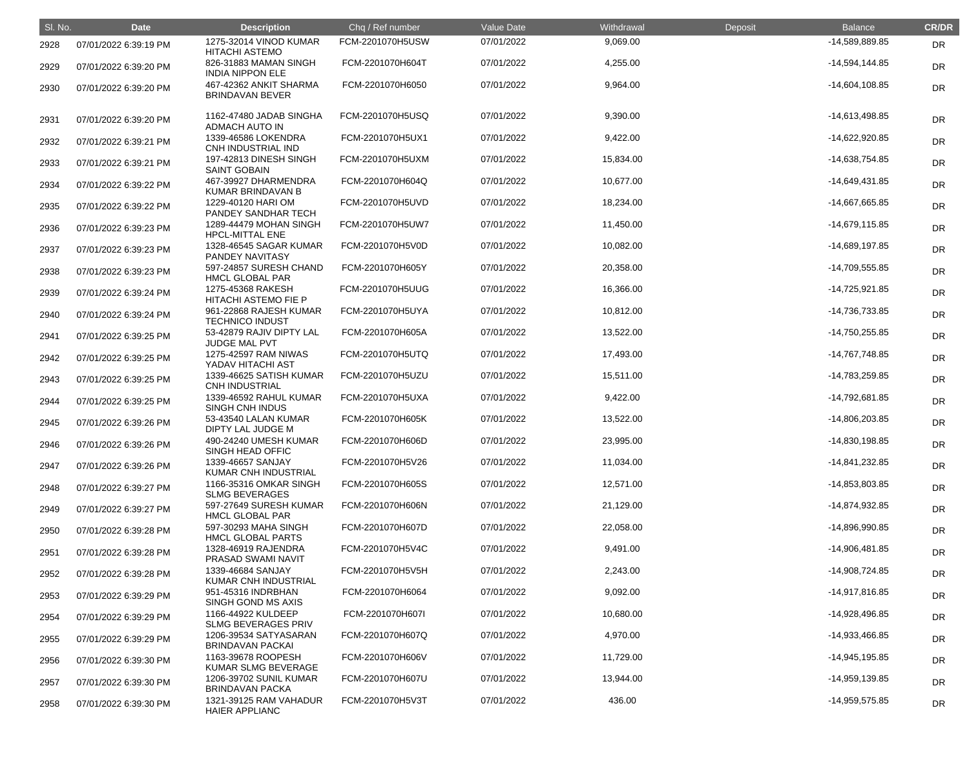| SI. No. | <b>Date</b>           | <b>Description</b>                               | Chq / Ref number | Value Date | Withdrawal | Deposit | <b>Balance</b>   | <b>CR/DR</b> |
|---------|-----------------------|--------------------------------------------------|------------------|------------|------------|---------|------------------|--------------|
| 2928    | 07/01/2022 6:39:19 PM | 1275-32014 VINOD KUMAR<br><b>HITACHI ASTEMO</b>  | FCM-2201070H5USW | 07/01/2022 | 9,069.00   |         | -14,589,889.85   | <b>DR</b>    |
| 2929    | 07/01/2022 6:39:20 PM | 826-31883 MAMAN SINGH<br><b>INDIA NIPPON ELE</b> | FCM-2201070H604T | 07/01/2022 | 4,255.00   |         | $-14,594,144.85$ | <b>DR</b>    |
| 2930    | 07/01/2022 6:39:20 PM | 467-42362 ANKIT SHARMA<br><b>BRINDAVAN BEVER</b> | FCM-2201070H6050 | 07/01/2022 | 9,964.00   |         | $-14,604,108.85$ | DR           |
| 2931    | 07/01/2022 6:39:20 PM | 1162-47480 JADAB SINGHA<br><b>ADMACH AUTO IN</b> | FCM-2201070H5USQ | 07/01/2022 | 9,390.00   |         | -14,613,498.85   | DR           |
| 2932    | 07/01/2022 6:39:21 PM | 1339-46586 LOKENDRA<br>CNH INDUSTRIAL IND        | FCM-2201070H5UX1 | 07/01/2022 | 9,422.00   |         | -14,622,920.85   | <b>DR</b>    |
| 2933    | 07/01/2022 6:39:21 PM | 197-42813 DINESH SINGH<br><b>SAINT GOBAIN</b>    | FCM-2201070H5UXM | 07/01/2022 | 15,834.00  |         | -14,638,754.85   | DR           |
| 2934    | 07/01/2022 6:39:22 PM | 467-39927 DHARMENDRA<br>KUMAR BRINDAVAN B        | FCM-2201070H604Q | 07/01/2022 | 10,677.00  |         | -14,649,431.85   | DR           |
| 2935    | 07/01/2022 6:39:22 PM | 1229-40120 HARI OM<br>PANDEY SANDHAR TECH        | FCM-2201070H5UVD | 07/01/2022 | 18,234.00  |         | -14,667,665.85   | DR           |
| 2936    | 07/01/2022 6:39:23 PM | 1289-44479 MOHAN SINGH<br><b>HPCL-MITTAL ENE</b> | FCM-2201070H5UW7 | 07/01/2022 | 11,450.00  |         | -14,679,115.85   | <b>DR</b>    |
| 2937    | 07/01/2022 6:39:23 PM | 1328-46545 SAGAR KUMAR<br>PANDEY NAVITASY        | FCM-2201070H5V0D | 07/01/2022 | 10,082.00  |         | -14,689,197.85   | DR           |
| 2938    | 07/01/2022 6:39:23 PM | 597-24857 SURESH CHAND<br><b>HMCL GLOBAL PAR</b> | FCM-2201070H605Y | 07/01/2022 | 20,358.00  |         | -14,709,555.85   | DR           |
| 2939    | 07/01/2022 6:39:24 PM | 1275-45368 RAKESH<br>HITACHI ASTEMO FIE P        | FCM-2201070H5UUG | 07/01/2022 | 16,366.00  |         | -14,725,921.85   | DR           |
| 2940    | 07/01/2022 6:39:24 PM | 961-22868 RAJESH KUMAR<br><b>TECHNICO INDUST</b> | FCM-2201070H5UYA | 07/01/2022 | 10,812.00  |         | -14,736,733.85   | <b>DR</b>    |
| 2941    | 07/01/2022 6:39:25 PM | 53-42879 RAJIV DIPTY LAL<br><b>JUDGE MAL PVT</b> | FCM-2201070H605A | 07/01/2022 | 13,522.00  |         | -14,750,255.85   | DR           |
| 2942    | 07/01/2022 6:39:25 PM | 1275-42597 RAM NIWAS<br>YADAV HITACHI AST        | FCM-2201070H5UTQ | 07/01/2022 | 17,493.00  |         | -14,767,748.85   | DR           |
| 2943    | 07/01/2022 6:39:25 PM | 1339-46625 SATISH KUMAR<br><b>CNH INDUSTRIAL</b> | FCM-2201070H5UZU | 07/01/2022 | 15,511.00  |         | -14,783,259.85   | DR           |
| 2944    | 07/01/2022 6:39:25 PM | 1339-46592 RAHUL KUMAR<br><b>SINGH CNH INDUS</b> | FCM-2201070H5UXA | 07/01/2022 | 9,422.00   |         | -14,792,681.85   | <b>DR</b>    |
| 2945    | 07/01/2022 6:39:26 PM | 53-43540 LALAN KUMAR<br>DIPTY LAL JUDGE M        | FCM-2201070H605K | 07/01/2022 | 13,522.00  |         | -14,806,203.85   | DR           |
| 2946    | 07/01/2022 6:39:26 PM | 490-24240 UMESH KUMAR<br>SINGH HEAD OFFIC        | FCM-2201070H606D | 07/01/2022 | 23,995.00  |         | -14,830,198.85   | DR           |
| 2947    | 07/01/2022 6:39:26 PM | 1339-46657 SANJAY<br><b>KUMAR CNH INDUSTRIAL</b> | FCM-2201070H5V26 | 07/01/2022 | 11,034.00  |         | -14,841,232.85   | <b>DR</b>    |
| 2948    | 07/01/2022 6:39:27 PM | 1166-35316 OMKAR SINGH<br><b>SLMG BEVERAGES</b>  | FCM-2201070H605S | 07/01/2022 | 12,571.00  |         | -14,853,803.85   | DR           |
| 2949    | 07/01/2022 6:39:27 PM | 597-27649 SURESH KUMAR<br><b>HMCL GLOBAL PAR</b> | FCM-2201070H606N | 07/01/2022 | 21,129.00  |         | -14,874,932.85   | DR           |
| 2950    | 07/01/2022 6:39:28 PM | 597-30293 MAHA SINGH<br><b>HMCL GLOBAL PARTS</b> | FCM-2201070H607D | 07/01/2022 | 22,058.00  |         | -14,896,990.85   | <b>DR</b>    |
| 2951    | 07/01/2022 6:39:28 PM | 1328-46919 RAJENDRA<br><b>PRASAD SWAMI NAVIT</b> | FCM-2201070H5V4C | 07/01/2022 | 9,491.00   |         | -14,906,481.85   | <b>DR</b>    |
| 2952    | 07/01/2022 6:39:28 PM | 1339-46684 SANJAY<br><b>KUMAR CNH INDUSTRIAL</b> | FCM-2201070H5V5H | 07/01/2022 | 2,243.00   |         | -14,908,724.85   | DR           |
| 2953    | 07/01/2022 6:39:29 PM | 951-45316 INDRBHAN<br>SINGH GOND MS AXIS         | FCM-2201070H6064 | 07/01/2022 | 9,092.00   |         | -14,917,816.85   | DR           |
| 2954    | 07/01/2022 6:39:29 PM | 1166-44922 KULDEEP<br><b>SLMG BEVERAGES PRIV</b> | FCM-2201070H607I | 07/01/2022 | 10,680.00  |         | -14,928,496.85   | <b>DR</b>    |
| 2955    | 07/01/2022 6:39:29 PM | 1206-39534 SATYASARAN<br><b>BRINDAVAN PACKAI</b> | FCM-2201070H607Q | 07/01/2022 | 4,970.00   |         | -14,933,466.85   | <b>DR</b>    |
| 2956    | 07/01/2022 6:39:30 PM | 1163-39678 ROOPESH<br>KUMAR SLMG BEVERAGE        | FCM-2201070H606V | 07/01/2022 | 11,729.00  |         | -14,945,195.85   | DR           |
| 2957    | 07/01/2022 6:39:30 PM | 1206-39702 SUNIL KUMAR<br><b>BRINDAVAN PACKA</b> | FCM-2201070H607U | 07/01/2022 | 13,944.00  |         | -14,959,139.85   | <b>DR</b>    |
| 2958    | 07/01/2022 6:39:30 PM | 1321-39125 RAM VAHADUR<br><b>HAIER APPLIANC</b>  | FCM-2201070H5V3T | 07/01/2022 | 436.00     |         | -14,959,575.85   | <b>DR</b>    |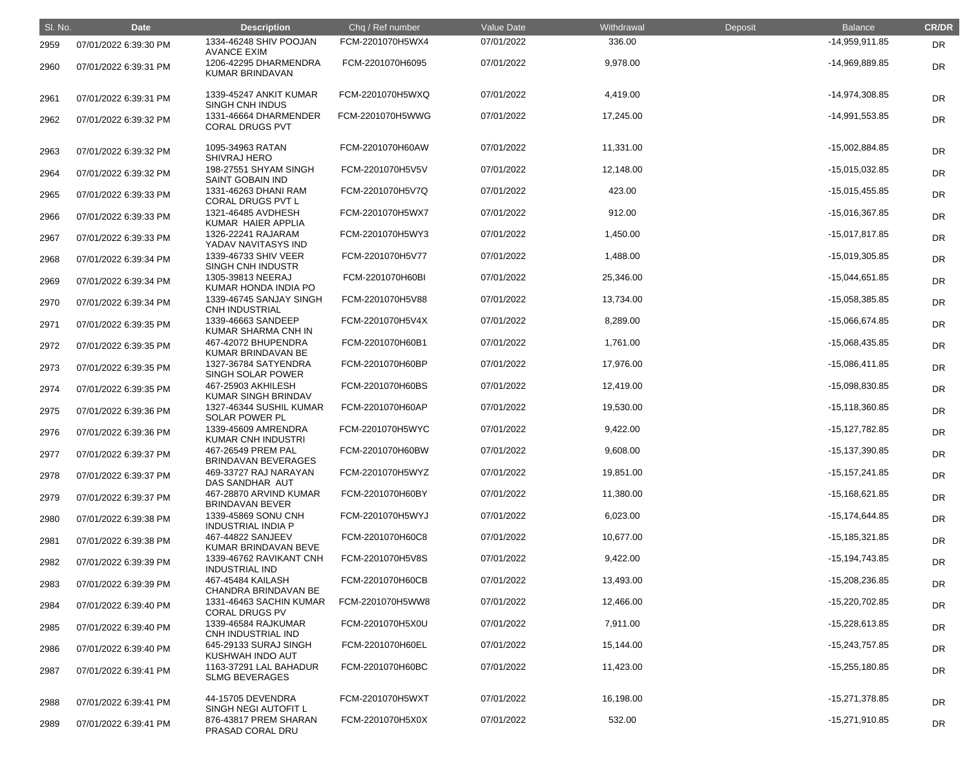| SI. No. | <b>Date</b>           | <b>Description</b>                               | Chq / Ref number | Value Date | Withdrawal | Deposit | <b>Balance</b>     | <b>CR/DR</b> |
|---------|-----------------------|--------------------------------------------------|------------------|------------|------------|---------|--------------------|--------------|
| 2959    | 07/01/2022 6:39:30 PM | 1334-46248 SHIV POOJAN<br><b>AVANCE EXIM</b>     | FCM-2201070H5WX4 | 07/01/2022 | 336.00     |         | $-14,959,911.85$   | <b>DR</b>    |
| 2960    | 07/01/2022 6:39:31 PM | 1206-42295 DHARMENDRA<br>KUMAR BRINDAVAN         | FCM-2201070H6095 | 07/01/2022 | 9,978.00   |         | -14,969,889.85     | <b>DR</b>    |
| 2961    | 07/01/2022 6:39:31 PM | 1339-45247 ANKIT KUMAR<br>SINGH CNH INDUS        | FCM-2201070H5WXQ | 07/01/2022 | 4,419.00   |         | -14,974,308.85     | <b>DR</b>    |
| 2962    | 07/01/2022 6:39:32 PM | 1331-46664 DHARMENDER<br><b>CORAL DRUGS PVT</b>  | FCM-2201070H5WWG | 07/01/2022 | 17,245.00  |         | $-14,991,553.85$   | DR           |
| 2963    | 07/01/2022 6:39:32 PM | 1095-34963 RATAN<br><b>SHIVRAJ HERO</b>          | FCM-2201070H60AW | 07/01/2022 | 11,331.00  |         | $-15,002,884.85$   | <b>DR</b>    |
| 2964    | 07/01/2022 6:39:32 PM | 198-27551 SHYAM SINGH<br><b>SAINT GOBAIN IND</b> | FCM-2201070H5V5V | 07/01/2022 | 12,148.00  |         | $-15,015,032.85$   | <b>DR</b>    |
| 2965    | 07/01/2022 6:39:33 PM | 1331-46263 DHANI RAM<br><b>CORAL DRUGS PVT L</b> | FCM-2201070H5V7Q | 07/01/2022 | 423.00     |         | $-15,015,455.85$   | <b>DR</b>    |
| 2966    | 07/01/2022 6:39:33 PM | 1321-46485 AVDHESH<br>KUMAR HAIER APPLIA         | FCM-2201070H5WX7 | 07/01/2022 | 912.00     |         | -15,016,367.85     | <b>DR</b>    |
| 2967    | 07/01/2022 6:39:33 PM | 1326-22241 RAJARAM<br>YADAV NAVITASYS IND        | FCM-2201070H5WY3 | 07/01/2022 | 1,450.00   |         | $-15,017,817.85$   | <b>DR</b>    |
| 2968    | 07/01/2022 6:39:34 PM | 1339-46733 SHIV VEER<br>SINGH CNH INDUSTR        | FCM-2201070H5V77 | 07/01/2022 | 1,488.00   |         | $-15,019,305.85$   | <b>DR</b>    |
| 2969    | 07/01/2022 6:39:34 PM | 1305-39813 NEERAJ<br>KUMAR HONDA INDIA PO        | FCM-2201070H60BI | 07/01/2022 | 25,346.00  |         | $-15,044,651.85$   | <b>DR</b>    |
| 2970    | 07/01/2022 6:39:34 PM | 1339-46745 SANJAY SINGH<br><b>CNH INDUSTRIAL</b> | FCM-2201070H5V88 | 07/01/2022 | 13,734.00  |         | -15,058,385.85     | DR           |
| 2971    | 07/01/2022 6:39:35 PM | 1339-46663 SANDEEP<br>KUMAR SHARMA CNH IN        | FCM-2201070H5V4X | 07/01/2022 | 8,289.00   |         | -15,066,674.85     | <b>DR</b>    |
| 2972    | 07/01/2022 6:39:35 PM | 467-42072 BHUPENDRA<br>KUMAR BRINDAVAN BE        | FCM-2201070H60B1 | 07/01/2022 | 1,761.00   |         | $-15,068,435.85$   | <b>DR</b>    |
| 2973    | 07/01/2022 6:39:35 PM | 1327-36784 SATYENDRA<br><b>SINGH SOLAR POWER</b> | FCM-2201070H60BP | 07/01/2022 | 17,976.00  |         | $-15,086,411.85$   | <b>DR</b>    |
| 2974    | 07/01/2022 6:39:35 PM | 467-25903 AKHILESH<br>KUMAR SINGH BRINDAV        | FCM-2201070H60BS | 07/01/2022 | 12,419.00  |         | -15,098,830.85     | DR           |
| 2975    | 07/01/2022 6:39:36 PM | 1327-46344 SUSHIL KUMAR<br>SOLAR POWER PL        | FCM-2201070H60AP | 07/01/2022 | 19,530.00  |         | $-15,118,360.85$   | <b>DR</b>    |
| 2976    | 07/01/2022 6:39:36 PM | 1339-45609 AMRENDRA<br><b>KUMAR CNH INDUSTRI</b> | FCM-2201070H5WYC | 07/01/2022 | 9,422.00   |         | -15,127,782.85     | <b>DR</b>    |
| 2977    | 07/01/2022 6:39:37 PM | 467-26549 PREM PAL<br><b>BRINDAVAN BEVERAGES</b> | FCM-2201070H60BW | 07/01/2022 | 9,608.00   |         | -15,137,390.85     | <b>DR</b>    |
| 2978    | 07/01/2022 6:39:37 PM | 469-33727 RAJ NARAYAN<br>DAS SANDHAR AUT         | FCM-2201070H5WYZ | 07/01/2022 | 19,851.00  |         | $-15, 157, 241.85$ | <b>DR</b>    |
| 2979    | 07/01/2022 6:39:37 PM | 467-28870 ARVIND KUMAR<br><b>BRINDAVAN BEVER</b> | FCM-2201070H60BY | 07/01/2022 | 11,380.00  |         | $-15,168,621.85$   | <b>DR</b>    |
| 2980    | 07/01/2022 6:39:38 PM | 1339-45869 SONU CNH<br><b>INDUSTRIAL INDIA P</b> | FCM-2201070H5WYJ | 07/01/2022 | 6,023.00   |         | $-15, 174, 644.85$ | <b>DR</b>    |
| 2981    | 07/01/2022 6:39:38 PM | 467-44822 SANJEEV<br>KUMAR BRINDAVAN BEVE        | FCM-2201070H60C8 | 07/01/2022 | 10,677.00  |         | $-15,185,321.85$   | <b>DR</b>    |
| 2982    | 07/01/2022 6:39:39 PM | 1339-46762 RAVIKANT CNH<br><b>INDUSTRIAL IND</b> | FCM-2201070H5V8S | 07/01/2022 | 9,422.00   |         | -15,194,743.85     | <b>DR</b>    |
| 2983    | 07/01/2022 6:39:39 PM | 467-45484 KAILASH<br>CHANDRA BRINDAVAN BE        | FCM-2201070H60CB | 07/01/2022 | 13,493.00  |         | -15,208,236.85     | <b>DR</b>    |
| 2984    | 07/01/2022 6:39:40 PM | 1331-46463 SACHIN KUMAR<br><b>CORAL DRUGS PV</b> | FCM-2201070H5WW8 | 07/01/2022 | 12,466.00  |         | -15,220,702.85     | <b>DR</b>    |
| 2985    | 07/01/2022 6:39:40 PM | 1339-46584 RAJKUMAR<br>CNH INDUSTRIAL IND        | FCM-2201070H5X0U | 07/01/2022 | 7,911.00   |         | $-15,228,613.85$   | <b>DR</b>    |
| 2986    | 07/01/2022 6:39:40 PM | 645-29133 SURAJ SINGH<br>KUSHWAH INDO AUT        | FCM-2201070H60EL | 07/01/2022 | 15,144.00  |         | -15,243,757.85     | <b>DR</b>    |
| 2987    | 07/01/2022 6:39:41 PM | 1163-37291 LAL BAHADUR<br><b>SLMG BEVERAGES</b>  | FCM-2201070H60BC | 07/01/2022 | 11,423.00  |         | $-15,255,180.85$   | <b>DR</b>    |
| 2988    | 07/01/2022 6:39:41 PM | 44-15705 DEVENDRA<br>SINGH NEGI AUTOFIT L        | FCM-2201070H5WXT | 07/01/2022 | 16,198.00  |         | $-15,271,378.85$   | <b>DR</b>    |
| 2989    | 07/01/2022 6:39:41 PM | 876-43817 PREM SHARAN<br>PRASAD CORAL DRU        | FCM-2201070H5X0X | 07/01/2022 | 532.00     |         | $-15,271,910.85$   | <b>DR</b>    |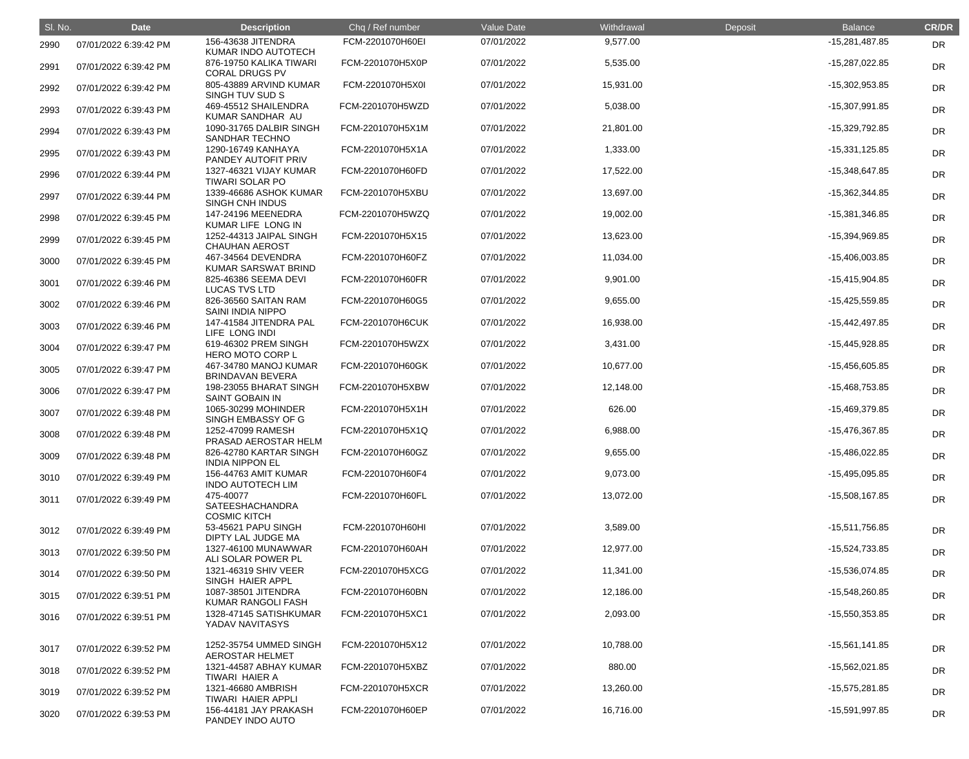| SI. No. | <b>Date</b>           | <b>Description</b>                                  | Chq / Ref number | Value Date | Withdrawal | Deposit | <b>Balance</b>   | <b>CR/DR</b> |
|---------|-----------------------|-----------------------------------------------------|------------------|------------|------------|---------|------------------|--------------|
| 2990    | 07/01/2022 6:39:42 PM | 156-43638 JITENDRA<br>KUMAR INDO AUTOTECH           | FCM-2201070H60EI | 07/01/2022 | 9,577.00   |         | -15,281,487.85   | <b>DR</b>    |
| 2991    | 07/01/2022 6:39:42 PM | 876-19750 KALIKA TIWARI<br><b>CORAL DRUGS PV</b>    | FCM-2201070H5X0P | 07/01/2022 | 5,535.00   |         | -15,287,022.85   | <b>DR</b>    |
| 2992    | 07/01/2022 6:39:42 PM | 805-43889 ARVIND KUMAR<br>SINGH TUV SUD S           | FCM-2201070H5X0I | 07/01/2022 | 15,931.00  |         | -15,302,953.85   | <b>DR</b>    |
| 2993    | 07/01/2022 6:39:43 PM | 469-45512 SHAILENDRA<br>KUMAR SANDHAR AU            | FCM-2201070H5WZD | 07/01/2022 | 5,038.00   |         | -15,307,991.85   | <b>DR</b>    |
| 2994    | 07/01/2022 6:39:43 PM | 1090-31765 DALBIR SINGH<br>SANDHAR TECHNO           | FCM-2201070H5X1M | 07/01/2022 | 21,801.00  |         | -15,329,792.85   | <b>DR</b>    |
| 2995    | 07/01/2022 6:39:43 PM | 1290-16749 KANHAYA<br>PANDEY AUTOFIT PRIV           | FCM-2201070H5X1A | 07/01/2022 | 1,333.00   |         | $-15,331,125.85$ | <b>DR</b>    |
| 2996    | 07/01/2022 6:39:44 PM | 1327-46321 VIJAY KUMAR<br><b>TIWARI SOLAR PO</b>    | FCM-2201070H60FD | 07/01/2022 | 17,522.00  |         | -15,348,647.85   | <b>DR</b>    |
| 2997    | 07/01/2022 6:39:44 PM | 1339-46686 ASHOK KUMAR<br><b>SINGH CNH INDUS</b>    | FCM-2201070H5XBU | 07/01/2022 | 13,697.00  |         | -15,362,344.85   | <b>DR</b>    |
| 2998    | 07/01/2022 6:39:45 PM | 147-24196 MEENEDRA<br>KUMAR LIFE LONG IN            | FCM-2201070H5WZQ | 07/01/2022 | 19,002.00  |         | -15,381,346.85   | <b>DR</b>    |
| 2999    | 07/01/2022 6:39:45 PM | 1252-44313 JAIPAL SINGH<br><b>CHAUHAN AEROST</b>    | FCM-2201070H5X15 | 07/01/2022 | 13,623.00  |         | -15,394,969.85   | DR           |
| 3000    | 07/01/2022 6:39:45 PM | 467-34564 DEVENDRA<br>KUMAR SARSWAT BRIND           | FCM-2201070H60FZ | 07/01/2022 | 11,034.00  |         | $-15,406,003.85$ | <b>DR</b>    |
| 3001    | 07/01/2022 6:39:46 PM | 825-46386 SEEMA DEVI<br><b>LUCAS TVS LTD</b>        | FCM-2201070H60FR | 07/01/2022 | 9,901.00   |         | $-15,415,904.85$ | <b>DR</b>    |
| 3002    | 07/01/2022 6:39:46 PM | 826-36560 SAITAN RAM<br><b>SAINI INDIA NIPPO</b>    | FCM-2201070H60G5 | 07/01/2022 | 9,655.00   |         | -15,425,559.85   | <b>DR</b>    |
| 3003    | 07/01/2022 6:39:46 PM | 147-41584 JITENDRA PAL<br>LIFE LONG INDI            | FCM-2201070H6CUK | 07/01/2022 | 16,938.00  |         | -15,442,497.85   | DR           |
| 3004    | 07/01/2022 6:39:47 PM | 619-46302 PREM SINGH<br><b>HERO MOTO CORP L</b>     | FCM-2201070H5WZX | 07/01/2022 | 3,431.00   |         | -15,445,928.85   | DR           |
| 3005    | 07/01/2022 6:39:47 PM | 467-34780 MANOJ KUMAR<br><b>BRINDAVAN BEVERA</b>    | FCM-2201070H60GK | 07/01/2022 | 10,677.00  |         | -15,456,605.85   | DR           |
| 3006    | 07/01/2022 6:39:47 PM | 198-23055 BHARAT SINGH<br><b>SAINT GOBAIN IN</b>    | FCM-2201070H5XBW | 07/01/2022 | 12,148.00  |         | -15,468,753.85   | <b>DR</b>    |
| 3007    | 07/01/2022 6:39:48 PM | 1065-30299 MOHINDER<br>SINGH EMBASSY OF G           | FCM-2201070H5X1H | 07/01/2022 | 626.00     |         | -15,469,379.85   | DR           |
| 3008    | 07/01/2022 6:39:48 PM | 1252-47099 RAMESH<br>PRASAD AEROSTAR HELM           | FCM-2201070H5X1Q | 07/01/2022 | 6,988.00   |         | -15,476,367.85   | <b>DR</b>    |
| 3009    | 07/01/2022 6:39:48 PM | 826-42780 KARTAR SINGH<br><b>INDIA NIPPON EL</b>    | FCM-2201070H60GZ | 07/01/2022 | 9,655.00   |         | -15,486,022.85   | <b>DR</b>    |
| 3010    | 07/01/2022 6:39:49 PM | 156-44763 AMIT KUMAR<br><b>INDO AUTOTECH LIM</b>    | FCM-2201070H60F4 | 07/01/2022 | 9,073.00   |         | -15,495,095.85   | <b>DR</b>    |
| 3011    | 07/01/2022 6:39:49 PM | 475-40077<br>SATEESHACHANDRA<br><b>COSMIC KITCH</b> | FCM-2201070H60FL | 07/01/2022 | 13,072.00  |         | $-15,508,167.85$ | <b>DR</b>    |
| 3012    | 07/01/2022 6:39:49 PM | 53-45621 PAPU SINGH<br>DIPTY LAL JUDGE MA           | FCM-2201070H60HI | 07/01/2022 | 3,589.00   |         | $-15,511,756.85$ | DR           |
| 3013    | 07/01/2022 6:39:50 PM | 1327-46100 MUNAWWAR<br>ALI SOLAR POWER PL           | FCM-2201070H60AH | 07/01/2022 | 12,977.00  |         | -15,524,733.85   | <b>DR</b>    |
| 3014    | 07/01/2022 6:39:50 PM | 1321-46319 SHIV VEER<br>SINGH HAIER APPL            | FCM-2201070H5XCG | 07/01/2022 | 11,341.00  |         | -15,536,074.85   | <b>DR</b>    |
| 3015    | 07/01/2022 6:39:51 PM | 1087-38501 JITENDRA<br>KUMAR RANGOLI FASH           | FCM-2201070H60BN | 07/01/2022 | 12,186.00  |         | -15,548,260.85   | <b>DR</b>    |
| 3016    | 07/01/2022 6:39:51 PM | 1328-47145 SATISHKUMAR<br>YADAV NAVITASYS           | FCM-2201070H5XC1 | 07/01/2022 | 2,093.00   |         | -15,550,353.85   | <b>DR</b>    |
| 3017    | 07/01/2022 6:39:52 PM | 1252-35754 UMMED SINGH<br><b>AEROSTAR HELMET</b>    | FCM-2201070H5X12 | 07/01/2022 | 10,788.00  |         | $-15,561,141.85$ | <b>DR</b>    |
| 3018    | 07/01/2022 6:39:52 PM | 1321-44587 ABHAY KUMAR<br><b>TIWARI HAIER A</b>     | FCM-2201070H5XBZ | 07/01/2022 | 880.00     |         | -15,562,021.85   | <b>DR</b>    |
| 3019    | 07/01/2022 6:39:52 PM | 1321-46680 AMBRISH<br><b>TIWARI HAIER APPLI</b>     | FCM-2201070H5XCR | 07/01/2022 | 13,260.00  |         | -15,575,281.85   | <b>DR</b>    |
| 3020    | 07/01/2022 6:39:53 PM | 156-44181 JAY PRAKASH<br>PANDEY INDO AUTO           | FCM-2201070H60EP | 07/01/2022 | 16,716.00  |         | -15,591,997.85   | <b>DR</b>    |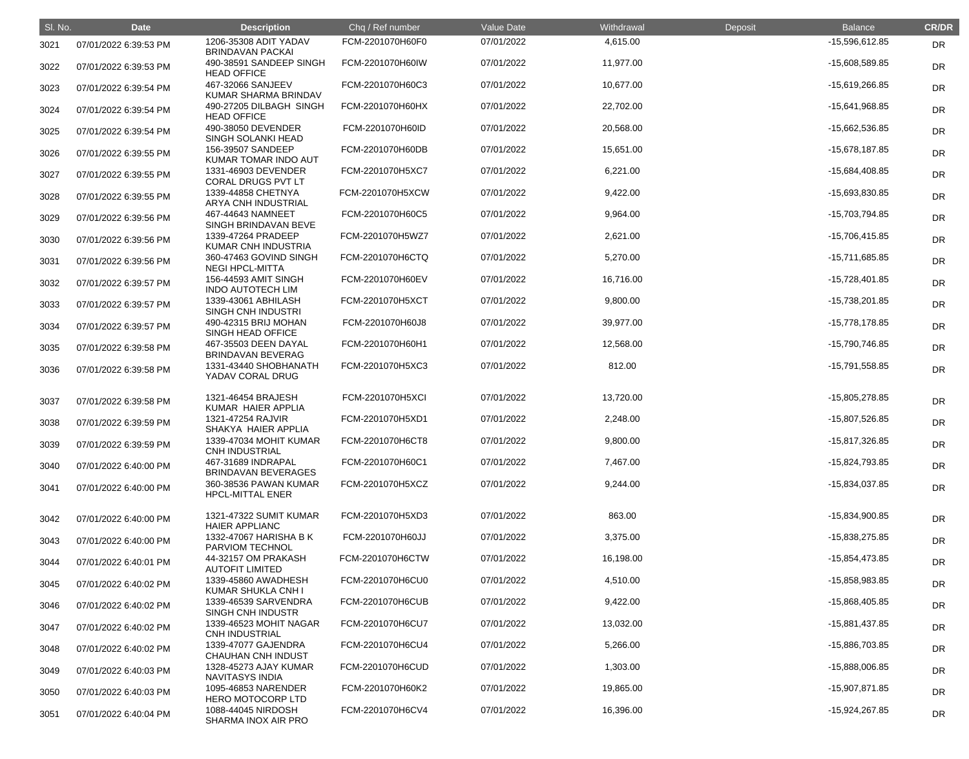| SI. No. | <b>Date</b>           | <b>Description</b>                               | Chq / Ref number | Value Date | Withdrawal | Deposit | <b>Balance</b> | <b>CR/DR</b> |
|---------|-----------------------|--------------------------------------------------|------------------|------------|------------|---------|----------------|--------------|
| 3021    | 07/01/2022 6:39:53 PM | 1206-35308 ADIT YADAV<br><b>BRINDAVAN PACKAI</b> | FCM-2201070H60F0 | 07/01/2022 | 4,615.00   |         | -15,596,612.85 | DR           |
| 3022    | 07/01/2022 6:39:53 PM | 490-38591 SANDEEP SINGH<br><b>HEAD OFFICE</b>    | FCM-2201070H60IW | 07/01/2022 | 11,977.00  |         | -15,608,589.85 | <b>DR</b>    |
| 3023    | 07/01/2022 6:39:54 PM | 467-32066 SANJEEV<br>KUMAR SHARMA BRINDAV        | FCM-2201070H60C3 | 07/01/2022 | 10,677.00  |         | -15,619,266.85 | <b>DR</b>    |
| 3024    | 07/01/2022 6:39:54 PM | 490-27205 DILBAGH SINGH<br><b>HEAD OFFICE</b>    | FCM-2201070H60HX | 07/01/2022 | 22,702.00  |         | -15,641,968.85 | DR           |
| 3025    | 07/01/2022 6:39:54 PM | 490-38050 DEVENDER<br>SINGH SOLANKI HEAD         | FCM-2201070H60ID | 07/01/2022 | 20,568.00  |         | -15,662,536.85 | DR           |
| 3026    | 07/01/2022 6:39:55 PM | 156-39507 SANDEEP<br>KUMAR TOMAR INDO AUT        | FCM-2201070H60DB | 07/01/2022 | 15,651.00  |         | -15,678,187.85 | <b>DR</b>    |
| 3027    | 07/01/2022 6:39:55 PM | 1331-46903 DEVENDER<br>CORAL DRUGS PVT LT        | FCM-2201070H5XC7 | 07/01/2022 | 6,221.00   |         | -15,684,408.85 | <b>DR</b>    |
| 3028    | 07/01/2022 6:39:55 PM | 1339-44858 CHETNYA<br>ARYA CNH INDUSTRIAL        | FCM-2201070H5XCW | 07/01/2022 | 9,422.00   |         | -15,693,830.85 | DR           |
| 3029    | 07/01/2022 6:39:56 PM | 467-44643 NAMNEET<br>SINGH BRINDAVAN BEVE        | FCM-2201070H60C5 | 07/01/2022 | 9,964.00   |         | -15,703,794.85 | DR           |
| 3030    | 07/01/2022 6:39:56 PM | 1339-47264 PRADEEP<br>KUMAR CNH INDUSTRIA        | FCM-2201070H5WZ7 | 07/01/2022 | 2,621.00   |         | -15,706,415.85 | <b>DR</b>    |
| 3031    | 07/01/2022 6:39:56 PM | 360-47463 GOVIND SINGH<br><b>NEGI HPCL-MITTA</b> | FCM-2201070H6CTQ | 07/01/2022 | 5,270.00   |         | -15,711,685.85 | DR           |
| 3032    | 07/01/2022 6:39:57 PM | 156-44593 AMIT SINGH<br><b>INDO AUTOTECH LIM</b> | FCM-2201070H60EV | 07/01/2022 | 16,716.00  |         | -15,728,401.85 | DR           |
| 3033    | 07/01/2022 6:39:57 PM | 1339-43061 ABHILASH<br><b>SINGH CNH INDUSTRI</b> | FCM-2201070H5XCT | 07/01/2022 | 9,800.00   |         | -15,738,201.85 | <b>DR</b>    |
| 3034    | 07/01/2022 6:39:57 PM | 490-42315 BRIJ MOHAN<br>SINGH HEAD OFFICE        | FCM-2201070H60J8 | 07/01/2022 | 39,977.00  |         | -15,778,178.85 | <b>DR</b>    |
| 3035    | 07/01/2022 6:39:58 PM | 467-35503 DEEN DAYAL<br><b>BRINDAVAN BEVERAG</b> | FCM-2201070H60H1 | 07/01/2022 | 12,568.00  |         | -15,790,746.85 | DR           |
| 3036    | 07/01/2022 6:39:58 PM | 1331-43440 SHOBHANATH<br>YADAV CORAL DRUG        | FCM-2201070H5XC3 | 07/01/2022 | 812.00     |         | -15,791,558.85 | DR           |
| 3037    | 07/01/2022 6:39:58 PM | 1321-46454 BRAJESH<br>KUMAR HAIER APPLIA         | FCM-2201070H5XCI | 07/01/2022 | 13,720.00  |         | -15,805,278.85 | DR           |
| 3038    | 07/01/2022 6:39:59 PM | 1321-47254 RAJVIR<br>SHAKYA HAIER APPLIA         | FCM-2201070H5XD1 | 07/01/2022 | 2,248.00   |         | -15,807,526.85 | DR           |
| 3039    | 07/01/2022 6:39:59 PM | 1339-47034 MOHIT KUMAR<br><b>CNH INDUSTRIAL</b>  | FCM-2201070H6CT8 | 07/01/2022 | 9,800.00   |         | -15,817,326.85 | DR           |
| 3040    | 07/01/2022 6:40:00 PM | 467-31689 INDRAPAL<br><b>BRINDAVAN BEVERAGES</b> | FCM-2201070H60C1 | 07/01/2022 | 7,467.00   |         | -15,824,793.85 | <b>DR</b>    |
| 3041    | 07/01/2022 6:40:00 PM | 360-38536 PAWAN KUMAR<br><b>HPCL-MITTAL ENER</b> | FCM-2201070H5XCZ | 07/01/2022 | 9,244.00   |         | -15,834,037.85 | <b>DR</b>    |
| 3042    | 07/01/2022 6:40:00 PM | 1321-47322 SUMIT KUMAR<br><b>HAIER APPLIANC</b>  | FCM-2201070H5XD3 | 07/01/2022 | 863.00     |         | -15,834,900.85 | <b>DR</b>    |
| 3043    | 07/01/2022 6:40:00 PM | 1332-47067 HARISHA B K<br>PARVIOM TECHNOL        | FCM-2201070H60JJ | 07/01/2022 | 3,375.00   |         | -15,838,275.85 | <b>DR</b>    |
| 3044    | 07/01/2022 6:40:01 PM | 44-32157 OM PRAKASH<br><b>AUTOFIT LIMITED</b>    | FCM-2201070H6CTW | 07/01/2022 | 16,198.00  |         | -15,854,473.85 | DR           |
| 3045    | 07/01/2022 6:40:02 PM | 1339-45860 AWADHESH<br><b>KUMAR SHUKLA CNH I</b> | FCM-2201070H6CU0 | 07/01/2022 | 4,510.00   |         | -15,858,983.85 | <b>DR</b>    |
| 3046    | 07/01/2022 6:40:02 PM | 1339-46539 SARVENDRA<br>SINGH CNH INDUSTR        | FCM-2201070H6CUB | 07/01/2022 | 9,422.00   |         | -15,868,405.85 | <b>DR</b>    |
| 3047    | 07/01/2022 6:40:02 PM | 1339-46523 MOHIT NAGAR<br><b>CNH INDUSTRIAL</b>  | FCM-2201070H6CU7 | 07/01/2022 | 13,032.00  |         | -15,881,437.85 | <b>DR</b>    |
| 3048    | 07/01/2022 6:40:02 PM | 1339-47077 GAJENDRA<br><b>CHAUHAN CNH INDUST</b> | FCM-2201070H6CU4 | 07/01/2022 | 5,266.00   |         | -15,886,703.85 | DR           |
| 3049    | 07/01/2022 6:40:03 PM | 1328-45273 AJAY KUMAR<br><b>NAVITASYS INDIA</b>  | FCM-2201070H6CUD | 07/01/2022 | 1,303.00   |         | -15,888,006.85 | <b>DR</b>    |
| 3050    | 07/01/2022 6:40:03 PM | 1095-46853 NARENDER<br>HERO MOTOCORP LTD         | FCM-2201070H60K2 | 07/01/2022 | 19,865.00  |         | -15,907,871.85 | <b>DR</b>    |
| 3051    | 07/01/2022 6:40:04 PM | 1088-44045 NIRDOSH<br>SHARMA INOX AIR PRO        | FCM-2201070H6CV4 | 07/01/2022 | 16,396.00  |         | -15,924,267.85 | <b>DR</b>    |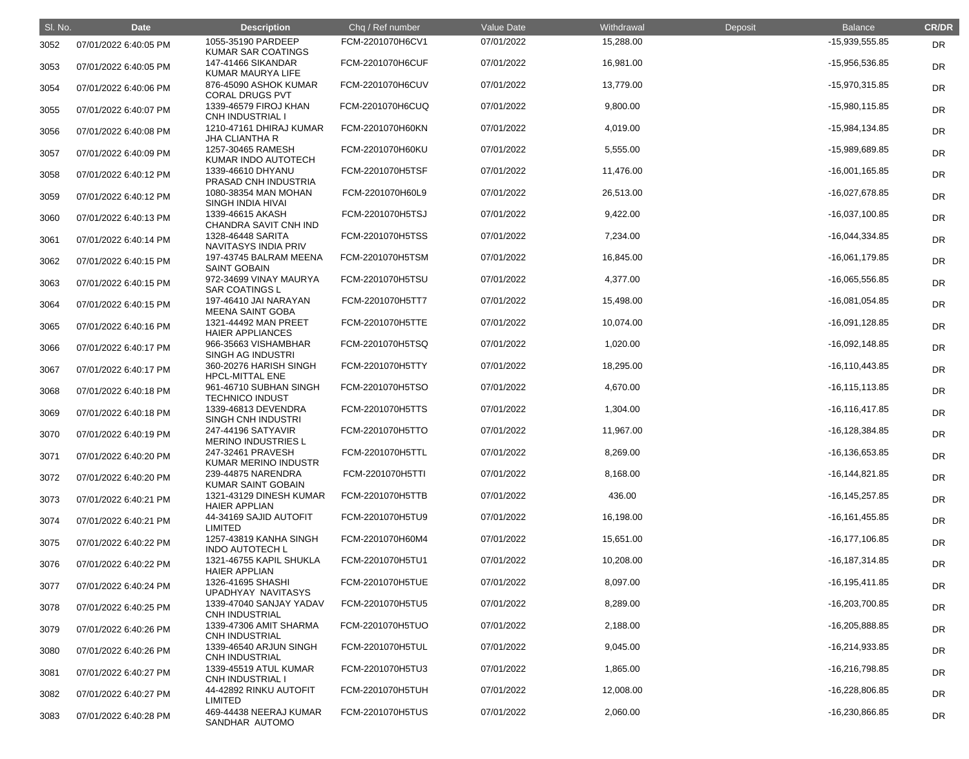| SI. No. | <b>Date</b>           | <b>Description</b>                               | Chq / Ref number | Value Date | Withdrawal | Deposit | <b>Balance</b>     | <b>CR/DR</b> |
|---------|-----------------------|--------------------------------------------------|------------------|------------|------------|---------|--------------------|--------------|
| 3052    | 07/01/2022 6:40:05 PM | 1055-35190 PARDEEP<br>KUMAR SAR COATINGS         | FCM-2201070H6CV1 | 07/01/2022 | 15,288.00  |         | -15,939,555.85     | <b>DR</b>    |
| 3053    | 07/01/2022 6:40:05 PM | 147-41466 SIKANDAR<br><b>KUMAR MAURYA LIFE</b>   | FCM-2201070H6CUF | 07/01/2022 | 16,981.00  |         | -15,956,536.85     | <b>DR</b>    |
| 3054    | 07/01/2022 6:40:06 PM | 876-45090 ASHOK KUMAR<br><b>CORAL DRUGS PVT</b>  | FCM-2201070H6CUV | 07/01/2022 | 13,779.00  |         | -15,970,315.85     | DR           |
| 3055    | 07/01/2022 6:40:07 PM | 1339-46579 FIROJ KHAN<br><b>CNH INDUSTRIAL I</b> | FCM-2201070H6CUQ | 07/01/2022 | 9,800.00   |         | -15,980,115.85     | <b>DR</b>    |
| 3056    | 07/01/2022 6:40:08 PM | 1210-47161 DHIRAJ KUMAR<br><b>JHA CLIANTHA R</b> | FCM-2201070H60KN | 07/01/2022 | 4,019.00   |         | -15,984,134.85     | <b>DR</b>    |
| 3057    | 07/01/2022 6:40:09 PM | 1257-30465 RAMESH<br>KUMAR INDO AUTOTECH         | FCM-2201070H60KU | 07/01/2022 | 5,555.00   |         | -15,989,689.85     | <b>DR</b>    |
| 3058    | 07/01/2022 6:40:12 PM | 1339-46610 DHYANU<br>PRASAD CNH INDUSTRIA        | FCM-2201070H5TSF | 07/01/2022 | 11,476.00  |         | $-16,001,165.85$   | <b>DR</b>    |
| 3059    | 07/01/2022 6:40:12 PM | 1080-38354 MAN MOHAN<br>SINGH INDIA HIVAI        | FCM-2201070H60L9 | 07/01/2022 | 26,513.00  |         | -16,027,678.85     | <b>DR</b>    |
| 3060    | 07/01/2022 6:40:13 PM | 1339-46615 AKASH<br>CHANDRA SAVIT CNH IND        | FCM-2201070H5TSJ | 07/01/2022 | 9,422.00   |         | $-16,037,100.85$   | <b>DR</b>    |
| 3061    | 07/01/2022 6:40:14 PM | 1328-46448 SARITA<br>NAVITASYS INDIA PRIV        | FCM-2201070H5TSS | 07/01/2022 | 7,234.00   |         | $-16,044,334.85$   | DR           |
| 3062    | 07/01/2022 6:40:15 PM | 197-43745 BALRAM MEENA<br><b>SAINT GOBAIN</b>    | FCM-2201070H5TSM | 07/01/2022 | 16,845.00  |         | $-16,061,179.85$   | <b>DR</b>    |
| 3063    | 07/01/2022 6:40:15 PM | 972-34699 VINAY MAURYA<br><b>SAR COATINGS L</b>  | FCM-2201070H5TSU | 07/01/2022 | 4,377.00   |         | $-16,065,556.85$   | <b>DR</b>    |
| 3064    | 07/01/2022 6:40:15 PM | 197-46410 JAI NARAYAN<br><b>MEENA SAINT GOBA</b> | FCM-2201070H5TT7 | 07/01/2022 | 15,498.00  |         | $-16,081,054.85$   | <b>DR</b>    |
| 3065    | 07/01/2022 6:40:16 PM | 1321-44492 MAN PREET<br><b>HAIER APPLIANCES</b>  | FCM-2201070H5TTE | 07/01/2022 | 10,074.00  |         | $-16,091,128.85$   | DR           |
| 3066    | 07/01/2022 6:40:17 PM | 966-35663 VISHAMBHAR<br>SINGH AG INDUSTRI        | FCM-2201070H5TSQ | 07/01/2022 | 1,020.00   |         | $-16,092,148.85$   | <b>DR</b>    |
| 3067    | 07/01/2022 6:40:17 PM | 360-20276 HARISH SINGH<br><b>HPCL-MITTAL ENE</b> | FCM-2201070H5TTY | 07/01/2022 | 18,295.00  |         | $-16, 110, 443.85$ | <b>DR</b>    |
| 3068    | 07/01/2022 6:40:18 PM | 961-46710 SUBHAN SINGH<br><b>TECHNICO INDUST</b> | FCM-2201070H5TSO | 07/01/2022 | 4,670.00   |         | $-16, 115, 113.85$ | <b>DR</b>    |
| 3069    | 07/01/2022 6:40:18 PM | 1339-46813 DEVENDRA<br>SINGH CNH INDUSTRI        | FCM-2201070H5TTS | 07/01/2022 | 1,304.00   |         | $-16, 116, 417.85$ | <b>DR</b>    |
| 3070    | 07/01/2022 6:40:19 PM | 247-44196 SATYAVIR<br><b>MERINO INDUSTRIES L</b> | FCM-2201070H5TTO | 07/01/2022 | 11,967.00  |         | $-16, 128, 384.85$ | <b>DR</b>    |
| 3071    | 07/01/2022 6:40:20 PM | 247-32461 PRAVESH<br><b>KUMAR MERINO INDUSTR</b> | FCM-2201070H5TTL | 07/01/2022 | 8,269.00   |         | $-16, 136, 653.85$ | <b>DR</b>    |
| 3072    | 07/01/2022 6:40:20 PM | 239-44875 NARENDRA<br>KUMAR SAINT GOBAIN         | FCM-2201070H5TTI | 07/01/2022 | 8,168.00   |         | $-16, 144, 821.85$ | <b>DR</b>    |
| 3073    | 07/01/2022 6:40:21 PM | 1321-43129 DINESH KUMAR<br><b>HAIER APPLIAN</b>  | FCM-2201070H5TTB | 07/01/2022 | 436.00     |         | $-16, 145, 257.85$ | <b>DR</b>    |
| 3074    | 07/01/2022 6:40:21 PM | 44-34169 SAJID AUTOFIT<br><b>LIMITED</b>         | FCM-2201070H5TU9 | 07/01/2022 | 16,198.00  |         | $-16, 161, 455.85$ | <b>DR</b>    |
| 3075    | 07/01/2022 6:40:22 PM | 1257-43819 KANHA SINGH<br><b>INDO AUTOTECH L</b> | FCM-2201070H60M4 | 07/01/2022 | 15,651.00  |         | $-16, 177, 106.85$ | <b>DR</b>    |
| 3076    | 07/01/2022 6:40:22 PM | 1321-46755 KAPIL SHUKLA<br><b>HAIER APPLIAN</b>  | FCM-2201070H5TU1 | 07/01/2022 | 10,208.00  |         | $-16, 187, 314.85$ | <b>DR</b>    |
| 3077    | 07/01/2022 6:40:24 PM | 1326-41695 SHASHI<br>UPADHYAY NAVITASYS          | FCM-2201070H5TUE | 07/01/2022 | 8,097.00   |         | $-16, 195, 411.85$ | <b>DR</b>    |
| 3078    | 07/01/2022 6:40:25 PM | 1339-47040 SANJAY YADAV<br><b>CNH INDUSTRIAL</b> | FCM-2201070H5TU5 | 07/01/2022 | 8,289.00   |         | -16,203,700.85     | <b>DR</b>    |
| 3079    | 07/01/2022 6:40:26 PM | 1339-47306 AMIT SHARMA<br><b>CNH INDUSTRIAL</b>  | FCM-2201070H5TUO | 07/01/2022 | 2,188.00   |         | -16,205,888.85     | <b>DR</b>    |
| 3080    | 07/01/2022 6:40:26 PM | 1339-46540 ARJUN SINGH<br><b>CNH INDUSTRIAL</b>  | FCM-2201070H5TUL | 07/01/2022 | 9,045.00   |         | $-16,214,933.85$   | <b>DR</b>    |
| 3081    | 07/01/2022 6:40:27 PM | 1339-45519 ATUL KUMAR<br><b>CNH INDUSTRIAL I</b> | FCM-2201070H5TU3 | 07/01/2022 | 1,865.00   |         | -16,216,798.85     | <b>DR</b>    |
| 3082    | 07/01/2022 6:40:27 PM | 44-42892 RINKU AUTOFIT<br><b>LIMITED</b>         | FCM-2201070H5TUH | 07/01/2022 | 12,008.00  |         | $-16,228,806.85$   | <b>DR</b>    |
| 3083    | 07/01/2022 6:40:28 PM | 469-44438 NEERAJ KUMAR<br>SANDHAR AUTOMO         | FCM-2201070H5TUS | 07/01/2022 | 2,060.00   |         | -16,230,866.85     | <b>DR</b>    |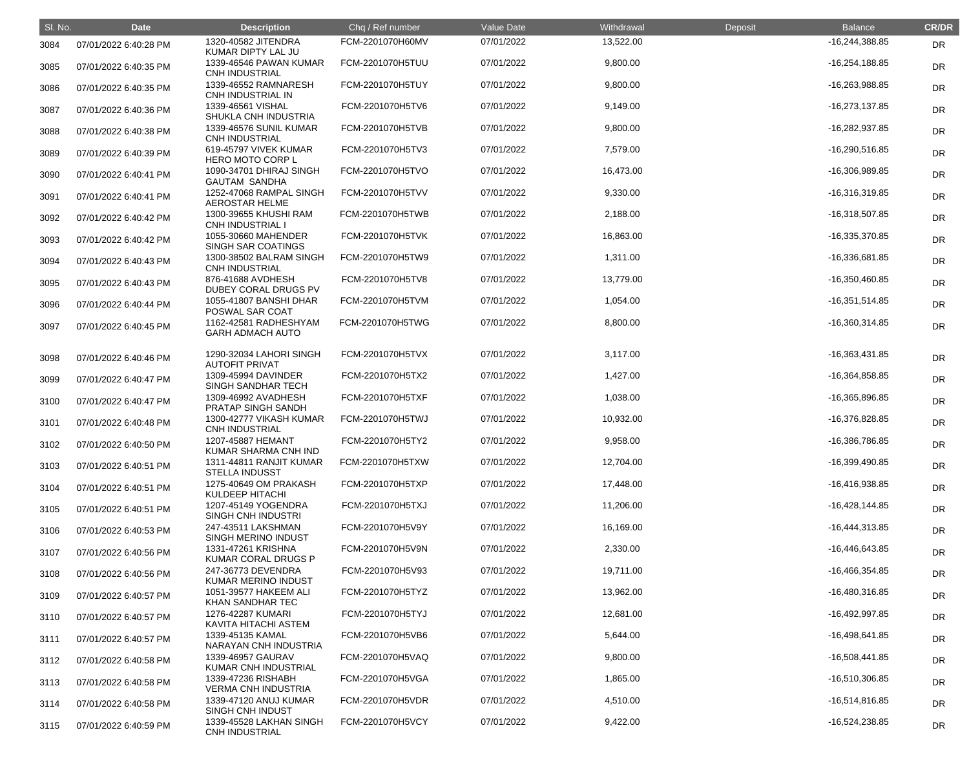| SI. No. | <b>Date</b>           | <b>Description</b>                                                   | Chq / Ref number | Value Date | Withdrawal | Deposit | <b>Balance</b>   | <b>CR/DR</b> |
|---------|-----------------------|----------------------------------------------------------------------|------------------|------------|------------|---------|------------------|--------------|
| 3084    | 07/01/2022 6:40:28 PM | 1320-40582 JITENDRA<br>KUMAR DIPTY LAL JU                            | FCM-2201070H60MV | 07/01/2022 | 13,522.00  |         | -16,244,388.85   | DR           |
| 3085    | 07/01/2022 6:40:35 PM | 1339-46546 PAWAN KUMAR<br><b>CNH INDUSTRIAL</b>                      | FCM-2201070H5TUU | 07/01/2022 | 9,800.00   |         | $-16,254,188.85$ | <b>DR</b>    |
| 3086    | 07/01/2022 6:40:35 PM | 1339-46552 RAMNARESH<br>CNH INDUSTRIAL IN                            | FCM-2201070H5TUY | 07/01/2022 | 9,800.00   |         | -16,263,988.85   | <b>DR</b>    |
| 3087    | 07/01/2022 6:40:36 PM | 1339-46561 VISHAL<br>SHUKLA CNH INDUSTRIA                            | FCM-2201070H5TV6 | 07/01/2022 | 9,149.00   |         | $-16,273,137.85$ | <b>DR</b>    |
| 3088    | 07/01/2022 6:40:38 PM | 1339-46576 SUNIL KUMAR<br><b>CNH INDUSTRIAL</b>                      | FCM-2201070H5TVB | 07/01/2022 | 9,800.00   |         | -16,282,937.85   | DR           |
| 3089    | 07/01/2022 6:40:39 PM | 619-45797 VIVEK KUMAR<br><b>HERO MOTO CORP L</b>                     | FCM-2201070H5TV3 | 07/01/2022 | 7,579.00   |         | -16,290,516.85   | <b>DR</b>    |
| 3090    | 07/01/2022 6:40:41 PM | 1090-34701 DHIRAJ SINGH<br><b>GAUTAM SANDHA</b>                      | FCM-2201070H5TVO | 07/01/2022 | 16,473.00  |         | -16,306,989.85   | <b>DR</b>    |
| 3091    | 07/01/2022 6:40:41 PM | 1252-47068 RAMPAL SINGH<br><b>AEROSTAR HELME</b>                     | FCM-2201070H5TVV | 07/01/2022 | 9,330.00   |         | -16,316,319.85   | <b>DR</b>    |
| 3092    | 07/01/2022 6:40:42 PM | 1300-39655 KHUSHI RAM<br><b>CNH INDUSTRIAL I</b>                     | FCM-2201070H5TWB | 07/01/2022 | 2,188.00   |         | -16,318,507.85   | DR           |
| 3093    | 07/01/2022 6:40:42 PM | 1055-30660 MAHENDER                                                  | FCM-2201070H5TVK | 07/01/2022 | 16,863.00  |         | -16,335,370.85   | <b>DR</b>    |
| 3094    | 07/01/2022 6:40:43 PM | SINGH SAR COATINGS<br>1300-38502 BALRAM SINGH                        | FCM-2201070H5TW9 | 07/01/2022 | 1,311.00   |         | -16,336,681.85   | <b>DR</b>    |
| 3095    | 07/01/2022 6:40:43 PM | <b>CNH INDUSTRIAL</b><br>876-41688 AVDHESH                           | FCM-2201070H5TV8 | 07/01/2022 | 13,779.00  |         | -16,350,460.85   | DR           |
| 3096    | 07/01/2022 6:40:44 PM | DUBEY CORAL DRUGS PV<br>1055-41807 BANSHI DHAR                       | FCM-2201070H5TVM | 07/01/2022 | 1,054.00   |         | $-16,351,514.85$ | <b>DR</b>    |
| 3097    | 07/01/2022 6:40:45 PM | POSWAL SAR COAT<br>1162-42581 RADHESHYAM<br><b>GARH ADMACH AUTO</b>  | FCM-2201070H5TWG | 07/01/2022 | 8,800.00   |         | $-16,360,314.85$ | <b>DR</b>    |
| 3098    | 07/01/2022 6:40:46 PM | 1290-32034 LAHORI SINGH<br><b>AUTOFIT PRIVAT</b>                     | FCM-2201070H5TVX | 07/01/2022 | 3,117.00   |         | $-16,363,431.85$ | DR           |
| 3099    | 07/01/2022 6:40:47 PM | 1309-45994 DAVINDER<br>SINGH SANDHAR TECH                            | FCM-2201070H5TX2 | 07/01/2022 | 1,427.00   |         | -16,364,858.85   | DR           |
| 3100    | 07/01/2022 6:40:47 PM | 1309-46992 AVADHESH<br>PRATAP SINGH SANDH                            | FCM-2201070H5TXF | 07/01/2022 | 1,038.00   |         | -16,365,896.85   | <b>DR</b>    |
| 3101    | 07/01/2022 6:40:48 PM | 1300-42777 VIKASH KUMAR<br><b>CNH INDUSTRIAL</b>                     | FCM-2201070H5TWJ | 07/01/2022 | 10,932.00  |         | -16,376,828.85   | DR           |
| 3102    | 07/01/2022 6:40:50 PM | 1207-45887 HEMANT<br>KUMAR SHARMA CNH IND                            | FCM-2201070H5TY2 | 07/01/2022 | 9,958.00   |         | -16,386,786.85   | DR           |
| 3103    | 07/01/2022 6:40:51 PM | 1311-44811 RANJIT KUMAR<br><b>STELLA INDUSST</b>                     | FCM-2201070H5TXW | 07/01/2022 | 12,704.00  |         | -16,399,490.85   | <b>DR</b>    |
| 3104    | 07/01/2022 6:40:51 PM | 1275-40649 OM PRAKASH<br><b>KULDEEP HITACHI</b>                      | FCM-2201070H5TXP | 07/01/2022 | 17,448.00  |         | -16,416,938.85   | <b>DR</b>    |
| 3105    | 07/01/2022 6:40:51 PM | 1207-45149 YOGENDRA<br>SINGH CNH INDUSTRI                            | FCM-2201070H5TXJ | 07/01/2022 | 11,206.00  |         | $-16,428,144.85$ | <b>DR</b>    |
| 3106    | 07/01/2022 6:40:53 PM | 247-43511 LAKSHMAN<br>SINGH MERINO INDUST                            | FCM-2201070H5V9Y | 07/01/2022 | 16,169.00  |         | $-16,444,313.85$ | <b>DR</b>    |
| 3107    | 07/01/2022 6:40:56 PM | 1331-47261 KRISHNA<br>KUMAR CORAL DRUGS P                            | FCM-2201070H5V9N | 07/01/2022 | 2,330.00   |         | -16,446,643.85   | <b>DR</b>    |
| 3108    | 07/01/2022 6:40:56 PM | 247-36773 DEVENDRA<br>KUMAR MERINO INDUST                            | FCM-2201070H5V93 | 07/01/2022 | 19,711.00  |         | -16,466,354.85   | <b>DR</b>    |
| 3109    | 07/01/2022 6:40:57 PM | 1051-39577 HAKEEM ALI                                                | FCM-2201070H5TYZ | 07/01/2022 | 13,962.00  |         | -16,480,316.85   | <b>DR</b>    |
| 3110    | 07/01/2022 6:40:57 PM | <b>KHAN SANDHAR TEC</b><br>1276-42287 KUMARI                         | FCM-2201070H5TYJ | 07/01/2022 | 12,681.00  |         | -16,492,997.85   | <b>DR</b>    |
| 3111    | 07/01/2022 6:40:57 PM | KAVITA HITACHI ASTEM<br>1339-45135 KAMAL                             | FCM-2201070H5VB6 | 07/01/2022 | 5,644.00   |         | $-16,498,641.85$ | <b>DR</b>    |
| 3112    | 07/01/2022 6:40:58 PM | NARAYAN CNH INDUSTRIA<br>1339-46957 GAURAV                           | FCM-2201070H5VAQ | 07/01/2022 | 9,800.00   |         | $-16,508,441.85$ | <b>DR</b>    |
| 3113    | 07/01/2022 6:40:58 PM | KUMAR CNH INDUSTRIAL<br>1339-47236 RISHABH                           | FCM-2201070H5VGA | 07/01/2022 | 1,865.00   |         | -16,510,306.85   | <b>DR</b>    |
| 3114    | 07/01/2022 6:40:58 PM | <b>VERMA CNH INDUSTRIA</b><br>1339-47120 ANUJ KUMAR                  | FCM-2201070H5VDR | 07/01/2022 | 4,510.00   |         | $-16,514,816.85$ | <b>DR</b>    |
| 3115    | 07/01/2022 6:40:59 PM | <b>SINGH CNH INDUST</b><br>1339-45528 LAKHAN SINGH<br>CNH INDUSTRIAL | FCM-2201070H5VCY | 07/01/2022 | 9,422.00   |         | -16,524,238.85   | <b>DR</b>    |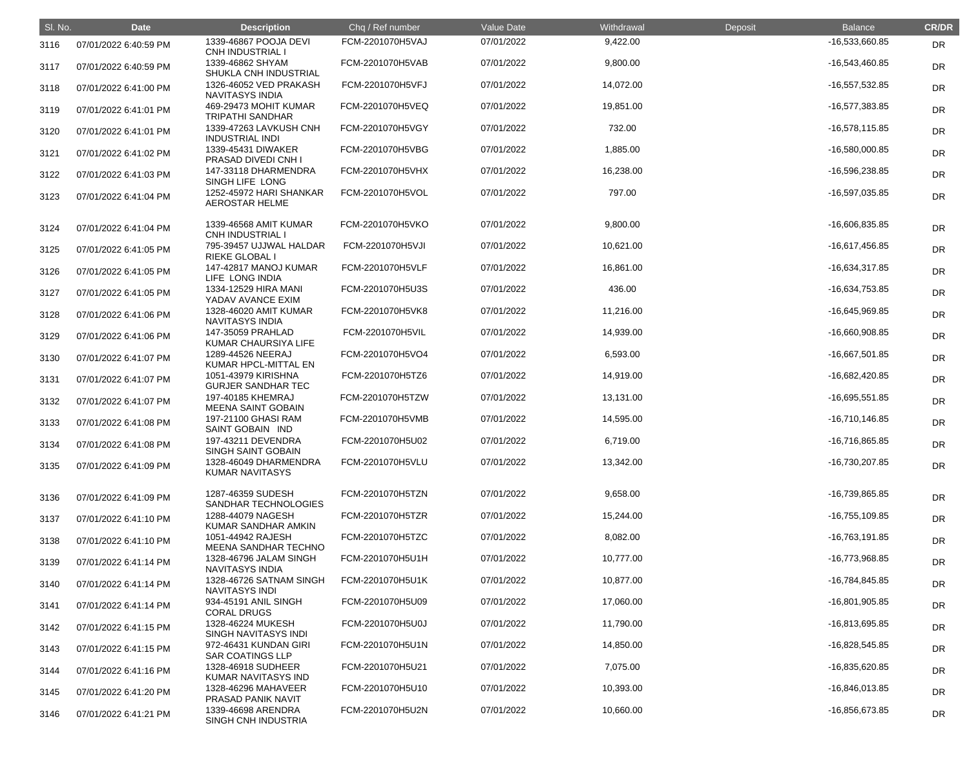| SI. No. | <b>Date</b>           | <b>Description</b>                               | Chq / Ref number | Value Date | Withdrawal | Deposit | <b>Balance</b>   | <b>CR/DR</b> |
|---------|-----------------------|--------------------------------------------------|------------------|------------|------------|---------|------------------|--------------|
| 3116    | 07/01/2022 6:40:59 PM | 1339-46867 POOJA DEVI<br><b>CNH INDUSTRIAL I</b> | FCM-2201070H5VAJ | 07/01/2022 | 9,422.00   |         | -16,533,660.85   | DR           |
| 3117    | 07/01/2022 6:40:59 PM | 1339-46862 SHYAM<br>SHUKLA CNH INDUSTRIAL        | FCM-2201070H5VAB | 07/01/2022 | 9,800.00   |         | -16,543,460.85   | <b>DR</b>    |
| 3118    | 07/01/2022 6:41:00 PM | 1326-46052 VED PRAKASH<br><b>NAVITASYS INDIA</b> | FCM-2201070H5VFJ | 07/01/2022 | 14,072.00  |         | $-16,557,532.85$ | <b>DR</b>    |
| 3119    | 07/01/2022 6:41:01 PM | 469-29473 MOHIT KUMAR<br><b>TRIPATHI SANDHAR</b> | FCM-2201070H5VEQ | 07/01/2022 | 19,851.00  |         | -16,577,383.85   | <b>DR</b>    |
| 3120    | 07/01/2022 6:41:01 PM | 1339-47263 LAVKUSH CNH<br><b>INDUSTRIAL INDI</b> | FCM-2201070H5VGY | 07/01/2022 | 732.00     |         | $-16,578,115.85$ | <b>DR</b>    |
| 3121    | 07/01/2022 6:41:02 PM | 1339-45431 DIWAKER<br>PRASAD DIVEDI CNH I        | FCM-2201070H5VBG | 07/01/2022 | 1,885.00   |         | $-16,580,000.85$ | DR           |
| 3122    | 07/01/2022 6:41:03 PM | 147-33118 DHARMENDRA<br>SINGH LIFE LONG          | FCM-2201070H5VHX | 07/01/2022 | 16,238.00  |         | -16,596,238.85   | <b>DR</b>    |
| 3123    | 07/01/2022 6:41:04 PM | 1252-45972 HARI SHANKAR<br><b>AEROSTAR HELME</b> | FCM-2201070H5VOL | 07/01/2022 | 797.00     |         | -16,597,035.85   | <b>DR</b>    |
| 3124    | 07/01/2022 6:41:04 PM | 1339-46568 AMIT KUMAR<br><b>CNH INDUSTRIAL I</b> | FCM-2201070H5VKO | 07/01/2022 | 9,800.00   |         | -16,606,835.85   | DR           |
| 3125    | 07/01/2022 6:41:05 PM | 795-39457 UJJWAL HALDAR<br><b>RIEKE GLOBAL I</b> | FCM-2201070H5VJI | 07/01/2022 | 10,621.00  |         | -16,617,456.85   | DR           |
| 3126    | 07/01/2022 6:41:05 PM | 147-42817 MANOJ KUMAR<br>LIFE LONG INDIA         | FCM-2201070H5VLF | 07/01/2022 | 16,861.00  |         | -16,634,317.85   | <b>DR</b>    |
| 3127    | 07/01/2022 6:41:05 PM | 1334-12529 HIRA MANI<br>YADAV AVANCE EXIM        | FCM-2201070H5U3S | 07/01/2022 | 436.00     |         | -16,634,753.85   | <b>DR</b>    |
| 3128    | 07/01/2022 6:41:06 PM | 1328-46020 AMIT KUMAR<br><b>NAVITASYS INDIA</b>  | FCM-2201070H5VK8 | 07/01/2022 | 11,216.00  |         | -16,645,969.85   | DR           |
| 3129    | 07/01/2022 6:41:06 PM | 147-35059 PRAHLAD<br>KUMAR CHAURSIYA LIFE        | FCM-2201070H5VIL | 07/01/2022 | 14,939.00  |         | -16,660,908.85   | DR           |
| 3130    | 07/01/2022 6:41:07 PM | 1289-44526 NEERAJ<br>KUMAR HPCL-MITTAL EN        | FCM-2201070H5VO4 | 07/01/2022 | 6,593.00   |         | -16,667,501.85   | DR           |
| 3131    | 07/01/2022 6:41:07 PM | 1051-43979 KIRISHNA<br><b>GURJER SANDHAR TEC</b> | FCM-2201070H5TZ6 | 07/01/2022 | 14,919.00  |         | -16,682,420.85   | <b>DR</b>    |
| 3132    | 07/01/2022 6:41:07 PM | 197-40185 KHEMRAJ<br><b>MEENA SAINT GOBAIN</b>   | FCM-2201070H5TZW | 07/01/2022 | 13,131.00  |         | -16,695,551.85   | <b>DR</b>    |
| 3133    | 07/01/2022 6:41:08 PM | 197-21100 GHASI RAM<br>SAINT GOBAIN IND          | FCM-2201070H5VMB | 07/01/2022 | 14,595.00  |         | $-16,710,146.85$ | DR           |
| 3134    | 07/01/2022 6:41:08 PM | 197-43211 DEVENDRA<br><b>SINGH SAINT GOBAIN</b>  | FCM-2201070H5U02 | 07/01/2022 | 6,719.00   |         | -16,716,865.85   | DR           |
| 3135    | 07/01/2022 6:41:09 PM | 1328-46049 DHARMENDRA<br><b>KUMAR NAVITASYS</b>  | FCM-2201070H5VLU | 07/01/2022 | 13,342.00  |         | -16,730,207.85   | <b>DR</b>    |
| 3136    | 07/01/2022 6:41:09 PM | 1287-46359 SUDESH<br>SANDHAR TECHNOLOGIES        | FCM-2201070H5TZN | 07/01/2022 | 9,658.00   |         | -16,739,865.85   | <b>DR</b>    |
| 3137    | 07/01/2022 6:41:10 PM | 1288-44079 NAGESH<br>KUMAR SANDHAR AMKIN         | FCM-2201070H5TZR | 07/01/2022 | 15,244.00  |         | $-16,755,109.85$ | <b>DR</b>    |
| 3138    | 07/01/2022 6:41:10 PM | 1051-44942 RAJESH<br>MEENA SANDHAR TECHNO        | FCM-2201070H5TZC | 07/01/2022 | 8,082.00   |         | -16,763,191.85   | <b>DR</b>    |
| 3139    | 07/01/2022 6:41:14 PM | 1328-46796 JALAM SINGH<br><b>NAVITASYS INDIA</b> | FCM-2201070H5U1H | 07/01/2022 | 10,777.00  |         | -16,773,968.85   | <b>DR</b>    |
| 3140    | 07/01/2022 6:41:14 PM | 1328-46726 SATNAM SINGH<br><b>NAVITASYS INDI</b> | FCM-2201070H5U1K | 07/01/2022 | 10,877.00  |         | -16,784,845.85   | DR           |
| 3141    | 07/01/2022 6:41:14 PM | 934-45191 ANIL SINGH<br><b>CORAL DRUGS</b>       | FCM-2201070H5U09 | 07/01/2022 | 17,060.00  |         | -16,801,905.85   | <b>DR</b>    |
| 3142    | 07/01/2022 6:41:15 PM | 1328-46224 MUKESH<br>SINGH NAVITASYS INDI        | FCM-2201070H5U0J | 07/01/2022 | 11,790.00  |         | -16,813,695.85   | <b>DR</b>    |
| 3143    | 07/01/2022 6:41:15 PM | 972-46431 KUNDAN GIRI<br><b>SAR COATINGS LLP</b> | FCM-2201070H5U1N | 07/01/2022 | 14,850.00  |         | -16,828,545.85   | <b>DR</b>    |
| 3144    | 07/01/2022 6:41:16 PM | 1328-46918 SUDHEER<br>KUMAR NAVITASYS IND        | FCM-2201070H5U21 | 07/01/2022 | 7,075.00   |         | -16,835,620.85   | <b>DR</b>    |
| 3145    | 07/01/2022 6:41:20 PM | 1328-46296 MAHAVEER<br>PRASAD PANIK NAVIT        | FCM-2201070H5U10 | 07/01/2022 | 10,393.00  |         | $-16,846,013.85$ | <b>DR</b>    |
| 3146    | 07/01/2022 6:41:21 PM | 1339-46698 ARENDRA<br>SINGH CNH INDUSTRIA        | FCM-2201070H5U2N | 07/01/2022 | 10,660.00  |         | -16,856,673.85   | <b>DR</b>    |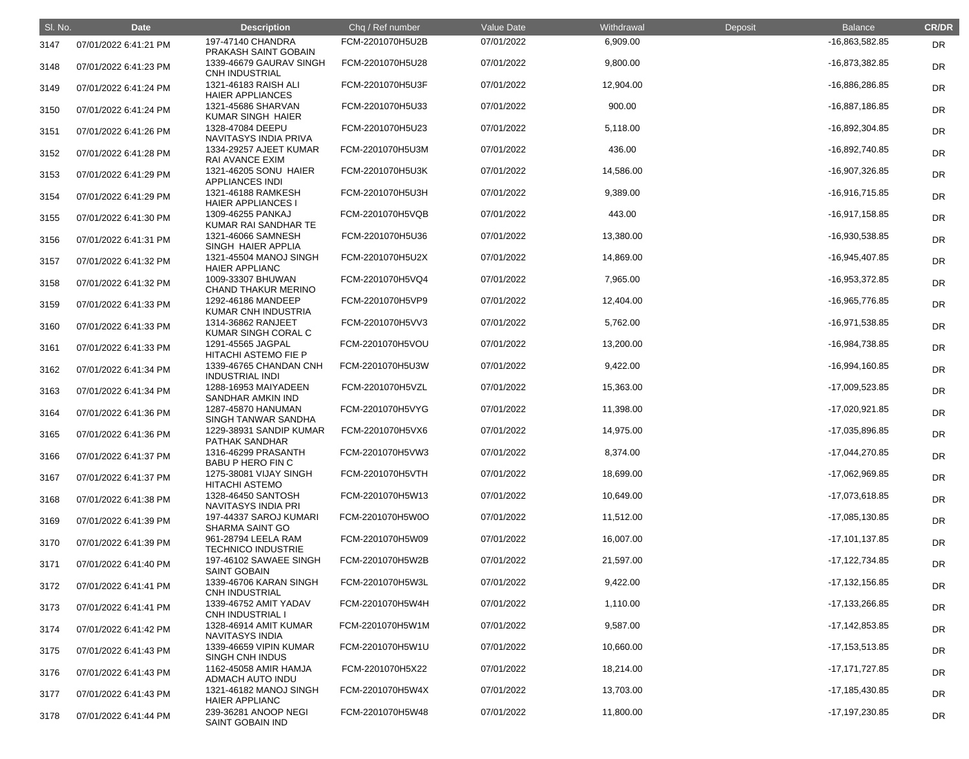| SI. No. | <b>Date</b>           | <b>Description</b>                                                  | Chq / Ref number | Value Date | Withdrawal | Deposit | <b>Balance</b>     | <b>CR/DR</b> |
|---------|-----------------------|---------------------------------------------------------------------|------------------|------------|------------|---------|--------------------|--------------|
| 3147    | 07/01/2022 6:41:21 PM | 197-47140 CHANDRA<br>PRAKASH SAINT GOBAIN                           | FCM-2201070H5U2B | 07/01/2022 | 6,909.00   |         | -16,863,582.85     | <b>DR</b>    |
| 3148    | 07/01/2022 6:41:23 PM | 1339-46679 GAURAV SINGH<br><b>CNH INDUSTRIAL</b>                    | FCM-2201070H5U28 | 07/01/2022 | 9,800.00   |         | -16,873,382.85     | <b>DR</b>    |
| 3149    | 07/01/2022 6:41:24 PM | 1321-46183 RAISH ALI<br><b>HAIER APPLIANCES</b>                     | FCM-2201070H5U3F | 07/01/2022 | 12,904.00  |         | -16,886,286.85     | <b>DR</b>    |
| 3150    | 07/01/2022 6:41:24 PM | 1321-45686 SHARVAN<br><b>KUMAR SINGH HAIER</b>                      | FCM-2201070H5U33 | 07/01/2022 | 900.00     |         | $-16,887,186.85$   | DR           |
| 3151    | 07/01/2022 6:41:26 PM | 1328-47084 DEEPU<br>NAVITASYS INDIA PRIVA                           | FCM-2201070H5U23 | 07/01/2022 | 5,118.00   |         | -16,892,304.85     | <b>DR</b>    |
| 3152    | 07/01/2022 6:41:28 PM | 1334-29257 AJEET KUMAR<br><b>RAI AVANCE EXIM</b>                    | FCM-2201070H5U3M | 07/01/2022 | 436.00     |         | -16,892,740.85     | <b>DR</b>    |
| 3153    | 07/01/2022 6:41:29 PM | 1321-46205 SONU HAIER<br><b>APPLIANCES INDI</b>                     | FCM-2201070H5U3K | 07/01/2022 | 14,586.00  |         | -16,907,326.85     | <b>DR</b>    |
| 3154    | 07/01/2022 6:41:29 PM | 1321-46188 RAMKESH<br><b>HAIER APPLIANCES I</b>                     | FCM-2201070H5U3H | 07/01/2022 | 9,389.00   |         | -16,916,715.85     | <b>DR</b>    |
| 3155    | 07/01/2022 6:41:30 PM | 1309-46255 PANKAJ<br>KUMAR RAI SANDHAR TE                           | FCM-2201070H5VQB | 07/01/2022 | 443.00     |         | $-16,917,158.85$   | DR           |
| 3156    | 07/01/2022 6:41:31 PM | 1321-46066 SAMNESH<br>SINGH HAIER APPLIA                            | FCM-2201070H5U36 | 07/01/2022 | 13,380.00  |         | -16,930,538.85     | <b>DR</b>    |
| 3157    | 07/01/2022 6:41:32 PM | 1321-45504 MANOJ SINGH<br><b>HAIER APPLIANC</b>                     | FCM-2201070H5U2X | 07/01/2022 | 14,869.00  |         | -16,945,407.85     | <b>DR</b>    |
| 3158    | 07/01/2022 6:41:32 PM | 1009-33307 BHUWAN<br><b>CHAND THAKUR MERINO</b>                     | FCM-2201070H5VQ4 | 07/01/2022 | 7,965.00   |         | -16,953,372.85     | <b>DR</b>    |
| 3159    | 07/01/2022 6:41:33 PM | 1292-46186 MANDEEP<br>KUMAR CNH INDUSTRIA                           | FCM-2201070H5VP9 | 07/01/2022 | 12,404.00  |         | -16,965,776.85     | <b>DR</b>    |
| 3160    | 07/01/2022 6:41:33 PM | 1314-36862 RANJEET<br>KUMAR SINGH CORAL C                           | FCM-2201070H5VV3 | 07/01/2022 | 5,762.00   |         | -16,971,538.85     | <b>DR</b>    |
| 3161    | 07/01/2022 6:41:33 PM | 1291-45565 JAGPAL<br>HITACHI ASTEMO FIE P                           | FCM-2201070H5VOU | 07/01/2022 | 13,200.00  |         | -16,984,738.85     | <b>DR</b>    |
| 3162    | 07/01/2022 6:41:34 PM | 1339-46765 CHANDAN CNH<br><b>INDUSTRIAL INDI</b>                    | FCM-2201070H5U3W | 07/01/2022 | 9,422.00   |         | -16,994,160.85     | <b>DR</b>    |
| 3163    | 07/01/2022 6:41:34 PM | 1288-16953 MAIYADEEN<br><b>SANDHAR AMKIN IND</b>                    | FCM-2201070H5VZL | 07/01/2022 | 15,363.00  |         | -17,009,523.85     | <b>DR</b>    |
| 3164    | 07/01/2022 6:41:36 PM | 1287-45870 HANUMAN<br>SINGH TANWAR SANDHA                           | FCM-2201070H5VYG | 07/01/2022 | 11,398.00  |         | -17,020,921.85     | <b>DR</b>    |
| 3165    | 07/01/2022 6:41:36 PM | 1229-38931 SANDIP KUMAR<br>PATHAK SANDHAR                           | FCM-2201070H5VX6 | 07/01/2022 | 14,975.00  |         | -17,035,896.85     | <b>DR</b>    |
| 3166    | 07/01/2022 6:41:37 PM | 1316-46299 PRASANTH<br><b>BABU P HERO FIN C</b>                     | FCM-2201070H5VW3 | 07/01/2022 | 8,374.00   |         | -17,044,270.85     | <b>DR</b>    |
| 3167    | 07/01/2022 6:41:37 PM | 1275-38081 VIJAY SINGH<br><b>HITACHI ASTEMO</b>                     | FCM-2201070H5VTH | 07/01/2022 | 18,699.00  |         | -17,062,969.85     | <b>DR</b>    |
| 3168    | 07/01/2022 6:41:38 PM | 1328-46450 SANTOSH<br><b>NAVITASYS INDIA PRI</b>                    | FCM-2201070H5W13 | 07/01/2022 | 10,649.00  |         | $-17,073,618.85$   | <b>DR</b>    |
| 3169    | 07/01/2022 6:41:39 PM | 197-44337 SAROJ KUMARI<br><b>SHARMA SAINT GO</b>                    | FCM-2201070H5W0O | 07/01/2022 | 11,512.00  |         | $-17,085,130.85$   | <b>DR</b>    |
| 3170    | 07/01/2022 6:41:39 PM | 961-28794 LEELA RAM<br><b>TECHNICO INDUSTRIE</b>                    | FCM-2201070H5W09 | 07/01/2022 | 16,007.00  |         | $-17,101,137.85$   | <b>DR</b>    |
| 3171    | 07/01/2022 6:41:40 PM | 197-46102 SAWAEE SINGH<br><b>SAINT GOBAIN</b>                       | FCM-2201070H5W2B | 07/01/2022 | 21,597.00  |         | -17,122,734.85     | <b>DR</b>    |
| 3172    | 07/01/2022 6:41:41 PM | 1339-46706 KARAN SINGH<br><b>CNH INDUSTRIAL</b>                     | FCM-2201070H5W3L | 07/01/2022 | 9,422.00   |         | $-17,132,156.85$   | <b>DR</b>    |
| 3173    | 07/01/2022 6:41:41 PM | 1339-46752 AMIT YADAV<br><b>CNH INDUSTRIAL I</b>                    | FCM-2201070H5W4H | 07/01/2022 | 1,110.00   |         | -17,133,266.85     | <b>DR</b>    |
| 3174    | 07/01/2022 6:41:42 PM | 1328-46914 AMIT KUMAR<br><b>NAVITASYS INDIA</b>                     | FCM-2201070H5W1M | 07/01/2022 | 9,587.00   |         | $-17, 142, 853.85$ | <b>DR</b>    |
| 3175    | 07/01/2022 6:41:43 PM | 1339-46659 VIPIN KUMAR                                              | FCM-2201070H5W1U | 07/01/2022 | 10,660.00  |         | $-17, 153, 513.85$ | <b>DR</b>    |
| 3176    | 07/01/2022 6:41:43 PM | <b>SINGH CNH INDUS</b><br>1162-45058 AMIR HAMJA<br>ADMACH AUTO INDU | FCM-2201070H5X22 | 07/01/2022 | 18,214.00  |         | $-17,171,727.85$   | <b>DR</b>    |
| 3177    | 07/01/2022 6:41:43 PM | 1321-46182 MANOJ SINGH<br><b>HAIER APPLIANC</b>                     | FCM-2201070H5W4X | 07/01/2022 | 13,703.00  |         | $-17,185,430.85$   | <b>DR</b>    |
| 3178    | 07/01/2022 6:41:44 PM | 239-36281 ANOOP NEGI<br>SAINT GOBAIN IND                            | FCM-2201070H5W48 | 07/01/2022 | 11,800.00  |         | -17,197,230.85     | <b>DR</b>    |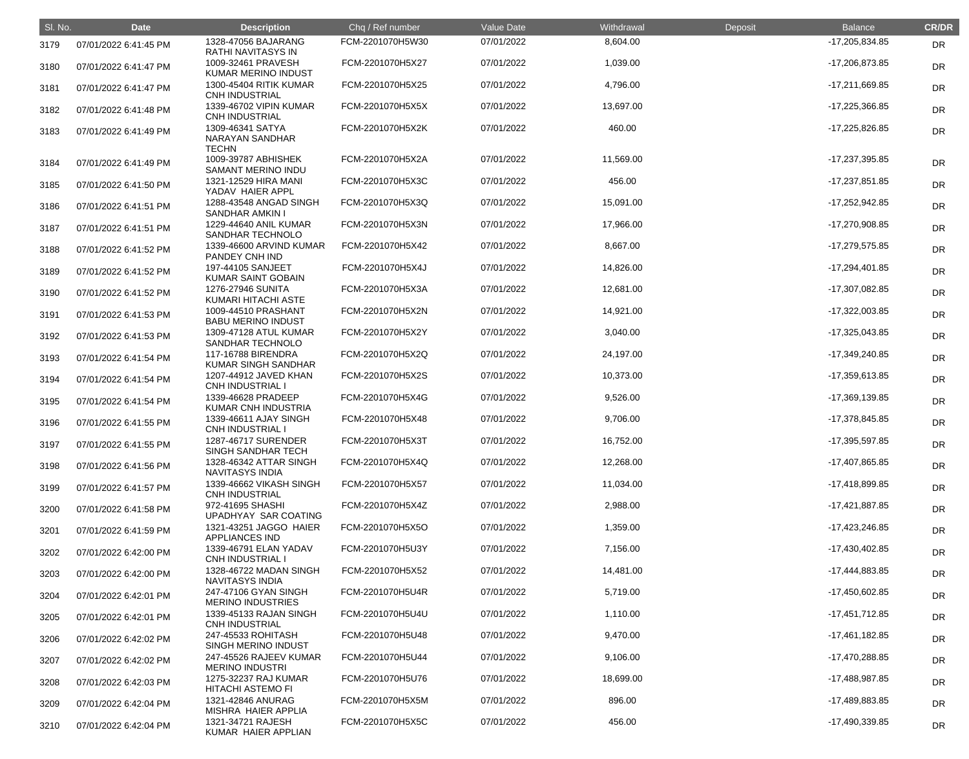| SI. No. | <b>Date</b>           | <b>Description</b>                                  | Chq / Ref number | Value Date | Withdrawal | Deposit | <b>Balance</b>   | <b>CR/DR</b> |
|---------|-----------------------|-----------------------------------------------------|------------------|------------|------------|---------|------------------|--------------|
| 3179    | 07/01/2022 6:41:45 PM | 1328-47056 BAJARANG<br><b>RATHI NAVITASYS IN</b>    | FCM-2201070H5W30 | 07/01/2022 | 8,604.00   |         | -17,205,834.85   | <b>DR</b>    |
| 3180    | 07/01/2022 6:41:47 PM | 1009-32461 PRAVESH<br><b>KUMAR MERINO INDUST</b>    | FCM-2201070H5X27 | 07/01/2022 | 1,039.00   |         | -17,206,873.85   | <b>DR</b>    |
| 3181    | 07/01/2022 6:41:47 PM | 1300-45404 RITIK KUMAR<br><b>CNH INDUSTRIAL</b>     | FCM-2201070H5X25 | 07/01/2022 | 4,796.00   |         | $-17,211,669.85$ | <b>DR</b>    |
| 3182    | 07/01/2022 6:41:48 PM | 1339-46702 VIPIN KUMAR<br><b>CNH INDUSTRIAL</b>     | FCM-2201070H5X5X | 07/01/2022 | 13,697.00  |         | -17,225,366.85   | <b>DR</b>    |
| 3183    | 07/01/2022 6:41:49 PM | 1309-46341 SATYA<br>NARAYAN SANDHAR<br><b>TECHN</b> | FCM-2201070H5X2K | 07/01/2022 | 460.00     |         | $-17,225,826.85$ | <b>DR</b>    |
| 3184    | 07/01/2022 6:41:49 PM | 1009-39787 ABHISHEK<br><b>SAMANT MERINO INDU</b>    | FCM-2201070H5X2A | 07/01/2022 | 11,569.00  |         | -17,237,395.85   | <b>DR</b>    |
| 3185    | 07/01/2022 6:41:50 PM | 1321-12529 HIRA MANI<br>YADAV HAIER APPL            | FCM-2201070H5X3C | 07/01/2022 | 456.00     |         | -17,237,851.85   | <b>DR</b>    |
| 3186    | 07/01/2022 6:41:51 PM | 1288-43548 ANGAD SINGH<br><b>SANDHAR AMKIN I</b>    | FCM-2201070H5X3Q | 07/01/2022 | 15,091.00  |         | -17,252,942.85   | <b>DR</b>    |
| 3187    | 07/01/2022 6:41:51 PM | 1229-44640 ANIL KUMAR<br>SANDHAR TECHNOLO           | FCM-2201070H5X3N | 07/01/2022 | 17,966.00  |         | -17,270,908.85   | DR           |
| 3188    | 07/01/2022 6:41:52 PM | 1339-46600 ARVIND KUMAR<br>PANDEY CNH IND           | FCM-2201070H5X42 | 07/01/2022 | 8,667.00   |         | -17,279,575.85   | <b>DR</b>    |
| 3189    | 07/01/2022 6:41:52 PM | 197-44105 SANJEET<br><b>KUMAR SAINT GOBAIN</b>      | FCM-2201070H5X4J | 07/01/2022 | 14,826.00  |         | -17,294,401.85   | <b>DR</b>    |
| 3190    | 07/01/2022 6:41:52 PM | 1276-27946 SUNITA<br>KUMARI HITACHI ASTE            | FCM-2201070H5X3A | 07/01/2022 | 12,681.00  |         | -17,307,082.85   | <b>DR</b>    |
| 3191    | 07/01/2022 6:41:53 PM | 1009-44510 PRASHANT<br><b>BABU MERINO INDUST</b>    | FCM-2201070H5X2N | 07/01/2022 | 14,921.00  |         | -17,322,003.85   | <b>DR</b>    |
| 3192    | 07/01/2022 6:41:53 PM | 1309-47128 ATUL KUMAR<br>SANDHAR TECHNOLO           | FCM-2201070H5X2Y | 07/01/2022 | 3,040.00   |         | -17,325,043.85   | DR           |
| 3193    | 07/01/2022 6:41:54 PM | 117-16788 BIRENDRA<br><b>KUMAR SINGH SANDHAR</b>    | FCM-2201070H5X2Q | 07/01/2022 | 24,197.00  |         | -17,349,240.85   | DR           |
| 3194    | 07/01/2022 6:41:54 PM | 1207-44912 JAVED KHAN<br><b>CNH INDUSTRIAL I</b>    | FCM-2201070H5X2S | 07/01/2022 | 10,373.00  |         | -17,359,613.85   | <b>DR</b>    |
| 3195    | 07/01/2022 6:41:54 PM | 1339-46628 PRADEEP<br>KUMAR CNH INDUSTRIA           | FCM-2201070H5X4G | 07/01/2022 | 9,526.00   |         | -17,369,139.85   | <b>DR</b>    |
| 3196    | 07/01/2022 6:41:55 PM | 1339-46611 AJAY SINGH<br><b>CNH INDUSTRIAL I</b>    | FCM-2201070H5X48 | 07/01/2022 | 9,706.00   |         | -17,378,845.85   | DR           |
| 3197    | 07/01/2022 6:41:55 PM | 1287-46717 SURENDER<br>SINGH SANDHAR TECH           | FCM-2201070H5X3T | 07/01/2022 | 16,752.00  |         | -17,395,597.85   | <b>DR</b>    |
| 3198    | 07/01/2022 6:41:56 PM | 1328-46342 ATTAR SINGH<br><b>NAVITASYS INDIA</b>    | FCM-2201070H5X4Q | 07/01/2022 | 12,268.00  |         | -17,407,865.85   | DR           |
| 3199    | 07/01/2022 6:41:57 PM | 1339-46662 VIKASH SINGH<br><b>CNH INDUSTRIAL</b>    | FCM-2201070H5X57 | 07/01/2022 | 11,034.00  |         | -17,418,899.85   | <b>DR</b>    |
| 3200    | 07/01/2022 6:41:58 PM | 972-41695 SHASHI<br>UPADHYAY SAR COATING            | FCM-2201070H5X4Z | 07/01/2022 | 2,988.00   |         | $-17,421,887.85$ | <b>DR</b>    |
| 3201    | 07/01/2022 6:41:59 PM | 1321-43251 JAGGO HAIER<br><b>APPLIANCES IND</b>     | FCM-2201070H5X5O | 07/01/2022 | 1,359.00   |         | -17,423,246.85   | <b>DR</b>    |
| 3202    | 07/01/2022 6:42:00 PM | 1339-46791 ELAN YADAV<br><b>CNH INDUSTRIAL I</b>    | FCM-2201070H5U3Y | 07/01/2022 | 7,156.00   |         | -17,430,402.85   | <b>DR</b>    |
| 3203    | 07/01/2022 6:42:00 PM | 1328-46722 MADAN SINGH<br><b>NAVITASYS INDIA</b>    | FCM-2201070H5X52 | 07/01/2022 | 14,481.00  |         | -17,444,883.85   | <b>DR</b>    |
| 3204    | 07/01/2022 6:42:01 PM | 247-47106 GYAN SINGH<br><b>MERINO INDUSTRIES</b>    | FCM-2201070H5U4R | 07/01/2022 | 5,719.00   |         | -17,450,602.85   | <b>DR</b>    |
| 3205    | 07/01/2022 6:42:01 PM | 1339-45133 RAJAN SINGH<br><b>CNH INDUSTRIAL</b>     | FCM-2201070H5U4U | 07/01/2022 | 1,110.00   |         | $-17,451,712.85$ | <b>DR</b>    |
| 3206    | 07/01/2022 6:42:02 PM | 247-45533 ROHITASH<br><b>SINGH MERINO INDUST</b>    | FCM-2201070H5U48 | 07/01/2022 | 9,470.00   |         | $-17,461,182.85$ | <b>DR</b>    |
| 3207    | 07/01/2022 6:42:02 PM | 247-45526 RAJEEV KUMAR<br><b>MERINO INDUSTRI</b>    | FCM-2201070H5U44 | 07/01/2022 | 9,106.00   |         | -17,470,288.85   | <b>DR</b>    |
| 3208    | 07/01/2022 6:42:03 PM | 1275-32237 RAJ KUMAR<br><b>HITACHI ASTEMO FI</b>    | FCM-2201070H5U76 | 07/01/2022 | 18,699.00  |         | -17,488,987.85   | <b>DR</b>    |
| 3209    | 07/01/2022 6:42:04 PM | 1321-42846 ANURAG<br>MISHRA HAIER APPLIA            | FCM-2201070H5X5M | 07/01/2022 | 896.00     |         | -17,489,883.85   | <b>DR</b>    |
| 3210    | 07/01/2022 6:42:04 PM | 1321-34721 RAJESH<br>KUMAR HAIER APPLIAN            | FCM-2201070H5X5C | 07/01/2022 | 456.00     |         | -17,490,339.85   | <b>DR</b>    |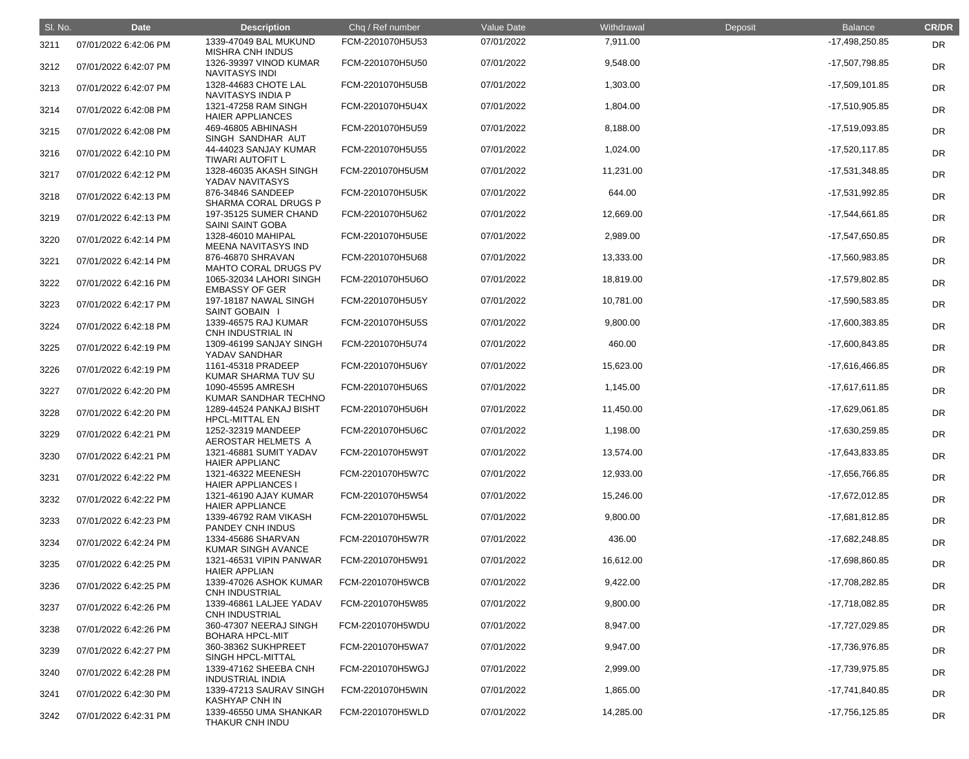| SI. No. | <b>Date</b>           | <b>Description</b>                               | Chq / Ref number | Value Date | Withdrawal | Deposit | <b>Balance</b>   | <b>CR/DR</b> |
|---------|-----------------------|--------------------------------------------------|------------------|------------|------------|---------|------------------|--------------|
| 3211    | 07/01/2022 6:42:06 PM | 1339-47049 BAL MUKUND<br><b>MISHRA CNH INDUS</b> | FCM-2201070H5U53 | 07/01/2022 | 7,911.00   |         | -17,498,250.85   | <b>DR</b>    |
| 3212    | 07/01/2022 6:42:07 PM | 1326-39397 VINOD KUMAR<br><b>NAVITASYS INDI</b>  | FCM-2201070H5U50 | 07/01/2022 | 9,548.00   |         | -17,507,798.85   | <b>DR</b>    |
| 3213    | 07/01/2022 6:42:07 PM | 1328-44683 CHOTE LAL<br>NAVITASYS INDIA P        | FCM-2201070H5U5B | 07/01/2022 | 1,303.00   |         | $-17,509,101.85$ | <b>DR</b>    |
| 3214    | 07/01/2022 6:42:08 PM | 1321-47258 RAM SINGH<br><b>HAIER APPLIANCES</b>  | FCM-2201070H5U4X | 07/01/2022 | 1,804.00   |         | -17,510,905.85   | DR           |
| 3215    | 07/01/2022 6:42:08 PM | 469-46805 ABHINASH<br>SINGH SANDHAR AUT          | FCM-2201070H5U59 | 07/01/2022 | 8,188.00   |         | -17,519,093.85   | <b>DR</b>    |
| 3216    | 07/01/2022 6:42:10 PM | 44-44023 SANJAY KUMAR<br><b>TIWARI AUTOFIT L</b> | FCM-2201070H5U55 | 07/01/2022 | 1,024.00   |         | $-17,520,117.85$ | <b>DR</b>    |
| 3217    | 07/01/2022 6:42:12 PM | 1328-46035 AKASH SINGH<br>YADAV NAVITASYS        | FCM-2201070H5U5M | 07/01/2022 | 11,231.00  |         | -17,531,348.85   | <b>DR</b>    |
| 3218    | 07/01/2022 6:42:13 PM | 876-34846 SANDEEP<br>SHARMA CORAL DRUGS P        | FCM-2201070H5U5K | 07/01/2022 | 644.00     |         | -17,531,992.85   | DR           |
| 3219    | 07/01/2022 6:42:13 PM | 197-35125 SUMER CHAND<br><b>SAINI SAINT GOBA</b> | FCM-2201070H5U62 | 07/01/2022 | 12,669.00  |         | -17,544,661.85   | <b>DR</b>    |
| 3220    | 07/01/2022 6:42:14 PM | 1328-46010 MAHIPAL<br>MEENA NAVITASYS IND        | FCM-2201070H5U5E | 07/01/2022 | 2,989.00   |         | -17,547,650.85   | <b>DR</b>    |
| 3221    | 07/01/2022 6:42:14 PM | 876-46870 SHRAVAN<br><b>MAHTO CORAL DRUGS PV</b> | FCM-2201070H5U68 | 07/01/2022 | 13,333.00  |         | -17,560,983.85   | <b>DR</b>    |
| 3222    | 07/01/2022 6:42:16 PM | 1065-32034 LAHORI SINGH<br><b>EMBASSY OF GER</b> | FCM-2201070H5U6O | 07/01/2022 | 18,819.00  |         | -17,579,802.85   | <b>DR</b>    |
| 3223    | 07/01/2022 6:42:17 PM | <b>197-18187 NAWAL SINGH</b><br>SAINT GOBAIN I   | FCM-2201070H5U5Y | 07/01/2022 | 10,781.00  |         | -17,590,583.85   | DR           |
| 3224    | 07/01/2022 6:42:18 PM | 1339-46575 RAJ KUMAR<br>CNH INDUSTRIAL IN        | FCM-2201070H5U5S | 07/01/2022 | 9,800.00   |         | -17,600,383.85   | <b>DR</b>    |
| 3225    | 07/01/2022 6:42:19 PM | 1309-46199 SANJAY SINGH<br>YADAV SANDHAR         | FCM-2201070H5U74 | 07/01/2022 | 460.00     |         | -17,600,843.85   | <b>DR</b>    |
| 3226    | 07/01/2022 6:42:19 PM | 1161-45318 PRADEEP<br>KUMAR SHARMA TUV SU        | FCM-2201070H5U6Y | 07/01/2022 | 15,623.00  |         | -17,616,466.85   | <b>DR</b>    |
| 3227    | 07/01/2022 6:42:20 PM | 1090-45595 AMRESH<br>KUMAR SANDHAR TECHNO        | FCM-2201070H5U6S | 07/01/2022 | 1,145.00   |         | $-17,617,611.85$ | DR           |
| 3228    | 07/01/2022 6:42:20 PM | 1289-44524 PANKAJ BISHT<br><b>HPCL-MITTAL EN</b> | FCM-2201070H5U6H | 07/01/2022 | 11,450.00  |         | -17,629,061.85   | <b>DR</b>    |
| 3229    | 07/01/2022 6:42:21 PM | 1252-32319 MANDEEP<br>AEROSTAR HELMETS A         | FCM-2201070H5U6C | 07/01/2022 | 1,198.00   |         | -17,630,259.85   | <b>DR</b>    |
| 3230    | 07/01/2022 6:42:21 PM | 1321-46881 SUMIT YADAV<br><b>HAIER APPLIANC</b>  | FCM-2201070H5W9T | 07/01/2022 | 13,574.00  |         | -17,643,833.85   | <b>DR</b>    |
| 3231    | 07/01/2022 6:42:22 PM | 1321-46322 MEENESH<br><b>HAIER APPLIANCES I</b>  | FCM-2201070H5W7C | 07/01/2022 | 12,933.00  |         | -17,656,766.85   | <b>DR</b>    |
| 3232    | 07/01/2022 6:42:22 PM | 1321-46190 AJAY KUMAR<br><b>HAIER APPLIANCE</b>  | FCM-2201070H5W54 | 07/01/2022 | 15,246.00  |         | $-17,672,012.85$ | <b>DR</b>    |
| 3233    | 07/01/2022 6:42:23 PM | 1339-46792 RAM VIKASH<br>PANDEY CNH INDUS        | FCM-2201070H5W5L | 07/01/2022 | 9,800.00   |         | -17,681,812.85   | <b>DR</b>    |
| 3234    | 07/01/2022 6:42:24 PM | 1334-45686 SHARVAN<br>KUMAR SINGH AVANCE         | FCM-2201070H5W7R | 07/01/2022 | 436.00     |         | -17,682,248.85   | <b>DR</b>    |
| 3235    | 07/01/2022 6:42:25 PM | 1321-46531 VIPIN PANWAR<br><b>HAIER APPLIAN</b>  | FCM-2201070H5W91 | 07/01/2022 | 16,612.00  |         | -17,698,860.85   | <b>DR</b>    |
| 3236    | 07/01/2022 6:42:25 PM | 1339-47026 ASHOK KUMAR<br><b>CNH INDUSTRIAL</b>  | FCM-2201070H5WCB | 07/01/2022 | 9,422.00   |         | -17,708,282.85   | <b>DR</b>    |
| 3237    | 07/01/2022 6:42:26 PM | 1339-46861 LALJEE YADAV<br><b>CNH INDUSTRIAL</b> | FCM-2201070H5W85 | 07/01/2022 | 9,800.00   |         | -17,718,082.85   | <b>DR</b>    |
| 3238    | 07/01/2022 6:42:26 PM | 360-47307 NEERAJ SINGH<br><b>BOHARA HPCL-MIT</b> | FCM-2201070H5WDU | 07/01/2022 | 8,947.00   |         | -17,727,029.85   | <b>DR</b>    |
| 3239    | 07/01/2022 6:42:27 PM | 360-38362 SUKHPREET<br>SINGH HPCL-MITTAL         | FCM-2201070H5WA7 | 07/01/2022 | 9,947.00   |         | -17,736,976.85   | <b>DR</b>    |
| 3240    | 07/01/2022 6:42:28 PM | 1339-47162 SHEEBA CNH<br><b>INDUSTRIAL INDIA</b> | FCM-2201070H5WGJ | 07/01/2022 | 2,999.00   |         | -17,739,975.85   | <b>DR</b>    |
| 3241    | 07/01/2022 6:42:30 PM | 1339-47213 SAURAV SINGH<br><b>KASHYAP CNH IN</b> | FCM-2201070H5WIN | 07/01/2022 | 1,865.00   |         | -17,741,840.85   | <b>DR</b>    |
| 3242    | 07/01/2022 6:42:31 PM | 1339-46550 UMA SHANKAR<br>THAKUR CNH INDU        | FCM-2201070H5WLD | 07/01/2022 | 14,285.00  |         | -17,756,125.85   | <b>DR</b>    |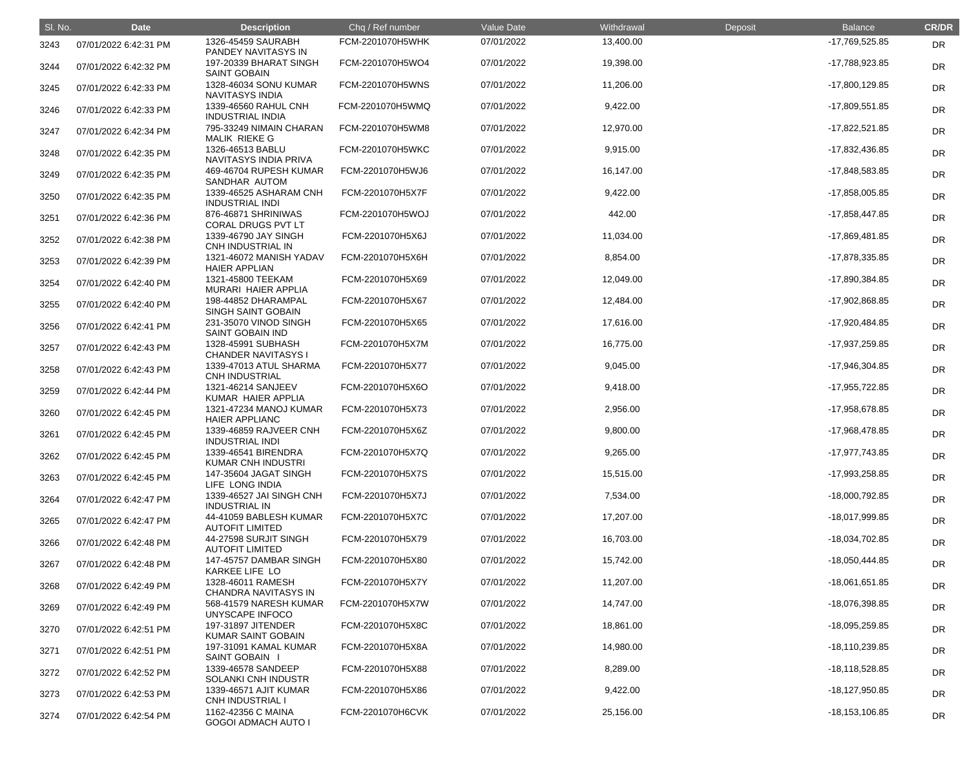| SI. No. | <b>Date</b>           | <b>Description</b>                               | Chq / Ref number | Value Date | Withdrawal | Deposit | <b>Balance</b>     | <b>CR/DR</b> |
|---------|-----------------------|--------------------------------------------------|------------------|------------|------------|---------|--------------------|--------------|
| 3243    | 07/01/2022 6:42:31 PM | 1326-45459 SAURABH<br>PANDEY NAVITASYS IN        | FCM-2201070H5WHK | 07/01/2022 | 13,400.00  |         | -17,769,525.85     | <b>DR</b>    |
| 3244    | 07/01/2022 6:42:32 PM | 197-20339 BHARAT SINGH<br><b>SAINT GOBAIN</b>    | FCM-2201070H5WO4 | 07/01/2022 | 19,398.00  |         | -17,788,923.85     | <b>DR</b>    |
| 3245    | 07/01/2022 6:42:33 PM | 1328-46034 SONU KUMAR<br><b>NAVITASYS INDIA</b>  | FCM-2201070H5WNS | 07/01/2022 | 11,206.00  |         | $-17,800,129.85$   | <b>DR</b>    |
| 3246    | 07/01/2022 6:42:33 PM | 1339-46560 RAHUL CNH<br><b>INDUSTRIAL INDIA</b>  | FCM-2201070H5WMQ | 07/01/2022 | 9,422.00   |         | -17,809,551.85     | <b>DR</b>    |
| 3247    | 07/01/2022 6:42:34 PM | 795-33249 NIMAIN CHARAN<br>MALIK RIEKE G         | FCM-2201070H5WM8 | 07/01/2022 | 12,970.00  |         | -17,822,521.85     | <b>DR</b>    |
| 3248    | 07/01/2022 6:42:35 PM | 1326-46513 BABLU<br>NAVITASYS INDIA PRIVA        | FCM-2201070H5WKC | 07/01/2022 | 9,915.00   |         | -17,832,436.85     | <b>DR</b>    |
| 3249    | 07/01/2022 6:42:35 PM | 469-46704 RUPESH KUMAR<br>SANDHAR AUTOM          | FCM-2201070H5WJ6 | 07/01/2022 | 16,147.00  |         | -17,848,583.85     | <b>DR</b>    |
| 3250    | 07/01/2022 6:42:35 PM | 1339-46525 ASHARAM CNH<br><b>INDUSTRIAL INDI</b> | FCM-2201070H5X7F | 07/01/2022 | 9,422.00   |         | -17,858,005.85     | DR           |
| 3251    | 07/01/2022 6:42:36 PM | 876-46871 SHRINIWAS<br><b>CORAL DRUGS PVT LT</b> | FCM-2201070H5WOJ | 07/01/2022 | 442.00     |         | -17,858,447.85     | <b>DR</b>    |
| 3252    | 07/01/2022 6:42:38 PM | 1339-46790 JAY SINGH<br>CNH INDUSTRIAL IN        | FCM-2201070H5X6J | 07/01/2022 | 11,034.00  |         | -17,869,481.85     | <b>DR</b>    |
| 3253    | 07/01/2022 6:42:39 PM | 1321-46072 MANISH YADAV<br><b>HAIER APPLIAN</b>  | FCM-2201070H5X6H | 07/01/2022 | 8,854.00   |         | -17,878,335.85     | <b>DR</b>    |
| 3254    | 07/01/2022 6:42:40 PM | 1321-45800 TEEKAM<br>MURARI HAIER APPLIA         | FCM-2201070H5X69 | 07/01/2022 | 12,049.00  |         | -17,890,384.85     | <b>DR</b>    |
| 3255    | 07/01/2022 6:42:40 PM | 198-44852 DHARAMPAL<br><b>SINGH SAINT GOBAIN</b> | FCM-2201070H5X67 | 07/01/2022 | 12,484.00  |         | -17,902,868.85     | DR           |
| 3256    | 07/01/2022 6:42:41 PM | 231-35070 VINOD SINGH<br><b>SAINT GOBAIN IND</b> | FCM-2201070H5X65 | 07/01/2022 | 17,616.00  |         | -17,920,484.85     | <b>DR</b>    |
| 3257    | 07/01/2022 6:42:43 PM | 1328-45991 SUBHASH<br><b>CHANDER NAVITASYS I</b> | FCM-2201070H5X7M | 07/01/2022 | 16,775.00  |         | -17,937,259.85     | <b>DR</b>    |
| 3258    | 07/01/2022 6:42:43 PM | 1339-47013 ATUL SHARMA<br><b>CNH INDUSTRIAL</b>  | FCM-2201070H5X77 | 07/01/2022 | 9,045.00   |         | -17,946,304.85     | <b>DR</b>    |
| 3259    | 07/01/2022 6:42:44 PM | 1321-46214 SANJEEV<br>KUMAR HAIER APPLIA         | FCM-2201070H5X6O | 07/01/2022 | 9,418.00   |         | -17,955,722.85     | DR           |
| 3260    | 07/01/2022 6:42:45 PM | 1321-47234 MANOJ KUMAR<br><b>HAIER APPLIANC</b>  | FCM-2201070H5X73 | 07/01/2022 | 2,956.00   |         | -17,958,678.85     | <b>DR</b>    |
| 3261    | 07/01/2022 6:42:45 PM | 1339-46859 RAJVEER CNH<br><b>INDUSTRIAL INDI</b> | FCM-2201070H5X6Z | 07/01/2022 | 9,800.00   |         | -17,968,478.85     | <b>DR</b>    |
| 3262    | 07/01/2022 6:42:45 PM | 1339-46541 BIRENDRA<br><b>KUMAR CNH INDUSTRI</b> | FCM-2201070H5X7Q | 07/01/2022 | 9,265.00   |         | -17,977,743.85     | <b>DR</b>    |
| 3263    | 07/01/2022 6:42:45 PM | 147-35604 JAGAT SINGH<br>LIFE LONG INDIA         | FCM-2201070H5X7S | 07/01/2022 | 15,515.00  |         | -17,993,258.85     | <b>DR</b>    |
| 3264    | 07/01/2022 6:42:47 PM | 1339-46527 JAI SINGH CNH<br><b>INDUSTRIAL IN</b> | FCM-2201070H5X7J | 07/01/2022 | 7,534.00   |         | -18,000,792.85     | <b>DR</b>    |
| 3265    | 07/01/2022 6:42:47 PM | 44-41059 BABLESH KUMAR<br><b>AUTOFIT LIMITED</b> | FCM-2201070H5X7C | 07/01/2022 | 17,207.00  |         | -18,017,999.85     | <b>DR</b>    |
| 3266    | 07/01/2022 6:42:48 PM | 44-27598 SURJIT SINGH<br><b>AUTOFIT LIMITED</b>  | FCM-2201070H5X79 | 07/01/2022 | 16,703.00  |         | -18,034,702.85     | <b>DR</b>    |
| 3267    | 07/01/2022 6:42:48 PM | 147-45757 DAMBAR SINGH<br>KARKEE LIFE LO         | FCM-2201070H5X80 | 07/01/2022 | 15,742.00  |         | -18,050,444.85     | <b>DR</b>    |
| 3268    | 07/01/2022 6:42:49 PM | 1328-46011 RAMESH<br>CHANDRA NAVITASYS IN        | FCM-2201070H5X7Y | 07/01/2022 | 11,207.00  |         | $-18,061,651.85$   | <b>DR</b>    |
| 3269    | 07/01/2022 6:42:49 PM | 568-41579 NARESH KUMAR<br>UNYSCAPE INFOCO        | FCM-2201070H5X7W | 07/01/2022 | 14,747.00  |         | -18,076,398.85     | <b>DR</b>    |
| 3270    | 07/01/2022 6:42:51 PM | 197-31897 JITENDER<br><b>KUMAR SAINT GOBAIN</b>  | FCM-2201070H5X8C | 07/01/2022 | 18,861.00  |         | -18,095,259.85     | <b>DR</b>    |
| 3271    | 07/01/2022 6:42:51 PM | 197-31091 KAMAL KUMAR<br>SAINT GOBAIN I          | FCM-2201070H5X8A | 07/01/2022 | 14,980.00  |         | -18,110,239.85     | <b>DR</b>    |
| 3272    | 07/01/2022 6:42:52 PM | 1339-46578 SANDEEP<br>SOLANKI CNH INDUSTR        | FCM-2201070H5X88 | 07/01/2022 | 8,289.00   |         | $-18,118,528.85$   | <b>DR</b>    |
| 3273    | 07/01/2022 6:42:53 PM | 1339-46571 AJIT KUMAR<br><b>CNH INDUSTRIAL I</b> | FCM-2201070H5X86 | 07/01/2022 | 9,422.00   |         | -18,127,950.85     | <b>DR</b>    |
| 3274    | 07/01/2022 6:42:54 PM | 1162-42356 C MAINA<br><b>GOGOI ADMACH AUTO I</b> | FCM-2201070H6CVK | 07/01/2022 | 25,156.00  |         | $-18, 153, 106.85$ | <b>DR</b>    |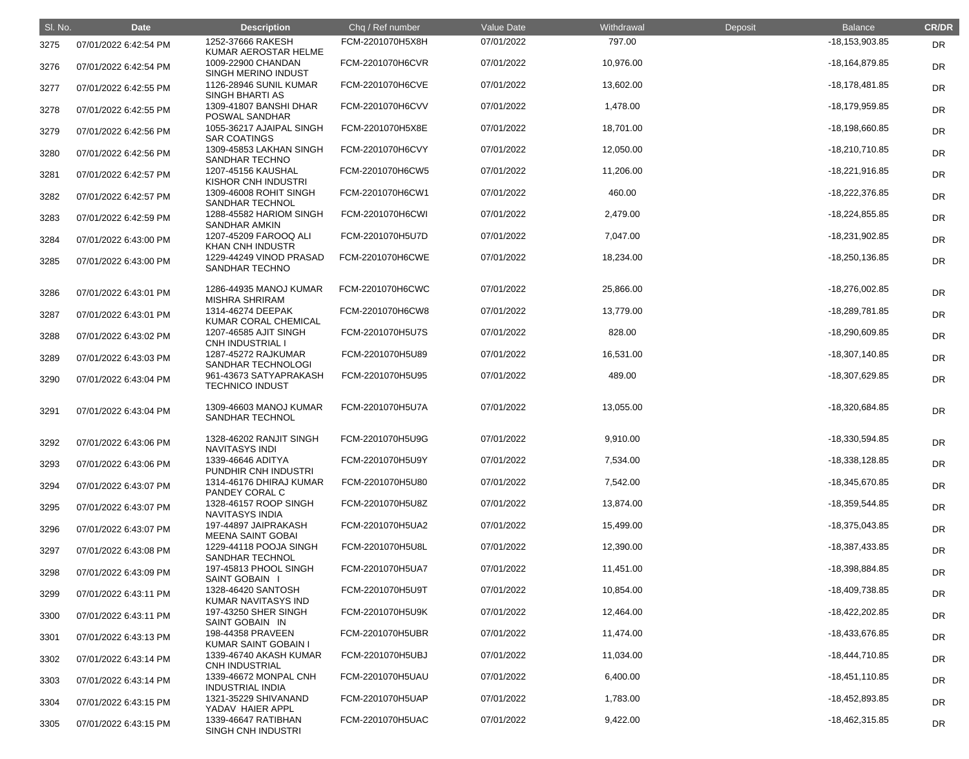| SI. No. | <b>Date</b>           | <b>Description</b>                                                | Chq / Ref number | Value Date | Withdrawal | Deposit | <b>Balance</b>     | <b>CR/DR</b> |
|---------|-----------------------|-------------------------------------------------------------------|------------------|------------|------------|---------|--------------------|--------------|
| 3275    | 07/01/2022 6:42:54 PM | 1252-37666 RAKESH                                                 | FCM-2201070H5X8H | 07/01/2022 | 797.00     |         | $-18, 153, 903.85$ | <b>DR</b>    |
| 3276    | 07/01/2022 6:42:54 PM | KUMAR AEROSTAR HELME<br>1009-22900 CHANDAN<br>SINGH MERINO INDUST | FCM-2201070H6CVR | 07/01/2022 | 10,976.00  |         | -18,164,879.85     | <b>DR</b>    |
| 3277    | 07/01/2022 6:42:55 PM | 1126-28946 SUNIL KUMAR<br>SINGH BHARTI AS                         | FCM-2201070H6CVE | 07/01/2022 | 13,602.00  |         | $-18,178,481.85$   | <b>DR</b>    |
| 3278    | 07/01/2022 6:42:55 PM | 1309-41807 BANSHI DHAR<br>POSWAL SANDHAR                          | FCM-2201070H6CVV | 07/01/2022 | 1,478.00   |         | -18,179,959.85     | DR           |
| 3279    | 07/01/2022 6:42:56 PM | 1055-36217 AJAIPAL SINGH<br><b>SAR COATINGS</b>                   | FCM-2201070H5X8E | 07/01/2022 | 18,701.00  |         | -18,198,660.85     | DR           |
| 3280    | 07/01/2022 6:42:56 PM | 1309-45853 LAKHAN SINGH<br>SANDHAR TECHNO                         | FCM-2201070H6CVY | 07/01/2022 | 12,050.00  |         | -18,210,710.85     | <b>DR</b>    |
| 3281    | 07/01/2022 6:42:57 PM | 1207-45156 KAUSHAL<br><b>KISHOR CNH INDUSTRI</b>                  | FCM-2201070H6CW5 | 07/01/2022 | 11,206.00  |         | $-18,221,916.85$   | <b>DR</b>    |
| 3282    | 07/01/2022 6:42:57 PM | 1309-46008 ROHIT SINGH<br><b>SANDHAR TECHNOL</b>                  | FCM-2201070H6CW1 | 07/01/2022 | 460.00     |         | -18,222,376.85     | <b>DR</b>    |
| 3283    | 07/01/2022 6:42:59 PM | 1288-45582 HARIOM SINGH<br>SANDHAR AMKIN                          | FCM-2201070H6CWI | 07/01/2022 | 2,479.00   |         | $-18,224,855.85$   | DR           |
| 3284    | 07/01/2022 6:43:00 PM | 1207-45209 FAROOQ ALI<br><b>KHAN CNH INDUSTR</b>                  | FCM-2201070H5U7D | 07/01/2022 | 7,047.00   |         | -18,231,902.85     | DR           |
| 3285    | 07/01/2022 6:43:00 PM | 1229-44249 VINOD PRASAD<br>SANDHAR TECHNO                         | FCM-2201070H6CWE | 07/01/2022 | 18,234.00  |         | $-18,250,136.85$   | <b>DR</b>    |
| 3286    | 07/01/2022 6:43:01 PM | 1286-44935 MANOJ KUMAR<br><b>MISHRA SHRIRAM</b>                   | FCM-2201070H6CWC | 07/01/2022 | 25,866.00  |         | -18,276,002.85     | <b>DR</b>    |
| 3287    | 07/01/2022 6:43:01 PM | 1314-46274 DEEPAK<br>KUMAR CORAL CHEMICAL                         | FCM-2201070H6CW8 | 07/01/2022 | 13,779.00  |         | -18,289,781.85     | <b>DR</b>    |
| 3288    | 07/01/2022 6:43:02 PM | 1207-46585 AJIT SINGH<br><b>CNH INDUSTRIAL</b>                    | FCM-2201070H5U7S | 07/01/2022 | 828.00     |         | -18,290,609.85     | <b>DR</b>    |
| 3289    | 07/01/2022 6:43:03 PM | 1287-45272 RAJKUMAR<br>SANDHAR TECHNOLOGI                         | FCM-2201070H5U89 | 07/01/2022 | 16,531.00  |         | -18,307,140.85     | <b>DR</b>    |
| 3290    | 07/01/2022 6:43:04 PM | 961-43673 SATYAPRAKASH<br><b>TECHNICO INDUST</b>                  | FCM-2201070H5U95 | 07/01/2022 | 489.00     |         | -18,307,629.85     | <b>DR</b>    |
| 3291    | 07/01/2022 6:43:04 PM | 1309-46603 MANOJ KUMAR<br>SANDHAR TECHNOL                         | FCM-2201070H5U7A | 07/01/2022 | 13,055.00  |         | -18,320,684.85     | <b>DR</b>    |
| 3292    | 07/01/2022 6:43:06 PM | 1328-46202 RANJIT SINGH<br><b>NAVITASYS INDI</b>                  | FCM-2201070H5U9G | 07/01/2022 | 9,910.00   |         | -18,330,594.85     | <b>DR</b>    |
| 3293    | 07/01/2022 6:43:06 PM | 1339-46646 ADITYA<br>PUNDHIR CNH INDUSTRI                         | FCM-2201070H5U9Y | 07/01/2022 | 7,534.00   |         | $-18,338,128.85$   | <b>DR</b>    |
| 3294    | 07/01/2022 6:43:07 PM | 1314-46176 DHIRAJ KUMAR<br>PANDEY CORAL C                         | FCM-2201070H5U80 | 07/01/2022 | 7,542.00   |         | -18,345,670.85     | <b>DR</b>    |
| 3295    | 07/01/2022 6:43:07 PM | 1328-46157 ROOP SINGH<br><b>NAVITASYS INDIA</b>                   | FCM-2201070H5U8Z | 07/01/2022 | 13,874.00  |         | -18,359,544.85     | <b>DR</b>    |
| 3296    | 07/01/2022 6:43:07 PM | 197-44897 JAIPRAKASH<br><b>MEENA SAINT GOBAI</b>                  | FCM-2201070H5UA2 | 07/01/2022 | 15,499.00  |         | -18,375,043.85     | <b>DR</b>    |
| 3297    | 07/01/2022 6:43:08 PM | 1229-44118 POOJA SINGH<br><b>SANDHAR TECHNOL</b>                  | FCM-2201070H5U8L | 07/01/2022 | 12,390.00  |         | -18,387,433.85     | <b>DR</b>    |
| 3298    | 07/01/2022 6:43:09 PM | 197-45813 PHOOL SINGH<br>SAINT GOBAIN I                           | FCM-2201070H5UA7 | 07/01/2022 | 11,451.00  |         | -18,398,884.85     | <b>DR</b>    |
| 3299    | 07/01/2022 6:43:11 PM | 1328-46420 SANTOSH<br>KUMAR NAVITASYS IND                         | FCM-2201070H5U9T | 07/01/2022 | 10,854.00  |         | -18,409,738.85     | <b>DR</b>    |
| 3300    | 07/01/2022 6:43:11 PM | 197-43250 SHER SINGH<br>SAINT GOBAIN IN                           | FCM-2201070H5U9K | 07/01/2022 | 12,464.00  |         | -18,422,202.85     | <b>DR</b>    |
| 3301    | 07/01/2022 6:43:13 PM | 198-44358 PRAVEEN<br><b>KUMAR SAINT GOBAIN I</b>                  | FCM-2201070H5UBR | 07/01/2022 | 11,474.00  |         | -18,433,676.85     | <b>DR</b>    |
| 3302    | 07/01/2022 6:43:14 PM | 1339-46740 AKASH KUMAR<br>CNH INDUSTRIAL                          | FCM-2201070H5UBJ | 07/01/2022 | 11,034.00  |         | -18,444,710.85     | <b>DR</b>    |
| 3303    | 07/01/2022 6:43:14 PM | 1339-46672 MONPAL CNH<br><b>INDUSTRIAL INDIA</b>                  | FCM-2201070H5UAU | 07/01/2022 | 6,400.00   |         | -18,451,110.85     | <b>DR</b>    |
| 3304    | 07/01/2022 6:43:15 PM | 1321-35229 SHIVANAND<br>YADAV HAIER APPL                          | FCM-2201070H5UAP | 07/01/2022 | 1,783.00   |         | -18,452,893.85     | <b>DR</b>    |
| 3305    | 07/01/2022 6:43:15 PM | 1339-46647 RATIBHAN<br>SINGH CNH INDUSTRI                         | FCM-2201070H5UAC | 07/01/2022 | 9,422.00   |         | -18,462,315.85     | <b>DR</b>    |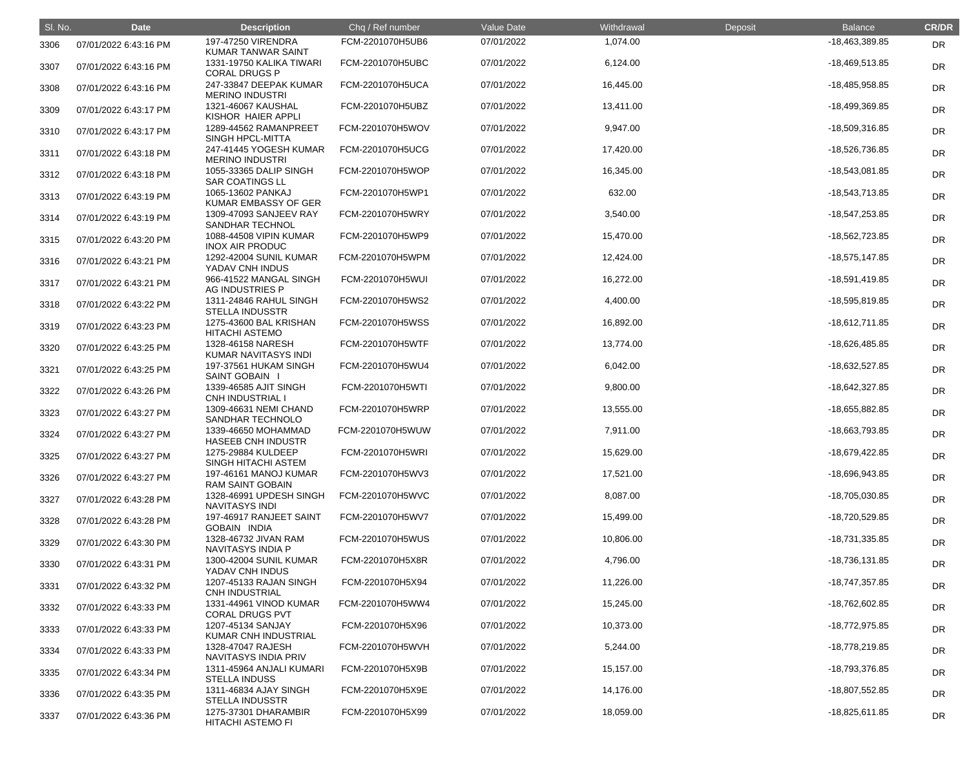| SI. No. | <b>Date</b>           | <b>Description</b>                               | Chq / Ref number | Value Date | Withdrawal | Deposit | <b>Balance</b>   | <b>CR/DR</b> |
|---------|-----------------------|--------------------------------------------------|------------------|------------|------------|---------|------------------|--------------|
| 3306    | 07/01/2022 6:43:16 PM | 197-47250 VIRENDRA<br>KUMAR TANWAR SAINT         | FCM-2201070H5UB6 | 07/01/2022 | 1,074.00   |         | -18,463,389.85   | <b>DR</b>    |
| 3307    | 07/01/2022 6:43:16 PM | 1331-19750 KALIKA TIWARI<br><b>CORAL DRUGS P</b> | FCM-2201070H5UBC | 07/01/2022 | 6,124.00   |         | -18,469,513.85   | <b>DR</b>    |
| 3308    | 07/01/2022 6:43:16 PM | 247-33847 DEEPAK KUMAR<br><b>MERINO INDUSTRI</b> | FCM-2201070H5UCA | 07/01/2022 | 16,445.00  |         | -18,485,958.85   | DR           |
| 3309    | 07/01/2022 6:43:17 PM | 1321-46067 KAUSHAL<br>KISHOR HAIER APPLI         | FCM-2201070H5UBZ | 07/01/2022 | 13,411.00  |         | -18,499,369.85   | <b>DR</b>    |
| 3310    | 07/01/2022 6:43:17 PM | 1289-44562 RAMANPREET<br>SINGH HPCL-MITTA        | FCM-2201070H5WOV | 07/01/2022 | 9,947.00   |         | -18,509,316.85   | <b>DR</b>    |
| 3311    | 07/01/2022 6:43:18 PM | 247-41445 YOGESH KUMAR<br><b>MERINO INDUSTRI</b> | FCM-2201070H5UCG | 07/01/2022 | 17,420.00  |         | -18,526,736.85   | DR           |
| 3312    | 07/01/2022 6:43:18 PM | 1055-33365 DALIP SINGH<br><b>SAR COATINGS LL</b> | FCM-2201070H5WOP | 07/01/2022 | 16,345.00  |         | -18,543,081.85   | DR           |
| 3313    | 07/01/2022 6:43:19 PM | 1065-13602 PANKAJ<br>KUMAR EMBASSY OF GER        | FCM-2201070H5WP1 | 07/01/2022 | 632.00     |         | -18,543,713.85   | <b>DR</b>    |
| 3314    | 07/01/2022 6:43:19 PM | 1309-47093 SANJEEV RAY<br><b>SANDHAR TECHNOL</b> | FCM-2201070H5WRY | 07/01/2022 | 3,540.00   |         | -18,547,253.85   | <b>DR</b>    |
| 3315    | 07/01/2022 6:43:20 PM | 1088-44508 VIPIN KUMAR<br><b>INOX AIR PRODUC</b> | FCM-2201070H5WP9 | 07/01/2022 | 15,470.00  |         | -18,562,723.85   | DR           |
| 3316    | 07/01/2022 6:43:21 PM | 1292-42004 SUNIL KUMAR<br>YADAV CNH INDUS        | FCM-2201070H5WPM | 07/01/2022 | 12,424.00  |         | $-18,575,147.85$ | <b>DR</b>    |
| 3317    | 07/01/2022 6:43:21 PM | 966-41522 MANGAL SINGH<br>AG INDUSTRIES P        | FCM-2201070H5WUI | 07/01/2022 | 16,272.00  |         | -18,591,419.85   | <b>DR</b>    |
| 3318    | 07/01/2022 6:43:22 PM | 1311-24846 RAHUL SINGH<br><b>STELLA INDUSSTR</b> | FCM-2201070H5WS2 | 07/01/2022 | 4,400.00   |         | -18,595,819.85   | <b>DR</b>    |
| 3319    | 07/01/2022 6:43:23 PM | 1275-43600 BAL KRISHAN<br><b>HITACHI ASTEMO</b>  | FCM-2201070H5WSS | 07/01/2022 | 16,892.00  |         | $-18,612,711.85$ | DR           |
| 3320    | 07/01/2022 6:43:25 PM | 1328-46158 NARESH<br>KUMAR NAVITASYS INDI        | FCM-2201070H5WTF | 07/01/2022 | 13,774.00  |         | -18,626,485.85   | <b>DR</b>    |
| 3321    | 07/01/2022 6:43:25 PM | 197-37561 HUKAM SINGH<br>SAINT GOBAIN I          | FCM-2201070H5WU4 | 07/01/2022 | 6,042.00   |         | -18,632,527.85   | <b>DR</b>    |
| 3322    | 07/01/2022 6:43:26 PM | 1339-46585 AJIT SINGH<br><b>CNH INDUSTRIAL I</b> | FCM-2201070H5WTI | 07/01/2022 | 9,800.00   |         | $-18,642,327.85$ | <b>DR</b>    |
| 3323    | 07/01/2022 6:43:27 PM | 1309-46631 NEMI CHAND<br>SANDHAR TECHNOLO        | FCM-2201070H5WRP | 07/01/2022 | 13,555.00  |         | -18,655,882.85   | <b>DR</b>    |
| 3324    | 07/01/2022 6:43:27 PM | 1339-46650 MOHAMMAD<br><b>HASEEB CNH INDUSTR</b> | FCM-2201070H5WUW | 07/01/2022 | 7,911.00   |         | -18,663,793.85   | <b>DR</b>    |
| 3325    | 07/01/2022 6:43:27 PM | 1275-29884 KULDEEP<br>SINGH HITACHI ASTEM        | FCM-2201070H5WRI | 07/01/2022 | 15,629.00  |         | -18,679,422.85   | <b>DR</b>    |
| 3326    | 07/01/2022 6:43:27 PM | 197-46161 MANOJ KUMAR<br><b>RAM SAINT GOBAIN</b> | FCM-2201070H5WV3 | 07/01/2022 | 17,521.00  |         | -18,696,943.85   | <b>DR</b>    |
| 3327    | 07/01/2022 6:43:28 PM | 1328-46991 UPDESH SINGH<br><b>NAVITASYS INDI</b> | FCM-2201070H5WVC | 07/01/2022 | 8,087.00   |         | -18,705,030.85   | <b>DR</b>    |
| 3328    | 07/01/2022 6:43:28 PM | 197-46917 RANJEET SAINT<br><b>GOBAIN INDIA</b>   | FCM-2201070H5WV7 | 07/01/2022 | 15,499.00  |         | -18,720,529.85   | <b>DR</b>    |
| 3329    | 07/01/2022 6:43:30 PM | 1328-46732 JIVAN RAM<br>NAVITASYS INDIA P        | FCM-2201070H5WUS | 07/01/2022 | 10,806.00  |         | -18,731,335.85   | <b>DR</b>    |
| 3330    | 07/01/2022 6:43:31 PM | 1300-42004 SUNIL KUMAR<br>YADAV CNH INDUS        | FCM-2201070H5X8R | 07/01/2022 | 4,796.00   |         | -18,736,131.85   | <b>DR</b>    |
| 3331    | 07/01/2022 6:43:32 PM | 1207-45133 RAJAN SINGH<br><b>CNH INDUSTRIAL</b>  | FCM-2201070H5X94 | 07/01/2022 | 11,226.00  |         | -18,747,357.85   | <b>DR</b>    |
| 3332    | 07/01/2022 6:43:33 PM | 1331-44961 VINOD KUMAR<br><b>CORAL DRUGS PVT</b> | FCM-2201070H5WW4 | 07/01/2022 | 15,245.00  |         | -18,762,602.85   | <b>DR</b>    |
| 3333    | 07/01/2022 6:43:33 PM | 1207-45134 SANJAY<br>KUMAR CNH INDUSTRIAL        | FCM-2201070H5X96 | 07/01/2022 | 10,373.00  |         | -18,772,975.85   | <b>DR</b>    |
| 3334    | 07/01/2022 6:43:33 PM | 1328-47047 RAJESH<br><b>NAVITASYS INDIA PRIV</b> | FCM-2201070H5WVH | 07/01/2022 | 5,244.00   |         | -18,778,219.85   | <b>DR</b>    |
| 3335    | 07/01/2022 6:43:34 PM | 1311-45964 ANJALI KUMARI<br><b>STELLA INDUSS</b> | FCM-2201070H5X9B | 07/01/2022 | 15,157.00  |         | -18,793,376.85   | <b>DR</b>    |
| 3336    | 07/01/2022 6:43:35 PM | 1311-46834 AJAY SINGH<br><b>STELLA INDUSSTR</b>  | FCM-2201070H5X9E | 07/01/2022 | 14,176.00  |         | -18,807,552.85   | <b>DR</b>    |
| 3337    | 07/01/2022 6:43:36 PM | 1275-37301 DHARAMBIR<br><b>HITACHI ASTEMO FI</b> | FCM-2201070H5X99 | 07/01/2022 | 18,059.00  |         | $-18,825,611.85$ | <b>DR</b>    |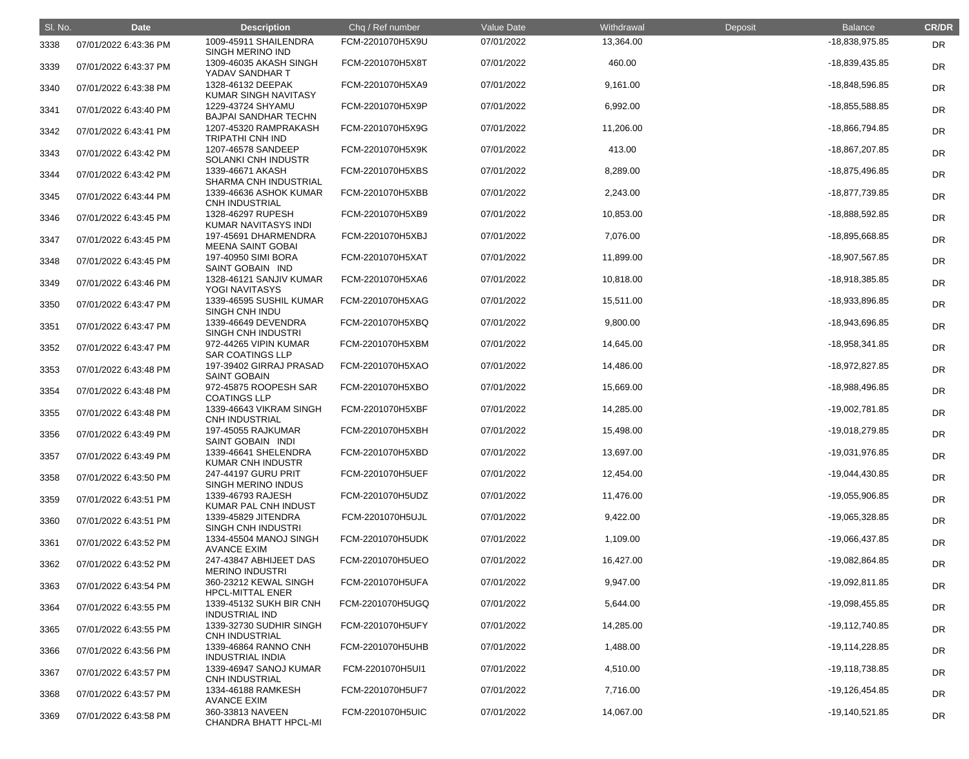| SI. No. | <b>Date</b>           | <b>Description</b>                               | Chq / Ref number | Value Date | Withdrawal | Deposit | <b>Balance</b>   | <b>CR/DR</b> |
|---------|-----------------------|--------------------------------------------------|------------------|------------|------------|---------|------------------|--------------|
| 3338    | 07/01/2022 6:43:36 PM | 1009-45911 SHAILENDRA<br>SINGH MERINO IND        | FCM-2201070H5X9U | 07/01/2022 | 13,364.00  |         | -18,838,975.85   | <b>DR</b>    |
| 3339    | 07/01/2022 6:43:37 PM | 1309-46035 AKASH SINGH<br>YADAV SANDHAR T        | FCM-2201070H5X8T | 07/01/2022 | 460.00     |         | -18,839,435.85   | <b>DR</b>    |
| 3340    | 07/01/2022 6:43:38 PM | 1328-46132 DEEPAK<br>KUMAR SINGH NAVITASY        | FCM-2201070H5XA9 | 07/01/2022 | 9,161.00   |         | -18,848,596.85   | <b>DR</b>    |
| 3341    | 07/01/2022 6:43:40 PM | 1229-43724 SHYAMU<br><b>BAJPAI SANDHAR TECHN</b> | FCM-2201070H5X9P | 07/01/2022 | 6,992.00   |         | -18,855,588.85   | <b>DR</b>    |
| 3342    | 07/01/2022 6:43:41 PM | 1207-45320 RAMPRAKASH<br><b>TRIPATHI CNH IND</b> | FCM-2201070H5X9G | 07/01/2022 | 11,206.00  |         | -18,866,794.85   | <b>DR</b>    |
| 3343    | 07/01/2022 6:43:42 PM | 1207-46578 SANDEEP<br>SOLANKI CNH INDUSTR        | FCM-2201070H5X9K | 07/01/2022 | 413.00     |         | -18,867,207.85   | <b>DR</b>    |
| 3344    | 07/01/2022 6:43:42 PM | 1339-46671 AKASH<br>SHARMA CNH INDUSTRIAL        | FCM-2201070H5XBS | 07/01/2022 | 8,289.00   |         | -18,875,496.85   | <b>DR</b>    |
| 3345    | 07/01/2022 6:43:44 PM | 1339-46636 ASHOK KUMAR<br><b>CNH INDUSTRIAL</b>  | FCM-2201070H5XBB | 07/01/2022 | 2,243.00   |         | -18,877,739.85   | <b>DR</b>    |
| 3346    | 07/01/2022 6:43:45 PM | 1328-46297 RUPESH<br>KUMAR NAVITASYS INDI        | FCM-2201070H5XB9 | 07/01/2022 | 10,853.00  |         | -18,888,592.85   | <b>DR</b>    |
| 3347    | 07/01/2022 6:43:45 PM | 197-45691 DHARMENDRA<br><b>MEENA SAINT GOBAI</b> | FCM-2201070H5XBJ | 07/01/2022 | 7,076.00   |         | -18,895,668.85   | <b>DR</b>    |
| 3348    | 07/01/2022 6:43:45 PM | 197-40950 SIMI BORA<br>SAINT GOBAIN IND          | FCM-2201070H5XAT | 07/01/2022 | 11,899.00  |         | -18,907,567.85   | <b>DR</b>    |
| 3349    | 07/01/2022 6:43:46 PM | 1328-46121 SANJIV KUMAR<br>YOGI NAVITASYS        | FCM-2201070H5XA6 | 07/01/2022 | 10,818.00  |         | -18,918,385.85   | <b>DR</b>    |
| 3350    | 07/01/2022 6:43:47 PM | 1339-46595 SUSHIL KUMAR<br><b>SINGH CNH INDU</b> | FCM-2201070H5XAG | 07/01/2022 | 15,511.00  |         | -18,933,896.85   | <b>DR</b>    |
| 3351    | 07/01/2022 6:43:47 PM | 1339-46649 DEVENDRA<br>SINGH CNH INDUSTRI        | FCM-2201070H5XBQ | 07/01/2022 | 9,800.00   |         | -18,943,696.85   | <b>DR</b>    |
| 3352    | 07/01/2022 6:43:47 PM | 972-44265 VIPIN KUMAR<br><b>SAR COATINGS LLP</b> | FCM-2201070H5XBM | 07/01/2022 | 14,645.00  |         | -18,958,341.85   | <b>DR</b>    |
| 3353    | 07/01/2022 6:43:48 PM | 197-39402 GIRRAJ PRASAD<br><b>SAINT GOBAIN</b>   | FCM-2201070H5XAO | 07/01/2022 | 14,486.00  |         | -18,972,827.85   | <b>DR</b>    |
| 3354    | 07/01/2022 6:43:48 PM | 972-45875 ROOPESH SAR<br><b>COATINGS LLP</b>     | FCM-2201070H5XBO | 07/01/2022 | 15,669.00  |         | -18,988,496.85   | <b>DR</b>    |
| 3355    | 07/01/2022 6:43:48 PM | 1339-46643 VIKRAM SINGH<br><b>CNH INDUSTRIAL</b> | FCM-2201070H5XBF | 07/01/2022 | 14,285.00  |         | -19,002,781.85   | <b>DR</b>    |
| 3356    | 07/01/2022 6:43:49 PM | 197-45055 RAJKUMAR<br>SAINT GOBAIN INDI          | FCM-2201070H5XBH | 07/01/2022 | 15,498.00  |         | -19,018,279.85   | <b>DR</b>    |
| 3357    | 07/01/2022 6:43:49 PM | 1339-46641 SHELENDRA<br><b>KUMAR CNH INDUSTR</b> | FCM-2201070H5XBD | 07/01/2022 | 13,697.00  |         | -19,031,976.85   | <b>DR</b>    |
| 3358    | 07/01/2022 6:43:50 PM | 247-44197 GURU PRIT<br><b>SINGH MERINO INDUS</b> | FCM-2201070H5UEF | 07/01/2022 | 12,454.00  |         | -19,044,430.85   | <b>DR</b>    |
| 3359    | 07/01/2022 6:43:51 PM | 1339-46793 RAJESH<br>KUMAR PAL CNH INDUST        | FCM-2201070H5UDZ | 07/01/2022 | 11,476.00  |         | -19,055,906.85   | <b>DR</b>    |
| 3360    | 07/01/2022 6:43:51 PM | 1339-45829 JITENDRA<br><b>SINGH CNH INDUSTRI</b> | FCM-2201070H5UJL | 07/01/2022 | 9,422.00   |         | -19,065,328.85   | <b>DR</b>    |
| 3361    | 07/01/2022 6:43:52 PM | 1334-45504 MANOJ SINGH<br><b>AVANCE EXIM</b>     | FCM-2201070H5UDK | 07/01/2022 | 1,109.00   |         | -19,066,437.85   | <b>DR</b>    |
| 3362    | 07/01/2022 6:43:52 PM | 247-43847 ABHIJEET DAS<br><b>MERINO INDUSTRI</b> | FCM-2201070H5UEO | 07/01/2022 | 16,427.00  |         | -19,082,864.85   | <b>DR</b>    |
| 3363    | 07/01/2022 6:43:54 PM | 360-23212 KEWAL SINGH<br><b>HPCL-MITTAL ENER</b> | FCM-2201070H5UFA | 07/01/2022 | 9,947.00   |         | -19,092,811.85   | <b>DR</b>    |
| 3364    | 07/01/2022 6:43:55 PM | 1339-45132 SUKH BIR CNH<br><b>INDUSTRIAL IND</b> | FCM-2201070H5UGQ | 07/01/2022 | 5,644.00   |         | -19,098,455.85   | <b>DR</b>    |
| 3365    | 07/01/2022 6:43:55 PM | 1339-32730 SUDHIR SINGH<br><b>CNH INDUSTRIAL</b> | FCM-2201070H5UFY | 07/01/2022 | 14,285.00  |         | $-19,112,740.85$ | <b>DR</b>    |
| 3366    | 07/01/2022 6:43:56 PM | 1339-46864 RANNO CNH<br><b>INDUSTRIAL INDIA</b>  | FCM-2201070H5UHB | 07/01/2022 | 1,488.00   |         | $-19,114,228.85$ | <b>DR</b>    |
| 3367    | 07/01/2022 6:43:57 PM | 1339-46947 SANOJ KUMAR<br><b>CNH INDUSTRIAL</b>  | FCM-2201070H5UI1 | 07/01/2022 | 4,510.00   |         | -19,118,738.85   | <b>DR</b>    |
| 3368    | 07/01/2022 6:43:57 PM | 1334-46188 RAMKESH<br><b>AVANCE EXIM</b>         | FCM-2201070H5UF7 | 07/01/2022 | 7,716.00   |         | -19,126,454.85   | <b>DR</b>    |
| 3369    | 07/01/2022 6:43:58 PM | 360-33813 NAVEEN<br>CHANDRA BHATT HPCL-MI        | FCM-2201070H5UIC | 07/01/2022 | 14,067.00  |         | $-19,140,521.85$ | <b>DR</b>    |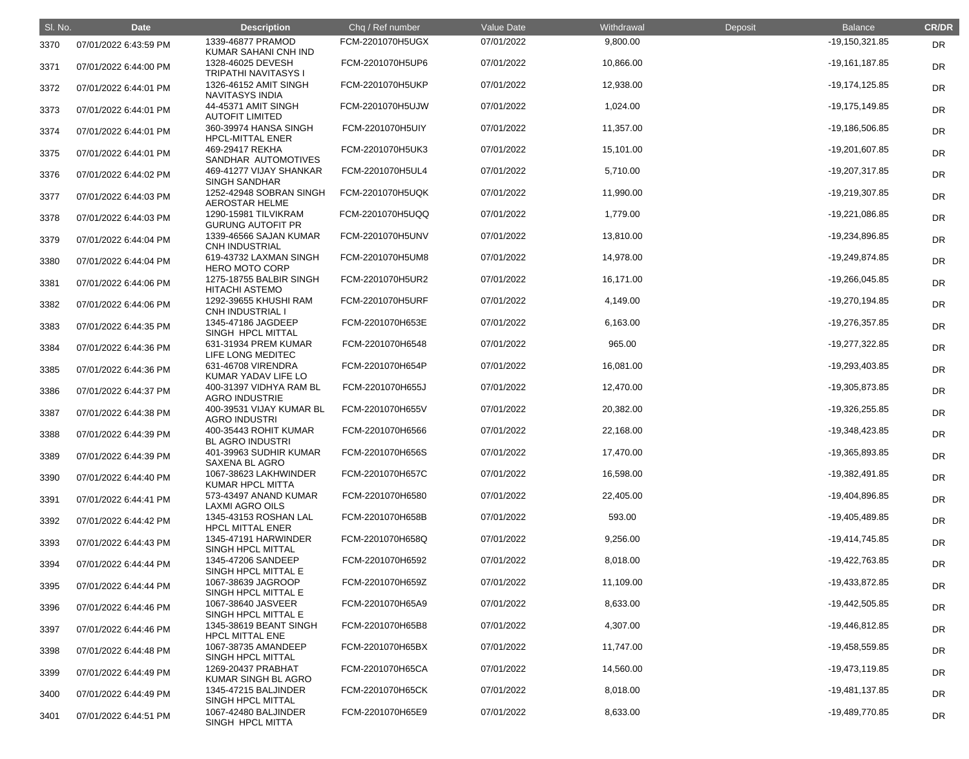| SI. No. | <b>Date</b>           | <b>Description</b>                               | Chq / Ref number | Value Date | Withdrawal | Deposit | <b>Balance</b>   | <b>CR/DR</b> |
|---------|-----------------------|--------------------------------------------------|------------------|------------|------------|---------|------------------|--------------|
| 3370    | 07/01/2022 6:43:59 PM | 1339-46877 PRAMOD<br>KUMAR SAHANI CNH IND        | FCM-2201070H5UGX | 07/01/2022 | 9,800.00   |         | $-19,150,321.85$ | <b>DR</b>    |
| 3371    | 07/01/2022 6:44:00 PM | 1328-46025 DEVESH<br>TRIPATHI NAVITASYS I        | FCM-2201070H5UP6 | 07/01/2022 | 10,866.00  |         | $-19,161,187.85$ | <b>DR</b>    |
| 3372    | 07/01/2022 6:44:01 PM | 1326-46152 AMIT SINGH<br><b>NAVITASYS INDIA</b>  | FCM-2201070H5UKP | 07/01/2022 | 12,938.00  |         | $-19,174,125.85$ | <b>DR</b>    |
| 3373    | 07/01/2022 6:44:01 PM | 44-45371 AMIT SINGH<br><b>AUTOFIT LIMITED</b>    | FCM-2201070H5UJW | 07/01/2022 | 1,024.00   |         | $-19,175,149.85$ | <b>DR</b>    |
| 3374    | 07/01/2022 6:44:01 PM | 360-39974 HANSA SINGH<br><b>HPCL-MITTAL ENER</b> | FCM-2201070H5UIY | 07/01/2022 | 11,357.00  |         | -19,186,506.85   | DR           |
| 3375    | 07/01/2022 6:44:01 PM | 469-29417 REKHA<br>SANDHAR AUTOMOTIVES           | FCM-2201070H5UK3 | 07/01/2022 | 15,101.00  |         | -19,201,607.85   | DR           |
| 3376    | 07/01/2022 6:44:02 PM | 469-41277 VIJAY SHANKAR<br><b>SINGH SANDHAR</b>  | FCM-2201070H5UL4 | 07/01/2022 | 5,710.00   |         | -19,207,317.85   | <b>DR</b>    |
| 3377    | 07/01/2022 6:44:03 PM | 1252-42948 SOBRAN SINGH<br><b>AEROSTAR HELME</b> | FCM-2201070H5UQK | 07/01/2022 | 11,990.00  |         | -19,219,307.85   | <b>DR</b>    |
| 3378    | 07/01/2022 6:44:03 PM | 1290-15981 TILVIKRAM<br><b>GURUNG AUTOFIT PR</b> | FCM-2201070H5UQQ | 07/01/2022 | 1,779.00   |         | -19,221,086.85   | <b>DR</b>    |
| 3379    | 07/01/2022 6:44:04 PM | 1339-46566 SAJAN KUMAR<br><b>CNH INDUSTRIAL</b>  | FCM-2201070H5UNV | 07/01/2022 | 13,810.00  |         | -19,234,896.85   | DR           |
| 3380    | 07/01/2022 6:44:04 PM | 619-43732 LAXMAN SINGH<br><b>HERO MOTO CORP</b>  | FCM-2201070H5UM8 | 07/01/2022 | 14,978.00  |         | -19,249,874.85   | DR           |
| 3381    | 07/01/2022 6:44:06 PM | 1275-18755 BALBIR SINGH<br><b>HITACHI ASTEMO</b> | FCM-2201070H5UR2 | 07/01/2022 | 16,171.00  |         | -19,266,045.85   | <b>DR</b>    |
| 3382    | 07/01/2022 6:44:06 PM | 1292-39655 KHUSHI RAM<br><b>CNH INDUSTRIAL I</b> | FCM-2201070H5URF | 07/01/2022 | 4,149.00   |         | -19,270,194.85   | <b>DR</b>    |
| 3383    | 07/01/2022 6:44:35 PM | 1345-47186 JAGDEEP<br>SINGH HPCL MITTAL          | FCM-2201070H653E | 07/01/2022 | 6,163.00   |         | -19,276,357.85   | DR           |
| 3384    | 07/01/2022 6:44:36 PM | 631-31934 PREM KUMAR<br>LIFE LONG MEDITEC        | FCM-2201070H6548 | 07/01/2022 | 965.00     |         | -19,277,322.85   | DR           |
| 3385    | 07/01/2022 6:44:36 PM | 631-46708 VIRENDRA<br>KUMAR YADAV LIFE LO        | FCM-2201070H654P | 07/01/2022 | 16,081.00  |         | -19,293,403.85   | <b>DR</b>    |
| 3386    | 07/01/2022 6:44:37 PM | 400-31397 VIDHYA RAM BL<br><b>AGRO INDUSTRIE</b> | FCM-2201070H655J | 07/01/2022 | 12,470.00  |         | -19,305,873.85   | <b>DR</b>    |
| 3387    | 07/01/2022 6:44:38 PM | 400-39531 VIJAY KUMAR BL<br><b>AGRO INDUSTRI</b> | FCM-2201070H655V | 07/01/2022 | 20,382.00  |         | -19,326,255.85   | DR           |
| 3388    | 07/01/2022 6:44:39 PM | 400-35443 ROHIT KUMAR<br><b>BL AGRO INDUSTRI</b> | FCM-2201070H6566 | 07/01/2022 | 22,168.00  |         | -19,348,423.85   | <b>DR</b>    |
| 3389    | 07/01/2022 6:44:39 PM | 401-39963 SUDHIR KUMAR<br>SAXENA BL AGRO         | FCM-2201070H656S | 07/01/2022 | 17,470.00  |         | -19,365,893.85   | <b>DR</b>    |
| 3390    | 07/01/2022 6:44:40 PM | 1067-38623 LAKHWINDER<br><b>KUMAR HPCL MITTA</b> | FCM-2201070H657C | 07/01/2022 | 16,598.00  |         | -19,382,491.85   | <b>DR</b>    |
| 3391    | 07/01/2022 6:44:41 PM | 573-43497 ANAND KUMAR<br><b>LAXMI AGRO OILS</b>  | FCM-2201070H6580 | 07/01/2022 | 22,405.00  |         | -19,404,896.85   | <b>DR</b>    |
| 3392    | 07/01/2022 6:44:42 PM | 1345-43153 ROSHAN LAL<br><b>HPCL MITTAL ENER</b> | FCM-2201070H658B | 07/01/2022 | 593.00     |         | -19,405,489.85   | <b>DR</b>    |
| 3393    | 07/01/2022 6:44:43 PM | 1345-47191 HARWINDER<br>SINGH HPCL MITTAL        | FCM-2201070H658Q | 07/01/2022 | 9,256.00   |         | -19,414,745.85   | <b>DR</b>    |
| 3394    | 07/01/2022 6:44:44 PM | 1345-47206 SANDEEP<br>SINGH HPCL MITTAL E        | FCM-2201070H6592 | 07/01/2022 | 8,018.00   |         | -19,422,763.85   | <b>DR</b>    |
| 3395    | 07/01/2022 6:44:44 PM | 1067-38639 JAGROOP<br>SINGH HPCL MITTAL E        | FCM-2201070H659Z | 07/01/2022 | 11,109.00  |         | -19,433,872.85   | <b>DR</b>    |
| 3396    | 07/01/2022 6:44:46 PM | 1067-38640 JASVEER<br>SINGH HPCL MITTAL E        | FCM-2201070H65A9 | 07/01/2022 | 8,633.00   |         | -19,442,505.85   | <b>DR</b>    |
| 3397    | 07/01/2022 6:44:46 PM | 1345-38619 BEANT SINGH<br><b>HPCL MITTAL ENE</b> | FCM-2201070H65B8 | 07/01/2022 | 4,307.00   |         | -19,446,812.85   | <b>DR</b>    |
| 3398    | 07/01/2022 6:44:48 PM | 1067-38735 AMANDEEP<br>SINGH HPCL MITTAL         | FCM-2201070H65BX | 07/01/2022 | 11,747.00  |         | -19,458,559.85   | <b>DR</b>    |
| 3399    | 07/01/2022 6:44:49 PM | 1269-20437 PRABHAT<br>KUMAR SINGH BL AGRO        | FCM-2201070H65CA | 07/01/2022 | 14,560.00  |         | -19,473,119.85   | <b>DR</b>    |
| 3400    | 07/01/2022 6:44:49 PM | 1345-47215 BALJINDER<br>SINGH HPCL MITTAL        | FCM-2201070H65CK | 07/01/2022 | 8,018.00   |         | -19,481,137.85   | <b>DR</b>    |
| 3401    | 07/01/2022 6:44:51 PM | 1067-42480 BALJINDER<br>SINGH HPCL MITTA         | FCM-2201070H65E9 | 07/01/2022 | 8,633.00   |         | -19,489,770.85   | <b>DR</b>    |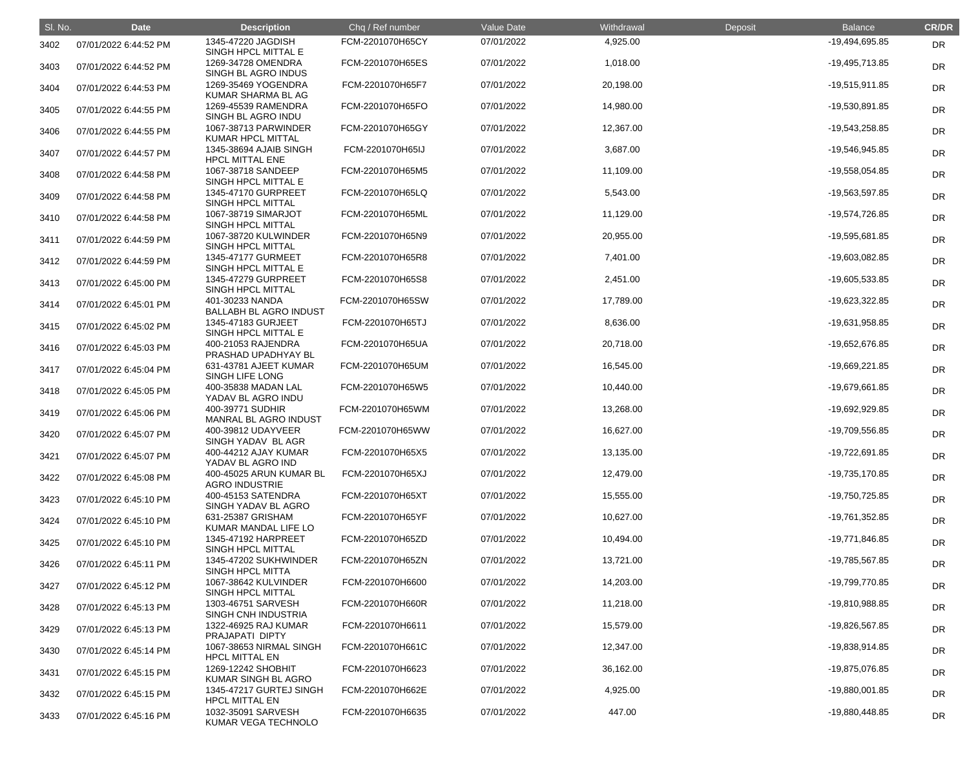| SI. No. | <b>Date</b>           | <b>Description</b>                               | Chq / Ref number | Value Date | Withdrawal | Deposit | <b>Balance</b>   | <b>CR/DR</b> |
|---------|-----------------------|--------------------------------------------------|------------------|------------|------------|---------|------------------|--------------|
| 3402    | 07/01/2022 6:44:52 PM | 1345-47220 JAGDISH<br>SINGH HPCL MITTAL E        | FCM-2201070H65CY | 07/01/2022 | 4,925.00   |         | -19,494,695.85   | <b>DR</b>    |
| 3403    | 07/01/2022 6:44:52 PM | 1269-34728 OMENDRA<br>SINGH BL AGRO INDUS        | FCM-2201070H65ES | 07/01/2022 | 1,018.00   |         | -19,495,713.85   | <b>DR</b>    |
| 3404    | 07/01/2022 6:44:53 PM | 1269-35469 YOGENDRA<br>KUMAR SHARMA BL AG        | FCM-2201070H65F7 | 07/01/2022 | 20,198.00  |         | $-19,515,911.85$ | <b>DR</b>    |
| 3405    | 07/01/2022 6:44:55 PM | 1269-45539 RAMENDRA<br>SINGH BL AGRO INDU        | FCM-2201070H65FO | 07/01/2022 | 14,980.00  |         | -19,530,891.85   | <b>DR</b>    |
| 3406    | 07/01/2022 6:44:55 PM | 1067-38713 PARWINDER<br><b>KUMAR HPCL MITTAL</b> | FCM-2201070H65GY | 07/01/2022 | 12,367.00  |         | -19,543,258.85   | DR           |
| 3407    | 07/01/2022 6:44:57 PM | 1345-38694 AJAIB SINGH<br><b>HPCL MITTAL ENE</b> | FCM-2201070H65IJ | 07/01/2022 | 3,687.00   |         | -19,546,945.85   | DR           |
| 3408    | 07/01/2022 6:44:58 PM | 1067-38718 SANDEEP<br>SINGH HPCL MITTAL E        | FCM-2201070H65M5 | 07/01/2022 | 11,109.00  |         | -19,558,054.85   | <b>DR</b>    |
| 3409    | 07/01/2022 6:44:58 PM | 1345-47170 GURPREET<br>SINGH HPCL MITTAL         | FCM-2201070H65LQ | 07/01/2022 | 5,543.00   |         | -19,563,597.85   | <b>DR</b>    |
| 3410    | 07/01/2022 6:44:58 PM | 1067-38719 SIMARJOT<br>SINGH HPCL MITTAL         | FCM-2201070H65ML | 07/01/2022 | 11,129.00  |         | -19,574,726.85   | DR           |
| 3411    | 07/01/2022 6:44:59 PM | 1067-38720 KULWINDER<br>SINGH HPCL MITTAL        | FCM-2201070H65N9 | 07/01/2022 | 20,955.00  |         | -19,595,681.85   | DR           |
| 3412    | 07/01/2022 6:44:59 PM | 1345-47177 GURMEET<br>SINGH HPCL MITTAL E        | FCM-2201070H65R8 | 07/01/2022 | 7,401.00   |         | -19,603,082.85   | DR           |
| 3413    | 07/01/2022 6:45:00 PM | 1345-47279 GURPREET<br>SINGH HPCL MITTAL         | FCM-2201070H65S8 | 07/01/2022 | 2,451.00   |         | -19,605,533.85   | <b>DR</b>    |
| 3414    | 07/01/2022 6:45:01 PM | 401-30233 NANDA<br><b>BALLABH BL AGRO INDUST</b> | FCM-2201070H65SW | 07/01/2022 | 17,789.00  |         | -19,623,322.85   | <b>DR</b>    |
| 3415    | 07/01/2022 6:45:02 PM | 1345-47183 GURJEET<br>SINGH HPCL MITTAL E        | FCM-2201070H65TJ | 07/01/2022 | 8,636.00   |         | -19,631,958.85   | DR           |
| 3416    | 07/01/2022 6:45:03 PM | 400-21053 RAJENDRA<br>PRASHAD UPADHYAY BL        | FCM-2201070H65UA | 07/01/2022 | 20,718.00  |         | -19,652,676.85   | DR           |
| 3417    | 07/01/2022 6:45:04 PM | 631-43781 AJEET KUMAR<br>SINGH LIFE LONG         | FCM-2201070H65UM | 07/01/2022 | 16,545.00  |         | -19,669,221.85   | <b>DR</b>    |
| 3418    | 07/01/2022 6:45:05 PM | 400-35838 MADAN LAL<br>YADAV BL AGRO INDU        | FCM-2201070H65W5 | 07/01/2022 | 10,440.00  |         | -19,679,661.85   | <b>DR</b>    |
| 3419    | 07/01/2022 6:45:06 PM | 400-39771 SUDHIR<br>MANRAL BL AGRO INDUST        | FCM-2201070H65WM | 07/01/2022 | 13,268.00  |         | -19,692,929.85   | DR           |
| 3420    | 07/01/2022 6:45:07 PM | 400-39812 UDAYVEER<br>SINGH YADAV BL AGR         | FCM-2201070H65WW | 07/01/2022 | 16,627.00  |         | -19,709,556.85   | <b>DR</b>    |
| 3421    | 07/01/2022 6:45:07 PM | 400-44212 AJAY KUMAR<br>YADAV BL AGRO IND        | FCM-2201070H65X5 | 07/01/2022 | 13,135.00  |         | -19,722,691.85   | <b>DR</b>    |
| 3422    | 07/01/2022 6:45:08 PM | 400-45025 ARUN KUMAR BL<br><b>AGRO INDUSTRIE</b> | FCM-2201070H65XJ | 07/01/2022 | 12,479.00  |         | $-19,735,170.85$ | <b>DR</b>    |
| 3423    | 07/01/2022 6:45:10 PM | 400-45153 SATENDRA<br>SINGH YADAV BL AGRO        | FCM-2201070H65XT | 07/01/2022 | 15,555.00  |         | -19,750,725.85   | <b>DR</b>    |
| 3424    | 07/01/2022 6:45:10 PM | 631-25387 GRISHAM<br>KUMAR MANDAL LIFE LO        | FCM-2201070H65YF | 07/01/2022 | 10,627.00  |         | -19,761,352.85   | <b>DR</b>    |
| 3425    | 07/01/2022 6:45:10 PM | 1345-47192 HARPREET<br>SINGH HPCL MITTAL         | FCM-2201070H65ZD | 07/01/2022 | 10,494.00  |         | -19,771,846.85   | <b>DR</b>    |
| 3426    | 07/01/2022 6:45:11 PM | 1345-47202 SUKHWINDER<br><b>SINGH HPCL MITTA</b> | FCM-2201070H65ZN | 07/01/2022 | 13,721.00  |         | -19,785,567.85   | <b>DR</b>    |
| 3427    | 07/01/2022 6:45:12 PM | 1067-38642 KULVINDER<br>SINGH HPCL MITTAL        | FCM-2201070H6600 | 07/01/2022 | 14,203.00  |         | -19,799,770.85   | <b>DR</b>    |
| 3428    | 07/01/2022 6:45:13 PM | 1303-46751 SARVESH<br>SINGH CNH INDUSTRIA        | FCM-2201070H660R | 07/01/2022 | 11,218.00  |         | -19,810,988.85   | <b>DR</b>    |
| 3429    | 07/01/2022 6:45:13 PM | 1322-46925 RAJ KUMAR<br>PRAJAPATI DIPTY          | FCM-2201070H6611 | 07/01/2022 | 15,579.00  |         | -19,826,567.85   | <b>DR</b>    |
| 3430    | 07/01/2022 6:45:14 PM | 1067-38653 NIRMAL SINGH<br><b>HPCL MITTAL EN</b> | FCM-2201070H661C | 07/01/2022 | 12,347.00  |         | -19,838,914.85   | <b>DR</b>    |
| 3431    | 07/01/2022 6:45:15 PM | 1269-12242 SHOBHIT<br>KUMAR SINGH BL AGRO        | FCM-2201070H6623 | 07/01/2022 | 36,162.00  |         | -19,875,076.85   | <b>DR</b>    |
| 3432    | 07/01/2022 6:45:15 PM | 1345-47217 GURTEJ SINGH<br><b>HPCL MITTAL EN</b> | FCM-2201070H662E | 07/01/2022 | 4,925.00   |         | -19,880,001.85   | <b>DR</b>    |
| 3433    | 07/01/2022 6:45:16 PM | 1032-35091 SARVESH<br>KUMAR VEGA TECHNOLO        | FCM-2201070H6635 | 07/01/2022 | 447.00     |         | -19,880,448.85   | <b>DR</b>    |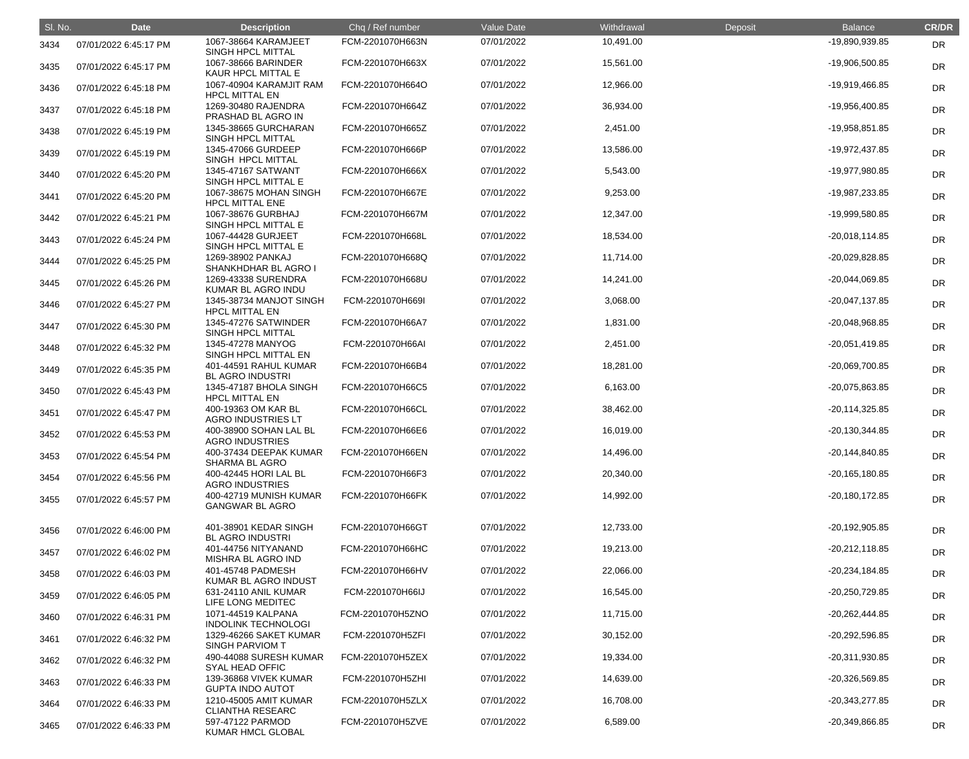| SI. No. | <b>Date</b>           | <b>Description</b>                               | Chq / Ref number | Value Date | Withdrawal | <b>Deposit</b> | <b>Balance</b>   | <b>CR/DR</b> |
|---------|-----------------------|--------------------------------------------------|------------------|------------|------------|----------------|------------------|--------------|
| 3434    | 07/01/2022 6:45:17 PM | 1067-38664 KARAMJEET<br>SINGH HPCL MITTAL        | FCM-2201070H663N | 07/01/2022 | 10,491.00  |                | -19,890,939.85   | <b>DR</b>    |
| 3435    | 07/01/2022 6:45:17 PM | 1067-38666 BARINDER<br>KAUR HPCL MITTAL E        | FCM-2201070H663X | 07/01/2022 | 15,561.00  |                | -19,906,500.85   | <b>DR</b>    |
| 3436    | 07/01/2022 6:45:18 PM | 1067-40904 KARAMJIT RAM<br><b>HPCL MITTAL EN</b> | FCM-2201070H664O | 07/01/2022 | 12,966.00  |                | -19,919,466.85   | <b>DR</b>    |
| 3437    | 07/01/2022 6:45:18 PM | 1269-30480 RAJENDRA<br>PRASHAD BL AGRO IN        | FCM-2201070H664Z | 07/01/2022 | 36,934.00  |                | -19,956,400.85   | DR           |
| 3438    | 07/01/2022 6:45:19 PM | 1345-38665 GURCHARAN<br>SINGH HPCL MITTAL        | FCM-2201070H665Z | 07/01/2022 | 2,451.00   |                | -19,958,851.85   | DR           |
| 3439    | 07/01/2022 6:45:19 PM | 1345-47066 GURDEEP<br>SINGH HPCL MITTAL          | FCM-2201070H666P | 07/01/2022 | 13,586.00  |                | -19,972,437.85   | <b>DR</b>    |
| 3440    | 07/01/2022 6:45:20 PM | 1345-47167 SATWANT<br>SINGH HPCL MITTAL E        | FCM-2201070H666X | 07/01/2022 | 5,543.00   |                | -19,977,980.85   | <b>DR</b>    |
| 3441    | 07/01/2022 6:45:20 PM | 1067-38675 MOHAN SINGH<br><b>HPCL MITTAL ENE</b> | FCM-2201070H667E | 07/01/2022 | 9,253.00   |                | -19,987,233.85   | DR           |
| 3442    | 07/01/2022 6:45:21 PM | 1067-38676 GURBHAJ<br>SINGH HPCL MITTAL E        | FCM-2201070H667M | 07/01/2022 | 12,347.00  |                | -19,999,580.85   | DR           |
| 3443    | 07/01/2022 6:45:24 PM | 1067-44428 GURJEET<br>SINGH HPCL MITTAL E        | FCM-2201070H668L | 07/01/2022 | 18,534.00  |                | $-20,018,114.85$ | DR           |
| 3444    | 07/01/2022 6:45:25 PM | 1269-38902 PANKAJ<br>SHANKHDHAR BL AGRO I        | FCM-2201070H668Q | 07/01/2022 | 11,714.00  |                | -20,029,828.85   | <b>DR</b>    |
| 3445    | 07/01/2022 6:45:26 PM | 1269-43338 SURENDRA<br>KUMAR BL AGRO INDU        | FCM-2201070H668U | 07/01/2022 | 14,241.00  |                | -20,044,069.85   | <b>DR</b>    |
| 3446    | 07/01/2022 6:45:27 PM | 1345-38734 MANJOT SINGH<br><b>HPCL MITTAL EN</b> | FCM-2201070H669I | 07/01/2022 | 3,068.00   |                | -20,047,137.85   | DR           |
| 3447    | 07/01/2022 6:45:30 PM | 1345-47276 SATWINDER<br>SINGH HPCL MITTAL        | FCM-2201070H66A7 | 07/01/2022 | 1,831.00   |                | -20,048,968.85   | DR           |
| 3448    | 07/01/2022 6:45:32 PM | 1345-47278 MANYOG<br>SINGH HPCL MITTAL EN        | FCM-2201070H66AI | 07/01/2022 | 2,451.00   |                | $-20,051,419.85$ | DR           |
| 3449    | 07/01/2022 6:45:35 PM | 401-44591 RAHUL KUMAR<br><b>BL AGRO INDUSTRI</b> | FCM-2201070H66B4 | 07/01/2022 | 18,281.00  |                | -20,069,700.85   | <b>DR</b>    |
| 3450    | 07/01/2022 6:45:43 PM | 1345-47187 BHOLA SINGH<br><b>HPCL MITTAL EN</b>  | FCM-2201070H66C5 | 07/01/2022 | 6,163.00   |                | -20,075,863.85   | <b>DR</b>    |
| 3451    | 07/01/2022 6:45:47 PM | 400-19363 OM KAR BL<br><b>AGRO INDUSTRIES LT</b> | FCM-2201070H66CL | 07/01/2022 | 38,462.00  |                | $-20,114,325.85$ | <b>DR</b>    |
| 3452    | 07/01/2022 6:45:53 PM | 400-38900 SOHAN LAL BL<br><b>AGRO INDUSTRIES</b> | FCM-2201070H66E6 | 07/01/2022 | 16,019.00  |                | $-20,130,344.85$ | <b>DR</b>    |
| 3453    | 07/01/2022 6:45:54 PM | 400-37434 DEEPAK KUMAR<br><b>SHARMA BL AGRO</b>  | FCM-2201070H66EN | 07/01/2022 | 14,496.00  |                | $-20,144,840.85$ | <b>DR</b>    |
| 3454    | 07/01/2022 6:45:56 PM | 400-42445 HORI LAL BL<br><b>AGRO INDUSTRIES</b>  | FCM-2201070H66F3 | 07/01/2022 | 20,340.00  |                | $-20,165,180.85$ | <b>DR</b>    |
| 3455    | 07/01/2022 6:45:57 PM | 400-42719 MUNISH KUMAR<br><b>GANGWAR BL AGRO</b> | FCM-2201070H66FK | 07/01/2022 | 14,992.00  |                | $-20,180,172.85$ | <b>DR</b>    |
| 3456    | 07/01/2022 6:46:00 PM | 401-38901 KEDAR SINGH<br><b>BL AGRO INDUSTRI</b> | FCM-2201070H66GT | 07/01/2022 | 12,733.00  |                | $-20,192,905.85$ | <b>DR</b>    |
| 3457    | 07/01/2022 6:46:02 PM | 401-44756 NITYANAND<br>MISHRA BL AGRO IND        | FCM-2201070H66HC | 07/01/2022 | 19,213.00  |                | $-20,212,118.85$ | <b>DR</b>    |
| 3458    | 07/01/2022 6:46:03 PM | 401-45748 PADMESH<br>KUMAR BL AGRO INDUST        | FCM-2201070H66HV | 07/01/2022 | 22,066.00  |                | -20,234,184.85   | <b>DR</b>    |
| 3459    | 07/01/2022 6:46:05 PM | 631-24110 ANIL KUMAR<br>LIFE LONG MEDITEC        | FCM-2201070H66IJ | 07/01/2022 | 16,545.00  |                | $-20,250,729.85$ | <b>DR</b>    |
| 3460    | 07/01/2022 6:46:31 PM | 1071-44519 KALPANA<br><b>INDOLINK TECHNOLOGI</b> | FCM-2201070H5ZNO | 07/01/2022 | 11,715.00  |                | $-20,262,444.85$ | <b>DR</b>    |
| 3461    | 07/01/2022 6:46:32 PM | 1329-46266 SAKET KUMAR<br><b>SINGH PARVIOM T</b> | FCM-2201070H5ZFI | 07/01/2022 | 30,152.00  |                | $-20,292,596.85$ | <b>DR</b>    |
| 3462    | 07/01/2022 6:46:32 PM | 490-44088 SURESH KUMAR<br><b>SYAL HEAD OFFIC</b> | FCM-2201070H5ZEX | 07/01/2022 | 19,334.00  |                | -20,311,930.85   | <b>DR</b>    |
| 3463    | 07/01/2022 6:46:33 PM | 139-36868 VIVEK KUMAR<br><b>GUPTA INDO AUTOT</b> | FCM-2201070H5ZHI | 07/01/2022 | 14,639.00  |                | -20,326,569.85   | <b>DR</b>    |
| 3464    | 07/01/2022 6:46:33 PM | 1210-45005 AMIT KUMAR<br><b>CLIANTHA RESEARC</b> | FCM-2201070H5ZLX | 07/01/2022 | 16,708.00  |                | $-20,343,277.85$ | <b>DR</b>    |
| 3465    | 07/01/2022 6:46:33 PM | 597-47122 PARMOD<br>KUMAR HMCL GLOBAL            | FCM-2201070H5ZVE | 07/01/2022 | 6,589.00   |                | -20,349,866.85   | <b>DR</b>    |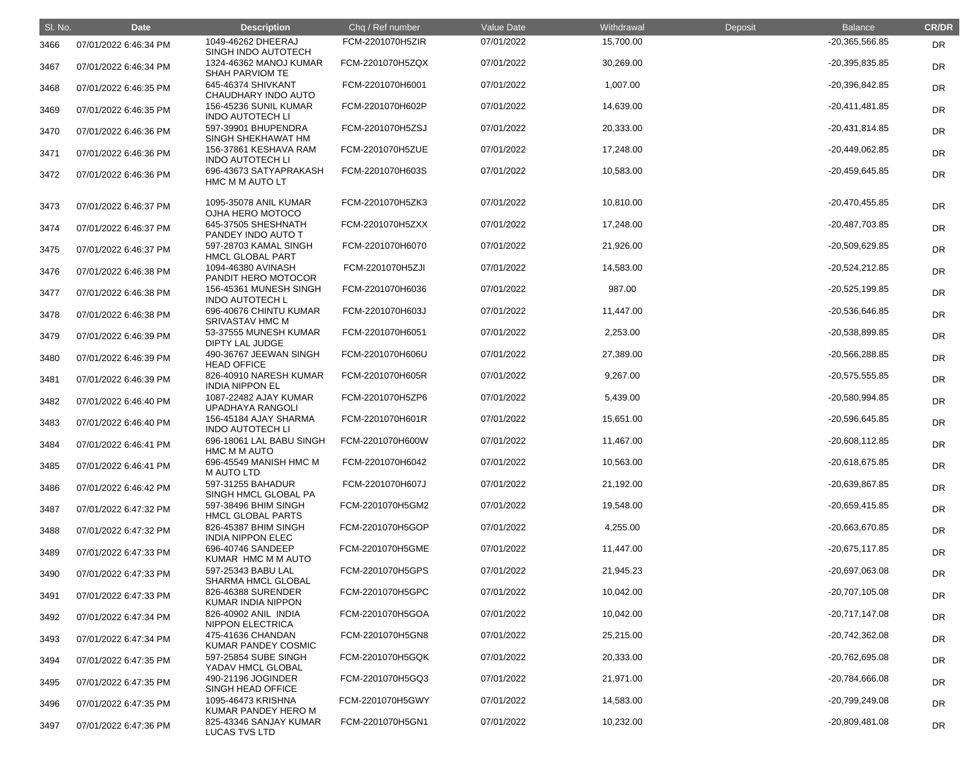| SI. No. | <b>Date</b>           | <b>Description</b>                                             | Chq / Ref number | Value Date | Withdrawal | Deposit | <b>Balance</b>   | <b>CR/DR</b> |
|---------|-----------------------|----------------------------------------------------------------|------------------|------------|------------|---------|------------------|--------------|
| 3466    | 07/01/2022 6:46:34 PM | 1049-46262 DHEERAJ<br>SINGH INDO AUTOTECH                      | FCM-2201070H5ZIR | 07/01/2022 | 15,700.00  |         | -20,365,566.85   | <b>DR</b>    |
| 3467    | 07/01/2022 6:46:34 PM | 1324-46362 MANOJ KUMAR<br><b>SHAH PARVIOM TE</b>               | FCM-2201070H5ZQX | 07/01/2022 | 30,269.00  |         | $-20,395,835.85$ | <b>DR</b>    |
| 3468    | 07/01/2022 6:46:35 PM | 645-46374 SHIVKANT<br>CHAUDHARY INDO AUTO                      | FCM-2201070H6001 | 07/01/2022 | 1,007.00   |         | -20,396,842.85   | <b>DR</b>    |
| 3469    | 07/01/2022 6:46:35 PM | 156-45236 SUNIL KUMAR<br><b>INDO AUTOTECH LI</b>               | FCM-2201070H602P | 07/01/2022 | 14,639.00  |         | $-20,411,481.85$ | <b>DR</b>    |
| 3470    | 07/01/2022 6:46:36 PM | 597-39901 BHUPENDRA<br>SINGH SHEKHAWAT HM                      | FCM-2201070H5ZSJ | 07/01/2022 | 20,333.00  |         | $-20,431,814.85$ | DR           |
| 3471    | 07/01/2022 6:46:36 PM | 156-37861 KESHAVA RAM<br><b>INDO AUTOTECH LI</b>               | FCM-2201070H5ZUE | 07/01/2022 | 17,248.00  |         | -20,449,062.85   | <b>DR</b>    |
| 3472    | 07/01/2022 6:46:36 PM | 696-43673 SATYAPRAKASH<br>HMC M M AUTO LT                      | FCM-2201070H603S | 07/01/2022 | 10,583.00  |         | $-20,459,645.85$ | <b>DR</b>    |
| 3473    | 07/01/2022 6:46:37 PM | 1095-35078 ANIL KUMAR<br>OJHA HERO MOTOCO                      | FCM-2201070H5ZK3 | 07/01/2022 | 10,810.00  |         | $-20,470,455.85$ | <b>DR</b>    |
| 3474    | 07/01/2022 6:46:37 PM | 645-37505 SHESHNATH<br>PANDEY INDO AUTO T                      | FCM-2201070H5ZXX | 07/01/2022 | 17,248.00  |         | -20,487,703.85   | <b>DR</b>    |
| 3475    | 07/01/2022 6:46:37 PM | 597-28703 KAMAL SINGH<br><b>HMCL GLOBAL PART</b>               | FCM-2201070H6070 | 07/01/2022 | 21,926.00  |         | -20,509,629.85   | <b>DR</b>    |
| 3476    | 07/01/2022 6:46:38 PM | 1094-46380 AVINASH<br>PANDIT HERO MOTOCOR                      | FCM-2201070H5ZJI | 07/01/2022 | 14,583.00  |         | $-20,524,212.85$ | <b>DR</b>    |
| 3477    | 07/01/2022 6:46:38 PM | 156-45361 MUNESH SINGH<br><b>INDO AUTOTECH L</b>               | FCM-2201070H6036 | 07/01/2022 | 987.00     |         | $-20,525,199.85$ | DR           |
| 3478    | 07/01/2022 6:46:38 PM | 696-40676 CHINTU KUMAR<br><b>SRIVASTAV HMC M</b>               | FCM-2201070H603J | 07/01/2022 | 11,447.00  |         | -20,536,646.85   | <b>DR</b>    |
| 3479    | 07/01/2022 6:46:39 PM | 53-37555 MUNESH KUMAR<br><b>DIPTY LAL JUDGE</b>                | FCM-2201070H6051 | 07/01/2022 | 2,253.00   |         | -20,538,899.85   | <b>DR</b>    |
| 3480    | 07/01/2022 6:46:39 PM | 490-36767 JEEWAN SINGH<br><b>HEAD OFFICE</b>                   | FCM-2201070H606U | 07/01/2022 | 27,389.00  |         | -20,566,288.85   | <b>DR</b>    |
| 3481    | 07/01/2022 6:46:39 PM | 826-40910 NARESH KUMAR<br><b>INDIA NIPPON EL</b>               | FCM-2201070H605R | 07/01/2022 | 9,267.00   |         | $-20,575,555.85$ | <b>DR</b>    |
| 3482    | 07/01/2022 6:46:40 PM | 1087-22482 AJAY KUMAR<br><b>UPADHAYA RANGOLI</b>               | FCM-2201070H5ZP6 | 07/01/2022 | 5,439.00   |         | -20,580,994.85   | <b>DR</b>    |
| 3483    | 07/01/2022 6:46:40 PM | 156-45184 AJAY SHARMA<br><b>INDO AUTOTECH LI</b>               | FCM-2201070H601R | 07/01/2022 | 15,651.00  |         | $-20,596,645.85$ | DR           |
| 3484    | 07/01/2022 6:46:41 PM | 696-18061 LAL BABU SINGH<br><b>HMC M M AUTO</b>                | FCM-2201070H600W | 07/01/2022 | 11,467.00  |         | $-20,608,112.85$ | <b>DR</b>    |
| 3485    | 07/01/2022 6:46:41 PM | 696-45549 MANISH HMC M<br>M AUTO LTD                           | FCM-2201070H6042 | 07/01/2022 | 10,563.00  |         | $-20,618,675.85$ | <b>DR</b>    |
| 3486    | 07/01/2022 6:46:42 PM | 597-31255 BAHADUR<br>SINGH HMCL GLOBAL PA                      | FCM-2201070H607J | 07/01/2022 | 21,192.00  |         | -20,639,867.85   | <b>DR</b>    |
| 3487    | 07/01/2022 6:47:32 PM | 597-38496 BHIM SINGH<br><b>HMCL GLOBAL PARTS</b>               | FCM-2201070H5GM2 | 07/01/2022 | 19,548.00  |         | $-20,659,415.85$ | <b>DR</b>    |
| 3488    | 07/01/2022 6:47:32 PM | 826-45387 BHIM SINGH<br><b>INDIA NIPPON ELEC</b>               | FCM-2201070H5GOP | 07/01/2022 | 4,255.00   |         | -20,663,670.85   | <b>DR</b>    |
| 3489    | 07/01/2022 6:47:33 PM | 696-40746 SANDEEP<br>KUMAR HMC M M AUTO                        | FCM-2201070H5GME | 07/01/2022 | 11,447.00  |         | $-20,675,117.85$ | <b>DR</b>    |
| 3490    | 07/01/2022 6:47:33 PM | 597-25343 BABU LAL<br><b>SHARMA HMCL GLOBAL</b>                | FCM-2201070H5GPS | 07/01/2022 | 21,945.23  |         | -20,697,063.08   | <b>DR</b>    |
| 3491    | 07/01/2022 6:47:33 PM | 826-46388 SURENDER<br>KUMAR INDIA NIPPON                       | FCM-2201070H5GPC | 07/01/2022 | 10,042.00  |         | $-20,707,105.08$ | <b>DR</b>    |
| 3492    | 07/01/2022 6:47:34 PM | 826-40902 ANIL INDIA<br><b>NIPPON ELECTRICA</b>                | FCM-2201070H5GOA | 07/01/2022 | 10,042.00  |         | $-20,717,147.08$ | <b>DR</b>    |
| 3493    | 07/01/2022 6:47:34 PM | 475-41636 CHANDAN<br>KUMAR PANDEY COSMIC                       | FCM-2201070H5GN8 | 07/01/2022 | 25,215.00  |         | -20,742,362.08   | <b>DR</b>    |
| 3494    | 07/01/2022 6:47:35 PM | 597-25854 SUBE SINGH<br>YADAV HMCL GLOBAL                      | FCM-2201070H5GQK | 07/01/2022 | 20,333.00  |         | -20,762,695.08   | <b>DR</b>    |
| 3495    | 07/01/2022 6:47:35 PM | 490-21196 JOGINDER                                             | FCM-2201070H5GQ3 | 07/01/2022 | 21,971.00  |         | -20,784,666.08   | <b>DR</b>    |
| 3496    | 07/01/2022 6:47:35 PM | SINGH HEAD OFFICE<br>1095-46473 KRISHNA                        | FCM-2201070H5GWY | 07/01/2022 | 14,583.00  |         | -20,799,249.08   | <b>DR</b>    |
| 3497    | 07/01/2022 6:47:36 PM | KUMAR PANDEY HERO M<br>825-43346 SANJAY KUMAR<br>LUCAS TVS LTD | FCM-2201070H5GN1 | 07/01/2022 | 10,232.00  |         | -20,809,481.08   | <b>DR</b>    |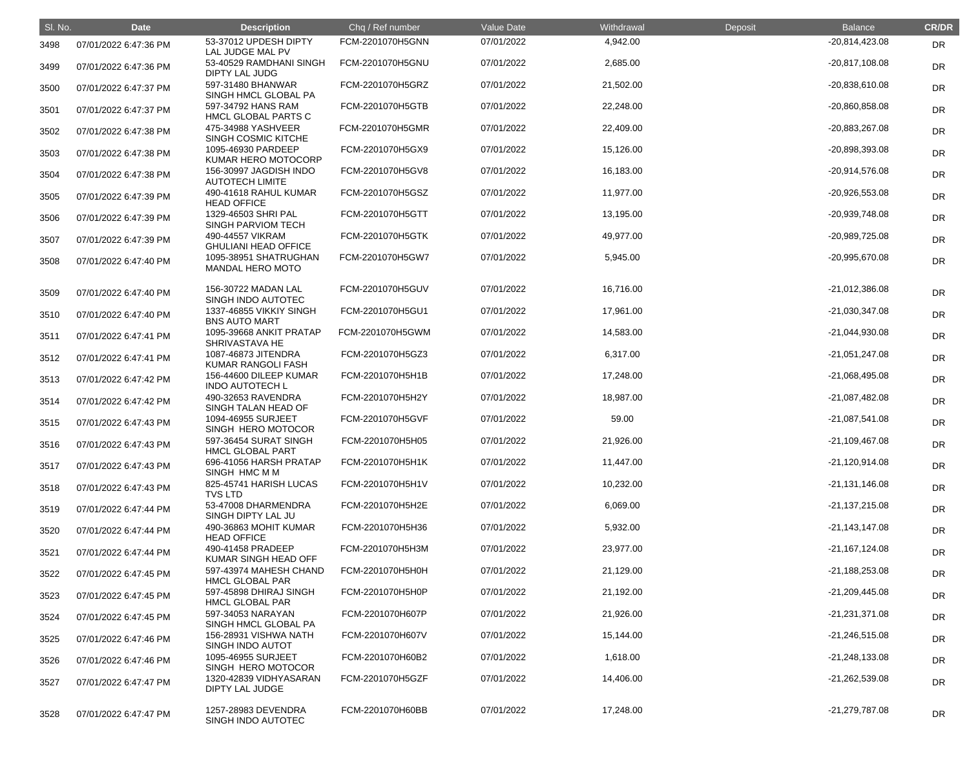| SI. No. | <b>Date</b>           | <b>Description</b>                               | Chq / Ref number | Value Date | Withdrawal | Deposit | <b>Balance</b>   | <b>CR/DR</b> |
|---------|-----------------------|--------------------------------------------------|------------------|------------|------------|---------|------------------|--------------|
| 3498    | 07/01/2022 6:47:36 PM | 53-37012 UPDESH DIPTY<br>LAL JUDGE MAL PV        | FCM-2201070H5GNN | 07/01/2022 | 4,942.00   |         | $-20,814,423.08$ | <b>DR</b>    |
| 3499    | 07/01/2022 6:47:36 PM | 53-40529 RAMDHANI SINGH<br><b>DIPTY LAL JUDG</b> | FCM-2201070H5GNU | 07/01/2022 | 2,685.00   |         | $-20,817,108.08$ | <b>DR</b>    |
| 3500    | 07/01/2022 6:47:37 PM | 597-31480 BHANWAR<br>SINGH HMCL GLOBAL PA        | FCM-2201070H5GRZ | 07/01/2022 | 21,502.00  |         | $-20,838,610.08$ | <b>DR</b>    |
| 3501    | 07/01/2022 6:47:37 PM | 597-34792 HANS RAM<br>HMCL GLOBAL PARTS C        | FCM-2201070H5GTB | 07/01/2022 | 22,248.00  |         | -20,860,858.08   | <b>DR</b>    |
| 3502    | 07/01/2022 6:47:38 PM | 475-34988 YASHVEER<br><b>SINGH COSMIC KITCHE</b> | FCM-2201070H5GMR | 07/01/2022 | 22,409.00  |         | -20,883,267.08   | <b>DR</b>    |
| 3503    | 07/01/2022 6:47:38 PM | 1095-46930 PARDEEP<br>KUMAR HERO MOTOCORP        | FCM-2201070H5GX9 | 07/01/2022 | 15,126.00  |         | -20,898,393.08   | <b>DR</b>    |
| 3504    | 07/01/2022 6:47:38 PM | 156-30997 JAGDISH INDO<br><b>AUTOTECH LIMITE</b> | FCM-2201070H5GV8 | 07/01/2022 | 16,183.00  |         | -20,914,576.08   | DR           |
| 3505    | 07/01/2022 6:47:39 PM | 490-41618 RAHUL KUMAR<br><b>HEAD OFFICE</b>      | FCM-2201070H5GSZ | 07/01/2022 | 11,977.00  |         | -20,926,553.08   | <b>DR</b>    |
| 3506    | 07/01/2022 6:47:39 PM | 1329-46503 SHRI PAL<br><b>SINGH PARVIOM TECH</b> | FCM-2201070H5GTT | 07/01/2022 | 13,195.00  |         | -20,939,748.08   | <b>DR</b>    |
| 3507    | 07/01/2022 6:47:39 PM | 490-44557 VIKRAM<br><b>GHULIANI HEAD OFFICE</b>  | FCM-2201070H5GTK | 07/01/2022 | 49,977.00  |         | -20,989,725.08   | <b>DR</b>    |
| 3508    | 07/01/2022 6:47:40 PM | 1095-38951 SHATRUGHAN<br><b>MANDAL HERO MOTO</b> | FCM-2201070H5GW7 | 07/01/2022 | 5,945.00   |         | -20,995,670.08   | DR           |
| 3509    | 07/01/2022 6:47:40 PM | 156-30722 MADAN LAL<br>SINGH INDO AUTOTEC        | FCM-2201070H5GUV | 07/01/2022 | 16,716.00  |         | $-21,012,386.08$ | <b>DR</b>    |
| 3510    | 07/01/2022 6:47:40 PM | 1337-46855 VIKKIY SINGH<br><b>BNS AUTO MART</b>  | FCM-2201070H5GU1 | 07/01/2022 | 17,961.00  |         | -21,030,347.08   | <b>DR</b>    |
| 3511    | 07/01/2022 6:47:41 PM | 1095-39668 ANKIT PRATAP<br>SHRIVASTAVA HE        | FCM-2201070H5GWM | 07/01/2022 | 14,583.00  |         | -21,044,930.08   | DR           |
| 3512    | 07/01/2022 6:47:41 PM | 1087-46873 JITENDRA<br><b>KUMAR RANGOLI FASH</b> | FCM-2201070H5GZ3 | 07/01/2022 | 6,317.00   |         | -21,051,247.08   | DR           |
| 3513    | 07/01/2022 6:47:42 PM | 156-44600 DILEEP KUMAR<br><b>INDO AUTOTECH L</b> | FCM-2201070H5H1B | 07/01/2022 | 17,248.00  |         | $-21,068,495.08$ | <b>DR</b>    |
| 3514    | 07/01/2022 6:47:42 PM | 490-32653 RAVENDRA<br>SINGH TALAN HEAD OF        | FCM-2201070H5H2Y | 07/01/2022 | 18,987.00  |         | $-21,087,482.08$ | <b>DR</b>    |
| 3515    | 07/01/2022 6:47:43 PM | 1094-46955 SURJEET<br>SINGH HERO MOTOCOR         | FCM-2201070H5GVF | 07/01/2022 | 59.00      |         | $-21,087,541.08$ | DR           |
| 3516    | 07/01/2022 6:47:43 PM | 597-36454 SURAT SINGH<br><b>HMCL GLOBAL PART</b> | FCM-2201070H5H05 | 07/01/2022 | 21,926.00  |         | $-21,109,467.08$ | <b>DR</b>    |
| 3517    | 07/01/2022 6:47:43 PM | 696-41056 HARSH PRATAP<br>SINGH HMC M M          | FCM-2201070H5H1K | 07/01/2022 | 11,447.00  |         | $-21,120,914.08$ | <b>DR</b>    |
| 3518    | 07/01/2022 6:47:43 PM | 825-45741 HARISH LUCAS<br><b>TVS LTD</b>         | FCM-2201070H5H1V | 07/01/2022 | 10,232.00  |         | $-21,131,146.08$ | <b>DR</b>    |
| 3519    | 07/01/2022 6:47:44 PM | 53-47008 DHARMENDRA<br>SINGH DIPTY LAL JU        | FCM-2201070H5H2E | 07/01/2022 | 6,069.00   |         | $-21,137,215.08$ | <b>DR</b>    |
| 3520    | 07/01/2022 6:47:44 PM | 490-36863 MOHIT KUMAR<br><b>HEAD OFFICE</b>      | FCM-2201070H5H36 | 07/01/2022 | 5,932.00   |         | $-21,143,147.08$ | <b>DR</b>    |
| 3521    | 07/01/2022 6:47:44 PM | 490-41458 PRADEEP<br>KUMAR SINGH HEAD OFF        | FCM-2201070H5H3M | 07/01/2022 | 23,977.00  |         | $-21,167,124.08$ | <b>DR</b>    |
| 3522    | 07/01/2022 6:47:45 PM | 597-43974 MAHESH CHAND<br><b>HMCL GLOBAL PAR</b> | FCM-2201070H5H0H | 07/01/2022 | 21,129.00  |         | $-21,188,253.08$ | <b>DR</b>    |
| 3523    | 07/01/2022 6:47:45 PM | 597-45898 DHIRAJ SINGH<br><b>HMCL GLOBAL PAR</b> | FCM-2201070H5H0P | 07/01/2022 | 21,192.00  |         | $-21,209,445.08$ | <b>DR</b>    |
| 3524    | 07/01/2022 6:47:45 PM | 597-34053 NARAYAN<br>SINGH HMCL GLOBAL PA        | FCM-2201070H607P | 07/01/2022 | 21,926.00  |         | $-21,231,371.08$ | <b>DR</b>    |
| 3525    | 07/01/2022 6:47:46 PM | 156-28931 VISHWA NATH<br>SINGH INDO AUTOT        | FCM-2201070H607V | 07/01/2022 | 15,144.00  |         | $-21,246,515.08$ | <b>DR</b>    |
| 3526    | 07/01/2022 6:47:46 PM | 1095-46955 SURJEET<br>SINGH HERO MOTOCOR         | FCM-2201070H60B2 | 07/01/2022 | 1,618.00   |         | $-21,248,133.08$ | <b>DR</b>    |
| 3527    | 07/01/2022 6:47:47 PM | 1320-42839 VIDHYASARAN<br>DIPTY LAL JUDGE        | FCM-2201070H5GZF | 07/01/2022 | 14,406.00  |         | $-21,262,539.08$ | <b>DR</b>    |
| 3528    | 07/01/2022 6:47:47 PM | 1257-28983 DEVENDRA<br>SINGH INDO AUTOTEC        | FCM-2201070H60BB | 07/01/2022 | 17,248.00  |         | $-21,279,787.08$ | DR           |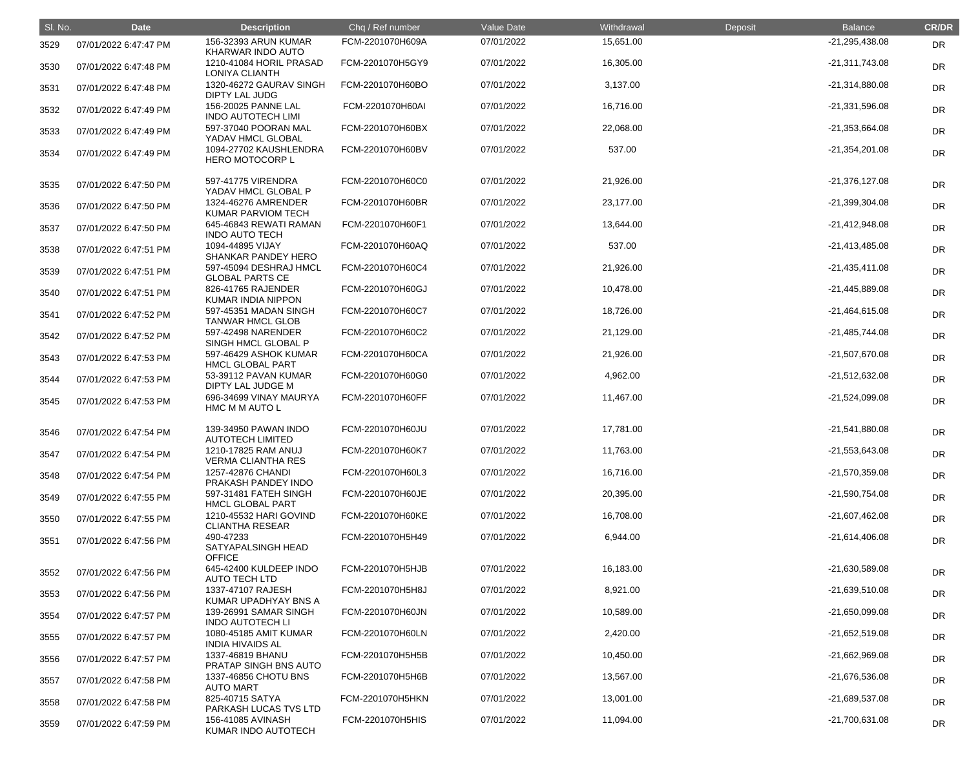| SI. No. | <b>Date</b>           | <b>Description</b>                               | Chq / Ref number | Value Date | Withdrawal | Deposit | <b>Balance</b>   | <b>CR/DR</b> |
|---------|-----------------------|--------------------------------------------------|------------------|------------|------------|---------|------------------|--------------|
| 3529    | 07/01/2022 6:47:47 PM | 156-32393 ARUN KUMAR<br>KHARWAR INDO AUTO        | FCM-2201070H609A | 07/01/2022 | 15,651.00  |         | $-21,295,438.08$ | <b>DR</b>    |
| 3530    | 07/01/2022 6:47:48 PM | 1210-41084 HORIL PRASAD<br><b>LONIYA CLIANTH</b> | FCM-2201070H5GY9 | 07/01/2022 | 16,305.00  |         | $-21,311,743.08$ | <b>DR</b>    |
| 3531    | 07/01/2022 6:47:48 PM | 1320-46272 GAURAV SINGH<br><b>DIPTY LAL JUDG</b> | FCM-2201070H60BO | 07/01/2022 | 3,137.00   |         | $-21,314,880.08$ | <b>DR</b>    |
| 3532    | 07/01/2022 6:47:49 PM | 156-20025 PANNE LAL<br><b>INDO AUTOTECH LIMI</b> | FCM-2201070H60AI | 07/01/2022 | 16,716.00  |         | -21,331,596.08   | <b>DR</b>    |
| 3533    | 07/01/2022 6:47:49 PM | 597-37040 POORAN MAL<br>YADAV HMCL GLOBAL        | FCM-2201070H60BX | 07/01/2022 | 22,068.00  |         | $-21,353,664.08$ | <b>DR</b>    |
| 3534    | 07/01/2022 6:47:49 PM | 1094-27702 KAUSHLENDRA<br><b>HERO MOTOCORP L</b> | FCM-2201070H60BV | 07/01/2022 | 537.00     |         | $-21,354,201.08$ | <b>DR</b>    |
| 3535    | 07/01/2022 6:47:50 PM | 597-41775 VIRENDRA<br>YADAV HMCL GLOBAL P        | FCM-2201070H60C0 | 07/01/2022 | 21,926.00  |         | $-21,376,127.08$ | <b>DR</b>    |
| 3536    | 07/01/2022 6:47:50 PM | 1324-46276 AMRENDER<br>KUMAR PARVIOM TECH        | FCM-2201070H60BR | 07/01/2022 | 23,177.00  |         | -21,399,304.08   | <b>DR</b>    |
| 3537    | 07/01/2022 6:47:50 PM | 645-46843 REWATI RAMAN<br><b>INDO AUTO TECH</b>  | FCM-2201070H60F1 | 07/01/2022 | 13,644.00  |         | $-21,412,948.08$ | <b>DR</b>    |
| 3538    | 07/01/2022 6:47:51 PM | 1094-44895 VIJAY<br>SHANKAR PANDEY HERO          | FCM-2201070H60AQ | 07/01/2022 | 537.00     |         | $-21,413,485.08$ | <b>DR</b>    |
| 3539    | 07/01/2022 6:47:51 PM | 597-45094 DESHRAJ HMCL<br><b>GLOBAL PARTS CE</b> | FCM-2201070H60C4 | 07/01/2022 | 21,926.00  |         | $-21,435,411.08$ | <b>DR</b>    |
| 3540    | 07/01/2022 6:47:51 PM | 826-41765 RAJENDER<br>KUMAR INDIA NIPPON         | FCM-2201070H60GJ | 07/01/2022 | 10,478.00  |         | $-21,445,889.08$ | <b>DR</b>    |
| 3541    | 07/01/2022 6:47:52 PM | 597-45351 MADAN SINGH<br><b>TANWAR HMCL GLOB</b> | FCM-2201070H60C7 | 07/01/2022 | 18,726.00  |         | $-21,464,615.08$ | <b>DR</b>    |
| 3542    | 07/01/2022 6:47:52 PM | 597-42498 NARENDER<br>SINGH HMCL GLOBAL P        | FCM-2201070H60C2 | 07/01/2022 | 21,129.00  |         | $-21,485,744.08$ | <b>DR</b>    |
| 3543    | 07/01/2022 6:47:53 PM | 597-46429 ASHOK KUMAR<br><b>HMCL GLOBAL PART</b> | FCM-2201070H60CA | 07/01/2022 | 21,926.00  |         | -21,507,670.08   | <b>DR</b>    |
| 3544    | 07/01/2022 6:47:53 PM | 53-39112 PAVAN KUMAR<br>DIPTY LAL JUDGE M        | FCM-2201070H60G0 | 07/01/2022 | 4,962.00   |         | -21,512,632.08   | <b>DR</b>    |
| 3545    | 07/01/2022 6:47:53 PM | 696-34699 VINAY MAURYA<br>HMC M M AUTO L         | FCM-2201070H60FF | 07/01/2022 | 11,467.00  |         | $-21,524,099.08$ | DR           |
| 3546    | 07/01/2022 6:47:54 PM | 139-34950 PAWAN INDO<br><b>AUTOTECH LIMITED</b>  | FCM-2201070H60JU | 07/01/2022 | 17,781.00  |         | -21,541,880.08   | DR           |
| 3547    | 07/01/2022 6:47:54 PM | 1210-17825 RAM ANUJ<br><b>VERMA CLIANTHA RES</b> | FCM-2201070H60K7 | 07/01/2022 | 11,763.00  |         | $-21,553,643.08$ | <b>DR</b>    |
| 3548    | 07/01/2022 6:47:54 PM | 1257-42876 CHANDI<br>PRAKASH PANDEY INDO         | FCM-2201070H60L3 | 07/01/2022 | 16,716.00  |         | $-21,570,359.08$ | <b>DR</b>    |
| 3549    | 07/01/2022 6:47:55 PM | 597-31481 FATEH SINGH<br><b>HMCL GLOBAL PART</b> | FCM-2201070H60JE | 07/01/2022 | 20,395.00  |         | $-21,590,754.08$ | <b>DR</b>    |
| 3550    | 07/01/2022 6:47:55 PM | 1210-45532 HARI GOVIND<br><b>CLIANTHA RESEAR</b> | FCM-2201070H60KE | 07/01/2022 | 16,708.00  |         | $-21,607,462.08$ | <b>DR</b>    |
| 3551    | 07/01/2022 6:47:56 PM | 490-47233<br>SATYAPALSINGH HEAD<br><b>OFFICE</b> | FCM-2201070H5H49 | 07/01/2022 | 6,944.00   |         | $-21,614,406.08$ | <b>DR</b>    |
| 3552    | 07/01/2022 6:47:56 PM | 645-42400 KULDEEP INDO<br><b>AUTO TECH LTD</b>   | FCM-2201070H5HJB | 07/01/2022 | 16,183.00  |         | $-21,630,589.08$ | <b>DR</b>    |
| 3553    | 07/01/2022 6:47:56 PM | 1337-47107 RAJESH<br>KUMAR UPADHYAY BNS A        | FCM-2201070H5H8J | 07/01/2022 | 8,921.00   |         | $-21,639,510.08$ | DR           |
| 3554    | 07/01/2022 6:47:57 PM | 139-26991 SAMAR SINGH<br><b>INDO AUTOTECH LI</b> | FCM-2201070H60JN | 07/01/2022 | 10,589.00  |         | $-21,650,099.08$ | <b>DR</b>    |
| 3555    | 07/01/2022 6:47:57 PM | 1080-45185 AMIT KUMAR<br><b>INDIA HIVAIDS AL</b> | FCM-2201070H60LN | 07/01/2022 | 2,420.00   |         | $-21,652,519.08$ | <b>DR</b>    |
| 3556    | 07/01/2022 6:47:57 PM | 1337-46819 BHANU<br>PRATAP SINGH BNS AUTO        | FCM-2201070H5H5B | 07/01/2022 | 10,450.00  |         | -21,662,969.08   | DR           |
| 3557    | 07/01/2022 6:47:58 PM | 1337-46856 CHOTU BNS<br><b>AUTO MART</b>         | FCM-2201070H5H6B | 07/01/2022 | 13,567.00  |         | -21,676,536.08   | <b>DR</b>    |
| 3558    | 07/01/2022 6:47:58 PM | 825-40715 SATYA<br>PARKASH LUCAS TVS LTD         | FCM-2201070H5HKN | 07/01/2022 | 13,001.00  |         | $-21,689,537.08$ | <b>DR</b>    |
| 3559    | 07/01/2022 6:47:59 PM | 156-41085 AVINASH<br>KUMAR INDO AUTOTECH         | FCM-2201070H5HIS | 07/01/2022 | 11,094.00  |         | $-21,700,631.08$ | <b>DR</b>    |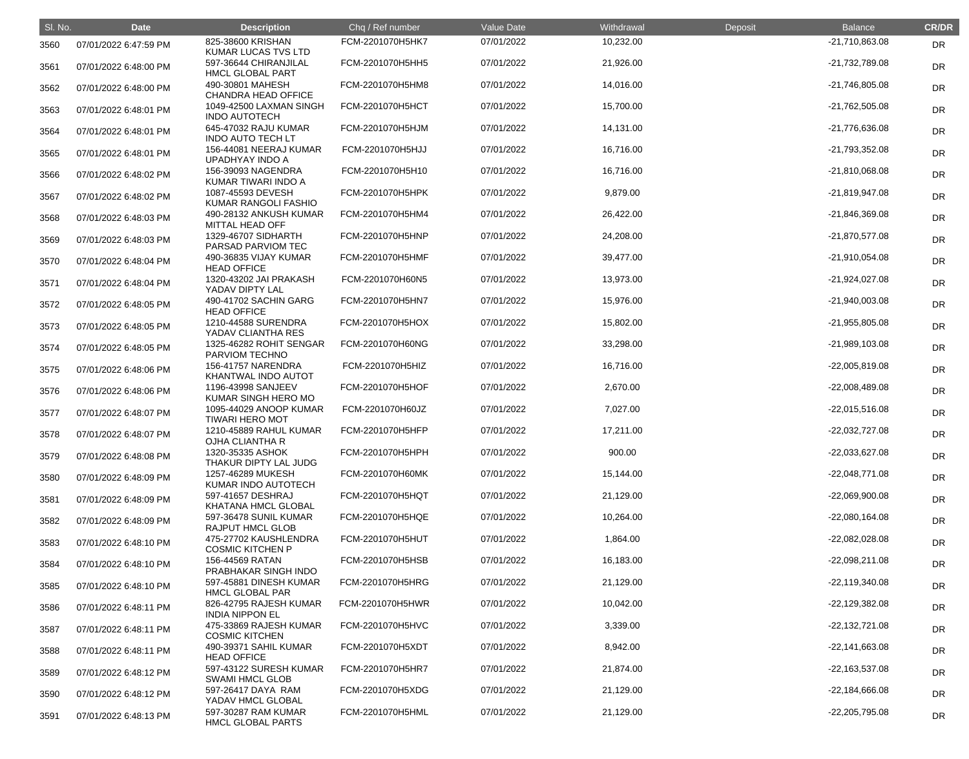| SI. No. | <b>Date</b>           | <b>Description</b>                               | Chq / Ref number | Value Date | Withdrawal | Deposit | <b>Balance</b>   | <b>CR/DR</b> |
|---------|-----------------------|--------------------------------------------------|------------------|------------|------------|---------|------------------|--------------|
| 3560    | 07/01/2022 6:47:59 PM | 825-38600 KRISHAN<br>KUMAR LUCAS TVS LTD         | FCM-2201070H5HK7 | 07/01/2022 | 10,232.00  |         | $-21,710,863.08$ | <b>DR</b>    |
| 3561    | 07/01/2022 6:48:00 PM | 597-36644 CHIRANJILAL<br><b>HMCL GLOBAL PART</b> | FCM-2201070H5HH5 | 07/01/2022 | 21,926.00  |         | -21,732,789.08   | <b>DR</b>    |
| 3562    | 07/01/2022 6:48:00 PM | 490-30801 MAHESH<br>CHANDRA HEAD OFFICE          | FCM-2201070H5HM8 | 07/01/2022 | 14,016.00  |         | -21,746,805.08   | <b>DR</b>    |
| 3563    | 07/01/2022 6:48:01 PM | 1049-42500 LAXMAN SINGH<br><b>INDO AUTOTECH</b>  | FCM-2201070H5HCT | 07/01/2022 | 15,700.00  |         | $-21,762,505.08$ | DR           |
| 3564    | 07/01/2022 6:48:01 PM | 645-47032 RAJU KUMAR<br><b>INDO AUTO TECH LT</b> | FCM-2201070H5HJM | 07/01/2022 | 14,131.00  |         | -21,776,636.08   | <b>DR</b>    |
| 3565    | 07/01/2022 6:48:01 PM | 156-44081 NEERAJ KUMAR<br><b>UPADHYAY INDO A</b> | FCM-2201070H5HJJ | 07/01/2022 | 16,716.00  |         | -21,793,352.08   | <b>DR</b>    |
| 3566    | 07/01/2022 6:48:02 PM | 156-39093 NAGENDRA<br>KUMAR TIWARI INDO A        | FCM-2201070H5H10 | 07/01/2022 | 16,716.00  |         | $-21,810,068.08$ | <b>DR</b>    |
| 3567    | 07/01/2022 6:48:02 PM | 1087-45593 DEVESH<br>KUMAR RANGOLI FASHIO        | FCM-2201070H5HPK | 07/01/2022 | 9,879.00   |         | -21,819,947.08   | <b>DR</b>    |
| 3568    | 07/01/2022 6:48:03 PM | 490-28132 ANKUSH KUMAR<br>MITTAL HEAD OFF        | FCM-2201070H5HM4 | 07/01/2022 | 26,422.00  |         | -21,846,369.08   | DR           |
| 3569    | 07/01/2022 6:48:03 PM | 1329-46707 SIDHARTH<br>PARSAD PARVIOM TEC        | FCM-2201070H5HNP | 07/01/2022 | 24,208.00  |         | -21,870,577.08   | <b>DR</b>    |
| 3570    | 07/01/2022 6:48:04 PM | 490-36835 VIJAY KUMAR<br><b>HEAD OFFICE</b>      | FCM-2201070H5HMF | 07/01/2022 | 39,477.00  |         | $-21,910,054.08$ | <b>DR</b>    |
| 3571    | 07/01/2022 6:48:04 PM | 1320-43202 JAI PRAKASH<br>YADAV DIPTY LAL        | FCM-2201070H60N5 | 07/01/2022 | 13,973.00  |         | -21,924,027.08   | <b>DR</b>    |
| 3572    | 07/01/2022 6:48:05 PM | 490-41702 SACHIN GARG<br><b>HEAD OFFICE</b>      | FCM-2201070H5HN7 | 07/01/2022 | 15,976.00  |         | $-21,940,003.08$ | <b>DR</b>    |
| 3573    | 07/01/2022 6:48:05 PM | 1210-44588 SURENDRA<br>YADAV CLIANTHA RES        | FCM-2201070H5HOX | 07/01/2022 | 15,802.00  |         | $-21,955,805.08$ | <b>DR</b>    |
| 3574    | 07/01/2022 6:48:05 PM | 1325-46282 ROHIT SENGAR<br>PARVIOM TECHNO        | FCM-2201070H60NG | 07/01/2022 | 33,298.00  |         | $-21,989,103.08$ | <b>DR</b>    |
| 3575    | 07/01/2022 6:48:06 PM | 156-41757 NARENDRA<br>KHANTWAL INDO AUTOT        | FCM-2201070H5HIZ | 07/01/2022 | 16,716.00  |         | $-22,005,819.08$ | <b>DR</b>    |
| 3576    | 07/01/2022 6:48:06 PM | 1196-43998 SANJEEV<br>KUMAR SINGH HERO MO        | FCM-2201070H5HOF | 07/01/2022 | 2,670.00   |         | -22,008,489.08   | <b>DR</b>    |
| 3577    | 07/01/2022 6:48:07 PM | 1095-44029 ANOOP KUMAR<br><b>TIWARI HERO MOT</b> | FCM-2201070H60JZ | 07/01/2022 | 7,027.00   |         | $-22,015,516.08$ | <b>DR</b>    |
| 3578    | 07/01/2022 6:48:07 PM | 1210-45889 RAHUL KUMAR<br>OJHA CLIANTHA R        | FCM-2201070H5HFP | 07/01/2022 | 17,211.00  |         | -22,032,727.08   | <b>DR</b>    |
| 3579    | 07/01/2022 6:48:08 PM | 1320-35335 ASHOK<br>THAKUR DIPTY LAL JUDG        | FCM-2201070H5HPH | 07/01/2022 | 900.00     |         | $-22,033,627.08$ | <b>DR</b>    |
| 3580    | 07/01/2022 6:48:09 PM | 1257-46289 MUKESH<br>KUMAR INDO AUTOTECH         | FCM-2201070H60MK | 07/01/2022 | 15,144.00  |         | $-22,048,771.08$ | <b>DR</b>    |
| 3581    | 07/01/2022 6:48:09 PM | 597-41657 DESHRAJ<br>KHATANA HMCL GLOBAL         | FCM-2201070H5HQT | 07/01/2022 | 21,129.00  |         | -22,069,900.08   | <b>DR</b>    |
| 3582    | 07/01/2022 6:48:09 PM | 597-36478 SUNIL KUMAR<br><b>RAJPUT HMCL GLOB</b> | FCM-2201070H5HQE | 07/01/2022 | 10,264.00  |         | $-22,080,164.08$ | <b>DR</b>    |
| 3583    | 07/01/2022 6:48:10 PM | 475-27702 KAUSHLENDRA<br><b>COSMIC KITCHEN P</b> | FCM-2201070H5HUT | 07/01/2022 | 1,864.00   |         | $-22,082,028.08$ | <b>DR</b>    |
| 3584    | 07/01/2022 6:48:10 PM | 156-44569 RATAN<br>PRABHAKAR SINGH INDO          | FCM-2201070H5HSB | 07/01/2022 | 16,183.00  |         | $-22,098,211.08$ | <b>DR</b>    |
| 3585    | 07/01/2022 6:48:10 PM | 597-45881 DINESH KUMAR<br><b>HMCL GLOBAL PAR</b> | FCM-2201070H5HRG | 07/01/2022 | 21,129.00  |         | $-22,119,340.08$ | <b>DR</b>    |
| 3586    | 07/01/2022 6:48:11 PM | 826-42795 RAJESH KUMAR<br><b>INDIA NIPPON EL</b> | FCM-2201070H5HWR | 07/01/2022 | 10,042.00  |         | $-22,129,382.08$ | <b>DR</b>    |
| 3587    | 07/01/2022 6:48:11 PM | 475-33869 RAJESH KUMAR<br><b>COSMIC KITCHEN</b>  | FCM-2201070H5HVC | 07/01/2022 | 3,339.00   |         | $-22,132,721.08$ | <b>DR</b>    |
| 3588    | 07/01/2022 6:48:11 PM | 490-39371 SAHIL KUMAR<br><b>HEAD OFFICE</b>      | FCM-2201070H5XDT | 07/01/2022 | 8,942.00   |         | $-22,141,663.08$ | <b>DR</b>    |
| 3589    | 07/01/2022 6:48:12 PM | 597-43122 SURESH KUMAR<br><b>SWAMI HMCL GLOB</b> | FCM-2201070H5HR7 | 07/01/2022 | 21,874.00  |         | $-22,163,537.08$ | <b>DR</b>    |
| 3590    | 07/01/2022 6:48:12 PM | 597-26417 DAYA RAM<br>YADAV HMCL GLOBAL          | FCM-2201070H5XDG | 07/01/2022 | 21,129.00  |         | $-22,184,666.08$ | <b>DR</b>    |
| 3591    | 07/01/2022 6:48:13 PM | 597-30287 RAM KUMAR<br><b>HMCL GLOBAL PARTS</b>  | FCM-2201070H5HML | 07/01/2022 | 21,129.00  |         | $-22,205,795.08$ | <b>DR</b>    |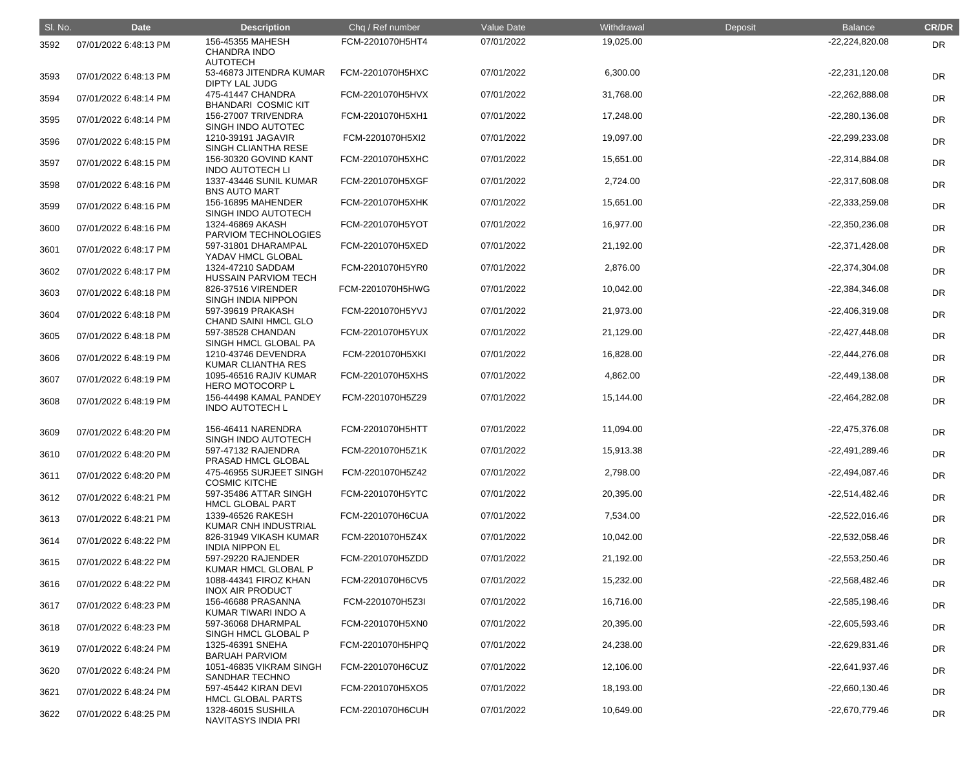| SI. No. | <b>Date</b>           | <b>Description</b>                                                  | Chq / Ref number | Value Date | Withdrawal | Deposit | <b>Balance</b>   | <b>CR/DR</b> |
|---------|-----------------------|---------------------------------------------------------------------|------------------|------------|------------|---------|------------------|--------------|
| 3592    | 07/01/2022 6:48:13 PM | 156-45355 MAHESH<br><b>CHANDRA INDO</b>                             | FCM-2201070H5HT4 | 07/01/2022 | 19,025.00  |         | $-22,224,820.08$ | <b>DR</b>    |
| 3593    | 07/01/2022 6:48:13 PM | <b>AUTOTECH</b><br>53-46873 JITENDRA KUMAR<br><b>DIPTY LAL JUDG</b> | FCM-2201070H5HXC | 07/01/2022 | 6,300.00   |         | $-22,231,120.08$ | <b>DR</b>    |
| 3594    | 07/01/2022 6:48:14 PM | 475-41447 CHANDRA<br><b>BHANDARI COSMIC KIT</b>                     | FCM-2201070H5HVX | 07/01/2022 | 31,768.00  |         | -22,262,888.08   | <b>DR</b>    |
| 3595    | 07/01/2022 6:48:14 PM | 156-27007 TRIVENDRA<br>SINGH INDO AUTOTEC                           | FCM-2201070H5XH1 | 07/01/2022 | 17,248.00  |         | $-22,280,136.08$ | <b>DR</b>    |
| 3596    | 07/01/2022 6:48:15 PM | 1210-39191 JAGAVIR<br>SINGH CLIANTHA RESE                           | FCM-2201070H5XI2 | 07/01/2022 | 19,097.00  |         | -22,299,233.08   | <b>DR</b>    |
| 3597    | 07/01/2022 6:48:15 PM | 156-30320 GOVIND KANT<br><b>INDO AUTOTECH LI</b>                    | FCM-2201070H5XHC | 07/01/2022 | 15,651.00  |         | -22,314,884.08   | <b>DR</b>    |
| 3598    | 07/01/2022 6:48:16 PM | 1337-43446 SUNIL KUMAR<br><b>BNS AUTO MART</b>                      | FCM-2201070H5XGF | 07/01/2022 | 2,724.00   |         | -22,317,608.08   | <b>DR</b>    |
| 3599    | 07/01/2022 6:48:16 PM | 156-16895 MAHENDER<br>SINGH INDO AUTOTECH                           | FCM-2201070H5XHK | 07/01/2022 | 15,651.00  |         | $-22,333,259.08$ | <b>DR</b>    |
| 3600    | 07/01/2022 6:48:16 PM | 1324-46869 AKASH<br>PARVIOM TECHNOLOGIES                            | FCM-2201070H5YOT | 07/01/2022 | 16,977.00  |         | -22,350,236.08   | <b>DR</b>    |
| 3601    | 07/01/2022 6:48:17 PM | 597-31801 DHARAMPAL<br>YADAV HMCL GLOBAL                            | FCM-2201070H5XED | 07/01/2022 | 21,192.00  |         | $-22,371,428.08$ | <b>DR</b>    |
| 3602    | 07/01/2022 6:48:17 PM | 1324-47210 SADDAM<br><b>HUSSAIN PARVIOM TECH</b>                    | FCM-2201070H5YR0 | 07/01/2022 | 2,876.00   |         | $-22,374,304.08$ | <b>DR</b>    |
| 3603    | 07/01/2022 6:48:18 PM | 826-37516 VIRENDER<br>SINGH INDIA NIPPON                            | FCM-2201070H5HWG | 07/01/2022 | 10,042.00  |         | -22,384,346.08   | <b>DR</b>    |
| 3604    | 07/01/2022 6:48:18 PM | 597-39619 PRAKASH<br><b>CHAND SAINI HMCL GLO</b>                    | FCM-2201070H5YVJ | 07/01/2022 | 21,973.00  |         | -22,406,319.08   | <b>DR</b>    |
| 3605    | 07/01/2022 6:48:18 PM | 597-38528 CHANDAN<br>SINGH HMCL GLOBAL PA                           | FCM-2201070H5YUX | 07/01/2022 | 21,129.00  |         | $-22,427,448.08$ | <b>DR</b>    |
| 3606    | 07/01/2022 6:48:19 PM | 1210-43746 DEVENDRA<br><b>KUMAR CLIANTHA RES</b>                    | FCM-2201070H5XKI | 07/01/2022 | 16,828.00  |         | -22,444,276.08   | <b>DR</b>    |
| 3607    | 07/01/2022 6:48:19 PM | 1095-46516 RAJIV KUMAR<br><b>HERO MOTOCORP L</b>                    | FCM-2201070H5XHS | 07/01/2022 | 4,862.00   |         | $-22,449,138.08$ | <b>DR</b>    |
| 3608    | 07/01/2022 6:48:19 PM | 156-44498 KAMAL PANDEY<br><b>INDO AUTOTECH L</b>                    | FCM-2201070H5Z29 | 07/01/2022 | 15,144.00  |         | -22,464,282.08   | DR           |
| 3609    | 07/01/2022 6:48:20 PM | 156-46411 NARENDRA<br>SINGH INDO AUTOTECH                           | FCM-2201070H5HTT | 07/01/2022 | 11,094.00  |         | $-22,475,376.08$ | <b>DR</b>    |
| 3610    | 07/01/2022 6:48:20 PM | 597-47132 RAJENDRA<br>PRASAD HMCL GLOBAL                            | FCM-2201070H5Z1K | 07/01/2022 | 15,913.38  |         | -22,491,289.46   | DR           |
| 3611    | 07/01/2022 6:48:20 PM | 475-46955 SURJEET SINGH<br><b>COSMIC KITCHE</b>                     | FCM-2201070H5Z42 | 07/01/2022 | 2,798.00   |         | $-22,494,087.46$ | DR           |
| 3612    | 07/01/2022 6:48:21 PM | 597-35486 ATTAR SINGH<br><b>HMCL GLOBAL PART</b>                    | FCM-2201070H5YTC | 07/01/2022 | 20,395.00  |         | -22,514,482.46   | <b>DR</b>    |
| 3613    | 07/01/2022 6:48:21 PM | 1339-46526 RAKESH<br>KUMAR CNH INDUSTRIAL                           | FCM-2201070H6CUA | 07/01/2022 | 7,534.00   |         | $-22,522,016.46$ | DR           |
| 3614    | 07/01/2022 6:48:22 PM | 826-31949 VIKASH KUMAR<br><b>INDIA NIPPON EL</b>                    | FCM-2201070H5Z4X | 07/01/2022 | 10,042.00  |         | $-22,532,058.46$ | DR           |
| 3615    | 07/01/2022 6:48:22 PM | 597-29220 RAJENDER<br>KUMAR HMCL GLOBAL P                           | FCM-2201070H5ZDD | 07/01/2022 | 21,192.00  |         | $-22,553,250.46$ | DR           |
| 3616    | 07/01/2022 6:48:22 PM | 1088-44341 FIROZ KHAN<br><b>INOX AIR PRODUCT</b>                    | FCM-2201070H6CV5 | 07/01/2022 | 15,232.00  |         | $-22,568,482.46$ | DR           |
| 3617    | 07/01/2022 6:48:23 PM | 156-46688 PRASANNA<br>KUMAR TIWARI INDO A                           | FCM-2201070H5Z3I | 07/01/2022 | 16,716.00  |         | $-22,585,198.46$ | DR           |
| 3618    | 07/01/2022 6:48:23 PM | 597-36068 DHARMPAL<br>SINGH HMCL GLOBAL P                           | FCM-2201070H5XN0 | 07/01/2022 | 20,395.00  |         | -22,605,593.46   | DR           |
| 3619    | 07/01/2022 6:48:24 PM | 1325-46391 SNEHA<br><b>BARUAH PARVIOM</b>                           | FCM-2201070H5HPQ | 07/01/2022 | 24,238.00  |         | $-22,629,831.46$ | DR           |
| 3620    | 07/01/2022 6:48:24 PM | 1051-46835 VIKRAM SINGH<br>SANDHAR TECHNO                           | FCM-2201070H6CUZ | 07/01/2022 | 12,106.00  |         | $-22,641,937.46$ | <b>DR</b>    |
| 3621    | 07/01/2022 6:48:24 PM | 597-45442 KIRAN DEVI<br><b>HMCL GLOBAL PARTS</b>                    | FCM-2201070H5XO5 | 07/01/2022 | 18,193.00  |         | $-22,660,130.46$ | <b>DR</b>    |
| 3622    | 07/01/2022 6:48:25 PM | 1328-46015 SUSHILA<br><b>NAVITASYS INDIA PRI</b>                    | FCM-2201070H6CUH | 07/01/2022 | 10,649.00  |         | -22,670,779.46   | <b>DR</b>    |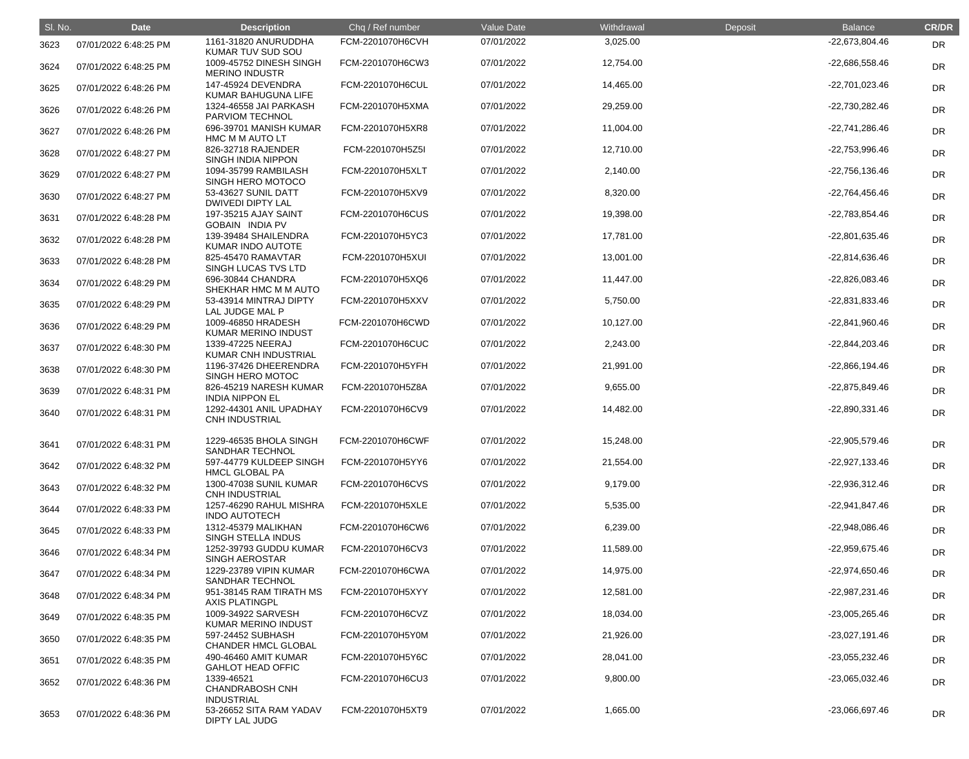| SI. No. | <b>Date</b>           | <b>Description</b>                                        | Chq / Ref number | Value Date | Withdrawal | Deposit | <b>Balance</b>   | <b>CR/DR</b> |
|---------|-----------------------|-----------------------------------------------------------|------------------|------------|------------|---------|------------------|--------------|
| 3623    | 07/01/2022 6:48:25 PM | 1161-31820 ANURUDDHA<br>KUMAR TUV SUD SOU                 | FCM-2201070H6CVH | 07/01/2022 | 3,025.00   |         | -22,673,804.46   | <b>DR</b>    |
| 3624    | 07/01/2022 6:48:25 PM | 1009-45752 DINESH SINGH<br><b>MERINO INDUSTR</b>          | FCM-2201070H6CW3 | 07/01/2022 | 12,754.00  |         | -22,686,558.46   | <b>DR</b>    |
| 3625    | 07/01/2022 6:48:26 PM | 147-45924 DEVENDRA<br>KUMAR BAHUGUNA LIFE                 | FCM-2201070H6CUL | 07/01/2022 | 14,465.00  |         | -22,701,023.46   | <b>DR</b>    |
| 3626    | 07/01/2022 6:48:26 PM | 1324-46558 JAI PARKASH<br>PARVIOM TECHNOL                 | FCM-2201070H5XMA | 07/01/2022 | 29,259.00  |         | -22,730,282.46   | <b>DR</b>    |
| 3627    | 07/01/2022 6:48:26 PM | 696-39701 MANISH KUMAR<br>HMC M M AUTO LT                 | FCM-2201070H5XR8 | 07/01/2022 | 11,004.00  |         | -22,741,286.46   | <b>DR</b>    |
| 3628    | 07/01/2022 6:48:27 PM | 826-32718 RAJENDER<br><b>SINGH INDIA NIPPON</b>           | FCM-2201070H5Z5I | 07/01/2022 | 12,710.00  |         | -22,753,996.46   | <b>DR</b>    |
| 3629    | 07/01/2022 6:48:27 PM | 1094-35799 RAMBILASH<br>SINGH HERO MOTOCO                 | FCM-2201070H5XLT | 07/01/2022 | 2,140.00   |         | $-22,756,136.46$ | <b>DR</b>    |
| 3630    | 07/01/2022 6:48:27 PM | 53-43627 SUNIL DATT<br><b>DWIVEDI DIPTY LAL</b>           | FCM-2201070H5XV9 | 07/01/2022 | 8,320.00   |         | -22,764,456.46   | <b>DR</b>    |
| 3631    | 07/01/2022 6:48:28 PM | 197-35215 AJAY SAINT<br><b>GOBAIN INDIA PV</b>            | FCM-2201070H6CUS | 07/01/2022 | 19,398.00  |         | -22,783,854.46   | <b>DR</b>    |
| 3632    | 07/01/2022 6:48:28 PM | 139-39484 SHAILENDRA<br>KUMAR INDO AUTOTE                 | FCM-2201070H5YC3 | 07/01/2022 | 17,781.00  |         | -22,801,635.46   | <b>DR</b>    |
| 3633    | 07/01/2022 6:48:28 PM | 825-45470 RAMAVTAR<br>SINGH LUCAS TVS LTD                 | FCM-2201070H5XUI | 07/01/2022 | 13,001.00  |         | $-22,814,636.46$ | <b>DR</b>    |
| 3634    | 07/01/2022 6:48:29 PM | 696-30844 CHANDRA<br>SHEKHAR HMC M M AUTO                 | FCM-2201070H5XQ6 | 07/01/2022 | 11,447.00  |         | -22,826,083.46   | <b>DR</b>    |
| 3635    | 07/01/2022 6:48:29 PM | 53-43914 MINTRAJ DIPTY<br>LAL JUDGE MAL P                 | FCM-2201070H5XXV | 07/01/2022 | 5,750.00   |         | -22,831,833.46   | <b>DR</b>    |
| 3636    | 07/01/2022 6:48:29 PM | 1009-46850 HRADESH<br>KUMAR MERINO INDUST                 | FCM-2201070H6CWD | 07/01/2022 | 10,127.00  |         | -22,841,960.46   | <b>DR</b>    |
| 3637    | 07/01/2022 6:48:30 PM | 1339-47225 NEERAJ<br>KUMAR CNH INDUSTRIAL                 | FCM-2201070H6CUC | 07/01/2022 | 2,243.00   |         | -22,844,203.46   | <b>DR</b>    |
| 3638    | 07/01/2022 6:48:30 PM | 1196-37426 DHEERENDRA<br>SINGH HERO MOTOC                 | FCM-2201070H5YFH | 07/01/2022 | 21,991.00  |         | $-22,866,194.46$ | <b>DR</b>    |
| 3639    | 07/01/2022 6:48:31 PM | 826-45219 NARESH KUMAR<br><b>INDIA NIPPON EL</b>          | FCM-2201070H5Z8A | 07/01/2022 | 9,655.00   |         | -22,875,849.46   | <b>DR</b>    |
| 3640    | 07/01/2022 6:48:31 PM | 1292-44301 ANIL UPADHAY<br><b>CNH INDUSTRIAL</b>          | FCM-2201070H6CV9 | 07/01/2022 | 14,482.00  |         | -22,890,331.46   | <b>DR</b>    |
| 3641    | 07/01/2022 6:48:31 PM | 1229-46535 BHOLA SINGH<br><b>SANDHAR TECHNOL</b>          | FCM-2201070H6CWF | 07/01/2022 | 15,248.00  |         | $-22,905,579.46$ | <b>DR</b>    |
| 3642    | 07/01/2022 6:48:32 PM | 597-44779 KULDEEP SINGH<br><b>HMCL GLOBAL PA</b>          | FCM-2201070H5YY6 | 07/01/2022 | 21,554.00  |         | $-22,927,133.46$ | <b>DR</b>    |
| 3643    | 07/01/2022 6:48:32 PM | 1300-47038 SUNIL KUMAR<br><b>CNH INDUSTRIAL</b>           | FCM-2201070H6CVS | 07/01/2022 | 9,179.00   |         | $-22,936,312.46$ | <b>DR</b>    |
| 3644    | 07/01/2022 6:48:33 PM | 1257-46290 RAHUL MISHRA<br><b>INDO AUTOTECH</b>           | FCM-2201070H5XLE | 07/01/2022 | 5,535.00   |         | -22,941,847.46   | <b>DR</b>    |
| 3645    | 07/01/2022 6:48:33 PM | 1312-45379 MALIKHAN<br><b>SINGH STELLA INDUS</b>          | FCM-2201070H6CW6 | 07/01/2022 | 6,239.00   |         | -22,948,086.46   | <b>DR</b>    |
| 3646    | 07/01/2022 6:48:34 PM | 1252-39793 GUDDU KUMAR<br><b>SINGH AEROSTAR</b>           | FCM-2201070H6CV3 | 07/01/2022 | 11,589.00  |         | -22,959,675.46   | <b>DR</b>    |
| 3647    | 07/01/2022 6:48:34 PM | 1229-23789 VIPIN KUMAR<br>SANDHAR TECHNOL                 | FCM-2201070H6CWA | 07/01/2022 | 14,975.00  |         | $-22,974,650.46$ | <b>DR</b>    |
| 3648    | 07/01/2022 6:48:34 PM | 951-38145 RAM TIRATH MS<br><b>AXIS PLATINGPL</b>          | FCM-2201070H5XYY | 07/01/2022 | 12,581.00  |         | -22,987,231.46   | <b>DR</b>    |
| 3649    | 07/01/2022 6:48:35 PM | 1009-34922 SARVESH<br>KUMAR MERINO INDUST                 | FCM-2201070H6CVZ | 07/01/2022 | 18,034.00  |         | -23,005,265.46   | <b>DR</b>    |
| 3650    | 07/01/2022 6:48:35 PM | 597-24452 SUBHASH<br><b>CHANDER HMCL GLOBAL</b>           | FCM-2201070H5Y0M | 07/01/2022 | 21,926.00  |         | -23,027,191.46   | <b>DR</b>    |
| 3651    | 07/01/2022 6:48:35 PM | 490-46460 AMIT KUMAR<br><b>GAHLOT HEAD OFFIC</b>          | FCM-2201070H5Y6C | 07/01/2022 | 28,041.00  |         | -23,055,232.46   | <b>DR</b>    |
| 3652    | 07/01/2022 6:48:36 PM | 1339-46521<br><b>CHANDRABOSH CNH</b><br><b>INDUSTRIAL</b> | FCM-2201070H6CU3 | 07/01/2022 | 9,800.00   |         | $-23,065,032.46$ | <b>DR</b>    |
| 3653    | 07/01/2022 6:48:36 PM | 53-26652 SITA RAM YADAV<br><b>DIPTY LAL JUDG</b>          | FCM-2201070H5XT9 | 07/01/2022 | 1,665.00   |         | -23,066,697.46   | <b>DR</b>    |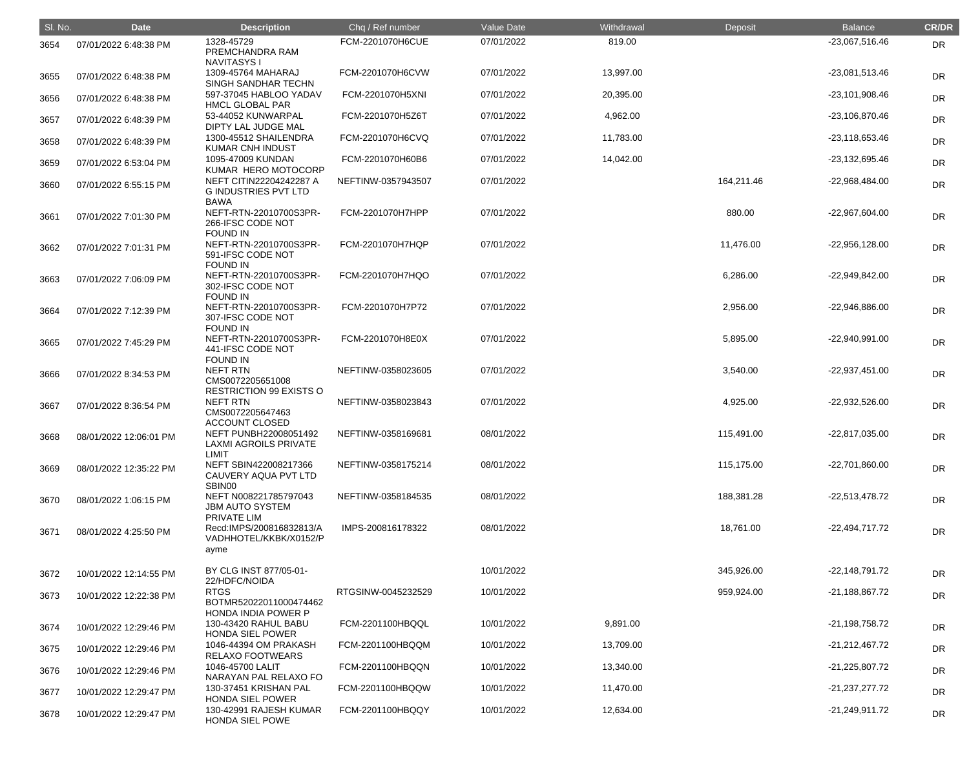| SI. No. | <b>Date</b>            | <b>Description</b>                                                             | Chq / Ref number   | <b>Value Date</b> | Withdrawal | Deposit    | <b>Balance</b>   | <b>CR/DR</b> |
|---------|------------------------|--------------------------------------------------------------------------------|--------------------|-------------------|------------|------------|------------------|--------------|
| 3654    | 07/01/2022 6:48:38 PM  | 1328-45729<br>PREMCHANDRA RAM                                                  | FCM-2201070H6CUE   | 07/01/2022        | 819.00     |            | -23,067,516.46   | <b>DR</b>    |
| 3655    | 07/01/2022 6:48:38 PM  | <b>NAVITASYS I</b><br>1309-45764 MAHARAJ<br>SINGH SANDHAR TECHN                | FCM-2201070H6CVW   | 07/01/2022        | 13,997.00  |            | -23,081,513.46   | <b>DR</b>    |
| 3656    | 07/01/2022 6:48:38 PM  | 597-37045 HABLOO YADAV<br><b>HMCL GLOBAL PAR</b>                               | FCM-2201070H5XNI   | 07/01/2022        | 20,395.00  |            | -23,101,908.46   | <b>DR</b>    |
| 3657    | 07/01/2022 6:48:39 PM  | 53-44052 KUNWARPAL<br>DIPTY LAL JUDGE MAL                                      | FCM-2201070H5Z6T   | 07/01/2022        | 4,962.00   |            | -23,106,870.46   | <b>DR</b>    |
| 3658    | 07/01/2022 6:48:39 PM  | 1300-45512 SHAILENDRA<br><b>KUMAR CNH INDUST</b>                               | FCM-2201070H6CVQ   | 07/01/2022        | 11,783.00  |            | $-23,118,653.46$ | <b>DR</b>    |
| 3659    | 07/01/2022 6:53:04 PM  | 1095-47009 KUNDAN<br>KUMAR HERO MOTOCORP                                       | FCM-2201070H60B6   | 07/01/2022        | 14,042.00  |            | -23,132,695.46   | <b>DR</b>    |
| 3660    | 07/01/2022 6:55:15 PM  | NEFT CITIN22204242287 A<br><b>GINDUSTRIES PVT LTD</b><br><b>BAWA</b>           | NEFTINW-0357943507 | 07/01/2022        |            | 164,211.46 | -22,968,484.00   | <b>DR</b>    |
| 3661    | 07/01/2022 7:01:30 PM  | NEFT-RTN-22010700S3PR-<br>266-IFSC CODE NOT<br><b>FOUND IN</b>                 | FCM-2201070H7HPP   | 07/01/2022        |            | 880.00     | -22,967,604.00   | <b>DR</b>    |
| 3662    | 07/01/2022 7:01:31 PM  | NEFT-RTN-22010700S3PR-<br>591-IFSC CODE NOT<br><b>FOUND IN</b>                 | FCM-2201070H7HQP   | 07/01/2022        |            | 11,476.00  | $-22,956,128.00$ | <b>DR</b>    |
| 3663    | 07/01/2022 7:06:09 PM  | NEFT-RTN-22010700S3PR-<br>302-IFSC CODE NOT<br><b>FOUND IN</b>                 | FCM-2201070H7HQO   | 07/01/2022        |            | 6,286.00   | -22,949,842.00   | <b>DR</b>    |
| 3664    | 07/01/2022 7:12:39 PM  | NEFT-RTN-22010700S3PR-<br>307-IFSC CODE NOT<br><b>FOUND IN</b>                 | FCM-2201070H7P72   | 07/01/2022        |            | 2,956.00   | -22,946,886.00   | <b>DR</b>    |
| 3665    | 07/01/2022 7:45:29 PM  | NEFT-RTN-22010700S3PR-<br>441-IFSC CODE NOT                                    | FCM-2201070H8E0X   | 07/01/2022        |            | 5,895.00   | -22,940,991.00   | <b>DR</b>    |
| 3666    | 07/01/2022 8:34:53 PM  | <b>FOUND IN</b><br>NEFT RTN<br>CMS0072205651008                                | NEFTINW-0358023605 | 07/01/2022        |            | 3,540.00   | $-22,937,451.00$ | <b>DR</b>    |
| 3667    | 07/01/2022 8:36:54 PM  | <b>RESTRICTION 99 EXISTS O</b><br><b>NEFT RTN</b><br>CMS0072205647463          | NEFTINW-0358023843 | 07/01/2022        |            | 4,925.00   | -22,932,526.00   | <b>DR</b>    |
| 3668    | 08/01/2022 12:06:01 PM | <b>ACCOUNT CLOSED</b><br>NEFT PUNBH22008051492<br><b>LAXMI AGROILS PRIVATE</b> | NEFTINW-0358169681 | 08/01/2022        |            | 115,491.00 | -22,817,035.00   | <b>DR</b>    |
| 3669    | 08/01/2022 12:35:22 PM | <b>LIMIT</b><br>NEFT SBIN422008217366<br>CAUVERY AQUA PVT LTD<br>SBIN00        | NEFTINW-0358175214 | 08/01/2022        |            | 115,175.00 | -22,701,860.00   | <b>DR</b>    |
| 3670    | 08/01/2022 1:06:15 PM  | NEFT N008221785797043<br><b>JBM AUTO SYSTEM</b><br>PRIVATE LIM                 | NEFTINW-0358184535 | 08/01/2022        |            | 188,381.28 | $-22,513,478.72$ | <b>DR</b>    |
| 3671    | 08/01/2022 4:25:50 PM  | Recd:IMPS/200816832813/A<br>VADHHOTEL/KKBK/X0152/P<br>ayme                     | IMPS-200816178322  | 08/01/2022        |            | 18,761.00  | $-22,494,717.72$ | <b>DR</b>    |
| 3672    | 10/01/2022 12:14:55 PM | BY CLG INST 877/05-01-<br>22/HDFC/NOIDA                                        |                    | 10/01/2022        |            | 345,926.00 | $-22,148,791.72$ | <b>DR</b>    |
| 3673    | 10/01/2022 12:22:38 PM | <b>RTGS</b><br>BOTMR52022011000474462<br>HONDA INDIA POWER P                   | RTGSINW-0045232529 | 10/01/2022        |            | 959,924.00 | $-21,188,867.72$ | <b>DR</b>    |
| 3674    | 10/01/2022 12:29:46 PM | 130-43420 RAHUL BABU<br><b>HONDA SIEL POWER</b>                                | FCM-2201100HBQQL   | 10/01/2022        | 9,891.00   |            | $-21,198,758.72$ | <b>DR</b>    |
| 3675    | 10/01/2022 12:29:46 PM | 1046-44394 OM PRAKASH<br>RELAXO FOOTWEARS                                      | FCM-2201100HBQQM   | 10/01/2022        | 13,709.00  |            | $-21,212,467.72$ | <b>DR</b>    |
| 3676    | 10/01/2022 12:29:46 PM | 1046-45700 LALIT<br>NARAYAN PAL RELAXO FO                                      | FCM-2201100HBQQN   | 10/01/2022        | 13,340.00  |            | $-21,225,807.72$ | <b>DR</b>    |
| 3677    | 10/01/2022 12:29:47 PM | 130-37451 KRISHAN PAL<br><b>HONDA SIEL POWER</b>                               | FCM-2201100HBQQW   | 10/01/2022        | 11,470.00  |            | $-21,237,277.72$ | <b>DR</b>    |
| 3678    | 10/01/2022 12:29:47 PM | 130-42991 RAJESH KUMAR<br><b>HONDA SIEL POWE</b>                               | FCM-2201100HBQQY   | 10/01/2022        | 12,634.00  |            | $-21,249,911.72$ | <b>DR</b>    |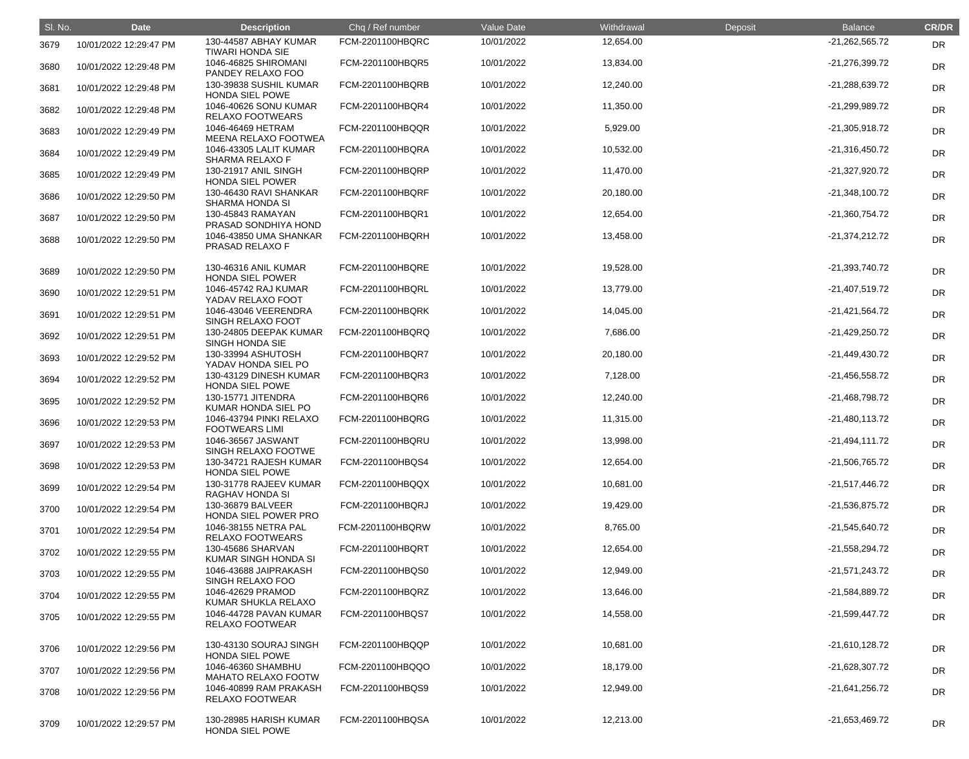| SI. No. | <b>Date</b>            | <b>Description</b>                               | Chq / Ref number | Value Date | Withdrawal | Deposit | <b>Balance</b>   | <b>CR/DR</b> |
|---------|------------------------|--------------------------------------------------|------------------|------------|------------|---------|------------------|--------------|
| 3679    | 10/01/2022 12:29:47 PM | 130-44587 ABHAY KUMAR<br><b>TIWARI HONDA SIE</b> | FCM-2201100HBQRC | 10/01/2022 | 12,654.00  |         | $-21,262,565.72$ | <b>DR</b>    |
| 3680    | 10/01/2022 12:29:48 PM | 1046-46825 SHIROMANI<br>PANDEY RELAXO FOO        | FCM-2201100HBQR5 | 10/01/2022 | 13,834.00  |         | -21,276,399.72   | DR           |
| 3681    | 10/01/2022 12:29:48 PM | 130-39838 SUSHIL KUMAR<br><b>HONDA SIEL POWE</b> | FCM-2201100HBQRB | 10/01/2022 | 12,240.00  |         | -21,288,639.72   | <b>DR</b>    |
| 3682    | 10/01/2022 12:29:48 PM | 1046-40626 SONU KUMAR<br><b>RELAXO FOOTWEARS</b> | FCM-2201100HBQR4 | 10/01/2022 | 11,350.00  |         | -21,299,989.72   | <b>DR</b>    |
| 3683    | 10/01/2022 12:29:49 PM | 1046-46469 HETRAM<br>MEENA RELAXO FOOTWEA        | FCM-2201100HBQQR | 10/01/2022 | 5,929.00   |         | $-21,305,918.72$ | <b>DR</b>    |
| 3684    | 10/01/2022 12:29:49 PM | 1046-43305 LALIT KUMAR<br>SHARMA RELAXO F        | FCM-2201100HBQRA | 10/01/2022 | 10,532.00  |         | $-21,316,450.72$ | DR           |
| 3685    | 10/01/2022 12:29:49 PM | 130-21917 ANIL SINGH<br><b>HONDA SIEL POWER</b>  | FCM-2201100HBQRP | 10/01/2022 | 11,470.00  |         | -21,327,920.72   | DR           |
| 3686    | 10/01/2022 12:29:50 PM | 130-46430 RAVI SHANKAR<br><b>SHARMA HONDA SI</b> | FCM-2201100HBQRF | 10/01/2022 | 20,180.00  |         | $-21,348,100.72$ | <b>DR</b>    |
| 3687    | 10/01/2022 12:29:50 PM | 130-45843 RAMAYAN<br>PRASAD SONDHIYA HOND        | FCM-2201100HBQR1 | 10/01/2022 | 12,654.00  |         | -21,360,754.72   | <b>DR</b>    |
| 3688    | 10/01/2022 12:29:50 PM | 1046-43850 UMA SHANKAR<br>PRASAD RELAXO F        | FCM-2201100HBQRH | 10/01/2022 | 13,458.00  |         | $-21,374,212.72$ | <b>DR</b>    |
| 3689    | 10/01/2022 12:29:50 PM | 130-46316 ANIL KUMAR<br><b>HONDA SIEL POWER</b>  | FCM-2201100HBQRE | 10/01/2022 | 19,528.00  |         | $-21,393,740.72$ | DR           |
| 3690    | 10/01/2022 12:29:51 PM | 1046-45742 RAJ KUMAR<br>YADAV RELAXO FOOT        | FCM-2201100HBQRL | 10/01/2022 | 13,779.00  |         | -21,407,519.72   | DR           |
| 3691    | 10/01/2022 12:29:51 PM | 1046-43046 VEERENDRA<br>SINGH RELAXO FOOT        | FCM-2201100HBQRK | 10/01/2022 | 14,045.00  |         | -21,421,564.72   | <b>DR</b>    |
| 3692    | 10/01/2022 12:29:51 PM | 130-24805 DEEPAK KUMAR<br><b>SINGH HONDA SIE</b> | FCM-2201100HBQRQ | 10/01/2022 | 7,686.00   |         | -21,429,250.72   | DR           |
| 3693    | 10/01/2022 12:29:52 PM | 130-33994 ASHUTOSH<br>YADAV HONDA SIEL PO        | FCM-2201100HBQR7 | 10/01/2022 | 20,180.00  |         | -21,449,430.72   | DR           |
| 3694    | 10/01/2022 12:29:52 PM | 130-43129 DINESH KUMAR<br>HONDA SIEL POWE        | FCM-2201100HBQR3 | 10/01/2022 | 7,128.00   |         | $-21,456,558.72$ | <b>DR</b>    |
| 3695    | 10/01/2022 12:29:52 PM | 130-15771 JITENDRA<br>KUMAR HONDA SIEL PO        | FCM-2201100HBQR6 | 10/01/2022 | 12,240.00  |         | -21,468,798.72   | <b>DR</b>    |
| 3696    | 10/01/2022 12:29:53 PM | 1046-43794 PINKI RELAXO<br><b>FOOTWEARS LIMI</b> | FCM-2201100HBQRG | 10/01/2022 | 11,315.00  |         | $-21,480,113.72$ | <b>DR</b>    |
| 3697    | 10/01/2022 12:29:53 PM | 1046-36567 JASWANT<br>SINGH RELAXO FOOTWE        | FCM-2201100HBQRU | 10/01/2022 | 13,998.00  |         | $-21,494,111.72$ | <b>DR</b>    |
| 3698    | 10/01/2022 12:29:53 PM | 130-34721 RAJESH KUMAR<br><b>HONDA SIEL POWE</b> | FCM-2201100HBQS4 | 10/01/2022 | 12,654.00  |         | $-21,506,765.72$ | <b>DR</b>    |
| 3699    | 10/01/2022 12:29:54 PM | 130-31778 RAJEEV KUMAR<br>RAGHAV HONDA SI        | FCM-2201100HBQQX | 10/01/2022 | 10,681.00  |         | $-21,517,446.72$ | <b>DR</b>    |
| 3700    | 10/01/2022 12:29:54 PM | 130-36879 BALVEER<br>HONDA SIEL POWER PRO        | FCM-2201100HBQRJ | 10/01/2022 | 19,429.00  |         | $-21,536,875.72$ | <b>DR</b>    |
| 3701    | 10/01/2022 12:29:54 PM | 1046-38155 NETRA PAL<br><b>RELAXO FOOTWEARS</b>  | FCM-2201100HBQRW | 10/01/2022 | 8,765.00   |         | $-21,545,640.72$ | <b>DR</b>    |
| 3702    | 10/01/2022 12:29:55 PM | 130-45686 SHARVAN<br>KUMAR SINGH HONDA SI        | FCM-2201100HBQRT | 10/01/2022 | 12,654.00  |         | $-21,558,294.72$ | <b>DR</b>    |
| 3703    | 10/01/2022 12:29:55 PM | 1046-43688 JAIPRAKASH<br>SINGH RELAXO FOO        | FCM-2201100HBQS0 | 10/01/2022 | 12,949.00  |         | $-21,571,243.72$ | <b>DR</b>    |
| 3704    | 10/01/2022 12:29:55 PM | 1046-42629 PRAMOD<br>KUMAR SHUKLA RELAXO         | FCM-2201100HBQRZ | 10/01/2022 | 13,646.00  |         | -21,584,889.72   | <b>DR</b>    |
| 3705    | 10/01/2022 12:29:55 PM | 1046-44728 PAVAN KUMAR<br><b>RELAXO FOOTWEAR</b> | FCM-2201100HBQS7 | 10/01/2022 | 14,558.00  |         | $-21,599,447.72$ | <b>DR</b>    |
| 3706    | 10/01/2022 12:29:56 PM | 130-43130 SOURAJ SINGH<br>HONDA SIEL POWE        | FCM-2201100HBQQP | 10/01/2022 | 10,681.00  |         | $-21,610,128.72$ | <b>DR</b>    |
| 3707    | 10/01/2022 12:29:56 PM | 1046-46360 SHAMBHU<br><b>MAHATO RELAXO FOOTW</b> | FCM-2201100HBQQO | 10/01/2022 | 18,179.00  |         | $-21,628,307.72$ | <b>DR</b>    |
| 3708    | 10/01/2022 12:29:56 PM | 1046-40899 RAM PRAKASH<br><b>RELAXO FOOTWEAR</b> | FCM-2201100HBQS9 | 10/01/2022 | 12,949.00  |         | $-21,641,256.72$ | <b>DR</b>    |
| 3709    | 10/01/2022 12:29:57 PM | 130-28985 HARISH KUMAR<br><b>HONDA SIEL POWE</b> | FCM-2201100HBQSA | 10/01/2022 | 12,213.00  |         | -21,653,469.72   | <b>DR</b>    |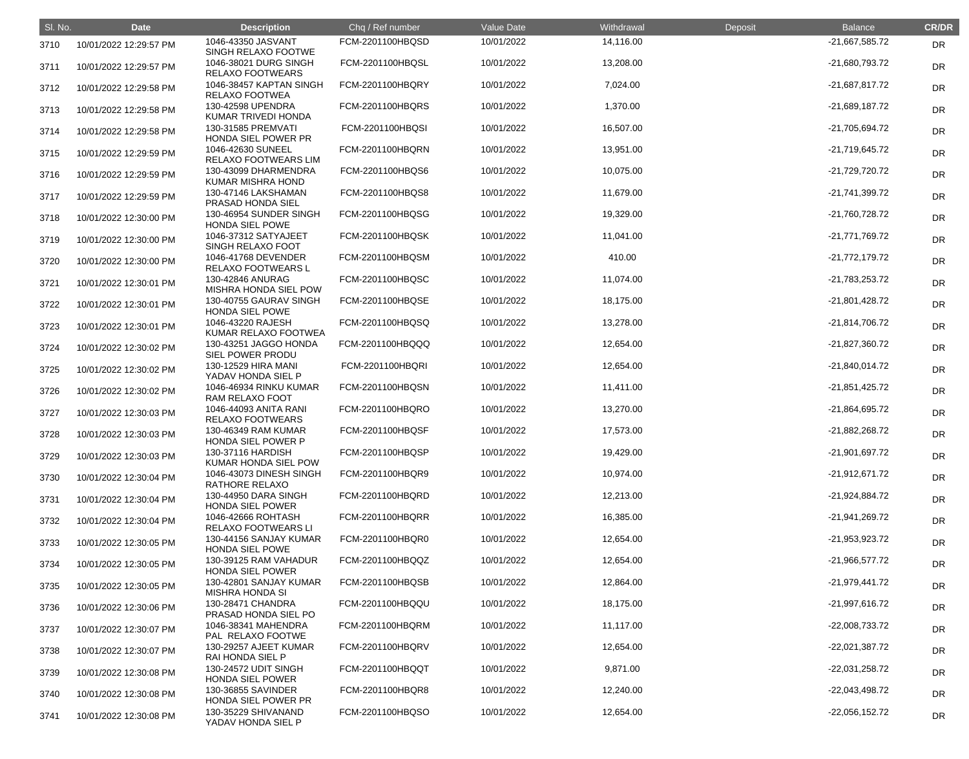| SI. No. | <b>Date</b>            | <b>Description</b>                               | Chq / Ref number | Value Date | Withdrawal | Deposit | <b>Balance</b>   | <b>CR/DR</b> |
|---------|------------------------|--------------------------------------------------|------------------|------------|------------|---------|------------------|--------------|
| 3710    | 10/01/2022 12:29:57 PM | 1046-43350 JASVANT<br>SINGH RELAXO FOOTWE        | FCM-2201100HBQSD | 10/01/2022 | 14,116.00  |         | -21,667,585.72   | <b>DR</b>    |
| 3711    | 10/01/2022 12:29:57 PM | 1046-38021 DURG SINGH<br><b>RELAXO FOOTWEARS</b> | FCM-2201100HBQSL | 10/01/2022 | 13,208.00  |         | -21,680,793.72   | <b>DR</b>    |
| 3712    | 10/01/2022 12:29:58 PM | 1046-38457 KAPTAN SINGH<br>RELAXO FOOTWEA        | FCM-2201100HBQRY | 10/01/2022 | 7,024.00   |         | $-21,687,817.72$ | <b>DR</b>    |
| 3713    | 10/01/2022 12:29:58 PM | 130-42598 UPENDRA<br>KUMAR TRIVEDI HONDA         | FCM-2201100HBQRS | 10/01/2022 | 1,370.00   |         | $-21,689,187.72$ | <b>DR</b>    |
| 3714    | 10/01/2022 12:29:58 PM | 130-31585 PREMVATI<br>HONDA SIEL POWER PR        | FCM-2201100HBQSI | 10/01/2022 | 16,507.00  |         | -21,705,694.72   | <b>DR</b>    |
| 3715    | 10/01/2022 12:29:59 PM | 1046-42630 SUNEEL<br>RELAXO FOOTWEARS LIM        | FCM-2201100HBQRN | 10/01/2022 | 13,951.00  |         | -21,719,645.72   | <b>DR</b>    |
| 3716    | 10/01/2022 12:29:59 PM | 130-43099 DHARMENDRA<br>KUMAR MISHRA HOND        | FCM-2201100HBQS6 | 10/01/2022 | 10,075.00  |         | -21,729,720.72   | <b>DR</b>    |
| 3717    | 10/01/2022 12:29:59 PM | 130-47146 LAKSHAMAN<br>PRASAD HONDA SIEL         | FCM-2201100HBQS8 | 10/01/2022 | 11,679.00  |         | -21,741,399.72   | DR           |
| 3718    | 10/01/2022 12:30:00 PM | 130-46954 SUNDER SINGH<br><b>HONDA SIEL POWE</b> | FCM-2201100HBQSG | 10/01/2022 | 19,329.00  |         | -21,760,728.72   | <b>DR</b>    |
| 3719    | 10/01/2022 12:30:00 PM | 1046-37312 SATYAJEET<br>SINGH RELAXO FOOT        | FCM-2201100HBQSK | 10/01/2022 | 11,041.00  |         | $-21,771,769.72$ | <b>DR</b>    |
| 3720    | 10/01/2022 12:30:00 PM | 1046-41768 DEVENDER<br>RELAXO FOOTWEARS L        | FCM-2201100HBQSM | 10/01/2022 | 410.00     |         | $-21,772,179.72$ | <b>DR</b>    |
| 3721    | 10/01/2022 12:30:01 PM | 130-42846 ANURAG<br>MISHRA HONDA SIEL POW        | FCM-2201100HBQSC | 10/01/2022 | 11,074.00  |         | -21,783,253.72   | <b>DR</b>    |
| 3722    | 10/01/2022 12:30:01 PM | 130-40755 GAURAV SINGH<br><b>HONDA SIEL POWE</b> | FCM-2201100HBQSE | 10/01/2022 | 18,175.00  |         | -21,801,428.72   | DR           |
| 3723    | 10/01/2022 12:30:01 PM | 1046-43220 RAJESH<br>KUMAR RELAXO FOOTWEA        | FCM-2201100HBQSQ | 10/01/2022 | 13,278.00  |         | $-21,814,706.72$ | <b>DR</b>    |
| 3724    | 10/01/2022 12:30:02 PM | 130-43251 JAGGO HONDA<br>SIEL POWER PRODU        | FCM-2201100HBQQQ | 10/01/2022 | 12,654.00  |         | -21,827,360.72   | <b>DR</b>    |
| 3725    | 10/01/2022 12:30:02 PM | 130-12529 HIRA MANI<br>YADAV HONDA SIEL P        | FCM-2201100HBQRI | 10/01/2022 | 12,654.00  |         | $-21,840,014.72$ | <b>DR</b>    |
| 3726    | 10/01/2022 12:30:02 PM | 1046-46934 RINKU KUMAR<br>RAM RELAXO FOOT        | FCM-2201100HBQSN | 10/01/2022 | 11,411.00  |         | $-21,851,425.72$ | <b>DR</b>    |
| 3727    | 10/01/2022 12:30:03 PM | 1046-44093 ANITA RANI<br><b>RELAXO FOOTWEARS</b> | FCM-2201100HBQRO | 10/01/2022 | 13,270.00  |         | -21,864,695.72   | <b>DR</b>    |
| 3728    | 10/01/2022 12:30:03 PM | 130-46349 RAM KUMAR<br>HONDA SIEL POWER P        | FCM-2201100HBQSF | 10/01/2022 | 17,573.00  |         | $-21,882,268.72$ | <b>DR</b>    |
| 3729    | 10/01/2022 12:30:03 PM | 130-37116 HARDISH<br>KUMAR HONDA SIEL POW        | FCM-2201100HBQSP | 10/01/2022 | 19,429.00  |         | -21,901,697.72   | <b>DR</b>    |
| 3730    | 10/01/2022 12:30:04 PM | 1046-43073 DINESH SINGH<br><b>RATHORE RELAXO</b> | FCM-2201100HBQR9 | 10/01/2022 | 10,974.00  |         | $-21,912,671.72$ | <b>DR</b>    |
| 3731    | 10/01/2022 12:30:04 PM | 130-44950 DARA SINGH<br><b>HONDA SIEL POWER</b>  | FCM-2201100HBQRD | 10/01/2022 | 12,213.00  |         | $-21,924,884.72$ | <b>DR</b>    |
| 3732    | 10/01/2022 12:30:04 PM | 1046-42666 ROHTASH<br><b>RELAXO FOOTWEARS LI</b> | FCM-2201100HBQRR | 10/01/2022 | 16,385.00  |         | -21,941,269.72   | <b>DR</b>    |
| 3733    | 10/01/2022 12:30:05 PM | 130-44156 SANJAY KUMAR<br><b>HONDA SIEL POWE</b> | FCM-2201100HBQR0 | 10/01/2022 | 12,654.00  |         | $-21,953,923.72$ | <b>DR</b>    |
| 3734    | 10/01/2022 12:30:05 PM | 130-39125 RAM VAHADUR<br><b>HONDA SIEL POWER</b> | FCM-2201100HBQQZ | 10/01/2022 | 12,654.00  |         | $-21,966,577.72$ | <b>DR</b>    |
| 3735    | 10/01/2022 12:30:05 PM | 130-42801 SANJAY KUMAR<br><b>MISHRA HONDA SI</b> | FCM-2201100HBQSB | 10/01/2022 | 12,864.00  |         | $-21,979,441.72$ | <b>DR</b>    |
| 3736    | 10/01/2022 12:30:06 PM | 130-28471 CHANDRA<br>PRASAD HONDA SIEL PO        | FCM-2201100HBQQU | 10/01/2022 | 18,175.00  |         | $-21,997,616.72$ | <b>DR</b>    |
| 3737    | 10/01/2022 12:30:07 PM | 1046-38341 MAHENDRA<br>PAL RELAXO FOOTWE         | FCM-2201100HBQRM | 10/01/2022 | 11,117.00  |         | -22,008,733.72   | <b>DR</b>    |
| 3738    | 10/01/2022 12:30:07 PM | 130-29257 AJEET KUMAR<br><b>RAI HONDA SIEL P</b> | FCM-2201100HBQRV | 10/01/2022 | 12,654.00  |         | $-22,021,387.72$ | <b>DR</b>    |
| 3739    | 10/01/2022 12:30:08 PM | 130-24572 UDIT SINGH<br><b>HONDA SIEL POWER</b>  | FCM-2201100HBQQT | 10/01/2022 | 9,871.00   |         | $-22,031,258.72$ | <b>DR</b>    |
| 3740    | 10/01/2022 12:30:08 PM | 130-36855 SAVINDER<br>HONDA SIEL POWER PR        | FCM-2201100HBQR8 | 10/01/2022 | 12,240.00  |         | $-22,043,498.72$ | <b>DR</b>    |
| 3741    | 10/01/2022 12:30:08 PM | 130-35229 SHIVANAND<br>YADAV HONDA SIEL P        | FCM-2201100HBQSO | 10/01/2022 | 12,654.00  |         | $-22,056,152.72$ | <b>DR</b>    |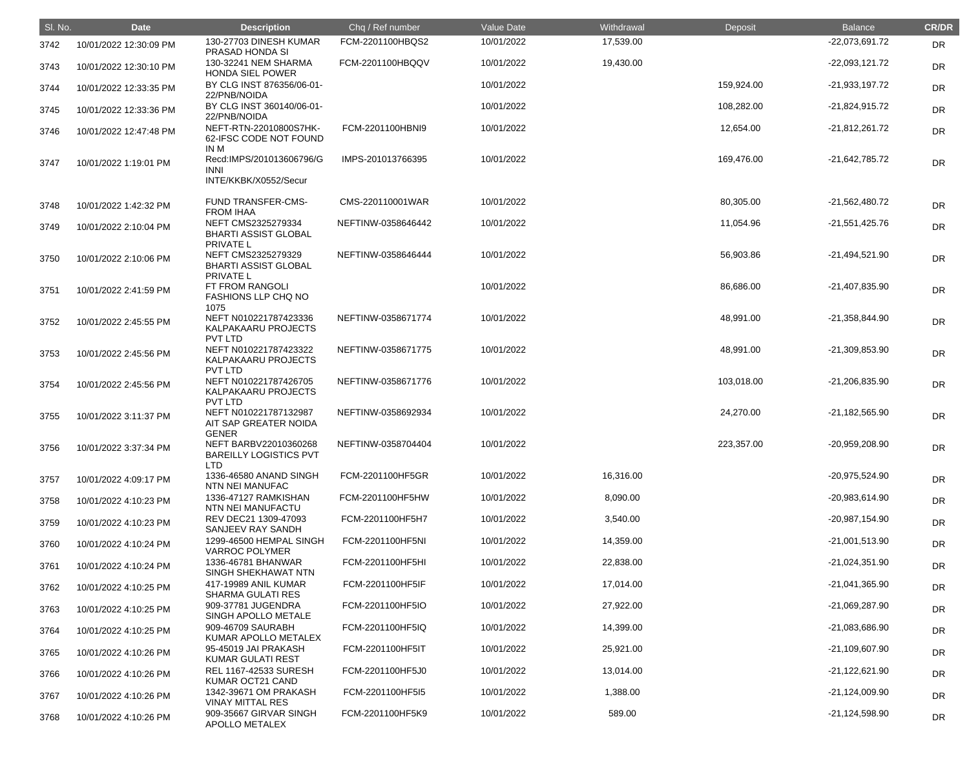| SI. No. | <b>Date</b>            | <b>Description</b>                                                             | Chq / Ref number   | <b>Value Date</b> | Withdrawal | Deposit    | <b>Balance</b>   | <b>CR/DR</b> |
|---------|------------------------|--------------------------------------------------------------------------------|--------------------|-------------------|------------|------------|------------------|--------------|
| 3742    | 10/01/2022 12:30:09 PM | 130-27703 DINESH KUMAR<br>PRASAD HONDA SI                                      | FCM-2201100HBQS2   | 10/01/2022        | 17,539.00  |            | -22,073,691.72   | <b>DR</b>    |
| 3743    | 10/01/2022 12:30:10 PM | 130-32241 NEM SHARMA<br><b>HONDA SIEL POWER</b>                                | FCM-2201100HBQQV   | 10/01/2022        | 19,430.00  |            | $-22,093,121.72$ | <b>DR</b>    |
| 3744    | 10/01/2022 12:33:35 PM | BY CLG INST 876356/06-01-<br>22/PNB/NOIDA                                      |                    | 10/01/2022        |            | 159,924.00 | $-21,933,197.72$ | DR           |
| 3745    | 10/01/2022 12:33:36 PM | BY CLG INST 360140/06-01-                                                      |                    | 10/01/2022        |            | 108,282.00 | $-21,824,915.72$ | DR           |
| 3746    | 10/01/2022 12:47:48 PM | 22/PNB/NOIDA<br>NEFT-RTN-22010800S7HK-<br>62-IFSC CODE NOT FOUND<br>IN M       | FCM-2201100HBNI9   | 10/01/2022        |            | 12,654.00  | $-21,812,261.72$ | <b>DR</b>    |
| 3747    | 10/01/2022 1:19:01 PM  | Recd:IMPS/201013606796/G<br><b>INNI</b><br>INTE/KKBK/X0552/Secur               | IMPS-201013766395  | 10/01/2022        |            | 169,476.00 | -21,642,785.72   | <b>DR</b>    |
| 3748    | 10/01/2022 1:42:32 PM  | <b>FUND TRANSFER-CMS-</b>                                                      | CMS-220110001WAR   | 10/01/2022        |            | 80,305.00  | $-21,562,480.72$ | <b>DR</b>    |
| 3749    | 10/01/2022 2:10:04 PM  | <b>FROM IHAA</b><br>NEFT CMS2325279334<br><b>BHARTI ASSIST GLOBAL</b>          | NEFTINW-0358646442 | 10/01/2022        |            | 11,054.96  | $-21,551,425.76$ | <b>DR</b>    |
| 3750    | 10/01/2022 2:10:06 PM  | PRIVATE L<br>NEFT CMS2325279329<br><b>BHARTI ASSIST GLOBAL</b>                 | NEFTINW-0358646444 | 10/01/2022        |            | 56,903.86  | -21,494,521.90   | <b>DR</b>    |
| 3751    | 10/01/2022 2:41:59 PM  | <b>PRIVATE L</b><br>FT FROM RANGOLI<br><b>FASHIONS LLP CHQ NO</b>              |                    | 10/01/2022        |            | 86,686.00  | -21,407,835.90   | <b>DR</b>    |
| 3752    | 10/01/2022 2:45:55 PM  | 1075<br>NEFT N010221787423336<br>KALPAKAARU PROJECTS                           | NEFTINW-0358671774 | 10/01/2022        |            | 48,991.00  | -21,358,844.90   | <b>DR</b>    |
| 3753    | 10/01/2022 2:45:56 PM  | <b>PVT LTD</b><br>NEFT N010221787423322<br>KALPAKAARU PROJECTS                 | NEFTINW-0358671775 | 10/01/2022        |            | 48,991.00  | $-21,309,853.90$ | <b>DR</b>    |
| 3754    | 10/01/2022 2:45:56 PM  | <b>PVT LTD</b><br>NEFT N010221787426705<br>KALPAKAARU PROJECTS                 | NEFTINW-0358671776 | 10/01/2022        |            | 103,018.00 | -21,206,835.90   | <b>DR</b>    |
| 3755    | 10/01/2022 3:11:37 PM  | <b>PVT LTD</b><br>NEFT N010221787132987<br>AIT SAP GREATER NOIDA               | NEFTINW-0358692934 | 10/01/2022        |            | 24,270.00  | $-21,182,565.90$ | <b>DR</b>    |
| 3756    | 10/01/2022 3:37:34 PM  | <b>GENER</b><br>NEFT BARBV22010360268<br><b>BAREILLY LOGISTICS PVT</b><br>LTD. | NEFTINW-0358704404 | 10/01/2022        |            | 223,357.00 | -20,959,208.90   | <b>DR</b>    |
| 3757    | 10/01/2022 4:09:17 PM  | 1336-46580 ANAND SINGH<br>NTN NEI MANUFAC                                      | FCM-2201100HF5GR   | 10/01/2022        | 16,316.00  |            | $-20,975,524.90$ | <b>DR</b>    |
| 3758    | 10/01/2022 4:10:23 PM  | 1336-47127 RAMKISHAN<br>NTN NEI MANUFACTU                                      | FCM-2201100HF5HW   | 10/01/2022        | 8,090.00   |            | $-20,983,614.90$ | <b>DR</b>    |
| 3759    | 10/01/2022 4:10:23 PM  | REV DEC21 1309-47093<br>SANJEEV RAY SANDH                                      | FCM-2201100HF5H7   | 10/01/2022        | 3,540.00   |            | -20,987,154.90   | <b>DR</b>    |
| 3760    | 10/01/2022 4:10:24 PM  | 1299-46500 HEMPAL SINGH<br><b>VARROC POLYMER</b>                               | FCM-2201100HF5NI   | 10/01/2022        | 14,359.00  |            | $-21,001,513.90$ | <b>DR</b>    |
| 3761    | 10/01/2022 4:10:24 PM  | 1336-46781 BHANWAR<br>SINGH SHEKHAWAT NTN                                      | FCM-2201100HF5HI   | 10/01/2022        | 22,838.00  |            | $-21,024,351.90$ | <b>DR</b>    |
| 3762    | 10/01/2022 4:10:25 PM  | 417-19989 ANIL KUMAR<br><b>SHARMA GULATI RES</b>                               | FCM-2201100HF5IF   | 10/01/2022        | 17,014.00  |            | $-21,041,365.90$ | <b>DR</b>    |
| 3763    | 10/01/2022 4:10:25 PM  | 909-37781 JUGENDRA<br>SINGH APOLLO METALE                                      | FCM-2201100HF5IO   | 10/01/2022        | 27,922.00  |            | -21,069,287.90   | <b>DR</b>    |
| 3764    | 10/01/2022 4:10:25 PM  | 909-46709 SAURABH<br>KUMAR APOLLO METALEX                                      | FCM-2201100HF5IQ   | 10/01/2022        | 14,399.00  |            | -21,083,686.90   | <b>DR</b>    |
| 3765    | 10/01/2022 4:10:26 PM  | 95-45019 JAI PRAKASH                                                           | FCM-2201100HF5IT   | 10/01/2022        | 25,921.00  |            | $-21,109,607.90$ | <b>DR</b>    |
| 3766    | 10/01/2022 4:10:26 PM  | <b>KUMAR GULATI REST</b><br>REL 1167-42533 SURESH<br>KUMAR OCT21 CAND          | FCM-2201100HF5J0   | 10/01/2022        | 13,014.00  |            | $-21,122,621.90$ | <b>DR</b>    |
| 3767    | 10/01/2022 4:10:26 PM  | 1342-39671 OM PRAKASH                                                          | FCM-2201100HF5I5   | 10/01/2022        | 1,388.00   |            | $-21,124,009.90$ | <b>DR</b>    |
| 3768    | 10/01/2022 4:10:26 PM  | <b>VINAY MITTAL RES</b><br>909-35667 GIRVAR SINGH<br>APOLLO METALEX            | FCM-2201100HF5K9   | 10/01/2022        | 589.00     |            | $-21,124,598.90$ | <b>DR</b>    |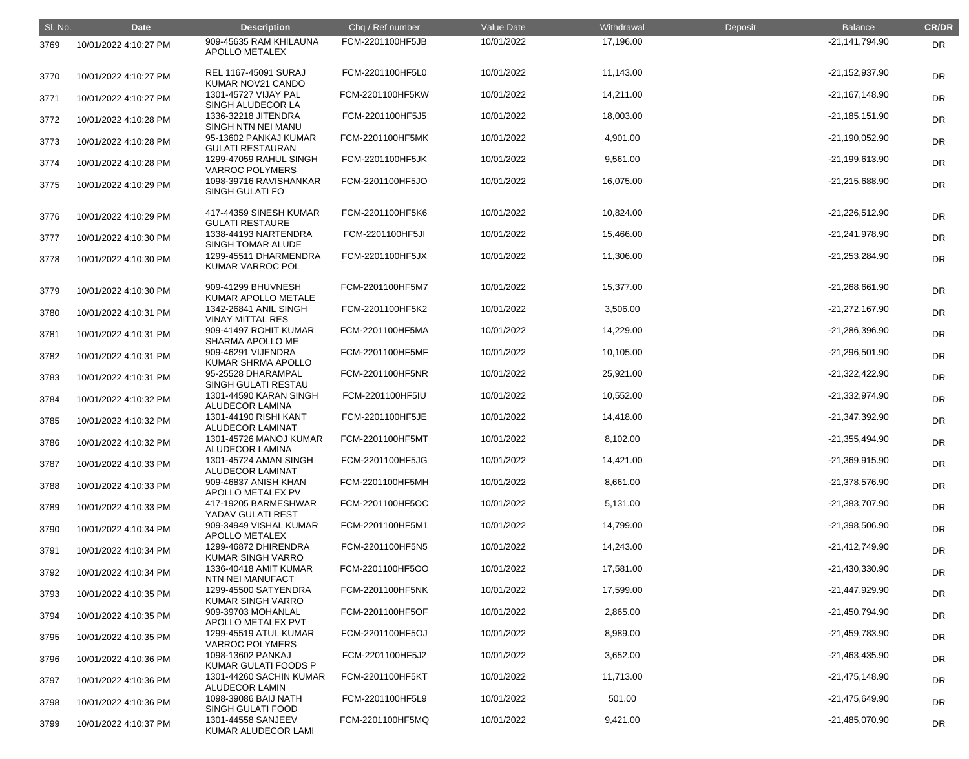| SI. No. | <b>Date</b>           | <b>Description</b>                               | Chq / Ref number | Value Date | Withdrawal | Deposit | <b>Balance</b>   | <b>CR/DR</b> |
|---------|-----------------------|--------------------------------------------------|------------------|------------|------------|---------|------------------|--------------|
| 3769    | 10/01/2022 4:10:27 PM | 909-45635 RAM KHILAUNA<br>APOLLO METALEX         | FCM-2201100HF5JB | 10/01/2022 | 17,196.00  |         | $-21,141,794.90$ | <b>DR</b>    |
| 3770    | 10/01/2022 4:10:27 PM | REL 1167-45091 SURAJ<br>KUMAR NOV21 CANDO        | FCM-2201100HF5L0 | 10/01/2022 | 11,143.00  |         | $-21,152,937.90$ | <b>DR</b>    |
| 3771    | 10/01/2022 4:10:27 PM | 1301-45727 VIJAY PAL<br>SINGH ALUDECOR LA        | FCM-2201100HF5KW | 10/01/2022 | 14,211.00  |         | $-21,167,148.90$ | <b>DR</b>    |
| 3772    | 10/01/2022 4:10:28 PM | 1336-32218 JITENDRA<br>SINGH NTN NEI MANU        | FCM-2201100HF5J5 | 10/01/2022 | 18,003.00  |         | $-21,185,151.90$ | <b>DR</b>    |
| 3773    | 10/01/2022 4:10:28 PM | 95-13602 PANKAJ KUMAR<br><b>GULATI RESTAURAN</b> | FCM-2201100HF5MK | 10/01/2022 | 4,901.00   |         | $-21,190,052.90$ | <b>DR</b>    |
| 3774    | 10/01/2022 4:10:28 PM | 1299-47059 RAHUL SINGH<br><b>VARROC POLYMERS</b> | FCM-2201100HF5JK | 10/01/2022 | 9,561.00   |         | $-21,199,613.90$ | <b>DR</b>    |
| 3775    | 10/01/2022 4:10:29 PM | 1098-39716 RAVISHANKAR<br>SINGH GULATI FO        | FCM-2201100HF5JO | 10/01/2022 | 16,075.00  |         | $-21,215,688.90$ | <b>DR</b>    |
| 3776    | 10/01/2022 4:10:29 PM | 417-44359 SINESH KUMAR<br><b>GULATI RESTAURE</b> | FCM-2201100HF5K6 | 10/01/2022 | 10,824.00  |         | $-21,226,512.90$ | <b>DR</b>    |
| 3777    | 10/01/2022 4:10:30 PM | 1338-44193 NARTENDRA<br>SINGH TOMAR ALUDE        | FCM-2201100HF5JI | 10/01/2022 | 15,466.00  |         | -21,241,978.90   | <b>DR</b>    |
| 3778    | 10/01/2022 4:10:30 PM | 1299-45511 DHARMENDRA<br>KUMAR VARROC POL        | FCM-2201100HF5JX | 10/01/2022 | 11,306.00  |         | -21,253,284.90   | DR           |
| 3779    | 10/01/2022 4:10:30 PM | 909-41299 BHUVNESH<br>KUMAR APOLLO METALE        | FCM-2201100HF5M7 | 10/01/2022 | 15,377.00  |         | $-21,268,661.90$ | <b>DR</b>    |
| 3780    | 10/01/2022 4:10:31 PM | 1342-26841 ANIL SINGH<br><b>VINAY MITTAL RES</b> | FCM-2201100HF5K2 | 10/01/2022 | 3,506.00   |         | $-21,272,167.90$ | DR           |
| 3781    | 10/01/2022 4:10:31 PM | 909-41497 ROHIT KUMAR<br>SHARMA APOLLO ME        | FCM-2201100HF5MA | 10/01/2022 | 14,229.00  |         | -21,286,396.90   | <b>DR</b>    |
| 3782    | 10/01/2022 4:10:31 PM | 909-46291 VIJENDRA<br>KUMAR SHRMA APOLLO         | FCM-2201100HF5MF | 10/01/2022 | 10,105.00  |         | $-21,296,501.90$ | <b>DR</b>    |
| 3783    | 10/01/2022 4:10:31 PM | 95-25528 DHARAMPAL<br>SINGH GULATI RESTAU        | FCM-2201100HF5NR | 10/01/2022 | 25,921.00  |         | $-21,322,422.90$ | <b>DR</b>    |
| 3784    | 10/01/2022 4:10:32 PM | 1301-44590 KARAN SINGH<br>ALUDECOR LAMINA        | FCM-2201100HF5IU | 10/01/2022 | 10,552.00  |         | -21,332,974.90   | <b>DR</b>    |
| 3785    | 10/01/2022 4:10:32 PM | 1301-44190 RISHI KANT<br><b>ALUDECOR LAMINAT</b> | FCM-2201100HF5JE | 10/01/2022 | 14,418.00  |         | -21,347,392.90   | DR           |
| 3786    | 10/01/2022 4:10:32 PM | 1301-45726 MANOJ KUMAR<br>ALUDECOR LAMINA        | FCM-2201100HF5MT | 10/01/2022 | 8,102.00   |         | $-21,355,494.90$ | <b>DR</b>    |
| 3787    | 10/01/2022 4:10:33 PM | 1301-45724 AMAN SINGH<br><b>ALUDECOR LAMINAT</b> | FCM-2201100HF5JG | 10/01/2022 | 14,421.00  |         | -21,369,915.90   | DR           |
| 3788    | 10/01/2022 4:10:33 PM | 909-46837 ANISH KHAN<br>APOLLO METALEX PV        | FCM-2201100HF5MH | 10/01/2022 | 8,661.00   |         | -21,378,576.90   | DR           |
| 3789    | 10/01/2022 4:10:33 PM | 417-19205 BARMESHWAR<br>YADAV GULATI REST        | FCM-2201100HF5OC | 10/01/2022 | 5,131.00   |         | -21,383,707.90   | <b>DR</b>    |
| 3790    | 10/01/2022 4:10:34 PM | 909-34949 VISHAL KUMAR<br>APOLLO METALEX         | FCM-2201100HF5M1 | 10/01/2022 | 14,799.00  |         | -21,398,506.90   | <b>DR</b>    |
| 3791    | 10/01/2022 4:10:34 PM | 1299-46872 DHIRENDRA<br><b>KUMAR SINGH VARRO</b> | FCM-2201100HF5N5 | 10/01/2022 | 14,243.00  |         | $-21,412,749.90$ | DR           |
| 3792    | 10/01/2022 4:10:34 PM | 1336-40418 AMIT KUMAR<br>NTN NEI MANUFACT        | FCM-2201100HF5OO | 10/01/2022 | 17,581.00  |         | -21,430,330.90   | <b>DR</b>    |
| 3793    | 10/01/2022 4:10:35 PM | 1299-45500 SATYENDRA<br><b>KUMAR SINGH VARRO</b> | FCM-2201100HF5NK | 10/01/2022 | 17,599.00  |         | -21,447,929.90   | <b>DR</b>    |
| 3794    | 10/01/2022 4:10:35 PM | 909-39703 MOHANLAL<br>APOLLO METALEX PVT         | FCM-2201100HF5OF | 10/01/2022 | 2,865.00   |         | -21,450,794.90   | DR           |
| 3795    | 10/01/2022 4:10:35 PM | 1299-45519 ATUL KUMAR<br><b>VARROC POLYMERS</b>  | FCM-2201100HF5OJ | 10/01/2022 | 8,989.00   |         | -21,459,783.90   | <b>DR</b>    |
| 3796    | 10/01/2022 4:10:36 PM | 1098-13602 PANKAJ<br>KUMAR GULATI FOODS P        | FCM-2201100HF5J2 | 10/01/2022 | 3,652.00   |         | $-21,463,435.90$ | <b>DR</b>    |
| 3797    | 10/01/2022 4:10:36 PM | 1301-44260 SACHIN KUMAR<br><b>ALUDECOR LAMIN</b> | FCM-2201100HF5KT | 10/01/2022 | 11,713.00  |         | $-21,475,148.90$ | <b>DR</b>    |
| 3798    | 10/01/2022 4:10:36 PM | 1098-39086 BAIJ NATH<br>SINGH GULATI FOOD        | FCM-2201100HF5L9 | 10/01/2022 | 501.00     |         | $-21,475,649.90$ | <b>DR</b>    |
| 3799    | 10/01/2022 4:10:37 PM | 1301-44558 SANJEEV<br>KUMAR ALUDECOR LAMI        | FCM-2201100HF5MQ | 10/01/2022 | 9,421.00   |         | -21,485,070.90   | <b>DR</b>    |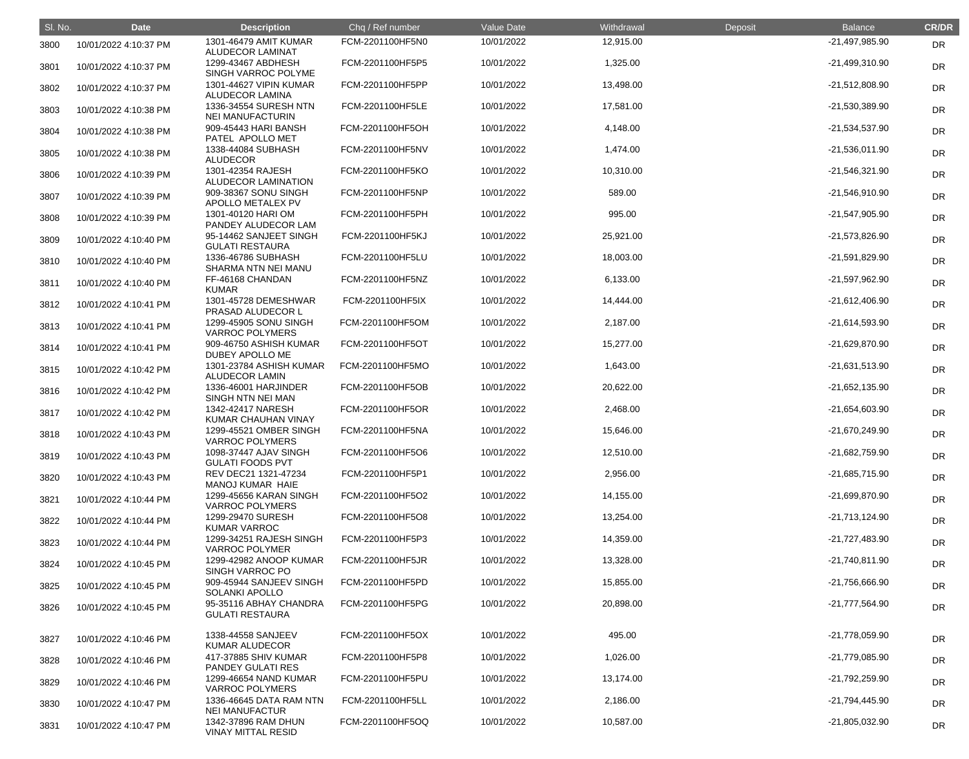| SI. No. | <b>Date</b>           | <b>Description</b>                               | Chq / Ref number | Value Date | Withdrawal | Deposit | <b>Balance</b>   | <b>CR/DR</b> |
|---------|-----------------------|--------------------------------------------------|------------------|------------|------------|---------|------------------|--------------|
| 3800    | 10/01/2022 4:10:37 PM | 1301-46479 AMIT KUMAR<br><b>ALUDECOR LAMINAT</b> | FCM-2201100HF5N0 | 10/01/2022 | 12,915.00  |         | -21,497,985.90   | DR           |
| 3801    | 10/01/2022 4:10:37 PM | 1299-43467 ABDHESH<br>SINGH VARROC POLYME        | FCM-2201100HF5P5 | 10/01/2022 | 1,325.00   |         | -21,499,310.90   | DR           |
| 3802    | 10/01/2022 4:10:37 PM | 1301-44627 VIPIN KUMAR<br><b>ALUDECOR LAMINA</b> | FCM-2201100HF5PP | 10/01/2022 | 13,498.00  |         | $-21,512,808.90$ | DR           |
| 3803    | 10/01/2022 4:10:38 PM | 1336-34554 SURESH NTN<br><b>NEI MANUFACTURIN</b> | FCM-2201100HF5LE | 10/01/2022 | 17,581.00  |         | -21,530,389.90   | DR           |
| 3804    | 10/01/2022 4:10:38 PM | 909-45443 HARI BANSH<br>PATEL APOLLO MET         | FCM-2201100HF5OH | 10/01/2022 | 4,148.00   |         | -21,534,537.90   | DR           |
| 3805    | 10/01/2022 4:10:38 PM | 1338-44084 SUBHASH<br><b>ALUDECOR</b>            | FCM-2201100HF5NV | 10/01/2022 | 1,474.00   |         | $-21,536,011.90$ | DR           |
| 3806    | 10/01/2022 4:10:39 PM | 1301-42354 RAJESH<br>ALUDECOR LAMINATION         | FCM-2201100HF5KO | 10/01/2022 | 10,310.00  |         | -21,546,321.90   | DR           |
| 3807    | 10/01/2022 4:10:39 PM | 909-38367 SONU SINGH<br>APOLLO METALEX PV        | FCM-2201100HF5NP | 10/01/2022 | 589.00     |         | -21,546,910.90   | DR           |
| 3808    | 10/01/2022 4:10:39 PM | 1301-40120 HARI OM<br>PANDEY ALUDECOR LAM        | FCM-2201100HF5PH | 10/01/2022 | 995.00     |         | -21,547,905.90   | DR           |
| 3809    | 10/01/2022 4:10:40 PM | 95-14462 SANJEET SINGH<br><b>GULATI RESTAURA</b> | FCM-2201100HF5KJ | 10/01/2022 | 25,921.00  |         | -21,573,826.90   | DR           |
| 3810    | 10/01/2022 4:10:40 PM | 1336-46786 SUBHASH<br>SHARMA NTN NEI MANU        | FCM-2201100HF5LU | 10/01/2022 | 18,003.00  |         | -21,591,829.90   | DR           |
| 3811    | 10/01/2022 4:10:40 PM | FF-46168 CHANDAN<br><b>KUMAR</b>                 | FCM-2201100HF5NZ | 10/01/2022 | 6,133.00   |         | -21,597,962.90   | DR           |
| 3812    | 10/01/2022 4:10:41 PM | 1301-45728 DEMESHWAR<br>PRASAD ALUDECOR L        | FCM-2201100HF5IX | 10/01/2022 | 14,444.00  |         | $-21,612,406.90$ | DR           |
| 3813    | 10/01/2022 4:10:41 PM | 1299-45905 SONU SINGH<br><b>VARROC POLYMERS</b>  | FCM-2201100HF5OM | 10/01/2022 | 2,187.00   |         | -21,614,593.90   | DR           |
| 3814    | 10/01/2022 4:10:41 PM | 909-46750 ASHISH KUMAR<br>DUBEY APOLLO ME        | FCM-2201100HF5OT | 10/01/2022 | 15,277.00  |         | -21,629,870.90   | DR           |
| 3815    | 10/01/2022 4:10:42 PM | 1301-23784 ASHISH KUMAR<br><b>ALUDECOR LAMIN</b> | FCM-2201100HF5MO | 10/01/2022 | 1,643.00   |         | -21,631,513.90   | DR           |
| 3816    | 10/01/2022 4:10:42 PM | 1336-46001 HARJINDER<br>SINGH NTN NEI MAN        | FCM-2201100HF5OB | 10/01/2022 | 20,622.00  |         | $-21,652,135.90$ | DR           |
| 3817    | 10/01/2022 4:10:42 PM | 1342-42417 NARESH<br>KUMAR CHAUHAN VINAY         | FCM-2201100HF5OR | 10/01/2022 | 2,468.00   |         | -21,654,603.90   | <b>DR</b>    |
| 3818    | 10/01/2022 4:10:43 PM | 1299-45521 OMBER SINGH<br><b>VARROC POLYMERS</b> | FCM-2201100HF5NA | 10/01/2022 | 15,646.00  |         | -21,670,249.90   | <b>DR</b>    |
| 3819    | 10/01/2022 4:10:43 PM | 1098-37447 AJAV SINGH<br><b>GULATI FOODS PVT</b> | FCM-2201100HF5O6 | 10/01/2022 | 12,510.00  |         | -21,682,759.90   | <b>DR</b>    |
| 3820    | 10/01/2022 4:10:43 PM | REV DEC21 1321-47234<br>MANOJ KUMAR HAIE         | FCM-2201100HF5P1 | 10/01/2022 | 2,956.00   |         | -21,685,715.90   | <b>DR</b>    |
| 3821    | 10/01/2022 4:10:44 PM | 1299-45656 KARAN SINGH<br><b>VARROC POLYMERS</b> | FCM-2201100HF5O2 | 10/01/2022 | 14,155.00  |         | -21,699,870.90   | <b>DR</b>    |
| 3822    | 10/01/2022 4:10:44 PM | 1299-29470 SURESH<br><b>KUMAR VARROC</b>         | FCM-2201100HF5O8 | 10/01/2022 | 13,254.00  |         | $-21,713,124.90$ | <b>DR</b>    |
| 3823    | 10/01/2022 4:10:44 PM | 1299-34251 RAJESH SINGH<br><b>VARROC POLYMER</b> | FCM-2201100HF5P3 | 10/01/2022 | 14,359.00  |         | -21,727,483.90   | <b>DR</b>    |
| 3824    | 10/01/2022 4:10:45 PM | 1299-42982 ANOOP KUMAR<br>SINGH VARROC PO        | FCM-2201100HF5JR | 10/01/2022 | 13,328.00  |         | -21,740,811.90   | <b>DR</b>    |
| 3825    | 10/01/2022 4:10:45 PM | 909-45944 SANJEEV SINGH<br><b>SOLANKI APOLLO</b> | FCM-2201100HF5PD | 10/01/2022 | 15,855.00  |         | -21,756,666.90   | <b>DR</b>    |
| 3826    | 10/01/2022 4:10:45 PM | 95-35116 ABHAY CHANDRA<br><b>GULATI RESTAURA</b> | FCM-2201100HF5PG | 10/01/2022 | 20,898.00  |         | -21,777,564.90   | <b>DR</b>    |
| 3827    | 10/01/2022 4:10:46 PM | 1338-44558 SANJEEV<br><b>KUMAR ALUDECOR</b>      | FCM-2201100HF5OX | 10/01/2022 | 495.00     |         | -21,778,059.90   | <b>DR</b>    |
| 3828    | 10/01/2022 4:10:46 PM | 417-37885 SHIV KUMAR<br>PANDEY GULATI RES        | FCM-2201100HF5P8 | 10/01/2022 | 1,026.00   |         | -21,779,085.90   | <b>DR</b>    |
| 3829    | 10/01/2022 4:10:46 PM | 1299-46654 NAND KUMAR<br><b>VARROC POLYMERS</b>  | FCM-2201100HF5PU | 10/01/2022 | 13,174.00  |         | -21,792,259.90   | <b>DR</b>    |
| 3830    | 10/01/2022 4:10:47 PM | 1336-46645 DATA RAM NTN<br><b>NEI MANUFACTUR</b> | FCM-2201100HF5LL | 10/01/2022 | 2,186.00   |         | -21,794,445.90   | <b>DR</b>    |
| 3831    | 10/01/2022 4:10:47 PM | 1342-37896 RAM DHUN<br><b>VINAY MITTAL RESID</b> | FCM-2201100HF5OQ | 10/01/2022 | 10,587.00  |         | -21,805,032.90   | <b>DR</b>    |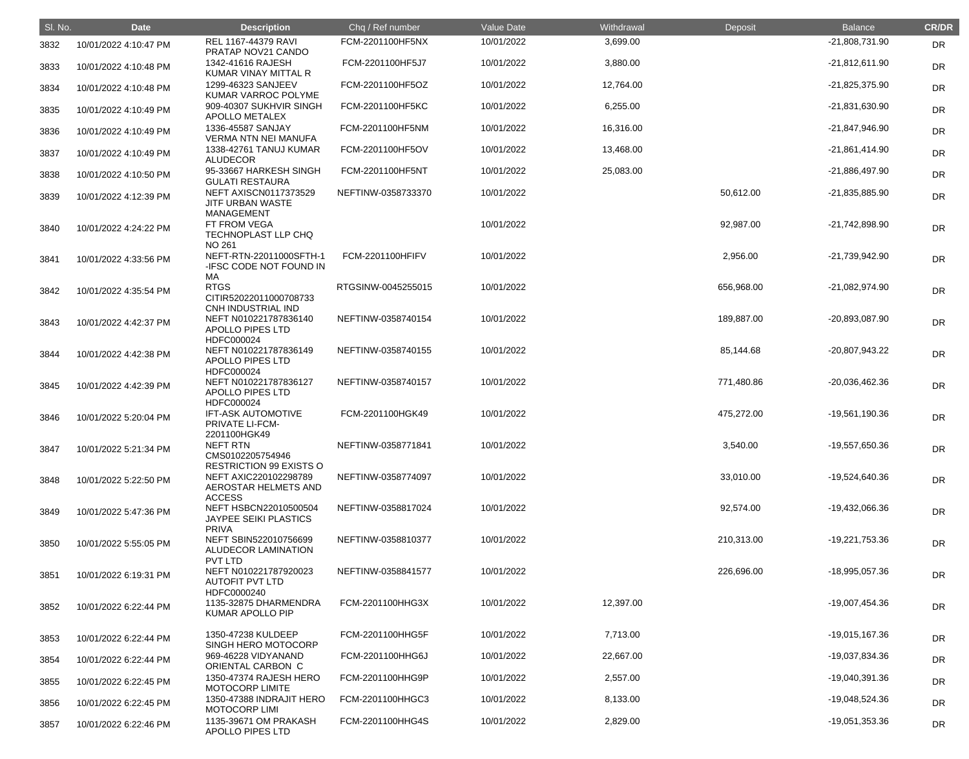| SI. No. | <b>Date</b>           | <b>Description</b>                                                                               | Chq / Ref number        | Value Date | Withdrawal | Deposit    | <b>Balance</b>   | <b>CR/DR</b> |
|---------|-----------------------|--------------------------------------------------------------------------------------------------|-------------------------|------------|------------|------------|------------------|--------------|
| 3832    | 10/01/2022 4:10:47 PM | <b>REL 1167-44379 RAVI</b><br>PRATAP NOV21 CANDO                                                 | FCM-2201100HF5NX        | 10/01/2022 | 3,699.00   |            | -21,808,731.90   | <b>DR</b>    |
| 3833    | 10/01/2022 4:10:48 PM | 1342-41616 RAJESH<br>KUMAR VINAY MITTAL R                                                        | FCM-2201100HF5J7        | 10/01/2022 | 3,880.00   |            | $-21,812,611.90$ | DR           |
| 3834    | 10/01/2022 4:10:48 PM | 1299-46323 SANJEEV<br>KUMAR VARROC POLYME                                                        | FCM-2201100HF5OZ        | 10/01/2022 | 12,764.00  |            | -21,825,375.90   | DR           |
| 3835    | 10/01/2022 4:10:49 PM | 909-40307 SUKHVIR SINGH<br>APOLLO METALEX                                                        | FCM-2201100HF5KC        | 10/01/2022 | 6,255.00   |            | -21,831,630.90   | DR           |
| 3836    | 10/01/2022 4:10:49 PM | 1336-45587 SANJAY<br><b>VERMA NTN NEI MANUFA</b>                                                 | FCM-2201100HF5NM        | 10/01/2022 | 16,316.00  |            | -21,847,946.90   | DR           |
| 3837    | 10/01/2022 4:10:49 PM | 1338-42761 TANUJ KUMAR<br><b>ALUDECOR</b>                                                        | FCM-2201100HF5OV        | 10/01/2022 | 13,468.00  |            | $-21,861,414.90$ | DR           |
| 3838    | 10/01/2022 4:10:50 PM | 95-33667 HARKESH SINGH<br><b>GULATI RESTAURA</b>                                                 | FCM-2201100HF5NT        | 10/01/2022 | 25,083.00  |            | -21,886,497.90   | DR           |
| 3839    | 10/01/2022 4:12:39 PM | <b>NEFT AXISCN0117373529</b><br><b>JITF URBAN WASTE</b><br><b>MANAGEMENT</b>                     | NEFTINW-0358733370      | 10/01/2022 |            | 50,612.00  | -21,835,885.90   | <b>DR</b>    |
| 3840    | 10/01/2022 4:24:22 PM | FT FROM VEGA<br>TECHNOPLAST LLP CHQ<br><b>NO 261</b>                                             |                         | 10/01/2022 |            | 92,987.00  | -21,742,898.90   | <b>DR</b>    |
| 3841    | 10/01/2022 4:33:56 PM | NEFT-RTN-22011000SFTH-1<br>-IFSC CODE NOT FOUND IN<br>МA                                         | <b>FCM-2201100HFIFV</b> | 10/01/2022 |            | 2,956.00   | -21,739,942.90   | <b>DR</b>    |
| 3842    | 10/01/2022 4:35:54 PM | <b>RTGS</b><br>CITIR52022011000708733<br>CNH INDUSTRIAL IND                                      | RTGSINW-0045255015      | 10/01/2022 |            | 656,968.00 | -21,082,974.90   | <b>DR</b>    |
| 3843    | 10/01/2022 4:42:37 PM | NEFT N010221787836140<br><b>APOLLO PIPES LTD</b>                                                 | NEFTINW-0358740154      | 10/01/2022 |            | 189,887.00 | -20,893,087.90   | <b>DR</b>    |
| 3844    | 10/01/2022 4:42:38 PM | HDFC000024<br>NEFT N010221787836149<br>APOLLO PIPES LTD                                          | NEFTINW-0358740155      | 10/01/2022 |            | 85,144.68  | -20,807,943.22   | <b>DR</b>    |
| 3845    | 10/01/2022 4:42:39 PM | HDFC000024<br>NEFT N010221787836127<br><b>APOLLO PIPES LTD</b>                                   | NEFTINW-0358740157      | 10/01/2022 |            | 771,480.86 | -20,036,462.36   | <b>DR</b>    |
| 3846    | 10/01/2022 5:20:04 PM | HDFC000024<br><b>IFT-ASK AUTOMOTIVE</b><br>PRIVATE LI-FCM-                                       | FCM-2201100HGK49        | 10/01/2022 |            | 475,272.00 | -19,561,190.36   | <b>DR</b>    |
| 3847    | 10/01/2022 5:21:34 PM | 2201100HGK49<br>NEFT RTN<br>CMS0102205754946                                                     | NEFTINW-0358771841      | 10/01/2022 |            | 3,540.00   | -19,557,650.36   | <b>DR</b>    |
| 3848    | 10/01/2022 5:22:50 PM | <b>RESTRICTION 99 EXISTS O</b><br>NEFT AXIC220102298789<br>AEROSTAR HELMETS AND<br><b>ACCESS</b> | NEFTINW-0358774097      | 10/01/2022 |            | 33,010.00  | -19,524,640.36   | <b>DR</b>    |
| 3849    | 10/01/2022 5:47:36 PM | NEFT HSBCN22010500504<br><b>JAYPEE SEIKI PLASTICS</b><br><b>PRIVA</b>                            | NEFTINW-0358817024      | 10/01/2022 |            | 92,574.00  | -19,432,066.36   | <b>DR</b>    |
| 3850    | 10/01/2022 5:55:05 PM | NEFT SBIN522010756699<br>ALUDECOR LAMINATION<br><b>PVT LTD</b>                                   | NEFTINW-0358810377      | 10/01/2022 |            | 210,313.00 | -19,221,753.36   | <b>DR</b>    |
| 3851    | 10/01/2022 6:19:31 PM | NEFT N010221787920023<br><b>AUTOFIT PVT LTD</b><br>HDFC0000240                                   | NEFTINW-0358841577      | 10/01/2022 |            | 226,696.00 | -18,995,057.36   | <b>DR</b>    |
| 3852    | 10/01/2022 6:22:44 PM | 1135-32875 DHARMENDRA<br>KUMAR APOLLO PIP                                                        | FCM-2201100HHG3X        | 10/01/2022 | 12,397.00  |            | -19,007,454.36   | <b>DR</b>    |
| 3853    | 10/01/2022 6:22:44 PM | 1350-47238 KULDEEP<br>SINGH HERO MOTOCORP                                                        | FCM-2201100HHG5F        | 10/01/2022 | 7,713.00   |            | -19,015,167.36   | DR           |
| 3854    | 10/01/2022 6:22:44 PM | 969-46228 VIDYANAND<br>ORIENTAL CARBON C                                                         | FCM-2201100HHG6J        | 10/01/2022 | 22,667.00  |            | -19,037,834.36   | DR           |
| 3855    | 10/01/2022 6:22:45 PM | 1350-47374 RAJESH HERO<br>MOTOCORP LIMITE                                                        | FCM-2201100HHG9P        | 10/01/2022 | 2,557.00   |            | -19,040,391.36   | <b>DR</b>    |
| 3856    | 10/01/2022 6:22:45 PM | 1350-47388 INDRAJIT HERO<br><b>MOTOCORP LIMI</b>                                                 | FCM-2201100HHGC3        | 10/01/2022 | 8,133.00   |            | -19,048,524.36   | <b>DR</b>    |
| 3857    | 10/01/2022 6:22:46 PM | 1135-39671 OM PRAKASH<br><b>APOLLO PIPES LTD</b>                                                 | FCM-2201100HHG4S        | 10/01/2022 | 2,829.00   |            | -19,051,353.36   | <b>DR</b>    |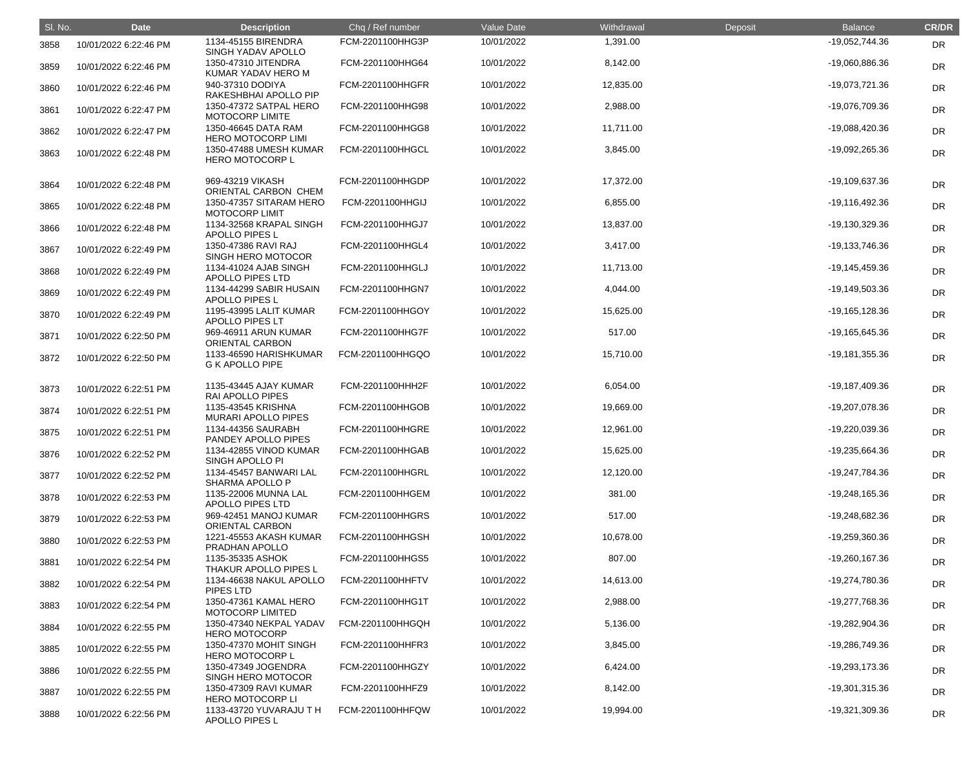| SI. No. | <b>Date</b>           | <b>Description</b>                               | Chq / Ref number        | Value Date | Withdrawal | Deposit | <b>Balance</b>   | <b>CR/DR</b> |
|---------|-----------------------|--------------------------------------------------|-------------------------|------------|------------|---------|------------------|--------------|
| 3858    | 10/01/2022 6:22:46 PM | 1134-45155 BIRENDRA<br>SINGH YADAV APOLLO        | FCM-2201100HHG3P        | 10/01/2022 | 1,391.00   |         | -19,052,744.36   | <b>DR</b>    |
| 3859    | 10/01/2022 6:22:46 PM | 1350-47310 JITENDRA<br>KUMAR YADAV HERO M        | FCM-2201100HHG64        | 10/01/2022 | 8,142.00   |         | -19,060,886.36   | <b>DR</b>    |
| 3860    | 10/01/2022 6:22:46 PM | 940-37310 DODIYA<br>RAKESHBHAI APOLLO PIP        | FCM-2201100HHGFR        | 10/01/2022 | 12,835.00  |         | -19,073,721.36   | <b>DR</b>    |
| 3861    | 10/01/2022 6:22:47 PM | 1350-47372 SATPAL HERO<br>MOTOCORP LIMITE        | FCM-2201100HHG98        | 10/01/2022 | 2,988.00   |         | -19,076,709.36   | <b>DR</b>    |
| 3862    | 10/01/2022 6:22:47 PM | 1350-46645 DATA RAM<br><b>HERO MOTOCORP LIMI</b> | FCM-2201100HHGG8        | 10/01/2022 | 11,711.00  |         | -19,088,420.36   | <b>DR</b>    |
| 3863    | 10/01/2022 6:22:48 PM | 1350-47488 UMESH KUMAR<br><b>HERO MOTOCORP L</b> | FCM-2201100HHGCL        | 10/01/2022 | 3,845.00   |         | -19,092,265.36   | <b>DR</b>    |
| 3864    | 10/01/2022 6:22:48 PM | 969-43219 VIKASH<br>ORIENTAL CARBON CHEM         | FCM-2201100HHGDP        | 10/01/2022 | 17,372.00  |         | -19,109,637.36   | DR           |
| 3865    | 10/01/2022 6:22:48 PM | 1350-47357 SITARAM HERO<br><b>MOTOCORP LIMIT</b> | <b>FCM-2201100HHGIJ</b> | 10/01/2022 | 6,855.00   |         | -19,116,492.36   | DR           |
| 3866    | 10/01/2022 6:22:48 PM | 1134-32568 KRAPAL SINGH<br>APOLLO PIPES L        | FCM-2201100HHGJ7        | 10/01/2022 | 13,837.00  |         | -19,130,329.36   | <b>DR</b>    |
| 3867    | 10/01/2022 6:22:49 PM | 1350-47386 RAVI RAJ<br>SINGH HERO MOTOCOR        | FCM-2201100HHGL4        | 10/01/2022 | 3,417.00   |         | -19,133,746.36   | <b>DR</b>    |
| 3868    | 10/01/2022 6:22:49 PM | 1134-41024 AJAB SINGH<br><b>APOLLO PIPES LTD</b> | FCM-2201100HHGLJ        | 10/01/2022 | 11,713.00  |         | -19,145,459.36   | DR           |
| 3869    | 10/01/2022 6:22:49 PM | 1134-44299 SABIR HUSAIN<br>APOLLO PIPES L        | FCM-2201100HHGN7        | 10/01/2022 | 4,044.00   |         | -19,149,503.36   | DR           |
| 3870    | 10/01/2022 6:22:49 PM | 1195-43995 LALIT KUMAR<br><b>APOLLO PIPES LT</b> | FCM-2201100HHGOY        | 10/01/2022 | 15,625.00  |         | $-19,165,128.36$ | <b>DR</b>    |
| 3871    | 10/01/2022 6:22:50 PM | 969-46911 ARUN KUMAR<br><b>ORIENTAL CARBON</b>   | FCM-2201100HHG7F        | 10/01/2022 | 517.00     |         | -19,165,645.36   | DR           |
| 3872    | 10/01/2022 6:22:50 PM | 1133-46590 HARISHKUMAR<br><b>G K APOLLO PIPE</b> | FCM-2201100HHGQO        | 10/01/2022 | 15,710.00  |         | -19,181,355.36   | DR           |
| 3873    | 10/01/2022 6:22:51 PM | 1135-43445 AJAY KUMAR<br><b>RAI APOLLO PIPES</b> | FCM-2201100HHH2F        | 10/01/2022 | 6,054.00   |         | -19,187,409.36   | DR           |
| 3874    | 10/01/2022 6:22:51 PM | 1135-43545 KRISHNA<br><b>MURARI APOLLO PIPES</b> | FCM-2201100HHGOB        | 10/01/2022 | 19,669.00  |         | -19,207,078.36   | <b>DR</b>    |
| 3875    | 10/01/2022 6:22:51 PM | 1134-44356 SAURABH<br>PANDEY APOLLO PIPES        | FCM-2201100HHGRE        | 10/01/2022 | 12,961.00  |         | -19,220,039.36   | <b>DR</b>    |
| 3876    | 10/01/2022 6:22:52 PM | 1134-42855 VINOD KUMAR<br>SINGH APOLLO PI        | FCM-2201100HHGAB        | 10/01/2022 | 15,625.00  |         | -19,235,664.36   | <b>DR</b>    |
| 3877    | 10/01/2022 6:22:52 PM | 1134-45457 BANWARI LAL<br>SHARMA APOLLO P        | FCM-2201100HHGRL        | 10/01/2022 | 12,120.00  |         | -19,247,784.36   | <b>DR</b>    |
| 3878    | 10/01/2022 6:22:53 PM | 1135-22006 MUNNA LAL<br><b>APOLLO PIPES LTD</b>  | FCM-2201100HHGEM        | 10/01/2022 | 381.00     |         | $-19,248,165.36$ | DR           |
| 3879    | 10/01/2022 6:22:53 PM | 969-42451 MANOJ KUMAR<br><b>ORIENTAL CARBON</b>  | FCM-2201100HHGRS        | 10/01/2022 | 517.00     |         | -19,248,682.36   | <b>DR</b>    |
| 3880    | 10/01/2022 6:22:53 PM | 1221-45553 AKASH KUMAR<br>PRADHAN APOLLO         | FCM-2201100HHGSH        | 10/01/2022 | 10,678.00  |         | -19,259,360.36   | <b>DR</b>    |
| 3881    | 10/01/2022 6:22:54 PM | 1135-35335 ASHOK<br>THAKUR APOLLO PIPES L        | FCM-2201100HHGS5        | 10/01/2022 | 807.00     |         | -19,260,167.36   | <b>DR</b>    |
| 3882    | 10/01/2022 6:22:54 PM | 1134-46638 NAKUL APOLLO<br>PIPES LTD             | <b>FCM-2201100HHFTV</b> | 10/01/2022 | 14,613.00  |         | -19,274,780.36   | <b>DR</b>    |
| 3883    | 10/01/2022 6:22:54 PM | 1350-47361 KAMAL HERO<br><b>MOTOCORP LIMITED</b> | FCM-2201100HHG1T        | 10/01/2022 | 2,988.00   |         | -19,277,768.36   | <b>DR</b>    |
| 3884    | 10/01/2022 6:22:55 PM | 1350-47340 NEKPAL YADAV<br><b>HERO MOTOCORP</b>  | FCM-2201100HHGQH        | 10/01/2022 | 5,136.00   |         | -19,282,904.36   | <b>DR</b>    |
| 3885    | 10/01/2022 6:22:55 PM | 1350-47370 MOHIT SINGH<br><b>HERO MOTOCORP L</b> | FCM-2201100HHFR3        | 10/01/2022 | 3,845.00   |         | -19,286,749.36   | <b>DR</b>    |
| 3886    | 10/01/2022 6:22:55 PM | 1350-47349 JOGENDRA<br>SINGH HERO MOTOCOR        | FCM-2201100HHGZY        | 10/01/2022 | 6,424.00   |         | -19,293,173.36   | <b>DR</b>    |
| 3887    | 10/01/2022 6:22:55 PM | 1350-47309 RAVI KUMAR<br><b>HERO MOTOCORP LI</b> | FCM-2201100HHFZ9        | 10/01/2022 | 8,142.00   |         | -19,301,315.36   | <b>DR</b>    |
| 3888    | 10/01/2022 6:22:56 PM | 1133-43720 YUVARAJU T H<br>APOLLO PIPES L        | FCM-2201100HHFQW        | 10/01/2022 | 19,994.00  |         | -19,321,309.36   | <b>DR</b>    |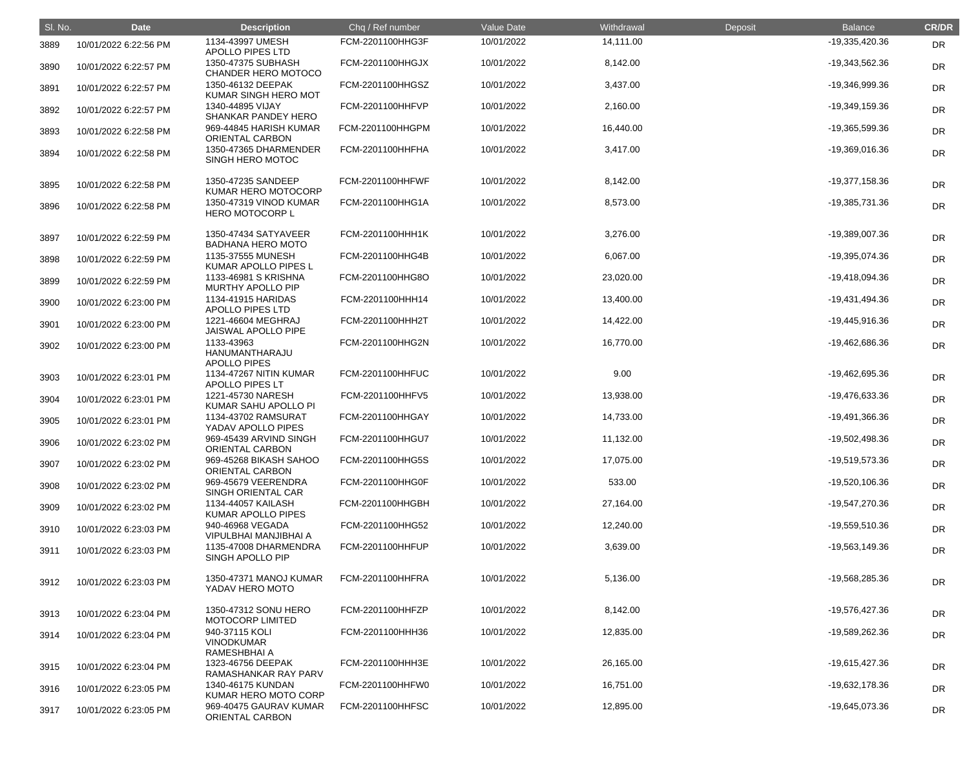| SI. No. | <b>Date</b>           | <b>Description</b>                                  | Chq / Ref number        | Value Date | Withdrawal | Deposit | <b>Balance</b>   | <b>CR/DR</b> |
|---------|-----------------------|-----------------------------------------------------|-------------------------|------------|------------|---------|------------------|--------------|
| 3889    | 10/01/2022 6:22:56 PM | 1134-43997 UMESH<br><b>APOLLO PIPES LTD</b>         | FCM-2201100HHG3F        | 10/01/2022 | 14,111.00  |         | -19,335,420.36   | <b>DR</b>    |
| 3890    | 10/01/2022 6:22:57 PM | 1350-47375 SUBHASH<br><b>CHANDER HERO MOTOCO</b>    | FCM-2201100HHGJX        | 10/01/2022 | 8,142.00   |         | -19,343,562.36   | DR           |
| 3891    | 10/01/2022 6:22:57 PM | 1350-46132 DEEPAK<br>KUMAR SINGH HERO MOT           | FCM-2201100HHGSZ        | 10/01/2022 | 3,437.00   |         | -19,346,999.36   | <b>DR</b>    |
| 3892    | 10/01/2022 6:22:57 PM | 1340-44895 VIJAY<br>SHANKAR PANDEY HERO             | FCM-2201100HHFVP        | 10/01/2022 | 2,160.00   |         | -19,349,159.36   | <b>DR</b>    |
| 3893    | 10/01/2022 6:22:58 PM | 969-44845 HARISH KUMAR<br>ORIENTAL CARBON           | FCM-2201100HHGPM        | 10/01/2022 | 16,440.00  |         | -19,365,599.36   | DR           |
| 3894    | 10/01/2022 6:22:58 PM | 1350-47365 DHARMENDER<br>SINGH HERO MOTOC           | FCM-2201100HHFHA        | 10/01/2022 | 3,417.00   |         | -19,369,016.36   | <b>DR</b>    |
| 3895    | 10/01/2022 6:22:58 PM | 1350-47235 SANDEEP<br>KUMAR HERO MOTOCORP           | <b>FCM-2201100HHFWF</b> | 10/01/2022 | 8,142.00   |         | -19,377,158.36   | <b>DR</b>    |
| 3896    | 10/01/2022 6:22:58 PM | 1350-47319 VINOD KUMAR<br>HERO MOTOCORP L           | FCM-2201100HHG1A        | 10/01/2022 | 8,573.00   |         | -19,385,731.36   | DR           |
| 3897    | 10/01/2022 6:22:59 PM | 1350-47434 SATYAVEER<br><b>BADHANA HERO MOTO</b>    | FCM-2201100HHH1K        | 10/01/2022 | 3,276.00   |         | -19,389,007.36   | DR           |
| 3898    | 10/01/2022 6:22:59 PM | 1135-37555 MUNESH<br>KUMAR APOLLO PIPES L           | FCM-2201100HHG4B        | 10/01/2022 | 6,067.00   |         | -19,395,074.36   | DR           |
| 3899    | 10/01/2022 6:22:59 PM | 1133-46981 S KRISHNA<br>MURTHY APOLLO PIP           | FCM-2201100HHG8O        | 10/01/2022 | 23,020.00  |         | -19,418,094.36   | <b>DR</b>    |
| 3900    | 10/01/2022 6:23:00 PM | 1134-41915 HARIDAS<br><b>APOLLO PIPES LTD</b>       | FCM-2201100HHH14        | 10/01/2022 | 13,400.00  |         | -19,431,494.36   | DR           |
| 3901    | 10/01/2022 6:23:00 PM | 1221-46604 MEGHRAJ<br>JAISWAL APOLLO PIPE           | FCM-2201100HHH2T        | 10/01/2022 | 14,422.00  |         | -19,445,916.36   | DR           |
| 3902    | 10/01/2022 6:23:00 PM | 1133-43963<br>HANUMANTHARAJU<br><b>APOLLO PIPES</b> | FCM-2201100HHG2N        | 10/01/2022 | 16,770.00  |         | -19,462,686.36   | <b>DR</b>    |
| 3903    | 10/01/2022 6:23:01 PM | 1134-47267 NITIN KUMAR<br><b>APOLLO PIPES LT</b>    | FCM-2201100HHFUC        | 10/01/2022 | 9.00       |         | -19,462,695.36   | <b>DR</b>    |
| 3904    | 10/01/2022 6:23:01 PM | 1221-45730 NARESH<br>KUMAR SAHU APOLLO PI           | FCM-2201100HHFV5        | 10/01/2022 | 13,938.00  |         | -19,476,633.36   | DR           |
| 3905    | 10/01/2022 6:23:01 PM | 1134-43702 RAMSURAT<br>YADAV APOLLO PIPES           | FCM-2201100HHGAY        | 10/01/2022 | 14,733.00  |         | -19,491,366.36   | <b>DR</b>    |
| 3906    | 10/01/2022 6:23:02 PM | 969-45439 ARVIND SINGH<br>ORIENTAL CARBON           | FCM-2201100HHGU7        | 10/01/2022 | 11,132.00  |         | -19,502,498.36   | <b>DR</b>    |
| 3907    | 10/01/2022 6:23:02 PM | 969-45268 BIKASH SAHOO<br>ORIENTAL CARBON           | FCM-2201100HHG5S        | 10/01/2022 | 17,075.00  |         | -19,519,573.36   | DR           |
| 3908    | 10/01/2022 6:23:02 PM | 969-45679 VEERENDRA<br>SINGH ORIENTAL CAR           | FCM-2201100HHG0F        | 10/01/2022 | 533.00     |         | -19,520,106.36   | DR           |
| 3909    | 10/01/2022 6:23:02 PM | 1134-44057 KAILASH<br>KUMAR APOLLO PIPES            | FCM-2201100HHGBH        | 10/01/2022 | 27,164.00  |         | -19,547,270.36   | DR           |
| 3910    | 10/01/2022 6:23:03 PM | 940-46968 VEGADA<br>VIPULBHAI MANJIBHAI A           | FCM-2201100HHG52        | 10/01/2022 | 12,240.00  |         | -19,559,510.36   | DR           |
| 3911    | 10/01/2022 6:23:03 PM | 1135-47008 DHARMENDRA<br>SINGH APOLLO PIP           | FCM-2201100HHFUP        | 10/01/2022 | 3,639.00   |         | $-19,563,149.36$ | DR           |
| 3912    | 10/01/2022 6:23:03 PM | 1350-47371 MANOJ KUMAR<br>YADAV HERO MOTO           | <b>FCM-2201100HHFRA</b> | 10/01/2022 | 5,136.00   |         | -19,568,285.36   | <b>DR</b>    |
| 3913    | 10/01/2022 6:23:04 PM | 1350-47312 SONU HERO<br><b>MOTOCORP LIMITED</b>     | FCM-2201100HHFZP        | 10/01/2022 | 8,142.00   |         | -19,576,427.36   | <b>DR</b>    |
| 3914    | 10/01/2022 6:23:04 PM | 940-37115 KOLI<br><b>VINODKUMAR</b><br>RAMESHBHAI A | FCM-2201100HHH36        | 10/01/2022 | 12,835.00  |         | -19,589,262.36   | <b>DR</b>    |
| 3915    | 10/01/2022 6:23:04 PM | 1323-46756 DEEPAK<br>RAMASHANKAR RAY PARV           | FCM-2201100HHH3E        | 10/01/2022 | 26,165.00  |         | -19,615,427.36   | DR           |
| 3916    | 10/01/2022 6:23:05 PM | 1340-46175 KUNDAN<br>KUMAR HERO MOTO CORP           | FCM-2201100HHFW0        | 10/01/2022 | 16,751.00  |         | -19,632,178.36   | DR           |
| 3917    | 10/01/2022 6:23:05 PM | 969-40475 GAURAV KUMAR<br>ORIENTAL CARBON           | FCM-2201100HHFSC        | 10/01/2022 | 12,895.00  |         | -19,645,073.36   | <b>DR</b>    |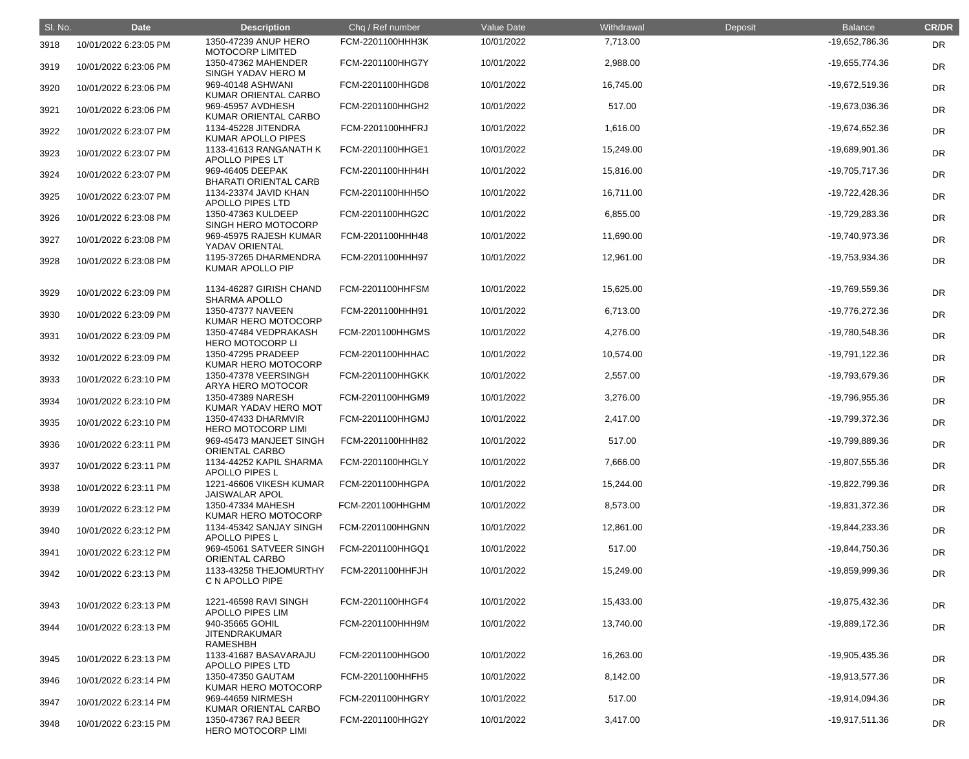| SI. No. | <b>Date</b>           | <b>Description</b>                                         | Chq / Ref number        | Value Date | Withdrawal | Deposit | <b>Balance</b>   | <b>CR/DR</b> |
|---------|-----------------------|------------------------------------------------------------|-------------------------|------------|------------|---------|------------------|--------------|
| 3918    | 10/01/2022 6:23:05 PM | 1350-47239 ANUP HERO<br><b>MOTOCORP LIMITED</b>            | FCM-2201100HHH3K        | 10/01/2022 | 7,713.00   |         | -19,652,786.36   | <b>DR</b>    |
| 3919    | 10/01/2022 6:23:06 PM | 1350-47362 MAHENDER<br>SINGH YADAV HERO M                  | FCM-2201100HHG7Y        | 10/01/2022 | 2,988.00   |         | -19,655,774.36   | DR           |
| 3920    | 10/01/2022 6:23:06 PM | 969-40148 ASHWANI<br>KUMAR ORIENTAL CARBO                  | FCM-2201100HHGD8        | 10/01/2022 | 16,745.00  |         | -19,672,519.36   | DR           |
| 3921    | 10/01/2022 6:23:06 PM | 969-45957 AVDHESH<br>KUMAR ORIENTAL CARBO                  | FCM-2201100HHGH2        | 10/01/2022 | 517.00     |         | -19,673,036.36   | DR           |
| 3922    | 10/01/2022 6:23:07 PM | 1134-45228 JITENDRA<br><b>KUMAR APOLLO PIPES</b>           | <b>FCM-2201100HHFRJ</b> | 10/01/2022 | 1,616.00   |         | -19,674,652.36   | DR           |
| 3923    | 10/01/2022 6:23:07 PM | 1133-41613 RANGANATH K<br><b>APOLLO PIPES LT</b>           | FCM-2201100HHGE1        | 10/01/2022 | 15,249.00  |         | -19,689,901.36   | DR           |
| 3924    | 10/01/2022 6:23:07 PM | 969-46405 DEEPAK<br><b>BHARATI ORIENTAL CARB</b>           | FCM-2201100HHH4H        | 10/01/2022 | 15,816.00  |         | -19,705,717.36   | DR           |
| 3925    | 10/01/2022 6:23:07 PM | 1134-23374 JAVID KHAN<br>APOLLO PIPES LTD                  | FCM-2201100HHH5O        | 10/01/2022 | 16,711.00  |         | -19,722,428.36   | DR           |
| 3926    | 10/01/2022 6:23:08 PM | 1350-47363 KULDEEP<br>SINGH HERO MOTOCORP                  | FCM-2201100HHG2C        | 10/01/2022 | 6,855.00   |         | -19,729,283.36   | DR           |
| 3927    | 10/01/2022 6:23:08 PM | 969-45975 RAJESH KUMAR<br>YADAV ORIENTAL                   | FCM-2201100HHH48        | 10/01/2022 | 11,690.00  |         | -19,740,973.36   | DR           |
| 3928    | 10/01/2022 6:23:08 PM | 1195-37265 DHARMENDRA<br>KUMAR APOLLO PIP                  | FCM-2201100HHH97        | 10/01/2022 | 12,961.00  |         | -19,753,934.36   | DR           |
| 3929    | 10/01/2022 6:23:09 PM | 1134-46287 GIRISH CHAND<br><b>SHARMA APOLLO</b>            | FCM-2201100HHFSM        | 10/01/2022 | 15,625.00  |         | -19,769,559.36   | DR           |
| 3930    | 10/01/2022 6:23:09 PM | 1350-47377 NAVEEN<br>KUMAR HERO MOTOCORP                   | FCM-2201100HHH91        | 10/01/2022 | 6,713.00   |         | -19,776,272.36   | DR           |
| 3931    | 10/01/2022 6:23:09 PM | 1350-47484 VEDPRAKASH<br><b>HERO MOTOCORP LI</b>           | FCM-2201100HHGMS        | 10/01/2022 | 4,276.00   |         | -19,780,548.36   | <b>DR</b>    |
| 3932    | 10/01/2022 6:23:09 PM | 1350-47295 PRADEEP<br>KUMAR HERO MOTOCORP                  | FCM-2201100HHHAC        | 10/01/2022 | 10,574.00  |         | -19,791,122.36   | DR           |
| 3933    | 10/01/2022 6:23:10 PM | 1350-47378 VEERSINGH<br>ARYA HERO MOTOCOR                  | <b>FCM-2201100HHGKK</b> | 10/01/2022 | 2,557.00   |         | -19,793,679.36   | DR           |
| 3934    | 10/01/2022 6:23:10 PM | 1350-47389 NARESH<br>KUMAR YADAV HERO MOT                  | FCM-2201100HHGM9        | 10/01/2022 | 3,276.00   |         | -19,796,955.36   | <b>DR</b>    |
| 3935    | 10/01/2022 6:23:10 PM | 1350-47433 DHARMVIR<br><b>HERO MOTOCORP LIMI</b>           | FCM-2201100HHGMJ        | 10/01/2022 | 2,417.00   |         | -19,799,372.36   | DR           |
| 3936    | 10/01/2022 6:23:11 PM | 969-45473 MANJEET SINGH<br><b>ORIENTAL CARBO</b>           | FCM-2201100HHH82        | 10/01/2022 | 517.00     |         | -19,799,889.36   | <b>DR</b>    |
| 3937    | 10/01/2022 6:23:11 PM | 1134-44252 KAPIL SHARMA<br><b>APOLLO PIPES L</b>           | FCM-2201100HHGLY        | 10/01/2022 | 7,666.00   |         | -19,807,555.36   | <b>DR</b>    |
| 3938    | 10/01/2022 6:23:11 PM | 1221-46606 VIKESH KUMAR<br><b>JAISWALAR APOL</b>           | FCM-2201100HHGPA        | 10/01/2022 | 15,244.00  |         | -19,822,799.36   | <b>DR</b>    |
| 3939    | 10/01/2022 6:23:12 PM | 1350-47334 MAHESH<br>KUMAR HERO MOTOCORP                   | FCM-2201100HHGHM        | 10/01/2022 | 8,573.00   |         | -19,831,372.36   | <b>DR</b>    |
| 3940    | 10/01/2022 6:23:12 PM | 1134-45342 SANJAY SINGH<br>APOLLO PIPES L                  | FCM-2201100HHGNN        | 10/01/2022 | 12,861.00  |         | -19,844,233.36   | <b>DR</b>    |
| 3941    | 10/01/2022 6:23:12 PM | 969-45061 SATVEER SINGH<br><b>ORIENTAL CARBO</b>           | FCM-2201100HHGQ1        | 10/01/2022 | 517.00     |         | -19,844,750.36   | <b>DR</b>    |
| 3942    | 10/01/2022 6:23:13 PM | 1133-43258 THEJOMURTHY<br>C N APOLLO PIPE                  | FCM-2201100HHFJH        | 10/01/2022 | 15,249.00  |         | -19,859,999.36   | <b>DR</b>    |
| 3943    | 10/01/2022 6:23:13 PM | 1221-46598 RAVI SINGH<br><b>APOLLO PIPES LIM</b>           | FCM-2201100HHGF4        | 10/01/2022 | 15,433.00  |         | -19,875,432.36   | <b>DR</b>    |
| 3944    | 10/01/2022 6:23:13 PM | 940-35665 GOHIL<br><b>JITENDRAKUMAR</b><br><b>RAMESHBH</b> | FCM-2201100HHH9M        | 10/01/2022 | 13,740.00  |         | -19,889,172.36   | <b>DR</b>    |
| 3945    | 10/01/2022 6:23:13 PM | 1133-41687 BASAVARAJU<br>APOLLO PIPES LTD                  | FCM-2201100HHGO0        | 10/01/2022 | 16,263.00  |         | -19,905,435.36   | <b>DR</b>    |
| 3946    | 10/01/2022 6:23:14 PM | 1350-47350 GAUTAM<br>KUMAR HERO MOTOCORP                   | FCM-2201100HHFH5        | 10/01/2022 | 8,142.00   |         | -19,913,577.36   | <b>DR</b>    |
| 3947    | 10/01/2022 6:23:14 PM | 969-44659 NIRMESH<br>KUMAR ORIENTAL CARBO                  | FCM-2201100HHGRY        | 10/01/2022 | 517.00     |         | -19,914,094.36   | <b>DR</b>    |
| 3948    | 10/01/2022 6:23:15 PM | 1350-47367 RAJ BEER<br><b>HERO MOTOCORP LIMI</b>           | FCM-2201100HHG2Y        | 10/01/2022 | 3,417.00   |         | $-19,917,511.36$ | <b>DR</b>    |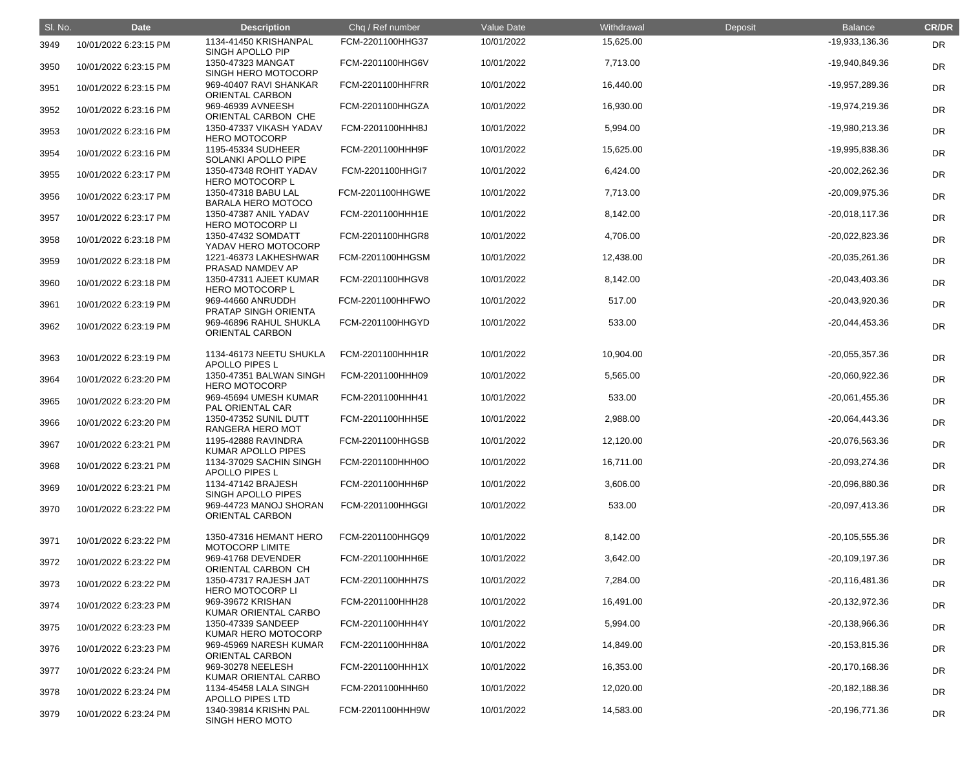| SI. No. | <b>Date</b>           | <b>Description</b>                               | Chq / Ref number        | <b>Value Date</b> | Withdrawal | Deposit | <b>Balance</b>     | <b>CR/DR</b> |
|---------|-----------------------|--------------------------------------------------|-------------------------|-------------------|------------|---------|--------------------|--------------|
| 3949    | 10/01/2022 6:23:15 PM | 1134-41450 KRISHANPAL<br>SINGH APOLLO PIP        | FCM-2201100HHG37        | 10/01/2022        | 15,625.00  |         | -19,933,136.36     | <b>DR</b>    |
| 3950    | 10/01/2022 6:23:15 PM | 1350-47323 MANGAT<br>SINGH HERO MOTOCORP         | FCM-2201100HHG6V        | 10/01/2022        | 7,713.00   |         | -19,940,849.36     | <b>DR</b>    |
| 3951    | 10/01/2022 6:23:15 PM | 969-40407 RAVI SHANKAR<br><b>ORIENTAL CARBON</b> | FCM-2201100HHFRR        | 10/01/2022        | 16,440.00  |         | -19,957,289.36     | <b>DR</b>    |
| 3952    | 10/01/2022 6:23:16 PM | 969-46939 AVNEESH<br>ORIENTAL CARBON CHE         | FCM-2201100HHGZA        | 10/01/2022        | 16,930.00  |         | -19,974,219.36     | <b>DR</b>    |
| 3953    | 10/01/2022 6:23:16 PM | 1350-47337 VIKASH YADAV<br><b>HERO MOTOCORP</b>  | FCM-2201100HHH8J        | 10/01/2022        | 5,994.00   |         | -19,980,213.36     | DR           |
| 3954    | 10/01/2022 6:23:16 PM | 1195-45334 SUDHEER<br>SOLANKI APOLLO PIPE        | FCM-2201100HHH9F        | 10/01/2022        | 15,625.00  |         | -19,995,838.36     | <b>DR</b>    |
| 3955    | 10/01/2022 6:23:17 PM | 1350-47348 ROHIT YADAV<br><b>HERO MOTOCORP L</b> | FCM-2201100HHGI7        | 10/01/2022        | 6,424.00   |         | $-20,002,262.36$   | <b>DR</b>    |
| 3956    | 10/01/2022 6:23:17 PM | 1350-47318 BABU LAL<br><b>BARALA HERO MOTOCO</b> | <b>FCM-2201100HHGWE</b> | 10/01/2022        | 7,713.00   |         | -20,009,975.36     | <b>DR</b>    |
| 3957    | 10/01/2022 6:23:17 PM | 1350-47387 ANIL YADAV<br><b>HERO MOTOCORP LI</b> | FCM-2201100HHH1E        | 10/01/2022        | 8,142.00   |         | $-20,018,117.36$   | DR           |
| 3958    | 10/01/2022 6:23:18 PM | 1350-47432 SOMDATT<br>YADAV HERO MOTOCORP        | FCM-2201100HHGR8        | 10/01/2022        | 4,706.00   |         | $-20,022,823.36$   | <b>DR</b>    |
| 3959    | 10/01/2022 6:23:18 PM | 1221-46373 LAKHESHWAR<br>PRASAD NAMDEV AP        | FCM-2201100HHGSM        | 10/01/2022        | 12,438.00  |         | $-20,035,261.36$   | <b>DR</b>    |
| 3960    | 10/01/2022 6:23:18 PM | 1350-47311 AJEET KUMAR<br><b>HERO MOTOCORP L</b> | FCM-2201100HHGV8        | 10/01/2022        | 8,142.00   |         | $-20,043,403.36$   | DR           |
| 3961    | 10/01/2022 6:23:19 PM | 969-44660 ANRUDDH<br>PRATAP SINGH ORIENTA        | FCM-2201100HHFWO        | 10/01/2022        | 517.00     |         | -20,043,920.36     | DR           |
| 3962    | 10/01/2022 6:23:19 PM | 969-46896 RAHUL SHUKLA<br>ORIENTAL CARBON        | FCM-2201100HHGYD        | 10/01/2022        | 533.00     |         | $-20,044,453.36$   | <b>DR</b>    |
| 3963    | 10/01/2022 6:23:19 PM | 1134-46173 NEETU SHUKLA<br>APOLLO PIPES L        | FCM-2201100HHH1R        | 10/01/2022        | 10,904.00  |         | $-20,055,357.36$   | DR           |
| 3964    | 10/01/2022 6:23:20 PM | 1350-47351 BALWAN SINGH<br><b>HERO MOTOCORP</b>  | FCM-2201100HHH09        | 10/01/2022        | 5,565.00   |         | -20,060,922.36     | DR           |
| 3965    | 10/01/2022 6:23:20 PM | 969-45694 UMESH KUMAR<br>PAL ORIENTAL CAR        | FCM-2201100HHH41        | 10/01/2022        | 533.00     |         | $-20,061,455.36$   | <b>DR</b>    |
| 3966    | 10/01/2022 6:23:20 PM | 1350-47352 SUNIL DUTT<br>RANGERA HERO MOT        | FCM-2201100HHH5E        | 10/01/2022        | 2,988.00   |         | $-20,064,443.36$   | DR           |
| 3967    | 10/01/2022 6:23:21 PM | 1195-42888 RAVINDRA<br>KUMAR APOLLO PIPES        | FCM-2201100HHGSB        | 10/01/2022        | 12,120.00  |         | -20,076,563.36     | <b>DR</b>    |
| 3968    | 10/01/2022 6:23:21 PM | 1134-37029 SACHIN SINGH<br>APOLLO PIPES L        | FCM-2201100HHH0O        | 10/01/2022        | 16,711.00  |         | -20,093,274.36     | <b>DR</b>    |
| 3969    | 10/01/2022 6:23:21 PM | 1134-47142 BRAJESH<br>SINGH APOLLO PIPES         | FCM-2201100HHH6P        | 10/01/2022        | 3,606.00   |         | -20,096,880.36     | <b>DR</b>    |
| 3970    | 10/01/2022 6:23:22 PM | 969-44723 MANOJ SHORAN<br>ORIENTAL CARBON        | FCM-2201100HHGGI        | 10/01/2022        | 533.00     |         | $-20,097,413.36$   | <b>DR</b>    |
| 3971    | 10/01/2022 6:23:22 PM | 1350-47316 HEMANT HERO<br>MOTOCORP LIMITE        | FCM-2201100HHGQ9        | 10/01/2022        | 8,142.00   |         | $-20, 105, 555.36$ | <b>DR</b>    |
| 3972    | 10/01/2022 6:23:22 PM | 969-41768 DEVENDER<br>ORIENTAL CARBON CH         | FCM-2201100HHH6E        | 10/01/2022        | 3,642.00   |         | $-20,109,197.36$   | DR           |
| 3973    | 10/01/2022 6:23:22 PM | 1350-47317 RAJESH JAT<br><b>HERO MOTOCORP LI</b> | FCM-2201100HHH7S        | 10/01/2022        | 7,284.00   |         | $-20,116,481.36$   | <b>DR</b>    |
| 3974    | 10/01/2022 6:23:23 PM | 969-39672 KRISHAN<br>KUMAR ORIENTAL CARBO        | FCM-2201100HHH28        | 10/01/2022        | 16,491.00  |         | $-20,132,972.36$   | <b>DR</b>    |
| 3975    | 10/01/2022 6:23:23 PM | 1350-47339 SANDEEP<br>KUMAR HERO MOTOCORP        | FCM-2201100HHH4Y        | 10/01/2022        | 5,994.00   |         | $-20,138,966.36$   | DR           |
| 3976    | 10/01/2022 6:23:23 PM | 969-45969 NARESH KUMAR<br><b>ORIENTAL CARBON</b> | FCM-2201100HHH8A        | 10/01/2022        | 14,849.00  |         | $-20, 153, 815.36$ | <b>DR</b>    |
| 3977    | 10/01/2022 6:23:24 PM | 969-30278 NEELESH<br>KUMAR ORIENTAL CARBO        | FCM-2201100HHH1X        | 10/01/2022        | 16,353.00  |         | $-20,170,168.36$   | <b>DR</b>    |
| 3978    | 10/01/2022 6:23:24 PM | 1134-45458 LALA SINGH<br><b>APOLLO PIPES LTD</b> | FCM-2201100HHH60        | 10/01/2022        | 12,020.00  |         | $-20,182,188.36$   | <b>DR</b>    |
| 3979    | 10/01/2022 6:23:24 PM | 1340-39814 KRISHN PAL<br><b>SINGH HERO MOTO</b>  | FCM-2201100HHH9W        | 10/01/2022        | 14,583.00  |         | $-20,196,771.36$   | <b>DR</b>    |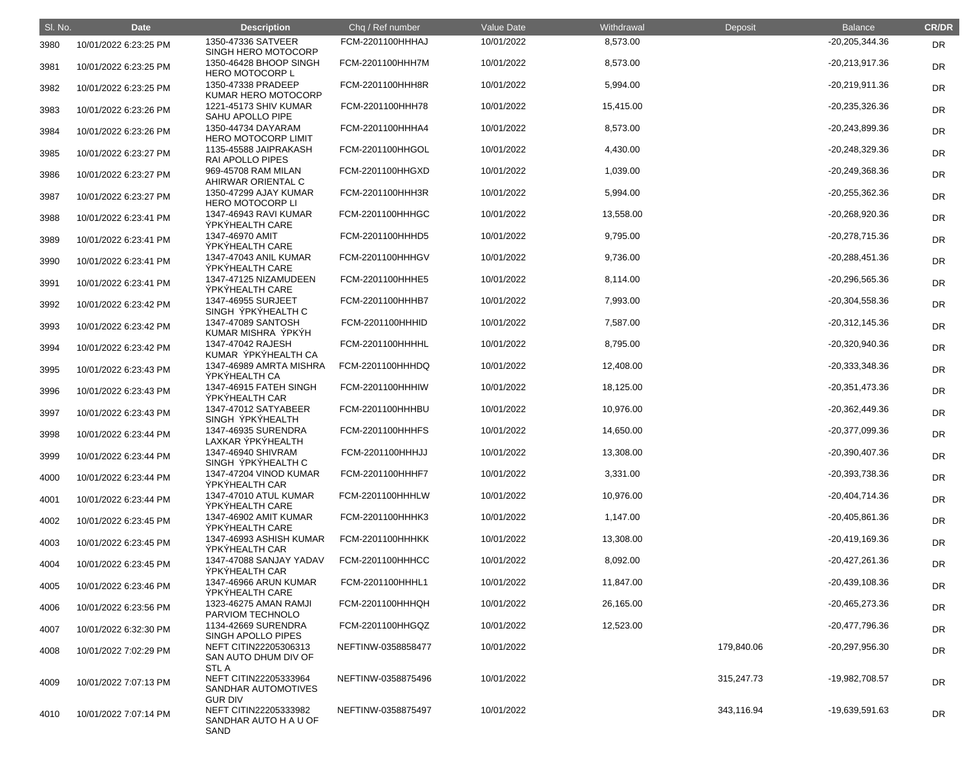| SI. No. | <b>Date</b>           | <b>Description</b>                                                            | Chq / Ref number        | <b>Value Date</b> | Withdrawal | <b>Deposit</b> | <b>Balance</b>   | <b>CR/DR</b> |
|---------|-----------------------|-------------------------------------------------------------------------------|-------------------------|-------------------|------------|----------------|------------------|--------------|
| 3980    | 10/01/2022 6:23:25 PM | 1350-47336 SATVEER<br>SINGH HERO MOTOCORP                                     | FCM-2201100HHHAJ        | 10/01/2022        | 8,573.00   |                | -20,205,344.36   | DR           |
| 3981    | 10/01/2022 6:23:25 PM | 1350-46428 BHOOP SINGH<br><b>HERO MOTOCORP L</b>                              | FCM-2201100HHH7M        | 10/01/2022        | 8,573.00   |                | $-20,213,917.36$ | <b>DR</b>    |
| 3982    | 10/01/2022 6:23:25 PM | 1350-47338 PRADEEP<br>KUMAR HERO MOTOCORP                                     | FCM-2201100HHH8R        | 10/01/2022        | 5,994.00   |                | $-20,219,911.36$ | <b>DR</b>    |
| 3983    | 10/01/2022 6:23:26 PM | 1221-45173 SHIV KUMAR<br>SAHU APOLLO PIPE                                     | FCM-2201100HHH78        | 10/01/2022        | 15,415.00  |                | $-20,235,326.36$ | <b>DR</b>    |
| 3984    | 10/01/2022 6:23:26 PM | 1350-44734 DAYARAM<br><b>HERO MOTOCORP LIMIT</b>                              | FCM-2201100HHHA4        | 10/01/2022        | 8,573.00   |                | -20,243,899.36   | <b>DR</b>    |
| 3985    | 10/01/2022 6:23:27 PM | 1135-45588 JAIPRAKASH<br><b>RAI APOLLO PIPES</b>                              | FCM-2201100HHGOL        | 10/01/2022        | 4,430.00   |                | -20,248,329.36   | <b>DR</b>    |
| 3986    | 10/01/2022 6:23:27 PM | 969-45708 RAM MILAN<br>AHIRWAR ORIENTAL C                                     | FCM-2201100HHGXD        | 10/01/2022        | 1,039.00   |                | -20,249,368.36   | <b>DR</b>    |
| 3987    | 10/01/2022 6:23:27 PM | 1350-47299 AJAY KUMAR<br><b>HERO MOTOCORP LI</b>                              | FCM-2201100HHH3R        | 10/01/2022        | 5,994.00   |                | $-20,255,362.36$ | <b>DR</b>    |
| 3988    | 10/01/2022 6:23:41 PM | 1347-46943 RAVI KUMAR<br><b>ÝPKÝHEALTH CARE</b>                               | <b>FCM-2201100HHHGC</b> | 10/01/2022        | 13,558.00  |                | -20,268,920.36   | <b>DR</b>    |
| 3989    | 10/01/2022 6:23:41 PM | 1347-46970 AMIT<br><b>ÝPKÝHEALTH CARE</b>                                     | FCM-2201100HHHD5        | 10/01/2022        | 9,795.00   |                | -20,278,715.36   | <b>DR</b>    |
| 3990    | 10/01/2022 6:23:41 PM | 1347-47043 ANIL KUMAR<br><b>ÝPKÝHEALTH CARE</b>                               | FCM-2201100HHHGV        | 10/01/2022        | 9,736.00   |                | $-20,288,451.36$ | <b>DR</b>    |
| 3991    | 10/01/2022 6:23:41 PM | 1347-47125 NIZAMUDEEN<br><b>ÝPKÝHEALTH CARE</b>                               | FCM-2201100HHHE5        | 10/01/2022        | 8,114.00   |                | -20,296,565.36   | <b>DR</b>    |
| 3992    | 10/01/2022 6:23:42 PM | 1347-46955 SURJEET<br>SINGH ÝPKÝHEALTH C                                      | FCM-2201100HHHB7        | 10/01/2022        | 7,993.00   |                | $-20,304,558.36$ | <b>DR</b>    |
| 3993    | 10/01/2022 6:23:42 PM | 1347-47089 SANTOSH<br>KUMAR MISHRA ÝPKÝH                                      | FCM-2201100HHHID        | 10/01/2022        | 7,587.00   |                | $-20,312,145.36$ | <b>DR</b>    |
| 3994    | 10/01/2022 6:23:42 PM | 1347-47042 RAJESH<br>KUMAR ÝPKÝHEALTH CA                                      | FCM-2201100HHHHL        | 10/01/2022        | 8,795.00   |                | -20,320,940.36   | <b>DR</b>    |
| 3995    | 10/01/2022 6:23:43 PM | 1347-46989 AMRTA MISHRA<br>ÝPKÝHEALTH CA                                      | FCM-2201100HHHDQ        | 10/01/2022        | 12,408.00  |                | $-20,333,348.36$ | <b>DR</b>    |
| 3996    | 10/01/2022 6:23:43 PM | 1347-46915 FATEH SINGH<br><b>ÝPKÝHEALTH CAR</b>                               | FCM-2201100HHHIW        | 10/01/2022        | 18,125.00  |                | $-20,351,473.36$ | <b>DR</b>    |
| 3997    | 10/01/2022 6:23:43 PM | 1347-47012 SATYABEER<br>SINGH YPKYHEALTH                                      | FCM-2201100HHHBU        | 10/01/2022        | 10,976.00  |                | $-20,362,449.36$ | <b>DR</b>    |
| 3998    | 10/01/2022 6:23:44 PM | 1347-46935 SURENDRA<br>LAXKAR ÝPKÝHEALTH                                      | FCM-2201100HHHFS        | 10/01/2022        | 14,650.00  |                | -20,377,099.36   | <b>DR</b>    |
| 3999    | 10/01/2022 6:23:44 PM | 1347-46940 SHIVRAM<br>SINGH ÝPKÝHEALTH C                                      | FCM-2201100HHHJJ        | 10/01/2022        | 13,308.00  |                | -20,390,407.36   | <b>DR</b>    |
| 4000    | 10/01/2022 6:23:44 PM | 1347-47204 VINOD KUMAR<br>ÝPKÝHEALTH CAR                                      | FCM-2201100HHHF7        | 10/01/2022        | 3,331.00   |                | -20,393,738.36   | <b>DR</b>    |
| 4001    | 10/01/2022 6:23:44 PM | 1347-47010 ATUL KUMAR<br><b>ÝPKÝHEALTH CARE</b>                               | FCM-2201100HHHLW        | 10/01/2022        | 10,976.00  |                | $-20,404,714.36$ | <b>DR</b>    |
| 4002    | 10/01/2022 6:23:45 PM | 1347-46902 AMIT KUMAR<br><b>ÝPKÝHEALTH CARE</b>                               | FCM-2201100HHHK3        | 10/01/2022        | 1,147.00   |                | -20,405,861.36   | <b>DR</b>    |
| 4003    | 10/01/2022 6:23:45 PM | 1347-46993 ASHISH KUMAR<br>ÝPKÝHEALTH CAR                                     | <b>FCM-2201100HHHKK</b> | 10/01/2022        | 13,308.00  |                | $-20,419,169.36$ | <b>DR</b>    |
| 4004    | 10/01/2022 6:23:45 PM | 1347-47088 SANJAY YADAV<br>ÝPKÝHEALTH CAR                                     | FCM-2201100HHHCC        | 10/01/2022        | 8,092.00   |                | $-20,427,261.36$ | <b>DR</b>    |
| 4005    | 10/01/2022 6:23:46 PM | 1347-46966 ARUN KUMAR<br><b>ÝPKÝHEALTH CARE</b>                               | FCM-2201100HHHL1        | 10/01/2022        | 11,847.00  |                | $-20,439,108.36$ | <b>DR</b>    |
| 4006    | 10/01/2022 6:23:56 PM | 1323-46275 AMAN RAMJI<br>PARVIOM TECHNOLO                                     | FCM-2201100HHHQH        | 10/01/2022        | 26,165.00  |                | -20,465,273.36   | <b>DR</b>    |
| 4007    | 10/01/2022 6:32:30 PM | 1134-42669 SURENDRA<br>SINGH APOLLO PIPES                                     | FCM-2201100HHGQZ        | 10/01/2022        | 12,523.00  |                | -20,477,796.36   | <b>DR</b>    |
| 4008    | 10/01/2022 7:02:29 PM | NEFT CITIN22205306313<br>SAN AUTO DHUM DIV OF                                 | NEFTINW-0358858477      | 10/01/2022        |            | 179,840.06     | -20,297,956.30   | <b>DR</b>    |
| 4009    | 10/01/2022 7:07:13 PM | <b>STLA</b><br>NEFT CITIN22205333964<br>SANDHAR AUTOMOTIVES<br><b>GUR DIV</b> | NEFTINW-0358875496      | 10/01/2022        |            | 315,247.73     | -19,982,708.57   | <b>DR</b>    |
| 4010    | 10/01/2022 7:07:14 PM | NEFT CITIN22205333982<br>SANDHAR AUTO H A U OF<br>SAND                        | NEFTINW-0358875497      | 10/01/2022        |            | 343,116.94     | -19,639,591.63   | DR           |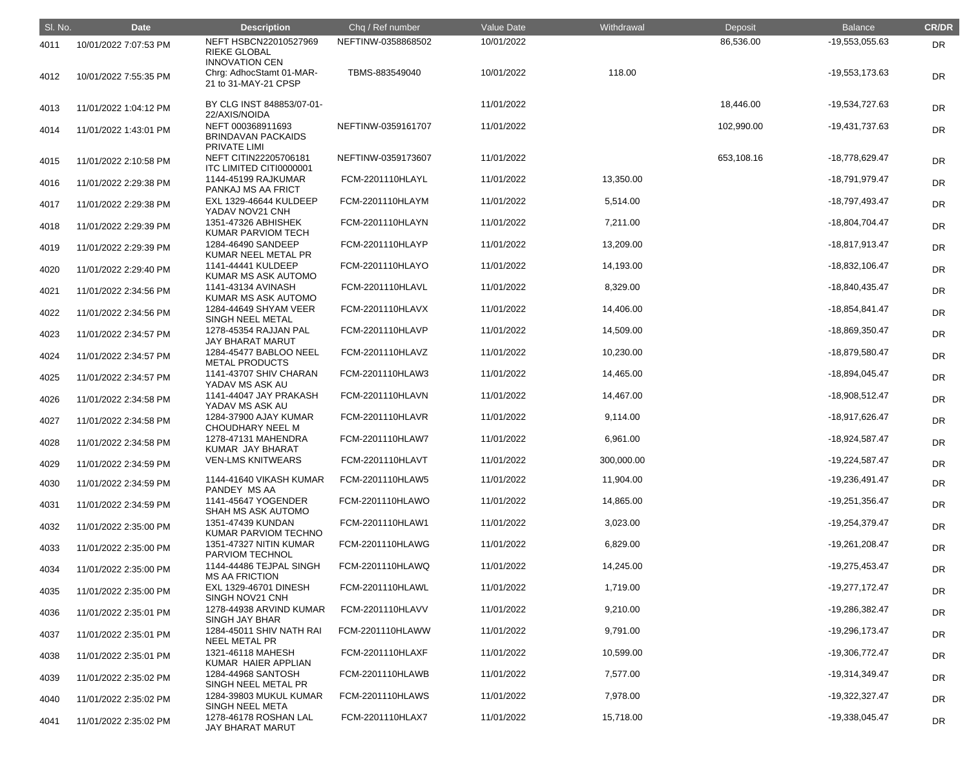| SI. No. | <b>Date</b>           | <b>Description</b>                                                        | Chq / Ref number        | Value Date | Withdrawal | Deposit    | <b>Balance</b>   | <b>CR/DR</b> |
|---------|-----------------------|---------------------------------------------------------------------------|-------------------------|------------|------------|------------|------------------|--------------|
| 4011    | 10/01/2022 7:07:53 PM | NEFT HSBCN22010527969<br><b>RIEKE GLOBAL</b>                              | NEFTINW-0358868502      | 10/01/2022 |            | 86,536.00  | -19,553,055.63   | <b>DR</b>    |
| 4012    | 10/01/2022 7:55:35 PM | <b>INNOVATION CEN</b><br>Chrg: AdhocStamt 01-MAR-<br>21 to 31-MAY-21 CPSP | TBMS-883549040          | 10/01/2022 | 118.00     |            | -19,553,173.63   | <b>DR</b>    |
| 4013    | 11/01/2022 1:04:12 PM | BY CLG INST 848853/07-01-<br>22/AXIS/NOIDA                                |                         | 11/01/2022 |            | 18,446.00  | -19,534,727.63   | <b>DR</b>    |
| 4014    | 11/01/2022 1:43:01 PM | NEFT 000368911693<br><b>BRINDAVAN PACKAIDS</b><br>PRIVATE LIMI            | NEFTINW-0359161707      | 11/01/2022 |            | 102,990.00 | -19,431,737.63   | <b>DR</b>    |
| 4015    | 11/01/2022 2:10:58 PM | NEFT CITIN22205706181<br>ITC LIMITED CITI0000001                          | NEFTINW-0359173607      | 11/01/2022 |            | 653,108.16 | -18,778,629.47   | <b>DR</b>    |
| 4016    | 11/01/2022 2:29:38 PM | 1144-45199 RAJKUMAR<br>PANKAJ MS AA FRICT                                 | FCM-2201110HLAYL        | 11/01/2022 | 13,350.00  |            | -18,791,979.47   | <b>DR</b>    |
| 4017    | 11/01/2022 2:29:38 PM | <b>EXL 1329-46644 KULDEEP</b><br>YADAV NOV21 CNH                          | FCM-2201110HLAYM        | 11/01/2022 | 5,514.00   |            | -18,797,493.47   | DR           |
| 4018    | 11/01/2022 2:29:39 PM | 1351-47326 ABHISHEK<br>KUMAR PARVIOM TECH                                 | FCM-2201110HLAYN        | 11/01/2022 | 7,211.00   |            | -18,804,704.47   | <b>DR</b>    |
| 4019    | 11/01/2022 2:29:39 PM | 1284-46490 SANDEEP<br>KUMAR NEEL METAL PR                                 | FCM-2201110HLAYP        | 11/01/2022 | 13,209.00  |            | -18,817,913.47   | <b>DR</b>    |
| 4020    | 11/01/2022 2:29:40 PM | 1141-44441 KULDEEP<br>KUMAR MS ASK AUTOMO                                 | FCM-2201110HLAYO        | 11/01/2022 | 14,193.00  |            | -18,832,106.47   | <b>DR</b>    |
| 4021    | 11/01/2022 2:34:56 PM | 1141-43134 AVINASH<br>KUMAR MS ASK AUTOMO                                 | FCM-2201110HLAVL        | 11/01/2022 | 8,329.00   |            | -18,840,435.47   | DR           |
| 4022    | 11/01/2022 2:34:56 PM | 1284-44649 SHYAM VEER<br>SINGH NEEL METAL                                 | FCM-2201110HLAVX        | 11/01/2022 | 14,406.00  |            | -18,854,841.47   | <b>DR</b>    |
| 4023    | 11/01/2022 2:34:57 PM | 1278-45354 RAJJAN PAL<br>JAY BHARAT MARUT                                 | FCM-2201110HLAVP        | 11/01/2022 | 14,509.00  |            | -18,869,350.47   | <b>DR</b>    |
| 4024    | 11/01/2022 2:34:57 PM | 1284-45477 BABLOO NEEL<br><b>METAL PRODUCTS</b>                           | FCM-2201110HLAVZ        | 11/01/2022 | 10,230.00  |            | -18,879,580.47   | DR           |
| 4025    | 11/01/2022 2:34:57 PM | 1141-43707 SHIV CHARAN<br>YADAV MS ASK AU                                 | FCM-2201110HLAW3        | 11/01/2022 | 14,465.00  |            | -18,894,045.47   | DR           |
| 4026    | 11/01/2022 2:34:58 PM | 1141-44047 JAY PRAKASH<br>YADAV MS ASK AU                                 | FCM-2201110HLAVN        | 11/01/2022 | 14,467.00  |            | -18,908,512.47   | <b>DR</b>    |
| 4027    | 11/01/2022 2:34:58 PM | 1284-37900 AJAY KUMAR<br>CHOUDHARY NEEL M                                 | <b>FCM-2201110HLAVR</b> | 11/01/2022 | 9,114.00   |            | -18,917,626.47   | <b>DR</b>    |
| 4028    | 11/01/2022 2:34:58 PM | 1278-47131 MAHENDRA<br>KUMAR JAY BHARAT                                   | FCM-2201110HLAW7        | 11/01/2022 | 6,961.00   |            | -18,924,587.47   | <b>DR</b>    |
| 4029    | 11/01/2022 2:34:59 PM | <b>VEN-LMS KNITWEARS</b>                                                  | FCM-2201110HLAVT        | 11/01/2022 | 300,000.00 |            | -19,224,587.47   | <b>DR</b>    |
| 4030    | 11/01/2022 2:34:59 PM | 1144-41640 VIKASH KUMAR<br>PANDEY MS AA                                   | FCM-2201110HLAW5        | 11/01/2022 | 11,904.00  |            | -19,236,491.47   | <b>DR</b>    |
| 4031    | 11/01/2022 2:34:59 PM | 1141-45647 YOGENDER<br>SHAH MS ASK AUTOMO                                 | FCM-2201110HLAWO        | 11/01/2022 | 14,865.00  |            | -19,251,356.47   | <b>DR</b>    |
| 4032    | 11/01/2022 2:35:00 PM | 1351-47439 KUNDAN<br>KUMAR PARVIOM TECHNO                                 | FCM-2201110HLAW1        | 11/01/2022 | 3,023.00   |            | -19,254,379.47   | <b>DR</b>    |
| 4033    | 11/01/2022 2:35:00 PM | 1351-47327 NITIN KUMAR<br>PARVIOM TECHNOL                                 | FCM-2201110HLAWG        | 11/01/2022 | 6,829.00   |            | -19,261,208.47   | <b>DR</b>    |
| 4034    | 11/01/2022 2:35:00 PM | 1144-44486 TEJPAL SINGH<br><b>MS AA FRICTION</b>                          | FCM-2201110HLAWQ        | 11/01/2022 | 14,245.00  |            | -19,275,453.47   | <b>DR</b>    |
| 4035    | 11/01/2022 2:35:00 PM | EXL 1329-46701 DINESH<br>SINGH NOV21 CNH                                  | <b>FCM-2201110HLAWL</b> | 11/01/2022 | 1,719.00   |            | $-19,277,172.47$ | <b>DR</b>    |
| 4036    | 11/01/2022 2:35:01 PM | 1278-44938 ARVIND KUMAR<br>SINGH JAY BHAR                                 | FCM-2201110HLAVV        | 11/01/2022 | 9,210.00   |            | -19,286,382.47   | <b>DR</b>    |
| 4037    | 11/01/2022 2:35:01 PM | 1284-45011 SHIV NATH RAI<br><b>NEEL METAL PR</b>                          | FCM-2201110HLAWW        | 11/01/2022 | 9,791.00   |            | -19,296,173.47   | <b>DR</b>    |
| 4038    | 11/01/2022 2:35:01 PM | 1321-46118 MAHESH<br>KUMAR HAIER APPLIAN                                  | <b>FCM-2201110HLAXF</b> | 11/01/2022 | 10,599.00  |            | -19,306,772.47   | <b>DR</b>    |
| 4039    | 11/01/2022 2:35:02 PM | 1284-44968 SANTOSH<br>SINGH NEEL METAL PR                                 | FCM-2201110HLAWB        | 11/01/2022 | 7,577.00   |            | -19,314,349.47   | <b>DR</b>    |
| 4040    | 11/01/2022 2:35:02 PM | 1284-39803 MUKUL KUMAR<br>SINGH NEEL META                                 | FCM-2201110HLAWS        | 11/01/2022 | 7,978.00   |            | -19,322,327.47   | <b>DR</b>    |
| 4041    | 11/01/2022 2:35:02 PM | 1278-46178 ROSHAN LAL<br>JAY BHARAT MARUT                                 | FCM-2201110HLAX7        | 11/01/2022 | 15,718.00  |            | -19,338,045.47   | <b>DR</b>    |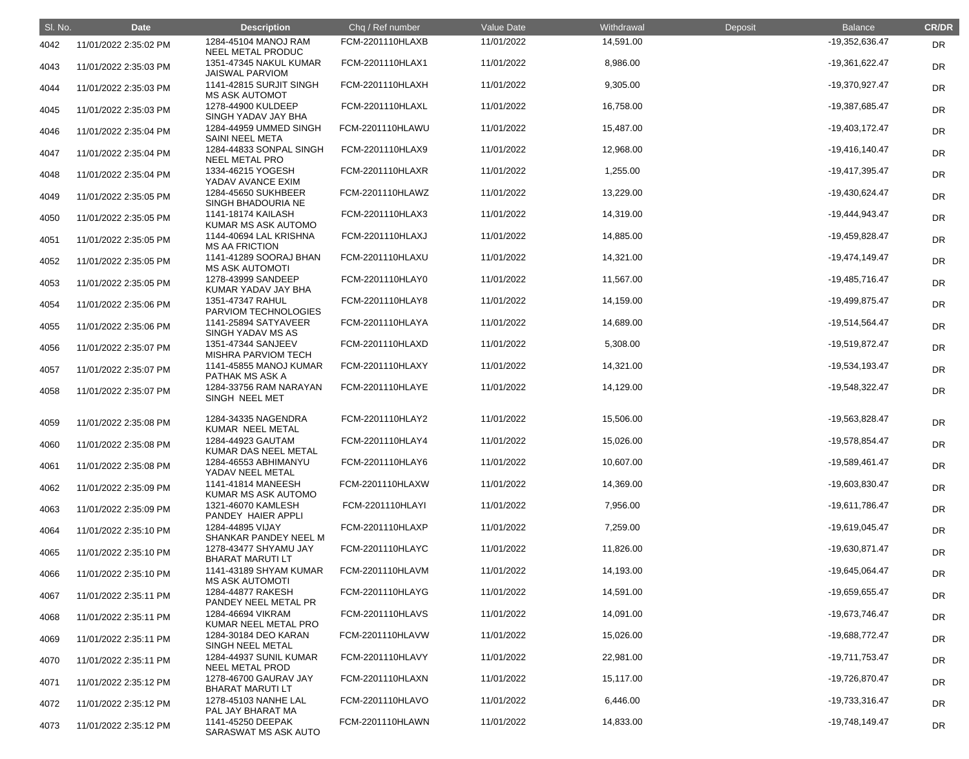| SI. No. | <b>Date</b>           | <b>Description</b>                               | Chq / Ref number        | Value Date | Withdrawal | Deposit | <b>Balance</b>   | <b>CR/DR</b> |
|---------|-----------------------|--------------------------------------------------|-------------------------|------------|------------|---------|------------------|--------------|
| 4042    | 11/01/2022 2:35:02 PM | 1284-45104 MANOJ RAM<br>NEEL METAL PRODUC        | FCM-2201110HLAXB        | 11/01/2022 | 14,591.00  |         | -19,352,636.47   | <b>DR</b>    |
| 4043    | 11/01/2022 2:35:03 PM | 1351-47345 NAKUL KUMAR<br><b>JAISWAL PARVIOM</b> | FCM-2201110HLAX1        | 11/01/2022 | 8,986.00   |         | -19,361,622.47   | <b>DR</b>    |
| 4044    | 11/01/2022 2:35:03 PM | 1141-42815 SURJIT SINGH<br><b>MS ASK AUTOMOT</b> | FCM-2201110HLAXH        | 11/01/2022 | 9,305.00   |         | -19,370,927.47   | <b>DR</b>    |
| 4045    | 11/01/2022 2:35:03 PM | 1278-44900 KULDEEP<br>SINGH YADAV JAY BHA        | FCM-2201110HLAXL        | 11/01/2022 | 16,758.00  |         | -19,387,685.47   | <b>DR</b>    |
| 4046    | 11/01/2022 2:35:04 PM | 1284-44959 UMMED SINGH<br><b>SAINI NEEL META</b> | FCM-2201110HLAWU        | 11/01/2022 | 15,487.00  |         | -19,403,172.47   | <b>DR</b>    |
| 4047    | 11/01/2022 2:35:04 PM | 1284-44833 SONPAL SINGH<br><b>NEEL METAL PRO</b> | FCM-2201110HLAX9        | 11/01/2022 | 12,968.00  |         | $-19,416,140.47$ | <b>DR</b>    |
| 4048    | 11/01/2022 2:35:04 PM | 1334-46215 YOGESH<br>YADAV AVANCE EXIM           | <b>FCM-2201110HLAXR</b> | 11/01/2022 | 1,255.00   |         | -19,417,395.47   | <b>DR</b>    |
| 4049    | 11/01/2022 2:35:05 PM | 1284-45650 SUKHBEER<br>SINGH BHADOURIA NE        | FCM-2201110HLAWZ        | 11/01/2022 | 13,229.00  |         | -19,430,624.47   | <b>DR</b>    |
| 4050    | 11/01/2022 2:35:05 PM | 1141-18174 KAILASH<br>KUMAR MS ASK AUTOMO        | FCM-2201110HLAX3        | 11/01/2022 | 14,319.00  |         | -19,444,943.47   | <b>DR</b>    |
| 4051    | 11/01/2022 2:35:05 PM | 1144-40694 LAL KRISHNA<br><b>MS AA FRICTION</b>  | FCM-2201110HLAXJ        | 11/01/2022 | 14,885.00  |         | -19,459,828.47   | <b>DR</b>    |
| 4052    | 11/01/2022 2:35:05 PM | 1141-41289 SOORAJ BHAN<br><b>MS ASK AUTOMOTI</b> | FCM-2201110HLAXU        | 11/01/2022 | 14,321.00  |         | -19,474,149.47   | <b>DR</b>    |
| 4053    | 11/01/2022 2:35:05 PM | 1278-43999 SANDEEP<br>KUMAR YADAV JAY BHA        | FCM-2201110HLAY0        | 11/01/2022 | 11,567.00  |         | -19,485,716.47   | <b>DR</b>    |
| 4054    | 11/01/2022 2:35:06 PM | 1351-47347 RAHUL<br>PARVIOM TECHNOLOGIES         | FCM-2201110HLAY8        | 11/01/2022 | 14,159.00  |         | -19,499,875.47   | <b>DR</b>    |
| 4055    | 11/01/2022 2:35:06 PM | 1141-25894 SATYAVEER<br>SINGH YADAV MS AS        | FCM-2201110HLAYA        | 11/01/2022 | 14,689.00  |         | -19,514,564.47   | <b>DR</b>    |
| 4056    | 11/01/2022 2:35:07 PM | 1351-47344 SANJEEV<br><b>MISHRA PARVIOM TECH</b> | FCM-2201110HLAXD        | 11/01/2022 | 5,308.00   |         | -19,519,872.47   | <b>DR</b>    |
| 4057    | 11/01/2022 2:35:07 PM | 1141-45855 MANOJ KUMAR<br>PATHAK MS ASK A        | FCM-2201110HLAXY        | 11/01/2022 | 14,321.00  |         | -19,534,193.47   | <b>DR</b>    |
| 4058    | 11/01/2022 2:35:07 PM | 1284-33756 RAM NARAYAN<br>SINGH NEEL MET         | FCM-2201110HLAYE        | 11/01/2022 | 14,129.00  |         | -19,548,322.47   | <b>DR</b>    |
| 4059    | 11/01/2022 2:35:08 PM | 1284-34335 NAGENDRA<br>KUMAR NEEL METAL          | FCM-2201110HLAY2        | 11/01/2022 | 15,506.00  |         | -19,563,828.47   | DR           |
| 4060    | 11/01/2022 2:35:08 PM | 1284-44923 GAUTAM<br>KUMAR DAS NEEL METAL        | FCM-2201110HLAY4        | 11/01/2022 | 15,026.00  |         | -19,578,854.47   | <b>DR</b>    |
| 4061    | 11/01/2022 2:35:08 PM | 1284-46553 ABHIMANYU<br>YADAV NEEL METAL         | FCM-2201110HLAY6        | 11/01/2022 | 10,607.00  |         | -19,589,461.47   | <b>DR</b>    |
| 4062    | 11/01/2022 2:35:09 PM | 1141-41814 MANEESH<br>KUMAR MS ASK AUTOMO        | FCM-2201110HLAXW        | 11/01/2022 | 14,369.00  |         | -19,603,830.47   | <b>DR</b>    |
| 4063    | 11/01/2022 2:35:09 PM | 1321-46070 KAMLESH<br>PANDEY HAIER APPLI         | FCM-2201110HLAYI        | 11/01/2022 | 7,956.00   |         | -19,611,786.47   | <b>DR</b>    |
| 4064    | 11/01/2022 2:35:10 PM | 1284-44895 VIJAY<br>SHANKAR PANDEY NEEL M        | FCM-2201110HLAXP        | 11/01/2022 | 7,259.00   |         | -19,619,045.47   | <b>DR</b>    |
| 4065    | 11/01/2022 2:35:10 PM | 1278-43477 SHYAMU JAY<br><b>BHARAT MARUTI LT</b> | FCM-2201110HLAYC        | 11/01/2022 | 11,826.00  |         | -19,630,871.47   | <b>DR</b>    |
| 4066    | 11/01/2022 2:35:10 PM | 1141-43189 SHYAM KUMAR<br><b>MS ASK AUTOMOTI</b> | FCM-2201110HLAVM        | 11/01/2022 | 14,193.00  |         | -19,645,064.47   | <b>DR</b>    |
| 4067    | 11/01/2022 2:35:11 PM | 1284-44877 RAKESH<br>PANDEY NEEL METAL PR        | FCM-2201110HLAYG        | 11/01/2022 | 14,591.00  |         | -19,659,655.47   | <b>DR</b>    |
| 4068    | 11/01/2022 2:35:11 PM | 1284-46694 VIKRAM<br>KUMAR NEEL METAL PRO        | FCM-2201110HLAVS        | 11/01/2022 | 14,091.00  |         | -19,673,746.47   | <b>DR</b>    |
| 4069    | 11/01/2022 2:35:11 PM | 1284-30184 DEO KARAN<br>SINGH NEEL METAL         | FCM-2201110HLAVW        | 11/01/2022 | 15,026.00  |         | -19,688,772.47   | <b>DR</b>    |
| 4070    | 11/01/2022 2:35:11 PM | 1284-44937 SUNIL KUMAR<br><b>NEEL METAL PROD</b> | FCM-2201110HLAVY        | 11/01/2022 | 22,981.00  |         | -19,711,753.47   | <b>DR</b>    |
| 4071    | 11/01/2022 2:35:12 PM | 1278-46700 GAURAV JAY<br><b>BHARAT MARUTI LT</b> | FCM-2201110HLAXN        | 11/01/2022 | 15,117.00  |         | -19,726,870.47   | <b>DR</b>    |
| 4072    | 11/01/2022 2:35:12 PM | 1278-45103 NANHE LAL<br>PAL JAY BHARAT MA        | FCM-2201110HLAVO        | 11/01/2022 | 6,446.00   |         | -19,733,316.47   | <b>DR</b>    |
| 4073    | 11/01/2022 2:35:12 PM | 1141-45250 DEEPAK<br>SARASWAT MS ASK AUTO        | FCM-2201110HLAWN        | 11/01/2022 | 14,833.00  |         | -19,748,149.47   | <b>DR</b>    |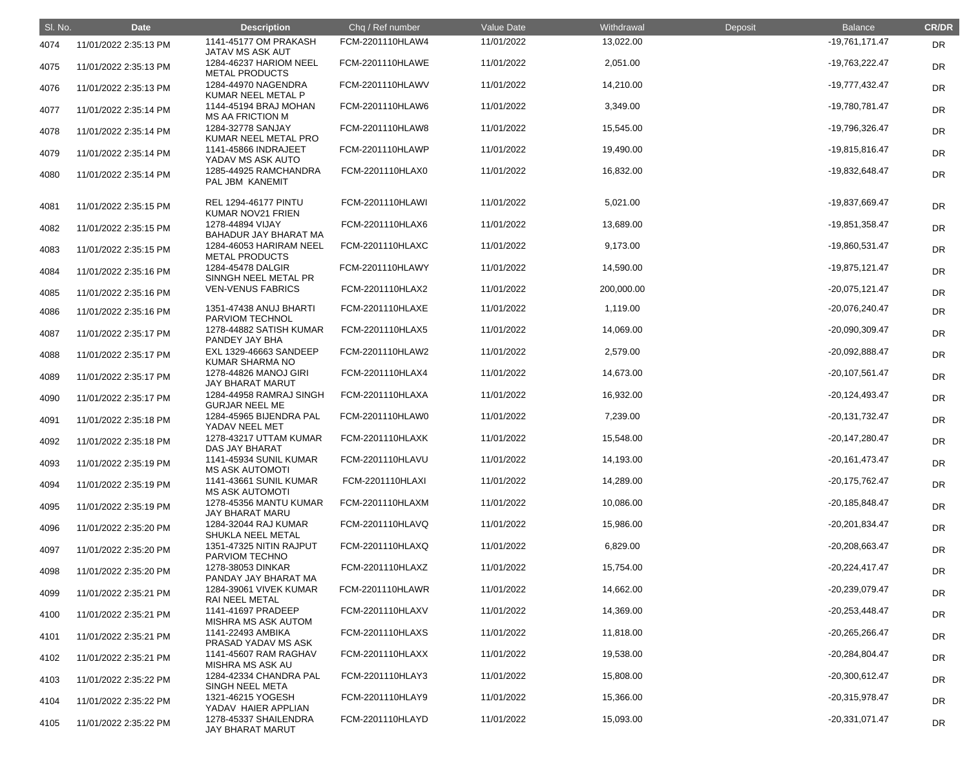| SI. No. | <b>Date</b>           | <b>Description</b>                                      | Chq / Ref number        | Value Date | Withdrawal | Deposit | <b>Balance</b>   | <b>CR/DR</b> |
|---------|-----------------------|---------------------------------------------------------|-------------------------|------------|------------|---------|------------------|--------------|
| 4074    | 11/01/2022 2:35:13 PM | 1141-45177 OM PRAKASH<br>JATAV MS ASK AUT               | FCM-2201110HLAW4        | 11/01/2022 | 13,022.00  |         | -19,761,171.47   | <b>DR</b>    |
| 4075    | 11/01/2022 2:35:13 PM | 1284-46237 HARIOM NEEL<br><b>METAL PRODUCTS</b>         | <b>FCM-2201110HLAWE</b> | 11/01/2022 | 2,051.00   |         | -19,763,222.47   | <b>DR</b>    |
| 4076    | 11/01/2022 2:35:13 PM | 1284-44970 NAGENDRA<br>KUMAR NEEL METAL P               | FCM-2201110HLAWV        | 11/01/2022 | 14,210.00  |         | -19,777,432.47   | <b>DR</b>    |
| 4077    | 11/01/2022 2:35:14 PM | 1144-45194 BRAJ MOHAN<br><b>MS AA FRICTION M</b>        | FCM-2201110HLAW6        | 11/01/2022 | 3,349.00   |         | -19,780,781.47   | <b>DR</b>    |
| 4078    | 11/01/2022 2:35:14 PM | 1284-32778 SANJAY<br>KUMAR NEEL METAL PRO               | FCM-2201110HLAW8        | 11/01/2022 | 15,545.00  |         | -19,796,326.47   | <b>DR</b>    |
| 4079    | 11/01/2022 2:35:14 PM | 1141-45866 INDRAJEET<br>YADAV MS ASK AUTO               | FCM-2201110HLAWP        | 11/01/2022 | 19,490.00  |         | -19,815,816.47   | <b>DR</b>    |
| 4080    | 11/01/2022 2:35:14 PM | 1285-44925 RAMCHANDRA<br>PAL JBM KANEMIT                | FCM-2201110HLAX0        | 11/01/2022 | 16,832.00  |         | -19,832,648.47   | <b>DR</b>    |
| 4081    | 11/01/2022 2:35:15 PM | <b>REL 1294-46177 PINTU</b><br>KUMAR NOV21 FRIEN        | FCM-2201110HLAWI        | 11/01/2022 | 5,021.00   |         | -19,837,669.47   | DR           |
| 4082    | 11/01/2022 2:35:15 PM | 1278-44894 VIJAY<br>BAHADUR JAY BHARAT MA               | FCM-2201110HLAX6        | 11/01/2022 | 13,689.00  |         | -19,851,358.47   | DR           |
| 4083    | 11/01/2022 2:35:15 PM | 1284-46053 HARIRAM NEEL<br><b>METAL PRODUCTS</b>        | FCM-2201110HLAXC        | 11/01/2022 | 9,173.00   |         | -19,860,531.47   | <b>DR</b>    |
| 4084    | 11/01/2022 2:35:16 PM | 1284-45478 DALGIR<br>SINNGH NEEL METAL PR               | FCM-2201110HLAWY        | 11/01/2022 | 14,590.00  |         | -19,875,121.47   | DR           |
| 4085    | 11/01/2022 2:35:16 PM | <b>VEN-VENUS FABRICS</b>                                | FCM-2201110HLAX2        | 11/01/2022 | 200,000.00 |         | $-20,075,121.47$ | DR           |
| 4086    | 11/01/2022 2:35:16 PM | 1351-47438 ANUJ BHARTI<br>PARVIOM TECHNOL               | FCM-2201110HLAXE        | 11/01/2022 | 1,119.00   |         | -20,076,240.47   | <b>DR</b>    |
| 4087    | 11/01/2022 2:35:17 PM | 1278-44882 SATISH KUMAR<br>PANDEY JAY BHA               | FCM-2201110HLAX5        | 11/01/2022 | 14,069.00  |         | -20,090,309.47   | DR           |
| 4088    | 11/01/2022 2:35:17 PM | <b>EXL 1329-46663 SANDEEP</b><br><b>KUMAR SHARMA NO</b> | FCM-2201110HLAW2        | 11/01/2022 | 2,579.00   |         | -20,092,888.47   | DR           |
| 4089    | 11/01/2022 2:35:17 PM | 1278-44826 MANOJ GIRI<br><b>JAY BHARAT MARUT</b>        | FCM-2201110HLAX4        | 11/01/2022 | 14,673.00  |         | $-20,107,561.47$ | <b>DR</b>    |
| 4090    | 11/01/2022 2:35:17 PM | 1284-44958 RAMRAJ SINGH<br><b>GURJAR NEEL ME</b>        | FCM-2201110HLAXA        | 11/01/2022 | 16,932.00  |         | $-20,124,493.47$ | <b>DR</b>    |
| 4091    | 11/01/2022 2:35:18 PM | 1284-45965 BIJENDRA PAL<br>YADAV NEEL MET               | FCM-2201110HLAW0        | 11/01/2022 | 7,239.00   |         | -20,131,732.47   | <b>DR</b>    |
| 4092    | 11/01/2022 2:35:18 PM | 1278-43217 UTTAM KUMAR<br>DAS JAY BHARAT                | FCM-2201110HLAXK        | 11/01/2022 | 15,548.00  |         | $-20,147,280.47$ | <b>DR</b>    |
| 4093    | 11/01/2022 2:35:19 PM | 1141-45934 SUNIL KUMAR<br><b>MS ASK AUTOMOTI</b>        | FCM-2201110HLAVU        | 11/01/2022 | 14,193.00  |         | $-20,161,473.47$ | DR           |
| 4094    | 11/01/2022 2:35:19 PM | 1141-43661 SUNIL KUMAR<br><b>MS ASK AUTOMOTI</b>        | FCM-2201110HLAXI        | 11/01/2022 | 14,289.00  |         | -20,175,762.47   | DR           |
| 4095    | 11/01/2022 2:35:19 PM | 1278-45356 MANTU KUMAR<br>JAY BHARAT MARU               | FCM-2201110HLAXM        | 11/01/2022 | 10,086.00  |         | -20,185,848.47   | <b>DR</b>    |
| 4096    | 11/01/2022 2:35:20 PM | 1284-32044 RAJ KUMAR<br>SHUKLA NEEL METAL               | FCM-2201110HLAVQ        | 11/01/2022 | 15,986.00  |         | -20,201,834.47   | DR           |
| 4097    | 11/01/2022 2:35:20 PM | 1351-47325 NITIN RAJPUT<br>PARVIOM TECHNO               | FCM-2201110HLAXQ        | 11/01/2022 | 6,829.00   |         | -20,208,663.47   | DR           |
| 4098    | 11/01/2022 2:35:20 PM | 1278-38053 DINKAR<br>PANDAY JAY BHARAT MA               | FCM-2201110HLAXZ        | 11/01/2022 | 15,754.00  |         | $-20,224,417.47$ | DR           |
| 4099    | 11/01/2022 2:35:21 PM | 1284-39061 VIVEK KUMAR<br>RAI NEEL METAL                | FCM-2201110HLAWR        | 11/01/2022 | 14,662.00  |         | -20,239,079.47   | DR           |
| 4100    | 11/01/2022 2:35:21 PM | 1141-41697 PRADEEP<br><b>MISHRA MS ASK AUTOM</b>        | FCM-2201110HLAXV        | 11/01/2022 | 14,369.00  |         | -20,253,448.47   | <b>DR</b>    |
| 4101    | 11/01/2022 2:35:21 PM | 1141-22493 AMBIKA<br>PRASAD YADAV MS ASK                | FCM-2201110HLAXS        | 11/01/2022 | 11,818.00  |         | -20,265,266.47   | DR           |
| 4102    | 11/01/2022 2:35:21 PM | 1141-45607 RAM RAGHAV<br>MISHRA MS ASK AU               | FCM-2201110HLAXX        | 11/01/2022 | 19,538.00  |         | $-20,284,804.47$ | DR           |
| 4103    | 11/01/2022 2:35:22 PM | 1284-42334 CHANDRA PAL<br>SINGH NEEL META               | FCM-2201110HLAY3        | 11/01/2022 | 15,808.00  |         | $-20,300,612.47$ | DR           |
| 4104    | 11/01/2022 2:35:22 PM | 1321-46215 YOGESH<br>YADAV HAIER APPLIAN                | FCM-2201110HLAY9        | 11/01/2022 | 15,366.00  |         | -20,315,978.47   | <b>DR</b>    |
| 4105    | 11/01/2022 2:35:22 PM | 1278-45337 SHAILENDRA<br><b>JAY BHARAT MARUT</b>        | FCM-2201110HLAYD        | 11/01/2022 | 15,093.00  |         | $-20,331,071.47$ | <b>DR</b>    |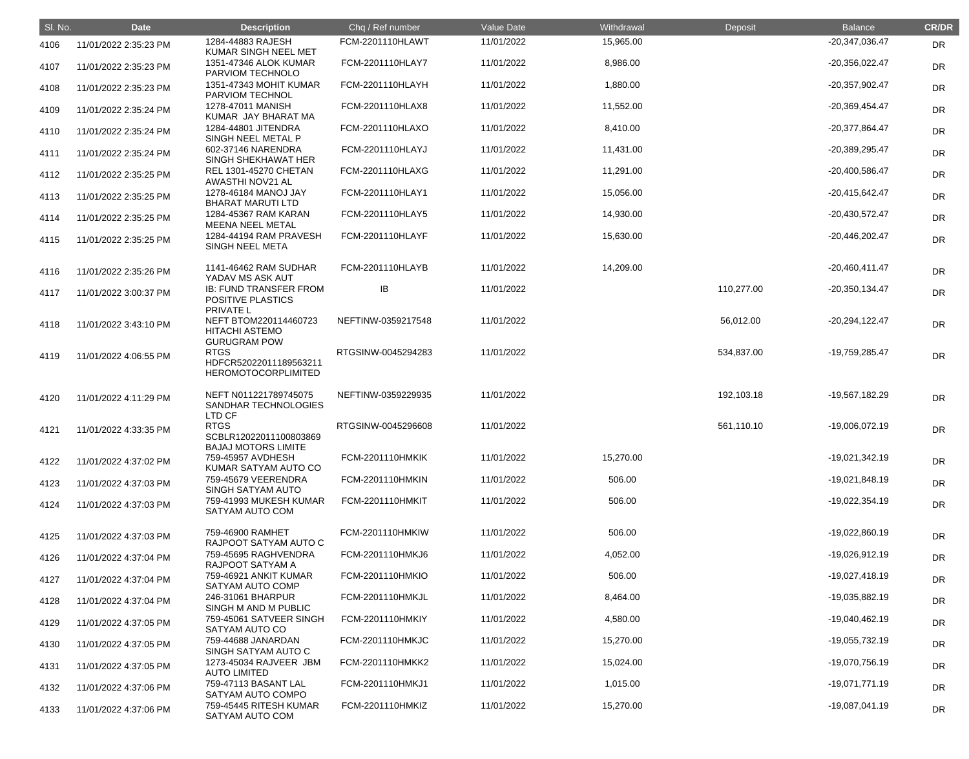| SI. No. | <b>Date</b>           | <b>Description</b>                                                       | Chq / Ref number        | Value Date | Withdrawal | Deposit    | <b>Balance</b>   | <b>CR/DR</b> |
|---------|-----------------------|--------------------------------------------------------------------------|-------------------------|------------|------------|------------|------------------|--------------|
| 4106    | 11/01/2022 2:35:23 PM | 1284-44883 RAJESH                                                        | <b>FCM-2201110HLAWT</b> | 11/01/2022 | 15,965.00  |            | -20,347,036.47   | <b>DR</b>    |
| 4107    | 11/01/2022 2:35:23 PM | <b>KUMAR SINGH NEEL MET</b><br>1351-47346 ALOK KUMAR<br>PARVIOM TECHNOLO | FCM-2201110HLAY7        | 11/01/2022 | 8,986.00   |            | $-20,356,022.47$ | <b>DR</b>    |
| 4108    | 11/01/2022 2:35:23 PM | 1351-47343 MOHIT KUMAR<br>PARVIOM TECHNOL                                | FCM-2201110HLAYH        | 11/01/2022 | 1,880.00   |            | -20,357,902.47   | <b>DR</b>    |
| 4109    | 11/01/2022 2:35:24 PM | 1278-47011 MANISH<br>KUMAR JAY BHARAT MA                                 | FCM-2201110HLAX8        | 11/01/2022 | 11,552.00  |            | -20,369,454.47   | <b>DR</b>    |
| 4110    | 11/01/2022 2:35:24 PM | 1284-44801 JITENDRA<br>SINGH NEEL METAL P                                | FCM-2201110HLAXO        | 11/01/2022 | 8,410.00   |            | -20,377,864.47   | DR           |
| 4111    | 11/01/2022 2:35:24 PM | 602-37146 NARENDRA<br>SINGH SHEKHAWAT HER                                | FCM-2201110HLAYJ        | 11/01/2022 | 11,431.00  |            | -20,389,295.47   | <b>DR</b>    |
| 4112    | 11/01/2022 2:35:25 PM | <b>REL 1301-45270 CHETAN</b><br>AWASTHI NOV21 AL                         | FCM-2201110HLAXG        | 11/01/2022 | 11,291.00  |            | -20,400,586.47   | <b>DR</b>    |
| 4113    | 11/01/2022 2:35:25 PM | 1278-46184 MANOJ JAY<br><b>BHARAT MARUTI LTD</b>                         | FCM-2201110HLAY1        | 11/01/2022 | 15,056.00  |            | $-20,415,642.47$ | <b>DR</b>    |
| 4114    | 11/01/2022 2:35:25 PM | 1284-45367 RAM KARAN<br>MEENA NEEL METAL                                 | FCM-2201110HLAY5        | 11/01/2022 | 14,930.00  |            | -20,430,572.47   | DR           |
| 4115    | 11/01/2022 2:35:25 PM | 1284-44194 RAM PRAVESH<br><b>SINGH NEEL META</b>                         | FCM-2201110HLAYF        | 11/01/2022 | 15,630.00  |            | $-20,446,202.47$ | <b>DR</b>    |
| 4116    | 11/01/2022 2:35:26 PM | 1141-46462 RAM SUDHAR<br>YADAV MS ASK AUT                                | FCM-2201110HLAYB        | 11/01/2022 | 14,209.00  |            | $-20,460,411.47$ | <b>DR</b>    |
| 4117    | 11/01/2022 3:00:37 PM | <b>IB: FUND TRANSFER FROM</b><br>POSITIVE PLASTICS<br>PRIVATE L          | IB                      | 11/01/2022 |            | 110,277.00 | $-20,350,134.47$ | <b>DR</b>    |
| 4118    | 11/01/2022 3:43:10 PM | NEFT BTOM220114460723<br><b>HITACHI ASTEMO</b><br><b>GURUGRAM POW</b>    | NEFTINW-0359217548      | 11/01/2022 |            | 56,012.00  | $-20,294,122.47$ | <b>DR</b>    |
| 4119    | 11/01/2022 4:06:55 PM | <b>RTGS</b><br>HDFCR52022011189563211<br><b>HEROMOTOCORPLIMITED</b>      | RTGSINW-0045294283      | 11/01/2022 |            | 534,837.00 | -19,759,285.47   | <b>DR</b>    |
| 4120    | 11/01/2022 4:11:29 PM | NEFT N011221789745075<br>SANDHAR TECHNOLOGIES<br>LTD CF                  | NEFTINW-0359229935      | 11/01/2022 |            | 192,103.18 | -19,567,182.29   | DR           |
| 4121    | 11/01/2022 4:33:35 PM | <b>RTGS</b><br>SCBLR12022011100803869<br><b>BAJAJ MOTORS LIMITE</b>      | RTGSINW-0045296608      | 11/01/2022 |            | 561,110.10 | -19,006,072.19   | <b>DR</b>    |
| 4122    | 11/01/2022 4:37:02 PM | 759-45957 AVDHESH<br>KUMAR SATYAM AUTO CO                                | <b>FCM-2201110HMKIK</b> | 11/01/2022 | 15,270.00  |            | $-19,021,342.19$ | <b>DR</b>    |
| 4123    | 11/01/2022 4:37:03 PM | 759-45679 VEERENDRA<br>SINGH SATYAM AUTO                                 | FCM-2201110HMKIN        | 11/01/2022 | 506.00     |            | -19,021,848.19   | DR           |
| 4124    | 11/01/2022 4:37:03 PM | 759-41993 MUKESH KUMAR<br>SATYAM AUTO COM                                | FCM-2201110HMKIT        | 11/01/2022 | 506.00     |            | -19,022,354.19   | <b>DR</b>    |
| 4125    | 11/01/2022 4:37:03 PM | 759-46900 RAMHET<br>RAJPOOT SATYAM AUTO C                                | FCM-2201110HMKIW        | 11/01/2022 | 506.00     |            | -19,022,860.19   | <b>DR</b>    |
| 4126    | 11/01/2022 4:37:04 PM | 759-45695 RAGHVENDRA<br>RAJPOOT SATYAM A                                 | FCM-2201110HMKJ6        | 11/01/2022 | 4,052.00   |            | -19,026,912.19   | <b>DR</b>    |
| 4127    | 11/01/2022 4:37:04 PM | 759-46921 ANKIT KUMAR<br>SATYAM AUTO COMP                                | FCM-2201110HMKIO        | 11/01/2022 | 506.00     |            | $-19,027,418.19$ | <b>DR</b>    |
| 4128    | 11/01/2022 4:37:04 PM | 246-31061 BHARPUR<br>SINGH M AND M PUBLIC                                | FCM-2201110HMKJL        | 11/01/2022 | 8,464.00   |            | -19,035,882.19   | DR           |
| 4129    | 11/01/2022 4:37:05 PM | 759-45061 SATVEER SINGH<br>SATYAM AUTO CO                                | FCM-2201110HMKIY        | 11/01/2022 | 4,580.00   |            | -19,040,462.19   | DR           |
| 4130    | 11/01/2022 4:37:05 PM | 759-44688 JANARDAN<br>SINGH SATYAM AUTO C                                | FCM-2201110HMKJC        | 11/01/2022 | 15,270.00  |            | -19,055,732.19   | <b>DR</b>    |
| 4131    | 11/01/2022 4:37:05 PM | 1273-45034 RAJVEER JBM<br><b>AUTO LIMITED</b>                            | FCM-2201110HMKK2        | 11/01/2022 | 15,024.00  |            | -19,070,756.19   | <b>DR</b>    |
| 4132    | 11/01/2022 4:37:06 PM | 759-47113 BASANT LAL<br>SATYAM AUTO COMPO                                | FCM-2201110HMKJ1        | 11/01/2022 | 1,015.00   |            | -19,071,771.19   | <b>DR</b>    |
| 4133    | 11/01/2022 4:37:06 PM | 759-45445 RITESH KUMAR<br>SATYAM AUTO COM                                | FCM-2201110HMKIZ        | 11/01/2022 | 15,270.00  |            | -19,087,041.19   | DR           |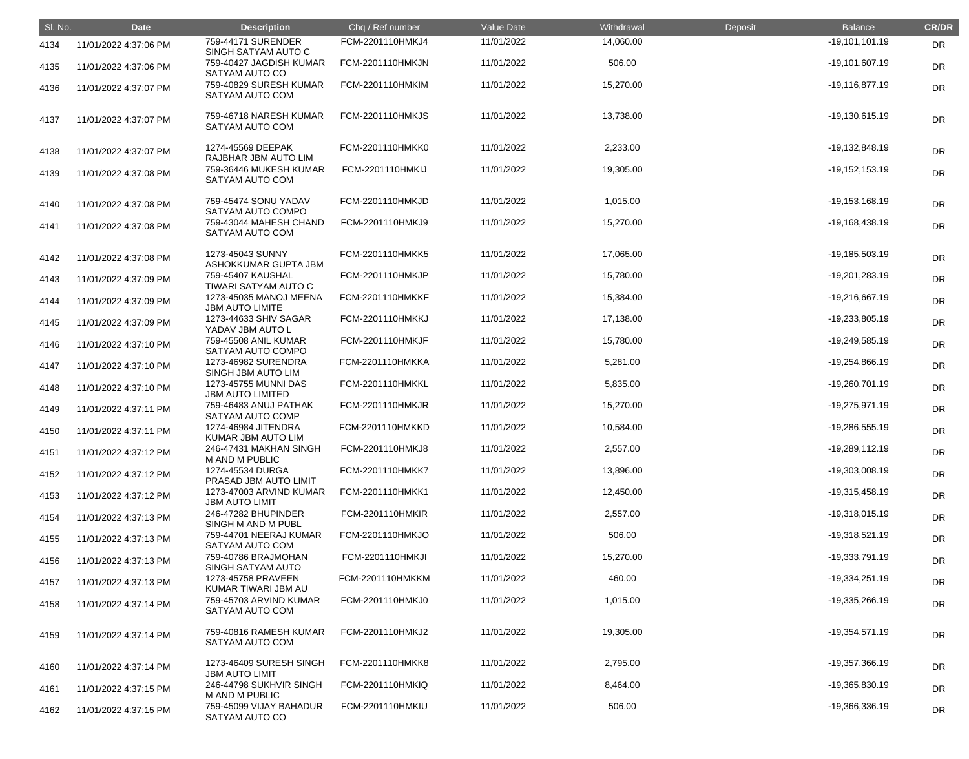| SI. No. | <b>Date</b>           | <b>Description</b>                               | Chq / Ref number        | Value Date | Withdrawal | Deposit | <b>Balance</b>   | <b>CR/DR</b> |
|---------|-----------------------|--------------------------------------------------|-------------------------|------------|------------|---------|------------------|--------------|
| 4134    | 11/01/2022 4:37:06 PM | 759-44171 SURENDER<br>SINGH SATYAM AUTO C        | FCM-2201110HMKJ4        | 11/01/2022 | 14,060.00  |         | $-19,101,101.19$ | DR           |
| 4135    | 11/01/2022 4:37:06 PM | 759-40427 JAGDISH KUMAR<br>SATYAM AUTO CO        | FCM-2201110HMKJN        | 11/01/2022 | 506.00     |         | $-19,101,607.19$ | <b>DR</b>    |
| 4136    | 11/01/2022 4:37:07 PM | 759-40829 SURESH KUMAR<br>SATYAM AUTO COM        | FCM-2201110HMKIM        | 11/01/2022 | 15,270.00  |         | $-19,116,877.19$ | <b>DR</b>    |
| 4137    | 11/01/2022 4:37:07 PM | 759-46718 NARESH KUMAR<br>SATYAM AUTO COM        | <b>FCM-2201110HMKJS</b> | 11/01/2022 | 13,738.00  |         | $-19,130,615.19$ | <b>DR</b>    |
| 4138    | 11/01/2022 4:37:07 PM | 1274-45569 DEEPAK<br>RAJBHAR JBM AUTO LIM        | FCM-2201110HMKK0        | 11/01/2022 | 2,233.00   |         | -19,132,848.19   | <b>DR</b>    |
| 4139    | 11/01/2022 4:37:08 PM | 759-36446 MUKESH KUMAR<br>SATYAM AUTO COM        | <b>FCM-2201110HMKIJ</b> | 11/01/2022 | 19,305.00  |         | $-19,152,153.19$ | <b>DR</b>    |
| 4140    | 11/01/2022 4:37:08 PM | 759-45474 SONU YADAV<br>SATYAM AUTO COMPO        | FCM-2201110HMKJD        | 11/01/2022 | 1,015.00   |         | $-19,153,168.19$ | <b>DR</b>    |
| 4141    | 11/01/2022 4:37:08 PM | 759-43044 MAHESH CHAND<br>SATYAM AUTO COM        | FCM-2201110HMKJ9        | 11/01/2022 | 15,270.00  |         | $-19,168,438.19$ | <b>DR</b>    |
| 4142    | 11/01/2022 4:37:08 PM | 1273-45043 SUNNY<br>ASHOKKUMAR GUPTA JBM         | FCM-2201110HMKK5        | 11/01/2022 | 17,065.00  |         | -19,185,503.19   | <b>DR</b>    |
| 4143    | 11/01/2022 4:37:09 PM | 759-45407 KAUSHAL<br>TIWARI SATYAM AUTO C        | FCM-2201110HMKJP        | 11/01/2022 | 15,780.00  |         | -19,201,283.19   | <b>DR</b>    |
| 4144    | 11/01/2022 4:37:09 PM | 1273-45035 MANOJ MEENA<br><b>JBM AUTO LIMITE</b> | FCM-2201110HMKKF        | 11/01/2022 | 15,384.00  |         | -19,216,667.19   | <b>DR</b>    |
| 4145    | 11/01/2022 4:37:09 PM | 1273-44633 SHIV SAGAR<br>YADAV JBM AUTO L        | <b>FCM-2201110HMKKJ</b> | 11/01/2022 | 17,138.00  |         | -19,233,805.19   | DR           |
| 4146    | 11/01/2022 4:37:10 PM | 759-45508 ANIL KUMAR<br>SATYAM AUTO COMPO        | FCM-2201110HMKJF        | 11/01/2022 | 15,780.00  |         | -19,249,585.19   | DR           |
| 4147    | 11/01/2022 4:37:10 PM | 1273-46982 SURENDRA<br>SINGH JBM AUTO LIM        | FCM-2201110HMKKA        | 11/01/2022 | 5,281.00   |         | -19,254,866.19   | <b>DR</b>    |
| 4148    | 11/01/2022 4:37:10 PM | 1273-45755 MUNNI DAS<br><b>JBM AUTO LIMITED</b>  | FCM-2201110HMKKL        | 11/01/2022 | 5,835.00   |         | -19,260,701.19   | <b>DR</b>    |
| 4149    | 11/01/2022 4:37:11 PM | 759-46483 ANUJ PATHAK<br>SATYAM AUTO COMP        | <b>FCM-2201110HMKJR</b> | 11/01/2022 | 15,270.00  |         | -19,275,971.19   | <b>DR</b>    |
| 4150    | 11/01/2022 4:37:11 PM | 1274-46984 JITENDRA<br>KUMAR JBM AUTO LIM        | FCM-2201110HMKKD        | 11/01/2022 | 10,584.00  |         | -19,286,555.19   | <b>DR</b>    |
| 4151    | 11/01/2022 4:37:12 PM | 246-47431 MAKHAN SINGH<br>M AND M PUBLIC         | FCM-2201110HMKJ8        | 11/01/2022 | 2,557.00   |         | $-19,289,112.19$ | <b>DR</b>    |
| 4152    | 11/01/2022 4:37:12 PM | 1274-45534 DURGA<br>PRASAD JBM AUTO LIMIT        | FCM-2201110HMKK7        | 11/01/2022 | 13,896.00  |         | -19,303,008.19   | <b>DR</b>    |
| 4153    | 11/01/2022 4:37:12 PM | 1273-47003 ARVIND KUMAR<br><b>JBM AUTO LIMIT</b> | FCM-2201110HMKK1        | 11/01/2022 | 12,450.00  |         | -19,315,458.19   | <b>DR</b>    |
| 4154    | 11/01/2022 4:37:13 PM | 246-47282 BHUPINDER<br>SINGH M AND M PUBL        | <b>FCM-2201110HMKIR</b> | 11/01/2022 | 2,557.00   |         | -19,318,015.19   | <b>DR</b>    |
| 4155    | 11/01/2022 4:37:13 PM | 759-44701 NEERAJ KUMAR<br>SATYAM AUTO COM        | FCM-2201110HMKJO        | 11/01/2022 | 506.00     |         | -19,318,521.19   | <b>DR</b>    |
| 4156    | 11/01/2022 4:37:13 PM | 759-40786 BRAJMOHAN<br>SINGH SATYAM AUTO         | <b>FCM-2201110HMKJI</b> | 11/01/2022 | 15,270.00  |         | -19,333,791.19   | <b>DR</b>    |
| 4157    | 11/01/2022 4:37:13 PM | 1273-45758 PRAVEEN<br>KUMAR TIWARI JBM AU        | FCM-2201110HMKKM        | 11/01/2022 | 460.00     |         | $-19,334,251.19$ | DR           |
| 4158    | 11/01/2022 4:37:14 PM | 759-45703 ARVIND KUMAR<br>SATYAM AUTO COM        | FCM-2201110HMKJ0        | 11/01/2022 | 1,015.00   |         | -19,335,266.19   | <b>DR</b>    |
| 4159    | 11/01/2022 4:37:14 PM | 759-40816 RAMESH KUMAR<br>SATYAM AUTO COM        | FCM-2201110HMKJ2        | 11/01/2022 | 19,305.00  |         | $-19,354,571.19$ | DR           |
| 4160    | 11/01/2022 4:37:14 PM | 1273-46409 SURESH SINGH<br><b>JBM AUTO LIMIT</b> | FCM-2201110HMKK8        | 11/01/2022 | 2,795.00   |         | -19,357,366.19   | DR           |
| 4161    | 11/01/2022 4:37:15 PM | 246-44798 SUKHVIR SINGH<br>M AND M PUBLIC        | FCM-2201110HMKIQ        | 11/01/2022 | 8,464.00   |         | -19,365,830.19   | DR           |
| 4162    | 11/01/2022 4:37:15 PM | 759-45099 VIJAY BAHADUR<br>SATYAM AUTO CO        | FCM-2201110HMKIU        | 11/01/2022 | 506.00     |         | -19,366,336.19   | DR           |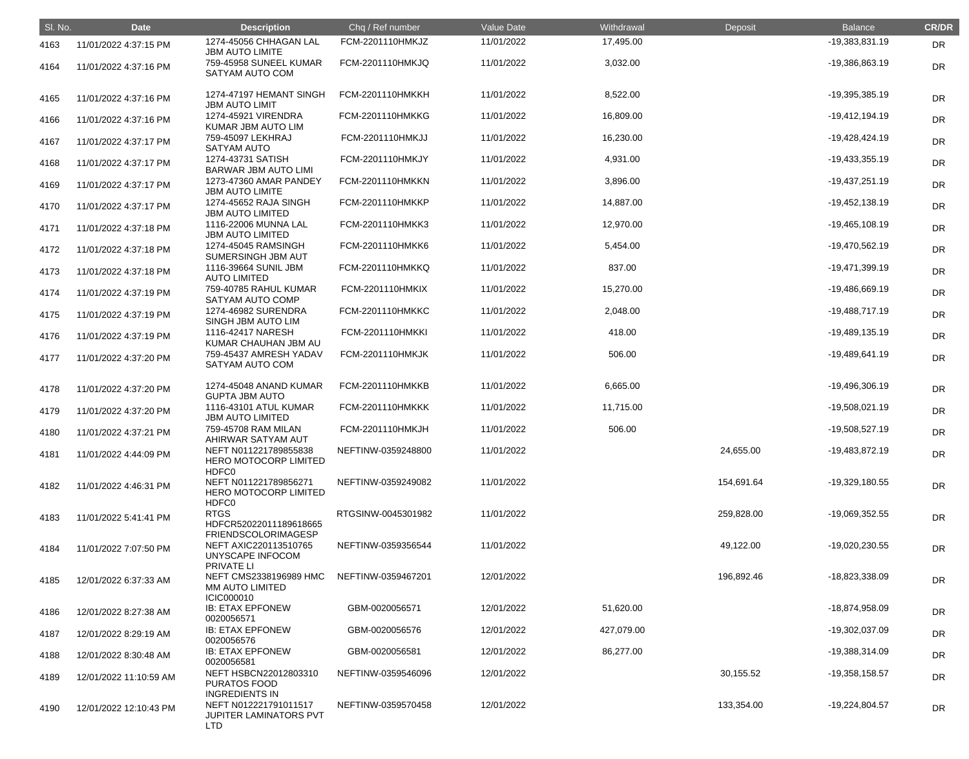| SI. No. | <b>Date</b>            | <b>Description</b>                                                                    | Chq / Ref number        | Value Date | Withdrawal | Deposit    | <b>Balance</b>   | <b>CR/DR</b> |
|---------|------------------------|---------------------------------------------------------------------------------------|-------------------------|------------|------------|------------|------------------|--------------|
| 4163    | 11/01/2022 4:37:15 PM  | 1274-45056 CHHAGAN LAL<br><b>JBM AUTO LIMITE</b>                                      | FCM-2201110HMKJZ        | 11/01/2022 | 17,495.00  |            | -19,383,831.19   | <b>DR</b>    |
| 4164    | 11/01/2022 4:37:16 PM  | 759-45958 SUNEEL KUMAR<br>SATYAM AUTO COM                                             | FCM-2201110HMKJQ        | 11/01/2022 | 3,032.00   |            | -19,386,863.19   | <b>DR</b>    |
| 4165    | 11/01/2022 4:37:16 PM  | 1274-47197 HEMANT SINGH<br><b>JBM AUTO LIMIT</b>                                      | FCM-2201110HMKKH        | 11/01/2022 | 8,522.00   |            | -19,395,385.19   | <b>DR</b>    |
| 4166    | 11/01/2022 4:37:16 PM  | 1274-45921 VIRENDRA<br>KUMAR JBM AUTO LIM                                             | <b>FCM-2201110HMKKG</b> | 11/01/2022 | 16,809.00  |            | $-19,412,194.19$ | <b>DR</b>    |
| 4167    | 11/01/2022 4:37:17 PM  | 759-45097 LEKHRAJ<br><b>SATYAM AUTO</b>                                               | FCM-2201110HMKJJ        | 11/01/2022 | 16,230.00  |            | -19,428,424.19   | DR           |
| 4168    | 11/01/2022 4:37:17 PM  | 1274-43731 SATISH<br><b>BARWAR JBM AUTO LIMI</b>                                      | FCM-2201110HMKJY        | 11/01/2022 | 4,931.00   |            | $-19,433,355.19$ | DR           |
| 4169    | 11/01/2022 4:37:17 PM  | 1273-47360 AMAR PANDEY<br><b>JBM AUTO LIMITE</b>                                      | FCM-2201110HMKKN        | 11/01/2022 | 3,896.00   |            | $-19,437,251.19$ | <b>DR</b>    |
| 4170    | 11/01/2022 4:37:17 PM  | 1274-45652 RAJA SINGH<br><b>JBM AUTO LIMITED</b>                                      | FCM-2201110HMKKP        | 11/01/2022 | 14,887.00  |            | $-19,452,138.19$ | <b>DR</b>    |
| 4171    | 11/01/2022 4:37:18 PM  | 1116-22006 MUNNA LAL<br><b>JBM AUTO LIMITED</b>                                       | FCM-2201110HMKK3        | 11/01/2022 | 12,970.00  |            | $-19,465,108.19$ | DR           |
| 4172    | 11/01/2022 4:37:18 PM  | 1274-45045 RAMSINGH<br>SUMERSINGH JBM AUT                                             | FCM-2201110HMKK6        | 11/01/2022 | 5,454.00   |            | -19,470,562.19   | DR           |
| 4173    | 11/01/2022 4:37:18 PM  | 1116-39664 SUNIL JBM<br><b>AUTO LIMITED</b>                                           | FCM-2201110HMKKQ        | 11/01/2022 | 837.00     |            | $-19,471,399.19$ | <b>DR</b>    |
| 4174    | 11/01/2022 4:37:19 PM  | 759-40785 RAHUL KUMAR<br>SATYAM AUTO COMP                                             | FCM-2201110HMKIX        | 11/01/2022 | 15,270.00  |            | -19,486,669.19   | <b>DR</b>    |
| 4175    | 11/01/2022 4:37:19 PM  | 1274-46982 SURENDRA<br>SINGH JBM AUTO LIM                                             | FCM-2201110HMKKC        | 11/01/2022 | 2,048.00   |            | -19,488,717.19   | DR           |
| 4176    | 11/01/2022 4:37:19 PM  | 1116-42417 NARESH<br>KUMAR CHAUHAN JBM AU                                             | FCM-2201110HMKKI        | 11/01/2022 | 418.00     |            | -19,489,135.19   | DR           |
| 4177    | 11/01/2022 4:37:20 PM  | 759-45437 AMRESH YADAV<br>SATYAM AUTO COM                                             | <b>FCM-2201110HMKJK</b> | 11/01/2022 | 506.00     |            | $-19,489,641.19$ | <b>DR</b>    |
| 4178    | 11/01/2022 4:37:20 PM  | 1274-45048 ANAND KUMAR<br><b>GUPTA JBM AUTO</b>                                       | FCM-2201110HMKKB        | 11/01/2022 | 6,665.00   |            | -19,496,306.19   | <b>DR</b>    |
| 4179    | 11/01/2022 4:37:20 PM  | 1116-43101 ATUL KUMAR<br><b>JBM AUTO LIMITED</b>                                      | <b>FCM-2201110HMKKK</b> | 11/01/2022 | 11,715.00  |            | -19,508,021.19   | DR           |
| 4180    | 11/01/2022 4:37:21 PM  | 759-45708 RAM MILAN<br>AHIRWAR SATYAM AUT                                             | FCM-2201110HMKJH        | 11/01/2022 | 506.00     |            | -19,508,527.19   | DR           |
| 4181    | 11/01/2022 4:44:09 PM  | NEFT N011221789855838<br>HERO MOTOCORP LIMITED                                        | NEFTINW-0359248800      | 11/01/2022 |            | 24,655.00  | -19,483,872.19   | <b>DR</b>    |
| 4182    | 11/01/2022 4:46:31 PM  | <b>HDFC0</b><br>NEFT N011221789856271<br><b>HERO MOTOCORP LIMITED</b><br>HDFC0        | NEFTINW-0359249082      | 11/01/2022 |            | 154,691.64 | -19,329,180.55   | <b>DR</b>    |
| 4183    | 11/01/2022 5:41:41 PM  | <b>RTGS</b><br>HDFCR52022011189618665                                                 | RTGSINW-0045301982      | 11/01/2022 |            | 259,828.00 | -19,069,352.55   | DR           |
| 4184    | 11/01/2022 7:07:50 PM  | FRIENDSCOLORIMAGESP<br>NEFT AXIC220113510765<br>UNYSCAPE INFOCOM<br><b>PRIVATE LI</b> | NEFTINW-0359356544      | 11/01/2022 |            | 49,122.00  | -19,020,230.55   | DR           |
| 4185    | 12/01/2022 6:37:33 AM  | NEFT CMS2338196989 HMC<br><b>MM AUTO LIMITED</b><br><b>ICIC000010</b>                 | NEFTINW-0359467201      | 12/01/2022 |            | 196,892.46 | -18,823,338.09   | <b>DR</b>    |
| 4186    | 12/01/2022 8:27:38 AM  | <b>IB: ETAX EPFONEW</b><br>0020056571                                                 | GBM-0020056571          | 12/01/2022 | 51,620.00  |            | -18,874,958.09   | <b>DR</b>    |
| 4187    | 12/01/2022 8:29:19 AM  | <b>IB: ETAX EPFONEW</b><br>0020056576                                                 | GBM-0020056576          | 12/01/2022 | 427,079.00 |            | -19,302,037.09   | DR           |
| 4188    | 12/01/2022 8:30:48 AM  | <b>IB: ETAX EPFONEW</b><br>0020056581                                                 | GBM-0020056581          | 12/01/2022 | 86,277.00  |            | -19,388,314.09   | DR           |
| 4189    | 12/01/2022 11:10:59 AM | NEFT HSBCN22012803310<br><b>PURATOS FOOD</b><br><b>INGREDIENTS IN</b>                 | NEFTINW-0359546096      | 12/01/2022 |            | 30,155.52  | -19,358,158.57   | DR           |
| 4190    | 12/01/2022 12:10:43 PM | NEFT N012221791011517<br>JUPITER LAMINATORS PVT<br><b>LTD</b>                         | NEFTINW-0359570458      | 12/01/2022 |            | 133,354.00 | -19,224,804.57   | <b>DR</b>    |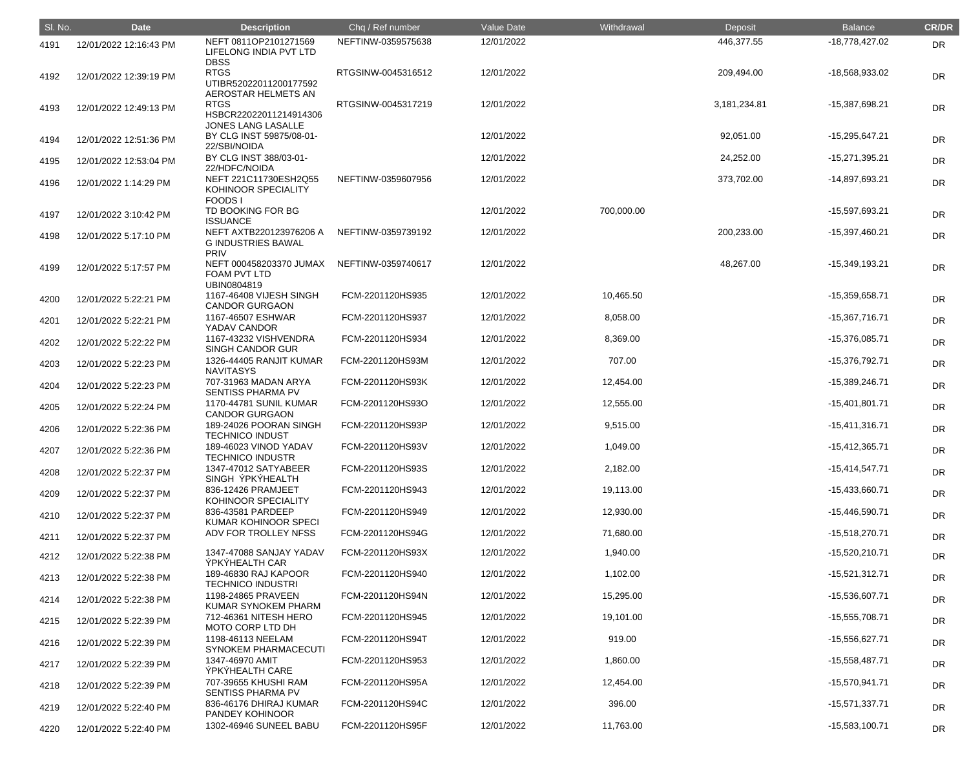| SI. No. | <b>Date</b>            | <b>Description</b>                                                          | Chq / Ref number                     | Value Date               | Withdrawal            | Deposit      | <b>Balance</b>                       | <b>CR/DR</b> |
|---------|------------------------|-----------------------------------------------------------------------------|--------------------------------------|--------------------------|-----------------------|--------------|--------------------------------------|--------------|
| 4191    | 12/01/2022 12:16:43 PM | NEFT 0811OP2101271569<br>LIFELONG INDIA PVT LTD                             | NEFTINW-0359575638                   | 12/01/2022               |                       | 446,377.55   | -18,778,427.02                       | <b>DR</b>    |
| 4192    | 12/01/2022 12:39:19 PM | <b>DBSS</b><br><b>RTGS</b><br>UTIBR52022011200177592<br>AEROSTAR HELMETS AN | RTGSINW-0045316512                   | 12/01/2022               |                       | 209,494.00   | -18,568,933.02                       | <b>DR</b>    |
| 4193    | 12/01/2022 12:49:13 PM | <b>RTGS</b><br>HSBCR22022011214914306                                       | RTGSINW-0045317219                   | 12/01/2022               |                       | 3,181,234.81 | -15,387,698.21                       | <b>DR</b>    |
| 4194    | 12/01/2022 12:51:36 PM | JONES LANG LASALLE<br>BY CLG INST 59875/08-01-<br>22/SBI/NOIDA              |                                      | 12/01/2022               |                       | 92,051.00    | -15,295,647.21                       | <b>DR</b>    |
| 4195    | 12/01/2022 12:53:04 PM | BY CLG INST 388/03-01-<br>22/HDFC/NOIDA                                     |                                      | 12/01/2022               |                       | 24,252.00    | $-15,271,395.21$                     | <b>DR</b>    |
| 4196    | 12/01/2022 1:14:29 PM  | NEFT 221C11730ESH2Q55<br>KOHINOOR SPECIALITY<br><b>FOODS1</b>               | NEFTINW-0359607956                   | 12/01/2022               |                       | 373,702.00   | -14,897,693.21                       | <b>DR</b>    |
| 4197    | 12/01/2022 3:10:42 PM  | TD BOOKING FOR BG<br><b>ISSUANCE</b>                                        |                                      | 12/01/2022               | 700,000.00            |              | -15,597,693.21                       | <b>DR</b>    |
| 4198    | 12/01/2022 5:17:10 PM  | NEFT AXTB220123976206 A<br><b>G INDUSTRIES BAWAL</b><br><b>PRIV</b>         | NEFTINW-0359739192                   | 12/01/2022               |                       | 200,233.00   | -15,397,460.21                       | <b>DR</b>    |
| 4199    | 12/01/2022 5:17:57 PM  | NEFT 000458203370 JUMAX<br><b>FOAM PVT LTD</b><br>UBIN0804819               | NEFTINW-0359740617                   | 12/01/2022               |                       | 48,267.00    | -15,349,193.21                       | <b>DR</b>    |
| 4200    | 12/01/2022 5:22:21 PM  | 1167-46408 VIJESH SINGH<br><b>CANDOR GURGAON</b>                            | FCM-2201120HS935                     | 12/01/2022               | 10,465.50             |              | -15,359,658.71                       | <b>DR</b>    |
| 4201    | 12/01/2022 5:22:21 PM  | 1167-46507 ESHWAR<br>YADAV CANDOR                                           | FCM-2201120HS937                     | 12/01/2022               | 8,058.00              |              | $-15,367,716.71$                     | <b>DR</b>    |
| 4202    | 12/01/2022 5:22:22 PM  | 1167-43232 VISHVENDRA<br><b>SINGH CANDOR GUR</b>                            | FCM-2201120HS934                     | 12/01/2022               | 8,369.00              |              | -15,376,085.71                       | <b>DR</b>    |
| 4203    | 12/01/2022 5:22:23 PM  | 1326-44405 RANJIT KUMAR<br><b>NAVITASYS</b>                                 | FCM-2201120HS93M                     | 12/01/2022               | 707.00                |              | -15,376,792.71                       | <b>DR</b>    |
| 4204    | 12/01/2022 5:22:23 PM  | 707-31963 MADAN ARYA<br>SENTISS PHARMA PV                                   | FCM-2201120HS93K                     | 12/01/2022               | 12,454.00             |              | -15,389,246.71                       | <b>DR</b>    |
| 4205    | 12/01/2022 5:22:24 PM  | 1170-44781 SUNIL KUMAR<br><b>CANDOR GURGAON</b>                             | FCM-2201120HS93O                     | 12/01/2022               | 12,555.00             |              | $-15,401,801.71$                     | <b>DR</b>    |
| 4206    | 12/01/2022 5:22:36 PM  | 189-24026 POORAN SINGH<br><b>TECHNICO INDUST</b>                            | FCM-2201120HS93P                     | 12/01/2022               | 9,515.00              |              | $-15,411,316.71$                     | <b>DR</b>    |
| 4207    | 12/01/2022 5:22:36 PM  | 189-46023 VINOD YADAV<br><b>TECHNICO INDUSTR</b>                            | FCM-2201120HS93V                     | 12/01/2022               | 1,049.00              |              | $-15,412,365.71$                     | DR           |
| 4208    | 12/01/2022 5:22:37 PM  | 1347-47012 SATYABEER<br>SINGH YPKYHEALTH                                    | FCM-2201120HS93S                     | 12/01/2022               | 2,182.00              |              | $-15,414,547.71$                     | DR           |
| 4209    | 12/01/2022 5:22:37 PM  | 836-12426 PRAMJEET<br>KOHINOOR SPECIALITY                                   | FCM-2201120HS943                     | 12/01/2022               | 19,113.00             |              | -15,433,660.71                       | DR           |
| 4210    | 12/01/2022 5:22:37 PM  | 836-43581 PARDEEP<br>KUMAR KOHINOOR SPECI                                   | FCM-2201120HS949                     | 12/01/2022               | 12,930.00             |              | $-15,446,590.71$                     | DR           |
| 4211    | 12/01/2022 5:22:37 PM  | ADV FOR TROLLEY NFSS<br>1347-47088 SANJAY YADAV                             | FCM-2201120HS94G<br>FCM-2201120HS93X | 12/01/2022<br>12/01/2022 | 71,680.00             |              | -15,518,270.71                       | DR           |
| 4212    | 12/01/2022 5:22:38 PM  | ÝPKÝHEALTH CAR<br>189-46830 RAJ KAPOOR                                      | FCM-2201120HS940                     | 12/01/2022               | 1,940.00<br>1,102.00  |              | $-15,520,210.71$<br>$-15,521,312.71$ | <b>DR</b>    |
| 4213    | 12/01/2022 5:22:38 PM  | <b>TECHNICO INDUSTRI</b><br>1198-24865 PRAVEEN                              | FCM-2201120HS94N                     | 12/01/2022               | 15,295.00             |              | -15,536,607.71                       | DR           |
| 4214    | 12/01/2022 5:22:38 PM  | KUMAR SYNOKEM PHARM<br>712-46361 NITESH HERO                                | FCM-2201120HS945                     | 12/01/2022               | 19,101.00             |              | $-15,555,708.71$                     | DR           |
| 4215    | 12/01/2022 5:22:39 PM  | MOTO CORP LTD DH<br>1198-46113 NEELAM                                       | FCM-2201120HS94T                     | 12/01/2022               | 919.00                |              | -15,556,627.71                       | <b>DR</b>    |
| 4216    | 12/01/2022 5:22:39 PM  | <b>SYNOKEM PHARMACECUTI</b><br>1347-46970 AMIT                              | FCM-2201120HS953                     | 12/01/2022               |                       |              |                                      | <b>DR</b>    |
| 4217    | 12/01/2022 5:22:39 PM  | ÝPKÝHEALTH CARE<br>707-39655 KHUSHI RAM                                     | FCM-2201120HS95A                     | 12/01/2022               | 1,860.00<br>12,454.00 |              | $-15,558,487.71$<br>$-15,570,941.71$ | DR           |
| 4218    | 12/01/2022 5:22:39 PM  | SENTISS PHARMA PV<br>836-46176 DHIRAJ KUMAR                                 | FCM-2201120HS94C                     | 12/01/2022               | 396.00                |              | $-15,571,337.71$                     | <b>DR</b>    |
| 4219    | 12/01/2022 5:22:40 PM  | PANDEY KOHINOOR<br>1302-46946 SUNEEL BABU                                   | FCM-2201120HS95F                     | 12/01/2022               |                       |              |                                      | <b>DR</b>    |
| 4220    | 12/01/2022 5:22:40 PM  |                                                                             |                                      |                          | 11,763.00             |              | $-15,583,100.71$                     | DR           |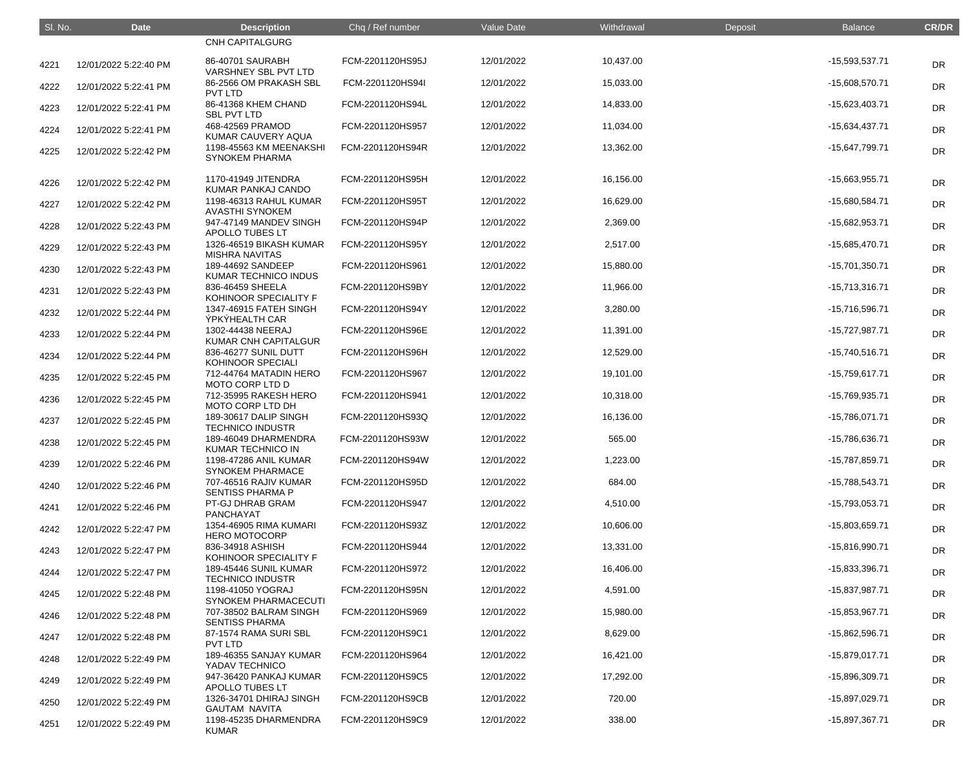| SI. No. | <b>Date</b>           | <b>Description</b>                               | Chq / Ref number | Value Date | Withdrawal | Deposit | <b>Balance</b>   | <b>CR/DR</b> |
|---------|-----------------------|--------------------------------------------------|------------------|------------|------------|---------|------------------|--------------|
|         |                       | <b>CNH CAPITALGURG</b>                           |                  |            |            |         |                  |              |
| 4221    | 12/01/2022 5:22:40 PM | 86-40701 SAURABH<br>VARSHNEY SBL PVT LTD         | FCM-2201120HS95J | 12/01/2022 | 10,437.00  |         | -15,593,537.71   | <b>DR</b>    |
| 4222    | 12/01/2022 5:22:41 PM | 86-2566 OM PRAKASH SBL<br><b>PVT LTD</b>         | FCM-2201120HS94I | 12/01/2022 | 15,033.00  |         | -15,608,570.71   | <b>DR</b>    |
| 4223    | 12/01/2022 5:22:41 PM | 86-41368 KHEM CHAND<br><b>SBL PVT LTD</b>        | FCM-2201120HS94L | 12/01/2022 | 14,833.00  |         | -15,623,403.71   | <b>DR</b>    |
| 4224    | 12/01/2022 5:22:41 PM | 468-42569 PRAMOD<br>KUMAR CAUVERY AQUA           | FCM-2201120HS957 | 12/01/2022 | 11,034.00  |         | -15,634,437.71   | <b>DR</b>    |
| 4225    | 12/01/2022 5:22:42 PM | 1198-45563 KM MEENAKSHI<br><b>SYNOKEM PHARMA</b> | FCM-2201120HS94R | 12/01/2022 | 13,362.00  |         | -15,647,799.71   | <b>DR</b>    |
| 4226    | 12/01/2022 5:22:42 PM | 1170-41949 JITENDRA<br>KUMAR PANKAJ CANDO        | FCM-2201120HS95H | 12/01/2022 | 16,156.00  |         | -15,663,955.71   | <b>DR</b>    |
| 4227    | 12/01/2022 5:22:42 PM | 1198-46313 RAHUL KUMAR<br><b>AVASTHI SYNOKEM</b> | FCM-2201120HS95T | 12/01/2022 | 16,629.00  |         | -15,680,584.71   | <b>DR</b>    |
| 4228    | 12/01/2022 5:22:43 PM | 947-47149 MANDEV SINGH<br><b>APOLLO TUBES LT</b> | FCM-2201120HS94P | 12/01/2022 | 2,369.00   |         | -15,682,953.71   | <b>DR</b>    |
| 4229    | 12/01/2022 5:22:43 PM | 1326-46519 BIKASH KUMAR<br><b>MISHRA NAVITAS</b> | FCM-2201120HS95Y | 12/01/2022 | 2,517.00   |         | -15,685,470.71   | <b>DR</b>    |
| 4230    | 12/01/2022 5:22:43 PM | 189-44692 SANDEEP<br><b>KUMAR TECHNICO INDUS</b> | FCM-2201120HS961 | 12/01/2022 | 15,880.00  |         | $-15,701,350.71$ | <b>DR</b>    |
| 4231    | 12/01/2022 5:22:43 PM | 836-46459 SHEELA<br>KOHINOOR SPECIALITY F        | FCM-2201120HS9BY | 12/01/2022 | 11,966.00  |         | $-15,713,316.71$ | <b>DR</b>    |
| 4232    | 12/01/2022 5:22:44 PM | 1347-46915 FATEH SINGH<br>ÝPKÝHEALTH CAR         | FCM-2201120HS94Y | 12/01/2022 | 3,280.00   |         | -15,716,596.71   | <b>DR</b>    |
| 4233    | 12/01/2022 5:22:44 PM | 1302-44438 NEERAJ<br>KUMAR CNH CAPITALGUR        | FCM-2201120HS96E | 12/01/2022 | 11,391.00  |         | -15,727,987.71   | <b>DR</b>    |
| 4234    | 12/01/2022 5:22:44 PM | 836-46277 SUNIL DUTT<br>KOHINOOR SPECIALI        | FCM-2201120HS96H | 12/01/2022 | 12,529.00  |         | $-15,740,516.71$ | <b>DR</b>    |
| 4235    | 12/01/2022 5:22:45 PM | 712-44764 MATADIN HERO<br>MOTO CORP LTD D        | FCM-2201120HS967 | 12/01/2022 | 19,101.00  |         | $-15,759,617.71$ | <b>DR</b>    |
| 4236    | 12/01/2022 5:22:45 PM | 712-35995 RAKESH HERO<br>MOTO CORP LTD DH        | FCM-2201120HS941 | 12/01/2022 | 10,318.00  |         | -15,769,935.71   | <b>DR</b>    |
| 4237    | 12/01/2022 5:22:45 PM | 189-30617 DALIP SINGH<br><b>TECHNICO INDUSTR</b> | FCM-2201120HS93Q | 12/01/2022 | 16,136.00  |         | -15,786,071.71   | <b>DR</b>    |
| 4238    | 12/01/2022 5:22:45 PM | 189-46049 DHARMENDRA<br>KUMAR TECHNICO IN        | FCM-2201120HS93W | 12/01/2022 | 565.00     |         | -15,786,636.71   | <b>DR</b>    |
| 4239    | 12/01/2022 5:22:46 PM | 1198-47286 ANIL KUMAR<br><b>SYNOKEM PHARMACE</b> | FCM-2201120HS94W | 12/01/2022 | 1,223.00   |         | -15,787,859.71   | DR           |
| 4240    | 12/01/2022 5:22:46 PM | 707-46516 RAJIV KUMAR<br><b>SENTISS PHARMA P</b> | FCM-2201120HS95D | 12/01/2022 | 684.00     |         | -15,788,543.71   | DR           |
| 4241    | 12/01/2022 5:22:46 PM | <b>PT-GJ DHRAB GRAM</b><br>PANCHAYAT             | FCM-2201120HS947 | 12/01/2022 | 4,510.00   |         | -15,793,053.71   | DR           |
| 4242    | 12/01/2022 5:22:47 PM | 1354-46905 RIMA KUMARI<br><b>HERO MOTOCORP</b>   | FCM-2201120HS93Z | 12/01/2022 | 10,606.00  |         | -15,803,659.71   | DR           |
| 4243    | 12/01/2022 5:22:47 PM | 836-34918 ASHISH<br>KOHINOOR SPECIALITY F        | FCM-2201120HS944 | 12/01/2022 | 13,331.00  |         | -15,816,990.71   | DR           |
| 4244    | 12/01/2022 5:22:47 PM | 189-45446 SUNIL KUMAR<br><b>TECHNICO INDUSTR</b> | FCM-2201120HS972 | 12/01/2022 | 16,406.00  |         | -15,833,396.71   | DR           |
| 4245    | 12/01/2022 5:22:48 PM | 1198-41050 YOGRAJ<br><b>SYNOKEM PHARMACECUTI</b> | FCM-2201120HS95N | 12/01/2022 | 4,591.00   |         | -15,837,987.71   | DR           |
| 4246    | 12/01/2022 5:22:48 PM | 707-38502 BALRAM SINGH<br><b>SENTISS PHARMA</b>  | FCM-2201120HS969 | 12/01/2022 | 15,980.00  |         | -15,853,967.71   | DR           |
| 4247    | 12/01/2022 5:22:48 PM | 87-1574 RAMA SURI SBL<br><b>PVT LTD</b>          | FCM-2201120HS9C1 | 12/01/2022 | 8,629.00   |         | -15,862,596.71   | DR           |
| 4248    | 12/01/2022 5:22:49 PM | 189-46355 SANJAY KUMAR<br>YADAV TECHNICO         | FCM-2201120HS964 | 12/01/2022 | 16,421.00  |         | $-15,879,017.71$ | DR           |
| 4249    | 12/01/2022 5:22:49 PM | 947-36420 PANKAJ KUMAR<br>APOLLO TUBES LT        | FCM-2201120HS9C5 | 12/01/2022 | 17,292.00  |         | -15,896,309.71   | DR           |
| 4250    | 12/01/2022 5:22:49 PM | 1326-34701 DHIRAJ SINGH<br><b>GAUTAM NAVITA</b>  | FCM-2201120HS9CB | 12/01/2022 | 720.00     |         | -15,897,029.71   | DR           |
| 4251    | 12/01/2022 5:22:49 PM | 1198-45235 DHARMENDRA<br><b>KUMAR</b>            | FCM-2201120HS9C9 | 12/01/2022 | 338.00     |         | -15,897,367.71   | <b>DR</b>    |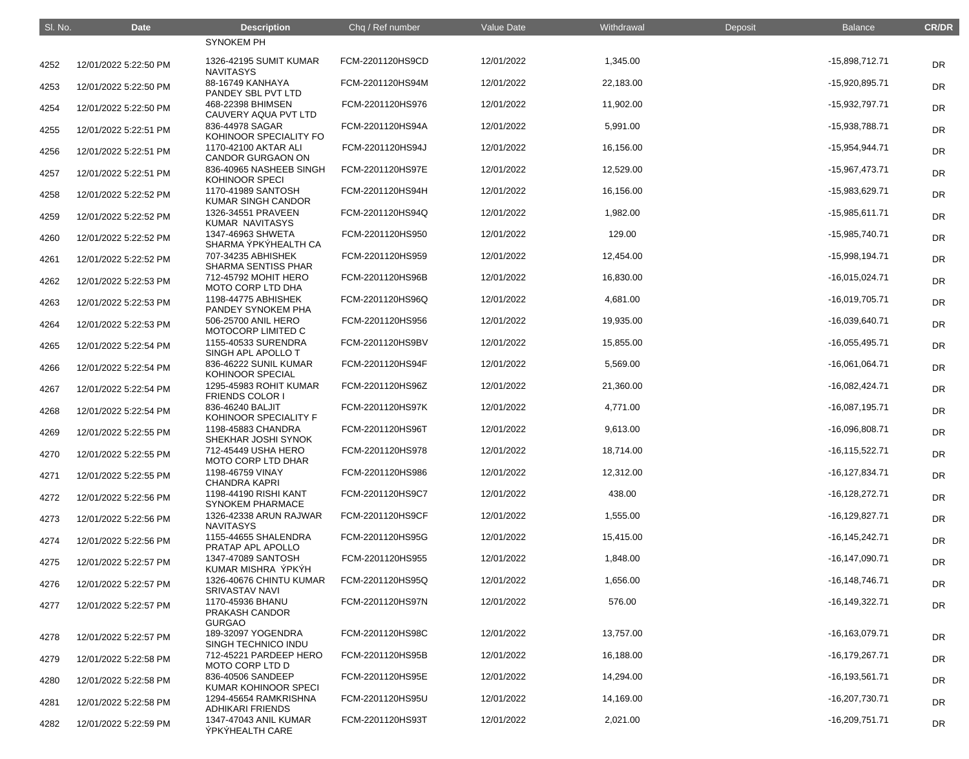| SI. No. | <b>Date</b>           | <b>Description</b>                                  | Chq / Ref number | Value Date | Withdrawal | Deposit | <b>Balance</b>     | <b>CR/DR</b> |
|---------|-----------------------|-----------------------------------------------------|------------------|------------|------------|---------|--------------------|--------------|
|         |                       | <b>SYNOKEM PH</b>                                   |                  |            |            |         |                    |              |
| 4252    | 12/01/2022 5:22:50 PM | 1326-42195 SUMIT KUMAR<br><b>NAVITASYS</b>          | FCM-2201120HS9CD | 12/01/2022 | 1,345.00   |         | -15,898,712.71     | <b>DR</b>    |
| 4253    | 12/01/2022 5:22:50 PM | 88-16749 KANHAYA<br>PANDEY SBL PVT LTD              | FCM-2201120HS94M | 12/01/2022 | 22,183.00  |         | -15,920,895.71     | <b>DR</b>    |
| 4254    | 12/01/2022 5:22:50 PM | 468-22398 BHIMSEN<br>CAUVERY AQUA PVT LTD           | FCM-2201120HS976 | 12/01/2022 | 11,902.00  |         | -15,932,797.71     | <b>DR</b>    |
| 4255    | 12/01/2022 5:22:51 PM | 836-44978 SAGAR<br>KOHINOOR SPECIALITY FO           | FCM-2201120HS94A | 12/01/2022 | 5,991.00   |         | -15,938,788.71     | <b>DR</b>    |
| 4256    | 12/01/2022 5:22:51 PM | 1170-42100 AKTAR ALI<br><b>CANDOR GURGAON ON</b>    | FCM-2201120HS94J | 12/01/2022 | 16,156.00  |         | $-15,954,944.71$   | <b>DR</b>    |
| 4257    | 12/01/2022 5:22:51 PM | 836-40965 NASHEEB SINGH<br><b>KOHINOOR SPECI</b>    | FCM-2201120HS97E | 12/01/2022 | 12,529.00  |         | -15,967,473.71     | <b>DR</b>    |
| 4258    | 12/01/2022 5:22:52 PM | 1170-41989 SANTOSH<br>KUMAR SINGH CANDOR            | FCM-2201120HS94H | 12/01/2022 | 16,156.00  |         | -15,983,629.71     | <b>DR</b>    |
| 4259    | 12/01/2022 5:22:52 PM | 1326-34551 PRAVEEN<br>KUMAR NAVITASYS               | FCM-2201120HS94Q | 12/01/2022 | 1,982.00   |         | $-15,985,611.71$   | <b>DR</b>    |
| 4260    | 12/01/2022 5:22:52 PM | 1347-46963 SHWETA<br>SHARMA ÝPKÝHEALTH CA           | FCM-2201120HS950 | 12/01/2022 | 129.00     |         | -15,985,740.71     | <b>DR</b>    |
| 4261    | 12/01/2022 5:22:52 PM | 707-34235 ABHISHEK<br><b>SHARMA SENTISS PHAR</b>    | FCM-2201120HS959 | 12/01/2022 | 12,454.00  |         | $-15,998,194.71$   | <b>DR</b>    |
| 4262    | 12/01/2022 5:22:53 PM | 712-45792 MOHIT HERO<br>MOTO CORP LTD DHA           | FCM-2201120HS96B | 12/01/2022 | 16,830.00  |         | $-16,015,024.71$   | <b>DR</b>    |
| 4263    | 12/01/2022 5:22:53 PM | 1198-44775 ABHISHEK<br>PANDEY SYNOKEM PHA           | FCM-2201120HS96Q | 12/01/2022 | 4,681.00   |         | $-16,019,705.71$   | <b>DR</b>    |
| 4264    | 12/01/2022 5:22:53 PM | 506-25700 ANIL HERO<br>MOTOCORP LIMITED C           | FCM-2201120HS956 | 12/01/2022 | 19,935.00  |         | -16,039,640.71     | <b>DR</b>    |
| 4265    | 12/01/2022 5:22:54 PM | 1155-40533 SURENDRA<br>SINGH APL APOLLO T           | FCM-2201120HS9BV | 12/01/2022 | 15,855.00  |         | $-16,055,495.71$   | <b>DR</b>    |
| 4266    | 12/01/2022 5:22:54 PM | 836-46222 SUNIL KUMAR<br>KOHINOOR SPECIAL           | FCM-2201120HS94F | 12/01/2022 | 5,569.00   |         | $-16,061,064.71$   | <b>DR</b>    |
| 4267    | 12/01/2022 5:22:54 PM | 1295-45983 ROHIT KUMAR<br><b>FRIENDS COLOR I</b>    | FCM-2201120HS96Z | 12/01/2022 | 21,360.00  |         | $-16,082,424.71$   | <b>DR</b>    |
| 4268    | 12/01/2022 5:22:54 PM | 836-46240 BALJIT<br>KOHINOOR SPECIALITY F           | FCM-2201120HS97K | 12/01/2022 | 4,771.00   |         | $-16,087,195.71$   | <b>DR</b>    |
| 4269    | 12/01/2022 5:22:55 PM | 1198-45883 CHANDRA<br>SHEKHAR JOSHI SYNOK           | FCM-2201120HS96T | 12/01/2022 | 9,613.00   |         | -16,096,808.71     | <b>DR</b>    |
| 4270    | 12/01/2022 5:22:55 PM | 712-45449 USHA HERO<br><b>MOTO CORP LTD DHAR</b>    | FCM-2201120HS978 | 12/01/2022 | 18,714.00  |         | $-16, 115, 522.71$ | DR           |
| 4271    | 12/01/2022 5:22:55 PM | 1198-46759 VINAY<br><b>CHANDRA KAPRI</b>            | FCM-2201120HS986 | 12/01/2022 | 12,312.00  |         | $-16, 127, 834.71$ | <b>DR</b>    |
| 4272    | 12/01/2022 5:22:56 PM | 1198-44190 RISHI KANT<br><b>SYNOKEM PHARMACE</b>    | FCM-2201120HS9C7 | 12/01/2022 | 438.00     |         | $-16,128,272.71$   | DR           |
| 4273    | 12/01/2022 5:22:56 PM | 1326-42338 ARUN RAJWAR<br><b>NAVITASYS</b>          | FCM-2201120HS9CF | 12/01/2022 | 1,555.00   |         | $-16,129,827.71$   | <b>DR</b>    |
| 4274    | 12/01/2022 5:22:56 PM | 1155-44655 SHALENDRA<br>PRATAP APL APOLLO           | FCM-2201120HS95G | 12/01/2022 | 15,415.00  |         | $-16, 145, 242.71$ | <b>DR</b>    |
| 4275    | 12/01/2022 5:22:57 PM | 1347-47089 SANTOSH<br>KUMAR MISHRA ÝPKÝH            | FCM-2201120HS955 | 12/01/2022 | 1,848.00   |         | $-16, 147, 090.71$ | <b>DR</b>    |
| 4276    | 12/01/2022 5:22:57 PM | 1326-40676 CHINTU KUMAR<br><b>SRIVASTAV NAVI</b>    | FCM-2201120HS95Q | 12/01/2022 | 1,656.00   |         | $-16, 148, 746.71$ | <b>DR</b>    |
| 4277    | 12/01/2022 5:22:57 PM | 1170-45936 BHANU<br>PRAKASH CANDOR<br><b>GURGAO</b> | FCM-2201120HS97N | 12/01/2022 | 576.00     |         | $-16, 149, 322.71$ | <b>DR</b>    |
| 4278    | 12/01/2022 5:22:57 PM | 189-32097 YOGENDRA<br>SINGH TECHNICO INDU           | FCM-2201120HS98C | 12/01/2022 | 13,757.00  |         | $-16, 163, 079.71$ | <b>DR</b>    |
| 4279    | 12/01/2022 5:22:58 PM | 712-45221 PARDEEP HERO<br>MOTO CORP LTD D           | FCM-2201120HS95B | 12/01/2022 | 16,188.00  |         | $-16, 179, 267.71$ | <b>DR</b>    |
| 4280    | 12/01/2022 5:22:58 PM | 836-40506 SANDEEP<br>KUMAR KOHINOOR SPECI           | FCM-2201120HS95E | 12/01/2022 | 14,294.00  |         | $-16, 193, 561.71$ | <b>DR</b>    |
| 4281    | 12/01/2022 5:22:58 PM | 1294-45654 RAMKRISHNA<br><b>ADHIKARI FRIENDS</b>    | FCM-2201120HS95U | 12/01/2022 | 14,169.00  |         | -16,207,730.71     | <b>DR</b>    |
| 4282    | 12/01/2022 5:22:59 PM | 1347-47043 ANIL KUMAR<br>ÝPKÝHEALTH CARE            | FCM-2201120HS93T | 12/01/2022 | 2,021.00   |         | $-16,209,751.71$   | <b>DR</b>    |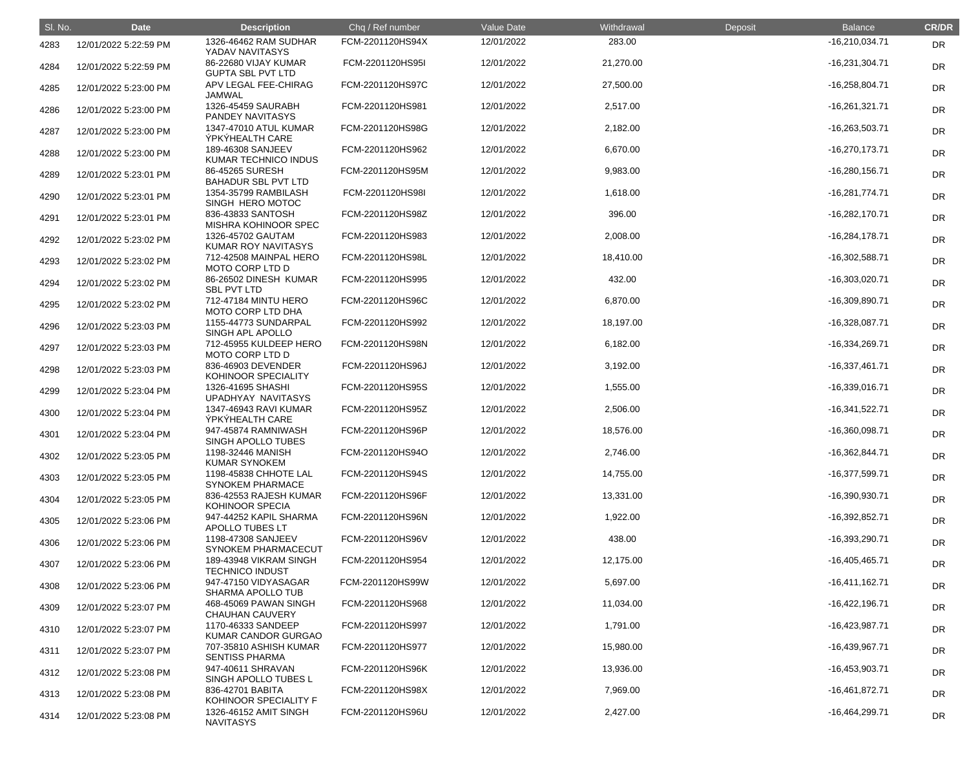| SI. No. | <b>Date</b>           | <b>Description</b>                                                   | Chq / Ref number | Value Date | Withdrawal | Deposit | <b>Balance</b>   | <b>CR/DR</b> |
|---------|-----------------------|----------------------------------------------------------------------|------------------|------------|------------|---------|------------------|--------------|
| 4283    | 12/01/2022 5:22:59 PM | 1326-46462 RAM SUDHAR<br>YADAV NAVITASYS                             | FCM-2201120HS94X | 12/01/2022 | 283.00     |         | $-16,210,034.71$ | <b>DR</b>    |
| 4284    | 12/01/2022 5:22:59 PM | 86-22680 VIJAY KUMAR<br><b>GUPTA SBL PVT LTD</b>                     | FCM-2201120HS95I | 12/01/2022 | 21,270.00  |         | $-16,231,304.71$ | <b>DR</b>    |
| 4285    | 12/01/2022 5:23:00 PM | APV LEGAL FEE-CHIRAG<br>JAMWAL                                       | FCM-2201120HS97C | 12/01/2022 | 27,500.00  |         | $-16,258,804.71$ | <b>DR</b>    |
| 4286    | 12/01/2022 5:23:00 PM | 1326-45459 SAURABH<br>PANDEY NAVITASYS                               | FCM-2201120HS981 | 12/01/2022 | 2,517.00   |         | $-16,261,321.71$ | DR           |
| 4287    | 12/01/2022 5:23:00 PM | 1347-47010 ATUL KUMAR<br><b>ÝPKÝHEALTH CARE</b>                      | FCM-2201120HS98G | 12/01/2022 | 2,182.00   |         | $-16,263,503.71$ | <b>DR</b>    |
| 4288    | 12/01/2022 5:23:00 PM | 189-46308 SANJEEV<br>KUMAR TECHNICO INDUS                            | FCM-2201120HS962 | 12/01/2022 | 6,670.00   |         | $-16,270,173.71$ | <b>DR</b>    |
| 4289    | 12/01/2022 5:23:01 PM | 86-45265 SURESH<br><b>BAHADUR SBL PVT LTD</b>                        | FCM-2201120HS95M | 12/01/2022 | 9,983.00   |         | $-16,280,156.71$ | <b>DR</b>    |
| 4290    | 12/01/2022 5:23:01 PM | 1354-35799 RAMBILASH<br>SINGH HERO MOTOC                             | FCM-2201120HS98I | 12/01/2022 | 1,618.00   |         | $-16,281,774.71$ | <b>DR</b>    |
| 4291    | 12/01/2022 5:23:01 PM | 836-43833 SANTOSH<br>MISHRA KOHINOOR SPEC                            | FCM-2201120HS98Z | 12/01/2022 | 396.00     |         | $-16,282,170.71$ | DR           |
| 4292    | 12/01/2022 5:23:02 PM | 1326-45702 GAUTAM<br><b>KUMAR ROY NAVITASYS</b>                      | FCM-2201120HS983 | 12/01/2022 | 2,008.00   |         | $-16,284,178.71$ | <b>DR</b>    |
| 4293    | 12/01/2022 5:23:02 PM | 712-42508 MAINPAL HERO<br>MOTO CORP LTD D                            | FCM-2201120HS98L | 12/01/2022 | 18,410.00  |         | $-16,302,588.71$ | <b>DR</b>    |
| 4294    | 12/01/2022 5:23:02 PM | 86-26502 DINESH KUMAR<br>SBL PVT LTD                                 | FCM-2201120HS995 | 12/01/2022 | 432.00     |         | $-16,303,020.71$ | <b>DR</b>    |
| 4295    | 12/01/2022 5:23:02 PM | 712-47184 MINTU HERO<br>MOTO CORP LTD DHA                            | FCM-2201120HS96C | 12/01/2022 | 6,870.00   |         | -16,309,890.71   | <b>DR</b>    |
| 4296    | 12/01/2022 5:23:03 PM | 1155-44773 SUNDARPAL<br>SINGH APL APOLLO                             | FCM-2201120HS992 | 12/01/2022 | 18,197.00  |         | $-16,328,087.71$ | <b>DR</b>    |
| 4297    | 12/01/2022 5:23:03 PM | 712-45955 KULDEEP HERO<br>MOTO CORP LTD D                            | FCM-2201120HS98N | 12/01/2022 | 6,182.00   |         | $-16,334,269.71$ | <b>DR</b>    |
| 4298    | 12/01/2022 5:23:03 PM | 836-46903 DEVENDER<br>KOHINOOR SPECIALITY                            | FCM-2201120HS96J | 12/01/2022 | 3,192.00   |         | $-16,337,461.71$ | <b>DR</b>    |
| 4299    | 12/01/2022 5:23:04 PM | 1326-41695 SHASHI                                                    | FCM-2201120HS95S | 12/01/2022 | 1,555.00   |         | $-16,339,016.71$ | <b>DR</b>    |
| 4300    | 12/01/2022 5:23:04 PM | UPADHYAY NAVITASYS<br>1347-46943 RAVI KUMAR<br>ÝPKÝHEALTH CARE       | FCM-2201120HS95Z | 12/01/2022 | 2,506.00   |         | $-16,341,522.71$ | <b>DR</b>    |
| 4301    | 12/01/2022 5:23:04 PM | 947-45874 RAMNIWASH                                                  | FCM-2201120HS96P | 12/01/2022 | 18,576.00  |         | $-16,360,098.71$ | <b>DR</b>    |
| 4302    | 12/01/2022 5:23:05 PM | SINGH APOLLO TUBES<br>1198-32446 MANISH                              | FCM-2201120HS94O | 12/01/2022 | 2,746.00   |         | $-16,362,844.71$ | <b>DR</b>    |
| 4303    | 12/01/2022 5:23:05 PM | <b>KUMAR SYNOKEM</b><br>1198-45838 CHHOTE LAL                        | FCM-2201120HS94S | 12/01/2022 | 14,755.00  |         | -16,377,599.71   | <b>DR</b>    |
| 4304    | 12/01/2022 5:23:05 PM | <b>SYNOKEM PHARMACE</b><br>836-42553 RAJESH KUMAR<br>KOHINOOR SPECIA | FCM-2201120HS96F | 12/01/2022 | 13,331.00  |         | -16,390,930.71   | <b>DR</b>    |
| 4305    | 12/01/2022 5:23:06 PM | 947-44252 KAPIL SHARMA                                               | FCM-2201120HS96N | 12/01/2022 | 1,922.00   |         | $-16,392,852.71$ | <b>DR</b>    |
| 4306    | 12/01/2022 5:23:06 PM | <b>APOLLO TUBES LT</b><br>1198-47308 SANJEEV                         | FCM-2201120HS96V | 12/01/2022 | 438.00     |         | -16,393,290.71   | <b>DR</b>    |
| 4307    | 12/01/2022 5:23:06 PM | SYNOKEM PHARMACECUT<br>189-43948 VIKRAM SINGH                        | FCM-2201120HS954 | 12/01/2022 | 12,175.00  |         | $-16,405,465.71$ | <b>DR</b>    |
| 4308    | 12/01/2022 5:23:06 PM | <b>TECHNICO INDUST</b><br>947-47150 VIDYASAGAR                       | FCM-2201120HS99W | 12/01/2022 | 5,697.00   |         | $-16,411,162.71$ | <b>DR</b>    |
| 4309    | 12/01/2022 5:23:07 PM | <b>SHARMA APOLLO TUB</b><br>468-45069 PAWAN SINGH                    | FCM-2201120HS968 | 12/01/2022 | 11,034.00  |         | $-16,422,196.71$ | <b>DR</b>    |
| 4310    | 12/01/2022 5:23:07 PM | <b>CHAUHAN CAUVERY</b><br>1170-46333 SANDEEP                         | FCM-2201120HS997 | 12/01/2022 | 1,791.00   |         | $-16,423,987.71$ | <b>DR</b>    |
| 4311    | 12/01/2022 5:23:07 PM | <b>KUMAR CANDOR GURGAO</b><br>707-35810 ASHISH KUMAR                 | FCM-2201120HS977 | 12/01/2022 | 15,980.00  |         | $-16,439,967.71$ | <b>DR</b>    |
| 4312    | 12/01/2022 5:23:08 PM | <b>SENTISS PHARMA</b><br>947-40611 SHRAVAN                           | FCM-2201120HS96K | 12/01/2022 | 13,936.00  |         | $-16,453,903.71$ | <b>DR</b>    |
| 4313    | 12/01/2022 5:23:08 PM | SINGH APOLLO TUBES L<br>836-42701 BABITA                             | FCM-2201120HS98X | 12/01/2022 | 7,969.00   |         | $-16,461,872.71$ | <b>DR</b>    |
| 4314    | 12/01/2022 5:23:08 PM | KOHINOOR SPECIALITY F<br>1326-46152 AMIT SINGH<br><b>NAVITASYS</b>   | FCM-2201120HS96U | 12/01/2022 | 2,427.00   |         | $-16,464,299.71$ | <b>DR</b>    |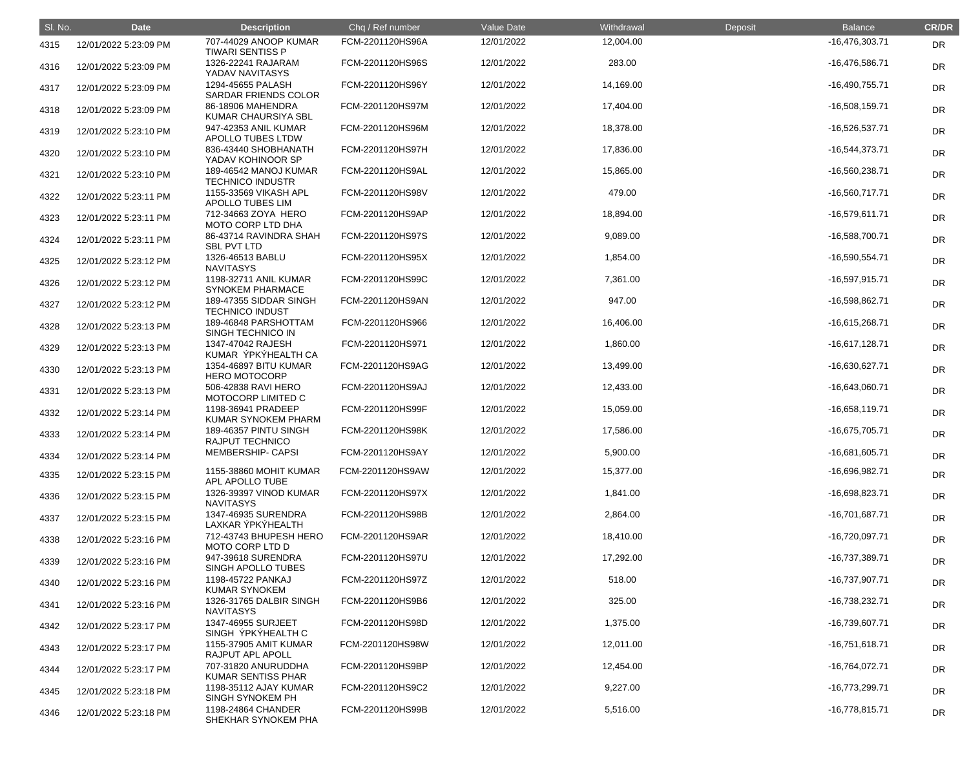| SI. No. | <b>Date</b>           | <b>Description</b>                               | Chq / Ref number | Value Date | Withdrawal | Deposit | <b>Balance</b>   | <b>CR/DR</b> |
|---------|-----------------------|--------------------------------------------------|------------------|------------|------------|---------|------------------|--------------|
| 4315    | 12/01/2022 5:23:09 PM | 707-44029 ANOOP KUMAR<br><b>TIWARI SENTISS P</b> | FCM-2201120HS96A | 12/01/2022 | 12,004.00  |         | -16,476,303.71   | <b>DR</b>    |
| 4316    | 12/01/2022 5:23:09 PM | 1326-22241 RAJARAM<br>YADAV NAVITASYS            | FCM-2201120HS96S | 12/01/2022 | 283.00     |         | -16,476,586.71   | <b>DR</b>    |
| 4317    | 12/01/2022 5:23:09 PM | 1294-45655 PALASH<br>SARDAR FRIENDS COLOR        | FCM-2201120HS96Y | 12/01/2022 | 14,169.00  |         | $-16,490,755.71$ | <b>DR</b>    |
| 4318    | 12/01/2022 5:23:09 PM | 86-18906 MAHENDRA<br><b>KUMAR CHAURSIYA SBL</b>  | FCM-2201120HS97M | 12/01/2022 | 17,404.00  |         | $-16,508,159.71$ | DR           |
| 4319    | 12/01/2022 5:23:10 PM | 947-42353 ANIL KUMAR<br>APOLLO TUBES LTDW        | FCM-2201120HS96M | 12/01/2022 | 18,378.00  |         | -16,526,537.71   | <b>DR</b>    |
| 4320    | 12/01/2022 5:23:10 PM | 836-43440 SHOBHANATH<br>YADAV KOHINOOR SP        | FCM-2201120HS97H | 12/01/2022 | 17,836.00  |         | $-16,544,373.71$ | <b>DR</b>    |
| 4321    | 12/01/2022 5:23:10 PM | 189-46542 MANOJ KUMAR<br><b>TECHNICO INDUSTR</b> | FCM-2201120HS9AL | 12/01/2022 | 15,865.00  |         | -16,560,238.71   | <b>DR</b>    |
| 4322    | 12/01/2022 5:23:11 PM | 1155-33569 VIKASH APL<br><b>APOLLO TUBES LIM</b> | FCM-2201120HS98V | 12/01/2022 | 479.00     |         | $-16,560,717.71$ | <b>DR</b>    |
| 4323    | 12/01/2022 5:23:11 PM | 712-34663 ZOYA HERO<br>MOTO CORP LTD DHA         | FCM-2201120HS9AP | 12/01/2022 | 18,894.00  |         | $-16,579,611.71$ | <b>DR</b>    |
| 4324    | 12/01/2022 5:23:11 PM | 86-43714 RAVINDRA SHAH<br>SBL PVT LTD            | FCM-2201120HS97S | 12/01/2022 | 9,089.00   |         | -16,588,700.71   | <b>DR</b>    |
| 4325    | 12/01/2022 5:23:12 PM | 1326-46513 BABLU<br><b>NAVITASYS</b>             | FCM-2201120HS95X | 12/01/2022 | 1,854.00   |         | $-16,590,554.71$ | <b>DR</b>    |
| 4326    | 12/01/2022 5:23:12 PM | 1198-32711 ANIL KUMAR<br><b>SYNOKEM PHARMACE</b> | FCM-2201120HS99C | 12/01/2022 | 7,361.00   |         | $-16,597,915.71$ | <b>DR</b>    |
| 4327    | 12/01/2022 5:23:12 PM | 189-47355 SIDDAR SINGH<br><b>TECHNICO INDUST</b> | FCM-2201120HS9AN | 12/01/2022 | 947.00     |         | -16,598,862.71   | <b>DR</b>    |
| 4328    | 12/01/2022 5:23:13 PM | 189-46848 PARSHOTTAM<br>SINGH TECHNICO IN        | FCM-2201120HS966 | 12/01/2022 | 16,406.00  |         | $-16,615,268.71$ | <b>DR</b>    |
| 4329    | 12/01/2022 5:23:13 PM | 1347-47042 RAJESH<br>KUMAR ÝPKÝHEALTH CA         | FCM-2201120HS971 | 12/01/2022 | 1,860.00   |         | $-16,617,128.71$ | <b>DR</b>    |
| 4330    | 12/01/2022 5:23:13 PM | 1354-46897 BITU KUMAR<br><b>HERO MOTOCORP</b>    | FCM-2201120HS9AG | 12/01/2022 | 13,499.00  |         | $-16,630,627.71$ | <b>DR</b>    |
| 4331    | 12/01/2022 5:23:13 PM | 506-42838 RAVI HERO<br>MOTOCORP LIMITED C        | FCM-2201120HS9AJ | 12/01/2022 | 12,433.00  |         | $-16,643,060.71$ | <b>DR</b>    |
| 4332    | 12/01/2022 5:23:14 PM | 1198-36941 PRADEEP<br><b>KUMAR SYNOKEM PHARM</b> | FCM-2201120HS99F | 12/01/2022 | 15,059.00  |         | $-16,658,119.71$ | <b>DR</b>    |
| 4333    | 12/01/2022 5:23:14 PM | 189-46357 PINTU SINGH<br><b>RAJPUT TECHNICO</b>  | FCM-2201120HS98K | 12/01/2022 | 17,586.00  |         | -16,675,705.71   | <b>DR</b>    |
| 4334    | 12/01/2022 5:23:14 PM | <b>MEMBERSHIP- CAPSI</b>                         | FCM-2201120HS9AY | 12/01/2022 | 5,900.00   |         | $-16,681,605.71$ | <b>DR</b>    |
| 4335    | 12/01/2022 5:23:15 PM | 1155-38860 MOHIT KUMAR<br>APL APOLLO TUBE        | FCM-2201120HS9AW | 12/01/2022 | 15,377.00  |         | -16,696,982.71   | <b>DR</b>    |
| 4336    | 12/01/2022 5:23:15 PM | 1326-39397 VINOD KUMAR<br><b>NAVITASYS</b>       | FCM-2201120HS97X | 12/01/2022 | 1,841.00   |         | -16,698,823.71   | <b>DR</b>    |
| 4337    | 12/01/2022 5:23:15 PM | 1347-46935 SURENDRA<br>LAXKAR ÝPKÝHEALTH         | FCM-2201120HS98B | 12/01/2022 | 2,864.00   |         | $-16,701,687.71$ | <b>DR</b>    |
| 4338    | 12/01/2022 5:23:16 PM | 712-43743 BHUPESH HERO<br>MOTO CORP LTD D        | FCM-2201120HS9AR | 12/01/2022 | 18,410.00  |         | $-16,720,097.71$ | <b>DR</b>    |
| 4339    | 12/01/2022 5:23:16 PM | 947-39618 SURENDRA<br>SINGH APOLLO TUBES         | FCM-2201120HS97U | 12/01/2022 | 17,292.00  |         | -16,737,389.71   | <b>DR</b>    |
| 4340    | 12/01/2022 5:23:16 PM | 1198-45722 PANKAJ<br><b>KUMAR SYNOKEM</b>        | FCM-2201120HS97Z | 12/01/2022 | 518.00     |         | -16,737,907.71   | <b>DR</b>    |
| 4341    | 12/01/2022 5:23:16 PM | 1326-31765 DALBIR SINGH<br><b>NAVITASYS</b>      | FCM-2201120HS9B6 | 12/01/2022 | 325.00     |         | $-16,738,232.71$ | <b>DR</b>    |
| 4342    | 12/01/2022 5:23:17 PM | 1347-46955 SURJEET<br>SINGH ÝPKÝHEALTH C         | FCM-2201120HS98D | 12/01/2022 | 1,375.00   |         | -16,739,607.71   | <b>DR</b>    |
| 4343    | 12/01/2022 5:23:17 PM | 1155-37905 AMIT KUMAR<br>RAJPUT APL APOLL        | FCM-2201120HS98W | 12/01/2022 | 12,011.00  |         | $-16,751,618.71$ | <b>DR</b>    |
| 4344    | 12/01/2022 5:23:17 PM | 707-31820 ANURUDDHA<br><b>KUMAR SENTISS PHAR</b> | FCM-2201120HS9BP | 12/01/2022 | 12,454.00  |         | $-16,764,072.71$ | <b>DR</b>    |
| 4345    | 12/01/2022 5:23:18 PM | 1198-35112 AJAY KUMAR<br><b>SINGH SYNOKEM PH</b> | FCM-2201120HS9C2 | 12/01/2022 | 9,227.00   |         | -16,773,299.71   | <b>DR</b>    |
| 4346    | 12/01/2022 5:23:18 PM | 1198-24864 CHANDER<br>SHEKHAR SYNOKEM PHA        | FCM-2201120HS99B | 12/01/2022 | 5,516.00   |         | $-16,778,815.71$ | <b>DR</b>    |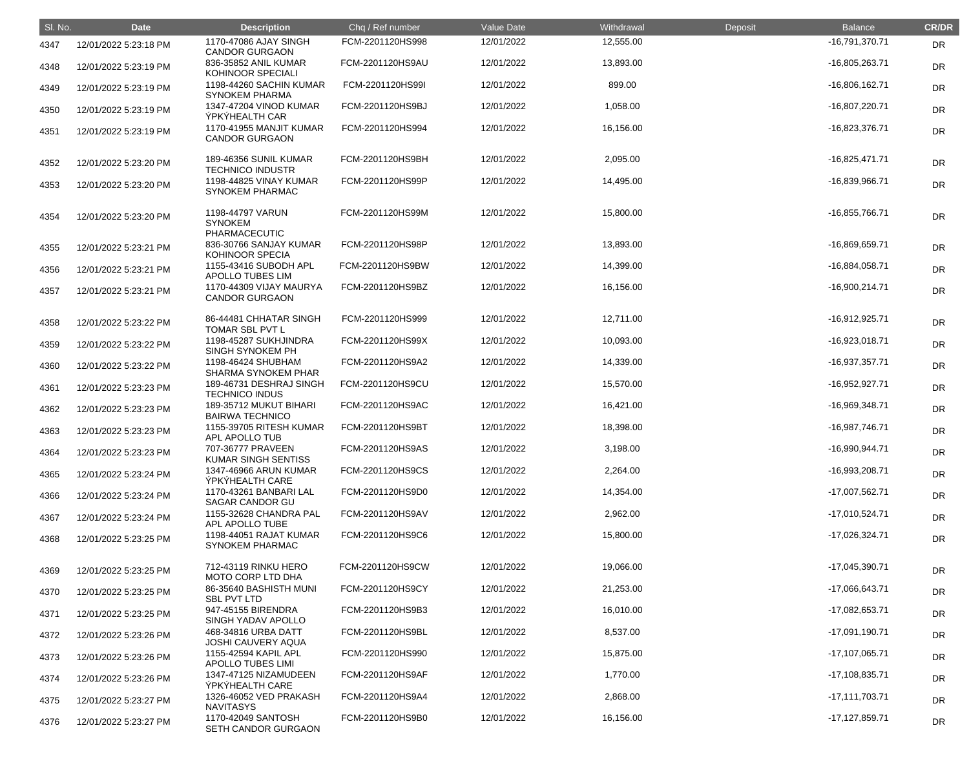| SI. No. | <b>Date</b>           | <b>Description</b>                                                | Chq / Ref number | <b>Value Date</b> | Withdrawal | Deposit | <b>Balance</b>   | <b>CR/DR</b> |
|---------|-----------------------|-------------------------------------------------------------------|------------------|-------------------|------------|---------|------------------|--------------|
| 4347    | 12/01/2022 5:23:18 PM | 1170-47086 AJAY SINGH<br><b>CANDOR GURGAON</b>                    | FCM-2201120HS998 | 12/01/2022        | 12,555.00  |         | -16,791,370.71   | <b>DR</b>    |
| 4348    | 12/01/2022 5:23:19 PM | 836-35852 ANIL KUMAR<br>KOHINOOR SPECIALI                         | FCM-2201120HS9AU | 12/01/2022        | 13,893.00  |         | -16,805,263.71   | DR           |
| 4349    | 12/01/2022 5:23:19 PM | 1198-44260 SACHIN KUMAR<br><b>SYNOKEM PHARMA</b>                  | FCM-2201120HS99I | 12/01/2022        | 899.00     |         | $-16,806,162.71$ | DR           |
| 4350    | 12/01/2022 5:23:19 PM | 1347-47204 VINOD KUMAR<br><b>ÝPKÝHEALTH CAR</b>                   | FCM-2201120HS9BJ | 12/01/2022        | 1,058.00   |         | -16,807,220.71   | DR           |
| 4351    | 12/01/2022 5:23:19 PM | 1170-41955 MANJIT KUMAR<br><b>CANDOR GURGAON</b>                  | FCM-2201120HS994 | 12/01/2022        | 16,156.00  |         | $-16,823,376.71$ | DR           |
| 4352    | 12/01/2022 5:23:20 PM | 189-46356 SUNIL KUMAR<br><b>TECHNICO INDUSTR</b>                  | FCM-2201120HS9BH | 12/01/2022        | 2,095.00   |         | $-16,825,471.71$ | <b>DR</b>    |
| 4353    | 12/01/2022 5:23:20 PM | 1198-44825 VINAY KUMAR<br><b>SYNOKEM PHARMAC</b>                  | FCM-2201120HS99P | 12/01/2022        | 14,495.00  |         | -16,839,966.71   | <b>DR</b>    |
| 4354    | 12/01/2022 5:23:20 PM | 1198-44797 VARUN<br><b>SYNOKEM</b>                                | FCM-2201120HS99M | 12/01/2022        | 15,800.00  |         | -16,855,766.71   | <b>DR</b>    |
| 4355    | 12/01/2022 5:23:21 PM | <b>PHARMACECUTIC</b><br>836-30766 SANJAY KUMAR<br>KOHINOOR SPECIA | FCM-2201120HS98P | 12/01/2022        | 13,893.00  |         | -16,869,659.71   | <b>DR</b>    |
| 4356    | 12/01/2022 5:23:21 PM | 1155-43416 SUBODH APL<br>APOLLO TUBES LIM                         | FCM-2201120HS9BW | 12/01/2022        | 14,399.00  |         | $-16,884,058.71$ | DR           |
| 4357    | 12/01/2022 5:23:21 PM | 1170-44309 VIJAY MAURYA<br><b>CANDOR GURGAON</b>                  | FCM-2201120HS9BZ | 12/01/2022        | 16,156.00  |         | $-16,900,214.71$ | <b>DR</b>    |
| 4358    | 12/01/2022 5:23:22 PM | 86-44481 CHHATAR SINGH<br>TOMAR SBL PVT L                         | FCM-2201120HS999 | 12/01/2022        | 12,711.00  |         | $-16,912,925.71$ | <b>DR</b>    |
| 4359    | 12/01/2022 5:23:22 PM | 1198-45287 SUKHJINDRA<br>SINGH SYNOKEM PH                         | FCM-2201120HS99X | 12/01/2022        | 10,093.00  |         | -16,923,018.71   | DR           |
| 4360    | 12/01/2022 5:23:22 PM | 1198-46424 SHUBHAM<br>SHARMA SYNOKEM PHAR                         | FCM-2201120HS9A2 | 12/01/2022        | 14,339.00  |         | $-16,937,357.71$ | <b>DR</b>    |
| 4361    | 12/01/2022 5:23:23 PM | 189-46731 DESHRAJ SINGH<br><b>TECHNICO INDUS</b>                  | FCM-2201120HS9CU | 12/01/2022        | 15,570.00  |         | $-16,952,927.71$ | <b>DR</b>    |
| 4362    | 12/01/2022 5:23:23 PM | 189-35712 MUKUT BIHARI<br><b>BAIRWA TECHNICO</b>                  | FCM-2201120HS9AC | 12/01/2022        | 16,421.00  |         | -16,969,348.71   | <b>DR</b>    |
| 4363    | 12/01/2022 5:23:23 PM | 1155-39705 RITESH KUMAR<br>APL APOLLO TUB                         | FCM-2201120HS9BT | 12/01/2022        | 18,398.00  |         | -16,987,746.71   | <b>DR</b>    |
| 4364    | 12/01/2022 5:23:23 PM | 707-36777 PRAVEEN<br>KUMAR SINGH SENTISS                          | FCM-2201120HS9AS | 12/01/2022        | 3,198.00   |         | $-16,990,944.71$ | <b>DR</b>    |
| 4365    | 12/01/2022 5:23:24 PM | 1347-46966 ARUN KUMAR<br>ÝPKÝHEALTH CARE                          | FCM-2201120HS9CS | 12/01/2022        | 2,264.00   |         | -16,993,208.71   | <b>DR</b>    |
| 4366    | 12/01/2022 5:23:24 PM | 1170-43261 BANBARI LAL<br><b>SAGAR CANDOR GU</b>                  | FCM-2201120HS9D0 | 12/01/2022        | 14,354.00  |         | $-17,007,562.71$ | <b>DR</b>    |
| 4367    | 12/01/2022 5:23:24 PM | 1155-32628 CHANDRA PAL<br>APL APOLLO TUBE                         | FCM-2201120HS9AV | 12/01/2022        | 2,962.00   |         | $-17,010,524.71$ | <b>DR</b>    |
| 4368    | 12/01/2022 5:23:25 PM | 1198-44051 RAJAT KUMAR<br><b>SYNOKEM PHARMAC</b>                  | FCM-2201120HS9C6 | 12/01/2022        | 15,800.00  |         | $-17,026,324.71$ | <b>DR</b>    |
| 4369    | 12/01/2022 5:23:25 PM | 712-43119 RINKU HERO<br><b>MOTO CORP LTD DHA</b>                  | FCM-2201120HS9CW | 12/01/2022        | 19,066.00  |         | -17,045,390.71   | DR           |
| 4370    | 12/01/2022 5:23:25 PM | 86-35640 BASHISTH MUNI<br><b>SBL PVT LTD</b>                      | FCM-2201120HS9CY | 12/01/2022        | 21,253.00  |         | -17,066,643.71   | <b>DR</b>    |
| 4371    | 12/01/2022 5:23:25 PM | 947-45155 BIRENDRA<br>SINGH YADAV APOLLO                          | FCM-2201120HS9B3 | 12/01/2022        | 16,010.00  |         | -17,082,653.71   | <b>DR</b>    |
| 4372    | 12/01/2022 5:23:26 PM | 468-34816 URBA DATT<br><b>JOSHI CAUVERY AQUA</b>                  | FCM-2201120HS9BL | 12/01/2022        | 8,537.00   |         | $-17,091,190.71$ | <b>DR</b>    |
| 4373    | 12/01/2022 5:23:26 PM | 1155-42594 KAPIL APL<br><b>APOLLO TUBES LIMI</b>                  | FCM-2201120HS990 | 12/01/2022        | 15,875.00  |         | $-17,107,065.71$ | <b>DR</b>    |
| 4374    | 12/01/2022 5:23:26 PM | 1347-47125 NIZAMUDEEN<br>ÝPKÝHEALTH CARE                          | FCM-2201120HS9AF | 12/01/2022        | 1,770.00   |         | $-17,108,835.71$ | DR           |
| 4375    | 12/01/2022 5:23:27 PM | 1326-46052 VED PRAKASH<br><b>NAVITASYS</b>                        | FCM-2201120HS9A4 | 12/01/2022        | 2,868.00   |         | $-17,111,703.71$ | <b>DR</b>    |
| 4376    | 12/01/2022 5:23:27 PM | 1170-42049 SANTOSH<br>SETH CANDOR GURGAON                         | FCM-2201120HS9B0 | 12/01/2022        | 16,156.00  |         | $-17,127,859.71$ | <b>DR</b>    |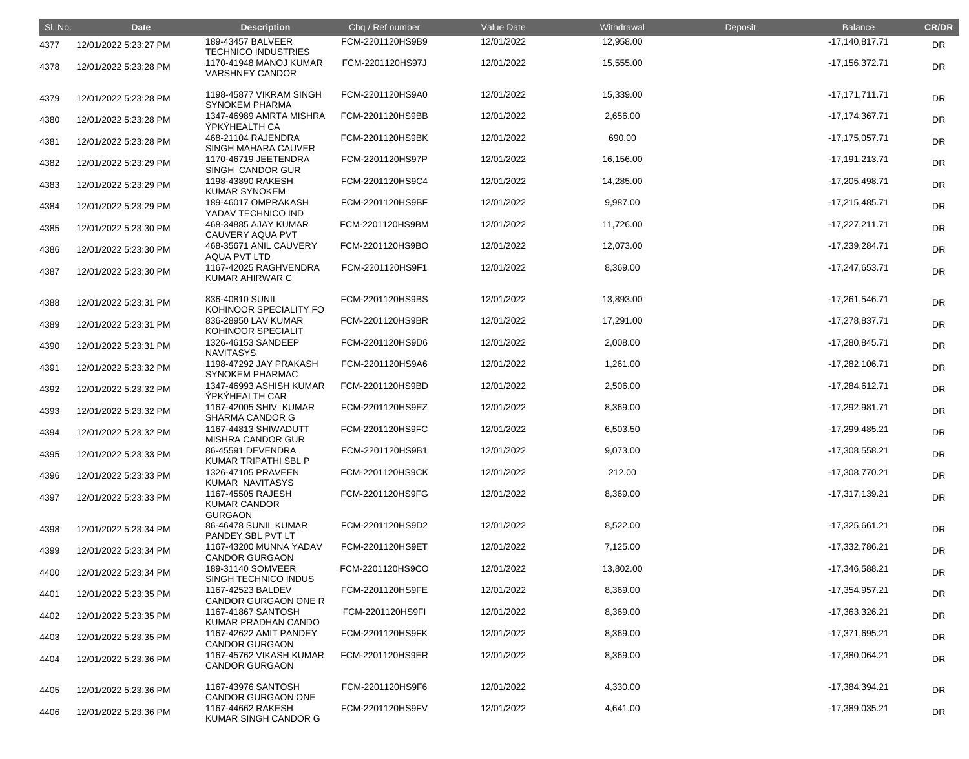| SI. No. | <b>Date</b>           | <b>Description</b>                                                             | Chq / Ref number | Value Date | Withdrawal | Deposit | <b>Balance</b>     | <b>CR/DR</b> |
|---------|-----------------------|--------------------------------------------------------------------------------|------------------|------------|------------|---------|--------------------|--------------|
| 4377    | 12/01/2022 5:23:27 PM | 189-43457 BALVEER                                                              | FCM-2201120HS9B9 | 12/01/2022 | 12,958.00  |         | $-17,140,817.71$   | <b>DR</b>    |
| 4378    | 12/01/2022 5:23:28 PM | <b>TECHNICO INDUSTRIES</b><br>1170-41948 MANOJ KUMAR<br><b>VARSHNEY CANDOR</b> | FCM-2201120HS97J | 12/01/2022 | 15,555.00  |         | $-17,156,372.71$   | <b>DR</b>    |
| 4379    | 12/01/2022 5:23:28 PM | 1198-45877 VIKRAM SINGH<br><b>SYNOKEM PHARMA</b>                               | FCM-2201120HS9A0 | 12/01/2022 | 15,339.00  |         | $-17,171,711.71$   | <b>DR</b>    |
| 4380    | 12/01/2022 5:23:28 PM | 1347-46989 AMRTA MISHRA<br>ÝPKÝHEALTH CA                                       | FCM-2201120HS9BB | 12/01/2022 | 2,656.00   |         | $-17, 174, 367.71$ | <b>DR</b>    |
| 4381    | 12/01/2022 5:23:28 PM | 468-21104 RAJENDRA<br>SINGH MAHARA CAUVER                                      | FCM-2201120HS9BK | 12/01/2022 | 690.00     |         | $-17, 175, 057.71$ | DR           |
| 4382    | 12/01/2022 5:23:29 PM | 1170-46719 JEETENDRA<br>SINGH CANDOR GUR                                       | FCM-2201120HS97P | 12/01/2022 | 16,156.00  |         | $-17,191,213.71$   | DR           |
| 4383    | 12/01/2022 5:23:29 PM | 1198-43890 RAKESH<br><b>KUMAR SYNOKEM</b>                                      | FCM-2201120HS9C4 | 12/01/2022 | 14,285.00  |         | $-17,205,498.71$   | <b>DR</b>    |
| 4384    | 12/01/2022 5:23:29 PM | 189-46017 OMPRAKASH<br>YADAV TECHNICO IND                                      | FCM-2201120HS9BF | 12/01/2022 | 9,987.00   |         | $-17,215,485.71$   | <b>DR</b>    |
| 4385    | 12/01/2022 5:23:30 PM | 468-34885 AJAY KUMAR<br>CAUVERY AQUA PVT                                       | FCM-2201120HS9BM | 12/01/2022 | 11,726.00  |         | $-17,227,211.71$   | DR           |
| 4386    | 12/01/2022 5:23:30 PM | 468-35671 ANIL CAUVERY<br><b>AQUA PVT LTD</b>                                  | FCM-2201120HS9BO | 12/01/2022 | 12,073.00  |         | -17,239,284.71     | DR           |
| 4387    | 12/01/2022 5:23:30 PM | 1167-42025 RAGHVENDRA<br><b>KUMAR AHIRWAR C</b>                                | FCM-2201120HS9F1 | 12/01/2022 | 8,369.00   |         | -17,247,653.71     | <b>DR</b>    |
| 4388    | 12/01/2022 5:23:31 PM | 836-40810 SUNIL<br>KOHINOOR SPECIALITY FO                                      | FCM-2201120HS9BS | 12/01/2022 | 13,893.00  |         | $-17,261,546.71$   | <b>DR</b>    |
| 4389    | 12/01/2022 5:23:31 PM | 836-28950 LAV KUMAR<br>KOHINOOR SPECIALIT                                      | FCM-2201120HS9BR | 12/01/2022 | 17,291.00  |         | $-17,278,837.71$   | <b>DR</b>    |
| 4390    | 12/01/2022 5:23:31 PM | 1326-46153 SANDEEP<br><b>NAVITASYS</b>                                         | FCM-2201120HS9D6 | 12/01/2022 | 2,008.00   |         | $-17,280,845.71$   | DR           |
| 4391    | 12/01/2022 5:23:32 PM | 1198-47292 JAY PRAKASH<br><b>SYNOKEM PHARMAC</b>                               | FCM-2201120HS9A6 | 12/01/2022 | 1,261.00   |         | $-17,282,106.71$   | <b>DR</b>    |
| 4392    | 12/01/2022 5:23:32 PM | 1347-46993 ASHISH KUMAR<br>ÝPKÝHEALTH CAR                                      | FCM-2201120HS9BD | 12/01/2022 | 2,506.00   |         | $-17,284,612.71$   | <b>DR</b>    |
| 4393    | 12/01/2022 5:23:32 PM | 1167-42005 SHIV KUMAR<br><b>SHARMA CANDOR G</b>                                | FCM-2201120HS9EZ | 12/01/2022 | 8,369.00   |         | -17,292,981.71     | DR           |
| 4394    | 12/01/2022 5:23:32 PM | 1167-44813 SHIWADUTT<br><b>MISHRA CANDOR GUR</b>                               | FCM-2201120HS9FC | 12/01/2022 | 6,503.50   |         | -17,299,485.21     | DR           |
| 4395    | 12/01/2022 5:23:33 PM | 86-45591 DEVENDRA<br>KUMAR TRIPATHI SBL P                                      | FCM-2201120HS9B1 | 12/01/2022 | 9,073.00   |         | $-17,308,558.21$   | <b>DR</b>    |
| 4396    | 12/01/2022 5:23:33 PM | 1326-47105 PRAVEEN<br>KUMAR NAVITASYS                                          | FCM-2201120HS9CK | 12/01/2022 | 212.00     |         | -17,308,770.21     | <b>DR</b>    |
| 4397    | 12/01/2022 5:23:33 PM | 1167-45505 RAJESH<br><b>KUMAR CANDOR</b><br><b>GURGAON</b>                     | FCM-2201120HS9FG | 12/01/2022 | 8,369.00   |         | $-17,317,139.21$   | DR           |
| 4398    | 12/01/2022 5:23:34 PM | 86-46478 SUNIL KUMAR<br>PANDEY SBL PVT LT                                      | FCM-2201120HS9D2 | 12/01/2022 | 8,522.00   |         | $-17,325,661.21$   | <b>DR</b>    |
| 4399    | 12/01/2022 5:23:34 PM | 1167-43200 MUNNA YADAV<br><b>CANDOR GURGAON</b>                                | FCM-2201120HS9ET | 12/01/2022 | 7,125.00   |         | -17,332,786.21     | DR           |
| 4400    | 12/01/2022 5:23:34 PM | 189-31140 SOMVEER<br>SINGH TECHNICO INDUS                                      | FCM-2201120HS9CO | 12/01/2022 | 13,802.00  |         | -17,346,588.21     | <b>DR</b>    |
| 4401    | 12/01/2022 5:23:35 PM | 1167-42523 BALDEV<br>CANDOR GURGAON ONE R                                      | FCM-2201120HS9FE | 12/01/2022 | 8,369.00   |         | $-17,354,957.21$   | <b>DR</b>    |
| 4402    | 12/01/2022 5:23:35 PM | 1167-41867 SANTOSH<br>KUMAR PRADHAN CANDO                                      | FCM-2201120HS9FI | 12/01/2022 | 8,369.00   |         | $-17,363,326.21$   | <b>DR</b>    |
| 4403    | 12/01/2022 5:23:35 PM | 1167-42622 AMIT PANDEY<br><b>CANDOR GURGAON</b>                                | FCM-2201120HS9FK | 12/01/2022 | 8,369.00   |         | -17,371,695.21     | <b>DR</b>    |
| 4404    | 12/01/2022 5:23:36 PM | 1167-45762 VIKASH KUMAR<br><b>CANDOR GURGAON</b>                               | FCM-2201120HS9ER | 12/01/2022 | 8,369.00   |         | $-17,380,064.21$   | <b>DR</b>    |
| 4405    | 12/01/2022 5:23:36 PM | 1167-43976 SANTOSH<br><b>CANDOR GURGAON ONE</b>                                | FCM-2201120HS9F6 | 12/01/2022 | 4,330.00   |         | $-17,384,394.21$   | DR           |
| 4406    | 12/01/2022 5:23:36 PM | 1167-44662 RAKESH<br>KUMAR SINGH CANDOR G                                      | FCM-2201120HS9FV | 12/01/2022 | 4,641.00   |         | -17,389,035.21     | <b>DR</b>    |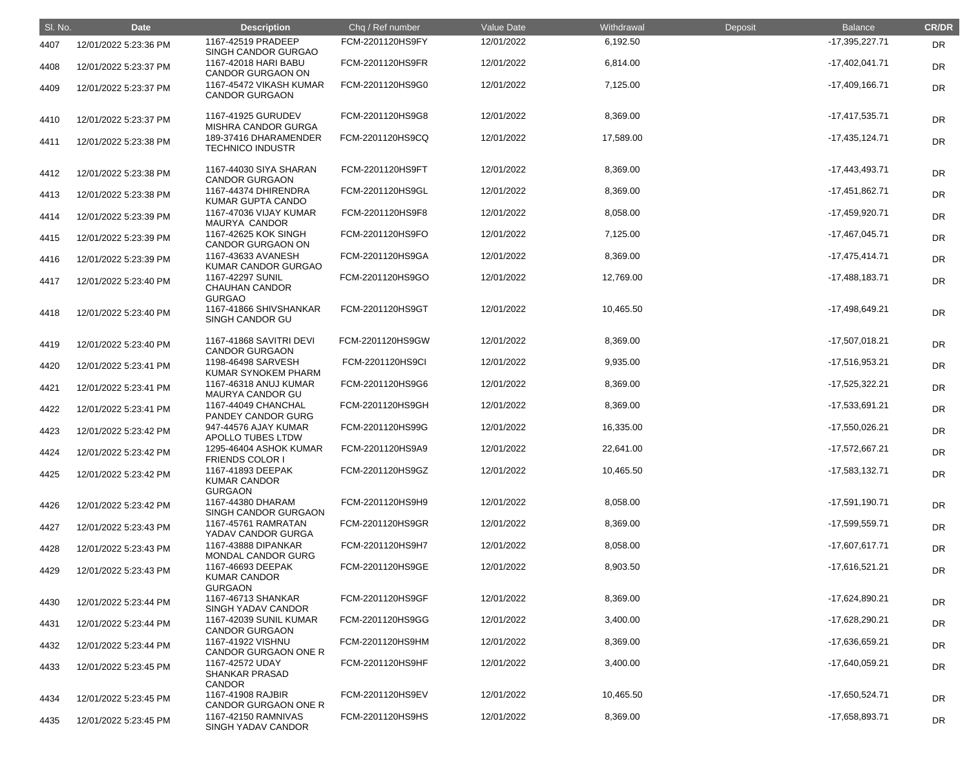| SI. No. | <b>Date</b>           | <b>Description</b>                                         | Chq / Ref number | Value Date | Withdrawal | Deposit | <b>Balance</b>   | <b>CR/DR</b> |
|---------|-----------------------|------------------------------------------------------------|------------------|------------|------------|---------|------------------|--------------|
| 4407    | 12/01/2022 5:23:36 PM | 1167-42519 PRADEEP<br>SINGH CANDOR GURGAO                  | FCM-2201120HS9FY | 12/01/2022 | 6,192.50   |         | $-17,395,227.71$ | <b>DR</b>    |
| 4408    | 12/01/2022 5:23:37 PM | 1167-42018 HARI BABU<br><b>CANDOR GURGAON ON</b>           | FCM-2201120HS9FR | 12/01/2022 | 6,814.00   |         | $-17,402,041.71$ | DR           |
| 4409    | 12/01/2022 5:23:37 PM | 1167-45472 VIKASH KUMAR<br><b>CANDOR GURGAON</b>           | FCM-2201120HS9G0 | 12/01/2022 | 7,125.00   |         | $-17,409,166.71$ | <b>DR</b>    |
| 4410    | 12/01/2022 5:23:37 PM | 1167-41925 GURUDEV<br>MISHRA CANDOR GURGA                  | FCM-2201120HS9G8 | 12/01/2022 | 8,369.00   |         | $-17,417,535.71$ | <b>DR</b>    |
| 4411    | 12/01/2022 5:23:38 PM | 189-37416 DHARAMENDER<br><b>TECHNICO INDUSTR</b>           | FCM-2201120HS9CQ | 12/01/2022 | 17,589.00  |         | $-17,435,124.71$ | <b>DR</b>    |
| 4412    | 12/01/2022 5:23:38 PM | 1167-44030 SIYA SHARAN<br><b>CANDOR GURGAON</b>            | FCM-2201120HS9FT | 12/01/2022 | 8,369.00   |         | $-17,443,493.71$ | <b>DR</b>    |
| 4413    | 12/01/2022 5:23:38 PM | 1167-44374 DHIRENDRA<br>KUMAR GUPTA CANDO                  | FCM-2201120HS9GL | 12/01/2022 | 8,369.00   |         | -17,451,862.71   | DR           |
| 4414    | 12/01/2022 5:23:39 PM | 1167-47036 VIJAY KUMAR<br>MAURYA CANDOR                    | FCM-2201120HS9F8 | 12/01/2022 | 8,058.00   |         | -17,459,920.71   | <b>DR</b>    |
| 4415    | 12/01/2022 5:23:39 PM | 1167-42625 KOK SINGH<br><b>CANDOR GURGAON ON</b>           | FCM-2201120HS9FO | 12/01/2022 | 7,125.00   |         | $-17,467,045.71$ | <b>DR</b>    |
| 4416    | 12/01/2022 5:23:39 PM | 1167-43633 AVANESH<br><b>KUMAR CANDOR GURGAO</b>           | FCM-2201120HS9GA | 12/01/2022 | 8,369.00   |         | $-17,475,414.71$ | <b>DR</b>    |
| 4417    | 12/01/2022 5:23:40 PM | 1167-42297 SUNIL<br><b>CHAUHAN CANDOR</b><br><b>GURGAO</b> | FCM-2201120HS9GO | 12/01/2022 | 12,769.00  |         | $-17,488,183.71$ | <b>DR</b>    |
| 4418    | 12/01/2022 5:23:40 PM | 1167-41866 SHIVSHANKAR<br>SINGH CANDOR GU                  | FCM-2201120HS9GT | 12/01/2022 | 10,465.50  |         | -17,498,649.21   | <b>DR</b>    |
| 4419    | 12/01/2022 5:23:40 PM | 1167-41868 SAVITRI DEVI<br><b>CANDOR GURGAON</b>           | FCM-2201120HS9GW | 12/01/2022 | 8,369.00   |         | $-17,507,018.21$ | <b>DR</b>    |
| 4420    | 12/01/2022 5:23:41 PM | 1198-46498 SARVESH<br>KUMAR SYNOKEM PHARM                  | FCM-2201120HS9CI | 12/01/2022 | 9,935.00   |         | -17,516,953.21   | <b>DR</b>    |
| 4421    | 12/01/2022 5:23:41 PM | 1167-46318 ANUJ KUMAR<br>MAURYA CANDOR GU                  | FCM-2201120HS9G6 | 12/01/2022 | 8,369.00   |         | $-17,525,322.21$ | <b>DR</b>    |
| 4422    | 12/01/2022 5:23:41 PM | 1167-44049 CHANCHAL<br>PANDEY CANDOR GURG                  | FCM-2201120HS9GH | 12/01/2022 | 8,369.00   |         | -17,533,691.21   | <b>DR</b>    |
| 4423    | 12/01/2022 5:23:42 PM | 947-44576 AJAY KUMAR<br>APOLLO TUBES LTDW                  | FCM-2201120HS99G | 12/01/2022 | 16,335.00  |         | $-17,550,026.21$ | <b>DR</b>    |
| 4424    | 12/01/2022 5:23:42 PM | 1295-46404 ASHOK KUMAR<br><b>FRIENDS COLOR I</b>           | FCM-2201120HS9A9 | 12/01/2022 | 22,641.00  |         | -17,572,667.21   | <b>DR</b>    |
| 4425    | 12/01/2022 5:23:42 PM | 1167-41893 DEEPAK<br><b>KUMAR CANDOR</b><br><b>GURGAON</b> | FCM-2201120HS9GZ | 12/01/2022 | 10,465.50  |         | $-17,583,132.71$ | <b>DR</b>    |
| 4426    | 12/01/2022 5:23:42 PM | 1167-44380 DHARAM<br>SINGH CANDOR GURGAON                  | FCM-2201120HS9H9 | 12/01/2022 | 8,058.00   |         | $-17,591,190.71$ | DR           |
| 4427    | 12/01/2022 5:23:43 PM | 1167-45761 RAMRATAN<br>YADAV CANDOR GURGA                  | FCM-2201120HS9GR | 12/01/2022 | 8,369.00   |         | -17,599,559.71   | DR           |
| 4428    | 12/01/2022 5:23:43 PM | 1167-43888 DIPANKAR<br><b>MONDAL CANDOR GURG</b>           | FCM-2201120HS9H7 | 12/01/2022 | 8,058.00   |         | $-17,607,617.71$ | DR           |
| 4429    | 12/01/2022 5:23:43 PM | 1167-46693 DEEPAK<br><b>KUMAR CANDOR</b><br><b>GURGAON</b> | FCM-2201120HS9GE | 12/01/2022 | 8,903.50   |         | -17,616,521.21   | <b>DR</b>    |
| 4430    | 12/01/2022 5:23:44 PM | 1167-46713 SHANKAR<br>SINGH YADAV CANDOR                   | FCM-2201120HS9GF | 12/01/2022 | 8,369.00   |         | -17,624,890.21   | <b>DR</b>    |
| 4431    | 12/01/2022 5:23:44 PM | 1167-42039 SUNIL KUMAR<br><b>CANDOR GURGAON</b>            | FCM-2201120HS9GG | 12/01/2022 | 3,400.00   |         | -17,628,290.21   | DR           |
| 4432    | 12/01/2022 5:23:44 PM | 1167-41922 VISHNU<br>CANDOR GURGAON ONE R                  | FCM-2201120HS9HM | 12/01/2022 | 8,369.00   |         | -17,636,659.21   | <b>DR</b>    |
| 4433    | 12/01/2022 5:23:45 PM | 1167-42572 UDAY<br><b>SHANKAR PRASAD</b><br><b>CANDOR</b>  | FCM-2201120HS9HF | 12/01/2022 | 3,400.00   |         | -17,640,059.21   | <b>DR</b>    |
| 4434    | 12/01/2022 5:23:45 PM | 1167-41908 RAJBIR<br>CANDOR GURGAON ONE R                  | FCM-2201120HS9EV | 12/01/2022 | 10,465.50  |         | -17,650,524.71   | <b>DR</b>    |
| 4435    | 12/01/2022 5:23:45 PM | 1167-42150 RAMNIVAS<br>SINGH YADAV CANDOR                  | FCM-2201120HS9HS | 12/01/2022 | 8,369.00   |         | -17,658,893.71   | <b>DR</b>    |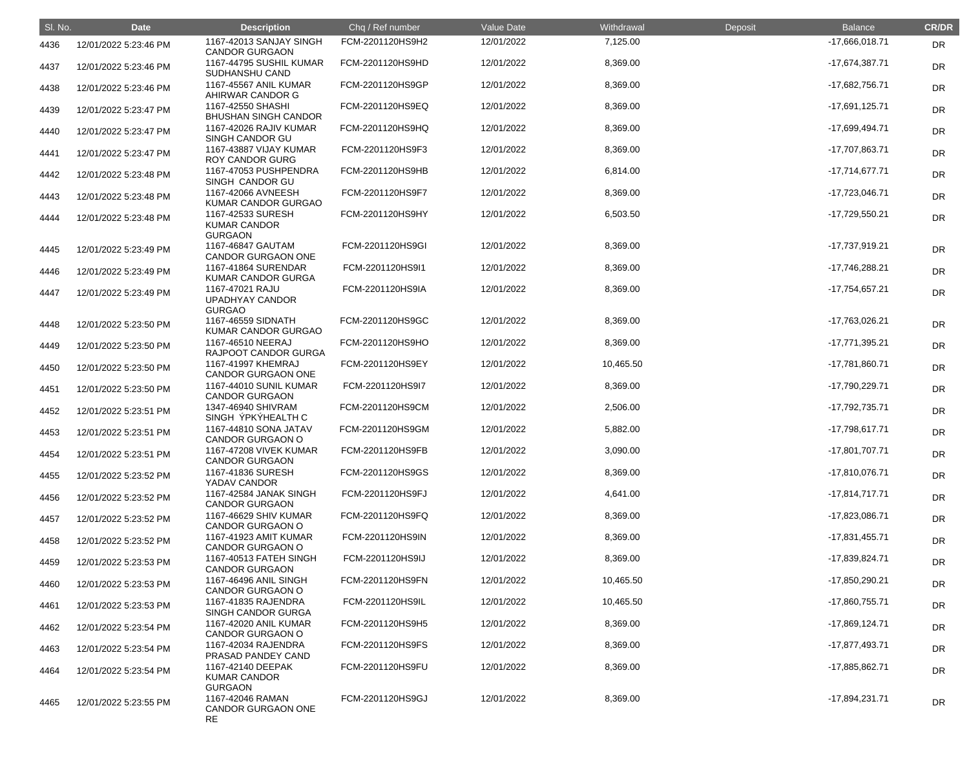| SI. No. | <b>Date</b>           | <b>Description</b>                                         | Chq / Ref number | Value Date | Withdrawal | Deposit | <b>Balance</b>   | <b>CR/DR</b> |
|---------|-----------------------|------------------------------------------------------------|------------------|------------|------------|---------|------------------|--------------|
| 4436    | 12/01/2022 5:23:46 PM | 1167-42013 SANJAY SINGH<br><b>CANDOR GURGAON</b>           | FCM-2201120HS9H2 | 12/01/2022 | 7,125.00   |         | $-17,666,018.71$ | DR           |
| 4437    | 12/01/2022 5:23:46 PM | 1167-44795 SUSHIL KUMAR<br>SUDHANSHU CAND                  | FCM-2201120HS9HD | 12/01/2022 | 8,369.00   |         | $-17,674,387.71$ | <b>DR</b>    |
| 4438    | 12/01/2022 5:23:46 PM | 1167-45567 ANIL KUMAR<br>AHIRWAR CANDOR G                  | FCM-2201120HS9GP | 12/01/2022 | 8,369.00   |         | -17,682,756.71   | <b>DR</b>    |
| 4439    | 12/01/2022 5:23:47 PM | 1167-42550 SHASHI<br><b>BHUSHAN SINGH CANDOR</b>           | FCM-2201120HS9EQ | 12/01/2022 | 8,369.00   |         | $-17,691,125.71$ | <b>DR</b>    |
| 4440    | 12/01/2022 5:23:47 PM | 1167-42026 RAJIV KUMAR<br>SINGH CANDOR GU                  | FCM-2201120HS9HQ | 12/01/2022 | 8,369.00   |         | -17,699,494.71   | <b>DR</b>    |
| 4441    | 12/01/2022 5:23:47 PM | 1167-43887 VIJAY KUMAR<br><b>ROY CANDOR GURG</b>           | FCM-2201120HS9F3 | 12/01/2022 | 8,369.00   |         | -17,707,863.71   | <b>DR</b>    |
| 4442    | 12/01/2022 5:23:48 PM | 1167-47053 PUSHPENDRA<br>SINGH CANDOR GU                   | FCM-2201120HS9HB | 12/01/2022 | 6,814.00   |         | $-17,714,677.71$ | <b>DR</b>    |
| 4443    | 12/01/2022 5:23:48 PM | 1167-42066 AVNEESH<br>KUMAR CANDOR GURGAO                  | FCM-2201120HS9F7 | 12/01/2022 | 8,369.00   |         | -17,723,046.71   | <b>DR</b>    |
| 4444    | 12/01/2022 5:23:48 PM | 1167-42533 SURESH<br><b>KUMAR CANDOR</b><br><b>GURGAON</b> | FCM-2201120HS9HY | 12/01/2022 | 6,503.50   |         | -17,729,550.21   | <b>DR</b>    |
| 4445    | 12/01/2022 5:23:49 PM | 1167-46847 GAUTAM<br><b>CANDOR GURGAON ONE</b>             | FCM-2201120HS9GI | 12/01/2022 | 8,369.00   |         | -17,737,919.21   | <b>DR</b>    |
| 4446    | 12/01/2022 5:23:49 PM | 1167-41864 SURENDAR<br><b>KUMAR CANDOR GURGA</b>           | FCM-2201120HS9I1 | 12/01/2022 | 8,369.00   |         | -17,746,288.21   | <b>DR</b>    |
| 4447    | 12/01/2022 5:23:49 PM | 1167-47021 RAJU<br><b>UPADHYAY CANDOR</b><br><b>GURGAO</b> | FCM-2201120HS9IA | 12/01/2022 | 8,369.00   |         | $-17,754,657.21$ | <b>DR</b>    |
| 4448    | 12/01/2022 5:23:50 PM | 1167-46559 SIDNATH<br>KUMAR CANDOR GURGAO                  | FCM-2201120HS9GC | 12/01/2022 | 8,369.00   |         | -17,763,026.21   | DR           |
| 4449    | 12/01/2022 5:23:50 PM | 1167-46510 NEERAJ<br>RAJPOOT CANDOR GURGA                  | FCM-2201120HS9HO | 12/01/2022 | 8,369.00   |         | $-17,771,395.21$ | DR           |
| 4450    | 12/01/2022 5:23:50 PM | 1167-41997 KHEMRAJ<br><b>CANDOR GURGAON ONE</b>            | FCM-2201120HS9EY | 12/01/2022 | 10,465.50  |         | -17,781,860.71   | DR           |
| 4451    | 12/01/2022 5:23:50 PM | 1167-44010 SUNIL KUMAR<br><b>CANDOR GURGAON</b>            | FCM-2201120HS9I7 | 12/01/2022 | 8,369.00   |         | -17,790,229.71   | <b>DR</b>    |
| 4452    | 12/01/2022 5:23:51 PM | 1347-46940 SHIVRAM<br>SINGH ÝPKÝHEALTH C                   | FCM-2201120HS9CM | 12/01/2022 | 2,506.00   |         | -17,792,735.71   | <b>DR</b>    |
| 4453    | 12/01/2022 5:23:51 PM | 1167-44810 SONA JATAV<br><b>CANDOR GURGAON O</b>           | FCM-2201120HS9GM | 12/01/2022 | 5,882.00   |         | $-17,798,617.71$ | DR           |
| 4454    | 12/01/2022 5:23:51 PM | 1167-47208 VIVEK KUMAR<br><b>CANDOR GURGAON</b>            | FCM-2201120HS9FB | 12/01/2022 | 3,090.00   |         | $-17,801,707.71$ | <b>DR</b>    |
| 4455    | 12/01/2022 5:23:52 PM | 1167-41836 SURESH<br>YADAV CANDOR                          | FCM-2201120HS9GS | 12/01/2022 | 8,369.00   |         | $-17,810,076.71$ | <b>DR</b>    |
| 4456    | 12/01/2022 5:23:52 PM | 1167-42584 JANAK SINGH<br><b>CANDOR GURGAON</b>            | FCM-2201120HS9FJ | 12/01/2022 | 4,641.00   |         | $-17,814,717.71$ | <b>DR</b>    |
| 4457    | 12/01/2022 5:23:52 PM | 1167-46629 SHIV KUMAR<br><b>CANDOR GURGAON O</b>           | FCM-2201120HS9FQ | 12/01/2022 | 8,369.00   |         | -17,823,086.71   | <b>DR</b>    |
| 4458    | 12/01/2022 5:23:52 PM | 1167-41923 AMIT KUMAR<br><b>CANDOR GURGAON O</b>           | FCM-2201120HS9IN | 12/01/2022 | 8,369.00   |         | $-17,831,455.71$ | <b>DR</b>    |
| 4459    | 12/01/2022 5:23:53 PM | 1167-40513 FATEH SINGH<br><b>CANDOR GURGAON</b>            | FCM-2201120HS9IJ | 12/01/2022 | 8,369.00   |         | -17,839,824.71   | <b>DR</b>    |
| 4460    | 12/01/2022 5:23:53 PM | 1167-46496 ANIL SINGH<br><b>CANDOR GURGAON O</b>           | FCM-2201120HS9FN | 12/01/2022 | 10,465.50  |         | -17,850,290.21   | <b>DR</b>    |
| 4461    | 12/01/2022 5:23:53 PM | 1167-41835 RAJENDRA<br>SINGH CANDOR GURGA                  | FCM-2201120HS9IL | 12/01/2022 | 10,465.50  |         | -17,860,755.71   | <b>DR</b>    |
| 4462    | 12/01/2022 5:23:54 PM | 1167-42020 ANIL KUMAR<br><b>CANDOR GURGAON O</b>           | FCM-2201120HS9H5 | 12/01/2022 | 8,369.00   |         | $-17,869,124.71$ | <b>DR</b>    |
| 4463    | 12/01/2022 5:23:54 PM | 1167-42034 RAJENDRA<br>PRASAD PANDEY CAND                  | FCM-2201120HS9FS | 12/01/2022 | 8,369.00   |         | -17,877,493.71   | <b>DR</b>    |
| 4464    | 12/01/2022 5:23:54 PM | 1167-42140 DEEPAK<br><b>KUMAR CANDOR</b><br><b>GURGAON</b> | FCM-2201120HS9FU | 12/01/2022 | 8,369.00   |         | -17,885,862.71   | <b>DR</b>    |
| 4465    | 12/01/2022 5:23:55 PM | 1167-42046 RAMAN<br><b>CANDOR GURGAON ONE</b><br><b>RE</b> | FCM-2201120HS9GJ | 12/01/2022 | 8,369.00   |         | $-17,894,231.71$ | DR           |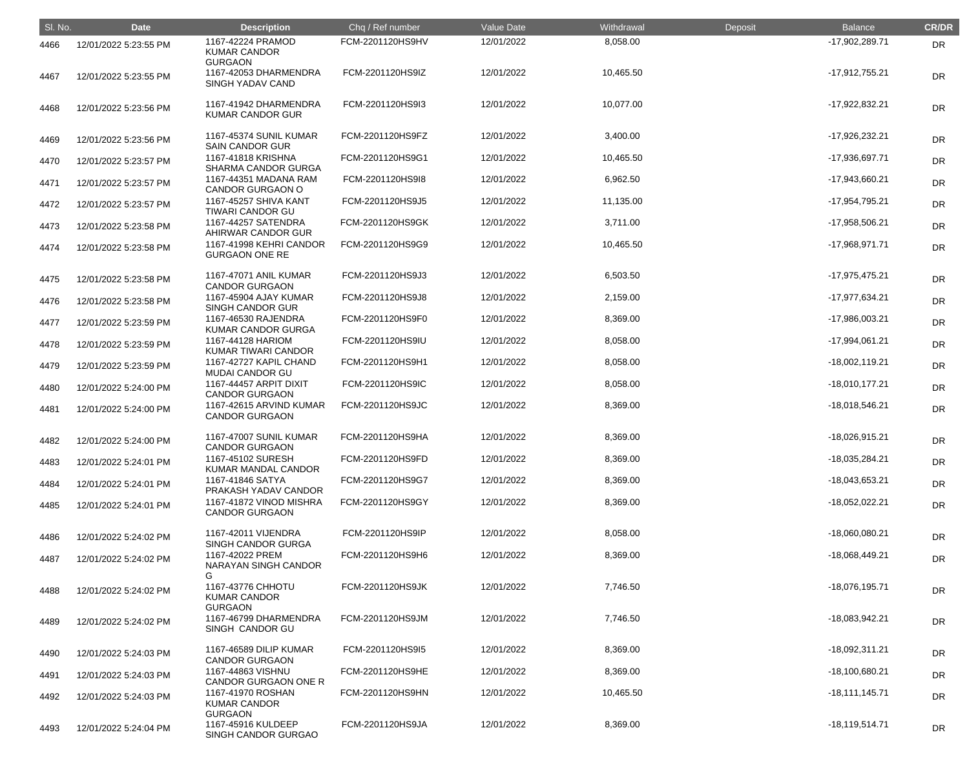| SI. No. | <b>Date</b>           | <b>Description</b>                                         | Chq / Ref number | Value Date | Withdrawal | Deposit | <b>Balance</b>   | <b>CR/DR</b> |
|---------|-----------------------|------------------------------------------------------------|------------------|------------|------------|---------|------------------|--------------|
| 4466    | 12/01/2022 5:23:55 PM | 1167-42224 PRAMOD<br><b>KUMAR CANDOR</b><br><b>GURGAON</b> | FCM-2201120HS9HV | 12/01/2022 | 8,058.00   |         | -17,902,289.71   | <b>DR</b>    |
| 4467    | 12/01/2022 5:23:55 PM | 1167-42053 DHARMENDRA<br>SINGH YADAV CAND                  | FCM-2201120HS9IZ | 12/01/2022 | 10,465.50  |         | $-17,912,755.21$ | <b>DR</b>    |
| 4468    | 12/01/2022 5:23:56 PM | 1167-41942 DHARMENDRA<br>KUMAR CANDOR GUR                  | FCM-2201120HS9I3 | 12/01/2022 | 10,077.00  |         | $-17,922,832.21$ | <b>DR</b>    |
| 4469    | 12/01/2022 5:23:56 PM | 1167-45374 SUNIL KUMAR<br><b>SAIN CANDOR GUR</b>           | FCM-2201120HS9FZ | 12/01/2022 | 3,400.00   |         | $-17,926,232.21$ | <b>DR</b>    |
| 4470    | 12/01/2022 5:23:57 PM | 1167-41818 KRISHNA<br><b>SHARMA CANDOR GURGA</b>           | FCM-2201120HS9G1 | 12/01/2022 | 10,465.50  |         | -17,936,697.71   | <b>DR</b>    |
| 4471    | 12/01/2022 5:23:57 PM | 1167-44351 MADANA RAM<br><b>CANDOR GURGAON O</b>           | FCM-2201120HS9l8 | 12/01/2022 | 6,962.50   |         | -17,943,660.21   | <b>DR</b>    |
| 4472    | 12/01/2022 5:23:57 PM | 1167-45257 SHIVA KANT<br><b>TIWARI CANDOR GU</b>           | FCM-2201120HS9J5 | 12/01/2022 | 11,135.00  |         | -17,954,795.21   | <b>DR</b>    |
| 4473    | 12/01/2022 5:23:58 PM | 1167-44257 SATENDRA<br>AHIRWAR CANDOR GUR                  | FCM-2201120HS9GK | 12/01/2022 | 3,711.00   |         | -17,958,506.21   | <b>DR</b>    |
| 4474    | 12/01/2022 5:23:58 PM | 1167-41998 KEHRI CANDOR<br><b>GURGAON ONE RE</b>           | FCM-2201120HS9G9 | 12/01/2022 | 10,465.50  |         | $-17,968,971.71$ | <b>DR</b>    |
| 4475    | 12/01/2022 5:23:58 PM | 1167-47071 ANIL KUMAR<br><b>CANDOR GURGAON</b>             | FCM-2201120HS9J3 | 12/01/2022 | 6,503.50   |         | $-17,975,475.21$ | <b>DR</b>    |
| 4476    | 12/01/2022 5:23:58 PM | 1167-45904 AJAY KUMAR<br>SINGH CANDOR GUR                  | FCM-2201120HS9J8 | 12/01/2022 | 2,159.00   |         | -17,977,634.21   | <b>DR</b>    |
| 4477    | 12/01/2022 5:23:59 PM | 1167-46530 RAJENDRA<br>KUMAR CANDOR GURGA                  | FCM-2201120HS9F0 | 12/01/2022 | 8,369.00   |         | -17,986,003.21   | <b>DR</b>    |
| 4478    | 12/01/2022 5:23:59 PM | 1167-44128 HARIOM<br>KUMAR TIWARI CANDOR                   | FCM-2201120HS9IU | 12/01/2022 | 8,058.00   |         | $-17,994,061.21$ | <b>DR</b>    |
| 4479    | 12/01/2022 5:23:59 PM | 1167-42727 KAPIL CHAND<br><b>MUDAI CANDOR GU</b>           | FCM-2201120HS9H1 | 12/01/2022 | 8,058.00   |         | $-18,002,119.21$ | <b>DR</b>    |
| 4480    | 12/01/2022 5:24:00 PM | 1167-44457 ARPIT DIXIT<br><b>CANDOR GURGAON</b>            | FCM-2201120HS9IC | 12/01/2022 | 8,058.00   |         | $-18,010,177.21$ | <b>DR</b>    |
| 4481    | 12/01/2022 5:24:00 PM | 1167-42615 ARVIND KUMAR<br><b>CANDOR GURGAON</b>           | FCM-2201120HS9JC | 12/01/2022 | 8,369.00   |         | $-18,018,546.21$ | <b>DR</b>    |
| 4482    | 12/01/2022 5:24:00 PM | 1167-47007 SUNIL KUMAR<br><b>CANDOR GURGAON</b>            | FCM-2201120HS9HA | 12/01/2022 | 8,369.00   |         | $-18,026,915.21$ | DR           |
| 4483    | 12/01/2022 5:24:01 PM | 1167-45102 SURESH<br>KUMAR MANDAL CANDOR                   | FCM-2201120HS9FD | 12/01/2022 | 8,369.00   |         | -18,035,284.21   | DR           |
| 4484    | 12/01/2022 5:24:01 PM | 1167-41846 SATYA<br>PRAKASH YADAV CANDOR                   | FCM-2201120HS9G7 | 12/01/2022 | 8,369.00   |         | -18,043,653.21   | DR           |
| 4485    | 12/01/2022 5:24:01 PM | 1167-41872 VINOD MISHRA<br><b>CANDOR GURGAON</b>           | FCM-2201120HS9GY | 12/01/2022 | 8,369.00   |         | $-18,052,022.21$ | DR           |
| 4486    | 12/01/2022 5:24:02 PM | 1167-42011 VIJENDRA<br>SINGH CANDOR GURGA                  | FCM-2201120HS9IP | 12/01/2022 | 8,058.00   |         | $-18,060,080.21$ | DR           |
| 4487    | 12/01/2022 5:24:02 PM | 1167-42022 PREM<br>NARAYAN SINGH CANDOR                    | FCM-2201120HS9H6 | 12/01/2022 | 8,369.00   |         | $-18,068,449.21$ | DR           |
| 4488    | 12/01/2022 5:24:02 PM | G<br>1167-43776 CHHOTU<br><b>KUMAR CANDOR</b>              | FCM-2201120HS9JK | 12/01/2022 | 7,746.50   |         | $-18,076,195.71$ | DR           |
| 4489    | 12/01/2022 5:24:02 PM | <b>GURGAON</b><br>1167-46799 DHARMENDRA<br>SINGH CANDOR GU | FCM-2201120HS9JM | 12/01/2022 | 7,746.50   |         | $-18,083,942.21$ | <b>DR</b>    |
| 4490    | 12/01/2022 5:24:03 PM | 1167-46589 DILIP KUMAR<br><b>CANDOR GURGAON</b>            | FCM-2201120HS9I5 | 12/01/2022 | 8,369.00   |         | $-18,092,311.21$ | <b>DR</b>    |
| 4491    | 12/01/2022 5:24:03 PM | 1167-44863 VISHNU<br><b>CANDOR GURGAON ONE R</b>           | FCM-2201120HS9HE | 12/01/2022 | 8,369.00   |         | $-18,100,680.21$ | DR           |
| 4492    | 12/01/2022 5:24:03 PM | 1167-41970 ROSHAN<br><b>KUMAR CANDOR</b><br><b>GURGAON</b> | FCM-2201120HS9HN | 12/01/2022 | 10,465.50  |         | $-18,111,145.71$ | DR           |
| 4493    | 12/01/2022 5:24:04 PM | 1167-45916 KULDEEP<br>SINGH CANDOR GURGAO                  | FCM-2201120HS9JA | 12/01/2022 | 8,369.00   |         | $-18,119,514.71$ | <b>DR</b>    |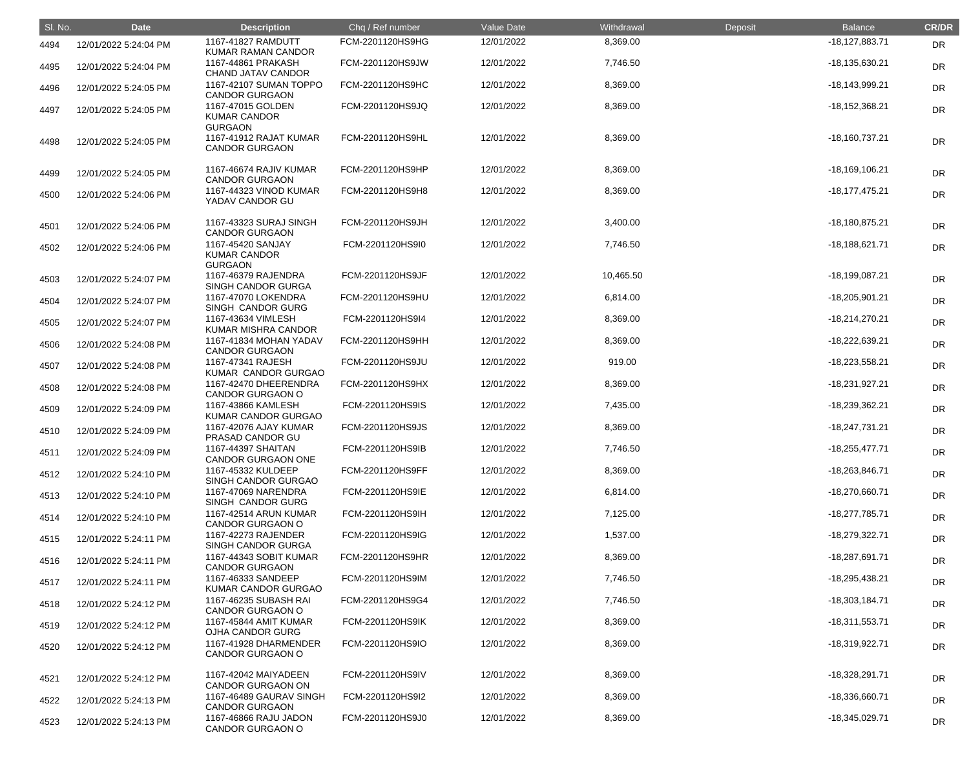| SI. No. | <b>Date</b>           | <b>Description</b>                                         | Chq / Ref number | Value Date | Withdrawal | Deposit | <b>Balance</b>   | <b>CR/DR</b> |
|---------|-----------------------|------------------------------------------------------------|------------------|------------|------------|---------|------------------|--------------|
| 4494    | 12/01/2022 5:24:04 PM | 1167-41827 RAMDUTT<br>KUMAR RAMAN CANDOR                   | FCM-2201120HS9HG | 12/01/2022 | 8,369.00   |         | $-18,127,883.71$ | <b>DR</b>    |
| 4495    | 12/01/2022 5:24:04 PM | 1167-44861 PRAKASH<br><b>CHAND JATAV CANDOR</b>            | FCM-2201120HS9JW | 12/01/2022 | 7,746.50   |         | $-18,135,630.21$ | <b>DR</b>    |
| 4496    | 12/01/2022 5:24:05 PM | 1167-42107 SUMAN TOPPO<br><b>CANDOR GURGAON</b>            | FCM-2201120HS9HC | 12/01/2022 | 8,369.00   |         | $-18,143,999.21$ | <b>DR</b>    |
| 4497    | 12/01/2022 5:24:05 PM | 1167-47015 GOLDEN<br><b>KUMAR CANDOR</b><br><b>GURGAON</b> | FCM-2201120HS9JQ | 12/01/2022 | 8,369.00   |         | $-18,152,368.21$ | <b>DR</b>    |
| 4498    | 12/01/2022 5:24:05 PM | 1167-41912 RAJAT KUMAR<br><b>CANDOR GURGAON</b>            | FCM-2201120HS9HL | 12/01/2022 | 8,369.00   |         | -18,160,737.21   | <b>DR</b>    |
| 4499    | 12/01/2022 5:24:05 PM | 1167-46674 RAJIV KUMAR<br><b>CANDOR GURGAON</b>            | FCM-2201120HS9HP | 12/01/2022 | 8,369.00   |         | -18,169,106.21   | <b>DR</b>    |
| 4500    | 12/01/2022 5:24:06 PM | 1167-44323 VINOD KUMAR<br>YADAV CANDOR GU                  | FCM-2201120HS9H8 | 12/01/2022 | 8,369.00   |         | $-18,177,475.21$ | <b>DR</b>    |
| 4501    | 12/01/2022 5:24:06 PM | 1167-43323 SURAJ SINGH<br><b>CANDOR GURGAON</b>            | FCM-2201120HS9JH | 12/01/2022 | 3,400.00   |         | $-18,180,875.21$ | <b>DR</b>    |
| 4502    | 12/01/2022 5:24:06 PM | 1167-45420 SANJAY<br><b>KUMAR CANDOR</b><br><b>GURGAON</b> | FCM-2201120HS9I0 | 12/01/2022 | 7,746.50   |         | $-18,188,621.71$ | <b>DR</b>    |
| 4503    | 12/01/2022 5:24:07 PM | 1167-46379 RAJENDRA<br>SINGH CANDOR GURGA                  | FCM-2201120HS9JF | 12/01/2022 | 10,465.50  |         | -18,199,087.21   | <b>DR</b>    |
| 4504    | 12/01/2022 5:24:07 PM | 1167-47070 LOKENDRA<br>SINGH CANDOR GURG                   | FCM-2201120HS9HU | 12/01/2022 | 6,814.00   |         | $-18,205,901.21$ | DR           |
| 4505    | 12/01/2022 5:24:07 PM | 1167-43634 VIMLESH<br>KUMAR MISHRA CANDOR                  | FCM-2201120HS9I4 | 12/01/2022 | 8,369.00   |         | $-18,214,270.21$ | DR           |
| 4506    | 12/01/2022 5:24:08 PM | 1167-41834 MOHAN YADAV<br><b>CANDOR GURGAON</b>            | FCM-2201120HS9HH | 12/01/2022 | 8,369.00   |         | -18,222,639.21   | <b>DR</b>    |
| 4507    | 12/01/2022 5:24:08 PM | 1167-47341 RAJESH<br>KUMAR CANDOR GURGAO                   | FCM-2201120HS9JU | 12/01/2022 | 919.00     |         | $-18,223,558.21$ | <b>DR</b>    |
| 4508    | 12/01/2022 5:24:08 PM | 1167-42470 DHEERENDRA<br><b>CANDOR GURGAON O</b>           | FCM-2201120HS9HX | 12/01/2022 | 8,369.00   |         | -18,231,927.21   | DR           |
| 4509    | 12/01/2022 5:24:09 PM | 1167-43866 KAMLESH<br>KUMAR CANDOR GURGAO                  | FCM-2201120HS9IS | 12/01/2022 | 7,435.00   |         | -18,239,362.21   | <b>DR</b>    |
| 4510    | 12/01/2022 5:24:09 PM | 1167-42076 AJAY KUMAR<br>PRASAD CANDOR GU                  | FCM-2201120HS9JS | 12/01/2022 | 8,369.00   |         | $-18,247,731.21$ | <b>DR</b>    |
| 4511    | 12/01/2022 5:24:09 PM | 1167-44397 SHAITAN<br><b>CANDOR GURGAON ONE</b>            | FCM-2201120HS9IB | 12/01/2022 | 7,746.50   |         | $-18,255,477.71$ | <b>DR</b>    |
| 4512    | 12/01/2022 5:24:10 PM | 1167-45332 KULDEEP<br>SINGH CANDOR GURGAO                  | FCM-2201120HS9FF | 12/01/2022 | 8,369.00   |         | -18,263,846.71   | DR           |
| 4513    | 12/01/2022 5:24:10 PM | 1167-47069 NARENDRA<br>SINGH CANDOR GURG                   | FCM-2201120HS9IE | 12/01/2022 | 6,814.00   |         | -18,270,660.71   | DR           |
| 4514    | 12/01/2022 5:24:10 PM | 1167-42514 ARUN KUMAR<br><b>CANDOR GURGAON O</b>           | FCM-2201120HS9IH | 12/01/2022 | 7,125.00   |         | -18,277,785.71   | <b>DR</b>    |
| 4515    | 12/01/2022 5:24:11 PM | 1167-42273 RAJENDER<br>SINGH CANDOR GURGA                  | FCM-2201120HS9IG | 12/01/2022 | 1,537.00   |         | -18,279,322.71   | <b>DR</b>    |
| 4516    | 12/01/2022 5:24:11 PM | 1167-44343 SOBIT KUMAR<br><b>CANDOR GURGAON</b>            | FCM-2201120HS9HR | 12/01/2022 | 8,369.00   |         | -18,287,691.71   | DR           |
| 4517    | 12/01/2022 5:24:11 PM | 1167-46333 SANDEEP<br>KUMAR CANDOR GURGAO                  | FCM-2201120HS9IM | 12/01/2022 | 7,746.50   |         | -18,295,438.21   | <b>DR</b>    |
| 4518    | 12/01/2022 5:24:12 PM | 1167-46235 SUBASH RAI<br><b>CANDOR GURGAON O</b>           | FCM-2201120HS9G4 | 12/01/2022 | 7,746.50   |         | $-18,303,184.71$ | <b>DR</b>    |
| 4519    | 12/01/2022 5:24:12 PM | 1167-45844 AMIT KUMAR<br>OJHA CANDOR GURG                  | FCM-2201120HS9IK | 12/01/2022 | 8,369.00   |         | $-18,311,553.71$ | <b>DR</b>    |
| 4520    | 12/01/2022 5:24:12 PM | 1167-41928 DHARMENDER<br><b>CANDOR GURGAON O</b>           | FCM-2201120HS9IO | 12/01/2022 | 8,369.00   |         | -18,319,922.71   | <b>DR</b>    |
| 4521    | 12/01/2022 5:24:12 PM | 1167-42042 MAIYADEEN<br><b>CANDOR GURGAON ON</b>           | FCM-2201120HS9IV | 12/01/2022 | 8,369.00   |         | -18,328,291.71   | DR           |
| 4522    | 12/01/2022 5:24:13 PM | 1167-46489 GAURAV SINGH<br><b>CANDOR GURGAON</b>           | FCM-2201120HS9I2 | 12/01/2022 | 8,369.00   |         | -18,336,660.71   | <b>DR</b>    |
| 4523    | 12/01/2022 5:24:13 PM | 1167-46866 RAJU JADON<br><b>CANDOR GURGAON O</b>           | FCM-2201120HS9J0 | 12/01/2022 | 8,369.00   |         | -18,345,029.71   | <b>DR</b>    |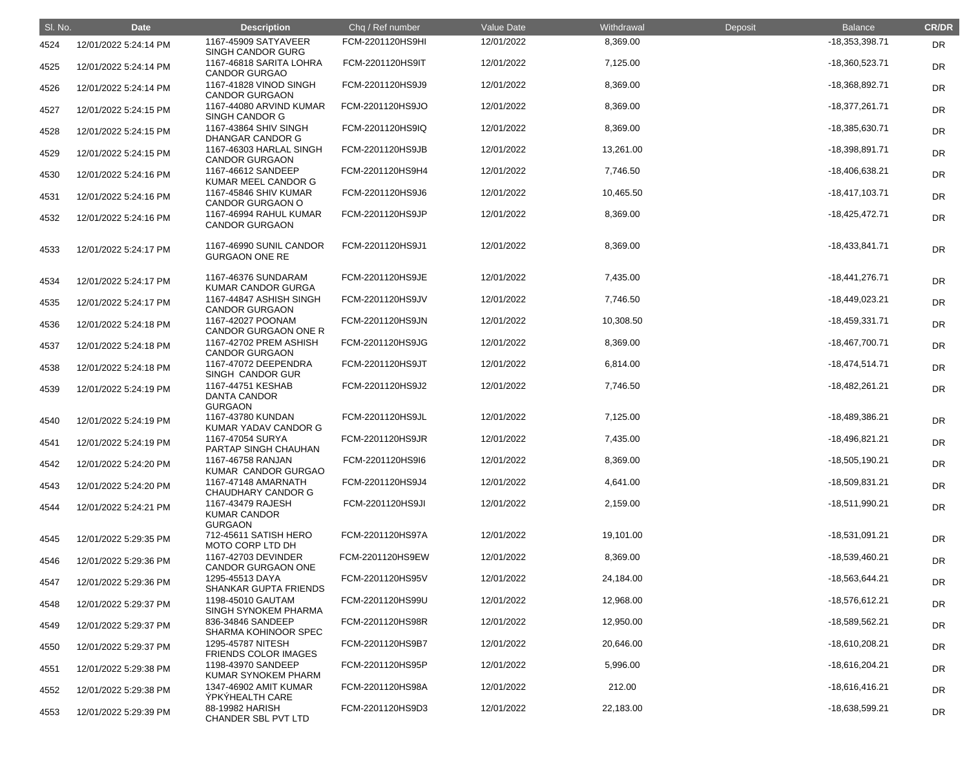| SI. No. | <b>Date</b>           | <b>Description</b>                                         | Chq / Ref number | Value Date | Withdrawal | Deposit | <b>Balance</b>   | <b>CR/DR</b> |
|---------|-----------------------|------------------------------------------------------------|------------------|------------|------------|---------|------------------|--------------|
| 4524    | 12/01/2022 5:24:14 PM | 1167-45909 SATYAVEER<br>SINGH CANDOR GURG                  | FCM-2201120HS9HI | 12/01/2022 | 8,369.00   |         | -18,353,398.71   | <b>DR</b>    |
| 4525    | 12/01/2022 5:24:14 PM | 1167-46818 SARITA LOHRA<br><b>CANDOR GURGAO</b>            | FCM-2201120HS9IT | 12/01/2022 | 7,125.00   |         | -18,360,523.71   | <b>DR</b>    |
| 4526    | 12/01/2022 5:24:14 PM | 1167-41828 VINOD SINGH<br><b>CANDOR GURGAON</b>            | FCM-2201120HS9J9 | 12/01/2022 | 8,369.00   |         | -18,368,892.71   | <b>DR</b>    |
| 4527    | 12/01/2022 5:24:15 PM | 1167-44080 ARVIND KUMAR<br>SINGH CANDOR G                  | FCM-2201120HS9JO | 12/01/2022 | 8,369.00   |         | $-18,377,261.71$ | <b>DR</b>    |
| 4528    | 12/01/2022 5:24:15 PM | 1167-43864 SHIV SINGH<br><b>DHANGAR CANDOR G</b>           | FCM-2201120HS9IQ | 12/01/2022 | 8,369.00   |         | -18,385,630.71   | <b>DR</b>    |
| 4529    | 12/01/2022 5:24:15 PM | 1167-46303 HARLAL SINGH<br><b>CANDOR GURGAON</b>           | FCM-2201120HS9JB | 12/01/2022 | 13,261.00  |         | -18,398,891.71   | <b>DR</b>    |
| 4530    | 12/01/2022 5:24:16 PM | 1167-46612 SANDEEP<br>KUMAR MEEL CANDOR G                  | FCM-2201120HS9H4 | 12/01/2022 | 7,746.50   |         | -18,406,638.21   | <b>DR</b>    |
| 4531    | 12/01/2022 5:24:16 PM | 1167-45846 SHIV KUMAR<br><b>CANDOR GURGAON O</b>           | FCM-2201120HS9J6 | 12/01/2022 | 10,465.50  |         | $-18,417,103.71$ | <b>DR</b>    |
| 4532    | 12/01/2022 5:24:16 PM | 1167-46994 RAHUL KUMAR<br><b>CANDOR GURGAON</b>            | FCM-2201120HS9JP | 12/01/2022 | 8,369.00   |         | $-18,425,472.71$ | <b>DR</b>    |
| 4533    | 12/01/2022 5:24:17 PM | 1167-46990 SUNIL CANDOR<br><b>GURGAON ONE RE</b>           | FCM-2201120HS9J1 | 12/01/2022 | 8,369.00   |         | $-18,433,841.71$ | DR           |
| 4534    | 12/01/2022 5:24:17 PM | 1167-46376 SUNDARAM<br>KUMAR CANDOR GURGA                  | FCM-2201120HS9JE | 12/01/2022 | 7,435.00   |         | $-18,441,276.71$ | DR           |
| 4535    | 12/01/2022 5:24:17 PM | 1167-44847 ASHISH SINGH<br><b>CANDOR GURGAON</b>           | FCM-2201120HS9JV | 12/01/2022 | 7,746.50   |         | $-18,449,023.21$ | DR           |
| 4536    | 12/01/2022 5:24:18 PM | 1167-42027 POONAM<br><b>CANDOR GURGAON ONE R</b>           | FCM-2201120HS9JN | 12/01/2022 | 10,308.50  |         | $-18,459,331.71$ | <b>DR</b>    |
| 4537    | 12/01/2022 5:24:18 PM | 1167-42702 PREM ASHISH<br><b>CANDOR GURGAON</b>            | FCM-2201120HS9JG | 12/01/2022 | 8,369.00   |         | -18,467,700.71   | DR           |
| 4538    | 12/01/2022 5:24:18 PM | 1167-47072 DEEPENDRA<br>SINGH CANDOR GUR                   | FCM-2201120HS9JT | 12/01/2022 | 6,814.00   |         | $-18,474,514.71$ | DR           |
| 4539    | 12/01/2022 5:24:19 PM | 1167-44751 KESHAB<br><b>DANTA CANDOR</b><br><b>GURGAON</b> | FCM-2201120HS9J2 | 12/01/2022 | 7,746.50   |         | -18,482,261.21   | <b>DR</b>    |
| 4540    | 12/01/2022 5:24:19 PM | 1167-43780 KUNDAN<br>KUMAR YADAV CANDOR G                  | FCM-2201120HS9JL | 12/01/2022 | 7,125.00   |         | -18,489,386.21   | DR           |
| 4541    | 12/01/2022 5:24:19 PM | 1167-47054 SURYA<br>PARTAP SINGH CHAUHAN                   | FCM-2201120HS9JR | 12/01/2022 | 7,435.00   |         | -18,496,821.21   | <b>DR</b>    |
| 4542    | 12/01/2022 5:24:20 PM | 1167-46758 RANJAN<br>KUMAR CANDOR GURGAO                   | FCM-2201120HS9l6 | 12/01/2022 | 8,369.00   |         | -18,505,190.21   | <b>DR</b>    |
| 4543    | 12/01/2022 5:24:20 PM | 1167-47148 AMARNATH<br><b>CHAUDHARY CANDOR G</b>           | FCM-2201120HS9J4 | 12/01/2022 | 4,641.00   |         | -18,509,831.21   | DR           |
| 4544    | 12/01/2022 5:24:21 PM | 1167-43479 RAJESH<br><b>KUMAR CANDOR</b><br><b>GURGAON</b> | FCM-2201120HS9JI | 12/01/2022 | 2,159.00   |         | -18,511,990.21   | <b>DR</b>    |
| 4545    | 12/01/2022 5:29:35 PM | 712-45611 SATISH HERO<br>MOTO CORP LTD DH                  | FCM-2201120HS97A | 12/01/2022 | 19,101.00  |         | -18,531,091.21   | <b>DR</b>    |
| 4546    | 12/01/2022 5:29:36 PM | 1167-42703 DEVINDER<br><b>CANDOR GURGAON ONE</b>           | FCM-2201120HS9EW | 12/01/2022 | 8,369.00   |         | -18,539,460.21   | DR           |
| 4547    | 12/01/2022 5:29:36 PM | 1295-45513 DAYA<br><b>SHANKAR GUPTA FRIENDS</b>            | FCM-2201120HS95V | 12/01/2022 | 24,184.00  |         | -18,563,644.21   | DR           |
| 4548    | 12/01/2022 5:29:37 PM | 1198-45010 GAUTAM<br>SINGH SYNOKEM PHARMA                  | FCM-2201120HS99U | 12/01/2022 | 12,968.00  |         | -18,576,612.21   | DR           |
| 4549    | 12/01/2022 5:29:37 PM | 836-34846 SANDEEP<br>SHARMA KOHINOOR SPEC                  | FCM-2201120HS98R | 12/01/2022 | 12,950.00  |         | -18,589,562.21   | DR           |
| 4550    | 12/01/2022 5:29:37 PM | 1295-45787 NITESH<br><b>FRIENDS COLOR IMAGES</b>           | FCM-2201120HS9B7 | 12/01/2022 | 20,646.00  |         | -18,610,208.21   | DR           |
| 4551    | 12/01/2022 5:29:38 PM | 1198-43970 SANDEEP<br>KUMAR SYNOKEM PHARM                  | FCM-2201120HS95P | 12/01/2022 | 5,996.00   |         | $-18,616,204.21$ | DR           |
| 4552    | 12/01/2022 5:29:38 PM | 1347-46902 AMIT KUMAR<br>ÝPKÝHEALTH CARE                   | FCM-2201120HS98A | 12/01/2022 | 212.00     |         | $-18,616,416.21$ | DR           |
| 4553    | 12/01/2022 5:29:39 PM | 88-19982 HARISH<br>CHANDER SBL PVT LTD                     | FCM-2201120HS9D3 | 12/01/2022 | 22,183.00  |         | -18,638,599.21   | <b>DR</b>    |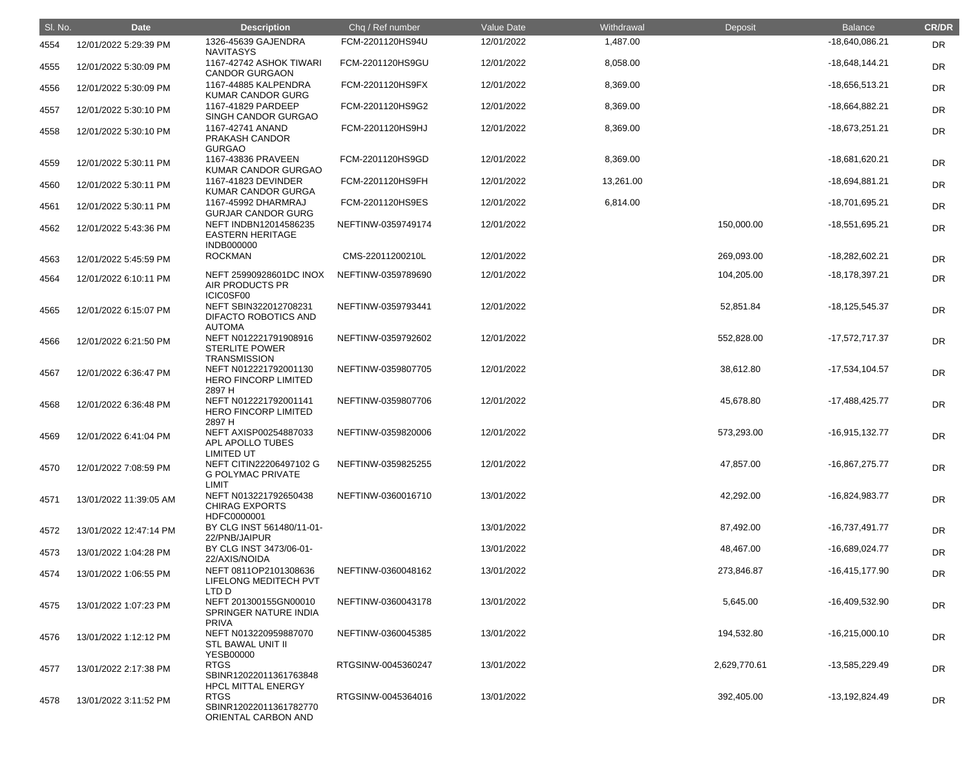| SI. No. | <b>Date</b>            | <b>Description</b>                                                                        | Chq / Ref number   | Value Date | Withdrawal | Deposit      | <b>Balance</b>     | <b>CR/DR</b> |
|---------|------------------------|-------------------------------------------------------------------------------------------|--------------------|------------|------------|--------------|--------------------|--------------|
| 4554    | 12/01/2022 5:29:39 PM  | 1326-45639 GAJENDRA<br><b>NAVITASYS</b>                                                   | FCM-2201120HS94U   | 12/01/2022 | 1,487.00   |              | -18,640,086.21     | <b>DR</b>    |
| 4555    | 12/01/2022 5:30:09 PM  | 1167-42742 ASHOK TIWARI<br><b>CANDOR GURGAON</b>                                          | FCM-2201120HS9GU   | 12/01/2022 | 8,058.00   |              | $-18,648,144.21$   | <b>DR</b>    |
| 4556    | 12/01/2022 5:30:09 PM  | 1167-44885 KALPENDRA<br><b>KUMAR CANDOR GURG</b>                                          | FCM-2201120HS9FX   | 12/01/2022 | 8,369.00   |              | -18,656,513.21     | <b>DR</b>    |
| 4557    | 12/01/2022 5:30:10 PM  | 1167-41829 PARDEEP<br>SINGH CANDOR GURGAO                                                 | FCM-2201120HS9G2   | 12/01/2022 | 8,369.00   |              | -18,664,882.21     | <b>DR</b>    |
| 4558    | 12/01/2022 5:30:10 PM  | 1167-42741 ANAND<br>PRAKASH CANDOR<br><b>GURGAO</b>                                       | FCM-2201120HS9HJ   | 12/01/2022 | 8,369.00   |              | $-18,673,251.21$   | <b>DR</b>    |
| 4559    | 12/01/2022 5:30:11 PM  | 1167-43836 PRAVEEN<br>KUMAR CANDOR GURGAO                                                 | FCM-2201120HS9GD   | 12/01/2022 | 8,369.00   |              | -18,681,620.21     | DR           |
| 4560    | 12/01/2022 5:30:11 PM  | 1167-41823 DEVINDER<br><b>KUMAR CANDOR GURGA</b>                                          | FCM-2201120HS9FH   | 12/01/2022 | 13,261.00  |              | -18,694,881.21     | <b>DR</b>    |
| 4561    | 12/01/2022 5:30:11 PM  | 1167-45992 DHARMRAJ<br><b>GURJAR CANDOR GURG</b>                                          | FCM-2201120HS9ES   | 12/01/2022 | 6,814.00   |              | -18,701,695.21     | <b>DR</b>    |
| 4562    | 12/01/2022 5:43:36 PM  | NEFT INDBN12014586235<br><b>EASTERN HERITAGE</b><br><b>INDB000000</b>                     | NEFTINW-0359749174 | 12/01/2022 |            | 150,000.00   | $-18,551,695.21$   | <b>DR</b>    |
| 4563    | 12/01/2022 5:45:59 PM  | <b>ROCKMAN</b>                                                                            | CMS-22011200210L   | 12/01/2022 |            | 269,093.00   | $-18,282,602.21$   | <b>DR</b>    |
| 4564    | 12/01/2022 6:10:11 PM  | NEFT 25990928601DC INOX<br>AIR PRODUCTS PR<br>ICIC0SF00                                   | NEFTINW-0359789690 | 12/01/2022 |            | 104,205.00   | $-18,178,397.21$   | <b>DR</b>    |
| 4565    | 12/01/2022 6:15:07 PM  | NEFT SBIN322012708231<br>DIFACTO ROBOTICS AND<br><b>AUTOMA</b>                            | NEFTINW-0359793441 | 12/01/2022 |            | 52,851.84    | $-18, 125, 545.37$ | <b>DR</b>    |
| 4566    | 12/01/2022 6:21:50 PM  | NEFT N012221791908916<br><b>STERLITE POWER</b><br><b>TRANSMISSION</b>                     | NEFTINW-0359792602 | 12/01/2022 |            | 552,828.00   | $-17,572,717.37$   | <b>DR</b>    |
| 4567    | 12/01/2022 6:36:47 PM  | NEFT N012221792001130<br><b>HERO FINCORP LIMITED</b><br>2897 H                            | NEFTINW-0359807705 | 12/01/2022 |            | 38,612.80    | $-17,534,104.57$   | <b>DR</b>    |
| 4568    | 12/01/2022 6:36:48 PM  | NEFT N012221792001141<br><b>HERO FINCORP LIMITED</b>                                      | NEFTINW-0359807706 | 12/01/2022 |            | 45,678.80    | $-17,488,425.77$   | <b>DR</b>    |
| 4569    | 12/01/2022 6:41:04 PM  | 2897 H<br>NEFT AXISP00254887033<br>APL APOLLO TUBES<br><b>LIMITED UT</b>                  | NEFTINW-0359820006 | 12/01/2022 |            | 573,293.00   | $-16,915,132.77$   | <b>DR</b>    |
| 4570    | 12/01/2022 7:08:59 PM  | NEFT CITIN22206497102 G<br><b>G POLYMAC PRIVATE</b><br><b>LIMIT</b>                       | NEFTINW-0359825255 | 12/01/2022 |            | 47,857.00    | -16,867,275.77     | <b>DR</b>    |
| 4571    | 13/01/2022 11:39:05 AM | NEFT N013221792650438<br><b>CHIRAG EXPORTS</b><br>HDFC0000001                             | NEFTINW-0360016710 | 13/01/2022 |            | 42,292.00    | -16,824,983.77     | <b>DR</b>    |
| 4572    | 13/01/2022 12:47:14 PM | BY CLG INST 561480/11-01-<br>22/PNB/JAIPUR                                                |                    | 13/01/2022 |            | 87,492.00    | -16,737,491.77     | <b>DR</b>    |
| 4573    | 13/01/2022 1:04:28 PM  | BY CLG INST 3473/06-01-<br>22/AXIS/NOIDA                                                  |                    | 13/01/2022 |            | 48,467.00    | -16,689,024.77     | DR           |
| 4574    | 13/01/2022 1:06:55 PM  | NEFT 0811OP2101308636<br>LIFELONG MEDITECH PVT<br>LTD <sub>D</sub>                        | NEFTINW-0360048162 | 13/01/2022 |            | 273,846.87   | $-16,415,177.90$   | <b>DR</b>    |
| 4575    | 13/01/2022 1:07:23 PM  | NEFT 201300155GN00010<br>SPRINGER NATURE INDIA<br><b>PRIVA</b>                            | NEFTINW-0360043178 | 13/01/2022 |            | 5,645.00     | -16,409,532.90     | <b>DR</b>    |
| 4576    | 13/01/2022 1:12:12 PM  | NEFT N013220959887070<br><b>STL BAWAL UNIT II</b>                                         | NEFTINW-0360045385 | 13/01/2022 |            | 194,532.80   | $-16,215,000.10$   | <b>DR</b>    |
| 4577    | 13/01/2022 2:17:38 PM  | <b>YESB00000</b><br><b>RTGS</b><br>SBINR12022011361763848                                 | RTGSINW-0045360247 | 13/01/2022 |            | 2,629,770.61 | -13,585,229.49     | <b>DR</b>    |
| 4578    | 13/01/2022 3:11:52 PM  | <b>HPCL MITTAL ENERGY</b><br><b>RTGS</b><br>SBINR12022011361782770<br>ORIENTAL CARBON AND | RTGSINW-0045364016 | 13/01/2022 |            | 392,405.00   | -13,192,824.49     | DR           |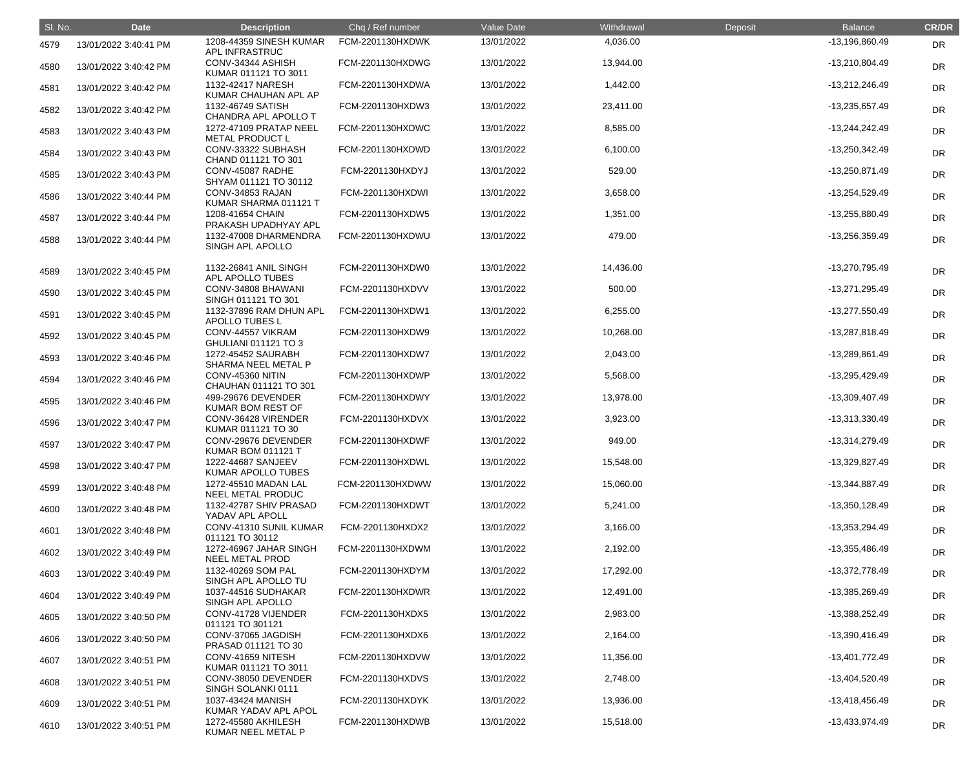| SI. No. | <b>Date</b>           | <b>Description</b>                               | Chq / Ref number | Value Date | Withdrawal | Deposit | <b>Balance</b>   | <b>CR/DR</b> |
|---------|-----------------------|--------------------------------------------------|------------------|------------|------------|---------|------------------|--------------|
| 4579    | 13/01/2022 3:40:41 PM | 1208-44359 SINESH KUMAR<br>APL INFRASTRUC        | FCM-2201130HXDWK | 13/01/2022 | 4,036.00   |         | -13,196,860.49   | <b>DR</b>    |
| 4580    | 13/01/2022 3:40:42 PM | CONV-34344 ASHISH<br>KUMAR 011121 TO 3011        | FCM-2201130HXDWG | 13/01/2022 | 13,944.00  |         | -13,210,804.49   | DR           |
| 4581    | 13/01/2022 3:40:42 PM | 1132-42417 NARESH<br>KUMAR CHAUHAN APL AP        | FCM-2201130HXDWA | 13/01/2022 | 1,442.00   |         | -13,212,246.49   | <b>DR</b>    |
| 4582    | 13/01/2022 3:40:42 PM | 1132-46749 SATISH<br>CHANDRA APL APOLLO T        | FCM-2201130HXDW3 | 13/01/2022 | 23,411.00  |         | -13,235,657.49   | <b>DR</b>    |
| 4583    | 13/01/2022 3:40:43 PM | 1272-47109 PRATAP NEEL<br><b>METAL PRODUCT L</b> | FCM-2201130HXDWC | 13/01/2022 | 8,585.00   |         | -13,244,242.49   | <b>DR</b>    |
| 4584    | 13/01/2022 3:40:43 PM | CONV-33322 SUBHASH<br>CHAND 011121 TO 301        | FCM-2201130HXDWD | 13/01/2022 | 6,100.00   |         | -13,250,342.49   | DR           |
| 4585    | 13/01/2022 3:40:43 PM | CONV-45087 RADHE<br>SHYAM 011121 TO 30112        | FCM-2201130HXDYJ | 13/01/2022 | 529.00     |         | -13,250,871.49   | DR           |
| 4586    | 13/01/2022 3:40:44 PM | CONV-34853 RAJAN<br>KUMAR SHARMA 011121 T        | FCM-2201130HXDWI | 13/01/2022 | 3,658.00   |         | -13,254,529.49   | <b>DR</b>    |
| 4587    | 13/01/2022 3:40:44 PM | 1208-41654 CHAIN<br>PRAKASH UPADHYAY APL         | FCM-2201130HXDW5 | 13/01/2022 | 1,351.00   |         | -13,255,880.49   | <b>DR</b>    |
| 4588    | 13/01/2022 3:40:44 PM | 1132-47008 DHARMENDRA<br>SINGH APL APOLLO        | FCM-2201130HXDWU | 13/01/2022 | 479.00     |         | -13,256,359.49   | <b>DR</b>    |
| 4589    | 13/01/2022 3:40:45 PM | 1132-26841 ANIL SINGH<br>APL APOLLO TUBES        | FCM-2201130HXDW0 | 13/01/2022 | 14,436.00  |         | -13,270,795.49   | DR           |
| 4590    | 13/01/2022 3:40:45 PM | CONV-34808 BHAWANI<br>SINGH 011121 TO 301        | FCM-2201130HXDVV | 13/01/2022 | 500.00     |         | -13,271,295.49   | <b>DR</b>    |
| 4591    | 13/01/2022 3:40:45 PM | 1132-37896 RAM DHUN APL<br><b>APOLLO TUBES L</b> | FCM-2201130HXDW1 | 13/01/2022 | 6,255.00   |         | -13,277,550.49   | <b>DR</b>    |
| 4592    | 13/01/2022 3:40:45 PM | CONV-44557 VIKRAM<br>GHULIANI 011121 TO 3        | FCM-2201130HXDW9 | 13/01/2022 | 10,268.00  |         | -13,287,818.49   | DR           |
| 4593    | 13/01/2022 3:40:46 PM | 1272-45452 SAURABH<br>SHARMA NEEL METAL P        | FCM-2201130HXDW7 | 13/01/2022 | 2,043.00   |         | -13,289,861.49   | DR           |
| 4594    | 13/01/2022 3:40:46 PM | CONV-45360 NITIN<br>CHAUHAN 011121 TO 301        | FCM-2201130HXDWP | 13/01/2022 | 5,568.00   |         | -13,295,429.49   | <b>DR</b>    |
| 4595    | 13/01/2022 3:40:46 PM | 499-29676 DEVENDER<br>KUMAR BOM REST OF          | FCM-2201130HXDWY | 13/01/2022 | 13,978.00  |         | -13,309,407.49   | <b>DR</b>    |
| 4596    | 13/01/2022 3:40:47 PM | CONV-36428 VIRENDER<br>KUMAR 011121 TO 30        | FCM-2201130HXDVX | 13/01/2022 | 3,923.00   |         | -13,313,330.49   | DR           |
| 4597    | 13/01/2022 3:40:47 PM | CONV-29676 DEVENDER<br><b>KUMAR BOM 011121 T</b> | FCM-2201130HXDWF | 13/01/2022 | 949.00     |         | $-13,314,279.49$ | <b>DR</b>    |
| 4598    | 13/01/2022 3:40:47 PM | 1222-44687 SANJEEV<br>KUMAR APOLLO TUBES         | FCM-2201130HXDWL | 13/01/2022 | 15,548.00  |         | -13,329,827.49   | <b>DR</b>    |
| 4599    | 13/01/2022 3:40:48 PM | 1272-45510 MADAN LAL<br>NEEL METAL PRODUC        | FCM-2201130HXDWW | 13/01/2022 | 15,060.00  |         | -13,344,887.49   | <b>DR</b>    |
| 4600    | 13/01/2022 3:40:48 PM | 1132-42787 SHIV PRASAD<br>YADAV APL APOLL        | FCM-2201130HXDWT | 13/01/2022 | 5,241.00   |         | $-13,350,128.49$ | <b>DR</b>    |
| 4601    | 13/01/2022 3:40:48 PM | CONV-41310 SUNIL KUMAR<br>011121 TO 30112        | FCM-2201130HXDX2 | 13/01/2022 | 3,166.00   |         | -13,353,294.49   | <b>DR</b>    |
| 4602    | 13/01/2022 3:40:49 PM | 1272-46967 JAHAR SINGH<br>NEEL METAL PROD        | FCM-2201130HXDWM | 13/01/2022 | 2,192.00   |         | -13,355,486.49   | <b>DR</b>    |
| 4603    | 13/01/2022 3:40:49 PM | 1132-40269 SOM PAL<br>SINGH APL APOLLO TU        | FCM-2201130HXDYM | 13/01/2022 | 17,292.00  |         | -13,372,778.49   | <b>DR</b>    |
| 4604    | 13/01/2022 3:40:49 PM | 1037-44516 SUDHAKAR<br>SINGH APL APOLLO          | FCM-2201130HXDWR | 13/01/2022 | 12,491.00  |         | -13,385,269.49   | <b>DR</b>    |
| 4605    | 13/01/2022 3:40:50 PM | CONV-41728 VIJENDER<br>011121 TO 301121          | FCM-2201130HXDX5 | 13/01/2022 | 2,983.00   |         | -13,388,252.49   | <b>DR</b>    |
| 4606    | 13/01/2022 3:40:50 PM | CONV-37065 JAGDISH<br>PRASAD 011121 TO 30        | FCM-2201130HXDX6 | 13/01/2022 | 2,164.00   |         | -13,390,416.49   | <b>DR</b>    |
| 4607    | 13/01/2022 3:40:51 PM | CONV-41659 NITESH<br>KUMAR 011121 TO 3011        | FCM-2201130HXDVW | 13/01/2022 | 11,356.00  |         | -13,401,772.49   | <b>DR</b>    |
| 4608    | 13/01/2022 3:40:51 PM | CONV-38050 DEVENDER<br>SINGH SOLANKI 0111        | FCM-2201130HXDVS | 13/01/2022 | 2,748.00   |         | -13,404,520.49   | <b>DR</b>    |
| 4609    | 13/01/2022 3:40:51 PM | 1037-43424 MANISH<br>KUMAR YADAV APL APOL        | FCM-2201130HXDYK | 13/01/2022 | 13,936.00  |         | $-13,418,456.49$ | <b>DR</b>    |
| 4610    | 13/01/2022 3:40:51 PM | 1272-45580 AKHILESH<br>KUMAR NEEL METAL P        | FCM-2201130HXDWB | 13/01/2022 | 15,518.00  |         | -13,433,974.49   | <b>DR</b>    |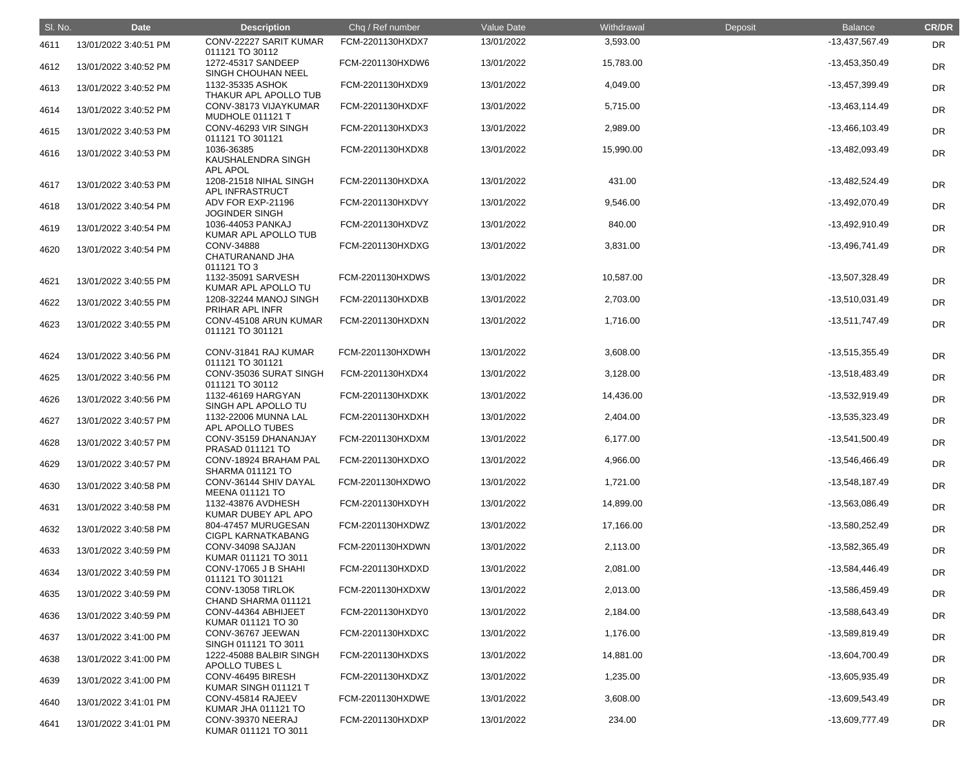| SI. No. | <b>Date</b>           | <b>Description</b>                                  | Chq / Ref number | Value Date | Withdrawal | Deposit | <b>Balance</b>   | <b>CR/DR</b> |
|---------|-----------------------|-----------------------------------------------------|------------------|------------|------------|---------|------------------|--------------|
| 4611    | 13/01/2022 3:40:51 PM | CONV-22227 SARIT KUMAR<br>011121 TO 30112           | FCM-2201130HXDX7 | 13/01/2022 | 3,593.00   |         | -13,437,567.49   | <b>DR</b>    |
| 4612    | 13/01/2022 3:40:52 PM | 1272-45317 SANDEEP<br>SINGH CHOUHAN NEEL            | FCM-2201130HXDW6 | 13/01/2022 | 15,783.00  |         | -13,453,350.49   | <b>DR</b>    |
| 4613    | 13/01/2022 3:40:52 PM | 1132-35335 ASHOK<br>THAKUR APL APOLLO TUB           | FCM-2201130HXDX9 | 13/01/2022 | 4,049.00   |         | -13,457,399.49   | <b>DR</b>    |
| 4614    | 13/01/2022 3:40:52 PM | CONV-38173 VIJAYKUMAR<br>MUDHOLE 011121 T           | FCM-2201130HXDXF | 13/01/2022 | 5,715.00   |         | $-13,463,114.49$ | <b>DR</b>    |
| 4615    | 13/01/2022 3:40:53 PM | CONV-46293 VIR SINGH<br>011121 TO 301121            | FCM-2201130HXDX3 | 13/01/2022 | 2,989.00   |         | -13,466,103.49   | DR           |
| 4616    | 13/01/2022 3:40:53 PM | 1036-36385<br>KAUSHALENDRA SINGH<br><b>APL APOL</b> | FCM-2201130HXDX8 | 13/01/2022 | 15,990.00  |         | -13,482,093.49   | <b>DR</b>    |
| 4617    | 13/01/2022 3:40:53 PM | 1208-21518 NIHAL SINGH<br>APL INFRASTRUCT           | FCM-2201130HXDXA | 13/01/2022 | 431.00     |         | -13,482,524.49   | <b>DR</b>    |
| 4618    | 13/01/2022 3:40:54 PM | ADV FOR EXP-21196<br><b>JOGINDER SINGH</b>          | FCM-2201130HXDVY | 13/01/2022 | 9,546.00   |         | -13,492,070.49   | DR           |
| 4619    | 13/01/2022 3:40:54 PM | 1036-44053 PANKAJ<br>KUMAR APL APOLLO TUB           | FCM-2201130HXDVZ | 13/01/2022 | 840.00     |         | -13,492,910.49   | <b>DR</b>    |
| 4620    | 13/01/2022 3:40:54 PM | CONV-34888<br>CHATURANAND JHA<br>011121 TO 3        | FCM-2201130HXDXG | 13/01/2022 | 3,831.00   |         | -13,496,741.49   | <b>DR</b>    |
| 4621    | 13/01/2022 3:40:55 PM | 1132-35091 SARVESH<br>KUMAR APL APOLLO TU           | FCM-2201130HXDWS | 13/01/2022 | 10,587.00  |         | -13,507,328.49   | <b>DR</b>    |
| 4622    | 13/01/2022 3:40:55 PM | 1208-32244 MANOJ SINGH<br>PRIHAR APL INFR           | FCM-2201130HXDXB | 13/01/2022 | 2,703.00   |         | $-13,510,031.49$ | DR           |
| 4623    | 13/01/2022 3:40:55 PM | CONV-45108 ARUN KUMAR<br>011121 TO 301121           | FCM-2201130HXDXN | 13/01/2022 | 1,716.00   |         | -13,511,747.49   | DR           |
| 4624    | 13/01/2022 3:40:56 PM | CONV-31841 RAJ KUMAR<br>011121 TO 301121            | FCM-2201130HXDWH | 13/01/2022 | 3,608.00   |         | -13,515,355.49   | <b>DR</b>    |
| 4625    | 13/01/2022 3:40:56 PM | CONV-35036 SURAT SINGH<br>011121 TO 30112           | FCM-2201130HXDX4 | 13/01/2022 | 3,128.00   |         | -13,518,483.49   | <b>DR</b>    |
| 4626    | 13/01/2022 3:40:56 PM | 1132-46169 HARGYAN<br>SINGH APL APOLLO TU           | FCM-2201130HXDXK | 13/01/2022 | 14,436.00  |         | -13,532,919.49   | <b>DR</b>    |
| 4627    | 13/01/2022 3:40:57 PM | 1132-22006 MUNNA LAL<br>APL APOLLO TUBES            | FCM-2201130HXDXH | 13/01/2022 | 2,404.00   |         | -13,535,323.49   | <b>DR</b>    |
| 4628    | 13/01/2022 3:40:57 PM | CONV-35159 DHANANJAY<br>PRASAD 011121 TO            | FCM-2201130HXDXM | 13/01/2022 | 6,177.00   |         | $-13,541,500.49$ | <b>DR</b>    |
| 4629    | 13/01/2022 3:40:57 PM | CONV-18924 BRAHAM PAL<br><b>SHARMA 011121 TO</b>    | FCM-2201130HXDXO | 13/01/2022 | 4,966.00   |         | -13,546,466.49   | <b>DR</b>    |
| 4630    | 13/01/2022 3:40:58 PM | CONV-36144 SHIV DAYAL<br><b>MEENA 011121 TO</b>     | FCM-2201130HXDWO | 13/01/2022 | 1,721.00   |         | $-13,548,187.49$ | DR           |
| 4631    | 13/01/2022 3:40:58 PM | 1132-43876 AVDHESH<br>KUMAR DUBEY APL APO           | FCM-2201130HXDYH | 13/01/2022 | 14,899.00  |         | -13,563,086.49   | <b>DR</b>    |
| 4632    | 13/01/2022 3:40:58 PM | 804-47457 MURUGESAN<br><b>CIGPL KARNATKABANG</b>    | FCM-2201130HXDWZ | 13/01/2022 | 17,166.00  |         | -13,580,252.49   | DR           |
| 4633    | 13/01/2022 3:40:59 PM | CONV-34098 SAJJAN<br>KUMAR 011121 TO 3011           | FCM-2201130HXDWN | 13/01/2022 | 2,113.00   |         | -13,582,365.49   | <b>DR</b>    |
| 4634    | 13/01/2022 3:40:59 PM | CONV-17065 J B SHAHI<br>011121 TO 301121            | FCM-2201130HXDXD | 13/01/2022 | 2,081.00   |         | -13,584,446.49   | DR           |
| 4635    | 13/01/2022 3:40:59 PM | CONV-13058 TIRLOK<br>CHAND SHARMA 011121            | FCM-2201130HXDXW | 13/01/2022 | 2,013.00   |         | -13,586,459.49   | <b>DR</b>    |
| 4636    | 13/01/2022 3:40:59 PM | CONV-44364 ABHIJEET<br>KUMAR 011121 TO 30           | FCM-2201130HXDY0 | 13/01/2022 | 2,184.00   |         | -13,588,643.49   | <b>DR</b>    |
| 4637    | 13/01/2022 3:41:00 PM | CONV-36767 JEEWAN<br>SINGH 011121 TO 3011           | FCM-2201130HXDXC | 13/01/2022 | 1,176.00   |         | -13,589,819.49   | <b>DR</b>    |
| 4638    | 13/01/2022 3:41:00 PM | 1222-45088 BALBIR SINGH<br><b>APOLLO TUBES L</b>    | FCM-2201130HXDXS | 13/01/2022 | 14,881.00  |         | -13,604,700.49   | <b>DR</b>    |
| 4639    | 13/01/2022 3:41:00 PM | CONV-46495 BIRESH<br>KUMAR SINGH 011121 T           | FCM-2201130HXDXZ | 13/01/2022 | 1,235.00   |         | -13,605,935.49   | <b>DR</b>    |
| 4640    | 13/01/2022 3:41:01 PM | CONV-45814 RAJEEV<br>KUMAR JHA 011121 TO            | FCM-2201130HXDWE | 13/01/2022 | 3,608.00   |         | -13,609,543.49   | <b>DR</b>    |
| 4641    | 13/01/2022 3:41:01 PM | CONV-39370 NEERAJ<br>KUMAR 011121 TO 3011           | FCM-2201130HXDXP | 13/01/2022 | 234.00     |         | -13,609,777.49   | <b>DR</b>    |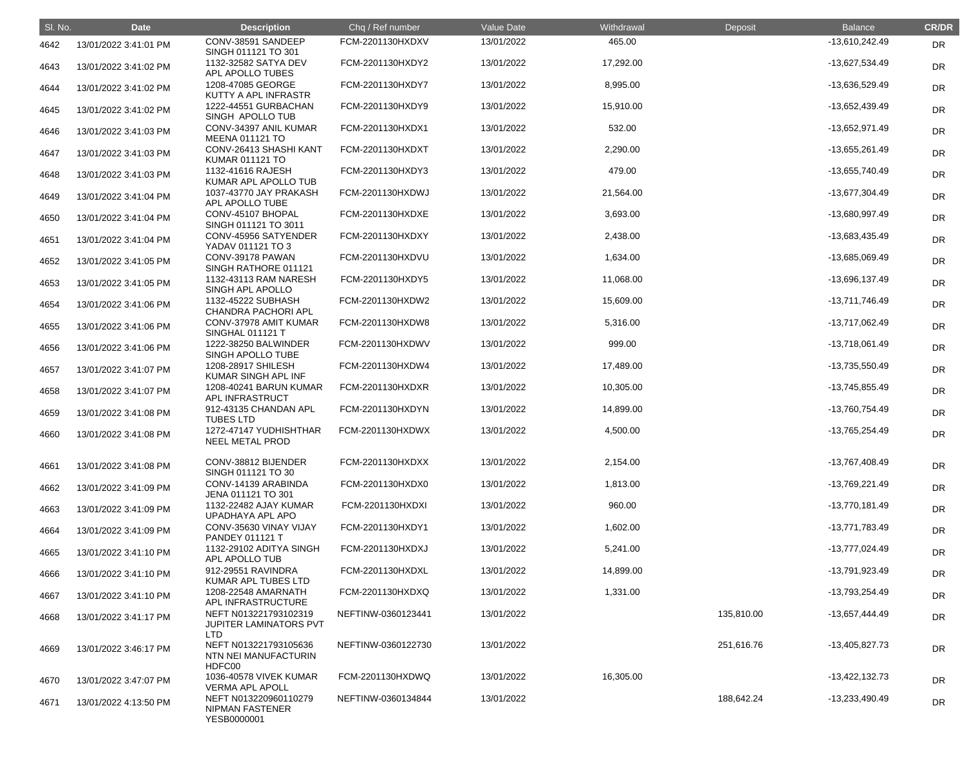| SI. No. | <b>Date</b>           | <b>Description</b>                                             | Chq / Ref number   | Value Date | Withdrawal | Deposit    | <b>Balance</b>   | <b>CR/DR</b> |
|---------|-----------------------|----------------------------------------------------------------|--------------------|------------|------------|------------|------------------|--------------|
| 4642    | 13/01/2022 3:41:01 PM | CONV-38591 SANDEEP<br>SINGH 011121 TO 301                      | FCM-2201130HXDXV   | 13/01/2022 | 465.00     |            | -13,610,242.49   | <b>DR</b>    |
| 4643    | 13/01/2022 3:41:02 PM | 1132-32582 SATYA DEV<br>APL APOLLO TUBES                       | FCM-2201130HXDY2   | 13/01/2022 | 17,292.00  |            | -13,627,534.49   | <b>DR</b>    |
| 4644    | 13/01/2022 3:41:02 PM | 1208-47085 GEORGE<br>KUTTY A APL INFRASTR                      | FCM-2201130HXDY7   | 13/01/2022 | 8,995.00   |            | -13,636,529.49   | DR           |
| 4645    | 13/01/2022 3:41:02 PM | 1222-44551 GURBACHAN<br>SINGH APOLLO TUB                       | FCM-2201130HXDY9   | 13/01/2022 | 15,910.00  |            | -13,652,439.49   | DR           |
| 4646    | 13/01/2022 3:41:03 PM | CONV-34397 ANIL KUMAR<br><b>MEENA 011121 TO</b>                | FCM-2201130HXDX1   | 13/01/2022 | 532.00     |            | -13,652,971.49   | <b>DR</b>    |
| 4647    | 13/01/2022 3:41:03 PM | CONV-26413 SHASHI KANT<br><b>KUMAR 011121 TO</b>               | FCM-2201130HXDXT   | 13/01/2022 | 2,290.00   |            | -13,655,261.49   | <b>DR</b>    |
| 4648    | 13/01/2022 3:41:03 PM | 1132-41616 RAJESH<br>KUMAR APL APOLLO TUB                      | FCM-2201130HXDY3   | 13/01/2022 | 479.00     |            | -13,655,740.49   | <b>DR</b>    |
| 4649    | 13/01/2022 3:41:04 PM | 1037-43770 JAY PRAKASH<br>APL APOLLO TUBE                      | FCM-2201130HXDWJ   | 13/01/2022 | 21,564.00  |            | -13,677,304.49   | DR           |
| 4650    | 13/01/2022 3:41:04 PM | CONV-45107 BHOPAL<br>SINGH 011121 TO 3011                      | FCM-2201130HXDXE   | 13/01/2022 | 3,693.00   |            | -13,680,997.49   | DR           |
| 4651    | 13/01/2022 3:41:04 PM | CONV-45956 SATYENDER<br>YADAV 011121 TO 3                      | FCM-2201130HXDXY   | 13/01/2022 | 2,438.00   |            | -13,683,435.49   | <b>DR</b>    |
| 4652    | 13/01/2022 3:41:05 PM | CONV-39178 PAWAN<br>SINGH RATHORE 011121                       | FCM-2201130HXDVU   | 13/01/2022 | 1,634.00   |            | -13,685,069.49   | <b>DR</b>    |
| 4653    | 13/01/2022 3:41:05 PM | 1132-43113 RAM NARESH<br>SINGH APL APOLLO                      | FCM-2201130HXDY5   | 13/01/2022 | 11,068.00  |            | -13,696,137.49   | DR           |
| 4654    | 13/01/2022 3:41:06 PM | 1132-45222 SUBHASH<br>CHANDRA PACHORI APL                      | FCM-2201130HXDW2   | 13/01/2022 | 15,609.00  |            | -13,711,746.49   | DR           |
| 4655    | 13/01/2022 3:41:06 PM | CONV-37978 AMIT KUMAR<br><b>SINGHAL 011121 T</b>               | FCM-2201130HXDW8   | 13/01/2022 | 5,316.00   |            | -13,717,062.49   | DR           |
| 4656    | 13/01/2022 3:41:06 PM | 1222-38250 BALWINDER<br>SINGH APOLLO TUBE                      | FCM-2201130HXDWV   | 13/01/2022 | 999.00     |            | $-13,718,061.49$ | <b>DR</b>    |
| 4657    | 13/01/2022 3:41:07 PM | 1208-28917 SHILESH<br>KUMAR SINGH APL INF                      | FCM-2201130HXDW4   | 13/01/2022 | 17,489.00  |            | -13,735,550.49   | <b>DR</b>    |
| 4658    | 13/01/2022 3:41:07 PM | 1208-40241 BARUN KUMAR<br>APL INFRASTRUCT                      | FCM-2201130HXDXR   | 13/01/2022 | 10,305.00  |            | -13,745,855.49   | DR           |
| 4659    | 13/01/2022 3:41:08 PM | 912-43135 CHANDAN APL<br><b>TUBES LTD</b>                      | FCM-2201130HXDYN   | 13/01/2022 | 14,899.00  |            | -13,760,754.49   | DR           |
| 4660    | 13/01/2022 3:41:08 PM | 1272-47147 YUDHISHTHAR<br>NEEL METAL PROD                      | FCM-2201130HXDWX   | 13/01/2022 | 4,500.00   |            | -13,765,254.49   | <b>DR</b>    |
| 4661    | 13/01/2022 3:41:08 PM | CONV-38812 BIJENDER<br>SINGH 011121 TO 30                      | FCM-2201130HXDXX   | 13/01/2022 | 2,154.00   |            | -13,767,408.49   | <b>DR</b>    |
| 4662    | 13/01/2022 3:41:09 PM | CONV-14139 ARABINDA<br>JENA 011121 TO 301                      | FCM-2201130HXDX0   | 13/01/2022 | 1,813.00   |            | -13,769,221.49   | DR           |
| 4663    | 13/01/2022 3:41:09 PM | 1132-22482 AJAY KUMAR<br>UPADHAYA APL APO                      | FCM-2201130HXDXI   | 13/01/2022 | 960.00     |            | -13,770,181.49   | DR           |
| 4664    | 13/01/2022 3:41:09 PM | CONV-35630 VINAY VIJAY<br>PANDEY 011121 T                      | FCM-2201130HXDY1   | 13/01/2022 | 1,602.00   |            | -13,771,783.49   | <b>DR</b>    |
| 4665    | 13/01/2022 3:41:10 PM | 1132-29102 ADITYA SINGH<br>APL APOLLO TUB                      | FCM-2201130HXDXJ   | 13/01/2022 | 5,241.00   |            | -13,777,024.49   | <b>DR</b>    |
| 4666    | 13/01/2022 3:41:10 PM | 912-29551 RAVINDRA<br>KUMAR APL TUBES LTD                      | FCM-2201130HXDXL   | 13/01/2022 | 14,899.00  |            | -13,791,923.49   | DR           |
| 4667    | 13/01/2022 3:41:10 PM | 1208-22548 AMARNATH<br>APL INFRASTRUCTURE                      | FCM-2201130HXDXQ   | 13/01/2022 | 1,331.00   |            | -13,793,254.49   | DR           |
| 4668    | 13/01/2022 3:41:17 PM | NEFT N013221793102319<br>JUPITER LAMINATORS PVT<br>LTD         | NEFTINW-0360123441 | 13/01/2022 |            | 135,810.00 | -13,657,444.49   | <b>DR</b>    |
| 4669    | 13/01/2022 3:46:17 PM | NEFT N013221793105636<br>NTN NEI MANUFACTURIN<br>HDFC00        | NEFTINW-0360122730 | 13/01/2022 |            | 251,616.76 | -13,405,827.73   | <b>DR</b>    |
| 4670    | 13/01/2022 3:47:07 PM | 1036-40578 VIVEK KUMAR<br><b>VERMA APL APOLL</b>               | FCM-2201130HXDWQ   | 13/01/2022 | 16,305.00  |            | -13,422,132.73   | <b>DR</b>    |
| 4671    | 13/01/2022 4:13:50 PM | NEFT N013220960110279<br><b>NIPMAN FASTENER</b><br>YESB0000001 | NEFTINW-0360134844 | 13/01/2022 |            | 188,642.24 | -13,233,490.49   | <b>DR</b>    |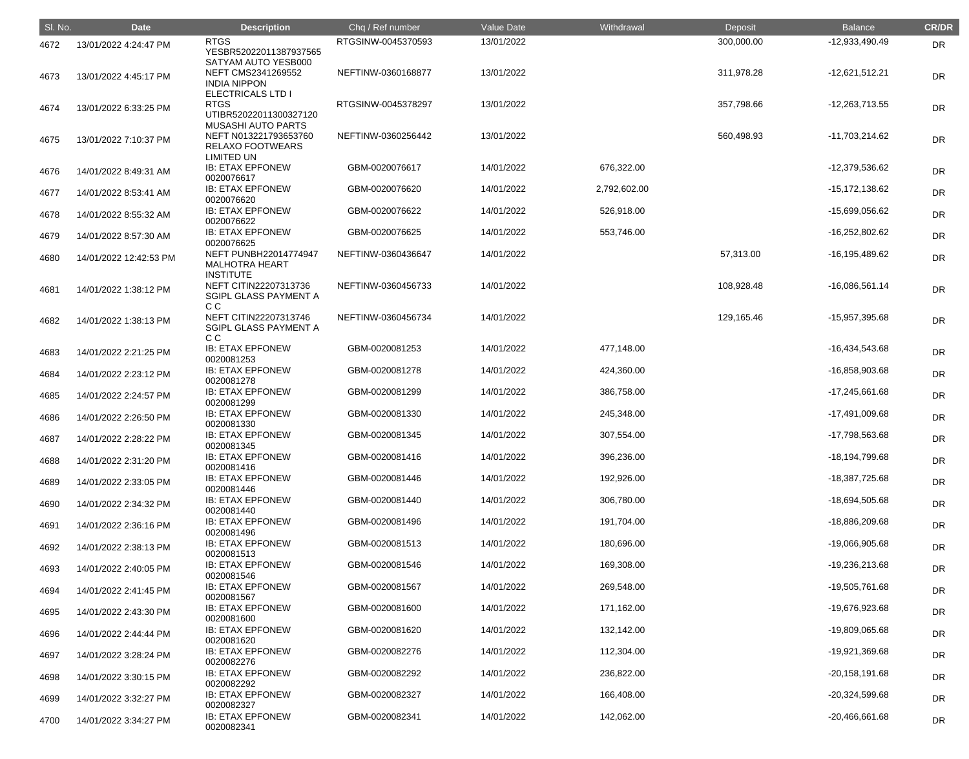| SI. No. | <b>Date</b>            | <b>Description</b>                                                                 | Chq / Ref number   | Value Date | Withdrawal   | Deposit    | <b>Balance</b>     | <b>CR/DR</b> |
|---------|------------------------|------------------------------------------------------------------------------------|--------------------|------------|--------------|------------|--------------------|--------------|
| 4672    | 13/01/2022 4:24:47 PM  | <b>RTGS</b><br>YESBR52022011387937565                                              | RTGSINW-0045370593 | 13/01/2022 |              | 300,000.00 | -12,933,490.49     | <b>DR</b>    |
| 4673    | 13/01/2022 4:45:17 PM  | SATYAM AUTO YESB000<br>NEFT CMS2341269552<br><b>INDIA NIPPON</b>                   | NEFTINW-0360168877 | 13/01/2022 |              | 311,978.28 | $-12,621,512.21$   | DR           |
| 4674    | 13/01/2022 6:33:25 PM  | <b>ELECTRICALS LTD I</b><br><b>RTGS</b><br>UTIBR52022011300327120                  | RTGSINW-0045378297 | 13/01/2022 |              | 357,798.66 | $-12,263,713.55$   | <b>DR</b>    |
| 4675    | 13/01/2022 7:10:37 PM  | <b>MUSASHI AUTO PARTS</b><br>NEFT N013221793653760<br><b>RELAXO FOOTWEARS</b>      | NEFTINW-0360256442 | 13/01/2022 |              | 560,498.93 | -11,703,214.62     | <b>DR</b>    |
| 4676    | 14/01/2022 8:49:31 AM  | <b>LIMITED UN</b><br><b>IB: ETAX EPFONEW</b><br>0020076617                         | GBM-0020076617     | 14/01/2022 | 676,322.00   |            | -12,379,536.62     | <b>DR</b>    |
| 4677    | 14/01/2022 8:53:41 AM  | <b>IB: ETAX EPFONEW</b><br>0020076620                                              | GBM-0020076620     | 14/01/2022 | 2,792,602.00 |            | $-15, 172, 138.62$ | <b>DR</b>    |
| 4678    | 14/01/2022 8:55:32 AM  | <b>IB: ETAX EPFONEW</b><br>0020076622                                              | GBM-0020076622     | 14/01/2022 | 526,918.00   |            | -15,699,056.62     | <b>DR</b>    |
| 4679    | 14/01/2022 8:57:30 AM  | <b>IB: ETAX EPFONEW</b><br>0020076625                                              | GBM-0020076625     | 14/01/2022 | 553,746.00   |            | $-16,252,802.62$   | <b>DR</b>    |
| 4680    | 14/01/2022 12:42:53 PM | <b>NEFT PUNBH22014774947</b><br><b>MALHOTRA HEART</b>                              | NEFTINW-0360436647 | 14/01/2022 |              | 57,313.00  | -16,195,489.62     | <b>DR</b>    |
| 4681    | 14/01/2022 1:38:12 PM  | <b>INSTITUTE</b><br>NEFT CITIN22207313736<br>SGIPL GLASS PAYMENT A                 | NEFTINW-0360456733 | 14/01/2022 |              | 108,928.48 | $-16,086,561.14$   | <b>DR</b>    |
| 4682    | 14/01/2022 1:38:13 PM  | C <sub>C</sub><br>NEFT CITIN22207313746<br>SGIPL GLASS PAYMENT A<br>C <sub>C</sub> | NEFTINW-0360456734 | 14/01/2022 |              | 129,165.46 | -15,957,395.68     | DR           |
| 4683    | 14/01/2022 2:21:25 PM  | <b>IB: ETAX EPFONEW</b><br>0020081253                                              | GBM-0020081253     | 14/01/2022 | 477,148.00   |            | $-16,434,543.68$   | <b>DR</b>    |
| 4684    | 14/01/2022 2:23:12 PM  | <b>IB: ETAX EPFONEW</b><br>0020081278                                              | GBM-0020081278     | 14/01/2022 | 424,360.00   |            | -16,858,903.68     | <b>DR</b>    |
| 4685    | 14/01/2022 2:24:57 PM  | <b>IB: ETAX EPFONEW</b><br>0020081299                                              | GBM-0020081299     | 14/01/2022 | 386,758.00   |            | -17,245,661.68     | DR           |
| 4686    | 14/01/2022 2:26:50 PM  | <b>IB: ETAX EPFONEW</b><br>0020081330                                              | GBM-0020081330     | 14/01/2022 | 245,348.00   |            | -17,491,009.68     | <b>DR</b>    |
| 4687    | 14/01/2022 2:28:22 PM  | <b>IB: ETAX EPFONEW</b><br>0020081345                                              | GBM-0020081345     | 14/01/2022 | 307,554.00   |            | -17,798,563.68     | <b>DR</b>    |
| 4688    | 14/01/2022 2:31:20 PM  | <b>IB: ETAX EPFONEW</b><br>0020081416                                              | GBM-0020081416     | 14/01/2022 | 396,236.00   |            | -18,194,799.68     | <b>DR</b>    |
| 4689    | 14/01/2022 2:33:05 PM  | <b>IB: ETAX EPFONEW</b><br>0020081446                                              | GBM-0020081446     | 14/01/2022 | 192,926.00   |            | -18,387,725.68     | <b>DR</b>    |
| 4690    | 14/01/2022 2:34:32 PM  | <b>IB: ETAX EPFONEW</b><br>0020081440                                              | GBM-0020081440     | 14/01/2022 | 306,780.00   |            | -18,694,505.68     | DR           |
| 4691    | 14/01/2022 2:36:16 PM  | <b>IB: ETAX EPFONEW</b><br>0020081496                                              | GBM-0020081496     | 14/01/2022 | 191,704.00   |            | -18,886,209.68     | <b>DR</b>    |
| 4692    | 14/01/2022 2:38:13 PM  | <b>IB: ETAX EPFONEW</b><br>0020081513                                              | GBM-0020081513     | 14/01/2022 | 180,696.00   |            | -19,066,905.68     | <b>DR</b>    |
| 4693    | 14/01/2022 2:40:05 PM  | <b>IB: ETAX EPFONEW</b><br>0020081546                                              | GBM-0020081546     | 14/01/2022 | 169,308.00   |            | -19,236,213.68     | DR           |
| 4694    | 14/01/2022 2:41:45 PM  | <b>IB: ETAX EPFONEW</b><br>0020081567                                              | GBM-0020081567     | 14/01/2022 | 269,548.00   |            | -19,505,761.68     | <b>DR</b>    |
| 4695    | 14/01/2022 2:43:30 PM  | <b>IB: ETAX EPFONEW</b><br>0020081600                                              | GBM-0020081600     | 14/01/2022 | 171,162.00   |            | -19,676,923.68     | <b>DR</b>    |
| 4696    | 14/01/2022 2:44:44 PM  | <b>IB: ETAX EPFONEW</b><br>0020081620                                              | GBM-0020081620     | 14/01/2022 | 132,142.00   |            | -19,809,065.68     | DR           |
| 4697    | 14/01/2022 3:28:24 PM  | <b>IB: ETAX EPFONEW</b><br>0020082276                                              | GBM-0020082276     | 14/01/2022 | 112,304.00   |            | -19,921,369.68     | DR           |
| 4698    | 14/01/2022 3:30:15 PM  | <b>IB: ETAX EPFONEW</b><br>0020082292                                              | GBM-0020082292     | 14/01/2022 | 236,822.00   |            | $-20,158,191.68$   | <b>DR</b>    |
| 4699    | 14/01/2022 3:32:27 PM  | <b>IB: ETAX EPFONEW</b><br>0020082327                                              | GBM-0020082327     | 14/01/2022 | 166,408.00   |            | -20,324,599.68     | <b>DR</b>    |
| 4700    | 14/01/2022 3:34:27 PM  | <b>IB: ETAX EPFONEW</b><br>0020082341                                              | GBM-0020082341     | 14/01/2022 | 142,062.00   |            | $-20,466,661.68$   | DR           |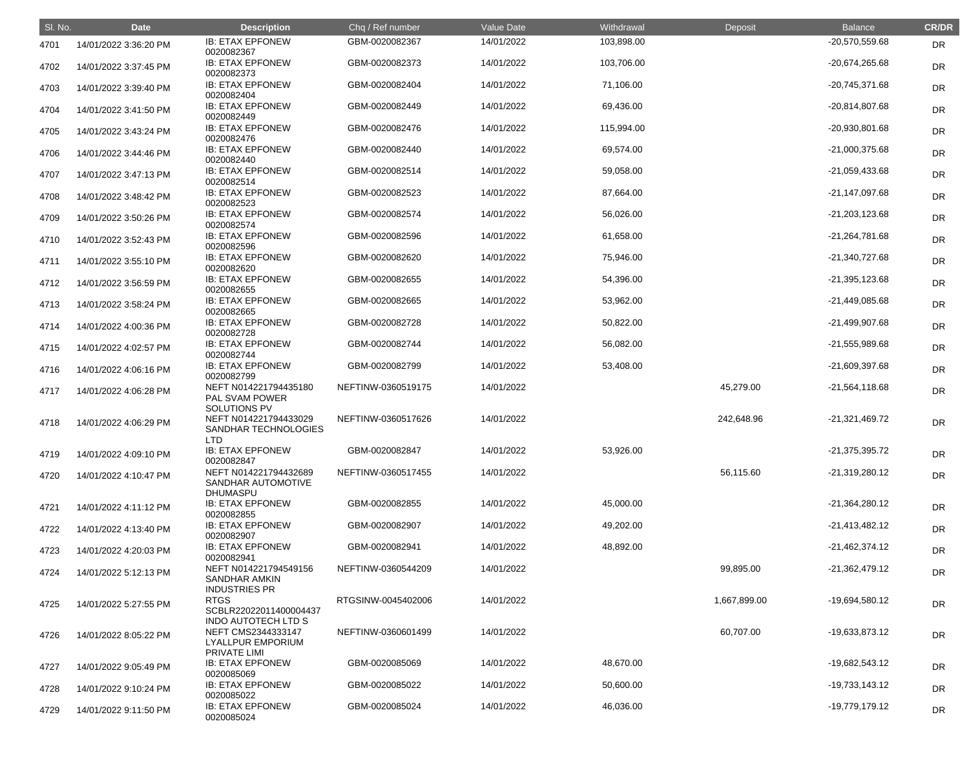| SI. No. | <b>Date</b>           | <b>Description</b>                                                  | Chq / Ref number   | Value Date | Withdrawal | Deposit      | <b>Balance</b>   | <b>CR/DR</b> |
|---------|-----------------------|---------------------------------------------------------------------|--------------------|------------|------------|--------------|------------------|--------------|
| 4701    | 14/01/2022 3:36:20 PM | <b>IB: ETAX EPFONEW</b><br>0020082367                               | GBM-0020082367     | 14/01/2022 | 103,898.00 |              | -20,570,559.68   | DR           |
| 4702    | 14/01/2022 3:37:45 PM | <b>IB: ETAX EPFONEW</b><br>0020082373                               | GBM-0020082373     | 14/01/2022 | 103,706.00 |              | $-20,674,265.68$ | <b>DR</b>    |
| 4703    | 14/01/2022 3:39:40 PM | <b>IB: ETAX EPFONEW</b><br>0020082404                               | GBM-0020082404     | 14/01/2022 | 71,106.00  |              | -20,745,371.68   | <b>DR</b>    |
| 4704    | 14/01/2022 3:41:50 PM | <b>IB: ETAX EPFONEW</b><br>0020082449                               | GBM-0020082449     | 14/01/2022 | 69,436.00  |              | -20,814,807.68   | <b>DR</b>    |
| 4705    | 14/01/2022 3:43:24 PM | <b>IB: ETAX EPFONEW</b><br>0020082476                               | GBM-0020082476     | 14/01/2022 | 115,994.00 |              | -20,930,801.68   | <b>DR</b>    |
| 4706    | 14/01/2022 3:44:46 PM | <b>IB: ETAX EPFONEW</b><br>0020082440                               | GBM-0020082440     | 14/01/2022 | 69,574.00  |              | -21,000,375.68   | <b>DR</b>    |
| 4707    | 14/01/2022 3:47:13 PM | <b>IB: ETAX EPFONEW</b><br>0020082514                               | GBM-0020082514     | 14/01/2022 | 59,058.00  |              | -21,059,433.68   | <b>DR</b>    |
| 4708    | 14/01/2022 3:48:42 PM | <b>IB: ETAX EPFONEW</b><br>0020082523                               | GBM-0020082523     | 14/01/2022 | 87,664.00  |              | $-21,147,097.68$ | <b>DR</b>    |
| 4709    | 14/01/2022 3:50:26 PM | <b>IB: ETAX EPFONEW</b><br>0020082574                               | GBM-0020082574     | 14/01/2022 | 56,026.00  |              | $-21,203,123.68$ | <b>DR</b>    |
| 4710    | 14/01/2022 3:52:43 PM | <b>IB: ETAX EPFONEW</b><br>0020082596                               | GBM-0020082596     | 14/01/2022 | 61,658.00  |              | -21,264,781.68   | <b>DR</b>    |
| 4711    | 14/01/2022 3:55:10 PM | <b>IB: ETAX EPFONEW</b><br>0020082620                               | GBM-0020082620     | 14/01/2022 | 75,946.00  |              | -21,340,727.68   | <b>DR</b>    |
| 4712    | 14/01/2022 3:56:59 PM | <b>IB: ETAX EPFONEW</b><br>0020082655                               | GBM-0020082655     | 14/01/2022 | 54,396.00  |              | $-21,395,123.68$ | <b>DR</b>    |
| 4713    | 14/01/2022 3:58:24 PM | <b>IB: ETAX EPFONEW</b><br>0020082665                               | GBM-0020082665     | 14/01/2022 | 53,962.00  |              | -21,449,085.68   | <b>DR</b>    |
| 4714    | 14/01/2022 4:00:36 PM | <b>IB: ETAX EPFONEW</b><br>0020082728                               | GBM-0020082728     | 14/01/2022 | 50,822.00  |              | -21,499,907.68   | <b>DR</b>    |
| 4715    | 14/01/2022 4:02:57 PM | <b>IB: ETAX EPFONEW</b><br>0020082744                               | GBM-0020082744     | 14/01/2022 | 56,082.00  |              | $-21,555,989.68$ | <b>DR</b>    |
| 4716    | 14/01/2022 4:06:16 PM | <b>IB: ETAX EPFONEW</b><br>0020082799                               | GBM-0020082799     | 14/01/2022 | 53,408.00  |              | -21,609,397.68   | <b>DR</b>    |
| 4717    | 14/01/2022 4:06:28 PM | NEFT N014221794435180<br>PAL SVAM POWER<br>SOLUTIONS PV             | NEFTINW-0360519175 | 14/01/2022 |            | 45,279.00    | $-21,564,118.68$ | <b>DR</b>    |
| 4718    | 14/01/2022 4:06:29 PM | NEFT N014221794433029<br>SANDHAR TECHNOLOGIES<br><b>LTD</b>         | NEFTINW-0360517626 | 14/01/2022 |            | 242,648.96   | $-21,321,469.72$ | DR           |
| 4719    | 14/01/2022 4:09:10 PM | <b>IB: ETAX EPFONEW</b><br>0020082847                               | GBM-0020082847     | 14/01/2022 | 53,926.00  |              | $-21,375,395.72$ | <b>DR</b>    |
| 4720    | 14/01/2022 4:10:47 PM | NEFT N014221794432689<br>SANDHAR AUTOMOTIVE<br><b>DHUMASPU</b>      | NEFTINW-0360517455 | 14/01/2022 |            | 56,115.60    | $-21,319,280.12$ | <b>DR</b>    |
| 4721    | 14/01/2022 4:11:12 PM | <b>IB: ETAX EPFONEW</b><br>0020082855                               | GBM-0020082855     | 14/01/2022 | 45,000.00  |              | $-21,364,280.12$ | <b>DR</b>    |
| 4722    | 14/01/2022 4:13:40 PM | <b>IB: ETAX EPFONEW</b><br>0020082907                               | GBM-0020082907     | 14/01/2022 | 49,202.00  |              | $-21,413,482.12$ | <b>DR</b>    |
| 4723    | 14/01/2022 4:20:03 PM | <b>IB: ETAX EPFONEW</b><br>0020082941                               | GBM-0020082941     | 14/01/2022 | 48,892.00  |              | $-21,462,374.12$ | <b>DR</b>    |
| 4724    | 14/01/2022 5:12:13 PM | NEFT N014221794549156<br>SANDHAR AMKIN<br><b>INDUSTRIES PR</b>      | NEFTINW-0360544209 | 14/01/2022 |            | 99,895.00    | $-21,362,479.12$ | <b>DR</b>    |
| 4725    | 14/01/2022 5:27:55 PM | <b>RTGS</b><br>SCBLR22022011400004437<br><b>INDO AUTOTECH LTD S</b> | RTGSINW-0045402006 | 14/01/2022 |            | 1,667,899.00 | -19,694,580.12   | <b>DR</b>    |
| 4726    | 14/01/2022 8:05:22 PM | NEFT CMS2344333147<br><b>LYALLPUR EMPORIUM</b>                      | NEFTINW-0360601499 | 14/01/2022 |            | 60,707.00    | -19,633,873.12   | <b>DR</b>    |
| 4727    | 14/01/2022 9:05:49 PM | PRIVATE LIMI<br><b>IB: ETAX EPFONEW</b><br>0020085069               | GBM-0020085069     | 14/01/2022 | 48,670.00  |              | -19,682,543.12   | <b>DR</b>    |
| 4728    | 14/01/2022 9:10:24 PM | <b>IB: ETAX EPFONEW</b><br>0020085022                               | GBM-0020085022     | 14/01/2022 | 50,600.00  |              | -19,733,143.12   | <b>DR</b>    |
| 4729    | 14/01/2022 9:11:50 PM | <b>IB: ETAX EPFONEW</b><br>0020085024                               | GBM-0020085024     | 14/01/2022 | 46,036.00  |              | -19,779,179.12   | <b>DR</b>    |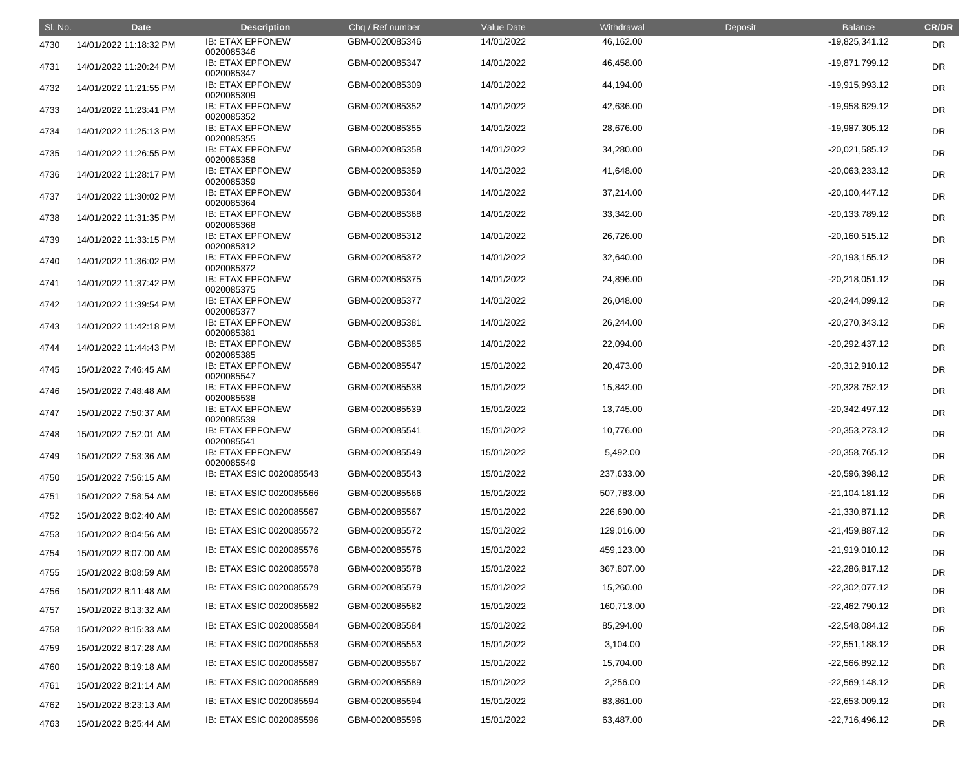| SI. No. | <b>Date</b>            | <b>Description</b>                    | Chq / Ref number | Value Date | Withdrawal | Deposit | <b>Balance</b>   | <b>CR/DR</b> |
|---------|------------------------|---------------------------------------|------------------|------------|------------|---------|------------------|--------------|
| 4730    | 14/01/2022 11:18:32 PM | <b>IB: ETAX EPFONEW</b><br>0020085346 | GBM-0020085346   | 14/01/2022 | 46,162.00  |         | $-19,825,341.12$ | <b>DR</b>    |
| 4731    | 14/01/2022 11:20:24 PM | <b>IB: ETAX EPFONEW</b><br>0020085347 | GBM-0020085347   | 14/01/2022 | 46,458.00  |         | -19,871,799.12   | <b>DR</b>    |
| 4732    | 14/01/2022 11:21:55 PM | <b>IB: ETAX EPFONEW</b><br>0020085309 | GBM-0020085309   | 14/01/2022 | 44,194.00  |         | -19,915,993.12   | <b>DR</b>    |
| 4733    | 14/01/2022 11:23:41 PM | <b>IB: ETAX EPFONEW</b><br>0020085352 | GBM-0020085352   | 14/01/2022 | 42,636.00  |         | -19,958,629.12   | <b>DR</b>    |
| 4734    | 14/01/2022 11:25:13 PM | <b>IB: ETAX EPFONEW</b><br>0020085355 | GBM-0020085355   | 14/01/2022 | 28,676.00  |         | -19,987,305.12   | <b>DR</b>    |
| 4735    | 14/01/2022 11:26:55 PM | <b>IB: ETAX EPFONEW</b><br>0020085358 | GBM-0020085358   | 14/01/2022 | 34,280.00  |         | $-20,021,585.12$ | <b>DR</b>    |
| 4736    | 14/01/2022 11:28:17 PM | <b>IB: ETAX EPFONEW</b><br>0020085359 | GBM-0020085359   | 14/01/2022 | 41,648.00  |         | $-20,063,233.12$ | <b>DR</b>    |
| 4737    | 14/01/2022 11:30:02 PM | <b>IB: ETAX EPFONEW</b><br>0020085364 | GBM-0020085364   | 14/01/2022 | 37,214.00  |         | $-20,100,447.12$ | <b>DR</b>    |
| 4738    | 14/01/2022 11:31:35 PM | <b>IB: ETAX EPFONEW</b><br>0020085368 | GBM-0020085368   | 14/01/2022 | 33,342.00  |         | $-20,133,789.12$ | <b>DR</b>    |
| 4739    | 14/01/2022 11:33:15 PM | <b>IB: ETAX EPFONEW</b><br>0020085312 | GBM-0020085312   | 14/01/2022 | 26,726.00  |         | $-20,160,515.12$ | <b>DR</b>    |
| 4740    | 14/01/2022 11:36:02 PM | <b>IB: ETAX EPFONEW</b><br>0020085372 | GBM-0020085372   | 14/01/2022 | 32,640.00  |         | $-20,193,155.12$ | <b>DR</b>    |
| 4741    | 14/01/2022 11:37:42 PM | <b>IB: ETAX EPFONEW</b><br>0020085375 | GBM-0020085375   | 14/01/2022 | 24,896.00  |         | $-20,218,051.12$ | <b>DR</b>    |
| 4742    | 14/01/2022 11:39:54 PM | <b>IB: ETAX EPFONEW</b><br>0020085377 | GBM-0020085377   | 14/01/2022 | 26,048.00  |         | $-20,244,099.12$ | <b>DR</b>    |
| 4743    | 14/01/2022 11:42:18 PM | <b>IB: ETAX EPFONEW</b><br>0020085381 | GBM-0020085381   | 14/01/2022 | 26,244.00  |         | $-20,270,343.12$ | <b>DR</b>    |
| 4744    | 14/01/2022 11:44:43 PM | <b>IB: ETAX EPFONEW</b><br>0020085385 | GBM-0020085385   | 14/01/2022 | 22,094.00  |         | $-20,292,437.12$ | <b>DR</b>    |
| 4745    | 15/01/2022 7:46:45 AM  | <b>IB: ETAX EPFONEW</b><br>0020085547 | GBM-0020085547   | 15/01/2022 | 20,473.00  |         | $-20,312,910.12$ | <b>DR</b>    |
| 4746    | 15/01/2022 7:48:48 AM  | <b>IB: ETAX EPFONEW</b><br>0020085538 | GBM-0020085538   | 15/01/2022 | 15,842.00  |         | $-20,328,752.12$ | <b>DR</b>    |
| 4747    | 15/01/2022 7:50:37 AM  | <b>IB: ETAX EPFONEW</b><br>0020085539 | GBM-0020085539   | 15/01/2022 | 13,745.00  |         | $-20,342,497.12$ | <b>DR</b>    |
| 4748    | 15/01/2022 7:52:01 AM  | <b>IB: ETAX EPFONEW</b><br>0020085541 | GBM-0020085541   | 15/01/2022 | 10,776.00  |         | $-20,353,273.12$ | <b>DR</b>    |
| 4749    | 15/01/2022 7:53:36 AM  | <b>IB: ETAX EPFONEW</b><br>0020085549 | GBM-0020085549   | 15/01/2022 | 5,492.00   |         | $-20,358,765.12$ | <b>DR</b>    |
| 4750    | 15/01/2022 7:56:15 AM  | IB: ETAX ESIC 0020085543              | GBM-0020085543   | 15/01/2022 | 237,633.00 |         | $-20,596,398.12$ | <b>DR</b>    |
| 4751    | 15/01/2022 7:58:54 AM  | IB: ETAX ESIC 0020085566              | GBM-0020085566   | 15/01/2022 | 507,783.00 |         | $-21,104,181.12$ | <b>DR</b>    |
| 4752    | 15/01/2022 8:02:40 AM  | IB: ETAX ESIC 0020085567              | GBM-0020085567   | 15/01/2022 | 226,690.00 |         | $-21,330,871.12$ | <b>DR</b>    |
| 4753    | 15/01/2022 8:04:56 AM  | IB: ETAX ESIC 0020085572              | GBM-0020085572   | 15/01/2022 | 129,016.00 |         | $-21,459,887.12$ | DR           |
| 4754    | 15/01/2022 8:07:00 AM  | IB: ETAX ESIC 0020085576              | GBM-0020085576   | 15/01/2022 | 459,123.00 |         | $-21,919,010.12$ | <b>DR</b>    |
| 4755    | 15/01/2022 8:08:59 AM  | IB: ETAX ESIC 0020085578              | GBM-0020085578   | 15/01/2022 | 367,807.00 |         | $-22,286,817.12$ | <b>DR</b>    |
| 4756    | 15/01/2022 8:11:48 AM  | IB: ETAX ESIC 0020085579              | GBM-0020085579   | 15/01/2022 | 15,260.00  |         | $-22,302,077.12$ | DR           |
| 4757    | 15/01/2022 8:13:32 AM  | IB: ETAX ESIC 0020085582              | GBM-0020085582   | 15/01/2022 | 160,713.00 |         | $-22,462,790.12$ | DR           |
| 4758    | 15/01/2022 8:15:33 AM  | IB: ETAX ESIC 0020085584              | GBM-0020085584   | 15/01/2022 | 85,294.00  |         | -22,548,084.12   | <b>DR</b>    |
| 4759    | 15/01/2022 8:17:28 AM  | IB: ETAX ESIC 0020085553              | GBM-0020085553   | 15/01/2022 | 3,104.00   |         | $-22,551,188.12$ | <b>DR</b>    |
| 4760    | 15/01/2022 8:19:18 AM  | IB: ETAX ESIC 0020085587              | GBM-0020085587   | 15/01/2022 | 15,704.00  |         | $-22,566,892.12$ | DR           |
| 4761    | 15/01/2022 8:21:14 AM  | IB: ETAX ESIC 0020085589              | GBM-0020085589   | 15/01/2022 | 2,256.00   |         | $-22,569,148.12$ | DR           |
| 4762    | 15/01/2022 8:23:13 AM  | IB: ETAX ESIC 0020085594              | GBM-0020085594   | 15/01/2022 | 83,861.00  |         | $-22,653,009.12$ | <b>DR</b>    |
| 4763    | 15/01/2022 8:25:44 AM  | IB: ETAX ESIC 0020085596              | GBM-0020085596   | 15/01/2022 | 63,487.00  |         | $-22,716,496.12$ | DR           |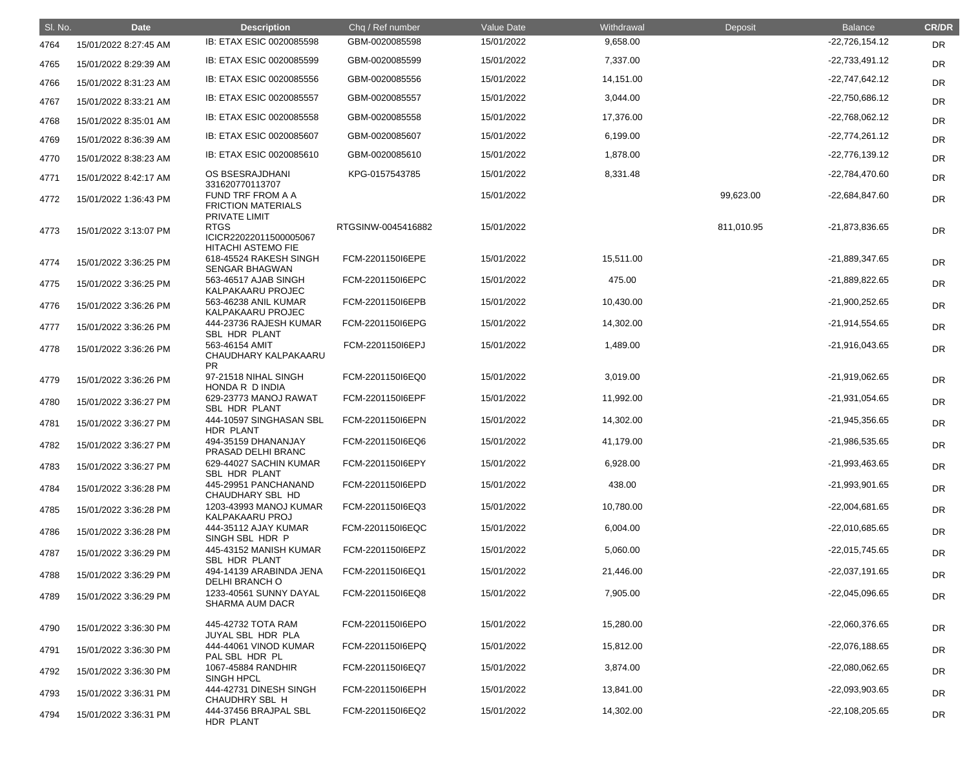| SI. No. | <b>Date</b>           | <b>Description</b>                                                 | Chq / Ref number   | Value Date | Withdrawal | Deposit    | <b>Balance</b>   | <b>CR/DR</b> |
|---------|-----------------------|--------------------------------------------------------------------|--------------------|------------|------------|------------|------------------|--------------|
| 4764    | 15/01/2022 8:27:45 AM | IB: ETAX ESIC 0020085598                                           | GBM-0020085598     | 15/01/2022 | 9,658.00   |            | $-22,726,154.12$ | <b>DR</b>    |
| 4765    | 15/01/2022 8:29:39 AM | IB: ETAX ESIC 0020085599                                           | GBM-0020085599     | 15/01/2022 | 7,337.00   |            | $-22,733,491.12$ | <b>DR</b>    |
| 4766    | 15/01/2022 8:31:23 AM | IB: ETAX ESIC 0020085556                                           | GBM-0020085556     | 15/01/2022 | 14,151.00  |            | $-22,747,642.12$ | <b>DR</b>    |
| 4767    | 15/01/2022 8:33:21 AM | IB: ETAX ESIC 0020085557                                           | GBM-0020085557     | 15/01/2022 | 3,044.00   |            | -22,750,686.12   | <b>DR</b>    |
| 4768    | 15/01/2022 8:35:01 AM | IB: ETAX ESIC 0020085558                                           | GBM-0020085558     | 15/01/2022 | 17,376.00  |            | $-22,768,062.12$ | <b>DR</b>    |
| 4769    | 15/01/2022 8:36:39 AM | IB: ETAX ESIC 0020085607                                           | GBM-0020085607     | 15/01/2022 | 6,199.00   |            | $-22,774,261.12$ | DR           |
| 4770    | 15/01/2022 8:38:23 AM | IB: ETAX ESIC 0020085610                                           | GBM-0020085610     | 15/01/2022 | 1,878.00   |            | $-22,776,139.12$ | <b>DR</b>    |
| 4771    | 15/01/2022 8:42:17 AM | OS BSESRAJDHANI<br>331620770113707                                 | KPG-0157543785     | 15/01/2022 | 8,331.48   |            | -22,784,470.60   | <b>DR</b>    |
| 4772    | 15/01/2022 1:36:43 PM | FUND TRF FROM A A<br><b>FRICTION MATERIALS</b><br>PRIVATE LIMIT    |                    | 15/01/2022 |            | 99,623.00  | -22,684,847.60   | <b>DR</b>    |
| 4773    | 15/01/2022 3:13:07 PM | <b>RTGS</b><br>ICICR22022011500005067<br><b>HITACHI ASTEMO FIE</b> | RTGSINW-0045416882 | 15/01/2022 |            | 811,010.95 | -21,873,836.65   | <b>DR</b>    |
| 4774    | 15/01/2022 3:36:25 PM | 618-45524 RAKESH SINGH<br><b>SENGAR BHAGWAN</b>                    | FCM-2201150I6EPE   | 15/01/2022 | 15,511.00  |            | -21,889,347.65   | <b>DR</b>    |
| 4775    | 15/01/2022 3:36:25 PM | 563-46517 AJAB SINGH<br>KALPAKAARU PROJEC                          | FCM-2201150I6EPC   | 15/01/2022 | 475.00     |            | -21,889,822.65   | DR           |
| 4776    | 15/01/2022 3:36:26 PM | 563-46238 ANIL KUMAR<br>KALPAKAARU PROJEC                          | FCM-2201150I6EPB   | 15/01/2022 | 10,430.00  |            | $-21,900,252.65$ | <b>DR</b>    |
| 4777    | 15/01/2022 3:36:26 PM | 444-23736 RAJESH KUMAR<br><b>SBL HDR PLANT</b>                     | FCM-2201150I6EPG   | 15/01/2022 | 14,302.00  |            | -21,914,554.65   | DR           |
| 4778    | 15/01/2022 3:36:26 PM | 563-46154 AMIT<br>CHAUDHARY KALPAKAARU<br><b>PR</b>                | FCM-2201150I6EPJ   | 15/01/2022 | 1,489.00   |            | -21,916,043.65   | DR           |
| 4779    | 15/01/2022 3:36:26 PM | 97-21518 NIHAL SINGH<br>HONDA R D INDIA                            | FCM-2201150I6EQ0   | 15/01/2022 | 3,019.00   |            | -21,919,062.65   | <b>DR</b>    |
| 4780    | 15/01/2022 3:36:27 PM | 629-23773 MANOJ RAWAT<br>SBL HDR PLANT                             | FCM-2201150I6EPF   | 15/01/2022 | 11,992.00  |            | -21,931,054.65   | <b>DR</b>    |
| 4781    | 15/01/2022 3:36:27 PM | 444-10597 SINGHASAN SBL<br>HDR PLANT                               | FCM-2201150I6EPN   | 15/01/2022 | 14,302.00  |            | -21,945,356.65   | <b>DR</b>    |
| 4782    | 15/01/2022 3:36:27 PM | 494-35159 DHANANJAY<br>PRASAD DELHI BRANC                          | FCM-2201150I6EQ6   | 15/01/2022 | 41,179.00  |            | $-21,986,535.65$ | DR           |
| 4783    | 15/01/2022 3:36:27 PM | 629-44027 SACHIN KUMAR<br>SBL HDR PLANT                            | FCM-2201150I6EPY   | 15/01/2022 | 6,928.00   |            | -21,993,463.65   | <b>DR</b>    |
| 4784    | 15/01/2022 3:36:28 PM | 445-29951 PANCHANAND<br>CHAUDHARY SBL HD                           | FCM-2201150I6EPD   | 15/01/2022 | 438.00     |            | $-21,993,901.65$ | <b>DR</b>    |
| 4785    | 15/01/2022 3:36:28 PM | 1203-43993 MANOJ KUMAR<br><b>KALPAKAARU PROJ</b>                   | FCM-2201150I6EQ3   | 15/01/2022 | 10,780.00  |            | $-22,004,681.65$ | DR           |
| 4786    | 15/01/2022 3:36:28 PM | 444-35112 AJAY KUMAR<br>SINGH SBL HDR P                            | FCM-2201150I6EQC   | 15/01/2022 | 6,004.00   |            | -22,010,685.65   | DR           |
| 4787    | 15/01/2022 3:36:29 PM | 445-43152 MANISH KUMAR<br>SBL HDR PLANT                            | FCM-2201150I6EPZ   | 15/01/2022 | 5,060.00   |            | $-22,015,745.65$ | <b>DR</b>    |
| 4788    | 15/01/2022 3:36:29 PM | 494-14139 ARABINDA JENA<br><b>DELHI BRANCH O</b>                   | FCM-2201150I6EQ1   | 15/01/2022 | 21,446.00  |            | $-22,037,191.65$ | <b>DR</b>    |
| 4789    | 15/01/2022 3:36:29 PM | 1233-40561 SUNNY DAYAL<br><b>SHARMA AUM DACR</b>                   | FCM-2201150I6EQ8   | 15/01/2022 | 7,905.00   |            | $-22,045,096.65$ | <b>DR</b>    |
| 4790    | 15/01/2022 3:36:30 PM | 445-42732 TOTA RAM<br>JUYAL SBL HDR PLA                            | FCM-2201150I6EPO   | 15/01/2022 | 15,280.00  |            | -22,060,376.65   | <b>DR</b>    |
| 4791    | 15/01/2022 3:36:30 PM | 444-44061 VINOD KUMAR<br>PAL SBL HDR PL                            | FCM-2201150I6EPQ   | 15/01/2022 | 15,812.00  |            | -22,076,188.65   | DR           |
| 4792    | 15/01/2022 3:36:30 PM | 1067-45884 RANDHIR<br><b>SINGH HPCL</b>                            | FCM-2201150I6EQ7   | 15/01/2022 | 3,874.00   |            | -22,080,062.65   | DR           |
| 4793    | 15/01/2022 3:36:31 PM | 444-42731 DINESH SINGH<br>CHAUDHRY SBL H                           | FCM-2201150I6EPH   | 15/01/2022 | 13,841.00  |            | -22,093,903.65   | <b>DR</b>    |
| 4794    | 15/01/2022 3:36:31 PM | 444-37456 BRAJPAL SBL<br>HDR PLANT                                 | FCM-2201150I6EQ2   | 15/01/2022 | 14,302.00  |            | $-22,108,205.65$ | <b>DR</b>    |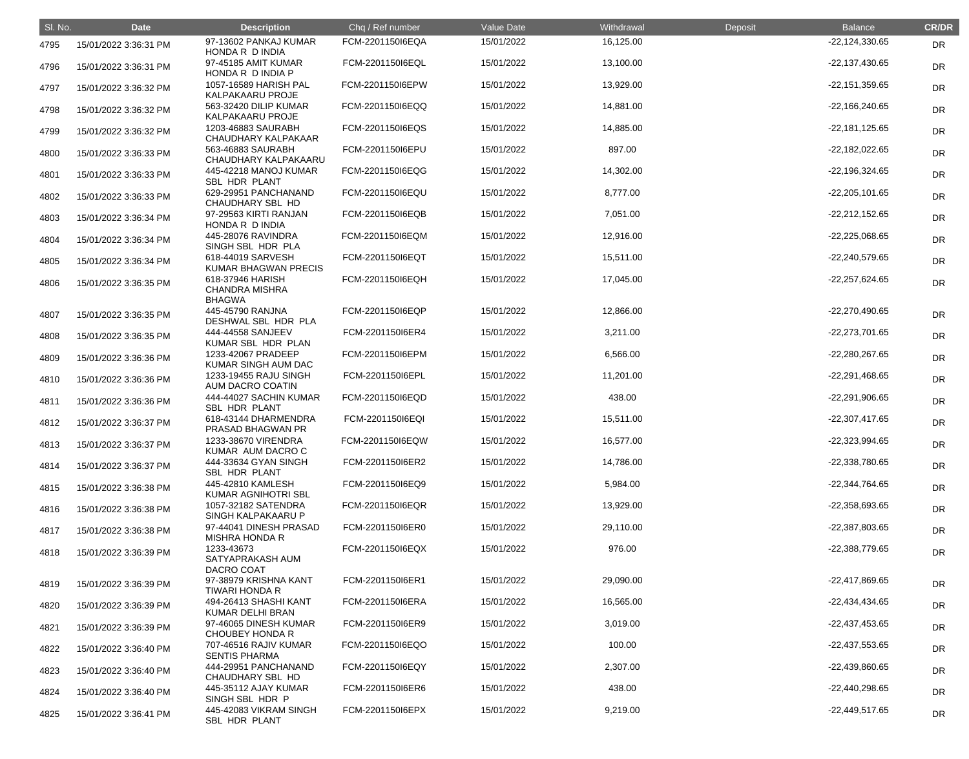| SI. No. | <b>Date</b>           | <b>Description</b>                                         | Chq / Ref number | Value Date | Withdrawal | Deposit | <b>Balance</b>   | <b>CR/DR</b> |
|---------|-----------------------|------------------------------------------------------------|------------------|------------|------------|---------|------------------|--------------|
| 4795    | 15/01/2022 3:36:31 PM | 97-13602 PANKAJ KUMAR<br>HONDA R D INDIA                   | FCM-2201150I6EQA | 15/01/2022 | 16,125.00  |         | $-22,124,330.65$ | <b>DR</b>    |
| 4796    | 15/01/2022 3:36:31 PM | 97-45185 AMIT KUMAR<br>HONDA R D INDIA P                   | FCM-2201150I6EQL | 15/01/2022 | 13,100.00  |         | $-22,137,430.65$ | <b>DR</b>    |
| 4797    | 15/01/2022 3:36:32 PM | 1057-16589 HARISH PAL<br>KALPAKAARU PROJE                  | FCM-2201150I6EPW | 15/01/2022 | 13,929.00  |         | $-22,151,359.65$ | <b>DR</b>    |
| 4798    | 15/01/2022 3:36:32 PM | 563-32420 DILIP KUMAR<br>KALPAKAARU PROJE                  | FCM-2201150I6EQQ | 15/01/2022 | 14,881.00  |         | $-22,166,240.65$ | <b>DR</b>    |
| 4799    | 15/01/2022 3:36:32 PM | 1203-46883 SAURABH<br>CHAUDHARY KALPAKAAR                  | FCM-2201150I6EQS | 15/01/2022 | 14,885.00  |         | $-22,181,125.65$ | <b>DR</b>    |
| 4800    | 15/01/2022 3:36:33 PM | 563-46883 SAURABH<br>CHAUDHARY KALPAKAARU                  | FCM-2201150I6EPU | 15/01/2022 | 897.00     |         | $-22,182,022.65$ | <b>DR</b>    |
| 4801    | 15/01/2022 3:36:33 PM | 445-42218 MANOJ KUMAR<br>SBL HDR PLANT                     | FCM-2201150I6EQG | 15/01/2022 | 14,302.00  |         | $-22,196,324.65$ | DR           |
| 4802    | 15/01/2022 3:36:33 PM | 629-29951 PANCHANAND<br>CHAUDHARY SBL HD                   | FCM-2201150I6EQU | 15/01/2022 | 8,777.00   |         | $-22,205,101.65$ | <b>DR</b>    |
| 4803    | 15/01/2022 3:36:34 PM | 97-29563 KIRTI RANJAN<br>HONDA R D INDIA                   | FCM-2201150I6EQB | 15/01/2022 | 7,051.00   |         | $-22,212,152.65$ | <b>DR</b>    |
| 4804    | 15/01/2022 3:36:34 PM | 445-28076 RAVINDRA<br>SINGH SBL HDR PLA                    | FCM-2201150I6EQM | 15/01/2022 | 12,916.00  |         | $-22,225,068.65$ | <b>DR</b>    |
| 4805    | 15/01/2022 3:36:34 PM | 618-44019 SARVESH<br><b>KUMAR BHAGWAN PRECIS</b>           | FCM-2201150I6EQT | 15/01/2022 | 15,511.00  |         | -22,240,579.65   | <b>DR</b>    |
| 4806    | 15/01/2022 3:36:35 PM | 618-37946 HARISH<br><b>CHANDRA MISHRA</b><br><b>BHAGWA</b> | FCM-2201150I6EQH | 15/01/2022 | 17,045.00  |         | $-22,257,624.65$ | <b>DR</b>    |
| 4807    | 15/01/2022 3:36:35 PM | 445-45790 RANJNA<br>DESHWAL SBL HDR PLA                    | FCM-2201150I6EQP | 15/01/2022 | 12,866.00  |         | -22,270,490.65   | <b>DR</b>    |
| 4808    | 15/01/2022 3:36:35 PM | 444-44558 SANJEEV<br>KUMAR SBL HDR PLAN                    | FCM-2201150I6ER4 | 15/01/2022 | 3,211.00   |         | -22,273,701.65   | DR           |
| 4809    | 15/01/2022 3:36:36 PM | 1233-42067 PRADEEP<br>KUMAR SINGH AUM DAC                  | FCM-2201150I6EPM | 15/01/2022 | 6,566.00   |         | -22,280,267.65   | DR           |
| 4810    | 15/01/2022 3:36:36 PM | 1233-19455 RAJU SINGH<br>AUM DACRO COATIN                  | FCM-2201150I6EPL | 15/01/2022 | 11,201.00  |         | $-22,291,468.65$ | <b>DR</b>    |
| 4811    | 15/01/2022 3:36:36 PM | 444-44027 SACHIN KUMAR<br><b>SBL HDR PLANT</b>             | FCM-2201150I6EQD | 15/01/2022 | 438.00     |         | $-22,291,906.65$ | <b>DR</b>    |
| 4812    | 15/01/2022 3:36:37 PM | 618-43144 DHARMENDRA<br>PRASAD BHAGWAN PR                  | FCM-220115016EQI | 15/01/2022 | 15,511.00  |         | $-22,307,417.65$ | DR           |
| 4813    | 15/01/2022 3:36:37 PM | 1233-38670 VIRENDRA<br>KUMAR AUM DACRO C                   | FCM-2201150I6EQW | 15/01/2022 | 16,577.00  |         | $-22,323,994.65$ | <b>DR</b>    |
| 4814    | 15/01/2022 3:36:37 PM | 444-33634 GYAN SINGH<br><b>SBL HDR PLANT</b>               | FCM-2201150I6ER2 | 15/01/2022 | 14,786.00  |         | -22,338,780.65   | <b>DR</b>    |
| 4815    | 15/01/2022 3:36:38 PM | 445-42810 KAMLESH<br>KUMAR AGNIHOTRI SBL                   | FCM-2201150I6EQ9 | 15/01/2022 | 5,984.00   |         | -22,344,764.65   | <b>DR</b>    |
| 4816    | 15/01/2022 3:36:38 PM | 1057-32182 SATENDRA<br>SINGH KALPAKAARU P                  | FCM-2201150I6EQR | 15/01/2022 | 13,929.00  |         | -22,358,693.65   | <b>DR</b>    |
| 4817    | 15/01/2022 3:36:38 PM | 97-44041 DINESH PRASAD<br><b>MISHRA HONDA R</b>            | FCM-2201150I6ER0 | 15/01/2022 | 29,110.00  |         | -22,387,803.65   | <b>DR</b>    |
| 4818    | 15/01/2022 3:36:39 PM | 1233-43673<br>SATYAPRAKASH AUM<br>DACRO COAT               | FCM-2201150I6EQX | 15/01/2022 | 976.00     |         | -22,388,779.65   | <b>DR</b>    |
| 4819    | 15/01/2022 3:36:39 PM | 97-38979 KRISHNA KANT<br><b>TIWARI HONDA R</b>             | FCM-2201150I6ER1 | 15/01/2022 | 29,090.00  |         | -22,417,869.65   | DR           |
| 4820    | 15/01/2022 3:36:39 PM | 494-26413 SHASHI KANT<br>KUMAR DELHI BRAN                  | FCM-2201150I6ERA | 15/01/2022 | 16,565.00  |         | -22,434,434.65   | <b>DR</b>    |
| 4821    | 15/01/2022 3:36:39 PM | 97-46065 DINESH KUMAR<br><b>CHOUBEY HONDA R</b>            | FCM-2201150I6ER9 | 15/01/2022 | 3,019.00   |         | $-22,437,453.65$ | <b>DR</b>    |
| 4822    | 15/01/2022 3:36:40 PM | 707-46516 RAJIV KUMAR<br><b>SENTIS PHARMA</b>              | FCM-2201150I6EQO | 15/01/2022 | 100.00     |         | -22,437,553.65   | <b>DR</b>    |
| 4823    | 15/01/2022 3:36:40 PM | 444-29951 PANCHANAND<br>CHAUDHARY SBL HD                   | FCM-220115016EQY | 15/01/2022 | 2,307.00   |         | -22,439,860.65   | <b>DR</b>    |
| 4824    | 15/01/2022 3:36:40 PM | 445-35112 AJAY KUMAR<br>SINGH SBL HDR P                    | FCM-2201150I6ER6 | 15/01/2022 | 438.00     |         | -22,440,298.65   | <b>DR</b>    |
| 4825    | 15/01/2022 3:36:41 PM | 445-42083 VIKRAM SINGH<br>SBL HDR PLANT                    | FCM-2201150I6EPX | 15/01/2022 | 9,219.00   |         | -22,449,517.65   | <b>DR</b>    |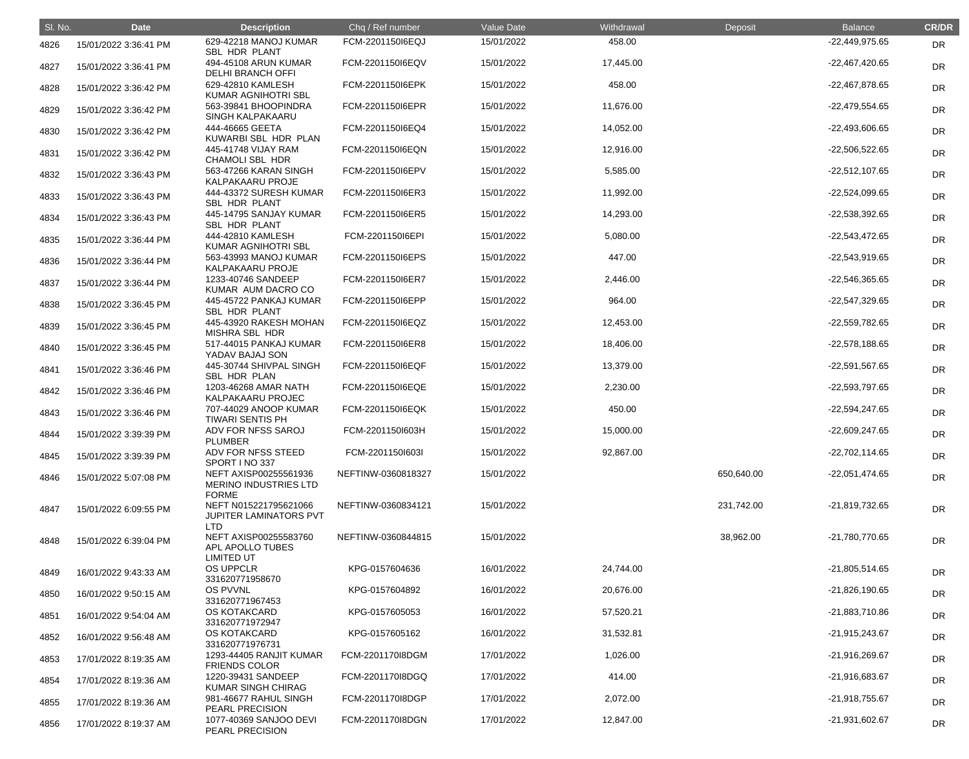| SI. No. | <b>Date</b>           | <b>Description</b>                                                    | Chq / Ref number   | Value Date | Withdrawal | Deposit    | <b>Balance</b>   | <b>CR/DR</b> |
|---------|-----------------------|-----------------------------------------------------------------------|--------------------|------------|------------|------------|------------------|--------------|
| 4826    | 15/01/2022 3:36:41 PM | 629-42218 MANOJ KUMAR<br>SBL HDR PLANT                                | FCM-2201150I6EQJ   | 15/01/2022 | 458.00     |            | -22,449,975.65   | <b>DR</b>    |
| 4827    | 15/01/2022 3:36:41 PM | 494-45108 ARUN KUMAR<br><b>DELHI BRANCH OFFI</b>                      | FCM-2201150I6EQV   | 15/01/2022 | 17,445.00  |            | $-22,467,420.65$ | <b>DR</b>    |
| 4828    | 15/01/2022 3:36:42 PM | 629-42810 KAMLESH<br>KUMAR AGNIHOTRI SBL                              | FCM-2201150I6EPK   | 15/01/2022 | 458.00     |            | -22,467,878.65   | <b>DR</b>    |
| 4829    | 15/01/2022 3:36:42 PM | 563-39841 BHOOPINDRA<br>SINGH KALPAKAARU                              | FCM-2201150I6EPR   | 15/01/2022 | 11,676.00  |            | $-22,479,554.65$ | <b>DR</b>    |
| 4830    | 15/01/2022 3:36:42 PM | 444-46665 GEETA<br>KUWARBI SBL HDR PLAN                               | FCM-2201150I6EQ4   | 15/01/2022 | 14,052.00  |            | -22,493,606.65   | <b>DR</b>    |
| 4831    | 15/01/2022 3:36:42 PM | 445-41748 VIJAY RAM<br><b>CHAMOLI SBL HDR</b>                         | FCM-2201150I6EQN   | 15/01/2022 | 12,916.00  |            | $-22,506,522.65$ | DR           |
| 4832    | 15/01/2022 3:36:43 PM | 563-47266 KARAN SINGH<br>KALPAKAARU PROJE                             | FCM-2201150I6EPV   | 15/01/2022 | 5,585.00   |            | $-22,512,107.65$ | DR           |
| 4833    | 15/01/2022 3:36:43 PM | 444-43372 SURESH KUMAR<br>SBL HDR PLANT                               | FCM-2201150I6ER3   | 15/01/2022 | 11,992.00  |            | $-22,524,099.65$ | <b>DR</b>    |
| 4834    | 15/01/2022 3:36:43 PM | 445-14795 SANJAY KUMAR<br>SBL HDR PLANT                               | FCM-2201150I6ER5   | 15/01/2022 | 14,293.00  |            | -22,538,392.65   | <b>DR</b>    |
| 4835    | 15/01/2022 3:36:44 PM | 444-42810 KAMLESH<br>KUMAR AGNIHOTRI SBL                              | FCM-2201150I6EPI   | 15/01/2022 | 5,080.00   |            | $-22,543,472.65$ | <b>DR</b>    |
| 4836    | 15/01/2022 3:36:44 PM | 563-43993 MANOJ KUMAR<br><b>KALPAKAARU PROJE</b>                      | FCM-2201150I6EPS   | 15/01/2022 | 447.00     |            | $-22,543,919.65$ | DR           |
| 4837    | 15/01/2022 3:36:44 PM | 1233-40746 SANDEEP<br>KUMAR AUM DACRO CO                              | FCM-2201150I6ER7   | 15/01/2022 | 2,446.00   |            | -22,546,365.65   | DR           |
| 4838    | 15/01/2022 3:36:45 PM | 445-45722 PANKAJ KUMAR<br>SBL HDR PLANT                               | FCM-2201150I6EPP   | 15/01/2022 | 964.00     |            | -22,547,329.65   | <b>DR</b>    |
| 4839    | 15/01/2022 3:36:45 PM | 445-43920 RAKESH MOHAN<br>MISHRA SBL HDR                              | FCM-2201150I6EQZ   | 15/01/2022 | 12,453.00  |            | -22,559,782.65   | <b>DR</b>    |
| 4840    | 15/01/2022 3:36:45 PM | 517-44015 PANKAJ KUMAR<br>YADAV BAJAJ SON                             | FCM-2201150I6ER8   | 15/01/2022 | 18,406.00  |            | $-22,578,188.65$ | DR           |
| 4841    | 15/01/2022 3:36:46 PM | 445-30744 SHIVPAL SINGH<br>SBL HDR PLAN                               | FCM-2201150I6EQF   | 15/01/2022 | 13,379.00  |            | $-22,591,567.65$ | DR           |
| 4842    | 15/01/2022 3:36:46 PM | 1203-46268 AMAR NATH<br>KALPAKAARU PROJEC                             | FCM-2201150I6EQE   | 15/01/2022 | 2,230.00   |            | $-22,593,797.65$ | <b>DR</b>    |
| 4843    | 15/01/2022 3:36:46 PM | 707-44029 ANOOP KUMAR<br><b>TIWARI SENTIS PH</b>                      | FCM-2201150I6EQK   | 15/01/2022 | 450.00     |            | -22,594,247.65   | DR           |
| 4844    | 15/01/2022 3:39:39 PM | ADV FOR NFSS SAROJ<br><b>PLUMBER</b>                                  | FCM-2201150l603H   | 15/01/2022 | 15,000.00  |            | $-22,609,247.65$ | <b>DR</b>    |
| 4845    | 15/01/2022 3:39:39 PM | ADV FOR NFSS STEED<br>SPORT INO 337                                   | FCM-2201150l603l   | 15/01/2022 | 92,867.00  |            | $-22,702,114.65$ | <b>DR</b>    |
| 4846    | 15/01/2022 5:07:08 PM | NEFT AXISP00255561936<br><b>MERINO INDUSTRIES LTD</b><br><b>FORME</b> | NEFTINW-0360818327 | 15/01/2022 |            | 650,640.00 | -22,051,474.65   | <b>DR</b>    |
| 4847    | 15/01/2022 6:09:55 PM | NEFT N015221795621066<br>JUPITER LAMINATORS PVT<br><b>LTD</b>         | NEFTINW-0360834121 | 15/01/2022 |            | 231,742.00 | -21,819,732.65   | <b>DR</b>    |
| 4848    | 15/01/2022 6:39:04 PM | NEFT AXISP00255583760<br>APL APOLLO TUBES<br><b>LIMITED UT</b>        | NEFTINW-0360844815 | 15/01/2022 |            | 38,962.00  | -21,780,770.65   | <b>DR</b>    |
| 4849    | 16/01/2022 9:43:33 AM | <b>OS UPPCLR</b><br>331620771958670                                   | KPG-0157604636     | 16/01/2022 | 24,744.00  |            | $-21,805,514.65$ | DR           |
| 4850    | 16/01/2022 9:50:15 AM | OS PVVNL<br>331620771967453                                           | KPG-0157604892     | 16/01/2022 | 20,676.00  |            | $-21,826,190.65$ | <b>DR</b>    |
| 4851    | 16/01/2022 9:54:04 AM | <b>OS KOTAKCARD</b><br>331620771972947                                | KPG-0157605053     | 16/01/2022 | 57,520.21  |            | $-21,883,710.86$ | <b>DR</b>    |
| 4852    | 16/01/2022 9:56:48 AM | <b>OS KOTAKCARD</b><br>331620771976731                                | KPG-0157605162     | 16/01/2022 | 31,532.81  |            | -21,915,243.67   | <b>DR</b>    |
| 4853    | 17/01/2022 8:19:35 AM | 1293-44405 RANJIT KUMAR<br><b>FRIENDS COLOR</b>                       | FCM-2201170I8DGM   | 17/01/2022 | 1,026.00   |            | -21,916,269.67   | <b>DR</b>    |
| 4854    | 17/01/2022 8:19:36 AM | 1220-39431 SANDEEP<br><b>KUMAR SINGH CHIRAG</b>                       | FCM-2201170I8DGQ   | 17/01/2022 | 414.00     |            | -21,916,683.67   | <b>DR</b>    |
| 4855    | 17/01/2022 8:19:36 AM | 981-46677 RAHUL SINGH<br>PEARL PRECISION                              | FCM-2201170I8DGP   | 17/01/2022 | 2,072.00   |            | -21,918,755.67   | <b>DR</b>    |
| 4856    | 17/01/2022 8:19:37 AM | 1077-40369 SANJOO DEVI<br>PEARL PRECISION                             | FCM-2201170I8DGN   | 17/01/2022 | 12,847.00  |            | -21,931,602.67   | <b>DR</b>    |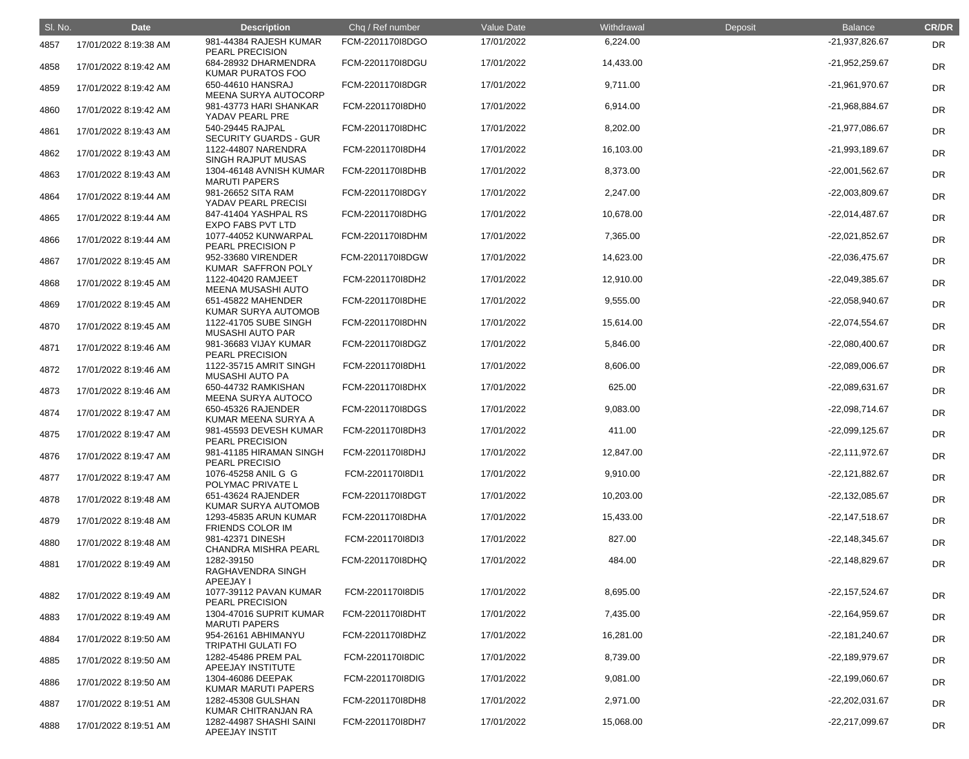| SI. No. | <b>Date</b>           | <b>Description</b>                                  | Chq / Ref number | Value Date | Withdrawal | Deposit | <b>Balance</b>   | <b>CR/DR</b> |
|---------|-----------------------|-----------------------------------------------------|------------------|------------|------------|---------|------------------|--------------|
| 4857    | 17/01/2022 8:19:38 AM | 981-44384 RAJESH KUMAR<br>PEARL PRECISION           | FCM-2201170I8DGO | 17/01/2022 | 6,224.00   |         | -21,937,826.67   | DR           |
| 4858    | 17/01/2022 8:19:42 AM | 684-28932 DHARMENDRA<br>KUMAR PURATOS FOO           | FCM-2201170I8DGU | 17/01/2022 | 14,433.00  |         | -21,952,259.67   | <b>DR</b>    |
| 4859    | 17/01/2022 8:19:42 AM | 650-44610 HANSRAJ<br><b>MEENA SURYA AUTOCORP</b>    | FCM-2201170I8DGR | 17/01/2022 | 9,711.00   |         | -21,961,970.67   | <b>DR</b>    |
| 4860    | 17/01/2022 8:19:42 AM | 981-43773 HARI SHANKAR<br>YADAV PEARL PRE           | FCM-2201170I8DH0 | 17/01/2022 | 6,914.00   |         | -21,968,884.67   | <b>DR</b>    |
| 4861    | 17/01/2022 8:19:43 AM | 540-29445 RAJPAL<br><b>SECURITY GUARDS - GUR</b>    | FCM-2201170I8DHC | 17/01/2022 | 8,202.00   |         | -21,977,086.67   | <b>DR</b>    |
| 4862    | 17/01/2022 8:19:43 AM | 1122-44807 NARENDRA<br>SINGH RAJPUT MUSAS           | FCM-2201170I8DH4 | 17/01/2022 | 16,103.00  |         | -21,993,189.67   | <b>DR</b>    |
| 4863    | 17/01/2022 8:19:43 AM | 1304-46148 AVNISH KUMAR<br><b>MARUTI PAPERS</b>     | FCM-2201170I8DHB | 17/01/2022 | 8,373.00   |         | $-22,001,562.67$ | DR           |
| 4864    | 17/01/2022 8:19:44 AM | 981-26652 SITA RAM<br>YADAV PEARL PRECISI           | FCM-2201170I8DGY | 17/01/2022 | 2,247.00   |         | -22,003,809.67   | <b>DR</b>    |
| 4865    | 17/01/2022 8:19:44 AM | 847-41404 YASHPAL RS<br><b>EXPO FABS PVT LTD</b>    | FCM-2201170I8DHG | 17/01/2022 | 10,678.00  |         | $-22,014,487.67$ | <b>DR</b>    |
| 4866    | 17/01/2022 8:19:44 AM | 1077-44052 KUNWARPAL<br>PEARL PRECISION P           | FCM-2201170I8DHM | 17/01/2022 | 7,365.00   |         | $-22,021,852.67$ | <b>DR</b>    |
| 4867    | 17/01/2022 8:19:45 AM | 952-33680 VIRENDER<br>KUMAR SAFFRON POLY            | FCM-2201170I8DGW | 17/01/2022 | 14,623.00  |         | -22,036,475.67   | DR           |
| 4868    | 17/01/2022 8:19:45 AM | 1122-40420 RAMJEET<br>MEENA MUSASHI AUTO            | FCM-2201170I8DH2 | 17/01/2022 | 12,910.00  |         | -22,049,385.67   | <b>DR</b>    |
| 4869    | 17/01/2022 8:19:45 AM | 651-45822 MAHENDER<br>KUMAR SURYA AUTOMOB           | FCM-2201170I8DHE | 17/01/2022 | 9,555.00   |         | -22,058,940.67   | <b>DR</b>    |
| 4870    | 17/01/2022 8:19:45 AM | 1122-41705 SUBE SINGH<br><b>MUSASHI AUTO PAR</b>    | FCM-2201170I8DHN | 17/01/2022 | 15,614.00  |         | -22,074,554.67   | <b>DR</b>    |
| 4871    | 17/01/2022 8:19:46 AM | 981-36683 VIJAY KUMAR<br>PEARL PRECISION            | FCM-2201170I8DGZ | 17/01/2022 | 5,846.00   |         | -22,080,400.67   | <b>DR</b>    |
| 4872    | 17/01/2022 8:19:46 AM | 1122-35715 AMRIT SINGH<br>MUSASHI AUTO PA           | FCM-2201170I8DH1 | 17/01/2022 | 8,606.00   |         | -22,089,006.67   | <b>DR</b>    |
| 4873    | 17/01/2022 8:19:46 AM | 650-44732 RAMKISHAN<br>MEENA SURYA AUTOCO           | FCM-2201170I8DHX | 17/01/2022 | 625.00     |         | -22,089,631.67   | <b>DR</b>    |
| 4874    | 17/01/2022 8:19:47 AM | 650-45326 RAJENDER<br>KUMAR MEENA SURYA A           | FCM-2201170I8DGS | 17/01/2022 | 9,083.00   |         | -22,098,714.67   | DR           |
| 4875    | 17/01/2022 8:19:47 AM | 981-45593 DEVESH KUMAR<br>PEARL PRECISION           | FCM-2201170I8DH3 | 17/01/2022 | 411.00     |         | $-22,099,125.67$ | <b>DR</b>    |
| 4876    | 17/01/2022 8:19:47 AM | 981-41185 HIRAMAN SINGH<br><b>PEARL PRECISIO</b>    | FCM-2201170I8DHJ | 17/01/2022 | 12,847.00  |         | $-22,111,972.67$ | <b>DR</b>    |
| 4877    | 17/01/2022 8:19:47 AM | 1076-45258 ANIL G G<br>POLYMAC PRIVATE L            | FCM-2201170I8DI1 | 17/01/2022 | 9,910.00   |         | $-22,121,882.67$ | <b>DR</b>    |
| 4878    | 17/01/2022 8:19:48 AM | 651-43624 RAJENDER<br>KUMAR SURYA AUTOMOB           | FCM-2201170I8DGT | 17/01/2022 | 10,203.00  |         | $-22,132,085.67$ | <b>DR</b>    |
| 4879    | 17/01/2022 8:19:48 AM | 1293-45835 ARUN KUMAR<br><b>FRIENDS COLOR IM</b>    | FCM-2201170I8DHA | 17/01/2022 | 15,433.00  |         | $-22,147,518.67$ | <b>DR</b>    |
| 4880    | 17/01/2022 8:19:48 AM | 981-42371 DINESH<br><b>CHANDRA MISHRA PEARL</b>     | FCM-220117018DI3 | 17/01/2022 | 827.00     |         | $-22,148,345.67$ | <b>DR</b>    |
| 4881    | 17/01/2022 8:19:49 AM | 1282-39150<br>RAGHAVENDRA SINGH<br><b>APEEJAY I</b> | FCM-2201170I8DHQ | 17/01/2022 | 484.00     |         | $-22,148,829.67$ | <b>DR</b>    |
| 4882    | 17/01/2022 8:19:49 AM | 1077-39112 PAVAN KUMAR<br><b>PEARL PRECISION</b>    | FCM-220117018DI5 | 17/01/2022 | 8,695.00   |         | $-22,157,524.67$ | <b>DR</b>    |
| 4883    | 17/01/2022 8:19:49 AM | 1304-47016 SUPRIT KUMAR<br><b>MARUTI PAPERS</b>     | FCM-2201170I8DHT | 17/01/2022 | 7,435.00   |         | $-22,164,959.67$ | <b>DR</b>    |
| 4884    | 17/01/2022 8:19:50 AM | 954-26161 ABHIMANYU<br><b>TRIPATHI GULATI FO</b>    | FCM-2201170I8DHZ | 17/01/2022 | 16,281.00  |         | $-22,181,240.67$ | <b>DR</b>    |
| 4885    | 17/01/2022 8:19:50 AM | 1282-45486 PREM PAL<br>APEEJAY INSTITUTE            | FCM-220117018DIC | 17/01/2022 | 8,739.00   |         | -22,189,979.67   | <b>DR</b>    |
| 4886    | 17/01/2022 8:19:50 AM | 1304-46086 DEEPAK<br>KUMAR MARUTI PAPERS            | FCM-2201170I8DIG | 17/01/2022 | 9,081.00   |         | $-22,199,060.67$ | <b>DR</b>    |
| 4887    | 17/01/2022 8:19:51 AM | 1282-45308 GULSHAN<br>KUMAR CHITRANJAN RA           | FCM-2201170I8DH8 | 17/01/2022 | 2,971.00   |         | -22,202,031.67   | <b>DR</b>    |
| 4888    | 17/01/2022 8:19:51 AM | 1282-44987 SHASHI SAINI<br>APEEJAY INSTIT           | FCM-2201170I8DH7 | 17/01/2022 | 15,068.00  |         | -22,217,099.67   | <b>DR</b>    |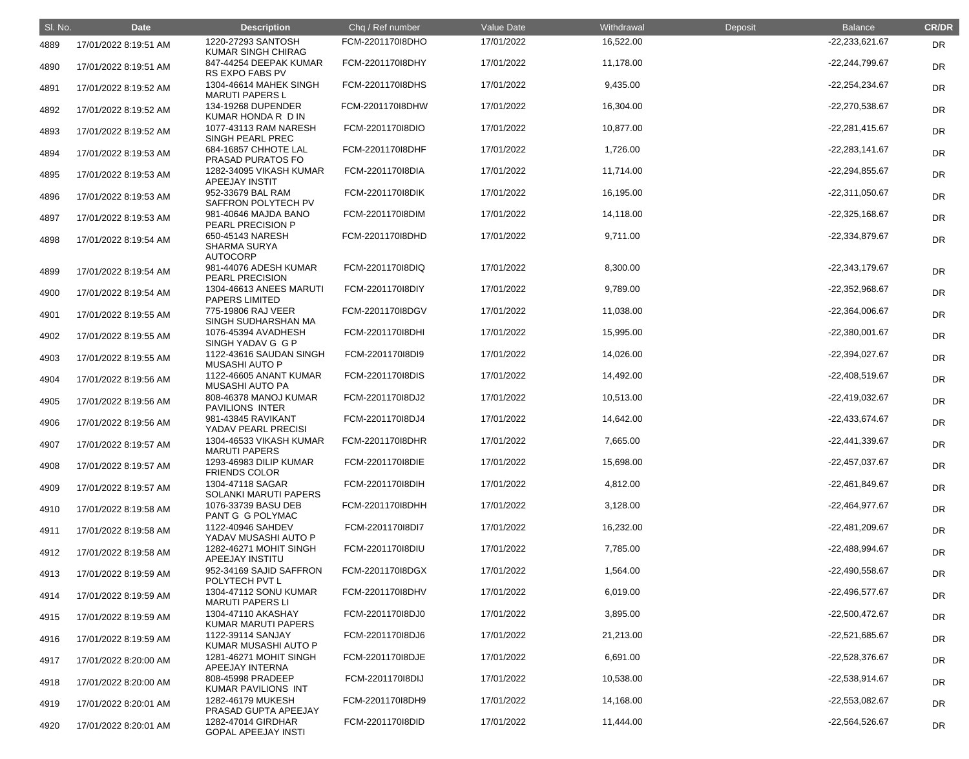| SI. No. | <b>Date</b>           | <b>Description</b>                                         | Chq / Ref number | Value Date | Withdrawal | Deposit | <b>Balance</b>   | <b>CR/DR</b> |
|---------|-----------------------|------------------------------------------------------------|------------------|------------|------------|---------|------------------|--------------|
| 4889    | 17/01/2022 8:19:51 AM | 1220-27293 SANTOSH<br><b>KUMAR SINGH CHIRAG</b>            | FCM-220117018DHO | 17/01/2022 | 16,522.00  |         | $-22,233,621.67$ | DR           |
| 4890    | 17/01/2022 8:19:51 AM | 847-44254 DEEPAK KUMAR<br>RS EXPO FABS PV                  | FCM-2201170I8DHY | 17/01/2022 | 11,178.00  |         | -22,244,799.67   | <b>DR</b>    |
| 4891    | 17/01/2022 8:19:52 AM | 1304-46614 MAHEK SINGH<br><b>MARUTI PAPERS L</b>           | FCM-2201170I8DHS | 17/01/2022 | 9,435.00   |         | -22,254,234.67   | <b>DR</b>    |
| 4892    | 17/01/2022 8:19:52 AM | 134-19268 DUPENDER<br>KUMAR HONDA R D IN                   | FCM-2201170I8DHW | 17/01/2022 | 16,304.00  |         | -22,270,538.67   | <b>DR</b>    |
| 4893    | 17/01/2022 8:19:52 AM | 1077-43113 RAM NARESH<br>SINGH PEARL PREC                  | FCM-2201170I8DIO | 17/01/2022 | 10,877.00  |         | $-22,281,415.67$ | <b>DR</b>    |
| 4894    | 17/01/2022 8:19:53 AM | 684-16857 CHHOTE LAL<br>PRASAD PURATOS FO                  | FCM-2201170I8DHF | 17/01/2022 | 1,726.00   |         | $-22,283,141.67$ | <b>DR</b>    |
| 4895    | 17/01/2022 8:19:53 AM | 1282-34095 VIKASH KUMAR<br>APEEJAY INSTIT                  | FCM-2201170I8DIA | 17/01/2022 | 11,714.00  |         | -22,294,855.67   | <b>DR</b>    |
| 4896    | 17/01/2022 8:19:53 AM | 952-33679 BAL RAM<br>SAFFRON POLYTECH PV                   | FCM-220117018DIK | 17/01/2022 | 16,195.00  |         | -22,311,050.67   | <b>DR</b>    |
| 4897    | 17/01/2022 8:19:53 AM | 981-40646 MAJDA BANO<br>PEARL PRECISION P                  | FCM-2201170I8DIM | 17/01/2022 | 14,118.00  |         | $-22,325,168.67$ | <b>DR</b>    |
| 4898    | 17/01/2022 8:19:54 AM | 650-45143 NARESH<br><b>SHARMA SURYA</b><br><b>AUTOCORP</b> | FCM-2201170I8DHD | 17/01/2022 | 9,711.00   |         | -22,334,879.67   | <b>DR</b>    |
| 4899    | 17/01/2022 8:19:54 AM | 981-44076 ADESH KUMAR<br>PEARL PRECISION                   | FCM-2201170I8DIQ | 17/01/2022 | 8,300.00   |         | -22,343,179.67   | DR           |
| 4900    | 17/01/2022 8:19:54 AM | 1304-46613 ANEES MARUTI<br><b>PAPERS LIMITED</b>           | FCM-2201170I8DIY | 17/01/2022 | 9,789.00   |         | -22,352,968.67   | DR           |
| 4901    | 17/01/2022 8:19:55 AM | 775-19806 RAJ VEER<br>SINGH SUDHARSHAN MA                  | FCM-2201170I8DGV | 17/01/2022 | 11,038.00  |         | $-22,364,006.67$ | DR           |
| 4902    | 17/01/2022 8:19:55 AM | 1076-45394 AVADHESH<br>SINGH YADAV G G P                   | FCM-2201170I8DHI | 17/01/2022 | 15,995.00  |         | $-22,380,001.67$ | DR           |
| 4903    | 17/01/2022 8:19:55 AM | 1122-43616 SAUDAN SINGH<br><b>MUSASHI AUTO P</b>           | FCM-2201170I8DI9 | 17/01/2022 | 14,026.00  |         | -22,394,027.67   | <b>DR</b>    |
| 4904    | 17/01/2022 8:19:56 AM | 1122-46605 ANANT KUMAR<br><b>MUSASHI AUTO PA</b>           | FCM-220117018DIS | 17/01/2022 | 14,492.00  |         | -22,408,519.67   | DR           |
| 4905    | 17/01/2022 8:19:56 AM | 808-46378 MANOJ KUMAR<br>PAVILIONS INTER                   | FCM-2201170I8DJ2 | 17/01/2022 | 10,513.00  |         | -22,419,032.67   | DR           |
| 4906    | 17/01/2022 8:19:56 AM | 981-43845 RAVIKANT<br>YADAV PEARL PRECISI                  | FCM-220117018DJ4 | 17/01/2022 | 14,642.00  |         | -22,433,674.67   | DR           |
| 4907    | 17/01/2022 8:19:57 AM | 1304-46533 VIKASH KUMAR<br><b>MARUTI PAPERS</b>            | FCM-2201170I8DHR | 17/01/2022 | 7,665.00   |         | -22,441,339.67   | <b>DR</b>    |
| 4908    | 17/01/2022 8:19:57 AM | 1293-46983 DILIP KUMAR<br><b>FRIENDS COLOR</b>             | FCM-220117018DIE | 17/01/2022 | 15,698.00  |         | -22,457,037.67   | <b>DR</b>    |
| 4909    | 17/01/2022 8:19:57 AM | 1304-47118 SAGAR<br><b>SOLANKI MARUTI PAPERS</b>           | FCM-2201170I8DIH | 17/01/2022 | 4,812.00   |         | -22,461,849.67   | <b>DR</b>    |
| 4910    | 17/01/2022 8:19:58 AM | 1076-33739 BASU DEB<br>PANT G G POLYMAC                    | FCM-2201170I8DHH | 17/01/2022 | 3,128.00   |         | -22,464,977.67   | <b>DR</b>    |
| 4911    | 17/01/2022 8:19:58 AM | 1122-40946 SAHDEV<br>YADAV MUSASHI AUTO P                  | FCM-2201170I8DI7 | 17/01/2022 | 16,232.00  |         | -22,481,209.67   | <b>DR</b>    |
| 4912    | 17/01/2022 8:19:58 AM | 1282-46271 MOHIT SINGH<br>APEEJAY INSTITU                  | FCM-220117018DIU | 17/01/2022 | 7,785.00   |         | -22,488,994.67   | <b>DR</b>    |
| 4913    | 17/01/2022 8:19:59 AM | 952-34169 SAJID SAFFRON<br>POLYTECH PVT L                  | FCM-2201170I8DGX | 17/01/2022 | 1,564.00   |         | -22,490,558.67   | <b>DR</b>    |
| 4914    | 17/01/2022 8:19:59 AM | 1304-47112 SONU KUMAR<br><b>MARUTI PAPERS LI</b>           | FCM-2201170I8DHV | 17/01/2022 | 6,019.00   |         | -22,496,577.67   | <b>DR</b>    |
| 4915    | 17/01/2022 8:19:59 AM | 1304-47110 AKASHAY<br>KUMAR MARUTI PAPERS                  | FCM-2201170I8DJ0 | 17/01/2022 | 3,895.00   |         | $-22,500,472.67$ | <b>DR</b>    |
| 4916    | 17/01/2022 8:19:59 AM | 1122-39114 SANJAY<br>KUMAR MUSASHI AUTO P                  | FCM-2201170I8DJ6 | 17/01/2022 | 21,213.00  |         | -22,521,685.67   | <b>DR</b>    |
| 4917    | 17/01/2022 8:20:00 AM | 1281-46271 MOHIT SINGH<br>APEEJAY INTERNA                  | FCM-2201170I8DJE | 17/01/2022 | 6,691.00   |         | -22,528,376.67   | <b>DR</b>    |
| 4918    | 17/01/2022 8:20:00 AM | 808-45998 PRADEEP<br>KUMAR PAVILIONS INT                   | FCM-220117018DIJ | 17/01/2022 | 10,538.00  |         | -22,538,914.67   | <b>DR</b>    |
| 4919    | 17/01/2022 8:20:01 AM | 1282-46179 MUKESH<br>PRASAD GUPTA APEEJAY                  | FCM-2201170I8DH9 | 17/01/2022 | 14,168.00  |         | -22,553,082.67   | <b>DR</b>    |
| 4920    | 17/01/2022 8:20:01 AM | 1282-47014 GIRDHAR<br><b>GOPAL APEEJAY INSTI</b>           | FCM-220117018DID | 17/01/2022 | 11,444.00  |         | -22,564,526.67   | <b>DR</b>    |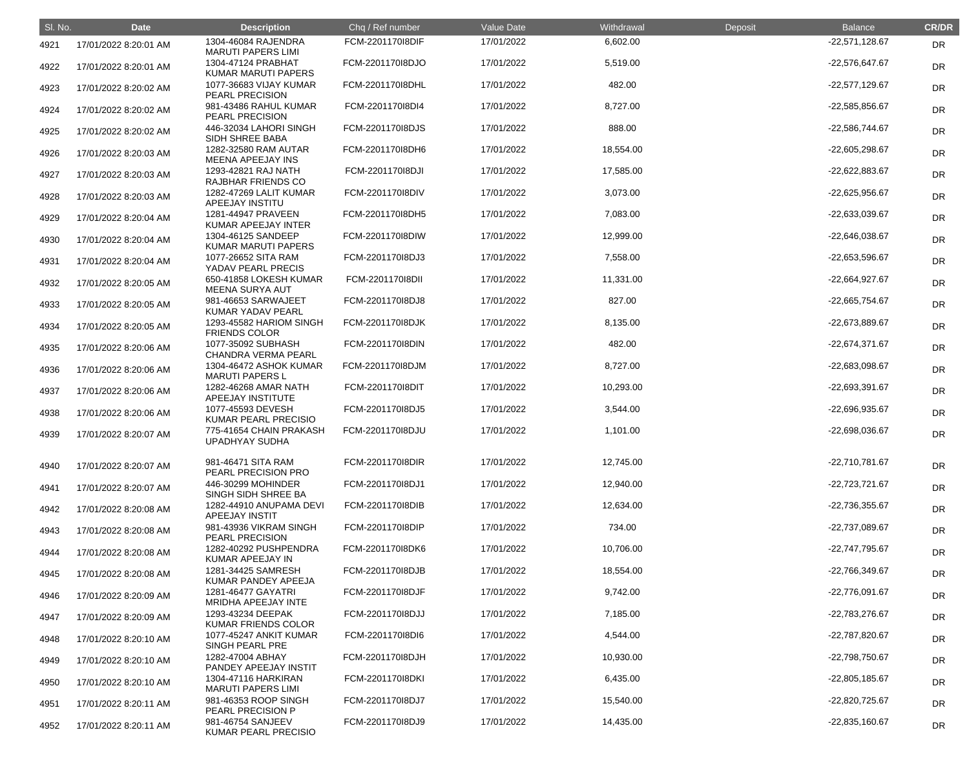| SI. No. | <b>Date</b>           | <b>Description</b>                               | Chq / Ref number | Value Date | Withdrawal | Deposit | <b>Balance</b>   | <b>CR/DR</b> |
|---------|-----------------------|--------------------------------------------------|------------------|------------|------------|---------|------------------|--------------|
| 4921    | 17/01/2022 8:20:01 AM | 1304-46084 RAJENDRA<br><b>MARUTI PAPERS LIMI</b> | FCM-2201170I8DIF | 17/01/2022 | 6,602.00   |         | $-22,571,128.67$ | <b>DR</b>    |
| 4922    | 17/01/2022 8:20:01 AM | 1304-47124 PRABHAT<br>KUMAR MARUTI PAPERS        | FCM-2201170I8DJO | 17/01/2022 | 5,519.00   |         | -22,576,647.67   | DR           |
| 4923    | 17/01/2022 8:20:02 AM | 1077-36683 VIJAY KUMAR<br>PEARL PRECISION        | FCM-2201170I8DHL | 17/01/2022 | 482.00     |         | -22,577,129.67   | <b>DR</b>    |
| 4924    | 17/01/2022 8:20:02 AM | 981-43486 RAHUL KUMAR<br>PEARL PRECISION         | FCM-2201170I8DI4 | 17/01/2022 | 8,727.00   |         | -22,585,856.67   | <b>DR</b>    |
| 4925    | 17/01/2022 8:20:02 AM | 446-32034 LAHORI SINGH<br>SIDH SHREE BABA        | FCM-2201170I8DJS | 17/01/2022 | 888.00     |         | -22,586,744.67   | DR           |
| 4926    | 17/01/2022 8:20:03 AM | 1282-32580 RAM AUTAR<br>MEENA APEEJAY INS        | FCM-2201170I8DH6 | 17/01/2022 | 18,554.00  |         | -22,605,298.67   | <b>DR</b>    |
| 4927    | 17/01/2022 8:20:03 AM | 1293-42821 RAJ NATH<br><b>RAJBHAR FRIENDS CO</b> | FCM-220117018DJI | 17/01/2022 | 17,585.00  |         | -22,622,883.67   | DR           |
| 4928    | 17/01/2022 8:20:03 AM | 1282-47269 LALIT KUMAR<br>APEEJAY INSTITU        | FCM-2201170I8DIV | 17/01/2022 | 3,073.00   |         | -22,625,956.67   | <b>DR</b>    |
| 4929    | 17/01/2022 8:20:04 AM | 1281-44947 PRAVEEN<br>KUMAR APEEJAY INTER        | FCM-2201170I8DH5 | 17/01/2022 | 7,083.00   |         | -22,633,039.67   | <b>DR</b>    |
| 4930    | 17/01/2022 8:20:04 AM | 1304-46125 SANDEEP<br>KUMAR MARUTI PAPERS        | FCM-2201170I8DIW | 17/01/2022 | 12,999.00  |         | -22,646,038.67   | DR           |
| 4931    | 17/01/2022 8:20:04 AM | 1077-26652 SITA RAM<br>YADAV PEARL PRECIS        | FCM-2201170I8DJ3 | 17/01/2022 | 7,558.00   |         | -22,653,596.67   | <b>DR</b>    |
| 4932    | 17/01/2022 8:20:05 AM | 650-41858 LOKESH KUMAR<br><b>MEENA SURYA AUT</b> | FCM-220117018DII | 17/01/2022 | 11,331.00  |         | -22,664,927.67   | DR           |
| 4933    | 17/01/2022 8:20:05 AM | 981-46653 SARWAJEET<br><b>KUMAR YADAV PEARL</b>  | FCM-2201170I8DJ8 | 17/01/2022 | 827.00     |         | -22,665,754.67   | <b>DR</b>    |
| 4934    | 17/01/2022 8:20:05 AM | 1293-45582 HARIOM SINGH<br><b>FRIENDS COLOR</b>  | FCM-2201170I8DJK | 17/01/2022 | 8,135.00   |         | -22,673,889.67   | DR           |
| 4935    | 17/01/2022 8:20:06 AM | 1077-35092 SUBHASH<br>CHANDRA VERMA PEARL        | FCM-220117018DIN | 17/01/2022 | 482.00     |         | -22,674,371.67   | <b>DR</b>    |
| 4936    | 17/01/2022 8:20:06 AM | 1304-46472 ASHOK KUMAR<br><b>MARUTI PAPERS L</b> | FCM-2201170I8DJM | 17/01/2022 | 8,727.00   |         | -22,683,098.67   | <b>DR</b>    |
| 4937    | 17/01/2022 8:20:06 AM | 1282-46268 AMAR NATH<br>APEEJAY INSTITUTE        | FCM-2201170I8DIT | 17/01/2022 | 10,293.00  |         | -22,693,391.67   | <b>DR</b>    |
| 4938    | 17/01/2022 8:20:06 AM | 1077-45593 DEVESH<br><b>KUMAR PEARL PRECISIO</b> | FCM-2201170I8DJ5 | 17/01/2022 | 3,544.00   |         | -22,696,935.67   | <b>DR</b>    |
| 4939    | 17/01/2022 8:20:07 AM | 775-41654 CHAIN PRAKASH<br><b>UPADHYAY SUDHA</b> | FCM-2201170I8DJU | 17/01/2022 | 1,101.00   |         | -22,698,036.67   | <b>DR</b>    |
| 4940    | 17/01/2022 8:20:07 AM | 981-46471 SITA RAM<br>PEARL PRECISION PRO        | FCM-2201170I8DIR | 17/01/2022 | 12,745.00  |         | -22,710,781.67   | <b>DR</b>    |
| 4941    | 17/01/2022 8:20:07 AM | 446-30299 MOHINDER<br>SINGH SIDH SHREE BA        | FCM-2201170l8DJ1 | 17/01/2022 | 12,940.00  |         | $-22,723,721.67$ | <b>DR</b>    |
| 4942    | 17/01/2022 8:20:08 AM | 1282-44910 ANUPAMA DEVI<br>APEEJAY INSTIT        | FCM-2201170I8DIB | 17/01/2022 | 12,634.00  |         | -22,736,355.67   | <b>DR</b>    |
| 4943    | 17/01/2022 8:20:08 AM | 981-43936 VIKRAM SINGH<br>PEARL PRECISION        | FCM-2201170I8DIP | 17/01/2022 | 734.00     |         | -22,737,089.67   | <b>DR</b>    |
| 4944    | 17/01/2022 8:20:08 AM | 1282-40292 PUSHPENDRA<br>KUMAR APEEJAY IN        | FCM-2201170I8DK6 | 17/01/2022 | 10,706.00  |         | -22,747,795.67   | <b>DR</b>    |
| 4945    | 17/01/2022 8:20:08 AM | 1281-34425 SAMRESH<br>KUMAR PANDEY APEEJA        | FCM-2201170I8DJB | 17/01/2022 | 18,554.00  |         | -22,766,349.67   | <b>DR</b>    |
| 4946    | 17/01/2022 8:20:09 AM | 1281-46477 GAYATRI<br>MRIDHA APEEJAY INTE        | FCM-2201170I8DJF | 17/01/2022 | 9,742.00   |         | -22,776,091.67   | <b>DR</b>    |
| 4947    | 17/01/2022 8:20:09 AM | 1293-43234 DEEPAK<br>KUMAR FRIENDS COLOR         | FCM-220117018DJJ | 17/01/2022 | 7,185.00   |         | -22,783,276.67   | <b>DR</b>    |
| 4948    | 17/01/2022 8:20:10 AM | 1077-45247 ANKIT KUMAR<br>SINGH PEARL PRE        | FCM-220117018DI6 | 17/01/2022 | 4,544.00   |         | -22,787,820.67   | <b>DR</b>    |
| 4949    | 17/01/2022 8:20:10 AM | 1282-47004 ABHAY<br>PANDEY APEEJAY INSTIT        | FCM-2201170I8DJH | 17/01/2022 | 10,930.00  |         | -22,798,750.67   | <b>DR</b>    |
| 4950    | 17/01/2022 8:20:10 AM | 1304-47116 HARKIRAN<br><b>MARUTI PAPERS LIMI</b> | FCM-2201170I8DKI | 17/01/2022 | 6,435.00   |         | -22,805,185.67   | <b>DR</b>    |
| 4951    | 17/01/2022 8:20:11 AM | 981-46353 ROOP SINGH<br>PEARL PRECISION P        | FCM-2201170I8DJ7 | 17/01/2022 | 15,540.00  |         | -22,820,725.67   | <b>DR</b>    |
| 4952    | 17/01/2022 8:20:11 AM | 981-46754 SANJEEV<br><b>KUMAR PEARL PRECISIO</b> | FCM-2201170I8DJ9 | 17/01/2022 | 14,435.00  |         | $-22,835,160.67$ | <b>DR</b>    |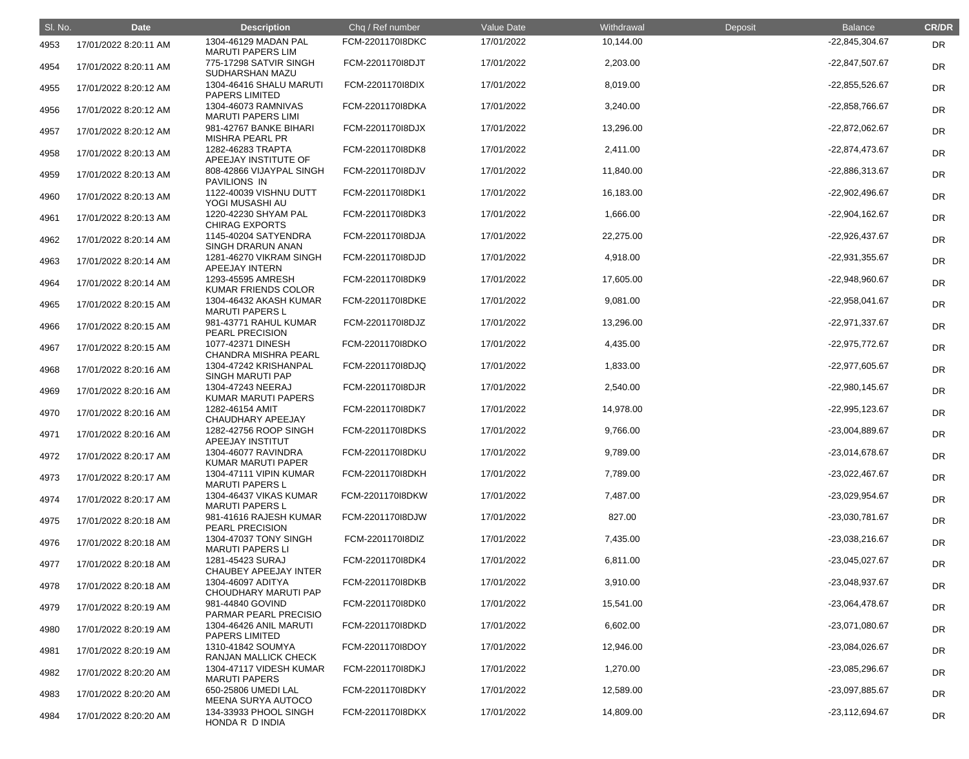| SI. No. | <b>Date</b>           | <b>Description</b>                               | Chq / Ref number | Value Date | Withdrawal | Deposit | <b>Balance</b>   | <b>CR/DR</b> |
|---------|-----------------------|--------------------------------------------------|------------------|------------|------------|---------|------------------|--------------|
| 4953    | 17/01/2022 8:20:11 AM | 1304-46129 MADAN PAL<br><b>MARUTI PAPERS LIM</b> | FCM-220117018DKC | 17/01/2022 | 10,144.00  |         | -22,845,304.67   | <b>DR</b>    |
| 4954    | 17/01/2022 8:20:11 AM | 775-17298 SATVIR SINGH<br>SUDHARSHAN MAZU        | FCM-2201170I8DJT | 17/01/2022 | 2,203.00   |         | -22,847,507.67   | <b>DR</b>    |
| 4955    | 17/01/2022 8:20:12 AM | 1304-46416 SHALU MARUTI<br><b>PAPERS LIMITED</b> | FCM-220117018DIX | 17/01/2022 | 8,019.00   |         | -22,855,526.67   | <b>DR</b>    |
| 4956    | 17/01/2022 8:20:12 AM | 1304-46073 RAMNIVAS<br><b>MARUTI PAPERS LIMI</b> | FCM-2201170I8DKA | 17/01/2022 | 3,240.00   |         | -22,858,766.67   | DR           |
| 4957    | 17/01/2022 8:20:12 AM | 981-42767 BANKE BIHARI<br><b>MISHRA PEARL PR</b> | FCM-2201170I8DJX | 17/01/2022 | 13,296.00  |         | -22,872,062.67   | <b>DR</b>    |
| 4958    | 17/01/2022 8:20:13 AM | 1282-46283 TRAPTA<br>APEEJAY INSTITUTE OF        | FCM-2201170I8DK8 | 17/01/2022 | 2,411.00   |         | -22,874,473.67   | <b>DR</b>    |
| 4959    | 17/01/2022 8:20:13 AM | 808-42866 VIJAYPAL SINGH<br><b>PAVILIONS IN</b>  | FCM-2201170I8DJV | 17/01/2022 | 11,840.00  |         | -22,886,313.67   | <b>DR</b>    |
| 4960    | 17/01/2022 8:20:13 AM | 1122-40039 VISHNU DUTT<br>YOGI MUSASHI AU        | FCM-2201170I8DK1 | 17/01/2022 | 16,183.00  |         | -22,902,496.67   | <b>DR</b>    |
| 4961    | 17/01/2022 8:20:13 AM | 1220-42230 SHYAM PAL<br><b>CHIRAG EXPORTS</b>    | FCM-2201170I8DK3 | 17/01/2022 | 1,666.00   |         | -22,904,162.67   | <b>DR</b>    |
| 4962    | 17/01/2022 8:20:14 AM | 1145-40204 SATYENDRA<br>SINGH DRARUN ANAN        | FCM-2201170I8DJA | 17/01/2022 | 22,275.00  |         | -22,926,437.67   | <b>DR</b>    |
| 4963    | 17/01/2022 8:20:14 AM | 1281-46270 VIKRAM SINGH<br>APEEJAY INTERN        | FCM-2201170I8DJD | 17/01/2022 | 4,918.00   |         | -22,931,355.67   | <b>DR</b>    |
| 4964    | 17/01/2022 8:20:14 AM | 1293-45595 AMRESH<br>KUMAR FRIENDS COLOR         | FCM-2201170I8DK9 | 17/01/2022 | 17,605.00  |         | -22,948,960.67   | <b>DR</b>    |
| 4965    | 17/01/2022 8:20:15 AM | 1304-46432 AKASH KUMAR<br><b>MARUTI PAPERS L</b> | FCM-2201170I8DKE | 17/01/2022 | 9,081.00   |         | -22,958,041.67   | <b>DR</b>    |
| 4966    | 17/01/2022 8:20:15 AM | 981-43771 RAHUL KUMAR<br>PEARL PRECISION         | FCM-2201170I8DJZ | 17/01/2022 | 13,296.00  |         | -22,971,337.67   | <b>DR</b>    |
| 4967    | 17/01/2022 8:20:15 AM | 1077-42371 DINESH<br><b>CHANDRA MISHRA PEARL</b> | FCM-2201170I8DKO | 17/01/2022 | 4,435.00   |         | -22,975,772.67   | <b>DR</b>    |
| 4968    | 17/01/2022 8:20:16 AM | 1304-47242 KRISHANPAL<br><b>SINGH MARUTI PAP</b> | FCM-2201170I8DJQ | 17/01/2022 | 1,833.00   |         | -22,977,605.67   | <b>DR</b>    |
| 4969    | 17/01/2022 8:20:16 AM | 1304-47243 NEERAJ<br><b>KUMAR MARUTI PAPERS</b>  | FCM-2201170I8DJR | 17/01/2022 | 2,540.00   |         | $-22,980,145.67$ | <b>DR</b>    |
| 4970    | 17/01/2022 8:20:16 AM | 1282-46154 AMIT<br>CHAUDHARY APEEJAY             | FCM-2201170I8DK7 | 17/01/2022 | 14,978.00  |         | -22,995,123.67   | <b>DR</b>    |
| 4971    | 17/01/2022 8:20:16 AM | 1282-42756 ROOP SINGH<br>APEEJAY INSTITUT        | FCM-2201170I8DKS | 17/01/2022 | 9,766.00   |         | -23,004,889.67   | <b>DR</b>    |
| 4972    | 17/01/2022 8:20:17 AM | 1304-46077 RAVINDRA<br>KUMAR MARUTI PAPER        | FCM-2201170I8DKU | 17/01/2022 | 9,789.00   |         | -23,014,678.67   | <b>DR</b>    |
| 4973    | 17/01/2022 8:20:17 AM | 1304-47111 VIPIN KUMAR<br><b>MARUTI PAPERS L</b> | FCM-2201170I8DKH | 17/01/2022 | 7,789.00   |         | -23,022,467.67   | DR           |
| 4974    | 17/01/2022 8:20:17 AM | 1304-46437 VIKAS KUMAR<br><b>MARUTI PAPERS L</b> | FCM-2201170I8DKW | 17/01/2022 | 7,487.00   |         | -23,029,954.67   | <b>DR</b>    |
| 4975    | 17/01/2022 8:20:18 AM | 981-41616 RAJESH KUMAR<br>PEARL PRECISION        | FCM-2201170I8DJW | 17/01/2022 | 827.00     |         | -23,030,781.67   | <b>DR</b>    |
| 4976    | 17/01/2022 8:20:18 AM | 1304-47037 TONY SINGH<br><b>MARUTI PAPERS LI</b> | FCM-220117018DIZ | 17/01/2022 | 7,435.00   |         | -23,038,216.67   | <b>DR</b>    |
| 4977    | 17/01/2022 8:20:18 AM | 1281-45423 SURAJ<br><b>CHAUBEY APEEJAY INTER</b> | FCM-2201170I8DK4 | 17/01/2022 | 6,811.00   |         | -23,045,027.67   | <b>DR</b>    |
| 4978    | 17/01/2022 8:20:18 AM | 1304-46097 ADITYA<br>CHOUDHARY MARUTI PAP        | FCM-2201170I8DKB | 17/01/2022 | 3,910.00   |         | -23,048,937.67   | <b>DR</b>    |
| 4979    | 17/01/2022 8:20:19 AM | 981-44840 GOVIND<br>PARMAR PEARL PRECISIO        | FCM-2201170I8DK0 | 17/01/2022 | 15,541.00  |         | -23,064,478.67   | <b>DR</b>    |
| 4980    | 17/01/2022 8:20:19 AM | 1304-46426 ANIL MARUTI<br><b>PAPERS LIMITED</b>  | FCM-2201170I8DKD | 17/01/2022 | 6,602.00   |         | -23,071,080.67   | <b>DR</b>    |
| 4981    | 17/01/2022 8:20:19 AM | 1310-41842 SOUMYA<br><b>RANJAN MALLICK CHECK</b> | FCM-2201170I8DOY | 17/01/2022 | 12,946.00  |         | -23,084,026.67   | <b>DR</b>    |
| 4982    | 17/01/2022 8:20:20 AM | 1304-47117 VIDESH KUMAR<br><b>MARUTI PAPERS</b>  | FCM-2201170I8DKJ | 17/01/2022 | 1,270.00   |         | -23,085,296.67   | <b>DR</b>    |
| 4983    | 17/01/2022 8:20:20 AM | 650-25806 UMEDI LAL<br>MEENA SURYA AUTOCO        | FCM-2201170I8DKY | 17/01/2022 | 12,589.00  |         | -23,097,885.67   | <b>DR</b>    |
| 4984    | 17/01/2022 8:20:20 AM | 134-33933 PHOOL SINGH<br>HONDA R D INDIA         | FCM-2201170I8DKX | 17/01/2022 | 14,809.00  |         | -23,112,694.67   | <b>DR</b>    |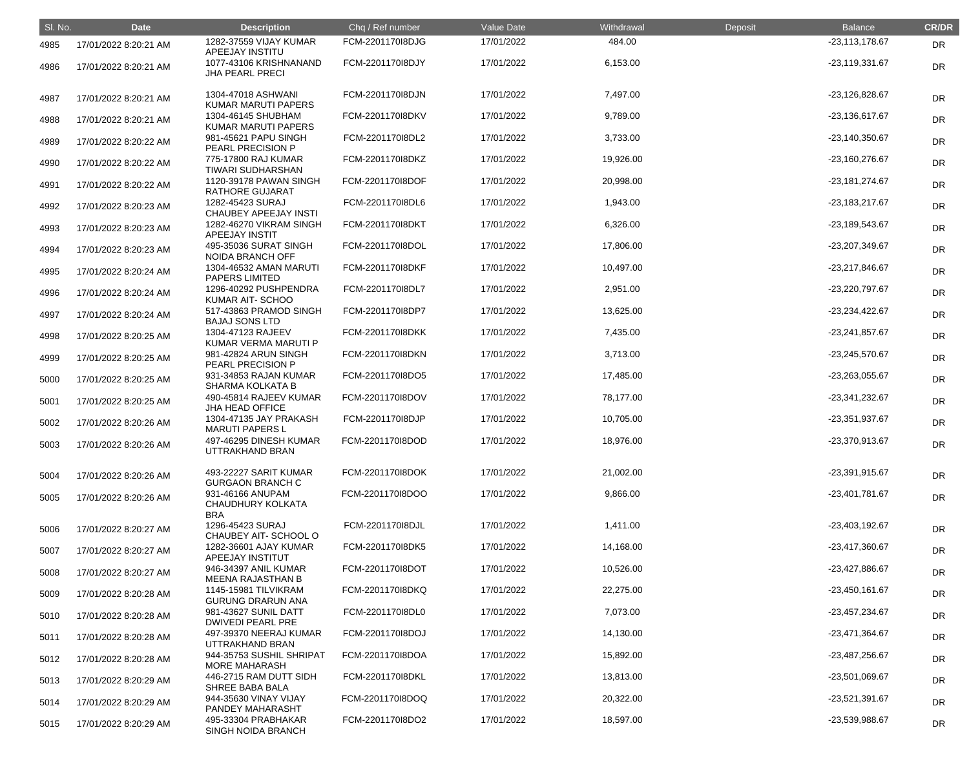| SI. No. | <b>Date</b>           | <b>Description</b>                                     | Chq / Ref number | Value Date | Withdrawal | Deposit | <b>Balance</b>   | <b>CR/DR</b> |
|---------|-----------------------|--------------------------------------------------------|------------------|------------|------------|---------|------------------|--------------|
| 4985    | 17/01/2022 8:20:21 AM | 1282-37559 VIJAY KUMAR<br>APEEJAY INSTITU              | FCM-2201170I8DJG | 17/01/2022 | 484.00     |         | $-23,113,178.67$ | DR           |
| 4986    | 17/01/2022 8:20:21 AM | 1077-43106 KRISHNANAND<br><b>JHA PEARL PRECI</b>       | FCM-2201170I8DJY | 17/01/2022 | 6,153.00   |         | -23,119,331.67   | DR           |
| 4987    | 17/01/2022 8:20:21 AM | 1304-47018 ASHWANI<br><b>KUMAR MARUTI PAPERS</b>       | FCM-2201170I8DJN | 17/01/2022 | 7,497.00   |         | -23,126,828.67   | <b>DR</b>    |
| 4988    | 17/01/2022 8:20:21 AM | 1304-46145 SHUBHAM<br><b>KUMAR MARUTI PAPERS</b>       | FCM-2201170I8DKV | 17/01/2022 | 9,789.00   |         | -23,136,617.67   | DR           |
| 4989    | 17/01/2022 8:20:22 AM | 981-45621 PAPU SINGH<br><b>PEARL PRECISION P</b>       | FCM-2201170I8DL2 | 17/01/2022 | 3,733.00   |         | -23,140,350.67   | DR           |
| 4990    | 17/01/2022 8:20:22 AM | 775-17800 RAJ KUMAR<br><b>TIWARI SUDHARSHAN</b>        | FCM-2201170I8DKZ | 17/01/2022 | 19,926.00  |         | -23,160,276.67   | <b>DR</b>    |
| 4991    | 17/01/2022 8:20:22 AM | 1120-39178 PAWAN SINGH<br><b>RATHORE GUJARAT</b>       | FCM-2201170I8DOF | 17/01/2022 | 20,998.00  |         | -23,181,274.67   | <b>DR</b>    |
| 4992    | 17/01/2022 8:20:23 AM | 1282-45423 SURAJ<br>CHAUBEY APEEJAY INSTI              | FCM-2201170I8DL6 | 17/01/2022 | 1,943.00   |         | -23,183,217.67   | DR           |
| 4993    | 17/01/2022 8:20:23 AM | 1282-46270 VIKRAM SINGH<br><b>APEEJAY INSTIT</b>       | FCM-2201170I8DKT | 17/01/2022 | 6,326.00   |         | -23,189,543.67   | <b>DR</b>    |
| 4994    | 17/01/2022 8:20:23 AM | 495-35036 SURAT SINGH<br><b>NOIDA BRANCH OFF</b>       | FCM-2201170I8DOL | 17/01/2022 | 17,806.00  |         | -23,207,349.67   | <b>DR</b>    |
| 4995    | 17/01/2022 8:20:24 AM | 1304-46532 AMAN MARUTI<br><b>PAPERS LIMITED</b>        | FCM-2201170I8DKF | 17/01/2022 | 10,497.00  |         | -23,217,846.67   | <b>DR</b>    |
| 4996    | 17/01/2022 8:20:24 AM | 1296-40292 PUSHPENDRA<br>KUMAR AIT-SCHOO               | FCM-2201170I8DL7 | 17/01/2022 | 2,951.00   |         | -23,220,797.67   | DR           |
| 4997    | 17/01/2022 8:20:24 AM | 517-43863 PRAMOD SINGH<br><b>BAJAJ SONS LTD</b>        | FCM-2201170I8DP7 | 17/01/2022 | 13,625.00  |         | -23,234,422.67   | <b>DR</b>    |
| 4998    | 17/01/2022 8:20:25 AM | 1304-47123 RAJEEV<br>KUMAR VERMA MARUTI P              | FCM-2201170I8DKK | 17/01/2022 | 7,435.00   |         | -23,241,857.67   | <b>DR</b>    |
| 4999    | 17/01/2022 8:20:25 AM | 981-42824 ARUN SINGH<br><b>PEARL PRECISION P</b>       | FCM-2201170I8DKN | 17/01/2022 | 3,713.00   |         | -23,245,570.67   | <b>DR</b>    |
| 5000    | 17/01/2022 8:20:25 AM | 931-34853 RAJAN KUMAR<br>SHARMA KOLKATA B              | FCM-2201170I8DO5 | 17/01/2022 | 17,485.00  |         | -23,263,055.67   | DR           |
| 5001    | 17/01/2022 8:20:25 AM | 490-45814 RAJEEV KUMAR<br><b>JHA HEAD OFFICE</b>       | FCM-2201170I8DOV | 17/01/2022 | 78,177.00  |         | -23,341,232.67   | <b>DR</b>    |
| 5002    | 17/01/2022 8:20:26 AM | 1304-47135 JAY PRAKASH<br><b>MARUTI PAPERS L</b>       | FCM-2201170I8DJP | 17/01/2022 | 10,705.00  |         | -23,351,937.67   | DR           |
| 5003    | 17/01/2022 8:20:26 AM | 497-46295 DINESH KUMAR<br>UTTRAKHAND BRAN              | FCM-2201170I8DOD | 17/01/2022 | 18,976.00  |         | -23,370,913.67   | <b>DR</b>    |
| 5004    | 17/01/2022 8:20:26 AM | 493-22227 SARIT KUMAR<br><b>GURGAON BRANCH C</b>       | FCM-2201170I8DOK | 17/01/2022 | 21,002.00  |         | -23,391,915.67   | DR           |
| 5005    | 17/01/2022 8:20:26 AM | 931-46166 ANUPAM<br><b>CHAUDHURY KOLKATA</b>           | FCM-2201170I8DOO | 17/01/2022 | 9,866.00   |         | -23,401,781.67   | <b>DR</b>    |
| 5006    | 17/01/2022 8:20:27 AM | <b>BRA</b><br>1296-45423 SURAJ<br>CHAUBEY AIT-SCHOOL O | FCM-2201170I8DJL | 17/01/2022 | 1,411.00   |         | -23,403,192.67   | <b>DR</b>    |
| 5007    | 17/01/2022 8:20:27 AM | 1282-36601 AJAY KUMAR<br>APEEJAY INSTITUT              | FCM-2201170I8DK5 | 17/01/2022 | 14,168.00  |         | -23,417,360.67   | DR           |
| 5008    | 17/01/2022 8:20:27 AM | 946-34397 ANIL KUMAR<br><b>MEENA RAJASTHAN B</b>       | FCM-2201170I8DOT | 17/01/2022 | 10,526.00  |         | -23,427,886.67   | DR           |
| 5009    | 17/01/2022 8:20:28 AM | 1145-15981 TILVIKRAM<br><b>GURUNG DRARUN ANA</b>       | FCM-2201170I8DKQ | 17/01/2022 | 22,275.00  |         | $-23,450,161.67$ | <b>DR</b>    |
| 5010    | 17/01/2022 8:20:28 AM | 981-43627 SUNIL DATT<br><b>DWIVEDI PEARL PRE</b>       | FCM-2201170I8DL0 | 17/01/2022 | 7,073.00   |         | -23,457,234.67   | DR           |
| 5011    | 17/01/2022 8:20:28 AM | 497-39370 NEERAJ KUMAR<br>UTTRAKHAND BRAN              | FCM-2201170I8DOJ | 17/01/2022 | 14,130.00  |         | -23,471,364.67   | DR           |
| 5012    | 17/01/2022 8:20:28 AM | 944-35753 SUSHIL SHRIPAT<br><b>MORE MAHARASH</b>       | FCM-2201170I8DOA | 17/01/2022 | 15,892.00  |         | -23,487,256.67   | <b>DR</b>    |
| 5013    | 17/01/2022 8:20:29 AM | 446-2715 RAM DUTT SIDH<br><b>SHREE BABA BALA</b>       | FCM-2201170I8DKL | 17/01/2022 | 13,813.00  |         | -23,501,069.67   | <b>DR</b>    |
| 5014    | 17/01/2022 8:20:29 AM | 944-35630 VINAY VIJAY<br>PANDEY MAHARASHT              | FCM-2201170I8DOQ | 17/01/2022 | 20,322.00  |         | -23,521,391.67   | <b>DR</b>    |
| 5015    | 17/01/2022 8:20:29 AM | 495-33304 PRABHAKAR<br>SINGH NOIDA BRANCH              | FCM-2201170l8DO2 | 17/01/2022 | 18,597.00  |         | -23,539,988.67   | <b>DR</b>    |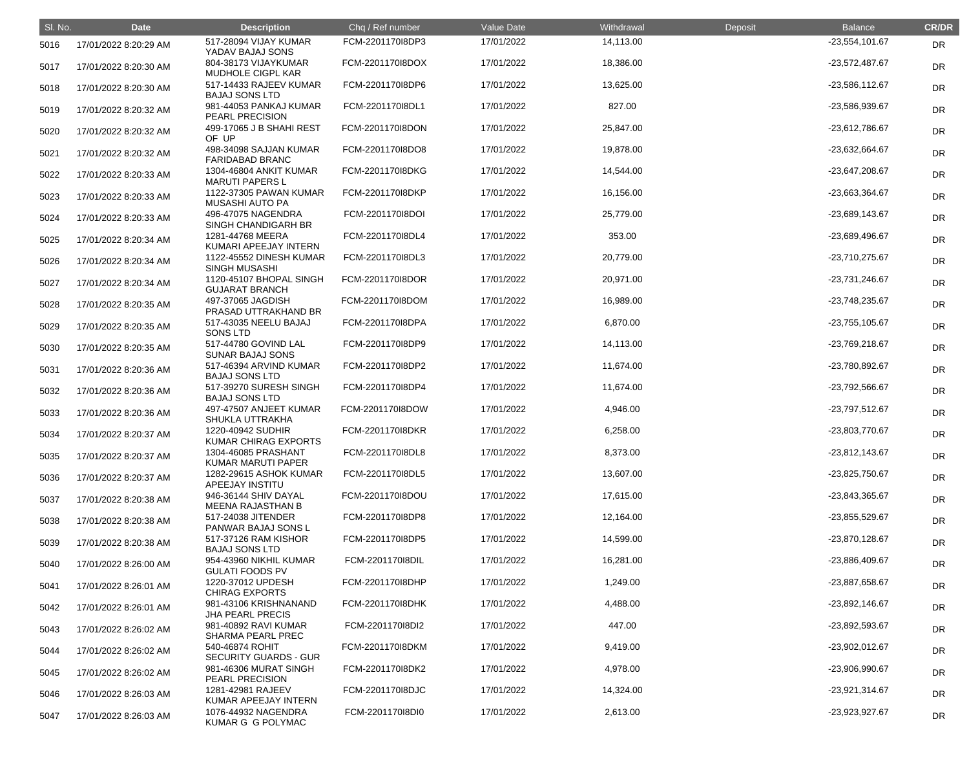| SI. No. | <b>Date</b>           | <b>Description</b>                               | Chq / Ref number | Value Date | Withdrawal | Deposit | <b>Balance</b>   | <b>CR/DR</b> |
|---------|-----------------------|--------------------------------------------------|------------------|------------|------------|---------|------------------|--------------|
| 5016    | 17/01/2022 8:20:29 AM | 517-28094 VIJAY KUMAR<br>YADAV BAJAJ SONS        | FCM-2201170I8DP3 | 17/01/2022 | 14,113.00  |         | -23,554,101.67   | <b>DR</b>    |
| 5017    | 17/01/2022 8:20:30 AM | 804-38173 VIJAYKUMAR<br>MUDHOLE CIGPL KAR        | FCM-2201170I8DOX | 17/01/2022 | 18,386.00  |         | -23,572,487.67   | <b>DR</b>    |
| 5018    | 17/01/2022 8:20:30 AM | 517-14433 RAJEEV KUMAR<br><b>BAJAJ SONS LTD</b>  | FCM-2201170I8DP6 | 17/01/2022 | 13,625.00  |         | -23,586,112.67   | <b>DR</b>    |
| 5019    | 17/01/2022 8:20:32 AM | 981-44053 PANKAJ KUMAR<br>PEARL PRECISION        | FCM-2201170I8DL1 | 17/01/2022 | 827.00     |         | -23,586,939.67   | <b>DR</b>    |
| 5020    | 17/01/2022 8:20:32 AM | 499-17065 J B SHAHI REST<br>OF UP                | FCM-2201170I8DON | 17/01/2022 | 25,847.00  |         | -23,612,786.67   | <b>DR</b>    |
| 5021    | 17/01/2022 8:20:32 AM | 498-34098 SAJJAN KUMAR<br><b>FARIDABAD BRANC</b> | FCM-2201170I8DO8 | 17/01/2022 | 19,878.00  |         | -23,632,664.67   | <b>DR</b>    |
| 5022    | 17/01/2022 8:20:33 AM | 1304-46804 ANKIT KUMAR<br><b>MARUTI PAPERS L</b> | FCM-2201170I8DKG | 17/01/2022 | 14,544.00  |         | -23,647,208.67   | <b>DR</b>    |
| 5023    | 17/01/2022 8:20:33 AM | 1122-37305 PAWAN KUMAR<br><b>MUSASHI AUTO PA</b> | FCM-2201170I8DKP | 17/01/2022 | 16,156.00  |         | -23,663,364.67   | <b>DR</b>    |
| 5024    | 17/01/2022 8:20:33 AM | 496-47075 NAGENDRA<br>SINGH CHANDIGARH BR        | FCM-2201170I8DOI | 17/01/2022 | 25,779.00  |         | -23,689,143.67   | <b>DR</b>    |
| 5025    | 17/01/2022 8:20:34 AM | 1281-44768 MEERA<br>KUMARI APEEJAY INTERN        | FCM-2201170I8DL4 | 17/01/2022 | 353.00     |         | -23,689,496.67   | <b>DR</b>    |
| 5026    | 17/01/2022 8:20:34 AM | 1122-45552 DINESH KUMAR<br><b>SINGH MUSASHI</b>  | FCM-2201170I8DL3 | 17/01/2022 | 20,779.00  |         | -23,710,275.67   | <b>DR</b>    |
| 5027    | 17/01/2022 8:20:34 AM | 1120-45107 BHOPAL SINGH<br><b>GUJARAT BRANCH</b> | FCM-2201170I8DOR | 17/01/2022 | 20,971.00  |         | -23,731,246.67   | <b>DR</b>    |
| 5028    | 17/01/2022 8:20:35 AM | 497-37065 JAGDISH<br>PRASAD UTTRAKHAND BR        | FCM-2201170I8DOM | 17/01/2022 | 16,989.00  |         | -23,748,235.67   | <b>DR</b>    |
| 5029    | 17/01/2022 8:20:35 AM | 517-43035 NEELU BAJAJ<br>SONS LTD                | FCM-2201170I8DPA | 17/01/2022 | 6,870.00   |         | -23,755,105.67   | <b>DR</b>    |
| 5030    | 17/01/2022 8:20:35 AM | 517-44780 GOVIND LAL<br><b>SUNAR BAJAJ SONS</b>  | FCM-2201170I8DP9 | 17/01/2022 | 14,113.00  |         | -23,769,218.67   | <b>DR</b>    |
| 5031    | 17/01/2022 8:20:36 AM | 517-46394 ARVIND KUMAR<br><b>BAJAJ SONS LTD</b>  | FCM-2201170I8DP2 | 17/01/2022 | 11,674.00  |         | -23,780,892.67   | <b>DR</b>    |
| 5032    | 17/01/2022 8:20:36 AM | 517-39270 SURESH SINGH<br><b>BAJAJ SONS LTD</b>  | FCM-2201170I8DP4 | 17/01/2022 | 11,674.00  |         | -23,792,566.67   | <b>DR</b>    |
| 5033    | 17/01/2022 8:20:36 AM | 497-47507 ANJEET KUMAR<br>SHUKLA UTTRAKHA        | FCM-2201170I8DOW | 17/01/2022 | 4,946.00   |         | -23,797,512.67   | <b>DR</b>    |
| 5034    | 17/01/2022 8:20:37 AM | 1220-40942 SUDHIR<br>KUMAR CHIRAG EXPORTS        | FCM-2201170I8DKR | 17/01/2022 | 6,258.00   |         | -23,803,770.67   | <b>DR</b>    |
| 5035    | 17/01/2022 8:20:37 AM | 1304-46085 PRASHANT<br>KUMAR MARUTI PAPER        | FCM-2201170I8DL8 | 17/01/2022 | 8,373.00   |         | $-23,812,143.67$ | <b>DR</b>    |
| 5036    | 17/01/2022 8:20:37 AM | 1282-29615 ASHOK KUMAR<br>APEEJAY INSTITU        | FCM-2201170I8DL5 | 17/01/2022 | 13,607.00  |         | -23,825,750.67   | <b>DR</b>    |
| 5037    | 17/01/2022 8:20:38 AM | 946-36144 SHIV DAYAL<br>MEENA RAJASTHAN B        | FCM-2201170I8DOU | 17/01/2022 | 17,615.00  |         | -23,843,365.67   | <b>DR</b>    |
| 5038    | 17/01/2022 8:20:38 AM | 517-24038 JITENDER<br>PANWAR BAJAJ SONS L        | FCM-2201170I8DP8 | 17/01/2022 | 12,164.00  |         | -23,855,529.67   | <b>DR</b>    |
| 5039    | 17/01/2022 8:20:38 AM | 517-37126 RAM KISHOR<br><b>BAJAJ SONS LTD</b>    | FCM-2201170I8DP5 | 17/01/2022 | 14,599.00  |         | -23,870,128.67   | <b>DR</b>    |
| 5040    | 17/01/2022 8:26:00 AM | 954-43960 NIKHIL KUMAR<br><b>GULATI FOODS PV</b> | FCM-2201170I8DIL | 17/01/2022 | 16,281.00  |         | -23,886,409.67   | <b>DR</b>    |
| 5041    | 17/01/2022 8:26:01 AM | 1220-37012 UPDESH<br><b>CHIRAG EXPORTS</b>       | FCM-2201170I8DHP | 17/01/2022 | 1,249.00   |         | -23,887,658.67   | <b>DR</b>    |
| 5042    | 17/01/2022 8:26:01 AM | 981-43106 KRISHNANAND<br><b>JHA PEARL PRECIS</b> | FCM-2201170I8DHK | 17/01/2022 | 4,488.00   |         | -23,892,146.67   | <b>DR</b>    |
| 5043    | 17/01/2022 8:26:02 AM | 981-40892 RAVI KUMAR<br><b>SHARMA PEARL PREC</b> | FCM-220117018DI2 | 17/01/2022 | 447.00     |         | -23,892,593.67   | <b>DR</b>    |
| 5044    | 17/01/2022 8:26:02 AM | 540-46874 ROHIT<br><b>SECURITY GUARDS - GUR</b>  | FCM-2201170I8DKM | 17/01/2022 | 9,419.00   |         | -23,902,012.67   | <b>DR</b>    |
| 5045    | 17/01/2022 8:26:02 AM | 981-46306 MURAT SINGH<br>PEARL PRECISION         | FCM-2201170I8DK2 | 17/01/2022 | 4,978.00   |         | -23,906,990.67   | <b>DR</b>    |
| 5046    | 17/01/2022 8:26:03 AM | 1281-42981 RAJEEV<br>KUMAR APEEJAY INTERN        | FCM-2201170I8DJC | 17/01/2022 | 14,324.00  |         | -23,921,314.67   | <b>DR</b>    |
| 5047    | 17/01/2022 8:26:03 AM | 1076-44932 NAGENDRA<br>KUMAR G G POLYMAC         | FCM-2201170I8DI0 | 17/01/2022 | 2,613.00   |         | -23,923,927.67   | <b>DR</b>    |